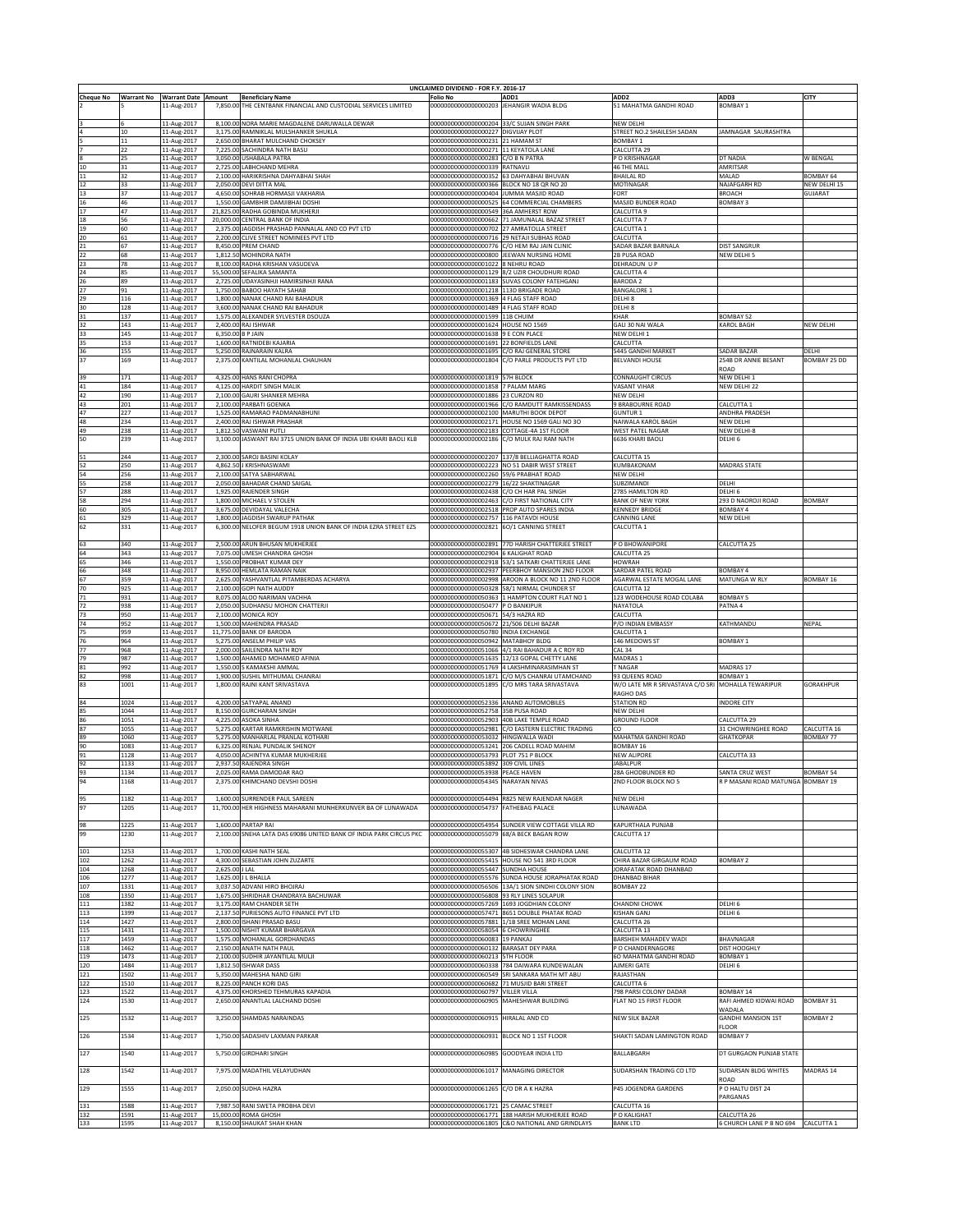|                  |                   |                            |                      |                                                                    | UNCLAIMED DIVIDEND - FOR F.Y. 2016-17                                           |                                                                                           |                                                    |                                     |                  |
|------------------|-------------------|----------------------------|----------------------|--------------------------------------------------------------------|---------------------------------------------------------------------------------|-------------------------------------------------------------------------------------------|----------------------------------------------------|-------------------------------------|------------------|
| <b>Cheque No</b> | <b>Warrant No</b> | <b>Warrant Date Amount</b> |                      | <b>Beneficiary Name</b>                                            | <b>Folio No</b>                                                                 | ADD1                                                                                      | ADD <sub>2</sub>                                   | ADD3                                | CITY             |
|                  |                   | 11-Aug-2017                | 7,850.00             | THE CENTBANK FINANCIAL AND CUSTODIAL SERVICES LIMITED              | 00000000000000000203 JEHANGIR WADIA BLDG                                        |                                                                                           | 51 MAHATMA GANDHI ROAD                             | BOMBAY 1                            |                  |
|                  |                   | 11-Aug-2017                |                      | 8,100.00 NORA MARIE MAGDALENE DARUWALLA DEWAR                      |                                                                                 | 00000000000000000204 33/C SUJAN SINGH PARK                                                | NEW DELHI                                          |                                     |                  |
|                  | 10                | 11-Aug-2017                |                      | 3,175.00 RAMNIKLAL MULSHANKER SHUKLA                               | 00000000000000000227 DIGVIJAY PLOT                                              |                                                                                           | STREET NO.2 SHAILESH SADAN                         | JAMNAGAR SAURASHTRA                 |                  |
|                  | 11                | 11-Aug-2017                |                      | 2,650.00 BHARAT MULCHAND CHOKSEY                                   | 00000000000000000231 21 HAMAM ST                                                |                                                                                           | BOMBAY 1                                           |                                     |                  |
|                  | 22                | 11-Aug-2017                |                      | 7,225.00 SACHINDRA NATH BASU                                       | 00000000000000000271 11 KEYATOLA LANE                                           |                                                                                           | CALCUTTA 29                                        |                                     |                  |
|                  | 25                | 11-Aug-2017                |                      | 3,050.00 USHABALA PATRA                                            | 0000000000000000283                                                             | C/O B N PATRA                                                                             | O KRISHNAGAR                                       | <b>T NADIA</b>                      | W BENGAL         |
|                  | 31                | 11-Aug-2017                |                      | 2,725.00 LABHCHAND MEHRA                                           | 00000000000000000339 RATNAVLI                                                   |                                                                                           | 46 THE MALL                                        | AMRITSAR                            |                  |
| 11               | 32                | 11-Aug-2017                |                      | 2,100.00 HARIKRISHNA DAHYABHAI SHAH                                |                                                                                 | 000000000000000000352 63 DAHYABHAI BHUVAN                                                 | <b>BHAILAL RD</b>                                  | MALAD                               | BOMBAY 64        |
| 12               | 33                | 11-Aug-2017                |                      | 2.050.00 DEVI DITTA MAL                                            | 00000000000000000366 BLOCK NO 18 OR NO 20                                       |                                                                                           | MOTINAGAR                                          | NAJAFGARH RD                        | NEW DELHI 15     |
| 13               | 37                | 11-Aug-2017                |                      | 4,650.00 SOHRAB HORMASJI VAKHARIA                                  | 000000000000000000404 JUMMA MASJID ROAD                                         |                                                                                           | FORT                                               | BROACH                              | GUJARAT          |
| 16               | 46                | 11-Aug-2017                |                      | 1,550.00 GAMBHIR DAMJIBHAI DOSHI                                   |                                                                                 | 00000000000000000525 64 COMMERCIAL CHAMBERS                                               | MASJID BUNDER ROAD                                 | BOMBAY 3                            |                  |
| 17<br>18         | 47                | 11-Aug-2017                | 21,825.00            | RADHA GOBINDA MUKHERJI<br>20,000,00 CENTRAL BANK OF INDIA          | 000000000000000000549 36A AMHERST ROW                                           | 00000000000000000662 71 JAMUNALAL BAZAZ STREET                                            | CALCUTTA 9                                         |                                     |                  |
| 19               | 56<br>60          | 11-Aug-2017                |                      | 2,375.00 JAGDISH PRASHAD PANNALAL AND CO PVT LTD                   | 00000000000000000702 27 AMRATOLLA STREET                                        |                                                                                           | CALCUTTA 7<br>CALCUTTA 1                           |                                     |                  |
| 20               | 61                | 11-Aug-2017<br>11-Aug-2017 |                      | 2,200.00 CLIVE STREET NOMINEES PVT LTD                             |                                                                                 | 00000000000000000716 29 NETAJI SUBHAS ROAD                                                | CALCUTTA                                           |                                     |                  |
| 21               | 67                | 11-Aug-2017                | 8,450.00             | PREM CHAND                                                         |                                                                                 | 00000000000000000776 C/O HEM RAJ JAIN CLINIC                                              | SADAR BAZAR BARNALA                                | DIST SANGRUR                        |                  |
| 22               | 68                | 11-Aug-2017                |                      | 1.812.50 MOHINDRA NATH                                             |                                                                                 | 00000000000000000800 JEEWAN NURSING HOME                                                  | 2B PUSA ROAD                                       | NEW DELHI 5                         |                  |
| 23               | 78                | 11-Aug-2017                |                      | 8,100.00 RADHA KRISHAN VASUDEVA                                    | 000000000000000001022 8 NEHRU ROAD                                              |                                                                                           | DEHRADUN U P                                       |                                     |                  |
| 24               | 85                | 11-Aug-2017                |                      | 55,500.00 SEFALIKA SAMANTA                                         |                                                                                 | 00000000000000001129 8/2 UZIR CHOUDHURI ROAD                                              | CALCUTTA 4                                         |                                     |                  |
| 26               | 89                | 11-Aug-2017                |                      | 2,725.00 UDAYASINHJI HAMIRSINHJI RANA                              |                                                                                 | 00000000000000001183 SUVAS COLONY FATEHGANJ                                               | <b>BARODA 2</b>                                    |                                     |                  |
| 27               | 91                | 11-Aug-2017                | 1.750.00             | <b>BABOO HAYATH SAHAB</b>                                          | 00000000000000001218 113D BRIGADE ROAD                                          |                                                                                           | BANGALORE 1                                        |                                     |                  |
| 29               | 116               | 11-Aug-2017                | 1.800.00             | NANAK CHAND RAI BAHADUR                                            | 00000000000000001369 4 FLAG STAFF ROAD                                          |                                                                                           | DELHI 8                                            |                                     |                  |
| 30               | 128               | 11-Aug-2017                | 3,600.00             | NANAK CHAND RAI BAHADUR                                            | 0000000000000001489                                                             | 4 FLAG STAFF ROAD                                                                         | DELHI <sup>8</sup>                                 |                                     |                  |
| 31               | 137               | 11-Aug-2017                |                      | 1,575.00 ALEXANDER SYLVESTER DSOUZA                                | 00000000000000001599 11B CHUIM                                                  |                                                                                           | KHAR                                               | BOMBAY 52                           | NEW DELHI        |
| 32<br>33         | 143<br>145        | 11-Aug-2017                | 2,400.00             | RAJ ISHWAR<br>6,350.00 B P JAIN                                    | 00000000000000001624 HOUSE NO 1569<br>000000000000000001638 9 E CON PLACE       |                                                                                           | GALI 30 NAI WALA<br>NEW DELHI 1                    | <b>CAROL BAGH</b>                   |                  |
| 35               | 153               | 11-Aug-2017<br>11-Aug-2017 |                      | 1,600.00 RATNIDEBI KAJARIA                                         | 000000000000000001691 22 BONFIELDS LANE                                         |                                                                                           | CALCUTTA                                           |                                     |                  |
| 36               | 155               | 11-Aug-2017                |                      | 5,250.00 RAJNARAIN KALRA                                           |                                                                                 | 00000000000000001695 C/O RAJ GENERAL STORE                                                | 5445 GANDHI MARKET                                 | SADAR BAZAR                         | DELHI            |
| 37               | 169               | 11-Aug-2017                | 2,375.00             | KANTILAL MOHANLAL CHAUHAN                                          |                                                                                 | 000000000000000001804 C/O PARLE PRODUCTS PVT LTD                                          | <b>BELVANDI HOUSE</b>                              | 254B DR ANNIE BESANT                | BOMBAY 25 DD     |
|                  |                   |                            |                      |                                                                    |                                                                                 |                                                                                           |                                                    | <b>CAD</b>                          |                  |
| 39               | 171               | 11-Aug-2017                |                      | 4,325.00 HANS RANI CHOPRA                                          | 00000000000000001819 57H BLOCK                                                  |                                                                                           | CONNAUGHT CIRCUS                                   | NEW DELHI 1                         |                  |
| 41               | 184               | 11-Aug-2017                |                      | 4,125.00 HARDIT SINGH MALIK                                        | 000000000000000001858 7 PALAM MARG                                              |                                                                                           | VASANT VIHAR                                       | NEW DELHI 22                        |                  |
| 42               | 190               | 11-Aug-2017                |                      | 2,100.00 GAURI SHANKER MEHRA                                       | 00000000000000001886 23 CURZON RD                                               |                                                                                           | NEW DELHI                                          |                                     |                  |
| 43               | 201               | 11-Aug-2017                |                      | 2,100.00 PARBATI GOENKA                                            |                                                                                 | 00000000000000001966 C/O RAMDUTT RAMKISSENDASS                                            | 9 BRABOURNE ROAD                                   | CALCUTTA 1                          |                  |
| 47               | 227               | 11-Aug-2017                |                      | 1,525.00 RAMARAO PADMANABHUNI                                      | 00000000000000002100 MARUTHI BOOK DEPOT                                         |                                                                                           | <b>GUNTUR 1</b>                                    | ANDHRA PRADESH                      |                  |
| 48               | 234               | 11-Aug-2017                |                      | 2,400.00 RAJ ISHWAR PRASHAR                                        |                                                                                 | 00000000000000002171 HOUSE NO 1569 GALI NO 3O                                             | NAIWALA KAROL BAGH                                 | NEW DELHI                           |                  |
| 49               | 238               | 11-Aug-2017                |                      | 1,812.50 VASWANI PUTLI                                             | 00000000000000002183 COTTAGE-4A 1ST FLOOR                                       |                                                                                           | WEST PATEL NAGAR                                   | NEW DELHI-8                         |                  |
| 50               | 239               | 11-Aug-2017                |                      | 3,100.00 JASWANT RAI 3715 UNION BANK OF INDIA UBI KHARI BAOLI KLB  |                                                                                 | 00000000000000002186 C/O MULK RAJ RAM NATH                                                | 6636 KHARI BAOLI                                   | DELHI <sub>6</sub>                  |                  |
|                  |                   |                            |                      |                                                                    |                                                                                 |                                                                                           |                                                    |                                     |                  |
| 51               | 244               | 11-Aug-2017                |                      | 2,300.00 SAROJ BASINI KOLAY                                        |                                                                                 | 00000000000000002207 137/8 BELLIAGHATTA ROAD                                              | CALCUTTA 15                                        |                                     |                  |
| 52<br>54         | 250<br>256        | 11-Aug-2017<br>11-Aug-2017 |                      | 4,862.50 J KRISHNASWAMI<br>2,100.00 SATYA SABHARWAL                | 00000000000000002260 59/6 PRABHAT ROAD                                          | 00000000000000002223 NO 51 DABIR WEST STREET                                              | KUMBAKONAM<br><b>NEW DELHI</b>                     | MADRAS STATE                        |                  |
| 55               | 258               | 11-Aug-2017                |                      | 2,050.00 BAHADAR CHAND SAIGAL                                      | 00000000000000002279 16/22 SHAKTINAGAR                                          |                                                                                           | SUBZIMANDI                                         | DELHI                               |                  |
| 57               | 288               | 11-Aug-2017                |                      | 1,925.00 RAJENDER SINGH                                            | 00000000000000002438 C/O CH HAR PAL SINGH                                       |                                                                                           | 2785 HAMILTON RD                                   | DELHI 6                             |                  |
| 58               | 294               | 11-Aug-2017                |                      | 1,800.00 MICHAEL V STOLEN                                          |                                                                                 | 00000000000000002463 C/O FIRST NATIONAL CITY                                              | <b>BANK OF NEW YORK</b>                            | 293 D NAOROJI ROAD                  | BOMBAY           |
| 60               | 305               | 11-Aug-2017                | 3,675.00             | DEVIDAYAL VALECHA                                                  |                                                                                 | 00000000000000002518 PROP AUTO SPARES INDIA                                               | <b>KENNEDY BRIDGE</b>                              | BOMBAY 4                            |                  |
| 61               | 329               | 11-Aug-2017                | 1.800.00             | <b>JAGDISH SWARUP PATHAK</b>                                       | 0000000000000002757                                                             | 116 PATAVDI HOUSE                                                                         | CANNING LANE                                       | NEW DELHI                           |                  |
| 62               | 331               | 11-Aug-2017                | 6.300.00             | NELOFER BEGUM 1918 UNION BANK OF INDIA EZRA STREET EZS             | 00000000000000002821                                                            | 6O/1 CANNING STREET                                                                       | CALCUTTA 1                                         |                                     |                  |
|                  |                   |                            |                      |                                                                    |                                                                                 |                                                                                           |                                                    |                                     |                  |
| 63               | 340               | 11-Aug-2017                | 2,500.00             | ARUN BHUSAN MUKHERJEE                                              |                                                                                 | 00000000000000002891 77D HARISH CHATTERJEE STREET                                         | P O BHOWANIPORE                                    | CALCUTTA 25                         |                  |
| 64               | 343               | 11-Aug-2017                | 7.075.00             | UMESH CHANDRA GHOSH                                                | 00000000000000002904 6 KALIGHAT ROAD                                            |                                                                                           | CALCUTTA 25                                        |                                     |                  |
| 65               | 346               | 11-Aug-2017                |                      | 1,550.00 PROBHAT KUMAR DEY                                         |                                                                                 | 00000000000000002918 53/1 SATKARI CHATTERJEE LANE                                         | HOWRAH                                             |                                     |                  |
| 66               | 348               | 11-Aug-2017                |                      | 8,950.00 HEMLATA RAMAN NAIK                                        |                                                                                 | 00000000000000002937 PEERBHOY MANSION 2ND FLOOR                                           | SARDAR PATEL ROAD                                  | BOMBAY 4                            |                  |
| 67               | 359               | 11-Aug-2017                |                      | 2,625.00 YASHVANTLAL PITAMBERDAS ACHARYA                           |                                                                                 | 00000000000000002998 AROON A BLOCK NO 11 2ND FLOOR                                        | AGARWAL ESTATE MOGAL LANE                          | MATUNGA W RLY                       | BOMBAY 16        |
| 70               | 925               | 11-Aug-2017                |                      | 2.100.00 GOPI NATH AUDDY                                           |                                                                                 | 000000000000000050328 58/1 NIRMAL CHUNDER ST                                              | CALCUTTA 12                                        |                                     |                  |
| 71               | 931               | 11-Aug-2017                |                      | 8,075.00 ALOO NARIMAN VACHHA                                       |                                                                                 | 00000000000000050363 1 HAMPTON COURT FLAT NO 1                                            | 123 WODEHOUSE ROAD COLABA                          | <b>BOMBAY 5</b>                     |                  |
| 72               | 938               | 11-Aug-2017                |                      | 2,050.00 SUDHANSU MOHON CHATTERJ                                   | 00000000000000050477 PO BANKIPUR                                                |                                                                                           | NAYATOLA                                           | PATNA 4                             |                  |
| 73               | 950<br>952        | 11-Aug-2017                |                      | 2,100.00 MONICA ROY<br>1,500.00 MAHENDRA PRASAD                    | 000000000000000050671 54/3 HAZRA RD<br>000000000000000050672 21/506 DELHI BAZAR |                                                                                           | CALCUTTA<br>P/O INDIAN EMBASSY                     | KATHMANDU                           | NEPAL            |
| 74               | 959               | 11-Aug-2017                |                      | 11,775.00 BANK OF BARODA                                           | 000000000000000050780 INDIA EXCHANGE                                            |                                                                                           | CALCUTTA 1                                         |                                     |                  |
| 75<br>76         | 964               | 11-Aug-2017<br>11-Aug-2017 |                      | 5,275.00 ANSELM PHILIP VAS                                         | 000000000000000050942 MATABHOY BLDG                                             |                                                                                           | 146 MEDOWS ST                                      | BOMBAY 1                            |                  |
| 77               | 968               | 11-Aug-2017                |                      | 2,000.00 SAILENDRA NATH ROY                                        |                                                                                 | 000000000000000051066 4/1 RAI BAHADUR A C ROY RD                                          | CAL 34                                             |                                     |                  |
| 79               | 987               | 11-Aug-2017                |                      | 1,500.00 AHAMED MOHAMED AFINIA                                     |                                                                                 | 00000000000000051635 12/13 GOPAL CHETTY LANE                                              | MADRAS 1                                           |                                     |                  |
| 81               | 992               | 11-Aug-2017                | 1,550.00             | S KAMAKSHI AMMAL                                                   | 0000000000000051769                                                             | 4 LAKSHMINARASIMHAN ST                                                                    | NAGAR <sup>.</sup>                                 | <b>ADRAS 17</b>                     |                  |
|                  | 998               | 11-Aug-2017                |                      | 1,900.00 SUSHIL MITHUMAL CHANRAI                                   |                                                                                 | 000000000000000051871 C/O M/S CHANRAI UTAMCHAND                                           | 93 QUEENS ROAD                                     | BOMBAY 1                            |                  |
| 82<br>83         | 1001              | 11-Aug-2017                |                      | 1,800.00 RAJNI KANT SRIVASTAVA                                     |                                                                                 | 00000000000000051895 C/O MRS TARA SRIVASTAVA                                              | W/O LATE MR R SRIVASTAVA C/O SRI MOHALLA TEWARIPUR |                                     | GORAKHPUR        |
|                  |                   |                            |                      |                                                                    |                                                                                 |                                                                                           | RAGHO DAS                                          |                                     |                  |
| 84               | 1024              | 11-Aug-2017                |                      | 4,200.00 SATYAPAL ANAND                                            | 00000000000000052336 ANAND AUTOMOBILES                                          |                                                                                           | <b>STATION RD</b>                                  | <b>INDORE CITY</b>                  |                  |
| 85               | 1044              | 11-Aug-2017                |                      | 8,150.00 GURCHARAN SINGH                                           | 00000000000000052758 35B PUSA ROAD                                              |                                                                                           | NEW DELHI                                          |                                     |                  |
| 86               | 1051              | 11-Aug-2017                |                      | 4,225.00 ASOKA SINHA                                               | 000000000000000052903 40B LAKE TEMPLE ROAD                                      |                                                                                           | <b>GROUND FLOOR</b>                                | CALCUTTA <sub>29</sub>              |                  |
| 87               | 1055              | 11-Aug-2017                | 5,275.00             | KARTAR RAMKRISHIN MOTWANE                                          | 00000000000000052981                                                            | C/O EASTERN ELECTRIC TRADING                                                              | cо                                                 | 31 CHOWRINGHEE ROAD                 | CALCUTTA 16      |
| 89               | 1060              | 11-Aug-2017                | 5.275.00             | MANHARLAL PRANLAL KOTHARI                                          | 10000000000000053032                                                            | HINGWALLA WADI                                                                            | MAHATMA GANDHI ROAD                                | <b>HATKOPAR</b>                     | BOMBAY 77        |
| 90               | 1083              | 11-Aug-2017                | 6.325.00             | RENJAL PUNDALIK SHENOY                                             | 10000000000000053241                                                            | 206 CADELL ROAD MAHIM                                                                     | BOMBAY 16                                          |                                     |                  |
|                  | 1128              | 11-Aug-2017                |                      | 4,050.00 ACHINTYA KUMAR MUKHERJEE                                  | 00000000000000053793 PLOT 751 P BLOCK                                           |                                                                                           | <b>NEW ALIPORE</b>                                 | CALCUTTA 33                         |                  |
| 92               | 1133              | 11-Aug-2017                |                      | 2,937.50 RAJENDRA SINGH                                            | 00000000000000053892 309 CIVIL LINES                                            |                                                                                           | <b>JABALPUR</b>                                    |                                     |                  |
| 93               | 1134              | 11-Aug-2017                |                      | 2,025.00 RAMA DAMODAR RAO                                          | 00000000000000053938 PEACE HAVEN                                                |                                                                                           | 28A GHODBUNDER RD                                  | SANTA CRUZ WEST                     | <b>BOMBAY 54</b> |
| 94               | 1168              | 11-Aug-2017                |                      | 2.375.00 KHIMCHAND DEVSHI DOSH                                     | 000000000000000054345 NARAYAN NIVAS                                             |                                                                                           | 2ND FLOOR BLOCK NO 5                               | R P MASANI ROAD MATUNGA BOMBAY 19   |                  |
|                  | 1182              |                            |                      | 1,600.00 SURRENDER PAUL SAREEN                                     |                                                                                 | 00000000000000054494 R825 NEW RAJENDAR NAGER                                              | NEW DELHI                                          |                                     |                  |
| 95<br>97         | 1205              | 11-Aug-2017<br>11-Aug-2017 | 11,700.00            | HER HIGHNESS MAHARANI MUNHERKUNVER BA OF LUNAWADA                  | 00000000000000054737                                                            | <b>FATHEBAG PALACE</b>                                                                    | LUNAWADA                                           |                                     |                  |
|                  |                   |                            |                      |                                                                    |                                                                                 |                                                                                           |                                                    |                                     |                  |
|                  | 1225              | 11-Aug-2017                |                      | 1,600.00 PARTAP RAI                                                |                                                                                 | 000000000000000054954 SUNDER VIEW COTTAGE VILLA RD                                        | KAPURTHALA PUNJAB                                  |                                     |                  |
| 98<br>99         | 1230              | 11-Aug-2017                |                      | 2,100.00 SNEHA LATA DAS 69086 UNITED BANK OF INDIA PARK CIRCUS PKC | 000000000000000055079 68/A BECK BAGAN ROW                                       |                                                                                           | CALCUTTA 17                                        |                                     |                  |
|                  |                   |                            |                      |                                                                    |                                                                                 |                                                                                           |                                                    |                                     |                  |
| 101              | 1253              | 11-Aug-2017                |                      | 1.700.00 KASHI NATH SEAL                                           |                                                                                 | 000000000000000055307 4B SIDHESWAR CHANDRA LANE                                           | CALCUTTA 12                                        |                                     |                  |
| 102              | 1262              | 11-Aug-2017                |                      | 4,300.00 SEBASTIAN JOHN ZUZARTE                                    |                                                                                 | 000000000000000055415 HOUSE NO 541 3RD FLOOR                                              | CHIRA BAZAR GIRGAUM ROAD                           | BOMBAY 2                            |                  |
| 104              | 1268              | 11-Aug-2017                | 2,625.00 J LAL       |                                                                    | 000000000000000055447 SUNDHA HOUSE                                              |                                                                                           | ORAFATAK ROAD DHANBAD                              |                                     |                  |
| 106              | 1277              | $11-Aug-2017$              |                      | 1,625.00 J L BHALLA                                                |                                                                                 | 000000000000000055576 SUNDA HOUSE JORAPHATAK ROAD                                         | <b>DHANBAD BIHAR</b>                               |                                     |                  |
| 107              | 1331              | 11-Aug-2017                | 3,037.50             | ADVANI HIRO BHOJRAJ                                                | 0000000000000056506                                                             | 13A/1 SION SINDHI COLONY SION                                                             | BOMBAY 22                                          |                                     |                  |
| 108              | 1350              | 11-Aug-2017                |                      | 1,675.00 SHRIDHAR CHANDRAYA BACHUWAR                               | 00000000000000056808 93 RLY LINES SOLAPUR                                       |                                                                                           |                                                    |                                     |                  |
| 111              | 1382<br>1399      | 11-Aug-2017                | 3,175.00<br>2.137.50 | <b>RAM CHANDER SETH</b><br>PURIESONS AUTO FINANCE PVT LTD          |                                                                                 | 00000000000000057269 1693 JOGDHIAN COLONY<br>00000000000000057471 8651 DOUBLE PHATAK ROAD | <b>CHANDNI CHOWK</b><br><b>KISHAN GANJ</b>         | DELHI <sub>6</sub><br>DELHI 6       |                  |
| 113              |                   | 11-Aug-2017                |                      | 2.800.00 ISHANI PRASAD BASU                                        |                                                                                 | 000000000000000057881 1/1B SREE MOHAN LANE                                                |                                                    |                                     |                  |
| 114<br>115       | 1427<br>1431      | 11-Aug-2017<br>11-Aug-2017 | 1,500.00             | NISHIT KUMAR BHARGAVA                                              | 00000000000000058054 6 CHOWRINGHEE                                              |                                                                                           | CALCUTTA 26<br>CALCUTTA 13                         |                                     |                  |
| 117              | 1459              | 11-Aug-2017                |                      | 1,575.00 MOHANLAL GORDHANDAS                                       | 000000000000000060083 19 PANKAJ                                                 |                                                                                           | BARSHEH MAHADEV WADI                               | BHAVNAGAR                           |                  |
| 118              | 1462              | 11-Aug-2017                | 2.150.00             | ANATH NATH PAUL                                                    | 00000000000000060132                                                            | <b>BARASAT DEY PARA</b>                                                                   | O CHANDERNAGORE                                    | DIST HOOGHLY                        |                  |
| 119              | 1473              | 11-Aug-2017                | 2,100.00             | SUDHIR JAYANTILAL MULJI                                            | 0000000000000060213                                                             | <b>STH FLOOR</b>                                                                          | O MAHATMA GANDHI ROAD                              | BOMBAY 1                            |                  |
| 120              | 1484              | 11-Aug-2017                | 1,812.50             | <b>ISHWAR DASS</b>                                                 | 0000000000000060338                                                             | 784 DAIWARA KUNDEWALAN                                                                    | <b>NJMERI GATE</b>                                 | <b>DELHI 6</b>                      |                  |
|                  | 1502              | 11-Aug-2017                |                      | 5,350.00 MAHESHA NAND GIRI                                         |                                                                                 | 000000000000000060549 SRI SANKARA MATH MT ABU                                             | RAJASTHAN                                          |                                     |                  |
| 121<br>122       | 1510              | 11-Aug-2017                | 8,225.00             | PANCH KORI DAS                                                     | 00000000000000060682 71 MUSJID BARI STREET                                      |                                                                                           | CALCUTTA 6                                         |                                     |                  |
| 123              | 1522              | 11-Aug-2017                | 4,375.00             | KHORSHED TEHMURAS KAPADIA                                          | 00000000000000060797 VILLER VILLA                                               |                                                                                           | 798 PARSI COLONY DADAR                             | BOMBAY 14                           |                  |
| 124              | 1530              | 11-Aug-2017                |                      | 2,650.00 ANANTLAL LALCHAND DOSHI                                   | 000000000000000060905 MAHESHWAR BUILDING                                        |                                                                                           | FLAT NO 15 FIRST FLOOR                             | AFI AHMED KIDWAI ROAD               | BOMBAY 31        |
|                  |                   |                            |                      |                                                                    |                                                                                 |                                                                                           |                                                    | WADALA                              |                  |
| 125              | 1532              | 11-Aug-2017                |                      | 3.250.00 SHAMDAS NARAINDAS                                         | 00000000000000060915 HIRALAL AND CO                                             |                                                                                           | NEW SILK BAZAR                                     | <b>GANDHI MANSION 1ST</b>           | <b>BOMBAY 2</b>  |
|                  |                   |                            |                      |                                                                    |                                                                                 |                                                                                           |                                                    | <b>LOOR</b>                         |                  |
| 126              | 1534              | 11-Aug-2017                |                      | 1,750.00 SADASHIV LAXMAN PARKAR                                    | 00000000000000060931 BLOCK NO 1 1ST FLOOR                                       |                                                                                           | SHAKTI SADAN LAMINGTON ROAD                        | BOMBAY 7                            |                  |
|                  |                   |                            |                      |                                                                    |                                                                                 |                                                                                           |                                                    |                                     |                  |
| 127              | 1540              | 11-Aug-2017                |                      | 5.750.00 GIRDHARI SINGH                                            | 000000000000000060985 GOODYEAR INDIA LTD                                        |                                                                                           | BALLABGARH                                         | DT GURGAON PUNJAB STATE             |                  |
|                  |                   |                            |                      |                                                                    |                                                                                 |                                                                                           |                                                    |                                     |                  |
| 128              | 1542              | 11-Aug-2017                |                      | 7,975.00 MADATHIL VELAYUDHAN                                       | 00000000000000061017 MANAGING DIRECTOR                                          |                                                                                           | SUDARSHAN TRADING CO LTD                           | SUDARSAN BLDG WHITES                | MADRAS 14        |
|                  |                   |                            |                      |                                                                    |                                                                                 |                                                                                           |                                                    | ROAD                                |                  |
| 129              | 1555              | 11-Aug-2017                |                      | 2.050.00 SUDHA HAZRA                                               | 00000000000000061265 C/O DR A K HAZRA                                           |                                                                                           | <b>P45 JOGENDRA GARDENS</b>                        | PO HALTU DIST 24                    |                  |
|                  |                   |                            |                      |                                                                    |                                                                                 |                                                                                           |                                                    | PARGANAS                            |                  |
| 131              | 1588<br>1591      | 11-Aug-2017<br>11-Aug-2017 |                      | 7,987.50 RANI SWETA PROBHA DEVI<br>15,000.00 ROMA GHOSH            | 00000000000000061721 25 CAMAC STREET                                            | 00000000000000061771 188 HARISH MUKHERJEE ROAD                                            | CALCUTTA 16<br>P O KALIGHAT                        | CALCUTTA 26                         |                  |
| 132              | 1595              | 11-Aug-2017                |                      | 8,150.00 SHAUKAT SHAH KHAN                                         |                                                                                 | 00000000000000061805 C&O NATIONAL AND GRINDLAYS                                           | <b>BANK LTD</b>                                    | 6 CHURCH LANE P B NO 694 CALCUTTA 1 |                  |
| 133              |                   |                            |                      |                                                                    |                                                                                 |                                                                                           |                                                    |                                     |                  |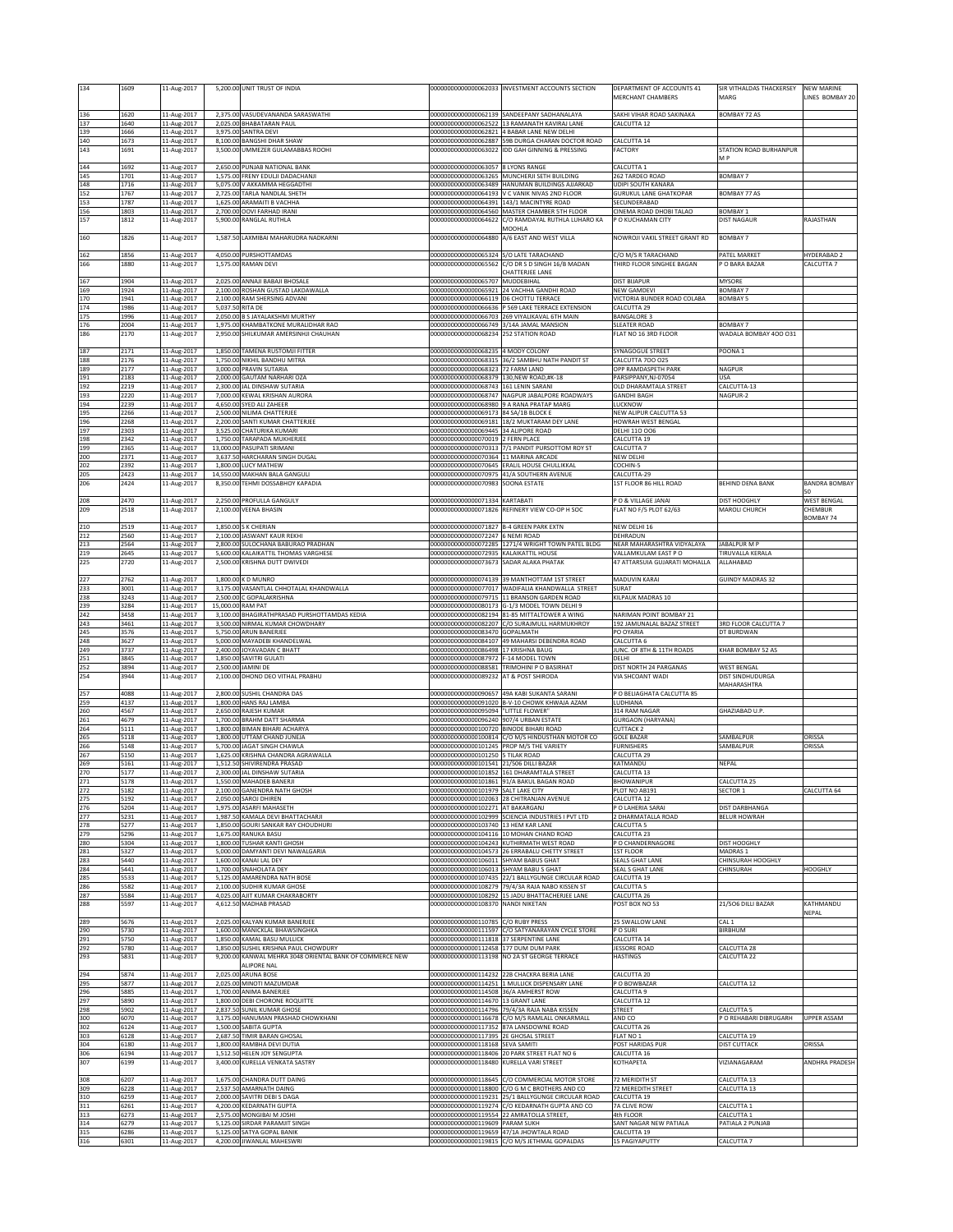| 134               | 1609                 | 11-Aug-2017                | 5,200.00 UNIT TRUST OF INDIA                                                                           |                                                                                   | 00000000000000062033 INVESTMENT ACCOUNTS SECTION                                                | DEPARTMENT OF ACCOUNTS 41                               | SIR VITHALDAS THACKERSEY                       | <b>NEW MARINE</b>             |
|-------------------|----------------------|----------------------------|--------------------------------------------------------------------------------------------------------|-----------------------------------------------------------------------------------|-------------------------------------------------------------------------------------------------|---------------------------------------------------------|------------------------------------------------|-------------------------------|
|                   |                      |                            |                                                                                                        |                                                                                   |                                                                                                 | MERCHANT CHAMBERS                                       | MARG                                           | INES BOMBAY 20                |
|                   |                      |                            |                                                                                                        |                                                                                   |                                                                                                 |                                                         |                                                |                               |
| 136               | 1620                 | 11-Aug-2017                | 2,375.00 VASUDEVANANDA SARASWATHI                                                                      |                                                                                   | 00000000000000062139 SANDEEPANY SADHANALAYA                                                     | SAKHI VIHAR ROAD SAKINAKA                               | <b>BOMBAY 72 AS</b>                            |                               |
| 137<br>139        | 1640<br>1666         | 11-Aug-2017<br>11-Aug-2017 | 2,025.00<br><b>BHABATARAN PAUL</b><br>SANTRA DEVI<br>3.975.00                                          |                                                                                   | 00000000000000062522 13 RAMANATH KAVIRAJ LANE<br>00000000000000062821 4 BABAR LANE NEW DELHI    | <b>ALCUTTA 12</b>                                       |                                                |                               |
| 140               | 1673                 | 11-Aug-2017                | 8,100.00<br><b>BANGSHI DHAR SHAW</b>                                                                   |                                                                                   | 000000000000000062887 59B DURGA CHARAN DOCTOR ROAD                                              | ALCUTTA 14                                              |                                                |                               |
| 143               | 1691                 | 11-Aug-2017                | 3,500.00<br>UMMEZER GULAMABBAS ROOHI                                                                   |                                                                                   | 000000000000000063022 IDD GAH GINNING & PRESSING                                                | FACTORY                                                 | <b>STATION ROAD BURHANPUR</b>                  |                               |
|                   |                      |                            |                                                                                                        |                                                                                   |                                                                                                 |                                                         | M <sub>P</sub>                                 |                               |
| 144               | 1692                 | 11-Aug-2017                | 2,650.00 PUNJAB NATIONAL BANK                                                                          | 00000000000000063057 8 LYONS RANGE                                                |                                                                                                 | CALCUTTA 1                                              |                                                |                               |
| 145<br>148        | 1701<br>1716         | 11-Aug-2017<br>11-Aug-2017 | 1,575.00 FRENY EDULJI DADACHANJI<br>5,075.00<br>V AKKAMMA HEGGADTHI                                    |                                                                                   | 00000000000000063265 MUNCHERJI SETH BUILDING<br>00000000000000063489 HANUMAN BUILDINGS AJJARKAD | 262 TARDEO ROAD<br>JDIPI SOUTH KANARA                   | BOMBAY 7                                       |                               |
| 152               | 1767                 | 11-Aug-2017                | 2,725.00<br>TARLA NANDLAL SHETH                                                                        |                                                                                   | 00000000000000064193 V C VANIK NIVAS 2ND FLOOR                                                  | <b>JURUKUL LANE GHATKOPAR</b>                           | BOMBAY 77 AS                                   |                               |
| 153               | 1787                 | 11-Aug-2017                | ARAMAITI B VACHHA<br>1,625.00                                                                          |                                                                                   | 00000000000000064391 143/1 MACINTYRE ROAD                                                       | ECUNDERABAD                                             |                                                |                               |
| 156               | 1803                 | 11-Aug-2017                | 2,700.00<br>OOVI FARHAD IRANI                                                                          |                                                                                   | 00000000000000064560 MASTER CHAMBER 5TH FLOOR                                                   | INEMA ROAD DHOBI TALAO                                  | BOMBAY 1                                       |                               |
| 157               | 1812                 | 11-Aug-2017                | 5,900.00<br>RANGLAL RUTHLA                                                                             |                                                                                   | 00000000000000064622 C/O RAMDAYAL RUTHLA LUHARO KA                                              | P O KUCHAMAN CITY                                       | <b>DIST NAGAUR</b>                             | RAJASTHAN                     |
| 160               | 1826                 | 11-Aug-2017                | LAXMIBAI MAHARUDRA NADKARNI<br>1,587.5                                                                 | 00000000000000064880                                                              | MOOHLA<br>A/6 EAST AND WEST VILLA                                                               | NOWROJI VAKIL STREET GRANT RD                           | BOMBAY 7                                       |                               |
|                   |                      |                            |                                                                                                        |                                                                                   |                                                                                                 |                                                         |                                                |                               |
| 162               | 1856                 | 11-Aug-2017                | PURSHOTTAMDAS<br>4,050.00                                                                              | 00000000000000065324 S/O LATE TARACHAND                                           |                                                                                                 | C/O M/S R TARACHAND                                     | PATEL MARKET                                   | HYDERABAD 2                   |
| 166               | 1880                 | 11-Aug-2017                | 1,575.00<br>RAMAN DEVI                                                                                 |                                                                                   | 000000000000000065562 C/O DR S D SINGH 16/B MADAN                                               | THIRD FLOOR SINGHEE BAGAN                               | O BARA BAZAR                                   | CALCUTTA 7                    |
|                   |                      |                            |                                                                                                        |                                                                                   | <b>HATTERJEE LANE</b>                                                                           |                                                         |                                                |                               |
| 167<br>169        | 1904<br>1924         | 11-Aug-2017<br>11-Aug-2017 | 2,025.00 ANNAJI BABAJI BHOSALE<br>2,100.00<br>ROSHAN GUSTAD LAKDAWALLA                                 | 000000000000000065707 MUDDEBIHAL                                                  | 00000000000000065921 24 VACHHA GANDHI ROAD                                                      | <b>DIST BIJAPUR</b><br><b>NEW GAMDEVI</b>               | <b>MYSORE</b><br><b>BOMBAY 7</b>               |                               |
| 170               | 1941                 | 11-Aug-2017                | 2,100.0<br>RAM SHERSING ADVANI                                                                         | 00000000000000066119 D6 CHOTTU TERRACE                                            |                                                                                                 | VICTORIA BUNDER ROAD COLABA                             | <b>BOMBAY 5</b>                                |                               |
| 174               | 1986                 | 11-Aug-2017                | 5,037.50<br>RITA DE                                                                                    |                                                                                   | 000000000000000066636 P 569 LAKE TERRACE EXTENSION                                              | CALCUTTA 29                                             |                                                |                               |
| 175               | 1996                 | 11-Aug-2017                | <b>B S JAYALAKSHMI MURTHY</b><br>2,050.00                                                              |                                                                                   | 00000000000000066703 269 VIYALIKAVAL 6TH MAIN                                                   | BANGALORE 3                                             |                                                |                               |
| 176               | 2004                 | 11-Aug-2017                | 1,975.00 KHAMBATKONE MURALIDHAR RAO                                                                    | 00000000000000066749 3/14A JAMAL MANSION                                          |                                                                                                 | <b>SLEATER ROAD</b>                                     | <b>BOMBAY 7</b>                                |                               |
| 186               | 2170                 | 11-Aug-2017                | SHILKUMAR AMERSINHJI CHAUHAN<br>2,950.00                                                               | 00000000000000068234 252 STATION ROAD                                             |                                                                                                 | FLAT NO 16 3RD FLOOR                                    | WADALA BOMBAY 400 031                          |                               |
| 187               | 2171                 | 11-Aug-2017                | 1,850.00 TAMENA RUSTOMJI FITTER                                                                        | 00000000000000068235 4 MODY COLONY                                                |                                                                                                 | SYNAGOGUE STREET                                        | POONA 1                                        |                               |
| 188               | 2176                 | 11-Aug-2017                | 1,750.00 NIKHIL BANDHU MITRA                                                                           |                                                                                   | 00000000000000068315 36/2 SAMBHU NATH PANDIT ST                                                 | CALCUTTA 700 025                                        |                                                |                               |
| 189               | 2177                 | 11-Aug-2017                | 3.000.00<br>PRAVIN SUTARIA                                                                             | 00000000000000068323 72 FARM LAND                                                 |                                                                                                 | OPP RAMDASPETH PARK                                     | NAGPUR                                         |                               |
| 191               | 2183                 | 11-Aug-2017                | 2,000.00<br>GAUTAM NARHARI OZA                                                                         | 00000000000000068379 130, NEW ROAD, #K-18                                         |                                                                                                 | PARSIPPANY, NJ-07054                                    | <b>USA</b>                                     |                               |
| 192<br>193        | 2219<br>2220         | 11-Aug-2017                | 2,300.00 JAL DINSHAW SUTARIA<br>7,000.00 KEWAL KRISHAN AURORA                                          | 00000000000000068743 161 LENIN SARANI                                             | 00000000000000068747 NAGPUR JABALPORE ROADWAYS                                                  | OLD DHARAMTALA STREET<br><b>GANDHI BAGH</b>             | CALCUTTA-13<br>NAGPUR-2                        |                               |
| 194               | 2239                 | 11-Aug-2017<br>11-Aug-2017 | 4,650.00<br>SYED ALI ZAHEER                                                                            |                                                                                   | 00000000000000068980 9 A RANA PRATAP MARG                                                       | LUCKNOW                                                 |                                                |                               |
| 195               | 2266                 | 11-Aug-2017                | 2,500.00<br>NILIMA CHATTERJEE                                                                          | 00000000000000069173 84 SA/1B BLOCK E                                             |                                                                                                 | NEW ALIPUR CALCUTTA 53                                  |                                                |                               |
| 196               | 2268                 | 11-Aug-2017                | 2,200.00<br>SANTI KUMAR CHATTERJEE                                                                     |                                                                                   | 00000000000000069181 18/2 MUKTARAM DEY LANE                                                     | <b>IOWRAH WEST BENGAL</b>                               |                                                |                               |
| 197               | 2303                 | 11-Aug-2017                | 3,525.00<br>CHATURIKA KUMARI                                                                           | 00000000000000069445 34 ALIPORE ROAD                                              |                                                                                                 | DELHI 110 006                                           |                                                |                               |
| 198<br>199        | 2342<br>2365         | 11-Aug-2017<br>11-Aug-2017 | 1,750.00<br>TARAPADA MUKHERJEE<br>13,000.00<br>PASUPATI SRIMANI                                        | 00000000000000070019 2 FERN PLACE                                                 | 00000000000000070313 7/1 PANDIT PURSOTTOM ROY ST                                                | CALCUTTA 19<br>CALCUTTA 7                               |                                                |                               |
| 200               | 2371                 | 11-Aug-2017                | 3,637.50<br>HARCHARAN SINGH DUGAL                                                                      | 00000000000000070364 11 MARINA ARCADE                                             |                                                                                                 | NEW DELHI                                               |                                                |                               |
| 202               | 2392                 | 11-Aug-2017                | 1,800.00 LUCY MATHEW                                                                                   |                                                                                   | 00000000000000070645 ERALIL HOUSE CHULLIKKAL                                                    | COCHIN-5                                                |                                                |                               |
| 205               | 2423                 | 11-Aug-2017                | 14,550.00<br>MAKHAN BALA GANGULI                                                                       |                                                                                   | 000000000000000070975 41/A SOUTHERN AVENUE                                                      | ALCUTTA-29                                              |                                                |                               |
| 206               | 2424                 | 11-Aug-2017                | 8,350.00 TEHMI DOSSABHOY KAPADIA                                                                       | 00000000000000070983 SOONA ESTATE                                                 |                                                                                                 | 1ST FLOOR 86 HILL ROAD                                  | BEHIND DENA BANK                               | <b>BANDRA BOMBAY</b>          |
|                   |                      |                            |                                                                                                        |                                                                                   |                                                                                                 |                                                         |                                                |                               |
| 208<br>209        | 2470<br>2518         | 11-Aug-2017<br>11-Aug-2017 | 2,250.00 PROFULLA GANGULY<br><b>VEENA BHASIN</b><br>2.100.00                                           | 00000000000000071334 KARTABATI                                                    | 00000000000000071826 REFINERY VIEW CO-OP H SOC                                                  | PO & VILLAGE JANAI<br>FLAT NO F/5 PLOT 62/63            | DIST HOOGHLY<br><b>MAROLI CHURCH</b>           | <b>WEST BENGAL</b><br>CHEMBUR |
|                   |                      |                            |                                                                                                        |                                                                                   |                                                                                                 |                                                         |                                                | <b>BOMBAY 74</b>              |
| 210               | 2519                 | 11-Aug-2017                | 1,850.00 S K CHERIAN                                                                                   | 00000000000000071827 B-4 GREEN PARK EXTN                                          |                                                                                                 | NEW DELHI 16                                            |                                                |                               |
| 212               | 2560                 | 11-Aug-2017                | 2.100.00<br>JASWANT KAUR REKHI                                                                         | 00000000000000072247 6 NEMI ROAD                                                  |                                                                                                 | DEHRADUN                                                |                                                |                               |
| 213               | 2564                 | 11-Aug-2017                | 2,800.00 SULOCHANA BABURAO PRADHAN                                                                     |                                                                                   | 00000000000000072285 1271/4 WRIGHT TOWN PATEL BLDG                                              | NEAR MAHARASHTRA VIDYALAYA                              | JABALPUR M P                                   |                               |
| 219<br>225        | 2645<br>2720         | 11-Aug-2017<br>11-Aug-2017 | KALAIKATTIL THOMAS VARGHESE<br>5,600.00<br>2,500.00<br>KRISHNA DUTT DWIVEDI                            | 00000000000000072935 KALAIKATTIL HOUSE<br>00000000000000073673 SADAR ALAKA PHATAK |                                                                                                 | VALLAMKULAM EAST PO<br>17 ATTARSUIA GUJARATI MOHALLA    | TIRUVALLA KERALA<br><b>ALLAHABAD</b>           |                               |
|                   |                      |                            |                                                                                                        |                                                                                   |                                                                                                 |                                                         |                                                |                               |
| 227               | 2762                 | 11-Aug-2017                | 1,800.00 K D MUNRO                                                                                     |                                                                                   | 00000000000000074139 39 MANTHOTTAM 1ST STREET                                                   | MADUVIN KARAI                                           | <b>GUINDY MADRAS 32</b>                        |                               |
| 233               | 3001                 | 11-Aug-2017                | 3,175.00<br>VASANTLAL CHHOTALAL KHANDWALLA                                                             |                                                                                   | 00000000000000077017 WADIFALIA KHANDWALLA STREET                                                | SURAT                                                   |                                                |                               |
| 238               | 3243                 | 11-Aug-2017                | 2,500.00<br>C GOPALAKRISHNA                                                                            |                                                                                   | 00000000000000079715 11 BRANSON GARDEN ROAD                                                     | <b>ILPAUK MADRAS 10</b>                                 |                                                |                               |
| 239<br>242        | 3284<br>3458         | 11-Aug-2017<br>11-Aug-2017 | 15,000.00<br><b>RAM PAT</b>                                                                            |                                                                                   | 000000000000000080173 G-1/3 MODEL TOWN DELHI 9                                                  |                                                         |                                                |                               |
|                   |                      |                            |                                                                                                        |                                                                                   |                                                                                                 |                                                         |                                                |                               |
|                   |                      |                            | 3,100.00 BHAGIRATHPRASAD PURSHOTTAMDAS KEDIA                                                           |                                                                                   | 000000000000000082194 81-85 MITTALTOWER A WING                                                  | NARIMAN POINT BOMBAY 21                                 |                                                |                               |
| 243<br>245        | 3461<br>3576         | 11-Aug-2017                | NIRMAL KUMAR CHOWDHARY<br>3,500.00<br>5,750.00<br>ARUN BANERJEE                                        | 00000000000000083470 GOPALMATH                                                    | 00000000000000082207 C/O SURAJMULL HARMUKHROY                                                   | 192 JAMUNALAL BAZAZ STREET<br>O OYARIA                  | 3RD FLOOR CALCUTTA 7<br><b>OT BURDWAN</b>      |                               |
| 248               | 3627                 | 11-Aug-2017<br>11-Aug-2017 | MAYADEBI KHANDELWAL<br>5,000.00                                                                        |                                                                                   | 000000000000000084107 49 MAHARSI DEBENDRA ROAD                                                  | ALCUTTA 6                                               |                                                |                               |
| 249               | 3737                 | 11-Aug-2017                | 2,400.00<br>JOYAVADAN C BHATT                                                                          | 000000000000000086498 17 KRISHNA BAUG                                             |                                                                                                 | UNC. OF 8TH & 11TH ROADS                                | KHAR BOMBAY 52 AS                              |                               |
| 251               | 3845                 | 11-Aug-2017                | 1,850.00<br>SAVITRI GULATI                                                                             | 00000000000000087972 F-14 MODEL TOWN                                              |                                                                                                 | DELHI                                                   |                                                |                               |
|                   | 3894                 | 11-Aug-2017                | 2,500.00<br>JAMINI DE                                                                                  |                                                                                   | 00000000000000088581 TRIMOHINI P O BASIRHAT                                                     | DIST NORTH 24 PARGANAS                                  | <b>WEST BENGAL</b>                             |                               |
| 254               | 3944                 | 11-Aug-2017                | DHOND DEO VITHAL PRABHU<br>2.100.00                                                                    | 00000000000000089232 AT & POST SHIRODA                                            |                                                                                                 | VIA SHCOANT WADI                                        | DIST SINDHUDURGA<br>MAHARASHTRA                |                               |
| 257               | 4088                 | 11-Aug-2017                | 2,800.00<br>SUSHIL CHANDRA DAS                                                                         |                                                                                   | 00000000000000090657 49A KABI SUKANTA SARANI                                                    | P O BELIAGHATA CALCUTTA 85                              |                                                |                               |
| 259               | 4137                 | 11-Aug-2017                | 1,800.00 HANS RAJ LAMBA                                                                                |                                                                                   | 00000000000000091020 B-V-10 CHOWK KHWAJA AZAM                                                   | LUDHIANA                                                |                                                |                               |
| 260               | 4567                 | 11-Aug-2017                | 2,650.00<br>RAJESH KUMAR                                                                               | 00000000000000095094 "LITTLE FLOWER"                                              |                                                                                                 | 314 RAM NAGAR                                           | <b>GHAZIABAD U.P.</b>                          |                               |
| 261               | 4679                 | 11-Aug-2017                | 1,700.00 BRAHM DATT SHARMA                                                                             | 00000000000000096240 907/4 URBAN ESTATE                                           |                                                                                                 | <b>GURGAON (HARYANA)</b>                                |                                                |                               |
|                   | 5111                 | 11-Aug-2017                | 1,800.00<br><b>BIMAN BIHARI ACHARYA</b>                                                                | 000000000000000100720 BINODE BIHARI ROAD                                          |                                                                                                 | CUTTACK 2                                               |                                                |                               |
| 265<br>266        | 5118<br>5148         | 11-Aug-2017<br>11-Aug-2017 | 1,800.0<br>UTTAM CHAND JUNEJA<br>5,700.0<br>AGAT SINGH CHAWLA                                          | 000000000000000101245 PROP M/S THE VARIETY                                        | 000000000000000100814 C/O M/S HINDUSTHAN MOTOR CO                                               | GOLE BAZAR<br>URNISHERS                                 | SAMBALPUR<br>SAMBALPUR                         | ORISSA<br>ORISSA              |
| 267               | 5150                 | 11-Aug-2017                | 1,625.00<br>KRISHNA CHANDRA AGRAWALLA                                                                  | 000000000000000101250 5 TILAK ROAD                                                |                                                                                                 | <b>CALCUTTA 29</b>                                      |                                                |                               |
| 269               | 5161                 | 11-Aug-2017                | 1,512.50 SHIVIRENDRA PRASAD                                                                            | 000000000000000101541 21/506 DILLI BAZAR                                          |                                                                                                 | KATMANDU                                                | NEPAL                                          |                               |
| 270               | 5177                 | 11-Aug-2017                | 2,300.00 JAL DINSHAW SUTARIA                                                                           |                                                                                   | 000000000000000101852 161 DHARAMTALA STREET                                                     | CALCUTTA 13                                             |                                                |                               |
| 271               | 5178                 | 11-Aug-2017                | 1,550.00 MAHADEB BANERJI                                                                               |                                                                                   | 000000000000000101861  91/A BAKUL BAGAN ROAD                                                    | <b><i>RHOWANIPUR</i></b>                                | CALCUTTA 25                                    |                               |
| 272<br>275        | 5182<br>5192         | 11-Aug-2017<br>11-Aug-2017 | 2,100.00 GANENDRA NATH GHOSH<br>2,050.00 SAROJ DHIREN                                                  | 00000000000000101979 SALT LAKE CITY<br>000000000000000102063 28 CHITRANJAN AVENUE |                                                                                                 | PLOT NO AB191<br>CALCUTTA 12                            | SECTOR 1                                       | CALCUTTA 64                   |
| 276               | 5204                 | 11-Aug-2017                | 1,975.00<br>ASARFI MAHASETH                                                                            | 000000000000000102271 AT BAKARGANJ                                                |                                                                                                 | P O LAHERIA SARAI                                       | DIST DARBHANGA                                 |                               |
| 277               | 5231                 | 11-Aug-2017                | 1,987.50<br>KAMALA DEVI BHATTACHARJI                                                                   |                                                                                   | 000000000000000102999 SCIENCIA INDUSTRIES I PVT LTD                                             | 2 DHARMATALLA ROAD                                      | <b>BELUR HOWRAH</b>                            |                               |
| 278               | 5277                 | 11-Aug-2017                | <b>GOURI SANKAR RAY CHOUDHURI</b><br>1.850.00                                                          | 000000000000000103740 13 HEM KAR LANE                                             |                                                                                                 | CALCUTTA 5                                              |                                                |                               |
| 279               | 5296                 | 11-Aug-2017                | 1,675.00 RANUKA BASU                                                                                   |                                                                                   | 00000000000000104116 10 MOHAN CHAND ROAD                                                        | CALCUTTA 23                                             |                                                |                               |
| 280<br>281        | 5304<br>5327         | 11-Aug-2017<br>11-Aug-2017 | 1,800.00<br><b>TUSHAR KANTI GHOSH</b><br>5,000.00<br>DAMYANTI DEVI NAWALGARIA                          |                                                                                   | 00000000000000104243 KUTHIRMATH WEST ROAD<br>000000000000000104573 26 ERRABALU CHETTY STREET    | P O CHANDERNAGORE<br><b>1ST FLOOR</b>                   | DIST HOOGHLY<br>MADRAS 1                       |                               |
| 283               | 5440                 | 11-Aug-2017                | 1,600.00<br>KANAI LAL DEY                                                                              | 000000000000000106011 SHYAM BABUS GHAT                                            |                                                                                                 | SEALS GHAT LANE                                         | <b>CHINSURAH HOOGHLY</b>                       |                               |
| 284               | 5441                 | 11-Aug-2017                | 1,700.00 SNAHOLATA DEY                                                                                 | 000000000000000106013 SHYAM BABU S GHAT                                           |                                                                                                 | SEAL S GHAT LANE                                        | CHINSURAH                                      | <b>HOOGHLY</b>                |
| 285               | 5533                 | 11-Aug-2017                | AMARENDRA NATH BOSE<br>5,125.00                                                                        |                                                                                   | 000000000000000107435 22/1 BALLYGUNGE CIRCULAR ROAD                                             | CALCUTTA 19                                             |                                                |                               |
| 286               | 5582                 | 11-Aug-2017                | 2,100.00<br>SUDHIR KUMAR GHOSE                                                                         |                                                                                   | 000000000000000108279 79/4/3A RAJA NABO KISSEN ST                                               | CALCUTTA <sub>5</sub>                                   |                                                |                               |
| 287<br>288        | 5584<br>5597         | 11-Aug-2017<br>11-Aug-2017 | 4,025.00 AJIT KUMAR CHAKRABORTY<br>4,612.50 MADHAB PRASAD                                              | 00000000000000108370 NANDI NIKETAN                                                | 000000000000000108292 15 JADU BHATTACHERJEE LANE                                                | CALCUTTA 26<br>POST BOX NO 53                           | 21/506 DILLI BAZAR                             | KATHMANDU                     |
|                   |                      |                            |                                                                                                        |                                                                                   |                                                                                                 |                                                         |                                                | NEPAL                         |
| 289               | 5676                 | 11-Aug-2017                | 2,025.00<br>KALYAN KUMAR BANERJEE                                                                      | 00000000000000110785 C/O RUBY PRESS                                               |                                                                                                 | 25 SWALLOW LANE                                         | CAL <sub>1</sub>                               |                               |
| 290               | 5730                 | 11-Aug-2017                | 1.600.00<br>MANICKLAL BHAWSINGHKA                                                                      | 00000000000000111597                                                              | C/O SATYANARAYAN CYCLE STORE                                                                    | O SURI                                                  | BIRBHUM                                        |                               |
| 291               | 5750                 | 11-Aug-2017                | 1,850.00<br>KAMAL BASU MULLICK                                                                         | 00000000000000111818 37 SERPENTINE LANE                                           |                                                                                                 | ALCUTTA 14                                              |                                                |                               |
| 292<br>293        | 5780<br>5831         | 11-Aug-2017<br>11-Aug-2017 | SUSHIL KRISHNA PAUL CHOWDURY<br>1,850.00<br>KANWAL MEHRA 3048 ORIENTAL BANK OF COMMERCE NEW<br>9,200.0 | 00000000000000112458 177 DUM DUM PARK                                             | 00000000000000113198 NO 2A ST GEORGE TERRACE                                                    | <b>JESSORE ROAD</b><br><b>HASTINGS</b>                  | CALCUTTA 28<br>CALCUTTA 22                     |                               |
|                   |                      |                            | ALIPORE NAL                                                                                            |                                                                                   |                                                                                                 |                                                         |                                                |                               |
| 294               | 5874                 | 11-Aug-2017                | 2,025.00<br>ARUNA BOSE                                                                                 |                                                                                   | 00000000000000114232 22B CHACKRA BERIA LANE                                                     | CALCUTTA 20                                             |                                                |                               |
| 295               | 5877                 | 11-Aug-2017                | 2,025.00 MINOTI MAZUMDAR                                                                               |                                                                                   | 00000000000000114251 1 MULLICK DISPENSARY LANE                                                  | P O BOWBAZAR                                            | CALCUTTA 12                                    |                               |
| 296               | 5885                 | 11-Aug-2017                | 1,700.00<br>ANIMA BANERJEE                                                                             | 00000000000000114508 36/A AMHERST ROW                                             |                                                                                                 | CALCUTTA 9                                              |                                                |                               |
| 297               | 5890                 | 11-Aug-2017                | 1,800.00 DEBI CHORONE ROQUITTE                                                                         | 00000000000000114670 13 GRANT LANE                                                |                                                                                                 | CALCUTTA 12                                             |                                                |                               |
| 298<br>300        | 5902<br>6070         | 11-Aug-2017<br>11-Aug-2017 | 2,837.50<br>SUNIL KUMAR GHOSE<br>3,175.00 HANUMAN PRASHAD CHOWKHANI                                    |                                                                                   | 00000000000000114796 79/4/3A RAJA NABA KISSEN<br>00000000000000116678 C/O M/S RAMLALL ONKARMALL | STREET<br>AND CO                                        | ALCUTTA <sub>5</sub><br>P O REHABARI DIBRUGARH | <b>UPPER ASSAM</b>            |
| 302               | 6124                 | 11-Aug-2017                | 1,500.00<br>SABITA GUPTA                                                                               | 00000000000000117352 87A LANSDOWNE ROAD                                           |                                                                                                 | CALCUTTA 26                                             |                                                |                               |
| 303               | 6128                 | 11-Aug-2017                | 2,687.5<br>TIMIR BARAN GHOSAL                                                                          | 00000000000000117395 2E GHOSAL STREET                                             |                                                                                                 | FLAT NO 1                                               | CALCUTTA 19                                    |                               |
| 304               | 6180                 | 11-Aug-2017                | 1,800.0<br>RAMBHA DEVI DUTIA                                                                           | 00000000000000118168 SEVA SAMITI                                                  |                                                                                                 | OST HARIDAS PUR                                         | <b>DIST CUTTACK</b>                            | ORISSA                        |
| 306               | 6194                 | 11-Aug-2017                | 1,512.50<br><b>HELEN JOY SENGUPTA</b>                                                                  |                                                                                   | 00000000000000118406 20 PARK STREET FLAT NO 6                                                   | CALCUTTA 16                                             | VIZIANAGARAM                                   |                               |
| 307               | 6199                 | 11-Aug-2017                | 3,400.00<br>KURELLA VENKATA SASTRY                                                                     | 00000000000000118480 KURELLA VARI STREET                                          |                                                                                                 | KOTHAPETA                                               |                                                | ANDHRA PRADESH                |
| 308               | 6207                 | 11-Aug-2017                | CHANDRA DUTT DAING<br>1.675.00                                                                         |                                                                                   | 00000000000000118645 C/O COMMERCIAL MOTOR STORE                                                 | 72 MERIDITH ST                                          | CALCUTTA 13                                    |                               |
| 309               | 6228                 | 11-Aug-2017                | AMARNATH DAING<br>2.537.50                                                                             |                                                                                   | 00000000000000118800 C/O G M C BROTHERS AND CO                                                  | 72 MEREDITH STREET                                      | CALCUTTA 13                                    |                               |
| 310               | 6259                 | 11-Aug-2017                | 2.000.00<br>SAVITRI DEBI S DAGA                                                                        |                                                                                   | 000000000000000119231 25/1 BALLYGUNGE CIRCULAR ROAD                                             | CALCUTTA 19                                             |                                                |                               |
| 252<br>264<br>311 | 6261                 | 11-Aug-2017                | 4,200.00<br><b>KEDARNATH GUPTA</b>                                                                     |                                                                                   | 00000000000000119274 C/O KEDARNATH GUPTA AND CO                                                 | 7A CLIVE ROW                                            | CALCUTTA 1                                     |                               |
| 313               | 6273                 | 11-Aug-2017                | 2,575.00 MONGIBAI M JOSHI                                                                              | 00000000000000119554 22 AMRATOLLA STREET,                                         |                                                                                                 | 4th FLOOR                                               | CALCUTTA 1                                     |                               |
| 314<br>315<br>316 | 6279<br>6286<br>6301 | 11-Aug-2017<br>11-Aug-2017 | 5,125.00 SIRDAR PARAMJIT SINGH<br>5,125.00 SATYA GOPAL BANIK<br>4,200.00 JIWANLAL MAHESWRI             | 00000000000000119609 PARAM SUKH<br>000000000000000119659 47/1A JHOWTALA ROAD      | 00000000000000119815 C/O M/S JETHMAL GOPALDAS                                                   | SANT NAGAR NEW PATIALA<br>CALCUTTA 19<br>15 PAGIYAPUTTY | PATIALA 2 PUNJAB<br>CALCUTTA 7                 |                               |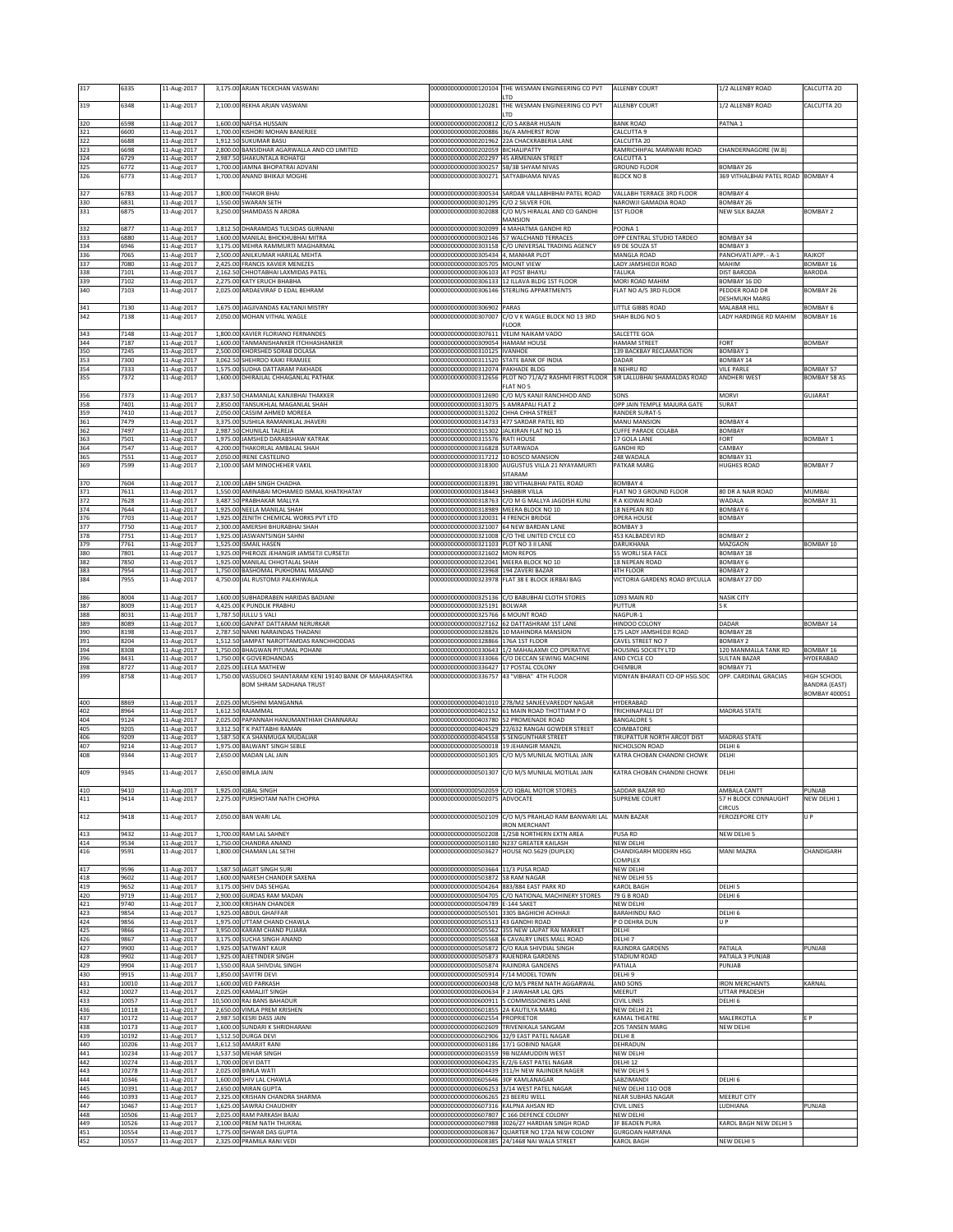|                   | 6335                    | 11-Aug-2017                               |                      | 3,175.00 ARJAN TECKCHAN VASWANI                                                              | 00000000000000120104                                                                | THE WESMAN ENGINEERING CO PVT<br>LTD                                                                                                               | ALLENBY COURT                                                 | 1/2 ALLENBY ROAD                         | CALCUTTA 20                                  |
|-------------------|-------------------------|-------------------------------------------|----------------------|----------------------------------------------------------------------------------------------|-------------------------------------------------------------------------------------|----------------------------------------------------------------------------------------------------------------------------------------------------|---------------------------------------------------------------|------------------------------------------|----------------------------------------------|
| 319               | 6348                    | 11-Aug-2017                               |                      | 2.100.00 REKHA ARJAN VASWANI                                                                 | 00000000000000120281                                                                | THE WESMAN ENGINEERING CO PVT                                                                                                                      | ALLENBY COURT                                                 | 1/2 ALLENBY ROAD                         | CALCUTTA 20                                  |
| 320               | 6598                    | 11-Aug-2017                               |                      | 1,600.00 NAFISA HUSSAIN                                                                      | 00000000000000200812 C/O S AKBAR HUSAIN                                             | LTD                                                                                                                                                | <b>BANK ROAD</b>                                              | PATNA <sub>1</sub>                       |                                              |
| 321<br>322        | 6600                    | 11-Aug-2017                               |                      | 1,700.00 KISHORI MOHAN BANERJEE<br>SUKUMAR BASU                                              | 00000000000000200886 36/A AMHERST ROW                                               |                                                                                                                                                    | CALCUTTA 9<br>CALCUTTA 20                                     |                                          |                                              |
| 323               | 6688<br>6698            | 11-Aug-2017<br>11-Aug-2017                | 1,912.50<br>2,800.00 | BANSIDHAR AGARWALLA AND CO LIMITED                                                           | 00000000000000202059 BICHALIPATTY                                                   | 000000000000000201962 22A CHACKRABERIA LANE                                                                                                        | RAMRICHHPAL MARWARI ROAD                                      | CHANDERNAGORE (W.B)                      |                                              |
| 324<br>325        | 6729<br>6772            | 11-Aug-2017<br>11-Aug-2017                | 2,987.50             | SHAKUNTALA ROHATGI<br>1,700.00 JAMNA BHOPATRAI ADVANI                                        | 00000000000000202297 45 ARMENIAN STREET<br>000000000000000300257 5B/3B SHYAM NIVAS  |                                                                                                                                                    | CALCUTTA 1<br><b>GROUND FLOOR</b>                             | BOMBAY 26                                |                                              |
| 326               | 6773                    | 11-Aug-2017                               |                      | 1,700.00 ANAND BHIKAJI MOGHE                                                                 | 000000000000000300271 SATYABHAMA NIVAS                                              |                                                                                                                                                    | <b>BLOCK NO 8</b>                                             | 369 VITHALBHAI PATEL ROAD BOMBAY 4       |                                              |
| 327               | 6783                    | 11-Aug-2017                               |                      | 1,800.00 THAKOR BHAI                                                                         |                                                                                     | 000000000000000300534 SARDAR VALLABHBHAI PATEL ROAD                                                                                                | VALLABH TERRACE 3RD FLOOR                                     | <b>BOMBAY 4</b>                          |                                              |
| 330<br>331        | 6831<br>6875            | 11-Aug-2017                               |                      | 1,550.00 SWARAN SETH                                                                         | 00000000000000301295 C/O 2 SILVER FOIL                                              |                                                                                                                                                    | NAROWJI GAMADIA ROAD                                          | BOMBAY 26<br><b>NEW SILK BAZAR</b>       | <b>BOMBAY 2</b>                              |
|                   |                         | 11-Aug-2017                               |                      | 3,250.00 SHAMDASS N ARORA                                                                    |                                                                                     | 00000000000000302088 C/O M/S HIRALAL AND CO GANDHI<br>MANSION                                                                                      | <b>1ST FLOOR</b>                                              |                                          |                                              |
| 332<br>333        | 6877<br>6880            | 11-Aug-2017<br>11-Aug-2017                |                      | 1,812.50 DHARAMDAS TULSIDAS GURNANI<br>1,600.00 MANILAL BHICKHUBHAI MITRA                    | 00000000000000302099                                                                | 4 MAHATMA GANDHI RD<br>00000000000000302146 57 WALCHAND TERRACES                                                                                   | POONA <sub>1</sub><br>OPP CENTRAL STUDIO TARDEO               | BOMBAY 34                                |                                              |
| 334               | 6946                    | 11-Aug-2017                               |                      | 3,175.00 MEHRA RAMMURTI MAGHARMAL                                                            |                                                                                     | 00000000000000303158 C/O UNIVERSAL TRADING AGENCY                                                                                                  | 69 DE SOUZA ST                                                | BOMBAY 3                                 |                                              |
| 336<br>337        | 7065<br>7080            | 11-Aug-2017<br>11-Aug-2017                | 2,425.00             | 2,500.00 ANILKUMAR HARILAL MEHTA<br><b>RANCIS XAVIER MENEZES</b>                             | 000000000000000305434 4. MANHAR PLOT<br>00000000000000305705 MOUNT VIEW             |                                                                                                                                                    | MANGLA ROAD<br>LADY JAMSHEDJI ROAD                            | PANCHVATI APP. - A-1<br>MAHIM            | RAJKOT<br>BOMBAY 16                          |
| 338<br>339        | 7101<br>7102            | 11-Aug-2017                               | 2,162.50             | CHHOTABHAI LAXMIDAS PATEL<br>2,275.00 KATY ERUCH BHABHA                                      | 00000000000000306103 AT POST BHAYLI                                                 | 00000000000000306133 12 ILLAVA BLDG 1ST FLOOR                                                                                                      | TALUKA<br>MORI ROAD MAHIM                                     | <b>DIST BARODA</b>                       | BARODA                                       |
| 340               | 7103                    | 11-Aug-2017<br>11-Aug-2017                |                      | 2,025.00 ARDAEVIRAF D EDAL BEHRAM                                                            |                                                                                     | 000000000000000306146 STERLING APPARTMENTS                                                                                                         | FLAT NO A/5 3RD FLOOR                                         | BOMBAY 16 DD<br>PEDDER ROAD DR           | <b>BOMBAY 26</b>                             |
| 341               | 7130                    | 11-Aug-2017                               |                      | 1,675.00 JAGJIVANDAS KALYANJI MISTRY                                                         | 00000000000000306902 PARAS                                                          |                                                                                                                                                    | LITTLE GIBBS ROAD                                             | DESHMUKH MARG<br>MALABAR HILL            | <b>BOMBAY 6</b>                              |
| 342               | 7138                    | 11-Aug-2017                               |                      | 2,050.00 MOHAN VITHAL WAGLE                                                                  | 00000000000000307007                                                                | C/O V K WAGLE BLOCK NO 13 3RD                                                                                                                      | SHAH BLDG NO 5                                                | LADY HARDINGE RD MAHIM                   | <b>BOMBAY 16</b>                             |
| 343               | 7148                    | 11-Aug-2017                               |                      | 1,800.00 XAVIER FLORIANO FERNANDES                                                           | 00000000000000307611                                                                | <b>FLOOR</b><br>VELIM NAIKAM VADO                                                                                                                  | SALCETTE GOA                                                  |                                          |                                              |
| 344               | 7187                    | 11-Aug-2017                               | 1.600.00             | TANMANISHANKER ITCHHASHANKER                                                                 | 00000000000000309054                                                                | HAMAM HOUSE                                                                                                                                        | <b>HAMAM STREET</b>                                           | ORT                                      | BOMBAY                                       |
| 350<br>353        | 7245<br>7300            | 11-Aug-2017<br>11-Aug-2017                | 3,062.50             | 2,500.00 KHORSHED SORAB DOLASA<br>SHEHROO KAIKI FRAMJEE                                      | 00000000000000310125  VANHOE<br>00000000000000311520 STATE BANK OF INDIA            |                                                                                                                                                    | 139 BACKBAY RECLAMATION<br>DADAR                              | <b>BOMBAY 1</b><br>BOMBAY 14             |                                              |
| 354<br>355        | 7333<br>7372            | 11-Aug-2017<br>11-Aug-2017                |                      | 1,575.00 SUDHA DATTARAM PAKHADE<br>1,600.00 DHIRAJLAL CHHAGANLAL PATHAK                      | 00000000000000312074 PAKHADE BLDG<br>00000000000000312656                           | PLOT NO 71/A/2 RASHMI FIRST FLOOR                                                                                                                  | 8 NEHRU RD<br>SIR LALLUBHAI SHAMALDAS ROAD                    | <b>VILE PARLE</b><br><b>ANDHERI WEST</b> | <b>BOMBAY 57</b><br><b>BOMBAY 58 AS</b>      |
|                   |                         |                                           |                      |                                                                                              |                                                                                     | FLAT NO 5                                                                                                                                          |                                                               |                                          |                                              |
| 356<br>358        | 7373<br>7401            | 11-Aug-2017<br>11-Aug-2017                |                      | 2,837.50 CHAMANLAL KANJIBHAI THAKKER<br>2,850.00 TANSUKHLAL MAGANLAL SHAH                    | 00000000000000313075 5 AMRAPALI FLAT 2                                              | 00000000000000312690 C/O M/S KANJI RANCHHOD AND                                                                                                    | SONS<br>OPP JAIN TEMPLE MAJURA GATE                           | <b>MORVI</b><br>SURAT                    | GUJARAT                                      |
| 359<br>361        | 7410<br>7479            | 11-Aug-2017<br>11-Aug-2017                |                      | 2,050.00 CASSIM AHMED MOREEA<br>3,375.00 SUSHILA RAMANIKLAL JHAVERI                          | 000000000000000313202 CHHA CHHA STREET<br>000000000000000314733 477 SARDAR PATEL RD |                                                                                                                                                    | RANDER SURAT-5<br>MANU MANSION                                | <b>BOMBAY 4</b>                          |                                              |
| 362               | 7497                    | 11-Aug-2017                               | 2,987.50             | CHUNILAL TALREJA                                                                             | 00000000000000315302 JALKIRAN FLAT NO 15                                            |                                                                                                                                                    | <b>CUFFE PARADE COLABA</b>                                    | <b>BOMBAY</b>                            |                                              |
| 363<br>364        | 7501<br>7547            | 11-Aug-2017<br>11-Aug-2017                | 1,975.00<br>4,200.00 | JAMSHED DARABSHAW KATRAK<br>THAKORLAL AMBALAL SHAH                                           | 00000000000000315576 RATI HOUSE<br>00000000000000316828 SUTARWADA                   |                                                                                                                                                    | 17 GOLA LANE<br><b>GANDHI RD</b>                              | FORT<br>CAMBAY                           | <b>BOMBAY 1</b>                              |
| 365               | 7551                    | 11-Aug-2017                               |                      | 2,050.00 IRENE CASTELINO                                                                     | 00000000000000317212 10 BOSCO MANSION                                               |                                                                                                                                                    | 248 WADALA                                                    | BOMBAY 31                                |                                              |
| 369               | 7599                    | 11-Aug-2017                               |                      | 2,100.00 SAM MINOCHEHER VAKIL                                                                | 00000000000000318300                                                                | AUGUSTUS VILLA 21 NYAYAMURTI<br>SITARAM                                                                                                            | PATKAR MARG                                                   | <b>HUGHES ROAD</b>                       | <b>BOMBAY 7</b>                              |
| 370<br>371        | 7604<br>7611            | 11-Aug-2017<br>11-Aug-2017                | 1,550.00             | 2,100.00 LABH SINGH CHADHA<br>AMINABAI MOHAMED ISMAIL KHATKHATAY                             | 00000000000000318391<br>000000000000000318443 SHABBIR VILLA                         | 380 VITHALBHAI PATEL ROAD                                                                                                                          | <b>BOMBAY 4</b><br>FLAT NO 3 GROUND FLOOR                     | 80 DR A NAIR ROAD                        | MUMBAI                                       |
| 372               | 7628                    | 11-Aug-2017                               |                      | 3,487.50 PRABHAKAR MALLYA                                                                    |                                                                                     | 00000000000000318763 C/O M G MALLYA JAGDISH KUNJ                                                                                                   | R A KIDWAI ROAD                                               | WADALA                                   | <b>BOMBAY 31</b>                             |
| 374<br>376        | 7644<br>7703            | 11-Aug-2017<br>11-Aug-2017                | 1,925.00             | 1,925.00 NEELA MANILAL SHAH<br>ZENITH CHEMICAL WORKS PVT LTD                                 | 00000000000000318989 MEERA BLOCK NO 10<br>000000000000000320031 4 FRENCH BRIDGE     |                                                                                                                                                    | 18 NEPEAN RD<br>OPERA HOUSE                                   | <b>BOMBAY 6</b><br><b>BOMBAY</b>         |                                              |
| 377               | 7750                    | 11-Aug-2017                               |                      | 2,300.00 AMERSHI BHURABHAI SHAH                                                              | 00000000000000321007 64 NEW BARDAN LANE                                             |                                                                                                                                                    | BOMBAY 3                                                      |                                          |                                              |
| 378<br>379        | 7751<br>7761            | 11-Aug-2017<br>11-Aug-2017                |                      | 1,925.00 JASWANTSINGH SAHNI<br>1,525.00 ISMAIL HASEN                                         | 000000000000000321103 PLOT NO 3 II LANE                                             | 00000000000000321008 C/O THE UNITED CYCLE CO                                                                                                       | 453 KALBADEVI RD<br>DARUKHANA                                 | <b>BOMBAY 2</b><br>MAZGAON               | <b>BOMBAY 10</b>                             |
| 380<br>382        | 7801<br>7850            | 11-Aug-2017<br>11-Aug-2017                |                      | 1,925.00 PHEROZE JEHANGIR JAMSETJI CURSETJI<br>1,925.00 MANILAL CHHOTALAL SHAH               | 00000000000000321602 MON REPOS<br>00000000000000322041 MEERA BLOCK NO 10            |                                                                                                                                                    | 55 WORLI SEA FACE<br><b>18 NEPEAN ROAD</b>                    | <b>BOMBAY 18</b><br>BOMBAY 6             |                                              |
| 383               | 7954                    | 11-Aug-2017                               |                      | 1,750.00 BASHOMAL PUKHOMAL MASAND                                                            | 000000000000000323968 194 ZAVERI BAZAR                                              |                                                                                                                                                    | 4TH FLOOR                                                     | BOMBAY 2                                 |                                              |
| 384               | 7955                    | 11-Aug-2017                               |                      | 4,750.00 JAL RUSTOMJI PALKHIWALA                                                             |                                                                                     | 00000000000000323978 FLAT 38 E BLOCK JERBAI BAG                                                                                                    | VICTORIA GARDENS ROAD BYCULLA                                 | BOMBAY 27 DD                             |                                              |
| 386               | 8004                    | 11-Aug-2017                               |                      | 1,600.00 SUBHADRABEN HARIDAS BADIANI                                                         |                                                                                     | 00000000000000325136 C/O BABUBHAI CLOTH STORES                                                                                                     | 1093 MAIN RD                                                  | <b>NASIK CITY</b>                        |                                              |
| 387<br>388        | 8009<br>8031            | 11-Aug-2017<br>11-Aug-2017                | 1,787.50             | 4,425.00 K PUNDLIK PRABHU<br>JULLU S VALI                                                    | 00000000000000325191 BOLWAR<br>00000000000000325766 6 MOUNT ROAD                    |                                                                                                                                                    | PUTTUR<br>NAGPUR-1                                            | S K                                      |                                              |
| 389<br>390        | 8089<br>8198            | 11-Aug-2017<br>11-Aug-2017                | 1.600.00<br>2,787.50 | GANPAT DATTARAM NERURKAR<br>NANKI NARAINDAS THADANI                                          |                                                                                     | 00000000000000327162 62 DATTASHRAM 1ST LANE<br>00000000000000328826 10 MAHINDRA MANSION                                                            | HINDOO COLONY<br>75 LADY JAMSHEDJI ROAD                       | DADAR<br>BOMBAY 28                       | BOMBAY 14                                    |
| 391               | 8204                    | 11-Aug-2017                               | 1,512.5              | AMPAT NAROTTAMDAS RANCHHODDAS                                                                | 00000000000000328866 176A 1ST FLOOR                                                 |                                                                                                                                                    | CAVEL STREET NO 7                                             | BOMBAY 2                                 |                                              |
| 394<br>396        | 8308                    |                                           |                      |                                                                                              |                                                                                     |                                                                                                                                                    |                                                               |                                          | BOMBAY 16                                    |
|                   |                         | 11-Aug-2017                               |                      | 1,750.00 BHAGWAN PITUMAL POHANI                                                              |                                                                                     | 00000000000000330643 1/2 MAHALAXMI CO OPERATIVE                                                                                                    | HOUSING SOCIETY LTD                                           | 120 MANMALLA TANK RD                     |                                              |
| 398               | 8431<br>8727            | 11-Aug-2017<br>11-Aug-2017                |                      | 1,750.00 K GOVERDHANDAS<br>2,025.00 LEELA MATHEW                                             | 00000000000000336427 17 POSTAL COLONY                                               | 00000000000000333066 C/O DECCAN SEWING MACHINE                                                                                                     | AND CYCLE CO<br>CHEMBUR                                       | <b>SULTAN BAZAR</b><br>BOMBAY 71         | HYDERABAD                                    |
| 399               | 8758                    | 11-Aug-2017                               |                      | 1,750.00 VASSUDEO SHANTARAM KENI 19140 BANK OF MAHARASHTRA<br><b>BOM SHRAM SADHANA TRUST</b> | 00000000000000336757 43 "VIBHA" 4TH FLOOR                                           |                                                                                                                                                    | VIDNYAN BHARATI CO-OP HSG.SOC                                 | OPP. CARDINAL GRACIAS                    | HIGH SCHOOL                                  |
|                   |                         |                                           |                      |                                                                                              |                                                                                     |                                                                                                                                                    |                                                               |                                          | <b>BANDRA (EAST)</b><br><b>BOMBAY 400051</b> |
| 400<br>402        | 8869<br>8964            | 11-Aug-2017<br>11-Aug-2017                |                      | 2,025.00 MUSHINI MANGANNA<br>1,612.50 RAJAMMAL                                               |                                                                                     | 000000000000000401010 278/M2 SANJEEVAREDDY NAGAR<br>000000000000000402152 61 MAIN ROAD THOTTIAM P O                                                | HYDERABAD<br>TRICHINAPALLI DT                                 | MADRAS STATE                             |                                              |
| 404               | 9124                    | 11-Aug-2017                               |                      | 2,025.00 PAPANNAH HANUMANTHIAH CHANNARAJ                                                     | 00000000000000403780 52 PROMENADE ROAD                                              |                                                                                                                                                    | <b>BANGALORE 5</b>                                            |                                          |                                              |
| 405<br>406        | 9205<br>9209            | 11-Aug-2017<br>11-Aug-2017                | 3,312.5<br>1,587.5   | T K PATTABHI RAMAN<br><b>KA SHANMUGA MUDALIAR</b>                                            | 00000000000000404529<br>0000000000000404558                                         | 22/632 RANGAI GOWDER STREET<br><b>5 SENGUNTHAR STREET</b>                                                                                          | COIMBATORE<br>TIRUPATTUR NORTH ARCOT DIST                     | <b>MADRAS STATE</b>                      |                                              |
| 407<br>408        | 9214<br>9344            | 11-Aug-2017                               |                      | 1,975.00 BALWANT SINGH SEBLE<br>2,650.00 MADAN LAL JAIN                                      | 00000000000000500018 19 JEHANGIR MANZIL                                             | 000000000000000501305 C/O M/S MUNILAL MOTILAL JAIN                                                                                                 | NICHOLSON ROAD<br>KATRA CHOBAN CHANDNI CHOWK                  | DELHI 6<br>DELHI                         |                                              |
|                   |                         | 11-Aug-2017                               |                      |                                                                                              |                                                                                     |                                                                                                                                                    |                                                               |                                          |                                              |
| 409               | 9345                    | 11-Aug-2017                               |                      | 2,650.00 BIMLA JAIN                                                                          |                                                                                     | 00000000000000501307 C/O M/S MUNILAL MOTILAL JAIN                                                                                                  | KATRA CHOBAN CHANDNI CHOWK                                    | DELHI                                    |                                              |
| 410               | 9410                    | 11-Aug-2017                               |                      | 1,925.00 IQBAL SINGH                                                                         | 00000000000000502075                                                                | 00000000000000502059 C/O IQBAL MOTOR STORES<br>ADVOCATE                                                                                            | SADDAR BAZAR RD<br><b>SUPREME COURT</b>                       | AMBALA CANTT                             | PUNJAB                                       |
| 411               | 9414                    | 11-Aug-2017                               |                      | 2,275.00 PURSHOTAM NATH CHOPRA                                                               |                                                                                     |                                                                                                                                                    |                                                               | 57 H BLOCK CONNAUGHT<br><b>CIRCUS</b>    | NEW DELHI 1                                  |
| 412               | 9418                    | 11-Aug-2017                               |                      | 2,050.00 BAN WARI LAL                                                                        |                                                                                     | 00000000000000502109 C/O M/S PRAHLAD RAM BANWARI LAL MAIN BAZAR<br><b>IRON MERCHANT</b>                                                            |                                                               | FEROZEPORE CITY                          | U P                                          |
| 413               | 9432                    | 11-Aug-2017                               |                      | 1,700.00 RAM LAL SAHNEY                                                                      |                                                                                     | 000000000000000502208 1/25B NORTHERN EXTN AREA                                                                                                     | PUSA RD                                                       | NEW DELHI 5                              |                                              |
| 414<br>416        | 9534<br>9591            | 11-Aug-2017<br>11-Aug-2017                | 1.800.00             | 1,750.00 CHANDRA ANAND<br><b>CHAMAN LAL SETHI</b>                                            | 00000000000000503627                                                                | 000000000000000503180 N237 GREATER KAILASH<br>HOUSE NO.5629 (DUPLEX)                                                                               | NEW DELHI<br>CHANDIGARH MODERN HSG                            | <b>MANI MAZRA</b>                        | CHANDIGARH                                   |
| 417               | 9596                    | 11-Aug-2017                               | 1,587.50             | <b>JAGJIT SINGH SURI</b>                                                                     | 00000000000000503664 11/3 PUSA ROAD                                                 |                                                                                                                                                    | COMPLEX<br>NEW DELHI                                          |                                          |                                              |
| 418               | 9602                    | 11-Aug-2017                               | 1,600.00             | NARESH CHANDER SAXENA                                                                        | 00000000000000503872 58 RAM NAGAR                                                   |                                                                                                                                                    | NEW DELHI 55                                                  |                                          |                                              |
| 419<br>420        | 9652<br>9719            | 11-Aug-2017<br>11-Aug-2017                |                      | 3,175.00 SHIV DAS SEHGAL<br>2,900.00 GURDAS RAM MADAN                                        | 00000000000000504264 883/884 EAST PARK RD                                           | 00000000000000504705 C/O NATIONAL MACHINERY STORES                                                                                                 | KAROL BAGH<br>79 G B ROAD                                     | DELHI <sub>5</sub><br>DELHI 6            |                                              |
| 421               | 9740                    | 11-Aug-2017                               |                      | 2,300.00 KRISHAN CHANDER                                                                     | 00000000000000504789 E-144 SAKET                                                    |                                                                                                                                                    | NEW DELHI                                                     |                                          |                                              |
| 423<br>424        | 9854<br>9856            | 11-Aug-2017<br>11-Aug-2017                | 1,925.00<br>1,975.00 | <b>ABDUL GHAFFAR</b><br>UTTAM CHAND CHAWLA                                                   | 00000000000000505513 43 GANDHI ROAD                                                 | 000000000000000505501 3305 BAGHICHI ACHHAJI                                                                                                        | BARAHINDU RAO<br>O DEHRA DUN                                  | DELHI 6<br>U P                           |                                              |
| 425<br>426        | 9866<br>9867            | 11-Aug-2017                               |                      | 3,950.00 KARAM CHAND PUJARA                                                                  |                                                                                     | 00000000000000505562 355 NEW LAJPAT RAI MARKET<br>000000000000000505568 6 CAVALRY LINES MALL ROAD                                                  | DELHI<br>DELHI 7                                              |                                          |                                              |
| 427               | 9900                    | 11-Aug-2017<br>11-Aug-2017                | 1,925.00             | 3,175.00 SUCHA SINGH ANAND<br>SATWANT KAUR                                                   |                                                                                     | 00000000000000505872 C/O RAJA SHIVDIAL SINGH                                                                                                       | RAJINDRA GARDENS                                              | PATIALA                                  | PUNJAB                                       |
| 428<br>429        | 9902<br>9904            | 11-Aug-2017<br>11-Aug-2017                | 1,925.00             | AJEETINDER SINGH<br>1,550.00 RAJA SHIVDIAL SINGH                                             | 00000000000000505873<br>00000000000000505874 RAJINDRA GANDENS                       | RAJENDRA GARDENS                                                                                                                                   | STADIUM ROAD<br>PATIALA                                       | PATIALA 3 PUNJAB<br>PUNJAB               |                                              |
| 430               | 9915                    | 11-Aug-2017                               |                      | 1,850.00 SAVITRI DEVI                                                                        | 000000000000000505914 F/14 MODEL TOWN                                               |                                                                                                                                                    | DELHI 9                                                       |                                          |                                              |
| 431<br>432        | 10010<br>10027          | 11-Aug-2017<br>11-Aug-2017                |                      | 1,600.00 VED PARKASH<br>2,025.00 KAMALIT SINGH                                               | 00000000000000600634 F 2 JAWAHAR LAL QRS                                            | 00000000000000600348 C/O M/S PREM NATH AGGARWAL                                                                                                    | AND SONS<br>MEERUT                                            | <b>IRON MERCHANTS</b><br>UTTAR PRADESH   | KARNAL                                       |
| 433<br>436        | 10057<br>10118          | 11-Aug-2017<br>11-Aug-2017                |                      | 10,500.00 RAJ BANS BAHADUR<br>2,650.00 VIMLA PREM KRISHEN                                    | 00000000000000601855 2A KAUTILYA MARG                                               | 00000000000000600911 5 COMMISSIONERS LANE                                                                                                          | CIVIL LINES<br>NEW DELHI 21                                   | DELHI 6                                  |                                              |
| 437               | 10172                   | 11-Aug-2017                               | 2,987.50             | <b>KESRI DASS JAIN</b>                                                                       | 00000000000000602554 PROPRIETOR                                                     |                                                                                                                                                    | KAMAL THEATRE                                                 | MALERKOTLA                               | F <sub>P</sub>                               |
| 438<br>439        | 10173<br>10192          | 11-Aug-2017<br>11-Aug-2017                | 1,600.00<br>1,512.50 | SUNDARI K SHRIDHARANI<br><b>DURGA DEVI</b>                                                   | 00000000000000602609 TRIVENIKALA SANGAM                                             | 00000000000000602906 32/9 EAST PATEL NAGAR                                                                                                         | 205 TANSEN MARG<br>DELHI 8                                    | <b>NEW DELHI</b>                         |                                              |
| 440               | 10206<br>10234          | 11-Aug-2017                               | 1,612.50             | <b>AMARJIT RANI</b>                                                                          | 00000000000000603186 17/1 GOBIND NAGAR                                              |                                                                                                                                                    | DEHRADUN                                                      |                                          |                                              |
| 441<br>442        | 10274                   | 11-Aug-2017<br>11-Aug-2017                | 1,537.50             | MEHAR SINGH<br>1,700.00 DEVI DATT                                                            | 00000000000000603559 9B NIZAMUDDIN WEST                                             | 00000000000000604235 E/2/6 EAST PATEL NAGAR                                                                                                        | NEW DELHI<br>DELHI 12                                         |                                          |                                              |
| 443<br>444        | 10278<br>10346          | 11-Aug-2017<br>11-Aug-2017                |                      | 2,025.00 BIMLA WATI<br>1,600.00 SHIV LAL CHAWLA                                              | 00000000000000605646 30F KAMLANAGAR                                                 | 00000000000000604439 311/H NEW RAJINDER NAGER                                                                                                      | NEW DELHI 5<br>SABZIMANDI                                     | DELHI 6                                  |                                              |
| 445               | 10391                   | 11-Aug-2017                               |                      | 2,650.00 MIRAN GUPTA                                                                         |                                                                                     | 00000000000000606253 3/14 WEST PATEL NAGAR                                                                                                         | <b>NEW DELHI 110 008</b>                                      |                                          |                                              |
| 446<br>447        | 10393<br>10467          | 11-Aug-2017<br>11-Aug-2017                |                      | 2,325.00 KRISHAN CHANDRA SHARMA<br>1,625.00 SAWRAJ CHAUDHRY                                  | 00000000000000606265 23 BEERU WELL<br>00000000000000607316 KALPNA AHSAN RD          |                                                                                                                                                    | <b>NEAR SUBHAS NAGAR</b><br>CIVIL LINES                       | MEERUT CITY<br>LUDHIANA                  | PUNJAB                                       |
| 448               | 10506                   | 11-Aug-2017                               |                      | 2,025.00 RAM PARKASH BAJAJ                                                                   |                                                                                     | 00000000000000607807 C 166 DEFENCE COLONY                                                                                                          | NEW DELHI                                                     | KAROL BAGH NEW DELHI 5                   |                                              |
| 449<br>451<br>452 | 10526<br>10554<br>10557 | 11-Aug-2017<br>11-Aug-2017<br>11-Aug-2017 |                      | 2,100.00 PREM NATH THUKRAL<br>1,775.00 ISHWAR DAS GUPTA<br>2,325.00 PRAMILA RANI VEDI        |                                                                                     | 00000000000000607988 3026/27 HARDIAN SINGH ROAD<br>00000000000000608367 QUARTER NO 172A NEW COLONY<br>00000000000000608385 24/1468 NAI WALA STREET | <b>3F BEADEN PURA</b><br><b>GURGOAN HARYANA</b><br>KAROL BAGH | NEW DELHI 5                              |                                              |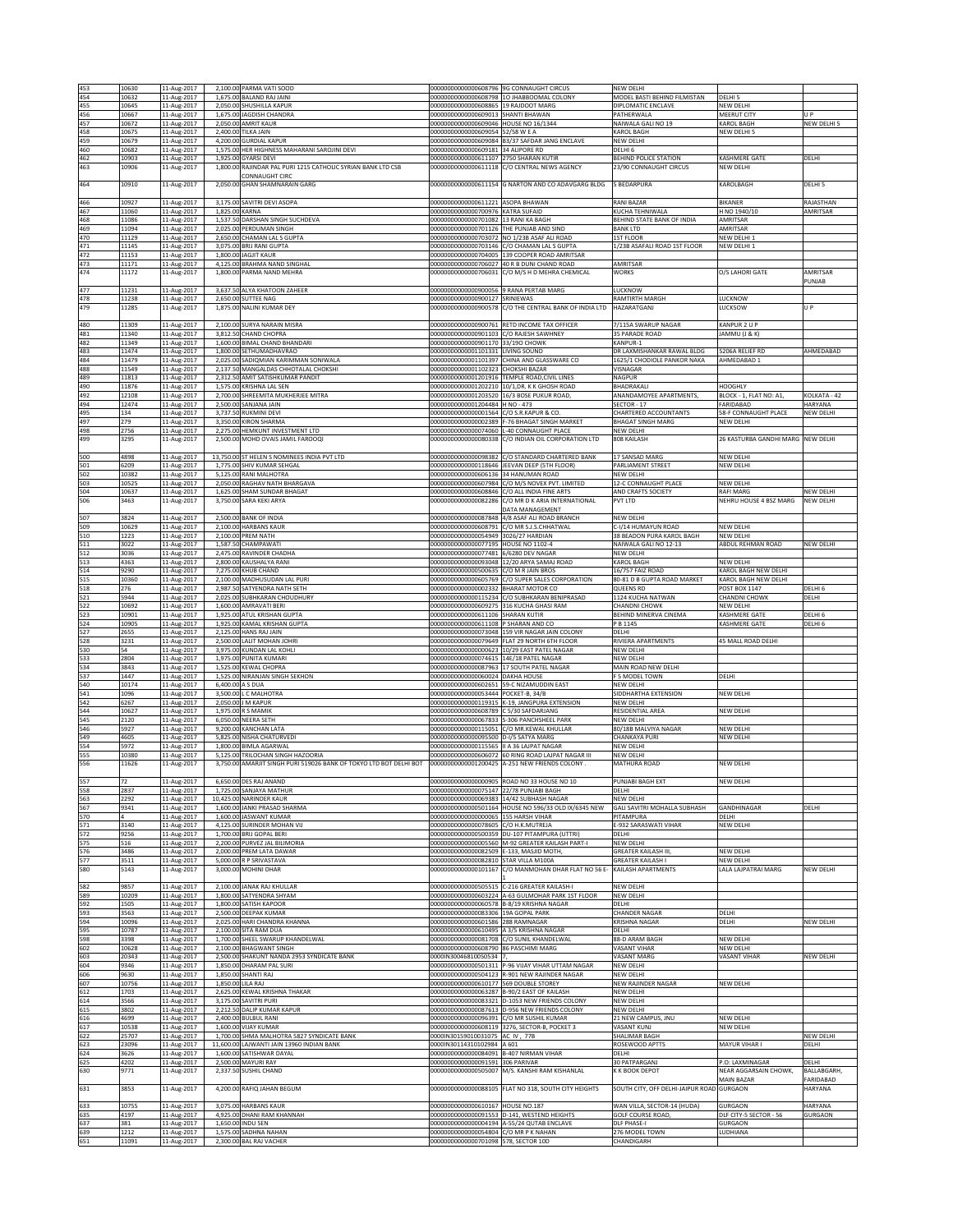| 453        | 10630          | 11-Aug-2017                |                  | 2,100.00 PARMA VATI SOOD                                                                                |                                                                               | 00000000000000608796 9G CONNAUGHT CIRCUS                                                             | NEW DELHI                                     |                                          |                             |
|------------|----------------|----------------------------|------------------|---------------------------------------------------------------------------------------------------------|-------------------------------------------------------------------------------|------------------------------------------------------------------------------------------------------|-----------------------------------------------|------------------------------------------|-----------------------------|
| 454        | 10632          | 11-Aug-2017                |                  | 1,675.00 BALAND RAJ JAINI                                                                               | 0000000000000608798                                                           | 10 JHABBOOMAL COLONY                                                                                 | MODEL BASTI BEHIND FILMISTAN                  | DELHI <sub>5</sub>                       |                             |
| 455<br>456 | 10645<br>10667 | 11-Aug-2017<br>11-Aug-2017 |                  | 2,050.00 SHUSHILLA KAPUR<br>1,675.00 JAGDISH CHANDRA                                                    | 00000000000000608865<br>00000000000000609013 SHANTI BHAWAN                    | 19 RAJDOOT MARG                                                                                      | DIPLOMATIC ENCLAVE<br>PATHERWALA              | <b>NEW DELHI</b><br>MEERUT CITY          | U P                         |
| 457        | 10672          | 11-Aug-2017                |                  | 2,050.00 AMRIT KAUR                                                                                     | 00000000000000609046 HOUSE NO 16/1344                                         |                                                                                                      | NAIWALA GALI NO 19                            | KAROL BAGH                               | NEW DELHI 5                 |
| 458        | 10675          | 11-Aug-2017                |                  | 2,400.00 TILKA JAIN                                                                                     | 00000000000000609054                                                          | 52/58 W E A                                                                                          | KAROL BAGH                                    | NEW DELHI 5                              |                             |
| 459<br>460 | 10679<br>10682 | 11-Aug-2017<br>11-Aug-2017 |                  | 4,200.00 GURDIAL KAPUR<br>1,575.00 HER HIGHNESS MAHARANI SAROJINI DEVI                                  | 0000000000000609084<br>00000000000000609181                                   | <b>B3/37 SAFDAR JANG ENCLAVE</b><br>34 ALIPORE RD                                                    | NEW DELHI<br>DELHI 6                          |                                          |                             |
| 462        | 10903          | 11-Aug-2017                |                  | 1.925.00 GYARSI DEVI                                                                                    | 00000000000000611107 2750 SHARAN KUTIR                                        |                                                                                                      | <b>BEHIND POLICE STATION</b>                  | KASHMERE GATE                            | DELHI                       |
| 463        | 10906          | 11-Aug-2017                |                  | 1,800.00 RAJINDAR PAL PURI 1215 CATHOLIC SYRIAN BANK LTD CSB                                            |                                                                               | 00000000000000611118 C/O CENTRAL NEWS AGENCY                                                         | 23/90 CONNAUGHT CIRCUS                        | NEW DELHI                                |                             |
| 464        | 10910          | 11-Aug-2017                |                  | <b>CONNAUGHT CIRC</b><br>2,050.00 GHAN SHAMNARAIN GARG                                                  |                                                                               | 00000000000000611154 G NARTON AND CO ADAVGARG BLDG                                                   | 5 BEDARPURA                                   | KAROLBAGH                                | DELHI 5                     |
|            |                |                            |                  |                                                                                                         |                                                                               |                                                                                                      |                                               |                                          |                             |
| 466        | 10927          | 11-Aug-2017                |                  | 3,175.00 SAVITRI DEVI ASOPA                                                                             | 00000000000000611221 ASOPA BHAWAN                                             |                                                                                                      | <b>RANI BAZAR</b>                             | <b>BIKANER</b>                           | RAJASTHAN                   |
| 467        | 1060           | 11-Aug-2017                | 1.825.00 KARNA   |                                                                                                         | 00000000000000700976 KATRA SUFAID                                             |                                                                                                      | KUCHA TEHNIWALA                               | H NO 1940/10                             | AMRITSAR                    |
| 468<br>469 | 1086<br>11094  | 11-Aug-2017<br>11-Aug-2017 |                  | 1,537.50 DARSHAN SINGH SUCHDEVA<br>2,025.00 PERDUMAN SINGH                                              | 00000000000000701082<br>00000000000000701126 THE PUNJAB AND SIND              | 13 RANI KA BAGH                                                                                      | BEHIND STATE BANK OF INDIA<br><b>BANK LTD</b> | AMRITSAR<br>AMRITSAR                     |                             |
| 470        | 11129          | 11-Aug-2017                |                  | 2,650.00 CHAMAN LAL S GUPTA                                                                             |                                                                               | 00000000000000703072 NO 1/23B ASAF ALI ROAD                                                          | 1ST FLOOR                                     | NEW DELHI 1                              |                             |
| 471        | 11145          | 11-Aug-2017                |                  | 3,075.00 BRIJ RANI GUPTA                                                                                | 00000000000000703146                                                          | C/O CHAMAN LAL S GUPTA                                                                               | 1/23B ASAFALI ROAD 1ST FLOOR                  | NEW DELHI 1                              |                             |
| 472<br>473 | 11153<br>11171 | 11-Aug-2017<br>11-Aug-2017 |                  | 1,800.00 JAGJIT KAUR<br>4,125.00 BRAHMA NAND SINGHAL                                                    |                                                                               | 00000000000000704005 339 COOPER ROAD AMRITSAR<br>00000000000000706027 40 R B DUNI CHAND ROAD         | AMRITSAR                                      |                                          |                             |
| 474        | 11172          | 11-Aug-2017                |                  | 1,800.00 PARMA NAND MEHRA                                                                               |                                                                               | 00000000000000706031 C/O M/S H D MEHRA CHEMICAL                                                      | <b>WORKS</b>                                  | O/S LAHORI GATE                          | AMRITSAR                    |
|            |                |                            |                  |                                                                                                         |                                                                               |                                                                                                      |                                               |                                          | PUNJAB                      |
| 477        | 11231          | 11-Aug-2017                |                  | 3,637.50 ALYA KHATOON ZAHEER                                                                            | 00000000000000900056                                                          | 9 RANA PERTAB MARG<br>SRINIEWAS                                                                      | <b>UCKNOW</b>                                 |                                          |                             |
| 478<br>479 | 11238<br>11285 | 11-Aug-2017<br>11-Aug-2017 |                  | 2,650.00 SUTTEE NAG<br>1,875.00 NALINI KUMAR DEY                                                        | 00000000000000900127<br>00000000000000900578                                  | C/O THE CENTRAL BANK OF INDIA LTD                                                                    | RAMTIRTH MARGH<br>HAZARATGANJ                 | LUCKNOW<br>LUCK5OW                       | U P                         |
|            |                |                            |                  |                                                                                                         |                                                                               |                                                                                                      |                                               |                                          |                             |
| 480        | 11309          | 11-Aug-2017                |                  | 2,100.00 SURYA NARAIN MISRA                                                                             | 00000000000000900761                                                          | RETD INCOME TAX OFFICER                                                                              | 7/115A SWARUP NAGAR                           | KANPUR 2 U P                             |                             |
| 481<br>482 | 1340<br>11349  | 11-Aug-2017<br>11-Aug-2017 |                  | 3,812.50 CHAND CHOPRA<br>1,600.00 BIMAL CHAND BHANDARI                                                  | 00000000000000901103 C/O RAJESH SAWHNEY<br>00000000000000901170 33/19O CHOWK  |                                                                                                      | 35 PARADE ROAD<br>KANPUR-1                    | JAMMU (J & K)                            |                             |
| 483        | 11474          | 11-Aug-2017                |                  | 1,800.00 SETHUMADHAVRAO                                                                                 | 000000000000001101331 LIVING SOUND                                            |                                                                                                      | DR LAXMISHANKAR RAWAL BLDG                    | 5206A RELIEF RD                          | AHMEDABAD                   |
| 484        | 11479          | 11-Aug-2017                |                  | 2,025.00 SADIOMIAN KARIMMAN SONIWALA                                                                    | 00000000000001101397                                                          | CHINA AND GLASSWARE CO                                                                               | 1625/1 CHODIOLE PANKOR NAKA                   | AHMEDABAD 1                              |                             |
| 488        | 11549          | 11-Aug-2017                |                  | 2,137.50 MANGALDAS CHHOTALAL CHOKSHI                                                                    | 00000000000001102323                                                          | CHOKSHI BAZAR                                                                                        | VISNAGAR                                      |                                          |                             |
| 489<br>490 | 11813<br>11876 | 11-Aug-2017<br>11-Aug-2017 |                  | 2,312.50 AMIT SATISHKUMAR PANDIT<br>1,575.00 KRISHNA LAL SEN                                            | 00000000000001201916                                                          | TEMPLE ROAD, CIVIL LINES<br>00000000000001202210 10/1,DR. K K GHOSH ROAD                             | NAGPUR<br>BHADRAKALI                          | HOOGHLY                                  |                             |
| 492        | 12108          | 11-Aug-2017                |                  | 2,700.00 SHREEMITA MUKHERJEE MITRA                                                                      |                                                                               | 00000000000001203520 16/3 BOSE PUKUR ROAD,                                                           | ANANDAMOYEE APARTMENTS.                       | BLOCK - 1, FLAT NO: A1,                  | KOLKATA - 42                |
| 494        | 12474          | 11-Aug-2017                |                  | 2,500.00 SANJANA JAIN                                                                                   | 00000000000001204484 H NO - 473                                               |                                                                                                      | SECTOR - 17                                   | FARIDABAD                                | HARYANA                     |
| 495<br>497 | 134            | 11-Aug-2017                |                  | 3,737.50 RUKMINI DEVI<br>3,350.00 KIRON SHARMA                                                          | 00000000000000001564 C/O S.R.KAPUR & CO.                                      |                                                                                                      | CHARTERED ACCOUNTANTS                         | 58-F CONNAUGHT PLACE                     | NEW DELHI                   |
| 498        | 279<br>2756    | 11-Aug-2017<br>11-Aug-2017 |                  | 2,275.00 HEMKUNT INVESTMENT LTD                                                                         | 00000000000000002389<br>0000000000000074060                                   | -76 BHAGAT SINGH MARKET<br>-40 CONNAUGHT PLACE                                                       | <b>BHAGAT SINGH MARG</b><br>NEW DELHI         | NEW DELHI                                |                             |
| 499        | 3295           | 11-Aug-2017                |                  | 2,500.00 MOHD OVAIS JAMIL FAROOQI                                                                       | 00000000000000080338                                                          | C/O INDIAN OIL CORPORATION LTD                                                                       | 808 KAILASH                                   | 26 KASTURBA GANDHI MARG                  | <b>NEW DELHI</b>            |
|            |                |                            |                  |                                                                                                         |                                                                               |                                                                                                      |                                               |                                          |                             |
| 500<br>501 | 4898<br>5209   | 11-Aug-2017                |                  | 13,750.00 ST HELEN S NOMINEES INDIA PVT LTD<br>1,775.00 SHIV KUMAR SEHGAL                               | 00000000000000098382<br>00000000000000118646                                  | C/O STANDARD CHARTERED BANK<br>JEEVAN DEEP (5TH FLOOR)                                               | 17 SANSAD MARG<br>PARLIAMENT STREET           | NEW DELHI<br>NEW DELHI                   |                             |
| 502        | 10382          | 11-Aug-2017<br>11-Aug-2017 |                  | 5,125.00 RANI MALHOTRA                                                                                  | 00000000000000606136 34 HANUMAN ROAD                                          |                                                                                                      | NEW DELHI                                     |                                          |                             |
| 503        | 10525          | 11-Aug-2017                |                  | 2,050.00 RAGHAV NATH BHARGAVA                                                                           |                                                                               | 00000000000000607984 C/O M/S NOVEX PVT. LIMITED                                                      | 12-C CONNAUGHT PLACE                          | NEW DELHI                                |                             |
| 504        | 10637          | 11-Aug-2017                |                  | 1,625.00 SHAM SUNDAR BHAGAT                                                                             |                                                                               | 00000000000000608846 C/O ALL INDIA FINE ARTS<br>C/O MR D K ARIA INTERNATIONAL                        | AND CRAFTS SOCIETY                            | RAFI MARG                                | NEW DELHI                   |
| 506        | 3463           | 11-Aug-2017                |                  | 3,750.00 SARA KEKI ARYA                                                                                 | 0000000000000082286                                                           | <b>DATA MANAGEMENT</b>                                                                               | PVT LTD                                       | NEHRU HOUSE 4 BSZ MARG                   | NEW DELH                    |
| 507        | 3824           | 11-Aug-2017                |                  | 2,500.00 BANK OF INDIA                                                                                  |                                                                               | 000000000000000087848 4/8 ASAF ALI ROAD BRANCH                                                       | NEW DELHI                                     |                                          |                             |
| 509        | 10629          | 11-Aug-2017                |                  | 2,100.00 HARBANS KAUR                                                                                   | 00000000000000608791                                                          | C/O MR S.J.S.CHHATWAL                                                                                | C-I/14 HUMAYUN ROAD                           | NEW DELHI                                |                             |
| 510        | 1223           | 11-Aug-2017                |                  | 2,100.00 PREM NATH                                                                                      | 00000000000000054949                                                          | 3026/27 HARDIAN                                                                                      | 38 BEADON PURA KAROL BAGH                     | <b>NEW DELHI</b>                         |                             |
| 511<br>512 | 3022<br>3036   | 11-Aug-2017<br>11-Aug-2017 |                  | 1,587.50 CHAMPAWATI<br>2,475.00 RAVINDER CHADHA                                                         | 00000000000000077195 HOUSE NO 1102-4<br>00000000000000077481 6/6280 DEV NAGAR |                                                                                                      | NAIWALA GALI NO 12-13<br>NEW DELHI            | ABDUL REHMAN ROAD                        | NEW DELHI                   |
| 513        | 4363           | 11-Aug-2017                |                  | 2,800.00 KAUSHALYA RANI                                                                                 |                                                                               | 00000000000000093048 12/20 ARYA SAMAJ ROAD                                                           | KAROL BAGH                                    | NEW DELHI                                |                             |
| 514        | 9290           | 11-Aug-2017                |                  | 7,275.00 KHUB CHAND                                                                                     | 00000000000000500635                                                          | C/O M R JAIN BROS                                                                                    | 16/757 FAIZ ROAD                              | KAROL BAGH NEW DELHI                     |                             |
| 515        | 10360          | 11-Aug-2017                |                  | 2,100.00 MADHUSUDAN LAL PURI                                                                            | 0000000000000605769                                                           | C/O SUPER SALES CORPORATION                                                                          | 80-81 D B GUPTA ROAD MARKET                   | KAROL BAGH NEW DELHI                     |                             |
| 518<br>521 | 276<br>5944    | 11-Aug-2017<br>11-Aug-2017 |                  | 2,987.50 SATYENDRA NATH SETH<br>2,025.00 SUBHKARAN CHOUDHURY                                            | 00000000000000002332<br>00000000000000115234                                  | <b>BHARAT MOTOR CO</b><br>C/O SUBHKARAN BENIPRASAD                                                   | QUEENS RD<br>1124 KUCHA NATWAN                | POST BOX 1147<br>CHANDNI CHOWK           | DELHI <sub>6</sub><br>DELHI |
| 522        | 10692          | 11-Aug-2017                |                  | 1,600.00 AMRAVATI BERI                                                                                  | 00000000000000609275 316 KUCHA GHASI RAM                                      |                                                                                                      | <b>CHANDNI CHOWK</b>                          | <b>NEW DELHI</b>                         |                             |
| 523        | 10901          | 11-Aug-2017                |                  | 1.925.00 ATUL KRISHAN GUPTA                                                                             | 00000000000000611106 SHARAN KUTIR                                             |                                                                                                      | BEHIND MINERVA CINEMA                         | <b>KASHMERE GATE</b>                     | DELHI <sub>6</sub>          |
| 524        | 10905          | 11-Aug-2017                |                  | 1,925.00 KAMAL KRISHAN GUPTA                                                                            | 00000000000000611108 P SHARAN AND CO                                          |                                                                                                      | P B 1145                                      | KASHMERE GATE                            | DELHI 6                     |
| 527<br>528 | 2655<br>3231   | 11-Aug-2017<br>11-Aug-2017 |                  | 2,125.00 HANS RAJ JAIN<br>2,500.00 LALIT MOHAN JOHRI                                                    |                                                                               | 00000000000000073048 159 VIR NAGAR JAIN COLONY<br>00000000000000079649 FLAT 29 NORTH 6TH FLOOR       | DELHI<br>RIVIERA APARTMENTS                   | 45 MALL ROAD DELHI                       |                             |
| 530        | 54             | 11-Aug-2017                |                  | 3,975.00 KUNDAN LAL KOHLI                                                                               |                                                                               | 00000000000000000623 10/29 EAST PATEL NAGAR                                                          | NEW DELHI                                     |                                          |                             |
| 533        | 2804           | 11-Aug-2017                |                  | 1,975.00 PUNITA KUMARI                                                                                  | 00000000000000074615 14E/18 PATEL NAGAR                                       |                                                                                                      | NEW DELHI                                     |                                          |                             |
| 534<br>537 | 3843<br>1447   | 11-Aug-2017<br>11-Aug-2017 |                  | 1,525.00 KEWAL CHOPRA<br>1,525.00 NIRANJAN SINGH SEKHON                                                 | 00000000000000060024 DAKHA HOUSE                                              | 00000000000000087963 17 SOUTH PATEL NAGAR                                                            | MAIN ROAD NEW DELHI<br>F 5 MODEL TOWN         | DELHI                                    |                             |
| 540        | 10174          | 11-Aug-2017                | 6,400,00 A S DUA |                                                                                                         | 00000000000000602651                                                          | 59-C NIZAMUDDIN FAST                                                                                 | NEW DELHI                                     |                                          |                             |
| 541        | 1096           | 11-Aug-2017                |                  | 3,500.00 L C MALHOTRA                                                                                   | 00000000000000053444 POCKET-B, 34/B                                           |                                                                                                      | SIDDHARTHA EXTENSION                          | NEW DELHI                                |                             |
| 542        | 6267           | 11-Aug-2017                |                  | 2,050.00 J M KAPUR                                                                                      |                                                                               | 00000000000000119315 K-19, JANGPURA EXTENSION                                                        | NEW DELHI                                     |                                          |                             |
| 544<br>545 | 10627<br>2120  | 11-Aug-2017<br>11-Aug-2017 |                  | 1,975.00 R S MAMIK<br>6,050.00 NEERA SETH                                                               | 00000000000000608789<br>00000000000000067833                                  | C 5/30 SAFDARJANG<br>S-306 PANCHSHEEL PARK                                                           | RESIDENTIAL AREA<br>NEW DELHI                 | NEW DELHI                                |                             |
| 546        | 5927           | 11-Aug-2017                |                  | 9,200.00 KANCHAN LATA                                                                                   | 00000000000000115051                                                          | /O MR.KEWAL KHULLAR                                                                                  | 80/18B MALVIYA NAGAR                          | NEW DELHI                                |                             |
| 549        | 4605           | 11-Aug-2017                |                  | 5,825.00 NISHA CHATURVEDI                                                                               | 00000000000000095500                                                          | D-I/5 SATYA MARG                                                                                     | CHANKAYA PURI                                 | NEW DELHI                                |                             |
| 554        | 5972           | 11-Aug-2017                |                  | 1,800.00 BIMLA AGARWAL                                                                                  | 00000000000000115565                                                          | A 36 LAJPAT NAGAR                                                                                    | NEW DELHI                                     |                                          |                             |
| 555<br>556 | 10380<br>11626 | 11-Aug-2017<br>11-Aug-2017 |                  | 5,125.00 TRILOCHAN SINGH HAZOORIA<br>3,750.00 AMARJIT SINGH PURI 519026 BANK OF TOKYO LTD BOT DELHI BOT |                                                                               | 00000000000000606072 60 RING ROAD LAJPAT NAGAR III<br>00000000000001200425 A-251 NEW FRIENDS COLONY. | NEW DELHI<br>MATHURA ROAD                     | NEW DELHI                                |                             |
|            |                |                            |                  |                                                                                                         |                                                                               |                                                                                                      |                                               |                                          |                             |
| 557        | 72             | 11-Aug-2017                |                  | 6,650,00 DES RAJ ANAND                                                                                  |                                                                               | 00000000000000000905 ROAD NO 33 HOUSE NO 10                                                          | PUNJABI BAGH EXT                              | NEW DELH                                 |                             |
| 558<br>563 | 2837<br>2292   | 11-Aug-2017<br>11-Aug-2017 |                  | 1,725.00 SANJAYA MATHUR<br>10.425.00 NARINDER KAUR                                                      | 00000000000000075147 22/78 PUNJABI BAGH                                       | 00000000000000069383 14/42 SUBHASH NAGAR                                                             | DELHI<br>NEW DELHI                            |                                          |                             |
| 567        | 9341           | 11-Aug-2017                |                  | 1,600.00 JANKI PRASAD SHARMA                                                                            | 00000000000000501164                                                          | HOUSE NO 596/33 OLD IX/6345 NEW                                                                      | GALI SAVITRI MOHALLA SUBHASH                  | GANDHINAGAR                              | DELHI                       |
| 570        |                | 11-Aug-2017                |                  | 1,600.00 JASWANT KUMAR                                                                                  | 00000000000000000065 155 HARSH VIHAR                                          |                                                                                                      | PITAMPURA                                     | DELHI                                    |                             |
| 571<br>572 | 3140<br>9256   | 11-Aug-2017<br>11-Aug-2017 |                  | 4,125.00 SURINDER MOHAN VU<br>1,700.00 BRIJ GOPAL BERI                                                  | 0000000000000078605<br>00000000000000500359                                   | C/O H.K.MUTREJA<br>DU-107 PITAMPURA (UTTRI)                                                          | E-932 SARASWATI VIHAR<br>DELHI                | NEW DELHI                                |                             |
| 575        | 516            | 11-Aug-2017                |                  | 2,200.00 PURVEZ JAL BILIMORIA                                                                           |                                                                               | 00000000000000005560 M-92 GREATER KAILASH PART-I                                                     | NEW DELHI                                     |                                          |                             |
| 576        | 3486           | 11-Aug-2017                |                  | 2,000.00 PREM LATA DAWAR                                                                                | 00000000000000082509 E-133, MASJID MOTH,                                      |                                                                                                      | <b>GREATER KAILASH III,</b>                   | NEW DELHI                                |                             |
| 577        | 3511           | 11-Aug-2017                |                  | 5,000.00 R P SRIVASTAVA<br>3.000.00 MOHINI DHAR                                                         | 000000000000000082810 STAR VILLA M100A<br>00000000000000101167                |                                                                                                      | <b>GREATER KAILASH I</b>                      | NEW DELHI<br>LALA LAJPATRAI MARG         | NEW DELHI                   |
| 580        | 5143           | 11-Aug-2017                |                  |                                                                                                         |                                                                               | C/O MANMOHAN DHAR FLAT NO 56 E-                                                                      | KAILASH APARTMENTS                            |                                          |                             |
| 582        | 9857           | 11-Aug-2017                |                  | 2,100.00 JANAK RAJ KHULLAR                                                                              |                                                                               | 00000000000000505515 C-216 GREATER KAILASH-I                                                         | NEW DELHI                                     |                                          |                             |
| 589        | 10209          | 11-Aug-2017                |                  | 1,800.00 SATYENDRA SHYAM                                                                                |                                                                               | 00000000000000603224 A-63 GULMOHAR PARK 1ST FLOOR                                                    | <b>NEW DELHI</b>                              |                                          |                             |
| 592<br>593 | 1505           | 11-Aug-2017                |                  | 1,800.00 SATISH KAPOOR<br>2,500.00 DEEPAK KUMAR                                                         | 00000000000000060578<br>00000000000000083306 19A GOPAL PARK                   | B-8/19 KRISHNA NAGAR                                                                                 | DELHI                                         |                                          |                             |
| 594        | 3563<br>10096  | 11-Aug-2017<br>11-Aug-2017 |                  | 2,025.00 HARI CHANDRA KHANNA                                                                            | 00000000000000601586 288 RAMNAGAR                                             |                                                                                                      | <b>CHANDER NAGAR</b><br>KRISHNA NAGAR         | DELHI<br>DELHI                           | <b>NEW DELHI</b>            |
| 595        | 10787          | 11-Aug-2017                |                  | 2,100.00 SITA RAM DUA                                                                                   | 000000000000000610495 A 3/5 KRISHNA NAGAR                                     |                                                                                                      | <b>DELHI</b>                                  |                                          |                             |
| 598        | 3398           | 11-Aug-2017                |                  | 1,700.00 SHEEL SWARUP KHANDELWAL                                                                        | 00000000000000081708                                                          | C/O SUNIL KHANDELWAL                                                                                 | 88-D ARAM BAGH                                | <b>NEW DELHI</b>                         |                             |
| 602<br>603 | 10628<br>20343 | 11-Aug-2017<br>11-Aug-2017 |                  | 2,100.00 BHAGWANT SINGH<br>2,500.00 SHAKUNT NANDA 2953 SYNDICATE BANK                                   | 00000000000000608790<br>0000IN30046810050534                                  | 86 PASCHIMI MARG                                                                                     | <b>/ASANT VIHAR</b><br>VASANT MARG            | NEW DELHI<br><b>VASANT VIHAR</b>         | NEW DELHI                   |
| 604        | 9346           | 11-Aug-2017                |                  | 1,850.00 DHARAM PAL SURI                                                                                |                                                                               | 000000000000000501311 P-96 VIJAY VIHAR UTTAM NAGAR                                                   | NEW DELHI                                     |                                          |                             |
| 606        | 9630           | 11-Aug-2017                |                  | 1,850.00 SHANTI RAJ                                                                                     | 00000000000000504123                                                          | R-901 NEW RAJINDER NAGAR                                                                             | NEW DELHI                                     |                                          |                             |
| 607        | 10756          | 11-Aug-2017                |                  | 1,850.00 LILA RAJ                                                                                       | 00000000000000610177                                                          | <b>569 DOUBLE STOREY</b>                                                                             | NEW RAJINDER NAGAR                            | NEW DELHI                                |                             |
| 612<br>614 | 1703<br>3566   | 11-Aug-2017<br>11-Aug-2017 |                  | 2,625.00 KEWAL KRISHNA THAKAR<br>3,175.00 SAVITRI PURI                                                  | 00000000000000063287 B-90/2 EAST OF KAILASH                                   | 00000000000000083321 D-1053 NEW FRIENDS COLONY                                                       | NEW DELHI<br>NEW DELHI                        |                                          |                             |
| 615        | 3802           | 11-Aug-2017                |                  | 2,212.50 DALIP KUMAR KAPUR                                                                              |                                                                               | 00000000000000087613 D-956 NEW FRIENDS COLONY                                                        | NEW DELHI                                     |                                          |                             |
| 616        | 4699           | 11-Aug-2017                |                  | 2,400.00 BULBUL RANI                                                                                    | 00000000000000096391 C/O MR SUSHIL KUMAR                                      |                                                                                                      | 21 NEW CAMPUS, JNU                            | NEW DELHI                                |                             |
| 617        | 10538          | 11-Aug-2017                |                  | 1,600.00 VIJAY KUMAR                                                                                    | 00000000000000608119                                                          | 3276, SECTOR-B, POCKET 3                                                                             | VASANT KUNJ                                   | NEW DELHI                                |                             |
| 622<br>623 | 25707<br>23096 | 11-Aug-2017<br>11-Aug-2017 |                  | 1,700.00 SHMA MALHOTRA 5827 SYNDICATE BANK<br>11,600.00 LAJWANTI JAIN 13960 INDIAN BANK                 | 0000IN30159010031075 AC IV, 77B<br>0000IN30114310102984 A 601                 |                                                                                                      | SHALIMAR BAGH<br>ROSEWOOD APTTS               | MAYUR VIHAR I                            | NEW DELHI<br>DELHI          |
| 624        | 3626           | 11-Aug-2017                |                  | 1,600.00 SATISHWAR DAYAL                                                                                | 00000000000000084091                                                          | <b>B-407 NIRMAN VIHAR</b>                                                                            | DELHI                                         |                                          |                             |
| 625        | 4202           | 11-Aug-2017                |                  | 2,500.00 MAYURI RAY                                                                                     | 00000000000000091591 306 PARIVAR                                              |                                                                                                      | 30 PATPARGANJ                                 | P.O: LAXMINAGAR                          | DELHI                       |
| 630        | 9771           | 11-Aug-2017                |                  | 2,337.50 SUSHIL CHAND                                                                                   |                                                                               | 000000000000000505007 M/S. KANSHI RAM KISHANLAL                                                      | K K BOOK DEPOT                                | NEAR AGGARSAIN CHOWK,<br>MAIN BAZAR      | BALLABGARH<br>FARIDABAD     |
| 631        | 3853           | 11-Aug-2017                |                  | 4,200.00 RAFIQ JAHAN BEGUM                                                                              | 00000000000000088105                                                          | FLAT NO 318, SOUTH CITY HEIGHTS                                                                      | SOUTH CITY, OFF DELHI-JAIPUR ROAD GURGAON     |                                          | HARYANA                     |
|            |                |                            |                  |                                                                                                         |                                                                               |                                                                                                      |                                               |                                          |                             |
| 633        | 10755          | 11-Aug-2017                |                  | 3,075.00 HARBANS KAUR<br>4,925.00 DHANI RAM KHANNAH                                                     | 00000000000000610167 HOUSE NO.187                                             |                                                                                                      | WAN VILLA, SECTOR-14 (HUDA)                   | <b>GURGAON</b>                           | HARYANA                     |
| 635<br>637 | 4197<br>381    | 11-Aug-2017<br>11-Aug-2017 |                  | 1,650.00 INDU SEN                                                                                       |                                                                               | 00000000000000091553 D-141, WESTEND HEIGHTS<br>00000000000000004194 A-55/24 QUTAB ENCLAVE            | GOLF COURSE ROAD,<br><b>DLF PHASE-I</b>       | DLF CITY-5 SECTOR - 56<br><b>GURGAON</b> | <b>GURGAON</b>              |
| 639        | 1212           | 11-Aug-2017                |                  | 1,575.00 SADHNA NAHAN                                                                                   | 00000000000000054804 C/O MR P K NAHAN                                         |                                                                                                      | 276 MODEL TOWN                                | LUDHIANA                                 |                             |
| 651        | 11091          | 11-Aug-2017                |                  | 2,300.00 BAL RAJ VACHER                                                                                 | 00000000000000701098 578, SECTOR 10D                                          |                                                                                                      | CHANDIGARH                                    |                                          |                             |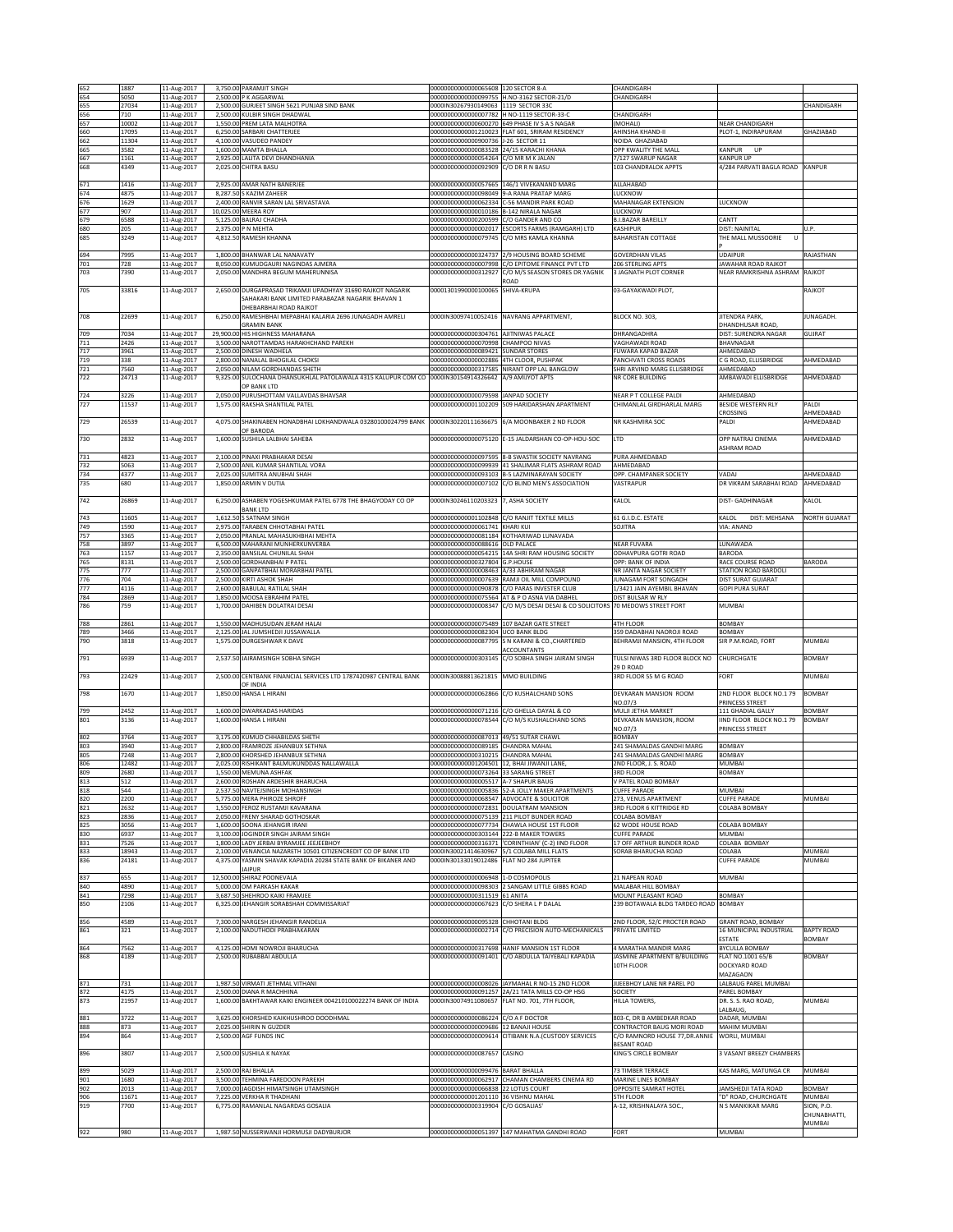| 652        | 1887           |                            | 3,750.00 PARAMJIT SINGH                                                                      | 00000000000000065608 120 SECTOR 8-A                                                  |                                                                                                        | CHANDIGARH                                                   |                                                      |                         |
|------------|----------------|----------------------------|----------------------------------------------------------------------------------------------|--------------------------------------------------------------------------------------|--------------------------------------------------------------------------------------------------------|--------------------------------------------------------------|------------------------------------------------------|-------------------------|
| 654        | 5050           | 11-Aug-2017<br>11-Aug-2017 | 2,500.00 P K AGGARWAL                                                                        |                                                                                      | 00000000000000099755 H.NO-3162 SECTOR-21/D                                                             | CHANDIGARH                                                   |                                                      |                         |
| 655        | 27034          | 11-Aug-2017                | 2,500.00 GURJEET SINGH 5621 PUNJAB SIND BANK                                                 | 0000IN30267930149063 1119 SECTOR 33C                                                 |                                                                                                        |                                                              |                                                      | CHANDIGARH              |
| 656        | 710            | 11-Aug-2017                | 2,500.00 KULBIR SINGH DHADWAL                                                                | 0000000000000007782 H NO-1119 SECTOR-33-C                                            |                                                                                                        | CHANDIGARH                                                   |                                                      |                         |
| 657<br>660 | 10002<br>17095 | 11-Aug-2017<br>11-Aug-2017 | 1,550.00 PREM LATA MALHOTRA<br>6,250.00 SARBARI CHATTERJEE                                   |                                                                                      | 00000000000000600270 649 PHASE IV S A S NAGAR<br>00000000000001210023 FLAT 601, SRIRAM RESIDENCY       | (MOHALI)<br>AHINSHA KHAND-II                                 | <b>VEAR CHANDIGARH</b><br>LOT-1, INDIRAPURAM         | GHAZIABAD               |
| 662        | 11304          | 11-Aug-2017                | 4,100.00 VASUDEO PANDEY                                                                      | 00000000000000900736 J-26 SECTOR 11                                                  |                                                                                                        | NOIDA GHAZIABAD                                              |                                                      |                         |
| 665<br>667 | 3582<br>1161   | 11-Aug-2017                | 1,600.00 MAMTA BHALLA<br>2,925.00 LALITA DEVI DHANDHANIA                                     | 000000000000000083528 24/15 KARACHI KHANA<br>00000000000000054264 C/O MR M K JALAN   |                                                                                                        | OPP KWALITY THE MALL<br>7/127 SWARUP NAGAR                   | <b>CANPUR</b><br>UP<br><b>KANPUR UP</b>              |                         |
| 668        | 4349           | 11-Aug-2017<br>11-Aug-2017 | 2,025.00 CHITRA BASU                                                                         | 00000000000000092909 C/O DR R N BASU                                                 |                                                                                                        | 103 CHANDRALOK APPTS                                         | 4/284 PARVATI BAGLA ROAD                             | <b>KANPUR</b>           |
|            |                |                            |                                                                                              |                                                                                      |                                                                                                        |                                                              |                                                      |                         |
| 671<br>674 | 1416<br>4875   | 11-Aug-2017<br>11-Aug-2017 | 2,925.00 AMAR NATH BANERJEE<br>8.287.50 S KAZIM ZAHEER                                       |                                                                                      | 00000000000000057665 146/1 VIVEKANAND MARG<br>000000000000000098049 9-A RANA PRATAP MARG               | ALLAHABAD<br><b>LUCKNOW</b>                                  |                                                      |                         |
| 676        | 1629           | 11-Aug-2017                | 2,400.00 RANVIR SARAN LAL SRIVASTAVA                                                         | 00000000000000062334                                                                 | C-56 MANDIR PARK ROAD                                                                                  | MAHANAGAR EXTENSION                                          | <b>UCKNOW</b>                                        |                         |
| 677        | 907            | 11-Aug-2017                | 10,025.00 MEERA ROY                                                                          | 00000000000000010186 B-142 NIRALA NAGAR                                              |                                                                                                        | LUCKNOW                                                      |                                                      |                         |
| 679<br>680 | 6588<br>205    | 11-Aug-2017<br>11-Aug-2017 | 5,125.00 BALRAJ CHADHA<br>2,375.00 P N MEHTA                                                 | 00000000000000200599 C/O GANDER AND CO                                               | 00000000000000002017 ESCORTS FARMS (RAMGARH) LTD                                                       | <b>B.I.BAZAR BAREILLY</b><br><b>KASHIPUR</b>                 | CANTT<br>DIST: NAINITAL                              | U.P.                    |
| 685        | 3249           | 11-Aug-2017                | 4,812.50 RAMESH KHANNA                                                                       |                                                                                      | 00000000000000079745 C/O MRS KAMLA KHANNA                                                              | <b>BAHARISTAN COTTAGE</b>                                    | THE MALL MUSSOORIE                                   |                         |
|            |                |                            |                                                                                              |                                                                                      |                                                                                                        |                                                              |                                                      |                         |
| 694<br>701 | 7995<br>728    | 11-Aug-2017<br>11-Aug-2017 | 1,800.00 BHANWAR LAL NANAVATY<br>8.050.00 KUMUDGAURI NAGINDAS AJMERA                         | 00000000000000324737<br>00000000000000007998                                         | 2/9 HOUSING BOARD SCHEME<br>C/O EPITOME FINANCE PVT LTD                                                | <b>GOVERDHAN VILAS</b><br>206 STERLING APTS                  | UDAIPUR<br><b>AWAHAR ROAD RAJKOT</b>                 | RAJASTHAN               |
| 703        | 7390           | 11-Aug-2017                | 2,050.00 MANDHRA BEGUM MAHERUNNISA                                                           | 00000000000000312927                                                                 | C/O M/S SEASON STORES DR.YAGNIK                                                                        | 3 JAGNATH PLOT CORNER                                        | <b>VEAR RAMKRISHNA ASHRAM</b>                        | RAJKOT                  |
| 705        | 33816          | 11-Aug-2017                | 2,650.00 DURGAPRASAD TRIKAMJI UPADHYAY 31690 RAJKOT NAGARIK                                  | 00001301990000100065 SHIVA-KRUPA                                                     | ROAD                                                                                                   | 03-GAYAKWADI PLOT,                                           |                                                      | RAJKOT                  |
|            |                |                            | SAHAKARI BANK LIMITED PARABAZAR NAGARIK BHAVAN 1                                             |                                                                                      |                                                                                                        |                                                              |                                                      |                         |
|            |                |                            | DHEBARBHAI ROAD RAIKOT                                                                       |                                                                                      |                                                                                                        |                                                              |                                                      |                         |
| 708        | 22699          | 11-Aug-2017                | 6,250.00 RAMESHBHAI MEPABHAI KALARIA 2696 JUNAGADH AMRELI<br><b>GRAMIN BANK</b>              |                                                                                      | 0000IN30097410052416 NAVRANG APPARTMENT,                                                               | BLOCK NO. 303,                                               | <b>IITENDRA PARK,</b><br>DHANDHUSAR ROAD,            | JUNAGADH.               |
| 709        | 7034           | 11-Aug-2017                | 29,900.00 HIS HIGHNESS MAHARANA                                                              | 00000000000000304761 AJITNIWAS PALACE                                                |                                                                                                        | DHRANGADHRA                                                  | DIST: SURENDRA NAGAR                                 | GUJRAT                  |
| 711        | 2426           | 11-Aug-2017                | 3,500.00 NAROTTAMDAS HARAKHCHAND PAREKH                                                      | 00000000000000070998 CHAMPOO NIVAS                                                   |                                                                                                        | VAGHAWADI ROAD                                               | BHAVNAGAR                                            |                         |
| 717<br>719 | 3961<br>338    | 11-Aug-2017<br>11-Aug-2017 | 2,500.00 DINESH WADHELA<br>2,800.00 NANALAL BHOGILAL CHOKSI                                  | 00000000000000089421<br>00000000000000002886 4TH CLOOR, PUSHPAK                      | <b>SUNDAR STORES</b>                                                                                   | FUWARA KAPAD BAZAR<br>PANCHVATI CROSS ROADS                  | AHMEDABAD<br>C G ROAD, ELLISBRIDGE                   | AHMEDABAD               |
| 721        | 7560           | 11-Aug-2017                | 2,050.00 NILAM GORDHANDAS SHETH                                                              |                                                                                      | 00000000000000317585 NIRANT OPP LAL BANGLOW                                                            | SHRI ARVIND MARG ELLISBRIDGE                                 | AHMEDABAD                                            |                         |
| 722        | 24713          | 11-Aug-2017                | 9,325.00 SULOCHANA DHANSUKHLAL PATOLAWALA 4315 KALUPUR COM CO                                | 0000IN30154914326642                                                                 | A/9 AMIJYOT APTS                                                                                       | NR CORE BUILDING                                             | AMBAWADI ELLISBRIDGE                                 | AHMEDABAD               |
| 724        | 3226           | 11-Aug-2017                | OP BANK LTD<br>2,050.00 PURUSHOTTAM VALLAVDAS BHAVSAR                                        | 00000000000000079598 JANPAD SOCIETY                                                  |                                                                                                        | NEAR P T COLLEGE PALDI                                       | AHMEDABAD                                            |                         |
| 727        | 11537          | 11-Aug-2017                | 1,575.00 RAKSHA SHANTILAL PATEL                                                              |                                                                                      | 00000000000001102209 509 HARIDARSHAN APARTMENT                                                         | CHIMANLAL GIRDHARLAL MARG                                    | BESIDE WESTERN RLY                                   | PALDI                   |
|            |                |                            |                                                                                              |                                                                                      | 6/A MOONBAKER 2 ND FLOOR                                                                               |                                                              | <b>ROSSING</b>                                       | AHMEDABAD               |
| 729        | 26539          | 11-Aug-2017                | 4,075.00 SHAKINABEN HONADBHAI LOKHANDWALA 03280100024799 BANK<br>OF BARODA                   | 0000IN30220111636675                                                                 |                                                                                                        | NR KASHMIRA SOC                                              | <b>ALDI</b>                                          | AHMEDABAD               |
| 730        | 2832           | 11-Aug-2017                | 1,600.00 SUSHILA LALBHAI SAHEBA                                                              |                                                                                      | 00000000000000075120 E-15 JALDARSHAN CO-OP-HOU-SOC                                                     | LTD                                                          | OPP NATRAJ CINEMA                                    | AHMEDABAD               |
|            |                |                            |                                                                                              |                                                                                      |                                                                                                        |                                                              | ASHRAM ROAD                                          |                         |
| 731<br>732 | 4823<br>5063   | 11-Aug-2017<br>11-Aug-2017 | 2,100.00 PINAXI PRABHAKAR DESAI<br>2,500.00 ANIL KUMAR SHANTILAL VORA                        |                                                                                      | 00000000000000097595 8-B SWASTIK SOCIETY NAVRANG<br>00000000000000099939 41 SHALIMAR FLATS ASHRAM ROAD | PURA AHMEDABAD<br>AHMEDABAD                                  |                                                      |                         |
| 734        | 4377           | 11-Aug-2017                | 2,025.00 SUMITRA ANUBHAI SHAH                                                                |                                                                                      | 00000000000000093103 B-5 LAZMINARAYAN SOCIETY                                                          | OPP. CHAMPANER SOCIETY                                       | VADAJ                                                | AHMEDABAD               |
| 735        | 680            | 11-Aug-2017                | 1,850.00 ARMIN V DUTIA                                                                       |                                                                                      | 00000000000000007102 C/O BLIND MEN'S ASSOCIATION                                                       | VASTRAPUR                                                    | DR VIKRAM SARABHAI ROAD                              | AHMEDABAD               |
| 742        | 26869          | 11-Aug-2017                | 6,250.00 ASHABEN YOGESHKUMAR PATEL 6778 THE BHAGYODAY CO OP                                  | 0000IN30246110203323 7, ASHA SOCIETY                                                 |                                                                                                        | KALOL                                                        | DIST- GADHINAGAR                                     | KALOL                   |
|            |                |                            | <b>BANK LTD</b>                                                                              |                                                                                      |                                                                                                        |                                                              |                                                      |                         |
| 743<br>749 | 11605<br>1590  | 11-Aug-2017<br>11-Aug-2017 | 1,612.50 S SATNAM SINGH<br>2.975.00 TARABEN CHHOTABHAI PATEL                                 | 00000000000000061741 KHARI KUI                                                       | 00000000000001102848 C/O RANIIT TEXTUE MILLS                                                           | 61 G.I.D.C. ESTATE<br>SOJITRA                                | KALOL<br>DIST: MEHSANA<br>VIA: ANAND                 | NORTH GUJARAT           |
| 757        | 3365           | 11-Aug-2017                | 2,050.00 PRANLAL MAHASUKHBHAI MEHTA                                                          |                                                                                      | 000000000000000081184 KOTHARIWAD LUNAVADA                                                              |                                                              |                                                      |                         |
| 758        | 3897           | 11-Aug-2017                | 6,500.00 MAHARANI MUNHERKUNVERBA                                                             | 00000000000000088616 OLD PALACE                                                      |                                                                                                        | <b>NEAR FUVARA</b>                                           | LUNAWADA                                             |                         |
| 763<br>765 | 1157<br>8131   | 11-Aug-2017<br>11-Aug-2017 | 2,350.00 BANSILAL CHUNILAL SHAH<br>2,500.00 GORDHANBHAI P PATEL                              | 00000000000000327804 G.P.HOUSE                                                       | 00000000000000054215 14A SHRI RAM HOUSING SOCIETY                                                      | ODHAVPURA GOTRI ROAD<br>OPP: BANK OF INDIA                   | BARODA<br>RACE COURSE ROAD                           | BARODA                  |
| 775        | 777            | 11-Aug-2017                | 2,500.00 GANPATBHAI MORARBHAI PATEL                                                          | 0000000000000008463                                                                  | A/33 ABHIRAM NAGAR                                                                                     | NR JANTA NAGAR SOCIETY                                       | <b>STATION ROAD BARDOLI</b>                          |                         |
| 776        | 704            | 11-Aug-2017                | 2,500.00 KIRTI ASHOK SHAH                                                                    |                                                                                      | 000000000000000007639 RAMJI OIL MILL COMPOUND                                                          | JUNAGAM FORT SONGADH                                         | DIST SURAT GUJARAT                                   |                         |
| 777<br>784 | 4116<br>2869   | 11-Aug-2017<br>11-Aug-2017 | 2,600.00 BABULAL RATILAL SHAH<br>1,850.00 MOOSA EBRAHIM PATEL                                |                                                                                      | 00000000000000090878 C/O PARAS INVESTER CLUB<br>00000000000000075564 AT & P O ASNA VIA DABHEL          | 1/3421 JAIN AYEMBIL BHAVAN<br>DIST BULSAR W RLY              | <b>GOPI PURA SURAT</b>                               |                         |
| 786        | 759            | 11-Aug-2017                | 1,700.00 DAHIBEN DOLATRAI DESAI                                                              |                                                                                      | 00000000000000008347 C/O M/S DESAI DESAI & CO SOLICITORS 70 MEDOWS STREET FORT                         |                                                              | MUMBAI                                               |                         |
|            |                |                            |                                                                                              |                                                                                      |                                                                                                        | 4TH FLOOR                                                    |                                                      |                         |
| 788        | 2861<br>3466   | 11-Aug-2017<br>11-Aug-2017 | 1,550.00 MADHUSUDAN JERAM HALAI<br>2,125.00 JAL JUMSHEDJI JUSSAWALLA                         | 00000000000000075489 107 BAZAR GATE STREET<br>000000000000000082304 UCO BANK BLDG    |                                                                                                        | 359 DADABHAI NAOROJI ROAD                                    | BOMBAY<br><b>SOMBAY</b>                              |                         |
|            |                |                            |                                                                                              |                                                                                      |                                                                                                        |                                                              |                                                      |                         |
| 789<br>790 | 3818           | 11-Aug-2017                | 1,575.00 DURGESHWAR K DAVE                                                                   | 00000000000000087795                                                                 | S N KARANI & CO., CHARTERED                                                                            | BEHRAMJI MANSION, 4TH FLOOR                                  | SIR P.M.ROAD, FORT                                   | MUMBAI                  |
|            |                |                            |                                                                                              |                                                                                      | ACCOUNTANTS                                                                                            |                                                              |                                                      |                         |
| 791        | 6939           | 11-Aug-2017                | 2.537.50 JAIRAMSINGH SOBHA SINGH                                                             |                                                                                      | 00000000000000303145 C/O SOBHA SINGH JAIRAM SINGH                                                      | TULSI NIWAS 3RD FLOOR BLOCK NO<br>29 D ROAD                  | CHURCHGATE                                           | <b>BOMBAY</b>           |
| 793        | 22429          | 11-Aug-2017                | 2,500.00 CENTBANK FINANCIAL SERVICES LTD 1787420987 CENTRAL BANK                             | 0000IN30088813621815                                                                 | MMO BUILDING                                                                                           | 3RD FLOOR 55 M G ROAD                                        | ORT                                                  | MUMBAI                  |
|            |                |                            | OF INDIA                                                                                     |                                                                                      |                                                                                                        |                                                              |                                                      |                         |
| 798        | 1670           | 11-Aug-2017                | 1,850.00 HANSA L HIRANI                                                                      |                                                                                      | 00000000000000062866 C/O KUSHALCHAND SONS                                                              | DEVKARAN MANSION ROOM<br>NO.07/3                             | 2ND FLOOR BLOCK NO.1 79<br><b>PRINCESS STREET</b>    | <b>BOMBAY</b>           |
| 799        | 2452           | 11-Aug-2017                | 1,600.00 DWARKADAS HARIDAS                                                                   |                                                                                      | 00000000000000071216 C/O GHELLA DAYAL & CO                                                             | MULJI JETHA MARKET                                           | 111 GHADIAL GALLY                                    | BOMBAY                  |
| 801        | 3136           | 11-Aug-2017                | 1,600.00 HANSA L HIRANI                                                                      |                                                                                      | 00000000000000078544 C/O M/S KUSHALCHAND SONS                                                          | DEVKARAN MANSION, ROOM                                       | IIND FLOOR BLOCK NO.1 79                             | <b>BOMBAY</b>           |
| 802        | 3764           | 11-Aug-2017                | 3,175.00 KUMUD CHHABILDAS SHETH                                                              | 00000000000000087013 49/51 SUTAR CHAWL                                               |                                                                                                        | NO.07/3<br><b>BOMBAY</b>                                     | PRINCESS STREET                                      |                         |
| 803        | 3940           | 11-Aug-2017                | 2,800.00 FRAMROZE JEHANBUX SETHNA                                                            | 000000000000000089185 CHANDRA MAHAI                                                  |                                                                                                        | 241 SHAMALDAS GANDHI MARG                                    | BOMBAY                                               |                         |
| 805        | 7248           | 11-Aug-2017                | 2,800.00 KHORSHED JEHANBUX SETHNA<br>2,025.00 RISHIKANT BALMUKUNDDAS NALLAWALLA              | 000000000000000310215 CHANDRA MAHAL                                                  |                                                                                                        | 241 SHAMALDAS GANDHI MARG                                    | <b>SOMBAY</b>                                        |                         |
| 806<br>809 | 12482<br>2680  | 11-Aug-2017<br>11-Aug-2017 | 1,550.00 MEMUNA ASHFAK                                                                       | 00000000000001204501 12, BHAI JIWANJI LANE,<br>00000000000000073264 33 SARANG STREET |                                                                                                        | 2ND FLOOR, J. S. ROAD<br><b>3RD FLOOR</b>                    | MUMBAI<br>BOMBAY                                     |                         |
| 813        | 512            | 11-Aug-2017                | 2.600.00 ROSHAN ARDESHIR BHARUCHA                                                            | 000000000000000005517 IA-7 SHAPUR BAUG                                               |                                                                                                        | V PATEL ROAD BOMBAY                                          |                                                      |                         |
| 818        | 544<br>2200    | 11-Aug-2017<br>11-Aug-2017 | 2,537.50 NAVTEJSINGH MOHANSINGH<br>5,775.00 MERA PHIROZE SHROFF                              | 00000000000000068547 ADVOCATE & SOLICITOR                                            | 000000000000000005836 52-A JOLLY MAKER APARTMENTS                                                      | <b>CUFFE PARADE</b><br>273, VENUS APARTMENT                  | MUMBAI<br><b>CUFFE PARADE</b>                        | MUMBAI                  |
| 820<br>821 | 2632           | 11-Aug-2017                | 1,550.00 FEROZ RUSTAMJI KAVARANA                                                             | 00000000000000072831 DOULATRAM MANSION                                               |                                                                                                        | 3RD FLOOR 6 KITTRIDGE RD                                     | COLABA BOMBAY                                        |                         |
| 823        | 2836           | 11-Aug-2017                | 2,050.00 FRENY SHARAD GOTHOSKAR                                                              |                                                                                      | 00000000000000075139 211 PILOT BUNDER ROAD                                                             | COLABA BOMBAY                                                |                                                      |                         |
| 825<br>830 | 3056<br>6937   | 11-Aug-2017<br>11-Aug-2017 | 1,600.00 SOONA JEHANGIR IRANI<br>3,100.00 JOGINDER SINGH JAIRAM SINGH                        | 00000000000000303144 222-B MAKER TOWERS                                              | 00000000000000077734 CHAWLA HOUSE 1ST FLOOR                                                            | 62 WODE HOUSE ROAD<br><b>CUFFE PARADE</b>                    | COLABA BOMBAY<br>MUMBAI                              |                         |
| 831        | 7526           | 11-Aug-2017                | 1,800.00 LADY JERBAI BYRAMJEE JEEJEEBHOY                                                     |                                                                                      | 00000000000000316371 'CORINTHIAN' (C-2) IIND FLOOR                                                     | 17 OFF ARTHUR BUNDER ROAD                                    | COLABA BOMBAY                                        |                         |
| 833        | 18943          | 11-Aug-2017                | 2,100.00 VENANCIA NAZARETH 10501 CITIZENCREDIT CO OP BANK LTD                                | 0000IN30021414630967 5/1 COLABA MILL FLATS                                           |                                                                                                        | SORAB BHARUCHA ROAD                                          | OLABA                                                | MUMBAI<br>MUMBAI        |
| 836        | 24181          | 11-Aug-2017                | 4,375.00 YASMIN SHAVAK KAPADIA 20284 STATE BANK OF BIKANER AND<br><b>JAIPUR</b>              | 0000IN30133019012486 FLAT NO 284 JUPITER                                             |                                                                                                        |                                                              | <b>LUFFE PARADE</b>                                  |                         |
| 837        | 655            | 11-Aug-2017                | 12,500.00 SHIRAZ POONEVALA                                                                   | 00000000000000006948 1-D COSMOPOLIS                                                  |                                                                                                        | 21 NAPEAN ROAD                                               | MUMBAI                                               |                         |
| 840<br>841 | 4890<br>7298   | 11-Aug-2017                | 5,000.00 OM PARKASH KAKAR<br>3,687.50 SHEHROO KAIKI FRAMJEE                                  | 00000000000000311519 61 ANITA                                                        | 00000000000000098303 2 SANGAM LITTLE GIBBS ROAD                                                        | MALABAR HILL BOMBAY<br>MOUNT PLEASANT ROAD                   | BOMBAY                                               |                         |
| 850        | 2106           | 11-Aug-2017<br>11-Aug-2017 | 6,325.00 JEHANGIR SORABSHAH COMMISSARIAT                                                     | 00000000000000067623 C/O SHERA L P DALAL                                             |                                                                                                        | 239 BOTAWALA BLDG TARDEO ROAD                                | <b>BOMBAY</b>                                        |                         |
|            |                |                            |                                                                                              |                                                                                      |                                                                                                        |                                                              |                                                      |                         |
| 856<br>861 | 4589<br>321    | 11-Aug-2017<br>11-Aug-2017 | 7.300.00 NARGESH JEHANGIR RANDELIA<br>2.100.00 NADUTHODI PRABHAKARAN                         | 00000000000000095328 CHHOTANI BLDG<br>0000000000000002714                            | C/O PRECISION AUTO-MECHANICALS                                                                         | 2ND FLOOR, 52/C PROCTER ROAD<br>PRIVATE LIMITED              | <b>GRANT ROAD, BOMBAY</b><br>16 MUNICIPAL INDUSTRIAL | <b>BAPTY ROAD</b>       |
|            |                |                            |                                                                                              |                                                                                      |                                                                                                        |                                                              | <b>STATE</b>                                         | <b>BOMBAY</b>           |
| 864        | 7562           | 11-Aug-2017                | 4,125.00 HOMI NOWROJI BHARUCHA<br>2.500.00 RUBABBAI ABDULLA                                  |                                                                                      | 00000000000000317698 HANIF MANSION 1ST FLOOR<br>00000000000000091401 C/O ABDULLA TAIYEBALI KAPADIA     | 4 MARATHA MANDIR MARG                                        | BYCULLA BOMBAY                                       |                         |
| 868        | 4189           | 11-Aug-2017                |                                                                                              |                                                                                      |                                                                                                        | JASMINE APARTMENT B/BUILDING<br>10TH FLOOR                   | FLAT NO.1001 65/B<br>DOCKYARD ROAD                   | <b>BOMBAY</b>           |
|            |                |                            |                                                                                              |                                                                                      |                                                                                                        |                                                              | MAZAGAON                                             |                         |
| 871        | 731            | 11-Aug-2017                | 1,987.50 VIRMATI JETHMAL VITHANI                                                             |                                                                                      | 00000000000000008026 JAYMAHAL R NO-15 2ND FLOOR                                                        | JIJEEBHOY LANE NR PAREL PO                                   | LALBAUG PAREL MUMBAI                                 |                         |
| 872<br>873 | 4175<br>21957  | 11-Aug-2017<br>11-Aug-2017 | 2,500.00 DIANA R MACHHINA<br>1,600.00 BAKHTAWAR KAIKI ENGINEER 004210100022274 BANK OF INDIA | 0000IN30074911080657                                                                 | 00000000000000091257 2A/21 TATA MILLS CO-OP HSG<br>FLAT NO. 701, 7TH FLOOR,                            | SOCIETY<br>HILLA TOWERS,                                     | PAREL BOMBAY<br>DR. S. S. RAO ROAD,                  | MUMBAI                  |
|            |                |                            |                                                                                              |                                                                                      |                                                                                                        |                                                              | ALBAUG,                                              |                         |
| 881        | 3722           | 11-Aug-2017                | 3,625.00 KHORSHED KAIKHUSHROO DOODHMAL                                                       | 00000000000000086224 C/O A F DOCTOR                                                  |                                                                                                        | 803-C, DR B AMBEDKAR ROAD                                    | DADAR, MUMBAI                                        |                         |
| 888<br>894 | 873<br>864     | 11-Aug-2017<br>11-Aug-2017 | 2,025.00 SHIRIN N GUZDER<br>2,500.00 AGF FUNDS INC                                           | 00000000000000009686 12 BANAJI HOUSE                                                 | 00000000000000009614 CITIBANK N.A.(CUSTODY SERVICES                                                    | CONTRACTOR BAUG MORI ROAD<br>C/O RAMNORD HOUSE 77, DR. ANNIE | MAHIM MUMBAI<br>WORLI, MUMBAI                        |                         |
|            |                |                            |                                                                                              |                                                                                      |                                                                                                        | <b>BESANT ROAD</b>                                           |                                                      |                         |
| 896        | 3807           | 11-Aug-2017                | 2,500.00 SUSHILA K NAYAK                                                                     | 00000000000000087657 CASINO                                                          |                                                                                                        | KING'S CIRCLE BOMBAY                                         | 3 VASANT BREEZY CHAMBERS                             |                         |
| 899        | 5029           | 11-Aug-2017                | 2,500.00 RAJ BHALLA                                                                          | 00000000000000099476 BARAT BHALLA                                                    |                                                                                                        | 73 TIMBER TERRACE                                            | KAS MARG, MATUNGA CR                                 | MUMBAI                  |
| 901        | 1680           | 11-Aug-2017                | 3,500.00 TEHMINA FAREDOON PAREKH                                                             | 00000000000000062917                                                                 | CHAMAN CHAMBERS CINEMA RD                                                                              | MARINE LINES BOMBAY                                          |                                                      |                         |
| 902<br>906 | 2013<br>11671  | 11-Aug-2017<br>11-Aug-2017 | 7,000.00 JAGDISH HIMATSINGH UTAMSINGH<br>7,225.00 VERKHA R THADHANI                          | 00000000000000066838 22 LOTUS COURT<br>00000000000001201110 36 VISHNU MAHAL          |                                                                                                        | OPPOSITE SAMRAT HOTEL<br><b>5TH FLOOR</b>                    | JAMSHEDJI TATA ROAD<br>"D" ROAD, CHURCHGATE          | <b>BOMBAY</b><br>MUMBAI |
| 919        | 7700           | 11-Aug-2017                | 6,775.00 RAMANLAL NAGARDAS GOSALIA                                                           | 00000000000000319904 C/O GOSALIAS'                                                   |                                                                                                        | A-12, KRISHNALAYA SOC.,                                      | N S MANKIKAR MARG                                    | SION, P.O.              |
|            |                |                            |                                                                                              |                                                                                      |                                                                                                        |                                                              |                                                      | CHUNABHATTI,<br>MUMBAI  |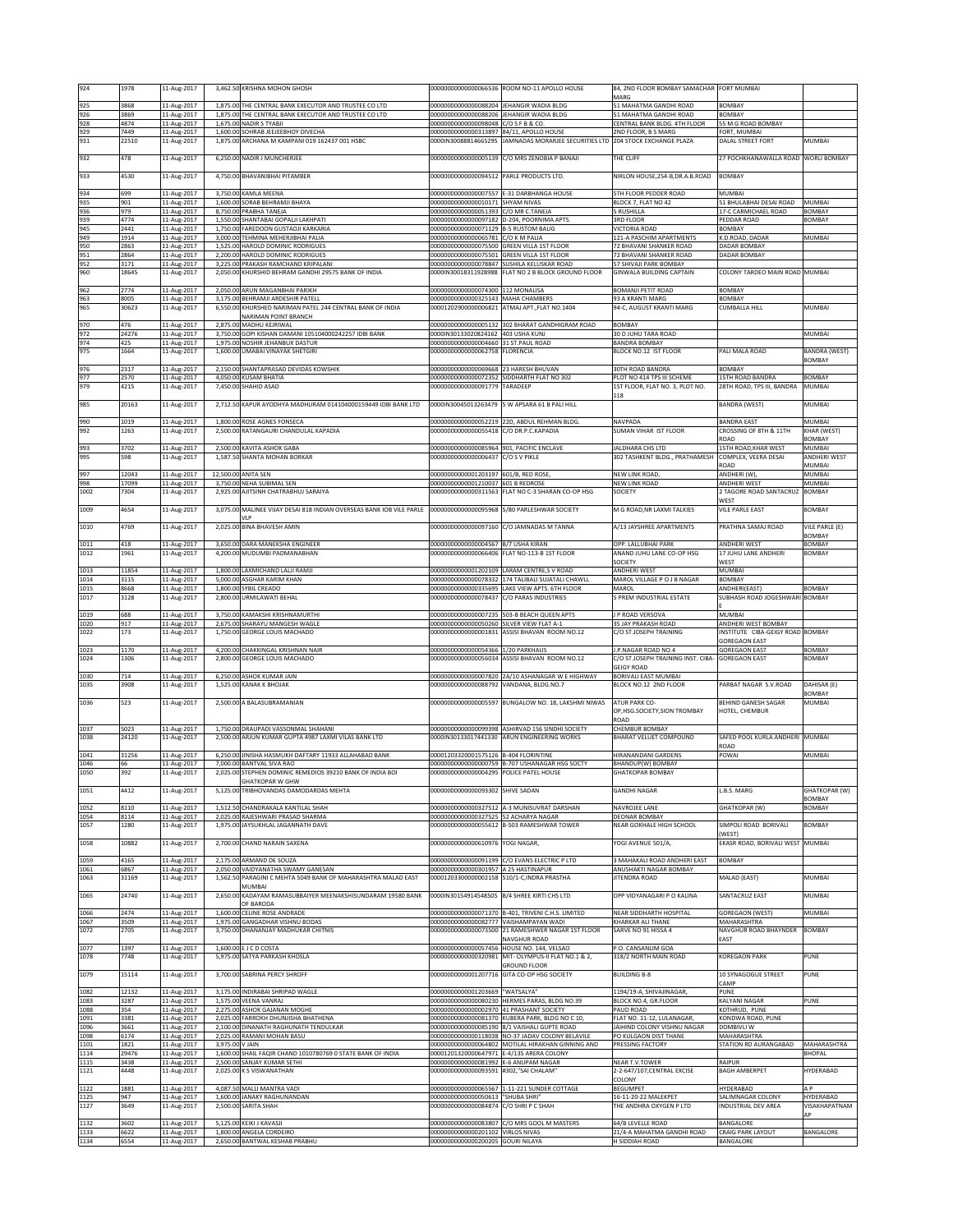| 924          | 1978          | 11-Aug-2017                |                 | 3,462.50 KRISHNA MOHON GHOSH                                                         |                                                                    | 00000000000000066536 ROOM NO-11 APOLLO HOUSE                             | 84, 2ND FLOOR BOMBAY SAMACHAR FORT MUMBAI               |                                                         |                                       |
|--------------|---------------|----------------------------|-----------------|--------------------------------------------------------------------------------------|--------------------------------------------------------------------|--------------------------------------------------------------------------|---------------------------------------------------------|---------------------------------------------------------|---------------------------------------|
| 925          | 3868          | 11-Aug-2017                |                 | 1,875.00 THE CENTRAL BANK EXECUTOR AND TRUSTEE CO LTD                                | 00000000000000088204                                               | JEHANGIR WADIA BLDG                                                      | MARG<br>51 MAHATMA GANDHI ROAD                          | BOMBAY                                                  |                                       |
| 926          | 3869          | 11-Aug-2017                |                 | 1,875.00 THE CENTRAL BANK EXECUTOR AND TRUSTEE CO LTD                                | 00000000000000088206                                               | JEHANGIR WADIA BLDG                                                      | 1 MAHATMA GANDHI ROAD                                   | BOMBAY                                                  |                                       |
| 928          | 4874          | 11-Aug-2017                |                 | 1,675.00 NADIR S TYABJI                                                              | 00000000000000098048 C/OSFB&CO.                                    |                                                                          | CENTRAL BANK BLDG. 4TH FLOOR                            | 55 M G ROAD BOMBAY                                      |                                       |
| 929          | 7449          | 11-Aug-2017                |                 | 1,600.00 SOHRAB JEEJEEBHOY DIVECHA<br>1,875.00 ARCHANA M KAMPANI 019 162437 001 HSBC | 00000000000000313897 84/11, APOLLO HOUSE<br>0000IN30088814665295   |                                                                          | 2ND FLOOR, B S MARG                                     | FORT, MUMBAI<br>DALAL STREET FORT                       | MUMBAI                                |
| 931          | 22510         | 11-Aug-2017                |                 |                                                                                      |                                                                    | JAMNADAS MORARJEE SECURITIES LTD 204 STOCK EXCHANGE PLAZA                |                                                         |                                                         |                                       |
| 932          | 478           | 11-Aug-2017                |                 | 6,250.00 NADIR J MUNCHERJEE                                                          |                                                                    | 00000000000000005139 C/O MRS ZENOBIA P BANAJI                            | THE CLIFF                                               | 27 POCHKHANAWALLA ROAD WORLI BOMBAY                     |                                       |
|              |               | 11-Aug-2017                |                 |                                                                                      |                                                                    |                                                                          |                                                         |                                                         |                                       |
| 933          | 4530          |                            |                 | 4,750.00 BHAVANIBHAI PITAMBER                                                        | 00000000000000094512                                               | PARLE PRODUCTS LTD.                                                      | VIRLON HOUSE, 254-B, DR.A.B.ROAD                        | <b>BOMBAY</b>                                           |                                       |
| 934          | 699           | 11-Aug-2017                |                 | 3,750.00 KAMLA MEENA                                                                 |                                                                    | 00000000000000007557 E-31 DARBHANGA HOUSE                                | 5TH FLOOR PEDDER ROAD                                   | <b>MUMBAI</b>                                           |                                       |
| 935          | 901           | 11-Aug-2017                |                 | 1,600.00 SORAB BEHRAMJI BHAYA                                                        | 000000000000000010171 SHYAM NIVAS                                  |                                                                          | BLOCK 7, FLAT NO 42                                     | 51 BHULABHAI DESAI ROAD                                 | MUMBAL                                |
| 936<br>939   | 979<br>4774   | 11-Aug-2017<br>11-Aug-2017 |                 | 8,750.00 PRABHA TANEJA<br>1,550.00 SHANTABAI GOPALII LAKHPATI                        | 00000000000000051393<br>00000000000000097182 D-204, POORNIMA APTS. | C/O MR C.TANEJA                                                          | 5 RUSHILLA<br><b>3RD FLOOR</b>                          | 17-C CARMICHAEL ROAD<br>PEDDAR ROAD                     | <b>BOMBAY</b><br><b>BOMBAY</b>        |
| 945          | 2441          | 11-Aug-2017                |                 | 1,750.00 FAREDOON GUSTADJI KARKARIA                                                  | 00000000000000071129 B-5 RUSTOM BAUG                               |                                                                          | VICTORIA ROAD                                           | <b>BOMBAY</b>                                           |                                       |
| 949          | 1914          | 11-Aug-2017                |                 | 3,000.00 TEHMINA MEHERJIBHAI PALIA                                                   | 00000000000000065781                                               | C/O K M PALIA                                                            | 121-A PASCHIM APARTMENTS                                | K.D.ROAD, DADAR                                         | MUMBAI                                |
| 950<br>951   | 2863<br>2864  | 11-Aug-2017<br>11-Aug-2017 |                 | 1.525.00 HAROLD DOMINIC RODRIGUES<br>2,200.00 HAROLD DOMINIC RODRIGUES               | 00000000000000075500<br>00000000000000075501                       | GREEN VILLA 1ST FLOOR<br>GREEN VILLA 1ST FLOOR                           | 2 BHAVANI SHANKER ROAD<br>2 BHAVANI SHANKER ROAD        | DADAR BOMBAY<br>DADAR BOMBAY                            |                                       |
| 952          | 3171          | 11-Aug-2017                |                 | 3,225.00 PRAKASH RAMCHAND KRIPALANI                                                  |                                                                    | 00000000000000078847 SUSHILA KELUSKAR ROAD                               | 57 SHIVAJI PARK BOMBAY                                  |                                                         |                                       |
| 960          | 18645         | 11-Aug-2017                |                 | 2,050.00 KHURSHID BEHRAM GANDHI 29575 BANK OF INDIA                                  |                                                                    | 0000IN30018311928988 FLAT NO 2 B BLOCK GROUND FLOOR                      | <b>GINWALA BUILDING CAPTAIN</b>                         | COLONY TARDEO MAIN ROAD MUMBAI                          |                                       |
| 962          | 2774          | 11-Aug-2017                |                 | 2,050.00 ARUN MAGANBHAI PARIKH                                                       | 0000000000000074300                                                | 112 MONALISA                                                             | <b>BOMANJI PETIT ROAD</b>                               | <b>BOMBAY</b>                                           |                                       |
| 963          | 8005          | 11-Aug-2017                |                 | 3,175.00 BEHRAMJI ARDESHIR PATELL                                                    | 00000000000000325143 MAHA CHAMBERS                                 |                                                                          | 93 A KRANTI MARG                                        | <b>BOMBAY</b>                                           |                                       |
| 965          | 30623         | 11-Aug-2017                |                 | 6,550.00 KHURSHED NARIMAN PATEL 244 CENTRAL BANK OF INDIA                            |                                                                    | 00001202900000006821 ATMAJ APT., FLAT NO.1404                            | 94-C, AUGUST KRANTI MARG                                | <b>CUMBALLA HILL</b>                                    | <b>MUMBAI</b>                         |
| 970          | 476           |                            |                 | NARIMAN POINT BRANCH<br>2,875.00 MADHU KEJRIWAL                                      |                                                                    | 000000000000000005132 302 BHARAT GANDHIGRAM ROAD                         | BOMBAY                                                  |                                                         |                                       |
| 972          | 24276         | 11-Aug-2017<br>11-Aug-2017 | 3.750.00        | GOPI KISHAN DAMANI 105104000242257 IDBI BANK                                         | 0000IN30133020824162                                               | 403 USHA KUNJ                                                            | 30 D JUHU TARA ROAD                                     |                                                         | MUMBAI                                |
| 974          | 425           | 11-Aug-2017                |                 | 1,975.00 NOSHIR JEHANBUX DASTUR                                                      | 00000000000000004660 31 ST.PAUL ROAD                               |                                                                          | <b>BANDRA BOMBAY</b>                                    |                                                         |                                       |
| 975          | 1664          | 11-Aug-2017                |                 | 1.600.00 UMABAI VINAYAK SHETGIRI                                                     | 00000000000000062758                                               | <b>FLORENCIA</b>                                                         | BLOCK NO.12 IST FLOOR                                   | PALI MALA ROAD                                          | <b>BANDRA (WEST)</b>                  |
| 976          | 2317          | 11-Aug-2017                |                 | 2,150.00 SHANTAPRASAD DEVIDAS KOWSHIK                                                | 00000000000000069668 23 HARESH BHUVAN                              |                                                                          | 30TH ROAD BANDRA                                        | <b>BOMBAY</b>                                           | BOMBAY                                |
| 977          | 2570          | 11-Aug-2017                |                 | 4,050.00 KUSAM BHATIA                                                                |                                                                    | 00000000000000072352 SIDDHARTH FLAT NO 302                               | PLOT NO 414 TPS III SCHEME                              | 15TH ROAD BANDRA                                        | <b>BOMBAY</b>                         |
| 979          | 4215          | 11-Aug-2017                |                 | 7.450.00 SHAHID ASAD                                                                 | 0000000000000091779                                                | TARADEEP                                                                 | 1ST FLOOR, FLAT NO. 3, PLOT NO.                         | 28TH ROAD, TPS III, BANDRA                              | MUMBAI                                |
| 985          | 20163         | 11-Aug-2017                |                 | 2,712.50 KAPUR AYODHYA MADHURAM 014104000159449 IDBI BANK LTD                        | 0000IN30045013263479                                               | 5 W APSARA 61 B PALI HILL                                                | 118                                                     | <b>BANDRA (WEST)</b>                                    | MUMBAI                                |
|              |               |                            |                 |                                                                                      |                                                                    |                                                                          |                                                         |                                                         |                                       |
| 990          | 1019          | 11-Aug-2017                |                 | 1,800.00 ROSE AGNES FONSECA                                                          |                                                                    | 00000000000000052219 22D, ABDUL REHMAN BLDG.                             | <b>NAVPADA</b>                                          | <b>BANDRA EAST</b>                                      | MUMBAI                                |
| 992          | 1263          | 11-Aug-2017                |                 | 2,500.00 RATANGAURI CHANDULAL KAPADIA                                                | 00000000000000055418                                               | C/O DR.P.C.KAPADIA                                                       | SUMAN VIHAR IST FLOOR                                   | CROSSING OF 8TH & 11TH<br>ROAD                          | KHAR (WEST)<br>BOMBAY                 |
| 993          | 3702          | 11-Aug-2017                |                 | 2,500.00 KAVITA ASHOK GABA                                                           | 00000000000000085964 901, PACIFIC ENCLAVE                          |                                                                          | JALDHARA CHS LTD                                        | 15TH ROAD, KHAR WEST                                    | MUMBAI                                |
| 995          | 598           | 11-Aug-2017                |                 | 1.587.50 SHANTA MOHAN BORKAR                                                         | 0000000000000006437                                                | C/O S V PIKLE                                                            | 302 TASHKENT BLDG., PRATHAMESH                          | COMPLEX, VEERA DESAI                                    | ANDHERI WEST                          |
|              | 12043         |                            |                 |                                                                                      |                                                                    |                                                                          |                                                         | <b>CAD</b>                                              | MUMBAI                                |
| 997<br>998   | 17099         | 11-Aug-2017<br>11-Aug-2017 |                 | 12,500.00 ANITA SEN<br>3,750.00 NEHA SUBIMAL SEN                                     | 00000000000001203197 601/B, RED ROSE,<br>00000000000001210037      | 601 B REDROSE                                                            | NEW LINK ROAD,<br>NEW LINK ROAD                         | ANDHERI (W),<br><b>ANDHERI WEST</b>                     | MUMBAI<br>MUMBAI                      |
| 1002         | 7304          | 11-Aug-2017                |                 | 2.925.00 AJITSINH CHATRABHUJ SARAIYA                                                 | 00000000000000311563                                               | FLAT NO C-3 SHARAN CO-OP HSG                                             | SOCIETY                                                 | 2 TAGORE ROAD SANTACRUZ BOMBAY                          |                                       |
|              |               |                            |                 |                                                                                      |                                                                    |                                                                          |                                                         | WEST                                                    |                                       |
| 1009         | 4654          | 11-Aug-2017                |                 | 3,075.00 MALINEE VIJAY DESAI 818 INDIAN OVERSEAS BANK IOB VILE PARLE<br>VLP          | 0000000000000095968                                                | 5/80 PARI ESHWAR SOCIETY                                                 | M G ROAD, NR LAXMI TALKIES                              | <b>VILE PARLE EAST</b>                                  | <b>BOMBAY</b>                         |
| 1010         | 4769          | 11-Aug-2017                |                 | 2,025.00 BINA BHAVESH AMIN                                                           |                                                                    | 00000000000000097160 C/O JAMNADAS M TANNA                                | A/13 JAYSHREE APARTMENTS                                | PRATHNA SAMAJ ROAD                                      | VILE PARLE (E)                        |
|              |               |                            |                 |                                                                                      |                                                                    |                                                                          |                                                         |                                                         | BOMBAY                                |
| 1011<br>1012 | 418<br>1961   | 11-Aug-2017<br>11-Aug-2017 |                 | 3,650.00 DARA MANEKSHA ENGINEER<br>4,200.00 MUDUMBI PADMANABHAN                      | 00000000000000004567<br>00000000000000066406                       | B/7 USHA KIRAN<br>FLAT NO-113-B 1ST FLOOR                                | OPP. LALLUBHAI PARK<br>ANAND JUHU LANE CO-OP HSG        | ANDHERI WEST<br>17 JUHU LANE ANDHERI                    | <b>BOMBAY</b><br>BOMBAY               |
|              |               |                            |                 |                                                                                      |                                                                    |                                                                          | SOCIETY                                                 | WEST                                                    |                                       |
| 1013         | 11854         | 11-Aug-2017                |                 | 1,800.00 LAXMICHAND LALJI RAMJI                                                      | 00000000000001202109                                               | LARAM CENTRE, SV ROAD                                                    | ANDHERI WEST                                            | <b>MUMBAI</b>                                           |                                       |
| 1014         | 3115          | 11-Aug-2017                |                 | 5,000.00 ASGHAR KARIM KHAN                                                           | 0000000000000078332                                                | 174 TALIBALI SUJATALI CHAWLL                                             | MAROL VILLAGE P O J B NAGAR                             | <b>BOMBAY</b>                                           |                                       |
| 1015<br>1017 | 8668<br>3128  | 11-Aug-2017<br>11-Aug-2017 |                 | 1,800.00 SYBIL CREADO<br>2,800.00 URMILAWATI BEHAL                                   | 00000000000000078437 C/O PARAS INDUSTRIES                          | 00000000000000335695 LAKE VIEW APTS. 6TH FLOOR                           | MAROL<br>5 PREM INDUSTRIAL ESTATE                       | ANDHERI(EAST)<br>SUBHASH ROAD JOGESHWARI BOMBAY         | <b>BOMBAY</b>                         |
|              |               |                            |                 |                                                                                      |                                                                    |                                                                          |                                                         |                                                         |                                       |
| 1019         | 688           | 11-Aug-2017                |                 | 3,750.00 KAMAKSHI KRISHNAMURTHI                                                      | 00000000000000007235                                               | 503-B BEACH QUEEN APTS                                                   | P ROAD VERSOVA                                          | MUMBAI                                                  |                                       |
| 1020<br>1022 | 917<br>173    | 11-Aug-2017<br>11-Aug-2017 | 2.675.00        | SHARAYU MANGESH WAGLE<br>1,750.00 GEORGE LOUIS MACHADO                               | 00000000000000050260                                               | SILVER VIEW FLAT A-1<br>00000000000000001831 ASSISI BHAVAN ROOM NO.12    | <b>35 JAY PRAKASH ROAD</b><br>C/O ST.JOSEPH TRAINING    | ANDHERI WEST BOMBAY<br>INSTITUTE CIBA-GEIGY ROAD BOMBAY |                                       |
|              |               |                            |                 |                                                                                      |                                                                    |                                                                          |                                                         | <b>GOREGAON EAST</b>                                    |                                       |
| 1023         | 1170          | 11-Aug-2017                |                 | 4,200.00 CHAKKINGAL KRISHNAN NAIR                                                    | 00000000000000054366 1/20 PARKHAUS                                 |                                                                          | J.P.NAGAR ROAD NO.4                                     | <b>GOREGAON EAST</b>                                    | BOMBAY                                |
| 1024         | 1306          | 11-Aug-2017                |                 | 2,800.00 GEORGE LOUIS MACHADO                                                        | 00000000000000056034                                               | ASSISI BHAVAN ROOM NO.12                                                 | C/O ST.JOSEPH TRAINING INST. CIBA-<br><b>GEIGY ROAD</b> | <b>GOREGAON EAST</b>                                    | BOMBAY                                |
| 1030         | 714           | 11-Aug-2017                |                 | 6,250.00 ASHOK KUMAR JAIN                                                            |                                                                    | 00000000000000007820 2A/10 ASHANAGAR W E HIGHWAY                         | BORIVALI EAST MUMBAI                                    |                                                         |                                       |
| 1035         | 3908          | 11-Aug-2017                |                 | 1.525.00 KANAK K BHOJAK                                                              | 00000000000000088792                                               | VANDANA, BLDG.NO.7                                                       | BLOCK NO.12 2ND FLOOR                                   | PARBAT NAGAR S.V.ROAD                                   | DAHISAR (E)                           |
|              |               |                            |                 | 2,500.00 A BALASUBRAMANIAN                                                           |                                                                    |                                                                          |                                                         |                                                         | <b>BOMBAY</b>                         |
| 1036         | 523           | 11-Aug-2017                |                 |                                                                                      |                                                                    | 00000000000000005597 BUNGALOW NO. 18, LAKSHMI NIWAS                      | ATUR PARK CO-<br>OP, HSG.SOCIETY, SION TROMBAY          | BEHIND GANESH SAGAR<br>HOTEL, CHEMBUR                   | MUMBAI                                |
|              |               |                            |                 |                                                                                      |                                                                    |                                                                          | ROAD                                                    |                                                         |                                       |
| 1037         | 5023          | 11-Aug-2017                |                 | 1,750.00 DRAUPADI VASSONMAL SHAHANI                                                  |                                                                    | 00000000000000099398 ASHIRVAD 156 SINDHI SOCIETY                         | CHEMBUR BOMBAY                                          |                                                         |                                       |
| 1038         | 24120         | 11-Aug-2017                |                 | 2,500.00 ARJUN KUMAR GUPTA 4987 LAXMI VILAS BANK LTD                                 |                                                                    | 0000IN30133017441330 ARUN ENGINEERING WORKS                              | BHARAT VELUET COMPOUND                                  | SAFED POOL KURLA ANDHERI MUMBAI<br>ROAD                 |                                       |
| 1041         | 31256         | 11-Aug-2017                |                 | 6,250.00 JINISHA HASMUKH DAFTARY 11933 ALLAHABAD BANK                                | 00001203320001575126 B-404 FLORINTINE                              |                                                                          | HIRANANDANI GARDENS                                     | POWAI                                                   | MUMBAI                                |
| 1046         | 66            | 11-Aug-2017                |                 | 7,000.00 BANTVAL SIVA RAO                                                            |                                                                    | 00000000000000000759 B-707 USHANAGAR HSG SOCTY                           | <b>BHANDUP(W) BOMBAY</b>                                |                                                         |                                       |
| 1050         | 392           | 11-Aug-2017                |                 | 2,025.00 STEPHEN DOMINIC REMEDIOS 39210 BANK OF INDIA BOI                            | 00000000000000004295 POLICE PATEL HOUSE                            |                                                                          |                                                         |                                                         |                                       |
| 1051         | 4412          | 11-Aug-2017                |                 |                                                                                      |                                                                    |                                                                          | <b>GHATKOPAR BOMBAY</b>                                 |                                                         |                                       |
|              |               |                            |                 | 5,125.00 TRIBHOVANDAS DAMODARDAS MEHTA                                               |                                                                    |                                                                          | <b>GANDHI NAGAR</b>                                     | L.B.S. MARG                                             |                                       |
| 1052         |               |                            |                 |                                                                                      | 00000000000000093302 SHIVE SADAN                                   |                                                                          |                                                         |                                                         | <b>GHATKOPAR (W)</b><br><b>BOMBAY</b> |
| 1054<br>1057 | 8110          | 11-Aug-2017                |                 | 1,512.50 CHANDRAKALA KANTILAL SHAH                                                   |                                                                    | 00000000000000327512 A-3 MUNISUVRAT DARSHAN                              | NAVROJEE LANE                                           | <b>GHATKOPAR (W)</b>                                    | <b>BOMBAY</b>                         |
|              | 8114          | 11-Aug-2017                |                 | 2,025.00 RAJESHWARI PRASAD SHARMA                                                    | 00000000000000327525 52 ACHARYA NAGAR                              |                                                                          | <b>DEONAR BOMBAY</b>                                    |                                                         | <b>BOMBAY</b>                         |
|              | 1280          | 11-Aug-2017                |                 | 1,975.00 JAYSUKHLAL JAGANNATH DAVE                                                   |                                                                    | 00000000000000055612 B-503 RAMESHWAR TOWER                               | NEAR GOKHALE HIGH SCHOOL                                | SIMPOLI ROAD BORIVALI<br>WEST)                          |                                       |
| 1058         | 10882         | 11-Aug-2017                |                 | 2,700.00 CHAND NARAIN SAXENA                                                         | 00000000000000610976                                               | YOGI NAGAR,                                                              | YOGI AVENUE 501/A,                                      | EKASR ROAD, BORIVALI WEST MUMBAI                        |                                       |
|              |               |                            |                 | 2,175.00 ARMAND DE SOUZA                                                             |                                                                    |                                                                          |                                                         | <b>BOMBAY</b>                                           |                                       |
| 1059<br>1061 | 4165<br>6867  | 11-Aug-2017<br>11-Aug-2017 |                 | 2,050.00 VAIDYANATHA SWAMY GANESAN                                                   | 00000000000000091199<br>00000000000000301957 A 25 HASTINAPUR       | C/O EVANS ELECTRIC P LTD                                                 | 3 MAHAKALI ROAD ANDHERI EAST<br>ANUSHAKTI NAGAR BOMBAY  |                                                         |                                       |
| 1063         | 31169         | 11-Aug-2017                |                 | 1,562.50 PARAGINI C MEHTA 5049 BANK OF MAHARASHTRA MALAD EAST                        |                                                                    | 00001203300000002158 510/1-C, INDRA PRASTHA                              | JITENDRA ROAD                                           | MALAD (EAST)                                            | MUMBAI                                |
|              |               |                            |                 | <b>MUMBAI</b>                                                                        |                                                                    |                                                                          | OPP VIDYANAGARI P O KALINA                              |                                                         | <b>MUMBAI</b>                         |
| 1065         | 24740         | 11-Aug-2017                |                 | 2,650.00 KADAYAM RAMASUBBAIYER MEENAKSHISUNDARAM 19580 BANK<br>OF BARODA             | 0000IN30154914548505                                               | B/4 SHREE KIRTI CHS LTD                                                  |                                                         | SANTACRUZ EAST                                          |                                       |
| 1066         | 2474          | 11-Aug-2017                |                 | 1,600.00 CELINE ROSE ANDRADE                                                         | 00000000000000071370                                               | B-401, TRIVENI C.H.S. LIMITED                                            | NEAR SIDDHARTH HOSPITAL                                 | GOREGAON (WEST)                                         | MUMBAI                                |
| 1067         | 3509          | 11-Aug-2017                |                 | 1,975.00 GANGADHAR VISHNU BODAS                                                      | 00000000000000082777                                               | VAISHAMPAYAN WADI                                                        | KHARKAR ALI THANE                                       | MAHARASHTRA                                             |                                       |
| 1072         | 2705          | 11-Aug-2017                |                 | 3.750.00 DHANANJAY MADHUKAR CHITNIS                                                  | 00000000000000073500                                               | 21 RAMESHWER NAGAR 1ST FLOOR<br>NAVGHUR ROAD                             | SARVE NO 91 HISSA 4                                     | NAVGHUR ROAD BHAYNDER<br><b>FAST</b>                    | <b>BOMBAY</b>                         |
| 1077         | 1397          | 11-Aug-2017                |                 | 1,600.00 E J C D COSTA                                                               | 00000000000000057456                                               | HOUSE NO. 144, VELSAO                                                    | P.O. CANSANLIM GOA                                      |                                                         |                                       |
| 1078         | 7748          | 11-Aug-2017                |                 | 5,975.00 SATYA PARKASH KHOSLA                                                        |                                                                    | 00000000000000320981 MIT- OLYMPUS-II FLAT NO.1 & 2,                      | 318/2 NORTH MAIN ROAD                                   | <b>KOREGAON PARK</b>                                    | PUNE                                  |
|              |               |                            |                 |                                                                                      |                                                                    | <b>GROUND FLOOR</b>                                                      |                                                         |                                                         |                                       |
| 1079         | 15114         | 11-Aug-2017                |                 | 3.700.00 SABRINA PERCY SHROFF                                                        | 00000000000001207716                                               | GITA CO-OP HSG SOCIETY                                                   | <b>BUILDING B-8</b>                                     | 10 SYNAGOGUE STREET<br>CAMP                             | PUNE                                  |
| 1082         | 12132         | 11-Aug-2017                |                 | 3,175.00 INDIRABAI SHRIPAD WAGLE                                                     | 00000000000001203669                                               | "WATSALYA"                                                               | 1194/19-A, SHIVAJINAGAR,                                | PUNE                                                    |                                       |
| 1083         | 3287          | 11-Aug-2017                |                 | 1,575.00 VEENA VANRAJ                                                                |                                                                    | 00000000000000080230 HERMES PARAS, BLDG NO.39                            | BLOCK NO.4, GR.FLOOR                                    | KALYANI NAGAR                                           | PUNE                                  |
| 1088<br>1091 | 354<br>3381   | 11-Aug-2017                |                 | 2,275.00 ASHOK GAJANAN MOGHE<br>2,025.00 FARROKH DHUNJISHA BHATHENA                  | 00000000000000002970 41 PRASHANT SOCIETY                           | 000000000000000081370 KUBERA PARK, BLDG NO C 10,                         | PAUD ROAD<br>FLAT NO. 11-12, LULANAGAR,                 | KOTHRUD, PUNE<br>KONDWA ROAD, PUNE                      |                                       |
| 1096         | 3661          | 11-Aug-2017<br>11-Aug-2017 |                 | 2,100.00 DINANATH RAGHUNATH TENDULKAR                                                |                                                                    | 00000000000000085190 8/1 VAISHALI GUPTE ROAD                             | JAIHIND COLONY VISHNU NAGAR                             | DOMBIVLI W                                              |                                       |
| 1098         | 6174          | 11-Aug-2017                |                 | 2,025.00 RAMANI MOHAN BASU                                                           |                                                                    | 00000000000000118038 NO-37 JADAV COLONY BELAVILE                         | PO KULGAON DIST THANE                                   | MAHARASHTRA                                             |                                       |
| 1101<br>1114 | 1821<br>29476 | 11-Aug-2017                | 3,975.00 V JAIN | 1,600.00 SHAIL FAQIR CHAND 1010780769 0 STATE BANK OF INDIA                          | 00001201320000647971                                               | 00000000000000064802 MOTILAL HIRAKHAN GINNING AND<br>-4/135 ARERA COLONY | PRESSING FACTORY                                        | STATION RD AURANGABAD                                   | MAHARASHTRA<br>BHOPAL                 |
| 1115         | 3438          | 11-Aug-2017<br>11-Aug-2017 |                 | 2,500.00 SANJAY KUMAR SETHI                                                          | 00000000000000081992                                               | <b>6- ANUPAM NAGAR</b>                                                   | NEAR T.V.TOWER                                          | RAIPUR                                                  |                                       |
| 1121         | 4448          | 11-Aug-2017                |                 | 2,025.00 K S VISWANATHAN                                                             | 00000000000000093591 #302,"SAI CHALAM"                             |                                                                          | 2-2-647/107, CENTRAL EXCISE                             | <b>BAGH AMBERPET</b>                                    | HYDERABAD                             |
|              |               |                            |                 |                                                                                      |                                                                    |                                                                          | COLONY                                                  |                                                         | A <sub>P</sub>                        |
| 1122<br>1125 | 1881<br>947   | 11-Aug-2017<br>11-Aug-2017 |                 | 4,087.50 MALLI MANTRA VADI<br>1,600.00 JANAKY RAGHUNANDAN                            | 00000000000000050613                                               | 00000000000000065567 1-11-221 SUNDER COTTAGE<br>"SHUBA SHRI"             | <b>BEGUMPET</b><br>16-11-20-22 MALEKPET                 | <b>HYDERABAD</b><br>SALIMNAGAR COLONY                   | HYDERABAD                             |
| 1127         | 3649          | 11-Aug-2017                |                 | 2,500.00 SARITA SHAH                                                                 | 00000000000000084874 C/O SHRI P C SHAH                             |                                                                          | THE ANDHRA OXYGEN P LTD                                 | <b>INDUSTRIAL DEV AREA</b>                              | VISAKHAPATNAM                         |
|              |               |                            |                 |                                                                                      |                                                                    |                                                                          |                                                         |                                                         | ۱Р                                    |
| 1132<br>1133 | 3602<br>6622  | 11-Aug-2017<br>11-Aug-2017 |                 | 5,125.00 KEIKI J KAVASJI<br>1,800.00 ANGELA CORDEIRO                                 | 00000000000000201102 VIRLOS NIVAS                                  | 00000000000000083807 C/O MRS GOOL M MASTERS                              | 64/B LEVELLE ROAD<br>21/4-A MAHATMA GANDHI ROAD         | BANGALORE<br><b>CRAIG PARK LAYOUT</b>                   | BANGALORE                             |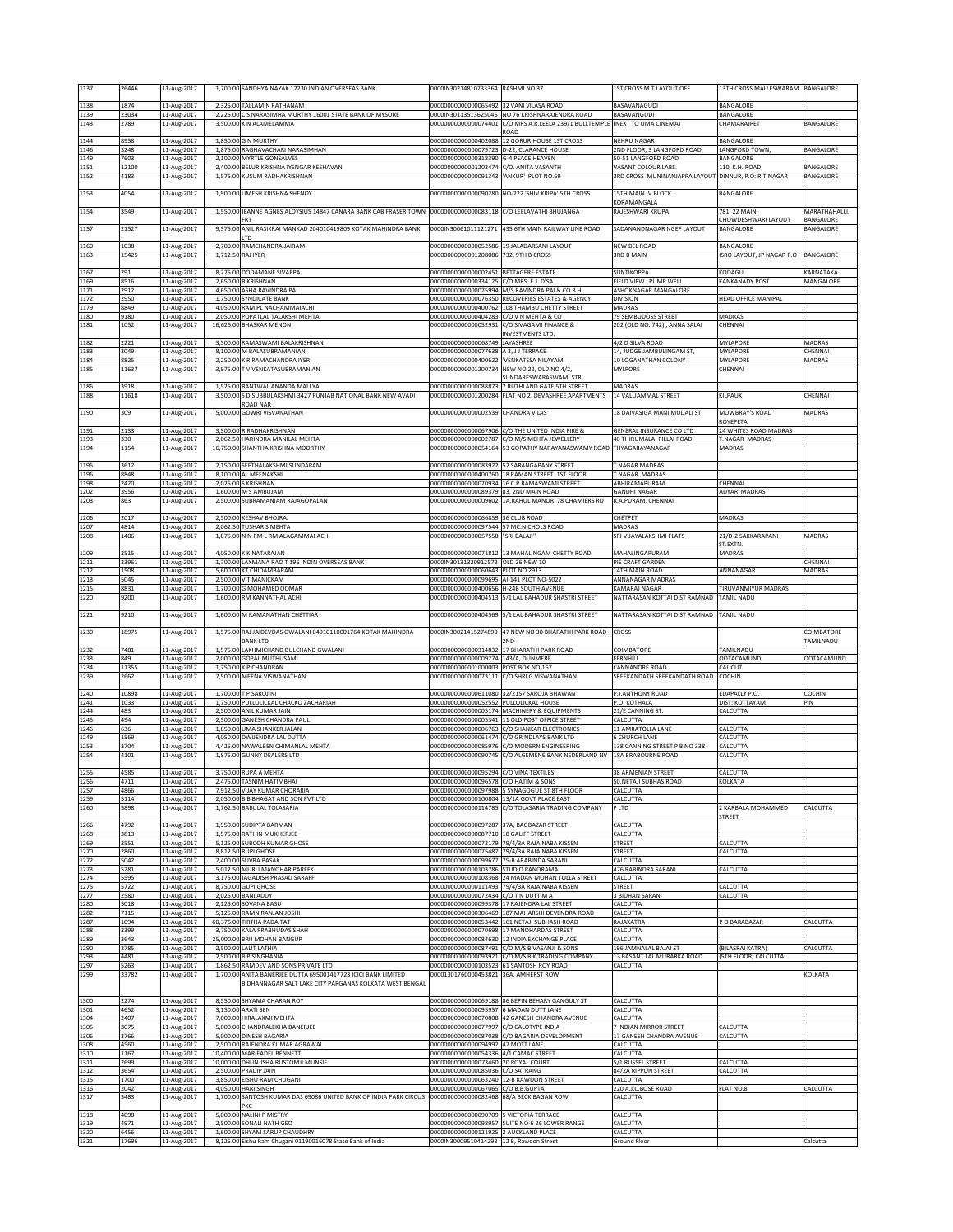| 1137                 | 26446                | 11-Aug-2017                               |          | 1,700.00 SANDHYA NAYAK 12230 INDIAN OVERSEAS BANK                                                                        | 0000IN30214810733364 RASHMI NO 37                                                |                                                                                                    | IST CROSS M T LAYOUT OFF                              | 13TH CROSS MALLESWARAM                               | BANGALORE              |
|----------------------|----------------------|-------------------------------------------|----------|--------------------------------------------------------------------------------------------------------------------------|----------------------------------------------------------------------------------|----------------------------------------------------------------------------------------------------|-------------------------------------------------------|------------------------------------------------------|------------------------|
| 1138                 | 1874                 | 11-Aug-2017                               |          | 2,325.00 TALLAM N RATHANAM                                                                                               | 0000000000000065492                                                              | 32 VANI VII ASA ROAD                                                                               | <b>BASAVANAGUDI</b>                                   | BANGALORE                                            |                        |
| 1139<br>1143         | 23034<br>2789        | 11-Aug-2017<br>11-Aug-2017                | 2.225.00 | C S NARASIMHA MURTHY 16001 STATE BANK OF MYSORE<br>3.500.00 K N ALAMELAMMA                                               | 000IN30113513625046                                                              | NO 76 KRISHNARAJENDRA ROAD<br>00000000000000074401 C/O MRS A.R.LEELA 239/1 BULLTEMPLE              | <b>BASAVANGUDI</b><br>(NEXT TO UMA CINEMA)            | BANGALORE<br><b>HAMARAIPET</b>                       | BANGALORE              |
| 1144                 | 8958                 | 11-Aug-2017                               |          | 1,850.00 G N MURTHY                                                                                                      |                                                                                  | ROAD<br>00000000000000402088 12 GORUR HOUSE 1ST CROSS                                              | NEHRU NAGAR                                           | BANGALORE                                            |                        |
| 1146                 | 3248                 | 11-Aug-2017                               |          | 1,875.00 RAGHAVACHARI NARASIMHAN                                                                                         |                                                                                  | 00000000000000079723 D-22, CLARANCE HOUSE                                                          | 2ND FLOOR, 3 LANGFORD ROAD,                           | LANGFORD TOWN,                                       | BANGALORE              |
| 1149<br>1151         | 7603<br>12100        | 11-Aug-2017<br>11-Aug-2017                |          | 2,100.00 MYRTLE GONSALVES<br>2,400.00 BELUR KRISHNA IYENGAR KESHAVAN                                                     | 00000000000000318390 G-4 PEACE HEAVEN<br>00000000000001203474 C/O. ANITA VASANTH |                                                                                                    | 60-51 LANGFORD ROAD<br>VASANT COLOUR LABS.            | BANGALORE<br>110, K.H. ROAD                          | BANGALORE              |
| 1152                 | 4183                 | 11-Aug-2017                               |          | 1,575.00 KUSUM RADHAKRISHNAN                                                                                             | 00000000000000091343 ANKUR' PLOT NO.69                                           |                                                                                                    | RD CROSS MUNINANJAPPA LAYOUT DINNUR, P.O: R.T.NAGAR   |                                                      | BANGALORE              |
| 1153                 | 4054                 | 11-Aug-2017                               |          | 1,900.00 UMESH KRISHNA SHENOY                                                                                            |                                                                                  | 00000000000000090280 NO-222 'SHIV KRIPA' 5TH CROSS                                                 | <b>ISTH MAIN IV BLOCK</b>                             | BANGALORE                                            |                        |
| 1154                 | 3549                 | 11-Aug-2017                               |          | 1,550.00 JEANNE AGNES ALOYSIUS 14847 CANARA BANK CAB FRASER TOWN                                                         |                                                                                  | 000000000000000083118 C/O LEELAVATHI BHUJANGA                                                      | <b>CORAMANGALA</b><br>RAJESHWARI KRUPA                | 781, 22 MAIN,                                        | MARATHAHALLI.          |
| 1157                 | 21527                | 11-Aug-2017                               | 9,375.00 | FRT<br>ANIL RASIKRAI MANKAD 204010419809 KOTAK MAHINDRA BANK                                                             | 0000IN30061011121271                                                             | 435 6TH MAIN RAILWAY LINE ROAD                                                                     | <b>SADANANDNAGAR NGEF LAYOUT</b>                      | CHOWDESHWARI LAYOUT<br>BANGALORE                     | BANGALORE<br>BANGALORE |
|                      |                      |                                           |          | LTD                                                                                                                      |                                                                                  |                                                                                                    |                                                       |                                                      |                        |
| 1160<br>1163         | 1038<br>15425        | 11-Aug-2017<br>11-Aug-2017                |          | 2,700.00 RAMCHANDRA JAIRAM<br>1,712.50 RAJ IYER                                                                          | 0000000000000052586<br>00000000000001208086                                      | 19 JALADARSANI LAYOUT<br>732, 9TH B CROSS                                                          | NEW REL ROAD<br><b>BRD B MAIN</b>                     | BANGALORE<br>ISRO LAYOUT, JP NAGAR P.O               | BANGALORE              |
|                      |                      |                                           |          |                                                                                                                          |                                                                                  |                                                                                                    |                                                       |                                                      |                        |
| 1167<br>1169         | 291<br>8516          | 11-Aug-2017<br>11-Aug-2017                |          | 8,275.00 DODAMANE SIVAPPA<br>2,650.00 B KRISHNAN                                                                         | 00000000000000002451 BETTAGERE ESTATE<br>00000000000000334125 C/O MRS. E.J. D'SA |                                                                                                    | <b>SUNTIKOPPA</b><br><b>FIELD VIEW PUMP WELL</b>      | KODAGU<br>KANKANADY POST                             | KARNATAKA<br>MANGALORE |
| 1171<br>1172         | 2912<br>2950         | 11-Aug-2017<br>11-Aug-2017                | 1,750.00 | 4.650.00 ASHA RAVINDRA PAI<br>SYNDICATE BANK                                                                             |                                                                                  | 00000000000000075994 M/S RAVINDRA PAI & CO B H<br>00000000000000076350 RECOVERIES ESTATES & AGENCY | ASHOKNAGAR MANGALORE<br><b>DIVISION</b>               | <b>HEAD OFFICE MANIPAL</b>                           |                        |
| 1179                 | 8849                 | 11-Aug-2017                               |          | 4,050.00 RAM PL NACHAMMAIACHI                                                                                            |                                                                                  | 00000000000000400762 108 THAMBU CHETTY STREET                                                      | MADRAS                                                |                                                      |                        |
| 1180<br>1181         | 9180<br>1052         | 11-Aug-2017<br>11-Aug-2017                |          | 2,050.00 POPATLAL TALAKSHI MEHTA<br>16,625.00 BHASKAR MENON                                                              | 00000000000000404283 C/O V N MEHTA & CO                                          | 00000000000000052931 C/O SIVAGAMI FINANCE &                                                        | 79 SEMBUDOSS STREET<br>202 (OLD NO. 742), ANNA SALAI  | <b>MADRAS</b><br>CHENNAI                             |                        |
|                      |                      |                                           |          |                                                                                                                          |                                                                                  | <b>INVESTMENTS LTD.</b>                                                                            |                                                       |                                                      |                        |
| 1182<br>1183         | 2221<br>3049         | 11-Aug-2017<br>11-Aug-2017                |          | 3,500.00 RAMASWAMI BALAKRISHNAN<br>8,100.00 M BALASUBRAMANIAN                                                            | 0000000000000068749<br>0000000000000077638                                       | JAYASHREE<br>A 3, J J TERRACE                                                                      | 1/2 D SILVA ROAD<br>14, JUDGE JAMBULINGAM ST          | MYLAPORE<br>MYLAPORE                                 | MADRAS<br>CHENNAI      |
| 1184<br>1185         | 8825<br>11637        | 11-Aug-2017<br>11-Aug-2017                |          | 2,250.00 K R RAMACHANDRA IYER<br>3,975.00 T V VENKATASUBRAMANIAN                                                         | 00000000000000400622<br>00000000000001200734                                     | 'VENKATESA NILAYAM'<br>NEW NO 22, OLD NO 4/2.                                                      | 10 LOGANATHAN COLONY<br>MYLPORE                       | MYLAPORE<br>CHENNAI                                  | MADRAS                 |
|                      |                      |                                           |          |                                                                                                                          |                                                                                  | SUNDARESWARASWAMI STR                                                                              |                                                       |                                                      |                        |
| 1186<br>1188         | 3918<br>11618        | 11-Aug-2017<br>11-Aug-2017                |          | 1,525.00 BANTWAL ANANDA MALLYA<br>3,500.00 S D SUBBULAKSHMI 3427 PUNJAB NATIONAL BANK NEW AVADI                          | 00000000000000088873                                                             | 7 RUTHLAND GATE 5TH STREET<br>00000000000001200284 FLAT NO 2, DEVASHREE APARTMENTS                 | MADRAS<br>14 VALLIAMMAL STREET                        | KILPAUK                                              | CHENNAI                |
|                      |                      |                                           |          | ROAD NAR<br>5,000.00 GOWRI VISVANATHAN                                                                                   |                                                                                  |                                                                                                    |                                                       | MOWBRAY'S ROAD                                       |                        |
| 1190                 | 309                  | 11-Aug-2017                               |          |                                                                                                                          | 00000000000000002539 CHANDRA VILAS                                               |                                                                                                    | 18 DAIVASIGA MANI MUDALI ST.                          | ROYEPETA                                             | MADRAS                 |
| 1191<br>1193         | 2133<br>330          | 11-Aug-2017<br>11-Aug-2017                |          | 3,500.00 R RADHAKRISHNAN<br>2,062.50 HARINDRA MANILAL MEHTA                                                              |                                                                                  | 00000000000000067906 C/O THE UNITED INDIA FIRE &<br>00000000000000002787 C/O M/S MEHTA JEWELLERY   | GENERAL INSURANCE CO LTD<br>40 THIRUMALAI PILLAI ROAD | 24 WHITES ROAD MADRAS<br>T.NAGAR MADRAS              |                        |
| 1194                 | 1154                 | 11-Aug-2017                               |          | 16,750.00 SHANTHA KRISHNA MOORTHY                                                                                        |                                                                                  | 00000000000000054164 53 GOPATHY NARAYANASWAMY ROAD                                                 | THYAGARAYANAGAR                                       | MADRAS                                               |                        |
| 1195                 | 3612                 | 11-Aug-2017                               |          | 2,150.00 SEETHALAKSHMI SUNDARAM                                                                                          |                                                                                  | 00000000000000083922 52 SARANGAPANY STREET                                                         | NAGAR MADRAS                                          |                                                      |                        |
| 1196<br>1198         | 8848<br>2420         | 11-Aug-2017<br>11-Aug-2017                |          | 8,100.00 AL MEENAKSHI<br>2,025.00 S KRISHNAN                                                                             |                                                                                  | 00000000000000400760 18 RAMAN STREET 1ST FLOOR<br>0000000000000070934 16 C.P.RAMASWAMI STREET      | NAGAR MADRAS<br>ABHIRAMAPURAM                         | CHENNAI                                              |                        |
| 1202                 | 3956                 | 11-Aug-2017                               |          | 1,600.00 M S AMBUJAM                                                                                                     | 00000000000000089379 83, 2ND MAIN ROAD                                           |                                                                                                    | <b>GANDHI NAGAR</b>                                   | ADYAR MADRAS                                         |                        |
| 1203                 | 863                  | 11-Aug-2017                               |          | 2.500.00 SUBRAMANIAM RAJAGOPALAN                                                                                         |                                                                                  | 00000000000000009602 1A.RAHUL MANOR. 78 CHAMIERS RD                                                | R.A.PURAM. CHENNAI                                    |                                                      |                        |
| 1206                 | 2017                 | 11-Aug-2017                               |          | 2.500.00 KESHAV BHOIRAL                                                                                                  | 2233300000000000000000                                                           | <b>36 CLUB ROAD</b>                                                                                | CHETPET                                               | MADRAS                                               |                        |
| 1207<br>1208         | 4814<br>1406         | 11-Aug-2017<br>11-Aug-2017                |          | 2,062.50 TUSHAR S MEHTA<br>1,875.00 N N RM L RM ALAGAMMAI ACHI                                                           | 0000000000000097544<br>0000000000000057558                                       | 57 MC.NICHOLS ROAD<br>"SRI BALAJI"                                                                 | MADRAS<br>SRI VIJAYALAKSHMI FLATS                     | 21/D-2 SAKKARAPANI                                   | MADRAS                 |
|                      |                      |                                           |          |                                                                                                                          |                                                                                  |                                                                                                    |                                                       | ST.EXTN.                                             |                        |
| 1209<br>1211         | 2515<br>23961        | 11-Aug-2017<br>11-Aug-2017                | 4,050.00 | K K NATARAJAN<br>1,700.00 LAXMANA RAO T 196 INDIN OVERSEAS BANK                                                          | 0000IN30131320912572 OLD 26 NEW 10                                               | 00000000000000071812 13 MAHALINGAM CHETTY ROAD                                                     | MAHALINGAPURAM<br><b>IE CRAFT GARDEN</b>              | MADRAS                                               | CHENNA                 |
| 1212<br>1213         | 1508<br>5045         | 11-Aug-2017<br>11-Aug-2017                |          | 5,600.00 KT CHIDAMBARAM<br>2,500.00 V T MANICKAM                                                                         | 0000000000000060643 PLOT NO 2913<br>00000000000000099695 AI-141 PLOT NO-5022     |                                                                                                    | 14TH MAIN ROAD<br>ANNANAGAR MADRAS                    | ANNANAGAR                                            | MADRAS                 |
| 1215                 | 8831                 | 11-Aug-2017                               |          | 1,700.00 G MOHAMED OOMAR                                                                                                 | 00000000000000400656 H-24B SOUTH AVENUE                                          |                                                                                                    | KAMARAJ NAGAR                                         | TIRUVANMIYUR MADRAS                                  |                        |
| 1220                 | 9200                 | 11-Aug-2017                               |          | 1,600.00 RM KANNATHAL ACHI                                                                                               |                                                                                  | 00000000000000404513 5/1 LAL BAHADUR SHASTRI STREET                                                | VATTARASAN KOTTAI DIST RAMNAD                         | TAMIL NADU                                           |                        |
| 1221                 | 9210                 | 11-Aug-2017                               |          | 1.600.00 M RAMANATHAN CHETTIAR                                                                                           |                                                                                  | 00000000000000404569 5/1 LAL BAHADUR SHASTRI STREET                                                | NATTARASAN KOTTAI DIST RAMNAD                         | <b>TAMIL NADU</b>                                    |                        |
|                      |                      |                                           |          |                                                                                                                          |                                                                                  |                                                                                                    |                                                       |                                                      |                        |
| 1230                 | 18975                | 11-Aug-2017                               |          | 1,575.00 RAJ JAIDEVDAS GWALANI 04910110001764 KOTAK MAHINDRA                                                             | 0000IN30021415274890                                                             | 47 NEW NO 30 BHARATHI PARK ROAD                                                                    | <b>CROSS</b>                                          |                                                      | COIMBATORE             |
|                      |                      |                                           |          | <b>BANK LTD</b>                                                                                                          |                                                                                  | 2ND                                                                                                |                                                       |                                                      | TAMILNADU              |
| 1232<br>1233         | 7481<br>849          | 11-Aug-2017<br>11-Aug-2017                |          | 1,575.00 LAKHMICHAND BULCHAND GWALANI<br>2,000.00 GOPAL MUTHUSAMI                                                        | 00000000000000314832<br>00000000000000009274 143/A, DUNMERE                      | 17 BHARATHI PARK ROAD                                                                              | COIMBATORE<br>FERNHILL                                | TAMILNADU<br>OOTACAMUND                              | OOTACAMUND             |
| 1234                 | 11355                | 11-Aug-2017                               |          | 1,750.00 K P CHANDRAN                                                                                                    | 00000000000001000003 POST BOX NO.167                                             |                                                                                                    | ANNANORE ROAD                                         | CALICUT                                              |                        |
| 1239                 | 2662                 | 11-Aug-2017                               |          | 7,500.00 MEENA VISWANATHAN                                                                                               |                                                                                  | 00000000000000073111 C/O SHRI G VISWANATHAN                                                        | SREEKANDATH SREEKANDATH ROAD                          | COCHIN                                               |                        |
| 1240<br>1241         | 10898<br>1033        | 11-Aug-2017<br>11-Aug-2017                |          | 1,700.00 T P SAROJINI<br>1,750.00 PULLOLICKAL CHACKO ZACHARIAH                                                           | 00000000000000052552 PULLOLICKAL HOUSE                                           | 00000000000000611080 32/2157 SAROJA BHAWAN                                                         | P.J.ANTHONY ROAD<br>.O: KOTHALA                       | EDAPALLY P.O.<br>DIST: KOTTAYAM                      | COCHIN<br>PIN          |
| 1244                 | 483                  | 11-Aug-2017                               |          | 2,500.00 ANIL KUMAR JAIN                                                                                                 |                                                                                  | 00000000000000005174 MACHINERY & EQUIPMENTS                                                        | 21/E CANNING ST.                                      | CALCUTTA                                             |                        |
| 1245<br>1246         | 494<br>636           | 11-Aug-2017<br>11-Aug-2017                | 1,850.00 | 2,500.00 GANESH CHANDRA PAUL<br>UMA SHANKER JALAN                                                                        |                                                                                  | 00000000000000005341 11 OLD POST OFFICE STREET<br>00000000000000006763 C/O SHANKAR ELECTRONICS     | CALCUTTA<br>11 AMRATOLLA LANE                         | CALCUTTA                                             |                        |
| 1249                 | 1569                 | 11-Aug-2017                               | 4,050.00 | <b>DWIJENDRA LAL DUTTA</b>                                                                                               |                                                                                  | 0000000000000061474 C/O GRINDLAYS BANK LTD<br>00000000000000085976 C/O MODERN ENGINEERING          | <b>CHURCH LANE</b>                                    | CALCUTTA                                             |                        |
| 1253<br>1254         | 3704<br>4101         | 11-Aug-2017<br>11-Aug-2017                |          | 4,425.00 NAWALBEN CHIMANLAL MEHTA<br>1,875.00 GUNNY DEALERS LTD                                                          |                                                                                  | 00000000000000090745 C/O ALGEMENE BANK NEDERLAND NV                                                | 38 CANNING STREET P B NO 338<br>18A BRABOURNE ROAD    | CALCUTTA<br>CALCUTTA                                 |                        |
| 1255                 | 4585                 | 11-Aug-2017                               |          | 3,750.00 RUPA A MEHTA                                                                                                    | 00000000000000095294 C/O VINA TEXTILES                                           |                                                                                                    | 38 ARMENIAN STREET                                    | CALCUTTA                                             |                        |
| 1256                 | 4711                 | 11-Aug-2017                               |          | 2.475.00ITASNIM HATIMBHAI                                                                                                | 00000000000000096578 IC/O HATIM & SONS                                           |                                                                                                    | U,NETAJI SUBHAS ROAD                                  | KULKAIA                                              |                        |
| 1257<br>1259         | 4866<br>5114         | 11-Aug-2017<br>11-Aug-2017                |          | 7,912.50 VIJAY KUMAR CHORARIA<br>2,050.00 B B BHAGAT AND SON PVT LTD                                                     |                                                                                  | 00000000000000097988 5 SYNAGOGUE ST 8TH FLOOR<br>00000000000000100804 13/1A GOVT PLACE EAST        | CALCUTTA<br>CALCUTTA                                  |                                                      |                        |
| 1260                 | 5898                 | 11-Aug-2017                               |          | 1,762.50 BABULAL TOLASARIA                                                                                               |                                                                                  | 00000000000000114785 C/O TOLASARIA TRADING COMPANY                                                 | P LTD                                                 | 2 KARBALA MOHAMMED<br><b>STREET</b>                  | CALCUTTA               |
| 1266                 | 4792                 | 11-Aug-2017                               |          | 1,950.00 SUDIPTA BARMAN                                                                                                  | 00000000000000097287 37A, BAGBAZAR STREET                                        |                                                                                                    | CALCUTTA                                              |                                                      |                        |
| 1268<br>1269         | 3813<br>2551         | 11-Aug-2017<br>11-Aug-2017                |          | 1,575.00 RATHIN MUKHERJEE<br>5,125.00 SUBODH KUMAR GHOSE                                                                 | 00000000000000087710 18 GALIFF STREET                                            | 00000000000000072179 79/4/3A RAJA NABA KISSEN                                                      | CALCUTTA<br>STREET                                    | CALCUTTA                                             |                        |
| 1270<br>1272         | 2860<br>5042         | 11-Aug-2017                               |          | 8,812.50 RUPI GHOSE<br>2,400.00 SUVRA BASAK                                                                              | 00000000000000099677 75-B ARABINDA SARANI                                        | 00000000000000075487 79/4/3A RAJA NABA KISSEN                                                      | TREET<br>CALCUTTA                                     | CALCUTTA                                             |                        |
| 1273                 | 5281                 | 11-Aug-2017<br>11-Aug-2017                |          | 5,012.50 MURLI MANOHAR PAREEK                                                                                            | 00000000000000103786 STUDIO PANORAMA                                             |                                                                                                    | 476 RABINDRA SARANI                                   | CALCUTTA                                             |                        |
| 1274<br>1275         | 5595<br>5722         | 11-Aug-2017<br>11-Aug-2017                |          | 3,175.00 JAGADISH PRASAD SARAFF<br>8,750.00 GUPI GHOSE                                                                   |                                                                                  | 00000000000000108368 24 MADAN MOHAN TOLLA STREET<br>00000000000000111493 79/4/3A RAJA NABA KISSEN  | CALCUTTA<br>STREET                                    | CALCUTTA                                             |                        |
| 1277                 | 2580                 | 11-Aug-2017                               |          | 2,025.00 BANI ADDY                                                                                                       | 00000000000000072434 C/O T N DUTT M A                                            |                                                                                                    | <b>BIDHAN SARANI</b>                                  | CALCUTTA                                             |                        |
| 1280<br>1282         | 5018<br>7115         | 11-Aug-2017<br>11-Aug-2017                |          | 2,125.00 SOVANA BASU<br>5.125.00 RAMNIRANJAN JOSHI                                                                       |                                                                                  | 00000000000000099378 17 RAJENDRA LAL STREET<br>00000000000000306469 187 MAHARSHI DEVENDRA ROAD     | CALCUTTA<br>CALCUTTA                                  |                                                      |                        |
| 1287<br>1288         | 1094<br>2399         | 11-Aug-2017                               |          | 60,375.00 TIRTHA PADA TAT<br>3,750.00 KALA PRABHUDAS SHAH                                                                |                                                                                  | 00000000000000053442 161 NETAJI SUBHASH ROAD<br>00000000000000070698 17 MANOHARDAS STREET          | RAJAKATRA<br>CALCUTTA                                 | O BARABAZAR                                          | CALCUTTA               |
| 1289                 | 3643                 | 11-Aug-2017<br>11-Aug-2017                |          | 25,000.00 BRIJ MOHAN BANGUR                                                                                              |                                                                                  | 00000000000000084630 12 INDIA EXCHANGE PLACE                                                       | CALCUTTA                                              |                                                      |                        |
| 1290<br>1293         | 3785<br>4481         | 11-Aug-2017<br>11-Aug-2017                |          | 2,500.00 LALIT LATHIA<br>2,500.00 B P SINGHANIA                                                                          |                                                                                  | 00000000000000087491 C/O M/S B VASANJI & SONS<br>00000000000000093921 C/O M/S B K TRADING COMPANY  | 196 JAMNALAL BAJAJ ST<br>13 BASANT LAL MURARKA ROAD   | <b>BILASRAI KATRA)</b><br><b>5TH FLOOR) CALCUTTA</b> | CALCUTTA               |
| 1297                 | 5263                 | 11-Aug-2017                               |          | 1,862.50 RAMDEV AND SONS PRIVATE LTD                                                                                     |                                                                                  | 000000000000000103523 61 SANTOSH ROY ROAD                                                          | CALCUTTA                                              |                                                      |                        |
| 1299                 | 33782                | 11-Aug-2017                               |          | 1,700.00 ANITA BANERJEE DUTTA 695001417723 ICICI BANK LIMITED<br>BIDHANNAGAR SALT LAKE CITY PARGANAS KOLKATA WEST BENGAL | 00001301760000453821 36A, AMHERST ROW                                            |                                                                                                    |                                                       |                                                      | KOLKATA                |
| 1300                 | 2274                 |                                           |          | 8,550.00 SHYAMA CHARAN ROY                                                                                               |                                                                                  | 000000000000000069188 86 BEPIN BEHARY GANGULY ST                                                   | CALCUTTA                                              |                                                      |                        |
| 1301                 | 4652                 | 11-Aug-2017<br>11-Aug-2017                |          | 3,150.00 ARATI SEN                                                                                                       | 00000000000000095957 6 MADAN DUTT LANE                                           |                                                                                                    | CALCUTTA                                              |                                                      |                        |
| 1304<br>1305         | 2407<br>3075         | 11-Aug-2017<br>11-Aug-2017                |          | 7,000.00 HIRALAXMI MEHTA<br>5,000.00 CHANDRALEKHA BANERJEE                                                               | 00000000000000077997 C/O CALOTYPE INDIA                                          | 00000000000000070808 42 GANESH CHANDRA AVENUE                                                      | CALCUTTA<br><b>INDIAN MIRROR STREET</b>               | CALCUTTA                                             |                        |
| 1306                 | 3766                 | 11-Aug-2017                               |          | 5,000.00 DINESH BAGARIA                                                                                                  |                                                                                  | 00000000000000087038 C/O BAGARIA DEVELOPMENT                                                       | 17 GANESH CHANDRA AVENUE                              | CALCUTTA                                             |                        |
| 1308<br>1310         | 4560<br>1167         | 11-Aug-2017<br>11-Aug-2017                |          | 2,500.00 RAJENDRA KUMAR AGRAWAL<br>10,400.00 MARIEADEL BENNETT                                                           | 00000000000000094992 47 MOTT LANE<br>00000000000000054336 4/1 CAMAC STREET       |                                                                                                    | CALCUTTA<br>CALCUTTA                                  |                                                      |                        |
| 1311<br>1312         | 2699<br>3654         | 11-Aug-2017<br>11-Aug-2017                |          | 10,000.00 DHUNJISHA RUSTOMJI MUNSIF<br>2,500.00 PRADIP JAIN                                                              | 00000000000000073460 20 ROYAL COURT<br>0000000000000085036                       | C/O SATRANG                                                                                        | 5/1 RUSSEL STREET<br>4/2A RIPPON STREET               | CALCUTTA<br>CALCUTTA                                 |                        |
| 1315                 | 1700                 | 11-Aug-2017                               |          | 3,850.00 EISHU RAM CHUGANI                                                                                               | 00000000000000063240 12-B RAWDON STREET                                          |                                                                                                    | CALCUTTA                                              |                                                      |                        |
| 1316<br>1317         | 2042<br>3483         | 11-Aug-2017<br>11-Aug-2017                |          | 4,050.00 HARI SINGH<br>1,700.00 SANTOSH KUMAR DAS 69086 UNITED BANK OF INDIA PARK CIRCUS                                 | 00000000000000067065 C/O B.B.GUPTA<br>000000000000000082468 68/A BECK BAGAN ROW  |                                                                                                    | 220 A.J.C.BOSE ROAD<br>CALCUTTA                       | FLAT NO.8                                            | CALCUTTA               |
|                      |                      |                                           |          | PKC                                                                                                                      |                                                                                  |                                                                                                    |                                                       |                                                      |                        |
| 1318<br>1319<br>1320 | 4098<br>4971<br>6456 | 11-Aug-2017<br>11-Aug-2017<br>11-Aug-2017 |          | 5,000.00 NALINI P MISTRY<br>2,500.00 SONALI NATH GEO<br>1,600.00 SHYAM SARUP CHAUDHRY                                    | 00000000000000090709 5 VICTORIA TERRACE<br>00000000000000121925 2 AUCKLAND PLACE | 00000000000000098957 SUITE NO-6 26 LOWER RANGE                                                     | CALCUTTA<br>CALCUTTA<br>CALCUTTA                      |                                                      |                        |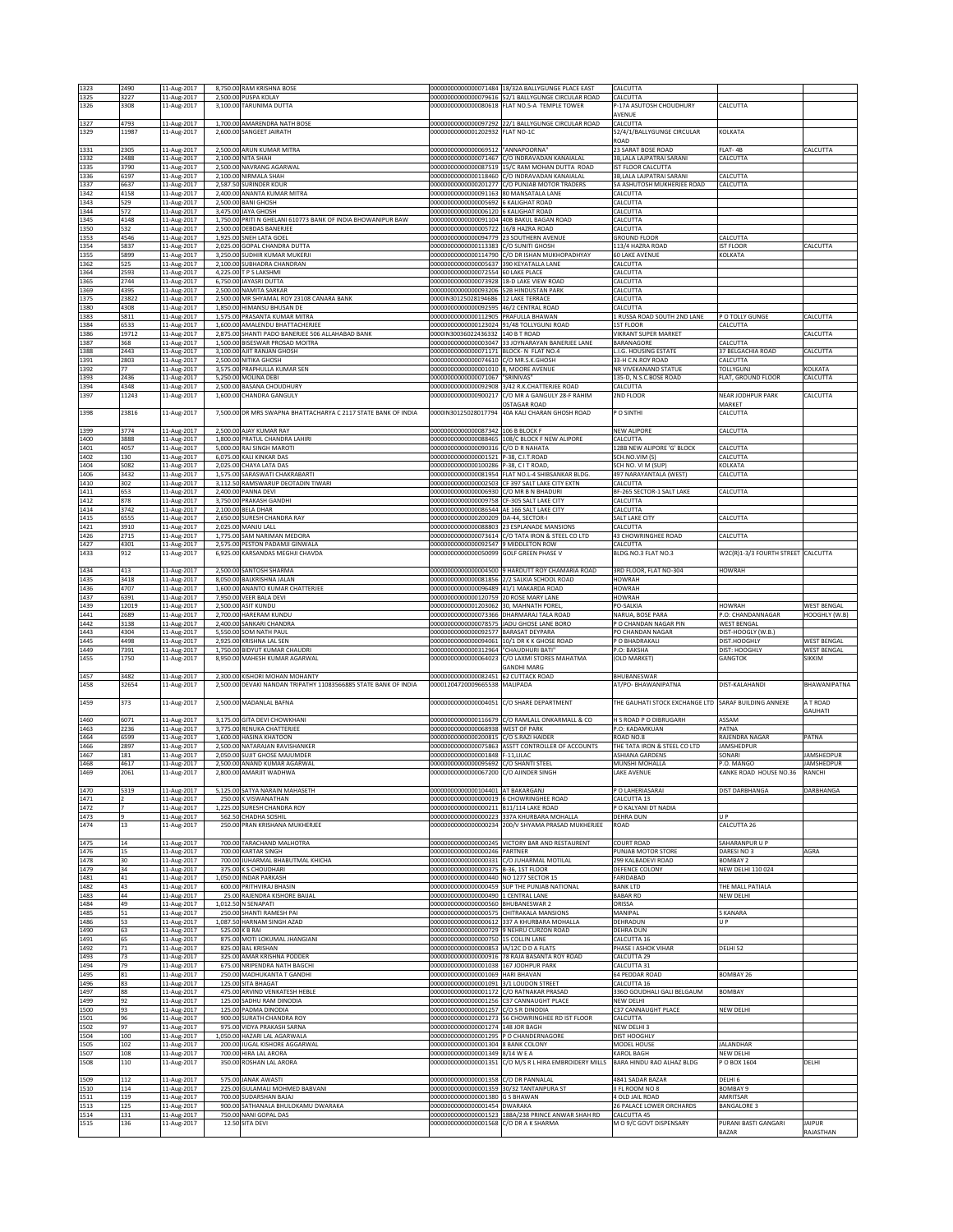| 1323         | 2490           | 11-Aug-2017                | 8,750.00 RAM KRISHNA BOSE                                                           |                                                                                           | 00000000000000071484 18/32A BALLYGUNGE PLACE EAST                                                | CALCUTTA                                                |                                           |                            |
|--------------|----------------|----------------------------|-------------------------------------------------------------------------------------|-------------------------------------------------------------------------------------------|--------------------------------------------------------------------------------------------------|---------------------------------------------------------|-------------------------------------------|----------------------------|
| 1325         | 3227           | 11-Aug-2017                | 2,500.00 PUSPA KOLAY                                                                |                                                                                           | 00000000000000079616 52/1 BALLYGUNGE CIRCULAR ROAD                                               | CALCUTTA                                                |                                           |                            |
| 1326         | 3308           | 11-Aug-2017                | 3,100.00 TARUNIMA DUTTA                                                             |                                                                                           | 000000000000000080618 FLAT NO.5-A TEMPLE TOWER                                                   | P-17A ASUTOSH CHOUDHURY                                 | CALCUTTA                                  |                            |
| 1327         | 4793           | 11-Aug-2017                | 1,700.00 AMARENDRA NATH BOSE                                                        |                                                                                           | 00000000000000097292 22/1 BALLYGUNGE CIRCULAR ROAD                                               | <b>NVENUE</b><br>CALCUTTA                               |                                           |                            |
| 1329         | 11987          | 11-Aug-2017                | 2.600.00 SANGEET JAIRATH                                                            | 00000000000001202932                                                                      | FLAT NO-1C                                                                                       | 52/4/1/BALLYGUNGE CIRCULAR                              | <b>KOLKATA</b>                            |                            |
|              |                |                            |                                                                                     |                                                                                           |                                                                                                  | ROAD                                                    |                                           |                            |
| 1331<br>1332 | 2305<br>2488   | 11-Aug-2017<br>11-Aug-2017 | 2,500.00 ARUN KUMAR MITRA<br>2.100.00 NITA SHAH                                     | 00000000000000069512 "ANNAPOORNA"                                                         | 00000000000000071467 C/O INDRAVADAN KANAIALAL                                                    | 23 SARAT BOSE ROAD<br>3B, LALA LAJPATRAI SARANI         | FLAT-4B<br>CALCUTTA                       | CALCUTTA                   |
| 1335         | 3790           | 11-Aug-2017                | 2,500.00 NAVRANG AGARWAL                                                            |                                                                                           | 00000000000000087519 15/C RAM MOHAN DUTTA ROAD                                                   | IST FLOOR CALCUTTA                                      |                                           |                            |
| 1336<br>1337 | 6197<br>6637   | 11-Aug-2017<br>11-Aug-2017 | 2,100.00 NIRMALA SHAH<br>2,587.50 SURINDER KOUR                                     |                                                                                           | 000000000000000118460 C/O INDRAVADAN KANAIALAL<br>00000000000000201277 C/O PUNJAB MOTOR TRADERS  | 3B, LALA LAJPATRAI SARANI<br>5A ASHUTOSH MUKHERJEE ROAD | CALCUTTA<br>CALCUTTA                      |                            |
| 1342         | 4158           | 11-Aug-2017                | 2,400.00 ANANTA KUMAR MITRA                                                         | 00000000000000091163 80 MANSATALA LANE                                                    |                                                                                                  | CALCUTTA                                                |                                           |                            |
| 1343         | 529            | 11-Aug-2017                | 2,500.00 BANI GHOSH                                                                 | 00000000000000005692 6 KALIGHAT ROAD                                                      |                                                                                                  | CALCUTTA                                                |                                           |                            |
| 1344<br>1345 | 572<br>4148    | 11-Aug-2017<br>11-Aug-2017 | 3,475.00 JAYA GHOSH<br>1,750.00 PRITI N GHELANI 610773 BANK OF INDIA BHOWANIPUR BAW | 00000000000000006120 6 KALIGHAT ROAD                                                      | 00000000000000091104 40B BAKUL BAGAN ROAD                                                        | CALCUTTA<br>CALCUTTA                                    |                                           |                            |
| 1350         | 532            | 11-Aug-2017                | 2,500.00 DEBDAS BANERJEE                                                            | 00000000000000005722 16/B HAZRA ROAD                                                      |                                                                                                  | CALCUTTA                                                |                                           |                            |
| 1353         | 4546           | 11-Aug-2017                | 1,925.00 SNEH LATA GOEL                                                             | 00000000000000094779 23 SOUTHERN AVENUE                                                   |                                                                                                  | <b>GROUND FLOOR</b>                                     | CALCUTTA                                  |                            |
| 1354<br>1355 | 5837<br>5899   | 11-Aug-2017<br>11-Aug-2017 | 2,025.00 GOPAL CHANDRA DUTTA<br>3,250.00 SUDHIR KUMAR MUKERJI                       | 00000000000000113383 C/O SUNITI GHOSH                                                     | 000000000000000114790 C/O DR ISHAN MUKHOPADHYAY                                                  | 113/4 HAZRA ROAD<br><b>60 LAKE AVENUE</b>               | <b>IST FLOOR</b><br>KOLKATA               | CALCUTTA                   |
| 1362         | 525            | 11-Aug-2017                | 2,100.00 SUBHADRA CHANDRAN                                                          | 000000000000000005637 390 KEYATALLA LANE                                                  |                                                                                                  | CALCUTTA                                                |                                           |                            |
| 1364         | 2593           | 11-Aug-2017                | 4,225.00 T P S LAKSHMI                                                              | 00000000000000072554 60 LAKE PLACE                                                        |                                                                                                  | CALCUTTA                                                |                                           |                            |
| 1365<br>1369 | 2744<br>4395   | 11-Aug-2017<br>11-Aug-2017 | 6,750.00 JAYASRI DUTTA<br>2,500.00 NAMITA SARKAR                                    | 00000000000000073928 18-D LAKE VIEW ROAD<br>00000000000000093206 52B HINDUSTAN PARK       |                                                                                                  | CALCUTTA<br>CALCUTTA                                    |                                           |                            |
| 1375         | 23822          | 11-Aug-2017                | 2,500.00 MR SHYAMAL ROY 23108 CANARA BANK                                           | 0000IN30125028194686 12 LAKE TERRACE                                                      |                                                                                                  | CALCUTTA                                                |                                           |                            |
| 1380<br>1383 | 4308<br>5811   | 11-Aug-2017<br>11-Aug-2017 | 1.850.00 HIMANSU BHUSAN DE<br>1,575.00 PRASANTA KUMAR MITRA                         | 00000000000000092595 46/2 CENTRAL ROAD<br>00000000000000112905 PRAFULLA BHAWAN            |                                                                                                  | CALCUTTA<br>I RUSSA ROAD SOUTH 2ND LANE                 | PO TOLLY GUNGE                            | CALCUTTA                   |
| 1384         | 6533           | 11-Aug-2017                | 1,600.00 AMALENDU BHATTACHERJEE                                                     | 00000000000000123024 91/48 TOLLYGUNJ ROAD                                                 |                                                                                                  | 1ST FLOOR                                               | CALCUTTA                                  |                            |
| 1386         | 19712          | 11-Aug-2017                | 2,875.00 SHANTI PADO BANERJEE 506 ALLAHABAD BANK                                    | 0000IN30036022436332 140 B T ROAD                                                         |                                                                                                  | VIKRANT SUPER MARKET                                    |                                           | CALCUTTA                   |
| 1387<br>1388 | 368<br>2443    | 11-Aug-2017<br>11-Aug-2017 | 1,500.00 BISESWAR PROSAD MOITRA<br>3,100.00 AJIT RANJAN GHOSH                       | 00000000000000071171 BLOCK- N FLAT NO.4                                                   | 000000000000000003047 33 JOYNARAYAN BANERJEE LANE                                                | BARANAGORE<br>I.G. HOUSING ESTATE                       | CALCUTTA<br>7 BELGACHIA ROAD              | CALCUTTA                   |
| 1391         | 2803           | 11-Aug-2017                | 2,500.00 NITIKA GHOSH                                                               | 00000000000000074610 C/O MR.S.K.GHOSH                                                     |                                                                                                  | 33-H C.N.ROY ROAD                                       | CALCUTTA                                  |                            |
| 1392<br>1393 | 77<br>2436     | 11-Aug-2017                | 3,575.00 PRAPHULLA KUMAR SEN<br>5,250.00 MOLINA DEBI                                | 00000000000000001010 8, MOORE AVENUE<br>0000000000000071067                               | "SRINIVAS"                                                                                       | NR VIVEKANAND STATUE<br>135-D, N.S.C.BOSE ROAD          | TOLLYGUNJ<br>FLAT, GROUND FLOOR           | KOLKATA<br>CALCUTTA        |
| 1394         | 4348           | 11-Aug-2017<br>11-Aug-2017 | 2,500.00 BASANA CHOUDHURY                                                           |                                                                                           | 00000000000000092908 3/42 R.K.CHATTERJEE ROAD                                                    | CALCUTTA                                                |                                           |                            |
| 1397         | 11243          | 11-Aug-2017                | 1,600.00 CHANDRA GANGULY                                                            | 00000000000000900217                                                                      | C/O MR A GANGULY 28-F RAHIM                                                                      | 2ND FLOOR                                               | NEAR JODHPUR PARK                         | CALCUTTA                   |
| 1398         | 23816          | 11-Aug-2017                | 7,500.00 DR MRS SWAPNA BHATTACHARYA C 2117 STATE BANK OF INDIA                      | 0000IN30125028017794                                                                      | OSTAGAR ROAD<br>40A KALI CHARAN GHOSH ROAD                                                       | O SINTHI                                                | MARKET<br>CALCUTTA                        |                            |
|              |                |                            |                                                                                     |                                                                                           |                                                                                                  |                                                         |                                           |                            |
| 1399         | 3774           | 11-Aug-2017                | 2,500.00 AJAY KUMAR RAY                                                             | 00000000000000087342 106 B BLOCK F                                                        |                                                                                                  | NEW ALIPORE                                             | CALCUTTA                                  |                            |
| 1400<br>1401 | 3888<br>4057   | 11-Aug-2017<br>11-Aug-2017 | 1,800.00 PRATUL CHANDRA LAHIRI<br>5,000.00 RAJ SINGH MAROTI                         | 00000000000000090316 C/O D R NAHATA                                                       | 00000000000000088465 108/C BLOCK F NEW ALIPORE                                                   | CALCUTTA<br>128B NEW ALIPORE 'G' BLOCK                  | CALCUTTA                                  |                            |
| 1402         | 130            | 11-Aug-2017                | 6,075.00 KALI KINKAR DAS                                                            | 00000000000000001521 P-38, C.I.T.ROAD                                                     |                                                                                                  | SCH.NO.VIM (S)                                          | <b>ALCUTTA</b>                            |                            |
| 1404<br>1406 | 5082<br>3432   | 11-Aug-2017<br>11-Aug-2017 | 2,025.00 CHAYA LATA DAS<br>1,575.00 SARASWATI CHAKRABARTI                           | 000000000000000100286 P-38, C I T ROAD,                                                   | 000000000000000081954 FLAT NO.L-4 SHIBSANKAR BLDG.                                               | SCH NO. VI M (SUP)<br>497 NARAYANTALA (WEST)            | KOLKATA<br>CALCUTTA                       |                            |
| 1410         | 302            | 11-Aug-2017                | 3,112.50 RAMSWARUP DEOTADIN TIWARI                                                  |                                                                                           | 00000000000000002503 CF 397 SALT LAKE CITY EXTN                                                  | CALCUTTA                                                |                                           |                            |
| 1411         | 653            | 11-Aug-2017                | 2.400.00<br>PANNA DEVI                                                              | 0000000000000006930                                                                       | C/O MR B N BHADURI                                                                               | BF-265 SECTOR-1 SALT LAKE                               | CALCUTTA                                  |                            |
| 1412<br>1414 | 878<br>3742    | 11-Aug-2017<br>11-Aug-2017 | 3,750.00 PRAKASH GANDHI<br>2,100.00 BELA DHAR                                       | 00000000000000009758 CF-305 SALT LAKE CITY<br>000000000000000086544 AE 166 SALT LAKE CITY |                                                                                                  | CALCUTTA<br>CALCUTTA                                    |                                           |                            |
| 1415         | 6555           | 11-Aug-2017                | 2.650.00 SURESH CHANDRA RAY                                                         | 00000000000000200209 DA-44, SECTOR-I                                                      |                                                                                                  | SALT LAKE CITY                                          | CALCUTTA                                  |                            |
| 1421         | 3910           | 11-Aug-2017                | 2.025.00 MANJU LALL                                                                 |                                                                                           | 00000000000000088803 23 ESPLANADE MANSIONS                                                       | CALCUTTA                                                |                                           |                            |
| 1426<br>1427 | 2715<br>4301   | 11-Aug-2017<br>11-Aug-2017 | 1,775.00 SAM NARIMAN MEDORA<br>2,575.00 PESTON PADAMJI GINWALA                      | 00000000000000092547 9 MIDDLETON ROW                                                      | 00000000000000073614 C/O TATA IRON & STEEL CO LTD                                                | 43 CHOWRINGHEE ROAD<br>CALCUTTA                         | CALCUTTA                                  |                            |
| 1433         | 912            | 11-Aug-2017                | 6,925.00 KARSANDAS MEGHJI CHAVDA                                                    | 00000000000000050099 GOLF GREEN PHASE V                                                   |                                                                                                  | BLDG.NO.3 FLAT NO.3                                     | W2C(R)1-3/3 FOURTH STREET CALCUTTA        |                            |
| 1434         | 413            | 11-Aug-2017                | 2,500.00 SANTOSH SHARMA                                                             |                                                                                           | 00000000000000004500 9 HARDUTT ROY CHAMARIA ROAD                                                 | 3RD FLOOR, FLAT NO-304                                  | HOWRAH                                    |                            |
| 1435         | 3418           | 11-Aug-2017                | 8,050.00 BALKRISHNA JALAN                                                           |                                                                                           | 00000000000000081856 2/2 SALKIA SCHOOL ROAD                                                      | <b>HOWRAH</b>                                           |                                           |                            |
| 1436         | 4707           | 11-Aug-2017                | 1,600.00 ANANTO KUMAR CHATTERJEE                                                    | 00000000000000096489 41/1 MAKARDA ROAD                                                    |                                                                                                  | <b>HOWRAH</b>                                           |                                           |                            |
| 1437<br>1439 | 6391<br>12019  | 11-Aug-2017<br>11-Aug-2017 | 7,950.00 VEER BALA DEVI<br>2,500.00 ASIT KUNDU                                      | 000000000000000120759 20 ROSE MARY LANE<br>000000000000001203062 30, MAHNATH POREL        |                                                                                                  | <b>HOWRAH</b><br>PO-SALKIA                              | HOWRAH                                    | <b>WEST BENGAL</b>         |
|              |                |                            |                                                                                     |                                                                                           |                                                                                                  |                                                         |                                           |                            |
| 1441         | 2689           | 11-Aug-2017                | 2,700.00 HARERAM KUNDU                                                              | 00000000000000073366 DHARMARAJ TALA ROAD                                                  |                                                                                                  | NARUA, BOSE PARA                                        | P.O: CHANDANNAGAR                         | HOOGHLY (W.B)              |
| 1442         | 3138           | 11-Aug-2017                | 2,400.00 SANKARI CHANDRA                                                            | 00000000000000078575 JADU GHOSE LANE BORO                                                 |                                                                                                  | P O CHANDAN NAGAR PIN                                   | WEST BENGAL                               |                            |
| 1443<br>1445 | 4304<br>4498   | 11-Aug-2017<br>11-Aug-2017 | 5.550.00 SOM NATH PAUL<br>2,925.00 KRISHNA LAL SEN                                  | 00000000000000092577 BARASAT DEYPARA<br>00000000000000094061                              | 10/1 DR K K GHOSE ROAD                                                                           | PO CHANDAN NAGAR<br>O BHADRAKALI                        | DIST-HOOGLY (W.B.)<br><b>JIST.HOOGHLY</b> | <b>WEST BENGAL</b>         |
| 1449         | 7391           | 11-Aug-2017                | 1,750.00 BIDYUT KUMAR CHAUDRI                                                       | 00000000000000312964 "CHAUDHURI BATI"                                                     |                                                                                                  | P.O: BAKSHA                                             | DIST: HOOGHLY                             | <b>WEST BENGAL</b>         |
| 1455         | 1750           | 11-Aug-2017                | 8.950.00 MAHESH KUMAR AGARWAL                                                       | 00000000000000064023                                                                      | C/O LAXMI STORES MAHATMA                                                                         | (OLD MARKET)                                            | GANGTOK                                   | <b>SIKKIM</b>              |
| 1457         | 3482           | 11-Aug-2017                | 2,300.00 KISHORI MOHAN MOHANTY                                                      | 00000000000000082451                                                                      | <b>GANDHI MARG</b><br><b>62 CUTTACK ROAD</b>                                                     | BHUBANESWAR                                             |                                           |                            |
| 1458         | 32654          | 11-Aug-2017                | 2,500.00 DEVAKI NANDAN TRIPATHY 11083566885 STATE BANK OF INDIA                     | 00001204720009665538 MALIPADA                                                             |                                                                                                  | AT/PO- BHAWANIPATNA                                     | DIST-KALAHANDI                            | BHAWANIPATNA               |
| 1459         | 373            | 11-Aug-2017                | 2,500.00 MADANLAL BAFNA                                                             | 00000000000000004051                                                                      | C/O SHARE DEPARTMENT                                                                             | THE GAUHATI STOCK EXCHANGE LTD SARAF BUILDING ANNEXE    |                                           | A T ROAD                   |
|              |                |                            |                                                                                     |                                                                                           |                                                                                                  |                                                         |                                           | <b>GAUHATI</b>             |
| 1460         | 6071           | 11-Aug-2017                | 3,175.00 GITA DEVI CHOWKHANI                                                        |                                                                                           | 00000000000000116679 C/O RAMLALL ONKARMALL & CO                                                  | H S ROAD P O DIBRUGARH                                  | ASSAM                                     |                            |
| 1463<br>1464 | 2236<br>6599   | 11-Aug-2017<br>11-Aug-2017 | 3,775.00 RENUKA CHATTERJEE<br>1,600.00 HASINA KHATOON                               | 00000000000000068938 WEST OF PARK<br>00000000000000200815 C/O S.RAZI HAIDER               |                                                                                                  | P.O: KADAMKUAN<br>ROAD NO.8                             | PATNA<br>RAJENDRA NAGAR                   | PATNA                      |
| 1466         | 2897           | 11-Aug-2017                | 2,500.00 NATARAJAN RAVISHANKER                                                      | 0000000000000075863                                                                       | ASSTT CONTROLLER OF ACCOUNTS                                                                     | THE TATA IRON & STEEL CO LTD                            | <b>JAMSHEDPUR</b>                         |                            |
| 1467<br>1468 | 181<br>4617    | 11-Aug-2017                | 2,050.00 SUJIT GHOSE MAJUMDER<br>2,500.00 ANAND KUMAR AGARWAL                       | 00000000000000001848 F-11,LILAC<br>00000000000000095692 C/O SHANTI STEEL                  |                                                                                                  | ASHIANA GARDENS<br>MUNSHI MOHALLA                       | <b>ONARI</b><br>.O. MANGO                 | JAMSHEDPUR<br>JAMSHEDPUR   |
| 1469         | 2061           | 11-Aug-2017<br>11-Aug-2017 | 2.800.00 AMARJIT WADHWA                                                             | 00000000000000067200 C/O AJINDER SINGH                                                    |                                                                                                  | <b>LAKE AVENUE</b>                                      | KANKE ROAD HOUSE NO.36                    | RANCHI                     |
|              |                |                            |                                                                                     |                                                                                           |                                                                                                  |                                                         |                                           |                            |
| 1470<br>1471 | 5319           | 11-Aug-2017<br>11-Aug-2017 | 5,125.00 SATYA NARAIN MAHASETH<br>250.00 K VISWANATHAN                              | 00000000000000104401<br>00000000000000000019 6 CHOWRINGHEE ROAD                           | AT BAKARGANJ                                                                                     | P O LAHERIASARAI<br>CALCUTTA 13                         | DIST DARBHANGA                            | DARBHANGA                  |
| 1472         | $\overline{7}$ | 11-Aug-2017                | 1,225.00 SURESH CHANDRA ROY                                                         | 00000000000000000211 B11/114 LAKE ROAD                                                    |                                                                                                  | P O KALYANI DT NADIA                                    |                                           |                            |
| 1473<br>1474 | q<br>13        | 11-Aug-2017                | 562.50 CHADHA SOSHIL<br>250.00 PRAN KRISHANA MUKHERJEE                              |                                                                                           | 00000000000000000223 337A KHURBARA MOHALLA<br>00000000000000000234 200/V SHYAMA PRASAD MUKHERJEE | <b>DEHRA DUN</b><br>ROAD                                | <b>UP</b><br>CALCUTTA 26                  |                            |
|              |                | 11-Aug-2017                |                                                                                     |                                                                                           |                                                                                                  |                                                         |                                           |                            |
| 1475         | 14             | 11-Aug-2017                | 700.00 TARACHAND MALHOTRA                                                           |                                                                                           | 00000000000000000245 VICTORY BAR AND RESTAURENT                                                  | <b>COURT ROAD</b><br>PUNJAB MOTOR STORE                 | <b>SAHARANPUR U P</b>                     |                            |
| 1476<br>1478 | 15<br>30       | 11-Aug-2017<br>11-Aug-2017 | 700.00 KARTAR SINGH<br>700.00 JUHARMAL BHABUTMAL KHICHA                             | 00000000000000000246 PARTNER<br>00000000000000000331                                      | C/O JUHARMAL MOTILAL                                                                             | 299 KALBADEVI ROAD                                      | DARESI NO 3<br>BOMBAY <sub>2</sub>        | AGRA                       |
| 1479         | 34             | 11-Aug-2017                | 375.00 K S CHOUDHARI                                                                | 00000000000000000375 B-36, 1ST FLOOR                                                      |                                                                                                  | DEFENCE COLONY                                          | NEW DELHI 110 024                         |                            |
| 1481<br>1482 | 41<br>43       | 11-Aug-2017<br>11-Aug-2017 | 1,050.00 INDAR PARKASH<br>600.00 PRITHVIRAJ BHASIN                                  | 00000000000000000440 NO 1277 SECTOR 15                                                    | 00000000000000000459 SUP THE PUNJAB NATIONAL                                                     | FARIDABAD<br><b>BANK LTD</b>                            | THE MALL PATIALA                          |                            |
| 1483         | 44             | 11-Aug-2017                | 25.00 RAJENDRA KISHORE BAIJAL                                                       | 00000000000000000490 1 CENTRAL LANE                                                       |                                                                                                  | <b>BABAR RD</b>                                         | NEW DELHI                                 |                            |
| 1484         | 49             | 11-Aug-2017                | 1,012.50 N SENAPATI                                                                 | 00000000000000000560 BHUBANESWAR 2                                                        |                                                                                                  | ORISSA                                                  |                                           |                            |
| 1485<br>1486 | 51<br>53       | 11-Aug-2017<br>11-Aug-2017 | 250.00 SHANTI RAMESH PAI<br>1,087.50 HARNAM SINGH AZAD                              | 00000000000000000575 CHITRAKALA MANSIONS                                                  | 00000000000000000612 337 A KHURBARA MOHALLA                                                      | MANIPAL<br>DEHRADUN                                     | KANARA<br>J P                             |                            |
| 1490         | 63             | 11-Aug-2017                | 525.00 K B RAI                                                                      | 000000000000000000729 9 NEHRU CURZON ROAD                                                 |                                                                                                  | <b>DEHRA DUN</b>                                        |                                           |                            |
| 1491<br>1492 | 65<br>71       | 11-Aug-2017<br>11-Aug-2017 | 875.00 MOTI LOKUMAL JHANGIANI<br>825.00 BAL KRISHAN                                 | 00000000000000000750 15 COLLIN LANE<br>00000000000000000853 IA/12C D D A FLATS            |                                                                                                  | CALCUTTA 16<br>PHASE I ASHOK VIHAR                      | DELHI 52                                  |                            |
| 1493         | 73             | 11-Aug-2017                | 325.00 AMAR KRISHNA PODDER                                                          |                                                                                           | 00000000000000000916 78 RAJA BASANTA ROY ROAD                                                    | CALCUTTA 29                                             |                                           |                            |
| 1494         | 79             | 11-Aug-2017                | 675.00 NRIPENDRA NATH BAGCH                                                         | 00000000000000001038 167 JODHPUR PARK                                                     |                                                                                                  | CALCUTTA 31                                             |                                           |                            |
| 1495<br>1496 | 81<br>83       | 11-Aug-2017<br>11-Aug-2017 | 250.00 MADHUKANTA T GANDHI<br>125.00 SITA BHAGAT                                    | 00000000000000001069 HARI BHAVAN<br>000000000000000001091 3/1 LOUDON STREET               |                                                                                                  | 64 PEDDAR ROAD<br>CALCUTTA 16                           | BOMBAY 26                                 |                            |
| 1497         | 88             | 11-Aug-2017                | 475.00 ARVIND VENKATESH HEBLE                                                       | 00000000000000001172 C/O RATNAKAR PRASAD                                                  |                                                                                                  | 3360 GOUDHALI GALI BELGAUM                              | BOMBAY                                    |                            |
| 1499         | 92             | 11-Aug-2017                | 125.00 SADHU RAM DINODIA                                                            | 000000000000000001256 C37 CANNAUGHT PLACE                                                 |                                                                                                  | NEW DELHI                                               |                                           |                            |
| 1500<br>1501 | 93<br>96       | 11-Aug-2017<br>11-Aug-2017 | 125.00 PADMA DINODIA<br>900.00 SURATH CHANDRA ROY                                   | 00000000000000001257                                                                      | C/O S R DINODIA<br>00000000000000001273 56 CHOWRINGHEE RD IST FLOOR                              | C37 CANNAUGHT PLACE<br>CALCUTTA                         | <b>VEW DELHI</b>                          |                            |
| 1502         | 97             | 11-Aug-2017                | 975.00 VIDYA PRAKASH SARNA                                                          | 00000000000000001274 148 JOR BAGH                                                         |                                                                                                  | NEW DELHI 3                                             |                                           |                            |
| 1504<br>1505 | 100<br>102     | 11-Aug-2017<br>11-Aug-2017 | 1,050.00 HAZARI LAL AGARWALA<br>200.00 JUGAL KISHORE AGGARWAL                       | 00000000000000001295 P O CHANDERNAGORE<br>000000000000000001304 8 BANK COLONY             |                                                                                                  | DIST HOOGHLY<br>MODEL HOUSE                             | <b>ALANDHAR</b>                           |                            |
| 1507         | 108            | 11-Aug-2017                | 700.00 HIRA LAL ARORA                                                               | 00000000000000001349 8/14 W E A                                                           |                                                                                                  | KAROL BAGH                                              | NEW DELHI                                 |                            |
| 1508         | 110            | 11-Aug-2017                | 350.00 ROSHAN LAL ARORA                                                             |                                                                                           | 000000000000000001351 C/O M/S R L HIRA EMBROIDERY MILLS                                          | BARA HINDU RAO ALHAZ BLDG                               | O BOX 1604                                | DELHI                      |
| 1509         | 112            | 11-Aug-2017                | 575.00 JANAK AWASTI                                                                 | 00000000000000001358 C/O DR PANNALAL                                                      |                                                                                                  | 4841 SADAR BAZAR                                        | DELHI 6                                   |                            |
| 1510         | 114            | 11-Aug-2017                | 225.00 GULAMALI MOHMED BABVANI                                                      | 00000000000000001359 30/32 TANTANPURA ST                                                  |                                                                                                  | II FL ROOM NO 8                                         | BOMBAY 9                                  |                            |
| 1511<br>1513 | 119<br>125     | 11-Aug-2017<br>11-Aug-2017 | 700.00 SUDARSHAN BAJAJ<br>900.00 SATHANALA BHULOKAMU DWARAKA                        | 00000000000000001380 G S BHAWAN<br>00000000000000001454 DWARAKA                           |                                                                                                  | 4 OLD JAIL ROAD<br>26 PALACE LOWER ORCHARDS             | AMRITSAR<br>BANGALORE 3                   |                            |
| 1514         | 131            | 11-Aug-2017                | 750.00 NANI GOPAL DAS                                                               |                                                                                           | 00000000000000001523 188A/238 PRINCE ANWAR SHAH RD                                               | CALCUTTA 45                                             |                                           |                            |
| 1515         | 136            | 11-Aug-2017                | 12.50 SITA DEVI                                                                     | 00000000000000001568 C/O DR A K SHARMA                                                    |                                                                                                  | M O 9/C GOVT DISPENSARY                                 | PURANI BASTI GANGARI<br>BAZAR             | <b>JAIPUR</b><br>RAJASTHAN |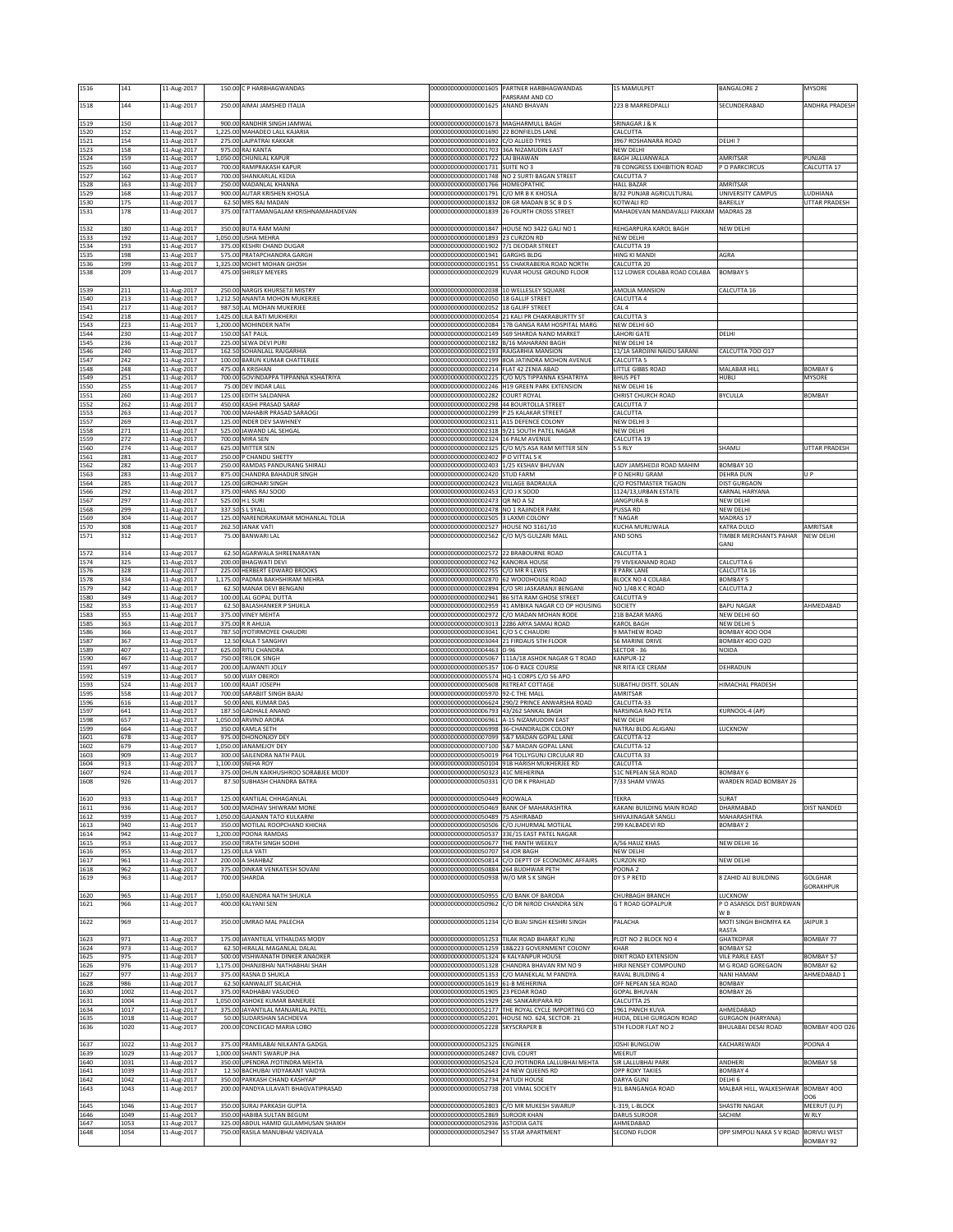| 1516         | 141          | 11-Aug-2017                |       | 150.00 C P HARBHAGWANDAS                                                | 00000000000000001605                                                            | PARTNER HARBHAGWANDAS<br>PARSRAM AND CO                                                             | 15 MAMULPET                                    | BANGALORE 2                                | MYSORE                          |
|--------------|--------------|----------------------------|-------|-------------------------------------------------------------------------|---------------------------------------------------------------------------------|-----------------------------------------------------------------------------------------------------|------------------------------------------------|--------------------------------------------|---------------------------------|
| 1518         | 144          | 11-Aug-2017                |       | 250.00 AIMAI JAMSHED ITALIA                                             | 000000000000000001625 ANAND BHAVAN                                              |                                                                                                     | 223 B MARREDPALLI                              | SECUNDERABAD                               | <b>ANDHRA PRADESH</b>           |
| 1519         | 150          | 11-Aug-2017                |       | 900.00 RANDHIR SINGH JAMWAL                                             | 000000000000000001673 MAGHARMULL BAGH                                           |                                                                                                     | SRINAGAR J & K                                 |                                            |                                 |
| 1520<br>1521 | 152<br>154   | 11-Aug-2017<br>11-Aug-2017 |       | 1,225.00 MAHADEO LALL KAJARIA<br>275.00 LAJPATRAI KAKKAR                | 00000000000000001690 22 BONFIELDS LANE<br>00000000000000001692 C/O ALLIED TYRES |                                                                                                     | CALCUTTA<br>3967 ROSHANARA ROAD                | DELHL7                                     |                                 |
| 1523<br>1524 | 158<br>159   | 11-Aug-2017<br>11-Aug-2017 |       | 975.00 RAJ KANTA<br>1,050.00 CHUNILAL KAPUR                             | 00000000000000001703 36A NIZAMUDIN EAST<br>000000000000000001722 LAJ BHAWAN     |                                                                                                     | NEW DELHI<br>BAGH JALLIANWALA                  | AMRITSAR                                   | PUNJAB                          |
| 1525         | 160          | 11-Aug-2017                |       | 700.00 RAMPRAKASH KAPUR                                                 | 00000000000000001731 SUITE NO 3                                                 |                                                                                                     | 7B CONGRESS EXHIBITION ROAD                    | P O PARKCIRCUS                             | CALCUTTA 17                     |
| 1527<br>1528 | 162<br>163   | 11-Aug-2017<br>11-Aug-2017 |       | 700.00 SHANKARLAL KEDIA<br>250.00 MADANLAL KHANNA                       | 00000000000000001766 HOMEOPATHIC                                                | 00000000000000001748 NO 2 SURTI BAGAN STREET                                                        | CALCUTTA 7<br><b>HALL BAZAR</b>                | MRITSAR                                    |                                 |
| 1529<br>1530 | 168<br>175   | 11-Aug-2017<br>11-Aug-2017 |       | 900.00 AUTAR KRISHEN KHOSLA<br>62.50 MRS RAJ MADAN                      | 00000000000000001791                                                            | C/O MR B K KHOSLA<br>00000000000000001832 DR GR MADAN B SC B D S                                    | 3/32 PUNJAB AGRICULTURAL<br>KOTWALI RD         | <b>JNIVERSITY CAMPUS</b><br>BAREILLY       | <b>UDHIANA</b><br>UTTAR PRADESH |
| 1531         | 178          | 11-Aug-2017                |       | 375.00 TATTAMANGALAM KRISHNAMAHADEVAN                                   |                                                                                 | 00000000000000001839 26 FOURTH CROSS STREET                                                         | MAHADEVAN MANDAVALLI PAKKAM                    | <b>MADRAS 28</b>                           |                                 |
| 1532         | 180          | 11-Aug-2017                |       | 350.00 BUTA RAM MAINI                                                   |                                                                                 | 00000000000000001847 HOUSE NO 3422 GALI NO 1                                                        | REHGARPURA KAROL BAGH                          | NEW DELHI                                  |                                 |
| 1533<br>1534 | 192<br>193   | 11-Aug-2017<br>11-Aug-2017 |       | 1,050.00 USHA MEHRA<br>375.00 KESHRI CHAND DUGAR                        | 00000000000000001893 23 CURZON RD<br>00000000000000001902 7/1 DEODAR STREET     |                                                                                                     | NEW DELHI<br>CALCUTTA 19                       |                                            |                                 |
| 1535<br>1536 | 198<br>199   | 11-Aug-2017<br>11-Aug-2017 |       | 575.00 PRATAPCHANDRA GARGH<br>1,325.00 MOHIT MOHAN GHOSH                | 00000000000000001941 GARGHS BLDG                                                | 000000000000000001951 55 CHAKRABERIA ROAD NORTH                                                     | <b>HING KI MANDI</b><br>CALCUTTA 20            | AGRA                                       |                                 |
| 1538         | 209          | 11-Aug-2017                |       | 475.00 SHIRLEY MEYERS                                                   |                                                                                 | 00000000000000002029 KUVAR HOUSE GROUND FLOOR                                                       | 112 LOWER COLABA ROAD COLABA                   | <b>BOMBAY 5</b>                            |                                 |
| 1539         | 211          | 11-Aug-2017                |       | 250.00 NARGIS KHURSETJI MISTRY                                          | 00000000000000002038 10 WELLESLEY SQUARE                                        |                                                                                                     | AMOLIA MANSION                                 | <b>CALCUTTA 16</b>                         |                                 |
| 1540<br>1541 | 213<br>217   | 11-Aug-2017<br>11-Aug-2017 |       | 1,212.50 ANANTA MOHON MUKERJEE<br>987.50 LAL MOHAN MUKERJEE             | 00000000000000002050<br>00000000000000002052                                    | <b>18 GALLIF STREET</b><br><b>18 GALIFF STREET</b>                                                  | CALCUTTA 4<br>CAL <sub>4</sub>                 |                                            |                                 |
| 1542<br>1543 | 218<br>223   | 11-Aug-2017<br>11-Aug-2017 |       | 1,425.00 LILA BATI MUKHERJI<br>1,200.00 MOHINDER NATH                   |                                                                                 | 00000000000000002054 21 KALI PR CHAKRABURTTY ST<br>00000000000000002084 17B GANGA RAM HOSPITAL MARG | CALCUTTA 3<br>NEW DELHI 60                     |                                            |                                 |
| 1544<br>1545 | 230<br>236   | 11-Aug-2017<br>11-Aug-2017 |       | 150.00 SAT PAUL<br>225.00 SEWA DEVI PURI                                | 00000000000000002182 B/16 MAHARANI BAGH                                         | 00000000000000002149 569 SHARDA NAND MARKET                                                         | <b>AHORI GATE</b><br><b>NEW DELHI 14</b>       | DELHI                                      |                                 |
| 1546         | 240          | 11-Aug-2017                |       | 162.50 SOHANLALL RAJGARHIA                                              | 00000000000000002193 RAJGARHIA MANSION                                          |                                                                                                     | 11/1A SAROJINI NAIDU SARANI                    | CALCUTTA 700 017                           |                                 |
| 1547<br>1548 | 242<br>248   | 11-Aug-2017<br>11-Aug-2017 |       | 100.00 BARUN KUMAR CHATTERJEE<br>475.00 A KRISHAN                       | 0000000000000002214                                                             | 00000000000000002199 8OA JATINDRA MOHON AVENUE<br>FLAT 42 ZENIA ABAD                                | CALCUTTA 5<br>LITTLE GIBBS ROAD                | MALABAR HILL                               | <b>BOMBAY 6</b>                 |
| 1549<br>1550 | 251<br>255   | 11-Aug-2017<br>11-Aug-2017 |       | 700.00 GOVINDAPPA TIPPANNA KSHATRIYA<br>75.00 DEV INDAR LALL            | 00000000000000002225                                                            | C/O M/S TIPPANNA KSHATRIYA<br>00000000000000002246 H19 GREEN PARK EXTENSION                         | <b>BHUS PET</b><br>NEW DELHI 16                | HUBLI                                      | MYSORE                          |
| 1551<br>1552 | 260<br>262   | 11-Aug-2017<br>11-Aug-2017 |       | 125.00 EDITH SALDANHA<br>450.00 KASHI PRASAD SARAF                      | 00000000000000002282 COURT ROYAL<br>00000000000000002298 44 BOURTOLLA STREET    |                                                                                                     | CHRIST CHURCH ROAD<br>CALCUTTA 7               | BYCULLA                                    | <b>BOMBAY</b>                   |
| 1553         | 263          | 11-Aug-2017                |       | 700.00 MAHABIR PRASAD SARAOGI                                           | 00000000000000002299                                                            | P 25 KALAKAR STREET                                                                                 | CALCUTTA                                       |                                            |                                 |
| 1557<br>1558 | 269<br>271   | 11-Aug-2017<br>11-Aug-2017 |       | 125.00 INDER DEV SAWHNEY<br>525.00 JAWAND LAL SEHGAL                    | 00000000000000002311 A15 DEFENCE COLONY                                         | 00000000000000002318 9/21 SOUTH PATEL NAGAR                                                         | NEW DELHI 3<br>NEW DELHI                       |                                            |                                 |
| 1559<br>1560 | 272<br>274   | 11-Aug-2017<br>11-Aug-2017 |       | 700.00 MIRA SEN<br>625.00 MITTER SEN                                    | 00000000000000002324 16 PALM AVENUE                                             | 00000000000000002325 C/O M/S ASA RAM MITTER SEN                                                     | CALCUTTA 19<br>S S RLY                         | SHAMLI                                     | UTTAR PRADESH                   |
| 1561<br>1562 | 281<br>282   | 11-Aug-2017<br>11-Aug-2017 |       | 250.00 P CHANDU SHETTY<br>250.00 RAMDAS PANDURANG SHIRALI               | 00000000000000002402 P O VITTAL S K<br>00000000000000002403 1/25 KESHAV BHUVAN  |                                                                                                     | ADY JAMSHEDJI ROAD MAHIM                       | BOMBAY 10                                  |                                 |
| 1563         | 283          | 11-Aug-2017                |       | 875.00 CHANDRA BAHADUR SINGH                                            | 00000000000000002420 STUD FARM<br>0000000000000002423                           |                                                                                                     | O NEHRU GRAM                                   | DEHRA DUN                                  | U P                             |
| 1564<br>1566 | 285<br>292   | 11-Aug-2017<br>11-Aug-2017 |       | 125.00 GIRDHARI SINGH<br>375.00 HANS RAJ SOOD                           | 00000000000000002453 C/O J K SOOD                                               | VILLAGE BADRAULA                                                                                    | C/O POSTMASTER TIGAON<br>1124/13, URBAN ESTATE | DIST GURGAON<br>KARNAL HARYANA             |                                 |
| 1567<br>1568 | 297<br>299   | 11-Aug-2017<br>11-Aug-2017 |       | 525.00 H L SURI<br>337.50 S L SYALL                                     | 00000000000000002473 QR NO A 52<br>00000000000000002478 NO 1 RAJINDER PARK      |                                                                                                     | JANGPURA B<br>PUSSA RD                         | NEW DELHI<br>NEW DELHI                     |                                 |
| 1569<br>1570 | 304<br>308   | 11-Aug-2017<br>11-Aug-2017 |       | 125.00 NARENDRAKUMAR MOHANLAL TOLIA<br>262.50 JANAK VATI                | 00000000000000002505<br>00000000000000002527                                    | 3 LAXMI COLONY<br>HOUSE NO 3161/10                                                                  | <b>TNAGAR</b><br>KUCHA MURLIWALA               | MADRAS 17<br>KATRA DULO                    | AMRITSAR                        |
| 1571         | 312          | 11-Aug-2017                |       | 75.00 BANWARI LAL                                                       | 00000000000000002562                                                            | C/O M/S GULZARI MALL                                                                                | AND SONS                                       | TIMBER MERCHANTS PAHAR                     | <b>NEW DELHI</b>                |
| 1572         | 314          | 11-Aug-2017                |       | 62.50 AGARWALA SHREENARAYAN                                             | 00000000000000002572 22 BRABOURNE ROAD                                          |                                                                                                     | CALCUTTA 1                                     | GANJ                                       |                                 |
| 1574<br>1576 | 325<br>328   | 11-Aug-2017<br>11-Aug-2017 |       | 200.00 BHAGWATI DEVI<br>225.00 HERBERT EDWARD BROOKS                    | 00000000000000002742 KANORIA HOUSE<br>00000000000000002755 C/O MR R LEWIS       |                                                                                                     | 79 VIVEKANAND ROAD<br><b>8 PARK LANE</b>       | CALCUTTA 6<br>CALCUTTA 16                  |                                 |
| 1578<br>1579 | 334<br>342   | 11-Aug-2017<br>11-Aug-2017 |       | 1,175.00 PADMA BAKHSHIRAM MEHRA<br>62.50 MANAK DEVI BENGANI             | 00000000000000002870 62 WOODHOUSE ROAD<br>00000000000000002894                  | C/O SRI JASKARANJI BENGANI                                                                          | BLOCK NO 4 COLABA<br>NO 1/4B K C ROAD          | BOMBAY 5<br>CALCUTTA <sub>2</sub>          |                                 |
| 1580         | 349          | 11-Aug-2017                |       | 100.00 LAL GOPAL DUTTA                                                  | 00000000000000002941                                                            | 86 SITA RAM GHOSE STREET                                                                            | CALCUTTA 9                                     |                                            |                                 |
| 1582<br>1583 | 353<br>355   | 11-Aug-2017<br>11-Aug-2017 |       | 62.50 BALASHANKER P SHUKLA<br>375.00 VINEY MEHTA                        |                                                                                 | 00000000000000002959 41 AMBIKA NAGAR CO OP HOUSING<br>00000000000000002972 C/O MADAN MOHAN RODE     | SOCIETY<br>21B BAZAR MARG                      | <b>BAPU NAGAR</b><br>NEW DELHI 60          | AHMEDABAD                       |
| 1585<br>1586 | 363<br>366   | 11-Aug-2017<br>11-Aug-2017 |       | 375.00 R R AHUJA<br>787.50 JYOTIRMOYEE CHAUDRI                          | 00000000000000003041 C/O S C CHAUDRI                                            | 00000000000000003013 2286 ARYA SAMAJ ROAD                                                           | <b>CAROL BAGH</b><br><b>MATHEW ROAD</b>        | NEW DELHI 5<br>BOMBAY 400 004              |                                 |
| 1587<br>1589 | 367<br>407   | 11-Aug-2017<br>11-Aug-2017 |       | 12.50 KALA T SANGHVI<br>625.00 RITU CHANDRA                             | 00000000000000003044 21 FIRDAUS 5TH FLOOR<br>00000000000000004463 D-96          |                                                                                                     | 56 MARINE DRIVE<br>SECTOR - 36                 | BOMBAY 400 020<br>NOIDA                    |                                 |
| 1590<br>1591 | 467<br>497   | 11-Aug-2017<br>11-Aug-2017 |       | 750.00 TRILOK SINGH<br>200.00 LAJWANTI JOLLY                            | 00000000000000005067<br>00000000000000005357                                    | 111A/18 ASHOK NAGAR G T ROAD<br>106-D RACE COURSE                                                   | KANPUR-12<br>NR RITA ICE CREAM                 | DEHRADUN                                   |                                 |
| 1592         | 519          | 11-Aug-2017                |       | 50.00 VIJAY OBEROI                                                      |                                                                                 | 00000000000000005574 HQ-1 CORPS C/O 56 APO                                                          |                                                | HIMACHAL PRADESH                           |                                 |
| 1593<br>1595 | 524<br>558   | 11-Aug-2017<br>11-Aug-2017 |       | 100.00 RAJAT JOSEPH<br>700.00 SARABJIT SINGH BAJAJ                      | 00000000000000005608 RETREAT COTTAGE<br>00000000000000005970 92-C THE MALL      |                                                                                                     | SUBATHU DISTT. SOLAN<br>MRITSAR                |                                            |                                 |
| 1596<br>1597 | 616<br>641   | 11-Aug-2017<br>11-Aug-2017 |       | 50.00 ANIL KUMAR DAS<br>187.50 GADHALE ANAND                            | 00000000000000006793                                                            | 00000000000000006624 290/2 PRINCE ANWARSHA ROAD<br>43/262 SANKAL BAGH                               | CALCUTTA-33<br>NARSINGA RAO PETA               | KURNOOL-4 (AP)                             |                                 |
| 1598<br>1599 | 657<br>664   | 11-Aug-2017<br>11-Aug-2017 |       | 1,050.00 ARVIND ARORA<br>350.00 KAMLA SETH                              | 00000000000000006961                                                            | A-15 NIZAMUDDIN EAST<br>00000000000000006998 36-CHANDRALOK COLONY                                   | NEW DELHI<br>NATRAJ BLDG ALIGANJ               | <b>LUCKNOW</b>                             |                                 |
| 1601<br>1602 | 578<br>679   | 11-Aug-2017<br>11-Aug-2017 |       | 975.00 DHONONJOY DEY<br>1,050.00 JANAMEJOY DEY                          | 0000000000000007099                                                             | 5&7 MADAN GOPAL LANE<br>00000000000000007100 5&7 MADAN GOPAL LANE                                   | CALCUTTA-12<br>CALCUTTA-12                     |                                            |                                 |
| 1603         | 909          | 11-Aug-2017                |       | 300.00 SAILENDRA NATH PAUL                                              |                                                                                 | 000000000000000050019 P64 TOLLYGUNJ CIRCULAR RD                                                     | CALCUTTA 33                                    |                                            |                                 |
| 1604<br>1607 | 913<br>924   | 11-Aug-2017<br>11-Aug-2017 |       | 1,100.00 SNEHA ROY<br>375.00 DHUN KAIKHUSHROO SORABJEE MODY             | 00000000000000050323 41C MEHERINA                                               | 000000000000000050104 91B HARISH MUKHERJEE RD                                                       | CALCUTTA<br>51C NEPEAN SEA ROAD                | BOMBAY 6                                   |                                 |
| 1608         | 926          | 11-Aug-2017                | 87.50 | SUBHASH CHANDRA BATRA                                                   | 10000000000000050331                                                            | <b>C/O DR K PRAHLAL</b>                                                                             | 7733 SHAM VIWAS                                | WARDEN ROAD BOMBAY 26                      |                                 |
| 1610<br>1611 | 933<br>936   | 11-Aug-2017<br>11-Aug-2017 |       | 125.00 KANTILAL CHHAGANLAL<br>500.00 MADHAV SHIWRAM MONE                | 00000000000000050449 ROOWALA                                                    | 00000000000000050469 BANK OF MAHARASHTRA                                                            | TEKRA<br>KAKANI BUILDING MAIN ROAD             | <b>SURAT</b><br>DHARMABAD                  | DIST NANDED                     |
| 1612         | 939          | 11-Aug-2017                |       | 1,050.00 GAJANAN TATO KULKARNI                                          | 00000000000000050489 75 ASHIRABAD                                               |                                                                                                     | SHIVAJINAGAR SANGLI                            | MAHARASHTRA                                |                                 |
| 1613<br>1614 | 940<br>942   | 11-Aug-2017<br>11-Aug-2017 |       | 350.00 MOTILAL ROOPCHAND KHICHA<br>1,200.00 POONA RAMDAS                |                                                                                 | 00000000000000050506 C/O JUHURMAL MOTILAL<br>00000000000000050537 33E/15 EAST PATEL NAGAR           | 299 KALBADEVI RD                               | BOMBAY 2                                   |                                 |
| 1615<br>1616 | 953<br>955   | 11-Aug-2017<br>11-Aug-2017 |       | 350.00 TIRATH SINGH SODHI<br>125.00 LILA VATI                           | 00000000000000050677 THE PANTH WEEKLY<br>00000000000000050707 54 JOR BAGH       |                                                                                                     | A/56 HAUZ KHAS<br>NEW DELHI                    | NEW DELHI 16                               |                                 |
| 1617<br>1618 | 961<br>962   | 11-Aug-2017<br>11-Aug-2017 |       | 200.00 A SHAHBAZ<br>375.00 DINKAR VENKATESH SOVANI                      | 00000000000000050884 264 BUDHWAR PETH                                           | 00000000000000050814 C/O DEPTT OF ECONOMIC AFFAIRS                                                  | <b>CURZON RD</b><br>POONA <sub>2</sub>         | <b>NEW DELHI</b>                           |                                 |
| 1619         | 963          | 11-Aug-2017                |       | 700.00 SHARDA                                                           | 00000000000000050938 W/O MR S K SINGH                                           |                                                                                                     | DY S P RETD                                    | 8 ZAHID ALI BUILDING                       | GOLGHAR<br><b>GORAKHPUR</b>     |
| 1620         | 965          | 11-Aug-2017                |       | 1,050.00 RAJENDRA NATH SHUKLA                                           | 00000000000000050955 C/O BANK OF BARODA                                         |                                                                                                     | CHURBAGH BRANCH                                | LUCKNOW                                    |                                 |
| 1621         | 966          | 11-Aug-2017                |       | 400.00 KALYANI SEN                                                      |                                                                                 | 00000000000000050962 C/O DR NIROD CHANDRA SEN                                                       | <b>G T ROAD GOPALPUR</b>                       | P O ASANSOL DIST BURDWAN<br>W <sub>B</sub> |                                 |
| 1622         | 969          | 11-Aug-2017                |       | 350.00 UMRAO MAL PALECHA                                                |                                                                                 | 00000000000000051234 C/O BIJAI SINGH KESHRI SINGH                                                   | PALACHA                                        | MOTI SINGH BHOMIYA KA<br>RASTA             | AIPUR <sub>3</sub>              |
| 1623<br>1624 | 971<br>973   | 11-Aug-2017<br>11-Aug-2017 |       | 175.00 JAYANTILAL VITHALDAS MODY<br>62.50 HIRALAL MAGANLAL DALAL        |                                                                                 | 00000000000000051253 TILAK ROAD BHARAT KUNJ<br>00000000000000051259 18&223 GOVERNMENT COLONY        | PLOT NO 2 BLOCK NO 4<br>KHAR                   | <b>GHATKOPAR</b><br><b>BOMBAY 52</b>       | BOMBAY 77                       |
| 1625         | 975          | 11-Aug-2017                |       | 500.00 VISHWANATH DINKER ANAOKER                                        | 00000000000000051324 6 KALYANPUR HOUSE                                          |                                                                                                     | DIXIT ROAD EXTENSION                           | <b>VILE PARLE EAST</b>                     | BOMBAY 57                       |
| 1626<br>1627 | 976<br>977   | 11-Aug-2017<br>11-Aug-2017 |       | 1,175.00 DHANJIBHAI NATHABHAI SHAH<br>375.00 RASNA D SHUKLA             |                                                                                 | 00000000000000051328 CHANDRA BHAVAN RM NO 9<br>00000000000000051353 C/O MANEKLAL M PANDYA           | HIRJI NENSEY COMPOUND<br>RAVAL BUILDING 4      | M G ROAD GOREGAON<br>NANI HAMAM            | BOMBAY 62<br>AHMEDABAD 1        |
| 1628<br>1630 | 986<br>1002  | 11-Aug-2017<br>11-Aug-2017 |       | 62.50 KANWALJIT SILAICHIA<br>375.00 RADHABAI VASUDEO                    | 00000000000000051619 61-B MEHERINA<br>00000000000000051905 23 PEDAR ROAD        |                                                                                                     | OFF NEPEAN SEA ROAD<br><b>GOPAL BHUVAN</b>     | BOMBAY<br>BOMBAY 26                        |                                 |
| 1631<br>1634 | 1004<br>1017 | 11-Aug-2017<br>11-Aug-2017 |       | 1,050.00 ASHOKE KUMAR BANERJEE<br>375.00 JAYANTILAL MANJARLAL PATEL     | 000000000000000051929 24E SANKARIPARA RD                                        | 00000000000000052177 THE ROYAL CYCLE IMPORTING CO                                                   | CALCUTTA 25<br>1961 PANCH KUVA                 | AHMEDABAD                                  |                                 |
| 1635         | 1018         | 11-Aug-2017                |       | 50.00 SUDARSHAN SACHDEVA                                                |                                                                                 | 00000000000000052201 HOUSE NO. 624, SECTOR- 21                                                      | HUDA, DELHI GURGAON ROAD                       | <b>GURGAON (HARYANA)</b>                   |                                 |
| 1636         | 1020         | 11-Aug-2017                |       | 200.00 CONCEICAO MARIA LOBO                                             | 00000000000000052228 SKYSCRAPER B                                               |                                                                                                     | <b>STH FLOOR FLAT NO 2</b>                     | BHULABAI DESAI ROAD                        | <b>BOMBAY 400 026</b>           |
| 1637<br>1639 | 1022<br>1029 | 11-Aug-2017<br>11-Aug-2017 |       | 375.00 PRAMILABAI NILKANTA GADGIL<br>1,000.00 SHANTI SWARUP JHA         | 00000000000000052325 ENGINEER<br>00000000000000052487 CIVIL COURT               |                                                                                                     | JOSHI BUNGLOW<br>MEERUT                        | KACHAREWADI                                | POONA4                          |
| 1640<br>1641 | 1031<br>1039 | 11-Aug-2017<br>11-Aug-2017 |       | 350.00 UPENDRA JYOTINDRA MEHTA<br>12.50 BACHUBAI VIDYAKANT VAIDYA       | 00000000000000052643 24 NEW QUEENS RD                                           | 000000000000000052524 C/O JYOTINDRA LALLUBHAI MEHTA                                                 | SIR LALLUBHAI PARK<br>OPP ROXY TAKIES          | ANDHERI<br>BOMBAY 4                        | <b>BOMBAY 58</b>                |
| 1642         | 1042         | 11-Aug-2017                |       | 350.00 PARKASH CHAND KASHYAP<br>200.00 PANDYA LILAVATI BHAGVATIPRASAD   | 00000000000000052734 PATUDI HOUSE<br>00000000000000052738 201 VIMAL SOCIETY     |                                                                                                     | DARYA GUNJ<br>91L BANGANGA ROAD                | DELHI 6<br>MALBAR HILL, WALKESHWAR         | BOMBAY 400                      |
| 1643         | 1043         | 11-Aug-2017                |       |                                                                         |                                                                                 |                                                                                                     |                                                |                                            | 006                             |
| 1645<br>1646 | 1046<br>1049 | 11-Aug-2017<br>11-Aug-2017 |       | 350.00 SURAJ PARKASH GUPTA<br>350.00 HABIBA SULTAN BEGUM                | 00000000000000052869 SUROOR KHAN                                                | 00000000000000052803 C/O MR MUKESH SWARUP                                                           | L-319, L-BLOCK<br>DARUS SUROOR                 | SHASTRI NAGAR<br>SACHIM                    | MEERUT (U.P)<br>W RLY           |
| 1647<br>1648 | 1053<br>1054 | 11-Aug-2017<br>11-Aug-2017 |       | 325.00 ABDUL HAMID GULAMHUSAN SHAIKH<br>750.00 RASILA MANUBHAI VADIVALA | 00000000000000052936 ASTODIA GATE<br>00000000000000052947                       | 55 STAR APARTMENT                                                                                   | AHMEDABAD<br><b>SECOND FLOOR</b>               | OPP SIMPOLI NAKA S V ROAD                  | <b>BORIVLI WEST</b>             |
|              |              |                            |       |                                                                         |                                                                                 |                                                                                                     |                                                |                                            | <b>BOMBAY 92</b>                |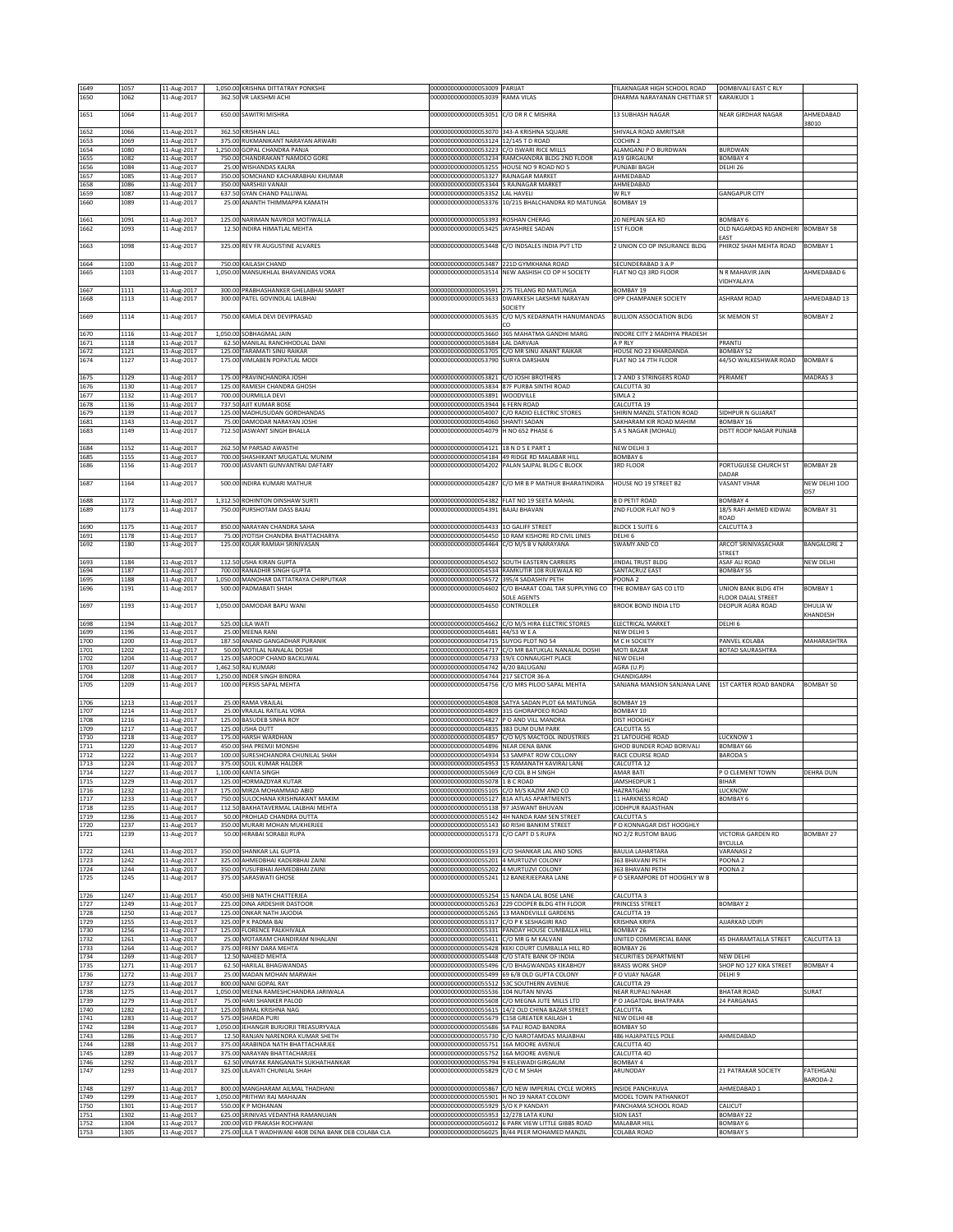| 1649         | 1057         | 11-Aug-2017                |        | 1,050.00 KRISHNA DITTATRAY PONKSHE                                                  | 00000000000000053009 PARIJAT                                               |                                                                                                   | TILAKNAGAR HIGH SCHOOL ROAD                  | DOMBIVALI EAST C RLY                       |                       |
|--------------|--------------|----------------------------|--------|-------------------------------------------------------------------------------------|----------------------------------------------------------------------------|---------------------------------------------------------------------------------------------------|----------------------------------------------|--------------------------------------------|-----------------------|
| 1650         | 1062         | 11-Aug-2017                |        | 362.50 VR LAKSHMI ACHI                                                              | 00000000000000053039 RAMA VILAS                                            |                                                                                                   | DHARMA NARAYANAN CHETTIAR ST                 | KARAIKUDI 1                                |                       |
|              |              |                            |        |                                                                                     |                                                                            |                                                                                                   |                                              |                                            |                       |
| 1651         | 1064         | 11-Aug-2017                |        | 650.00 SAWITRI MISHRA                                                               | 000000000000000053051 C/O DR R C MISHRA                                    |                                                                                                   | 13 SUBHASH NAGAR                             | NEAR GIRDHAR NAGAR                         | AHMEDABAD<br>38010    |
| 1652         | 1066         | 11-Aug-2017                |        | 362.50 KRISHAN LALL                                                                 | 00000000000000053070 343-A KRISHNA SQUARE                                  |                                                                                                   | SHIVALA ROAD AMRITSAR                        |                                            |                       |
| 1653         | 1069         | 11-Aug-2017                |        | 375.00 RUKMANIKANT NARAYAN ARWARI                                                   | 000000000000000053124 12/145 T D ROAD                                      |                                                                                                   | COCHIN <sub>2</sub>                          |                                            |                       |
| 1654         | 1080         | 11-Aug-2017                |        | 1,250.00 GOPAL CHANDRA PANJA                                                        | 00000000000000053223 C/O ISWARI RICE MILLS                                 |                                                                                                   | ALAMGANJ P O BURDWAN                         | <b>BURDWAN</b>                             |                       |
| 1655         | 1082         | 11-Aug-2017                |        | 750.00 CHANDRAKANT NAMDEO GORE                                                      |                                                                            | 000000000000000053234 RAMCHANDRA BLDG 2ND FLOOR                                                   | A19 GIRGAUM                                  | <b>BOMBAY 4</b>                            |                       |
| 1656<br>1657 | 1084<br>1085 | 11-Aug-2017<br>11-Aug-2017 |        | 25.00 WISHANDAS KALRA<br>350.00 SOMCHAND KACHARABHAI KHUMAR                         | 00000000000000053327 RAJNAGAR MARKET                                       | 00000000000000053255 HOUSE NO 9 ROAD NO 5                                                         | PUNJABI BAGH<br>AHMEDABAD                    | DELHI 26                                   |                       |
| 1658         | 1086         | 11-Aug-2017                |        | 350.00 NARSHIJI VANAJI                                                              | 000000000000000053344 5 RAJNAGAR MARKET                                    |                                                                                                   | AHMEDABAD                                    |                                            |                       |
| 1659         | 1087         | 11-Aug-2017                |        | 637.50 GYAN CHAND PALLIWAL                                                          | 0000000000000053352                                                        | LAL HAVELI                                                                                        | W RLY                                        | <b>GANGAPUR CITY</b>                       |                       |
| 1660         | 1089         | 11-Aug-2017                |        | 25.00 ANANTH THIMMAPPA KAMATH                                                       | 0000000000000053376                                                        | 10/215 BHALCHANDRA RD MATUNGA                                                                     | BOMBAY 19                                    |                                            |                       |
|              |              |                            |        |                                                                                     |                                                                            |                                                                                                   |                                              |                                            |                       |
| 1661<br>1662 | 1091<br>1093 | 11-Aug-2017<br>11-Aug-2017 |        | 125.00 NARIMAN NAVROJI MOTIWALLA<br>12.50 INDIRA HIMATLAL MEHTA                     | 00000000000000053393 ROSHAN CHERAG<br>00000000000000053425 JAYASHREE SADAN |                                                                                                   | 20 NEPEAN SEA RD<br>1ST FLOOR                | <b>BOMBAY 6</b><br>OLD NAGARDAS RD ANDHERI | <b>BOMBAY 58</b>      |
|              |              |                            |        |                                                                                     |                                                                            |                                                                                                   |                                              | EAST                                       |                       |
| 1663         | 1098         | 11-Aug-2017                |        | 325.00 REV FR AUGUSTINE ALVARES                                                     |                                                                            | 00000000000000053448 C/O INDSALES INDIA PVT LTD                                                   | 2 UNION CO OP INSURANCE BLDG                 | PHIROZ SHAH MEHTA ROAD                     | BOMBAY 1              |
|              |              |                            |        |                                                                                     |                                                                            |                                                                                                   |                                              |                                            |                       |
| 1664         | 1100         | 11-Aug-2017                |        | 750.00 KAILASH CHAND                                                                | 00000000000000053487                                                       | 221D GYMKHANA ROAD                                                                                | SECUNDERABAD 3 A P                           |                                            |                       |
| 1665         | 1103         | 11-Aug-2017                |        | 1,050.00 MANSUKHLAL BHAVANIDAS VORA                                                 | 00000000000000053514                                                       | NEW AASHISH CO OP H SOCIETY                                                                       | <b>LAT NO Q3 3RD FLOOR</b>                   | <b>N R MAHAVIR JAIN</b><br>VIDHYALAYA      | <b>HMEDABAD 6</b>     |
| 1667         | 1111         | 11-Aug-2017                |        | 300.00 PRABHASHANKER GHELABHAI SMART                                                |                                                                            | 000000000000000053591 275 TELANG RD MATUNGA                                                       | BOMBAY 19                                    |                                            |                       |
| 1668         | 1113         | 11-Aug-2017                |        | 300.00 PATEL GOVINDLAL LALBHAI                                                      |                                                                            | 000000000000000053633 DWARKESH LAKSHMI NARAYAN                                                    | OPP CHAMPANER SOCIETY                        | ASHRAM ROAD                                | AHMEDABAD 13          |
|              |              |                            |        |                                                                                     |                                                                            | SOCIETY                                                                                           |                                              |                                            |                       |
| 1669         | 1114         | 11-Aug-2017                |        | 750.00 KAMLA DEVI DEVIPRASAD                                                        | 00000000000000053635                                                       | C/O M/S KEDARNATH HANUMANDAS                                                                      | <b>BULLION ASSOCIATION BLDG</b>              | SK MEMON ST                                | <b>BOMBAY 2</b>       |
|              |              |                            |        |                                                                                     |                                                                            | CO<br>00000000000000053660 365 MAHATMA GANDHI MARG                                                | INDORE CITY 2 MADHYA PRADESH                 |                                            |                       |
| 1670<br>1671 | 1116<br>1118 | 11-Aug-2017<br>11-Aug-2017 |        | 1,050.00 SOBHAGMAL JAIN<br>62.50 MANILAL RANCHHODLAL DANI                           | 00000000000000053684 LAL DARVAJA                                           |                                                                                                   | A P RLY                                      | <b>RANTIJ</b>                              |                       |
| 1672         | 1121         | 11-Aug-2017                |        | 125.00 TARAMATI SINU RAIKAR                                                         | 0000000000000053705                                                        | C/O MR SINU ANANT RAIKAR                                                                          | HOUSE NO 23 KHARDANDA                        | OMBAY <sub>52</sub>                        |                       |
| 1674         | 1127         | 11-Aug-2017                |        | 175.00 VIMLABEN POPATLAL MODI                                                       | 00000000000000053790 SURYA DARSHAN                                         |                                                                                                   | FLAT NO 14 7TH FLOOR                         | 44/50 WALKESHWAR ROAD                      | <b>BOMBAY 6</b>       |
|              |              |                            |        |                                                                                     |                                                                            |                                                                                                   |                                              |                                            |                       |
| 1675         | 1129         | 11-Aug-2017                |        | 175.00 PRAVINCHANDRA JOSHI                                                          | 00000000000000053821 C/O JOSHI BROTHERS                                    | 00000000000000053834 87F PURBA SINTHI ROAD                                                        | 12 AND 3 STRINGERS ROAD                      | PERIAMET                                   | MADRAS <sub>3</sub>   |
| 1676<br>1677 | 1130<br>1132 | 11-Aug-2017<br>11-Aug-2017 |        | 125.00 RAMESH CHANDRA GHOSH<br>700.00 OURMILLA DEVI                                 | 00000000000000053891 WOODVILLE                                             |                                                                                                   | CALCUTTA 30<br>SIMLA <sub>2</sub>            |                                            |                       |
| 1678         | 1136         | 11-Aug-2017                |        | 737.50 AJIT KUMAR BOSE                                                              | 00000000000000053944 6 FERN ROAD                                           |                                                                                                   | CALCUTTA 19                                  |                                            |                       |
| 1679         | 1139         | 11-Aug-2017                |        | 125.00 MADHUSUDAN GORDHANDAS                                                        |                                                                            | 00000000000000054007 C/O RADIO ELECTRIC STORES                                                    | SHIRIN MANZIL STATION ROAD                   | SIDHPUR N GUJARAT                          |                       |
| 1681         | 1143         | 11-Aug-2017                |        | 75.00 DAMODAR NARAYAN JOSHI                                                         | 00000000000000054060 SHANTI SADAN                                          |                                                                                                   | <b>SAKHARAM KIR ROAD MAHIM</b>               | BOMBAY 16                                  |                       |
| 1683         | 1149         | 11-Aug-2017                |        | 712.50 JASWANT SINGH BHALLA                                                         | 00000000000000054079 H NO 652 PHASE 6                                      |                                                                                                   | S A S NAGAR (MOHALI)                         | DISTT ROOP NAGAR PUNJAB                    |                       |
| 1684         | 1152         | 11-Aug-2017                |        | 262.50 M PARSAD AWASTHI                                                             | 00000000000000054121 18 N D S E PART 1                                     |                                                                                                   | NEW DELHI 3                                  |                                            |                       |
| 1685         | 1155         | 11-Aug-2017                |        | 700.00 SHASHIKANT MUGATLAL MUNIM                                                    |                                                                            | 00000000000000054184 49 RIDGE RD MALABAR HILL                                                     | <b>BOMBAY 6</b>                              |                                            |                       |
| 1686         | 1156         | 11-Aug-2017                |        | 700.00 JASVANTI GUNVANTRAI DAFTARY                                                  |                                                                            | 00000000000000054202 PALAN SAJPAL BLDG C BLOCK                                                    | 3RD FLOOR                                    | PORTUGUESE CHURCH ST                       | <b>BOMBAY 28</b>      |
|              |              |                            |        |                                                                                     |                                                                            |                                                                                                   |                                              | <b>DADAR</b>                               |                       |
| 1687         | 1164         | 11-Aug-2017                |        | 500.00 INDIRA KUMARI MATHUR                                                         | 00000000000000054287                                                       | C/O MR B P MATHUR BHARATINDIRA                                                                    | HOUSE NO 19 STREET B2                        | <b>VASANT VIHAR</b>                        | NEW DELHI 100         |
|              |              |                            |        |                                                                                     |                                                                            |                                                                                                   |                                              |                                            | 057                   |
| 1688<br>1689 | 1172<br>1173 | 11-Aug-2017<br>11-Aug-2017 |        | 1,312.50 ROHINTON DINSHAW SURTI<br>750.00 PURSHOTAM DASS BAIAI                      | 000000000000000054391 BAJAJ BHAVAN                                         | 00000000000000054382 FLAT NO 19 SEETA MAHAL                                                       | <b>B D PETIT ROAD</b><br>2ND FLOOR FLAT NO 9 | BOMBAY 4<br>18/5 RAFI AHMED KIDWAI         | <b>BOMBAY 31</b>      |
|              |              |                            |        |                                                                                     |                                                                            |                                                                                                   |                                              | ROAD                                       |                       |
| 1690         | 1175         | 11-Aug-2017                |        | 850.00 NARAYAN CHANDRA SAHA                                                         | 00000000000000054433 10 GALIFF STREET                                      |                                                                                                   | <b>BLOCK 1 SUITE 6</b>                       | CALCUTTA 3                                 |                       |
| 1691         | 1178         | 11-Aug-2017                |        | 75.00 JYOTISH CHANDRA BHATTACHARYA                                                  |                                                                            | 00000000000000054450 10 RAM KISHORE RD CIVIL LINES                                                | DELHI 6                                      |                                            |                       |
| 1692         | 1180         | 11-Aug-2017                |        | 125.00 KOLAR RAMIAH SRINIVASAN                                                      | 00000000000000054464 C/O M/S B V NARAYANA                                  |                                                                                                   | SWAMY AND CO                                 | ARCOT SRINIVASACHAR                        | <b>BANGALORE 2</b>    |
| 1693         | 1184         |                            |        | 112.50 USHA KIRAN GUPTA                                                             |                                                                            | 000000000000000054502 SOUTH EASTERN CARRIERS                                                      | JINDAL TRUST BLDG                            | TREET                                      | NEW DELHI             |
| 1694         | 1187         | 11-Aug-2017<br>11-Aug-2017 | 700.00 | RANADHIR SINGH GUPTA                                                                | 0000000000000054534                                                        | RAMKUTIR 108 RUEWALA RD                                                                           | SANTACRUZ EAST                               | <b>SAF ALI ROAD</b><br><b>BOMBAY 55</b>    |                       |
| 1695         | 1188         | 11-Aug-2017                |        | 1,050.00 MANOHAR DATTATRAYA CHIRPUTKAR                                              | 00000000000000054572 395/4 SADASHIV PETH                                   |                                                                                                   | POONA <sub>2</sub>                           |                                            |                       |
| 1696         | 1191         | 11-Aug-2017                |        | 500.00 PADMABATI SHAH                                                               |                                                                            | 00000000000000054602 C/O BHARAT COAL TAR SUPPLYING CO                                             | THE BOMBAY GAS CO LTD                        | UNION BANK BLDG 4TH                        | <b>BOMBAY 1</b>       |
|              |              |                            |        |                                                                                     |                                                                            | <b>SOLE AGENTS</b>                                                                                |                                              | LOOR DALAL STREET                          |                       |
| 1697         | 1193         | 11-Aug-2017                |        | 1,050.00 DAMODAR BAPU WANI                                                          | 00000000000000054650 CONTROLLER                                            |                                                                                                   | <b>BROOK BOND INDIA LTD</b>                  | DEOPUR AGRA ROAD                           | DHULIA W              |
| 1698         | 1194         | 11-Aug-2017                |        | 525.00 LILA WATI                                                                    |                                                                            | 00000000000000054662 C/O M/S HIRA ELECTRIC STORES                                                 | ELECTRICAL MARKET                            | DELHI 6                                    | KHANDESH              |
| 1699         | 1196         | 11-Aug-2017                |        | 25.00 MEENA RANI                                                                    | 00000000000000054681 44/53 W E A                                           |                                                                                                   | NEW DELHI 5                                  |                                            |                       |
| 1700         | 1200         | 11-Aug-2017                |        | 187.50 ANAND GANGADHAR PURANIK                                                      | 0000000000000054715                                                        | SUYOG PLOT NO 54                                                                                  | M C H SOCIETY                                | ANVEL KOLABA                               | MAHARASHTRA           |
| 1701         | 1202         | 11-Aug-2017                |        | 50.00 MOTILAL NANALAL DOSHI                                                         |                                                                            | 00000000000000054717 C/O MR BATUKLAL NANALAL DOSHI                                                | MOTI BAZAR                                   | BOTAD SAURASHTRA                           |                       |
| 1702         | 1204         | 11-Aug-2017                |        | 125.00 SAROOP CHAND BACKLIWAL                                                       |                                                                            | 00000000000000054733 39/E CONNAUGHT PLACE                                                         | NEW DELHI                                    |                                            |                       |
| 1703         | 1207         | 11-Aug-2017                |        | 1,462.50 RAJ KUMARI                                                                 | 00000000000000054742 4/20 BALUGANJ                                         |                                                                                                   | AGRA (U.P)                                   |                                            |                       |
| 1704<br>1705 | 1208<br>1209 | 11-Aug-2017<br>11-Aug-2017 |        | 1,250.00 INDER SINGH BINDRA<br>100.00 PERSIS SAPAL MEHTA                            | 00000000000000054744 217 SECTOR 36-A                                       | 00000000000000054756 C/O MRS PILOO SAPAL MEHTA                                                    | CHANDIGARH<br>SANJANA MANSION SANJANA LANE   | 1ST CARTER ROAD BANDRA                     | <b>BOMBAY 50</b>      |
|              |              |                            |        |                                                                                     |                                                                            |                                                                                                   |                                              |                                            |                       |
| 1706         | 1213         | 11-Aug-2017                |        | 25.00 RAMA VRAJLAL                                                                  | 00000000000000054808                                                       | SATYA SADAN PLOT 6A MATUNGA                                                                       | BOMBAY 19                                    |                                            |                       |
| 1707         | 1214         | 11-Aug-2017                |        | 25.00 VRAJLAL RATILAL VORA                                                          | 00000000000000054809 315 GHORAPDEO ROAD                                    |                                                                                                   | BOMBAY 10                                    |                                            |                       |
| 1708         | 1216         | 11-Aug-2017                |        | 125.00 BASUDEB SINHA ROY                                                            | 00000000000000054827 P O AND VILL MANDRA                                   |                                                                                                   | DIST HOOGHLY                                 |                                            |                       |
| 1709<br>1710 | 1217<br>1218 | 11-Aug-2017<br>11-Aug-2017 |        | 125.00 USHA DUTT<br>175.00 HARSH WARDHAN                                            | 00000000000000054835 383 DUM DUM PARK                                      | 00000000000000054857 C/O M/S MACTOOL INDUSTRIES                                                   | CALCUTTA 55<br>21 LATOUCHE ROAD              | UCKNOW <sub>1</sub>                        |                       |
| 1711         | 1220         | 11-Aug-2017                |        | 450.00 SHA PREMJI MONSHI                                                            | 00000000000000054896 NEAR DENA BANK                                        |                                                                                                   | GHOD BUNDER ROAD BORIVALI                    | OMBAY <sub>66</sub>                        |                       |
| 1712         | 1222         | 11-Aug-2017                |        | 100.00 SURESHCHANDRA CHUNILAL SHAH                                                  |                                                                            | 00000000000000054934 53 SAMPAT ROW COLLONY                                                        | RACE COURSE ROAD                             | ARODA <sub>5</sub>                         |                       |
| 1713         | 1224         | 11-Aug-2017                |        | 375.00 SOLIL KUMAR HALDER                                                           |                                                                            | 000000000000000054953 15 RAMANATH KAVIRAJ LANE                                                    | CALCUTTA 12                                  |                                            |                       |
| 1714         | 1227         | 11-Aug-2017                |        | 1,100.00 KANTA SINGH                                                                | 000000000000000055069 C/O COL B H SINGH                                    |                                                                                                   | <b>AMAR BATI</b>                             | P O CLEMENT TOWN                           | <b>DEHRA DUN</b>      |
| 1715         | 1229         | 11-Aug-2017                |        | 125.00 HORMAZDYAR KUTAR                                                             | )00000000000000055078 1 B C ROAD                                           |                                                                                                   | JAMSHEDPUR 1                                 | BIHAR                                      |                       |
| 1716<br>1717 | 1232<br>1233 | 11-Aug-2017<br>11-Aug-2017 |        | 175.00 MIRZA MOHAMMAD ABID<br>750.00 SULOCHANA KRISHNAKANT MAKIM                    | 00000000000000055105 C/O M/S KAZIM AND CO                                  | 000000000000000055127 81A ATLAS APARTMENTS                                                        | HAZRATGANJ<br>11 HARKNESS ROAD               | <b>UCKNOW</b><br><b>BOMBAY 6</b>           |                       |
| 1718         | 1235         | 11-Aug-2017                |        | 112.50 BAKHATAVERMAL LALBHAI MEHTA                                                  | 00000000000000055138 97 JASWANT BHUVAN                                     |                                                                                                   | JODHPUR RAJASTHAN                            |                                            |                       |
| 1719         | 1236         | 11-Aug-2017                |        | 50.00 PROHLAD CHANDRA DUTTA                                                         |                                                                            | 00000000000000055142 4H NANDA RAM SEN STREET                                                      | CALCUTTA 5                                   |                                            |                       |
| 1720         | 1237         | 11-Aug-2017                |        | 350.00 MURARI MOHAN MUKHERJEE                                                       |                                                                            | 00000000000000055143 60 RISHI BANKIM STREET                                                       | P O KONNAGAR DIST HOOGHLY                    |                                            |                       |
| 1721         | 1239         | 11-Aug-2017                |        | 50.00 HIRABAI SORABJI RUPA                                                          | 00000000000000055173 C/O CAPT D S RUPA                                     |                                                                                                   | NO 2/2 RUSTOM BAUG                           | VICTORIA GARDEN RD                         | <b>BOMBAY 27</b>      |
| 1722         | 1241         | 11-Aug-2017                |        | 350.00 SHANKAR LAL GUPTA                                                            |                                                                            | 00000000000000055193 C/O SHANKAR LAL AND SONS                                                     | <b>BAULIA LAHARTARA</b>                      | 3YCULLA<br>VARANASI 2                      |                       |
| 1723         | 1242         | 11-Aug-2017                |        | 325.00 AHMEDBHAI KADERBHAI ZAINI                                                    | 00000000000000055201 4 MURTUZVI COLONY                                     |                                                                                                   | 363 BHAVANI PETH                             | OONA <sub>2</sub>                          |                       |
| 1724         | 1244         | 11-Aug-2017                |        | 350.00 YUSUFBHAI AHMEDBHAI ZAINI                                                    | 00000000000000055202 4 MURTUZVI COLONY                                     |                                                                                                   | 363 BHAVANI PETH                             | OONA <sub>2</sub>                          |                       |
| 1725         | 1245         | 11-Aug-2017                |        | 375.00 SARASWATI GHOSE                                                              | 000000000000000055241 12 BANERJEEPARA LANE                                 |                                                                                                   | P O SERAMPORE DT HOOGHLY W B                 |                                            |                       |
|              |              |                            |        |                                                                                     |                                                                            |                                                                                                   |                                              |                                            |                       |
| 1726<br>1727 | 1247<br>1249 | 11-Aug-2017<br>11-Aug-2017 |        | 450.00 SHIB NATH CHATTERJEA<br>225.00 DINA ARDESHIR DASTOOR                         |                                                                            | 000000000000000055254 15 NANDA LAL BOSE LANE<br>00000000000000055263 229 COOPER BLDG 4TH FLOOR    | CALCUTTA 3<br>PRINCESS STREET                | BOMBAY 2                                   |                       |
| 1728         | 1250         | 11-Aug-2017                |        | 125.00 ONKAR NATH JAJODIA                                                           |                                                                            | 00000000000000055265 13 MANDEVILLE GARDENS                                                        | CALCUTTA 19                                  |                                            |                       |
| 1729         | 1255         | 11-Aug-2017                |        | 325.00 P K PADMA BAI                                                                | 00000000000000055317 C/O P K SESHAGIRI RAO                                 |                                                                                                   | KRISHNA KRIPA                                | <b>JJARKAD UDIPI</b>                       |                       |
| 1730         | 1256         | 11-Aug-2017                |        | 125.00 FLORENCE PALKHIVALA                                                          |                                                                            | 000000000000000055331 PANDAY HOUSE CUMBALLA HILL                                                  | BOMBAY 26                                    |                                            |                       |
| 1732         | 1261         | 11-Aug-2017                |        | 25.00 MOTARAM CHANDIRAM NIHALANI                                                    | 00000000000000055411 C/O MR G M KALVANI                                    |                                                                                                   | UNITED COMMERCIAL BANK                       | 45 DHARAMTALLA STREET                      | CALCUTTA 13           |
| 1733<br>1734 | 1264<br>1269 | 11-Aug-2017                |        | 375.00 FRENY DARA MEHTA<br>12.50 NAHEED MEHTA                                       |                                                                            | 000000000000000055428 KEKI COURT CUMBALLA HILL RD<br>00000000000000055448 C/O STATE BANK OF INDIA | BOMBAY 26<br>SECURITIES DEPARTMENT           | NEW DELHI                                  |                       |
| 1735         | 1271         | 11-Aug-2017<br>11-Aug-2017 |        | 62.50 HARILAL BHAGWANDAS                                                            |                                                                            | 00000000000000055496 C/O BHAGWANDAS KIKABHOY                                                      | <b>BRASS WORK SHOP</b>                       | <b>SHOP NO 127 KIKA STREET</b>             | <b>BOMBAY 4</b>       |
| 1736         | 1272         | 11-Aug-2017                |        | 25.00 MADAN MOHAN MARWAH                                                            |                                                                            | 00000000000000055499 69 6/B OLD GUPTA COLONY                                                      | P O VIJAY NAGAR                              | DELHI 9                                    |                       |
| 1737         | 1273         | 11-Aug-2017                |        | 800.00 NANI GOPAL RAY                                                               | 00000000000000055512 53C SOUTHERN AVENUE                                   |                                                                                                   | CALCUTTA 29                                  |                                            |                       |
| 1738         | 1275         | 11-Aug-2017                |        | 1,050.00 MEENA RAMESHCHANDRA JARIWALA                                               | 00000000000000055536 104 NUTAN NIVAS                                       |                                                                                                   | NEAR RUPALI NAHAR                            | <b>HATAR ROAD</b>                          | SURAT                 |
| 1739         | 1279         | 11-Aug-2017                |        | 75.00 HARI SHANKER PALOD                                                            |                                                                            | 00000000000000055608 C/O MEGNA JUTE MILLS LTD                                                     | P O JAGATDAL BHATPARA                        | 24 PARGANAS                                |                       |
| 1740         | 1282         | 11-Aug-2017                |        | 125.00 BIMAL KRISHNA NAG                                                            |                                                                            | 00000000000000055615 14/2 OLD CHINA BAZAR STREET                                                  | CALCUTTA                                     |                                            |                       |
| 1741<br>1742 | 1283<br>1284 | 11-Aug-2017<br>11-Aug-2017 |        | 575.00 SHARDA PURI<br>1,050.00 JEHANGIR BURJORJI TREASURYVALA                       | 000000000000000055686 5A PALI ROAD BANDRA                                  | 00000000000000055679 C158 GREATER KAILASH 1                                                       | NEW DELHI 48<br>BOMBAY 50                    |                                            |                       |
| 1743         | 1286         | 11-Aug-2017                |        | 12.50 RANJAN NARENDRA KUMAR SHETH                                                   |                                                                            | 00000000000000055730 C/O NAROTAMDAS MAJABHAI                                                      | 486 HAJAPATELS POLE                          | AHMEDABAD                                  |                       |
| 1744         | 1288         | 11-Aug-2017                |        | 375.00 ARABINDA NATH BHATTACHARJEE                                                  | 00000000000000055751 16A MOORE AVENUE                                      |                                                                                                   | CALCUTTA 40                                  |                                            |                       |
| 1745         | 1289         | 11-Aug-2017                |        | 375.00 NARAYAN BHATTACHARJEE                                                        | 00000000000000055752 16A MOORE AVENUE                                      |                                                                                                   | CALCUTTA 40                                  |                                            |                       |
| 1746         | 1292         | 11-Aug-2017                |        | 62.50 VINAYAK RANGANATH SUKHATHANKAR<br>325.00 LILAVATI CHUNILAL SHAH               | 000000000000000055794 9 KELEWADI GIRGAUM                                   |                                                                                                   | BOMBAY 4                                     |                                            |                       |
| 1747         | 1293         | 11-Aug-2017                |        |                                                                                     | 00000000000000055829 C/O C M SHAH                                          |                                                                                                   | ARUNODAY                                     | 21 PATRAKAR SOCIETY                        | FATEHGANJ<br>BARODA-2 |
| 1748         | 1297         | 11-Aug-2017                |        | 800.00 MANGHARAM AILMAL THADHANI                                                    |                                                                            | 000000000000000055867 C/O NEW IMPERIAL CYCLE WORKS                                                | INSIDE PANCHKUVA                             | AHMEDABAD 1                                |                       |
| 1749         | 1299         | 11-Aug-2017                |        | 1,050.00 PRITHWI RAJ MAHAJAN                                                        |                                                                            | 000000000000000055901 H NO 19 NARAT COLONY                                                        | MODEL TOWN PATHANKOT                         |                                            |                       |
| 1750         | 1301         | 11-Aug-2017                |        | 550.00 K P MOHANAN                                                                  | 00000000000000055929 S/O K P KANDAYI                                       |                                                                                                   | PANCHAMA SCHOOL ROAD                         | CALICUT                                    |                       |
| 1751         | 1302         | 11-Aug-2017                |        | 625.00 SRINIVAS VEDANTHA RAMANUJAN                                                  | 000000000000000055953 12/278 LATA KUNJ                                     |                                                                                                   | <b>SION EAST</b>                             | <b>BOMBAY 22</b>                           |                       |
|              | 1304         | 11-Aug-2017                |        | 200.00 VED PRAKASH ROCHWANI<br>275.00 LILA T WADHWANI 4408 DENA BANK DEB COLABA CLA |                                                                            | 000000000000000056012 6 PARK VIEW LITTLE GIBBS ROAD                                               | MALABAR HILL<br>COLABA ROAD                  | BOMBAY 6<br>BOMBAY 5                       |                       |
| 1752<br>1753 | 1305         | 11-Aug-2017                |        |                                                                                     |                                                                            | 000000000000000056025 B/44 PEER MOHAMED MANZIL                                                    |                                              |                                            |                       |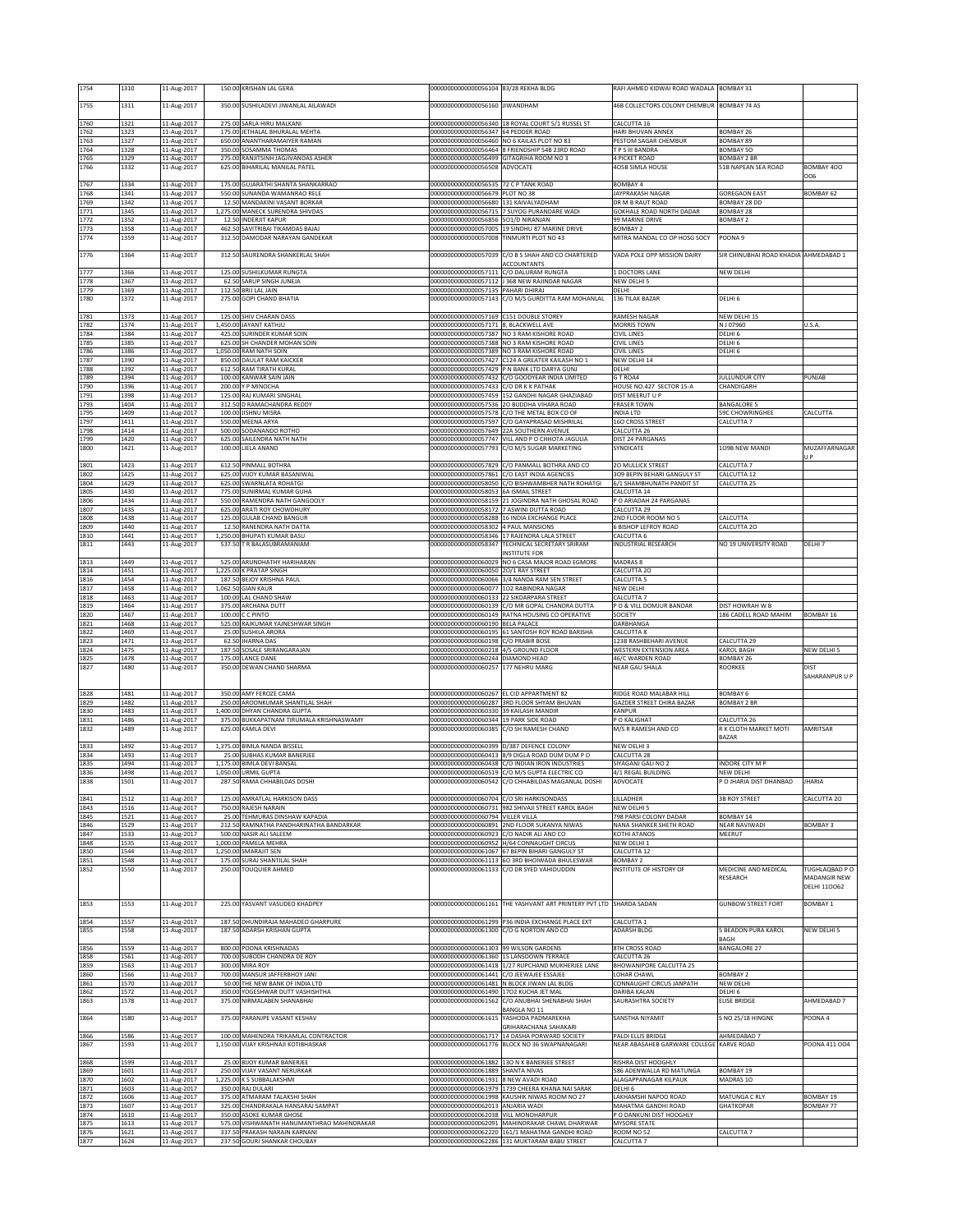| 1754         | 1310         | 11-Aug-2017                | 150.00 KRISHAN LAL GERA                                                   | 00000000000000056104                                                                 | 83/28 REKHA BLDG                                                                                  | RAFI AHMED KIDWAI ROAD WADALA                            | <b>BOMBAY 31</b>                      |                                |
|--------------|--------------|----------------------------|---------------------------------------------------------------------------|--------------------------------------------------------------------------------------|---------------------------------------------------------------------------------------------------|----------------------------------------------------------|---------------------------------------|--------------------------------|
| 1755         | 1311         | 11-Aug-2017                | 350.00 SUSHILADEVI JIWANLAL AILAWADI                                      | 00000000000000056160 JIWANDHAM                                                       |                                                                                                   | 46B COLLECTORS COLONY CHEMBUR BOMBAY 74 AS               |                                       |                                |
|              | 1321         |                            | 275.00 SARLA HIRU MALKANI                                                 |                                                                                      |                                                                                                   |                                                          |                                       |                                |
| 1760<br>1762 | 1323         | 11-Aug-2017<br>11-Aug-2017 | 175.00 JETHALAL BHURALAL MEHTA                                            | 00000000000000056347                                                                 | 00000000000000056340 18 ROYAL COURT 5/1 RUSSEL ST<br>64 PEDDER ROAD                               | CALCUTTA 16<br>HARI BHUVAN ANNEX                         | <b>BOMBAY 26</b>                      |                                |
| 1763         | 1327         | 11-Aug-2017                | 650.00 ANANTHARAMAIYER RAMAN                                              | 00000000000000056460 NO 6 KAILAS PLOT NO 83                                          |                                                                                                   | PESTOM SAGAR CHEMBUR                                     | BOMBAY 89                             |                                |
| 1764<br>1765 | 1328<br>1329 | 11-Aug-2017<br>11-Aug-2017 | 350.00 SOSAMMA THOMAS<br>275.00 RANJITSINH JAGJIVANDAS ASHER              | 00000000000000056499 GITAGRIHA ROOM NO 3                                             | 000000000000000056464 8 FRIENDSHIP 54B 23RD ROAD                                                  | T P S III BANDRA<br>4 PICKET ROAD                        | BOMBAY 50<br><b>BOMBAY 2 BR</b>       |                                |
| 1766         | 1332         | 11-Aug-2017                | 625.00 BIHARILAL MANILAL PATEL                                            | 00000000000000056508 ADVOCATE                                                        |                                                                                                   | 405B SIMLA HOUSE                                         | 51B NAPEAN SEA ROAD                   | BOMBAY 400<br>006              |
| 1767         | 1334         | 11-Aug-2017                | 175.00 GUJARATHI SHANTA SHANKARRAO                                        | 00000000000000056535 72 C P TANK ROAD                                                |                                                                                                   | <b>BOMBAY 4</b>                                          |                                       |                                |
| 1768<br>1769 | 1341<br>1342 | 11-Aug-2017<br>11-Aug-2017 | 550.00 SUNANDA WAMANRAO RELE<br>12.50 MANDAKINI VASANT BORKAR             | 00000000000000056679 PLOT NO 38<br>00000000000000056680                              | 131 KAIVALYADHAM                                                                                  | JAYPRAKASH NAGAR<br>DR M B RAUT ROAD                     | <b>GOREGAON EAST</b><br>OMBAY 28 DD   | BOMBAY 62                      |
| 1771         | 1345         | 11-Aug-2017                | 1,275.00 MANECK SURENDRA SHIVDAS                                          |                                                                                      | 00000000000000056715 7 SUYOG PURANDARE WADI                                                       | GOKHALE ROAD NORTH DADAR                                 | BOMBAY 28                             |                                |
| 1772<br>1773 | 1352<br>1358 | 11-Aug-2017<br>11-Aug-2017 | 12.50 INDERJIT KAPUR<br>462.50 SAVITRIBAI TIKAMDAS BAJAJ                  | 000000000000000056856 5O1/D NIRANJAN                                                 | 00000000000000057005 19 SINDHU 87 MARINE DRIVE                                                    | 99 MARINE DRIVE<br><b>BOMBAY 2</b>                       | BOMBAY 2                              |                                |
| 1774         | 1359         | 11-Aug-2017                | 312.50 DAMODAR NARAYAN GANDEKAR                                           | 00000000000000057008 TINMURTI PLOT NO 43                                             |                                                                                                   | MITRA MANDAL CO OP HOSG SOCY                             | OONA 9                                |                                |
| 1776         | 1364         | 11-Aug-2017                | 312.50 SAURENDRA SHANKERLAL SHAH                                          |                                                                                      | 00000000000000057039 C/O B S SHAH AND CO CHARTERED                                                | VADA POLE OPP MISSION DAIRY                              | SIR CHINUBHAI ROAD KHADIA AHMEDABAD 1 |                                |
| 1777         | 1366         | 11-Aug-2017                | 125.00 SUSHILKUMAR RUNGTA                                                 | 00000000000000057111 C/O DALURAM RUNGTA                                              | ACCOUNTANTS                                                                                       | 1 DOCTORS LANE                                           | <b>VEW DELHI</b>                      |                                |
| 1778         | 1367         | 11-Aug-2017                | 62.50 SARUP SINGH JUNEJA                                                  |                                                                                      | 00000000000000057112 J 368 NEW RAJINDAR NAGAR                                                     | NEW DELHI 5                                              |                                       |                                |
| 1779<br>1780 | 1369<br>1372 | 11-Aug-2017<br>11-Aug-2017 | 112.50 BRIJ LAL JAIN<br>275.00 GOPI CHAND BHATIA                          | 00000000000000057135 PAHARI DHIRAJ                                                   | 00000000000000057143 C/O M/S GURDITTA RAM MOHANLAL                                                | DELHI<br>136 TILAK BAZAR                                 | DELHI 6                               |                                |
|              |              |                            |                                                                           |                                                                                      |                                                                                                   |                                                          |                                       |                                |
| 1781<br>1782 | 1373<br>1374 | 11-Aug-2017<br>11-Aug-2017 | 125.00 SHIV CHARAN DASS<br>1,450.00 JAYANT KATHJU                         | 00000000000000057169 C151 DOUBLE STOREY<br>00000000000000057171 8, BLACKWELL AVE     |                                                                                                   | RAMESH NAGAR<br><b>MORRIS TOWN</b>                       | NEW DELHI 15<br>N J 07960             | U.S.A                          |
| 1784         | 1384         | 11-Aug-2017                | 425.00 SURINDER KUMAR SOIN                                                |                                                                                      | 00000000000000057387 NO 3 RAM KISHORE ROAD                                                        | <b>CIVIL LINES</b>                                       | DELHI 6                               |                                |
| 1785<br>1786 | 1385<br>1386 | 11-Aug-2017<br>11-Aug-2017 | 625.00 SH CHANDER MOHAN SOIN<br>1,050.00 RAM NATH SOIN                    |                                                                                      | 00000000000000057388 NO 3 RAM KISHORE ROAD<br>00000000000000057389 NO 3 RAM KISHORE ROAD          | CIVIL LINES<br>CIVIL LINES                               | DELHI <sub>6</sub><br>ELHI 6          |                                |
| 1787         | 1390         | 11-Aug-2017                | 850.00 DAULAT RAM KAICKER                                                 |                                                                                      | 00000000000000057427 C124 A GREATER KAILASH NO 1                                                  | NEW DELHI 14                                             |                                       |                                |
| 1788<br>1789 | 1392<br>1394 | 11-Aug-2017<br>11-Aug-2017 | 612.50 RAM TIRATH KURAL<br>100.00 KANWAR SAIN JAIN                        | 0000000000000057432                                                                  | 00000000000000057429 P N BANK LTD DARYA GUNJ<br>C/O GOODYEAR INDIA LIMITED                        | DELHI<br>GT ROA4                                         | ULLUNDUR CITY                         | PUNJAB                         |
| 1790         | 1396         | 11-Aug-2017                | 200.00 Y P MINOCHA                                                        | 00000000000000057433 C/O DR K K PATHAK                                               |                                                                                                   | HOUSE NO.427 SECTOR 15-A                                 | CHANDIGARH                            |                                |
| 1791<br>1793 | 1398<br>1404 | 11-Aug-2017<br>11-Aug-2017 | 125.00 RAJ KUMARI SINGHAL<br>312.50 D RAMACHANDRA REDDY                   |                                                                                      | 00000000000000057459 152 GANDHI NAGAR GHAZIABAD<br>00000000000000057536 2O BUDDHA VIHARA ROAD     | DIST MEERUT U P<br><b>FRASER TOWN</b>                    | BANGALORE 5                           |                                |
| 1795         | 1409         | 11-Aug-2017                | 100.00 JISHNU MISRA                                                       |                                                                                      | 00000000000000057578 C/O THE METAL BOX CO OF                                                      | INDIA LTD                                                | 59C CHOWRINGHEE                       | CALCUTTA                       |
| 1797<br>1798 | 1411<br>1414 | 11-Aug-2017<br>11-Aug-2017 | 550.00 MEENA ARYA<br>500.00 SODANANDO ROTHO                               | 00000000000000057649 22A SOUTHERN AVENUE                                             | 00000000000000057597 C/O GAYAPRASAD MISHRILAL                                                     | <b>160 CROSS STREET</b><br>CALCUTTA 26                   | CALCUTTA 7                            |                                |
| 1799         | 1420         | 11-Aug-2017                | 625.00 SAILENDRA NATH NATH                                                |                                                                                      | 00000000000000057747 VILL AND P O CHHOTA JAGULIA                                                  | DIST 24 PARGANAS                                         |                                       |                                |
| 1800         | 1421         | 11-Aug-2017                | 100.00 LIELA ANAND                                                        |                                                                                      | 00000000000000057793 C/O M/S SUGAR MARKETING                                                      | SYNDICATE                                                | 109B NEW MANDI                        | MUZAFFARNAGAR<br>U P           |
| 1801         | 1423         | 11-Aug-2017                | 612.50 PINMALL BOTHRA                                                     |                                                                                      | 00000000000000057829 C/O PANMALL BOTHRA AND CO                                                    | <b>20 MULLICK STREET</b>                                 | CALCUTTA 7                            |                                |
| 1802<br>1804 | 1425<br>1429 | 11-Aug-2017<br>11-Aug-2017 | 625.00 VIJOY KUMAR BASANIWAL<br>625.00 SWARNLATA ROHATGI                  | 00000000000000057861<br>00000000000000058050                                         | C/O EAST INDIA AGENCIES<br>C/O BISHWAMBHER NATH ROHATGI                                           | 309 BEPIN BEHARI GANGULY ST<br>6/1 SHAMBHUNATH PANDIT ST | CALCUTTA 12<br>CALCUTTA 25            |                                |
| 1805         | 1430         | 11-Aug-2017                | 775.00 SUNIRMAL KUMAR GUHA                                                | 0000000000000058053                                                                  | <b>6A ISMAIL STREET</b>                                                                           | CALCUTTA 14                                              |                                       |                                |
| 1806<br>1807 | 1434<br>1435 | 11-Aug-2017<br>11-Aug-2017 | 550.00 RAMENDRA NATH GANGOOLY<br>625.00 ARATI ROY CHOWDHURY               | 00000000000000058159<br>00000000000000058172                                         | 21 JOGINDRA NATH GHOSAL ROAD<br>7 ASWINI DUTTA ROAD                                               | P O ARIADAH 24 PARGANAS<br>CALCUTTA 29                   |                                       |                                |
| 1808         | 1438         | 11-Aug-2017                | 125.00 GULAB CHAND BANGUR                                                 |                                                                                      | 00000000000000058288 16 INDIA EXCHANGE PLACE                                                      | 2ND FLOOR ROOM NO 5                                      | CALCUTTA                              |                                |
| 1809         | 1440         | 11-Aug-2017                | 12.50 RANENDRA NATH DATTA                                                 | 00000000000000058302 4 PAUL MANSIONS                                                 |                                                                                                   | <b>6 BISHOP LEFROY ROAD</b>                              | CALCUTTA 20                           |                                |
| 1810<br>1811 | 1441<br>1443 | 11-Aug-2017<br>11-Aug-2017 | 1,250.00 BHUPATI KUMAR BASU<br>537.50 T R BALASUBRAMANIAM                 | 00000000000000058347                                                                 | 00000000000000058346 17 RAJENDRA LALA STREET<br>TECHNICAL SECRETARY SRIRAM                        | CALCUTTA 6<br>INDUSTRIAL RESEARCH                        | NO 19 UNIVERSITY ROAD                 | DELHI 7                        |
| 1813         | 1449         | 11-Aug-2017                | 525.00 ARUNDHATHY HARIHARAN                                               | 00000000000000060029                                                                 | <b>NSTITUTE FOR</b><br>NO 6 CASA MAJOR ROAD EGMORE                                                | MADRAS 8                                                 |                                       |                                |
| 1814         | 1451         | 11-Aug-2017                | 1,225.00 K PRATAP SINGH                                                   | 00000000000000060050                                                                 | 20/1 RAY STREET                                                                                   | CALCUTTA 20                                              |                                       |                                |
| 1816         | 1454         | 11-Aug-2017                | 187.50 BEJOY KRISHNA PAUL<br>1,062.50 GIAN KAUR                           |                                                                                      | 000000000000000060066 3/4 NANDA RAM SEN STREET                                                    | CALCUTTA <sub>5</sub>                                    |                                       |                                |
| 1817<br>1818 | 1458<br>1463 | 11-Aug-2017<br>11-Aug-2017 | 100.00 LAL CHAND SHAW                                                     | 00000000000000060077 1O2 RABINDRA NAGAR<br>00000000000000060133 22 SIKDARPARA STREET |                                                                                                   | NEW DELHI<br>CALCUTTA 7                                  |                                       |                                |
| 1819         | 1464         | 11-Aug-2017                | 375.00 ARCHANA DUTT                                                       |                                                                                      | 00000000000000060139 C/O MR GOPAL CHANDRA DUTTA                                                   | P O & VILL DOMJUR BANDAR                                 | DIST HOWRAH W B                       |                                |
| 1820<br>1821 | 1467<br>1468 | 11-Aug-2017<br>11-Aug-2017 | 100.00 C C PINTO<br>525.00 RAJKUMAR YAJNESHWAR SINGH                      | 00000000000000060190 BELA PALACE                                                     | 00000000000000060149 RATNA HOUSING CO OPERATIVE                                                   | SOCIETY<br>DARBHANGA                                     | 186 CADELL ROAD MAHIM                 | <b>BOMBAY 16</b>               |
| 1822         | 1469         | 11-Aug-2017                | 25.00 SUSHILA ARORA                                                       |                                                                                      | 000000000000000060195 61 SANTOSH ROY ROAD BARISHA                                                 | CALCUTTA 8                                               |                                       |                                |
| 1823<br>1824 | 1471<br>1475 | 11-Aug-2017<br>11-Aug-2017 | 62.50 JHARNA DAS<br>187.50 SOSALE SRIRANGARAJAN                           | 00000000000000060198<br>00000000000000060218                                         | C/O PRABIR BOSE<br>4/5 GROUND FLOOR                                                               | 123B RASHBEHARI AVENUE<br>WESTERN EXTENSION AREA         | ALCUTTA 29<br><b>CAROL BAGH</b>       | NEW DELHI 5                    |
| 1825<br>1827 | 1478         | 11-Aug-2017                | 175.00 LANCE DANE                                                         | 00000000000000060244 DIAMOND HEAD                                                    |                                                                                                   | 46/C WARDEN ROAD                                         | BOMBAY 26                             | <b>DIST</b>                    |
|              | 1480         | 11-Aug-2017                | 350.00 DEWAN CHAND SHARMA                                                 | 00000000000000060257                                                                 | 177 NEHRU MARG                                                                                    | NEAR GAU SHALA                                           | ROORKEE                               | SAHARANPUR U P                 |
| 1828         | 1481         | 11-Aug-2017                | 350.00 AMY FEROZE CAMA                                                    | 00000000000000060267 EL CID APPARTMENT 82                                            |                                                                                                   | RIDGE ROAD MALABAR HILL                                  | <b>BOMBAY 6</b>                       |                                |
| 1829         | 1482         | 11-Aug-2017                | 250.00 AROONKUMAR SHANTILAL SHAH                                          | 00000000000000060287                                                                 | 3RD FLOOR SHYAM BHUVAN                                                                            | <b>GAZDER STREET CHIRA BAZAR</b>                         | BOMBAY 2 BR                           |                                |
| 1830<br>1831 | 1483<br>1486 | 11-Aug-2017<br>11-Aug-2017 | 1,400.00 DHYAN CHANDRA GUPTA<br>375.00 BUKKAPATNAM TIRUMALA KRISHNASWAMY  | 000000000000000060330 39 KAILASH MANDIR<br>00000000000000060344 19 PARK SIDE ROAD    |                                                                                                   | KANPUR<br>P O KALIGHAT                                   | ALCUTTA 26                            |                                |
| 1832         | 1489         | 11-Aug-2017                | 625.00 KAMLA DEVI                                                         | 00000000000000060385 C/O SH RAMESH CHAND                                             |                                                                                                   | M/S R RAMESH AND CO                                      | R K CLOTH MARKET MOTI                 | <b>AMRITSAR</b>                |
| 1833         | 1492         | 11-Aug-2017                | 1,375.00 BIMLA NANDA BISSELL                                              | 0000000000000060399                                                                  | D/387 DEFENCE COLONY                                                                              | NEW DELHI 3                                              | <b>BAZAR</b>                          |                                |
| 1834         | 1493         | 11-Aug-2017                | 25.00 SUBHAS KUMAR BANERJEE                                               |                                                                                      | 000000000000000060413 8/9 DIGLA ROAD DUM DUM PO                                                   | CALCUTTA 28                                              |                                       |                                |
| 1835<br>1836 | 1494<br>1498 | 11-Aug-2017                | 1,175.00 BIMLA DEVI BANSAL                                                |                                                                                      | 00000000000000060438 C/O INDIAN IRON INDUSTRIES<br>00000000000000060519 C/O M/S GUPTA ELECTRIC CO | SIYAGANJ GALI NO 2                                       | NDORE CITY M P<br>NEW DELHI           |                                |
| 1838         | 1501         | 11-Aug-2017<br>11-Aug-2017 | 1,050.00 URMIL GUPTA<br>287.50 RAMA CHHABILDAS DOSHI                      |                                                                                      | 000000000000000060542  C/O CHHABILDAS MAGANLAL DOSHI                                              | 4/1 REGAL BUILDING<br>ADVOCATE                           | ' O JHARIA DIST DHANBAD               | JHARIA                         |
| 1841         | 1512         | 11-Aug-2017                | 125.00 AMRATLAL HARKISON DASS                                             | 00000000000000060704 C/O SRI HARKISONDASS                                            |                                                                                                   | LILLADHER                                                | <b>3B ROY STREET</b>                  | CALCUTTA 20                    |
| 1843         | 1516         | 11-Aug-2017                | 750.00 RAJESH NARAIN                                                      |                                                                                      | 00000000000000060731 982 SHIVAJI STREET KAROL BAGH                                                | NEW DELHI 5                                              |                                       |                                |
| 1845<br>1846 | 1521<br>1529 | 11-Aug-2017<br>11-Aug-2017 | 25.00 TEHMURAS DINSHAW KAPADIA<br>212.50 RAMNATHA PANDHARINATHA BANDARKAR | 00000000000000060794                                                                 | <b>VILLER VILLA</b><br>00000000000000060891 2ND FLOOR SUKANYA NIWAS                               | 798 PARSI COLONY DADAR<br>NANA SHANKER SHETH ROAD        | BOMBAY 14<br>NEAR NAVIWADI            | BOMBAY 3                       |
| 1847         | 1533         | 11-Aug-2017                | 500.00 NASIR ALI SALEEM                                                   | 000000000000000060923 C/O NADIR ALI AND CO                                           |                                                                                                   | KOTHI ATANOS                                             | MEERUT                                |                                |
| 1848<br>1850 | 1535<br>1544 | 11-Aug-2017<br>11-Aug-2017 | 1,000.00 PAMELA MEHRA<br>1,250.00 SMARAJIT SEN                            |                                                                                      | 000000000000000060952 H/64 CONNAUGHT CIRCUS<br>00000000000000061067 67 BEPIN BIHARI GANGULY ST    | NEW DELHI 1<br>CALCUTTA 12                               |                                       |                                |
| 1851         | 1548         | 11-Aug-2017                | 175.00 SURAJ SHANTILAL SHAH                                               |                                                                                      | 00000000000000061113 6O 3RD BHOIWADA BHULESWAR                                                    | BOMBAY 2                                                 |                                       |                                |
| 1852         | 1550         | 11-Aug-2017                | 250.00 TOUQUIER AHMED                                                     |                                                                                      | 00000000000000061133 C/O DR SYED VAHIDUDDIN                                                       | INSTITUTE OF HISTORY OF                                  | MEDICINE AND MEDICAL<br>RESEARCH      | TUGHLAQBAD P O<br>MADANGIR NEW |
|              |              |                            |                                                                           |                                                                                      |                                                                                                   |                                                          |                                       | <b>DELHI 110062</b>            |
| 1853         | 1553         | 11-Aug-2017                | 225.00 YASVANT VASUDEO KHADPEY                                            |                                                                                      | 00000000000000061161 THE YASHVANT ART PRINTERY PVT LTD SHARDA SADAN                               |                                                          | <b>GUNBOW STREET FORT</b>             | <b>BOMBAY 1</b>                |
|              |              |                            |                                                                           |                                                                                      |                                                                                                   |                                                          |                                       |                                |
| 1854<br>1855 | 1557<br>1558 | 11-Aug-2017<br>11-Aug-2017 | 187.50 DHUNDIRAJA MAHADEO GHARPURE<br>187.50 ADARSH KRISHAN GUPTA         | 0000000000000061300                                                                  | 00000000000000061299 P36 INDIA EXCHANGE PLACE EXT<br>C/O G NORTON AND CO                          | CALCUTTA 1<br>ADARSH BLDG                                | <b>BEADON PURA KAROL</b>              | NEW DELHI 5                    |
|              |              |                            |                                                                           |                                                                                      |                                                                                                   |                                                          | <b>BAGH</b>                           |                                |
| 1856<br>1858 | 1559<br>1561 | 11-Aug-2017<br>11-Aug-2017 | 800.00 POONA KRISHNADAS<br>700.00 SUBODH CHANDRA DE ROY                   | 00000000000000061303 99 WILSON GARDENS<br>00000000000000061360 15 LANSDOWN TERRACE   |                                                                                                   | <b>8TH CROSS ROAD</b><br>CALCUTTA 26                     | BANGALORE 27                          |                                |
| 1859         | 1563         | 11-Aug-2017                | 300.00 MIRA ROY                                                           |                                                                                      | 00000000000000061418 1/27 RUPCHAND MUKHERJEE LANE                                                 | <b>BHOWANIPORE CALCUTTA 25</b>                           |                                       |                                |
| 1860<br>1861 | 1566<br>1570 | 11-Aug-2017                | 700.00 MANSUR JAFFERBHOY JANI<br>50.00 THE NEW BANK OF INDIA LTD          | 00000000000000061441 C/O JEEWAJEE ESSAJEE                                            | 000000000000000061481 N BLOCK JIWAN LAL BLDG                                                      | LOHAR CHAWL<br>CONNAUGHT CIRCUS JANPATH                  | <b>BOMBAY 2</b><br>NEW DELHI          |                                |
| 1862         | 1572         | 11-Aug-2017<br>11-Aug-2017 | 350.00 YOGESHWAR DUTT VASHISHTHA                                          | 000000000000000061490 17O2 KUCHA JET MAL                                             |                                                                                                   | DARIBA KALAN                                             | DELHI 6                               |                                |
| 1863         | 1578         | 11-Aug-2017                | 375.00 NIRMALABEN SHANABHAI                                               | 00000000000000061562                                                                 | C/O ANUBHAI SHENABHAI SHAH                                                                        | SAURASHTRA SOCIETY                                       | ELISE BRIDGE                          | AHMEDABAD 7                    |
| 1864         | 1580         | 11-Aug-2017                | 375.00 PARANJPE VASANT KESHAV                                             | 00000000000000061615                                                                 | <b>BANGLA NO 11</b><br>YASHODA PADMAREKHA                                                         | SANSTHA NIYAMIT                                          | <b>S NO 25/18 HINGNE</b>              | POONA4                         |
|              | 1586         |                            | 100.00 MAHENDRA TRIKAMLAL CONTRACTOR                                      | 00000000000000061717                                                                 | GRIHARACHANA SAHAKARI<br>14 DASHA PORWARD SOCIETY                                                 | PALDI ELLIS BRIDGE                                       | AHMEDABAD 7                           |                                |
| 1866<br>1867 | 1593         | 11-Aug-2017<br>11-Aug-2017 | 1,150.00 VIJAY KRISHNAJI KOTIBHASKAR                                      |                                                                                      | 00000000000000061776 BLOCK NO 36 SWAPNANAGARI                                                     | NEAR ABASAHEB GARWARE COLLEGE KARVE ROAD                 |                                       | POONA 411 004                  |
|              |              |                            |                                                                           |                                                                                      |                                                                                                   |                                                          |                                       |                                |
| 1868<br>1869 | 1599<br>1601 | 11-Aug-2017<br>11-Aug-2017 | 25.00 BIJOY KUMAR BANERJEE<br>250.00 VIJAY VASANT NERURKAR                | 00000000000000061889 SHANTA NIVAS                                                    | 00000000000000061882 13O N K BANERJEE STREET                                                      | RISHRA DIST HOOGHLY<br>586 ADENWALLA RD MATUNGA          | BOMBAY 19                             |                                |
| 1870         | 1602         | 11-Aug-2017                | 1,225.00 K S SUBBALAKSHMI                                                 | 00000000000000061931                                                                 | 8 NEW AVADI ROAD                                                                                  | ALAGAPPANAGAR KILPAUK                                    | MADRAS 10                             |                                |
| 1871<br>1872 | 1603<br>1606 | 11-Aug-2017<br>11-Aug-2017 | 350.00 RAJ DULARI<br>375.00 ATMARAM TALAKSHI SHAH                         |                                                                                      | 00000000000000061979 1739 CHEERA KHANA NAI SARAK<br>00000000000000061998 KAUSHIK NIWAS ROOM NO 27 | DELHI 6<br>LAKHAMSHI NAPOO ROAD                          | MATUNGA C RLY                         | BOMBAY 19                      |
| 1873         | 1607         | 11-Aug-2017                | 325.00 CHANDRAKALA HANSARAJ SAMPAT                                        | 00000000000000062013 ANJARIA WADI                                                    |                                                                                                   | MAHATMA GANDHI ROAD                                      | <b>GHATKOPAR</b>                      | BOMBAY 77                      |
| 1874<br>1875 | 1610<br>1613 | 11-Aug-2017<br>11-Aug-2017 | 350.00 ASOKE KUMAR GHOSE<br>575.00 VISHWANATH HANUMANTHRAO MAHINDRAKAR    | 00000000000000062038 VILL MONOHARPUR                                                 | 000000000000000062091 MAHINDRAKAR CHAWL DHARWAR                                                   | P O DANKUNI DIST HOOGHLY<br><b>MYSORE STATE</b>          |                                       |                                |
| 1876         | 1621<br>1624 | 11-Aug-2017<br>11-Aug-2017 | 337.50 PRAKASH NARAIN KARNANI<br>237.50 GOURI SHANKAR CHOUBAY             |                                                                                      | 00000000000000062220 161/1 MAHATMA GANDHI ROAD<br>00000000000000062286 131 MUKTARAM BABU STREET   | ROOM NO 52<br>CALCUTTA 7                                 | CALCUTTA 7                            |                                |
| 1877         |              |                            |                                                                           |                                                                                      |                                                                                                   |                                                          |                                       |                                |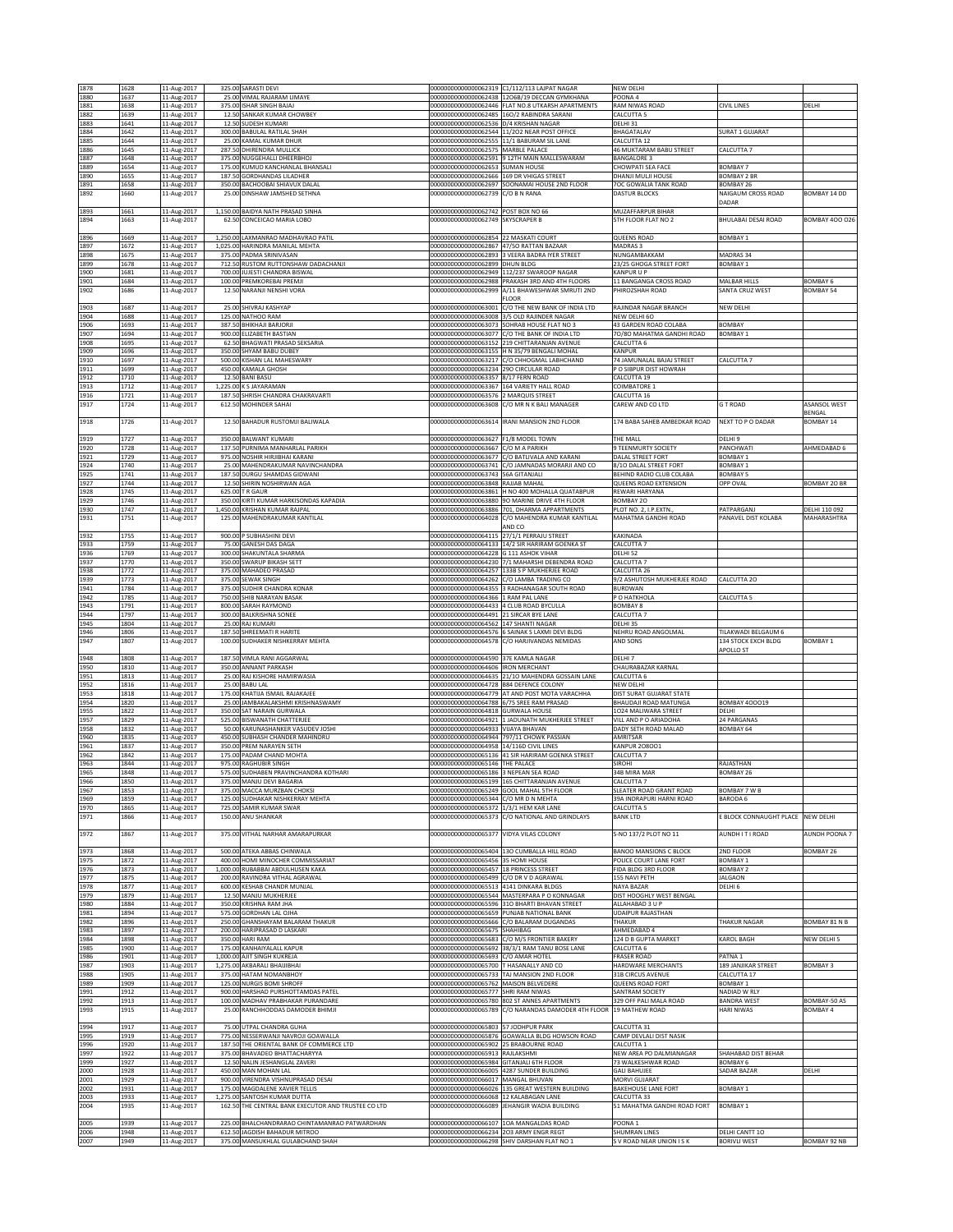| 1878         | 1628         | 11-Aug-2017                | 325.00 SARASTI DEVI                                                   |                                                                                     | 00000000000000062319 C1/112/113 LAJPAT NAGAR                                                        | NEW DELHI                                               |                                            |                                     |
|--------------|--------------|----------------------------|-----------------------------------------------------------------------|-------------------------------------------------------------------------------------|-----------------------------------------------------------------------------------------------------|---------------------------------------------------------|--------------------------------------------|-------------------------------------|
| 1880<br>1881 | 1637<br>1638 | 11-Aug-2017<br>11-Aug-2017 | 25.00 VIMAL RAJARAM LIMAYE<br>375.00 ISHAR SINGH BAJAJ                |                                                                                     | 000000000000000062438 12O6B/19 DECCAN GYMKHANA<br>00000000000000062446 FLAT NO.8 UTKARSH APARTMENTS | POONA 4<br>RAM NIWAS ROAD                               | <b>CIVIL LINES</b>                         | DELHI                               |
| 1882         | 1639         | 11-Aug-2017                | 12.50 SANKAR KUMAR CHOWBEY                                            |                                                                                     | 00000000000000062485 16O/2 RABINDRA SARANI                                                          | CALCUTTA <sub>5</sub>                                   |                                            |                                     |
| 1883<br>1884 | 1641         | 11-Aug-2017<br>11-Aug-2017 | 12.50 SUDESH KUMARI<br>300.00 BABULAL RATILAL SHAH                    | 00000000000000062536 D/4 KRISHAN NAGAR                                              | 00000000000000062544 11/202 NEAR POST OFFICE                                                        | DELHI 31                                                | <b>SURAT 1 GUJARAT</b>                     |                                     |
| 1885         | 1642<br>1644 | 11-Aug-2017                | 25.00 KAMAL KUMAR DHUR                                                | 00000000000000062555 11/1 BABURAM SIL LANE                                          |                                                                                                     | BHAGATALAV<br>CALCUTTA 12                               |                                            |                                     |
| 1886<br>1887 | 1645<br>1648 | 11-Aug-2017<br>11-Aug-2017 | 287.50 DHIRENDRA MULLICK<br>375.00 NUGGEHALLI DHEERBHOJ               | 00000000000000062575 MARBLE PALACE                                                  | 00000000000000062591 9 12TH MAIN MALLESWARAM                                                        | 46 MUKTARAM BABU STREET<br><b>BANGALORE 3</b>           | CALCUTTA 7                                 |                                     |
| 1889         | 1654         | 11-Aug-2017                | 175.00 KUMUD KANCHANLAL BHANSALI                                      | 00000000000000062653 SUMAN HOUSE                                                    |                                                                                                     | CHOWPATI SEA FACE                                       | BOMBAY 7                                   |                                     |
| 1890<br>1891 | 1655<br>1658 | 11-Aug-2017<br>11-Aug-2017 | 187.50 GORDHANDAS LILADHER<br>350.00 BACHOOBAI SHIAVUX DALAL          | 00000000000000062666 169 DR VHIGAS STREET                                           | 00000000000000062697 SOONAMAI HOUSE 2ND FLOOR                                                       | DHANJI MULJI HOUSE<br>7OC GOWALIA TANK ROAD             | BOMBAY 2 BF<br>BOMBAY 26                   |                                     |
| 1892         | 1660         | 11-Aug-2017                | 25.00 DINSHAW JAMSHED SETHNA                                          | 00000000000000062739 C/O B N RANA                                                   |                                                                                                     | DASTUR BLOCKS                                           | NAIGAUM CROSS ROAD                         | BOMBAY 14 DD                        |
| 1893         | 1661         | 11-Aug-2017                | 1,150.00 BAIDYA NATH PRASAD SINHA                                     | 00000000000000062742 POST BOX NO 66                                                 |                                                                                                     | MUZAFFARPUR BIHAR                                       | )ADAR                                      |                                     |
| 1894         | 1663         | 11-Aug-2017                | 62.50 CONCEICAO MARIA LOBO                                            | 00000000000000062749 SKYSCRAPER B                                                   |                                                                                                     | 5TH FLOOR FLAT NO 2                                     | BHULABAI DESAI ROAD                        | <b>BOMBAY 400 026</b>               |
| 1896         | 1669         | 11-Aug-2017                | 1,250.00 LAXMANRAO MADHAVRAO PATIL                                    | 00000000000000062854 22 MASKATI COURT                                               |                                                                                                     | QUEENS ROAD                                             | BOMBAY 1                                   |                                     |
| 1897         | 1672         | 11-Aug-2017                | 1,025.00 HARINDRA MANILAL MEHTA                                       | 0000000000000062867                                                                 | 47/50 RATTAN BAZAAR                                                                                 | <b>MADRAS3</b>                                          |                                            |                                     |
| 1898<br>1899 | 1675<br>1678 | 11-Aug-2017<br>11-Aug-2017 | 375.00 PADMA SRINIVASAN<br>712.50 RUSTOM RUTTONSHAW DADACHANJI        | 00000000000000062893<br>00000000000000062899 DHUN BLDG                              | 3 VEERA BADRA IYER STREET                                                                           | NUNGAMBAKKAM<br>23/25 GHOGA STREET FORT                 | MADRAS 34<br>BOMBAY 1                      |                                     |
| 1900         | 1681         | 11-Aug-2017                | 700.00 JUJESTI CHANDRA BISWAL                                         |                                                                                     | 00000000000000062949 112/237 SWAROOP NAGAR                                                          | <b>KANPUR U P</b>                                       |                                            |                                     |
| 1901<br>1902 | 1684<br>1686 | 11-Aug-2017<br>11-Aug-2017 | 100.00 PREMKOREBAI PREMJI<br>12.50 NARANJI NENSHI VORA                | 00000000000000062988<br>00000000000000062999                                        | PRAKASH 3RD AND 4TH FLOORS<br>A/11 BHAWESHWAR SMRUTI 2ND                                            | 11 BANGANGA CROSS ROAD<br>PHIROZSHAH ROAD               | MALBAR HILLS<br>ANTA CRUZ WEST             | <b>BOMBAY 6</b><br><b>BOMBAY 54</b> |
|              |              |                            |                                                                       |                                                                                     | <b>LOOR</b>                                                                                         |                                                         |                                            |                                     |
| 1903<br>1904 | 1687<br>1688 | 11-Aug-2017<br>11-Aug-2017 | 25.00 SHIVRAJ KASHYAP<br>125.00 NATHOO RAM                            | 00000000000000063001                                                                | C/O THE NEW BANK OF INDIA LTD<br>000000000000000063008 3/5 OLD RAJINDER NAGAR                       | RAJINDAR NAGAR BRANCH<br>NEW DELHI 60                   | NEW DELHI                                  |                                     |
| 1906         | 1693         | 11-Aug-2017                | 387.50 BHIKHAJI BARJORJI                                              |                                                                                     | 00000000000000063073 SOHRAB HOUSE FLAT NO 3                                                         | 43 GARDEN ROAD COLABA                                   | BOMBAY                                     |                                     |
| 1907<br>1908 | 1694<br>1695 | 11-Aug-2017<br>11-Aug-2017 | 900.00 ELIZABETH BASTIAN<br>62.50 BHAGWATI PRASAD SEKSARIA            |                                                                                     | 00000000000000063077 C/O THE BANK OF INDIA LTD<br>00000000000000063152 219 CHITTARANJAN AVENUE      | 70/80 MAHATMA GANDHI ROAD<br>CALCUTTA 6                 | BOMBAY 1                                   |                                     |
| 1909<br>1910 | 1696<br>1697 | 11-Aug-2017                | 350.00 SHYAM BABU DUBEY<br>500.00 KISHAN LAL MAHESWARY                |                                                                                     | 00000000000000063155 H N 35/79 BENGALI MOHAL<br>00000000000000063217 C/O CHHOGMAL LABHCHAND         | KANPUR<br>74 JAMUNALAL BAJAJ STREET                     | ALCUTTA <sub>7</sub>                       |                                     |
| 1911         | 1699         | 11-Aug-2017<br>11-Aug-2017 | 450.00 KAMALA GHOSH                                                   | 00000000000000063234                                                                | 290 CIRCULAR ROAD                                                                                   | P O SIBPUR DIST HOWRAH                                  |                                            |                                     |
| 1912         | 1710         | 11-Aug-2017                | 12.50 BANI BASU<br>1,225.00 K S JAYARAMAN                             | 00000000000000063357 8/17 FERN ROAD<br>00000000000000063367 164 VARIETY HALL ROAD   |                                                                                                     | CALCUTTA 19                                             |                                            |                                     |
| 1913<br>1916 | 1712<br>1721 | 11-Aug-2017<br>11-Aug-2017 | 187.50 SHRISH CHANDRA CHAKRAVARTI                                     | 00000000000000063576 2 MARQUIS STREET                                               |                                                                                                     | <b>COIMBATORE 1</b><br>CALCUTTA 16                      |                                            |                                     |
| 1917         | 1724         | 11-Aug-2017                | 612.50 MOHINDER SAHAI                                                 |                                                                                     | 00000000000000063608 C/O MR N K BALI MANAGER                                                        | CAREW AND CO LTD                                        | G T ROAD                                   | ASANSOL WEST<br>BENGAL              |
| 1918         | 1726         | 11-Aug-2017                | 12.50 BAHADUR RUSTOMJI BALIWALA                                       |                                                                                     | 00000000000000063614  IRANI MANSION 2ND FLOOR                                                       | 174 BABA SAHEB AMBEDKAR ROAD                            | NEXT TO P O DADAR                          | BOMBAY 14                           |
| 1919         | 1727         | 11-Aug-2017                | 350.00 BALWANT KUMARI                                                 | 00000000000000063627 F1/8 MODEL TOWN                                                |                                                                                                     | THE MALL                                                | ELHI 9                                     |                                     |
| 1920         | 1728         | 11-Aug-2017                | 137.50 PURNIMA MANHARLAL PARIKH                                       | 00000000000000063667 C/O M A PARIKH                                                 |                                                                                                     | 9 TEENMURTY SOCIETY                                     | PANCHWATI                                  | AHMEDABAD 6                         |
| 1921<br>1924 | 1729<br>1740 | 11-Aug-2017<br>11-Aug-2017 | 975.00 NOSHIR HIRJIBHAI KARANI<br>25.00 MAHENDRAKUMAR NAVINCHANDRA    |                                                                                     | 00000000000000063677 C/O BATLIVALA AND KARANI<br>00000000000000063741 C/O JAMNADAS MORARJI AND CO   | DALAL STREET FORT<br>8/10 DALAL STREET FORT             | BOMBAY 1<br><b>BOMBAY 1</b>                |                                     |
| 1925         | 1741         | 11-Aug-2017                | 187.50 DURGU SHAMDAS GIDWANI                                          | 00000000000000063743 56A GITANJALI                                                  |                                                                                                     | BEHIND RADIO CLUB COLABA                                | <b>BOMBAY 5</b>                            |                                     |
| 1927<br>1928 | 1744<br>1745 | 11-Aug-2017<br>11-Aug-2017 | 12.50 SHIRIN NOSHIRWAN AGA<br>625.00 T R GAUR                         | 00000000000000063848 RAJJAB MAHAL                                                   | 000000000000000063861 H NO 400 MOHALLA QUATABPUR                                                    | QUEENS ROAD EXTENSION<br>REWARI HARYANA                 | JPP OVAL                                   | <b>BOMBAY 20 BR</b>                 |
| 1929         | 1746         | 11-Aug-2017                | 350.00 KIRTI KUMAR HARKISONDAS KAPADIA                                |                                                                                     | 00000000000000063880 90 MARINE DRIVE 4TH FLOOR                                                      | <b>BOMBAY 20</b>                                        | <b>ATPARGANI</b>                           |                                     |
| 1930<br>1931 | 1747<br>1751 | 11-Aug-2017<br>11-Aug-2017 | 1,450.00 KRISHAN KUMAR RAJPAL<br>125.00 MAHENDRAKUMAR KANTILAL        |                                                                                     | 00000000000000063886 701, DHARMA APPARTMENTS<br>00000000000000064028 C/O MAHENDRA KUMAR KANTILAL    | PLOT NO. 2, I.P.EXTN.<br>MAHATMA GANDHI ROAD            | ANAVEL DIST KOLABA                         | DELHI 110 092<br>MAHARASHTRA        |
|              |              |                            |                                                                       |                                                                                     | AND CO                                                                                              |                                                         |                                            |                                     |
| 1932<br>1933 | 1755<br>1759 | 11-Aug-2017<br>11-Aug-2017 | 900.00 P SUBHASHINI DEVI<br>75.00 GANESH DAS DAGA                     | 00000000000000064115<br>0000000000000064133                                         | 27/1/1 PERRAJU STREET<br>14/2 SIR HARIRAM GOENKA ST                                                 | KAKINADA<br>CALCUTTA <sub>7</sub>                       |                                            |                                     |
| 1936         | 1769         | 11-Aug-2017                | 300.00 SHAKUNTALA SHARMA                                              | 00000000000000064228 G 111 ASHOK VIHAR                                              |                                                                                                     | DELHI 52                                                |                                            |                                     |
| 1937<br>1938 | 1770<br>1772 | 11-Aug-2017<br>11-Aug-2017 | 350.00 SWARUP BIKASH SETT<br>375.00 MAHADEO PRASAD                    |                                                                                     | 00000000000000064230 7/1 MAHARSHI DEBENDRA ROAD<br>00000000000000064257 133B S P MUKHERJEE ROAD     | CALCUTTA 7<br>CALCUTTA 26                               |                                            |                                     |
| 1939         | 1773         | 11-Aug-2017                | 375.00 SEWAK SINGH                                                    |                                                                                     | 00000000000000064262 C/O LAMBA TRADING CO                                                           | 9/2 ASHUTOSH MUKHERJEE ROAD                             | CALCUTTA 20                                |                                     |
| 1941<br>1942 | 1784<br>1785 | 11-Aug-2017<br>11-Aug-2017 | 375.00 SUDHIR CHANDRA KONAR<br>750.00 SHIB NARAYAN BASAK              | 00000000000000064366 1 RAM PAL LANE                                                 | 00000000000000064355 3 RADHANAGAR SOUTH ROAD                                                        | BURDWAN<br>P O HATKHOLA                                 | CALCUTTA <sub>5</sub>                      |                                     |
| 1943<br>1944 | 1791<br>1797 | 11-Aug-2017                | 800.00 SARAH RAYMOND<br>300.00 BALKRISHNA SONEE                       | 00000000000000064433 4 CLUB ROAD BYCULLA<br>00000000000000064491 21 SIRCAR BYE LANE |                                                                                                     | <b>BOMBAY 8</b><br>CALCUTTA 7                           |                                            |                                     |
| 1945         | 1804         | 11-Aug-2017<br>11-Aug-2017 | 25.00 RAJ KUMARI                                                      | 00000000000000064562 147 SHANTI NAGAR                                               |                                                                                                     | DELHI 35                                                |                                            |                                     |
| 1946<br>1947 | 1806<br>1807 | 11-Aug-2017<br>11-Aug-2017 | 187.50 SHREEMATI R HARITE<br>100.00 SUDHAKER NISHKERRAY MEHTA         |                                                                                     | 00000000000000064576 6 SAINAK S LAXMI DEVI BLDG<br>00000000000000064578 C/O HARJIVANDAS NEMIDAS     | NEHRU ROAD ANGOLMAL<br>AND SONS                         | TILAKWADI BELGAUM 6<br>134 STOCK EXCH BLDG | <b>BOMBAY 1</b>                     |
|              |              |                            |                                                                       |                                                                                     |                                                                                                     |                                                         | <b>APOLLO ST</b>                           |                                     |
| 1948<br>1950 | 1808<br>1810 | 11-Aug-2017<br>11-Aug-2017 | 187.50 VIMLA RANI AGGARWAL<br>350.00 ANNANT PARKASH                   | 00000000000000064590 37E KAMLA NAGAR<br>00000000000000064606 RON MERCHANT           |                                                                                                     | DELHI 7<br>CHAURABAZAR KARNAL                           |                                            |                                     |
| 1951         | 1813         | 11-Aug-2017                | 25.00 RAJ KISHORE HAMIRWASIA<br>25.00 BABU LAI                        |                                                                                     | 000000000000000064635 21/10 MAHENDRA GOSSAIN LANE                                                   | CALCUTTA 6                                              |                                            |                                     |
| 1952<br>1953 | 1816<br>1818 | 11-Aug-2017<br>11-Aug-2017 | 175.00 KHATIJA ISMAIL RAJAKAJEE                                       | 00000000000000064728 B84 DEFENCE COLONY                                             | 00000000000000064779 AT AND POST MOTA VARACHHA                                                      | NEW DELHI<br>DIST SURAT GUJARAT STATE                   |                                            |                                     |
| 1954         | 1820         | 11-Aug-2017                | 25.00 JAMBAKALAKSHMI KRISHNASWAMY<br>350.00 SAT NARAIN GURWALA        | 00000000000000064788 6/75 SREE RAM PRASAD                                           |                                                                                                     | BHAUDAJI ROAD MATUNGA                                   | BOMBAY 400019<br>DELHI                     |                                     |
| 1955<br>1957 | 1822<br>1829 | 11-Aug-2017<br>11-Aug-2017 | 525.00 BISWANATH CHATTERJEE                                           | 00000000000000064818 GURWALA HOUSE                                                  | 00000000000000064921 1 JADUNATH MUKHERJEE STREET                                                    | 1024 MALIWARA STREET<br>VILL AND P O ARIADOHA           | 24 PARGANAS                                |                                     |
| 1958<br>1960 | 1832<br>1835 | 11-Aug-2017<br>11-Aug-2017 | 50.00 KARUNASHANKER VASUDEV JOSHI<br>450.00 SUBHASH CHANDER MAHINDRU  | 00000000000000064933<br>00000000000000064944                                        | VIJAYA BHAVAN<br>797/11 CHOWK PASSIAN                                                               | DADY SETH ROAD MALAD<br>AMRITSAR                        | OMBAY <sub>64</sub>                        |                                     |
| 1961         | 1837         | 11-Aug-2017                | 350.00 PREM NARAYEN SETH                                              | 00000000000000064958 14/116D CIVIL LINES                                            |                                                                                                     | <b>KANPUR 208001</b>                                    |                                            |                                     |
| 1962<br>1963 | 1842<br>1844 | 11-Aug-2017<br>11-Aug-2017 | 175.00 PADAM CHAND MOHTA<br>975.00 RAGHUBIR SINGH                     | 00000000000000065146 THE PALACE                                                     | 00000000000000065136 41 SIR HARIRAM GOENKA STREET                                                   | CALCUTTA 7<br><b>SIROHI</b>                             | RAJASTHAN                                  |                                     |
| 1965         | 1848         | 11-Aug-2017                | 575.00 SUDHABEN PRAVINCHANDRA KOTHARI                                 | 00000000000000065186 3 NEPEAN SEA ROAD                                              |                                                                                                     | 34B MIRA MAR                                            | BOMBAY 26                                  |                                     |
| 1966<br>1967 | 1850<br>1853 | 11-Aug-2017<br>11-Aug-2017 | 375.00 MANJU DEVI BAGARIA<br>375.00 MACCA MURZBAN CHOKSI              |                                                                                     | 000000000000000065199 165 CHITTARANJAN AVENUE<br>00000000000000065249 GOOL MAHAL 5TH FLOOR          | CALCUTTA 7<br>SLEATER ROAD GRANT ROAD                   | BOMBAY 7 W B                               |                                     |
| 1969         | 1859         | 11-Aug-2017                | 125.00 SUDHAKAR NISHKERRAY MEHTA                                      | 00000000000000065344 C/O MR D N MEHTA                                               |                                                                                                     | 39A INDRAPURI HARNI ROAD                                | BARODA 6                                   |                                     |
| 1970<br>1971 | 1865<br>1866 | 11-Aug-2017<br>11-Aug-2017 | 725.00 SAMIR KUMAR SWAR<br>150.00 ANU SHANKAR                         | 00000000000000065372                                                                | 1/3/1 HEM KAR LANE<br>00000000000000065373 C/O NATIONAL AND GRINDLAYS                               | CALCUTTA 5<br><b>BANK LTD</b>                           | BLOCK CONNAUGHT PLACE                      | <b>NEW DELHI</b>                    |
|              |              |                            |                                                                       | 00000000000000065377                                                                |                                                                                                     |                                                         |                                            | AUNDH POONA 7                       |
| 1972         | 1867         | 11-Aug-2017                | 375.00 VITHAL NARHAR AMARAPURKAR                                      |                                                                                     | VIDYA VILAS COLONY                                                                                  | S-NO 137/2 PLOT NO 11                                   | AUNDH IT I ROAD                            |                                     |
| 1973<br>1975 | 1868<br>1872 | 11-Aug-2017<br>11-Aug-2017 | 500.00 ATEKA ABBAS CHINWALA<br>400.00 HOMI MINOCHER COMMISSARIAT      | 00000000000000065456 35 HOMI HOUSE                                                  | 00000000000000065404 13O CUMBALLA HILL ROAD                                                         | <b>BANOO MANSIONS C BLOCK</b><br>POLICE COURT LANE FORT | 2ND FLOOR<br>BOMBAY 1                      | BOMBAY 26                           |
| 1976         | 1873         | 11-Aug-2017                | 1,000.00 RUBABBAI ABDULHUSEN KAKA                                     | 00000000000000065457 18 PRINCESS STREET                                             |                                                                                                     | FIDA BLDG 3RD FLOOR                                     | BOMBAY <sub>2</sub>                        |                                     |
| 1977<br>1978 | 1875<br>1877 | 11-Aug-2017<br>11-Aug-2017 | 200.00 RAVINDRA VITHAL AGRAWAL<br>600.00 KESHAB CHANDR MUNJAL         | 00000000000000065499<br>00000000000000065513 4141 DINKARA BLDGS                     | C/O DR V D AGRAWAL                                                                                  | 155 NAVI PETH<br>NAYA BAZAR                             | ALGAON<br>DELHI 6                          |                                     |
| 1979         | 1879         | 11-Aug-2017                | 12.50 MANJU MUKHERJEE                                                 |                                                                                     | 00000000000000065544 MASTERPARA P O KONNAGAR                                                        | DIST HOOGHLY WEST BENGAL                                |                                            |                                     |
| 1980<br>1981 | 1884<br>1894 | 11-Aug-2017<br>11-Aug-2017 | 350.00 KRISHNA RAM JHA<br>575.00 GORDHAN LAL OJHA                     | 0000000000000065596<br>00000000000000065659                                         | 310 BHARTI BHAVAN STREET<br>PUNJAB NATIONAL BANK                                                    | ALLAHABAD 3 U P<br><b>UDAIPUR RAJASTHAN</b>             |                                            |                                     |
| 1982         | 1896         | 11-Aug-2017                | 250.00 GHANSHAYAM BALARAM THAKUR                                      | 00000000000000065666                                                                | C/O BALARAM DUGANDAS                                                                                | THAKUR                                                  | <b>THAKUR NAGAR</b>                        | BOMBAY 81 N B                       |
| 1983<br>1984 | 1897<br>1898 | 11-Aug-2017<br>11-Aug-2017 | 200.00 HARIPRASAD D LASKARI<br>350.00 HARI RAM                        | 00000000000000065675 SHAHIBAG<br>00000000000000065683                               | C/O M/S FRONTIER BAKERY                                                                             | AHMEDABAD 4<br>124 D B GUPTA MARKET                     | KAROL BAGH                                 | <b>NEW DELHI 5</b>                  |
| 1985         | 1900         | 11-Aug-2017                | 175.00 KANHAIYALALL KAPUR                                             | 00000000000000065692                                                                | 38/3/1 RAM TANU BOSE LANE                                                                           | CALCUTTA 6                                              |                                            |                                     |
| 1986<br>1987 | 1901<br>1903 | 11-Aug-2017<br>11-Aug-2017 | 1,000.00 AJIT SINGH KUKREJA<br>1,275.00 AKBARALI BHAIJIBHAI           | 0000000000000065693<br>00000000000000065700 T HASANALLY AND CO                      | C/O AMAR HOTEL                                                                                      | <b>FRASER ROAD</b><br>HARDWARE MERCHANTS                | ATNA 1<br>189 JANJIKAR STREET              | <b>BOMBAY 3</b>                     |
| 1988<br>1989 | 1905<br>1909 | 11-Aug-2017                | 375.00 HATAM NOMANBHOY<br>125.00 NURGIS BOMI SHROFF                   | 00000000000000065762 MAISON BELVEDERE                                               | 00000000000000065733 TAJ MANSION 2ND FLOOR                                                          | <b>31B CIRCUS AVENUE</b><br>QUEENS ROAD FORT            | CALCUTTA 17<br>BOMBAY 1                    |                                     |
| 1991         | 1912         | 11-Aug-2017<br>11-Aug-2017 | 900.00 HARSHAD PURSHOTTAMDAS PATEL                                    | 00000000000000065777 SHRI RAM NIWAS                                                 |                                                                                                     | SANTRAM SOCIETY                                         | <b>JADIAD W RLY</b>                        |                                     |
| 1992<br>1993 | 1913<br>1915 | 11-Aug-2017<br>11-Aug-2017 | 100.00 MADHAV PRABHAKAR PURANDARE<br>25.00 RANCHHODDAS DAMODER BHIMJI | 00000000000000065789                                                                | 00000000000000065780 802 ST ANNES APARTMENTS<br>C/O NARANDAS DAMODER 4TH FLOOR 19 MATHEW ROAD       | 329 OFF PALI MALA ROAD                                  | <b>BANDRA WEST</b><br>HARI NIWAS           | BOMBAY-50 AS<br>BOMBAY 4            |
|              |              |                            |                                                                       |                                                                                     |                                                                                                     |                                                         |                                            |                                     |
| 1994<br>1995 | 1917<br>1919 | 11-Aug-2017<br>11-Aug-2017 | 75.00 UTPAL CHANDRA GUHA<br>775.00 NESSERWANJI NAVROJI GOAWALLA       | 00000000000000065803                                                                | 57 JODHPUR PARK<br>00000000000000065876 GOAWALLA BLDG HOWSON ROAD                                   | CALCUTTA 31<br>CAMP DEVLALI DIST NASIK                  |                                            |                                     |
| 1996         | 1920         | 11-Aug-2017                | 187.50 THE ORIENTAL BANK OF COMMERCE LTD                              | 000000000000000065902 25 BRABOURNE ROAD                                             |                                                                                                     | CALCUTTA 1                                              |                                            |                                     |
| 1997<br>1999 | 1922<br>1927 | 11-Aug-2017<br>11-Aug-2017 | 375.00 BHAVADEO BHATTACHARYYA<br>12.50 NALIN JESHANGLAL ZAVERI        | 00000000000000065913 RAJLAKSHMI<br>00000000000000065984 GITANJALI 6TH FLOOR         |                                                                                                     | NEW AREA PO DALMIANAGAR<br>73 WALKESHWAR ROAD           | SHAHABAD DIST BEHAR<br>BOMBAY <sub>6</sub> |                                     |
| 2000         | 1928         | 11-Aug-2017                | 450.00 MAN MOHAN LAL                                                  | 000000000000000066005 4287 SUNDER BUILDING                                          |                                                                                                     | <b>GALI BAHUJEE</b>                                     | SADAR BAZAR                                | DELHI                               |
| 2001<br>2002 | 1929<br>1931 | 11-Aug-2017<br>11-Aug-2017 | 900.00 VIRENDRA VISHNUPRASAD DESAI<br>175.00 MAGDALENE XAVIER TELLIS  | 00000000000000066017 MANGAL BHUVAN                                                  | 00000000000000066026 135 GREAT WESTERN BUILDING                                                     | MORVI GUJARAT<br>BAKEHOUSE LANE FORT                    | OMBAY 1                                    |                                     |
| 2003         | 1933         | 11-Aug-2017                | 1,275.00 SANTOSH KUMAR DUTTA                                          | 00000000000000066068 12 KALABAGAN LANE                                              |                                                                                                     | CALCUTTA 33                                             |                                            |                                     |
| 2004         | 1935         | 11-Aug-2017                | 162.50 THE CENTRAL BANK EXECUTOR AND TRUSTEE CO LTD                   |                                                                                     | 00000000000000066089 JEHANGIR WADIA BUILDING                                                        | 51 MAHATMA GANDHI ROAD FORT                             | BOMBAY 1                                   |                                     |
| 2005         | 1939<br>1948 | 11-Aug-2017                | 225.00 BHALCHANDRARAO CHINTAMANRAO PATWARDHAN                         | 00000000000000066107 10A MANGALDAS ROAD                                             |                                                                                                     | POONA <sub>1</sub>                                      |                                            |                                     |
| 2006<br>2007 | 1949         | 11-Aug-2017<br>11-Aug-2017 | 612.50 JAGDISH BAHADUR MITROO<br>375.00 MANSUKHLAL GULABCHAND SHAH    | 00000000000000066234 2O3 ARMY ENGR REGT                                             | 00000000000000066298 SHIV DARSHAN FLAT NO 1                                                         | SHUMRAN LINES<br>S V ROAD NEAR UNION I S K              | DELHI CANTT 10<br><b>BORIVLI WEST</b>      | BOMBAY 92 NB                        |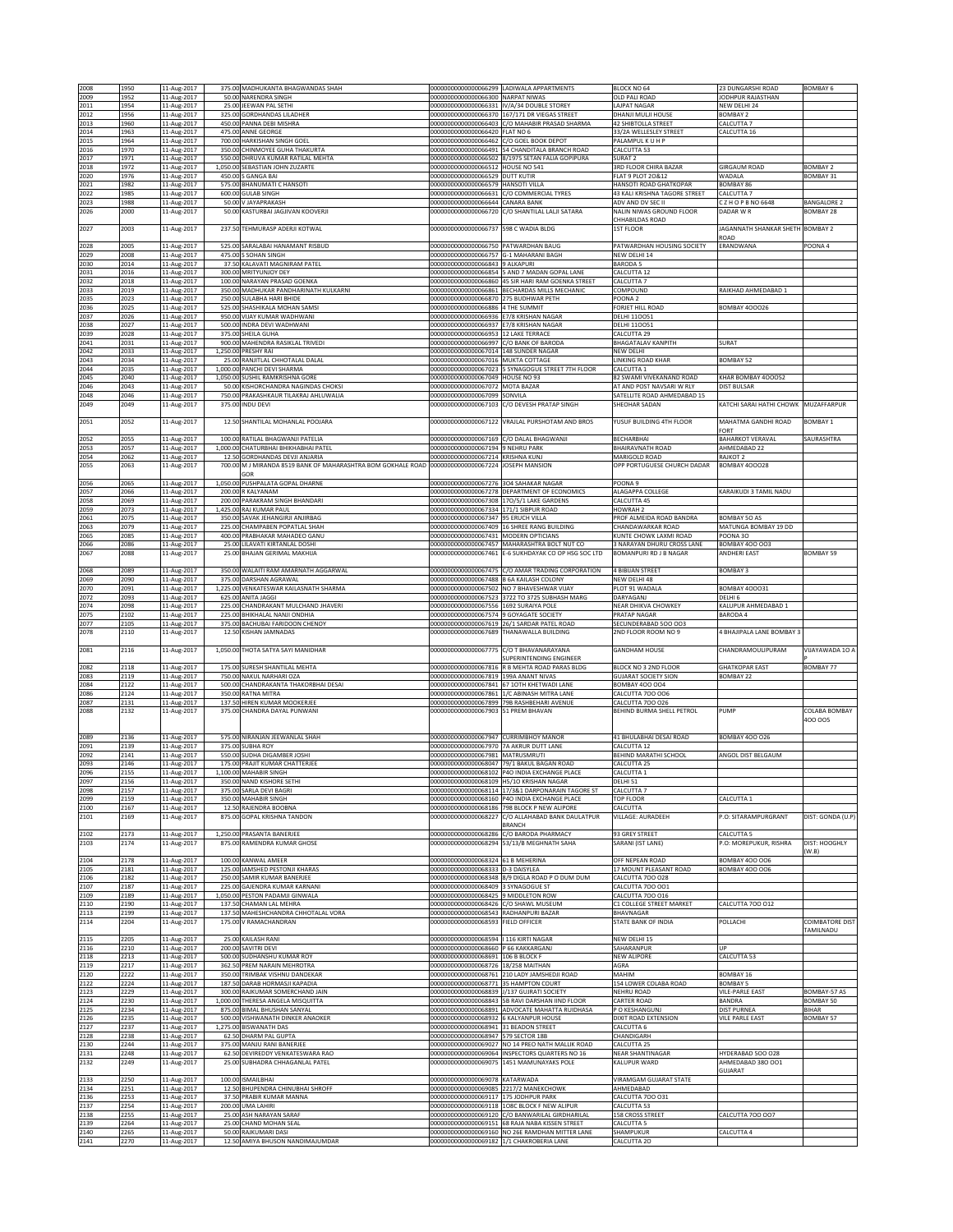| 2008         | 1950         | 11-Aug-2017                |                    | 375.00 MADHUKANTA BHAGWANDAS SHAH                                                                        |                                                                                   | 00000000000000066299 LADIWALA APPARTMENTS                                                             | <b>BLOCK NO 64</b>                                   | 23 DUNGARSHI ROAD                       | <b>BOMBAY 6</b>                        |
|--------------|--------------|----------------------------|--------------------|----------------------------------------------------------------------------------------------------------|-----------------------------------------------------------------------------------|-------------------------------------------------------------------------------------------------------|------------------------------------------------------|-----------------------------------------|----------------------------------------|
| 2009         | 1952         | 11-Aug-2017                |                    | 50.00 NARENDRA SINGH                                                                                     | 000000000000000066300 NARPAT NIWAS                                                |                                                                                                       | OLD PALI ROAD<br>LAJPAT NAGAR                        | JODHPUR RAJASTHAN                       |                                        |
| 2011<br>2012 | 1954<br>1956 | 11-Aug-2017<br>11-Aug-2017 |                    | 25.00 JEEWAN PAL SETHI<br>325.00 GORDHANDAS LILADHER                                                     |                                                                                   | 00000000000000066331 IV/A/34 DOUBLE STOREY<br>00000000000000066370 167/171 DR VIEGAS STREET           | DHANJI MULJI HOUSE                                   | NEW DELHI 24<br>BOMBAY 2                |                                        |
| 2013         | 1960         | 11-Aug-2017                |                    | 450.00 PANNA DEBI MISHRA                                                                                 |                                                                                   | 00000000000000066403 C/O MAHABIR PRASAD SHARMA                                                        | <b>42 SHIBTOLLA STREET</b>                           | CALCUTTA 7                              |                                        |
| 2014<br>2015 | 1963<br>1964 | 11-Aug-2017                |                    | 475.00 ANNE GEORGE<br>700.00 HARKISHAN SINGH GOEL                                                        | 00000000000000066420 FLAT NO 6                                                    |                                                                                                       | 33/2A WELLESLEY STREET                               | CALCUTTA 16                             |                                        |
| 2016         | 1970         | 11-Aug-2017<br>11-Aug-2017 | 350.00             | CHINMOYEE GUHA THAKURTA                                                                                  | 00000000000000066462 C/O GOEL BOOK DEPOT                                          | 000000000000000066491 54 CHANDITALA BRANCH ROAD                                                       | PALAMPUL K U H P<br>CALCUTTA 53                      |                                         |                                        |
| 2017         | 1971         | 11-Aug-2017                |                    | 550.00 DHRUVA KUMAR RATILAL MEHTA                                                                        |                                                                                   | 00000000000000066502 8/1975 SETAN FALIA GOPIPURA                                                      | SURAT <sub>2</sub>                                   |                                         |                                        |
| 2018<br>2020 | 1972<br>1976 | 11-Aug-2017<br>11-Aug-2017 | 1,050.00<br>450.00 | SEBASTIAN JOHN ZUZARTE<br>GANGA BAI                                                                      | 00000000000000066512 HOUSE NO 541<br>000000000000000066529 DUTT KUTIR             |                                                                                                       | 3RD FLOOR CHIRA BAZAR<br>LAT 9 PLOT 20&12            | <b>GIRGAUM ROAD</b><br>WADALA           | <b>BOMBAY 2</b><br>BOMBAY 31           |
| 2021         | 1982         | 11-Aug-2017                |                    | 575.00 BHANUMATI C HANSOTI                                                                               | 00000000000000066579 HANSOTI VILLA                                                |                                                                                                       | HANSOTI ROAD GHATKOPAR                               | BOMBAY 86                               |                                        |
| 2022         | 1985         | 11-Aug-2017                |                    | 600.00 GULAB SINGH                                                                                       |                                                                                   | 00000000000000066631 C/O COMMERCIAL TYRES                                                             | 43 KALI KRISHNA TAGORE STREET                        | CALCUTTA 7                              |                                        |
| 2023<br>2026 | 1988<br>2000 | 11-Aug-2017<br>11-Aug-2017 | 50.00              | 50.00 V JAYAPRAKASH<br>KASTURBAI JAGJIVAN KOOVERJI                                                       | 000000000000000066644 CANARA BANK                                                 | 00000000000000066720 C/O SHANTILAL LALJI SATARA                                                       | ADV AND DV SEC II<br>NALIN NIWAS GROUND FLOOR        | CZHOPBNO 6648<br>DADAR W R              | <b>BANGALORE 2</b><br><b>BOMBAY 28</b> |
|              |              |                            |                    |                                                                                                          |                                                                                   |                                                                                                       | <b>HHABILDAS ROAD</b>                                |                                         |                                        |
| 2027         | 2003         | 11-Aug-2017                |                    | 237.50 TEHMURASP ADERJI KOTWAL                                                                           | 00000000000000066737 598 C WADIA BLDG                                             |                                                                                                       | 1ST FLOOR                                            | JAGANNATH SHANKAR SHETH BOMBAY 2        |                                        |
| 2028         | 2005         | 11-Aug-2017                |                    | 525.00 SARALABAI HANAMANT RISBUD                                                                         | 00000000000000066750 PATWARDHAN BAUG                                              |                                                                                                       | PATWARDHAN HOUSING SOCIETY                           | ROAD<br>ERANDWANA                       | POONA4                                 |
| 2029         | 2008         | 11-Aug-2017                |                    | 475.00 S SOHAN SINGH                                                                                     | 00000000000000066757 G-1 MAHARANI BAGH                                            |                                                                                                       | NEW DELHI 14                                         |                                         |                                        |
| 2030         | 2014         | 11-Aug-2017                |                    | 37.50 KALAVATI MAGNIRAM PATEL                                                                            | 00000000000000066843 9 ALKAPURI                                                   |                                                                                                       | <b>BARODA 5</b><br>CALCUTTA 12                       |                                         |                                        |
| 2031<br>2032 | 2016<br>2018 | 11-Aug-2017<br>11-Aug-2017 |                    | 300.00 MRITYUNJOY DEY<br>100.00 NARAYAN PRASAD GOENKA                                                    |                                                                                   | 000000000000000066854 5 AND 7 MADAN GOPAL LANE<br>000000000000000066860 45 SIR HARI RAM GOENKA STREET | CALCUTTA 7                                           |                                         |                                        |
| 2033         | 2019         | 11-Aug-2017                | 350.00             | MADHUKAR PANDHARINATH KULKARNI                                                                           |                                                                                   | 00000000000000066861 BECHARDAS MILLS MECHANIC                                                         | COMPOUND                                             | AIKHAD AHMEDABAD 1                      |                                        |
| 2035<br>2036 | 2023         | 11-Aug-2017                | 250.00             | SULABHA HARI BHIDE                                                                                       | 00000000000000066870 275 BUDHWAR PETH                                             |                                                                                                       | POONA <sub>2</sub>                                   |                                         |                                        |
| 2037         | 2025<br>2026 | 11-Aug-2017<br>11-Aug-2017 | 950.0              | 525.00 SHASHIKALA MOHAN SAMSI<br>VIJAY KUMAR WADHWANI                                                    | 00000000000000066886 4 THE SUMMIT<br>000000000000000066936 E7/8 KRISHAN NAGAR     |                                                                                                       | FORJET HILL ROAD<br><b>DELHI 110051</b>              | <b>BOMBAY 400026</b>                    |                                        |
| 2038         | 2027         | 11-Aug-2017                | 500.00             | INDRA DEVI WADHWANI                                                                                      | 00000000000000066937 E7/8 KRISHAN NAGAR                                           |                                                                                                       | <b>DELHI 110051</b>                                  |                                         |                                        |
| 2039<br>2041 | 2028<br>2031 | 11-Aug-2017<br>11-Aug-2017 | 375.00             | SHEILA GUHA<br>900.00 MAHENDRA RASIKLAL TRIVEDI                                                          | 00000000000000066953 12 LAKE TERRACE<br>00000000000000066997 C/O BANK OF BARODA   |                                                                                                       | CALCUTTA 29<br>BHAGATALAV KANPITH                    | SURAT                                   |                                        |
| 2042         | 2033         | 11-Aug-2017                |                    | 1,250.00 PRESHY RAI                                                                                      | 00000000000000067014 148 SUNDER NAGAR                                             |                                                                                                       | NEW DELHI                                            |                                         |                                        |
| 2043         | 2034         | 11-Aug-2017                | 25.00              | RANJITLAL CHHOTALAL DALAL                                                                                | 00000000000000067016 MUKTA COTTAGE                                                |                                                                                                       | LINKING ROAD KHAR                                    | BOMBAY 52                               |                                        |
| 2044<br>2045 | 2035<br>2040 | 11-Aug-2017<br>11-Aug-2017 |                    | 1,000.00 PANCHI DEVI SHARMA<br>1,050.00 SUSHIL RAMKRISHNA GORE                                           | 00000000000000067049 HOUSE NO 93                                                  | 00000000000000067023 5 SYNAGOGUE STREET 7TH FLOOR                                                     | CALCUTTA 1<br>82 SWAMI VIVEKANAND ROAD               | KHAR BOMBAY 400052                      |                                        |
| 2046         | 2043         | 11-Aug-2017                | 50.00              | KISHORCHANDRA NAGINDAS CHOKSI                                                                            | 00000000000000067072 MOTA BAZAR                                                   |                                                                                                       | AT AND POST NAVSARI W RLY                            | <b>DIST BULSAR</b>                      |                                        |
| 2048         | 2046         | 11-Aug-2017                | 750.00             | PRAKASHKAUR TILAKRAJ AHLUWALIA                                                                           | 00000000000000067099 SONVILA                                                      |                                                                                                       | SATELLITE ROAD AHMEDABAD 15                          |                                         |                                        |
| 2049         | 2049         | 11-Aug-2017                |                    | 375.00 INDU DEVI                                                                                         | 00000000000000067103                                                              | C/O DEVESH PRATAP SINGH                                                                               | SHEOHAR SADAN                                        | KATCHI SARAI HATHI CHOWK                | MUZAFFARPUR                            |
| 2051         | 2052         | 11-Aug-2017                |                    | 12.50 SHANTILAL MOHANLAL POOJARA                                                                         |                                                                                   | 00000000000000067122 VRAJLAL PURSHOTAM AND BROS                                                       | YUSUF BUILDING 4TH FLOOR                             | MAHATMA GANDHI ROAD                     | <b>BOMBAY 1</b>                        |
|              |              |                            |                    |                                                                                                          |                                                                                   |                                                                                                       |                                                      | ORT                                     |                                        |
| 2052<br>2053 | 2055<br>2057 | 11-Aug-2017<br>11-Aug-2017 |                    | 100.00 RATILAL BHAGWANJI PATELIA<br>1,000.00 CHATURBHAI BHIKHABHAI PATEL                                 | 00000000000000067169 C/O DALAL BHAGWANJI<br>00000000000000067194 9 NEHRU PARK     |                                                                                                       | BECHARBHAI<br><b>BHAIRAVNATH ROAD</b>                | <b>BAHARKOT VERAVAL</b><br>AHMEDABAD 22 | SAURASHTRA                             |
| 2054         | 2062         | 11-Aug-2017                | 12.50              | <b>GORDHANDAS DEVJI ANJARIA</b>                                                                          | 00000000000000067214 KRISHNA KUNJ                                                 |                                                                                                       | MARIGOLD ROAD                                        | RAJKOT 2                                |                                        |
| 2055         | 2063         | 11-Aug-2017                |                    | 700.00 M J MIRANDA 8519 BANK OF MAHARASHTRA BOM GOKHALE ROAD 000000000000000057224 JOSEPH MANSION<br>GOR |                                                                                   |                                                                                                       | OPP PORTUGUESE CHURCH DADAR                          | <b>BOMBAY 400028</b>                    |                                        |
| 2056         | 2065         | 11-Aug-2017                |                    | 1,050.00 PUSHPALATA GOPAL DHARNE                                                                         | 00000000000000067276 3O4 SAHAKAR NAGAR                                            |                                                                                                       | POONA 9                                              |                                         |                                        |
| 2057         | 2066         | 11-Aug-2017                |                    | 200.00 R KALYANAM                                                                                        |                                                                                   | 00000000000000067278 DEPARTMENT OF ECONOMICS                                                          | ALAGAPPA COLLEGE                                     | KARAIKUDI 3 TAMIL NADU                  |                                        |
| 2058<br>2059 | 2069<br>2073 | 11-Aug-2017<br>11-Aug-2017 | 200.00<br>1,425.00 | PARAKRAM SINGH BHANDARI<br>AJ KUMAR PAUL                                                                 | 00000000000000067334 171/1 SIBPUR ROAD                                            | 00000000000000067308 17O/5/1 LAKE GARDENS                                                             | CALCUTTA 45<br><b>IOWRAH 2</b>                       |                                         |                                        |
| 2061         | 2075         | 11-Aug-2017                | 350.00             | SAVAK JEHANGIRJI ANJIRBAG                                                                                | 00000000000000067347 95 ERUCH VILLA                                               |                                                                                                       | PROF ALMEIDA ROAD BANDRA                             | BOMBAY 50 AS                            |                                        |
| 2063         | 2079         | 11-Aug-2017                | 225.00             | CHAMPABEN POPATLAL SHAH                                                                                  |                                                                                   | 00000000000000067409 16 SHREE RANG BUILDING                                                           | CHANDAWARKAR ROAD                                    | MATUNGA BOMBAY 19 DD                    |                                        |
| 2065<br>2066 | 2085<br>2086 | 11-Aug-2017                | 400.00             | PRABHAKAR MAHADEO GANU<br>25.00 LILAVATI KIRTANLAL DOSHI                                                 | 00000000000000067431 MODERN OPTICIANS                                             | 00000000000000067457 MAHARASHTRA BOLT NUT CO                                                          | KUNTE CHOWK LAXMI ROAD<br>3 NARAYAN DHURU CROSS LANE | POONA 30<br><b>BOMBAY 400 003</b>       |                                        |
| 2067         | 2088         | 11-Aug-2017<br>11-Aug-2017 |                    | 25.00 BHAJAN GERIMAL MAKHIJA                                                                             | 00000000000000067461                                                              | E-6 SUKHDAYAK CO OP HSG SOC LTD                                                                       | BOMANPURI RD J B NAGAR                               | <b>ANDHERI EAST</b>                     | <b>BOMBAY 59</b>                       |
|              |              |                            |                    |                                                                                                          |                                                                                   |                                                                                                       |                                                      |                                         |                                        |
| 2068<br>2069 | 2089<br>2090 | 11-Aug-2017<br>11-Aug-2017 |                    | 350.00 WALAITI RAM AMARNATH AGGARWAL<br>375.00 DARSHAN AGRAWAL                                           | 00000000000000067488 B 6A KAILASH COLONY                                          | 00000000000000067475 C/O AMAR TRADING CORPORATION                                                     | 4 BIBIJAN STREET<br><b>NEW DELHI 48</b>              | <b>BOMBAY 3</b>                         |                                        |
| 2070         | 2091         | 11-Aug-2017                |                    | 1,225.00 VENKATESWAR KAILASNATH SHARMA                                                                   |                                                                                   | 00000000000000067502 NO 7 BHAVESHWAR VIJAY                                                            | PLOT 91 WADALA                                       | BOMBAY 400031                           |                                        |
| 2072         | 2093         | 11-Aug-2017                | 625.00             | ANITA JAGGI                                                                                              |                                                                                   | 00000000000000067523 3722 TO 3725 SUBHASH MARG                                                        | DARYAGANJ                                            | DELHI 6                                 |                                        |
| 2074<br>2075 | 2098<br>2102 | 11-Aug-2017<br>11-Aug-2017 | 225.00<br>225.00   | CHANDRAKANT MULCHAND JHAVERI<br>BHIKHALAL NANJI ONDHIA                                                   | 00000000000000067556 1692 SURAIYA POLE<br>00000000000000067574 9 GOYAGATE SOCIETY |                                                                                                       | NEAR DHIKVA CHOWKEY<br>PRATAP NAGAR                  | KALUPUR AHMEDABAD 1<br><b>BARODA4</b>   |                                        |
| 2077         | 2105         | 11-Aug-2017                |                    | 375.00 BACHUBAI FARIDOON CHENOY                                                                          |                                                                                   | 00000000000000067619 26/1 SARDAR PATEL ROAD                                                           | SECUNDERABAD 500 003                                 |                                         |                                        |
| 2078         | 2110         | 11-Aug-2017                |                    | 12.50 KISHAN JAMNADAS                                                                                    |                                                                                   | 00000000000000067689 THANAWALLA BUILDING                                                              | 2ND FLOOR ROOM NO 9                                  | 4 BHAJIPALA LANE BOMBAY 3               |                                        |
| 2081         | 2116         | 11-Aug-2017                |                    | 1,050.00 THOTA SATYA SAYI MANIDHAR                                                                       | 00000000000000067775                                                              | C/O T BHAVANARAYANA                                                                                   | <b>GANDHAM HOUSE</b>                                 | CHANDRAMOULIPURAM                       | VIJAYAWADA 10 A                        |
|              |              |                            |                    |                                                                                                          |                                                                                   | SUPERINTENDING ENGINEER                                                                               |                                                      |                                         |                                        |
| 2082         | 2118         | 11-Aug-2017                |                    | 175.00 SURESH SHANTILAL MEHTA                                                                            |                                                                                   | 00000000000000067816 R B MEHTA ROAD PARAS BLDG                                                        | BLOCK NO 3 2ND FLOOR                                 | <b>GHATKOPAR EAST</b>                   | BOMBAY 77                              |
| 2083<br>2084 | 2119<br>2122 | 11-Aug-2017<br>11-Aug-2017 |                    | 750.00 NAKUL NARHARI OZA<br>500.00 CHANDRAKANTA THAKORBHAI DESAI                                         | 00000000000000067819 199A ANANT NIVAS                                             | 00000000000000067841 67 10TH KHETWADI LANE                                                            | <b>GUJARAT SOCIETY SION</b><br><b>BOMBAY 400 004</b> | BOMBAY 22                               |                                        |
| 2086         | 2124         | 11-Aug-2017                |                    | 350.00 RATNA MITRA                                                                                       |                                                                                   | 00000000000000067861 1/C ABINASH MITRA LANE                                                           | CALCUTTA 700 006                                     |                                         |                                        |
| 2087<br>2088 | 2131<br>2132 | 11-Aug-2017<br>11-Aug-2017 |                    | 137.50 HIREN KUMAR MOOKERJEE<br>375.00 CHANDRA DAYAL PUNWANI                                             | 00000000000000067903 51 PREM BHAVAN                                               | 00000000000000067899 79B RASHBEHARI AVENUE                                                            | CALCUTTA 700 026<br>BEHIND BURMA SHELL PETROL        | PUMP                                    | COLABA BOMBAY                          |
|              |              |                            |                    |                                                                                                          |                                                                                   |                                                                                                       |                                                      |                                         | 400 005                                |
|              |              |                            |                    |                                                                                                          |                                                                                   |                                                                                                       |                                                      |                                         |                                        |
| 2089<br>2091 | 2136<br>2139 | 11-Aug-2017<br>11-Aug-2017 | 375.00             | 575.00 NIRANJAN JEEWANLAL SHAH<br><b>JUBHA ROY</b>                                                       | 00000000000000067947 CURRIMBHOY MANOR<br>00000000000000067970 7A AKRUR DUTT LANE  |                                                                                                       | 41 BHULABHAI DESAI ROAD<br>CALCUTTA 12               | <b>BOMBAY 400 026</b>                   |                                        |
| 2092         | 2141         | 11-Aug-2017                | 550.00             | SUDHA DIGAMBER JOSHI                                                                                     | 000000000000000067981 MATRUSMRUTI                                                 |                                                                                                       | BEHIND MARATHI SCHOOL                                | ANGOL DIST BELGAUM                      |                                        |
| 2093         | 2146         | 11-Aug-2017                | 175.00             | PRAJIT KUMAR CHATTERJEE                                                                                  |                                                                                   | 00000000000000068047 79/1 BAKUL BAGAN ROAD                                                            | CALCUTTA 25                                          |                                         |                                        |
| 2096<br>2097 | 2155<br>2156 | 11-Aug-2017<br>11-Aug-2017 |                    | 1,100.00 MAHABIR SINGH<br>350.00 NAND KISHORE SETH                                                       | 000000000000000068109 H5/10 KRISHAN NAGAR                                         | 00000000000000068102 P4O INDIA EXCHANGE PLACE                                                         | CALCUTTA 1<br>DELHI 51                               |                                         |                                        |
| 2098         | 2157         | 11-Aug-2017                |                    | 375.00 SARLA DEVI BAGRI                                                                                  |                                                                                   | 00000000000000068114 17/3&1 DARPONARAIN TAGORE ST                                                     | CALCUTTA 7                                           |                                         |                                        |
| 2099         | 2159         | 11-Aug-2017                |                    | 350.00 MAHABIR SINGH<br>RAJENDRA BOOBNA                                                                  |                                                                                   | 00000000000000068160 P4O INDIA EXCHANGE PLACE                                                         | <b>TOP FLOOR</b>                                     | CALCUTTA 1                              |                                        |
| 2100<br>2101 | 2167<br>2169 | 11-Aug-2017<br>11-Aug-2017 | 12.50<br>875.00    | GOPAL KRISHNA TANDON                                                                                     | 00000000000000068227                                                              | 00000000000000068186 798 BLOCK P NEW ALIPORE<br>C/O ALLAHABAD BANK DAULATPUR                          | CALCUTTA<br>VILLAGE: AURADEEH                        | P.O: SITARAMPURGRANT                    | DIST: GONDA (U.P)                      |
|              |              |                            |                    |                                                                                                          |                                                                                   | <b>BRANCH</b>                                                                                         |                                                      |                                         |                                        |
| 2102<br>2103 | 2173<br>2174 | 11-Aug-2017<br>11-Aug-2017 |                    | 1.250.00 PRASANTA BANERJEE<br>875.00 RAMENDRA KUMAR GHOSE                                                |                                                                                   | 00000000000000068286 C/O BARODA PHARMACY<br>00000000000000068294 53/13/B MEGHNATH SAHA                | 93 GREY STREET<br>SARANI (IST LANE)                  | CALCUTTA 5<br>.O: MOREPUKUR, RISHRA     | DIST: HOOGHLY                          |
|              |              |                            |                    |                                                                                                          |                                                                                   |                                                                                                       |                                                      |                                         | (W.B)                                  |
| 2104         | 2178         | 11-Aug-2017                |                    | 100.00 KANWAL AMEER                                                                                      | 00000000000000068324 61 B MEHERINA                                                |                                                                                                       | OFF NEPEAN ROAD                                      | <b>BOMBAY 400 006</b>                   |                                        |
| 2105<br>2106 | 2181<br>2182 | 11-Aug-2017<br>11-Aug-2017 | 125.00<br>250.00   | JAMSHED PESTONJI KHARAS<br>AMIR KUMAR BANERJEE                                                           | 00000000000000068333 D-3 DAISYLEA                                                 | 00000000000000068348 8/9 DIGLA ROAD P O DUM DUM                                                       | 17 MOUNT PLEASANT ROAD<br>CALCUTTA 700 028           | <b>BOMBAY 400 006</b>                   |                                        |
| 2107         | 2187         | 11-Aug-2017                | 225.00             | GAJENDRA KUMAR KARNANI                                                                                   | 00000000000000068409 3 SYNAGOGUE ST                                               |                                                                                                       | CALCUTTA 700 001                                     |                                         |                                        |
| 2109<br>2110 | 2189<br>2190 | 11-Aug-2017                | 1,050.00<br>137.5  | PESTON PADAMJI GINWALA<br>CHAMAN LAL MEHRA                                                               | 00000000000000068425 9 MIDDLETON ROW<br>00000000000000068426 C/O SHAWL MUSEUM     |                                                                                                       | CALCUTTA 700 016<br>C1 COLLEGE STREET MARKET         | CALCUTTA 700 012                        |                                        |
| 2113         | 2199         | 11-Aug-2017<br>11-Aug-2017 |                    | 137.50 MAHESHCHANDRA CHHOTALAL VORA                                                                      | 00000000000000068543 RADHANPURI BAZAR                                             |                                                                                                       | BHAVNAGAR                                            |                                         |                                        |
| 2114         | 2204         | 11-Aug-2017                |                    | 175.00 V RAMACHANDRAN                                                                                    | 00000000000000068593 FIELD OFFICER                                                |                                                                                                       | STATE BANK OF INDIA                                  | POLLACHI                                | <b>COIMBATORE DIST</b>                 |
| 2115         | 2205         | 11-Aug-2017                |                    | 25.00 KAILASH RANI                                                                                       | 00000000000000068594   116 KIRTI NAGAR                                            |                                                                                                       | NEW DELHI 15                                         |                                         | TAMILNADU                              |
| 2116         | 2210         | 11-Aug-2017                | 200.00             | <b>SAVITRI DEVI</b>                                                                                      | 0000000000000068660                                                               | P 66 KAKKARGANJ                                                                                       | SAHARANPUR                                           |                                         |                                        |
| 2118         | 2213         | 11-Aug-2017                | 500.00             | SUDHANSHU KUMAR ROY                                                                                      | 00000000000000068691 106 B BLOCK F                                                |                                                                                                       | <b>NEW ALIPORE</b>                                   | CALCUTTA 53                             |                                        |
| 2119<br>2120 | 2217<br>2222 | 11-Aug-2017<br>11-Aug-2017 | 362.50<br>350.00   | PREM NARAIN MEHROTRA<br>TRIMBAK VISHNU DANDEKAR                                                          | 00000000000000068726 18/258 MAITHAN<br>00000000000000068761                       | 210 LADY JAMSHEDJI ROAD                                                                               | AGRA<br>MAHIM                                        | BOMBAY 16                               |                                        |
| 2122         | 2224         | 11-Aug-2017                | 187.5              | DARAB HORMASJI KAPADIA                                                                                   | 00000000000000068771 35 HAMPTON COURT                                             |                                                                                                       | 154 LOWER COLABA ROAD                                | <b>BOMBAY 5</b>                         |                                        |
| 2123         | 2229         | 11-Aug-2017                |                    | 300.00 RAJKUMAR SOMERCHAND JAIN                                                                          | 00000000000000068839 J/137 GUJRATI SOCIETY                                        |                                                                                                       | <b>NEHRU ROAD</b>                                    | <b>VILE-PARLE EAST</b>                  | BOMBAY-57 AS                           |
| 2124<br>2125 | 2230<br>2234 | 11-Aug-2017<br>11-Aug-2017 |                    | 1,000.00 THERESA ANGELA MISQUITTA<br>875.00 BIMAL BHUSHAN SANYAL                                         |                                                                                   | 00000000000000068843 5B RAVI DARSHAN IIND FLOOR<br>00000000000000068891 ADVOCATE MAHATTA RUIDHASA     | <b>CARTER ROAD</b><br>P O KESHANGUNJ                 | BANDRA<br><b>DIST PURNEA</b>            | BOMBAY 50<br><b>BIHAR</b>              |
| 2126         | 2235         | 11-Aug-2017                |                    | 500.00 VISHWANATH DINKER ANAOKER                                                                         | 00000000000000068932 6 KALYANPUR HOUSE                                            |                                                                                                       | DIXIT ROAD EXTENSION                                 | <b>VILE PARLE EAST</b>                  | BOMBAY 57                              |
| 2127         | 2237         | 11-Aug-2017                |                    | 1,275.00 BISWANATH DAS                                                                                   | 00000000000000068941 31 BEADON STREET                                             |                                                                                                       | CALCUTTA 6                                           |                                         |                                        |
| 2128<br>2130 | 2238<br>2244 | 11-Aug-2017<br>11-Aug-2017 | 375.00             | 62.50 DHARM PAL GUPTA<br>MANJU RANI BANERJEE                                                             | 00000000000000068947 579 SECTOR 18B                                               | 000000000000000069027 NO 14 PREO NATH MALLIK ROAD                                                     | CHANDIGARH<br>CALCUTTA 25                            |                                         |                                        |
| 2131         | 2248         | 11-Aug-2017                | 62.50              | DEVIREDDY VENKATESWARA RAO                                                                               |                                                                                   | 000000000000000069064 INSPECTORS QUARTERS NO 16                                                       | NEAR SHANTINAGAR                                     | HYDERABAD 500 028                       |                                        |
| 2132         | 2249         | 11-Aug-2017                |                    | 25.00 SUBHADRA CHHAGANLAL PATEL                                                                          |                                                                                   | 00000000000000069075 1451 MAMUNAYAKS POLE                                                             | KALUPUR WARD                                         | AHMEDABAD 380 001<br>GUJARAT            |                                        |
| 2133         | 2250         | 11-Aug-2017                |                    | 100.00 ISMAILBHAI                                                                                        | 00000000000000069078 KATARWADA                                                    |                                                                                                       | <b>VIRAMGAM GUJARAT STATE</b>                        |                                         |                                        |
| 2134         | 2251         | 11-Aug-2017                | 12.50              | BHUPENDRA CHINUBHAI SHROFF                                                                               | 00000000000000069085 2217/2 MANEKCHOWK                                            |                                                                                                       | AHMEDABAD                                            |                                         |                                        |
| 2136<br>2137 | 2253<br>2254 | 11-Aug-2017<br>11-Aug-2017 | 37.50              | PRABIR KUMAR MANNA<br>200.00 UMA LAHIRI                                                                  | 00000000000000069117 175 JODHPUR PARK                                             | 00000000000000069118 1O8C BLOCK F NEW ALIPUR                                                          | CALCUTTA 700 031<br>CALCUTTA 53                      |                                         |                                        |
| 2138         | 2255         | 11-Aug-2017                | 25.00              | ASH NARAYAN SARAF                                                                                        |                                                                                   | 00000000000000069120 C/O BANWARILAL GIRDHARILAL                                                       | 158 CROSS STREET                                     | CALCUTTA 700 007                        |                                        |
| 2139<br>2140 | 2264         | 11-Aug-2017                | 25.00              | <b>CHAND MOHAN SEAL</b>                                                                                  |                                                                                   | 00000000000000069151 68 RAJA NABA KISSEN STREET                                                       | CALCUTTA <sub>5</sub>                                |                                         |                                        |
|              | 2265         | 11-Aug-2017<br>11-Aug-2017 |                    | 50.00 RAJKUMARI DASI<br>12.50 AMIYA BHUSON NANDIMAJUMDAR                                                 |                                                                                   | 000000000000000069160 NO 26E RAMDHAN MITTER LANE<br>000000000000000069182 1/1 CHAKROBERIA LANE        | SHAMPUKUR<br>CALCUTTA 20                             | CALCUTTA 4                              |                                        |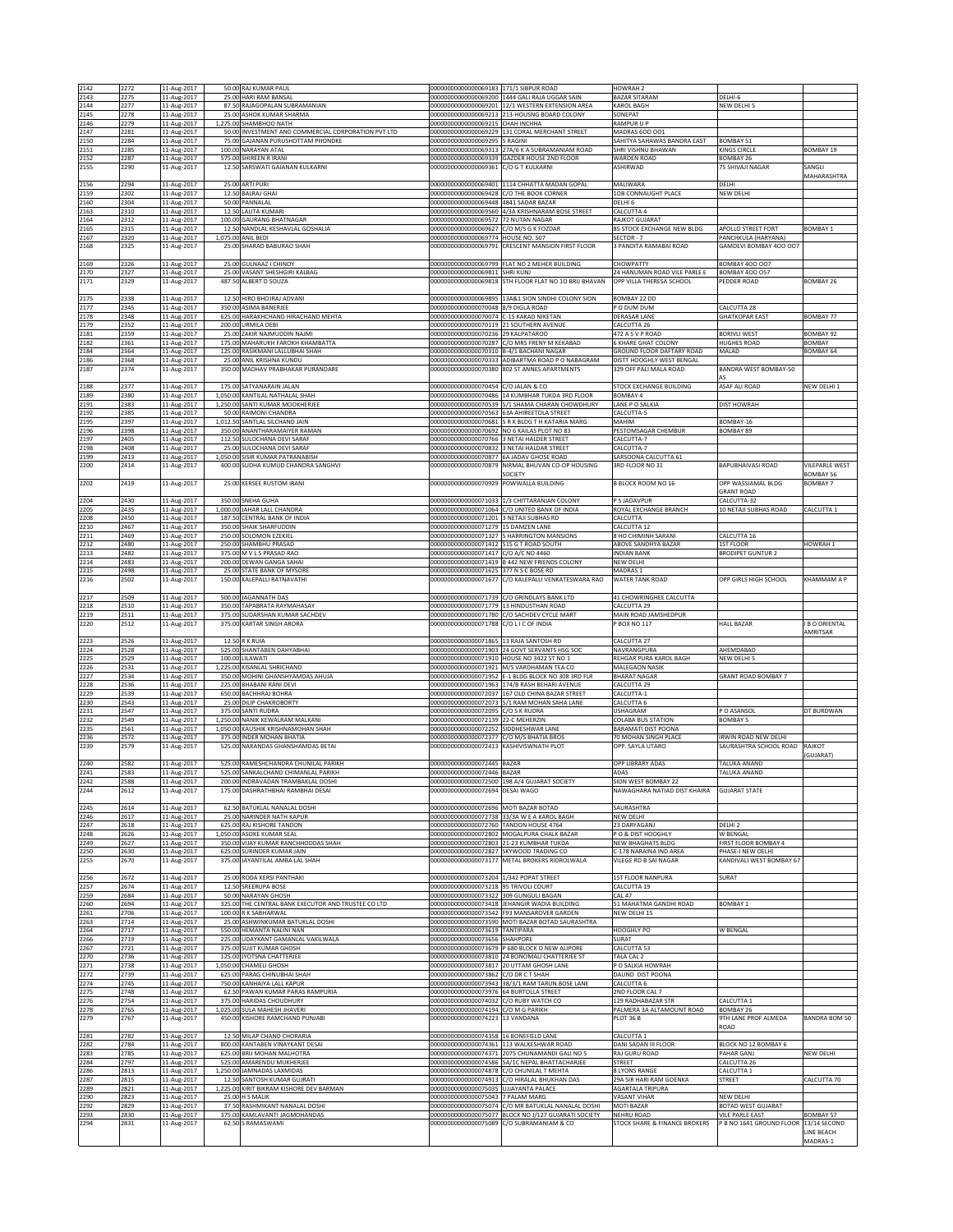| 2142         | 2272         | 11-Aug-2017                | 50.00 RAJ KUMAR PAUL                                                      | 00000000000000069183 171/1 SIBPUR ROAD                                              |                                                                                                            | HOWRAH <sub>2</sub>                                    |                                                |                               |
|--------------|--------------|----------------------------|---------------------------------------------------------------------------|-------------------------------------------------------------------------------------|------------------------------------------------------------------------------------------------------------|--------------------------------------------------------|------------------------------------------------|-------------------------------|
| 2143         | 2275         | 11-Aug-2017                | 25.00 HARI RAM BANSAL                                                     |                                                                                     | 00000000000000069200 1444 GALI RAJA UGGAR SAIN                                                             | <b>BAZAR SITARAM</b>                                   | DELHI-6                                        |                               |
| 2144<br>2145 | 2277<br>2278 | 11-Aug-2017<br>11-Aug-2017 | 87.50 RAJAGOPALAN SUBRAMANIAN<br>25.00 ASHOK KUMAR SHARMA                 |                                                                                     | 000000000000000069201 12/1 WESTERN EXTENSION AREA<br>00000000000000069213 213-HOUSNG BOARD COLONY          | <b>KAROL BAGH</b><br>SONEPAT                           | NEW DELHI 5                                    |                               |
| 2146         | 2279         | 11-Aug-2017                | 1,275.00 SHAMBHOO NATH                                                    | 00000000000000069215 CHAH INCHHA                                                    |                                                                                                            | RAMPUR U P                                             |                                                |                               |
| 2147         | 2281         | 11-Aug-2017                | 50.00 INVESTMENT AND COMMERCIAL CORPORATION PVT LTD                       |                                                                                     | 000000000000000069229 131 CORAL MERCHANT STREET                                                            | MADRAS 600 001                                         |                                                |                               |
| 2150<br>2151 | 2284<br>2285 | 11-Aug-2017<br>11-Aug-2017 | 75.00 GAJANAN PURUSHOTTAM PHONDKE<br>100.00 NARAYAN ATAL                  | 00000000000000069295                                                                | 5 RAGINI<br>00000000000000069313 27A/6 K A SUBRAMANIAM ROAD                                                | SAHITYA SAHAWAS BANDRA EAST<br>SHRI VISHNU BHAWAN      | BOMBAY 51<br><b>KINGS CIRCLE</b>               | BOMBAY 19                     |
| 2152         | 2287         | 11-Aug-2017                | 575.00 SHIREEN R IRANI                                                    |                                                                                     | 00000000000000069339 GAZDER HOUSE 2ND FLOOR                                                                | <b>WARDEN ROAD</b>                                     | BOMBAY 26                                      |                               |
| 2155         | 2290         | 11-Aug-2017                | 12.50 SARSWATI GAIANAN KULKARNI                                           | 00000000000000069361 C/O G T KULKARNI                                               |                                                                                                            | <b>ASHIRWAD</b>                                        | 75 SHIVAJI NAGAR                               | SANGLI                        |
| 2156         | 2294         | 11-Aug-2017                | 25.00 ARTI PURI                                                           |                                                                                     | 00000000000000069401 1114 CHHATTA MADAN GOPAL                                                              | MALIWARA                                               | DELHI                                          | MAHARASHTRA                   |
| 2159         | 2302         | 11-Aug-2017                | 12.50 BALRAJ GHAI                                                         |                                                                                     | 00000000000000069428 C/O THE BOOK CORNER                                                                   | 10B CONNAUGHT PLACE                                    | NEW DELHI                                      |                               |
| 2160         | 2304         | 11-Aug-2017                | 50.00 PANNALAL                                                            | 00000000000000069448 4841 SADAR BAZAR                                               |                                                                                                            | DELHI 6                                                |                                                |                               |
| 2163<br>2164 | 2310<br>2312 | 11-Aug-2017<br>11-Aug-2017 | 12.50 LALITA KUMARI<br>100.00 GAURANG BHATNAGAR                           | 00000000000000069572 72 NUTAN NAGAR                                                 | 00000000000000069560 4/3A KRISHNARAM BOSE STREET                                                           | CALCUTTA 4<br>RAJKOT GUJARAT                           |                                                |                               |
| 2165         | 2315         | 11-Aug-2017                | 12.50 NANDLAL KESHAVLAL GOSHALIA                                          | 00000000000000069627 C/O M/S G K FOZDAR                                             |                                                                                                            | 85 STOCK EXCHANGE NEW BLDG                             | APOLLO STREET FORT                             | <b>BOMBAY 1</b>               |
| 2167         | 2320         | 11-Aug-2017                | 1,075.00 ANIL BEDI                                                        | 00000000000000069774 HOUSE NO. 507                                                  |                                                                                                            | SECTOR-7                                               | PANCHKULA (HARYANA)                            |                               |
| 2168         | 2325         | 11-Aug-2017                | 25.00 SHARAD BABURAO SHAH                                                 |                                                                                     | 00000000000000069791 CRESCENT MANSION FIRST FLOOR                                                          | 3 PANDITA RAMABAI ROAD                                 | GAMDEVI BOMBAY 400 007                         |                               |
| 2169         | 2326         | 11-Aug-2017                | 25.00 GULNAAZ I CHINOY                                                    |                                                                                     | 000000000000000069799 FLAT NO 2 MEHER BUILDING                                                             | CHOWPATTY                                              | <b>BOMBAY 400 007</b>                          |                               |
| 2170         | 2327         | 11-Aug-2017                | 25.00 VASANT SHESHGIRI KALBAG                                             | 00000000000000069811 SHRI KUNJ                                                      |                                                                                                            | 24 HANUMAN ROAD VILE PARLE E                           | <b>BOMBAY 400 057</b>                          |                               |
| 2171         | 2329         | 11-Aug-2017                | 487.50 ALBERT D SOUZA                                                     | 0000000000000069818                                                                 | 5TH FLOOR FLAT NO 10 BRIJ BHAVAN                                                                           | OPP VILLA THERESA SCHOOL                               | <b>EDDER ROAD</b>                              | <b>BOMBAY 26</b>              |
| 2175         | 2338         | 11-Aug-2017                | 12.50 HIRO BHOJRAJ ADVANI                                                 |                                                                                     | 00000000000000069895 13A&1 SION SINDHI COLONY SION                                                         | BOMBAY 22 DD                                           |                                                |                               |
| 2177         | 2345         | 11-Aug-2017                | 350.00 ASIMA BANERJEE                                                     | 00000000000000070048 8/9 DIGLA ROAD                                                 |                                                                                                            | P O DUM DUM                                            | CALCUTTA 28                                    |                               |
| 2178<br>2179 | 2348<br>2352 | 11-Aug-2017<br>11-Aug-2017 | 625.00 HARAKHCHAND HIRACHAND MEHTA<br>200.00 URMILA DEBI                  | 00000000000000070074 C-15 KAKAD NIKETAN<br>00000000000000070119 21 SOUTHERN AVENUE  |                                                                                                            | DERASAR LANE<br>CALCUTTA 26                            | <b>GHATKOPAR EAST</b>                          | BOMBAY 77                     |
| 2181         | 2359         | 11-Aug-2017                | 25.00 ZAKIR NAJMUDDIN NAJMI                                               | 00000000000000070236 29 KALPATAROO                                                  |                                                                                                            | 472 A S V P ROAD                                       | <b>BORIVLI WEST</b>                            | <b>BOMBAY 92</b>              |
| 2182         | 2361         | 11-Aug-2017                | 175.00 MAHARUKH FAROKH KHAMBATTA                                          |                                                                                     | 00000000000000070287 C/O MRS FRENY M KEKABAD                                                               | 6 KHARE GHAT COLONY                                    | <b>HUGHES ROAD</b>                             | BOMBAY                        |
| 2184<br>2186 | 2364<br>2368 | 11-Aug-2017<br>11-Aug-2017 | 125.00 RASIKMANI LALLUBHAI SHAH<br>25.00 ANIL KRISHNA KUNDU               | 000000000000000070310 B-4/1 BACHANI NAGAR                                           | 00000000000000070333 ADIBARTMA ROAD P O NABAGRAM                                                           | GROUND FLOOR DAFTARY ROAD<br>DISTT HOOGHLY WEST BENGAL | MALAD                                          | <b>BOMBAY 64</b>              |
| 2187         | 2374         | 11-Aug-2017                | 350.00 MADHAV PRABHAKAR PURANDARE                                         |                                                                                     | 00000000000000070380 802 ST ANNES APARTMENTS                                                               | 329 OFF PALI MALA ROAD                                 | BANDRA WEST BOMBAY-50                          |                               |
|              |              |                            | 175.00 SATYANARAIN JALAN                                                  |                                                                                     |                                                                                                            | STOCK EXCHANGE BUILDING                                | A۹<br>ASAF ALI ROAD                            |                               |
| 2188<br>2189 | 2377<br>2380 | 11-Aug-2017<br>11-Aug-2017 | 1,050.00 KANTILAL NATHALAL SHAH                                           | 00000000000000070454 C/O JALAN & CO                                                 | 00000000000000070486 14 KUMBHAR TUKDA 3RD FLOOR                                                            | BOMBAY 4                                               |                                                | NEW DELHI 1                   |
| 2191         | 2383         | 11-Aug-2017                | 1,250.00 SANTI KUMAR MOOKHERJEE                                           |                                                                                     | 00000000000000070539 5/1 SHAMA CHARAN CHOWDHURY                                                            | LANE PO SALKIA                                         | <b>DIST HOWRAH</b>                             |                               |
| 2192<br>2195 | 2385<br>2397 | 11-Aug-2017                | 50.00 RAIMONI CHANDRA<br>1,012.50 SANTLAL SILCHAND JAIN                   |                                                                                     | 00000000000000070563 63A AHIREETOLA STREET<br>00000000000000070681 5 R K BLDG T H KATARIA MARG             | CALCUTTA-5<br>MAHIM                                    | BOMBAY-16                                      |                               |
| 2196         | 2398         | 11-Aug-2017<br>11-Aug-2017 | 350.00 ANANTHARAMAIYER RAMAN                                              |                                                                                     | 00000000000000070692 NO 6 KAILAS PLOT NO 83                                                                | PESTOMSAGAR CHEMBUR                                    | BOMBAY 89                                      |                               |
| 2197         | 2405         | 11-Aug-2017                | 112.50 SULOCHANA DEVI SARAF                                               |                                                                                     | 00000000000000070766 3 NETAI HALDER STREET                                                                 | CALCUTTA-7                                             |                                                |                               |
| 2198<br>2199 | 2408<br>2413 | 11-Aug-2017                | 25.00 SULOCHANA DEVI SARAF<br>1,050.00 SISIR KUMAR PATRANABISH            |                                                                                     | 00000000000000070832 3 NETAI HALDAR STREET                                                                 | CALCUTTA-7                                             |                                                |                               |
| 2200         | 2414         | 11-Aug-2017<br>11-Aug-2017 | 400.00 SUDHA KUMUD CHANDRA SANGHVI                                        |                                                                                     | 00000000000000070877 6A JADAV GHOSE ROAD<br>00000000000000070879 NIRMAL BHUVAN CO-OP HOUSING               | SARSOONA CALCUTTA 61<br>3RD FLOOR NO 31                | BAPUBHAIVASI ROAD                              | VILEPARLE WEST                |
|              |              |                            |                                                                           |                                                                                     | SOCIETY                                                                                                    |                                                        |                                                | <b>BOMBAY 56</b>              |
| 2202         | 2419         | 11-Aug-2017                | 25.00 KERSEE RUSTOM IRANI                                                 | 00000000000000070929 POWWALLA BUILDING                                              |                                                                                                            | <b>B BLOCK ROOM NO 16</b>                              | OPP WASSIAMAL BLDG<br><b>GRANT ROAD</b>        | <b>BOMBAY 7</b>               |
| 2204         | 2430         | 11-Aug-2017                | 350.00 SNEHA GUHA                                                         |                                                                                     | 00000000000000071033 1/3 CHITTARANJAN COLONY                                                               | P S JADAVPUR                                           | CALCUTTA-32                                    |                               |
| 2205         | 2435         | 11-Aug-2017                | 1,000.00 JAHAR LALL CHANDRA                                               |                                                                                     | 00000000000000071064 C/O UNITED BANK OF INDIA                                                              | ROYAL EXCHANGE BRANCH                                  | 10 NETAJI SUBHAS ROAD                          | CALCUTTA 1                    |
| 2208         | 2450         | 11-Aug-2017                | 187.50 CENTRAL BANK OF INDIA                                              | 00000000000000071201 3 NETAJI SUBHAS RD                                             |                                                                                                            | CALCUTTA                                               |                                                |                               |
| 2210<br>2211 | 2467<br>2469 | 11-Aug-2017<br>11-Aug-2017 | 350.00 SHAIK SHARFUDDIN<br>250.00 SOLOMON EZEKIEL                         | 00000000000000071279 15 DAMZEN LANE                                                 | 00000000000000071327 5 HARRINGTON MANSIONS                                                                 | CALCUTTA 12<br>8 HO CHIMINH SARANI                     | CALCUTTA 16                                    |                               |
| 2212         | 2480         | 11-Aug-2017                | 250.00 SHAMBHU PRASAD                                                     | 00000000000000071412 515 G T ROAD SOUTH                                             |                                                                                                            | ABOVE SANDHYA BAZAR                                    | 1ST FLOOR                                      | HOWRAH 1                      |
| 2213         | 2482         | 11-Aug-2017                | 375.00 M V L S PRASAD RAO                                                 | 00000000000000071417 C/O A/C NO 4460                                                |                                                                                                            | <b>INDIAN BANK</b>                                     | <b>BRODIPET GUNTUR 2</b>                       |                               |
| 2214<br>2215 | 2483<br>2498 | 11-Aug-2017<br>11-Aug-2017 | 200.00 DEWAN GANGA SAHAI<br>25.00 STATE BANK OF MYSORE                    | 00000000000000071625 377 N S C BOSE RD                                              | 00000000000000071419 B 442 NEW FRIENDS COLONY                                                              | NEW DELHI<br>MADRAS 1                                  |                                                |                               |
| 2216         | 2502         | 11-Aug-2017                | 150.00 KALEPALLI RATNAVATHI                                               |                                                                                     | 00000000000000071677 C/O KALEPALLI VENKATESWARA RAO                                                        | WATER TANK ROAD                                        | OPP GIRLS HIGH SCHOOL                          | KHAMMAM A P                   |
|              |              |                            |                                                                           |                                                                                     |                                                                                                            |                                                        |                                                |                               |
| 2217<br>2218 | 2509<br>2510 | 11-Aug-2017<br>11-Aug-2017 | 500.00 JAGANNATH DAS<br>350.00 TAPABRATA RAYMAHASAY                       | 00000000000000071779 13 HINDUSTHAN ROAD                                             | 00000000000000071739 C/O GRINDLAYS BANK LTD                                                                | 41 CHOWRINGHEE CALCUTTA<br>CALCUTTA 29                 |                                                |                               |
| 2219         | 2511         | 11-Aug-2017                | 375.00 SUDARSHAN KUMAR SACHDEV                                            |                                                                                     | 00000000000000071780 C/O SACHDEV CYCLE MART                                                                | MAIN ROAD JAMSHEDPUR                                   |                                                |                               |
| 2220         | 2512         | 11-Aug-2017                | 375.00 KARTAR SINGH ARORA                                                 | 00000000000000071788 C/OLICOF INDIA                                                 |                                                                                                            | P BOX NO 117                                           | <b>HALL BAZAR</b>                              | <b>I B O ORIENTAL</b>         |
| 2223         | 2526         | 11-Aug-2017                | 12.50 R K RUIA                                                            | 00000000000000071865 13 RAJA SANTOSH RD                                             |                                                                                                            | CALCUTTA 27                                            |                                                | AMRITSAR                      |
| 2224         | 2528         | 11-Aug-2017                | 525.00 SHANTABEN DAHYABHAI                                                |                                                                                     | 00000000000000071903 24 GOVT SERVANTS HSG SOC                                                              | NAVRANGPURA                                            | AHEMDABAD                                      |                               |
| 2225         | 2529         | 11-Aug-2017                | 100.00 LILAWATI                                                           |                                                                                     | 00000000000000071910 HOUSE NO 3422 ST NO 1                                                                 | REHGAR PURA KAROL BAGH                                 | NEW DELHI 5                                    |                               |
| 2226<br>2227 | 2531<br>2534 | 11-Aug-2017<br>11-Aug-2017 | 1,225.00 KISANLAL SHRICHAND<br>350.00 MOHINI GHANSHYAMDAS AHUJA           |                                                                                     | 00000000000000071921 M/S VARDHAMAN TEA CO<br>00000000000000071952 E-1 BLDG BLOCK NO 308 3RD FLR            | MALEGAON NASIK<br><b>BHARAT NAGAR</b>                  | GRANT ROAD BOMBAY 7                            |                               |
| 2228         | 2536         | 11-Aug-2017                | 225.00 BHABANI RANI DEVI                                                  |                                                                                     | 000000000000000071963 174/B RASH BEHARI AVENUE                                                             | CALCUTTA 29                                            |                                                |                               |
| 2229<br>2230 | 2539<br>2543 | 11-Aug-2017                | 650.00 BACHHRAJ BOHRA<br>25.00 DILIP CHAKROBORTY                          |                                                                                     | 00000000000000072037 167 OLD CHINA BAZAR STREET<br>00000000000000072073 5/1 RAM MOHAN SAHA LANE            | CALCUTTA-1                                             |                                                |                               |
| 2231         | 2547         | 11-Aug-2017<br>11-Aug-2017 | 375.00 SANTI RUDRA                                                        | 0000000000000072095                                                                 | C/O S K RUDRA                                                                                              | CALCUTTA 6<br><b>USHAGRAM</b>                          | PO ASANSOL                                     | DT BURDWAN                    |
| 2232         | 2549         | 11-Aug-2017                | 1,250.00 NANIK KEWALRAM MALKANI                                           | 0000000000000072139                                                                 | 22-C MEHERZIN                                                                                              | COLABA BUS STATION                                     | <b>BOMBAY 5</b>                                |                               |
| 2235         | 2561         | 11-Aug-2017                | 1,050.00 KAUSHIK KRISHNAMOHAN SHAH<br>375.00 INDER MOHAN BHATIA           | 00000000000000072252 SIDDHESHWAR LANE                                               |                                                                                                            | BARAMATI DIST POONA                                    |                                                |                               |
| 2236<br>2239 | 2572<br>2579 | 11-Aug-2017<br>11-Aug-2017 | 525.00 NARANDAS GHANSHAMDAS BETAI                                         | 00000000000000072377 C/O M/S BHATIA BROS<br>00000000000000072413 KASHIVISWNATH PLOT |                                                                                                            | 70 MOHAN SINGH PLACE<br>OPP. SAYLA UTARO               | IRWIN ROAD NEW DELHI<br>SAURASHTRA SCHOOL ROAD | RAJKOT                        |
|              |              |                            |                                                                           |                                                                                     |                                                                                                            |                                                        |                                                | GUJARAT)                      |
| 2240         | 2582         | 11-Aug-2017                | 525.00 RAMESHCHANDRA CHUNILAL PARIKH                                      | 00000000000000072445 BAZAR                                                          |                                                                                                            | OPP LIBRARY ADAS                                       | TALUKA ANAND                                   |                               |
| 2241<br>2242 | 2583<br>2588 | 11-Aug-2017<br>11-Aug-2017 | 525.00 SANKALCHAND CHIMANLAL PARIKH<br>200.00 INDRAVADAN TRAMBAKLAL DOSHI | 00000000000000072446 BAZAR                                                          | 00000000000000072500 198 A/4 GUJARAT SOCIETY                                                               | ADAS<br>SION WEST BOMBAY 22                            | TALUKA ANAND                                   |                               |
| 2244         | 2612         | 11-Aug-2017                | 175.00 DASHRATHBHAI RAMBHAI DESAI                                         | 00000000000000072694 DESAI WAGO                                                     |                                                                                                            | NAWAGHARA NATIAD DIST KHAIRA                           | <b>GUJARAT STATE</b>                           |                               |
|              |              |                            |                                                                           |                                                                                     |                                                                                                            |                                                        |                                                |                               |
| 2245<br>2246 | 2614<br>2617 | 11-Aug-2017<br>11-Aug-2017 | 62.50 BATUKLAL NANALAL DOSHI<br>25.00 NARINDER NATH KAPUR                 | 00000000000000072696 MOTI BAZAR BOTAD                                               | 00000000000000072738 33/3A W E A KAROL BAGH                                                                | SAURASHTRA<br>NEW DELHI                                |                                                |                               |
| 2247         | 2618         | 11-Aug-2017                | 625.00 RAJ KISHORE TANDON                                                 | 00000000000000072760 TANDON HOUSE 4764                                              |                                                                                                            | 23 DARYAGANJ                                           | DELHI <sub>2</sub>                             |                               |
| 2248         | 2626         | 11-Aug-2017                | 1,050.00 ASOKE KUMAR SEAL                                                 |                                                                                     |                                                                                                            |                                                        |                                                |                               |
| 2249<br>2250 |              |                            |                                                                           |                                                                                     | 000000000000000072802 MOGALPURA CHALK BAZAR                                                                | PO & DIST HOOGHLY                                      | W BENGAL                                       |                               |
|              | 2627         | 11-Aug-2017                | 350.00 VIJAY KUMAR RANCHHODDAS SHAH                                       |                                                                                     | 00000000000000072803 21-23 KUMBHAR TUKDA                                                                   | <b>NEW BHAGHATS BLDG</b>                               | FIRST FLOOR BOMBAY 4                           |                               |
| 2255         | 2630<br>2670 | 11-Aug-2017<br>11-Aug-2017 | 625.00 SURINDER KUMAR JAIN<br>375.00 JAYANTILAL AMBA LAL SHAH             |                                                                                     | 00000000000000072827 SKYWOOD TRADING CO<br>00000000000000073177 METAL BROKERS RIDROLWALA                   | C-178 NARAINA IND AREA<br>VILEGE RD B SAI NAGAR        | PHASE-I NEW DELHI<br>KANDIVALI WEST BOMBAY 67  |                               |
|              |              |                            |                                                                           |                                                                                     |                                                                                                            |                                                        |                                                |                               |
| 2256         | 2672         | 11-Aug-2017                | 25.00 RODA KERSI PANTHAKI                                                 | 00000000000000073204 1/342 POPAT STREET                                             |                                                                                                            | 1ST FLOOR NANPURA                                      | SURAT                                          |                               |
| 2257<br>2259 | 2674<br>2684 | 11-Aug-2017<br>11-Aug-2017 | 12.50 SREERUPA BOSE<br>50.00 NARAYAN GHOSH                                | 00000000000000073218 95 TRIVOLI COURT<br>00000000000000073322 309 GUNGULI BAGAN     |                                                                                                            | CALCUTTA 19<br><b>CAL 47</b>                           |                                                |                               |
| 2260         | 2694         | 11-Aug-2017                | 325.00 THE CENTRAL BANK EXECUTOR AND TRUSTEE CO LTD                       |                                                                                     | 00000000000000073418 JEHANGIR WADIA BUILDING                                                               | 51 MAHATMA GANDHI ROAD                                 | BOMBAY 1                                       |                               |
| 2261         | 2706         | 11-Aug-2017                | 100.00 R K SABHARWAL                                                      |                                                                                     | 00000000000000073542 F93 MANSAROVER GARDEN                                                                 | NEW DELHI 15                                           |                                                |                               |
| 2263<br>2264 | 2714<br>2717 | 11-Aug-2017<br>11-Aug-2017 | 25.00 ASHWINKUMAR BATUKLAL DOSHI<br>550.00 HEMANTA NALINI NAN             | 00000000000000073619 TANTIPARA                                                      | 00000000000000073590 MOTI BAZAR BOTAD SAURASHTRA                                                           | <b>HOOGHLY PO</b>                                      | <b>W BENGAL</b>                                |                               |
| 2266         | 2719         | 11-Aug-2017                | 225.00 UDAYKANT GAMANLAL VAKILWALA                                        | 0000000000000073656                                                                 | SHAHPORE                                                                                                   | SURAT                                                  |                                                |                               |
| 2267         | 2721         | 11-Aug-2017                | 375.00 SUJIT KUMAR GHOSH                                                  |                                                                                     | 00000000000000073679 P 680 BLOCK O NEW ALIPORE                                                             | CALCUTTA 53                                            |                                                |                               |
| 2270<br>2271 | 2736<br>2738 | 11-Aug-2017<br>11-Aug-2017 | 125.00 JYOTSNA CHATTERJEE<br>1,050.00 CHAMELI GHOSH                       |                                                                                     | 00000000000000073810 24 BONOMALI CHATTERJEE ST<br>00000000000000073817 20 UTTAM GHOSH LANE                 | TALA CAL 2<br>P O SALKIA HOWRAH                        |                                                |                               |
| 2272         | 2739         | 11-Aug-2017                | 625.00 PARAG CHINUBHAI SHAH                                               | 00000000000000073862 C/O DR C T SHAH                                                |                                                                                                            | DAUND DIST POONA                                       |                                                |                               |
| 2274         | 2745         | 11-Aug-2017                | 750.00 KANHAIYA LALL KAPUR                                                |                                                                                     | 00000000000000073943 38/3/1 RAM TARUN BOSE LANE                                                            | CALCUTTA 6                                             |                                                |                               |
| 2275         | 2748         | 11-Aug-2017                | 62.50 PAWAN KUMAR PARAS RAMPURIA<br>375.00 HARIDAS CHOUDHURY              | 00000000000000073976 64 BURTOLLA STREET                                             |                                                                                                            | 2ND FLOOR CAL 7<br>129 RADHABAZAR STR                  | CALCUTTA 1                                     |                               |
| 2276<br>2278 | 2754<br>2765 | 11-Aug-2017<br>11-Aug-2017 | 1,025.00 SULA MAHESH JHAVERI                                              | 00000000000000074032 C/O RUBY WATCH CO<br>00000000000000074194 C/O M G PARIKH       |                                                                                                            | PALMERA 3A ALTAMOUNT ROAD                              | BOMBAY 26                                      |                               |
| 2279         | 2767         | 11-Aug-2017                | 450.00 KISHORE RAMCHAND PUNJABI                                           | 00000000000000074223 13 VANDANA                                                     |                                                                                                            | PLOT 36 B                                              | 9TH LANE PROF ALMEDA                           | BANDRA BOM 50                 |
| 2281         | 2782         | 11-Aug-2017                | 12.50 MILAP CHAND CHORARIA                                                | 00000000000000074358 16 BONEFIELD LANE                                              |                                                                                                            | CALCUTTA 1                                             | ROAD                                           |                               |
| 2282         | 2784         | 11-Aug-2017                | 800.00 KANTABEN VINAYKANT DESAI                                           |                                                                                     | 00000000000000074361 113 WALKESHWAR ROAD                                                                   | DANI SADAN III FLOOR                                   | BLOCK NO 12 BOMBAY 6                           |                               |
| 2283         | 2785         | 11-Aug-2017                | 625.00 BRIJ MOHAN MALHOTRA                                                |                                                                                     | 00000000000000074371 2075 CHUNAMANDI GALI NO 5                                                             | RAJ GURU ROAD                                          | PAHAR GANJ                                     | NEW DELHI                     |
| 2284         | 2797         | 11-Aug-2017                | 525.00 AMARENDU MUKHERJEE                                                 |                                                                                     | 00000000000000074586 5A/1C NEPAL BHATTACHARJEE                                                             | <b>STREET</b><br>8 LYONS RANGE                         | CALCUTTA 26                                    |                               |
| 2286<br>2287 | 2813<br>2815 | 11-Aug-2017<br>11-Aug-2017 | 1,250.00 JAMNADAS LAXMIDAS<br>12.50 SANTOSH KUMAR GUJRATI                 |                                                                                     | 00000000000000074878 C/O CHUNILAL T MEHTA<br>00000000000000074913 C/O HIRALAL BHUKHAN DAS                  | 29A SIR HARI RAM GOENKA                                | CALCUTTA 1<br>STREET                           | CALCUTTA 70                   |
| 2289         | 2821         | 11-Aug-2017                | 1,225.00 KIRIT BIKRAM KISHORE DEV BARMAN                                  | 00000000000000075035 UJJAYANTA PALACE                                               |                                                                                                            | AGARTALA TRIPURA                                       |                                                |                               |
| 2290         | 2823<br>2829 | 11-Aug-2017                | <b>25.00 H S MALIK</b>                                                    | 00000000000000075043 7 PALAM MARG                                                   |                                                                                                            | VASANT VIHAR<br>MOTI BAZAR                             | NEW DELHI<br><b>BOTAD WEST GUJARAT</b>         |                               |
| 2292<br>2293 | 2830         | 11-Aug-2017<br>11-Aug-2017 | 37.50 RASHMIKANT NANALAL DOSHI<br>375.00 KAMLAVANTI JAGMOHANDAS           |                                                                                     | 00000000000000075074 C/O MR BATUKLAL NANALAL DOSHI<br>00000000000000075077 BLOCK NO J/127 GUJARATI SOCIETY | NEHRU ROAD                                             | <b>VILE PARLE EAST</b>                         | <b>BOMBAY 57</b>              |
| 2294         | 2831         | 11-Aug-2017                | 62.50 S RAMASWAMI                                                         |                                                                                     | 00000000000000075089 C/O SUBRAMANIAM & CO                                                                  | STOCK SHARE & FINANCE BROKERS                          | P B NO 1641 GROUND FLOOR                       | 13/14 SECOND                  |
|              |              |                            |                                                                           |                                                                                     |                                                                                                            |                                                        |                                                | <b>LINE BEACH</b><br>MADRAS-1 |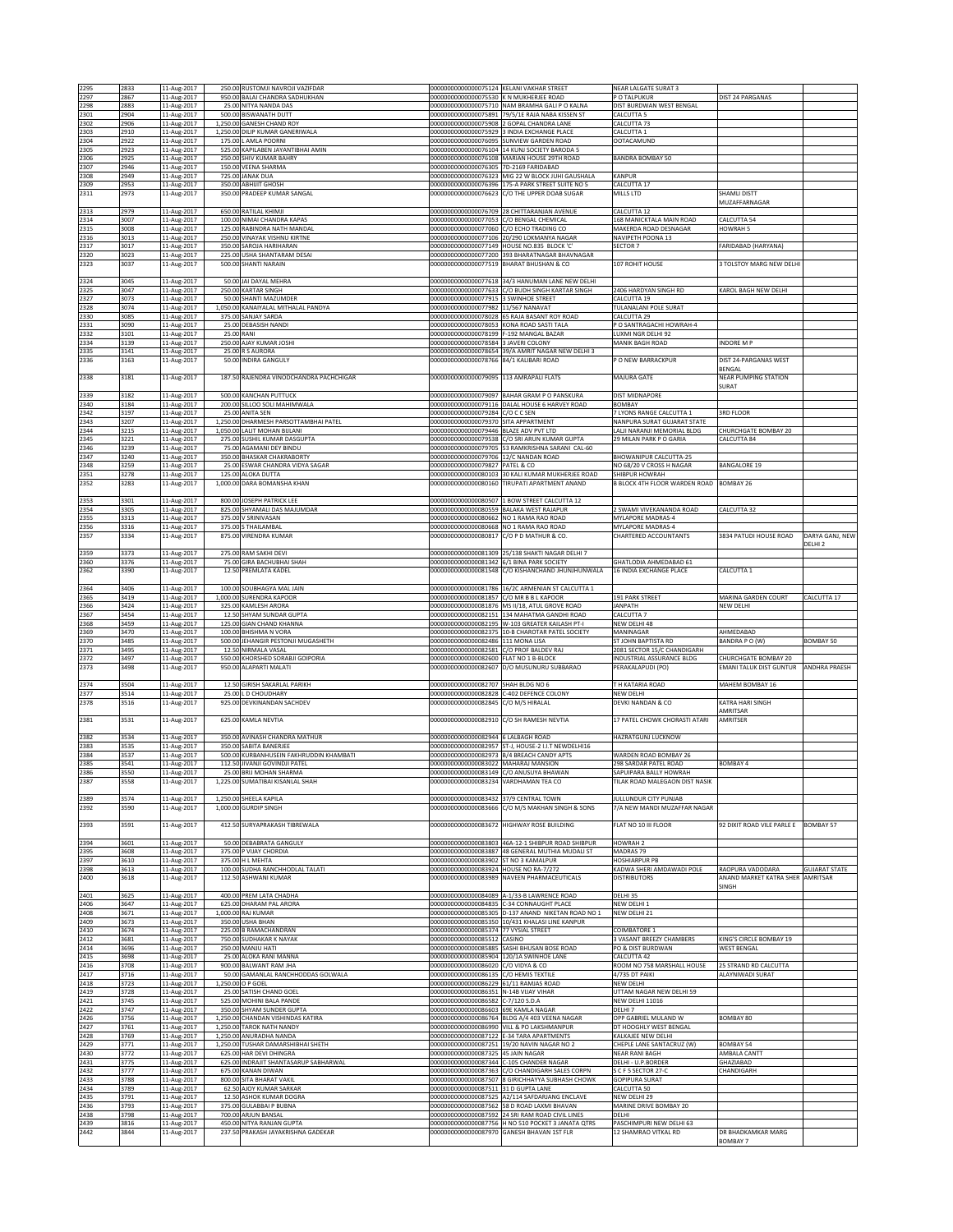| 2295         | 2833         | 11-Aug-2017                | 250.00 RUSTOMJI NAVROJI VAZIFDAR                              | 00000000000000075124 KELANI VAKHAR STREET                                          |                                                                                                        | <b>NEAR LALGATE SURAT 3</b>                              |                                                      |                                       |
|--------------|--------------|----------------------------|---------------------------------------------------------------|------------------------------------------------------------------------------------|--------------------------------------------------------------------------------------------------------|----------------------------------------------------------|------------------------------------------------------|---------------------------------------|
| 2297         | 2867         | 11-Aug-2017                | 950.00 BALAI CHANDRA SADHUKHAN                                | 00000000000000075530 K N MUKHERJEE ROAD                                            |                                                                                                        | P O TALPUKUR                                             | DIST 24 PARGANAS                                     |                                       |
| 2298         | 2883         | 11-Aug-2017                | 25.00 NITYA NANDA DAS                                         |                                                                                    | 00000000000000075710 NAM BRAMHA GALI P O KALNA                                                         | DIST BURDWAN WEST BENGAL                                 |                                                      |                                       |
| 2301         | 2904         | 11-Aug-2017                | 500.00 BISWANATH DUTT                                         | 0000000000000075891                                                                | 79/5/1E RAJA NABA KISSEN ST                                                                            | CALCUTTA 5                                               |                                                      |                                       |
| 2302         | 2906         | 11-Aug-2017                | 1.250.00 GANESH CHAND ROY<br>1,250.00 DILIP KUMAR GANERIWALA  | 00000000000000075908<br>00000000000000075929                                       | GOPAL CHANDRA LANE                                                                                     | CALCUTTA 73                                              |                                                      |                                       |
| 2303<br>2304 | 2910<br>2922 | 11-Aug-2017<br>11-Aug-2017 | 175.00 L AMLA POORNI                                          |                                                                                    | 3 INDIA EXCHANGE PLACE<br>00000000000000076095 SUNVIEW GARDEN ROAD                                     | CALCUTTA 1<br>OOTACAMUND                                 |                                                      |                                       |
| 2305         | 2923         | 11-Aug-2017                | 525.00 KAPILABEN JAYANTIBHAI AMIN                             |                                                                                    | 00000000000000076104 14 KUNJ SOCIETY BARODA 5                                                          |                                                          |                                                      |                                       |
| 2306         | 2925         | 11-Aug-2017                | 250.00 SHIV KUMAR BAHRY                                       |                                                                                    | 00000000000000076108 MARIAN HOUSE 29TH ROAD                                                            | <b>BANDRA BOMBAY 50</b>                                  |                                                      |                                       |
| 2307         | 2946         | 11-Aug-2017                | 150.00 VEENA SHARMA                                           | 00000000000000076305 7D-2169 FARIDABAD                                             |                                                                                                        |                                                          |                                                      |                                       |
| 2308         | 2949         | 11-Aug-2017                | 725.00 JANAK DUA                                              |                                                                                    | 00000000000000076323 MIG 22 W BLOCK JUHI GAUSHALA                                                      | <b>KANPUR</b>                                            |                                                      |                                       |
| 2309<br>2311 | 2953<br>2973 | 11-Aug-2017<br>11-Aug-2017 | 350.00 ABHIJIT GHOSH<br>350.00 PRADEEP KUMAR SANGAL           | 0000000000000076396<br>00000000000000076623                                        | 175-A PARK STREET SUITE NO 5<br>C/O THE UPPER DOAB SUGAR                                               | CALCUTTA 17<br>MILLS LTD                                 | <b>SHAMLI DISTT</b>                                  |                                       |
|              |              |                            |                                                               |                                                                                    |                                                                                                        |                                                          | <b>MUZAFFARNAGAR</b>                                 |                                       |
| 2313         | 2979         | 11-Aug-2017                | 650.00 RATILAL KHIMJI                                         |                                                                                    | 00000000000000076709 28 CHITTARANJAN AVENUE                                                            | CALCUTTA 12                                              |                                                      |                                       |
| 2314         | 3007         | 11-Aug-2017                | 100.00 NIMAI CHANDRA KAPAS                                    | 00000000000000077053                                                               | C/O BENGAL CHEMICAL                                                                                    | 168 MANICKTALA MAIN ROAD                                 | CALCUTTA 54                                          |                                       |
| 2315         | 3008         | 11-Aug-2017                | 125.00 RABINDRA NATH MANDAL                                   | 0000000000000077060                                                                | C/O ECHO TRADING CO                                                                                    | MAKERDA ROAD DESNAGAR                                    | <b>HOWRAH 5</b>                                      |                                       |
| 2316         | 3013         | 11-Aug-2017                | 250.00 VINAYAK VISHNU KIRTNE                                  |                                                                                    | 00000000000000077106 20/290 LOKMANYA NAGAR                                                             | NAVIPETH POONA 13                                        |                                                      |                                       |
| 2317<br>2320 | 3017<br>3023 | 11-Aug-2017<br>11-Aug-2017 | 350.00 SAROJA HARIHARAN<br>225.00 USHA SHANTARAM DESAI        | 00000000000000077200                                                               | 00000000000000077149 HOUSE NO.835 BLOCK 'C'<br>393 BHARATNAGAR BHAVNAGAR                               | SECTOR 7                                                 | FARIDABAD (HARYANA)                                  |                                       |
| 2323         | 3037         | 11-Aug-2017                | 500.00 SHANTI NARAIN                                          | 0000000000000077519                                                                | <b>BHARAT BHUSHAN &amp; CO</b>                                                                         | 107 ROHIT HOUSE                                          | 3 TOLSTOY MARG NEW DELHI                             |                                       |
|              |              |                            |                                                               |                                                                                    |                                                                                                        |                                                          |                                                      |                                       |
| 2324         | 3045         | 11-Aug-2017                | 50.00 JAI DAYAL MEHRA                                         |                                                                                    | 00000000000000077618 34/3 HANUMAN LANE NEW DELHI                                                       |                                                          |                                                      |                                       |
| 2325         | 3047         | 11-Aug-2017                | 250.00 KARTAR SINGH                                           |                                                                                    | 00000000000000077633 C/O BUDH SINGH KARTAR SINGH                                                       | 2406 HARDYAN SINGH RD                                    | KAROL BAGH NEW DELHI                                 |                                       |
| 2327<br>2328 | 3073<br>3074 | 11-Aug-2017                | 50.00 SHANTI MAZUMDER<br>1,050.00 KANAIYALAL MITHALAL PANDYA  | 00000000000000077915 3 SWINHOE STREET<br>00000000000000077982                      | 11/567 NANAVAT                                                                                         | CALCUTTA 19<br>TULANALANI POLE SURAT                     |                                                      |                                       |
| 2330         | 3085         | 11-Aug-2017<br>11-Aug-2017 | 375.00 SANJAY SARDA                                           |                                                                                    | 00000000000000078028 65 RAJA BASANT ROY ROAD                                                           | CALCUTTA 29                                              |                                                      |                                       |
| 2331         | 3090         | 11-Aug-2017                | 25.00 DEBASISH NANDI                                          | 00000000000000078053 KONA ROAD SASTI TALA                                          |                                                                                                        | P O SANTRAGACHI HOWRAH-4                                 |                                                      |                                       |
| 2332         | 3101         | 11-Aug-2017                | 25.00 RANI                                                    | 00000000000000078199 F-192 MANGAL BAZAR                                            |                                                                                                        | LUXMI NGR DELHI 92                                       |                                                      |                                       |
| 2334         | 3139         | 11-Aug-2017                | 250.00 AJAY KUMAR JOSHI                                       | 0000000000000078584                                                                | 3 JAVERI COLONY                                                                                        | MANIK BAGH ROAD                                          | <b>INDORE MP</b>                                     |                                       |
| 2335         | 3141         | 11-Aug-2017                | 25.00 R S AURORA                                              | 00000000000000078654                                                               | 39/A AMRIT NAGAR NEW DELHI 3                                                                           |                                                          |                                                      |                                       |
| 2336         | 3163         | 11-Aug-2017                | 50.00 INDIRA GANGULY                                          | 00000000000000078766                                                               | 84/1 KALIBARI ROAD                                                                                     | O NEW BARRACKPUR                                         | DIST 24-PARGANAS WEST<br>BENGAL                      |                                       |
| 2338         | 3181         | 11-Aug-2017                | 187.50 RAJENDRA VINODCHANDRA PACHCHIGAR                       | 00000000000000079095                                                               | 113 AMRAPALI FLATS                                                                                     | MAJURA GATE                                              | <b>NEAR PUMPING STATION</b>                          |                                       |
|              |              |                            |                                                               |                                                                                    |                                                                                                        |                                                          | SURAT                                                |                                       |
| 2339         | 3182         | 11-Aug-2017                | 500.00 KANCHAN PUTTUCK                                        |                                                                                    | 00000000000000079097 BAHAR GRAM P O PANSKURA                                                           | DIST MIDNAPORE                                           |                                                      |                                       |
| 2340         | 3184         | 11-Aug-2017                | 200.00 SILLOO SOLI MAHIMWALA                                  |                                                                                    | 00000000000000079116 DALAL HOUSE 6 HARVEY ROAD                                                         | <b>BOMBAY</b>                                            |                                                      |                                       |
| 2342<br>2343 | 3197<br>3207 | 11-Aug-2017                | 25.00 ANITA SEN<br>1,250.00 DHARMESH PARSOTTAMBHAI PATEL      | 00000000000000079284<br>00000000000000079370 SITA APPARTMENT                       | C/O C C SEN                                                                                            | LYONS RANGE CALCUTTA 1<br>NANPURA SURAT GUJARAT STATE    | 3RD FLOOR                                            |                                       |
| 2344         | 3215         | 11-Aug-2017<br>11-Aug-2017 | 1,050.00 LALIT MOHAN BIJLANI                                  | 00000000000000079446 BLAZE ADV PVT LTD                                             |                                                                                                        | LALJI NARANJI MEMORIAL BLDG                              | CHURCHGATE BOMBAY 20                                 |                                       |
| 2345         | 3221         | 11-Aug-2017                | 275.00 SUSHIL KUMAR DASGUPTA                                  | 0000000000000079538                                                                | C/O SRI ARUN KUMAR GUPTA                                                                               | 29 MILAN PARK P O GARIA                                  | CALCUTTA 84                                          |                                       |
| 2346         | 3239         | 11-Aug-2017                | 75.00 AGAMANI DEY BINDU                                       | 00000000000000079705                                                               | 53 RAMKRISHNA SARANI CAL-60                                                                            |                                                          |                                                      |                                       |
| 2347         | 3240         | 11-Aug-2017                | 350.00 BHASKAR CHAKRABORTY                                    | 00000000000000079706                                                               | 12/C NANDAN ROAD                                                                                       | <b>BHOWANIPUR CALCUTTA-25</b>                            |                                                      |                                       |
| 2348         | 3259         | 11-Aug-2017                | 25.00 ESWAR CHANDRA VIDYA SAGAR                               | 00000000000000079827 PATEL & CO                                                    |                                                                                                        | NO 68/20 V CROSS H NAGAR                                 | <b>BANGALORE 19</b>                                  |                                       |
| 2351<br>2352 | 3278<br>3283 | 11-Aug-2017<br>11-Aug-2017 | 125.00 ALOKA DUTTA<br>1,000.00 DARA BOMANSHA KHAN             | 00000000000000080103<br>00000000000000080160                                       | 30 KALI KUMAR MUKHERJEE ROAD<br>TIRUPATI APARTMENT ANAND                                               | SHIBPUR HOWRAH<br><b>BLOCK 4TH FLOOR WARDEN ROAD</b>     | <b>BOMBAY 26</b>                                     |                                       |
|              |              |                            |                                                               |                                                                                    |                                                                                                        |                                                          |                                                      |                                       |
| 2353         | 3301         | 11-Aug-2017                | 800.00 JOSEPH PATRICK LEE                                     |                                                                                    | 000000000000000080507 1 BOW STREET CALCUTTA 12                                                         |                                                          |                                                      |                                       |
| 2354         | 3305         | 11-Aug-2017                | 825.00 SHYAMALI DAS MAJUMDAR                                  | 00000000000000080559                                                               | <b>BALAKA WEST RAJAPUR</b>                                                                             | 2 SWAMI VIVEKANANDA ROAD                                 | CALCUTTA 32                                          |                                       |
| 2355         | 3313         | 11-Aug-2017                | 375.00 V SRINIVASAN                                           | 00000000000000080662                                                               | NO 1 RAMA RAO ROAD                                                                                     | MYLAPORE MADRAS-4                                        |                                                      |                                       |
| 2356         | 3316         | 11-Aug-2017                | 375.00 S THAILAMBAL                                           | 00000000000000080668                                                               | NO 1 RAMA RAO ROAD<br>C/O P D MATHUR & CO                                                              | MYLAPORE MADRAS-4                                        |                                                      |                                       |
| 2357         | 3334         | 11-Aug-2017                | 875.00 VIRENDRA KUMAR                                         | 00000000000000080817                                                               |                                                                                                        | CHARTERED ACCOUNTANTS                                    | 3834 PATUDI HOUSE ROAD                               | DARYA GANJ, NEW<br>DELHI <sub>2</sub> |
| 2359         | 3373         | 11-Aug-2017                | 275.00 RAM SAKHI DEVI                                         | 00000000000000081309                                                               | 25/138 SHAKTI NAGAR DELHI 7                                                                            |                                                          |                                                      |                                       |
| 2360         | 3376         | 11-Aug-2017                | 75.00 GIRA BACHUBHAI SHAH                                     | 00000000000000081342                                                               | 6/1 BINA PARK SOCIETY                                                                                  | <b>GHATLODIA AHMEDABAD 61</b>                            |                                                      |                                       |
| 2362         | 3390         | 11-Aug-2017                | 12.50 PREMLATA KADEL                                          | 00000000000000081548                                                               | C/O KISHANCHAND JHUNJHUNWALA                                                                           | 16 INDIA EXCHANGE PLACE                                  | CALCUTTA 1                                           |                                       |
|              |              |                            |                                                               |                                                                                    |                                                                                                        |                                                          |                                                      |                                       |
| 2364<br>2365 | 3406<br>3419 | 11-Aug-2017<br>11-Aug-2017 | 100.00 SOUBHAGYA MAL JAIN<br>1,000.00 SURENDRA KAPOOR         | 0000000000000081857                                                                | 00000000000000081786 16/2C ARMENIAN ST CALCUTTA 1<br>C/O MR B B L KAPOOR                               | 191 PARK STREET                                          | MARINA GARDEN COURT                                  | CALCUTTA 17                           |
| 2366         | 3424         | 11-Aug-2017                | 325.00 KAMLESH ARORA                                          |                                                                                    | 00000000000000081876 MS II/18, ATUL GROVE ROAD                                                         | <b>JANPATH</b>                                           | <b>NEW DELHI</b>                                     |                                       |
| 2367         | 3454         | 11-Aug-2017                | 12.50 SHYAM SUNDAR GUPTA                                      |                                                                                    | 00000000000000082151 134 MAHATMA GANDHI ROAD                                                           | CALCUTTA 7                                               |                                                      |                                       |
| 2368         | 3459         | 11-Aug-2017                | 125.00 GIAN CHAND KHANNA                                      |                                                                                    | 00000000000000082195 W-103 GREATER KAILASH PT-I                                                        | NEW DELHI 48                                             |                                                      |                                       |
| 2369         | 3470         | 11-Aug-2017                | 100.00 BHISHMA N VORA                                         |                                                                                    | 000000000000000082375 10-B CHAROTAR PATEL SOCIETY                                                      | MANINAGAR                                                | AHMEDABAD                                            |                                       |
| 2370         | 3485         | 11-Aug-2017                | 500.00 JEHANGIR PESTONJI MUGASHETH                            | 00000000000000082486                                                               | 111 MONA LISA                                                                                          | ST JOHN BAPTISTA RD                                      | BANDRA P O (W)                                       | BOMBAY 50                             |
| 2371<br>2372 | 3495<br>3497 | 11-Aug-2017<br>11-Aug-2017 | 12.50 NIRMALA VASAL<br>550.00 KHORSHED SORABJI GOIPORIA       | 00000000000000082581 C/O PROF BALDEV RAJ<br>00000000000000082600 FLAT NO 1 B-BLOCK |                                                                                                        | 2081 SECTOR 15/C CHANDIGARH<br>INDUSTRIAL ASSURANCE BLDG | CHURCHGATE BOMBAY 20                                 |                                       |
| 2373         | 3498         | 11-Aug-2017                | 950.00 ALAPARTI MALATI                                        | 00000000000000082607                                                               | D/O MUSUNURU SUBBARAO                                                                                  | PERAKALAPUDI (PO)                                        | <b>EMANI TALUK DIST GUNTUR</b>                       | ANDHRA PRAESH                         |
|              |              |                            |                                                               |                                                                                    |                                                                                                        |                                                          |                                                      |                                       |
| 2374         | 3504         | 11-Aug-2017                | 12.50 GIRISH SAKARLAL PARIKH                                  | 00000000000000082707 SHAH BLDG NO 6                                                |                                                                                                        | T H KATARIA ROAD                                         | MAHEM BOMBAY 16                                      |                                       |
| 2377         | 3514         | 11-Aug-2017                | 25.00 L D CHOUDHARY                                           | 00000000000000082828<br>00000000000000082845                                       | C-402 DEFENCE COLONY                                                                                   | NEW DELHI<br>DEVKI NANDAN & CO                           |                                                      |                                       |
| 2378         | 3516         | 11-Aug-2017                | 925.00 DEVKINANDAN SACHDEV                                    |                                                                                    | C/O M/S HIRALAL                                                                                        |                                                          | KATRA HARI SINGH<br>AMRITSAF                         |                                       |
| 2381         | 3531         | 11-Aug-2017                | 625.00 KAMLA NEVTIA                                           | 00000000000000082910 C/O SH RAMESH NEVTIA                                          |                                                                                                        | 17 PATEL CHOWK CHORASTI ATARI                            | <b>AMRITSER</b>                                      |                                       |
|              |              |                            |                                                               |                                                                                    |                                                                                                        |                                                          |                                                      |                                       |
| 2382         | 3534         | 11-Aug-2017                | 350.00 AVINASH CHANDRA MATHUR                                 | 00000000000000082944 6 LALBAGH ROAD                                                |                                                                                                        | HAZRATGUNJ LUCKNOW                                       |                                                      |                                       |
| 2383         | 3535         | 11-Aug-2017                | 350.00 SABITA BANERJEE                                        | 00000000000000082957                                                               | ST-J. HOUSE-2 I.I.T NEWDELHI16                                                                         |                                                          |                                                      |                                       |
| 2384         | 3537         | 11-Aug-2017                | 500.00 KURBANHUSEIN FAKHRUDDIN KHAMBATI                       |                                                                                    | 00000000000000082973 B/4 BREACH CANDY APTS                                                             | WARDEN ROAD BOMBAY 26<br>298 SARDAR PATEL ROAD           |                                                      |                                       |
| 2385<br>2386 | 3541<br>3550 | 11-Aug-2017<br>11-Aug-2017 | 112.50 JIVANJI GOVINDJI PATEL<br>25.00 BRIJ MOHAN SHARMA      | 00000000000000083022 MAHARAJ MANSION<br>000000000000000083149 C/O ANUSUYA BHAWAN   |                                                                                                        | SAPUIPARA BALLY HOWRAH                                   | BOMBAY 4                                             |                                       |
| 2387         | 3558         | 11-Aug-2017                | 1,225.00 SUMATIBAI KISANLAL SHAH                              | 000000000000000083234 VARDHAMAN TEA CO                                             |                                                                                                        | TILAK ROAD MALEGAON DIST NASIK                           |                                                      |                                       |
|              |              |                            |                                                               |                                                                                    |                                                                                                        |                                                          |                                                      |                                       |
| 2389         | 3574         | 11-Aug-2017                | 1,250.00 SHEELA KAPILA                                        | 00000000000000083432 37/9 CENTRAL TOWN                                             |                                                                                                        | JULLUNDUR CITY PUNJAB                                    |                                                      |                                       |
| 2392         | 3590         | 11-Aug-2017                | 1,000.00 GURDIP SINGH                                         | 00000000000000083666                                                               | C/O M/S MAKHAN SINGH & SONS                                                                            | 7/A NEW MANDI MUZAFFAR NAGAR                             |                                                      |                                       |
| 2393         | 3591         | 11-Aug-2017                | 412.50 SURYAPRAKASH TIBREWALA                                 | 00000000000000083672                                                               | HIGHWAY ROSE BUILDING                                                                                  | FLAT NO 10 III FLOOR                                     | 92 DIXIT ROAD VILE PARLE E                           | <b>BOMBAY 57</b>                      |
|              |              |                            |                                                               |                                                                                    |                                                                                                        |                                                          |                                                      |                                       |
| 2394         | 3601         | 11-Aug-2017                | 50.00 DEBABRATA GANGULY                                       |                                                                                    | 00000000000000083803 46A-12-1 SHIBPUR ROAD SHIBPUR                                                     | HOWRAH <sub>2</sub>                                      |                                                      |                                       |
| 2395         | 3608         | 11-Aug-2017                | 375.00 P VIJAY CHORDIA                                        |                                                                                    | 000000000000000083887 48 GENERAL MUTHIA MUDALI ST                                                      | MADRAS 79                                                |                                                      |                                       |
| 2397         | 3610         | 11-Aug-2017                | 375.00 H L MEHTA                                              | 00000000000000083902 ST NO 3 KAMALPUR                                              |                                                                                                        | <b>HOSHIARPUR PB</b>                                     |                                                      |                                       |
| 2398<br>2400 | 3613<br>3618 | 11-Aug-2017<br>11-Aug-2017 | 100.00 SUDHA RANCHHODLAL TALATI<br>112.50 ASHWANI KUMAR       | 00000000000000083924 HOUSE NO RA-7/272                                             | 00000000000000083989 NAVEEN PHARMACEUTICALS                                                            | KADWA SHERI AMDAWADI POLE<br><b>DISTRIBUTORS</b>         | RAOPURA VADODARA<br>ANAND MARKET KATRA SHER AMRITSAR | <b>GUJARAT STATE</b>                  |
|              |              |                            |                                                               |                                                                                    |                                                                                                        |                                                          | SINGH                                                |                                       |
| 2401         | 3625         | 11-Aug-2017                | 400.00 PREM LATA CHADHA                                       |                                                                                    | 00000000000000084089 A-1/33-B LAWRENCE ROAD                                                            | DELHI 35                                                 |                                                      |                                       |
| 2406         | 3647         | 11-Aug-2017                | 625.00 DHARAM PAL ARORA                                       |                                                                                    | 00000000000000084835 C-34 CONNAUGHT PLACE                                                              | NEW DELHI 1                                              |                                                      |                                       |
| 2408         | 3671         | 11-Aug-2017                | 1,000.00 RAJ KUMAR<br>350.00 USHA BHAN                        |                                                                                    | 000000000000000085305 D-137 ANAND NIKETAN ROAD NO 1<br>00000000000000085350 10/431 KHALASI LINE KANPUR | NEW DELHI 21                                             |                                                      |                                       |
| 2409<br>2410 | 3673<br>3674 | 11-Aug-2017<br>11-Aug-2017 | 225.00 B RAMACHANDRAN                                         | 00000000000000085374                                                               | 77 VYSIAL STREET                                                                                       | COIMBATORE 1                                             |                                                      |                                       |
| 2412         | 3681         | 11-Aug-2017                | 750.00 SUDHAKAR K NAYAK                                       | 00000000000000085512                                                               | CASINO                                                                                                 | 3 VASANT BREEZY CHAMBERS                                 | KING'S CIRCLE BOMBAY 19                              |                                       |
| 2414         | 3696         | 11-Aug-2017                | 250.00 MANJU HATI                                             |                                                                                    | 00000000000000085885 SASHI BHUSAN BOSE ROAD                                                            | PO & DIST BURDWAN                                        | <b>WEST BENGAL</b>                                   |                                       |
| 2415         | 3698         | 11-Aug-2017                | 25.00 ALOKA RANI MANNA                                        | 00000000000000085904 120/1A SWINHOE LANE                                           |                                                                                                        | CALCUTTA 42                                              |                                                      |                                       |
| 2416         | 3708         | 11-Aug-2017                | 900.00 BALWANT RAM JHA                                        | 00000000000000086020                                                               | C/O VIDYA & CO                                                                                         | ROOM NO 758 MARSHALL HOUSE                               | 25 STRAND RD CALCUTTA                                |                                       |
| 2417         | 3716<br>3723 | 11-Aug-2017                | 50.00 GAMANLAL RANCHHODDAS GOLWALA<br>1,250.00 O P GOEL       | 00000000000000086135 C/O HEMIS TEXTILE<br>00000000000000086229 61/11 RAMJAS ROAD   |                                                                                                        | 4/735 DT PAIKI<br>NEW DELHI                              | ALAYNIWADI SURAT                                     |                                       |
| 2418<br>2419 | 3728         | 11-Aug-2017<br>11-Aug-2017 | 25.00 SATISH CHAND GOEL                                       | 000000000000000086351 N-14B VIJAY VIHAR                                            |                                                                                                        | UTTAM NAGAR NEW DELHI 59                                 |                                                      |                                       |
| 2421         | 3745         | 11-Aug-2017                | 525.00 MOHINI BALA PANDE                                      | 00000000000000086582                                                               | C-7/120 S.D.A                                                                                          | NEW DELHI 11016                                          |                                                      |                                       |
| 2422         | 3747         | 11-Aug-2017                | 350.00 SHYAM SUNDER GUPTA                                     | 00000000000000086603 69E KAMLA NAGAR                                               |                                                                                                        | DELHI 7                                                  |                                                      |                                       |
| 2426         | 3756         | 11-Aug-2017                | 1,250.00 CHANDAN VISHINDAS KATIRA                             |                                                                                    | 00000000000000086764 BLDG A/4 403 VEENA NAGAR                                                          | OPP GABRIEL MULAND W                                     | BOMBAY 80                                            |                                       |
| 2427         | 3761         | 11-Aug-2017                | 1,250.00 TAROK NATH NANDY                                     |                                                                                    | 000000000000000086990 VILL & PO LAKSHMANPUR                                                            | DT HOOGHLY WEST BENGAL                                   |                                                      |                                       |
| 2428         |              | 11-Aug-2017                | 1,250.00 ANURADHA NANDA<br>1,250.00 TUSHAR DAMARSHIBHAI SHETH | 00000000000000087122 E-34 TARA APARTMENTS                                          | 00000000000000087251 19/20 NAVIN NAGAR NO 2                                                            | KALKAJEE NEW DELHI<br>CHEPLE LANE SANTACRUZ (W)          | <b>BOMBAY 54</b>                                     |                                       |
|              | 3769         |                            |                                                               | 00000000000000087325 45 JAIN NAGAR                                                 |                                                                                                        | NEAR RANI BAGH                                           | AMBALA CANTT                                         |                                       |
| 2429<br>2430 | 3771<br>3772 | 11-Aug-2017                | 625.00 HAR DEVI DHINGRA                                       |                                                                                    |                                                                                                        |                                                          |                                                      |                                       |
| 2431         | 3775         | 11-Aug-2017<br>11-Aug-2017 | 625.00 INDRAJIT SHANTASARUP SABHARWAL                         | 00000000000000087344 C-105 CHANDER NAGAR                                           |                                                                                                        | DELHI - U.P.BORDER                                       | GHAZIABAD                                            |                                       |
| 2432         | 3777         | 11-Aug-2017                | 675.00 KANAN DIWAN                                            |                                                                                    | 00000000000000087363 C/O CHANDIGARH SALES CORPN                                                        | CF5 SECTOR 27-C                                          | CHANDIGARH                                           |                                       |
| 2433         | 3788         | 11-Aug-2017                | 800.00 SITA BHARAT VAKIL                                      |                                                                                    | 00000000000000087507 8 GIRICHHAYYA SUBHASH CHOWK                                                       | <b>GOPIPURA SURAT</b>                                    |                                                      |                                       |
| 2434         | 3789         | 11-Aug-2017                | 62.50 AJOY KUMAR SARKAR                                       | 00000000000000087511 31 D GUPTA LANE                                               |                                                                                                        | CALCUTTA 50                                              |                                                      |                                       |
| 2435<br>2436 | 3791<br>3793 | 11-Aug-2017                | 12.50 ASHOK KUMAR DOGRA                                       |                                                                                    | 00000000000000087525 A2/114 SAFDARJANG ENCLAVE<br>00000000000000087562 58 D ROAD LAXMI BHAVAN          | NEW DELHI 29                                             |                                                      |                                       |
| 2438         | 3798         | 11-Aug-2017<br>11-Aug-2017 | 375.00 GULABBAI P BUBNA<br>700.00 ARJUN BANSAL                |                                                                                    | 00000000000000087592 24 SRI RAM ROAD CIVIL LINES                                                       | MARINE DRIVE BOMBAY 20<br>DELHI                          |                                                      |                                       |
| 2439         | 3816         | 11-Aug-2017                | 450.00 NITYA RANJAN GUPTA                                     |                                                                                    | 00000000000000087756 H NO 510 POCKET 3 JANATA QTRS                                                     | PASCHIMPURI NEW DELHI 63                                 |                                                      |                                       |
| 2442         | 3844         | 11-Aug-2017                | 237.50 PRAKASH JAYAKRISHNA GADEKAR                            |                                                                                    | 00000000000000087970 GANESH BHAVAN 1ST FLR                                                             | 12 SHAMRAO VITKAL RD                                     | DR BHADKAMKAR MARG<br><b>BOMBAY 7</b>                |                                       |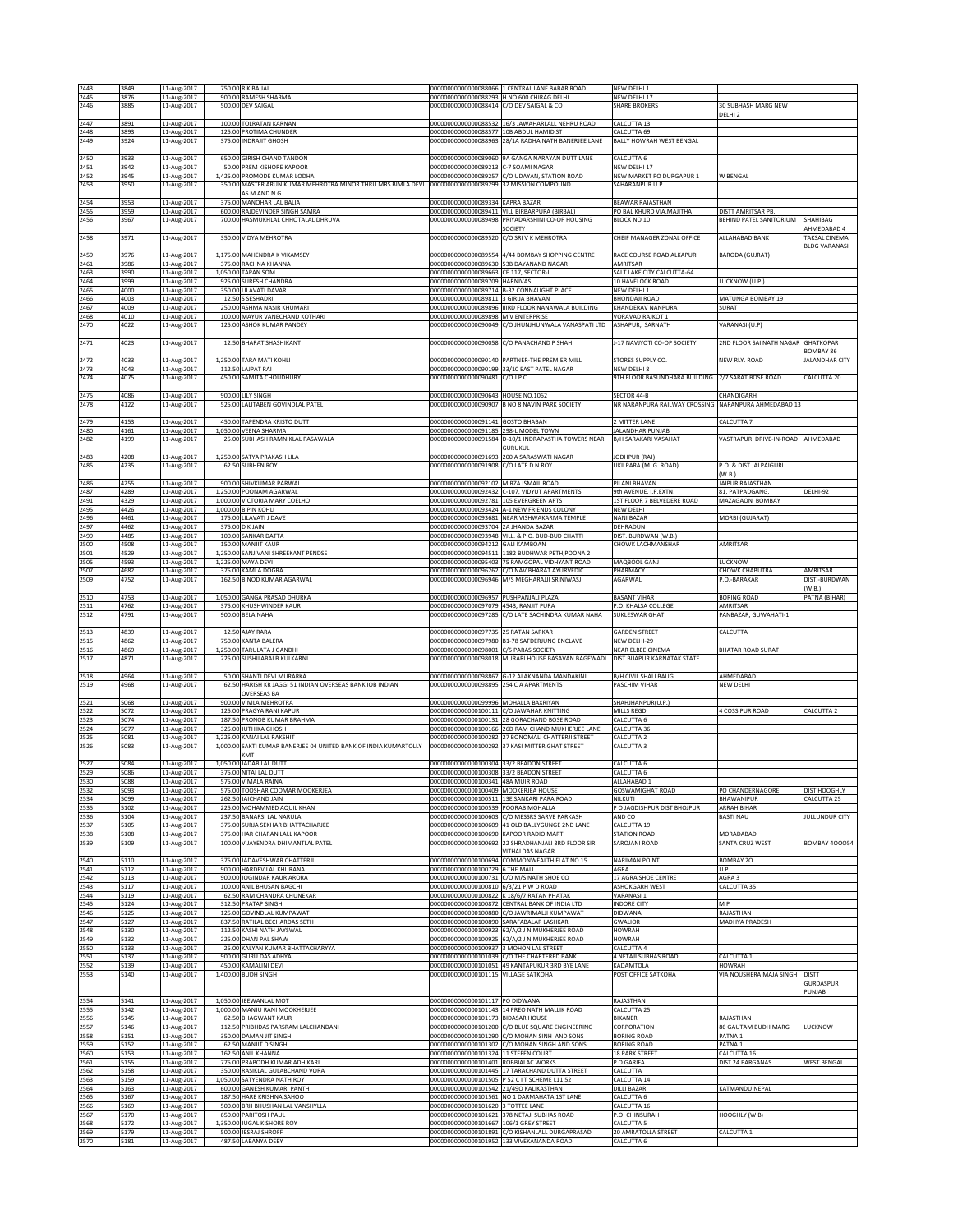| 2443         | 3849         | 11-Aug-2017                | 750.00 R K BAIJAL                                                                              |                                                                                    | 00000000000000088066 1 CENTRAL LANE BABAR ROAD                                                         | NEW DELHI 1                                  |                                         |                         |
|--------------|--------------|----------------------------|------------------------------------------------------------------------------------------------|------------------------------------------------------------------------------------|--------------------------------------------------------------------------------------------------------|----------------------------------------------|-----------------------------------------|-------------------------|
| 2445         | 3876         | 11-Aug-2017                | 900.00 RAMESH SHARMA                                                                           | 000000000000000088293 H NO 600 CHIRAG DELHI                                        |                                                                                                        | NEW DELHI 17                                 |                                         |                         |
| 2446         | 3885         | 11-Aug-2017                | 500.00 DEV SAIGAL                                                                              | 00000000000000088414 C/O DEV SAIGAL & CO                                           |                                                                                                        | <b>SHARE BROKERS</b>                         | 30 SUBHASH MARG NEW<br>DELHI 2          |                         |
| 2447         | 3891         | 11-Aug-2017                | 100.00 TOLRATAN KARNANI                                                                        |                                                                                    | 000000000000000088532 16/3 JAWAHARLALL NEHRU ROAD                                                      | CALCUTTA 13                                  |                                         |                         |
| 2448         | 3893         | 11-Aug-2017                | 125.00 PROTIMA CHUNDER                                                                         | 00000000000000088577 10B ABDUL HAMID ST                                            |                                                                                                        | CALCUTTA 69                                  |                                         |                         |
| 2449         | 3924         | 11-Aug-2017                | 375.00 INDRAJIT GHOSH                                                                          |                                                                                    | 000000000000000088963 28/1A RADHA NATH BANERJEE LANE                                                   | BALLY HOWRAH WEST BENGAL                     |                                         |                         |
| 2450         | 3933         | 11-Aug-2017                | 650.00 GIRISH CHAND TANDON                                                                     |                                                                                    | 00000000000000089060 9A GANGA NARAYAN DUTT LANE                                                        | CALCUTTA 6                                   |                                         |                         |
| 2451         | 3942         | 11-Aug-2017                | 50.00 PREM KISHORE KAPOOR                                                                      | 00000000000000089213 C-7 SOAMI NAGAR                                               |                                                                                                        | NFW DELHL17                                  |                                         |                         |
| 2452         | 3945         | 11-Aug-2017                | 1,425.00 PROMODE KUMAR LODHA<br>350.00 MASTER ARUN KUMAR MEHROTRA MINOR THRU MRS BIMLA DEVI    | 00000000000000089299 32 MISSION COMPOUND                                           | 00000000000000089257 C/O UDAYAN, STATION ROAD                                                          | NEW MARKET PO DURGAPUR 1                     | W BENGAL                                |                         |
| 2453         | 3950         | 11-Aug-2017                | AS M AND N G                                                                                   |                                                                                    |                                                                                                        | SAHARANPUR U.P.                              |                                         |                         |
| 2454         | 3953         | 11-Aug-2017                | 375.00 MANOHAR LAL BALIA                                                                       | 00000000000000089334 KAPRA BAZAR                                                   |                                                                                                        | BEAWAR RAJASTHAN                             |                                         |                         |
| 2455         | 3959         | 11-Aug-2017                | 600.00 RAJDEVINDER SINGH SAMRA                                                                 | 00000000000000089411                                                               | VILL BIRBARPURA (BIRBAL)                                                                               | PO BAL KHURD VIA.MAJITHA                     | ISTT AMRITSAR PB.                       |                         |
| 2456         | 3967         | 11-Aug-2017                | 700.00 HASMUKHLAL CHHOTALAL DHRUVA                                                             |                                                                                    | 000000000000000089498 PRIYADARSHINI CO-OP HOUSING<br>SOCIETY                                           | BLOCK NO 10                                  | BEHIND PATEL SANITORIUM                 | SHAHIBAG<br>AHMEDABAD 4 |
| 2458         | 3971         | 11-Aug-2017                | 350.00 VIDYA MEHROTRA                                                                          | 00000000000000089520                                                               | C/O SRI V K MEHROTRA                                                                                   | CHEIF MANAGER ZONAL OFFICE                   | AI LAHARAD RANK                         | TAKSAL CINEMA           |
|              |              |                            |                                                                                                |                                                                                    |                                                                                                        |                                              |                                         | <b>BLDG VARANASI</b>    |
| 2459<br>2461 | 3976<br>3986 | 11-Aug-2017<br>11-Aug-2017 | 1,175.00 MAHENDRA K VIKAMSEY<br>375.00 RACHNA KHANNA                                           | 000000000000000089630 53B DAYANAND NAGAR                                           | 00000000000000089554 4/44 BOMBAY SHOPPING CENTRE                                                       | RACE COURSE ROAD ALKAPURI<br>AMRITSAR        | <b>BARODA (GUJRAT)</b>                  |                         |
| 2463         | 3990         | 11-Aug-2017                | 1,050.00 TAPAN SOM                                                                             | 00000000000000089663                                                               | CE 117, SECTOR-I                                                                                       | SALT LAKE CITY CALCUTTA-64                   |                                         |                         |
| 2464         | 3999         | 11-Aug-2017                | 925.00 SURESH CHANDRA                                                                          | 0000000000000089709                                                                | HARNIVAS                                                                                               | 10 HAVELOCK ROAD                             | UCKNOW (U.P.)                           |                         |
| 2465<br>2466 | 4000<br>4003 | 11-Aug-2017<br>11-Aug-2017 | 350.00 LILAVATI DAVAR<br>12.50 S SESHADRI                                                      | 000000000000000089811 3 GIRIJA BHAVAN                                              | 000000000000000089714 B-32 CONNAUGHT PLACE                                                             | NEW DELHI 1<br><b>BHONDAJI ROAD</b>          | MATUNGA BOMBAY 19                       |                         |
| 2467         | 4009         | 11-Aug-2017                | 250.00 ASHMA NASIR KHUMARI                                                                     |                                                                                    | 000000000000000089896 IIIRD FLOOR NANAWALA BUILDING                                                    | KHANDERAV NANPURA                            | SURAT                                   |                         |
| 2468         | 4010         | 11-Aug-2017                | 100.00 MAYUR VANECHAND KOTHARI                                                                 | 00000000000000089898 M V ENTERPRISE                                                |                                                                                                        | <b>VORAVAD RAJKOT 1</b>                      |                                         |                         |
| 2470         | 4022         | 11-Aug-2017                | 125.00 ASHOK KUMAR PANDEY                                                                      |                                                                                    | 00000000000000090049 C/O JHUNJHUNWALA VANASPATI LTD                                                    | ASHAPUR, SARNATH                             | VARANASI (U.P)                          |                         |
| 2471         | 4023         | 11-Aug-2017                | 12.50 BHARAT SHASHIKANT                                                                        |                                                                                    | 00000000000000090058 C/O PANACHAND P SHAH                                                              | J-17 NAVJYOTI CO-OP SOCIETY                  | 2ND FLOOR SAI NATH NAGAR GHATKOPAR      |                         |
|              |              |                            |                                                                                                |                                                                                    |                                                                                                        |                                              |                                         | <b>SOMBAY 86</b>        |
| 2472         | 4033         | 11-Aug-2017                | 1,250.00 TARA MATI KOHLI                                                                       |                                                                                    | 00000000000000090140 PARTNER-THE PREMIER MILL                                                          | STORES SUPPLY CO.                            | <b>IEW RLY. ROAD</b>                    | JALANDHAR CITY          |
| 2473<br>2474 | 4043<br>4075 | 11-Aug-2017<br>11-Aug-2017 | 112.50 LAJPAT RAI<br>450.00 SAMITA CHOUDHURY                                                   | 0000000000000090199<br>00000000000000090481 C/O J P C                              | 33/10 EAST PATEL NAGAR                                                                                 | NEW DELHI 8<br>9TH FLOOR BASUNDHARA BUILDING | 2/7 SARAT BOSE ROAD                     | CALCUTTA 20             |
|              |              |                            |                                                                                                |                                                                                    |                                                                                                        |                                              |                                         |                         |
| 2475         | 4086         | 11-Aug-2017                | 900.00 LILY SINGH                                                                              | 00000000000000090643 HOUSE NO.1062                                                 |                                                                                                        | SECTOR 44-B                                  | <b>CHANDIGARH</b>                       |                         |
| 2478         | 4122         | 11-Aug-2017                | 525.00 LALITABEN GOVINDLAL PATEL                                                               |                                                                                    | 00000000000000090907 B NO 8 NAVIN PARK SOCIETY                                                         | NR NARANPURA RAILWAY CROSSING                | NARANPURA AHMEDABAD 13                  |                         |
| 2479         | 4153         | 11-Aug-2017                | 450.00 TAPENDRA KRISTO DUTT                                                                    | 00000000000000091141 GOSTO BHABAN                                                  |                                                                                                        | 2 MITTER LANE                                | CALCUTTA 7                              |                         |
| 2480         | 4161         | 11-Aug-2017                | 1,050.00 VEENA SHARMA                                                                          | 0000000000000091185                                                                | 298-L MODEL TOWN                                                                                       | JALANDHAR PUNJAB                             |                                         |                         |
| 2482         | 4199         | 11-Aug-2017                | 25.00 SUBHASH RAMNIKLAL PASAWALA                                                               |                                                                                    | 00000000000000091584 D-10/1 INDRAPASTHA TOWERS NEAR<br>GURUKUL                                         | B/H SARAKARI VASAHAT                         | VASTRAPUR DRIVE-IN-ROAD AHMEDABAD       |                         |
| 2483         | 4208         | 11-Aug-2017                | 1,250.00 SATYA PRAKASH LILA                                                                    |                                                                                    | 00000000000000091693 200 A SARASWATI NAGAR                                                             | JODHPUR (RAJ)                                |                                         |                         |
| 2485         | 4235         | 11-Aug-2017                | 62.50 SUBHEN ROY                                                                               | 00000000000000091908 C/O LATE D N ROY                                              |                                                                                                        | UKILPARA (M. G. ROAD)                        | .O. & DIST.JALPAIGURI                   |                         |
| 2486         | 4255         |                            | 900.00 SHIVKUMAR PARWAL                                                                        | 00000000000000092102 MIRZA ISMAIL ROAD                                             |                                                                                                        | PILANI RHAVAN                                | W.B.)<br>AIPUR RAJASTHAN                |                         |
| 2487         | 4289         | 11-Aug-2017<br>11-Aug-2017 | 1,250.00 POONAM AGARWAL                                                                        |                                                                                    | 00000000000000092432 C-107, VIDYUT APARTMENTS                                                          | 9th AVENUE, I.P.EXTN                         | <b>31. PATPADGANG.</b>                  | DELHI-92                |
| 2491         | 4329         | 11-Aug-2017                | 1,000.00 VICTORIA MARY COELHO                                                                  | 0000000000000092781                                                                | 105 EVERGREEN APTS                                                                                     | 1ST FLOOR 7 BELVEDERE ROAD                   | <b>MAZAGAON BOMBAY</b>                  |                         |
| 2495         | 4426         | 11-Aug-2017                | 1,000.00 BIPIN KOHLI                                                                           |                                                                                    | 00000000000000093424 A-1 NEW FRIENDS COLONY<br>00000000000000093681 NEAR VISHWAKARMA TEMPLE            | NEW DELHI<br><b>NANI BAZAR</b>               |                                         |                         |
| 2496<br>2497 | 4461<br>4462 | 11-Aug-2017<br>11-Aug-2017 | 175.00 LILAVATI J DAVE<br>375.00 D K JAIN                                                      | 00000000000000093704                                                               | 2A JHANDA BAZAR                                                                                        | DEHRADUN                                     | MORBI (GUJARAT)                         |                         |
| 2499         | 4485         | 11-Aug-2017                | 100.00 SANKAR DATTA                                                                            |                                                                                    | 00000000000000093948 VILL. & P.O. BUD-BUD CHATTI                                                       | DIST, BURDWAN (W.B.                          |                                         |                         |
| 2500         | 4508         | 11-Aug-2017                | 150.00 MANJIT KAUR                                                                             | 00000000000000094212 GALI KAMBOAN                                                  |                                                                                                        | CHOWK LACHMANSHAR                            | AMRITSAR                                |                         |
| 2501<br>2505 | 4529<br>4593 | 11-Aug-2017<br>11-Aug-2017 | 1,250.00 SANJIVANI SHREEKANT PENDSE<br>1,225.00 MAYA DEVI                                      |                                                                                    | 00000000000000094511 1182 BUDHWAR PETH, POONA 2<br>00000000000000095403 75 RAMGOPAL VIDHYANT ROAD      | MAQBOOL GANJ                                 | LUCKNOW                                 |                         |
| 2507         | 4682         | 11-Aug-2017                | 375.00 KAMLA DOGRA                                                                             |                                                                                    | 00000000000000096262 C/O NAV BHARAT AYURVEDIC                                                          | PHARMACY                                     | CHOWK CHABUTRA                          | AMRITSAR                |
| 2509         | 4752         | 11-Aug-2017                | 162.50 BINOD KUMAR AGARWAL                                                                     |                                                                                    | 00000000000000096946 M/S MEGHARAJJI SRINIWASJI                                                         | AGARWAL                                      | .O.-BARAKAR                             | DIST.-BURDWAN           |
| 2510         | 4753         | 11-Aug-2017                | 1,050.00 GANGA PRASAD DHURKA                                                                   | 00000000000000096957 PUSHPANJALI PLAZA                                             |                                                                                                        | <b>BASANT VIHAR</b>                          | BORING ROAD                             | (W.B.)<br>PATNA (BIHAR) |
| 2511         | 4762         | 11-Aug-2017                | 375.00 KHUSHWINDER KAUR                                                                        | 00000000000000097079 4543, RANJIT PURA                                             |                                                                                                        | P.O. KHALSA COLLEGE                          | AMRITSAR                                |                         |
| 2512         | 4791         | 11-Aug-2017                | 900.00 BELA NAHA                                                                               |                                                                                    | 00000000000000097285 C/O LATE SACHINDRA KUMAR NAHA                                                     | SUKLESWAR GHAT                               | ANBAZAR, GUWAHATI-1                     |                         |
|              |              |                            |                                                                                                |                                                                                    |                                                                                                        |                                              |                                         |                         |
| 2513<br>2515 | 4839<br>4862 | 11-Aug-2017<br>11-Aug-2017 | 12.50 AJAY RARA<br>750.00 KANTA BALERA                                                         | 00000000000000097735 25 RATAN SARKAR                                               | 00000000000000097980 B1-78 SAFDERJUNG ENCLAVE                                                          | <b>GARDEN STREET</b><br>NEW DELHI-29         | CALCUTTA                                |                         |
| 2516         | 4869         | 11-Aug-2017                | 1,250.00 TARULATA J GANDHI                                                                     | 00000000000000098001                                                               | C/5 PARAS SOCIETY                                                                                      | NEAR ELBEE CINEMA                            | BHATAR ROAD SURAT                       |                         |
| 2517         | 4871         | 11-Aug-2017                | 225.00 SUSHILABAI B KULKARNI                                                                   |                                                                                    | 00000000000000098018 MURARI HOUSE BASAVAN BAGEWADI                                                     | DIST BIJAPUR KARNATAK STATE                  |                                         |                         |
| 2518         | 4964         | 11-Aug-2017                | 50.00 SHANTI DEVI MURARKA                                                                      |                                                                                    | 00000000000000098867 G-12 ALAKNANDA MANDAKINI                                                          | <b>B/H CIVIL SHALI BAUG</b>                  | AHMEDABAD                               |                         |
| 2519         | 4968         | 11-Aug-2017                | 62.50 HARISH KR JAGGI 51 INDIAN OVERSEAS BANK IOB INDIAN                                       | 00000000000000098895 254 C A APARTMENTS                                            |                                                                                                        | PASCHIM VIHAR                                | NEW DELHI                               |                         |
|              |              |                            | <b>OVERSEAS BA</b>                                                                             |                                                                                    |                                                                                                        |                                              |                                         |                         |
| 2521<br>2522 | 5068<br>5072 | 11-Aug-2017<br>11-Aug-2017 | 900.00 VIMLA MEHROTRA<br>125.00 PRAGYA RANI KAPUR                                              | 00000000000000099996 MOHALLA BAXRIYAN<br>00000000000000100111 C/O JAWAHAR KNITTING |                                                                                                        | SHAHJHANPUR(U.P.)<br><b>MILLS REGD</b>       | COSSIPUR ROAD                           | CALCUTTA 2              |
| 2523         | 5074         | 11-Aug-2017                | 187.50 PRONOB KUMAR BRAHMA                                                                     | 20000000000000100131                                                               | 28 GORACHAND BOSE ROAD                                                                                 | CALCUTTA 6                                   |                                         |                         |
| 2524         | 5077         | 11-Aug-2017                | 325.00 JUTHIKA GHOSH                                                                           |                                                                                    | 000000000000000100166 26D RAM CHAND MUKHERJEE LANE                                                     | CALCUTTA 36                                  |                                         |                         |
| 2525<br>2526 | 5081<br>5083 | 11-Aug-2017                | 1,225.00 KANAI LAL RAKSHIT<br>1,000.00 SAKTI KUMAR BANERJEE 04 UNITED BANK OF INDIA KUMARTOLLY |                                                                                    | 000000000000000100282 27 BONOMALI CHATTERJI STREET<br>000000000000000100292 37 KASI MITTER GHAT STREET | CALCUTTA 2<br>CALCUTTA 3                     |                                         |                         |
|              |              | 11-Aug-2017                | KMT                                                                                            |                                                                                    |                                                                                                        |                                              |                                         |                         |
| 2527         | 5084         | 11-Aug-2017                | 1,050.00 JADAB LAL DUTT                                                                        | 000000000000000100304 33/2 BEADON STREET                                           |                                                                                                        | CALCUTTA 6                                   |                                         |                         |
| 2529         | 5086         | 11-Aug-2017                | 375.00 NITAI LAL DUTT                                                                          | 00000000000000100308 33/2 BEADON STREET                                            |                                                                                                        | CALCUTTA 6                                   |                                         |                         |
| 2530<br>2532 | 5088<br>5093 | 11-Aug-2017<br>11-Aug-2017 | 575,00 VIMALA RAINA<br>575.00 TOOSHAR COOMAR MOOKERJEA                                         | 000000000000000100341 48A MUIR ROAD<br>000000000000000100409 MOOKERJEA HOUSE       |                                                                                                        | ALLAHABAD 1<br>GOSWAMIGHAT ROAD              | PO CHANDERNAGORE                        | DIST HOOGHLY            |
| 2534         | 5099         | 11-Aug-2017                | 262.50 JAICHAND JAIN                                                                           | 00000000000000100511                                                               | 13E SANKARI PARA ROAD                                                                                  | NILKUTI                                      | <b>HAWANIPUR</b>                        | CALCUTTA 25             |
| 2535         | 5102         | 11-Aug-2017                | 225.00 MOHAMMED AQUIL KHAN                                                                     | 000000000000000100539 POORAB MOHALLA                                               |                                                                                                        | P O JAGDISHPUR DIST BHOJPUR                  | ARRAH BIHAR                             |                         |
| 2536<br>2537 | 5104<br>5105 | 11-Aug-2017<br>11-Aug-2017 | 237.50 BANARSI LAL NARULA<br>375.00 SURJA SEKHAR BHATTACHARJEE                                 |                                                                                    | 00000000000000100603 C/O MESSRS SARVE PARKASH<br>000000000000000100609 41 OLD BALLYGUNGE 2ND LANE      | AND CO<br>CALCUTTA 19                        | BASTI NAU                               | JULLUNDUR CITY          |
| 2538         | 5108         | 11-Aug-2017                | 375.00 HAR CHARAN LALL KAPOOR                                                                  | 000000000000000100690 KAPOOR RADIO MART                                            |                                                                                                        | <b>STATION ROAD</b>                          | MORADABAD                               |                         |
| 2539         | 5109         | 11-Aug-2017                | 100.00 VIIAYENDRA DHIMANTI AI PATEL                                                            |                                                                                    | 000000000000000100692 22 SHRADHANJALI 3RD FLOOR SIR                                                    | SAROJANI ROAD                                | SANTA CRUZ WEST                         | <b>BOMBAY 400054</b>    |
| 2540         | 5110         | 11-Aug-2017                | 375.00 JADAVESHWAR CHATTERJI                                                                   | 00000000000000100694                                                               | VITHALDAS NAGAR<br>COMMONWEALTH FLAT NO 15                                                             | <b>NARIMAN POINT</b>                         | BOMBAY 20                               |                         |
| 2541         | 5112         | 11-Aug-2017                | 900.00 HARDEV LAL KHURANA                                                                      | 00000000000000100729                                                               | <b>STHE MALL</b>                                                                                       | AGRA                                         | J P                                     |                         |
| 2542         | 5113         | 11-Aug-2017                | 900.00 JOGINDAR KAUR ARORA                                                                     | 000000000000000100731 C/O M/S NATH SHOE CO                                         |                                                                                                        | 17 AGRA SHOE CENTRE                          | AGRA 3                                  |                         |
| 2543<br>2544 | 5117<br>5119 | 11-Aug-2017<br>11-Aug-2017 | 100.00 ANIL BHUSAN BAGCHI<br>62.50 RAM CHANDRA CHUNEKAR                                        | 000000000000000100810 6/3/21 P W D ROAD                                            | 000000000000000100822 K 18/6/7 RATAN PHATAK                                                            | ASHOKGARH WEST<br>VARANASI 1                 | CALCUTTA 35                             |                         |
| 2545         | 5124         | 11-Aug-2017                | 312.50 PRATAP SINGH                                                                            |                                                                                    | 000000000000000100872 CENTRAL BANK OF INDIA LTD                                                        | <b>INDORE CITY</b>                           | M <sub>P</sub>                          |                         |
| 2546         | 5125         | 11-Aug-2017                | 125.00 GOVINDLAL KUMPAWAT                                                                      |                                                                                    | 00000000000000100880 C/O JAWRIMALJI KUMPAWAT                                                           | DIDWANA                                      | RAJASTHAN                               |                         |
| 2547<br>2548 | 5127<br>5130 | 11-Aug-2017<br>11-Aug-2017 | 837.50 RATILAL BECHARDAS SETH<br>112.50 KASHI NATH JAYSWAL                                     | 000000000000000100890 SARAFABALAR LASHKAR                                          | 000000000000000100923 62/A/2 J N MUKHERJEE ROAD                                                        | GWALIOR<br><b>HOWRAH</b>                     | MADHYA PRADESH                          |                         |
| 2549         | 5132         | 11-Aug-2017                | 225.00 DHAN PAL SHAW                                                                           |                                                                                    | 000000000000000100925 62/A/2 J N MUKHERJEE ROAD                                                        | HOWRAH                                       |                                         |                         |
| 2550         | 5133         | 11-Aug-2017                | 25.00 KALYAN KUMAR BHATTACHARYYA                                                               | 00000000000000100937 3 MOHON LAL STREET                                            |                                                                                                        | <b>CALCUTTA 4</b>                            |                                         |                         |
| 2551<br>2552 | 5137<br>5139 | 11-Aug-2017<br>11-Aug-2017 | 900.00 GURU DAS ADHYA<br>450.00 KAMALINI DEVI                                                  | 00000000000000101051                                                               | 00000000000000101039 C/O THE CHARTERED BANK<br>49 KANTAPUKUR 3RD BYE LANE                              | 4 NETAJI SUBHAS ROAD<br>KADAMTOLA            | CALCUTTA 1<br>HOWRAH                    |                         |
| 2553         | 5140         | 11-Aug-2017                | 1,400.00 BUDH SINGH                                                                            | 00000000000000101115                                                               | <b>VILLAGE SATKOHA</b>                                                                                 | POST OFFICE SATKOHA                          | VIA NOUSHERA MAJA SINGH                 | <b>DISTT</b>            |
|              |              |                            |                                                                                                |                                                                                    |                                                                                                        |                                              |                                         | GURDASPUR               |
|              |              |                            |                                                                                                |                                                                                    |                                                                                                        |                                              |                                         | PUNJAB                  |
| 2554<br>2555 | 5141<br>5142 | 11-Aug-2017<br>11-Aug-2017 | 1,050.00 JEEWANLAL MOT<br>1,000.00 MANJU RANI MOOKHERJEE                                       | 00000000000000101117 PO DIDWANA                                                    | 000000000000000101143 14 PREO NATH MALLIK ROAD                                                         | RAJASTHAN<br>CALCUTTA 25                     |                                         |                         |
| 2556         | 5145         | 11-Aug-2017                | 62.50 BHAGWANT KAUR                                                                            | 00000000000000101173 BIDASAR HOUSE                                                 |                                                                                                        | <b>BIKANER</b>                               | RAJASTHAN                               |                         |
| 2557         | 5146         | 11-Aug-2017                | 112.50 PRIBHDAS PARSRAM LALCHANDANI                                                            |                                                                                    | 00000000000000101200 C/O BLUE SQUARE ENGINEERING                                                       | CORPORATION                                  | 86 GAUTAM BUDH MARG                     | LUCKNOW                 |
| 2558<br>2559 | 5151<br>5152 | 11-Aug-2017<br>11-Aug-2017 | 350.00 DAMAN JIT SINGH<br>62.50 MANJIT D SINGH                                                 |                                                                                    | 000000000000000101290 C/O MOHAN SINH AND SONS<br>000000000000000101302 C/O MOHAN SINGH AND SONS        | <b>BORING ROAD</b><br><b>BORING ROAD</b>     | PATNA <sub>1</sub><br>ATNA <sub>1</sub> |                         |
| 2560         | 5153         | 11-Aug-2017                | 162.50 ANIL KHANNA                                                                             | 00000000000000101324 11 STEFEN COURT                                               |                                                                                                        | <b>18 PARK STREET</b>                        | ALCUTTA 16                              |                         |
| 2561         | 5155         | 11-Aug-2017                | 775.00 PRABODH KUMAR ADHIKARI                                                                  | 000000000000000101401 ROBBIALAC WORKS                                              |                                                                                                        | P O GARIFA                                   | DIST 24 PARGANAS                        | <b>WEST BENGAL</b>      |
| 2562<br>2563 | 5158<br>5159 | 11-Aug-2017                | 350.00 RASIKLAL GULABCHAND VORA<br>1,050.00 SATYENDRA NATH ROY                                 |                                                                                    | 000000000000000101445 17 TARACHAND DUTTA STREET                                                        | CALCUTTA<br>CALCUTTA 14                      |                                         |                         |
| 2564         | 5163         | 11-Aug-2017<br>11-Aug-2017 | 600.00 GANESH KUMARI PANTH                                                                     | 000000000000000101542 21/49O KALIKASTHAN                                           | 000000000000000101505 P 52 C I T SCHEME L11 52                                                         | DILLI BAZAR                                  | <b>ATMANDU NEPAL</b>                    |                         |
| 2565         | 5167         | 11-Aug-2017                | 187.50 HARE KRISHNA SAHOO                                                                      |                                                                                    | 000000000000000101561 NO 1 DARMAHATA 1ST LANE                                                          | CALCUTTA 6                                   |                                         |                         |
| 2566         | 5169         | 11-Aug-2017                | 500.00 BRIJ BHUSHAN LAL VANSHYLLA                                                              | 00000000000000101620 3 TOTTEE LANE                                                 |                                                                                                        | CALCUTTA 16                                  |                                         |                         |
| 2567<br>2568 | 5170<br>5172 | 11-Aug-2017<br>11-Aug-2017 | 650.00 PARITOSH PAUL<br>1,350.00 JUGAL KISHORE ROY                                             | 00000000000000101667 106/1 GREY STREET                                             | 000000000000000101621 378 NETAJI SUBHAS ROAD                                                           | P.O: CHINSURAH<br>CALCUTTA 5                 | <b>HOOGHLY (WB)</b>                     |                         |
| 2569         | 5179         | 11-Aug-2017                | 500.00 JESRAJ SHROFF                                                                           |                                                                                    | 000000000000000101891 C/O KISHANLALL DURGAPRASAD                                                       | 20 AMRATOLLA STREET                          | CALCUTTA 1                              |                         |
| 2570         | 5181         | 11-Aug-2017                | 487.50 LABANYA DEBY                                                                            |                                                                                    | 000000000000000101952 133 VIVEKANANDA ROAD                                                             | CALCUTTA 6                                   |                                         |                         |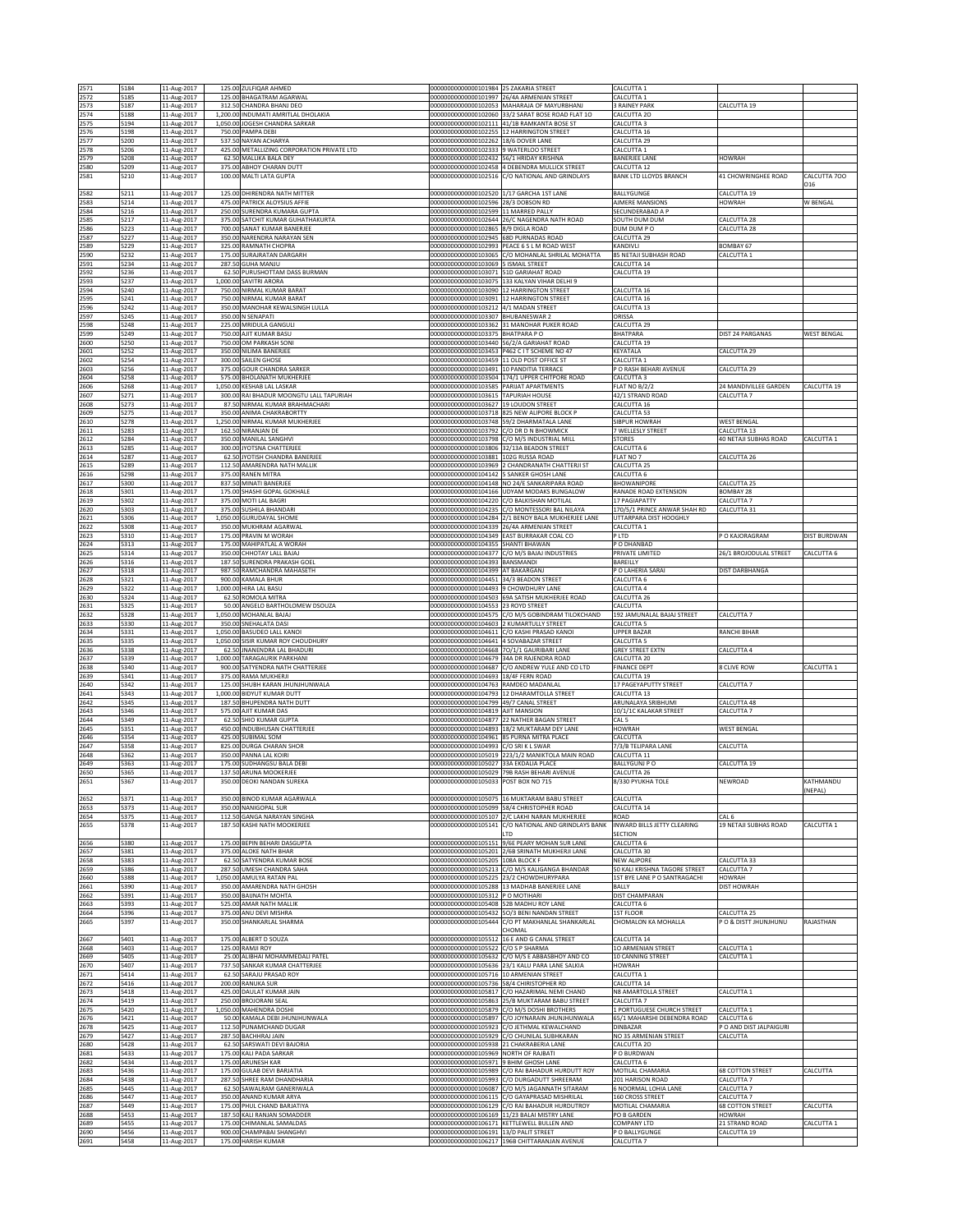| 2571                 | 5184                 | 11-Aug-2017                               | 125.00 ZULFIQAR AHMED                                                                 | 000000000000000101984 25 ZAKARIA STREET                                               |                                                                                                    | CALCUTTA 1                                                    |                                                |                     |
|----------------------|----------------------|-------------------------------------------|---------------------------------------------------------------------------------------|---------------------------------------------------------------------------------------|----------------------------------------------------------------------------------------------------|---------------------------------------------------------------|------------------------------------------------|---------------------|
| 2572                 | 5185                 | 11-Aug-2017                               | 125.00 BHAGATRAM AGARWAL<br>312.50 CHANDRA BHANJ DEO                                  | 00000000000000101997                                                                  | 26/4A ARMENIAN STREET                                                                              | CALCUTTA 1                                                    |                                                |                     |
| 2573<br>2574         | 5187<br>5188         | 11-Aug-2017<br>11-Aug-2017                | 1,200.00 INDUMATI AMRITLAL DHOLAKIA                                                   |                                                                                       | 000000000000000102053 MAHARAJA OF MAYURBHANJ<br>00000000000000102060 33/2 SARAT BOSE ROAD FLAT 1O  | <b>BRAINEY PARK</b><br>CALCUTTA 20                            | CALCUTTA 19                                    |                     |
| 2575                 | 5194                 | 11-Aug-2017                               | 1,050.00 JOGESH CHANDRA SARKAR                                                        |                                                                                       | 000000000000000102111 41/1B RAMKANTA BOSE ST                                                       | CALCUTTA 3                                                    |                                                |                     |
| 2576<br>2577         | 5198<br>5200         | 11-Aug-2017<br>11-Aug-2017                | 750.00 PAMPA DEBI<br>537.50 NAYAN ACHARYA                                             | 00000000000000102262                                                                  | 00000000000000102255 12 HARRINGTON STREET<br>18/6 DOVER LANE                                       | ALCUTTA 16<br>ALCUTTA 29                                      |                                                |                     |
| 2578                 | 5206                 | 11-Aug-2017                               | 425.00 METALLIZING CORPORATION PRIVATE LTD                                            | 00000000000000102333 9 WATERLOO STREET                                                |                                                                                                    | CALCUTTA 1                                                    |                                                |                     |
| 2579<br>2580         | 5208                 | 11-Aug-2017                               | 62.50 MALLIKA BALA DEY<br>375.00 ABHOY CHARAN DUTT                                    | 00000000000000102432                                                                  | 56/1 HRIDAY KRISHNA                                                                                | BANERJEE LANE<br>ALCUTTA 12                                   | <b>HOWRAH</b>                                  |                     |
| 2581                 | 5209<br>5210         | 11-Aug-2017<br>11-Aug-2017                | 100.00 MALTI LATA GUPTA                                                               | 00000000000000102516                                                                  | 000000000000000102458 4 DEBENDRA MULLICK STREET<br>C/O NATIONAL AND GRINDLAYS                      | <b>BANK LTD LLOYDS BRANCH</b>                                 | 41 CHOWRINGHEE ROAD                            | CALCUTTA 700        |
|                      |                      |                                           |                                                                                       |                                                                                       |                                                                                                    |                                                               |                                                | 016                 |
| 2582<br>2583         | 5211<br>5214         | 11-Aug-2017<br>11-Aug-2017                | 125.00 DHIRENDRA NATH MITTER<br>475.00 PATRICK ALOYSIUS AFFIE                         | 00000000000000102520 1/17 GARCHA 1ST LANE<br>00000000000000102596                     | 28/3 DOBSON RD                                                                                     | BALLYGUNGE<br><b>NUMERE MANSIONS</b>                          | CALCUTTA 19<br>HOWRAH                          | W BENGAL            |
| 2584                 | 5216                 | 11-Aug-2017                               | 250.00 SURENDRA KUMARA GUPTA                                                          | 00000000000000102599                                                                  | 11 MARRED PALLY                                                                                    | ECUNDERABAD A P                                               |                                                |                     |
| 2585<br>2586         | 5217<br>5223         | 11-Aug-2017<br>11-Aug-2017                | 375.00 SATCHIT KUMAR GUHATHAKURTA<br>700.00 SANAT KUMAR BANERJEE                      | 00000000000000102865                                                                  | 000000000000000102644 26/C NAGENDRA NATH ROAD<br>8/9 DIGLA ROAD                                    | SOUTH DUM DUM<br>DUM DUM P O                                  | CALCUTTA 28<br>CALCUTTA 28                     |                     |
| 2587                 | 5227                 | 11-Aug-2017                               | 350.00 NARENDRA NARAYAN SEN                                                           | 000000000000000102945 68D PURNADAS ROAD                                               |                                                                                                    | ALCUTTA 29                                                    |                                                |                     |
| 2589                 | 5229                 | 11-Aug-2017                               | 325.00 RAMNATH CHOPRA                                                                 |                                                                                       | 00000000000000102993 PEACE 6 S L M ROAD WEST<br>000000000000000103065 C/O MOHANLAL SHRILAL MOHATTA | KANDIVLI                                                      | BOMBAY 67<br>CALCUTTA 1                        |                     |
| 2590<br>2591         | 5232<br>5234         | 11-Aug-2017<br>11-Aug-2017                | 175.00 SURAJRATAN DARGARH<br>287.50 GUHA MANJU                                        | 00000000000000103069 5 ISMAIL STREET                                                  |                                                                                                    | 85 NETAJI SUBHASH ROAD<br>CALCUTTA 14                         |                                                |                     |
| 2592                 | 5236                 | 11-Aug-2017                               | 62.50 PURUSHOTTAM DASS BURMAN                                                         | 000000000000000103071 51D GARIAHAT ROAD                                               |                                                                                                    | CALCUTTA 19                                                   |                                                |                     |
| 2593<br>2594         | 5237<br>5240         | 11-Aug-2017<br>11-Aug-2017                | 1,000.00 SAVITRI ARORA<br>750.00 NIRMAL KUMAR BARAT                                   | 20000000000000103075                                                                  | 133 KALYAN VIHAR DELHI 9<br>00000000000000103090 12 HARRINGTON STREET                              | ALCUTTA 16                                                    |                                                |                     |
| 2595                 | 5241                 | 11-Aug-2017                               | 750.00 NIRMAL KUMAR BARAT                                                             |                                                                                       | 000000000000000103091 12 HARRINGTON STREET                                                         | CALCUTTA 16                                                   |                                                |                     |
| 2596<br>2597         | 5242<br>5245         | 11-Aug-2017<br>11-Aug-2017                | 350.00 MANOHAR KEWALSINGH LULLA<br>350.00 N SENAPATI                                  | 00000000000000103212<br>00000000000000103307                                          | 4/1 MADAN STREET<br><b>BHUBANESWAR 2</b>                                                           | CALCUTTA 13<br>ORISSA                                         |                                                |                     |
| 2598                 | 5248                 | 11-Aug-2017                               | 225.00 MRIDULA GANGULI                                                                | 00000000000000103362                                                                  | 31 MANOHAR PUKER ROAD                                                                              | CALCUTTA 29                                                   |                                                |                     |
| 2599                 | 5249                 | 11-Aug-2017                               | 750.00 AJIT KUMAR BASU                                                                | 00000000000000103375 BHATPARA PO                                                      |                                                                                                    | BHATPARA                                                      | DIST 24 PARGANAS                               | <b>WEST BENGAL</b>  |
| 2600<br>2601         | 5250<br>5252         | 11-Aug-2017<br>11-Aug-2017                | 750.00 OM PARKASH SONI<br>350.00 NILIMA BANERJEE                                      | 00000000000000103453                                                                  | 000000000000000103440 56/2/A GARIAHAT ROAD<br>P462 C I T SCHEME NO 47                              | CALCUTTA 19<br><b>KEYATALA</b>                                | CALCUTTA 29                                    |                     |
| 2602                 | 5254                 | 11-Aug-2017                               | 300.00 SAILEN GHOSE                                                                   | 00000000000000103459                                                                  | 11 OLD POST OFFICE ST                                                                              | ALCUTTA 1                                                     |                                                |                     |
| 2603<br>2604         | 5256<br>5258         | 11-Aug-2017<br>11-Aug-2017                | 375.00 GOUR CHANDRA SARKER<br>575.00 BHOLANATH MUKHERJEE                              | 000000000000000103491 10 PANDITIA TERRACE                                             | 000000000000000103504 174/1 UPPER CHITPORE ROAD                                                    | O RASH BEHARI AVENUE<br>CALCUTTA 3                            | CALCUTTA 29                                    |                     |
| 2606                 | 5268                 | 11-Aug-2017                               | 1,050.00 KESHAB LAL LASKAR                                                            | 00000000000000103585 PARIJAT APARTMENTS                                               |                                                                                                    | FLAT NO B/2/2                                                 | 24 MANDIVILLEE GARDEN                          | CALCUTTA 19         |
| 2607<br>2608         | 5271<br>5273         | 11-Aug-2017                               | 300.00 RAI BHADUR MOONGTU LALL TAPURIAH<br>87.50 NIRMAL KUMAR BRAHMACHARI             | 000000000000000103615 TAPURIAH HOUSE<br>00000000000000103627 19 LOUDON STREET         |                                                                                                    | 42/1 STRAND ROAD<br>CALCUTTA 16                               | CALCUTTA 7                                     |                     |
| 2609                 | 5275                 | 11-Aug-2017<br>11-Aug-2017                | 350.00 ANIMA CHAKRABORTTY                                                             |                                                                                       | 000000000000000103718 825 NEW ALIPORE BLOCK P                                                      | CALCUTTA 53                                                   |                                                |                     |
| 2610                 | 5278                 | 11-Aug-2017                               | 1,250.00 NIRMAL KUMAR MUKHERJEE<br>162.50 NIRANJAN DE                                 | 00000000000000103792                                                                  | 000000000000000103748 59/2 DHARMATALA LANE                                                         | <b>SIBPUR HOWRAH</b>                                          | WEST BENGAL                                    |                     |
| 2611<br>2612         | 5283<br>5284         | 11-Aug-2017<br>11-Aug-2017                | 350.00 MANILAL SANGHVI                                                                | 00000000000000103798                                                                  | C/O DR D N BHOWMICK<br>C/O M/S INDUSTRIAL MILL                                                     | WELLESLY STREET<br><b>STORES</b>                              | CALCUTTA 13<br>40 NETAJI SUBHAS ROAD           | CALCUTTA 1          |
| 2613                 | 5285                 | 11-Aug-2017                               | 300.00 JYOTSNA CHATTERJEE                                                             |                                                                                       | 00000000000000103806 32/13A BEADON STREET                                                          | CALCUTTA 6                                                    |                                                |                     |
| 2614<br>2615         | 5287<br>5289         | 11-Aug-2017<br>11-Aug-2017                | 62.50 JYOTISH CHANDRA BANERJEE<br>112.50 AMARENDRA NATH MALLIK                        | 000000000000000103881 102G RUSSA ROAD                                                 | 000000000000000103969 2 CHANDRANATH CHATTERJI ST                                                   | FLAT NO 7<br>CALCUTTA 25                                      | CALCUTTA 26                                    |                     |
| 2616                 | 5298                 | 11-Aug-2017                               | 375.00 RANEN MITRA                                                                    | 000000000000000104142 5 SANKER GHOSH LANE                                             |                                                                                                    | CALCUTTA 6                                                    |                                                |                     |
| 2617<br>2618         | 5300<br>5301         | 11-Aug-2017<br>11-Aug-2017                | 837.50 MINATI BANERJEE<br>175.00 SHASHI GOPAL GOKHALE                                 | 00000000000000104166                                                                  | 000000000000000104148 NO 24/E SANKARIPARA ROAD<br><b>UDYAM MODAKS BUNGALOW</b>                     | BHOWANIPORE<br>RANADE ROAD EXTENSION                          | CALCUTTA 25<br>BOMBAY 28                       |                     |
| 2619                 | 302                  | 11-Aug-2017                               | 375.00 MOTI LAL BAGRI                                                                 | 0000000000000104220                                                                   | C/O BAI KISHAN MOTILAI                                                                             | <b>7 PAGIAPATTY</b>                                           | CALCUTTA 7                                     |                     |
| 2620<br>2621         | 303<br>306           | 11-Aug-2017                               | 375.00 SUSHILA BHANDAR                                                                | 00000000000000104235<br>00000000000000104284                                          | C/O MONTESSORI BAL NILAYA<br>2/1 BENOY BALA MUKHERJEE LANE                                         | 170/5/1 PRINCE ANWAR SHAH RD<br><b>JTTARPARA DIST HOOGHLY</b> | CALCUTTA 31                                    |                     |
| 2622                 | 5308                 | 11-Aug-2017<br>11-Aug-2017                | 1,050.00 GURUDAYAL SHOME<br>350.00 MUKHRAM AGARWAL                                    | 00000000000000104339                                                                  | 26/4A ARMENIAN STREET                                                                              | CALCUTTA 1                                                    |                                                |                     |
| 2623                 | 5310                 | 11-Aug-2017                               | 175.00 PRAVIN M WORAH                                                                 | 00000000000000104349                                                                  | EAST BURRAKAR COAL CO                                                                              | LTD                                                           | PO KAJORAGRAM                                  | <b>DIST BURDWAN</b> |
| 2624<br>2625         | 5313<br>5314         | 11-Aug-2017<br>11-Aug-2017                | 175.00 MAHIPATLAL A WORAH<br>350.00 CHHOTAY LALL BAJAJ                                | 00000000000000104355                                                                  | <b>SHANTI BHAWAN</b><br>00000000000000104377 C/O M/S BAJAJ INDUSTRIES                              | O DHANBAD<br>PRIVATE LIMITED                                  | 26/1 BROJODULAL STREET                         | CALCUTTA 6          |
| 2626                 | 5316                 | 11-Aug-2017                               | 187.50 SURENDRA PRAKASH GOEL                                                          | 00000000000000104393                                                                  | BANSMANDI                                                                                          | BAREILLY                                                      |                                                |                     |
| 2627<br>2628         | 5318<br>5321         | 11-Aug-2017<br>11-Aug-2017                | 987.50 RAMCHANDRA MAHASETH<br>900.00 KAMALA BHUR                                      | 000000000000000104399 AT BAKARGANJ<br>00000000000000104451                            | 34/3 BEADON STREET                                                                                 | O LAHERIA SARAI<br>ALCUTTA 6                                  | DIST DARBHANGA                                 |                     |
| 2629                 | 5322                 | 11-Aug-2017                               | 1,000.00 HIRA LAL BASU                                                                | 00000000000000104493                                                                  | 9 CHOWDHURY LANE                                                                                   | ALCUTTA 4                                                     |                                                |                     |
| 2630<br>2631         | 5324<br>5325         | 11-Aug-2017<br>11-Aug-2017                | 62.50 ROMOLA MITRA<br>50.00 ANGELO BARTHOLOMEW DSOUZA                                 | 00000000000000104503<br>0000000000000104553                                           | 69A SATISH MUKHERJEE ROAD<br>23 ROYD STREET                                                        | CALCUTTA 26<br>ALCUTTA                                        |                                                |                     |
| 2632                 | 5328                 | 11-Aug-2017                               | 1,050.00 MOHANLAL BAJAJ                                                               | 00000000000000104575                                                                  |                                                                                                    | 192 JAMUNALAL BAJAJ STREET                                    | CALCUTTA 7                                     |                     |
|                      |                      |                                           |                                                                                       |                                                                                       | C/O M/S GOBINDRAM TILOKCHAND                                                                       |                                                               |                                                |                     |
| 2633                 | 5330                 | 11-Aug-2017                               | 350.00 SNEHALATA DASI                                                                 | 00000000000000104603 2 KUMARTULLY STREET                                              |                                                                                                    | CALCUTTA <sub>5</sub>                                         |                                                |                     |
| 2634<br>2635         | 5331<br>5335         | 11-Aug-2017                               | 1,050.00 BASUDEO LALL KANOI<br>1,050.00 SISIR KUMAR ROY CHOUDHURY                     | 00000000000000104641 4 SOVABAZAR STREET                                               | 00000000000000104611 C/O KASHI PRASAD KANOI                                                        | JPPER BAZAR<br><b>CALCUTTA 5</b>                              | RANCHI BIHAR                                   |                     |
| 2636                 | 5338                 | 11-Aug-2017<br>11-Aug-2017                | 62.50 JNANENDRA LAL BHADURI                                                           | 00000000000000104668                                                                  | 70/1/1 GAURIBARI LANE                                                                              | <b>GREY STREET EXTN</b>                                       | CALCUTTA 4                                     |                     |
| 2637                 | 5339                 | 11-Aug-2017                               | 1,000.00 TARAGAURIK PARKHANI                                                          |                                                                                       | 000000000000000104679 34A DR RAJENDRA ROAD                                                         | ALCUTTA 20                                                    |                                                |                     |
| 2638<br>2639         | 5340<br>5341         | 11-Aug-2017<br>11-Aug-2017                | 900.00 SATYENDRA NATH CHATTERJEE<br>375.00 RAMA MUKHERJI                              | 00000000000000104687<br>0000000000000104693                                           | C/O ANDREW YULE AND CO LTD<br>18/4F FERN ROAD                                                      | <b>FINANCE DEPT</b><br>ALCUTTA 19                             | 8 CLIVE ROW                                    | CALCUTTA 1          |
| 2640                 | 5342                 | 11-Aug-2017                               | 125.00 SHUBH KARAN JHUNJHUNWALA                                                       | 00000000000000104763 RAMDEO MADANLAL                                                  |                                                                                                    | 17 PAGEYAPUTTY STREET                                         | CALCUTTA 7                                     |                     |
| 2641<br>2642         | 5343<br>5345         | 11-Aug-2017<br>11-Aug-2017                | 1,000.00 BIDYUT KUMAR DUTT<br>187.50 BHUPENDRA NATH DUTT                              | 00000000000000104799 49/7 CANAL STREET                                                | 00000000000000104793 12 DHARAMTOLLA STREET                                                         | CALCUTTA 13<br>ARUNALAYA SRIBHUMI                             | CALCUTTA 48                                    |                     |
| 2643                 | 5346                 | 11-Aug-2017                               | 575.00 AJIT KUMAR DAS                                                                 | 00000000000000104819                                                                  | <b>AJIT MANSION</b>                                                                                | 10/1/1C KALAKAR STREET                                        | CALCUTTA 7                                     |                     |
| 2644<br>2645         | 349<br>5351          | 11-Aug-2017<br>11-Aug-2017                | 62.50 SHIO KUMAR GUPTA<br>450.00 INDUBHUSAN CHATTERJEE                                | 00000000000000104877                                                                  | 22 NATHER BAGAN STREET<br>000000000000000104893 18/2 MUKTARAM DEY LANE                             | AL 5<br>HOWRAH                                                | <b>WEST BENGAL</b>                             |                     |
| 2646                 | 5354                 | 11-Aug-2017                               | 425.00 SUBIMAL SOM                                                                    |                                                                                       | 000000000000000104961 85 PURNA MITRA PLACE                                                         | CALCUTTA                                                      |                                                |                     |
| 2647<br>2648         | 5358<br>5362         | 11-Aug-2017<br>11-Aug-2017                | 825.00 DURGA CHARAN SHOR<br>350.00 PANNA LAL KOIRI                                    | 00000000000000104993<br>00000000000000105019                                          | C/O SRI K L SWAR<br>223/1/2 MANIKTOLA MAIN ROAD                                                    | /3/B TELIPARA LANE<br>CALCUTTA 11                             | CALCUTTA                                       |                     |
| 2649                 | 5363                 | 11-Aug-2017                               | 175.00 SUDHANGSU BALA DEBI                                                            | 000000000000000105027 33A EKDALIA PLACE                                               |                                                                                                    | BALLYGUNJ PO                                                  | CALCUTTA 19                                    |                     |
| 2650<br>2651         | 5365<br>5367         | 11-Aug-2017                               | 137.50 ARUNA MOOKERJEE<br>350.00 DEOKI NANDAN SUREKA                                  | 00000000000000105033 POST BOX NO 715                                                  | 000000000000000105029 79B RASH BEHARI AVENUE                                                       | CALCUTTA 26<br>8/330 PYUKHA TOLE                              | NEWROAD                                        | KATHMANDU           |
|                      |                      | 11-Aug-2017                               |                                                                                       |                                                                                       |                                                                                                    |                                                               |                                                | (NEPAL)             |
| 2652                 | 5371                 | 11-Aug-2017                               | 350.00 BINOD KUMAR AGARWALA                                                           |                                                                                       | 000000000000000105075 16 MUKTARAM BABU STREET                                                      | <b>ALCUTTA</b>                                                |                                                |                     |
| 2653<br>2654         | 5373<br>5375         | 11-Aug-2017<br>11-Aug-2017                | 350.00 NANIGOPAL SUR<br>112.50 GANGA NARAYAN SINGHA                                   |                                                                                       | 00000000000000105099 58/4 CHRISTOPHER ROAD<br>000000000000000105107 2/C LAKHI NARAN MUKHERJEE      | ALCUTTA 14<br>ROAD                                            | CAL <sub>6</sub>                               |                     |
| 2655                 | 5378                 | 11-Aug-2017                               | 187.50 KASHI NATH MOOKERJEE                                                           |                                                                                       | 000000000000000105141 C/O NATIONAL AND GRINDLAYS BANK<br>LTD                                       | INWARD BILLS JETTY CLEARING                                   | 19 NETAJI SUBHAS ROAD                          | CALCUTTA 1          |
| 2656                 | 5380                 | 11-Aug-2017                               | 175.00 BEPIN BEHARI DASGUPTA                                                          |                                                                                       | 000000000000000105151 9/6E PEARY MOHAN SUR LANE                                                    | SECTION<br>CALCUTTA 6                                         |                                                |                     |
| 2657                 | 5381                 | 11-Aug-2017                               | 375.00 ALOKE NATH BHAR                                                                |                                                                                       | 000000000000000105201 2/6B SRINATH MUKHERJI LANE                                                   | CALCUTTA 30                                                   |                                                |                     |
| 2658<br>2659         | 5383<br>5386         | 11-Aug-2017<br>11-Aug-2017                | 62.50 SATYENDRA KUMAR BOSE<br>287.50 UMESH CHANDRA SAHA                               | 00000000000000105205 108A BLOCK F                                                     | 000000000000000105213 C/O M/S KALIGANGA BHANDAR                                                    | NEW ALIPORE<br>50 KALI KRISHNA TAGORE STREET                  | CALCUTTA 33<br>CALCUTTA 7                      |                     |
| 2660                 | 5388                 | 11-Aug-2017                               | 1,050.00 AMULYA RATAN PAL                                                             |                                                                                       | 000000000000000105225 23/2 CHOWDHURYPARA                                                           | 1ST BYE LANE P O SANTRAGACHI                                  | <b>HOWRAH</b>                                  |                     |
| 2661<br>2662         | 5390<br>5391         | 11-Aug-2017<br>11-Aug-2017                | 350.00 AMARENDRA NATH GHOSH<br>350.00 BAUNATH MOHTA                                   | 00000000000000105312 P O MOTIHARI                                                     | 000000000000000105288 13 MADHAB BANERJEE LANE                                                      | BALLY<br>DIST CHAMPARAN                                       | DIST HOWRAH                                    |                     |
| 2663                 | 5393                 | 11-Aug-2017                               | 525.00 AMAR NATH MALLIK                                                               | 000000000000000105408 52B MADHU ROY LANE                                              |                                                                                                    | CALCUTTA 6                                                    |                                                |                     |
| 2664<br>2665         | 5396<br>5397         | 11-Aug-2017<br>11-Aug-2017                | 375.00 ANU DEVI MISHRA<br>350.00 SHANKARLAL SHARMA                                    |                                                                                       | 000000000000000105432 5O/3 BENI NANDAN STREET<br>000000000000000105444 C/O PT MAKHANLAL SHANKARLAL | <b>1ST FLOOR</b><br>CHOMALON KA MOHALLA                       | CALCUTTA 25<br>P O & DISTT JHUNJHUNU           | RAJASTHAN           |
|                      |                      |                                           |                                                                                       |                                                                                       | CHOMAL                                                                                             |                                                               |                                                |                     |
| 2667<br>2668         | 5401<br>5403         | 11-Aug-2017<br>11-Aug-2017                | 175.00 ALBERT D SOUZA<br>125.00 RAMJI ROY                                             | 00000000000000105512<br>00000000000000105522                                          | 16 E AND G CANAL STREET<br>C/O S P SHARMA                                                          | <b>CALCUTTA 14</b><br>10 ARMENIAN STREET                      | CALCUTTA 1                                     |                     |
| 2669                 | 5405                 | 11-Aug-2017                               | 25.00 ALIBHAI MOHAMMEDALI PATEL                                                       |                                                                                       | 000000000000000105632 C/O M/S E ABBASBHOY AND CO                                                   | 10 CANNING STREET                                             | CALCUTTA 1                                     |                     |
| 2670                 | 5407                 | 11-Aug-2017                               | 737.50 SANKAR KUMAR CHATTERJEE                                                        |                                                                                       | 000000000000000105636 23/1 KALU PARA LANE SALKIA                                                   | HOWRAH                                                        |                                                |                     |
| 2671<br>2672         | 5414<br>5416         | 11-Aug-2017<br>11-Aug-2017                | 62.50 SARAJU PRASAD ROY<br>200.00 RANUKA SUR                                          | 000000000000000105716 10 ARMENIAN STREET<br>00000000000000105736 58/4 CHIRISTOPHER RD |                                                                                                    | <b>CALCUTTA1</b><br>CALCUTTA 14                               |                                                |                     |
| 2673                 | 5418                 | 11-Aug-2017                               | 425.00 DAULAT KUMAR JAIN                                                              |                                                                                       | 000000000000000105817 C/O HAZARIMAL NEMI CHAND                                                     | N8 AMARTOLLA STREET                                           | CALCUTTA 1                                     |                     |
| 2674<br>2675         | 5419<br>5420         | 11-Aug-2017<br>11-Aug-2017                | 250.00 BROJORANI SEAL<br>1,050.00 MAHENDRA DOSHI                                      |                                                                                       | 000000000000000105863 25/B MUKTARAM BABU STREET<br>00000000000000105879 C/O M/S DOSHI BROTHERS     | CALCUTTA 7<br>I PORTUGUESE CHURCH STREET                      | CALCUTTA 1                                     |                     |
| 2676                 | 5421                 | 11-Aug-2017                               | 50.00 KAMALA DEBI JHUNJHUNWALA                                                        | 00000000000000105897                                                                  | C/O JOYNARAIN JHUNJHUNWALA                                                                         | 65/1 MAHARSHI DEBENDRA ROAD                                   | CALCUTTA 6                                     |                     |
| 2678<br>2679         | 5425<br>5427         | 11-Aug-2017<br>11-Aug-2017                | 112.50 PUNAMCHAND DUGAR                                                               |                                                                                       | 000000000000000105923 C/O JETHMAL KEWALCHAND<br>00000000000000105929 C/O CHUNILAL SUBHKARAN        | DINBAZAR<br>NO 35 ARMENIAN STREET                             | P O AND DIST JALPAIGURI<br>CALCUTTA            |                     |
| 2680                 | 5428                 | 11-Aug-2017                               | 287.50 BACHHRAJ JAIN<br>62.50 SARSWATI DEVI BAJORIA                                   | 000000000000000105938 21 CHAKRABERIA LANE                                             |                                                                                                    | CALCUTTA 20                                                   |                                                |                     |
| 2681<br>2682         | 5433<br>5434         | 11-Aug-2017                               | 175.00 KALI PADA SARKAR<br>175.00 ARUNESH KAR                                         | 000000000000000105969 NORTH OF RAJBATI<br>000000000000000105971 9 BHIM GHOSH LANE     |                                                                                                    | O BURDWAN<br>CALCUTTA 6                                       |                                                |                     |
| 2683                 | 5436                 | 11-Aug-2017<br>11-Aug-2017                | 175.00 GULAB DEVI BARJATIA                                                            |                                                                                       | 000000000000000105989 C/O RAI BAHADUR HURDUTT ROY                                                  | MOTILAL CHAMARIA                                              | <b>68 COTTON STREET</b>                        | CALCUTTA            |
| 2684                 | 5438                 | 11-Aug-2017                               | 287.50 SHREE RAM DHANDHARIA                                                           |                                                                                       | 00000000000000105993 C/O DURGADUTT SHREERAM                                                        | 201 HARISON ROAD                                              | CALCUTTA 7                                     |                     |
| 2685<br>2686         | 5445<br>5447         | 11-Aug-2017<br>11-Aug-2017                | 62.50 SAWALRAM GANERIWALA<br>350.00 ANAND KUMAR ARYA                                  |                                                                                       | 000000000000000106087 C/O M/S JAGANNATH SITARAM<br>000000000000000106115 C/O GAYAPRASAD MISHRILAL  | NOORMAL LOHIA LANE<br>160 CROSS STREET                        | CALCUTTA 7<br>CALCUTTA 7                       |                     |
| 2687                 | 5449                 | 11-Aug-2017                               | 175.00 PHUL CHAND BARJATIYA                                                           |                                                                                       | 000000000000000106129 C/O RAI BAHADUR HURDUTROY                                                    | MOTILAL CHAMARIA                                              | <b>68 COTTON STREET</b>                        | CALCUTTA            |
| 2688<br>2689<br>2690 | 5453<br>5455<br>5456 | 11-Aug-2017<br>11-Aug-2017<br>11-Aug-2017 | 187.50 KALI RANJAN SOMADDER<br>175.00 CHIMANLAL SAMALDAS<br>900.00 CHAMPABAI SHANGHVI | 000000000000000106191 13/D PALIT STREET                                               | 000000000000000106169 11/23 BALAI MISTRY LANE<br>000000000000000106171 KETTLEWELL BULLEN AND       | O B GARDEN<br>COMPANY LTD<br>P O BALLYGUNGE                   | <b>HOWRAH</b><br>21 STRAND ROAD<br>CALCUTTA 19 | CALCUTTA 1          |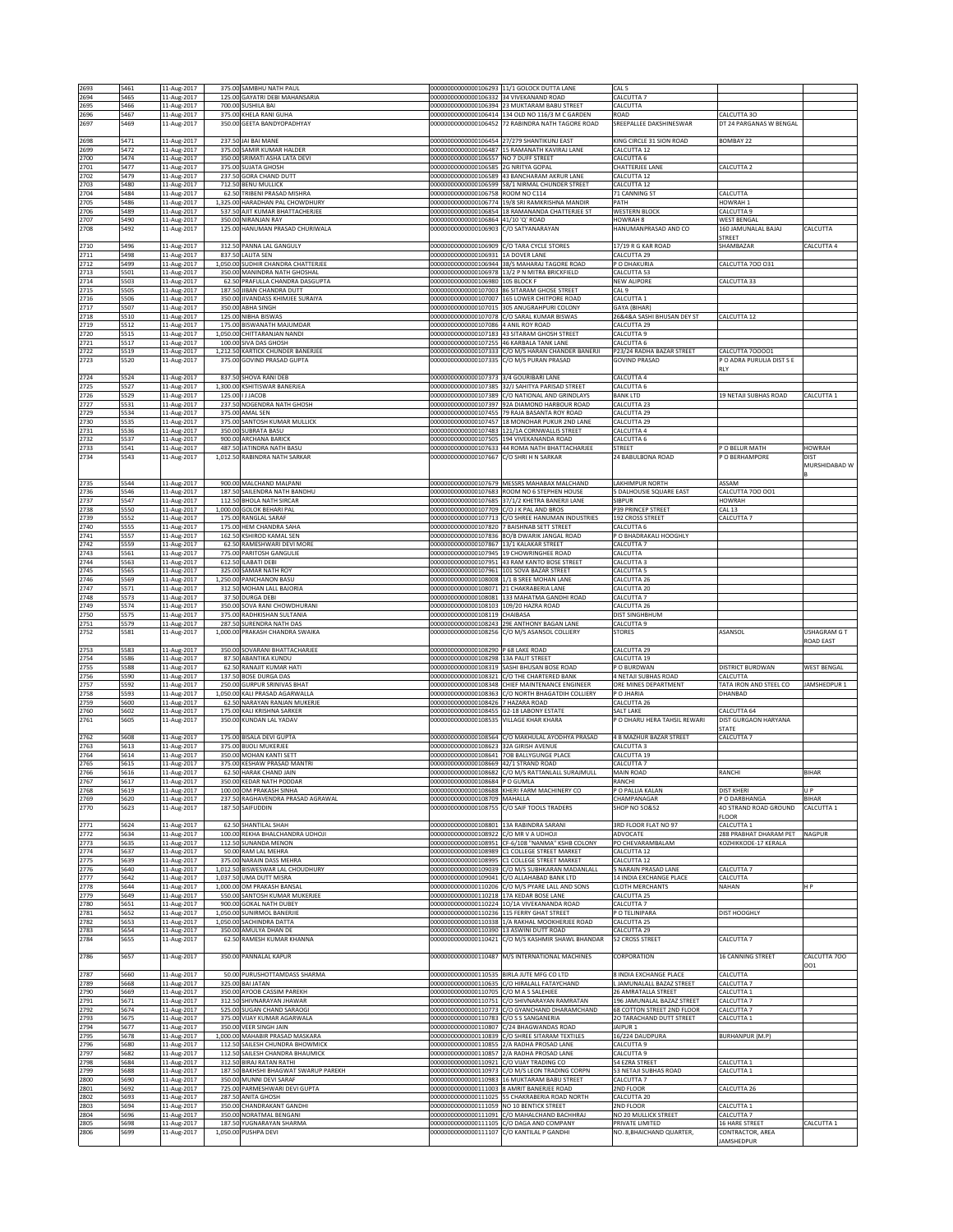| 2693         |              |                            |                                                                    |                                                                    |                                                                                                 |                                                        |                                                |                            |
|--------------|--------------|----------------------------|--------------------------------------------------------------------|--------------------------------------------------------------------|-------------------------------------------------------------------------------------------------|--------------------------------------------------------|------------------------------------------------|----------------------------|
| 2694         | 5461<br>5465 | 11-Aug-2017<br>11-Aug-2017 | 375.00 SAMBHU NATH PAUL<br>125.00 GAYATRI DEBI MAHANSARIA          | 000000000000000106332 34 VIVEKANAND ROAD                           | 00000000000000106293 11/1 GOLOCK DUTTA LANE                                                     | CAL <sub>5</sub><br>CALCUTTA 7                         |                                                |                            |
| 2695         | 5466         | 11-Aug-2017                | 700.00 SUSHILA BAI                                                 | 00000000000000106394                                               | 23 MUKTARAM BABU STREET                                                                         | CALCUTTA                                               |                                                |                            |
| 2696         | 5467         | 11-Aug-2017                | 375.00 KHELA RANI GUHA                                             | 00000000000000106414                                               | 134 OLD NO 116/3 M C GARDEN                                                                     | ROAD                                                   | CALCUTTA 3O                                    |                            |
| 2697         | 5469         | 11-Aug-2017                | 350.00 GEETA BANDYOPADHYAY                                         | 00000000000000106452                                               | 72 RABINDRA NATH TAGORE ROAD                                                                    | SREEPALLEE DAKSHINESWAR                                | DT 24 PARGANAS W BENGAL                        |                            |
| 2698         |              |                            | 237.50 JAI BAI MANE                                                |                                                                    | 000000000000000106454 27/279 SHANTIKUNJ EAST                                                    | KING CIRCLE 31 SION ROAD                               | BOMBAY 22                                      |                            |
| 2699         | 5471<br>5472 | 11-Aug-2017<br>11-Aug-2017 | 375.00 SAMIR KUMAR HALDER                                          | 00000000000000106487                                               | 15 RAMANATH KAVIRAJ LANE                                                                        | CALCUTTA 12                                            |                                                |                            |
| 2700         | 5474         | 11-Aug-2017                | 350.00 SRIMATI ASHA LATA DEVI                                      | 00000000000000106557 NO 7 DUFF STREET                              |                                                                                                 | CALCUTTA 6                                             |                                                |                            |
| 2701         | 5477         | 11-Aug-2017                | 375.00 SUJATA GHOSH                                                | 00000000000000106585 2G NRITYA GOPAL                               |                                                                                                 | <b>CHATTERJEE LANE</b>                                 | CALCUTTA 2                                     |                            |
| 2702<br>2703 | 5479<br>5480 | 11-Aug-2017<br>11-Aug-2017 | 237.50 GORA CHAND DUTT<br>712.50 BENU MULLICK                      | 00000000000000106599                                               | 000000000000000106589 43 BANCHARAM AKRUR LANE<br>58/1 NIRMAL CHUNDER STREET                     | CALCUTTA 12<br>CALCUTTA 12                             |                                                |                            |
| 2704         | 5484         | 11-Aug-2017                | 62.50 TRIBENI PRASAD MISHRA                                        | 00000000000000106758 ROOM NO C114                                  |                                                                                                 | 71 CANNING ST                                          | CALCUTTA                                       |                            |
| 2705         | 5486         | 11-Aug-2017                | 1,325.00 HARADHAN PAL CHOWDHURY                                    |                                                                    | 000000000000000106774 19/8 SRI RAMKRISHNA MANDIR                                                | PATH                                                   | HOWRAH 1                                       |                            |
| 2706<br>2707 | 5489<br>5490 | 11-Aug-2017<br>11-Aug-2017 | 537.50 AJIT KUMAR BHATTACHERJEE<br>350.00 NIRANJAN RAY             | 00000000000000106854<br>000000000000000106864 41/10 'Q' ROAD       | 18 RAMANANDA CHATTERJEE ST                                                                      | <b>WESTERN BLOCK</b><br>HOWRAH 8                       | CALCUTTA 9<br><b>WEST BENGAL</b>               |                            |
| 2708         | 5492         | 11-Aug-2017                | 125.00 HANUMAN PRASAD CHURIWALA                                    | 00000000000000106903                                               | C/O SATYANARAYAN                                                                                | HANUMANPRASAD AND CO                                   | 160 JAMUNALAL BAJAJ                            | CALCUTTA                   |
|              |              |                            |                                                                    |                                                                    |                                                                                                 |                                                        | <b>STREET</b>                                  |                            |
| 2710         | 5496         | 11-Aug-2017                | 312.50 PANNA LAL GANGULY                                           | 00000000000000106909 C/O TARA CYCLE STORES<br>0000000000000106931  |                                                                                                 | 17/19 R G KAR ROAD                                     | SHAMBAZAR                                      | CALCUTTA 4                 |
| 2711<br>2712 | 5498<br>5499 | 11-Aug-2017<br>11-Aug-2017 | 837.50 LALITA SEN<br>1,050.00 SUDHIR CHANDRA CHATTERJEE            | 00000000000000106944                                               | 1A DOVER LANE<br>38/S MAHARAJ TAGORE ROAD                                                       | CALCUTTA 29<br>P O DHAKURIA                            | CALCUTTA 700 031                               |                            |
| 2713         | 5501         | 11-Aug-2017                | 350.00 MANINDRA NATH GHOSHAL                                       |                                                                    | 000000000000000106978 13/2 P N MITRA BRICKFIELD                                                 | CALCUTTA 53                                            |                                                |                            |
| 2714         | 5503         | 11-Aug-2017                | 62.50 PRAFULLA CHANDRA DASGUPTA                                    | 00000000000000106980 105 BLOCK F                                   |                                                                                                 | <b>NEW ALIPORE</b>                                     | CALCUTTA 33                                    |                            |
| 2715<br>2716 | 5505<br>5506 | 11-Aug-2017<br>11-Aug-2017 | 187.50 JIBAN CHANDRA DUTT<br>350.00 JIVANDASS KHIMJEE SURAIYA      | 00000000000000107003<br>00000000000000107007                       | <b>86 SITARAM GHOSE STREET</b><br>165 LOWER CHITPORE ROAD                                       | CAL <sub>9</sub><br>CALCUTTA 1                         |                                                |                            |
| 2717         | 5507         | 11-Aug-2017                | 350.00 ABHA SINGH                                                  | 00000000000000107015                                               | 305 ANUGRAHPURI COLONY                                                                          | <b>GAYA</b> (BIHAR)                                    |                                                |                            |
| 2718         | 5510         | 11-Aug-2017                | 125.00 NIBHA BISWAS                                                |                                                                    | 00000000000000107078 C/O SARAL KUMAR BISWAS                                                     | 26&4&A SASHI BHUSAN DEY ST                             | CALCUTTA 12                                    |                            |
| 2719<br>2720 | 5512<br>5515 | 11-Aug-2017                | 175.00 BISWANATH MAJUMDAR<br>1,050.00 CHITTARANJAN NANDI           | 00000000000000107086<br>00000000000000107183                       | 4 ANIL ROY ROAD                                                                                 | CALCUTTA 29<br>CALCUTTA 9                              |                                                |                            |
| 2721         | 5517         | 11-Aug-2017<br>11-Aug-2017 | 100.00 SIVA DAS GHOSH                                              | 000000000000000107255 46 KARBALA TANK LANE                         | 43 SITARAM GHOSH STREET                                                                         | CALCUTTA 6                                             |                                                |                            |
| 2722         | 5519         | 11-Aug-2017                | 1,212.50 KARTICK CHUNDER BANERJEE                                  |                                                                    | 00000000000000107333 C/O M/S HARAN CHANDER BANERJI                                              | P23/24 RADHA BAZAR STREET                              | CALCUTTA 700001                                |                            |
| 2723         | 5520         | 11-Aug-2017                | 375.00 GOVIND PRASAD GUPTA                                         |                                                                    | 00000000000000107335 C/O M/S PURAN PRASAD                                                       | <b>GOVIND PRASAD</b>                                   | PO ADRA PURULIA DIST S E                       |                            |
| 2724         | 5524         | 11-Aug-2017                | 837.50 SHOVA RANI DEB                                              | 00000000000000107373 3/4 GOURIBARI LANE                            |                                                                                                 | CALCUTTA 4                                             | RLY                                            |                            |
| 2725         | 5527         | 11-Aug-2017                | 1,300.00 KSHITISWAR BANERJEA                                       | 00000000000000107385                                               | 32/J SAHITYA PARISAD STREET                                                                     | CALCUTTA 6                                             |                                                |                            |
| 2726         | 5529         | 11-Aug-2017                | 125.00   J JACOB                                                   | 00000000000000107389                                               | C/O NATIONAL AND GRINDLAYS                                                                      | <b>BANK LTD</b>                                        | 19 NETAJI SUBHAS ROAD                          | CALCUTTA 1                 |
| 2727<br>2729 | 5531<br>5534 | 11-Aug-2017<br>11-Aug-2017 | 237.50 NOGENDRA NATH GHOSH<br>375.00 AMAL SEN                      | 0000000000000107397                                                | 92A DIAMOND HARBOUR ROAD<br>00000000000000107455 79 RAJA BASANTA ROY ROAD                       | CALCUTTA 23<br>CALCUTTA 29                             |                                                |                            |
| 2730         | 5535         | 11-Aug-2017                | 375.00 SANTOSH KUMAR MULLICK                                       |                                                                    | 000000000000000107457 18 MONOHAR PUKUR 2ND LANE                                                 | CALCUTTA 29                                            |                                                |                            |
| 2731         | 5536         | 11-Aug-2017                | 350.00 SUBRATA BASU                                                | 00000000000000107483                                               | 121/1A CORNWALLIS STREET                                                                        | CALCUTTA 4                                             |                                                |                            |
| 2732<br>2733 | 5537<br>5541 | 11-Aug-2017<br>11-Aug-2017 | 900.00 ARCHANA BARICK<br>487.50 JATINDRA NATH BASU                 | 00000000000000107505<br>00000000000000107633                       | 194 VIVEKANANDA ROAD<br>44 ROMA NATH BHATTACHARJEE                                              | CALCUTTA 6<br>STREET                                   | O BELUR MATH                                   | HOWRAH                     |
| 2734         | 5543         | 11-Aug-2017                | 1,012.50 RABINDRA NATH SARKAR                                      | 000000000000000107667 C/O SHRI H N SARKAR                          |                                                                                                 | 24 BABULBONA ROAD                                      | P O BERHAMPORE                                 | <b>DIST</b>                |
|              |              |                            |                                                                    |                                                                    |                                                                                                 |                                                        |                                                | MURSHIDABAD W              |
|              |              |                            | 900.00 MALCHAND MALPANI                                            |                                                                    | 000000000000000107679 MESSRS MAHABAX MALCHAND                                                   |                                                        | ASSAM                                          |                            |
| 2735<br>2736 | 5544<br>5546 | 11-Aug-2017<br>11-Aug-2017 | 187.50 SAILENDRA NATH BANDHU                                       |                                                                    | 00000000000000107683 ROOM NO 6 STEPHEN HOUSE                                                    | LAKHIMPUR NORTH<br>5 DALHOUSIE SQUARE EAST             | CALCUTTA 700 001                               |                            |
| 2737         | 5547         | 11-Aug-2017                | 112.50 BHOLA NATH SIRCAR                                           |                                                                    | 00000000000000107685 37/1/2 KHETRA BANERJI LANE                                                 | <b>SIBPUR</b>                                          | HOWRAH                                         |                            |
| 2738         | 5550         | 11-Aug-2017                | 1,000,00 GOLOK BEHARI PAL                                          | 00000000000000107709                                               | C/O J K PAL AND BROS                                                                            | <b>P39 PRINCEP STREET</b>                              | <b>CAL 13</b>                                  |                            |
| 2739<br>2740 | 5552<br>5555 | 11-Aug-2017<br>11-Aug-2017 | 175.00 RANGLAL SARAF<br>175.00 HEM CHANDRA SAHA                    | 00000000000000107713<br>00000000000000107820                       | C/O SHREE HANUMAN INDUSTRIES<br>7 BAISHNAB SETT STREET                                          | 192 CROSS STREET<br><b>CALCUTTA 6</b>                  | CALCUTTA 7                                     |                            |
| 2741         | 5557         | 11-Aug-2017                | 162.50 KSHIROD KAMAL SEN                                           |                                                                    | 00000000000000107836 8O/B DWARIK JANGAL ROAD                                                    | P O BHADRAKALI HOOGHLY                                 |                                                |                            |
| 2742         | 5559         | 11-Aug-2017                | 62.50 RAMESHWARI DEVI MORE                                         | 000000000000000107867 13/1 KALAKAR STREET                          |                                                                                                 | CALCUTTA 7                                             |                                                |                            |
| 2743<br>2744 | 5561<br>5563 | 11-Aug-2017<br>11-Aug-2017 | 775.00 PARITOSH GANGULIE<br>612.50 ILABATI DEBI                    |                                                                    | 00000000000000107945 19 CHOWRINGHEE ROAD<br>00000000000000107951 43 RAM KANTO BOSE STREET       | CALCUTTA<br>CALCUTTA 3                                 |                                                |                            |
| 2745         | 5565         | 11-Aug-2017                | 325.00 SAMAR NATH ROY                                              |                                                                    | 000000000000000107961 101 SOVA BAZAR STREET                                                     | CALCUTTA 5                                             |                                                |                            |
| 2746         | 5569         | 11-Aug-2017                | 1,250.00 PANCHANON BASU                                            | 00000000000000108008                                               | 1/1 B SREE MOHAN LANE                                                                           | CALCUTTA 26                                            |                                                |                            |
| 2747<br>2748 | 5571<br>5573 | 11-Aug-2017<br>11-Aug-2017 | 312.50 MOHAN LALL BAJORIA<br>37.50 DURGA DEBI                      | 000000000000000108071 21 CHAKRABERIA LANE<br>00000000000000108081  | 133 MAHATMA GANDHI ROAD                                                                         | CALCUTTA 20<br>CALCUTTA 7                              |                                                |                            |
| 2749         | 5574         | 11-Aug-2017                | 350.00 SOVA RANI CHOWDHURANI                                       | 000000000000000108103 109/20 HAZRA ROAD                            |                                                                                                 | CALCUTTA 26                                            |                                                |                            |
| 2750<br>2751 | 5575<br>5579 | 11-Aug-2017<br>11-Aug-2017 | 375.00 RADHKISHAN SULTANIA<br>287.50 SURENDRA NATH DAS             | 00000000000000108119<br>00000000000000108243                       | CHAIBASA<br>29E ANTHONY BAGAN LANE                                                              | DIST SINGHBHUM<br>CALCUTTA 9                           |                                                |                            |
| 2752         | 5581         | 11-Aug-2017                | 1,000.00 PRAKASH CHANDRA SWAIKA                                    | 00000000000000108256                                               | C/O M/S ASANSOL COLLIERY                                                                        | <b>STORES</b>                                          | ASANSOL                                        | USHAGRAM G T               |
|              |              |                            |                                                                    |                                                                    |                                                                                                 |                                                        |                                                | ROAD EAST                  |
| 2753         | 5583<br>5586 | 11-Aug-2017<br>11-Aug-2017 | 350.00 SOVARANI BHATTACHARJEE<br>87.50 ABANTIKA KUNDU              | 00000000000000108290 P 68 LAKE ROAD<br>00000000000000108298        | 13A PALIT STREET                                                                                | CALCUTTA 29<br>CALCUTTA 19                             |                                                |                            |
|              |              |                            |                                                                    |                                                                    | <b>SASHI BHUSAN BOSE ROAD</b>                                                                   | O BURDWAN                                              | <b>DISTRICT BURDWAN</b>                        | WEST BENGAL                |
| 2754<br>2755 | 5588         | 11-Aug-2017                | 62.50 RANAJIT KUMAR HATI                                           | 00000000000000108319                                               |                                                                                                 |                                                        |                                                |                            |
| 2756         | 5590         | 11-Aug-2017                | 137.50 BOSE DURGA DAS                                              | 00000000000000108321                                               | C/O THE CHARTERED BANK                                                                          | 4 NETAJI SUBHAS ROAD                                   | CALCUTTA                                       |                            |
| 2757         | 5592         | 11-Aug-2017                | 250.00 GURPUR SRINIVAS BHAT                                        | 00000000000000108348                                               | CHIEF MAINTENANCE ENGINEER                                                                      | ORE MINES DEPARTMENT                                   | TATA IRON AND STEEL CO                         | JAMSHEDPUR 1               |
| 2758         | 5593         | 11-Aug-2017                | 1,050.00 KALI PRASAD AGARWALLA                                     | 00000000000000108363                                               | C/O NORTH BHAGATDIH COLLIERY                                                                    | P O JHARIA                                             | DHANBAD                                        |                            |
| 2759<br>2760 | 5600<br>5602 | 11-Aug-2017<br>11-Aug-2017 | 62.50 NARAYAN RANJAN MUKERJE<br>175.00 KALI KRISHNA SARKER         | 00000000000000108426<br>00000000000000108455                       | 7 HAZARA ROAD<br>G2-18 LABONY ESTATE                                                            | CALCUTTA 26<br><b>SALT LAKE</b>                        | CALCUTTA 64                                    |                            |
| 2761         | 5605         | 11-Aug-2017                | 350.00 KUNDAN LAL YADAV                                            | 00000000000000108535                                               | <b>VILLAGE KHAR KHARA</b>                                                                       | P O DHARU HERA TAHSIL REWARI                           | DIST GURGAON HARYANA                           |                            |
|              |              |                            |                                                                    |                                                                    |                                                                                                 |                                                        | <b>STATE</b>                                   |                            |
| 2762<br>2763 | 5608<br>5613 | 11-Aug-2017<br>11-Aug-2017 | 175.00 BISALA DEVI GUPTA<br>375.00 BUOLI MUKERJEE                  | 00000000000000108564<br>00000000000000108623                       | C/O MAKHULAL AYODHYA PRASAD<br>32A GIRISH AVENUE                                                | <b>4 B MAZHUR BAZAR STREET</b><br>CALCUTTA 3           | CALCUTTA 7                                     |                            |
| 2764         | 5614         | 11-Aug-2017                | 350.00 MOHAN KANTI SETT                                            |                                                                    | 00000000000000108641 7OB BALLYGUNGE PLACE                                                       | CALCUTTA 19                                            |                                                |                            |
| 2765         | 5615         | 11-Aug-2017                | 375.00 KESHAW PRASAD MANTRI                                        | 00000000000000108669 42/1 STRAND ROAD                              |                                                                                                 | CALCUTTA 7                                             |                                                |                            |
| 2766<br>2767 | 5616<br>5617 | 11-Aug-2017<br>11-Aug-2017 | 62.50 HARAK CHAND JAIN<br>350.00 KEDAR NATH PODDAR                 | 00000000000000108684 P O GUMLA                                     | 000000000000000108682 C/O M/S RATTANLALL SURAJMULL                                              | MAIN ROAD<br>RANCHI                                    | RANCHI                                         | BIHAR                      |
| 2768         | 5619         | 11-Aug-2017                | 100.00 OM PRAKASH SINHA                                            |                                                                    | 00000000000000108688 KHERI FARM MACHINERY CO                                                    | P O PALLIA KALAN                                       | <b>DIST KHERI</b>                              | U P                        |
| 2769<br>2770 | 5620<br>5623 | 11-Aug-2017                | 237.50 RAGHAVENDRA PRASAD AGRAWAL<br>187.50 SAIFUDDIN              | 00000000000000108709 MAHALLA<br>00000000000000108755               | C/O SAIF TOOLS TRADERS                                                                          | CHAMPANAGAR<br><b>SHOP NO 50&amp;52</b>                | P O DARBHANGA<br>40 STRAND ROAD GROUND         | <b>BIHAR</b><br>CALCUTTA 1 |
|              |              | 11-Aug-2017                |                                                                    |                                                                    |                                                                                                 |                                                        | FLOOR                                          |                            |
| 2771         | 5624         | 11-Aug-2017                | 62.50 SHANTILAL SHAH                                               | 000000000000000108801 13A RABINDRA SARANI                          |                                                                                                 | 3RD FLOOR FLAT NO 97                                   | CALCUTTA 1                                     |                            |
| 2772<br>2773 | 5634<br>5635 | 11-Aug-2017                | 100.00 REKHA BHALCHANDRA UDHOJI<br>112.50 SUNANDA MENON            | 00000000000000108922<br>00000000000000108951                       | C/O MR V A UDHOJI<br>CF-6/108 "NANMA" KSHB COLONY                                               | ADVOCATE<br>PO CHEVARAMBALAM                           | 288 PRABHAT DHARAM PET<br>KOZHIKKODE-17 KERALA | <b>NAGPUR</b>              |
| 2774         | 5637         | 11-Aug-2017<br>11-Aug-2017 | 50.00 RAM LAL MEHRA                                                |                                                                    | 00000000000000108989 C1 COLLEGE STREET MARKET                                                   | CALCUTTA 12                                            |                                                |                            |
| 2775         | 5639         | 11-Aug-2017                | 375.00 NARAIN DASS MEHRA                                           |                                                                    | 00000000000000108995 C1 COLLEGE STREET MARKET                                                   | CALCUTTA 12                                            |                                                |                            |
| 2776<br>2777 | 5640<br>5642 | 11-Aug-2017                | 1,012.50 BISWESWAR LAL CHOUDHURY<br>1,037.50 UMA DUTT MISRA        | 00000000000000109039<br>00000000000000109041                       | C/O M/S SUBHKARAN MADANLALL<br>C/O ALLAHABAD BANK LTD                                           | 5 NARAIN PRASAD LANE<br>14 INDIA EXCHANGE PLACE        | CALCUTTA 7<br>CALCUTTA                         |                            |
| 2778         | 5644         | 11-Aug-2017<br>11-Aug-2017 | 1,000.00 OM PRAKASH BANSAI                                         | 00000000000000110206                                               | /O M/S PYARE LALL AND SONS                                                                      | CLOTH MERCHANTS                                        | NAHAN                                          | H P                        |
| 2779         | 5649         | 11-Aug-2017                | 550.00 SANTOSH KUMAR MUKERJEE                                      | 00000000000000110218 17A KEDAR BOSE LANE                           |                                                                                                 | CALCUTTA 25                                            |                                                |                            |
| 2780<br>2781 | 5651<br>5652 | 11-Aug-2017                | 900.00 GOKAL NATH DUBEY<br>1.050.00 SUNIRMOL BANERJIE              | 00000000000000110236 115 FERRY GHAT STREET                         | 00000000000000110224 1O/1A VIVEKANANDA ROAD                                                     | CALCUTTA 7<br>O TELINIPARA                             | DIST HOOGHLY                                   |                            |
| 2782         | 5653         | 11-Aug-2017<br>11-Aug-2017 | 1,050.00 SACHINDRA DATTA                                           |                                                                    | 00000000000000110338 1/A RAKHAL MOOKHERJEE ROAD                                                 | CALCUTTA 25                                            |                                                |                            |
| 2783         | 5654         | 11-Aug-2017                | 350.00 AMULYA DHAN DE                                              | 00000000000000110390 13 ASWINI DUTT ROAD                           |                                                                                                 | CALCUTTA 29                                            |                                                |                            |
| 2784         | 5655         | 11-Aug-2017                | 62.50 RAMESH KUMAR KHANNA                                          |                                                                    | 000000000000000110421 C/O M/S KASHMIR SHAWL BHANDAR                                             | 52 CROSS STREET                                        | CALCUTTA 7                                     |                            |
| 2786         | 5657         | 11-Aug-2017                | 350.00 PANNALAL KAPUR                                              | 00000000000000110487                                               | M/S INTERNATIONAL MACHINES                                                                      | CORPORATION                                            | 16 CANNING STREET                              | CALCUTTA 700               |
|              |              |                            |                                                                    |                                                                    |                                                                                                 |                                                        |                                                | 001                        |
| 2787<br>2789 | 5660<br>5668 | 11-Aug-2017<br>11-Aug-2017 | 50.00 PURUSHOTTAMDASS SHARMA<br>325.00 BAI JATAN                   | 00000000000000110535 BIRLA JUTE MFG CO LTD<br>00000000000000110635 | C/O HIRALALL FATAYCHAND                                                                         | 8 INDIA EXCHANGE PLACE<br>L JAMUNALALL BAZAZ STREET    | CALCUTTA<br>CALCUTTA 7                         |                            |
| 2790         | 5669         | 11-Aug-2017                | 350.00 AYOOB CASSIM PAREKH                                         | 00000000000000110705                                               | C/O M A S SALEHJEE                                                                              | 26 AMRATALLA STREET                                    | CALCUTTA 1                                     |                            |
| 2791         | 5671         | 11-Aug-2017                | 312.50 SHIVNARAYAN JHAWAR                                          |                                                                    | 00000000000000110751 C/O SHIVNARAYAN RAMRATAN                                                   | 196 JAMUNALAL BAZAZ STREET                             | CALCUTTA 7                                     |                            |
| 2792<br>2793 | 5674<br>5675 | 11-Aug-2017<br>11-Aug-2017 | 525.00 SUGAN CHAND SARAOGI<br>375.00 VIJAY KUMAR AGARWALA          | 00000000000000110783                                               | 00000000000000110773 C/O GYANCHAND DHARAMCHAND<br>C/O S S SANGANERIA                            | 68 COTTON STREET 2ND FLOOR<br>20 TARACHAND DUTT STREET | CALCUTTA 7<br>CALCUTTA 1                       |                            |
| 2794         | 5677         | 11-Aug-2017                | 350.00 VEER SINGH JAIN                                             | 00000000000000110807                                               | C/24 BHAGWANDAS ROAD                                                                            | AIPUR <sub>1</sub>                                     |                                                |                            |
| 2795         | 5678         | 11-Aug-2017                | 1,000.00 MAHABIR PRASAD MASKARA                                    | 00000000000000110839                                               | /O SHREE SITARAM TEXTILES                                                                       | 16/224 DAUDPURA                                        | <b>BURHANPUR (M.P)</b>                         |                            |
| 2796<br>2797 | 5680<br>5682 | 11-Aug-2017<br>11-Aug-2017 | 112.50 SAILESH CHUNDRA BHOWMICK<br>112.50 SAILESH CHANDRA BHAUMICK |                                                                    | 00000000000000110855 2/A RADHA PROSAD LANE<br>00000000000000110857 2/A RADHA PROSAD LANE        | CALCUTTA 9<br>CALCUTTA 9                               |                                                |                            |
| 2798         | 5684         | 11-Aug-2017                | 312.50 BIRAJ RATAN RATHI                                           | 00000000000000110921                                               | C/O VIJAY TRADING CO                                                                            | 54 EZRA STREET                                         | CALCUTTA 1                                     |                            |
| 2799<br>2800 | 5688<br>5690 | 11-Aug-2017                | 187.50 BAKHSHI BHAGWAT SWARUP PAREKH<br>350.00 MUNNI DEVI SARAF    |                                                                    | 00000000000000110973 C/O M/S LEON TRADING CORPN<br>00000000000000110983 16 MUKTARAM BABU STREET | 53 NETAJI SUBHAS ROAD<br>CALCUTTA 7                    | CALCUTTA 1                                     |                            |
| 2801         | 5692         | 11-Aug-2017<br>11-Aug-2017 | 725.00 PARMESHWARI DEVI GUPTA                                      |                                                                    | 00000000000000111003 8 AMRIT BANERJEE ROAD                                                      | 2ND FLOOR                                              | CALCUTTA 26                                    |                            |
| 2802         | 5693         | 11-Aug-2017                | 287.50 ANITA GHOSH                                                 | 00000000000000111025                                               | 55 CHAKRABERIA ROAD NORTH                                                                       | CALCUTTA 20                                            |                                                |                            |
| 2803<br>2804 | 5694<br>5696 | 11-Aug-2017<br>11-Aug-2017 | 350.00 CHANDRAKANT GANDHI<br>350.00 NORATMAL BENGANI               | 00000000000000111059<br>00000000000000111091                       | <b>VO 10 BENTICK STREET</b><br>C/O MAHALCHAND BACHHRAJ                                          | <b>ND FLOOR</b><br>NO 20 MULLICK STREET                | CALCUTTA 1<br>CALCUTTA 7                       |                            |
| 2805<br>2806 | 5698<br>5699 | 11-Aug-2017<br>11-Aug-2017 | 187.50 YUGNARAYAN SHARMA<br>1,050.00 PUSHPA DEVI                   | 00000000000000111105<br>00000000000000111107                       | C/O DAGA AND COMPANY<br>C/O KANTILAL P GANDHI                                                   | PRIVATE LIMITED<br>NO. 8, BHAICHAND QUARTER,           | <b>16 HARE STREET</b><br>CONTRACTOR, AREA      | CALCUTTA 1                 |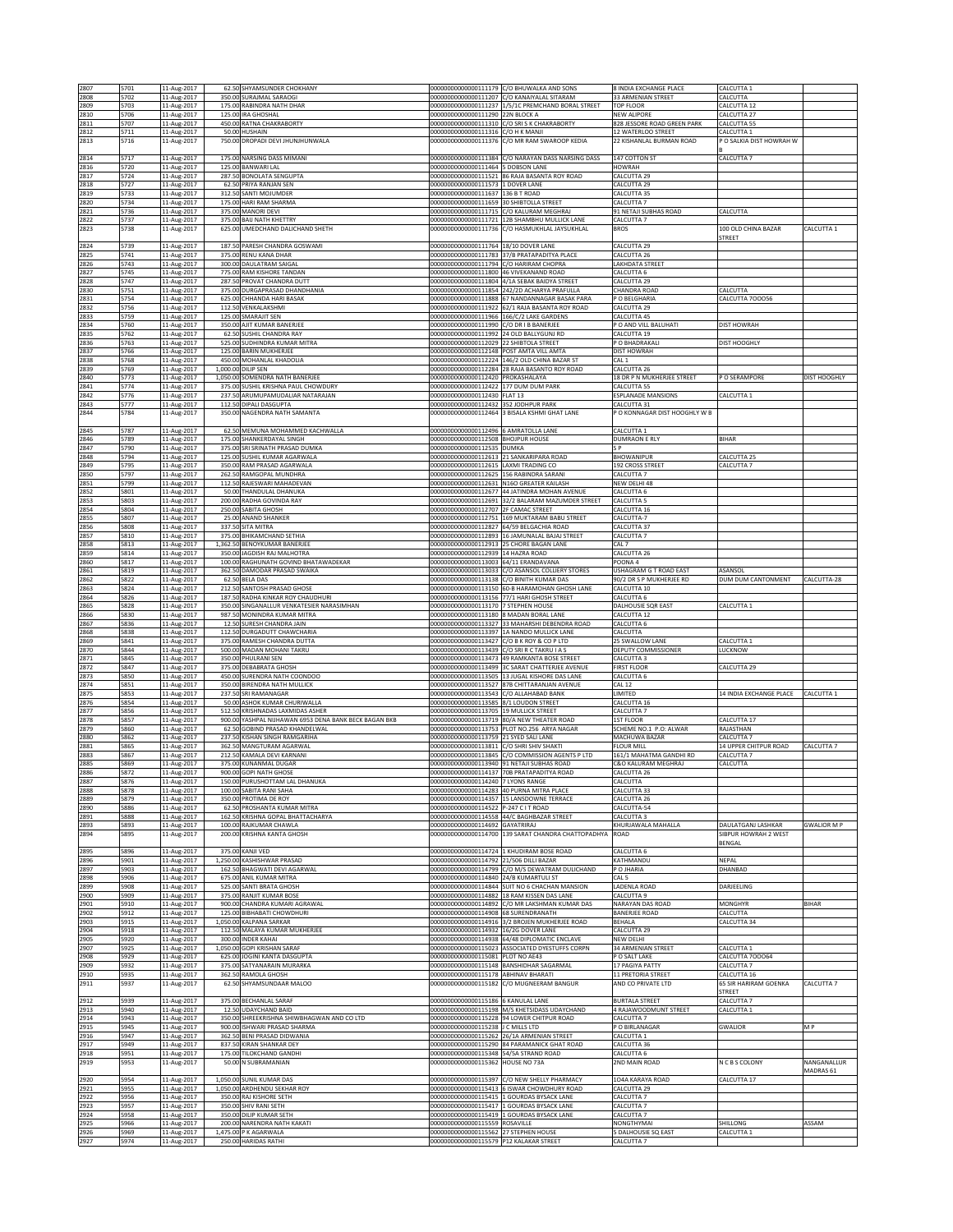| 2807         | 5701         | 11-Aug-2017                | 62.50 SHYAMSUNDER CHOKHANY                                       |                                                                                       | 00000000000000111179 C/O BHUWALKA AND SONS                                                         | 8 INDIA EXCHANGE PLACE                             | CALCUTTA 1                                 |                    |
|--------------|--------------|----------------------------|------------------------------------------------------------------|---------------------------------------------------------------------------------------|----------------------------------------------------------------------------------------------------|----------------------------------------------------|--------------------------------------------|--------------------|
| 2808<br>2809 | 5702<br>5703 | 11-Aug-2017<br>11-Aug-2017 | 350.00 SURAJMAL SARAOGI<br>175.00 RABINDRA NATH DHAR             |                                                                                       | 000000000000000111207 C/O KANAIYALAL SITARAM<br>00000000000000111237 1/5/1C PREMCHAND BORAL STREET | 33 ARMENIAN STREET<br>TOP FLOOR                    | CALCUTTA<br>CALCUTTA 12                    |                    |
| 2810         | 5706         | 11-Aug-2017                | 125.00 IRA GHOSHAL                                               | 00000000000000111290 22N BLOCK A                                                      |                                                                                                    | <b>NEW ALIPORE</b>                                 | ALCUTTA 27                                 |                    |
| 2811         | 5707         | 11-Aug-2017                | 450.00 RATNA CHAKRABORTY                                         |                                                                                       | 00000000000000111310 C/O SRI S K CHAKRABORTY                                                       | 828 JESSORE ROAD GREEN PARK                        | CALCUTTA 55                                |                    |
| 2812         | 5711         | 11-Aug-2017                | 50.00 HUSHAIN                                                    | 00000000000000111316 C/O H K MANJI                                                    |                                                                                                    | 12 WATERLOO STREET                                 | CALCUTTA 1                                 |                    |
| 2813         | 5716         | 11-Aug-2017                | 750.00 DROPADI DEVI JHUNJHUNWALA                                 |                                                                                       | 00000000000000111376 C/O MR RAM SWAROOP KEDIA                                                      | 22 KISHANLAL BURMAN ROAD                           | O SALKIA DIST HOWRAH W                     |                    |
| 2814         | 5717         | 11-Aug-2017                | 175.00 NARSING DASS MIMANI                                       |                                                                                       | 00000000000000111384 C/O NARAYAN DASS NARSING DASS                                                 | 147 COTTON ST                                      | CALCUTTA 7                                 |                    |
| 2816         | 5720         | 11-Aug-2017                | 125.00 BANWARI LAL                                               | 000000000000000111464 5 DOBSON LANE                                                   |                                                                                                    | <b>HOWRAH</b>                                      |                                            |                    |
| 2817         | 5724         | 11-Aug-2017                | 287.50 BONOLATA SENGUPTA                                         | 00000000000000111573 1 DOVER LANE                                                     | 00000000000000111521 86 RAJA BASANTA ROY ROAD                                                      | CALCUTTA 29                                        |                                            |                    |
| 2818<br>2819 | 5727<br>5733 | 11-Aug-2017<br>11-Aug-2017 | 62.50 PRIYA RANJAN SEN<br>312.50 SANTI MOJUMDER                  | 00000000000000111637 136 B T ROAD                                                     |                                                                                                    | CALCUTTA 29<br>CALCUTTA 35                         |                                            |                    |
| 2820         | 5734         | 11-Aug-2017                | 175.00 HARI RAM SHARMA                                           | 00000000000000111659 30 SHIBTOLLA STREET                                              |                                                                                                    | CALCUTTA 7                                         |                                            |                    |
| 2821         | 5736         | 11-Aug-2017                | 375.00 MANORI DEVI                                               | 00000000000000111715 C/O KALURAM MEGHRAJ                                              |                                                                                                    | 91 NETAJI SUBHAS ROAD                              | CALCUTTA                                   |                    |
| 2822         | 5737         | 11-Aug-2017                | 375.00 BAIJ NATH KHETTRY                                         |                                                                                       | 000000000000000111721 12B SHAMBHU MULLICK LANE                                                     | CALCUTTA 7                                         |                                            |                    |
| 2823         | 5738         | 11-Aug-2017                | 625.00 UMEDCHAND DALICHAND SHETH                                 |                                                                                       | 00000000000000111736 C/O HASMUKHLAL JAYSUKHLAL                                                     | <b>BROS</b>                                        | 100 OLD CHINA BAZAR<br>STREET              | CALCUTTA 1         |
| 2824         | 5739         | 11-Aug-2017                | 187.50 PARESH CHANDRA GOSWAMI                                    | 00000000000000111764 18/10 DOVER LANE                                                 |                                                                                                    | CALCUTTA 29                                        |                                            |                    |
| 2825         | 5741         | 11-Aug-2017                | 375.00 RENU KANA DHAR                                            |                                                                                       | 00000000000000111783 37/B PRATAPADITYA PLACE                                                       | CALCUTTA 26                                        |                                            |                    |
| 2826         | 5743         | 11-Aug-2017                | 300.00 DAULATRAM SAIGAL                                          | 00000000000000111794 C/O HARIRAM CHOPRA                                               |                                                                                                    | LAKHDATA STREET                                    |                                            |                    |
| 2827<br>2828 | 5745<br>5747 | 11-Aug-2017<br>11-Aug-2017 | 775.00 RAM KISHORE TANDAN<br>287.50 PROVAT CHANDRA DUTT          | 000000000000000111800 46 VIVEKANAND ROAD                                              | 00000000000000111804 4/1A SEBAK BAIDYA STREET                                                      | CALCUTTA 6<br>CALCUTTA 29                          |                                            |                    |
| 2830         | 5751         | 11-Aug-2017                | 375.00 DURGAPRASAD DHANDHANIA                                    |                                                                                       | 00000000000000111854 242/2D ACHARYA PRAFULLA                                                       | CHANDRA ROAD                                       | CALCUTTA                                   |                    |
| 2831         | 5754         | 11-Aug-2017                | 625.00 CHHANDA HARI BASAK                                        |                                                                                       | 00000000000000111888 67 NANDANNAGAR BASAK PARA                                                     | P O BELGHARIA                                      | CALCUTTA 700056                            |                    |
| 2832         | 5756         | 11-Aug-2017                | 112.50 VENKALAKSHMI                                              |                                                                                       | 00000000000000111922 62/1 RAJA BASANTA ROY ROAD                                                    | CALCUTTA 29                                        |                                            |                    |
| 2833<br>2834 | 5759<br>5760 | 11-Aug-2017<br>11-Aug-2017 | 125.00 SMARAJIT SEN<br>350.00 AJIT KUMAR BANERJEE                | 00000000000000111966 166/C/2 LAKE GARDENS<br>00000000000000111990 C/O DR I B BANERJEE |                                                                                                    | CALCUTTA 45<br>P O AND VILL BALUHATI               | <b>DIST HOWRAH</b>                         |                    |
| 2835         | 5762         | 11-Aug-2017                | 62.50 SUSHIL CHANDRA RAY                                         | 00000000000000111992                                                                  | 24 OLD BALLYGUNJ RD                                                                                | CALCUTTA 19                                        |                                            |                    |
| 2836         | 5763         | 11-Aug-2017                | 525.00 SUDHINDRA KUMAR MITRA                                     | 00000000000000112029 22 SHIBTOLA STREET                                               |                                                                                                    | P O BHADRAKALI                                     | DIST HOOGHLY                               |                    |
| 2837<br>2838 | 5766<br>5768 | 11-Aug-2017                | 125.00 BARIN MUKHERJEE<br>450.00 MOHANLAL KHADOLIA               | 000000000000000112148 POST AMTA VILL AMTA                                             | 00000000000000112224 146/2 OLD CHINA BAZAR ST                                                      | DIST HOWRAH<br>CAL <sub>1</sub>                    |                                            |                    |
| 2839         | 5769         | 11-Aug-2017<br>11-Aug-2017 | 1,000.00 DILIP SEN                                               |                                                                                       | 00000000000000112284 28 RAJA BASANTO ROY ROAD                                                      | CALCUTTA 26                                        |                                            |                    |
| 2840         | 5773         | 11-Aug-2017                | 1,050.00 SOMENDRA NATH BANERJEE                                  | 00000000000000112420 PROKASHALAYA                                                     |                                                                                                    | 18 DR P N MUKHERJEE STREET                         | O SERAMPORE                                | DIST HOOGHLY       |
| 2841         | 5774         | 11-Aug-2017                | 375.00 SUSHIL KRISHNA PAUL CHOWDURY                              | 00000000000000112422 177 DUM DUM PARK                                                 |                                                                                                    | CALCUTTA 55                                        |                                            |                    |
| 2842<br>2843 | 5776<br>5777 | 11-Aug-2017<br>11-Aug-2017 | 237.50 ARUMUPAMUDALIAR NATARAJAN<br>112.50 DIPALI DASGUPTA       | 00000000000000112430 FLAT 13<br>00000000000000112432                                  | 352 JODHPUR PARK                                                                                   | <b>ESPLANADE MANSIONS</b><br>CALCUTTA 31           | ALCUTTA 1                                  |                    |
| 2844         | 5784         | 11-Aug-2017                | 350.00 NAGENDRA NATH SAMANTA                                     |                                                                                       | 00000000000000112464 3 BISALA KSHMI GHAT LANE                                                      | P O KONNAGAR DIST HOOGHLY W B                      |                                            |                    |
|              |              |                            |                                                                  |                                                                                       |                                                                                                    |                                                    |                                            |                    |
| 2845         | 5787         | 11-Aug-2017                | 62.50 MEMUNA MOHAMMED KACHWALLA                                  | 00000000000000112496 6 AMRATOLLA LANE                                                 |                                                                                                    | CALCUTTA 1                                         |                                            |                    |
| 2846<br>2847 | 5789<br>5790 | 11-Aug-2017<br>11-Aug-2017 | 175.00 SHANKERDAYAL SINGH<br>375.00 SRI SRINATH PRASAD DUMKA     | 00000000000000112508 BHOJPUR HOUSE<br>00000000000000112535 DUMKA                      |                                                                                                    | <b>DUMRAON E RLY</b><br>S P                        | BIHAR                                      |                    |
| 2848         | 5794         | 11-Aug-2017                | 125.00 SUSHIL KUMAR AGARWALA                                     | 00000000000000112613 21 SANKARIPARA ROAD                                              |                                                                                                    | BHOWANIPUR                                         | CALCUTTA 25                                |                    |
| 2849         | 5795         | 11-Aug-2017                | 350.00 RAM PRASAD AGARWALA                                       | 00000000000000112615 LAXMI TRADING CO                                                 |                                                                                                    | 192 CROSS STREET                                   | CALCUTTA 7                                 |                    |
| 2850         | 5797         | 11-Aug-2017                | 262.50 RAMGOPAL MUNDHRA                                          | 00000000000000112625                                                                  | 156 RABINDRA SARANI                                                                                | CALCUTTA 7                                         |                                            |                    |
| 2851<br>2852 | 5799<br>5801 | 11-Aug-2017<br>11-Aug-2017 | 112.50 RAJESWARI MAHADEVAN<br>50.00 THANDULAL DHANUKA            | 00000000000000112631 N16O GREATER KAILASH                                             | 00000000000000112677 44 JATINDRA MOHAN AVENUE                                                      | NEW DELHI 48<br>CALCUTTA 6                         |                                            |                    |
| 2853         | 5803         | 11-Aug-2017                | 200.00 RADHA GOVINDA RAY                                         |                                                                                       | 00000000000000112691 32/2 BALARAM MAZUMDER STREET                                                  | <b>CALCUTTA 5</b>                                  |                                            |                    |
| 2854         | 5804         | 11-Aug-2017                | 250.00 SABITA GHOSH                                              | 00000000000000112707                                                                  | 2F CAMAC STREET                                                                                    | CALCUTTA 16                                        |                                            |                    |
| 2855         | 5807         | 11-Aug-2017                | 25.00 ANAND SHANKER                                              | 00000000000000112751                                                                  | 169 MUKTARAM BABU STREET                                                                           | CALCUTTA-7                                         |                                            |                    |
| 2856<br>2857 | 5808<br>5810 | 11-Aug-2017                | 337.50 SITA MITRA<br>375.00 BHIKAMCHAND SETHIA                   | 00000000000000112827 64/59 BELGACHIA ROAD                                             |                                                                                                    | CALCUTTA 37<br>CALCUTTA 7                          |                                            |                    |
| 2858         | 5813         | 11-Aug-2017<br>11-Aug-2017 | 1,362.50 BENOYKUMAR BANERJEE                                     | 00000000000000112913 25 CHORE BAGAN LANE                                              | 000000000000000112893 16 JAMUNALAL BAJAJ STREET                                                    | CAL <sub>7</sub>                                   |                                            |                    |
| 2859         | 5814         | 11-Aug-2017                | 350.00 JAGDISH RAJ MALHOTRA                                      | 00000000000000112939 14 HAZRA ROAD                                                    |                                                                                                    | CALCUTTA 26                                        |                                            |                    |
| 2860         | 5817         | 11-Aug-2017                | 100.00 RAGHUNATH GOVIND BHATAWADEKAR                             | 000000000000000113003 64/11 ERANDAVANA                                                |                                                                                                    | POONA4                                             |                                            |                    |
| 2861<br>2862 | 5819<br>5822 | 11-Aug-2017                | 362.50 DAMODAR PRASAD SWAIKA<br>62.50 BELA DAS                   | 00000000000000113138 C/O BINITH KUMAR DAS                                             | 00000000000000113033 C/O ASANSOL COLLIERY STORES                                                   | USHAGRAM G T ROAD EAST<br>90/2 DR S P MUKHERJEE RD | ASANSOL<br>DUM DUM CANTONMENT              | CALCUTTA-28        |
| 2863         | 5824         | 11-Aug-2017<br>11-Aug-2017 | 212.50 SANTOSH PRASAD GHOSE                                      |                                                                                       | 00000000000000113150 60-B HARAMOHAN GHOSH LANE                                                     | CALCUTTA 10                                        |                                            |                    |
| 2864         | 5826         | 11-Aug-2017                | 187.50 RADHA KINKAR ROY CHAUDHURI                                |                                                                                       | 00000000000000113156 77/1 HARI GHOSH STREET                                                        | CALCUTTA 6                                         |                                            |                    |
| 2865         | 5828         | 11-Aug-2017                | 350.00 SINGANALLUR VENKATESIER NARASIMHAN                        | 00000000000000113170 7 STEPHEN HOUSE                                                  |                                                                                                    | DALHOUSIE SQR EAST                                 | CALCUTTA 1                                 |                    |
| 2866<br>2867 | 5830<br>5836 | 11-Aug-2017<br>11-Aug-2017 | 987.50 MONINDRA KUMAR MITRA<br>12.50 SURESH CHANDRA JAIN         | 00000000000000113180 8 MADAN BORAL LANE<br>00000000000000113327                       | 33 MAHARSHI DEBENDRA ROAD                                                                          | CALCUTTA 12<br>CALCUTTA 6                          |                                            |                    |
| 2868         | 5838         | 11-Aug-2017                | 112.50 DURGADUTT CHAWCHARIA                                      |                                                                                       | 000000000000000113397 1A NANDO MULLICK LANE                                                        | CALCUTTA                                           |                                            |                    |
| 2869         | 5841         | 11-Aug-2017                | 375.00 RAMESH CHANDRA DUTTA                                      | 00000000000000113427 C/O B K ROY & CO P LTD                                           |                                                                                                    | 25 SWALLOW LANE                                    | CALCUTTA 1                                 |                    |
| 2870         | 5844         | 11-Aug-2017                | 500.00 MADAN MOHANI TAKRU                                        | 00000000000000113439 C/O SRI R C TAKRU I A S                                          |                                                                                                    | DEPUTY COMMISSIONER                                | LUCKNOW                                    |                    |
| 2871<br>2872 | 5845<br>5847 | 11-Aug-2017<br>11-Aug-2017 | 350.00 PHULRANI SEN<br>375.00 DEBABRATA GHOSH                    |                                                                                       | 00000000000000113473 49 RAMKANTA BOSE STREET<br>00000000000000113499 3C SARAT CHATTERJEE AVENUE    | CALCUTTA 3<br><b>FIRST FLOOR</b>                   | CALCUTTA 29                                |                    |
| 2873         | 5850         | 11-Aug-2017                | 450.00 SURENDRA NATH COONDOO                                     |                                                                                       | 00000000000000113505 13 JUGAL KISHORE DAS LANE                                                     | CALCUTTA 6                                         |                                            |                    |
| 2874         | 5851         | 11-Aug-2017                | 350.00 BIRENDRA NATH MULLICK                                     |                                                                                       | 000000000000000113527 87B CHITTARANJAN AVENUE                                                      | <b>CAL 12</b>                                      |                                            |                    |
| 2875         | 5853         | 11-Aug-2017                | 237.50 SRI RAMANAGAR                                             | 00000000000000113543                                                                  | C/O ALLAHABAD BANK                                                                                 | LIMITED                                            | 4 INDIA EXCHANGE PLACE                     | CALCUTTA 1         |
| 2876<br>2877 | 5854<br>5856 | 11-Aug-2017<br>11-Aug-2017 | 50.00 ASHOK KUMAR CHURIWALLA<br>512.50 KRISHNADAS LAXMIDAS ASHER | 00000000000000113585<br>000000000000000113705 19 MULLICK STREET                       | 8/1 LOUDON STREET                                                                                  | CALCUTTA 16<br>CALCUTTA 7                          |                                            |                    |
| 2878         | 5857         | 11-Aug-2017                | 900.00 YASHPAL NIJHAWAN 6953 DENA BANK BECK BAGAN BKB            |                                                                                       | 00000000000000113719 80/A NEW THEATER ROAD                                                         | <b>1ST FLOOR</b>                                   | CALCUTTA 17                                |                    |
| 2879         | 5860         | 11-Aug-2017                | 62.50 GOBIND PRASAD KHANDELWAL                                   |                                                                                       | 00000000000000113753 PLOT NO.256 ARYA NAGAR                                                        | SCHEME NO.1 P.O: ALWAR                             | RAJASTHAN                                  |                    |
| 2880         | 5862         | 11-Aug-2017                | 237.50 KISHAN SINGH RAMGARIHA                                    | 00000000000000113759 21 SYED SALI LANE                                                |                                                                                                    | MACHUWA BAZAR                                      | CALCUTTA 7                                 |                    |
| 2881<br>2883 | 5865<br>5867 | 11-Aug-2017<br>11-Aug-2017 | 362.50 MANGTURAM AGARWAL<br>212.50 KAMALA DEVI KARNANI           | 00000000000000113811 C/O SHRI SHIV SHAKTI                                             | 00000000000000113845 C/O COMMISSION AGENTS P LTD                                                   | <b>FLOUR MILL</b><br>161/1 MAHATMA GANDHI RD       | 14 UPPER CHITPUR ROAD<br>CALCUTTA 7        | CALCUTTA 7         |
| 2885         | 5869         | 11-Aug-2017                | 375.00 KUNANMAL DUGAR                                            | 000000000000000113940 91 NETAJI SUBHAS ROAD                                           |                                                                                                    | C&O KALURAM MEGHRAJ                                | CALCUTTA                                   |                    |
| 2886         | 5872         | 11-Aug-2017                | 900.00 GOPI NATH GHOSE                                           |                                                                                       | 00000000000000114137 70B PRATAPADITYA ROAD                                                         | CALCUTTA 26                                        |                                            |                    |
| 2887<br>2888 | 5876<br>5878 | 11-Aug-2017                | 150.00 PURUSHOTTAM LAL DHANUKA                                   | 00000000000000114240 7 LYONS RANGE<br>00000000000000114283 40 PURNA MITRA PLACE       |                                                                                                    | CALCUTTA                                           |                                            |                    |
| 2889         | 5879         | 11-Aug-2017<br>11-Aug-2017 | 100.00 SABITA RANI SAHA<br>350.00 PROTIMA DE ROY                 |                                                                                       | 00000000000000114357 15 LANSDOWNE TERRACE                                                          | CALCUTTA 33<br>CALCUTTA 26                         |                                            |                    |
| 2890         | 5886         | 11-Aug-2017                | 62.50 PROSHANTA KUMAR MITRA                                      | 00000000000000114522 P-247 C I T ROAD                                                 |                                                                                                    | CALCUTTA-54                                        |                                            |                    |
| 2891         | 5888         | 11-Aug-2017                | 162.50 KRISHNA GOPAL BHATTACHARYA                                |                                                                                       | 00000000000000114558 44/C BAGHBAZAR STREET                                                         | CALCUTTA 3                                         |                                            |                    |
| 2893<br>2894 | 5893<br>5895 | 11-Aug-2017<br>11-Aug-2017 | 100.00 RAJKUMAR CHAWLA<br>200.00 KRISHNA KANTA GHOSH             | 00000000000000114692 GAYATRIRAJ                                                       | 000000000000000114700 139 SARAT CHANDRA CHATTOPADHYA                                               | KHURJAWALA MAHALLA<br>ROAD                         | DAULATGANJ LASHKAR<br>SIBPUR HOWRAH 2 WEST | <b>GWALIOR M P</b> |
|              |              |                            |                                                                  |                                                                                       |                                                                                                    |                                                    | BENGAL                                     |                    |
| 2895         | 5896         | 11-Aug-2017                | 375.00 KANJI VED                                                 |                                                                                       | 00000000000000114724 1 KHUDIRAM BOSE ROAD                                                          | CALCUTTA 6                                         |                                            |                    |
| 2896         | 5901         | 11-Aug-2017                | 1,250.00 KASHISHWAR PRASAD                                       | 00000000000000114792 21/506 DILLI BAZAR                                               |                                                                                                    | KATHMANDU                                          | NEPAL                                      |                    |
| 2897<br>2898 | 5903<br>5906 | 11-Aug-2017<br>11-Aug-2017 | 162.50 BHAGWATI DEVI AGARWAL<br>675.00 ANIL KUMAR MITRA          | 00000000000000114840 24/B KUMARTULI ST                                                | 00000000000000114799 C/O M/S DEWATRAM DULICHAND                                                    | P O JHARIA<br>CAL <sub>5</sub>                     | DHANBAD                                    |                    |
| 2899         | 5908         | 11-Aug-2017                | 525.00 SANTI BRATA GHOSH                                         |                                                                                       | 00000000000000114844 SUIT NO 6 CHACHAN MANSION                                                     | LADENLA ROAD                                       | DARJEELING                                 |                    |
| 2900         | 5909         | 11-Aug-2017                | 375.00 RANJIT KUMAR BOSE                                         |                                                                                       | 00000000000000114882 18 RAM KISSEN DAS LANE                                                        | CALCUTTA 9                                         |                                            |                    |
| 2901<br>2902 | 5910<br>5912 | 11-Aug-2017<br>11-Aug-2017 | 900.00 CHANDRA KUMARI AGRAWAL<br>125.00 BIBHABATI CHOWDHURI      | 00000000000000114908 68 SURENDRANATH                                                  | 00000000000000114892 C/O MR LAKSHMAN KUMAR DAS                                                     | NARAYAN DAS ROAD<br><b>BANERJEE ROAD</b>           | <b>MONGHYR</b><br>CALCUTTA                 | <b>BIHAR</b>       |
| 2903         | 5915         | 11-Aug-2017                | 1,050.00 KALPANA SARKAR                                          |                                                                                       | 00000000000000114916 3/2 BROJEN MUKHERJEE ROAD                                                     | BEHALA                                             | CALCUTTA 34                                |                    |
| 2904         | 5918         | 11-Aug-2017                | 112.50 MALAYA KUMAR MUKHERJEE                                    | 00000000000000114932 16/2G DOVER LANE                                                 |                                                                                                    | CALCUTTA 29                                        |                                            |                    |
| 2905         | 5920         | 11-Aug-2017                | 300.00 INDER KAHAI                                               |                                                                                       | 00000000000000114938 64/48 DIPLOMATIC ENCLAVE                                                      | <b>NEW DELHI</b>                                   |                                            |                    |
| 2907<br>2908 | 5925<br>5929 | 11-Aug-2017<br>11-Aug-2017 | 1,050.00 GOPI KRISHAN SARAF<br>625.00 JOGINI KANTA DASGUPTA      | 00000000000000115081 PLOT NO AE43                                                     | 00000000000000115023 ASSOCIATED DYESTUFFS CORPN                                                    | <b>34 ARMENIAN STREET</b><br>P O SALT LAKE         | CALCUTTA 1<br>CALCUTTA 700064              |                    |
| 2909         | 5932         | 11-Aug-2017                | 375.00 SATYANARAIN MURARKA                                       |                                                                                       | 00000000000000115148 BANSHIDHAR SAGARMAL                                                           | 17 PAGIYA PATTY                                    | CALCUTTA 7                                 |                    |
| 2910         | 5935         | 11-Aug-2017                | 362.50 RAMOLA GHOSH                                              | 00000000000000115178 ABHINAV BHARATI                                                  |                                                                                                    | 11 PRETORIA STREET                                 | CALCUTTA 16                                |                    |
| 2911         | 5937         | 11-Aug-2017                | 62.50 SHYAMSUNDAAR MALOO                                         |                                                                                       | 00000000000000115182 C/O MUGNEERAM BANGUR                                                          | AND CO PRIVATE LTD                                 | 65 SIR HARIRAM GOENKA                      | CALCUTTA 7         |
| 2912         | 5939         | 11-Aug-2017                | 375.00 BECHANLAL SARAF                                           | 00000000000000115186 6 KANULAL LANE                                                   |                                                                                                    | <b>BURTALA STREET</b>                              | TREET<br>CALCUTTA 7                        |                    |
| 2913         | 5940         | 11-Aug-2017                | 12.50 UDAYCHAND BAID                                             |                                                                                       | 00000000000000115198 M/S KHETSIDASS UDAYCHAND                                                      | 4 RAJAWOODMUNT STREET                              | CALCUTTA 1                                 |                    |
| 2914         | 5943         | 11-Aug-2017                | 350.00 SHREEKRISHNA SHIWBHAGWAN AND CO LTD                       |                                                                                       | 00000000000000115228 94 LOWER CHITPUR ROAD                                                         | CALCUTTA 7                                         |                                            |                    |
| 2915         | 5945         | 11-Aug-2017                | 900.00 ISHWARI PRASAD SHARMA                                     | 00000000000000115238 J C MILLS LTD                                                    |                                                                                                    | P O BIRLANAGAR                                     | GWALIOR                                    | M P                |
| 2916<br>2917 | 5947<br>5949 | 11-Aug-2017                | 362.50 BENI PRASAD DIDWANIA<br>837.50 KIRAN SHANKAR DEY          |                                                                                       | 00000000000000115262 26/1A ARMENIAN STREET<br>00000000000000115290 84 PARAMANICK GHAT ROAD         | CALCUTTA 1<br>CALCUTTA 36                          |                                            |                    |
| 2918         | 5951         | 11-Aug-2017<br>11-Aug-2017 | 175.00 TILOKCHAND GANDHI                                         | 00000000000000115348 54/5A STRAND ROAD                                                |                                                                                                    | CALCUTTA 6                                         |                                            |                    |
| 2919         | 5953         | 11-Aug-2017                | 50.00 N SUBRAMANIAN                                              | 00000000000000115362 HOUSE NO 73A                                                     |                                                                                                    | 2ND MAIN ROAD                                      | N C B S COLONY                             | NANGANALLUR        |
|              |              |                            |                                                                  |                                                                                       |                                                                                                    |                                                    |                                            | MADRAS 61          |
| 2920<br>2921 | 5954<br>5955 | 11-Aug-2017<br>11-Aug-2017 | 1,050.00 SUNIL KUMAR DAS<br>1,050.00 ARDHENDU SEKHAR ROY         |                                                                                       | 00000000000000115397 C/O NEW SHELLY PHARMACY<br>00000000000000115413 6 ISWAR CHOWDHURY ROAD        | 104A KARAYA ROAD<br>CALCUTTA 29                    | CALCUTTA 17                                |                    |
| 2922         | 5956         | 11-Aug-2017                | 350.00 RAJ KISHORE SETH                                          |                                                                                       | 00000000000000115415 1 GOURDAS BYSACK LANE                                                         | CALCUTTA 7                                         |                                            |                    |
|              |              |                            | 350.00 SHIV RANI SETH                                            |                                                                                       | 00000000000000115417 1 GOURDAS BYSACK LANE                                                         | CALCUTTA 7                                         |                                            |                    |
| 2923         | 5957         | 11-Aug-2017                |                                                                  |                                                                                       |                                                                                                    |                                                    |                                            |                    |
| 2924         | 5958         | 11-Aug-2017                | 350.00 DILIP KUMAR SETH                                          |                                                                                       | 00000000000000115419 1 GOURDAS BYSACK LANE                                                         | CALCUTTA 7                                         |                                            |                    |
| 2925<br>2926 | 5966<br>5969 | 11-Aug-2017<br>11-Aug-2017 | 200.00 NARENDRA NATH KAKATI<br>1,475.00 P K AGARWALA             | 00000000000000115559 ROSAVILLE<br>00000000000000115562                                | 27 STEPHEN HOUSE                                                                                   | NONGTHYMAI<br>5 DALHOUSIE SQ EAST                  | SHILLONG<br>ALCUTTA <sub>1</sub>           | ASSAM              |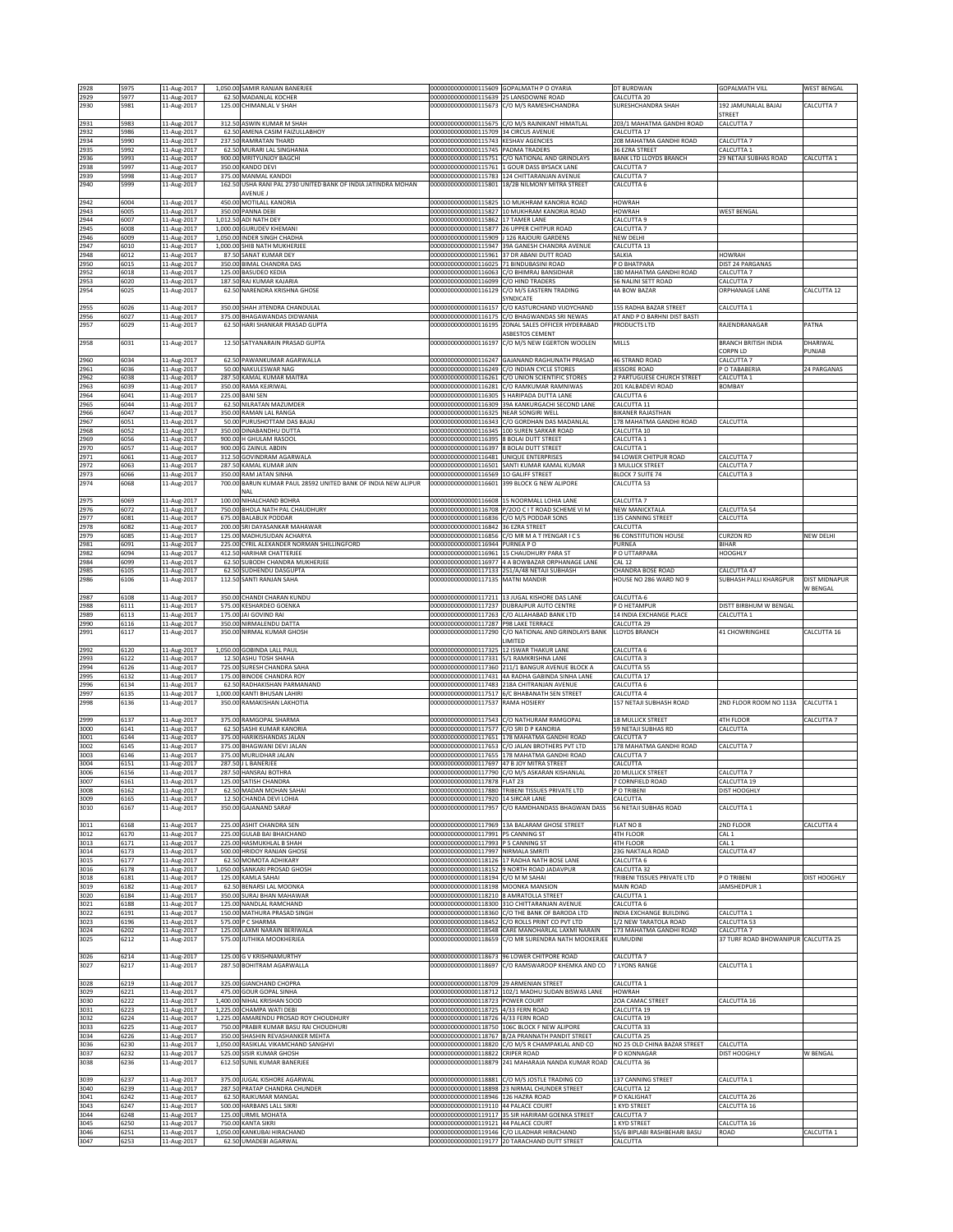|                      | 5975                 | 11-Aug-2017                               |        | 1,050.00 SAMIR RANJAN BANERJEE                                                   |                                                                            | 00000000000000115609 GOPALMATH P O OYARIA                                                            | DT BURDWAN                                               | <b>GOPALMATH VILL</b>                | <b>WEST BENGAL</b>   |
|----------------------|----------------------|-------------------------------------------|--------|----------------------------------------------------------------------------------|----------------------------------------------------------------------------|------------------------------------------------------------------------------------------------------|----------------------------------------------------------|--------------------------------------|----------------------|
| 2929                 | 5977                 | 11-Aug-2017                               |        | 62.50 MADANLAL KOCHER                                                            | 00000000000000115639 25 LANSDOWNE ROAD                                     |                                                                                                      | CALCUTTA 20                                              |                                      |                      |
| 2930                 | 5981                 | 11-Aug-2017                               |        | 125.00 CHIMANLAL V SHAH                                                          |                                                                            | 000000000000000115673 C/O M/S RAMESHCHANDRA                                                          | SURESHCHANDRA SHAH                                       | 192 JAMUNALAL BAJAJ                  | CALCUTTA 7           |
| 2931                 | 5983                 | 11-Aug-2017                               |        | 312.50 ASWIN KUMAR M SHAH                                                        | 0000000000000115675                                                        | C/O M/S RAJNIKANT HIMATLAL                                                                           | 203/1 MAHATMA GANDHI ROAD                                | TREET<br>ALCUTTA <sub>7</sub>        |                      |
| 2932                 | 5986                 | 11-Aug-2017                               | 62.50  | AMENA CASIM FAIZULLABHOY                                                         | 0000000000000115709                                                        | 34 CIRCUS AVENUE                                                                                     | CALCUTTA 17                                              |                                      |                      |
| 2934                 | 5990                 | 11-Aug-2017                               |        | 237.50 RAMRATAN THARD                                                            | 00000000000000115743 KESHAV AGENCIES                                       |                                                                                                      | 208 MAHATMA GANDHI ROAD                                  | ALCUTTA 7                            |                      |
| 2935                 | 5992                 | 11-Aug-2017                               |        | 62.50 MURARI LAL SINGHANIA                                                       | 000000000000000115745 PADMA TRADERS                                        |                                                                                                      | 36 EZRA STREET                                           | ALCUTTA <sub>1</sub>                 |                      |
| 2936                 | 5993                 | 11-Aug-2017                               |        | 900.00 MRITYUNJOY BAGCHI                                                         |                                                                            | 00000000000000115751 C/O NATIONAL AND GRINDLAYS                                                      | <b>BANK LTD LLOYDS BRANCH</b>                            | 29 NETAJI SUBHAS ROAD                | CALCUTTA 1           |
| 2938<br>2939         | 5997<br>5998         | 11-Aug-2017<br>11-Aug-2017                |        | 350.00 KANDO DEVI<br>375.00 MANMAL KANDOI                                        |                                                                            | 00000000000000115761 1 GOUR DASS BYSACK LANE<br>000000000000000115783 124 CHITTARANJAN AVENUE        | CALCUTTA 7<br>CALCUTTA 7                                 |                                      |                      |
| 2940                 | 5999                 | 11-Aug-2017                               |        | 162.50 USHA RANI PAL 2730 UNITED BANK OF INDIA JATINDRA MOHAN                    |                                                                            | 000000000000000115801 18/2B NILMONY MITRA STREET                                                     | CALCUTTA 6                                               |                                      |                      |
|                      |                      |                                           |        | AVENUE J                                                                         |                                                                            |                                                                                                      |                                                          |                                      |                      |
| 2942                 | 6004                 | 11-Aug-2017                               |        | 450.00 MOTILALL KANORIA                                                          | 0000000000000115825                                                        | 10 MUKHRAM KANORIA ROAD                                                                              | <b>HOWRAH</b>                                            |                                      |                      |
| 2943                 | 6005                 | 11-Aug-2017                               |        | 350.00 PANNA DEBI                                                                |                                                                            | 00000000000000115827 10 MUKHRAM KANORIA ROAD                                                         | HOWRAH                                                   | WEST BENGAL                          |                      |
| 2944<br>2945         | 6007<br>6008         | 11-Aug-2017<br>11-Aug-2017                |        | 1,012.50 ADI NATH DEY<br>1,000.00 GURUDEV KHEMANI                                | 00000000000000115862 17 TAMER LANE                                         | 000000000000000115877 26 UPPER CHITPUR ROAD                                                          | CALCUTTA 9<br>CALCUTTA 7                                 |                                      |                      |
| 2946                 | 6009                 | 11-Aug-2017                               |        | 1,050.00 INDER SINGH CHADHA                                                      |                                                                            | 00000000000000115909 J 126 RAJOURI GARDENS                                                           | NEW DELHI                                                |                                      |                      |
| 2947                 | 6010                 | 11-Aug-2017                               |        | 1,000.00 SHIB NATH MUKHERJEE                                                     |                                                                            | 000000000000000115947 39A GANESH CHANDRA AVENUE                                                      | CALCUTTA 13                                              |                                      |                      |
| 2948                 | 6012                 | 11-Aug-2017                               |        | 87.50 SANAT KUMAR DEY                                                            |                                                                            | 00000000000000115961 37 DR ABANI DUTT ROAD                                                           | SALKIA                                                   | <b>IOWRAH</b>                        |                      |
| 2950<br>2952         | 6015<br>6018         | 11-Aug-2017<br>11-Aug-2017                |        | 350.00 BIMAL CHANDRA DAS<br>125.00 BASUDEO KEDIA                                 | 00000000000000116025 71 BINDUBASINI ROAD                                   | 00000000000000116063 C/O BHIMRAJ BANSIDHAR                                                           | P O BHATPARA<br>180 MAHATMA GANDHI ROAD                  | <b>DIST 24 PARGANAS</b><br>ALCUTTA 7 |                      |
| 2953                 | 6020                 | 11-Aug-2017                               |        | 187.50 RAJ KUMAR KAJARIA                                                         | 00000000000000116099 C/O HIND TRADERS                                      |                                                                                                      | 56 NALINI SETT ROAD                                      | ALCUTTA <sub>7</sub>                 |                      |
| 2954                 | 6025                 | 11-Aug-2017                               |        | 62.50 NARENDRA KRISHNA GHOSE                                                     |                                                                            | 00000000000000116129 C/O M/S EASTERN TRADING                                                         | 4A BOW BAZAR                                             | ORPHANAGE LANE                       | CALCUTTA 12          |
|                      |                      |                                           |        |                                                                                  |                                                                            | SYNDICATE                                                                                            |                                                          |                                      |                      |
| 2955                 | 6026                 | 11-Aug-2017                               |        | 350.00 SHAH JITENDRA CHANDULAL                                                   | 0000000000000116157                                                        | C/O KASTURCHAND VIJOYCHAND                                                                           | 155 RADHA BAZAR STREE                                    | ALCUTTA <sub>1</sub>                 |                      |
| 2956<br>2957         | 6027<br>6029         | 11-Aug-2017<br>11-Aug-2017                |        | 375.00 BHAGAWANDAS DIDWANIA<br>62.50 HARI SHANKAR PRASAD GUPTA                   | 00000000000000116175<br>00000000000000116195                               | C/O BHAGWANDAS SRI NEWAS<br>ZONAL SALES OFFICER HYDERABAD                                            | AT AND P O BARHNI DIST BASTI<br>PRODUCTS LTD             | RAJENDRANAGAR                        | PATNA                |
|                      |                      |                                           |        |                                                                                  |                                                                            | ASBESTOS CEMENT                                                                                      |                                                          |                                      |                      |
| 2958                 | 6031                 | 11-Aug-2017                               |        | 12.50 SATYANARAIN PRASAD GUPTA                                                   | 00000000000000116197                                                       | C/O M/S NEW EGERTON WOOLEN                                                                           | MILLS                                                    | BRANCH BRITISH INDIA                 | DHARIWAL             |
|                      |                      |                                           |        |                                                                                  |                                                                            |                                                                                                      |                                                          | ORPN LD                              | PUNJAB               |
| 2960                 | 6034<br>6036         | 11-Aug-2017                               |        | 62.50 PAWANKUMAR AGARWALLA                                                       | 00000000000000116249                                                       | 00000000000000116247 GAJANAND RAGHUNATH PRASAD<br>C/O INDIAN CYCLE STORES                            | 46 STRAND ROAD<br>JESSORE ROAD                           | CALCUTTA 7                           | 24 PARGANAS          |
| 2961<br>2962         | 6038                 | 11-Aug-2017<br>11-Aug-2017                |        | 50.00 NAKULESWAR NAG<br>287.50 KAMAL KUMAR MAITRA                                | 0000000000000116261                                                        | C/O UNION SCIENTIFIC STORES                                                                          | 2 PARTUGUESE CHURCH STREET                               | O TABABERIA<br>ALCUTTA 1             |                      |
| 2963                 | 6039                 | 11-Aug-2017                               |        | 350.00 RAMA KEJRIWAL                                                             | 0000000000000116281                                                        | C/O RAMKUMAR RAMNIWAS                                                                                | 201 KALBADEVI ROAD                                       | <b>SOMBAY</b>                        |                      |
| 2964                 | 6041                 | 11-Aug-2017                               |        | 225.00 BANI SEN                                                                  |                                                                            | 00000000000000116305 5 HARIPADA DUTTA LANE                                                           | CALCUTTA 6                                               |                                      |                      |
| 2965                 | 6044                 | 11-Aug-2017                               |        | 62.50 NILRATAN MAZUMDER                                                          |                                                                            | 00000000000000116309 39A KANKURGACHI SECOND LANE                                                     | CALCUTTA 11                                              |                                      |                      |
| 2966<br>2967         | 6047<br>6051         | 11-Aug-2017<br>11-Aug-2017                |        | 350.00 RAMAN LAL RANGA<br>50.00 PURUSHOTTAM DAS BAJAJ                            | 00000000000000116325 NEAR SONGIRI WELL                                     | 00000000000000116343 C/O GORDHAN DAS MADANLAL                                                        | <b>BIKANER RAJASTHAN</b><br>178 MAHATMA GANDHI ROAD      | <b>ALCUTTA</b>                       |                      |
| 2968                 | 6052                 | 11-Aug-2017                               |        | 350.00 DINABANDHU DUTTA                                                          |                                                                            | 00000000000000116345 100 SUREN SARKAR ROAD                                                           | CALCUTTA 10                                              |                                      |                      |
| 2969                 | 6056                 | 11-Aug-2017                               |        | 900.00 H GHULAM RASOOL                                                           | 00000000000000116395 8 BOLAI DUTT STREET                                   |                                                                                                      | CALCUTTA 1                                               |                                      |                      |
| 2970                 | 6057                 | 11-Aug-2017                               |        | 900.00 G ZAINUL ABDIN                                                            | 2023116397.00000000116                                                     | 8 BOLAI DUTT STREET                                                                                  | CALCUTTA 1                                               |                                      |                      |
| 2971                 | 6061                 | 11-Aug-2017                               |        | 312.50 GOVINDRAM AGARWALA                                                        | 00000000000000116481                                                       | UNIQUE ENTERPRISES<br>000000000000000116501 SANTI KUMAR KAMAL KUMAR                                  | 94 LOWER CHITPUR ROAD<br>3 MULLICK STREET                | CALCUTTA 7                           |                      |
| 2972<br>2973         | 6063<br>6066         | 11-Aug-2017<br>11-Aug-2017                |        | 287.50 KAMAL KUMAR JAIN<br>350.00 RAM JATAN SINHA                                | 00000000000000116569 1O GALIFF STREET                                      |                                                                                                      | BLOCK 7 SUITE 74                                         | CALCUTTA 7<br>CALCUTTA 3             |                      |
| 2974                 | 6068                 | 11-Aug-2017                               | 700.00 | BARUN KUMAR PAUL 28592 UNITED BANK OF INDIA NEW ALIPUR                           |                                                                            | 00000000000000116601 399 BLOCK G NEW ALIPORE                                                         | CALCUTTA 53                                              |                                      |                      |
|                      |                      |                                           |        | NAL                                                                              |                                                                            |                                                                                                      |                                                          |                                      |                      |
| 2975                 | 6069                 | 11-Aug-2017                               |        | 100.00 NIHALCHAND BOHRA                                                          |                                                                            | 00000000000000116608 15 NOORMALL LOHIA LANE                                                          | CALCUTTA 7                                               |                                      |                      |
| 2976<br>2977         | 6072<br>6081         | 11-Aug-2017                               |        | 750.00 BHOLA NATH PAL CHAUDHURY                                                  | 00000000000000116836 C/O M/S PODDAR SONS                                   | 00000000000000116708 P/2OO C I T ROAD SCHEME VI M                                                    | NEW MANICKTALA<br>135 CANNING STREET                     | <b>CALCUTTA 54</b><br>CALCUTTA       |                      |
| 2978                 | 6082                 | 11-Aug-2017<br>11-Aug-2017                |        | 675.00 BALABUX PODDAR<br>200.00 SRI DAYASANKAR MAHAWAR                           | 00000000000000116842 36 EZRA STREET                                        |                                                                                                      | CALCUTTA                                                 |                                      |                      |
| 2979                 | 6085                 | 11-Aug-2017                               |        | 125.00 MADHUSUDAN ACHARYA                                                        |                                                                            | 00000000000000116856 C/O MR M A T IYENGAR I C S                                                      | 96 CONSTITUTION HOUSE                                    | CURZON RD                            | NEW DELHI            |
| 2981                 | 6091                 | 11-Aug-2017                               |        | 225.00 CYRIL ALEXANDER NORMAN SHILLINGFORD                                       | 00000000000000116944 PURNEA PO                                             |                                                                                                      | PURNEA                                                   | BIHAR                                |                      |
| 2982                 | 6094                 | 11-Aug-2017                               |        | 412.50 HARIHAR CHATTERJEE                                                        |                                                                            | 00000000000000116961 15 CHAUDHURY PARA ST                                                            | P O UTTARPARA                                            | <b>HOOGHLY</b>                       |                      |
| 2984                 | 6099                 | 11-Aug-2017                               |        | 62.50 SUBODH CHANDRA MUKHERJEE                                                   | 0000000000000116977                                                        | 4 A BOWBAZAR ORPHANAGE LANE                                                                          | CAL <sub>12</sub>                                        |                                      |                      |
| 2985<br>2986         | 5105<br>6106         | 11-Aug-2017<br>11-Aug-2017                |        | 62.50 SUDHENDU DASGUPTA<br>112.50 SANTI RANJAN SAHA                              | 00000000000000117135 MATNI MANDIR                                          | 00000000000000117133 251/A/48 NETAJI SUBHASH                                                         | CHANDRA BOSE ROAD<br>HOUSE NO 286 WARD NO 9              | ALCUTTA 47<br>SUBHASH PALLI KHARGPUR | <b>DIST MIDNAPUR</b> |
|                      |                      |                                           |        |                                                                                  |                                                                            |                                                                                                      |                                                          |                                      | W BENGAL             |
| 2987                 | 6108                 | 11-Aug-2017                               |        | 350.00 CHANDI CHARAN KUNDU                                                       |                                                                            | 000000000000000117211 13 JUGAL KISHORE DAS LANE                                                      | CALCUTTA-6                                               |                                      |                      |
| 2988                 | 6111                 | 11-Aug-2017                               |        | 575.00 KESHARDEO GOENKA                                                          |                                                                            | 00000000000000117237 DUBRAJPUR AUTO CENTRE                                                           | P O HETAMPUR                                             | <b>JISTT BIRBHUM W BENGAL</b>        |                      |
| 2989<br>2990         | 6113                 | 11-Aug-2017<br>11-Aug-2017                |        | 175.00 JAI GOVIND RAI<br>350.00 NIRMALENDU DATTA                                 | 000000000000000117287 P98 LAKE TERRACE                                     | 00000000000000117263 C/O ALLAHABAD BANK LTD                                                          | 14 INDIA EXCHANGE PLACE<br>CALCUTTA 29                   | CALCUTTA 1                           |                      |
| 2991                 | 6116<br>6117         | 11-Aug-2017                               |        | 350.00 NIRMAL KUMAR GHOSH                                                        |                                                                            | 00000000000000117290 C/O NATIONAL AND GRINDLAYS BANK                                                 | <b>LLOYDS BRANCH</b>                                     | <b>41 CHOWRINGHEE</b>                | CALCUTTA 16          |
|                      |                      |                                           |        |                                                                                  |                                                                            | <b>IMITED</b>                                                                                        |                                                          |                                      |                      |
| 2992                 | 6120                 | 11-Aug-2017                               |        | 1,050.00 GOBINDA LALL PAUL                                                       | 0000000000000117325                                                        | 12 ISWAR THAKUR LANE                                                                                 | CALCUTTA 6                                               |                                      |                      |
| 2993                 | 6122                 | 11-Aug-2017                               |        | 12.50 ASHU TOSH SHAHA                                                            | 00000000000000117331 5/1 RAMKRISHNA LANE                                   |                                                                                                      | CALCUTTA 3                                               |                                      |                      |
| 2994<br>2995         | 6126<br>6132         | 11-Aug-2017<br>11-Aug-2017                |        | 725.00 SURESH CHANDRA SAHA<br>175.00 BINODE CHANDRA ROY                          |                                                                            | 00000000000000117360 211/1 BANGUR AVENUE BLOCK A<br>00000000000000117431 4A RADHA GABINDA SINHA LANE | CALCUTTA 55<br>CALCUTTA 17                               |                                      |                      |
| 2996                 | 6134                 | 11-Aug-2017                               |        | 62.50 RADHAKISHAN PARMANAND                                                      |                                                                            | 00000000000000117483 218A CHITRANJAN AVENUE                                                          | CALCUTTA 6                                               |                                      |                      |
| 2997                 | 6135                 | 11-Aug-2017                               |        | 1,000.00 KANTI BHUSAN LAHIRI                                                     |                                                                            | 00000000000000117517 6/C BHABANATH SEN STREET                                                        | CALCUTTA 4                                               |                                      |                      |
| 2998                 | 6136                 | 11-Aug-2017                               |        | 350.00 RAMAKISHAN LAKHOTIA                                                       | 00000000000000117537                                                       | RAMA HOSIERY                                                                                         | 157 NETAJI SUBHASH ROAD                                  | 2ND FLOOR ROOM NO 113A               | CALCUTTA 1           |
| 2999                 | 6137                 |                                           |        | 375.00 RAMGOPAL SHARMA                                                           |                                                                            |                                                                                                      |                                                          |                                      |                      |
| 3000                 |                      |                                           |        |                                                                                  |                                                                            |                                                                                                      |                                                          |                                      |                      |
| 3001                 |                      | 11-Aug-2017                               |        |                                                                                  |                                                                            | 00000000000000117543 C/O NATHURAM RAMGOPAL                                                           | <b>18 MULLICK STREET</b>                                 | 4TH FLOOR                            | CALCUTTA 7           |
|                      | 6141                 | 11-Aug-2017                               |        | 62.50 SASHI KUMAR KANORIA                                                        | 00000000000000117577 C/O SRI D P KANORIA                                   | 00000000000000117651 178 MAHATMA GANDHI ROAD                                                         | 59 NETAJI SUBHAS RD<br>CALCUTTA 7                        | CALCUTTA                             |                      |
| 3002                 | 6144<br>5145         | 11-Aug-2017<br>11-Aug-2017                |        | 375.00 HARIKISHANDAS JALAN<br>375.00 BHAGWANI DEVI JALAN                         | 0000000000000117653                                                        | C/O JALAN BROTHERS PVT LTD                                                                           | 178 MAHATMA GANDHI ROAD                                  | ALCUTTA <sub>7</sub>                 |                      |
| 3003                 | 5146                 | 11-Aug-2017                               |        | 375.00 MURLIDHAR JALAN                                                           |                                                                            | 00000000000000117655 178 MAHATMA GANDHI ROAD                                                         | CALCUTTA 7                                               |                                      |                      |
| 3004                 | 6151                 | 11-Aug-2017                               |        | 287.50 J L BANERJEE                                                              | 00000000000000117697 47 B JOY MITRA STREET                                 |                                                                                                      | CALCUTTA                                                 |                                      |                      |
| 3006                 | 6156                 | 11-Aug-2017                               |        | 287.50 HANSRAJ BOTHRA                                                            |                                                                            | 00000000000000117790 C/O M/S ASKARAN KISHANLAL                                                       | <b>20 MULLICK STREET</b>                                 | CALCUTTA 7                           |                      |
| 3007<br>3008         | 6161<br>6162         | 11-Aug-2017<br>11-Aug-2017                |        | 125.00 SATISH CHANDRA<br>62.50 MADAN MOHAN SAHAI                                 | 00000000000000117878 FLAT 23                                               | 00000000000000117880 TRIBENI TISSUES PRIVATE LTD                                                     | CORNFIELD ROAD<br>P O TRIBENI                            | CALCUTTA 19<br>DIST HOOGHLY          |                      |
| 3009                 | 6165                 | 11-Aug-2017                               |        | 12.50 CHANDA DEVI LOHIA                                                          | 000000000000000117920 14 SIRCAR LANE                                       |                                                                                                      | CALCUTTA                                                 |                                      |                      |
| 3010                 | 6167                 | 11-Aug-2017                               |        | 350.00 GAJANAND SARAF                                                            |                                                                            | 00000000000000117957 C/O RAMDHANDASS BHAGWAN DASS                                                    | <b>56 NETAJI SUBHAS ROAD</b>                             | CALCUTTA 1                           |                      |
|                      |                      |                                           |        |                                                                                  |                                                                            |                                                                                                      |                                                          |                                      |                      |
| 3011<br>3012         | 6168<br>6170         | 11-Aug-2017<br>11-Aug-2017                |        | 225.00 ASHIT CHANDRA SEN<br>225.00 GULAB BAI BHAICHAND                           | 000000000000000117991 P5 CANNING ST                                        | 00000000000000117969 13A BALARAM GHOSE STREET                                                        | FLAT NO 8<br>4TH FLOOR                                   | 2ND FLOOR<br>CAL 1                   | CALCUTTA 4           |
| 3013                 | 6171                 | 11-Aug-2017                               |        | 225.00 HASMUKHLAL B SHAH                                                         | 00000000000000117993 P 5 CANNING ST                                        |                                                                                                      | 4TH FLOOR                                                | CAL 1                                |                      |
| 3014                 | 6173                 | 11-Aug-2017                               |        | 500.00 HRIDOY RANJAN GHOSE                                                       | 00000000000000117997 NIRMALA SMRITI                                        |                                                                                                      | 23G NAKTALA ROAD                                         | CALCUTTA 47                          |                      |
| 3015                 | 6177                 | 11-Aug-2017                               |        | 62.50 MOMOTA ADHIKARY                                                            |                                                                            | 00000000000000118126 17 RADHA NATH BOSE LANE                                                         | CALCUTTA 6                                               |                                      |                      |
| 3016                 | 6178                 | 11-Aug-2017                               |        | 1,050.00 SANKARI PROSAD GHOSH                                                    |                                                                            | 00000000000000118152 9 NORTH ROAD JADAVPUR                                                           | CALCUTTA 32                                              |                                      |                      |
| 3018<br>3019         | 6181<br>6182         | 11-Aug-2017<br>11-Aug-2017                |        | 125.00 KAMLA SAHAI<br>62.50 BENARSI LAL MOONKA                                   | 00000000000000118194 C/O M M SAHAI<br>000000000000000118198 MOONKA MANSION |                                                                                                      | TRIBENI TISSUES PRIVATE LTD<br>MAIN ROAD                 | P O TRIBENI<br><b>IAMSHEDPUR 1</b>   | DIST HOOGHLY         |
| 3020                 | 6184                 | 11-Aug-2017                               |        | 350.00 SURAJ BHAN MAHAWAR                                                        | 00000000000000118210 8 AMRATOLLA STREET                                    |                                                                                                      | CALCUTTA 1                                               |                                      |                      |
| 3021                 | 6188                 | 11-Aug-2017                               |        | 125.00 NANDLAL RAMCHAND                                                          |                                                                            | 00000000000000118300 31O CHITTARANJAN AVENUE                                                         | CALCUTTA 6                                               |                                      |                      |
| 3022                 | 6191                 | 11-Aug-2017                               |        | 150.00 MATHURA PRASAD SINGH<br>575.00 P C SHARMA                                 | 00000000000000118452                                                       | 00000000000000118360 C/O THE BANK OF BARODA LTD<br>C/O ROLLS PRINT CO PVT LTD                        | INDIA EXCHANGE BUILDING<br>1/2 NEW TARATOLA ROAD         | CALCUTTA 1                           |                      |
| 3023<br>3024         | 5196<br>5202         | 11-Aug-2017<br>11-Aug-2017                |        | 125.00 LAXMI NARAIN BERIWALA                                                     | 0000000000000118548                                                        | CARE MANOHARLAL LAXMI NARAIN                                                                         | 173 MAHATMA GANDHI ROAD                                  | ALCUTTA 53<br>ALCUTTA 7              |                      |
| 3025                 | 6212                 | 11-Aug-2017                               |        | 575.00 JUTHIKA MOOKHERJEA                                                        | 00000000000000118659                                                       | C/O MR SURENDRA NATH MOOKERJEE                                                                       | KUMUDINI                                                 | 37 TURF ROAD BHOWANIPUR CALCUTTA 25  |                      |
|                      |                      |                                           |        |                                                                                  |                                                                            |                                                                                                      |                                                          |                                      |                      |
| 3026                 | 6214                 | 11-Aug-2017                               |        | 125.00 G V KRISHNAMURTHY                                                         |                                                                            | 00000000000000118673 96 LOWER CHITPORE ROAD                                                          | CALCUTTA 7                                               |                                      |                      |
| 3027                 | 6217                 | 11-Aug-2017                               |        | 287.50 BOHITRAM AGARWALLA                                                        |                                                                            | 00000000000000118697 C/O RAMSWAROOP KHEMKA AND CO                                                    | 7 LYONS RANGE                                            | CALCUTTA 1                           |                      |
| 3028                 | 6219                 | 11-Aug-2017                               |        | 325.00 GIANCHAND CHOPRA                                                          | 00000000000000118709 29 ARMENIAN STREET                                    |                                                                                                      | CALCUTTA 1                                               |                                      |                      |
| 3029                 | 6221                 | 11-Aug-2017                               |        | 475.00 GOUR GOPAL SINHA                                                          |                                                                            | 00000000000000118712 102/1 MADHU SUDAN BISWAS LANE                                                   | HOWRAH                                                   |                                      |                      |
| 3030                 | 6222                 | 11-Aug-2017                               |        | 1,400.00 NIHAL KRISHAN SOOD                                                      | 00000000000000118723 POWER COURT                                           |                                                                                                      | 20A CAMAC STREET                                         | ALCUTTA 16                           |                      |
| 3031                 | 6223                 | 11-Aug-2017                               |        | 1,225.00 CHAMPA WATI DEBI                                                        | 00000000000000118725 4/33 FERN ROAD                                        |                                                                                                      | CALCUTTA 19                                              |                                      |                      |
| 3032                 | 6224<br>6225         | 11-Aug-2017                               |        | 1,225.00 AMARENDU PROSAD ROY CHOUDHURY<br>750.00 PRABIR KUMAR BASU RAI CHOUDHURI | 000000000000000118726 4/33 FERN ROAD                                       |                                                                                                      | CALCUTTA 19                                              |                                      |                      |
| 3033<br>3034         | 6226                 | 11-Aug-2017<br>11-Aug-2017                |        | 350.00 SHASHIN REVASHANKER MEHTA                                                 |                                                                            | 00000000000000118750 106C BLOCK F NEW ALIPORE<br>00000000000000118767 8/2A PRANNATH PANDIT STREET    | CALCUTTA 33<br>CALCUTTA 25                               |                                      |                      |
| 3036                 | 6230                 | 11-Aug-2017                               |        | 1,050.00 RASIKLAL VIKAMCHAND SANGHVI                                             |                                                                            | 00000000000000118820 C/O M/S R CHAMPAKLAL AND CO                                                     | NO 25 OLD CHINA BAZAR STREET                             | CALCUTTA                             |                      |
| 3037                 | 6232                 | 11-Aug-2017                               |        | 525.00 SISIR KUMAR GHOSH                                                         | 00000000000000118822 CRIPER ROAD                                           |                                                                                                      | P O KONNAGAR                                             | DIST HOOGHLY                         | W BENGAL             |
| 3038                 | 6236                 | 11-Aug-2017                               |        | 612.50 SUNIL KUMAR BANERJEE                                                      |                                                                            | 00000000000000118879 241 MAHARAJA NANDA KUMAR ROAD                                                   | CALCUTTA 36                                              |                                      |                      |
| 3039                 | 6237                 | 11-Aug-2017                               |        | 375.00 JUGAL KISHORE AGARWAL                                                     |                                                                            | 00000000000000118881 C/O M/S JOSTLE TRADING CO                                                       | 137 CANNING STREET                                       | CALCUTTA 1                           |                      |
| 3040                 | 6239                 | 11-Aug-2017                               |        | 287.50 PRATAP CHANDRA CHUNDER                                                    |                                                                            | 00000000000000118898 23 NIRMAL CHUNDER STREET                                                        | CALCUTTA 12                                              |                                      |                      |
| 3041                 | 6242                 | 11-Aug-2017                               |        | 62.50 RAJKUMAR MANGAL                                                            | 00000000000000118946 126 HAZRA ROAD                                        |                                                                                                      | P O KALIGHAT                                             | CALCUTTA 26                          |                      |
| 3043                 | 6247                 | 11-Aug-2017                               |        | 500.00 HARBANS LALL SIKRI                                                        | 00000000000000119110 44 PALACE COURT                                       |                                                                                                      | 1 KYD STREET                                             | CALCUTTA 16                          |                      |
| 3044                 | 6248                 | 11-Aug-2017                               |        | 125.00 URMIL MOHATA                                                              |                                                                            | 00000000000000119117 35 SIR HARIRAM GOENKA STREET                                                    | CALCUTTA 7                                               |                                      |                      |
| 3045<br>3046<br>3047 | 6250<br>6251<br>6253 | 11-Aug-2017<br>11-Aug-2017<br>11-Aug-2017 |        | 750.00 KANTA SIKRI<br>1,050.00 KANKUBAI HIRACHAND<br>62.50 UMADEBI AGARWAL       | 000000000000000119121 44 PALACE COURT                                      | 000000000000000119146 C/O LILADHAR HIRACHAND<br>00000000000000119177 20 TARACHAND DUTT STREET        | 1 KYD STREET<br>55/6 BIPLABI RASHBEHARI BASU<br>CALCUTTA | CALCUTTA 16<br><b>OAD</b>            | CALCUTTA 1           |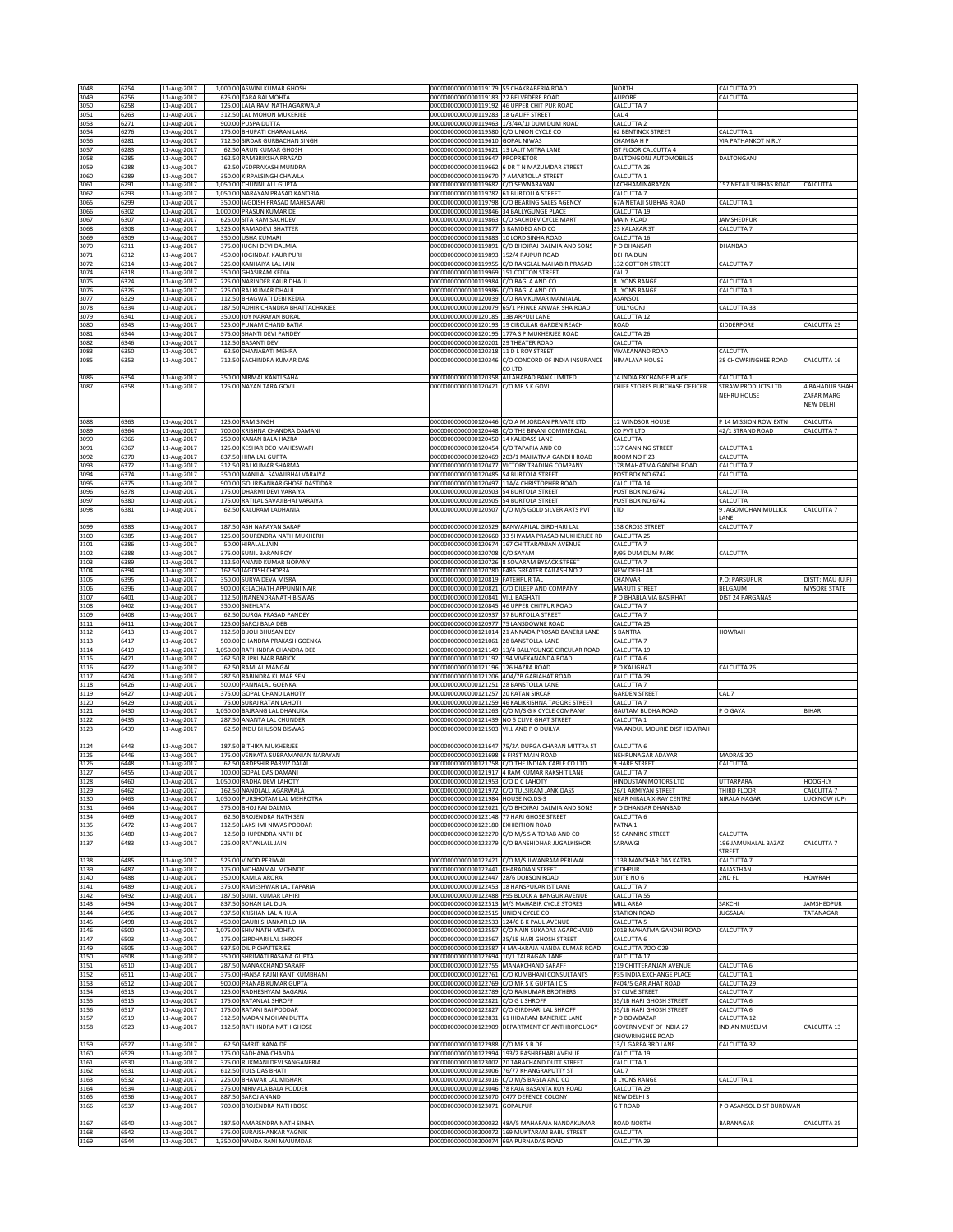| 3048         | 6254         | 11-Aug-2017                | 1,000.00 ASWINI KUMAR GHOSH                                        | 00000000000000119179 55 CHAKRABERIA ROAD                                       |                                                                                                 | <b>NORTH</b>                                      | CALCUTTA 20                     |                                  |
|--------------|--------------|----------------------------|--------------------------------------------------------------------|--------------------------------------------------------------------------------|-------------------------------------------------------------------------------------------------|---------------------------------------------------|---------------------------------|----------------------------------|
| 3049         | 6256         | 11-Aug-2017                | 625.00 TARA BAI MOHTA                                              | 00000000000000119183                                                           | 2 BELVEDERE ROAD                                                                                | ALIPORE                                           | CALCUTTA                        |                                  |
| 3050<br>3051 | 6258<br>6263 | 11-Aug-2017<br>11-Aug-2017 | 125.00 LALA RAM NATH AGARWALA<br>312.50 LAL MOHON MUKERJEE         | 00000000000000119283 18 GALIFF STREET                                          | 00000000000000119192 46 UPPER CHIT PUR ROAD                                                     | CALCUTTA 7<br>CAL <sub>4</sub>                    |                                 |                                  |
| 3053         | 6271         | 11-Aug-2017                | 900.00 PUSPA DUTTA                                                 |                                                                                | 00000000000000119463 1/3/4A/1J DUM DUM ROAD                                                     | CALCUTTA 2                                        |                                 |                                  |
| 3054         | 6276         | 11-Aug-2017                | 175.00 BHUPATI CHARAN LAHA                                         | 00000000000000119580 C/O UNION CYCLE CO                                        |                                                                                                 | <b>62 BENTINCK STREET</b>                         | CALCUTTA 1                      |                                  |
| 3056<br>3057 | 6281<br>6283 | 11-Aug-2017<br>11-Aug-2017 | 712.50 SIRDAR GURBACHAN SINGH<br>62.50 ARUN KUMAR GHOSH            | 00000000000000119610 GOPAL NIWAS<br>00000000000000119621 13 LALIT MITRA LANE   |                                                                                                 | CHAMBA H P<br>IST FLOOR CALCUTTA 4                | VIA PATHANKOT N RLY             |                                  |
| 3058         | 6285         | 11-Aug-2017                | 162.50 RAMBRIKSHA PRASAD                                           | 0000000000000119647                                                            | PROPRIETOR                                                                                      | DALTONGONJ AUTOMOBILES                            | DALTONGANJ                      |                                  |
| 3059<br>3060 | 6288<br>6289 | 11-Aug-2017<br>11-Aug-2017 | 62.50 VEDPRAKASH MUNDRA<br>350.00 KIRPALSINGH CHAWLA               | 00000000000000119662<br>00000000000000119670 7 AMARTOLLA STREET                | DR T N MAZUMDAR STREET                                                                          | CALCUTTA 26<br>CALCUTTA 1                         |                                 |                                  |
| 3061         | 6291         | 11-Aug-2017                | 1,050.00 CHUNNILALL GUPTA                                          | 00000000000000119682                                                           | C/O SEWNARAYAN                                                                                  | LACHHAMINARAYAN                                   | 157 NETAJI SUBHAS ROAD          | CALCUTTA                         |
| 3062<br>3065 | 6293<br>6299 | 11-Aug-2017<br>11-Aug-2017 | 1,050.00 NARAYAN PRASAD KANORIA<br>350.00 JAGDISH PRASAD MAHESWARI | 00000000000000119782<br>00000000000000119798                                   | <b>61 BURTOLLA STREET</b><br>C/O BEARING SALES AGENCY                                           | CALCUTTA 7<br>67A NETAJI SUBHAS ROAD              | CALCUTTA 1                      |                                  |
| 3066         | 6302         | 11-Aug-2017                | 1,000.00 PRASUN KUMAR DE                                           | 00000000000000119846 34 BALLYGUNGE PLACE                                       |                                                                                                 | CALCUTTA 19                                       |                                 |                                  |
| 3067         | 6307         | 11-Aug-2017                | 625.00 SITA RAM SACHDEV                                            | 00000000000000119863                                                           | C/O SACHDEV CYCLE MART                                                                          | MAIN ROAD                                         | JAMSHEDPUR                      |                                  |
| 3068<br>3069 | 6308<br>6309 | 11-Aug-2017<br>11-Aug-2017 | 1,325.00 RAMADEVI BHATTER<br>350.00 USHA KUMARI                    | 00000000000000119877<br>00000000000000119883                                   | S RAMDEO AND CO<br>10 LORD SINHA ROAD                                                           | 23 KALAKAR ST<br>ALCUTTA 16                       | CALCUTTA 7                      |                                  |
| 3070         | 6311         | 11-Aug-2017                | 375.00 JUGNI DEVI DALMIA                                           |                                                                                | 00000000000000119891 C/O BHOJRAJ DALMIA AND SONS                                                | P O DHANSAR                                       | DHANBAD                         |                                  |
| 3071<br>3072 | 6312<br>6314 | 11-Aug-2017<br>11-Aug-2017 | 450.00 JOGINDAR KAUR PURI<br>325.00 KANHAIYA LAL JAIN              | 00000000000000119893<br>00000000000000119955                                   | 152/4 RAJPUR ROAD<br>C/O RANGLAL MAHABIR PRASAD                                                 | DEHRA DUN<br>132 COTTON STREET                    | CALCUTTA 7                      |                                  |
| 3074         | 6318         | 11-Aug-2017                | 350.00 GHASIRAM KEDIA                                              | 00000000000000119969 151 COTTON STREET                                         |                                                                                                 | CAL <sub>7</sub>                                  |                                 |                                  |
| 3075<br>3076 | 6324<br>6326 | 11-Aug-2017<br>11-Aug-2017 | 225.00 NARINDER KAUR DHAUL<br>225.00 RAJ KUMAR DHAUL               | 00000000000000119984 C/O BAGLA AND CO<br>00000000000000119986                  | C/O BAGLA AND CO                                                                                | 8 LYONS RANGE<br><b>8 LYONS RANGE</b>             | CALCUTTA 1<br>CALCUTTA 1        |                                  |
| 3077         | 6329         | 11-Aug-2017                | 112.50 BHAGWATI DEBI KEDIA                                         | 00000000000000120039                                                           | C/O RAMKUMAR MAMIALAL                                                                           | ASANSOL                                           |                                 |                                  |
| 3078         | 6334         | 11-Aug-2017                | 187.50 ADHIR CHANDRA BHATTACHARJEE                                 | 00000000000000120079                                                           | 55/1 PRINCE ANWAR SHA ROAD                                                                      | <b>TOLLYGON</b>                                   | CALCUTTA 33                     |                                  |
| 3079<br>3080 | 6341<br>6343 | 11-Aug-2017<br>11-Aug-2017 | 350.00 JOY NARAYAN BORAL<br>525.00 PUNAM CHAND BATIA               | 00000000000000120185                                                           | 13B ARPULI LANE<br>00000000000000120193 19 CIRCULAR GARDEN REACH                                | CALCUTTA 12<br>ROAD                               | KIDDERPORE                      | CALCUTTA 23                      |
| 3081         | 6344         | 11-Aug-2017                | 375.00 SHANTI DEVI PANDEY                                          | 00000000000000120195                                                           | 177A S P MUKHERJEE ROAD                                                                         | CALCUTTA 26                                       |                                 |                                  |
| 3082<br>3083 | 6346<br>6350 | 11-Aug-2017<br>11-Aug-2017 | 112.50 BASANTI DEVI<br>62.50 DHANABATI MEHRA                       | 00000000000000120201<br>00000000000000120318 11 D L ROY STREET                 | 29 THEATER ROAD                                                                                 | CALCUTTA<br><b>VIVAKANAND ROAD</b>                | CALCUTTA                        |                                  |
| 3085         | 6353         | 11-Aug-2017                | 712.50 SACHINDRA KUMAR DAS                                         | 00000000000000120346                                                           | C/O CONCORD OF INDIA INSURANCE                                                                  | HIMALAYA HOUSE                                    | 38 CHOWRINGHEE ROAD             | CALCUTTA 16                      |
| 3086         | 6354         | 11-Aug-2017                | 350.00 NIRMAL KANTI SAHA                                           | 00000000000000120358                                                           | CO LTD<br>ALLAHABAD BANK LIMITED                                                                | 14 INDIA EXCHANGE PLACE                           | CALCUTTA 1                      |                                  |
| 3087         | 6358         | 11-Aug-2017                | 125.00 NAYAN TARA GOVIL                                            | 00000000000000120421                                                           | C/O MR S K GOVIL                                                                                | CHIEF STORES PURCHASE OFFICER                     | STRAW PRODUCTS LTD              | <b>BAHADUR SHAH</b>              |
|              |              |                            |                                                                    |                                                                                |                                                                                                 |                                                   | <b>NEHRU HOUSE</b>              | ZAFAR MARG<br>NEW DELHI          |
|              |              |                            |                                                                    |                                                                                |                                                                                                 |                                                   |                                 |                                  |
| 3088         | 6363         | 11-Aug-2017                | 125.00 RAM SINGH                                                   |                                                                                | 00000000000000120446 C/O A M JORDAN PRIVATE LTD                                                 | 12 WINDSOR HOUSE                                  | P 14 MISSION ROW EXTN           | CALCUTTA                         |
| 3089<br>3090 | 6364<br>6366 | 11-Aug-2017<br>11-Aug-2017 | 700.00 KRISHNA CHANDRA DAMANI<br>250.00 KANAN BALA HAZRA           | 00000000000000120450 14 KALIDASS LANE                                          | 00000000000000120448 C/O THE BINANI COMMERCIAL                                                  | CO PVT LTD<br>CALCUTTA                            | 42/1 STRAND ROAD                | CALCUTTA 7                       |
| 3091         | 6367         | 11-Aug-2017                | 125.00 KESHAR DEO MAHESWARI                                        | 00000000000000120454                                                           | C/O TAPARIA AND CO                                                                              | 137 CANNING STREET                                | CALCUTTA 1                      |                                  |
| 3092<br>3093 | 6370<br>6372 | 11-Aug-2017<br>11-Aug-2017 | 837.50 HIRA LAL GUPTA<br>312.50 RAJ KUMAR SHARMA                   |                                                                                | 00000000000000120469 203/1 MAHATMA GANDHI ROAD<br>00000000000000120477 VICTORY TRADING COMPANY  | ROOM NO F 23<br>178 MAHATMA GANDHI ROAD           | CALCUTTA<br>CALCUTTA 7          |                                  |
| 3094         | 6374         | 11-Aug-2017                | 350.00 MANILAL SAVAJIBHAI VARAIYA                                  | 00000000000000120485 54 BURTOLA STREET                                         |                                                                                                 | POST BOX NO 6742                                  | CALCUTTA                        |                                  |
| 3095         | 6375         | 11-Aug-2017                | 900.00 GOURISANKAR GHOSE DASTIDAR                                  |                                                                                | 00000000000000120497 11A/4 CHRISTOPHER ROAD<br>54 BURTOLA STREET                                | CALCUTTA 14<br>POST BOX NO 6742                   |                                 |                                  |
| 3096<br>3097 | 6378<br>6380 | 11-Aug-2017<br>11-Aug-2017 | 175.00 DHARMI DEVI VARAIYA<br>175.00 RATILAL SAVAJIBHAI VARAIYA    | 00000000000000120503<br>00000000000000120505 54 BURTOLA STREET                 |                                                                                                 | POST BOX NO 6742                                  | CALCUTTA<br>CALCUTTA            |                                  |
| 3098         | 6381         | 11-Aug-2017                | 62.50 KALURAM LADHANIA                                             |                                                                                | 00000000000000120507 C/O M/S GOLD SILVER ARTS PVT                                               | LTD                                               | 9 JAGOMOHAN MULLICK             | CALCUTTA 7                       |
| 3099         | 6383         | 11-Aug-2017                | 187.50 ASH NARAYAN SARAF                                           |                                                                                | 000000000000000120529 BANWARILAL GIRDHARI LAL                                                   | <b>158 CROSS STREET</b>                           | ANE<br>CALCUTTA 7               |                                  |
| 3100         | 6385         | 11-Aug-2017                | 125.00 SOURENDRA NATH MUKHERJI                                     | 00000000000000120660                                                           | 33 SHYAMA PRASAD MUKHERJEE RD                                                                   | CALCUTTA 25                                       |                                 |                                  |
| 3101<br>3102 | 6386<br>6388 | 11-Aug-2017<br>11-Aug-2017 | 50.00 HIRALAL JAIN<br>375.00 SUNIL BARAN ROY                       | 00000000000000120708                                                           | 00000000000000120674 167 CHITTARANJAN AVENUE<br>C/O SAYAM                                       | CALCUTTA 7<br>P/95 DUM DUM PARK                   | CALCUTTA                        |                                  |
| 3103         | 6389         | 11-Aug-2017                | 112.50 ANAND KUMAR NOPANY                                          | 00000000000000120726                                                           | 8 SOVARAM BYSACK STREET                                                                         | CALCUTTA 7                                        |                                 |                                  |
| 3104         | 6394         | 11-Aug-2017                | 162.50 JAGDISH CHOPRA                                              |                                                                                | 00000000000000120780 E486 GREATER KAILASH NO 2                                                  | NEW DELHI 48                                      |                                 |                                  |
| 3105<br>3106 | 6395<br>6396 | 11-Aug-2017<br>11-Aug-2017 | 350.00 SURYA DEVA MISRA<br>900.00 KELACHATH APPUNNI NAIR           | 00000000000000120819 FATEHPUR TAL<br>00000000000000120821                      | C/O DILEEP AND COMPANY                                                                          | CHANVAR<br>MARUTI STREET                          | P.O: PARSUPUR<br>BELGAUM        | DISTT: MAU (U.P)<br>MYSORE STATE |
| 3107         | 6401         | 11-Aug-2017                | 112.50 JNANENDRANATH BISWAS                                        | 00000000000000120841                                                           | <b>VILL BAGHATI</b>                                                                             | O BHABLA VIA BASIRHAT                             | DIST 24 PARGANAS                |                                  |
| 3108<br>3109 | 6402<br>6408 | 11-Aug-2017<br>11-Aug-2017 | 350.00 SNEHLATA<br>62.50 DURGA PRASAD PANDEY                       | 00000000000000120845<br>00000000000000120937 57 BURTOLLA STREET                | 46 UPPER CHITPUR ROAD                                                                           | CALCUTTA 7<br>CALCUTTA 7                          |                                 |                                  |
| 3111         | 6411         | 11-Aug-2017                | 125.00 SAROJ BALA DEBI                                             | 00000000000000120977 75 LANSDOWNE ROAD                                         |                                                                                                 | CALCUTTA 25                                       |                                 |                                  |
| 3112<br>3113 | 6413<br>6417 | 11-Aug-2017<br>11-Aug-2017 | 112.50 BIJOLI BHUSAN DEY<br>500.00 CHANDRA PRAKASH GOENKA          | 00000000000000121014<br>00000000000000121061 28 BANSTOLLA LANE                 | 21 ANNADA PROSAD BANERJI LANE                                                                   | <b>BANTRA</b><br>CALCUTTA 7                       | <b>HOWRAH</b>                   |                                  |
| 3114         | 6419         | 11-Aug-2017                | 1,050.00 RATHINDRA CHANDRA DEB                                     |                                                                                | 00000000000000121149 13/4 BALLYGUNGE CIRCULAR ROAD                                              | CALCUTTA 19                                       |                                 |                                  |
| 3115<br>3116 | 6421<br>6422 | 11-Aug-2017<br>11-Aug-2017 | 262.50 RUPKUMAR BARICK<br>62.50 RAMLAL MANGAL                      | 00000000000000121192<br>00000000000000121196                                   | 194 VIVEKANANDA ROAD<br>126 HAZRA ROAD                                                          | CALCUTTA 6<br>O KALIGHAT                          | CALCUTTA 26                     |                                  |
| 3117         | 6424         | 11-Aug-2017                | 287.50 RABINDRA KUMAR SEN                                          | 00000000000000121206                                                           | 404/7B GARIAHAT ROAD                                                                            | <b>CALCUTTA 29</b>                                |                                 |                                  |
| 3118         | 6426         | 11-Aug-2017                | 500.00 PANNALAL GOENKA                                             | 00000000000000121251 28 BANSTOLLA LANE                                         |                                                                                                 | CALCUTTA 7                                        |                                 |                                  |
| 3119<br>3120 | 6427<br>6429 | 11-Aug-2017<br>11-Aug-2017 | 375.00 GOPAL CHAND LAHOTY<br>75.00 SURAJ RATAN LAHOTI              | 00000000000000121257 20 RATAN SIRCAR                                           | 00000000000000121259 46 KALIKRISHNA TAGORE STREET                                               | <b>GARDEN STREET</b><br>CALCUTTA 7                | CAL 7                           |                                  |
| 3121         | 6430         | 11-Aug-2017                | 1,050.00 BAJRANG LAL DHANUKA                                       | 00000000000000121263                                                           | C/O M/S G K CYCLE COMPANY                                                                       | <b>GAUTAM BUDHA ROAD</b>                          | P O GAYA                        | BIHAR                            |
| 3122<br>3123 | 6435<br>6439 | 11-Aug-2017<br>11-Aug-2017 | 287.50 ANANTA LAL CHUNDER<br>62.50 INDU BHUSON BISWAS              | 00000000000000121503 VILL AND P O DUILYA                                       | 00000000000000121439 NO 5 CLIVE GHAT STREET                                                     | CALCUTTA 1<br>VIA ANDUL MOURIE DIST HOWRAH        |                                 |                                  |
|              |              |                            |                                                                    |                                                                                |                                                                                                 |                                                   |                                 |                                  |
| 3124<br>3125 | 6443<br>6446 | 11-Aug-2017<br>11-Aug-2017 | 187.50 BITHIKA MUKHERJEE<br>175.00 VENKATA SUBRAMANIAN NARAYAN     | 00000000000000121698 6 FIRST MAIN ROAD                                         | 00000000000000121647 75/2A DURGA CHARAN MITTRA ST                                               | CALCUTTA 6<br>NEHRUNAGAR ADAYAR                   | MADRAS <sub>20</sub>            |                                  |
| 3126         | 6448         | 11-Aug-2017                | 62.50 ARDESHIR PARVIZ DALAL                                        |                                                                                | 00000000000000121758 C/O THE INDIAN CABLE CO LTD                                                | 9 HARE STREET                                     | CALCUTTA                        |                                  |
| 3127         | 6455         | 11-Aug-2017                | 100.00 GOPAL DAS DAMANI                                            |                                                                                | 00000000000000121917 4 RAM KUMAR RAKSHIT LANE                                                   | CALCUTTA 7                                        |                                 |                                  |
| 3128<br>3129 | 6460<br>6462 | 11-Aug-2017<br>11-Aug-2017 | 1,050.00 RADHA DEVI LAHOTY<br>162.50 NANDLALL AGARWALA             | 00000000000000121953 C/O D C LAHOTY                                            | 00000000000000121972 C/O TULSIRAM JANKIDASS                                                     | HINDUSTAN MOTORS LTD<br>26/1 ARMIYAN STREET       | <b>UTTARPARA</b><br>THIRD FLOOR | <b>HOOGHLY</b><br>CALCUTTA 7     |
| 3130         | 6463         | 11-Aug-2017                | 1,050.00 PURSHOTAM LAL MEHROTRA                                    | 00000000000000121984 HOUSE NO.DS-3                                             |                                                                                                 | NEAR NIRALA X-RAY CENTRE                          | NIRALA NAGAR                    | LUCKNOW (UP)                     |
| 3131<br>3134 | 6464<br>6469 | 11-Aug-2017<br>11-Aug-2017 | 375.00 BHOJ RAJ DALMIA<br>62.50 BROJENDRA NATH SEN                 | 00000000000000122021<br>00000000000000122148                                   | C/O BHOJRAJ DALMIA AND SONS<br>77 HARI GHOSE STREET                                             | P O DHANSAR DHANBAD<br>CALCUTTA 6                 |                                 |                                  |
| 3135         | 6472         | 11-Aug-2017                | 112.50 LAKSHMI NIWAS PODDAR                                        | 00000000000000122180                                                           | EXHIBITION ROAD                                                                                 | PATNA 1                                           |                                 |                                  |
| 3136         | 6480<br>6483 | 11-Aug-2017                | 12.50 BHUPENDRA NATH DE<br>225.00 RATANLALL JAIN                   | 00000000000000122379                                                           | 00000000000000122270 C/O M/S S A TORAB AND CO<br>C/O BANSHIDHAR JUGALKISHOR                     | 55 CANNING STREET<br>SARAWGI                      | CALCUTTA<br>196 JAMUNALAL BAZAZ | CALCUTTA 7                       |
| 3137         |              | 11-Aug-2017                |                                                                    |                                                                                |                                                                                                 |                                                   | <b>STREET</b>                   |                                  |
| 3138         | 6485         | 11-Aug-2017                | 525.00 VINOD PERIWAL                                               |                                                                                | 00000000000000122421 C/O M/S JIWANRAM PERIWAL                                                   | 113B MANOHAR DAS KATRA                            | CALCUTTA 7                      |                                  |
| 3139<br>3140 | 6487<br>6488 | 11-Aug-2017<br>11-Aug-2017 | 175.00 MOHANMAL MOHNOT<br>350.00 KAMLA ARORA                       | 00000000000000122441 KHARADIAN STREET<br>00000000000000122447 28/6 DOBSON ROAD |                                                                                                 | <b>JODHPUR</b><br>SUITE NO 6                      | RAJASTHAN<br>2ND FL             | HOWRAH                           |
| 3141         | 6489         | 11-Aug-2017                | 375.00 RAMESHWAR LAL TAPARIA                                       |                                                                                | 00000000000000122453 18 HANSPUKAR IST LANE                                                      | CALCUTTA 7                                        |                                 |                                  |
| 3142<br>3143 | 6492<br>6494 | 11-Aug-2017<br>11-Aug-2017 | 187.50 SUNIL KUMAR LAHIRI<br>837.50 SOHAN LAL DUA                  |                                                                                | 00000000000000122488 P95 BLOCK A BANGUR AVENUE<br>00000000000000122513 M/S MAHABIR CYCLE STORES | CALCUTTA 55<br>MILL AREA                          | SAKCHI                          | JAMSHEDPUR                       |
| 3144         | 6496         | 11-Aug-2017                | 937.50 KRISHAN LAL AHUJA                                           | 00000000000000122515 UNION CYCLE CO                                            |                                                                                                 | <b>STATION ROAD</b>                               | <b>JUGSALAI</b>                 | TATANAGAR                        |
| 3145<br>3146 | 6498<br>6500 | 11-Aug-2017<br>11-Aug-2017 | 450.00 GAURI SHANKAR LOHIA<br>1,075.00 SHIV NATH MOHTA             | 00000000000000122533<br>00000000000000122557                                   | 124/C B K PAUL AVENUE<br>C/O NAIN SUKADAS AGARCHAND                                             | CALCUTTA <sub>5</sub><br>201B MAHATMA GANDHI ROAD | CALCUTTA 7                      |                                  |
| 3147         | 6503         | 11-Aug-2017                | 175.00 GIRDHARI LAL SHROFF                                         |                                                                                | 00000000000000122567 35/1B HARI GHOSH STREET                                                    | CALCUTTA 6                                        |                                 |                                  |
| 3149<br>3150 | 6505<br>6508 | 11-Aug-2017                | 937.50 DILIP CHATTERJEE<br>350.00 SHRIMATI BASANA GUPTA            | 00000000000000122694                                                           | 00000000000000122587 4 MAHARAJA NANDA KUMAR ROAD<br>10/1 TALBAGAN LANE                          | CALCUTTA 700 029<br>CALCUTTA 17                   |                                 |                                  |
| 3151         | 6510         | 11-Aug-2017<br>11-Aug-2017 | 287.50 MANAKCHAND SARAFF                                           | 00000000000000122755                                                           | MANAKCHAND SARAFF                                                                               | 219 CHITTERANJAN AVENUE                           | CALCUTTA 6                      |                                  |
| 3152         | 6511         | 11-Aug-2017                | 375.00 HANSA RAJNI KANT KUMBHANI                                   | 00000000000000122761                                                           | C/O KUMBHANI CONSULTANTS                                                                        | P35 INDIA EXCHANGE PLACE                          | CALCUTTA 1                      |                                  |
| 3153<br>3154 | 6512<br>6513 | 11-Aug-2017<br>11-Aug-2017 | 900.00 PRANAB KUMAR GUPTA<br>125.00 RADHESHYAM BAGARIA             | 00000000000000122769<br>00000000000000122789                                   | C/O MR S K GUPTA I C S<br>C/O RAJKUMAR BROTHERS                                                 | P404/5 GARIAHAT ROAD<br>57 CLIVE STREET           | CALCUTTA 29<br>CALCUTTA 7       |                                  |
| 3155         | 6515         | 11-Aug-2017                | 175.00 RATANLAL SHROFF                                             | 00000000000000122821                                                           | C/O G L SHROFF                                                                                  | 35/1B HARI GHOSH STREET                           | CALCUTTA 6                      |                                  |
| 3156<br>3157 | 6517<br>6519 | 11-Aug-2017<br>11-Aug-2017 | 175.00 RATANI BAI PODDAR<br>312.50 MADAN MOHAN DUTTA               |                                                                                | 00000000000000122827 C/O GIRDHARI LAL SHROFF<br>00000000000000122831 61 HIDARAM BANERJEE LANE   | 35/1B HARI GHOSH STREET<br>P O BOWBAZAR           | CALCUTTA 6<br>CALCUTTA 12       |                                  |
| 3158         | 6523         | 11-Aug-2017                | 112.50 RATHINDRA NATH GHOSE                                        | 0000000000000122909                                                            | DEPARTMENT OF ANTHROPOLOGY                                                                      | <b>GOVERNMENT OF INDIA 27</b>                     | <b>INDIAN MUSEUM</b>            | CALCUTTA 13                      |
|              |              |                            |                                                                    |                                                                                |                                                                                                 | CHOWRINGHEE ROAD                                  |                                 |                                  |
| 3159<br>3160 | 6527<br>6529 | 11-Aug-2017<br>11-Aug-2017 | 62.50 SMRITI KANA DE<br>175.00 SADHANA CHANDA                      | 00000000000000122988                                                           | C/O MR S B DE<br>00000000000000122994 193/2 RASHBEHARI AVENUE                                   | 13/1 GARFA 3RD LANE<br>CALCUTTA 19                | CALCUTTA 32                     |                                  |
| 3161         | 6530         | 11-Aug-2017                | 375.00 RUKMANI DEVI SANGANERIA                                     |                                                                                | 00000000000000123002 20 TARACHAND DUTT STREET                                                   | CALCUTTA 1                                        |                                 |                                  |
| 3162<br>3163 | 6531<br>6532 | 11-Aug-2017<br>11-Aug-2017 | 612.50 TULSIDAS BHATI<br>225.00 BHAWAR LAL MISHAR                  | 00000000000000123006<br>00000000000000123016 C/O M/S BAGLA AND CO              | 76/77 KHANGRAPUTTY ST                                                                           | CAL <sub>7</sub><br>8 LYONS RANGE                 | CALCUTTA 1                      |                                  |
| 3164         | 6534         | 11-Aug-2017                | 375.00 NIRMALA BALA PODDER                                         |                                                                                | 00000000000000123046 78 RAJA BASANTA ROY ROAD                                                   | CALCUTTA 29                                       |                                 |                                  |
| 3165<br>3166 | 6536<br>6537 | 11-Aug-2017<br>11-Aug-2017 | 887.50 SAROJ ANAND<br>700.00 BROJENDRA NATH BOSE                   | 00000000000000123070<br>00000000000000123071                                   | C477 DEFENCE COLONY<br>GOPALPUR                                                                 | NEW DELHI 3<br><b>GT ROAD</b>                     | PO ASANSOL DIST BURDWAN         |                                  |
|              |              |                            |                                                                    |                                                                                |                                                                                                 |                                                   |                                 |                                  |
| 3167         | 6540         | 11-Aug-2017                | 187.50 AMARENDRA NATH SINHA                                        |                                                                                | 00000000000000200032 48A/5 MAHARAJA NANDAKUMAR                                                  | ROAD NORTH                                        | BARANAGAR                       | CALCUTTA 35                      |
| 3168<br>3169 | 6542<br>6544 | 11-Aug-2017<br>11-Aug-2017 | 375.00 SURAJSHANKAR YAGNIK<br>1,350.00 NANDA RANI MAJUMDAR         | 00000000000000200072<br>00000000000000200074 69A PURNADAS ROAD                 | 169 MUKTARAM BABU STREET                                                                        | CALCUTTA<br>CALCUTTA 29                           |                                 |                                  |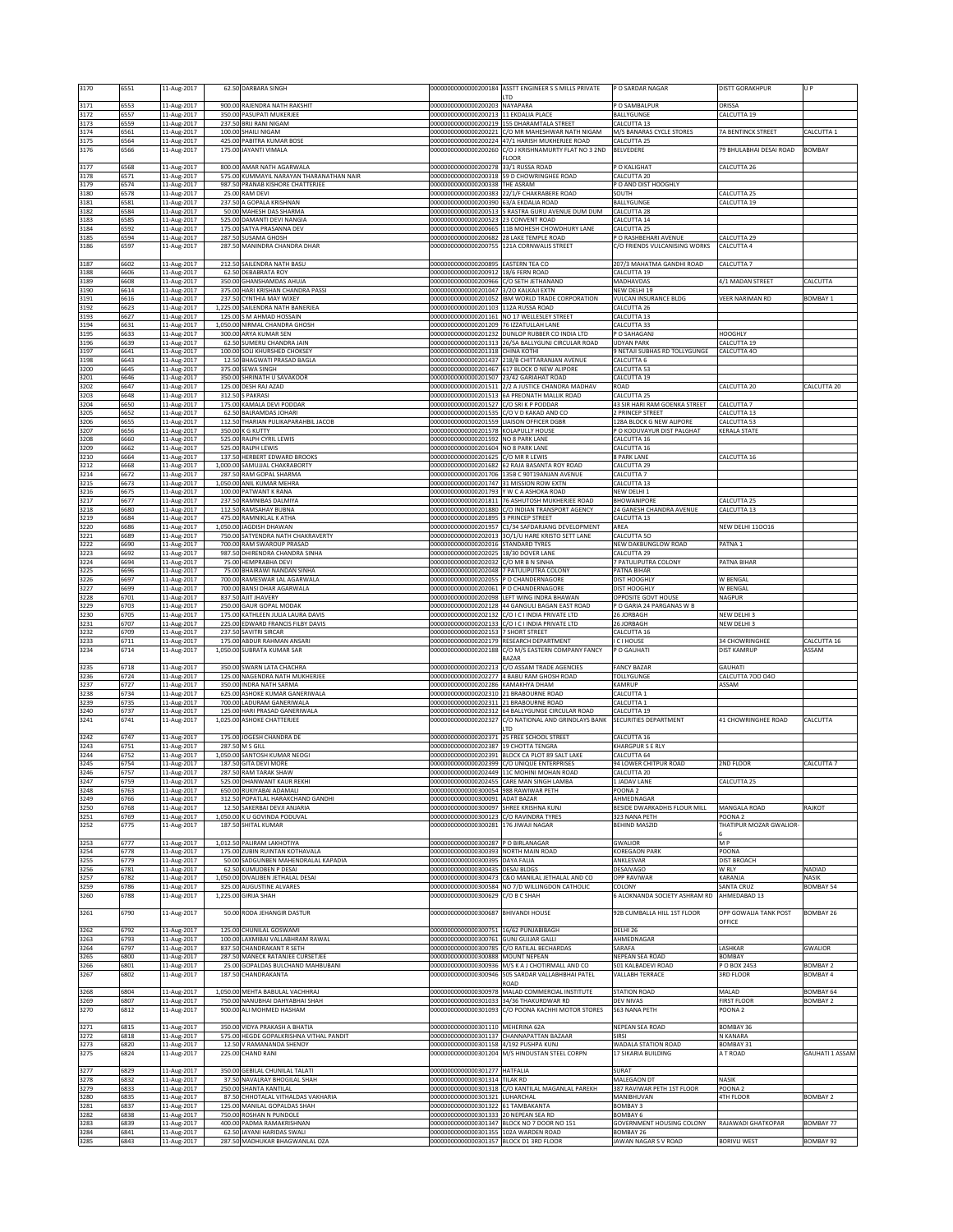| 3170         | 6551         | 11-Aug-2017                |        | 62.50 DARBARA SINGH                                                    | 00000000000000200184                                                                   | ASSTT ENGINEER S S MILLS PRIVATE                                                                          | P O SARDAR NAGAR                                       | <b>DISTT GORAKHPUR</b>             | U P                                 |
|--------------|--------------|----------------------------|--------|------------------------------------------------------------------------|----------------------------------------------------------------------------------------|-----------------------------------------------------------------------------------------------------------|--------------------------------------------------------|------------------------------------|-------------------------------------|
| 3171         | 6553         | 11-Aug-2017                |        | 900.00 RAJENDRA NATH RAKSHIT                                           | 00000000000000200203                                                                   | <b>TD</b><br>NAYAPARA                                                                                     | P O SAMBALPUR                                          | ORISSA                             |                                     |
| 3172         | 6557         | 11-Aug-2017                |        | 350.00 PASUPATI MUKERJEE                                               | 00000000000000200213 11 EKDALIA PLACE                                                  |                                                                                                           | BALLYGUNGE                                             | CALCUTTA 19                        |                                     |
| 3173<br>3174 | 6559<br>6561 | 11-Aug-2017<br>11-Aug-2017 |        | 237.50 BRIJ RANI NIGAM<br>100.00 SHAILI NIGAM                          | 00000000000000200221                                                                   | 00000000000000200219 155 DHARAMTALA STREET<br>C/O MR MAHESHWAR NATH NIGAM                                 | CALCUTTA 13<br>M/S BANARAS CYCLE STORES                | A BENTINCK STREET                  | CALCUTTA 1                          |
| 3175<br>3176 | 6564         | 11-Aug-2017<br>11-Aug-2017 |        | 425.00 PABITRA KUMAR BOSE<br>175.00 JAYANTI VIMALA                     |                                                                                        | 000000000000000200224 47/1 HARISH MUKHERJEE ROAD<br>00000000000000200260 C/O J KRISHNAMURTY FLAT NO 3 2ND | CALCUTTA 25<br><b>BELVEDERE</b>                        | 79 BHULABHAI DESAI ROAD            | <b>BOMBAY</b>                       |
|              | 6566         |                            |        |                                                                        |                                                                                        | FLOOR                                                                                                     |                                                        |                                    |                                     |
| 3177<br>3178 | 6568<br>6571 | 11-Aug-2017<br>11-Aug-2017 |        | 800.00 AMAR NATH AGARWALA<br>575.00 KUMMAYIL NARAYAN THARANATHAN NAIR  | 00000000000000200278                                                                   | 33/1 RUSSA ROAD<br>00000000000000200318 59 D CHOWRINGHEE ROAD                                             | P O KALIGHAT<br>CALCUTTA 20                            | CALCUTTA 26                        |                                     |
| 3179         | 6574         | 11-Aug-2017                |        | 987.50 PRANAB KISHORE CHATTERJEE                                       | 00000000000000200338                                                                   | THE ASRAM                                                                                                 | P O AND DIST HOOGHLY                                   |                                    |                                     |
| 3180<br>3181 | 6578<br>6581 | 11-Aug-2017<br>1-Aug-2017  |        | 25.00 RAM DEVI<br>237.50 A GOPALA KRISHNAN                             | 0000000000000200383<br>00000000000000200390                                            | 22/1/F CHAKRARERE ROAD<br>63/A EKDALIA ROAD                                                               | SOUTH<br>BALLYGUNGE                                    | ALCUTTA 25<br>ALCUTTA 19           |                                     |
| 3182         | 6584         | 11-Aug-2017                |        | 50.00 MAHESH DAS SHARMA                                                | 00000000000000200513                                                                   | 5 RASTRA GURU AVENUE DUM DUM                                                                              | CALCUTTA 28                                            |                                    |                                     |
| 3183<br>3184 | 6585<br>6592 | 11-Aug-2017<br>11-Aug-2017 |        | 525.00 DAMANTI DEVI NANGIA<br>175.00 SATYA PRASANNA DEV                | 00000000000000200523 23 CONVENT ROAD                                                   | 00000000000000200665 11B MOHESH CHOWDHURY LANE                                                            | CALCUTTA 14<br>CALCUTTA 25                             |                                    |                                     |
| 3185         | 6594         | 11-Aug-2017                |        | 287.50 SUSAMA GHOSH<br>287.50 MANINDRA CHANDRA DHAR                    | 00000000000000200682 28 LAKE TEMPLE ROAD                                               |                                                                                                           | P O RASHBEHARI AVENUE<br>C/O FRIENDS VULCANISING WORKS | CALCUTTA 29                        |                                     |
| 3186         | 6597         | 11-Aug-2017                |        |                                                                        |                                                                                        | 00000000000000200755 121A CORNWALIS STREET                                                                |                                                        | CALCUTTA 4                         |                                     |
| 3187<br>3188 | 6602<br>6606 | 11-Aug-2017<br>11-Aug-2017 |        | 212.50 SAILENDRA NATH BASU<br>62.50 DEBABRATA ROY                      | 00000000000000200895<br>00000000000000200912                                           | <b>EASTERN TEA CO</b><br>18/6 FERN ROAD                                                                   | 207/3 MAHATMA GANDHI ROAD<br>CALCUTTA 19               | ALCUTTA <sub>7</sub>               |                                     |
| 3189         | 6608         | 11-Aug-2017                |        | 350.00 GHANSHAMDAS AHUJA                                               | 00000000000000200966                                                                   | C/O SETH JETHANAND                                                                                        | MADHAVDAS                                              | 1/1 MADAN STREET                   | CALCUTTA                            |
| 3190<br>3191 | 6614<br>6616 | 11-Aug-2017<br>11-Aug-2017 |        | 375.00 HARI KRISHAN CHANDRA PASSI<br>237.50 CYNTHIA MAY WIXEY          | 00000000000000201047 3/20 KALKAJI EXTN                                                 | 00000000000000201052 IBM WORLD TRADE CORPORATION                                                          | NEW DELHI 19<br>VULCAN INSURANCE BLDG                  | VEER NARIMAN RD                    | <b>BOMBAY 1</b>                     |
| 3192         | 6623         | 11-Aug-2017                |        | 1,225.00 SAILENDRA NATH BANERJEA                                       | 00000000000000201103                                                                   | 112A RUSSA ROAD                                                                                           | CALCUTTA 26                                            |                                    |                                     |
| 3193<br>3194 | 6627<br>6631 | 11-Aug-2017<br>11-Aug-2017 |        | 125.00 S M AHMAD HOSSAIN<br>1,050.00 NIRMAL CHANDRA GHOSH              | 00000000000000201209 76 IZZATULLAH LANE                                                | 00000000000000201161 NO 17 WELLESLEY STREET                                                               | CALCUTTA 13<br>CALCUTTA 33                             |                                    |                                     |
| 3195         | 6633         | 11-Aug-2017                |        | 300.00 ARYA KUMAR SEN                                                  |                                                                                        | 000000000000000201232 DUNLOP RUBBER CO INDIA LTD                                                          | P O SAHAGANJ                                           | HOOGHLY                            |                                     |
| 3196<br>3197 | 6639<br>6641 | 11-Aug-2017<br>11-Aug-2017 |        | 62.50 SUMERU CHANDRA JAIN<br>100.00 SOLI KHURSHED CHOKSEY              | 00000000000000201318 CHINA KOTHI                                                       | 00000000000000201313 26/5A BALLYGUNJ CIRCULAR ROAD                                                        | <b>UDYAN PARK</b><br>9 NETAJI SUBHAS RD TOLLYGUNGE     | CALCUTTA 19<br>CALCUTTA 40         |                                     |
| 3198         | 6643         | 11-Aug-2017                |        | 12.50 BHAGWATI PRASAD BAGLA                                            |                                                                                        | 00000000000000201437 218/B CHITTARANJAN AVENUE                                                            | CALCUTTA 6                                             |                                    |                                     |
| 3200<br>3201 | 6645<br>6646 | 11-Aug-2017<br>11-Aug-2017 |        | 375.00 SEWA SINGH<br>350.00 SHRINATH U SAVAKOOR                        | 00000000000000201467<br>00000000000000201507                                           | 617 BLOCK O NEW ALIPORE<br>23/42 GARIAHAT ROAD                                                            | CALCUTTA 53<br>CALCUTTA 19                             |                                    |                                     |
| 3202         | 6647         | 11-Aug-2017                |        | 125.00 DESH RAJ AZAD                                                   | 00000000000000201511                                                                   | 2/2 A JUSTICE CHANDRA MADHAV                                                                              | ROAD                                                   | CALCUTTA 20                        | CALCUTTA 20                         |
| 3203<br>3204 | 6648<br>6650 | 11-Aug-2017<br>11-Aug-2017 |        | 312.50 S PAKRASI<br>175.00 KAMALA DEVI PODDAR                          | 000000000000000201527 C/O SRI K P PODDAR                                               | 00000000000000201513 6A PREONATH MALLIK ROAD                                                              | CALCUTTA 25<br>43 SIR HARI RAM GOENKA STREET           | CALCUTTA 7                         |                                     |
| 3205<br>3206 | 6652<br>6655 | 11-Aug-2017<br>11-Aug-2017 |        | 62.50 BALRAMDAS JOHARI<br>112.50 THARIAN PULIKAPARAHBIL JACOB          | 00000000000000201535 C/O V D KAKAD AND CO<br>00000000000000201559 LIAISON OFFICER DGBR |                                                                                                           | 2 PRINCEP STREET<br>128A BLOCK G NEW ALIPORE           | CALCUTTA 13<br>ALCUTTA 53          |                                     |
| 3207         | 6656         | 11-Aug-2017                |        | 350.00 K G KUTTY                                                       | 00000000000000201578 KOLAPULLY HOUSE                                                   |                                                                                                           | P O KODUVAYUR DIST PALGHAT                             | <b>KERALA STATE</b>                |                                     |
| 3208<br>3209 | 6660<br>6662 | 11-Aug-2017<br>11-Aug-2017 |        | 525.00 RALPH CYRIL LEWIS<br>525.00 RALPH LEWIS                         | 00000000000000201592 NO 8 PARK LANE<br>00000000000000201604 NO 8 PARK LANE             |                                                                                                           | CALCUTTA 16<br>CALCUTTA 16                             |                                    |                                     |
| 3210         | 6664         | 11-Aug-2017                |        | 137.50 HERBERT EDWARD BROOKS                                           | 00000000000000201625                                                                   | C/O MR R LEWIS                                                                                            | <b>8 PARK LANE</b>                                     | CALCUTTA 16                        |                                     |
| 3212<br>3214 | 6668<br>6672 | 11-Aug-2017<br>11-Aug-2017 |        | 1,000.00 SAMUJJAL CHAKRABORTY<br>287.50 RAM GOPAL SHARMA               |                                                                                        | 00000000000000201682 62 RAJA BASANTA ROY ROAD<br>000000000000000201706 135B C 90T19ANJAN AVENUE           | CALCUTTA 29<br>CALCUTTA 7                              |                                    |                                     |
| 3215         | 6673         | 11-Aug-2017                |        | 1,050.00 ANIL KUMAR MEHRA                                              | 00000000000000201747                                                                   | 31 MISSION ROW EXTN                                                                                       | CALCUTTA 13                                            |                                    |                                     |
| 3216<br>3217 | 6675<br>6677 | 11-Aug-2017<br>11-Aug-2017 | 100.00 | PATWANT K RANA<br>237.50 RAMNIBAS DALMIYA                              | 0000000000000201793<br>00000000000000201811                                            | <b>W C A ASHOKA ROAD</b><br>76 ASHUTOSH MUKHERJEE ROAD                                                    | NEW DELHI 1<br>BHOWANIPORE                             | ALCUTTA 25                         |                                     |
| 3218         | 6680         | 11-Aug-2017                |        | 112.50 RAMSAHAY BUBNA                                                  | 00000000000000201880<br>00000000000000201895 3 PRINCEP STREET                          | C/O INDIAN TRANSPORT AGENCY                                                                               | 24 GANESH CHANDRA AVENUE                               | CALCUTTA 13                        |                                     |
| 3219<br>3220 | 6684<br>6686 | 11-Aug-2017<br>11-Aug-2017 |        | 475.00 RAMNIKLAL K ATHA<br>1,050.00 JAGDISH DHAWAN                     | 00000000000000201957                                                                   | C1/34 SAFDARJANG DEVELOPMENT                                                                              | CALCUTTA 13<br>AREA                                    | <b>NEW DELHI 110016</b>            |                                     |
| 3221         | 6689         | 11-Aug-2017                |        | 750.00 SATYENDRA NATH CHAKRAVERTY                                      |                                                                                        | 00000000000000202013 30/1/U HARE KRISTO SETT LANE                                                         | CALCUTTA 50                                            |                                    |                                     |
| 3222<br>3223 | 6690<br>6692 | 11-Aug-2017<br>11-Aug-2017 |        | 700.00 RAM SWAROUP PRASAD<br>987.50 DHIRENDRA CHANDRA SINHA            | 00000000000000202016 STANDARD TYRES<br>00000000000000202025                            | 18/30 DOVER LANE                                                                                          | NEW DAKBUNGLOW ROAD<br>CALCUTTA 29                     | PATNA 1                            |                                     |
| 3224<br>3225 | 6694         | 11-Aug-2017                |        | 75.00 HEMPRABHA DEVI                                                   | 000000000000000202032 C/O MR B N SINHA                                                 |                                                                                                           | 7 PATULIPUTRA COLONY                                   | ATNA BIHAR                         |                                     |
| 3226         | 6696<br>6697 | 11-Aug-2017<br>11-Aug-2017 |        | 75.00 BHAIRAWI NANDAN SINHA<br>700.00 RAMESWAR LAL AGARWALA            | 00000000000000202048<br>00000000000000202055 P O CHANDERNAGORE                         | 7 PATULIPUTRA COLONY                                                                                      | PATNA BIHAR<br>DIST HOOGHLY                            | W BENGAL                           |                                     |
| 3227<br>3228 | 6699<br>6701 | 11-Aug-2017<br>11-Aug-2017 |        | 700.00 BANSI DHAR AGARWALA<br>837.50 AJIT JHAVERY                      | 000000000000000202061 P O CHANDERNAGORE                                                | 00000000000000202098 LEFT WING INDRA BHAWAN                                                               | DIST HOOGHLY<br>OPPOSITE GOVT HOUSE                    | W BENGAL<br>NAGPUR                 |                                     |
| 3229         | 6703         | 11-Aug-2017                |        | 250.00 GAUR GOPAL MODAK                                                |                                                                                        | 00000000000000202128 44 GANGULI BAGAN EAST ROAD                                                           | P O GARIA 24 PARGANAS W B                              |                                    |                                     |
| 3230<br>3231 | 6705<br>6707 | 11-Aug-2017<br>11-Aug-2017 |        | 175.00 KATHLEEN JULIA LAURA DAVIS<br>225.00 EDWARD FRANCIS FILBY DAVIS |                                                                                        | 00000000000000202132 C/O I C I INDIA PRIVATE LTD<br>00000000000000202133 C/O I C I INDIA PRIVATE LTD      | 26 JORBAGH<br>26 JORBAGH                               | NEW DELHI 3<br>NEW DELHI 3         |                                     |
| 3232         | 6709         | 11-Aug-2017                |        | 237.50 SAVITRI SIRCAR                                                  | 00000000000000202153 7 SHORT STREET                                                    |                                                                                                           | CALCUTTA 16                                            |                                    |                                     |
| 3233<br>3234 | 6711<br>6714 | 11-Aug-2017<br>11-Aug-2017 |        | 175.00 ABDUR RAHMAN ANSARI<br>1,050.00 SUBRATA KUMAR SAR               | 00000000000000202179                                                                   | RESEARCH DEPARTMENT<br>00000000000000202188 C/O M/S EASTERN COMPANY FANCY                                 | <b>CIHOUSE</b><br>P O GAUHATI                          | 34 CHOWRINGHEE<br>DIST KAMRUP      | CALCUTTA 16<br>ASSAM                |
|              | 6718         |                            |        |                                                                        | 00000000000000202213                                                                   | <b>BAZAR</b><br>C/O ASSAM TRADE AGENCIES                                                                  |                                                        | <b>GAUHATI</b>                     |                                     |
| 3235<br>3236 | 6724         | 11-Aug-2017<br>11-Aug-2017 |        | 350.00 SWARN LATA CHACHRA<br>125.00 NAGENDRA NATH MUKHERJEE            | 00000000000000202277                                                                   | 4 BABU RAM GHOSH ROAD                                                                                     | <b>FANCY BAZAR</b><br>TOLLYGUNGE                       | CALCUTTA 700 040                   |                                     |
| 3237<br>3238 | 6727         | 11-Aug-2017                |        | 350.00 INDRA NATH SARMA<br>625.00 ASHOKE KUMAR GANERIWALA              | 00000000000000202286 KAMAKHYA DHAM<br>00000000000000202310                             |                                                                                                           | KAMRUP                                                 | ASSAM                              |                                     |
| 3239         | 6734<br>6735 | 11-Aug-2017<br>11-Aug-2017 |        | 700.00 LADURAM GANERIWALA                                              | 00000000000000202311                                                                   | 21 BRABOURNE ROAD<br>21 BRABOURNE ROAD                                                                    | CALCUTTA 1<br>CALCUTTA 1                               |                                    |                                     |
| 3240<br>3241 | 6737<br>6741 | 11-Aug-2017<br>11-Aug-2017 |        | 125.00 HARI PRASAD GANERIWALA<br>1,025.00 ASHOKE CHATTERJEE            | 00000000000000202312                                                                   | 64 BALLYGUNGE CIRCULAR ROAD<br>000000000000000202327 C/O NATIONAL AND GRINDLAYS BANK                      | CALCUTTA 19<br>SECURITIES DEPARTMENT                   | 41 CHOWRINGHEE ROAD                | CALCUTTA                            |
|              |              |                            |        |                                                                        |                                                                                        | ITD                                                                                                       |                                                        |                                    |                                     |
| 3242<br>3243 | 6747<br>6751 | 11-Aug-2017<br>11-Aug-2017 |        | 175.00 JOGESH CHANDRA DE<br>287.50 M S GILL                            | 00000000000000202371<br>00000000000000202387                                           | 25 FREE SCHOOL STREET<br>19 CHOTTA TENGRA                                                                 | CALCUTTA 16<br>KHARGPUR S E RLY                        |                                    |                                     |
| 3244         | 6752         | 11-Aug-2017                |        | 1,050.00 SANTOSH KUMAR NEOGI                                           | 00000000000000202391                                                                   | BLOCK CA PLOT 89 SALT LAKE                                                                                | CALCUTTA 64                                            |                                    |                                     |
| 3245<br>3246 | 6754<br>6757 | 11-Aug-2017<br>11-Aug-2017 |        | 187.50 GITA DEVI MORE<br>287.50 RAM TARAK SHAW                         |                                                                                        | 00000000000000202399 C/O UNIQUE ENTERPRISES<br>00000000000000202449 11C MOHINI MOHAN ROAD                 | 94 LOWER CHITPUR ROAD<br>CALCUTTA 20                   | 2ND FLOOR                          | CALCUTTA 7                          |
| 3247         | 6759         | 11-Aug-2017                |        | 525.00 DHANWANT KAUR REKHI                                             |                                                                                        |                                                                                                           | 1 JADAV LANI                                           | CALCUTTA 25                        |                                     |
| 3248<br>3249 | 6763<br>6766 | 11-Aug-2017<br>11-Aug-2017 |        | 650.00 RUKIYABAI ADAMALI<br>312.50 POPATLAL HARAKCHAND GANDHI          | 000000000000000300054 988 RAWIWAR PETH<br>00000000000000300091 ADAT BAZAR              |                                                                                                           | POONA <sub>2</sub><br>AHMEDNAGAR                       |                                    |                                     |
| 3250<br>3251 | 6768<br>6769 | 11-Aug-2017                |        | 12.50 SAKERBAI DEVJI ANJARIA<br>1,050.00 K U GOVINDA PODUVAL           | 000000000000000300097 SHREE KRISHNA KUNJ<br>00000000000000300123 C/O RAVINDRA TYRES    |                                                                                                           | BESIDE DWARKADHIS FLOUR MILL<br>323 NANA PETH          | MANGALA ROAD<br>POONA <sub>2</sub> | RAJKOT                              |
| 3252         | 6775         | 11-Aug-2017<br>11-Aug-2017 |        | 187.50 SHITAL KUMAR                                                    | 00000000000000300281                                                                   | 176 JIWAJI NAGAR                                                                                          | <b>BEHIND MASZID</b>                                   | THATIPUR MOZAR GWALIOR             |                                     |
| 3253         | 6777         | 11-Aug-2017                |        | 1,012.50 PALIRAM LAKHOTIYA                                             | 00000000000000300287 P O BIRLANAGAR                                                    |                                                                                                           | <b>GWALIOR</b>                                         | M <sub>P</sub>                     |                                     |
| 3254         | 6778         | 11-Aug-2017                |        | 175.00 ZUBIN RUINTAN KOTHAVALA                                         | 000000000000000300393 NORTH MAIN ROAD                                                  |                                                                                                           | <b>KOREGAON PARK</b>                                   | POONA                              |                                     |
| 3255<br>3256 | 6779<br>6781 | 11-Aug-2017<br>11-Aug-2017 |        | 50.00 SADGUNBEN MAHENDRALAL KAPADIA<br>62.50 KUMUDBEN P DESAI          | 00000000000000300395 DAYA FALIA<br>00000000000000300435 DESAI BLDGS                    |                                                                                                           | ANKLESVAR<br>DESAIVAGO                                 | DIST BROACH<br>W RLY               | NADIAD                              |
| 3257         | 6782         | 11-Aug-2017                |        | 1,050.00 DIVALIBEN JETHALAL DESAI                                      |                                                                                        | 000000000000000300473 C&O MANILAL JETHALAL AND CO                                                         | OPP RAVIWAR                                            | KARANJA                            | NASIK                               |
| 3259<br>3260 | 6786<br>6788 | 11-Aug-2017<br>11-Aug-2017 |        | 325.00 AUGUSTINE ALVARES<br>1,225.00 GIRIJA SHAH                       | 00000000000000300629 C/O B C SHAH                                                      | 00000000000000300584 NO 7/D WILLINGDON CATHOLIC                                                           | COLONY<br>6 ALOKNANDA SOCIETY ASHRAM RD                | SANTA CRUZ<br>AHMEDABAD 13         | <b>BOMBAY 54</b>                    |
|              |              |                            |        |                                                                        |                                                                                        |                                                                                                           |                                                        |                                    |                                     |
| 3261         | 6790         | 11-Aug-2017                |        | 50.00 RODA JEHANGIR DASTUR                                             | 00000000000000300687 BHIVANDI HOUSE                                                    |                                                                                                           | 92B CUMBALLA HILL 1ST FLOOR                            | OPP GOWALIA TANK POST<br>OFFICE    | <b>BOMBAY 26</b>                    |
| 3262         | 6792         | 11-Aug-2017                |        | 125.00 CHUNILAL GOSWAMI                                                | 000000000000000300751 16/62 PUNJABIBAGH                                                |                                                                                                           | DELHI 26                                               |                                    |                                     |
| 3263<br>3264 | 6793<br>6797 | 11-Aug-2017<br>11-Aug-2017 |        | 100.00 LAXMIBAI VALLABHRAM RAWAL<br>837.50 CHANDRAKANT R SETH          | 00000000000000300761                                                                   | <b>GUNJ GUJJAR GALLI</b><br>00000000000000300785 C/O RATILAL BECHARDAS                                    | AHMEDNAGAR<br>SARAFA                                   | ASHKAR                             | <b>GWALIOR</b>                      |
| 3265         | 6800         | 11-Aug-2017                |        | 287.50 MANECK RATANJEE CURSETJEE                                       | 000000000000000300888 MOUNT NEPEAN                                                     |                                                                                                           | NEPEAN SEA ROAD                                        | BOMBAY                             |                                     |
| 3266<br>3267 | 6801<br>6802 | 11-Aug-2017<br>11-Aug-2017 |        | 25.00 GOPALDAS BULCHAND MAHBUBANI<br>187.50 CHANDRAKANTA               |                                                                                        | 00000000000000300936 M/S K A J CHOTIRMALL AND CO<br>000000000000000300946 505 SARDAR VALLABHBHAI PATEL    | 501 KALBADEVI ROAD<br>VALLABH TERRACE                  | O BOX 2453<br><b>3RD FLOOR</b>     | <b>BOMBAY 2</b><br>BOMBAY 4         |
|              |              |                            |        |                                                                        |                                                                                        | ROAD                                                                                                      |                                                        |                                    |                                     |
| 3268<br>3269 | 6804<br>6807 | 11-Aug-2017<br>11-Aug-2017 |        | 1,050.00 MEHTA BABULAL VACHHRAJ<br>750.00 NANUBHAI DAHYABHAI SHAH      | 00000000000000300978<br>00000000000000301033 34/36 THAKURDWAR RD                       | MALAD COMMERCIAL INSTITUTE                                                                                | <b>STATION ROAD</b><br>DEV NIVAS                       | MALAD<br><b>IRST FLOOR</b>         | <b>BOMBAY 64</b><br><b>BOMBAY 2</b> |
| 3270         | 6812         | 11-Aug-2017                |        | 900.00 ALI MOHMED HASHAM                                               |                                                                                        | 00000000000000301093 C/O POONA KACHHI MOTOR STORES                                                        | 563 NANA PETH                                          | POONA <sub>2</sub>                 |                                     |
| 3271         | 6815         | 11-Aug-2017                |        | 350.00 VIDYA PRAKASH A BHATIA                                          | 00000000000000301110 MEHERINA 62A                                                      |                                                                                                           | NEPEAN SEA ROAD                                        | BOMBAY 36                          |                                     |
| 3272<br>3273 | 6818<br>6820 | 11-Aug-2017<br>11-Aug-2017 |        | 575.00 HEGDE GOPALKRISHNA VITHAL PANDIT<br>12.50 V RAMANANDA SHENOY    | 000000000000000301158 4/192 PUSHPA KUNJ                                                | 00000000000000301137 CHANNAPATTAN BAZAAR                                                                  | SIRSI<br>WADALA STATION ROAD                           | N KANARA<br>BOMBAY 31              |                                     |
| 3275         | 6824         | 11-Aug-2017                |        | 225.00 CHAND RANI                                                      |                                                                                        | 00000000000000301204 M/S HINDUSTAN STEEL CORPN                                                            | 17 SIKARIA BUILDING                                    | A T ROAD                           | GAUHATI 1 ASSAM                     |
| 3277         | 6829         | 11-Aug-2017                |        | 350.00 GEBILAL CHUNILAL TALATI                                         | 00000000000000301277 HATFALIA                                                          |                                                                                                           | SURAT                                                  |                                    |                                     |
| 3278         | 6832         | 11-Aug-2017                |        | 37.50 NAVALRAY BHOGILAL SHAH                                           | 00000000000000301314 TILAK RD                                                          |                                                                                                           | MALEGAON DT                                            | IASIK                              |                                     |
| 3279<br>3280 | 6833<br>6835 | 11-Aug-2017<br>11-Aug-2017 |        | 250.00 SHANTA KANTILAL<br>87.50 CHHOTALAL VITHALDAS VAKHARIA           | 00000000000000301321 LUHARCHAL                                                         | 00000000000000301318 C/O KANTILAL MAGANLAL PAREKH                                                         | 387 RAVIWAR PETH 1ST FLOOR<br>MANIBHUVAN               | POONA <sub>2</sub><br>4TH FLOOR    | <b>BOMBAY 2</b>                     |
| 3281         | 6837         | 11-Aug-2017                |        | 125.00 MANILAL GOPALDAS SHAH                                           | 00000000000000301322 61 TAMBAKANTA                                                     |                                                                                                           | <b>BOMBAY 3</b>                                        |                                    |                                     |
| 3282<br>3283 | 6838<br>6839 | 11-Aug-2017<br>11-Aug-2017 |        | 750.00 ROSHAN N PUNDOLE<br>400.00 PADMA RAMAKRISHNAN                   | 00000000000000301333 20 NEPEAN SEA RD                                                  | 00000000000000301347 BLOCK NO 7 DOOR NO 151                                                               | BOMBAY 6<br><b>GOVERNMENT HOUSING COLONY</b>           | RAJAWADI GHATKOPAR                 | BOMBAY 77                           |
| 3284<br>3285 | 6841         | 11-Aug-2017                |        | 62.50 JAYANI HARIDAS SWALI                                             | 000000000000000301355 102A WARDEN ROAD                                                 |                                                                                                           | BOMBAY 26                                              |                                    |                                     |
|              | 6843         | 11-Aug-2017                |        | 287.50 MADHUKAR BHAGWANLAL OZA                                         | 00000000000000301357 BLOCK D1 3RD FLOOR                                                |                                                                                                           | JAWAN NAGAR S V ROAD                                   | <b>BORIVLI WEST</b>                | BOMBAY 92                           |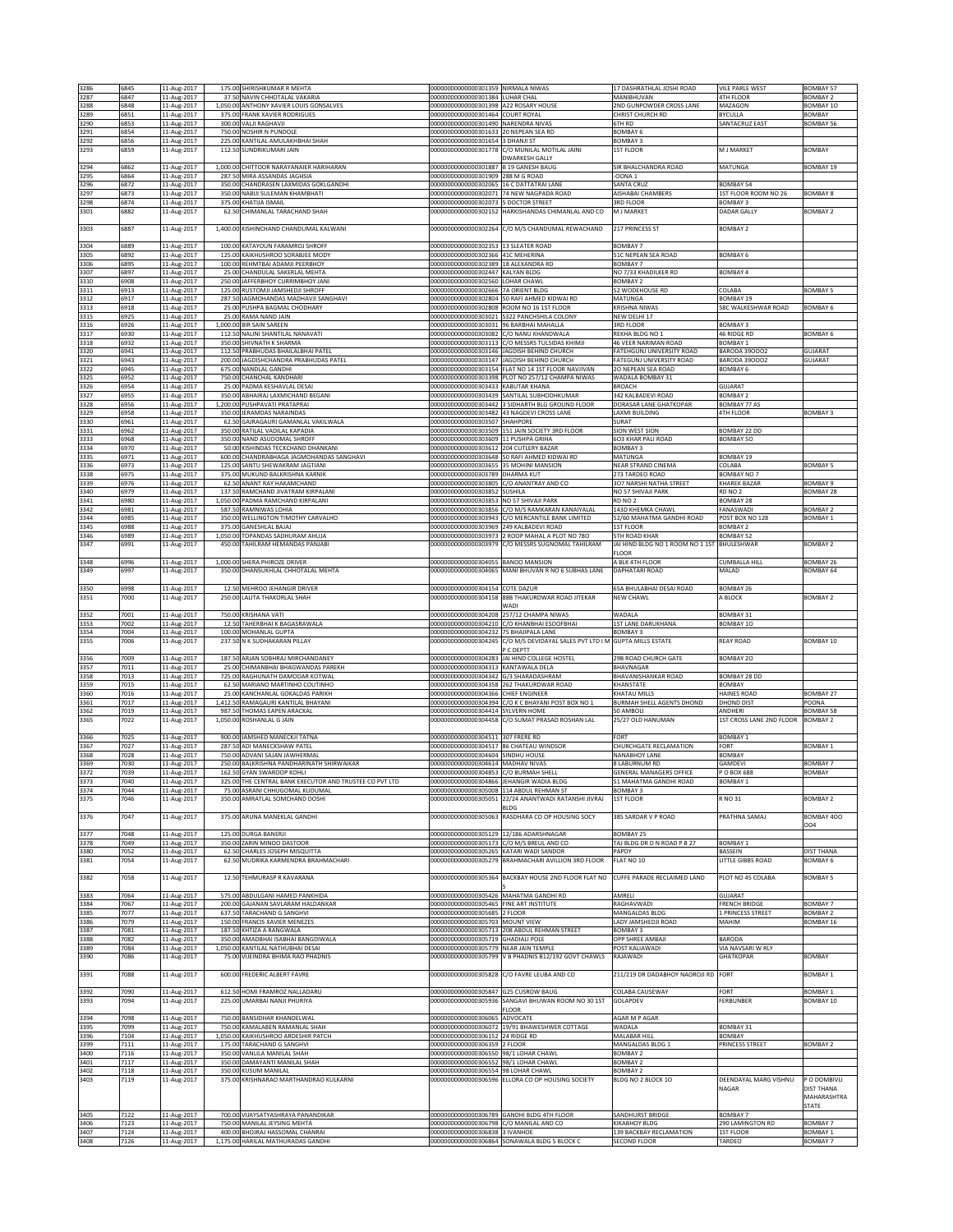| 3286         | 6845         | 11-Aug-2017                |                  | 175.00 SHIRISHKUMAR R MEHTA                                           | 000000000000000301359 NIRMALA NIWAS                                                  |                                                                         | 17 DASHRATHLAL JOSHI ROAD                       | <b>VILE PARLE WEST</b>           | <b>BOMBAY 57</b>                   |
|--------------|--------------|----------------------------|------------------|-----------------------------------------------------------------------|--------------------------------------------------------------------------------------|-------------------------------------------------------------------------|-------------------------------------------------|----------------------------------|------------------------------------|
| 3287         | 6847         | 11-Aug-2017                |                  | 37.50 NAVIN CHHOTALAL VAKARIA                                         | 00000000000000301384 LUHAR CHAL                                                      |                                                                         | MANIBHUVAN                                      | 4TH FLOOR                        | <b>BOMBAY 2</b>                    |
| 3288         | 6848         | 11-Aug-2017                |                  | 1,050.00 ANTHONY XAVIER LOUIS GONSALVES                               | 000000000000000301398 A22 ROSARY HOUSE                                               |                                                                         | 2ND GUNPOWDER CROSS LANE                        | MAZAGON                          | BOMBAY 10                          |
| 3289         | 6851         | 11-Aug-2017                |                  | 375.00 FRANK XAVIER RODRIGUES                                         | 00000000000000301464 COURT ROYAL                                                     |                                                                         | CHRIST CHURCH RD                                | <b>BYCULLA</b>                   | <b>BOMBAY</b>                      |
| 3290         | 6853         | 11-Aug-2017                |                  | 300.00 VALJI RAGHAVJI                                                 | 00000000000000301490 NARENDRA NIVAS                                                  |                                                                         | <b>STH RD</b>                                   | SANTACRUZ EAST                   | <b>BOMBAY 56</b>                   |
| 3291         | 6854         | 11-Aug-2017                |                  | 750.00 NOSHIR N PUNDOLE                                               | 00000000000000301633 20 NEPEAN SEA RD                                                |                                                                         | BOMBAY <sub>6</sub>                             |                                  |                                    |
| 3292         | 6856         | 11-Aug-2017                |                  | 225.00 KANTILAL AMULAKHBHAI SHAH                                      | 00000000000000301654 3 DHANJI ST                                                     |                                                                         | <b>BOMBAY 3</b>                                 |                                  |                                    |
| 3293         | 6859         | 11-Aug-2017                | 112.50           | SUNDRIKUMARI JAIN                                                     |                                                                                      | 00000000000000301778 C/O MUNILAL MOTILAL JAINI<br><b>DWARKESH GALLY</b> | <b>1ST FLOOR</b>                                | M J MARKET                       | <b>BOMBAY</b>                      |
| 3294         | 6862         | 11-Aug-2017                |                  | 1,000.00 CHITTOOR NARAYANAIER HARIHARAN                               | 000000000000000301887 B 19 GANESH BAUG                                               |                                                                         | SIR BHALCHANDRA ROAD                            | MATUNGA                          | <b>BOMBAY 19</b>                   |
| 3295         | 6864         | 11-Aug-2017                |                  | 287.50 MIRA ASSANDAS JAGHSIA                                          | 000000000000000301909 288 M G ROAD                                                   |                                                                         | OONA <sub>1</sub>                               |                                  |                                    |
| 3296         | 6872         | 11-Aug-2017                | 350.00           | CHANDRASEN LAXMIDAS GOKLGANDHI                                        | 00000000000000302065 16 C DATTATRAI LANE                                             |                                                                         | SANTA CRUZ                                      | <b>BOMBAY 54</b>                 |                                    |
| 3297         | 6873         | 11-Aug-2017                | 350.00           | NABIJI SULEMAN KHAMBHATI                                              |                                                                                      | 000000000000000302071 74 NEW NAGPADA ROAD                               | <b>NISHABAI CHAMBERS</b>                        | 1ST FLOOR ROOM NO 26             | <b>BOMBAY 8</b>                    |
| 3298         | 6874         | 11-Aug-2017                | 375.00           | KHATIJA ISMAIL                                                        | 00000000000000302073 5 DOCTOR STREET                                                 |                                                                         | 3RD FLOOR                                       | <b>BOMBAY 3</b>                  |                                    |
| 3301         | 6882         | 11-Aug-2017                | 62.50            | CHIMANLAL TARACHAND SHAH                                              | 00000000000000302152                                                                 | HARKISHANDAS CHIMANLAL AND CO                                           | M J MARKET                                      | <b>DADAR GALLY</b>               | <b>BOMBAY 2</b>                    |
|              |              |                            |                  |                                                                       |                                                                                      |                                                                         |                                                 |                                  |                                    |
| 3303         | 6887         | 11-Aug-2017                |                  | 1,400.00 KISHINCHAND CHANDUMAL KALWANI                                | 00000000000000302264                                                                 | C/O M/S CHANDUMAL REWACHAND                                             | 217 PRINCESS ST                                 | <b>BOMBAY 2</b>                  |                                    |
| 3304         | 6889         |                            |                  | 100.00 KATAYOUN FARAMROJ SHROFF                                       | 00000000000000302353 13 SLEATER ROAD                                                 |                                                                         | BOMBAY 7                                        |                                  |                                    |
| 3305         | 6892         | 11-Aug-2017<br>11-Aug-2017 |                  | 125.00 KAIKHUSHROO SORABJEE MODY                                      | 000000000000000302366 41C MEHERINA                                                   |                                                                         | 51C NEPEAN SEA ROAD                             | BOMBAY 6                         |                                    |
| 3306         | 6895         | 11-Aug-2017                |                  | 100.00 REHMTBAI ADAMJI PEERBHOY                                       | 00000000000000302389 18 ALEXANDRA RD                                                 |                                                                         | BOMBAY <sub>7</sub>                             |                                  |                                    |
| 3307         | 6897         | 11-Aug-2017                | 25.00            | <b>HANDULAL SAKERLAL MEHTA</b>                                        | 00000000000000302447                                                                 | KALYAN BLDG                                                             | NO 7/33 KHADILKER RD                            | <b>BOMBAY 4</b>                  |                                    |
| 3310         | 6908         | 11-Aug-2017                | 250.00           | <b>JAFFERBHOY CURRIMBHOY JANI</b>                                     | 00000000000000302560 LOHAR CHAWL                                                     |                                                                         | <b>BOMBAY 2</b>                                 |                                  |                                    |
| 3311         | 6913         | 11-Aug-2017                | 125.00           | RUSTOMJI JAMSHEDJI SHROFF                                             | 00000000000000302666 7A ORIENT BLDG                                                  |                                                                         | 52 WODEHOUSE RD                                 | COLABA                           | <b>BOMBAY 5</b>                    |
| 3312         | 6917         | 11-Aug-2017                | 287.5            | JAGMOHANDAS MADHAVJI SANGHAVI                                         |                                                                                      | 00000000000000302804 50 RAFI AHMED KIDWAI RD                            | <b>MATUNGA</b>                                  | <b>BOMBAY 19</b>                 |                                    |
| 3313         | 6918         | 11-Aug-2017                | 25.00            | PUSHPA BAGMAL CHODHARY                                                |                                                                                      | 00000000000000302808 ROOM NO 16 1ST FLOOR                               | KRISHNA NIWAS                                   | 58C WALKESHWAR ROAD              | <b>BOMBAY 6</b>                    |
| 3315         | 6925         | 11-Aug-2017                |                  | 25.00 RAMA NAND JAIN                                                  |                                                                                      | 00000000000000303021 S322 PANCHSHILA COLONY                             | NEW DELHI 17                                    |                                  |                                    |
| 3316<br>3317 | 6926<br>6930 | 11-Aug-2017<br>11-Aug-2017 | 112.50           | 1,000.00 BIR SAIN SAREEN<br>NALINI SHANTILAL NANAVATI                 | 000000000000000303031 96 BARBHAI MAHALLA<br>000000000000000303082 C/O NANU KHANDWALA |                                                                         | 3RD FLOOR<br>REKHA BLDG NO 1                    | BOMBAY 3<br>46 RIDGE RD          | BOMBAY 6                           |
| 3318         | 6932         | 11-Aug-2017                | 350.00           | SHIVNATH K SHARMA                                                     |                                                                                      | 00000000000000303113 C/O MESSRS TULSIDAS KHIMJI                         | <b>16 VEER NARIMAN ROAD</b>                     | BOMBAY 1                         |                                    |
| 3320         | 6941         | 11-Aug-2017                | 112.50           | PRABHUDAS BHAILALBHAI PATEL                                           |                                                                                      | 00000000000000303146 JAGDISH BEHIND CHURCH                              | ATEHGUNJ UNIVERSITY ROAD                        | BARODA 390002                    | <b>GUJARAT</b>                     |
| 3321         | 6943         | 11-Aug-2017                | 200.00           | AGDISHCHANDRA PRABHUDAS PATEL                                         |                                                                                      | 000000000000000303147 JAGDISH BEHIND CHURCH                             | FATEGUNJ UNIVERSITY ROAD                        | <b>BARODA 390002</b>             | GUJARAT                            |
| 3322         | 6945         | 11-Aug-2017                | 675.00           | NANDLAL GANDHI                                                        |                                                                                      | 000000000000000303154 FLAT NO 14 1ST FLOOR NAVJIVAN                     | 20 NEPEAN SEA ROAD                              | BOMBAY 6                         |                                    |
| 3325         | 6952         | 11-Aug-2017                | 750.00           | CHANCHAL KANDHARI                                                     |                                                                                      | 00000000000000303398 PLOT NO 257/12 CHAMPA NIWAS                        | WADALA BOMBAY 31                                |                                  |                                    |
| 3326         | 6954         | 11-Aug-2017                |                  | 25.00 PADMA KESHAVLAL DESAI                                           | 000000000000000303433 KABUTAR KHANA                                                  |                                                                         | <b>BROACH</b>                                   | <b>GUJARAT</b>                   |                                    |
| 3327         | 6955         | 11-Aug-2017                |                  | 350.00 ABHAIRAJ LAXMICHAND BEGANI                                     |                                                                                      | 000000000000000303439 SANTILAL SUBHODHKUMAR                             | 342 KALBADEVI ROAD                              | <b>BOMBAY 2</b>                  |                                    |
| 3328         | 6956         | 11-Aug-2017                |                  | 1,200.00 PUSHPAVATI PRATAPRAI                                         |                                                                                      | 00000000000000303442 3 SIDHARTH BLG GROUND FLOOR                        | DORASAR LANE GHATKOPAR                          | BOMBAY 77 AS                     |                                    |
| 3329         | 6958         | 11-Aug-2017<br>11-Aug-2017 |                  | 350.00 JERAMDAS NARAINDAS<br>SAJRAGAURI GAMANLAL VAKILWALA            |                                                                                      | 00000000000000303482 43 NAGDEVI CROSS LANE                              | AXMI BUILDING                                   | 4TH FLOOR                        | <b>BOMBAY 3</b>                    |
| 3330         | 6961         |                            | 62.50            |                                                                       | 0000000000000303507                                                                  | SHAHPORE<br>00000000000000303509 151 JAIN SOCIETY 3RD FLOOR             | SURAT<br>SION WEST SION                         |                                  |                                    |
| 3331<br>3333 | 6962<br>6968 | 11-Aug-2017<br>11-Aug-2017 | 350.00<br>350.00 | RATILAL VADILAL KAPADIA<br>NAND ASUDOMAL SHROFF                       | 000000000000000303609 11 PUSHPA GRIHA                                                |                                                                         | 603 KHAR PALI ROAD                              | <b>BOMBAY 22 DD</b><br>BOMBAY 50 |                                    |
| 3334         | 6970         | 11-Aug-2017                | 50.0             | KISHINDAS TECKCHAND DHANKANI                                          | 000000000000000303612 204 CUTLERY BAZAR                                              |                                                                         | <b>BOMBAY3</b>                                  |                                  |                                    |
| 3335         | 6971         | 11-Aug-2017                |                  | 600.00 CHANDRABHAGA JAGMOHANDAS SANGHAVI                              |                                                                                      | 00000000000000303648 50 RAFI AHMED KIDWAI RD                            | MATUNGA                                         | BOMBAY 19                        |                                    |
| 3336         | 6973         | 11-Aug-2017                |                  | 125.00 SANTU SHEWAKRAM JAGTIANI                                       | 000000000000000303655 35 MOHINI MANSION                                              |                                                                         | NEAR STRAND CINEMA                              | COLABA                           | <b>BOMBAY 5</b>                    |
| 3338         | 6975         | 11-Aug-2017                |                  | 375.00 MUKUND BALKRISHNA KARNIK                                       | 00000000000000303789 DHARMA KUT                                                      |                                                                         | 273 TARDEO ROAD                                 | BOMBAY NO 7                      |                                    |
| 3339         | 6976         | 11-Aug-2017                | 62.50            | ANANT RAY HAKAMCHAND                                                  | 00000000000000303805                                                                 | C/O ANANTRAY AND CO                                                     | 307 NARSHI NATHA STREET                         | KHAREK BAZAR                     | <b>BOMBAY 9</b>                    |
| 3340         | 6979         | 11-Aug-2017                | 137.5            | RAMCHAND JIVATRAM KIRPALANI                                           | 00000000000000303852                                                                 | <b>SUSHILA</b>                                                          | NO 57 SHIVAJI PARK                              | RD NO 2                          | <b>BOMBAY 28</b>                   |
| 3341         | 6980         | 11-Aug-2017                | 1,050.00         | PADMA RAMCHAND KIRPALANI                                              | 00000000000000303853 NO 57 SHIVAJI PARK                                              |                                                                         | RD NO <sub>2</sub>                              | BOMBAY 28                        |                                    |
| 3342         | 6981         | 11-Aug-2017                | 587.50           | RAMNIWAS LOHIA                                                        |                                                                                      | 000000000000000303856 C/O M/S RAMKARAN KANAIYALAL                       | 143D KHEMKA CHAWL                               | FANASWADI                        | <b>BOMBAY 2</b>                    |
| 3344         | 6985         | 11-Aug-2017                | 350.00           | WELLINGTON TIMOTHY CARVALHO                                           |                                                                                      | 000000000000000303943 C/O MERCANTILE BANK LIMITED                       | 52/60 MAHATMA GANDHI ROAD                       | POST BOX NO 128                  | <b>BOMBAY 1</b>                    |
| 3345         | 6988         | 11-Aug-2017                | 375.00           | GANESHLAL BAJAJ                                                       | 00000000000000303969 249 KALBADEVI ROAD                                              |                                                                         | <b>1ST FLOOR</b>                                | <b>BOMBAY 2</b>                  |                                    |
| 3346         | 6989         | 11-Aug-2017                | 1,050.00         | TOPANDAS SADHURAM AHUJA                                               |                                                                                      | 00000000000000303973 2 ROOP MAHAL A PLOT NO 780                         | <b>5TH ROAD KHAR</b>                            | BOMBAY 52                        |                                    |
| 3347         | 6991         | 11-Aug-2017                |                  | 450.00 TAHILRAM HEMANDAS PANJABI                                      | 00000000000000303979                                                                 | C/O MESSRS SUGNOMAL TAHILRAM                                            | JAI HIND BLDG NO 1 ROOM NO 1 1ST<br><b>LOOR</b> | BHULESHWAR                       | <b>BOMBAY 2</b>                    |
| 3348         | 6996         | 11-Aug-2017                |                  | 1,000.00 SHERA PHIROZE DRIVER                                         | 00000000000000304055 BANOO MANSION                                                   |                                                                         | A BLK 4TH FLOOR                                 | CUMBALLA HILL                    | BOMBAY 26                          |
| 3349         | 6997         | 11-Aug-2017                | 350.00           | DHANSUKHLAL CHHOTALAL MEHTA                                           | 00000000000000304065                                                                 | MANI BHUVAN R NO 6 SUBHAS LANE                                          | DAPHATARI ROAD                                  | MALAD                            | BOMBAY 64                          |
|              |              |                            |                  |                                                                       |                                                                                      |                                                                         |                                                 |                                  |                                    |
| 3350         | 6998         | 11-Aug-2017                |                  | 12.50 MEHROO JEHANGIR DRIVER                                          | 00000000000000304154 COTE DAZUR                                                      |                                                                         | 65A BHULABHAI DESAI ROAD                        | BOMBAY 26                        |                                    |
| 3351         | 7000         | 11-Aug-2017                |                  | 250.00 LALITA THAKORLAL SHAH                                          | 00000000000000304158                                                                 | 88B THAKURDWAR ROAD JITEKAR                                             | NEW CHAWL                                       | A BLOCK                          | <b>BOMBAY 2</b>                    |
|              |              |                            |                  |                                                                       |                                                                                      | WADI                                                                    |                                                 |                                  |                                    |
| 3352         | 7001         | 11-Aug-2017                |                  | 750.00 KRISHANA VATI                                                  |                                                                                      | 00000000000000304208 257/12 CHAMPA NIWAS                                | WADALA                                          | BOMBAY 31                        |                                    |
| 3353         | 7002         | 11-Aug-2017                | 12.50            | TAHERBHAI K BAGASRAWALA                                               |                                                                                      | 00000000000000304210 C/O KHANBHAI ESOOFBHAI                             | 1ST LANE DARUKHANA                              | BOMBAY 10                        |                                    |
| 3354         | 7004         | 11-Aug-2017                |                  | 100.00 MOHANLAL GUPTA                                                 | 000000000000000304232 75 BHAJIPALA LANE                                              |                                                                         | BOMBAY <sub>3</sub>                             |                                  |                                    |
| 3355         | 7006         | 11-Aug-2017                | 237.50           | N K SUDHAKARAN PILLAY                                                 | 00000000000000304245                                                                 | C/O M/S DEVIDAYAL SALES PVT LTD I M GUPTA MILLS ESTATE<br>P C DEPTT     |                                                 | REAY ROAD                        | BOMBAY 10                          |
|              | 7009         |                            |                  | 187.50 ARJAN SOBHRAJ MIRCHANDANEY                                     |                                                                                      | 00000000000000304283 JAI HIND COLLEGE HOSTEL                            | 29B ROAD CHURCH GATE                            | BOMBAY 20                        |                                    |
| 3356<br>3357 | 7011         | 11-Aug-2017<br>11-Aug-2017 | 25.00            | CHIMANBHAI BHAGWANDAS PAREKH                                          | 00000000000000304313 KANTAWALA DELA                                                  |                                                                         | BHAVNAGAR                                       |                                  |                                    |
| 3358         | 7013         | 11-Aug-2017                |                  | 725.00 RAGHUNATH DAMODAR KOTWAL                                       | 00000000000000304342 G/3 SHARADASHRAM                                                |                                                                         | BHAVANISHANKAR ROAD                             | BOMBAY 28 DD                     |                                    |
| 3359         | 7015         | 11-Aug-2017                |                  | 62.50 MARIANO MARTINHO COUTINHO                                       |                                                                                      | 00000000000000304358 262 THAKURDWAR ROAD                                | KHANSTATE                                       | <b>BOMBAY</b>                    |                                    |
| 3360         | 7016         | 11-Aug-2017                | 25.00            | KANCHANLAL GOKALDAS PARIKH                                            | 00000000000000304366 CHIEF ENGINEER                                                  |                                                                         | KHATAU MILLS                                    | HAINES ROAD                      | <b>BOMBAY 27</b>                   |
| 3361         | 7017         | 11-Aug-2017                | 1,412.50         | RAMAGAURI KANTILAL BHAYANI                                            | 00000000000000304394                                                                 | C/O K C BHAYANI POST BOX NO 1                                           | <b>BURMAH SHELL AGENTS DHOND</b>                | DHOND DIST                       | POONA                              |
| 3362         | 7019         | 11-Aug-2017                | 987.5            | HOMAS EAPEN ARACKAL                                                   | 00000000000000304414                                                                 | SYLVERN HOME                                                            | 60 AMBOLI                                       | ANDHERI                          | BOMBAY 58                          |
| 3365         | 7022         | 11-Aug-2017                | 1,050.00         | ROSHANLAL G JAIN                                                      |                                                                                      | 00000000000000304458 C/O SUMAT PRASAD ROSHAN LAL                        | 25/27 OLD HANUMAN                               | 1ST CROSS LANE 2ND FLOOR         | <b>BOMBAY 2</b>                    |
|              |              |                            |                  |                                                                       |                                                                                      |                                                                         |                                                 |                                  |                                    |
| 3366         | 7025         | 11-Aug-2017                |                  | 900.00 JAMSHED MANECKJI TATNA                                         | 00000000000000304511 307 FRERE RD                                                    |                                                                         | FORT                                            | <b>BOMBAY 1</b>                  |                                    |
| 3367         | 7027         | 11-Aug-2017                | 287.5            | ADI MANECKSHAW PATEL                                                  | 00000000000000304517 86 CHATEAU WINDSOR                                              |                                                                         | CHURCHGATE RECLAMATION                          | FORT                             | <b>BOMBAY 1</b>                    |
| 3368<br>3369 | 7028<br>7030 | 11-Aug-2017<br>11-Aug-2017 | 750.0            | ADVANI SAJAN JAWHERMAL<br>250.00 BALKRISHNA PANDHARINATH SHIRWAIKAR   | 00000000000000304604 SINDHU HOUSE<br>00000000000000304614 MADHAV NIVAS               |                                                                         | <b>VANABHOY LANE</b><br>8 LABURNUM RD           | <b>BOMBAY</b><br>GAMDEVI         | BOMBAY 7                           |
| 3372         | 7039         | 11-Aug-2017                |                  | 162.50 GYAN SWAROOP KOHLI                                             | 00000000000000304853 C/O BURMAH SHELL                                                |                                                                         | <b>GENERAL MANAGERS OFFICE</b>                  | P O BOX 688                      | <b>BOMBAY</b>                      |
| 3373         | 7040         | 11-Aug-2017                |                  | 325.00 THE CENTRAL BANK EXECUTOR AND TRUSTEE CO PVT LTD               | 000000000000000304866 IJEHANGIR WADIA BLDG                                           |                                                                         | 51 MAHATMA GANDHI ROAD                          | BOMBAY 1                         |                                    |
| 3374         | 7044         | 11-Aug-2017                |                  | 75.00 ASRANI CHHUGOMAL KUDUMAL                                        | 00000000000000305008 114 ABDUL REHMAN ST                                             |                                                                         | <b>BOMBAY 3</b>                                 |                                  |                                    |
| 3375         | 7046         | 11-Aug-2017                |                  | 350.00 AMRATLAL SOMCHAND DOSHI                                        |                                                                                      | 00000000000000305051 22/24 ANANTWADI RATANSHI JIVRAJ                    | <b>1ST FLOOR</b>                                | R NO 31                          | <b>BOMBAY 2</b>                    |
|              |              |                            |                  |                                                                       |                                                                                      | BLDG                                                                    |                                                 |                                  |                                    |
| 3376         | 7047         | 11-Aug-2017                |                  | 375.00 ARUNA MANEKLAL GANDHI                                          | 00000000000000305063                                                                 | RASDHARA CO OP HOUSING SOCY                                             | 385 SARDAR V P ROAD                             | PRATHNA SAMAJ                    | BOMBAY 400                         |
|              |              |                            |                  |                                                                       |                                                                                      |                                                                         |                                                 |                                  | 004                                |
| 3377         | 7048         | 11-Aug-2017                |                  | 125.00 DURGA BANERJI                                                  | 00000000000000305129 12/186 ADARSHNAGAR                                              | 00000000000000305173 C/O M/S BREUL AND CO                               | BOMBAY 25                                       |                                  |                                    |
| 3378<br>3380 | 7049<br>7052 | 11-Aug-2017<br>11-Aug-2017 | 62.50            | 350.00 ZARIN MINOO DASTOOR<br>CHARLES JOSEPH MISQUITTA                | 00000000000000305265 KATARI WADI SANDOR                                              |                                                                         | TAJ BLDG DR D N ROAD P B 27<br>PAPDY            | BOMBAY 1<br>BASSEIN              | <b>DIST THANA</b>                  |
| 3381         | 7054         | 11-Aug-2017                | 62.50            | MUDRIKA KARMENDRA BRAHMACHARI                                         |                                                                                      | 000000000000000305279 BRAHMACHARI AVILLION 3RD FLOOR                    | FLAT NO 10                                      | LITTLE GIBBS ROAD                | <b>BOMBAY 6</b>                    |
|              |              |                            |                  |                                                                       |                                                                                      |                                                                         |                                                 |                                  |                                    |
| 3382         | 7058         | 11-Aug-2017                |                  | 12.50 TEHMURASP R KAVARANA                                            |                                                                                      | 000000000000000305364 BACKBAY HOUSE 2ND FLOOR FLAT NO                   | CUFFE PARADE RECLAIMED LAND                     | PLOT NO 45 COLABA                | <b>BOMBAY 5</b>                    |
|              |              |                            |                  |                                                                       |                                                                                      |                                                                         |                                                 |                                  |                                    |
| 3383         | 7064         | 11-Aug-2017                |                  | 575.00 ABDULGANI HAMED PANKHIDA                                       | 00000000000000305426 MAHATMA GANDHI RD                                               |                                                                         | AMRELI                                          | GUJARAT                          |                                    |
| 3384         | 7067         | 11-Aug-2017                |                  | 200.00 GAJANAN SAVLARAM HALDANKAR                                     | 00000000000000305465 FINE ART INSTITUTE                                              |                                                                         | RAGHAVWADI                                      | <b>FRENCH BRIDGE</b>             | BOMBAY 7                           |
| 3385         | 7077         | 11-Aug-2017                |                  | 637.50 TARACHAND G SANGHVI                                            | 00000000000000305685 2 FLOOR                                                         |                                                                         | MANGALDAS BLDG                                  | 1 PRINCESS STREET                | BOMBAY 2                           |
| 3386         | 7079         | 11-Aug-2017                | 150.00           | <b>FRANCIS XAVIER MENEZES</b>                                         | 00000000000000305703 MOUNT VIEW<br>00000000000000305713                              | 208 ABDUL REHMAN STREET                                                 | ADY JAMSHEDJI ROAD                              | MAHIM                            | BOMBAY 16                          |
| 3387<br>3388 | 7081<br>7082 | 11-Aug-2017<br>11-Aug-2017 | 187.5<br>350.00  | (HTIZA A RANGWALA<br>AMADBHAI ISABHAI BANGDIWALA                      | 00000000000000305719 GHADIALI POLE                                                   |                                                                         | BOMBAY 3<br>OPP SHREE AMBAJI                    | BARODA                           |                                    |
| 3389         | 7084         | 11-Aug-2017                | 1,050.00         | KANTILAL NATHUBHAI DESAI                                              | 00000000000000305779 NEAR JAIN TEMPLE                                                |                                                                         | POST KALIAWADI                                  | VIA NAVSARI W RLY                |                                    |
| 3390         | 7086         | 11-Aug-2017                | 75.00            | <b>VIJEINDRA BHIMA RAO PHADNIS</b>                                    | 00000000000000305799                                                                 | V B PHADNIS B12/192 GOVT CHAWLS                                         | RAJAWADI                                        | <b>GHATKOPAR</b>                 | <b>BOMBAY</b>                      |
|              |              |                            |                  |                                                                       |                                                                                      |                                                                         |                                                 |                                  |                                    |
| 3391         | 7088         | 11-Aug-2017                |                  | 600.00 FREDERIC ALBERT FAVRE                                          |                                                                                      | 00000000000000305828 C/O FAVRE LEUBA AND CO                             | 211/219 DR DADABHOY NAOROJI RD                  | FORT                             | <b>BOMBAY 1</b>                    |
|              |              |                            |                  |                                                                       |                                                                                      |                                                                         |                                                 |                                  |                                    |
| 3392         | 7090         | 11-Aug-2017                |                  | 612.50 HOMI FRAMROZ NALLADARU                                         | 00000000000000305847 G25 CUSROW BAUG                                                 |                                                                         | COLABA CAUSEWAY                                 | FORT                             | <b>BOMBAY 1</b>                    |
| 3393         | 7094         | 11-Aug-2017                | 225.00           | UMARBAI NANJI PHURIYA                                                 | 00000000000000305936                                                                 | SANGAVI BHUWAN ROOM NO 30 1ST                                           | GOLAPDEV                                        | FERBUNBER                        | BOMBAY 10                          |
|              |              |                            |                  |                                                                       |                                                                                      | FLOOR                                                                   |                                                 |                                  |                                    |
| 3394         | 7098         | 11-Aug-2017                |                  | 750.00 BANSIDHAR KHANDELWAL                                           | 00000000000000306065 ADVOCATE                                                        |                                                                         | AGAR M P AGAR                                   |                                  |                                    |
| 3395<br>3396 | 7099<br>7104 | 11-Aug-2017                |                  | 750.00 KAMALABEN RAMANLAL SHAH<br>1,050.00 KAIKHUSHROO ARDESHIR PATCH | 00000000000000306152 24 RIDGE RD                                                     | 000000000000000306072 19/91 BHAWESHWER COTTAGE                          | WADALA<br>MALABAR HILL                          | BOMBAY 31<br>BOMBAY              |                                    |
| 3399         | 7111         | 11-Aug-2017<br>11-Aug-2017 |                  | 175.00 TARACHAND G SANGHVI                                            | 00000000000000306359 2 FLOOR                                                         |                                                                         | MANGALDAS BLDG 1                                | PRINCESS STREET                  | <b>BOMBAY 2</b>                    |
| 3400         | 7116         | 11-Aug-2017                |                  | 350.00 VANLILA MANILAL SHAH                                           | 000000000000000306550 98/1 LOHAR CHAWL                                               |                                                                         | BOMBAY 2                                        |                                  |                                    |
| 3401         | 7117         | 11-Aug-2017                |                  | 350.00 DAMAYANTI MANILAL SHAH                                         | 00000000000000306552 98/1 LOHAR CHAWL                                                |                                                                         | <b>BOMBAY 2</b>                                 |                                  |                                    |
| 3402         | 7118         | 11-Aug-2017                |                  | 350.00 KUSUM MANILAL                                                  | 00000000000000306554 98 LOHAR CHAWL                                                  |                                                                         | BOMBAY <sub>2</sub>                             |                                  |                                    |
| 3403         | 7119         | 11-Aug-2017                |                  | 375.00 KRISHNARAO MARTHANDRAO KULKARNI                                |                                                                                      | 00000000000000306596 ELLORA CO OP HOUSING SOCIETY                       | BLDG NO 2 BLOCK 10                              | DEENDAYAL MARG VISHNU            | P O DOMBIVLI                       |
|              |              |                            |                  |                                                                       |                                                                                      |                                                                         |                                                 | NAGAR                            | DIST THANA                         |
|              |              |                            |                  |                                                                       |                                                                                      |                                                                         |                                                 |                                  |                                    |
|              |              |                            |                  |                                                                       |                                                                                      |                                                                         |                                                 |                                  | MAHARASHTRA                        |
|              |              |                            |                  |                                                                       |                                                                                      |                                                                         |                                                 |                                  | STATE                              |
| 3405         | 7122         | 11-Aug-2017                |                  | 700.00 VIJAYSATYASHRAYA PANANDIKAR                                    |                                                                                      | 00000000000000306789 GANDHI BLDG 4TH FLOOR                              | SANDHURST BRIDGE                                | BOMBAY 7                         |                                    |
| 3406         | 7123         | 11-Aug-2017                |                  | 750.00 MANILAL JEYSING MEHTA                                          | 00000000000000306798 C/O MANILAL AND CO                                              |                                                                         | KIKABHOY BLDG                                   | 290 LAMINGTON RD                 | BOMBAY 7                           |
| 3407<br>3408 | 7124<br>7126 | 11-Aug-2017<br>11-Aug-2017 |                  | 400.00 BHOJRAJ HASSOMAL CHANRAI<br>1,175.00 HARILAL MATHURADAS GANDHI | 000000000000000306838 3 IVANHOE                                                      | 00000000000000306864 SONAWALA BLDG 5 BLOCK C                            | 139 BACKBAY RECLAMATION<br>SECOND FLOOR         | <b>1ST FLOOR</b><br>TARDEO       | <b>BOMBAY 1</b><br><b>BOMBAY 7</b> |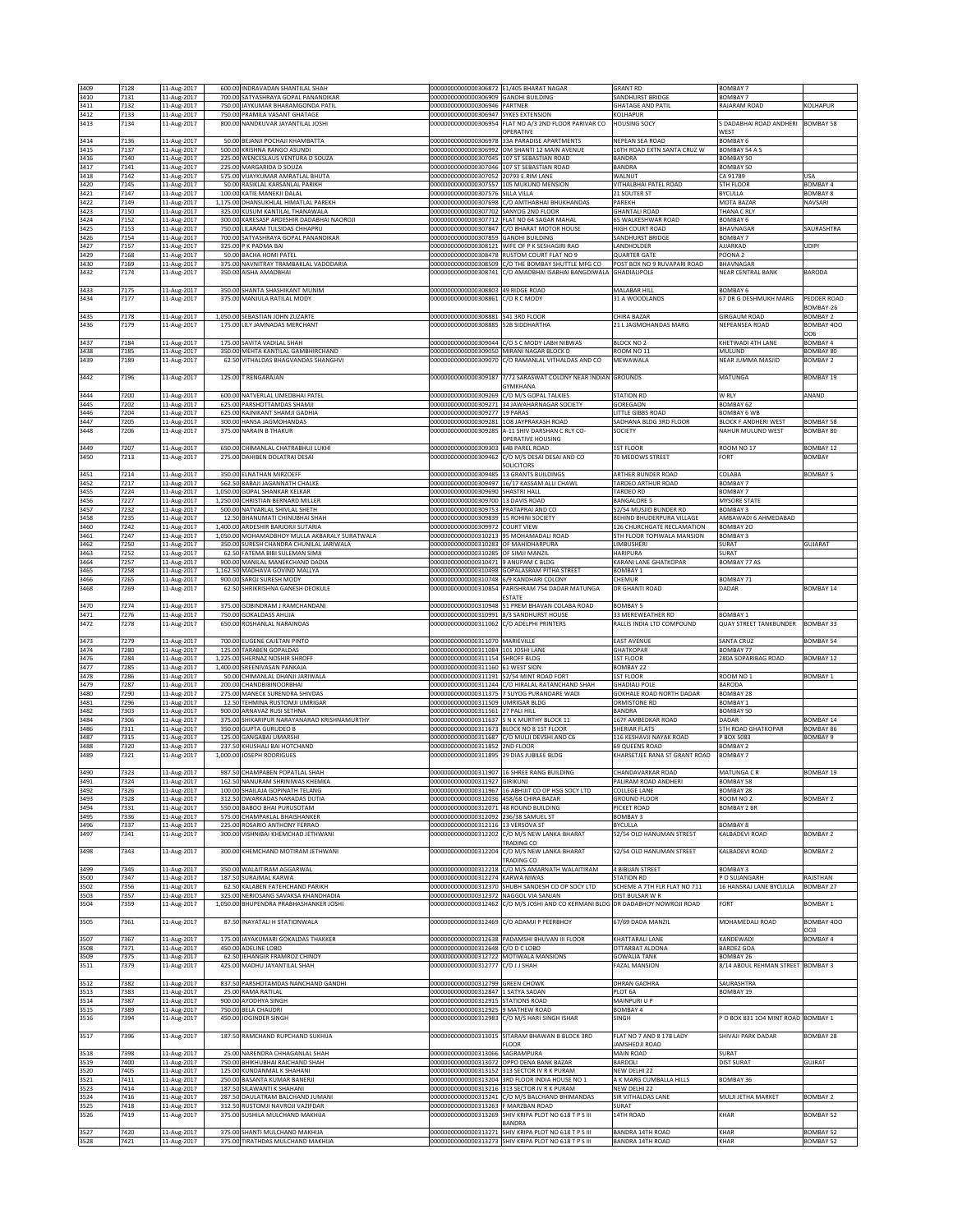| 3409         | 7128         | 11-Aug-2017                |                  | 600.00 INDRAVADAN SHANTILAL SHAH                                                         | 00000000000000306872 E1/405 BHARAT NAGAR                                         |                                                                                             | <b>GRANT RD</b>                                         | <b>BOMBAY 7</b>                    |                          |
|--------------|--------------|----------------------------|------------------|------------------------------------------------------------------------------------------|----------------------------------------------------------------------------------|---------------------------------------------------------------------------------------------|---------------------------------------------------------|------------------------------------|--------------------------|
| 3410         | 7131         | 11-Aug-2017                |                  | 700.00 SATYASHRAYA GOPAL PANANDIKAR                                                      | 00000000000000306909 GANDHI BUILDING                                             |                                                                                             | SANDHURST BRIDGE                                        | BOMBAY 7                           |                          |
| 3411         | 7132         | 11-Aug-2017                |                  | 750.00 JAYKUMAR BHARAMGONDA PATIL                                                        | 00000000000000306946 PARTNER                                                     |                                                                                             | <b>GHATAGE AND PATIL</b>                                | RAJARAM ROAD                       | KOLHAPUR                 |
| 3412         | 7133         | 11-Aug-2017                |                  | 750.00 PRAMILA VASANT GHATAGE                                                            | 000000000000000306947 SYKES EXTENSION                                            |                                                                                             | KOLHAPUR                                                |                                    |                          |
| 3413         | 7134         | 11-Aug-2017                |                  | 800.00 NANDKUVAR JAYANTILAL JOSHI                                                        | 00000000000000306954                                                             | FLAT NO A/3 2ND FLOOR PARIVAR CO                                                            | <b>HOUSING SOCY</b>                                     | 5 DADABHAI ROAD ANDHERI            | BOMBAY 58                |
|              |              |                            |                  |                                                                                          |                                                                                  | OPERATIVE                                                                                   |                                                         | <b>NEST</b>                        |                          |
| 3414         | 7136         | 11-Aug-2017                |                  | 50.00 BEJANJI POCHAJI KHAMBATTA                                                          |                                                                                  | 00000000000000306978 33A PARADISE APARTMENTS                                                | NEPEAN SEA ROAD                                         | <b>BOMBAY 6</b>                    |                          |
| 3415<br>3416 | 7137<br>7140 | 11-Aug-2017<br>11-Aug-2017 | 500.00<br>225.00 | KRISHNA RANGO ASUNDI<br>WENCESLAUS VENTURA D SOUZA                                       | 00000000000000307045 107 ST SEBASTIAN ROAD                                       | 000000000000000306992 OM SHANTI 12 MAIN AVENUE                                              | 16TH ROAD EXTN SANTA CRUZ W<br>BANDRA                   | BOMBAY 54 A S<br>BOMBAY 50         |                          |
| 3417         | 7141         | 11-Aug-2017                |                  | 225.00 MARGARIDA D SOUZA                                                                 |                                                                                  | 00000000000000307046 107 ST SEBASTIAN ROAD                                                  | BANDRA                                                  | BOMBAY 50                          |                          |
| 3418         | 7142         | 11-Aug-2017                |                  | 575.00 VIJAYKUMAR AMRATLAL BHUTA                                                         | 000000000000000307052 20793 E.RIM LANE                                           |                                                                                             | WALNUT                                                  | CA 91789                           | USA                      |
| 3420         | 7145         | 11-Aug-2017                |                  | 50.00 RASIKLAL KARSANLAL PARIKH                                                          |                                                                                  | 000000000000000307557 105 MUKUND MENSION                                                    | VITHALBHAI PATEL ROAD                                   | <b>5TH FLOOR</b>                   | <b>BOMBAY 4</b>          |
| 3421         | 7147         | 11-Aug-2017                | 100.00           | KATIE MANEKJI DALAL                                                                      | 20000000000000307576 SILLA VILLA                                                 |                                                                                             | 21 SOUTER ST                                            | BYCULLA                            | <b>BOMBAY 8</b>          |
| 3422         | 7149         | 11-Aug-2017                | 1,175.00         | DHANSUKHLAL HIMATLAL PAREKH                                                              | 0000000000000307698                                                              | C/O AMTHABHAI BHUKHANDAS                                                                    | PAREKH                                                  | MOTA BAZAR                         | NAVSARI                  |
| 3423         | 7150         | 11-Aug-2017                |                  | 325.00 KUSUM KANTILAL THANAWALA                                                          | 000000000000000307702 SANYOG 2ND FLOOR                                           |                                                                                             | <b>GHANTALI ROAD</b>                                    | THANA C RLY                        |                          |
| 3424<br>3425 | 7152<br>7153 | 11-Aug-2017                | 300.00           | KARESASP ARDESHIR DADABHAI NAOROJI<br>750.00 LILARAM TULSIDAS CHHAPRU                    |                                                                                  | 000000000000000307712 FLAT NO 64 SAGAR MAHAL<br>00000000000000307847 C/O BHARAT MOTOR HOUSE | 65 WALKESHWAR ROAD<br>HIGH COURT ROAD                   | <b>BOMBAY 6</b>                    | SAURASHTRA               |
| 3426         | 7154         | 11-Aug-2017<br>11-Aug-2017 |                  | 700.00 SATYASHRAYA GOPAL PANANDIKAR                                                      | 000000000000000307859 GANDHI BUILDING                                            |                                                                                             | SANDHURST BRIDGE                                        | BHAVNAGAR<br><b>BOMBAY 7</b>       |                          |
| 3427         | 7157         | 11-Aug-2017                |                  | 325.00 P K PADMA BAI                                                                     |                                                                                  | 00000000000000308121 WIFE OF P K SESHAGIRI RAO                                              | LANDHOLDER                                              | AJJARKAD                           | <b>UDIPI</b>             |
| 3429         | 7168         | 11-Aug-2017                |                  | 50.00 BACHA HOMI PATEL                                                                   |                                                                                  | 000000000000000308478 RUSTOM COURT FLAT NO 9                                                | <b>QUARTER GATE</b>                                     | POONA <sub>2</sub>                 |                          |
| 3430         | 7169         | 11-Aug-2017                | 375.00           | NAVNITRAY TRAMBAKLAL VADODARIA                                                           | 2028050000000000000                                                              | C/O THE BOMBAY SHUTTLE MFG CO                                                               | OST BOX NO 9 RUVAPARI ROAD                              | BHAVNAGAR                          |                          |
| 3432         | 7174         | 11-Aug-2017                | 350.00           | AISHA AMADBHAI                                                                           | 00000000000000308741                                                             | C/O AMADBHAI ISABHAI BANGDIWAI A                                                            | <b>GHADIALIPOLE</b>                                     | NEAR CENTRAL BANK                  | BARODA                   |
|              |              |                            |                  |                                                                                          |                                                                                  |                                                                                             |                                                         |                                    |                          |
| 3433         | 7175         | 11-Aug-2017                |                  | 350.00 SHANTA SHASHIKANT MUNIM<br>375.00 MANJULA RATILAL MODY                            | 00000000000000308803 49 RIDGE ROAD                                               |                                                                                             | MALABAR HILL                                            | BOMBAY 6                           |                          |
| 3434         | 7177         | 11-Aug-2017                |                  |                                                                                          | 00000000000000308861                                                             | C/O R C MODY                                                                                | 31 A WOODLANDS                                          | 67 DR G DESHMUKH MARG              | PEDDER ROAD<br>BOMBAY-26 |
| 3435         | 7178         | 11-Aug-2017                |                  | 1,050.00 SEBASTIAN JOHN ZUZARTE                                                          | 00000000000000308881 541 3RD FLOOR                                               |                                                                                             | CHIRA BAZAR                                             | <b>GIRGAUM ROAD</b>                | <b>BOMBAY 2</b>          |
| 3436         | 7179         | 11-Aug-2017                |                  | 175.00 LILY JAMNADAS MERCHANT                                                            | 000000000000000308885 52B SIDDHARTHA                                             |                                                                                             | 21 L JAGMOHANDAS MARG                                   | NEPEANSEA ROAD                     | BOMBAY 400               |
|              |              |                            |                  |                                                                                          |                                                                                  |                                                                                             |                                                         |                                    | 006                      |
| 3437         | 7184         | 11-Aug-2017                | 175.00           | SAVITA VADILAL SHAH                                                                      |                                                                                  | 00000000000000309044 C/O S C MODY LABH NIBWAS                                               | <b>BLOCK NO 2</b>                                       | KHETWADI 4TH LANE                  | <b>BOMBAY 4</b>          |
| 3438         | 7185         | 1-Aug-2017                 | 350.0            | <b>MEHTA KANTILAL GAMBHIRCHAND</b>                                                       | 0000000000000309050                                                              | MIRANI NAGAR BLOCK D                                                                        | 300M NO 11                                              | MULUND                             | BOMBAY 80                |
| 3439         | 7189         | 11-Aug-2017                | 62.5             | <b>/ITHALDAS BHAGVANDAS SHANGHVI</b>                                                     | 00000000000000309070                                                             | C/O RAMANLAL VITHALDAS AND CO                                                               | MEWAWALA                                                | NEAR JUMMA MASJID                  | <b>BOMBAY 2</b>          |
| 3442         | 7196         |                            |                  | 125.00 T RENGARAJAN                                                                      |                                                                                  | 7/72 SARASWAT COLONY NEAR INDIAN GROUNDS                                                    |                                                         | MATUNGA                            | <b>BOMBAY 19</b>         |
|              |              | 11-Aug-2017                |                  |                                                                                          | 00000000000000309187                                                             | <b>GYMKHANA</b>                                                                             |                                                         |                                    |                          |
| 3444         | 7200         | 11-Aug-2017                |                  | 600.00 NATVERLAL UMEDBHAI PATEL                                                          |                                                                                  | 00000000000000309269 C/O M/S GOPAL TALKIES                                                  | <b>STATION RD</b>                                       | W RLY                              | ANAND                    |
| 3445         | 7202         | 11-Aug-2017                |                  | 625.00 PARSHOTTAMDAS SHAMJI                                                              |                                                                                  | 000000000000000309271 34 JAWAHARNAGAR SOCIETY                                               | GOREGAON                                                | BOMBAY 62                          |                          |
| 3446         | 7204         | 11-Aug-2017                | 625.00           | RAJNIKANT SHAMJI GADHIA                                                                  | 00000000000000309277 19 PARAS                                                    |                                                                                             | <b>ITTLE GIBBS ROAD</b>                                 | <b>BOMBAY 6 WB</b>                 |                          |
| 3447         | 7205         | 11-Aug-2017                | 300.00           | HANSA JAGMOHANDAS                                                                        | 00000000000000309281                                                             | 108 JAYPRAKASH ROAD                                                                         | ADHANA BLDG 3RD FLOOR                                   | <b>BLOCK F ANDHERI WEST</b>        | BOMBAY 58                |
| 3448         | 7206         | 11-Aug-2017                |                  | 375.00 NARAIN B THAKUR                                                                   |                                                                                  | 00000000000000309285 A-11 SHIV DARSHAN C RLY CO-                                            | SOCIETY                                                 | NAHUR MULUND WEST                  | BOMBAY 80                |
| 3449         | 7207         |                            |                  | 650.00 CHIMANLAL CHATRABHUJ LUKHI                                                        | 00000000000000309303 64B PAREL ROAD                                              | OPERATIVE HOUSING                                                                           | <b>1ST FLOOR</b>                                        | ROOM NO 17                         | <b>BOMBAY 12</b>         |
| 3450         | 7213         | 11-Aug-2017                |                  | 275.00 DAHIBEN DOLATRAI DESAI                                                            |                                                                                  | 00000000000000309462 C/O M/S DESAI DESAI AND CO                                             | 70 MEDOWS STREET                                        | FORT                               | <b>BOMBAY</b>            |
|              |              | 11-Aug-2017                |                  |                                                                                          |                                                                                  | <b>SOLICITORS</b>                                                                           |                                                         |                                    |                          |
| 3451         | 7214         | 11-Aug-2017                |                  | 350.00 ELNATHAN MIRZOEFF                                                                 | 00000000000000309485 13 GRANTS BUILDINGS                                         |                                                                                             | ARTHER BUNDER ROAD                                      | COLABA                             | <b>BOMBAY 5</b>          |
| 3452         | 7217         | 11-Aug-2017                | 562.50           | BABAJI JAGANNATH CHALKE                                                                  | 0000000000000309497                                                              | 16/17 KASSAM ALLI CHAWL                                                                     | <b><i>FARDEO ARTHUR ROAD</i></b>                        | <b>BOMBAY 7</b>                    |                          |
| 3455         | 7224         | 11-Aug-2017                | 1.050.00         | GOPAL SHANKAR KELKAR                                                                     | 00000000000000309690 SHASTRI HALL                                                |                                                                                             | <b>ARDEO RD</b>                                         | BOMBAY 7                           |                          |
| 3456         | 7227         | 11-Aug-2017                | 1,250.00         | CHRISTIAN BERNARD MILLER                                                                 | 00000000000000309700 13 DAVIS ROAD                                               |                                                                                             | <b>BANGALORE 5</b>                                      | <b>MYSORE STATE</b>                |                          |
| 3457         | 7232         | 11-Aug-2017                | 500.00           | NATVARLAL SHIVLAL SHETH                                                                  | 00000000000000309753 PRATAPRAI AND CO                                            |                                                                                             | 52/54 MUSJID BUNDER RD                                  | <b>BOMBAY 3</b>                    |                          |
| 3458         | 7235         | 11-Aug-2017                | 12.50            | BHANUMATI CHINUBHAI SHAH                                                                 | 00000000000000309839 15 ROHINI SOCIETY                                           |                                                                                             | BEHIND BHUDERPURA VILLAGE                               | AMBAWADI 6 AHMEDABAD               |                          |
| 3460         | 7242         | 11-Aug-2017                | 1.400.00         | ARDESHIR BARJORJI SUTARIA                                                                | 000000000000000309972 COURT VIEW                                                 |                                                                                             | 126 CHURCHGATE RECLAMATION                              | BOMBAY 20                          |                          |
| 3461<br>3462 | 7247<br>7250 | 11-Aug-2017<br>11-Aug-2017 |                  | 1,050.00 MOHAMADBHOY MULLA AKBARALY SURATWALA<br>350.00 SURESH CHANDRA CHUNILAL JARIWALA | 00000000000000310213 95 MOHAMADALI ROAD<br>000000000000000310283 OF MAHIDHARPURA |                                                                                             | 5TH FLOOR TOPIWALA MANSION<br>LIMBUSHERI                | BOMBAY 3<br>SURAT                  | GUJARAT                  |
| 3463         | 7252         | 11-Aug-2017                |                  | 62.50 FATEMA BIBI SULEMAN SIMJI                                                          | 000000000000000310285 OF SIMJI MANZIL                                            |                                                                                             | <b>HARIPURA</b>                                         | SURAT                              |                          |
| 3464         | 7257         | 11-Aug-2017                |                  | 900.00 MANILAL MANEKCHAND DADIA                                                          | 000000000000000310471 9 ANUPAM C BLDG                                            |                                                                                             | <b>KARANI LANE GHATKOPAR</b>                            | BOMBAY 77 AS                       |                          |
| 3465         | 7258         | 11-Aug-2017                | 1,162.50         | MADHAVA GOVIND MALLYA                                                                    |                                                                                  | 00000000000000310498 GOPALASRAM PITHA STREET                                                | BOMBAY 1                                                |                                    |                          |
| 3466         | 7265         | 11-Aug-2017                |                  | 900.00 SAROJ SURESH MODY                                                                 | 00000000000000310748 6/9 KANDHARI COLONY                                         |                                                                                             | CHEMUR                                                  | BOMBAY 71                          |                          |
| 3468         | 7269         | 11-Aug-2017                | 62.50            | SHRIKRISHNA GANESH DEOKULE                                                               |                                                                                  | 00000000000000310854 PARISHRAM 754 DADAR MATUNGA                                            | DR GHANTI ROAD                                          | DADAR                              | <b>BOMBAY 14</b>         |
|              |              |                            |                  |                                                                                          |                                                                                  | <b>ESTATE</b>                                                                               |                                                         |                                    |                          |
| 3470<br>3471 | 7274<br>7276 | 11-Aug-2017                |                  | 375.00 GOBINDRAM J RAMCHANDANI<br>750.00 GOKALDASS AHUJA                                 | 00000000000000310991 8/3 SANDHURST HOUSE                                         | 00000000000000310948 51 PREM BHAVAN COLABA ROAD                                             | <b>BOMBAY 5</b><br>33 MEREWEATHER RD                    | <b>BOMBAY 1</b>                    |                          |
| 3472         | 7278         | 11-Aug-2017<br>11-Aug-2017 |                  | 650.00 ROSHANLAL NARAINDAS                                                               | 000000000000000311062 C/O ADELPHI PRINTERS                                       |                                                                                             | RALLIS INDIA LTD COMPOUND                               | <b>QUAY STREET TANKBUNDER</b>      | <b>BOMBAY 33</b>         |
|              |              |                            |                  |                                                                                          |                                                                                  |                                                                                             |                                                         |                                    |                          |
| 3473         | 7279         | 11-Aug-2017                |                  | 700.00 EUGENE CAJETAN PINTO                                                              | 00000000000000311070 MARIEVILLE                                                  |                                                                                             | EAST AVENUE                                             | SANTA CRUZ                         | <b>BOMBAY 54</b>         |
| 3474         | 7280         | 11-Aug-2017                |                  | 125.00 TARABEN GOPALDAS                                                                  | 00000000000000311084 101 JOSHI LANE                                              |                                                                                             | <b>GHATKOPAR</b>                                        | BOMBAY 77                          |                          |
| 3476         | 7284         | 11-Aug-2017                | 1,225.00         | SHERNAZ NOSHIR SHROFF                                                                    | 00000000000000311154 SHROFF BLDG                                                 |                                                                                             | <b>1ST FLOOR</b>                                        | 280A SOPARIBAG ROAD                | BOMBAY 12                |
| 3477         | 7285         | 11-Aug-2017                | 1.400.00         | SREENIVASAN PANKAJA                                                                      | 00000000000000311160 61 WEST SION                                                |                                                                                             | BOMBAY 22                                               |                                    |                          |
| 3478         | 7286         | 11-Aug-2017                |                  | 50.00 CHIMANLAL DHANJI JARIWALA                                                          | 00000000000000311191 52/54 MINT ROAD FORT                                        | 00000000000000311244 C/O HIRALAL RATANCHAND SHAH                                            | <b>1ST FLOOR</b>                                        | ROOM NO <sub>1</sub>               | BOMBAY 1                 |
| 3479<br>3480 | 7287<br>7290 | 11-Aug-2017<br>11-Aug-2017 |                  | 200.00 CHANDBIBINOORBHAI<br>275.00 MANECK SURENDRA SHIVDAS                               |                                                                                  | 00000000000000311375 7 SUYOG PURANDARE WADI                                                 | <b>GHADIALI POLE</b><br><b>GOKHALE ROAD NORTH DADAR</b> | BARODA<br>BOMBAY 28                |                          |
| 3481         | 7296         | 11-Aug-2017                |                  | 12.50 TEHMINA RUSTOMJI UMRIGAR                                                           | 00000000000000311509 UMRIGAR BLDG                                                |                                                                                             | ORMISTONE RD                                            | BOMBAY 1                           |                          |
| 3482         | 7303         | 11-Aug-2017                | 900.00           | ARNAVAZ RUSI SETHNA                                                                      | 00000000000000311561 27 PALI HILL                                                |                                                                                             | BANDRA                                                  | <b>BOMBAY 50</b>                   |                          |
| 3484         | 7306         | 11-Aug-2017                | 375.00           | SHIKARIPUR NARAYANARAO KRISHNAMURTHY                                                     |                                                                                  | 00000000000000311637 S N K MURTHY BLOCK 11                                                  | 167F AMBEDKAR ROAD                                      | DADAR                              | <b>BOMBAY 14</b>         |
| 3486         | 7311         | 11-Aug-2017                | 350.00           | <b>GUPTA GURUDEO B</b>                                                                   | 00000000000000311673 BLOCK NO 8 1ST FLOOR                                        |                                                                                             | SHERIAR FLATS                                           | <b>5TH ROAD GHATKOPAR</b>          | BOMBAY 86                |
| 3487         | 7315         | 11-Aug-2017                | 125.0            | <b>GANGABAI UMARSHI</b>                                                                  |                                                                                  | 00000000000000311687 C/O MULJI DEVSHI AND C6                                                | 116 KESHAVJI NAYAK ROAD                                 | P BOX 5083                         | <b>BOMBAY 9</b>          |
| 3488         | 7320         | 11-Aug-2017                | 237.5            | KHUSHALI BAI HOTCHAND                                                                    | 00000000000000311852 2ND FLOOR                                                   |                                                                                             | 69 QUEENS ROAD                                          | <b>BOMBAY 2</b>                    |                          |
| 3489         | 7321         | 11-Aug-2017                | 1,000.00         | <b>JOSEPH RODRIGUES</b>                                                                  | 00000000000000311895 29 DIAS JUBILEE BLDG                                        |                                                                                             | KHARSETJEE RANA ST GRANT ROAD                           | BOMBAY 7                           |                          |
| 3490         | 7323         | 11-Aug-2017                |                  | 987.50 CHAMPABEN POPATLAL SHAH                                                           |                                                                                  | 00000000000000311907 16 SHREE RANG BUILDING                                                 | CHANDAVARKAR ROAD                                       | MATUNGA C R                        | BOMBAY 19                |
| 3491         | 7324         | 11-Aug-2017                |                  | 162.50 NANURAM SHRINIWAS KHEMK/                                                          | 00000000000000311927 GIRIKUNJ                                                    |                                                                                             | PALIRAM ROAD ANDHERI                                    | BOMBAY 58                          |                          |
| 3492         | 7326         | 11-Aug-2017                |                  | 100.00 SHAILAJA GOPINATH TELANG                                                          |                                                                                  | 00000000000000311967 16 ABHIJIT CO OP HSG SOCY LTD                                          | COLLEGE LANE                                            | BOMBAY 28                          |                          |
| 3493         | 7328         | 11-Aug-2017                |                  | 312.50 DWARKADAS NARADAS DUTIA                                                           | 00000000000000312036 458/68 CHIRA BAZAR                                          |                                                                                             | <b>GROUND FLOOR</b>                                     | ROOM NO <sub>2</sub>               | <b>BOMBAY 2</b>          |
| 3494         | 7331         | 11-Aug-2017                |                  | 550.00 BABOO BHAI PURUSOTAM                                                              | 000000000000000312071 48 ROUND BUILDING                                          |                                                                                             | PICKET ROAD                                             | <b>BOMBAY 2 BR</b>                 |                          |
| 3495         | 7336         | 11-Aug-2017                | 575.00           | CHAMPAKLAL BHAISHANKER                                                                   | 00000000000000312092 236/38 SAMUEL ST                                            |                                                                                             | <b>BOMBAY 3</b>                                         |                                    |                          |
| 3496<br>3497 | 7337<br>7341 | 11-Aug-2017                |                  | 225.00 ROSARIO ANTHONY FERRAO<br>300.00 VISHNIBAI KHEMCHAD JETHWANI                      | 00000000000000312116 13 VERSOVA ST                                               | 00000000000000312202 C/O M/S NEW LANKA BHARAT                                               | BYCULLA<br>52/54 OLD HANUMAN STREST                     | <b>BOMBAY 8</b><br>KALBADEVI ROAD  | <b>BOMBAY 2</b>          |
|              |              | 11-Aug-2017                |                  |                                                                                          |                                                                                  | TRADING CO                                                                                  |                                                         |                                    |                          |
| 3498         | 7343         | 11-Aug-2017                |                  | 300.00 KHEMCHAND MOTIRAM JETHWANI                                                        | 00000000000000312204                                                             | C/O M/S NEW LANKA BHARAT                                                                    | 52/54 OLD HANUMAN STREET                                | KALBADEVI ROAD                     | <b>BOMBAY 2</b>          |
|              |              |                            |                  |                                                                                          |                                                                                  | TRADING CO                                                                                  |                                                         |                                    |                          |
| 3499         | 7345         | 11-Aug-2017                |                  | 350.00 WALAITIRAM AGGARWAL                                                               |                                                                                  | 00000000000000312218 C/O M/S AMARNATH WALAITIRAM                                            | <b>4 BIBUAN STREET</b>                                  | BOMBAY 3                           |                          |
| 3500         | 7347         | 11-Aug-2017                |                  | 187.50 SURAJMAL KARWA                                                                    | 00000000000000312274 KARWA NIWAS                                                 |                                                                                             | <b>STATION RD</b>                                       | P O SUJANGARH                      | RAJSTHAN                 |
| 3502<br>3503 | 7356<br>7357 | 11-Aug-2017<br>11-Aug-2017 | 62.50            | KALABEN FATEHCHAND PARIKH<br>325.00 NERIOSANG SAVAKSA KHANDHADIA                         | 00000000000000312372 NAGGOL VIA SANJAN                                           | 000000000000000312370 SHUBH SANDESH CO OP SOCY LTD                                          | SCHEME A 7TH FLR FLAT NO 711<br>DIST BULSAR W R         | 16 HANSRAJ LANE BYCULLA            | <b>BOMBAY 27</b>         |
| 3504         | 7359         | 11-Aug-2017                |                  | 1,050.00 BHUPENDRA PRABHASHANKER JOSHI                                                   |                                                                                  | 00000000000000312462 C/O M/S JOSHI AND CO KERMANI BLDG DR DADABHOY NOWROJI ROAD             |                                                         | FORT                               | <b>BOMBAY 1</b>          |
|              |              |                            |                  |                                                                                          |                                                                                  |                                                                                             |                                                         |                                    |                          |
| 3505         | 7361         | 11-Aug-2017                | 87.50            | INAYATALI H STATIONWALA                                                                  |                                                                                  | 00000000000000312469 C/O ADAMJI P PEERBHOY                                                  | 67/69 DADA MANZIL                                       | MOHAMEDALI ROAD                    | BOMBAY 400               |
|              |              |                            |                  |                                                                                          |                                                                                  |                                                                                             |                                                         |                                    | 003                      |
| 3507         | 7367         | 11-Aug-2017                |                  | 175.00 JAYAKUMARI GOKALDAS THAKKER                                                       |                                                                                  | 00000000000000312638 PADAMSHI BHUVAN III FLOOR                                              | KHATTARALI LANE                                         | KANDEWADI                          | BOMBAY 4                 |
| 3508         | 7371         | 11-Aug-2017                |                  | 450.00 ADELINE LOBO                                                                      | 00000000000000312648 C/O D C LOBO                                                |                                                                                             | OTTARBAT ALDONA                                         | <b>BARDEZ GOA</b>                  |                          |
| 3509         | 7375         | 11-Aug-2017                | 62.50            | JEHANGIR FRAMROZ CHINOY                                                                  | 000000000000000312722 MOTIWALA MANSIONS                                          |                                                                                             | <b>GOWALIA TANK</b>                                     | BOMBAY 26                          |                          |
| 3511         | 7379         | 11-Aug-2017                |                  | 425.00 MADHU JAYANTILAL SHAH                                                             | 00000000000000312777                                                             | C/O J J SHAH                                                                                | <b>FAZAL MANSION</b>                                    | 8/14 ABDUL REHMAN STREET BOMBAY 3  |                          |
| 3512         | 7382         | 11-Aug-2017                |                  | 837.50 PARSHOTAMDAS NANCHAND GANDHI                                                      | 00000000000000312799 GREEN CHOWK                                                 |                                                                                             | DHRAN GADHRA                                            | SAURASHTRA                         |                          |
| 3513         | 7383         | 11-Aug-2017                |                  | 25.00 RAMA RATILAL                                                                       | 00000000000000312847 1 SATYA SADAN                                               |                                                                                             | PLOT 6A                                                 | BOMBAY 19                          |                          |
| 3514         | 7387         | 11-Aug-2017                | 900.00           | AYODHYA SINGH                                                                            | 00000000000000312915 STATIONS ROAD                                               |                                                                                             | MAINPURI U P                                            |                                    |                          |
| 3515         | 7389         | 11-Aug-2017                |                  | 750.00 BELA CHAUDRI                                                                      | 00000000000000312925 9 MATHEW ROAD                                               |                                                                                             | BOMBAY 4                                                |                                    |                          |
| 3516         | 7394         | 11-Aug-2017                |                  | 450.00 JOGINDER SINGH                                                                    |                                                                                  | 00000000000000312983 C/O M/S HARI SINGH ISHAR                                               | SINGH                                                   | P O BOX 831 104 MINT ROAD BOMBAY 1 |                          |
|              |              |                            |                  |                                                                                          |                                                                                  |                                                                                             |                                                         |                                    |                          |
| 3517         | 7396         | 11-Aug-2017                |                  | 187.50 RAMCHAND RUPCHAND SUKHIJA                                                         |                                                                                  | 00000000000000313015 SITARAM BHAWAN B BLOCK 3RD                                             | FLAT NO 7 AND 8 178 LADY                                | SHIVAJI PARK DADAR                 | <b>BOMBAY 28</b>         |
| 3518         | 7398         | 11-Aug-2017                |                  | 25.00 NARENDRA CHHAGANLAL SHAH                                                           | 00000000000000313066 SAGRAMPURA                                                  | <b>FLOOR</b>                                                                                | AMSHEDJI ROAD<br>MAIN ROAD                              | <b>SURAT</b>                       |                          |
| 3519         | 7400         | 11-Aug-2017                |                  | 750.00 BHIKHUBHAI RAICHAND SHAH                                                          |                                                                                  | 00000000000000313072 OPPO DENA BANK BAZAR                                                   | BARDOLI                                                 | <b>DIST SURAT</b>                  | GUJRAT                   |
| 3520         | 7405         | 11-Aug-2017                | 125.00           | KUNDANMAL K SHAHANI                                                                      |                                                                                  | 00000000000000313152 313 SECTOR IV R K PURAM                                                | <b>NEW DELHI 22</b>                                     |                                    |                          |
| 3521         | 7411         | 11-Aug-2017                |                  | 250.00 BASANTA KUMAR BANERJI                                                             |                                                                                  | 00000000000000313204 3RD FLOOR INDIA HOUSE NO 1                                             | A K MARG CUMBALLA HILLS                                 | BOMBAY 36                          |                          |
| 3523         | 7414         | 11-Aug-2017                |                  | 187.50 SILAWANTI K SHAHANI                                                               |                                                                                  | 00000000000000313216 313 SECTOR IV R K PURAM                                                | NEW DELHI 22                                            |                                    |                          |
| 3524         | 7416         | 11-Aug-2017                | 287.50           | DAULATRAM BALCHAND JUMANI                                                                |                                                                                  | 00000000000000313241 C/O M/S BALCHAND BHIMANDAS                                             | SIR VITHALDAS LANE                                      | MULJI JETHA MARKET                 | <b>BOMBAY 2</b>          |
| 3525         | 7418         | 11-Aug-2017                |                  | 312.50 RUSTOMJI NAVROJI VAZIFDAR                                                         | 00000000000000313263 F MARZBAN ROAD                                              |                                                                                             | SURAT                                                   |                                    |                          |
| 3526         | 7419         | 11-Aug-2017                |                  | 375.00 SUSHILA MULCHAND MAKHIJA                                                          |                                                                                  | 00000000000000313269 SHIV KRIPA PLOT NO 618 T P S III                                       | 14TH ROAD                                               | KHAR                               | <b>BOMBAY 52</b>         |
| 3527         | 7420         | 11-Aug-2017                |                  | 375.00 SHANTI MULCHAND MAKHIJA                                                           |                                                                                  | BANDRA<br>00000000000000313271 SHIV KRIPA PLOT NO 618 T P S III                             | BANDRA 14TH ROAD                                        | <b>KHAR</b>                        | <b>BOMBAY 52</b>         |
| 3528         | 7421         | 11-Aug-2017                |                  | 375.00 TIRATHDAS MULCHAND MAKHIJA                                                        |                                                                                  | 00000000000000313273 SHIV KRIPA PLOT NO 618 T P S III                                       | BANDRA 14TH ROAD                                        | KHAR                               | <b>BOMBAY 52</b>         |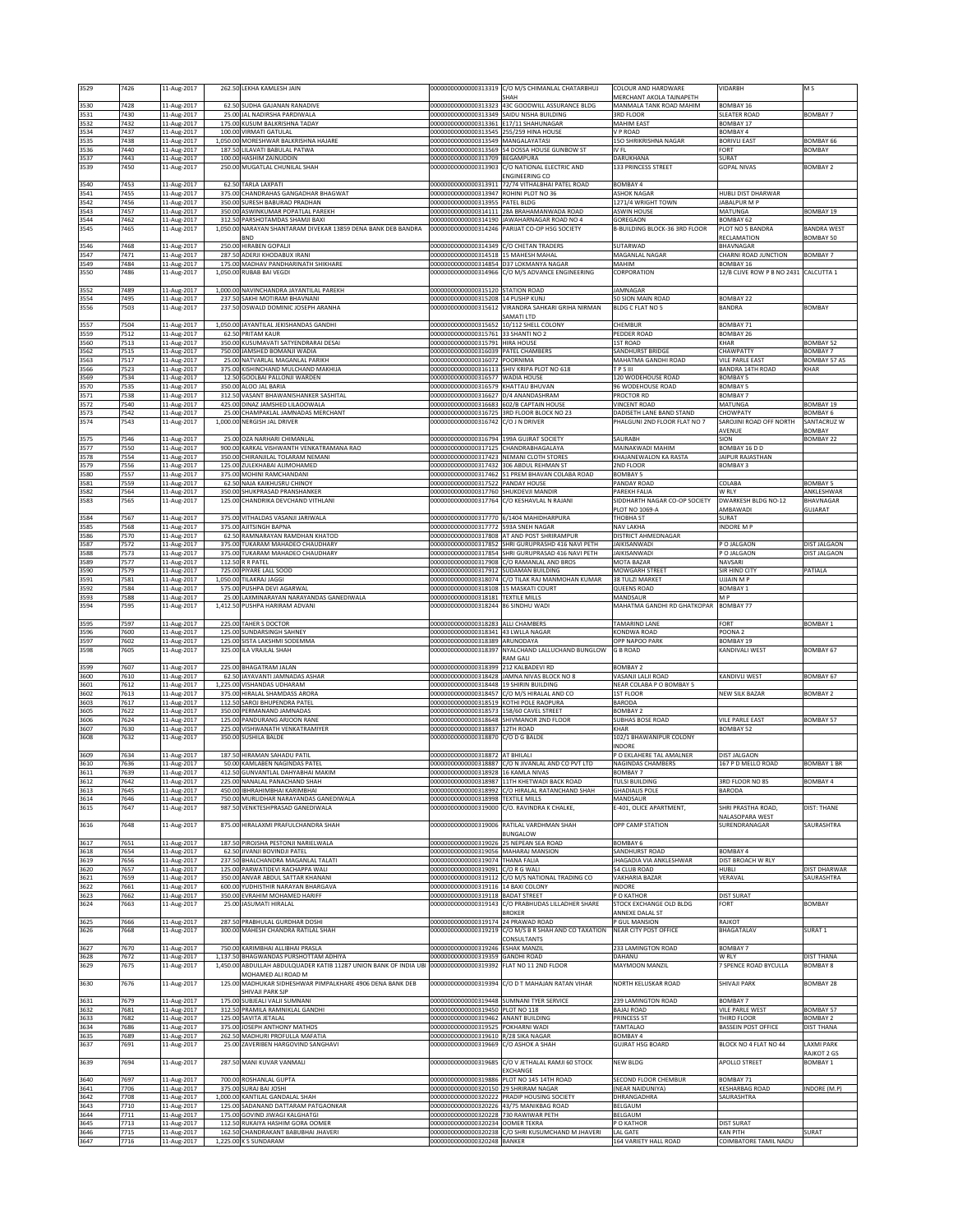| 3529                 | 7426         | 11-Aug-2017                               |                    | 262.50 LEKHA KAMLESH JAIN                                                                 | 0000000000000313319                                                                 | C/O M/S CHIMANLAL CHATARBHUJ<br>SHAH                                                          | COLOUR AND HARDWARE<br>MERCHANT AKOLA TAJNAPETH | VIDARBH                                                   | M S                                 |
|----------------------|--------------|-------------------------------------------|--------------------|-------------------------------------------------------------------------------------------|-------------------------------------------------------------------------------------|-----------------------------------------------------------------------------------------------|-------------------------------------------------|-----------------------------------------------------------|-------------------------------------|
| 3530<br>3531         | 7428<br>7430 | 11-Aug-2017                               | 25.00              | 62.50 SUDHA GAJANAN RANADIVE<br>JAL NADIRSHA PARDIWALA                                    | 00000000000000313349 SAIDU NISHA BUILDING                                           | 00000000000000313323 43C GOODWILL ASSURANCE BLDG                                              | MANMALA TANK ROAD MAHIM<br><b>3RD FLOOR</b>     | BOMBAY 16<br><b>SLEATER ROAD</b>                          | <b>BOMBAY 7</b>                     |
| 3532                 | 7432         | 11-Aug-2017<br>11-Aug-2017                |                    | 175.00 KUSUM BALKRISHNA TADAY                                                             | 00000000000000313361 E17/11 SHAHUNAGAR                                              |                                                                                               | MAHIM EAST                                      | BOMBAY 17                                                 |                                     |
| 3534<br>3535         | 7437<br>7438 | 11-Aug-2017<br>11-Aug-2017                | 1,050.00           | 100.00 VIRMATI GATULAL<br>MORESHWAR BALKRISHNA HAJARE                                     | 00000000000000313545 255/259 HINA HOUSE<br>00000000000000313549 MANGALAYATASI       |                                                                                               | V P ROAD<br>150 SHRIKRISHNA NAGAR               | BOMBAY 4<br><b>BORIVLI EAST</b>                           | BOMBAY 66                           |
| 3536                 | 7440         | 11-Aug-2017                               | 187.5              | LILAVATI BABULAL PATWA                                                                    |                                                                                     | 00000000000000313569 54 DOSSA HOUSE GUNBOW ST                                                 | IV FL                                           | FORT                                                      | <b>BOMBAY</b>                       |
| 3537<br>3539         | 7443<br>7450 | 11-Aug-2017<br>11-Aug-2017                |                    | 100.00 HASHIM ZAINUDDIN<br>250.00 MUGATLAL CHUNILAL SHAH                                  | 00000000000000313709 BEGAMPURA                                                      | 00000000000000313903 C/O NATIONAL ELECTRIC AND                                                | DARUKHANA<br>133 PRINCESS STREET                | SURAT<br><b>GOPAL NIVAS</b>                               | <b>BOMBAY 2</b>                     |
| 3540                 | 7453         | 11-Aug-2017                               |                    | 62.50 TARLA LAXPATI                                                                       |                                                                                     | ENGINEERING CO<br>00000000000000313911 72/74 VITHALBHAI PATEL ROAD                            | BOMBAY 4                                        |                                                           |                                     |
| 3541                 | 7455         | 11-Aug-2017                               | 375.00             | CHANDRAHAS GANGADHAR BHAGWAT                                                              | 00000000000000313947                                                                | ROHINI PLOT NO 36                                                                             | <b>SHOK NAGAR</b>                               | <b>IUBLI DIST DHARWAR</b>                                 |                                     |
| 3542<br>3543         | 7456<br>7457 | 11-Aug-2017<br>11-Aug-2017                | 350.00             | 350.00 SURESH BABURAO PRADHAN<br>ASWINKUMAR POPATLAL PAREKH                               | 00000000000000313955 PATEL BLDG                                                     | 00000000000000314111 28A BRAHAMANWADA ROAD                                                    | 1271/4 WRIGHT TOWN<br><b>ASWIN HOUSE</b>        | JABALPUR M P<br>MATUNGA                                   | BOMBAY 19                           |
| 3544<br>3545         | 7462<br>7465 | 11-Aug-2017<br>11-Aug-2017                | 312.50             | PARSHOTAMDAS SHAMJI BAXI<br>1,050.00 NARAYAN SHANTARAM DIVEKAR 13859 DENA BANK DEB BANDRA |                                                                                     | 00000000000000314190 JAWAHARNAGAR ROAD NO 4<br>00000000000000314246 PARIJAT CO-OP HSG SOCIETY | GOREGAON<br>B-BUILDING BLOCK-36 3RD FLOOR       | <b>BOMBAY 62</b><br>PLOT NO 5 BANDRA                      | <b>BANDRA WEST</b>                  |
|                      |              | 11-Aug-2017                               |                    | BND<br>250.00 HIRABEN GOPALII                                                             |                                                                                     |                                                                                               |                                                 | RECLAMATION                                               | BOMBAY 50                           |
| 3546<br>3547         | 7468<br>7471 | 11-Aug-2017                               | 287.50             | ADERJI KHODABUX IRANI                                                                     | 00000000000000314349 C/O CHETAN TRADERS<br>000000000000000314518 15 MAHESH MAHAL    |                                                                                               | SUTARWAD<br>MAGANLAL NAGAR                      | BHAVNAGAR<br>CHARNI ROAD JUNCTION                         | BOMBAY 7                            |
| 3549<br>3550         | 7484<br>7486 | 11-Aug-2017<br>11-Aug-2017                | 175.00<br>1,050.00 | MADHAV PANDHARINATH SHIKHARE<br>RUBAB BAI VEGDI                                           | 00000000000000314854 D37 LOKMANYA NAGAR                                             | 00000000000000314966 C/O M/S ADVANCE ENGINEERING                                              | MAHIM<br>CORPORATION                            | <b>BOMBAY 16</b><br>12/B CLIVE ROW P B NO 2431 CALCUTTA 1 |                                     |
|                      |              |                                           |                    |                                                                                           | 00000000000000315120 STATION ROAD                                                   |                                                                                               |                                                 |                                                           |                                     |
| 3552<br>3554         | 7489<br>7495 | 11-Aug-2017<br>11-Aug-2017                | 237.5              | 1,000.00 NAVINCHANDRA JAYANTILAL PAREKH<br>SAKHI MOTIRAM BHAVNANI                         | 000000000000000315208 14 PUSHP KUNJ                                                 |                                                                                               | JAMNAGAR<br>50 SION MAIN ROAD                   | BOMBAY 22                                                 |                                     |
| 3556                 | 7503         | 11-Aug-2017                               | 237.50             | OSWALD DOMINIC JOSEPH ARANHA                                                              | 00000000000000315612                                                                | VIRANDRA SAHKARI GRIHA NIRMAN<br>SAMATI LTD                                                   | BLDG C FLAT NO 5                                | <b>BANDRA</b>                                             | BOMBAY                              |
| 3557                 | 7504         | 11-Aug-2017                               |                    | 1,050.00 JAYANTILAL JEKISHANDAS GANDHI                                                    | 000000000000000315652 10/112 SHELL COLONY<br>00000000000000315761 33 SHANTI NO 2    |                                                                                               | CHEMBUR                                         | BOMBAY 71                                                 |                                     |
| 3559<br>3560         | 7512<br>7513 | 11-Aug-2017<br>11-Aug-2017                | 62.50<br>350.00    | PRITAM KAUR<br>KUSUMAVATI SATYENDRARAI DESAI                                              | 0000000000000315791                                                                 | <b>HIRA HOUSE</b>                                                                             | PEDDER ROAD<br><b>IST ROAD</b>                  | BOMBAY 26<br>KHAR                                         | BOMBAY 52                           |
| 3562<br>3563         | 7515<br>7517 | 11-Aug-2017<br>11-Aug-2017                | 25.00              | 750.00 JAMSHED BOMANJI WADIA<br>NATVARLAL MAGANLAL PARIKH                                 | 00000000000000316039 PATEL CHAMBERS<br>00000000000000316072 POORNIMA                |                                                                                               | SANDHURST BRIDGE<br>MAHATMA GANDHI ROAD         | CHAWPATTY<br>VILE PARLE EAST                              | BOMBAY 7<br>BOMBAY 57 AS            |
| 3566                 | 7523         | 11-Aug-2017                               |                    | 375.00 KISHINCHAND MULCHAND MAKHIJA                                                       |                                                                                     | 00000000000000316113 SHIV KRIPA PLOT NO 618                                                   | TPSIII                                          | <b>BANDRA 14TH ROAD</b>                                   | KHAR                                |
| 3569<br>3570         | 7534<br>7535 | 11-Aug-2017<br>11-Aug-2017                |                    | 12.50 GOOLBAI PALLONJI WARDEN<br>350.00 ALOO JAL BARIA                                    | 00000000000000316577 WADIA HOUSE<br>000000000000000316579 KHATTAU BHUVAN            |                                                                                               | 120 WODEHOUSE ROAD<br>96 WODEHOUSE ROAD         | <b>BOMBAY 5</b><br><b>BOMBAY 5</b>                        |                                     |
| 3571<br>3572         | 7538<br>7540 | 11-Aug-2017<br>11-Aug-2017                | 312.50<br>425.00   | VASANT BHAWANISHANKER SASHITAL<br>DINAZ JAMSHED LILAOOWALA                                | 00000000000000316627 D/4 ANANDASHRAM<br>20000000000000216683 602/B CAPTAIN HOUSE    |                                                                                               | PROCTOR RD<br><b>VINCENT ROAD</b>               | <b>BOMBAY 7</b><br>MATUNGA                                | BOMBAY 19                           |
| 3573                 | 7542         | 11-Aug-2017                               | 25.00              | CHAMPAKLAL JAMNADAS MERCHANT                                                              |                                                                                     | 00000000000000316725 3RD FLOOR BLOCK NO 23                                                    | DADISETH LANE BAND STAND                        | CHOWPATY                                                  | <b>BOMBAY 6</b>                     |
| 3574                 | 7543         | 11-Aug-2017                               |                    | 1,000.00 NERGISH JAL DRIVER                                                               | 00000000000000316742                                                                | C/O J N DRIVER                                                                                | PHALGUNI 2ND FLOOR FLAT NO 7                    | SAROJINI ROAD OFF NORTH<br>AVENUE                         | SANTACRUZ W<br>BOMBAY               |
| 3575<br>3577         | 7546<br>7550 | 11-Aug-2017<br>11-Aug-2017                |                    | 25.00 OZA NARHARI CHIMANLAL<br>900.00 KARKAL VISHWANTH VENKATRAMANA RAO                   | 00000000000000316794 199A GUJRAT SOCIETY<br>00000000000000317125 CHANDRABHAGALAYA   |                                                                                               | SAURABH<br>MAINAKWADI MAHIM                     | SION<br>BOMBAY 16 D D                                     | <b>BOMBAY 22</b>                    |
| 3578                 | 7554         | 11-Aug-2017                               |                    | 350.00 CHIRANJILAL TOLARAM NEMANI                                                         | 00000000000000317423 NEMANI CLOTH STORES                                            |                                                                                               | KHAJANEWALON KA RASTA                           | JAIPUR RAJASTHAN                                          |                                     |
| 3579<br>3580         | 7556<br>7557 | 11-Aug-2017<br>11-Aug-2017                | 125.00<br>375.00   | ZULEKHABAI ALIMOHAMED<br>MOHINI RAMCHANDANI                                               | 00000000000000317432 306 ABDUL REHMAN ST                                            | 00000000000000317462 51 PREM BHAVAN COLABA ROAD                                               | 2ND FLOOR<br>BOMBAY <sub>5</sub>                | BOMBAY 3                                                  |                                     |
| 3581<br>3582         | 7559<br>7564 | 11-Aug-2017<br>11-Aug-2017                | 62.5<br>350.00     | NAJA KAIKHUSRU CHINOY<br>SHUKPRASAD PRANSHANKER                                           | 00000000000000317522<br>000000000000000317760 SHUKDEVJI MANDIR                      | PANDAY HOUSE                                                                                  | PANDAY ROAD<br>PAREKH FALIA                     | COLABA<br>W RLY                                           | BOMBAY <sub>5</sub><br>ANKLESHWAR   |
| 3583                 | 7565         | 11-Aug-2017                               | 125.00             | CHANDRIKA DEVCHAND VITHLANI                                                               | 00000000000000317764                                                                | C/O KESHAVLAL N RAJANI                                                                        | SIDDHARTH NAGAR CO-OP SOCIETY                   | <b>DWARKESH BLDG NO-12</b>                                | BHAVNAGAR                           |
| 3584                 | 7567         | 11-Aug-2017                               |                    | 375.00 VITHALDAS VASANJI JARIWALA                                                         | 000000000000000317770 6/1404 MAHIDHARPURA                                           |                                                                                               | PLOT NO 1069-A<br>THOBHA ST                     | AMBAWADI<br>SURAT                                         | GUJARAT                             |
| 3585<br>3586         | 7568<br>7570 | 11-Aug-2017<br>11-Aug-2017                |                    | 375.00 AJITSINGH BAPNA<br>62.50 RAMNARAYAN RAMDHAN KHATOD                                 | 00000000000000317772 593A SNEH NAGAR                                                | 00000000000000317808 AT AND POST SHRIRAMPUR                                                   | NAV LAKHA<br>DISTRICT AHMEDNAGAR                | INDORE M P                                                |                                     |
| 3587                 | 7572         | 11-Aug-2017                               | 375.00             | TUKARAM MAHADEO CHAUDHARY                                                                 |                                                                                     | 00000000000000317852 SHRI GURUPRASHD 416 NAVI PETH                                            | JAIKISANWADI                                    | P O JALGAON                                               | DIST JALGAON                        |
| 3588<br>3589         | 7573<br>7577 | 11-Aug-2017<br>11-Aug-2017                | 375.00<br>112.50   | TUKARAM MAHADEO CHAUDHARY<br>R R PATEL                                                    | 0000000000000317908                                                                 | 00000000000000317854 SHRI GURUPRASAD 416 NAVI PETH<br>C/O RAMANLAL AND BROS                   | AIKISANWADI<br>MOTA BAZAR                       | PO JALGAON<br>NAVSARI                                     | DIST JALGAON                        |
| 3590<br>3591         | 7579<br>7581 | 11-Aug-2017<br>11-Aug-2017                | 725.00<br>1,050.00 | PIYARE LALL SOOD<br>TILAKRAJ JAGGI                                                        | 00000000000000317912 SUDAMAN BUILDING                                               | 000000000000000318074 C/O TILAK RAJ MANMOHAN KUMAR                                            | MOWGARH STREET<br>38 TULZI MARKET               | SIR HIND CITY<br><b>UJJAIN MP</b>                         | PATIALA                             |
| 3592                 | 7584         | 11-Aug-2017                               | 575.0              | PUSHPA DEVI AGARWAI                                                                       | 000000000000000318108 15 MASKATI COURT                                              |                                                                                               | <b>QUEENS ROAD</b>                              | <b>BOMBAY 1</b>                                           |                                     |
| 3593<br>3594         | 7588<br>7595 | 11-Aug-2017<br>11-Aug-2017                |                    | 25.00 LAXMINARAYAN NARAYANDAS GANEDIWALA<br>1,412.50 PUSHPA HARIRAM ADVANI                | 00000000000000318181 TEXTILE MILLS<br>000000000000000318244 86 SINDHU WADI          |                                                                                               | MANDSAUR<br>MAHATMA GANDHI RD GHATKOPAR         | M P<br>BOMBAY 77                                          |                                     |
|                      |              |                                           |                    |                                                                                           |                                                                                     |                                                                                               |                                                 |                                                           |                                     |
|                      | 7597         |                                           |                    |                                                                                           |                                                                                     |                                                                                               |                                                 | FORT                                                      |                                     |
| 3595<br>3596         | 7600         | 11-Aug-2017<br>11-Aug-2017                | 125.00             | 225.00 TAHER S DOCTOR<br><b>JUNDARSINGH SAHNEY</b>                                        | 00000000000000318283 ALLI CHAMBERS<br>00000000000000318341                          | 43 LWLLA NAGAR                                                                                | <b>TAMARIND LANE</b><br><b>CONDWA ROAD</b>      | OONA <sub>2</sub>                                         | <b>BOMBAY 1</b>                     |
| 3597<br>3598         | 7602<br>7605 | 11-Aug-2017<br>11-Aug-2017                | 125.00<br>325.00   | <b>ISTA LAKSHMI SODEMMA</b><br>ILA VRAJLAL SHAH                                           | 00000000000000318389 ARUNODAYA<br>00000000000000318397                              | NYALCHAND LALLUCHAND BUNGLOW                                                                  | OPP NAPOO PARK<br><b>G B ROAD</b>               | BOMBAY 19<br>KANDIVALI WEST                               | <b>BOMBAY 67</b>                    |
| 3599                 | 7607         |                                           |                    | 225.00 BHAGATRAM JALAN                                                                    | 00000000000000318399                                                                | <b>RAM GALI</b><br>212 KALBADEVI RD                                                           | <b>BOMBAY 2</b>                                 |                                                           |                                     |
| 3600                 | 7610         | 11-Aug-2017<br>11-Aug-2017                |                    | 62.50 JAYAVANTI JAMNADAS ASHAR                                                            |                                                                                     | 00000000000000318428 JAMNA NIVAS BLOCK NO 8                                                   | VASANJI LALJI ROAD                              | KANDIVLI WEST                                             | BOMBAY 67                           |
| 3601<br>3602         | 7612<br>7613 | 11-Aug-2017<br>11-Aug-2017                |                    | 1,225.00 VISHANDAS UDHARAM<br>375.00 HIRALAL SHAMDASS ARORA                               | 00000000000000318448 19 SHIRIN BUILDING                                             | 00000000000000318457 C/O M/S HIRALAL AND CO                                                   | NEAR COLABA P O BOMBAY 5<br><b>IST FLOOR</b>    | <b>VEW SILK BAZAR</b>                                     | <b>BOMBAY 2</b>                     |
| 3603<br>3605         | 7617<br>7622 | 11-Aug-2017<br>11-Aug-2017                | 112.50<br>350.00   | AROJ BHUPENDRA PATEL<br>PERMANAND JAMNADAS                                                | 00000000000000318519 KOTHI POLE RAOPURA<br>00000000000000318573 158/60 CAVEL STREET |                                                                                               | <b>BARODA</b><br><b>BOMBAY 2</b>                |                                                           |                                     |
| 3606                 | 7624         | 11-Aug-2017                               | 125.00             | PANDURANG ARJOON RANE                                                                     |                                                                                     | 00000000000000318648 SHIVMANOR 2ND FLOOR                                                      | <b>SUBHAS BOSE ROAD</b>                         | VILE PARLE EAST                                           | <b>BOMBAY 57</b>                    |
| 3607<br>3608         | 7630<br>7632 | 11-Aug-2017<br>11-Aug-2017                | 225.00             | VISHWANATH VENKATRAMIYER<br>350.00 SUSHILA BALDE                                          | 00000000000000318837 12TH ROAD<br>00000000000000318870 C/O D G BALDE                |                                                                                               | KHAR<br>102/1 BHAWANIPUR COLONY                 | <b>BOMBAY 52</b>                                          |                                     |
| 3609                 | 7634         | 11-Aug-2017                               |                    | 187.50 HIRAMAN SAHADU PATIL                                                               | 00000000000000318872 AT BHILALI                                                     |                                                                                               | NDORE<br>P O EKLAHERE TAL AMALNER               | <b>DIST JALGAON</b>                                       |                                     |
| 3610                 | 7636         | 11-Aug-2017                               |                    | 50.00 KAMLABEN NAGINDAS PATEL                                                             |                                                                                     | 00000000000000318887 C/O N JIVANLAL AND CO PVT LTD                                            | NAGINDAS CHAMBERS                               | 167 P D MELLO ROAD                                        | <b>BOMBAY 1 BR</b>                  |
| 3611<br>3612         | 7639<br>644  | 11-Aug-2017<br>.1-Aug-2017                |                    | 412.50 GUNVANTLAL DAHYABHAI MAKIM<br>225.00 NANALAL PANACHAND SHAF                        | 00000000000000318928 16 KAMLA NIVAS<br>10000000000000318987                         | <b>IIIH KHEIWADI BACK KOAD</b>                                                                | <b>BOMBAY 7</b><br>FULSI BUILDING               | SRD FLOOR NO 85                                           | BUMBAY 4                            |
| 3613<br>3614         | 7645<br>7646 | 11-Aug-2017<br>11-Aug-2017                |                    | 450.00 IBHRAHIMBHAI KARIMBHAI<br>750.00 MURLIDHAR NARAYANDAS GANEDIWALA                   | 00000000000000318998 TEXTILE MILLS                                                  | 00000000000000318992 C/O HIRALAL RATANCHAND SHAH                                              | <b>GHADIALIS POLE</b><br>MANDSAUR               | BARODA                                                    |                                     |
| 3615                 | 7647         | 11-Aug-2017                               | 987.50             | VENKTESHPRASAD GANEDIWALA                                                                 |                                                                                     | 00000000000000319000 C/O. RAVINDRA K CHALKE,                                                  | E-401, OLICE APARTMENT,                         | SHRI PRASTHA ROAD,<br>NALASOPARA WEST                     | <b>DIST: THANE</b>                  |
| 3616                 | 7648         | 11-Aug-2017                               |                    | 875.00 HIRALAXMI PRAFULCHANDRA SHAH                                                       |                                                                                     | 00000000000000319006 RATILAL VARDHMAN SHAH                                                    | OPP CAMP STATION                                | SURENDRANAGAR                                             | SAURASHTRA                          |
| 3617                 | 7651         | 11-Aug-2017                               |                    | 187.50 PIROJSHA PESTONJI NARIELWALA                                                       | 00000000000000319026 25 NEPEAN SEA ROAD                                             | BUNGALOW                                                                                      | <b>BOMBAY 6</b>                                 |                                                           |                                     |
| 3618<br>3619         | 7654<br>7656 | 11-Aug-2017                               | 62.50              | IVANJI BOVINDJI PATEL<br>237.50 BHALCHANDRA MAGANLAL TALATI                               | 00000000000000319056 MAHARAJ MANSION<br>00000000000000319074 THANA FALIA            |                                                                                               | SANDHURST ROAD                                  | BOMBAY 4<br>DIST BROACH W RLY                             |                                     |
| 3620                 | 7657         | 11-Aug-2017<br>11-Aug-2017                | 125.00             | PARWATIDEVI RACHAPPA WALI                                                                 | 00000000000000319091 C/O R G WALI                                                   |                                                                                               | <b>JHAGADIA VIA ANKLESHWAR</b><br>54 CLUB ROAD  | HUBLI                                                     | <b>DIST DHARWAR</b>                 |
| 3621<br>3622         | 7659<br>7661 | 11-Aug-2017<br>11-Aug-2017                | 350.00<br>600.00   | ANVAR ABDUL SATTAR KHANANI<br>YUDHISTHIR NARAYAN BHARGAVA                                 | 00000000000000319116 14 BAXI COLONY                                                 | 00000000000000319112 C/O M/S NATIONAL TRADING CO                                              | VAKHARIA BAZAR<br>INDORE                        | VERAVAL                                                   | SAURASHTRA                          |
| 3623<br>3624         | 7662<br>7663 | 11-Aug-2017<br>11-Aug-2017                |                    | 350.00 EVRAHIM MOHAMED HARIFF<br>25.00 JASUMATI HIRALAL                                   | 00000000000000319118 BADAT STREET                                                   | 00000000000000319143 C/O PRABHUDAS LILLADHER SHARE                                            | P O KATHOR<br>STOCK EXCHANGE OLD BLDG           | <b>DIST SURAT</b><br>FORT                                 | <b>BOMBAY</b>                       |
|                      |              |                                           |                    |                                                                                           |                                                                                     | <b>BROKER</b>                                                                                 | ANNEXE DALAL ST                                 |                                                           |                                     |
| 3625<br>3626         | 7666<br>7668 | 11-Aug-2017<br>11-Aug-2017                | 287.50<br>300.00   | PRABHULAL GURDHAR DOSHI<br>MAHESH CHANDRA RATILAL SHAH                                    | 00000000000000319174 24 PRAWAD ROAD                                                 | 00000000000000319219 C/O M/S B R SHAH AND CO TAXATION                                         | P GUL MANSION<br>NEAR CITY POST OFFICE          | RAJKOT<br>BHAGATALAV                                      | SURAT <sub>1</sub>                  |
| 3627                 | 7670         | 11-Aug-2017                               |                    | 750.00 KARIMBHAI ALLIBHAI PRASLA                                                          | 00000000000000319246 ESHAK MANZIL                                                   | CONSULTANTS                                                                                   | 233 LAMINGTON ROAD                              | <b>BOMBAY 7</b>                                           |                                     |
| 3628                 | 7672         | 11-Aug-2017                               | 1,137.50           | <b>BHAGWANDAS PURSHOTTAM ADHIYA</b>                                                       | 00000000000000319359                                                                | <b>GANDHI ROAD</b>                                                                            | DAHANU                                          | W RLY                                                     | <b>DIST THANA</b>                   |
| 3629                 | 7675         | 11-Aug-2017                               | 1,450.00           | ABDULLAH ABDULQUADER KATIB 11287 UNION BANK OF INDIA UB<br>MOHAMED ALI ROAD M             | 00000000000000319392                                                                | FLAT NO 11 2ND FLOOR                                                                          | MAYMOON MANZIL                                  | 7 SPENCE ROAD BYCULLA                                     | <b>BOMBAY 8</b>                     |
| 3630                 | 7676         | 11-Aug-2017                               |                    | 125.00 MADHUKAR SIDHESHWAR PIMPALKHARE 4906 DENA BANK DEB<br>SHIVAJI PARK SJP             | 00000000000000319394                                                                | C/O D T MAHAJAN RATAN VIHAR                                                                   | NORTH KELUSKAR ROAD                             | SHIVAJI PARK                                              | <b>BOMBAY 28</b>                    |
| 3631                 | 7679         | 11-Aug-2017                               | 175.00             | SUBJEALI VALJI SUMNANI                                                                    | 00000000000000319448 SUMNANI TYER SERVICE                                           |                                                                                               | 239 LAMINGTON ROAD                              | BOMBAY 7                                                  |                                     |
| 3632<br>3633         | 7681<br>7682 | 11-Aug-2017<br>11-Aug-2017                | 125.00             | 312.50 PRAMILA RAMNIKLAL GANDHI<br>SAVITA JETALAL                                         | 00000000000000319450 PLOT NO 118<br>00000000000000319462 ANANT BUILDING             |                                                                                               | <b>BAJAJ ROAD</b><br>PRINCESS ST                | <b>VILE PARLE WEST</b><br>THIRD FLOOR                     | <b>BOMBAY 57</b><br><b>BOMBAY 2</b> |
| 3634<br>3635         | 7686<br>7689 | 11-Aug-2017<br>11-Aug-2017                | 375.00<br>262.50   | JOSEPH ANTHONY MATHOS<br>MADHURI PROFULLA MAFATIA                                         | 00000000000000319525 POKHARNI WADI<br>00000000000000319610 R/28 SIKA NAGAR          |                                                                                               | TAMTALAO<br>BOMBAY 4                            | <b>BASSEIN POST OFFICE</b>                                | <b>DIST THANA</b>                   |
| 3637                 | 7691         | 11-Aug-2017                               |                    | 25.00 ZAVERIBEN HARGOVIND SANGHAVI                                                        | 00000000000000319669 C/O ASHOK A SHAH                                               |                                                                                               | <b>GUJRAT HSG BOARD</b>                         | BLOCK NO 4 FLAT NO 44                                     | <b>LAXMI PARK</b>                   |
| 3639                 | 7694         | 11-Aug-2017                               |                    | 287.50 MANI KUVAR VANMALI                                                                 | 00000000000000319685                                                                | C/O V JETHALAL RAMJI 60 STOCK                                                                 | NEW BLDG                                        | APOLLO STREET                                             | RAJKOT 2 GS<br>BOMBAY 1             |
| 3640                 | 7697         | 11-Aug-2017                               |                    | 700.00 ROSHANLAL GUPTA                                                                    |                                                                                     | EXCHANGE<br>00000000000000319886 PLOT NO 145 14TH ROAD                                        | SECOND FLOOR CHEMBUR                            | BOMBAY 71                                                 |                                     |
| 3641                 | 7706         | 11-Aug-2017                               |                    | 375.00 SURAJ BAI JOSHI                                                                    | 00000000000000320150 29 SHRIRAM NAGAR                                               |                                                                                               | (NEAR NAIDUNIYA)                                | <b>KESHARBAG ROAD</b>                                     | INDORE (M.P)                        |
| 3642<br>3643         | 7708<br>7710 | 11-Aug-2017<br>11-Aug-2017                |                    | 1,000.00 KANTILAL GANDALAL SHAH<br>125.00 SADANAND DATTARAM PATGAONKAR                    |                                                                                     | 00000000000000320222 PRADIP HOUSING SOCIETY<br>00000000000000320226 43/75 MANIKBAG ROAD       | DHRANGADHRA<br>BELGAUM                          | SAURASHTRA                                                |                                     |
| 3644                 | 7711<br>7713 | 11-Aug-2017                               |                    | 175.00 GOVIND JIWAGI KALGHATGI<br>112.50 RUKAIYA HASHIM GORA OOMER                        | 00000000000000320228 730 RAWIWAR PETH                                               |                                                                                               | BELGAUM<br>P O KATHOR                           | <b>DIST SURAT</b>                                         |                                     |
| 3645<br>3646<br>3647 | 7715<br>7716 | 11-Aug-2017<br>11-Aug-2017<br>11-Aug-2017 |                    | 162.50 CHANDRAKANT BABUBHAI JHAVERI<br>1,225.00 K S SUNDARAM                              | 00000000000000320234 OOMER TEKRA<br>00000000000000320248 BANKER                     | 000000000000000320238 C/O SHRI KUSUMCHAND M JHAVERI                                           | <b>LAL GATE</b><br>164 VARIETY HALL ROAD        | <b>KAN PITH</b><br>COIMBATORE TAMIL NADU                  | SURAT                               |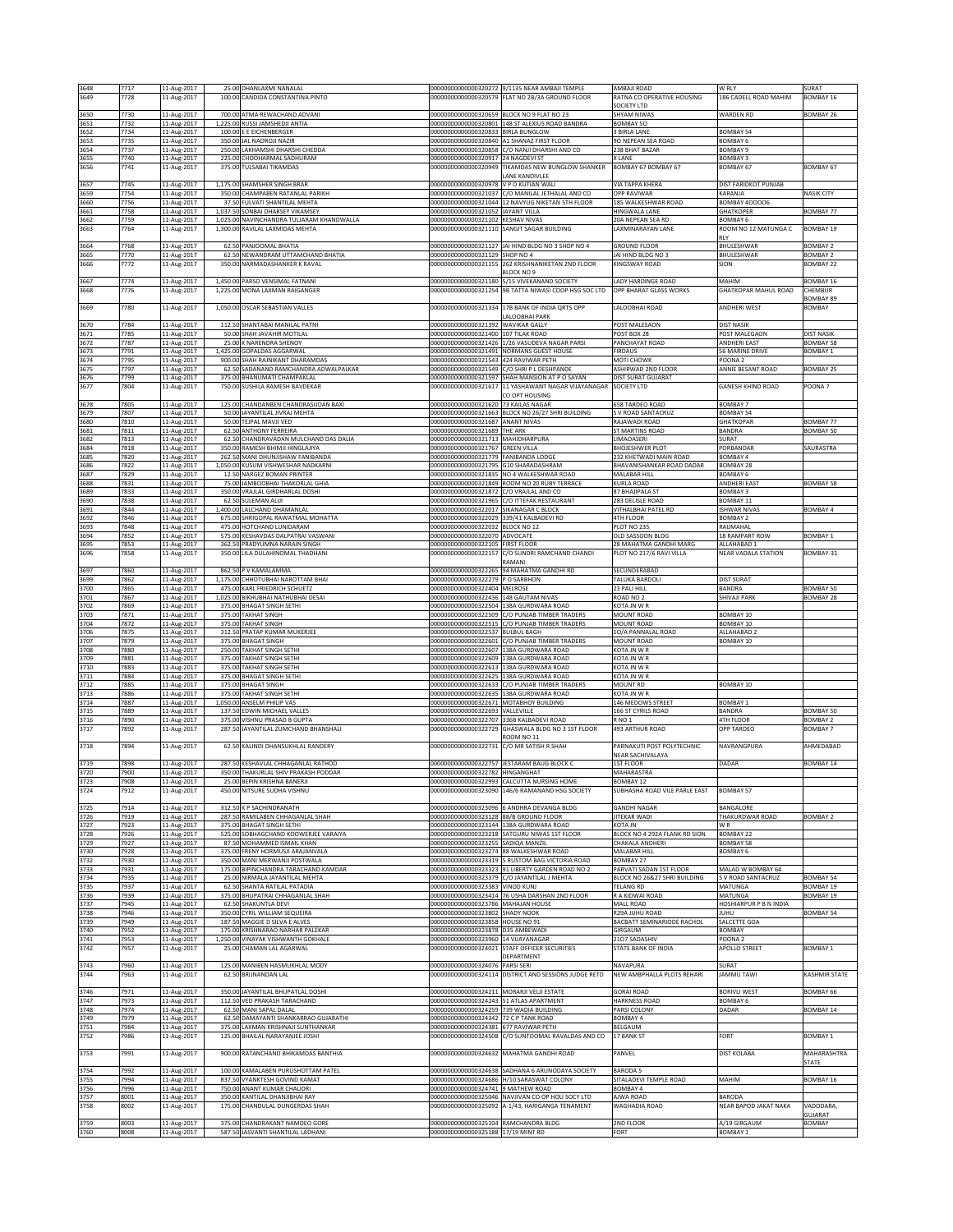| 3648<br>3649 | 7717<br>7728 | 11-Aug-2017                | 25.00 DHANLAXMI NANALAL<br>100.00 CANDIDA CONSTANTINA PINTO                  | 00000000000000320272                                                               | 9/1135 NEAR AMBAJI TEMPLE<br>00000000000000320579 FLAT NO 2B/3A GROUND FLOOR                          | AMBAJI ROAD<br>RATNA CO OPERATIVE HOUSING                  | W RLY<br>186 CADELL ROAD MAHIM          | SURAT<br>BOMBAY 16            |
|--------------|--------------|----------------------------|------------------------------------------------------------------------------|------------------------------------------------------------------------------------|-------------------------------------------------------------------------------------------------------|------------------------------------------------------------|-----------------------------------------|-------------------------------|
|              |              | 11-Aug-2017                |                                                                              |                                                                                    |                                                                                                       | SOCIETY LTD                                                |                                         |                               |
| 3650         | 7730         | 11-Aug-2017                | 700.00 ATMA REWACHAND ADVANI                                                 | 00000000000000320659 BLOCK NO 9 FLAT NO 23                                         |                                                                                                       | <b>SHYAM NIWAS</b>                                         | WARDEN RD                               | <b>BOMBAY 26</b>              |
| 3651         | 7732         | 11-Aug-2017                | 1,225.00 RUSSI JAMSHEDJI ANTIA                                               | 00000000000000320801                                                               | 148 ST ALEXIUS ROAD BANDRA                                                                            | <b>BOMBAY 50</b>                                           |                                         |                               |
| 3652         | 7734         | 11-Aug-2017                | 100.00 E E EICHENBERGER                                                      | 00000000000000320833 BIRLA BUNGLOW                                                 |                                                                                                       | 3 BIRLA LANE                                               | <b>BOMBAY 54</b>                        |                               |
| 3653         | 7735         | 11-Aug-2017                | 350.00 JAL NAOROJI NAZIR                                                     | 00000000000000320840 A1 SHANAZ FIRST FLOOR                                         |                                                                                                       | 90 NEPEAN SEA ROAD                                         | BOMBAY 6                                |                               |
| 3654         | 7737         | 11-Aug-2017                | 250.00 LAKHAMSHI DHARSHI CHEDDA                                              |                                                                                    | 00000000000000320858 C/O NANJI DHARSHI AND CO                                                         | 238 BHAT BAZAR                                             | OMBAY 9                                 |                               |
| 3655         | 7740         | 11-Aug-2017                | 225.00 CHOOHARMAL SADHURAM                                                   | 00000000000000320917<br>00000000000000320949                                       | 24 NAGDEVI ST                                                                                         | <b>XLANE</b><br>BOMBAY 67 BOMBAY 67                        | <b>SOMBAY 3</b>                         | <b>BOMBAY 67</b>              |
| 3656         | 7741         | 11-Aug-2017                | 375.00 TULSABAI TIKAMDAS                                                     |                                                                                    | TIKAMDAS NEW BUNGLOW SHANKER<br>ANE KANDIVLEE                                                         |                                                            | BOMBAY 67                               |                               |
| 3657         | 7745         | 11-Aug-2017                | 1,175.00 SHAMSHER SINGH BRAR                                                 | 00000000000000320978 V P O KUTIAN WALI                                             |                                                                                                       | <b>VIA TAPPA KHERA</b>                                     | DIST FARIDKOT PUNJAB                    |                               |
| 3659         | 7754         | 11-Aug-2017                | 350.00 CHAMPABEN RATANLAL PARIKH                                             |                                                                                    | 00000000000000321037 C/O MANILAL JETHALAL AND CO                                                      | OPP RAVIWAR                                                | KARANJA                                 | <b>NASIK CITY</b>             |
| 3660         | 7756         | 11-Aug-2017                | 37.50 FULVATI SHANTILAL MEHTA                                                |                                                                                    | 00000000000000321044 12 NAVYUG NIKETAN 5TH FLOOR                                                      | 185 WALKESHWAR ROAD                                        | BOMBAY 400006                           |                               |
| 3661         | 7758         | 11-Aug-2017                | 1,037.50 SONBAI DHARSEY VIKAMSEY                                             | 000000000000000321052 JAYANT VILLA                                                 |                                                                                                       | HINGWALA LANE                                              | GHATKOPER                               | BOMBAY 77                     |
| 3662<br>3663 | 7759<br>7764 | 11-Aug-2017                | 1,025.00 NAVINCHANDRA TULJARAM KHANDWALLA<br>1,300.00 RAVILAL LAXMIDAS MEHTA | 00000000000000321102 KESHAV NIVAS                                                  | 00000000000000321110 SANGIT SAGAR BUILDING                                                            | 20A NEPEAN SEA RD<br>LAXMINARAYAN LANE                     | <b>BOMBAY 6</b><br>ROOM NO 12 MATUNGA C | BOMBAY 19                     |
|              |              | 11-Aug-2017                |                                                                              |                                                                                    |                                                                                                       |                                                            |                                         |                               |
| 3664         | 7768         | 11-Aug-2017                | 62.50 PANJOOMAL BHATIA                                                       |                                                                                    | 00000000000000321127 JAI HIND BLDG NO 3 SHOP NO 4                                                     | <b>GROUND FLOOR</b>                                        | BHULESHWAR                              | <b>BOMBAY 2</b>               |
| 3665         | 7770         | 11-Aug-2017                | 62.50 NEWANDRAM UTTAMCHAND BHATIA                                            | 00000000000000321129 SHOP NO 4                                                     |                                                                                                       | JAI HIND BLDG NO 3                                         | BHULESHWAR                              | <b>BOMBAY 2</b>               |
| 3666         | 7772         | 11-Aug-2017                | 350.00 NARMADASHANKER K RAVAL                                                |                                                                                    | 00000000000000321155 262 KRISHNANIKETAN 2ND FLOOR                                                     | KINGSWAY ROAD                                              | SION                                    | <b>BOMBAY 22</b>              |
|              |              |                            |                                                                              |                                                                                    | BLOCK NO 9                                                                                            |                                                            |                                         |                               |
| 3667<br>3668 | 7774<br>7776 | 11-Aug-2017<br>11-Aug-2017 | 1,450.00 PARSO VENSIMAL FATNANI<br>1,225.00 MONA LAXMAN RAIGANGER            |                                                                                    | 00000000000000321180 5/15 VIVEKANAND SOCIETY<br>00000000000000321254 9B TATTA NIWASI COOP HSG SOC LTD | <b>LADY HARDINGE ROAD</b><br><b>OPP BHARAT GLASS WORKS</b> | MAHIM<br>GHATKOPAR MAHUL ROAD           | <b>BOMBAY 16</b><br>CHEMBUR   |
|              |              |                            |                                                                              |                                                                                    |                                                                                                       |                                                            |                                         | BOMBAY 89                     |
| 3669         | 7780         | 11-Aug-2017                | 1,050.00 OSCAR SEBASTIAN VALLES                                              |                                                                                    | 00000000000000321334 17B BANK OF INDIA QRTS OPP                                                       | LALOOBHAI ROAD                                             | ANDHERI WEST                            | BOMBAY                        |
|              |              |                            |                                                                              |                                                                                    | ALOOBHAI PARK                                                                                         |                                                            |                                         |                               |
| 3670         | 7784         | 11-Aug-2017                | 112.50 SHANTABAI MANILAL PATNI                                               | 00000000000000321392 WAVIKAR GALLY                                                 |                                                                                                       | POST MALESAON                                              | <b>DIST NASIK</b>                       |                               |
| 3671         | 7785         | 11-Aug-2017                | 50.00 SHAH JAVAHIR MOTILAL                                                   | 00000000000000321400 107 TILAK ROAD                                                |                                                                                                       | POST BOX 28                                                | POST MALEGAON                           | <b>DIST NASIK</b>             |
| 3672         | 7787         | 11-Aug-2017                | 25.00 K NARENDRA SHENOY                                                      |                                                                                    | 00000000000000321426 1/26 VASUDEVA NAGAR PARSI                                                        | PANCHAYAT ROAD                                             | ANDHERI EAST                            | <b>BOMBAY 58</b>              |
| 3673<br>3674 | 7791<br>7795 | 11-Aug-2017<br>11-Aug-2017 | 1,425.00 GOPALDAS AGGARWAL<br>900.00 SHAH RAJNIKANT DHARAMDAS                | 000000000000000321543 424 RAVIWAR PETH                                             | 00000000000000321491 NORMANS GUEST HOUSE                                                              | <b>FIRDAUS</b><br>MOTI CHOWK                               | 56 MARINE DRIVE<br>OONA 2               | <b>BOMBAY 1</b>               |
| 3675         | 7797         | 11-Aug-2017                | 62.50 SADANAND RAMCHANDRA ADWALPALKAR                                        |                                                                                    | 00000000000000321549 C/O SHRI P L DESHPANDE                                                           | ASHIRWAD 2ND FLOOR                                         | ANNIE BESANT ROAD                       | BOMBAY 25                     |
| 3676         | 7799         | 11-Aug-2017                | 375.00 BHANUMATI CHAMPAKLAL                                                  | 00000000000000321597                                                               | SHAH MANSION AT P O SAYAN                                                                             | DIST SURAT GUJARAT                                         |                                         |                               |
| 3677         | 7804         | 11-Aug-2017                | 750.00 SUSHILA RAMESH BAVDEKAR                                               | 00000000000000321617                                                               | 11 YASHAWANT NAGAR VUAYANAGAR                                                                         | SOCIETY LTD                                                | <b>GANESH KHIND ROAD</b>                | POONA <sub>7</sub>            |
|              |              |                            |                                                                              |                                                                                    | CO OPT HOUSING                                                                                        |                                                            |                                         |                               |
| 3678<br>3679 | 7805<br>7807 | 11-Aug-2017                | 125.00 CHANDANBEN CHANDRASUDAN BAXI<br>50.00 JAYANTILAL JIVRAJ MEHTA         | 0000000000000321620                                                                | <b>73 KAILAS NAGAR</b><br>00000000000000321663 BLOCK NO 26/27 SHRI BUILDING                           | 658 TARDEO ROAD<br>S V ROAD SANTACRUZ                      | BOMBAY 7<br>BOMBAY 54                   |                               |
| 3680         | 7810         | 11-Aug-2017<br>11-Aug-2017 | 50.00 TEJPAL MAVJI VED                                                       | 00000000000000321687 ANANT NIVAS                                                   |                                                                                                       | RAJAWADI ROAD                                              | <b>GHATKOPAR</b>                        | BOMBAY 77                     |
| 3681         | 7811         | 11-Aug-2017                | 62.50 ANTHONY FERREIRA                                                       | 00000000000000321689 THE ARK                                                       |                                                                                                       | ST MARTINS ROAD                                            | BANDRA                                  | BOMBAY 50                     |
| 3682         | 7813         | 11-Aug-2017                | 62.50 CHANDRAVADAN MULCHAND DAS DALIA                                        | 00000000000000321713 MAHIDHARPURA                                                  |                                                                                                       | <b>LIMAOASERI</b>                                          | SURAT                                   |                               |
| 3684         | 7818         | 11-Aug-2017                | 350.00 RAMESH BHIMJI HINGLAJIYA                                              | 00000000000000321767 GREEN VILLA                                                   |                                                                                                       | <b>BHOJESHWER PLOT</b>                                     | ORBANDAR                                | SAURASTRA                     |
| 3685         | 7820         | 11-Aug-2017                | 262.50 MANI DHUNJISHAW FANIBANDA                                             | 00000000000000321779 FANIBANDA LODGE                                               |                                                                                                       | 232 KHETWADI MAIN ROAD                                     | BOMBAY 4                                |                               |
| 3686<br>3687 | 7822<br>7829 | 11-Aug-2017<br>11-Aug-2017 | 1,050.00 KUSUM VISHWESHAR NADKARNI<br>12.50 NARGEZ BOMAN PRINTER             | 00000000000000321795 G10 SHARADASHRAM                                              | 00000000000000321835 NO 4 WALKESHWAR ROAD                                                             | BHAVANISHANKAR ROAD DADAR<br><b>MALABAR HILL</b>           | BOMBAY 28<br>BOMBAY 6                   |                               |
| 3688         | 7831         | 11-Aug-2017                | 75.00 JAMBOOBHAI THAKORLAL GHIA                                              |                                                                                    | 00000000000000321849 ROOM NO 20 RUBY TERRACE                                                          | <b>KURLA ROAD</b>                                          | ANDHERI EAST                            | <b>BOMBAY 58</b>              |
| 3689         | 7833         | 11-Aug-2017                | 350.00 VRAJLAL GIRDHARLAL DOSHI                                              | 00000000000000321872                                                               | C/O VRAJLAL AND CO                                                                                    | 87 BHAJIPALA ST                                            | BOMBAY 3                                |                               |
| 3690         | 7838         | 11-Aug-2017                | 62.50 SULEMAN ALIJI                                                          |                                                                                    | 00000000000000321965 C/O ITTEFAK RESTAURANT                                                           | 283 DELISLE ROAD                                           | BOMBAY 11                               |                               |
| 3691         | 7844         | 11-Aug-2017                | 1,400.00 LALCHAND DHAMANLAL                                                  | 00000000000000322017                                                               | SIKANAGAR C BLOCK                                                                                     | VITHALBHAI PATEL RD                                        | SHWAR NIVAS                             | <b>BOMBAY 4</b>               |
| 3692         | 7846         | 11-Aug-2017                | 675.00 SHRIGOPAL RAWATMAL MOHATTA                                            | 00000000000000322029                                                               | 339/41 KALBADEVI RD                                                                                   | <b>4TH FLOOR</b>                                           | OMBAY <sub>2</sub>                      |                               |
| 3693<br>3694 | 7848<br>7852 | 1-Aug-2017                 | 475.00 HOTCHAND LUNIDARAM<br>575.00 KESHAVDAS DALPATRAI VASWANI              | 00000000000000322032<br>00000000000000322070 ADVOCATE                              | <b>BLOCK NO 12</b>                                                                                    | PLOT NO 235<br>OLD SASSOON BLDG                            | AIJMAHAL<br>18 RAMPART ROW              | <b>BOMBAY 1</b>               |
| 3695         | 7853         | 11-Aug-2017<br>11-Aug-2017 | 362.50 PRADYUMNA NARAIN SINGH                                                | 00000000000000322105 FIRST FLOOR                                                   |                                                                                                       | 28 MAHATMA GANDHI MARG                                     | ALLAHABAD 1                             |                               |
| 3696         | 7858         | 11-Aug-2017                | 350.00 LILA DULAHINOMAL THADHANI                                             | 00000000000000322157                                                               | C/O SUNDRI RAMCHAND CHANDI                                                                            | PLOT NO 217/6 RAVI VILLA                                   | <b>NEAR VADALA STATION</b>              | BOMBAY-31                     |
|              |              |                            |                                                                              |                                                                                    | RAMANI                                                                                                |                                                            |                                         |                               |
| 3697         | 7860         | 11-Aug-2017                | 862.50 P V KAMALAMMA                                                         |                                                                                    | 00000000000000322265 94 MAHATMA GANDHI RD                                                             | SECUNDERABAD                                               |                                         |                               |
| 3699         | 7862         | 11-Aug-2017                | 1,175.00 CHHOTUBHAI NAROTTAM BHAI                                            | 00000000000000322279 P O SARBHON                                                   |                                                                                                       | TALUKA BARDOLI                                             | DIST SURAT                              |                               |
| 3700<br>3701 | 7865<br>7867 | 11-Aug-2017<br>11-Aug-2017 | 475.00 KARL FRIEDRICH SCHUETZ<br>1,025.00 BIKHUBHAI NATHUBHAI DESAI          | 00000000000000322404 MELROSE<br>00000000000000322436 148 GAUTAM NIVAS              |                                                                                                       | 23 PALI HILL<br>ROAD NO 2                                  | BANDRA<br>SHIVAJI PARK                  | BOMBAY 50<br>BOMBAY 28        |
| 3702         | 7869         | 11-Aug-2017                | 375.00 BHAGAT SINGH SETHI                                                    | 00000000000000322504 338A GURDWARA ROAD                                            |                                                                                                       | KOTA JN W R                                                |                                         |                               |
| 3703         | 7871         | 11-Aug-2017                | 375.00 TAKHAT SINGH                                                          |                                                                                    | 00000000000000322509 C/O PUNJAB TIMBER TRADERS                                                        | MOUNT ROAD                                                 | BOMBAY 10                               |                               |
| 3704         | 7872         | 11-Aug-2017                | 375.00 TAKHAT SINGH                                                          |                                                                                    | 00000000000000322515 C/O PUNJAB TIMBER TRADERS                                                        | MOUNT ROAD                                                 | BOMBAY 10                               |                               |
| 3706         | 7875         | 11-Aug-2017                | 312.50 PRATAP KUMAR MUKERJEE                                                 | 00000000000000322537 BULBUL BAGH                                                   |                                                                                                       | 10/A PANNALAL ROAD                                         | ALLAHABAD 2                             |                               |
| 3707         | 7879         | 11-Aug-2017                | 375.00 BHAGAT SINGH                                                          |                                                                                    | 00000000000000322601 C/O PUNJAB TIMBER TRADERS                                                        | MOUNT ROAD                                                 | BOMBAY 10                               |                               |
| 3708<br>3709 | 7880<br>7881 | 11-Aug-2017<br>11-Aug-2017 | 250.00 TAKHAT SINGH SETHI<br>375.00 TAKHAT SINGH SETHI                       | 00000000000000322607 138A GURDWARA ROAD<br>00000000000000322609 138A GURDWARA ROAD |                                                                                                       | KOTA JN W R<br>KOTA JN WR                                  |                                         |                               |
| 3710         | 7883         | 11-Aug-2017                | 375.00 TAKHAT SINGH SETHI                                                    | 00000000000000322613                                                               | 138A GURDWARA ROAD                                                                                    | KOTA JN W R                                                |                                         |                               |
| 3711         | 7884         | 11-Aug-2017                | 375.00 BHAGAT SINGH SETHI                                                    | 00000000000000322625 338A GURDWARA ROAD                                            |                                                                                                       | KOTA JN W R                                                |                                         |                               |
| 3712         | 7885         | 11-Aug-2017                | 375.00 BHAGAT SINGH                                                          |                                                                                    | 00000000000000322633 C/O PUNJAB TIMBER TRADERS                                                        | MOUNT RD                                                   | BOMBAY 10                               |                               |
| 3713         | 7886         | 11-Aug-2017                | 375.00 TAKHAT SINGH SETHI                                                    | 00000000000000322635 138A GURDWARA ROAD                                            |                                                                                                       | KOTA JN W R                                                |                                         |                               |
| 3714         | 7887         | 11-Aug-2017                | 1,050.00 ANSELM PHILIP VAS                                                   | 00000000000000322671 MOTABHOY BUILDING                                             |                                                                                                       | 146 MEDOWS STREET                                          | BOMBAY 1                                |                               |
| 3715<br>3716 | 7889<br>7890 | 11-Aug-2017<br>11-Aug-2017 | 137.50 EDWIN MICHAEL VALLES<br>375.00 VISHNU PRASAD B GUPTA                  | 00000000000000322693 VALLEVILLE<br>00000000000000322707 336B KALBADEVI ROAD        |                                                                                                       | 166 ST CYRILS ROAD<br>R <sub>NO</sub> 1                    | BANDRA<br>4TH FLOOR                     | BOMBAY 50<br><b>BOMBAY 2</b>  |
| 3717         | 7892         | 11-Aug-2017                | 287.50 JAYANTILAL ZUMCHAND BHANSHALI                                         | 00000000000000322729                                                               | GHASWALA BLDG NO 3 1ST FLOOR                                                                          | 493 ARTHUR ROAD                                            | OPP TARDEO                              | <b>BOMBAY 7</b>               |
|              |              |                            |                                                                              |                                                                                    | 100M NO 11                                                                                            |                                                            |                                         |                               |
| 3718         | 7894         | 11-Aug-2017                | 62.50 KALINDI DHANSUKHLAL RANDERY                                            | 00000000000000322731 C/O MR SATISH R SHAH                                          |                                                                                                       | PARNAKUTI POST POLYTECHNIC                                 | NAVRANGPURA                             | AHMEDABAD                     |
|              |              |                            |                                                                              |                                                                                    |                                                                                                       | NEAR SACHIVALAYA                                           |                                         |                               |
| 3719<br>3720 | 7898<br>7900 | 11-Aug-2017                | 287.50 KESHAVLAL CHHAGANLAL RATHOD                                           |                                                                                    | 00000000000000322757 JESTARAM BAUG BLOCK C                                                            | 1ST FLOOR                                                  | DADAR                                   | BOMBAY 14                     |
| 3723         | 7908         | 11-Aug-2017<br>11-Aug-2017 | 350.00 THAKURLAL SHIV PRAKASH PODDAR<br>25.00 BEPIN KRISHNA BANERJI          | 00000000000000322782 HINGANGHAT                                                    | 00000000000000322993 CALCUTTA NURSING HOME                                                            | MAHARASTRA<br>BOMBAY 12                                    |                                         |                               |
| 3724         | 7912         | 11-Aug-2017                | 450.00 NITSURE SUDHA VISHNU                                                  |                                                                                    | 00000000000000323090 146/6 RAMANAND HSG SOCIETY                                                       | SUBHASHA ROAD VILE PARLE EAST                              | <b>BOMBAY 57</b>                        |                               |
|              |              |                            |                                                                              |                                                                                    |                                                                                                       |                                                            |                                         |                               |
| 3725         | 7914         | 11-Aug-2017                | 312.50 K P SACHINDRANATH                                                     |                                                                                    | 000000000000000323096 6 ANDHRA DEVANGA BLDG                                                           | <b>GANDHI NAGAR</b>                                        | BANGALORE                               |                               |
| 3726         | 7919         | 11-Aug-2017                | 287.50 RAMILABEN CHHAGANLAL SHAH                                             | 00000000000000323128 88/B GROUND FLOOR                                             |                                                                                                       | JITEKAR WADI                                               | THAKURDWAR ROAD                         | <b>BOMBAY 2</b>               |
| 3727<br>3728 | 7923<br>7926 | 11-Aug-2017<br>11-Aug-2017 | 375.00 BHAGAT SINGH SETHI<br>525.00 SOBHAGCHAND KOOWERJEE VARAIYA            | 00000000000000323144 138A GURDWARA ROAD                                            | 00000000000000323218 SATGURU NIWAS 1ST FLOOR                                                          | KOTA JN<br>BLOCK NO 4 292A FLANK RD SION                   | W <sub>R</sub><br>BOMBAY 22             |                               |
| 3729         | 7927         | 11-Aug-2017                | 87.50 MOHAMMED ISMAIL KHAN                                                   | 00000000000000323255 SADIOA MANZIL                                                 |                                                                                                       | CHAKALA ANDHERI                                            | BOMBAY 58                               |                               |
| 3730         | 7928         | 11-Aug-2017                | 375.00 FRENY HORMUSJI ARAJANVALA                                             | 00000000000000323274 88 WALKESHWAR ROAD                                            |                                                                                                       | MALABAR HILL                                               | BOMBAY <sub>6</sub>                     |                               |
| 3732         | 7930         | 11-Aug-2017                | 350.00 MANI MERWANJI POSTWALA                                                |                                                                                    | 00000000000000323319 5 RUSTOM BAG VICTORIA ROAD                                                       | BOMBAY 27                                                  |                                         |                               |
| 3733         | 7931         | 11-Aug-2017                | 175.00 BIPINCHANDRA TARACHAND KAMDAR                                         |                                                                                    | 00000000000000323323 91 LIBERTY GARDEN ROAD NO 2                                                      | PARVATI SADAN 1ST FLOOR                                    | MALAD W BOMBAY 64                       |                               |
| 3734         | 7935         | 11-Aug-2017                | 25.00 NIRMALA JAYANTILAL MEHTA<br>62.50 SHANTA RATILAL PATADIA               | 00000000000000323383 VINOD KUNJ                                                    | 00000000000000323379 C/O JAYANTILAL J MEHTA                                                           | BLOCK NO 26&27 SHRI BUILDING                               | S V ROAD SANTACRUZ                      | <b>BOMBAY 54</b><br>BOMBAY 19 |
| 3735<br>3736 | 7937<br>7939 | 11-Aug-2017<br>11-Aug-2017 | 375.00 BHUPATRAI CHHAGANLAL SHAH                                             |                                                                                    | 00000000000000323414 76 USHA DARSHAN 2ND FLOOR                                                        | <b>TELANG RD</b><br>R A KIDWAI ROAD                        | MATUNGA<br>MATUNGA                      | BOMBAY 19                     |
| 3737         | 7945         | 11-Aug-2017                | 62.50 SHAKUNTLA DEVI                                                         | 00000000000000323786 MAHAJAN HOUSE                                                 |                                                                                                       | <b>MALL ROAD</b>                                           | HOSHIARPUR P B N INDIA                  |                               |
| 3738         | 7946         | 11-Aug-2017                | 350.00 CYRIL WILLIAM SEQUEIRA                                                | 00000000000000323802 SHADY NOOK                                                    |                                                                                                       | R29A JUHU ROAD                                             | <b>UHU</b>                              | <b>BOMBAY 54</b>              |
| 3739         | 7949         | 11-Aug-2017                | 187.50 MAGGIE D SILVA E ALVES                                                | 00000000000000323858 HOUSE NO 91                                                   |                                                                                                       | BACBATT SEMINARIODE RACHOL                                 | SALCETTE GOA                            |                               |
| 3740         | 7952         | 11-Aug-2017                | 175.00 KRISHNARAO NARHAR PALEKAR                                             | 00000000000000323878 D35 AMBEWADI                                                  |                                                                                                       | GIRGAUM                                                    | BOMBAY                                  |                               |
| 3741<br>3742 | 7953<br>7957 | 11-Aug-2017<br>11-Aug-2017 | 1,250.00 VINAYAK VISHWANTH GOKHALE<br>25.00 CHAMAN LAL AGARWAL               | 00000000000000323960 14 VIJAYANAGAR                                                | 00000000000000324021 STAFF OFFICER SECURITIES                                                         | 2107 SADASHIV<br>STATE BANK OF INDIA                       | POONA <sub>2</sub><br>APOLLO STREET     | <b>BOMBAY 1</b>               |
|              |              |                            |                                                                              |                                                                                    | DEPARTMENT                                                                                            |                                                            |                                         |                               |
| 3743         | 7960         | 11-Aug-2017                | 125.00 MANIBEN HASMUKHLAL MODY                                               | 00000000000000324076                                                               | PARSI SERI                                                                                            | NAVAPURA                                                   | SURAT                                   |                               |
| 3744         | 7963         | 11-Aug-2017                | 62.50 BRIJNANDAN LAL                                                         | 00000000000000324114                                                               | DISTRICT AND SESSIONS JUDGE RETD                                                                      | NEW AMBPHALLA PLOTS REHARI                                 | <b>JAMMU TAWI</b>                       | KASHMIR STATE                 |
|              |              |                            |                                                                              |                                                                                    |                                                                                                       |                                                            |                                         |                               |
| 3746         | 7971         | 11-Aug-2017                | 350.00 JAYANTILAL BHUPATLAL DOSHI                                            | 00000000000000324211 MORARJI VELJI ESTATE                                          |                                                                                                       | <b>GORAI ROAD</b>                                          | <b>BORIVLI WEST</b>                     | BOMBAY 66                     |
| 3747         | 7973<br>7974 | 11-Aug-2017                | 112.50 VED PRAKASH TARACHAND                                                 | 00000000000000324243 51 ATLAS APARTMENT                                            |                                                                                                       | <b>HARKNESS ROAD</b>                                       | BOMBAY 6                                |                               |
| 3748<br>3749 | 7979         | 11-Aug-2017<br>11-Aug-2017 | 62.50 MANI SAPAL DALAL<br>62.50 DAMAYANTI SHANKARRAO GUJARATHI               | 00000000000000324259 739 WADIA BUILDING<br>00000000000000324342 72 C P TANK ROAD   |                                                                                                       | PARSI COLONY<br>BOMBAY 4                                   | DADAR                                   | BOMBAY 14                     |
| 3751         | 7984         | 11-Aug-2017                | 375.00 LAXMAN KRISHNAJI SUNTHANKAR                                           | 00000000000000324381 677 RAVIWAR PETH                                              |                                                                                                       | BELGAUM                                                    |                                         |                               |
| 3752         | 7986         | 11-Aug-2017                | 125.00 BHAILAL NARAYANJEE JOSHI                                              | 00000000000000324508                                                               | C/O SUNTOOMAL RAVALDAS AND CO                                                                         | 17 BANK ST                                                 | FORT                                    | <b>BOMBAY 1</b>               |
|              |              |                            |                                                                              |                                                                                    |                                                                                                       |                                                            |                                         |                               |
| 3753         | 7991         | 11-Aug-2017                | 900.00 RATANCHAND BHIKAMDAS BANTHIA                                          |                                                                                    | 00000000000000324632 MAHATMA GANDHI ROAD                                                              | PANVEL                                                     | <b>DIST KOLABA</b>                      | MAHARASHTRA                   |
|              |              |                            |                                                                              |                                                                                    |                                                                                                       |                                                            |                                         | <b>STATE</b>                  |
| 3754<br>3755 | 7992<br>7994 | 11-Aug-2017<br>11-Aug-2017 | 100.00 KAMALABEN PURUSHOTTAM PATEL<br>837.50 VYANKTESH GOVIND KAMAT          |                                                                                    | 00000000000000324638 SADHANA 6 ARUNODAYA SOCIETY<br>00000000000000324686 H/10 SARASWAT COLONY         | <b>BARODA 5</b><br>SITALADEVI TEMPLE ROAD                  | MAHIM                                   | BOMBAY 16                     |
| 3756         | 7996         | 11-Aug-2017                | 750.00 ANANT KUMAR CHAUDRI                                                   | 00000000000000324741 9 MATHEW ROAD                                                 |                                                                                                       | BOMBAY 4                                                   |                                         |                               |
| 3757         | 8001         | 11-Aug-2017                | 350.00 KANTILAL DHANJIBHAI RAY                                               |                                                                                    | 00000000000000325046 NAVJIVAN CO OP HOU SOCY LTD                                                      | AJWA ROAD                                                  | BARODA                                  |                               |
| 3758         | 8002         | 11-Aug-2017                | 175.00 CHANDULAL DUNGERDAS SHAH                                              |                                                                                    | 00000000000000325092 A-1/43, HARIGANGA TENAMENT                                                       | WAGHADIA ROAD                                              | NEAR BAPOD JAKAT NAKA                   | VADODARA,                     |
|              |              |                            |                                                                              |                                                                                    |                                                                                                       |                                                            |                                         | GUJARAT                       |
|              | 8003         | 11-Aug-2017                | 375.00 CHANDRAKANT NAMDEO GORE                                               | 00000000000000325104 RAMCHANDRA BLDG                                               |                                                                                                       | 2ND FLOOR                                                  | A/19 GIRGAUM                            | <b>BOMBAY</b>                 |
| 3759<br>3760 | 8008         | 11-Aug-2017                | 587.50 JASVANTI SHANTILAL LADHANI                                            | 00000000000000325188 17/19 MINT RD                                                 |                                                                                                       | FORT                                                       | <b>BOMBAY 1</b>                         |                               |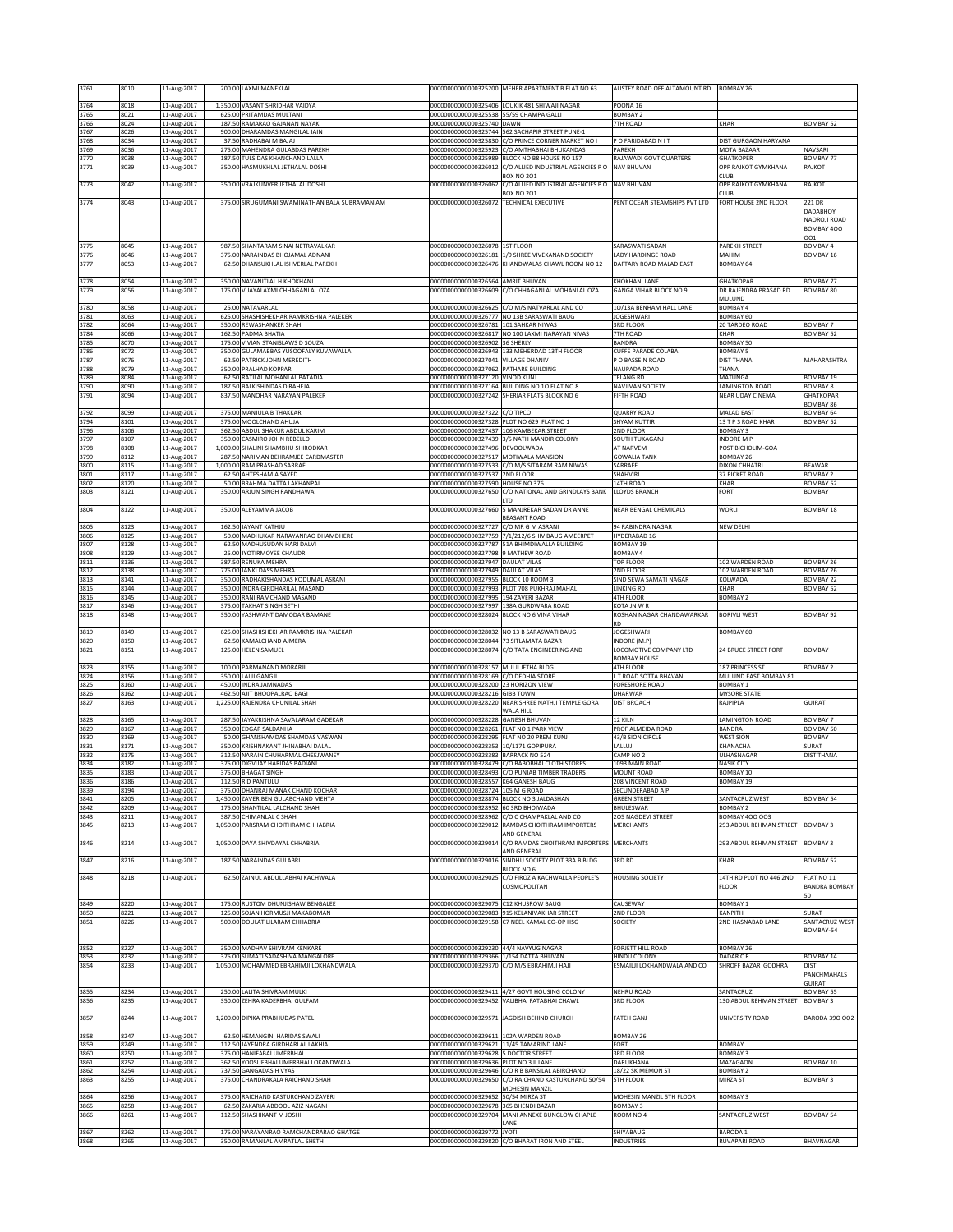| 3761         | 8010         | 11-Aug-2017                |                  | 200.00 LAXMI MANEKLAL                                                    | 00000000000000325200                                                             | MEHER APARTMENT B FLAT NO 63                                                                           | AUSTEY ROAD OFF ALTAMOUNT RD                 | <b>BOMBAY 26</b>                                 |                                     |
|--------------|--------------|----------------------------|------------------|--------------------------------------------------------------------------|----------------------------------------------------------------------------------|--------------------------------------------------------------------------------------------------------|----------------------------------------------|--------------------------------------------------|-------------------------------------|
| 3764         | 8018         | 11-Aug-2017                |                  | 1,350.00 VASANT SHRIDHAR VAIDYA                                          |                                                                                  | 00000000000000325406 LOUKIK 481 SHIWAJI NAGAR                                                          | POONA 16                                     |                                                  |                                     |
| 3765<br>3766 | 8021<br>8024 | 11-Aug-2017<br>11-Aug-2017 | 187.50           | 625.00 PRITAMDAS MULTANI<br>RAMARAO GAJANAN NAYAK                        | 00000000000000325538 55/59 CHAMPA GALLI<br>00000000000000325740 DAWN             |                                                                                                        | BOMBAY <sub>2</sub><br>7TH ROAD              | KHAR                                             | <b>BOMBAY 52</b>                    |
| 3767         | 8026         | 11-Aug-2017                |                  | 900.00 DHARAMDAS MANGILAL JAIN                                           |                                                                                  | 00000000000000325744 562 SACHAPIR STREET PUNE-1                                                        |                                              |                                                  |                                     |
| 3768         | 8034         | 11-Aug-2017                | 37.5             | RADHABAI M BAJAJ                                                         |                                                                                  | 00000000000000325830 C/O PRINCE CORNER MARKET NO I                                                     | P O FARIDABAD N I T                          | DIST GURGAON HARYANA                             |                                     |
| 3769<br>3770 | 8036<br>8038 | 11-Aug-2017<br>11-Aug-2017 | 275.00<br>187.5  | MAHENDRA GULABDAS PAREKH<br>TULSIDAS KHANCHAND LALLA                     |                                                                                  | 00000000000000325923 C/O AMTHABHAI BHUKANDAS<br>00000000000000325989 BLOCK NO B8 HOUSE NO 157          | PAREKH<br>RAJAWADI GOVT QUARTERS             | MOTA BAZAAR<br><b>GHATKOPER</b>                  | <b>NAVSAR</b><br>BOMBAY 77          |
| 3771         | 8039         | 11-Aug-2017                |                  | 350.00 HASMUKHLAL JETHALAL DOSHI                                         |                                                                                  | 00000000000000326012 C/O ALLIED INDUSTRIAL AGENCIES P O                                                | <b>NAV BHUVAN</b>                            | OPP RAJKOT GYMKHANA                              | RAJKOT                              |
| 3773         | 8042         | 11-Aug-2017                |                  | 350.00 VRAJKUNVER JETHALAL DOSHI                                         | 00000000000000326062                                                             | <b>BOX NO 201</b><br>C/O ALLIED INDUSTRIAL AGENCIES P O                                                | <b>NAV BHUVAN</b>                            | <b>CLUB</b><br>OPP RAJKOT GYMKHANA               | RAJKOT                              |
|              |              |                            |                  |                                                                          |                                                                                  | <b>BOX NO 201</b>                                                                                      |                                              | <b>LUB</b>                                       |                                     |
| 3774         | 8043         | 11-Aug-2017                |                  | 375.00 SIRUGUMANI SWAMINATHAN BALA SUBRAMANIAM                           | 00000000000000326072 TECHNICAL EXECUTIVE                                         |                                                                                                        | PENT OCEAN STEAMSHIPS PVT LTD                | FORT HOUSE 2ND FLOOR                             | 221 DR<br>DADABHOY                  |
|              |              |                            |                  |                                                                          |                                                                                  |                                                                                                        |                                              |                                                  | <b>NAOROJI ROAD</b>                 |
|              |              |                            |                  |                                                                          |                                                                                  |                                                                                                        |                                              |                                                  | BOMBAY 400<br>001                   |
| 3775         | 8045         | 11-Aug-2017                |                  | 987.50 SHANTARAM SINAI NETRAVALKAR                                       | 00000000000000326078 1ST FLOOR                                                   | 000000000000000326181 1/9 SHREE VIVEKANAND SOCIETY                                                     | SARASWATI SADAN                              | PAREKH STREET                                    | BOMBAY 4                            |
| 3776<br>3777 | 8046<br>8053 | 11-Aug-2017<br>11-Aug-2017 | 62.50            | 375.00 NARAINDAS BHOJAMAL ADNANI<br>DHANSUKHLAL ISHVERLAL PAREKH         |                                                                                  | 00000000000000326476 KHANDWALAS CHAWL ROOM NO 12                                                       | ADY HARDINGE ROAD<br>DAFTARY ROAD MALAD EAST | MAHIM<br>BOMBAY 64                               | BOMBAY 16                           |
|              |              |                            |                  | 350.00 NAVANITLAL H KHOKHANI                                             | 00000000000000326564 AMRIT BHUVAN                                                |                                                                                                        |                                              |                                                  | BOMBAY 77                           |
| 3778<br>3779 | 8054<br>8056 | 11-Aug-2017<br>11-Aug-2017 |                  | 175.00 VIJAYALAXMI CHHAGANLAL OZA                                        |                                                                                  | 00000000000000326609 C/O CHHAGANLAL MOHANLAL OZA                                                       | KHOKHANI LANE<br>GANGA VIHAR BLOCK NO 9      | <b>GHATKOPAR</b><br>DR RAJENDRA PRASAD RD        | <b>BOMBAY 80</b>                    |
|              |              | 11-Aug-2017                |                  |                                                                          |                                                                                  | 00000000000000326625 C/O M/S NATVARLAL AND CO                                                          | 10/13A BENHAM HALL LANE                      | MULUND                                           |                                     |
| 3780<br>3781 | 8058<br>8063 | 11-Aug-2017                |                  | 25.00 NATAVARLAL<br>625.00 SHASHISHEKHAR RAMKRISHNA PALEKER              |                                                                                  | 00000000000000326777 NO 13B SARASWATI BAUG                                                             | JOGESHWARI                                   | BOMBAY 4<br>BOMBAY 60                            |                                     |
| 3782<br>3784 | 8064<br>8066 | 11-Aug-2017<br>11-Aug-2017 | 162.50           | 350.00 REWASHANKER SHAH<br>PADMA BHATIA                                  | 000000000000000326781 101 SAHKAR NIWAS                                           | 00000000000000326817 NO 100 LAXMI NARAYAN NIVAS                                                        | 3RD FLOOR<br>TH ROAD                         | 20 TARDEO ROAD<br>KHAR                           | <b>BOMBAY 7</b><br><b>BOMBAY 52</b> |
| 3785         | 8070         | 11-Aug-2017                | 175.00           | VIVIAN STANISLAWS D SOUZA                                                | 00000000000000326902                                                             | 36 SHERLY                                                                                              | BANDRA                                       | BOMBAY 50                                        |                                     |
| 3786<br>3787 | 8072<br>8076 | 11-Aug-2017<br>11-Aug-2017 | 350.00<br>62.50  | GULAMABBAS YUSOOFALY KUVAWALLA<br>PATRICK JOHN MEREDITH                  | 000000000000000327041 VILLAGE DHANIV                                             | 00000000000000326943 133 MEHERDAD 13TH FLOOR                                                           | CUFFE PARADE COLABA<br>P O BASSEIN ROAD      | <b>BOMBAY 5</b><br><b>DIST THANA</b>             | MAHARASHTRA                         |
| 3788         | 8079         | 11-Aug-2017                |                  | 350.00 PRALHAD KOPPAR                                                    | 00000000000000327062 PATHARE BUILDING                                            |                                                                                                        | NAUPADA ROAD                                 | THANA                                            |                                     |
| 3789<br>3790 | 8084<br>8090 | 11-Aug-2017<br>11-Aug-2017 |                  | 62.50 RATILAL MOHANLAL PATADIA<br>187.50 BALKISHINDAS D RAHEJA           | 00000000000000327120 VINOD KUNJ                                                  | 00000000000000327164 BUILDING NO 10 FLAT NO 8                                                          | TELANG RD<br>NAVJIVAN SOCIETY                | MATUNGA<br><b>LAMINGTON ROAD</b>                 | BOMBAY 19<br><b>BOMBAY 8</b>        |
| 3791         | 8094         | 11-Aug-2017                |                  | 837.50 MANOHAR NARAYAN PALEKER                                           |                                                                                  | 00000000000000327242 SHERIAR ELATS BLOCK NO 6                                                          | FIFTH ROAD                                   | <b>NEAR UDAY CINEMA</b>                          | <b>GHATKOPAR</b>                    |
| 3792         | 8099         | 11-Aug-2017                |                  | 375.00 MANJULA B THAKKAR                                                 | 00000000000000327322 C/O TIPCO                                                   |                                                                                                        | <b>QUARRY ROAD</b>                           | MALAD EAST                                       | BOMBAY 86<br>BOMBAY 64              |
| 3794         | 8101         | 11-Aug-2017                |                  | 375.00 MOOLCHAND AHUJA                                                   |                                                                                  | 00000000000000327328 PLOT NO 629 FLAT NO 1                                                             | SHYAM KUTTIR                                 | 13 T P S ROAD KHAR                               | <b>BOMBAY 52</b>                    |
| 3796<br>3797 | 8106<br>8107 | 11-Aug-2017<br>11-Aug-2017 | 362.5<br>350.00  | ABDUL SHAKUR ABDUL KARIM<br>CASMIRO JOHN REBELLO                         | 00000000000000327437 106 KAMBEKAR STREET                                         | 00000000000000327439 3/5 NATH MANDIR COLONY                                                            | 2ND FLOOR<br>SOUTH TUKAGANJ                  | BOMBAY 3<br><b>INDORE MP</b>                     |                                     |
| 3798         | 8108         | 11-Aug-2017                | 1,000.00         | SHALINI SHAMBHU SHIRODKAR                                                | 00000000000000327496 DEVOOLWADA                                                  |                                                                                                        | AT NARVEM                                    | POST BICHOLIM-GOA                                |                                     |
| 3799<br>3800 | 8112<br>8115 | 11-Aug-2017<br>11-Aug-2017 |                  | 287.50 NARIMAN BEHRAMJEE CARDMASTER<br>1,000.00 RAM PRASHAD SARRAF       | 00000000000000327517 MOTIWALA MANSION                                            | 00000000000000327533 C/O M/S SITARAM RAM NIWAS                                                         | <b>GOWALIA TANK</b><br>SARRAFF               | BOMBAY 26<br><b>DIXON CHHATRI</b>                | <b>BEAWAR</b>                       |
| 3801         | 8117         | 11-Aug-2017                | 62.50            | AHTESHAM A SAYED                                                         | 00000000000000327537 2ND FLOOR                                                   |                                                                                                        | HAHVIRI                                      | 37 PICKET ROAD                                   | <b>BOMBAY 2</b>                     |
| 3802<br>3803 | 8120<br>8121 | 11-Aug-2017<br>11-Aug-2017 | 50.0<br>350.00   | BRAHMA DATTA LAKHANPAL<br>ARJUN SINGH RANDHAWA                           | 00000000000000327590 HOUSE NO 376<br>00000000000000327650                        | C/O NATIONAL AND GRINDLAYS BANK                                                                        | <b>4TH ROAD</b><br>LLOYDS BRANCH             | KHAR<br>FORT                                     | <b>BOMBAY 52</b><br>BOMBAY          |
|              |              |                            |                  |                                                                          |                                                                                  | I TD                                                                                                   |                                              |                                                  |                                     |
| 3804         | 8122         | 11-Aug-2017                |                  | 350.00 ALEYAMMA JACOB                                                    | 00000000000000327660                                                             | 5 MANJREKAR SADAN DR ANNE<br><b>REASANT ROAD</b>                                                       | NEAR BENGAL CHEMICALS                        | <b>WORLI</b>                                     | <b>BOMBAY 18</b>                    |
| 3805         | 8123         | 11-Aug-2017                |                  | 162.50 JAYANT KATHJU                                                     | 00000000000000327727                                                             | C/O MR G M ASRANI                                                                                      | 94 RABINDRA NAGAR                            | <b>NEW DELHI</b>                                 |                                     |
| 3806<br>3807 | 8125<br>8128 | 11-Aug-2017<br>11-Aug-2017 |                  | 50.00 MADHUKAR NARAYANRAO DHAMDHERE<br>62.50 MADHUSUDAN HARI DALVI       |                                                                                  | 00000000000000327759 7/1/212/6 SHIV BAUG AMEERPET<br>00000000000000327787 51A BHIMDIWALLA BUILDING     | HYDERABAD 16<br>BOMBAY 19                    |                                                  |                                     |
| 3808         | 8129         | 11-Aug-2017                | 25.00            | JYOTIRMOYEE CHAUDRI                                                      | 00000000000000327798 9 MATHEW ROAD                                               |                                                                                                        | BOMBAY 4                                     |                                                  |                                     |
| 3811<br>3812 | 8136<br>8138 | 11-Aug-2017<br>11-Aug-2017 | 387.50<br>775.00 | RENUKA MEHRA<br>JANKI DASS MEHRA                                         | 00000000000000327947 DAULAT VILAS<br>00000000000000327949 DAULAT VILAS           |                                                                                                        | <b>TOP FLOOR</b><br>2ND FLOOR                | 102 WARDEN ROAD<br>102 WARDEN ROAD               | BOMBAY 26<br><b>BOMBAY 26</b>       |
| 3813         | 8141         | 11-Aug-2017                | 350.00           | RADHAKISHANDAS KODUMAL ASRANI                                            | 000000000000000327955 BLOCK 10 ROOM 3                                            |                                                                                                        | SIND SEWA SAMATI NAGAR                       | KOLWADA                                          | BOMBAY 22                           |
| 3815<br>3816 | 8144<br>8145 | 11-Aug-2017<br>11-Aug-2017 | 350.00           | INDRA GIRDHARILAL MASAND<br>350.00 RANI RAMCHAND MASAND                  | 000000000000000327995 394 ZAVERI BAZAR                                           | 00000000000000327993 PLOT 708 PUKHRAJ MAHAL                                                            | LINKING RD<br>4TH FLOOR                      | KHAR<br>BOMBAY 2                                 | <b>BOMBAY 52</b>                    |
| 3817         | 8146         | 11-Aug-2017                |                  | 375.00 TAKHAT SINGH SETHI                                                |                                                                                  | 00000000000000327997 138A GURDWARA ROAD                                                                | KOTA JN W R                                  |                                                  |                                     |
| 3818         | 8148         | 11-Aug-2017                |                  | 350.00 YASHWANT DAMODAR BAMANE                                           |                                                                                  | 000000000000000328024 BLOCK NO 6 VINA VIHAF                                                            | ROSHAN NAGAR CHANDAWARKAR<br>RD              | <b>BORIVLI WEST</b>                              | <b>BOMBAY 92</b>                    |
| 3819         | 8149         | 11-Aug-2017                | 625.00           | SHASHISHEKHAR RAMKRISHNA PALEKAR                                         |                                                                                  | 00000000000000328032 NO 13 B SARASWATI BAUG                                                            | <b>JOGESHWARI</b>                            | BOMBAY 60                                        |                                     |
| 3820<br>3821 | 8150<br>8151 | 11-Aug-2017<br>11-Aug-2017 | 62.5             | <b>KAMALCHAND AJMERA</b><br>125.00 HELEN SAMUEL                          | 00000000000000328044 73 SITLAMATA BAZAR<br>00000000000000328074                  | C/O TATA ENGINEERING AND                                                                               | INDORE (M.P)<br>LOCOMOTIVE COMPANY LTD       | 24 BRUCE STREET FORT                             | <b>BOMBAY</b>                       |
|              |              | 11-Aug-2017                |                  | 100.00 PARMANAND MORARJI                                                 | 00000000000000328157 MULII JETHA BLDG                                            |                                                                                                        | <b>BOMBAY HOUSE</b>                          |                                                  |                                     |
| 3823<br>3824 | 8155<br>8156 | 11-Aug-2017                |                  | 350.00 LALII GANGJI                                                      | 00000000000000328169 C/O DEDHIA STORE                                            |                                                                                                        | 4TH FLOOR<br>L T ROAD SOTTA BHAVAN           | 187 PRINCESS ST<br>MULUND EAST BOMBAY 81         | <b>BOMBAY 2</b>                     |
| 3825<br>3826 | 8160<br>8162 | 11-Aug-2017<br>11-Aug-2017 | 462.50           | 450.00 INDRA JAMNADAS<br>AJIT BHOOPALRAO BAGI                            | 00000000000000328200 23 HORIZON VIEW<br>00000000000000328216 GIBB TOWN           |                                                                                                        | FORESHORE ROAD<br>DHARWAR                    | BOMBAY 1<br><b>MYSORE STATE</b>                  |                                     |
| 3827         | 8163         | 11-Aug-2017                | 1.225.00         | RAJENDRA CHUNILAL SHAH                                                   | 00000000000000328220                                                             | NEAR SHREE NATHJI TEMPLE GORA                                                                          | <b>DIST BROACH</b>                           | RAJPIPLA                                         | GUJRAT                              |
| 3828         | 8165         | 11-Aug-2017                | 287.5            | JAYAKRISHNA SAVALARAM GADEKAR                                            | 00000000000000328228 GANESH BHUVAN                                               | WALA HILL                                                                                              | 12 KILN                                      | <b>LAMINGTON ROAD</b>                            | BOMBAY 7                            |
| 3829         | 8167         | 11-Aug-2017                | 350.00           | <b>EDGAR SALDANHA</b>                                                    | 00000000000000328261 FLAT NO 1 PARK VIEW                                         |                                                                                                        | PROF ALMEIDA ROAD                            | <b>BANDRA</b>                                    | <b>BOMBAY 50</b>                    |
| 3830<br>3831 | 8169<br>8171 | 11-Aug-2017<br>11-Aug-2017 | 50.0<br>350.0    | <b>GHANSHAMDAS SHAMDAS VASWANI</b><br>KRISHNAKANT JHINABHAI DALAL        | 00000000000000328295<br>00000000000000328353                                     | FLAT NO 20 PREM KUNJ<br>10/1171 GOPIPURA                                                               | 43/B SION CIRCLE<br>LALLUJI                  | <b>WEST SION</b><br>KHANACHA                     | <b>BOMBAY</b><br>SURAT              |
| 3832         | 8175         | 11-Aug-2017                | 312.50           | NARAIN CHUHARMAL CHEEJWANEY                                              | 00000000000000328383 BARRACK NO 524                                              |                                                                                                        | CAMP NO 2                                    | ULHASNAGAR                                       | <b>DIST THANA</b>                   |
| 3834<br>3835 | 8182<br>8183 | 11-Aug-2017<br>11-Aug-2017 |                  | 375.00 DIGVIJAY HARIDAS BADIANI<br>375.00 BHAGAT SINGH                   |                                                                                  | 00000000000000328479 C/O BABOBHAI CLOTH STORES<br>00000000000000328493 C/O PUNJAB TIMBER TRADERS       | 1093 MAIN ROAD<br><b>MOUNT ROAD</b>          | <b>NASIK CITY</b><br>BOMBAY 10                   |                                     |
| 3836         | 8186         | .1-Aug-2017                | 112.50           | R D PANTULU                                                              | JUUUUUUUUUUUUU32855/                                                             | K64 GANESH BAL                                                                                         | ZU8 VINCENT KOAD                             | <b>BOMBAY 19</b>                                 |                                     |
| 3839<br>3841 | 8194<br>8205 | 11-Aug-2017<br>11-Aug-2017 |                  | 375.00 DHANRAJ MANAK CHAND KOCHAR<br>1,450.00 ZAVERIBEN GULABCHAND MEHTA | 00000000000000328724 105 M G ROAD                                                | 00000000000000328874 BLOCK NO 3 JALDASHAN                                                              | SECUNDERABAD A P<br><b>GREEN STREET</b>      | SANTACRUZ WEST                                   | BOMBAY 54                           |
| 3842         | 8209         | 11-Aug-2017                | 175.00           | <b>SHANTILAL LALCHAND SHAH</b>                                           | 00000000000000328952 60 3RD BHOIWADA                                             |                                                                                                        | BHULESWAR                                    | <b>BOMBAY 2</b>                                  |                                     |
| 3843<br>3845 | 8211<br>8213 | 11-Aug-2017<br>11-Aug-2017 |                  | 387.50 CHIMANLAL C SHAH<br>1,050.00 PARSRAM CHOITHRAM CHHABRIA           |                                                                                  | 00000000000000328962 C/O C CHAMPAKLAL AND CO<br>00000000000000329012 RAMDAS CHOITHRAM IMPORTERS        | 205 NAGDEVI STREET<br>MERCHANTS              | <b>BOMBAY 400 003</b><br>293 ABDUL REHMAN STREET | <b>BOMBAY 3</b>                     |
|              |              |                            |                  |                                                                          |                                                                                  | AND GENERAL                                                                                            |                                              |                                                  |                                     |
| 3846         | 8214         | 11-Aug-2017                |                  | 1,050.00 DAYA SHIVDAYAL CHHABRIA                                         | 00000000000000329014                                                             | C/O RAMDAS CHOITHRAM IMPORTERS<br>AND GENERAL                                                          | <b>MERCHANTS</b>                             | 293 ABDUL REHMAN STREET                          | <b>BOMBAY 3</b>                     |
| 3847         | 8216         | 11-Aug-2017                |                  | 187.50 NARAINDAS GULABRI                                                 |                                                                                  | 00000000000000329016 SINDHU SOCIETY PLOT 33A B BLDG                                                    | 3RD RD                                       | KHAR                                             | BOMBAY 52                           |
| 3848         | 8218         | 11-Aug-2017                | 62.50            | ZAINUL ABDULLABHAI KACHWALA                                              | 00000000000000329025                                                             | <b>BLOCK NO 6</b><br>C/O FIROZ A KACHWALLA PEOPLE'S                                                    | <b>HOUSING SOCIETY</b>                       | 14TH RD PLOT NO 446 2ND                          | FLAT NO 11                          |
|              |              |                            |                  |                                                                          |                                                                                  | COSMOPOLITAN                                                                                           |                                              | <b>FLOOR</b>                                     | <b>BANDRA BOMBAY</b>                |
| 3849         | 8220         | 11-Aug-2017                |                  | 175.00 RUSTOM DHUNJISHAW BENGALEE                                        | 00000000000000329075 C12 KHUSROW BAUG                                            |                                                                                                        | CAUSEWAY                                     | <b>BOMBAY 1</b>                                  | 50                                  |
| 3850<br>3851 | 8221<br>8226 | 11-Aug-2017<br>11-Aug-2017 |                  | 125.00 SOJAN HORMUSJI MAKABOMAN<br>500.00 DOULAT LILARAM CHHABRIA        |                                                                                  | 000000000000000329083 915 KELANIVAKHAR STREET<br>00000000000000329158 C7 NEEL KAMAL CO-OP HSG          | 2ND FLOOR<br>SOCIETY                         | <b>KANPITH</b><br>2ND HASNABAD LANE              | SURAT<br>SANTACRUZ WEST             |
|              |              |                            |                  |                                                                          |                                                                                  |                                                                                                        |                                              |                                                  | BOMBAY-54                           |
| 3852         | 8227         | 11-Aug-2017                |                  | 350.00 MADHAV SHIVRAM KENKARE                                            | 00000000000000329230 44/4 NAVYUG NAGAR                                           |                                                                                                        | FORJETT HILL ROAD                            | BOMBAY 26                                        |                                     |
| 3853         | 8232         | 11-Aug-2017                |                  | 375.00 SUMATI SADASHIVA MANGALORE                                        | 00000000000000329366 1/154 DATTA BHUVAN                                          |                                                                                                        | <b>HINDU COLONY</b>                          | DADAR CR                                         | <b>BOMBAY 14</b>                    |
| 3854         | 8233         | 11-Aug-2017                |                  | 1,050.00 MOHAMMED EBRAHIMJI LOKHANDWALA                                  |                                                                                  | 00000000000000329370 C/O M/S EBRAHIMJI HAJI                                                            | ESMAILJI LOKHANDWALA AND CO                  | SHROFF BAZAR GODHRA                              | DIST<br>PANCHMAHALS                 |
|              |              |                            |                  |                                                                          |                                                                                  |                                                                                                        |                                              |                                                  | GUJRAT                              |
| 3855<br>3856 | 8234<br>8235 | 11-Aug-2017<br>11-Aug-2017 |                  | 250.00 LALITA SHIVRAM MULKI<br>350.00 ZEHRA KADERBHAI GULFAM             | 00000000000000329452                                                             | 00000000000000329411 4/27 GOVT HOUSING COLONY<br>VALIBHAI FATABHAI CHAWL                               | NEHRU ROAD<br>3RD FLOOR                      | SANTACRUZ<br>130 ABDUL REHMAN STREET             | BOMBAY 55<br><b>BOMBAY 3</b>        |
|              |              |                            |                  |                                                                          |                                                                                  |                                                                                                        |                                              |                                                  |                                     |
| 3857         | 8244         | 11-Aug-2017                |                  | 1,200.00 DIPIKA PRABHUDAS PATEL                                          |                                                                                  | 00000000000000329571 JAGDISH BEHIND CHURCH                                                             | <b>FATEH GANJ</b>                            | UNIVERSITY ROAD                                  | BARODA 390 002                      |
| 3858         | 8247         | 11-Aug-2017                |                  | 62.50 HEMANGINI HARIDAS SWALI                                            | 00000000000000329611 102A WARDEN ROAD                                            |                                                                                                        | BOMBAY 26                                    |                                                  |                                     |
| 3859<br>3860 | 8249<br>8250 | 11-Aug-2017<br>11-Aug-2017 |                  | 112.50 JAYENDRA GIRDHARLAL LAKHIA<br>375.00 HANIFABAI UMERBHAI           | 00000000000000329621 11/45 TAMARIND LANE<br>00000000000000329628 5 DOCTOR STREET |                                                                                                        | FORT<br>3RD FLOOR                            | <b>BOMBAY</b><br><b>BOMBAY 3</b>                 |                                     |
| 3861         | 8252         | 11-Aug-2017                | 362.50           | YOOSUFBHAI UMERBHAI LOKANDWALA                                           | 00000000000000329636 PLOT NO 3 II LANE                                           |                                                                                                        | DARUKHANA                                    | MAZAGAON                                         | BOMBAY 10                           |
| 3862<br>3863 | 8254<br>8255 | 11-Aug-2017<br>11-Aug-2017 |                  | 737.50 GANGADAS H VYAS<br>375.00 CHANDRAKALA RAICHAND SHAH               |                                                                                  | 00000000000000329646 C/O R B BANSILAL ABIRCHAND<br>00000000000000329650 C/O RAICHAND KASTURCHAND 50/54 | 18/22 SK MEMON ST<br><b>5TH FLOOR</b>        | BOMBAY 2<br>MIRZA ST                             | BOMBAY 3                            |
|              |              |                            |                  |                                                                          |                                                                                  | MOHESIN MANZIL                                                                                         |                                              |                                                  |                                     |
| 3864<br>3865 | 8256<br>8258 | 11-Aug-2017<br>11-Aug-2017 |                  | 375.00 RAICHAND KASTURCHAND ZAVERI<br>62.50 ZAKARIA ABDOOL AZIZ NAGANI   | 00000000000000329652 50/54 MIRZA ST<br>00000000000000329678 365 BHENDI BAZAR     |                                                                                                        | MOHESIN MANZIL 5TH FLOOR<br><b>BOMBAY 3</b>  | BOMBAY 3                                         |                                     |
| 3866         | 8261         | 11-Aug-2017                |                  | 112.50 SHASHIKANT M JOSHI                                                |                                                                                  | 00000000000000329704 MANI ANNEXE BUNGLOW CHAPLE                                                        | ROOM NO 4                                    | SANTACRUZ WEST                                   | <b>BOMBAY 54</b>                    |
| 3867         | 8262         | 11-Aug-2017                |                  | 175.00 NARAYANRAO RAMCHANDRARAO GHATGE                                   | 00000000000000329772 JYOTI                                                       | LANE                                                                                                   | SHIYABAUG                                    | BARODA 1                                         |                                     |
| 3868         | 8265         | 11-Aug-2017                |                  | 350.00 RAMANLAL AMRATLAL SHETH                                           |                                                                                  | 00000000000000329820 C/O BHARAT IRON AND STEEL                                                         | <b>INDUSTRIES</b>                            | RUVAPARI ROAD                                    | BHAVNAGAR                           |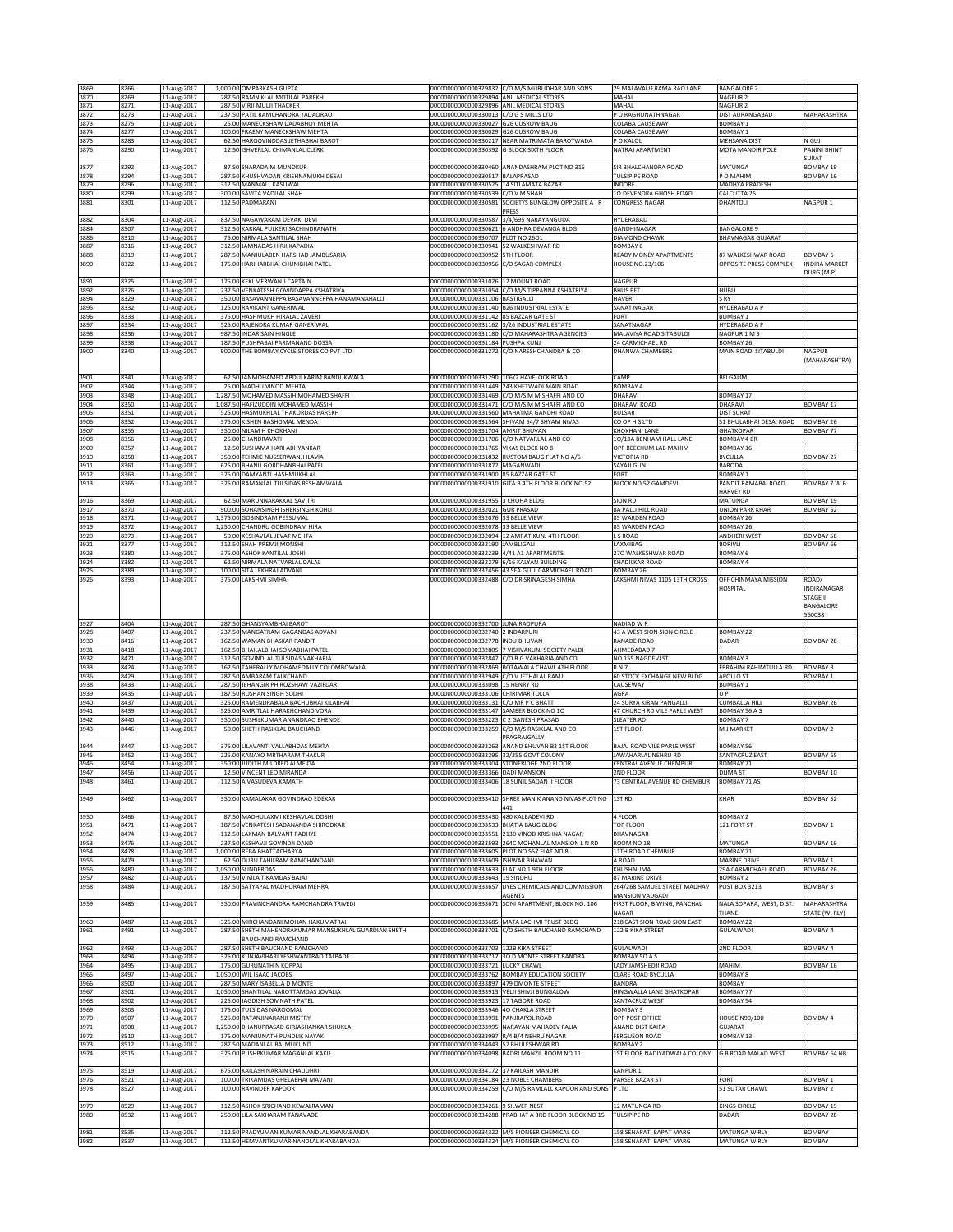|              |              |                            | 1,000.00 OMPARKASH GUPTA                                                |                                                                  |                                                                                                 | 29 MALAVALLI RAMA RAO LANE                       |                                           |                                |
|--------------|--------------|----------------------------|-------------------------------------------------------------------------|------------------------------------------------------------------|-------------------------------------------------------------------------------------------------|--------------------------------------------------|-------------------------------------------|--------------------------------|
| 3869<br>3870 | 8266<br>8269 | 11-Aug-2017<br>11-Aug-2017 | 287.50 RAMNIKLAL MOTILAL PAREKH                                         | 00000000000000329894                                             | 00000000000000329832 C/O M/S MURLIDHAR AND SONS<br>ANIL MEDICAL STORES                          | MAHAL                                            | <b>BANGALORE 2</b><br>NAGPUR <sub>2</sub> |                                |
| 3871         | 8271         | 11-Aug-2017                | 287.50 VIRJI MULJI THACKER                                              | 0000000000000329896                                              | ANIL MEDICAL STORES                                                                             | MAHAL                                            | NAGPUR <sub>2</sub>                       |                                |
| 3872         | 8273         | 11-Aug-2017                | 237.50 PATIL RAMCHANDRA YADAORAO                                        | 00000000000000330013                                             | C/O G S MILLS LTD                                                                               | P O RAGHUNATHNAGAR                               | DIST AURANGABAD                           | MAHARASHTRA                    |
| 3873         | 8275         | 11-Aug-2017                | 25.00 MANECKSHAW DADABHOY MEHTA                                         | 00000000000000330027                                             | <b>G26 CUSROW BAUG</b>                                                                          | COLABA CAUSEWAY                                  | BOMBAY 1                                  |                                |
| 3874         | 8277         | 11-Aug-2017                | 100.00 FRAENY MANECKSHAW MEHTA                                          | 00000000000000330029                                             | <b>G26 CUSROW BAUG</b>                                                                          | COLABA CAUSEWAY                                  | BOMBAY 1                                  |                                |
| 3875         | 8283         | 11-Aug-2017                | 62.50 HARGOVINDDAS JETHABHAI BAROT                                      |                                                                  | 00000000000000330217 NEAR MATRIMATA BAROTWADA                                                   | P O KALOL                                        | MEHSANA DIST                              | N GUJ                          |
| 3876         | 8290         | 11-Aug-2017                | 12.50 ISHVERLAL CHIMANLAL CLERK                                         | 00000000000000330392 G BLOCK SIXTH FLOOR                         |                                                                                                 | NATRAJ APARTMENT                                 | MOTA MANDIR POLE                          | PANINI BHINT                   |
|              |              |                            |                                                                         |                                                                  |                                                                                                 |                                                  |                                           | SURAT                          |
| 3877         | 8292         | 11-Aug-2017                | 87.50 SHARADA M MUNDKUR                                                 | 00000000000000330460                                             | ANANDASHRAM PLOT NO 315                                                                         | SIR BHALCHANDRA ROAD                             | MATUNGA                                   | BOMBAY 19                      |
| 3878         | 8294         | 11-Aug-2017                | 287.50 KHUSHVADAN KRISHNAMUKH DESAI                                     | 00000000000000330517                                             | BALAPRASAD                                                                                      | <b>TULSIPIPE ROAD</b>                            | PO MAHIM                                  | BOMBAY 16                      |
| 3879         | 8296         | 11-Aug-2017                | 312.50 MANMALL KASLIWAL                                                 | 00000000000000330525 14 SITLAMATA BAZAR                          |                                                                                                 | INDORE                                           | MADHYA PRADESH                            |                                |
| 3880         | 8299         | 11-Aug-2017                | 300.00 SAVITA VADILAL SHAH<br>112.50 PADMARANI                          | 00000000000000330539                                             | C/O V M SHAH<br>SOCIETYS BUNGLOW OPPOSITE A I R                                                 | 10 DEVENDRA GHOSH ROAD                           | CALCUTTA 25                               | NAGPUR <sub>1</sub>            |
| 3881         | 8301         | 11-Aug-2017                |                                                                         | 00000000000000330581                                             | PRESS                                                                                           | <b>CONGRESS NAGAR</b>                            | DHANTOLI                                  |                                |
| 3882         | 8304         | 11-Aug-2017                | 837.50 NAGAWARAM DEVAKI DEVI                                            |                                                                  | 00000000000000330587 3/4/695 NARAYANGUDA                                                        | HYDERABAD                                        |                                           |                                |
| 3884         | 8307         | 11-Aug-2017                | 312.50 KARKAL PULKERI SACHINDRANATH                                     | 00000000000000330621                                             | 6 ANDHRA DEVANGA BLDG                                                                           | GANDHINAGAR                                      | <b>BANGALORE 9</b>                        |                                |
| 3886         | 8310         | 11-Aug-2017                | 75.00 NIRMALA SANTILAL SHAH                                             | 00000000000000330707 PLOT NO 26O1                                |                                                                                                 | DIAMOND CHAWK                                    | <b>BHAVNAGAR GUJARAT</b>                  |                                |
| 3887         | 8316         | 11-Aug-2017                | 312.50 JAMNADAS HIRJI KAPADIA                                           | 00000000000000330941                                             | 2 WALKESHWAR RD                                                                                 | <b>BOMBAY 6</b>                                  |                                           |                                |
| 3888         | 8319         | 11-Aug-2017                | 287.50 MANJULABEN HARSHAD JAMBUSARIA                                    | 00000000000000330952 STH FLOOR                                   |                                                                                                 | READY MONEY APARTMENTS                           | 87 WALKESHWAR ROAD                        | <b>BOMBAY 6</b>                |
| 3890         | 8322         | 11-Aug-2017                | 175.00 HARIHARBHAI CHUNIBHAI PATEL                                      | 00000000000000330956                                             | C/O SAGAR COMPLEX                                                                               | HOUSE NO.23/106                                  | OPPOSITE PRESS COMPLEX                    | <b>INDIRA MARKET</b>           |
|              |              |                            |                                                                         |                                                                  |                                                                                                 |                                                  |                                           | DURG (M.P)                     |
| 3891         | 8325         | 11-Aug-2017                | 175.00 KEKI MERWANJI CAPTAIN                                            | 00000000000000331026 12 MOUNT ROAD                               |                                                                                                 | NAGPUR                                           |                                           |                                |
| 3892         | 8326         | 11-Aug-2017                | 237.50 VENKATESH GOVINDAPPA KSHATRIYA                                   |                                                                  | 00000000000000331054 C/O M/S TIPPANNA KSHATRIYA                                                 | <b>BHUS PET</b>                                  | HUBLI                                     |                                |
| 3894         | 8329         | 11-Aug-2017                | 350.00 BASAVANNEPPA BASAVANNEPPA HANAMANAHALLI                          | 00000000000000331106 BASTIGALLI                                  |                                                                                                 | <b>HAVERI</b>                                    | S RY                                      |                                |
| 3895         | 8332         | 11-Aug-2017                | 125.00 RAVIKANT GANERIWAL                                               | 00000000000000331140 B26 INDUSTRIAL ESTATE                       |                                                                                                 | SANAT NAGAR                                      | HYDERABAD A P                             |                                |
| 3896<br>3897 | 8333<br>8334 | 11-Aug-2017                | 375.00 HASHMUKH HIRALAL ZAVERI                                          | 00000000000000331142                                             | 85 BAZZAR GATE ST                                                                               | FORT                                             | BOMBAY 1<br>HYDERABAD A P                 |                                |
| 3898         | 8336         | 11-Aug-2017                | 525.00 RAJENDRA KUMAR GANERIWAL<br>987.50 INDAR SAIN HINGLE             | 00000000000000331162<br>00000000000000331180                     | /26 INDUSTRIAL ESTATE<br>C/O MAHARASHTRA AGENCIES                                               | SANATNAGAR<br>MALAVIYA ROAD SITABULDI            |                                           |                                |
| 3899         | 8338         | 11-Aug-2017<br>11-Aug-2017 | 187.50 PUSHPABAI PARMANAND DOSSA                                        | 00000000000000331184 PUSHPA KUNJ                                 |                                                                                                 | 24 CARMICHAEL RD                                 | NAGPUR 1 M S<br>BOMBAY 26                 |                                |
| 3900         | 8340         | 11-Aug-2017                | 900.00 THE BOMBAY CYCLE STORES CO PVT LTD                               | 00000000000000331272                                             | C/O NARESHCHANDRA & CO                                                                          | DHANWA CHAMBERS                                  | MAIN ROAD SITABULDI                       | <b>NAGPUR</b>                  |
|              |              |                            |                                                                         |                                                                  |                                                                                                 |                                                  |                                           | (MAHARASHTRA)                  |
|              |              |                            |                                                                         |                                                                  |                                                                                                 |                                                  |                                           |                                |
| 3901         | 8341         | 11-Aug-2017                | 62.50 JANMOHAMED ABDULKARIM BANDUKWALA                                  | 00000000000000331290 106/2 HAVELOCK ROAD                         |                                                                                                 | CAMP                                             | BELGAUM                                   |                                |
| 3902         | 8344         | 11-Aug-2017                | 25.00 MADHU VINOD MEHTA                                                 |                                                                  | 00000000000000331449 243 KHETWADI MAIN ROAD                                                     | BOMBAY 4                                         |                                           |                                |
| 3903         | 8348         | 11-Aug-2017                | 1,287.50 MOHAMED MASSIH MOHAMED SHAFFI                                  | 00000000000000331469                                             | C/O M/S M M SHAFFI AND CO                                                                       | DHARAVI                                          | BOMBAY 17                                 |                                |
| 3904         | 8350         | 11-Aug-2017                | 1,087.50 HAFIZUDDIN MOHAMED MASSIH                                      |                                                                  | 00000000000000331471 C/O M/S M M SHAFFI AND CO                                                  | DHARAVI ROAD                                     | DHARAVI                                   | <b>BOMBAY 17</b>               |
| 3905         | 8351         | 11-Aug-2017                | 525.00 HASMUKHLAL THAKORDAS PAREKH                                      |                                                                  | 00000000000000331560 MAHATMA GANDHI ROAD                                                        | <b>BULSAR</b>                                    | <b>DIST SURAT</b>                         |                                |
| 3906         | 8352         | 11-Aug-2017                | 375.00 KISHEN BASHOMAL MENDA                                            |                                                                  | 00000000000000331564 SHIVAM 54/7 SHYAM NIVAS                                                    | CO OP H S LTD                                    | 51 BHULABHAI DESAI ROAD                   | <b>BOMBAY 26</b>               |
| 3907         | 8355         | 11-Aug-2017                | 350.00 NILAM H KHOKHANI                                                 | 00000000000000331704 AMRIT BHUVAN                                |                                                                                                 | KHOKHANI LANE                                    | <b>GHATKOPAR</b>                          | BOMBAY 77                      |
| 3908         | 8356         | 11-Aug-2017                | 25.00 CHANDRAVATI<br>12.50 SUSHAMA HARI ABHYANKAR                       |                                                                  | 00000000000000331706 C/O NATVARLAL AND CO                                                       | 10/13A BENHAM HALL LANE<br>OPP BEECHUM LAB MAHIM | <b>BOMBAY 4 BR</b>                        |                                |
| 3909<br>3910 | 8357<br>8358 | 11-Aug-2017<br>11-Aug-2017 | 350.00 TEHMIE NUSSERWANJI ILAVIA                                        | 00000000000000331765<br>00000000000000331832                     | VIKAS BLOCK NO 8<br>RUSTOM BAUG FLAT NO A/5                                                     | <b>VICTORIA RD</b>                               | BOMBAY 16<br><b>BYCULLA</b>               | BOMBAY 27                      |
| 3911         | 8361         | 11-Aug-2017                | 625.00 BHANU GORDHANBHAI PATEL                                          | 00000000000000331872                                             | MAGANWADI                                                                                       | SAYAJI GUNJ                                      | <b>BARODA</b>                             |                                |
| 3912         | 8363         | 11-Aug-2017                | 375.00 DAMYANTI HASHMUKHLAL                                             | 00000000000000331900 85 BAZZAR GATE ST                           |                                                                                                 | FORT                                             | BOMBAY 1                                  |                                |
| 3913         | 8365         | 11-Aug-2017                | 375.00 RAMANLAL TULSIDAS RESHAMWALA                                     |                                                                  | 00000000000000331910 GITA B 4TH FLOOR BLOCK NO 52                                               | BLOCK NO 52 GAMDEVI                              | PANDIT RAMABAI ROAD                       | BOMBAY 7 W B                   |
|              |              |                            |                                                                         |                                                                  |                                                                                                 |                                                  | <b>HARVEY RD</b>                          |                                |
| 3916         | 8369         | 11-Aug-2017                | 62.50 MARUNNARAKKAL SAVITRI                                             | 00000000000000331955 3 CHOHA BLDG                                |                                                                                                 | <b>SION RD</b>                                   | <b>MATUNGA</b>                            | <b>BOMBAY 19</b>               |
| 3917         | 8370         | 11-Aug-2017                | 900.00 SOHANSINGH ISHERSINGH KOHLI                                      | 00000000000000332021 GUR PRASAD                                  |                                                                                                 | <b>8A PALLI HILL ROAD</b>                        | <b>UNION PARK KHAR</b>                    | <b>BOMBAY 52</b>               |
| 3918         | 8371         | 11-Aug-2017                | 1,375.00 GOBINDRAM PESSUMAL                                             | 00000000000000332076 33 BELLE VIEW                               |                                                                                                 | 85 WARDEN ROAD                                   | BOMBAY 26                                 |                                |
| 3919         | 8372         | 11-Aug-2017                | 1,250.00 CHANDRU GOBINDRAM HIRA                                         | 00000000000000332078                                             | 33 BELLE VIEW                                                                                   | 85 WARDEN ROAD                                   | <b>BOMBAY 26</b>                          |                                |
| 3920         | 8373         | 11-Aug-2017                | 50.00 KESHAVLAL JEVAT MEHTA                                             | 00000000000000332094                                             | 12 AMRAT KUNJ 4TH FLOOR                                                                         | S ROAD                                           | ANDHERI WEST                              | <b>BOMBAY 58</b>               |
| 3921         | 8377         | 11-Aug-2017                | 112.50 SHAH PREMJI MONSHI                                               | 00000000000000332190                                             | <b>JAMBLIGALI</b>                                                                               | AXMIBAG                                          | BORIVLI                                   | BOMBAY 66                      |
| 3923         | 8380         | 11-Aug-2017                | 375.00 ASHOK KANTILAL JOSHI                                             | 00000000000000332239 4/41 A1 APARTMENTS                          |                                                                                                 | 270 WALKESHWAR ROAD                              | BOMBAY 6                                  |                                |
| 3924         | 8382         | 11-Aug-2017                | 62.50 NIRMALA NATVARLAL DALAL                                           | 00000000000000332279 6/16 KALYAN BUILDING                        |                                                                                                 | KHADILKAR ROAD                                   | BOMBAY 4                                  |                                |
| 3925         | 8389         | 11-Aug-2017                | 100.00 SITA LEKHRAJ ADVANI                                              |                                                                  | 00000000000000332456 43 SEA GULL CARMICHAEL ROAD                                                | <b>BOMBAY 26</b>                                 |                                           |                                |
| 3926         | 8393         | 11-Aug-2017                | 375.00 LAKSHMI SIMHA                                                    |                                                                  | 00000000000000332488 C/O DR SRINAGESH SIMHA                                                     | LAKSHMI NIVAS 1105 13TH CROSS                    | OFF CHINMAYA MISSION<br>HOSPITAL          | ROAD/                          |
|              |              |                            |                                                                         |                                                                  |                                                                                                 |                                                  |                                           | INDIRANAGAR<br><b>STAGE II</b> |
|              |              |                            |                                                                         |                                                                  |                                                                                                 |                                                  |                                           | BANGALORE                      |
|              |              |                            |                                                                         |                                                                  |                                                                                                 |                                                  |                                           |                                |
|              |              |                            |                                                                         |                                                                  |                                                                                                 |                                                  |                                           |                                |
|              |              |                            |                                                                         |                                                                  |                                                                                                 |                                                  |                                           | 560038                         |
| 3927         | 8404         | 11-Aug-2017                | 287.50 GHANSYAMBHAI BAROT                                               | 00000000000000332700 JUNA RAOPURA                                |                                                                                                 | NADIAD WR                                        |                                           |                                |
| 3928         | 8407         | 11-Aug-2017                | 237.50 MANGATRAM GAGANDAS ADVANI                                        | 00000000000000332740 2 INDARPURI                                 | <b>INDU BHUVAN</b>                                                                              | 43 A WEST SION SION CIRCLE                       | BOMBAY 22                                 |                                |
| 3930         | 8416         | 11-Aug-2017                | 162.50 WAMAN BHASKAR PANDIT                                             | 00000000000000332778                                             |                                                                                                 | RANADE ROAD                                      | DADAR                                     | <b>BOMBAY 28</b>               |
| 3931<br>3932 | 8418<br>8421 | 11-Aug-2017<br>11-Aug-2017 | 162.50 BHAILALBHAI SOMABHAI PATEL<br>312.50 GOVINDLAL TULSIDAS VAKHARIA |                                                                  | 00000000000000332805 7 VISHVAKUNJ SOCIETY PALDI<br>00000000000000332847 C/O B G VAKHARIA AND CO | AHMEDABAD 7<br>NO 155 NAGDEVI ST                 | BOMBAY 3                                  |                                |
| 3933         | 8424         |                            | 162.50 TAHERALLY MOHAMEDALLY COLOMBOWALA                                |                                                                  | 00000000000000332869 BOTAWALA CHAWL 4TH FLOOR                                                   | <b>RN7</b>                                       | EBRAHIM RAHIMTULLA RD                     | BOMBAY 3                       |
| 3936         | 8429         | 11-Aug-2017<br>11-Aug-2017 | 287.50 AMBARAM TALKCHAND                                                | 00000000000000332949                                             | C/O V JETHALAL RAMJI                                                                            | 60 STOCK EXCHANGE NEW BLDG                       | APOLLO ST                                 | <b>BOMBAY 1</b>                |
| 3938         | 8433         | 11-Aug-2017                | 287.50 JEHANGIR PHIROZSHAW VAZIFDAR                                     | 00000000000000333098                                             | 15 HENRY RD                                                                                     | CAUSEWAY                                         | BOMBAY 1                                  |                                |
| 3939         | 8435         | 11-Aug-2017                | 187.50 ROSHAN SINGH SODHI                                               | 00000000000000333106                                             | CHIRIMAR TOLLA                                                                                  | AGRA                                             | <b>UP</b>                                 |                                |
| 3940         | 8437         | 11-Aug-2017                | 325.00 RAMENDRABALA BACHUBHAI KILABHAI                                  | 00000000000000333131                                             | C/O MR P C BHATT                                                                                | 24 SURYA KIRAN PANGALLI                          | <b>CUMBALLA HILL</b>                      | BOMBAY 26                      |
| 3941         | 8439         | 11-Aug-2017                | 525.00 AMRITLAL HARAKHCHAND VORA                                        | 00000000000000333147 SAMEER BLOCK NO 10                          |                                                                                                 | 47 CHURCH RD VILE PARLE WEST                     | BOMBAY 56 A S                             |                                |
| 3942         | 8440         | 11-Aug-2017                | 350.00 SUSHILKUMAR ANANDRAO BHENDE                                      | 00000000000000333223 C 2 GANESH PRASAD                           |                                                                                                 | <b>SLEATER RD</b>                                | BOMBAY 7                                  |                                |
| 3943         | 8446         | 11-Aug-2017                | 50.00 SHETH RASIKLAL BAUCHAND                                           |                                                                  | 00000000000000333259 C/O M/S RASIKLAL AND CO                                                    | <b>1ST FLOOR</b>                                 | M J MARKET                                | <b>BOMBAY 2</b>                |
|              |              |                            |                                                                         |                                                                  | PRAGRAJGALLY                                                                                    |                                                  |                                           |                                |
| 3944         | 8447         | 11-Aug-2017                | 375.00 LILAVANTI VALLABHDAS MEHTA                                       |                                                                  | 00000000000000333263 ANAND BHUVAN B3 1ST FLOOR                                                  | BAJAJ ROAD VILE PARLE WEST                       | BOMBAY 56                                 |                                |
| 3945         | 8452         | 11-Aug-2017                | 225.00 KANAYO MRTHARAM THAKUR                                           | 00000000000000333295                                             | 32/255 GOVT COLONY                                                                              | AWAHARLAL NEHRU RD                               | SANTACRUZ EAST                            | <b>BOMBAY 55</b>               |
| 3946         | 8454         | 11-Aug-2017                | 350.00 JUDITH MILDRED ALMEIDA                                           |                                                                  | 00000000000000333304 STONERIDGE 2ND FLOOR                                                       | CENTRAL AVENUE CHEMBUR                           | BOMBAY 71                                 |                                |
| 3947         | 8456<br>8461 | 11-Aug-2017                | 12.50 VINCENT LEO MIRANDA                                               | 00000000000000333366 DADI MANSION                                |                                                                                                 | 2ND FLOOR                                        | <b>DLIMA ST</b>                           | BOMBAY 10                      |
| 3948         |              | 11-Aug-2017                | 112.50 A VASUDEVA KAMATH                                                |                                                                  | 00000000000000333406 18 SUNIL SADAN II FLOOR                                                    | 73 CENTRAL AVENUE RD CHEMBUR                     | BOMBAY 71 AS                              |                                |
| 3949         | 8462         | 11-Aug-2017                | 350.00 KAMALAKAR GOVINDRAO EDEKAR                                       |                                                                  | 00000000000000333410 SHREE MANIK ANAND NIVAS PLOT NO                                            | 1ST RD                                           | <b>KHAR</b>                               | <b>BOMBAY 52</b>               |
|              |              |                            |                                                                         |                                                                  | 441                                                                                             |                                                  |                                           |                                |
| 3950         | 8466         | 11-Aug-2017                | 87.50 MADHULAXMI KESHAVLAL DOSHI                                        | 00000000000000333430 480 KALBADEVI RD                            |                                                                                                 | 4 FLOOR                                          | <b>BOMBAY 2</b>                           |                                |
| 3951         | 8471         | 11-Aug-2017                | 187.50 VENKATESH SADANANDA SHIRODKAR                                    | 00000000000000333533                                             | <b>BHATIA BAUG BLDG</b>                                                                         | <b>TOP FLOOR</b>                                 | 121 FORT ST                               | BOMBAY 1                       |
| 3952         | 8474         | 11-Aug-2017                | 112.50 LAXMAN BALVANT PADHYE                                            | 00000000000000333551                                             | 2130 VINOD KRISHNA NAGAR                                                                        | BHAVNAGAR                                        |                                           |                                |
| 3953         | 8476         | 11-Aug-2017                | 237.50 KESHAVJI GOVINDJI DAND                                           |                                                                  | 00000000000000333593 264C MOHANLAL MANSION L N RD                                               | ROOM NO 18                                       | MATUNGA                                   | BOMBAY 19                      |
| 3954         | 8478         | 11-Aug-2017                | 1,000.00 REBA BHATTACHARYA                                              | 00000000000000333605 PLOT NO 557 FLAT NO 8                       |                                                                                                 | 11TH ROAD CHEMBUR                                | BOMBAY 71                                 |                                |
| 3955         | 8479         | 11-Aug-2017                | 62.50 DURU TAHILRAM RAMCHANDANI                                         | 00000000000000333609                                             | <b>ISHWAR BHAWAN</b>                                                                            | A ROAD                                           | <b>MARINE DRIVE</b>                       | <b>BOMBAY 1</b>                |
| 3956         | 8480         | 11-Aug-2017                | 1,050.00 SUNDERDAS                                                      | 00000000000000333633 FLAT NO 1 9TH FLOOR                         |                                                                                                 | KHUSHNUMA                                        | 29A CARMICHAEL ROAD                       | <b>BOMBAY 26</b>               |
| 3957         | 8482         | 11-Aug-2017                | 137.50 VIMLA TIKAMDAS BAJAJ                                             | 00000000000000333643 19 SINDHU<br>0000000000000333657            |                                                                                                 | 87 MARINE DRIVE                                  | BOMBAY 2<br><b>POST BOX 3213</b>          |                                |
| 3958         | 8484         | 11-Aug-2017                | 187.50 SATYAPAL MADHORAM MEHRA                                          |                                                                  | DYES CHEMICALS AND COMMISSION<br><b>AGENTS</b>                                                  | 264/268 SAMUEL STREET MADHAV<br>MANSION VADGADI  |                                           | BOMBAY 3                       |
| 3959         | 8485         | 11-Aug-2017                | 350.00 PRAVINCHANDRA RAMCHANDRA TRIVEDI                                 | 00000000000000333671                                             | SONI APARTMENT, BLOCK NO. 106                                                                   | FIRST FLOOR, B WING, PANCHAL                     | NALA SOPARA, WEST, DIST.                  | MAHARASHTRA                    |
|              |              |                            |                                                                         |                                                                  |                                                                                                 | NAGAR                                            | THANE                                     | STATE (W. RLY)                 |
| 3960         | 8487         | 11-Aug-2017                | 325.00 MIRCHANDANI MOHAN HAKUMATRAI                                     | 00000000000000333685                                             | MATA LACHMI TRUST BLDG                                                                          | 218 EAST SION ROAD SION EAST                     | BOMBAY 22                                 |                                |
| 3961         | 8491         | 11-Aug-2017                | 287.50 SHETH MAHENDRAKUMAR MANSUKHLAL GUARDIAN SHETH                    | 00000000000000333701                                             | C/O SHETH BAUCHAND RAMCHAND                                                                     | 122 B KIKA STREET                                | <b>GULALWADI</b>                          | <b>BOMBAY 4</b>                |
|              |              |                            | BAUCHAND RAMCHAND                                                       |                                                                  |                                                                                                 |                                                  |                                           |                                |
| 3962         | 8493         | 11-Aug-2017                | 287.50 SHETH BAUCHAND RAMCHAND                                          | 00000000000000333703 122B KIKA STREET                            |                                                                                                 | GULALWADI                                        | 2ND FLOOR                                 | BOMBAY 4                       |
| 3963         | 8494         | 11-Aug-2017                | 375.00 KUNJAVIHARI YESHWANTRAO TALPADE                                  |                                                                  | 00000000000000333717 30 D MONTE STREET BANDRA                                                   | <b>BOMBAY 50 A S</b>                             |                                           |                                |
| 3964         | 8495         | 11-Aug-2017                | 175.00 GURUNATH N KOPPAL                                                | 00000000000000333721 LUCKY CHAWL                                 |                                                                                                 | LADY JAMSHEDJI ROAD                              | MAHIM                                     | BOMBAY 16                      |
| 3965         | 8497         | 11-Aug-2017                | 1,050.00 WIL ISAAC JACOBS                                               | 00000000000000333762                                             | <b>BOMBAY EDUCATION SOCIETY</b>                                                                 | CLARE ROAD BYCULLA                               | <b>BOMBAY 8</b>                           |                                |
| 3966         | 8500         | 11-Aug-2017                | 287.50 MARY ISABELLA D MONTE                                            | 00000000000000333897                                             | 479 DMONTE STREET                                                                               | BANDRA                                           | BOMBAY                                    |                                |
| 3967         | 8501         | 11-Aug-2017                | 1,050.00 SHANTILAL NAROTTAMDAS JOVALIA                                  | 00000000000000333913 VELJI SHIVJI BUNGALOW                       |                                                                                                 | HINGWALLA LANE GHATKOPAR                         | BOMBAY 77                                 |                                |
| 3968         | 8502         | 11-Aug-2017                | 225.00 JAGDISH SOMNATH PATEL                                            | 00000000000000333923 17 TAGORE ROAD                              |                                                                                                 | SANTACRUZ WEST                                   | BOMBAY 54                                 |                                |
| 3969         | 8503         | 11-Aug-2017                | 175.00 TULSIDAS NAROOMAL                                                | 00000000000000333946 40 CHAKLA STREET                            |                                                                                                 | <b>BOMBAY 3</b>                                  |                                           |                                |
| 3970         | 8507         | 11-Aug-2017                | 525.00 RATANJINARANJI MISTRY                                            | 00000000000000333991 PANJRAPOL ROAD                              |                                                                                                 | OPP POST OFFICE                                  | HOUSE N99/100                             | BOMBAY 4                       |
| 3971         | 8508         | 11-Aug-2017                | 1,250.00 BHANUPRASAD GIRJASHANKAR SHUKLA                                |                                                                  | 00000000000000333995 NARAYAN MAHADEV FALIA                                                      | ANAND DIST KAIRA                                 | GUJARAT                                   |                                |
| 3972<br>3973 | 8510         | 11-Aug-2017                | 175.00 MANJUNATH PUNDLIK NAYAK<br>287.50 MADANLAL BALMUKUND             | 00000000000000333997 R/4 B/4 NEHRU NAGAR<br>00000000000000334043 | 52 BHULESHWAR RD                                                                                | <b>FERGUSON ROAD</b><br>BOMBAY 2                 | <b>BOMBAY 13</b>                          |                                |
| 3974         | 8512<br>8515 | 11-Aug-2017<br>11-Aug-2017 | 375.00 PUSHPKUMAR MAGANLAL KAKU                                         | 00000000000000334098                                             | BADRI MANZIL ROOM NO 11                                                                         | 1ST FLOOR NADIYADWALA COLONY                     | <b>G B ROAD MALAD WEST</b>                | <b>BOMBAY 64 NB</b>            |
|              |              |                            |                                                                         |                                                                  |                                                                                                 |                                                  |                                           |                                |
| 3975         | 8519         | 11-Aug-2017                | 675.00 KAILASH NARAIN CHAUDHRI                                          | 00000000000000334172                                             | 37 KAILASH MANDIR                                                                               | KANPUR <sub>1</sub>                              |                                           |                                |
| 3976         | 8521         | 11-Aug-2017                | 100.00 TRIKAMDAS GHELABHAI MAVANI                                       | 00000000000000334184                                             | 23 NOBLE CHAMBERS                                                                               | PARSEE BAZAR ST                                  | FORT                                      | BOMBAY 1                       |
| 3978         | 8527         | 11-Aug-2017                | 100.00 RAVINDER KAPOOR                                                  |                                                                  | 00000000000000334259 C/O M/S RAMLALL KAPOOR AND SONS                                            | P LTD                                            | 51 SUTAR CHAWL                            | <b>BOMBAY 2</b>                |
|              |              |                            |                                                                         |                                                                  |                                                                                                 |                                                  |                                           |                                |
| 3979         | 8529         | 11-Aug-2017                | 112.50 ASHOK SRICHAND KEWALRAMANI                                       | 00000000000000334261 9 SILWER NEST                               |                                                                                                 | 12 MATUNGA RD                                    | <b>KINGS CIRCLE</b>                       | BOMBAY 19                      |
| 3980         | 8532         | 11-Aug-2017                | 250.00 LILA SAKHARAM TANAVADE                                           | 00000000000000334288                                             | PRABHAT A 3RD FLOOR BLOCK NO 15                                                                 | TULSIPIPE RD                                     | DADAR                                     | BOMBAY 28                      |
| 3981         | 8535         | 11-Aug-2017                | 112.50 PRADYUMAN KUMAR NANDLAL KHARABANDA                               |                                                                  | 00000000000000334322 M/S PIONEER CHEMICAL CO                                                    | 158 SENAPATI BAPAT MARG                          | MATUNGA W RLY                             | <b>BOMBAY</b>                  |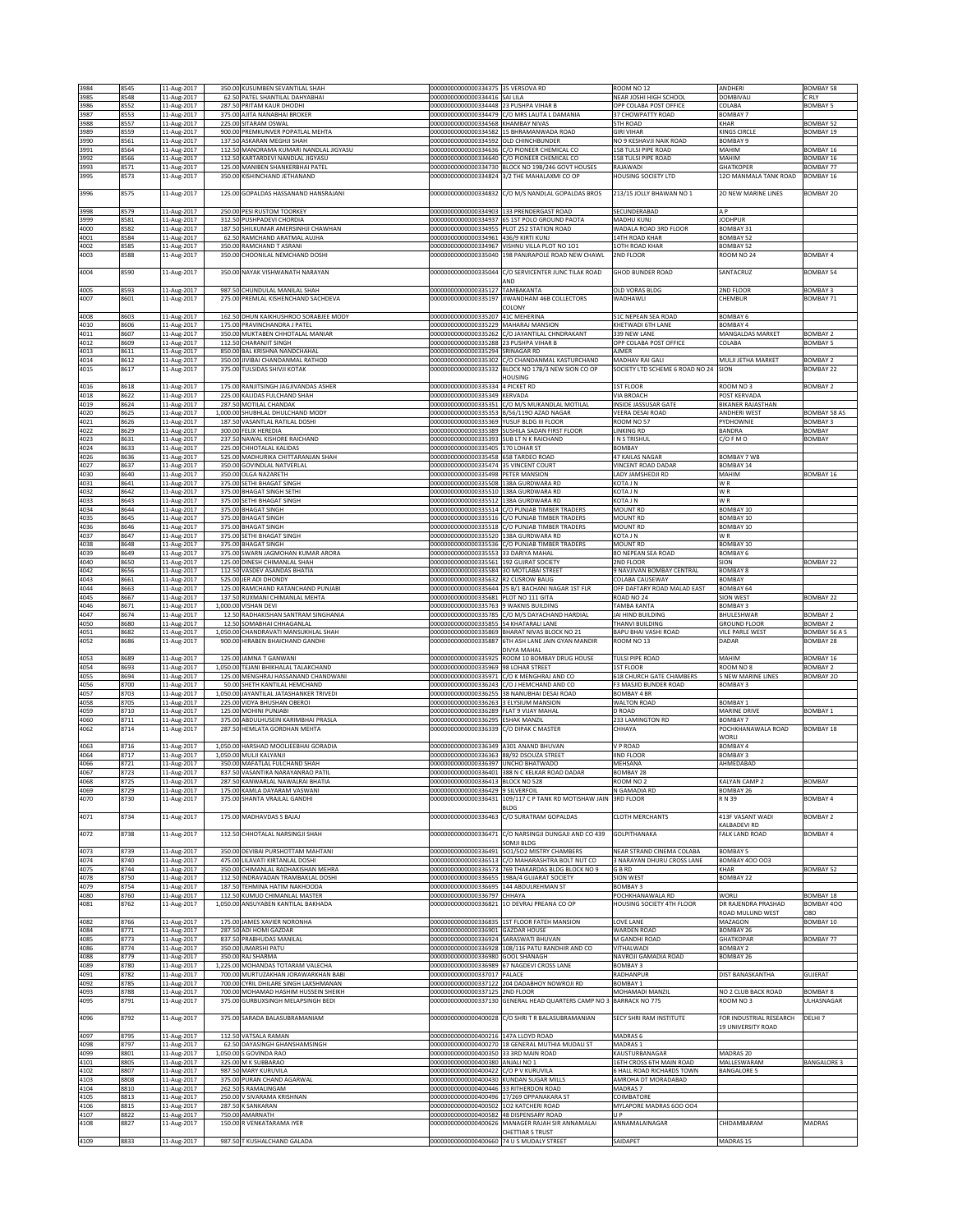| 3984         | 8545         | 11-Aug-2017                |                   | 350.00 KUSUMBEN SEVANTILAL SHAH                                          | 00000000000000334375 35 VERSOVA RD                                                 |                                                                                                  | ROOM NO 12                                                   | <b>ANDHERI</b>                           | BOMBAY 58                              |
|--------------|--------------|----------------------------|-------------------|--------------------------------------------------------------------------|------------------------------------------------------------------------------------|--------------------------------------------------------------------------------------------------|--------------------------------------------------------------|------------------------------------------|----------------------------------------|
| 3985         | 8548         | 11-Aug-2017                |                   | 62.50 PATEL SHANTILAL DAHYABHAI                                          | 00000000000000334416 SAI LILA                                                      |                                                                                                  | NEAR JOSHI HIGH SCHOOL                                       | DOMBIVAL                                 | C RLY                                  |
| 3986<br>3987 | 8552<br>8553 | 11-Aug-2017<br>11-Aug-2017 |                   | 287.50 PRITAM KAUR DHODHI<br>375.00 AJITA NANABHAI BROKER                | 00000000000000334448 23 PUSHPA VIHAR B                                             | 00000000000000334479 C/O MRS LALITA L DAMANIA                                                    | OPP COLABA POST OFFICE<br>37 CHOWPATTY ROAD                  | COLABA<br><b>BOMBAY 7</b>                | <b>BOMBAY 5</b>                        |
| 3988         | 8557         | 11-Aug-2017                |                   | 225.00 SITARAM OSWAL                                                     | 00000000000000334568 KHAMBAY NIVAS                                                 |                                                                                                  | <b>5TH ROAD</b>                                              | <b>KHAR</b>                              | <b>BOMBAY 52</b>                       |
| 3989         | 8559         | 11-Aug-2017                | 900.00            | PREMKUNVER POPATLAL MEHTA                                                |                                                                                    | 00000000000000334582 15 BHRAMANWADA ROAD                                                         | <b>GIRI VIHAR</b>                                            | KINGS CIRCLE                             | BOMBAY 19                              |
| 3990         | 8561         | 11-Aug-2017                | 137.50            | ASKARAN MEGHJI SHAH                                                      | 0000000000000334592                                                                | OLD CHINCHBUNDER                                                                                 | NO 9 KESHAVJI NAIK ROAD                                      | BOMBAY 9                                 |                                        |
| 3991<br>3992 | 8564<br>8566 | 11-Aug-2017<br>11-Aug-2017 | 112.5<br>112.5    | MANORAMA KUMARI NANDLAL JIGYASU<br>KARTARDEVI NANDLAL JIGYASU            |                                                                                    | 00000000000000334636 C/O PIONEER CHEMICAL CO<br>00000000000000334640 C/O PIONEER CHEMICAL CO     | 158 TULSI PIPE ROAD<br>158 TULSI PIPE ROAD                   | MAHIM<br>MAHIM                           | BOMBAY 16<br>BOMBAY 16                 |
| 3993         | 8571         | 11-Aug-2017                | 125.0             | MANIBEN SHANKERBHAI PATEL                                                |                                                                                    | 00000000000000334730 BLOCK NO 19B/246 GOVT HOUSES                                                | RAJAWADI                                                     | <b>GHATKOPER</b>                         | <b>BOMBAY 77</b>                       |
| 3995         | 8573         | 11-Aug-2017                |                   | 350.00 KISHINCHAND JETHANAND                                             |                                                                                    | 00000000000000334824 3/2 THE MAHALAXMI CO OP                                                     | <b>HOUSING SOCIETY LTD</b>                                   | 120 MANMALA TANK ROAD                    | BOMBAY 16                              |
| 3996         | 8575         | 11-Aug-2017                |                   | 125.00 GOPALDAS HASSANAND HANSRAJANI                                     |                                                                                    | 00000000000000334832 C/O M/S NANDLAL GOPALDAS BROS                                               | 213/15 JOLLY BHAWAN NO 1                                     | <b>20 NEW MARINE LINES</b>               | BOMBAY 20                              |
|              |              |                            |                   |                                                                          |                                                                                    |                                                                                                  |                                                              |                                          |                                        |
| 3998         | 8579         | 11-Aug-2017                |                   | 250.00 PESI RUSTOM TOORKEY                                               |                                                                                    | 00000000000000334903 33 PRENDERGAST ROAD                                                         | SECUNDERABAD                                                 | A <sub>P</sub>                           |                                        |
| 3999<br>4000 | 8581<br>8582 | 11-Aug-2017<br>11-Aug-2017 | 312.5<br>187.50   | PUSHPADEVI CHORDIA<br>SHILKUMAR AMERSINHJI CHAWHAN                       | 00000000000000334937                                                               | 65 1ST POLO GROUND PAOTA<br>00000000000000334955 PLOT 252 STATION ROAD                           | MADHU KUNJ<br>WADALA ROAD 3RD FLOOR                          | <b>JODHPUR</b><br>BOMBAY 31              |                                        |
| 4001         | 8584         | 11-Aug-2017                | 62.50             | RAMCHAND ARATMAL AUJHA                                                   | 00000000000000334961 436/9 KIRTI KUNJ                                              |                                                                                                  | 14TH ROAD KHAR                                               | <b>BOMBAY 52</b>                         |                                        |
| 4002         | 8585         | 11-Aug-2017                |                   | 350.00 RAMCHAND T ASRANI                                                 |                                                                                    | 00000000000000334967 VISHNU VILLA PLOT NO 1O1                                                    | <b>10TH ROAD KHAR</b>                                        | BOMBAY 52                                |                                        |
| 4003         | 8588         | 11-Aug-2017                |                   | 350.00 CHOONILAL NEMCHAND DOSHI                                          |                                                                                    | 00000000000000335040 198 PANJRAPOLE ROAD NEW CHAWL                                               | 2ND FLOOR                                                    | ROOM NO 24                               | <b>BOMBAY 4</b>                        |
| 4004         | 8590         | 11-Aug-2017                |                   | 350.00 NAYAK VISHWANATH NARAYAN                                          | 00000000000000335044                                                               | C/O SERVICENTER JUNC TILAK ROAD                                                                  | <b>GHOD BUNDER ROAD</b>                                      | SANTACRUZ                                | <b>BOMBAY 54</b>                       |
|              |              |                            |                   |                                                                          |                                                                                    | AND                                                                                              |                                                              |                                          |                                        |
| 4005<br>4007 | 8593<br>8601 | 11-Aug-2017<br>11-Aug-2017 |                   | 987.50 CHUNDULAL MANILAL SHAH<br>275.00 PREMLAL KISHENCHAND SACHDEVA     | 00000000000000335127<br>00000000000000335197                                       | TAMBAKANTA<br>JIWANDHAM 46B COLLECTORS                                                           | OLD VORAS BLDG<br>WADHAWLI                                   | 2ND FLOOR<br>CHEMBUR                     | <b>BOMBAY 3</b><br><b>BOMBAY 71</b>    |
|              |              |                            |                   |                                                                          |                                                                                    | COLONY                                                                                           |                                                              |                                          |                                        |
| 4008         | 8603         | 11-Aug-2017                | 162.5             | DHUN KAIKHUSHROO SORABJEE MODY                                           | 00000000000000335207                                                               | 41C MEHERINA                                                                                     | 51C NEPEAN SEA ROAD                                          | BOMBAY 6                                 |                                        |
| 4010         | 8606         | 11-Aug-2017                |                   | 175.00 PRAVINCHANDRA J PATEL                                             | 00000000000000335229                                                               | MAHARAJ MANSION                                                                                  | KHETWADI 6TH LANE                                            | BOMBAY 4                                 |                                        |
| 4011<br>4012 | 8607<br>8609 | 11-Aug-2017<br>11-Aug-2017 | 112.50            | 350.00 MUKTABEN CHHOTALAL MANIAR<br>CHARANJIT SINGH                      | 000000000000000335288 23 PUSHPA VIHAR B                                            | 000000000000000335262 C/O JAYANTILAL CHNDRAKANT                                                  | 339 NEW LANE<br>OPP COLABA POST OFFICE                       | MANGALDAS MARKET<br>COLABA               | <b>BOMBAY 2</b><br><b>BOMBAY 5</b>     |
| 4013         | 8611         | 11-Aug-2017                | 850.00            | <b>BAL KRISHNA NANDCHAHAL</b>                                            | 00000000000000335294 SRINAGAR RD                                                   |                                                                                                  | <b>NMER</b>                                                  |                                          |                                        |
| 4014         | 8612         | 11-Aug-2017                | 350.00            | IVIBAI CHANDANMAL RATHOD                                                 | 00000000000000335302                                                               | C/O CHANDANMAL KASTURCHAND                                                                       | MADHAV RAI GALI                                              | MULJI JETHA MARKET                       | <b>BOMBAY 2</b>                        |
| 4015         | 8617         | 11-Aug-2017                |                   | 375.00 TULSIDAS SHIVJI KOTAK                                             | 00000000000000335332                                                               | BLOCK NO 17B/3 NEW SION CO OP                                                                    | SOCIETY LTD SCHEME 6 ROAD NO 24                              | SION                                     | <b>BOMBAY 22</b>                       |
| 4016         | 8618         | 11-Aug-2017                |                   | 175.00 RANJITSINGH JAGJIVANDAS ASHER                                     | 0000000000000335334                                                                | HOUSING<br>4 PICKET RD                                                                           | 1ST FLOOR                                                    | ROOM NO3                                 | <b>BOMBAY 2</b>                        |
| 4018         | 8622         | 11-Aug-2017                |                   | 225.00 KALIDAS FULCHAND SHAH                                             | 00000000000000335349 KERVADA                                                       |                                                                                                  | VIA BROACH                                                   | POST KERVADA                             |                                        |
| 4019         | 8624         | 11-Aug-2017                |                   | 287.50 MOTILAL CHANDAK                                                   |                                                                                    | 00000000000000335351 C/O M/S MUKANDLAL MOTILAL                                                   | INSIDE JASSUSAR GATE                                         | <b>BIKANER RAJASTHAN</b>                 |                                        |
| 4020<br>4021 | 8625<br>8626 | 11-Aug-2017<br>11-Aug-2017 |                   | 1,000.00 SHUBHLAL DHULCHAND MODY<br>187.50 VASANTLAL RATILAL DOSHI       | 00000000000000335369 YUSUF BLDG III FLOOR                                          | 00000000000000335353 B/56/119O AZAD NAGAR                                                        | VEERA DESAI ROAD<br>ROOM NO 57                               | <b>ANDHERI WEST</b><br>PYDHOWNIE         | <b>BOMBAY 58 AS</b><br><b>BOMBAY 3</b> |
| 4022         | 8629         | 11-Aug-2017                | 300.00            | <b>ELIX HEREDIA</b>                                                      |                                                                                    | 00000000000000335389 SUSHILA SADAN FIRST FLOOR                                                   | LINKING RD                                                   | BANDRA                                   | BOMBAY                                 |
| 4023         | 8631         | 11-Aug-2017                |                   | 237.50 NAWAL KISHORE RAICHAND                                            | 000000000000000335393 SUB LT N K RAICHAND                                          |                                                                                                  | IN STRISHUL                                                  | C/OFMO                                   | <b>BOMBAY</b>                          |
| 4024<br>4026 | 8633<br>8636 | 11-Aug-2017<br>11-Aug-2017 | 225.00<br>525.0   | CHHOTALAL KALIDAS<br>MADHURIKA CHITTARANJAN SHAH                         | 00000000000000335405 170 LOHAR ST<br>00000000000000335458 658 TARDEO ROAD          |                                                                                                  | BOMBAY<br><b>47 KAILAS NAGAR</b>                             | <b>BOMBAY 7 WB</b>                       |                                        |
| 4027         | 8637         | 11-Aug-2017                |                   | 350.00 GOVINDLAL NATVERLAL                                               | 00000000000000335474 35 VINCENT COURT                                              |                                                                                                  | VINCENT ROAD DADAR                                           | BOMBAY 14                                |                                        |
| 4030         | 8640         | 11-Aug-2017                |                   | 350.00 OLGA NAZARETH                                                     | 00000000000000335498 PETER MANSION                                                 |                                                                                                  | LADY JAMSHEDJI RD                                            | MAHIM                                    | BOMBAY 16                              |
| 4031         | 8641         | 11-Aug-2017                |                   | 375.00 SETHI BHAGAT SINGH<br><b>BHAGAT SINGH SETHI</b>                   | 00000000000000335508 138A GURDWARA RD                                              |                                                                                                  | KOTA J N                                                     | WR                                       |                                        |
| 4032<br>4033 | 8642<br>8643 | 11-Aug-2017<br>11-Aug-2017 | 375.00<br>375.00  | <b>ETHI BHAGAT SINGH</b>                                                 | 00000000000000335510<br>20000000000000335512                                       | 138A GURDWARA RD<br>138A GURDWARA RD                                                             | KOTA J N<br><b>OTA JN</b>                                    | W <sub>R</sub><br>W <sub>R</sub>         |                                        |
| 4034         | 8644         | 11-Aug-2017                | 375.00            | <b>BHAGAT SINGH</b>                                                      |                                                                                    | 00000000000000335514 C/O PUNJAB TIMBER TRADERS                                                   | MOUNT RD                                                     | BOMBAY 10                                |                                        |
| 4035         | 8645         | 11-Aug-2017                |                   | 375.00 BHAGAT SINGH                                                      |                                                                                    | 00000000000000335516 C/O PUNJAB TIMBER TRADERS                                                   | MOUNT RD                                                     | BOMBAY 10                                |                                        |
| 4036<br>4037 | 8646<br>8647 | 11-Aug-2017<br>11-Aug-2017 | 375.00<br>375.00  | <b>BHAGAT SINGH</b><br><b>SETHI BHAGAT SINGH</b>                         | 00000000000000335518<br>00000000000000335520                                       | C/O PUNJAB TIMBER TRADERS<br>138A GURDWARA RD                                                    | MOUNT RD<br>KOTA J N                                         | BOMBAY 10<br>W <sub>R</sub>              |                                        |
| 4038         | 8648         | 11-Aug-2017                |                   | 375.00 BHAGAT SINGH                                                      |                                                                                    | 00000000000000335536 C/O PUNJAB TIMBER TRADERS                                                   | MOUNT RD                                                     | BOMBAY 10                                |                                        |
| 4039         | 8649         | 11-Aug-2017                |                   | 375.00 SWARN JAGMOHAN KUMAR ARORA                                        | 00000000000000335553 33 DARIYA MAHAL                                               |                                                                                                  | 80 NEPEAN SEA ROAD                                           | BOMBAY 6                                 |                                        |
| 4040<br>4042 | 8650<br>8656 | 11-Aug-2017<br>11-Aug-2017 | 112.50            | 125.00 DINESH CHIMANLAL SHAH<br>VASDEV ASANDAS BHATIA                    | 00000000000000335561 192 GUJRAT SOCIETY<br>00000000000000335584 30 MOTLABAI STREET |                                                                                                  | 2ND FLOOR<br><b>INAVJIVAN BOMBAY CENTRAL</b>                 | SION<br><b>BOMBAY 8</b>                  | <b>BOMBAY 22</b>                       |
| 4043         | 8661         | 11-Aug-2017                | 525.00            | ER ADI DHONDY                                                            | 00000000000000335632 R2 CUSROW BAUG                                                |                                                                                                  | COLABA CAUSEWAY                                              | BOMBAY                                   |                                        |
| 4044         | 8663         | 11-Aug-2017                |                   | 125.00 RAMCHAND RATANCHAND PUNJABI                                       |                                                                                    | 00000000000000335644 25 B/1 BACHANI NAGAR 1ST FLR                                                | OFF DAFTARY ROAD MALAD EAST                                  | <b>BOMBAY 64</b>                         |                                        |
| 4045<br>4046 | 8667<br>8671 | 11-Aug-2017<br>11-Aug-2017 | 137.5<br>1,000.00 | RUXMANI CHIMANLAL MEHTA<br>VISHAN DEVI                                   | 000000000000000335681 PLOT NO 111 GITA<br>00000000000000335763 9 WAKNIS BUILDING   |                                                                                                  | ROAD NO 24<br>TAMBA KANTA                                    | <b>SION WEST</b><br><b>BOMBAY 3</b>      | <b>BOMBAY 22</b>                       |
| 4047         | 8674         | 11-Aug-2017                | 12.50             | RADHAKISHAN SANTRAM SINGHANIA                                            |                                                                                    | 00000000000000335785 C/O M/S DAYACHAND HARDIAL                                                   | JAI HIND BUILDING                                            | BHULESHWAR                               | <b>BOMBAY 2</b>                        |
|              |              |                            |                   |                                                                          |                                                                                    |                                                                                                  |                                                              |                                          |                                        |
| 4050         | 8680         | 11-Aug-2017                | 12.50             | SOMABHAI CHHAGANLAL                                                      | 000000000000000335855 54 KHATARALI LANE                                            |                                                                                                  | THANVI BUILDING                                              | <b>GROUND FLOOR</b>                      | <b>BOMBAY 2</b>                        |
| 4051         | 8682         | 11-Aug-2017                | 1,050.00          | CHANDRAVATI MANSUKHLAL SHAH                                              |                                                                                    | 00000000000000335869 BHARAT NIVAS BLOCK NO 21                                                    | BAPU BHAI VASHI ROAD                                         | <b>VILE PARLE WEST</b>                   | BOMBAY 56 A S                          |
| 4052         | 8686         | 11-Aug-2017                |                   | 900.00 HIRABEN BHAICHAND GANDHI                                          | 0000000000000335887                                                                | 6TH ASH LANE JAIN GYAN MANDIR<br>DIVYA MAHAL                                                     | 300M NO 13                                                   | DADAR                                    | <b>BOMBAY 28</b>                       |
| 4053         | 8689         | 11-Aug-2017                |                   | 125.00 JAMNA T GANWANI                                                   |                                                                                    | 00000000000000335925 ROOM 10 BOMBAY DRUG HOUSE                                                   | TULSI PIPE ROAD                                              | MAHIM                                    | BOMBAY 16                              |
| 4054         | 8693         | 11-Aug-2017                |                   | 1,050.00 TEJANI BHIKHALAL TALAKCHAND                                     | 00000000000000335969 98 LOHAR STREET                                               |                                                                                                  | <b>1ST FLOOR</b>                                             | ROOM NO 8                                | <b>BOMBAY 2</b>                        |
| 4055         | 8694<br>8700 | 11-Aug-2017                | 125.00            | MENGHRAJ HASSANAND CHANDWANI                                             | 00000000000000335971                                                               | C/O K MENGHRAJ AND CO<br>00000000000000336243 C/O J HEMCHAND AND CO                              | <b>618 CHURCH GATE CHAMBERS</b><br>F3 MASJID BUNDER ROAD     | <b>5 NEW MARINE LINES</b>                | BOMBAY 20                              |
| 4056<br>4057 | 8703         | 11-Aug-2017<br>11-Aug-2017 |                   | 50.00 SHETH KANTILAL HEMCHAND<br>1,050.00 JAYANTILAL JATASHANKER TRIVEDI |                                                                                    | 00000000000000336255 38 NANUBHAI DESAI ROAD                                                      | <b>BOMBAY 4 BR</b>                                           | BOMBAY 3                                 |                                        |
| 4058         | 8705         | 11-Aug-2017                |                   | 225.00 VIDYA BHUSHAN OBEROI                                              | 00000000000000336263 3 ELYSIUM MANSION                                             |                                                                                                  | WALTON ROAD                                                  | BOMBAY 1                                 |                                        |
| 4059         | 8710         | 11-Aug-2017                | 125.00            | MOHINI PUNJABI                                                           | 00000000000000336289<br>00000000000000336295                                       | FLAT 9 VIJAY MAHAL                                                                               | D ROAD                                                       | <b>MARINE DRIVE</b>                      | <b>BOMBAY 1</b>                        |
| 4060<br>4062 | 8711<br>8714 | 11-Aug-2017<br>11-Aug-2017 | 375.00<br>287.5   | ABDULHUSEIN KARIMBHAI PRASLA<br><b>IEMLATA GORDHAN MEHTA</b>             | 00000000000000336339                                                               | SHAK MANZIL<br>C/O DIPAK C MASTER                                                                | 233 LAMINGTON RD<br>CHHAYA                                   | BOMBAY 7<br>POCHKHANAWALA ROAD           | <b>BOMBAY 18</b>                       |
|              |              |                            |                   |                                                                          |                                                                                    |                                                                                                  |                                                              | WORLI                                    |                                        |
| 4063<br>4064 | 8716<br>8717 | 11-Aug-2017                | 1,050.00          | HARSHAD MOOLJEEBHAI GORADIA<br>1,050.00 MULJI KALYANJI                   | 00000000000000336349 A301 ANAND BHUVAN<br>00000000000000336363 88/92 DSOUZA STREET |                                                                                                  | V P ROAD<br>IND FLOOR                                        | BOMBAY 4<br><b>BOMBAY 3</b>              |                                        |
| 4066         | 8721         | 11-Aug-2017<br>11-Aug-2017 |                   | 350.00 MAFATLAL FULCHAND SHAH                                            | 00000000000000336397 UNCHO BHATWADO                                                |                                                                                                  | MEHSANA                                                      | AHMEDABAD                                |                                        |
| 4067         | 8723         | 11-Aug-2017                |                   | 837.50 VASANTIKA NARAYANRAO PATIL                                        |                                                                                    | 00000000000000336401 388 N C KELKAR ROAD DADAR                                                   | <b>BOMBAY 28</b>                                             |                                          |                                        |
| 4068<br>4069 | 8725<br>8729 | 11-Aug-2017<br>11-Aug-2017 |                   | 287.50 KANWARLAL NAWALRAI BHATIA<br>175.00 KAMLA DAYARAM VASWANI         | 000000000000000336413 BLOCK NO 528<br>00000000000000336429 9 SILVERFOIL            |                                                                                                  | ROOM NO 2<br>N GAMADIA RD                                    | KALYAN CAMP 2<br>BOMBAY 26               | BOMBAY                                 |
| 4070         | 8730         | 11-Aug-2017                |                   | 375.00 SHANTA VRAJLAL GANDHI                                             |                                                                                    | 00000000000000336431 109/117 C P TANK RD MOTISHAW JAIN                                           | <b>3RD FLOOR</b>                                             | R N 39                                   | <b>BOMBAY 4</b>                        |
|              |              |                            |                   |                                                                          |                                                                                    | BLDG                                                                                             |                                                              |                                          |                                        |
| 4071         | 8734         | 11-Aug-2017                |                   | 175.00 MADHAVDAS S BAJAJ                                                 | 00000000000000336463                                                               | C/O SURATRAM GOPALDAS                                                                            | <b>CLOTH MERCHANTS</b>                                       | 413F VASANT WADI<br>KALBADEVI RD         | <b>BOMBAY 2</b>                        |
| 4072         | 8738         | 11-Aug-2017                |                   | 112.50 CHHOTALAL NARSINGJI SHAH                                          | 00000000000000336471                                                               | C/O NARSINGJI DUNGAJI AND CO 439                                                                 | GOLPITHANAKA                                                 | FALK LAND ROAD                           | <b>BOMBAY 4</b>                        |
|              |              |                            |                   |                                                                          |                                                                                    | SOMJI BLDG                                                                                       |                                                              |                                          |                                        |
| 4073<br>4074 | 8739<br>8740 | 11-Aug-2017<br>11-Aug-2017 |                   | 350.00 DEVIBAI PURSHOTTAM MAHTANI<br>475.00 LILAVATI KIRTANLAL DOSHI     |                                                                                    | 00000000000000336491 501/502 MISTRY CHAMBERS<br>00000000000000336513 C/O MAHARASHTRA BOLT NUT CO | NEAR STRAND CINEMA COLABA<br><b>NARAYAN DHURU CROSS LANE</b> | <b>BOMBAY 5</b><br><b>BOMBAY 400 003</b> |                                        |
| 4075         | 8744         | 11-Aug-2017                |                   | 350.00 CHIMANLAL RADHAKISHAN MEHRA                                       |                                                                                    | 00000000000000336573 769 THAKARDAS BLDG BLOCK NO 9                                               | G B RD                                                       | KHAR                                     | BOMBAY 52                              |
| 4078         | 8750         | 11-Aug-2017                |                   | 112.50 INDRAVADAN TRAMBAKLAL DOSHI                                       |                                                                                    | 00000000000000336655 198A/4 GUJARAT SOCIETY                                                      | <b>SION WEST</b>                                             | BOMBAY 22                                |                                        |
| 4079<br>4080 | 8754<br>8760 | 11-Aug-2017                | 187.50<br>112.5   | TEHMINA HATIM NAKHOODA<br>KUMUD CHIMANLAL MASTER                         | 00000000000000336695 144 ABDULREHMAN ST<br>00000000000000336797 CHHAYA             |                                                                                                  | BOMBAY 3<br>POCHKHANAWALA RD                                 | WORLI                                    | <b>BOMBAY 18</b>                       |
| 4081         | 8762         | 11-Aug-2017<br>11-Aug-2017 |                   | 1,050.00 ANSUYABEN KANTILAL BAKHADA                                      |                                                                                    | 00000000000000336821 10 DEVRAJ PREANA CO OP                                                      | HOUSING SOCIETY 4TH FLOOR                                    | DR RAJENDRA PRASHAD                      | BOMBAY 400                             |
|              |              |                            |                   |                                                                          |                                                                                    |                                                                                                  |                                                              | ROAD MULUND WEST                         | 080                                    |
| 4082<br>4084 | 8766<br>8771 | 11-Aug-2017                | 287.50            | 175.00 JAMES XAVIER NORONHA<br>ADI HOMI GAZDAR                           | 00000000000000336901 GAZDAR HOUSE                                                  | 00000000000000336835 1ST FLOOR FATEH MANSION                                                     | LOVE LANE<br><b>WARDEN ROAD</b>                              | MAZAGON                                  | BOMBAY 10                              |
| 4085         | 8773         | 11-Aug-2017<br>11-Aug-2017 | 837.5             | PRABHUDAS MANILAL                                                        | 000000000000000336924 SARASWATI BHUVAN                                             |                                                                                                  | M GANDHI ROAD                                                | BOMBAY 26<br><b>GHATKOPAR</b>            | BOMBAY 77                              |
| 4086         | 8774         | 11-Aug-2017                |                   | 350.00 UMARSHI PATU                                                      |                                                                                    | 00000000000000336928 108/116 PATU RANDHIR AND CO                                                 | VITHALWADI                                                   | BOMBAY 2                                 |                                        |
| 4088         | 8779         | 11-Aug-2017                |                   | 350.00 RAJ SHARMA                                                        | 00000000000000336980 GOOL SHANAGH                                                  |                                                                                                  | NAVROJI GAMADIA ROAD                                         | BOMBAY 26                                |                                        |
| 4089<br>4091 | 8780<br>8782 | 11-Aug-2017<br>11-Aug-2017 |                   | 1,225.00 MOHANDAS TOTARAM VALECHA<br>700.00 MURTUZAKHAN JORAWARKHAN BABI | 00000000000000337017 PALACE                                                        | 00000000000000336989 67 NAGDEVI CROSS LANE                                                       | <b>BOMBAY 3</b><br>RADHANPUR                                 | DIST BANASKANTHA                         | GUJERAT                                |
| 4092         | 8785         | 11-Aug-2017                |                   | 700.00 CYRIL DHILARE SINGH LAKSHMANAN                                    |                                                                                    | 00000000000000337122 204 DADABHOY NOWROJI RD                                                     | BOMBAY 1                                                     |                                          |                                        |
| 4093         | 8788         | 11-Aug-2017                |                   | 700.00 MOHAMAD HASHIM HUSSEIN SHEIKH                                     | 00000000000000337125 2ND FLOOR                                                     |                                                                                                  | MOHAMADI MANZIL                                              | NO 2 CLUB BACK ROAD                      | <b>BOMBAY 8</b>                        |
| 4095         | 8791         | 11-Aug-2017                |                   | 375.00 GURBUXSINGH MELAPSINGH BEDI                                       |                                                                                    | 00000000000000337130 GENERAL HEAD QUARTERS CAMP NO 3 BARRACK NO 775                              |                                                              | ROOM NO3                                 | ULHASNAGAR                             |
| 4096         | 8792         | 11-Aug-2017                |                   | 375.00 SARADA BALASUBRAMANIAM                                            |                                                                                    | 00000000000000400028 C/O SHRIT R BALASUBRAMANIAN                                                 | SECY SHRI RAM INSTITUTE                                      | FOR INDUSTRIAL RESEARCH                  | DELHI 7                                |
|              |              |                            |                   |                                                                          |                                                                                    |                                                                                                  |                                                              | 19 UNIVERSITY ROAD                       |                                        |
| 4097<br>4098 | 8795<br>8797 | 11-Aug-2017<br>11-Aug-2017 |                   | 112.50 VATSALA RAMAN<br>62.50 DAYASINGH GHANSHAMSINGH                    | 000000000000000400216 147A LLOYD ROAD                                              | 000000000000000400270 18 GENERAL MUTHIA MUDALI ST                                                | MADRAS 6<br>MADRAS 1                                         |                                          |                                        |
| 4099         | 8801         | 11-Aug-2017                |                   | 1,050.00 S GOVINDA RAO                                                   | 00000000000000400350 33 3RD MAIN ROAD                                              |                                                                                                  | KAUSTURBANAGAR                                               | MADRAS 20                                |                                        |
| 4101         | 8805         | 11-Aug-2017                |                   | 325.00 M K SUBBARAO                                                      | 000000000000000400380 ANJALI NO 1                                                  |                                                                                                  | 16TH CROSS 6TH MAIN ROAD                                     | MALLESWARAM                              | <b>BANGALORE 3</b>                     |
| 4102<br>4103 | 8807<br>8808 | 11-Aug-2017<br>11-Aug-2017 | 375.00            | 987.50 MARY KURUVILA<br>PURAN CHAND AGARWAL                              | 00000000000000400422 C/O P V KURUVILA<br>000000000000000400430 KUNDAN SUGAR MILLS  |                                                                                                  | 6 HALL ROAD RICHARDS TOWN<br>MROHA DT MORADABAD              | <b>BANGALORE 5</b>                       |                                        |
| 4104         | 8810         | 11-Aug-2017                | 262.50            | S RAMALINGAM                                                             | 00000000000000400446 33 RITHERDON ROAD                                             |                                                                                                  | MADRAS 7                                                     |                                          |                                        |
| 4105         | 8813         | 11-Aug-2017                |                   | 250.00 V SIVARAMA KRISHNAN                                               |                                                                                    | 00000000000000400496 17/269 OPPANAKARA ST                                                        | COIMBATORE                                                   |                                          |                                        |
| 4106<br>4107 | 8815<br>8822 | 11-Aug-2017                | 750.00            | 287.50 K SANKARAN<br>AMARNATH                                            | 00000000000000400502 1O2 KATCHERI ROAD<br>000000000000000400582 48 DISPENSARY ROAD |                                                                                                  | MYLAPORE MADRAS 600 004<br><b>UP</b>                         |                                          |                                        |
| 4108         | 8827         | 11-Aug-2017<br>11-Aug-2017 |                   | 150.00 R VENKATARAMA IYER                                                |                                                                                    | 000000000000000400626 MANAGER RAJAH SIR ANNAMALAI                                                | ANNAMALAINAGAR                                               | CHIDAMBARAM                              | MADRAS                                 |
| 4109         | 8833         | 11-Aug-2017                |                   | 987.50 T KUSHALCHAND GALADA                                              | 00000000000000400660 74 U S MUDALY STREET                                          | CHETTIAR S TRUST                                                                                 | SAIDAPET                                                     | MADRAS 15                                |                                        |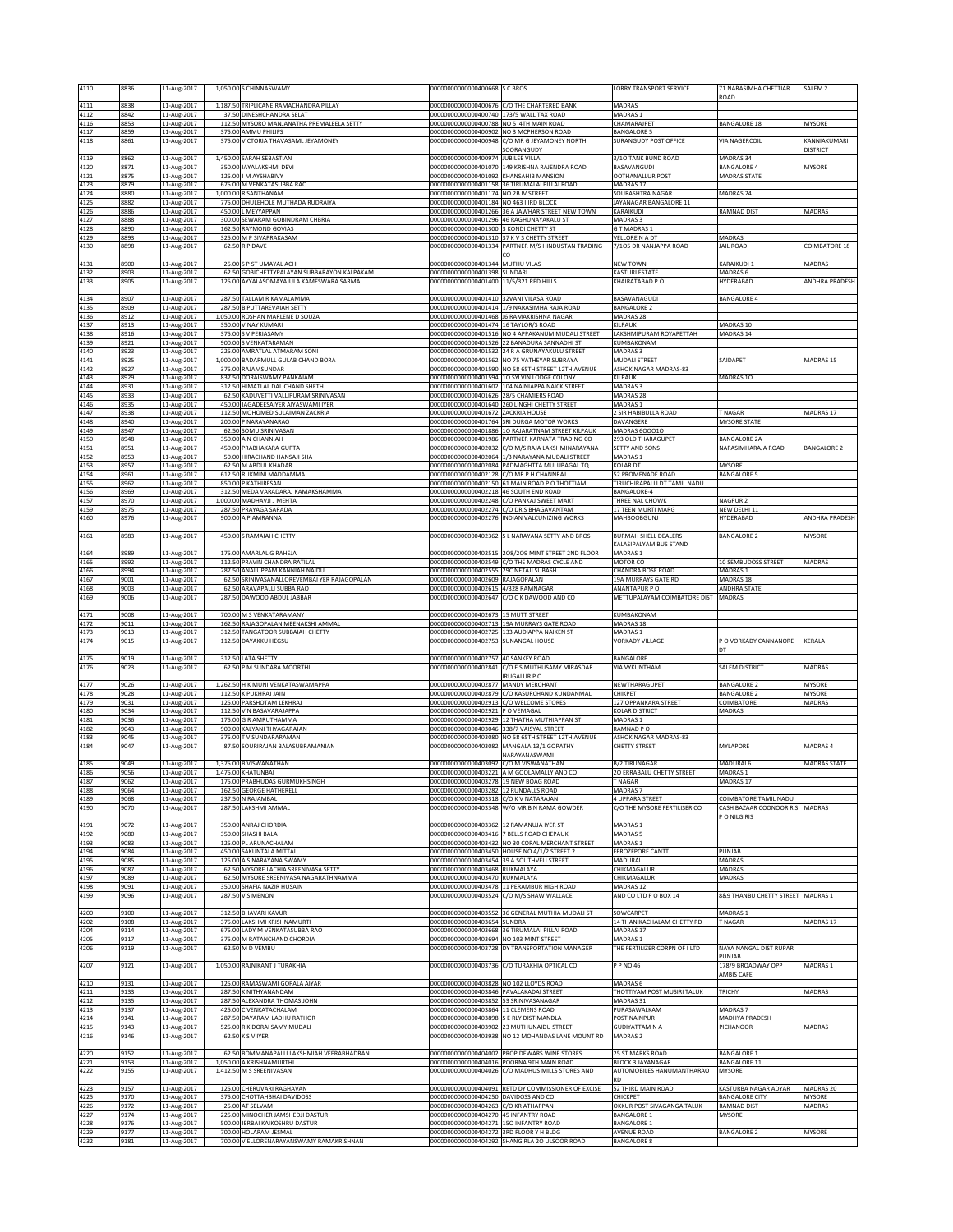| 4110                 | 8836                 | 11-Aug-2017                               |        | 1.050.00 S CHINNASWAMY                                                                      | 00000000000000400668 S C BROS                                                                                              |                                                                                                        | LORRY TRANSPORT SERVICE                          | 71 NARASIMHA CHETTIAR                                  | SALEM <sub>2</sub>    |
|----------------------|----------------------|-------------------------------------------|--------|---------------------------------------------------------------------------------------------|----------------------------------------------------------------------------------------------------------------------------|--------------------------------------------------------------------------------------------------------|--------------------------------------------------|--------------------------------------------------------|-----------------------|
| 4111                 | 8838                 | 11-Aug-2017                               |        | 1,187.50 TRIPLICANE RAMACHANDRA PILLAY                                                      |                                                                                                                            | 00000000000000400676 C/O THE CHARTERED BANK                                                            | MADRAS                                           | ROAD                                                   |                       |
| 4112                 | 8842                 | 11-Aug-2017                               |        | 37.50 DINESHCHANDRA SELAT                                                                   | 00000000000000400740 173/5 WALL TAX ROAD                                                                                   |                                                                                                        | MADRAS 1                                         |                                                        |                       |
| 4116<br>4117         | 8853<br>8859         | 11-Aug-2017<br>11-Aug-2017                |        | 112.50 MYSORO MANJANATHA PREMALEELA SETTY<br>375.00 AMMU PHILIPS                            | 00000000000000400788 NO 5 4TH MAIN ROAD                                                                                    | 000000000000000400902 NO 3 MCPHERSON ROAD                                                              | <b>HAMARAJPET</b><br>ANGALORE 5                  | BANGALORE 18                                           | MYSORE                |
| 4118                 | 8861                 | 11-Aug-2017                               |        | 375.00 VICTORIA THAVASAML JEYAMONEY                                                         |                                                                                                                            | 000000000000000400948 C/O MR G JEYAMONEY NORTH                                                         | <b>SURANGUDY POST OFFICE</b>                     | VIA NAGERCOIL                                          | KANNIAKUMARI          |
| 4119                 | 8862                 | 11-Aug-2017                               |        | 1,450.00 SARAH SEBASTIAN                                                                    | 00000000000000400974 JUBILEE VILLA                                                                                         | SOORANGUDY                                                                                             | 3/10 TANK BUND ROAD                              | MADRAS 34                                              | <b>DISTRICT</b>       |
| 4120                 | 8871                 | 11-Aug-2017                               |        | 350.00 JAYALAKSHMI DEVI                                                                     |                                                                                                                            | 000000000000000401070 149 KRISHNA RAJENDRA ROAD                                                        | BASAVANGUDI                                      | BANGALORE 4                                            | <b>MYSORE</b>         |
| 4121<br>4123         | 8875<br>8879         | 11-Aug-2017<br>11-Aug-2017                |        | 125.00 J M AYSHABIVY<br>675.00 M VENKATASUBBA RAO                                           | 000000000000000401092 KHANSAHIB MANSION                                                                                    | 000000000000000401158 36 TIRUMALAI PILLAI ROAD                                                         | OOTHANALLUR POST<br>MADRAS 17                    | <b>MADRAS STATE</b>                                    |                       |
| 4124                 | 8880                 | 11-Aug-2017                               |        | 1,000.00 R SANTHANAM                                                                        | 00000000000000401174 NO 2B IV STREET                                                                                       |                                                                                                        | OURASHTRA NAGAR                                  | MADRAS 24                                              |                       |
| 4125<br>4126         | 8882<br>8886         | 11-Aug-2017<br>11-Aug-2017                |        | 775.00 DHULEHOLE MUTHADA RUDRAIYA<br>450.00 L MEYYAPPAN                                     | 00000000000000401184 NO 463 IIIRD BLOCK                                                                                    | 00000000000000401266 36 A JAWHAR STREET NEW TOWN                                                       | AYANAGAR BANGALORE 11<br><b><i>CARAIKUDI</i></b> | RAMNAD DIST                                            | MADRAS                |
| 4127                 | 8888                 | 11-Aug-2017                               |        | 300.00 SEWARAM GOBINDRAM CHBRIA                                                             |                                                                                                                            | 00000000000000401296 46 RAGHUNAYAKALU ST                                                               | MADRAS 3                                         |                                                        |                       |
| 4128<br>4129         | 8890<br>8893         | 11-Aug-2017<br>11-Aug-2017                |        | 162.50 RAYMOND GOVIAS<br>325.00 M P SIVAPRAKASAM                                            | 00000000000000401300 3 KONDI CHETTY ST<br>00000000000000401310 37 K V S CHETTY STREET                                      |                                                                                                        | G T MADRAS 1<br>VELLORE N A DT                   | MADRAS                                                 |                       |
| 4130                 | 8898                 | 11-Aug-2017                               |        | 62.50 R P DAVE                                                                              |                                                                                                                            | 000000000000000401334 PARTNER M/S HINDUSTAN TRADING                                                    | 7/105 DR NANJAPPA ROAD                           | <b>JAIL ROAD</b>                                       | COIMBATORE 18         |
| 4131                 | 8900                 | 11-Aug-2017                               |        | 25.00 S P ST UMAYAL ACHI                                                                    | 00000000000000401344 MUTHU VILAS                                                                                           |                                                                                                        | <b>NEW TOWN</b>                                  | KARAIKUDI 1                                            | MADRAS                |
| 4132                 | 8903                 | 11-Aug-2017                               |        | 62.50 GOBICHETTYPALAYAN SUBBARAYON KALPAKAM                                                 | 00000000000000401398 SUNDARI                                                                                               |                                                                                                        | <b>KASTURI ESTATE</b>                            | MADRAS <sub>6</sub>                                    |                       |
| 4133                 | 8905                 | 11-Aug-2017                               |        | 125.00 AYYALASOMAYAJULA KAMESWARA SARMA                                                     | 00000000000000401400 11/5/321 RED HILLS                                                                                    |                                                                                                        | KHAIRATABAD P O                                  | HYDERABAD                                              | ANDHRA PRADESH        |
| 4134                 | 8907                 | 11-Aug-2017                               |        | 287.50 TALLAM R KAMALAMMA                                                                   | 00000000000000401410 32VANI VILASA ROAD                                                                                    |                                                                                                        | BASAVANAGUDI                                     | <b>BANGALORE 4</b>                                     |                       |
| 4135<br>4136         | 8909<br>8912         | 11-Aug-2017<br>11-Aug-2017                |        | 287.50 B PUTTAREVAIAH SETTY<br>1,050.00 ROSHAN MARLENE D SOUZA                              |                                                                                                                            | 000000000000000401414 1/9 NARASIMHA RAJA ROAD<br>000000000000000401468 J6 RAMAKRISHNA NAGAR            | BANGALORE <sub>2</sub><br>MADRAS 28              |                                                        |                       |
| 4137                 | 8913                 | 11-Aug-2017                               |        | 350.00 VINAY KUMARI                                                                         | 000000000000000401474 16 TAYLOR/S ROAD                                                                                     |                                                                                                        | <b>KILPAUK</b>                                   | MADRAS 10                                              |                       |
| 4138<br>4139         | 8916<br>8921         | 11-Aug-2017<br>11-Aug-2017                |        | 375.00 S V PERIASAMY<br>900.00 S VENKATARAMAN                                               |                                                                                                                            | 000000000000000401516 NO 4 APPAKANUM MUDALI STREET<br>00000000000000401526 22 BANADURA SANNADHI ST     | AKSHMIPURAM ROYAPETTAH<br><b>UMBAKONAM</b>       | MADRAS 14                                              |                       |
| 4140                 | 8923                 | 11-Aug-2017                               |        | 225.00 AMRATLAL ATMARAM SONI                                                                |                                                                                                                            | 00000000000000401532 24 R A GRUNAYAKULU STREET                                                         | <b>MADRAS3</b>                                   |                                                        |                       |
| 4141<br>4142         | 8925<br>8927         | 11-Aug-2017<br>11-Aug-2017                |        | 1,000.00 BADARMULL GULAB CHAND BORA<br>375.00 RAJAMSUNDAR                                   |                                                                                                                            | 000000000000000401562 NO 75 VATHEYAR SUBRAYA<br>000000000000000401590 NO 58 65TH STREET 12TH AVENUE    | <b>MUDALI STREET</b><br>ASHOK NAGAR MADRAS-83    | SAIDAPET                                               | MADRAS 15             |
| 4143                 | 8929                 | 11-Aug-2017                               |        | 837.50 DORAISWAMY PANKAJAM                                                                  |                                                                                                                            | 00000000000000401594 1O SYLVIN LODGE COLONY                                                            | KILPAUK                                          | MADRAS 10                                              |                       |
| 4144<br>4145         | 8931<br>8933         | 11-Aug-2017<br>11-Aug-2017                |        | 312.50 HIMATLAL DALICHAND SHETH<br>62.50 KADUVETTI VALLIPURAM SRINIVASAN                    | 000000000000000401626 28/5 CHAMIERS ROAD                                                                                   | 000000000000000401602 104 NAINIAPPA NAICK STREET                                                       | <b>MADRAS3</b><br>MADRAS 28                      |                                                        |                       |
| 4146                 | 8935                 | 11-Aug-2017                               |        | 450.00 JAGADEESAIYER AIYASWAMI IYER                                                         |                                                                                                                            | 00000000000000401640 260 LINGHI CHETTY STREET                                                          | MADRAS 1                                         |                                                        |                       |
| 4147<br>4148         | 8938<br>8940         | 11-Aug-2017<br>11-Aug-2017                |        | 112.50 MOHOMED SULAIMAN ZACKRIA<br>200.00 P NARAYANARAO                                     | 00000000000000401672 ZACKRIA HOUSE                                                                                         | 000000000000000401764 SRI DURGA MOTOR WORKS                                                            | SIR HABIBULLA ROAD<br><b>AVANGERE</b>            | <b>NAGAR</b><br>MYSORE STATE                           | MADRAS 17             |
| 4149                 | 8947                 | 11-Aug-2017                               |        | 62.50 SOMU SRINIVASAN                                                                       |                                                                                                                            | 000000000000000401886 10 RAJARATNAM STREET KILPAUK                                                     | MADRAS 600010                                    |                                                        |                       |
| 4150<br>4151         | 8948<br>8951         | 11-Aug-2017<br>11-Aug-2017                |        | 350.00 A N CHANNIAH<br>450.00 PRABHAKARA GUPTA                                              |                                                                                                                            | 000000000000000401986 PARTNER KARNATA TRADING CO<br>000000000000000402032 C/O M/S RAJA LAKSHMINARAYANA | 293 OLD THARAGUPET<br>SETTY AND SONS             | BANGALORE 2A<br>NARASIMHARAJA ROAD                     | <b>BANGALORE 2</b>    |
| 4152                 | 8953                 | 11-Aug-2017                               |        | 50.00 HIRACHAND HANSAJI SHA                                                                 |                                                                                                                            | 00000000000000402064 1/3 NARAYANA MUDALI STREET                                                        | <b>MADRAS1</b>                                   |                                                        |                       |
| 4153<br>4154         | 8957<br>8961         | 11-Aug-2017<br>11-Aug-2017                |        | 62.50 M ABDUL KHADAR<br>612.50 RUKMINI MADDAMMA                                             | 00000000000000402128 C/O MR P H CHANNRAJ                                                                                   | 000000000000000402084 PADMAGHTTA MULUBAGAL TQ                                                          | <b>COLAR DT</b><br>2 PROMENADE ROAD              | <b>MYSORE</b><br><b>BANGALORE 5</b>                    |                       |
| 4155                 | 8962                 | 11-Aug-2017                               |        | 850.00 P KATHIRESAN                                                                         |                                                                                                                            | 000000000000000402150 61 MAIN ROAD P O THOTTIAM                                                        | <b>IRUCHIRAPALLI DT TAMIL NADU</b>               |                                                        |                       |
| 4156<br>4157         | 8969<br>8970         | 11-Aug-2017<br>11-Aug-2017                | 312.50 | MEDA VARADARAJ KAMAKSHAMMA<br>1,000.00 MADHAVJI J MEHTA                                     | 000000000000000402218 46 SOUTH END ROAD                                                                                    | 00000000000000402248 C/O PANKAJ SWEET MART                                                             | ANGALORE-4<br>THREE NAL CHOWK                    | NAGPUR <sub>2</sub>                                    |                       |
| 4159                 | 8975                 | 11-Aug-2017                               |        | 287.50 PRAYAGA SARADA                                                                       |                                                                                                                            | 00000000000000402274 C/O DR S BHAGAVANTAM                                                              | 17 TEEN MURTI MARG                               | NEW DELHI 11                                           |                       |
| 4160                 | 8976                 | 11-Aug-2017                               |        | 900.00 A P AMRANNA                                                                          |                                                                                                                            | 000000000000000402276 INDIAN VALCUNIZING WORKS                                                         | <b>MAHBOOBGUNJ</b>                               | HYDERABAD                                              | <b>ANDHRA PRADESH</b> |
| 4161                 | 8983                 | 11-Aug-2017                               |        | 450.00 S RAMAIAH CHETTY                                                                     |                                                                                                                            | 00000000000000402362 S L NARAYANA SETTY AND BROS                                                       | <b>BURMAH SHELL DEALERS</b>                      | BANGALORE 2                                            | MYSORE                |
| 4164                 | 8989                 | 11-Aug-2017                               |        | 175.00 AMARLAL G RAHEJA                                                                     |                                                                                                                            | 00000000000000402515 2O8/2O9 MINT STREET 2ND FLOOR                                                     | <b>CALASIPALYAM BUS STAND</b><br>MADRAS 1        |                                                        |                       |
| 4165                 | 8992                 | 11-Aug-2017                               |        | 112.50 PRAVIN CHANDRA RATILAL                                                               |                                                                                                                            | 00000000000000402549 C/O THE MADRAS CYCLE AND                                                          | MOTOR CO                                         | <b>10 SEMBUDOSS STREET</b>                             | MADRAS                |
| 4166<br>4167         | 8994<br>9001         | 11-Aug-2017<br>11-Aug-2017                |        | 287.50 ANALUPPAM KANNIAH NAIDU<br>62.50 SRINIVASANALLOREVEMBAI YER RAJAGOPALAN              | 00000000000000402555 29C NETAJI SUBASH<br>00000000000000402609 RAJAGOPALAN                                                 |                                                                                                        | HANDRA BOSE ROAD<br>19A MURRAYS GATE RD          | MADRAS 1<br>MADRAS 18                                  |                       |
| 4168                 | 9003                 | 11-Aug-2017                               |        | 62.50 ARAVAPALLI SUBBA RAO                                                                  | 000000000000000402615 4/328 RAMNAGAR                                                                                       |                                                                                                        | ANANTAPUR P O                                    | ANDHRA STATE                                           |                       |
| 4169                 | 9006                 | 11-Aug-2017                               |        | 287.50 DAWOOD ABDUL JABBAR                                                                  |                                                                                                                            | 00000000000000402647 C/O C K DAWOOD AND CO                                                             | METTUPALAYAM COIMBATORE DIST                     | MADRAS                                                 |                       |
| 4171                 | 9008                 | 11-Aug-2017                               |        | 700.00 M S VENKATARAMANY                                                                    | 00000000000000402673 15 MUTT STREET                                                                                        |                                                                                                        | KUMBAKONAM                                       |                                                        |                       |
| 4172<br>4173         | 9011<br>9013         | 11-Aug-2017<br>11-Aug-2017                |        | 162.50 RAJAGOPALAN MEENAKSHI AMMAL<br>312.50 TANGATOOR SUBBAIAH CHETTY                      |                                                                                                                            | 000000000000000402713 19A MURRAYS GATE ROAD<br>00000000000000402725 133 AUDIAPPA NAIKEN ST             | MADRAS 18<br><b>MADRAS1</b>                      |                                                        |                       |
| 4174                 | 9015                 | 11-Aug-2017                               |        | 112.50 DAYAKKU HEGSU                                                                        | 00000000000000402753 SUNANGAL HOUSE                                                                                        |                                                                                                        | <b>VORKADY VILLAGE</b>                           | P O VORKADY CANNANORE                                  | KERALA                |
| 4175                 | 9019                 | 11-Aug-2017                               |        | 312.50 LATA SHETTY                                                                          | 00000000000000402757 40 SANKEY ROAD                                                                                        |                                                                                                        | BANGALORE                                        |                                                        |                       |
| 4176                 | 9023                 | 11-Aug-2017                               |        | 62.50 P M SUNDARA MOORTHI                                                                   |                                                                                                                            | 000000000000000402841 C/O E S MUTHUSAMY MIRASDAR                                                       | <b>VIA VYKUNTHAM</b>                             | SALEM DISTRICT                                         | MADRAS                |
| 4177                 | 9026                 | 11-Aug-2017                               |        | 1,262.50 H K MUNI VENKATASWAMAPPA                                                           | 00000000000000402877 MANDY MERCHANT                                                                                        | IRUGALUR P O                                                                                           | NEWTHARAGUPET                                    | <b>BANGALORE 2</b>                                     | <b>MYSORE</b>         |
| 4178<br>4179         | 9028<br>9031         | 11-Aug-2017<br>11-Aug-2017                |        | 112.50 K PUKHRAJ JAIN<br>125.00 PARSHOTAM LEKHRAJ                                           | 00000000000000402913 C/O WELCOME STORES                                                                                    | 000000000000000402879 C/O KASURCHAND KUNDANMAL                                                         | CHIKPET<br>127 OPPANKARA STREET                  | BANGALORE 2<br>COIMBATORE                              | MYSORE<br>MADRAS      |
| 4180                 | 9034                 | 11-Aug-2017                               |        | 112.50 V N BASAVARAJAPPA                                                                    | 00000000000000402921 P O VEMAGAL                                                                                           |                                                                                                        | <b>COLAR DISTRICT</b>                            | MADRAS                                                 |                       |
| 4181<br>4182         | 9036<br>9043         | 11-Aug-2017<br>11-Aug-2017                |        | 175.00 G R AMRUTHAMMA<br>900.00 KALYANI THYAGARAJAN                                         | 000000000000000403046 338/7 VAISYAL STREET                                                                                 | 00000000000000402929 12 THATHA MUTHIAPPAN ST                                                           | MADRAS 1<br>RAMNAD PO                            |                                                        |                       |
| 4183                 | 9045                 | 11-Aug-2017                               |        | 375.00 TV SUNDARARAMAN                                                                      |                                                                                                                            | 00000000000000403080 NO 58 65TH STREET 12TH AVENUE                                                     | <b>ASHOK NAGAR MADRAS-83</b>                     |                                                        |                       |
| 4184                 | 9047                 | 11-Aug-2017                               |        | 87.50 SOURIRAJAN BALASUBRAMANIAN                                                            |                                                                                                                            | 000000000000000403082 MANGALA 13/1 GOPATHY<br>NARAYANASWAMI                                            | CHETTY STREET                                    | MYLAPORE                                               | MADRAS 4              |
| 4185                 | 9049                 | 11-Aug-2017                               |        | 1,375.00 B VISWANATHAN                                                                      | 00000000000000403092 C/O M VISWANATHAN                                                                                     |                                                                                                        | <b>B/2 TIRUNAGAR</b>                             | MADURAI 6                                              | MADRAS STATE          |
| 4186<br>4187         | 9056<br>9062         | 11-Aug-2017                               |        | 1,475.00 KHATUNBAI<br>175.00 PRABHUDAS GURMUKHSINGH                                         | 000000000000000403278  19 NEW BOAG ROAD                                                                                    | 00000000000000403221 A M GOOLAMALLY AND CO                                                             | 20 ERRABALU CHETTY STREET<br>F NAGAR             | MADRAS 1<br>MADRAS 17                                  |                       |
| 4188                 | 9064                 | 11-Aug-2017<br>11-Aug-2017                |        | 162.50 GEORGE HATHERELL                                                                     | 000000000000000403282 12 RUNDALLS ROAD                                                                                     |                                                                                                        | MADRAS 7                                         |                                                        |                       |
| 4189<br>4190         | 9068<br>9070         | 11-Aug-2017<br>11-Aug-2017                |        | 237.50 N RAJAMBAL<br>287.50 LAKSHMI AMMAL                                                   | 000000000000000403318 C/O K V NATARAJAN                                                                                    | 000000000000000403348 W/O MR B N RAMA GOWDER                                                           | 4 UPPARA STREET<br>C/O THE MYSORE FERTILISER CO  | COIMBATORE TAMIL NADU<br>ASH BAZAAR COONOOR R S MADRAS |                       |
|                      |                      |                                           |        |                                                                                             |                                                                                                                            |                                                                                                        |                                                  | O NILGIRIS                                             |                       |
| 4191<br>4192         | 9072<br>9080         | 11-Aug-2017<br>11-Aug-2017                |        | 350.00 ANRAJ CHORDIA<br>350.00 SHASHI BALA                                                  | 00000000000000403362 12 RAMANUJA IYER ST<br>00000000000000403416 7 BELLS ROAD CHEPAUK                                      |                                                                                                        | MADRAS 1<br>MADRAS 5                             |                                                        |                       |
| 4193                 | 9083                 | 11-Aug-2017                               |        | 125.00 PL ARUNACHALAM                                                                       |                                                                                                                            | 00000000000000403432 NO 30 CORAL MERCHANT STREET                                                       | MADRAS 1                                         |                                                        |                       |
| 4194<br>4195         | 9084<br>9085         | 11-Aug-2017<br>11-Aug-2017                |        | 450.00 SAKUNTALA MITTAL<br>125.00 A S NARAYANA SWAMY                                        |                                                                                                                            | 00000000000000403450 HOUSE NO 4/1/2 STREET 2<br>00000000000000403454 39 A SOUTHVELI STREET             | <b>EROZEPORE CANTT</b><br>MADURAI                | PUNJAB<br>MADRAS                                       |                       |
| 4196                 | 9087                 | 11-Aug-2017                               |        | 62.50 MYSORE LACHIA SREENIVASA SETTY                                                        | 000000000000000403468 RUKMALAYA                                                                                            |                                                                                                        | CHIKMAGALUR                                      | MADRAS                                                 |                       |
| 4197<br>4198         | 9089<br>9091         | 11-Aug-2017<br>11-Aug-2017                |        | 62.50 MYSORE SREENIVASA NAGARATHNAMMA<br>350.00 SHAFIA NAZIR HUSAIN                         | 00000000000000403470 RUKMALAYA                                                                                             | 00000000000000403478 11 PERAMBUR HIGH ROAD                                                             | CHIKMAGALUR<br>MADRAS 12                         | MADRAS                                                 |                       |
| 4199                 | 9096                 | 11-Aug-2017                               |        | 287.50 V S MENON                                                                            |                                                                                                                            | 00000000000000403524 C/O M/S SHAW WALLACE                                                              | AND CO LTD P O BOX 14                            | 8&9 THANBU CHETTY STREET MADRAS 1                      |                       |
| 4200                 | 9100                 | 11-Aug-2017                               |        | 312.50 BHAVARI KAVUR                                                                        |                                                                                                                            | 000000000000000403552 36 GENERAL MUTHIA MUDALI ST                                                      | SOWCARPET                                        | MADRAS 1                                               |                       |
| 4202                 | 9108                 | 11-Aug-2017                               |        | 375.00 LAKSHMI KRISHNAMURTI                                                                 | 00000000000000403654 SUNDRA                                                                                                |                                                                                                        | 14 THANIKACHALAM CHETTY RD                       | <b>NAGAR</b>                                           | MADRAS 17             |
| 4204<br>4205         | 9114<br>9117         | 11-Aug-2017<br>11-Aug-2017                |        | 675.00 LADY M VENKATASUBBA RAO<br>375.00 M RATANCHAND CHORDIA                               | 00000000000000403694 NO 103 MINT STREET                                                                                    | 000000000000000403668 36 TIRUMALAI PILLAI ROAD                                                         | <b>MADRAS 17</b><br>MADRAS 1                     |                                                        |                       |
| 4206                 | 9119                 | 11-Aug-2017                               |        | 62.50 M D VEMBU                                                                             |                                                                                                                            | 000000000000000403728 DY TRANSPORTATION MANAGER                                                        | THE FERTILIZER CORPN OF I LTD                    | NAYA NANGAL DIST RUPAR                                 |                       |
| 4207                 | 9121                 | 11-Aug-2017                               |        | 1,050.00 RAJNIKANT J TURAKHIA                                                               |                                                                                                                            | 00000000000000403736 C/O TURAKHIA OPTICAL CO                                                           | P P NO 46                                        | PUNJAB<br>178/9 BROADWAY OPP                           | MADRAS 1              |
|                      |                      |                                           |        |                                                                                             |                                                                                                                            |                                                                                                        |                                                  | AMBIS CAFE                                             |                       |
| 4210<br>4211         | 9131<br>9133         | 11-Aug-2017<br>11-Aug-2017                |        | 125.00 RAMASWAMI GOPALA AIYAR<br>287.50 K NITHYANANDAM                                      | 00000000000000403828 NO 102 LLOYDS ROAD<br>00000000000000403846 PAVALAKADAI STREET                                         |                                                                                                        | MADRAS 6<br>THOTTIYAM POST MUSIRI TALUK          | TRICHY                                                 | MADRAS                |
| 4212                 | 9135                 | 11-Aug-2017                               |        | 287.50 ALEXANDRA THOMAS JOHN                                                                | 00000000000000403852 53 SRINIVASANAGAR                                                                                     |                                                                                                        | MADRAS 31                                        |                                                        |                       |
| 4213<br>4214         | 9137<br>9141         | 11-Aug-2017<br>11-Aug-2017                |        | 425.00 C VENKATACHALAM<br>287.50 DAYARAM LADHU RATHOR                                       | 00000000000000403864 11 CLEMENS ROAD<br>00000000000000403898 S E RLY DIST MANDLA                                           |                                                                                                        | URASAWALKAM<br>POST NAINPUR                      | MADRAS 7<br>MADHYA PRADESH                             |                       |
| 4215<br>4216         | 9143<br>9146         | 11-Aug-2017                               |        | 525.00 R K DORAI SAMY MUDALI<br>62.50 K S V IYER                                            |                                                                                                                            | 00000000000000403902 23 MUTHUNAIDU STREET<br>00000000000000403938 NO 12 MOHANDAS LANE MOUNT RD         | <b>GUDIYATTAM N A</b><br>MADRAS <sub>2</sub>     | PICHANOOR                                              | MADRAS                |
|                      |                      | 11-Aug-2017                               |        |                                                                                             |                                                                                                                            |                                                                                                        |                                                  |                                                        |                       |
| 4220                 | 9152                 | 11-Aug-2017                               |        | 62.50 BOMMANAPALLI LAKSHMIAH VEERABHADRAN<br>1,050.00 A KRISHNAMURTHI                       |                                                                                                                            | 00000000000000404002 PROP DEWARS WINE STORES                                                           | 25 ST MARKS ROAD<br><b>BLOCK 3 JAYANAGAR</b>     | <b>BANGALORE 1</b>                                     |                       |
| 4221<br>4222         | 9153<br>9155         | 11-Aug-2017<br>11-Aug-2017                |        | 1,412.50 M S SREENIVASAN                                                                    |                                                                                                                            | 000000000000000404016 POORNA 9TH MAIN ROAD<br>00000000000000404026 C/O MADHUS MILLS STORES AND         | AUTOMOBILES HANUMANTHARAO                        | BANGALORE 11<br>MYSORE                                 |                       |
| 4223                 | 9157                 |                                           |        | 125.00 CHERUVARI RAGHAVAN                                                                   |                                                                                                                            | 00000000000000404091 RETD DY COMMISSIONER OF EXCISE                                                    | ŚD.<br>52 THIRD MAIN ROAD                        | KASTURBA NAGAR ADYAR                                   | MADRAS 20             |
| 4225                 | 9170                 | 11-Aug-2017<br>11-Aug-2017                |        | 375.00 CHOTTAHBHAI DAVIDOSS                                                                 | 00000000000000404250 DAVIDOSS AND CO                                                                                       |                                                                                                        | CHICKPET                                         | <b>BANGALORE CITY</b>                                  | MYSORE                |
|                      |                      |                                           |        | 25.00 AT SELVAM                                                                             | 00000000000000404263 C/O KR ATHAPPAN                                                                                       |                                                                                                        | OKKUR POST SIVAGANGA TALUK                       | RAMNAD DIST                                            | MADRAS                |
| 4226                 | 9172                 | 11-Aug-2017                               |        |                                                                                             |                                                                                                                            |                                                                                                        |                                                  |                                                        |                       |
| 4227<br>4228<br>4229 | 9174<br>9176<br>9177 | 11-Aug-2017<br>11-Aug-2017<br>11-Aug-2017 |        | 225.00 MINOCHER JAMSHEDJI DASTUR<br>500.00 JERBAI KAIKOSHRU DASTUR<br>700.00 HOLARAM JESMAL | 00000000000000404270 45 INFANTRY ROAD<br>00000000000000404271 15O INFANTRY ROAD<br>00000000000000404272 3RD FLOOR Y H BLDG |                                                                                                        | BANGALORE 1<br><b>BANGALORE 1</b><br>AVENUE ROAD | MYSORE<br>BANGALORE 2                                  | MYSORE                |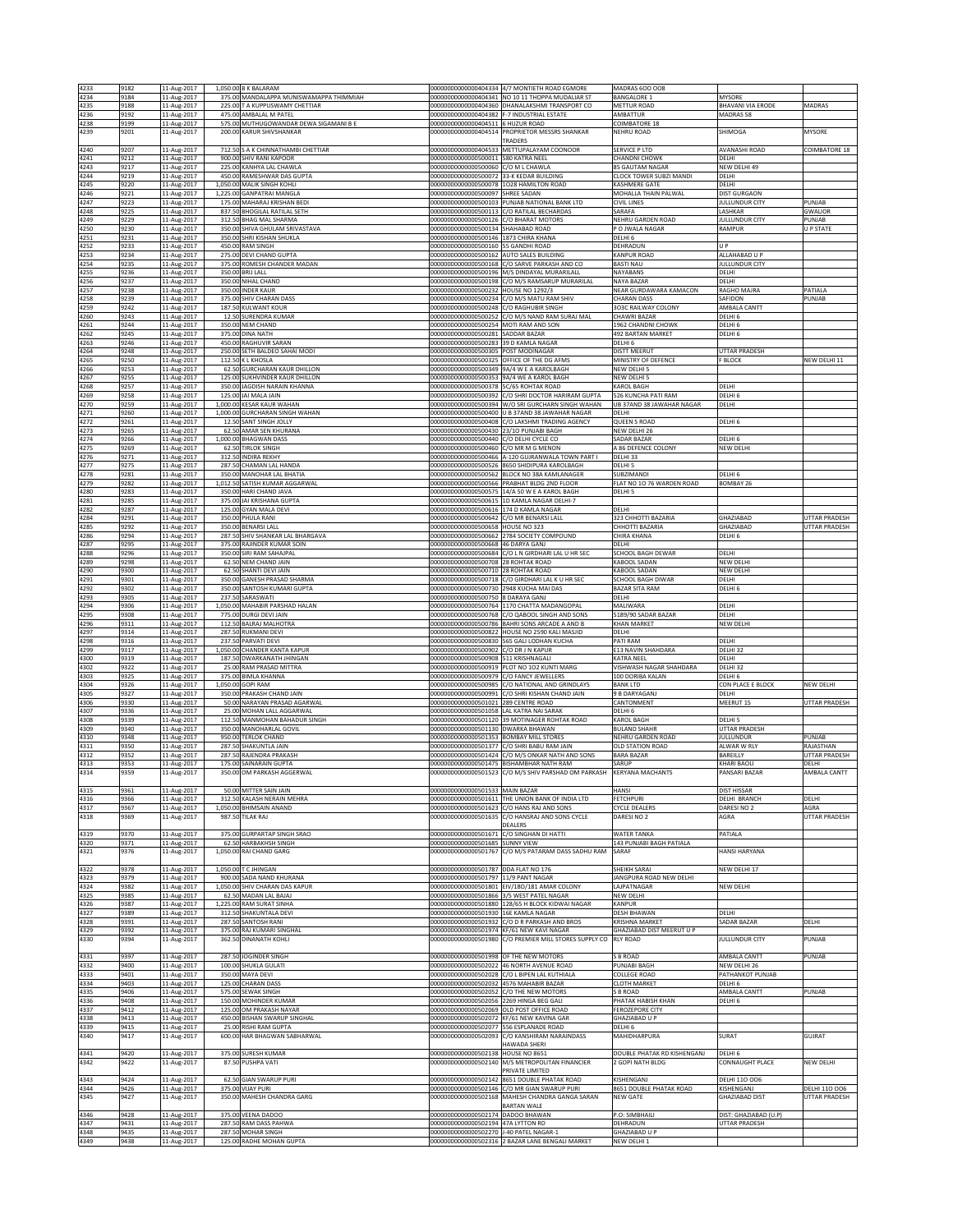| 4233                 | 9182         | 11-Aug-2017                               | 1,050.00 B K BALARAM                                                     |                                                                                      | 00000000000000404334 4/7 MONTIETH ROAD EGMORE                                                  | <b>MADRAS 600 008</b>                                  |                                        |                                   |
|----------------------|--------------|-------------------------------------------|--------------------------------------------------------------------------|--------------------------------------------------------------------------------------|------------------------------------------------------------------------------------------------|--------------------------------------------------------|----------------------------------------|-----------------------------------|
| 4234                 | 9184         | 11-Aug-2017                               | 375.00 MANDALAPPA MUNISWAMAPPA THIMMIAH                                  |                                                                                      | 000000000000000404341 NO 10 11 THOPPA MUDALIAR ST                                              | <b>BANGALORE 1</b>                                     | <b>MYSORE</b>                          |                                   |
| 4235                 | 9188         | 11-Aug-2017                               | 225.00 T A KUPPUSWAMY CHETTIAR                                           |                                                                                      | 00000000000000404360 DHANALAKSHMI TRANSPORT CO                                                 | METTUR ROAD                                            | BHAVANI VIA ERODE                      | MADRAS                            |
| 4236<br>4238         | 9192<br>9199 | 11-Aug-2017                               | 475.00<br>AMBALAL M PATEL<br>575.00                                      | 00000000000000404382 F-7 INDUSTRIAL ESTATE                                           |                                                                                                | AMBATTUR<br><b>COIMBATORE 18</b>                       | MADRAS 58                              |                                   |
| 4239                 | 9201         | 11-Aug-2017<br>11-Aug-2017                | MUTHUGOWANDAR DEWA SIGAMANI B E<br>200.00<br>KARUR SHIVSHANKAR           | 00000000000000404511 6 HUZUR ROAD<br>00000000000000404514                            | PROPRIETOR MESSRS SHANKAR                                                                      | <b>VEHRU ROAD</b>                                      | SHIMOGA                                | MYSORE                            |
|                      |              |                                           |                                                                          |                                                                                      | TRADERS                                                                                        |                                                        |                                        |                                   |
| 4240                 | 9207         | 11-Aug-2017                               | 712.5<br>S A K CHINNATHAMBI CHETTIAR                                     | 00000000000000404533                                                                 | METTUPALAYAM COONOOR                                                                           | SERVICE P LTD                                          | AVANASHI ROAD                          | <b>COIMBATORE 18</b>              |
| 4241                 | 9212         | 11-Aug-2017                               | 900.00<br><b>SHIV RANI KAPOOF</b>                                        | 000000000000000500011 580 KATRA NEE                                                  |                                                                                                | <b>HANDNI CHOWK</b>                                    | DELHI                                  |                                   |
| 4243                 | 9217         | 11-Aug-2017                               | 225.00<br>KANHYA LAL CHAWLA                                              | 000000000000000500060 C/O M L CHAWLA                                                 |                                                                                                | 85 GAUTAM NAGAR                                        | NEW DELHI 49                           |                                   |
| 4244<br>4245         | 9219<br>9220 | 11-Aug-2017<br>11-Aug-2017                | 450.00<br>RAMESHWAR DAS GUPTA<br>1,050.00<br>MALIK SINGH KOHLI           | 000000000000000500072 33-K KEDAR BUILDING<br>00000000000000500078 1O28 HAMILTON ROAD |                                                                                                | <b>CLOCK TOWER SUBZI MANDI</b><br><b>KASHMERE GATE</b> | DELHI<br>DELHI                         |                                   |
| 4246                 | 9221         | 11-Aug-2017                               | 1,225.00<br>GANPATRAI MANGLA                                             | 00000000000000500097                                                                 | <b>SHREE SADAN</b>                                                                             | MOHALLA THAIN PALWAL                                   | <b>DIST GURGAON</b>                    |                                   |
| 4247                 | 9223         | 11-Aug-2017                               | 175.0<br>MAHARAJ KRISHAN BEDI                                            | 00000000000000500103                                                                 | PUNJAB NATIONAL BANK LTD                                                                       | IVIL LINES                                             | ULLUNDUR CITY                          | UNJAB                             |
| 4248                 | 9225         | 11-Aug-2017                               | 837.5<br>BHOGILAL RATILAL SETH                                           |                                                                                      | 000000000000000500113 C/O RATILAL BECHARDAS                                                    | SARAFA                                                 | LASHKAR                                | GWALIOR                           |
| 4249                 | 9229         | 11-Aug-2017                               | 312.5<br>BHAG MAL SHARMA                                                 | 00000000000000500126                                                                 | C/O BHARAT MOTORS                                                                              | NEHRU GARDEN ROAD                                      | <b>IULLUNDUR CITY</b>                  | PUNJAB                            |
| 4250                 | 9230         | 11-Aug-2017                               | 350.00<br>SHIVA GHULAM SRIVASTAVA                                        | 000000000000000500134 SHAHABAD ROAD                                                  |                                                                                                | O JWALA NAGAR                                          | RAMPUR                                 | <b>U P STATE</b>                  |
| 4251                 | 9231         | 11-Aug-2017                               | 350.00<br>SHRI KISHAN SHUKLA                                             | 000000000000000500146 1873 CHIRA KHANA                                               |                                                                                                | DELHI <sub>6</sub>                                     |                                        |                                   |
| 4252<br>4253         | 9233         | 11-Aug-2017                               | 450.00 RAM SINGH<br>DEVI CHAND GUPTA                                     | 00000000000000500160 55 GANDHI ROAD                                                  |                                                                                                | DEHRADUN                                               | U P                                    |                                   |
| 4254                 | 9234<br>9235 | 11-Aug-2017<br>11-Aug-2017                | 275.00<br>375.00<br>ROMESH CHANDER MADAN                                 | 000000000000000500162 AUTO SALES BUILDING<br>88100000000000500168                    | C/O SARVE PARKASH AND CO                                                                       | KANPUR ROAD<br>BASTI NAU                               | ALLAHABAD U P<br>ULLUNDUR CITY         |                                   |
| 4255                 | 9236         | 11-Aug-2017                               | 350.00<br>BRIJ LALL                                                      | 00000000000000500196                                                                 | M/S DINDAYAL MURARILALL                                                                        | VAYABANS                                               | <b>DELHI</b>                           |                                   |
| 4256                 | 9237         | 11-Aug-2017                               | 350.00<br>NIHAL CHAND                                                    |                                                                                      | 000000000000000500198 C/O M/S RAMSARUP MURARILAL                                               | NAYA BAZAR                                             | DELHI                                  |                                   |
| 4257                 | 9238         | 11-Aug-2017                               | 350.00<br>INDER KAUR                                                     | 000000000000000500232 HOUSE NO 1292/3                                                |                                                                                                | <b>NEAR GURDAWARA KAMACON</b>                          | RAGHO MAJRA                            | PATIALA                           |
| 4258                 | 9239         | 11-Aug-2017                               | 375.0<br>SHIV CHARAN DASS                                                |                                                                                      | 00000000000000500234 C/O M/S MATU RAM SHIV                                                     | <b>CHARAN DASS</b>                                     | SAFIDON                                | PUNJAB                            |
| 4259                 | 9242         | 11-Aug-2017                               | 187.5<br>KULWANT KOUR                                                    | 00000000000000500248                                                                 | C/O RAGHUBIR SINGH                                                                             | 303C RAILWAY COLONY                                    | AMBALA CANTT                           |                                   |
| 4260                 | 9243         | 11-Aug-2017                               | 12.5<br>SURENDRA KUMAR                                                   | 0000000000000500252                                                                  | C/O M/S NAND RAM SURAJ MAL                                                                     | <b>HAWRI BAZAR</b>                                     | <b>DELHI6</b>                          |                                   |
| 4261<br>4262         | 9244<br>9245 | 11-Aug-2017<br>11-Aug-2017                | 350.00<br><b>NEM CHAND</b><br>375.00<br>DINA NATH                        | 000000000000000500254 MOTI RAM AND SON<br>00000000000000500281 SADDAR BAZAR          |                                                                                                | 1962 CHANDNI CHOWK                                     | DELHI 6<br>DELHI 6                     |                                   |
| 4263                 | 9246         | 11-Aug-2017                               | 450.00<br>RAGHUVIR SARAN                                                 | 00000000000000500283                                                                 | 39 D KAMLA NAGAR                                                                               | 492 BARTAN MARKET<br>DELHI 6                           |                                        |                                   |
| 4264                 | 9248         | 11-Aug-2017                               | 250.00<br>SETH BALDEO SAHAI MODI                                         | 00000000000000500305                                                                 | POST MODINAGAR                                                                                 | <b>JISTT MEERUT</b>                                    | <b>TTAR PRADESH</b>                    |                                   |
| 4265                 | 9250         | 11-Aug-2017                               | 112.5<br>K L KHOSLA                                                      | 00000000000000500325                                                                 | OFFICE OF THE DG AFMS                                                                          | MINISTRY OF DEFENCE                                    | <b>BLOCK</b>                           | NEW DELHI 11                      |
| 4266                 | 9253         | 11-Aug-2017                               | 62.5<br>GURCHARAN KAUR DHILLON                                           | 00000000000000500349                                                                 | 9A/4 W E A KAROLBAGH                                                                           | NEW DELHI 5                                            |                                        |                                   |
| 4267                 | 9255         | 11-Aug-2017                               | SUKHVINDER KAUR DHILLON<br>125.00                                        |                                                                                      | 000000000000000500353 9A/4 WE A KAROL BAGH                                                     | NEW DELHI 5                                            |                                        |                                   |
| 4268                 | 9257         | 11-Aug-2017                               | 350.00<br>JAGDISH NARAIN KHANNA                                          | 00000000000000500378 SC/65 ROHTAK ROAD                                               |                                                                                                | KAROL BAGH                                             | DELHI                                  |                                   |
| 4269                 | 9258         | 11-Aug-2017                               | 125.00 JAI MALA JAIN                                                     |                                                                                      | 00000000000000500392 C/O SHRI DOCTOR HARIRAM GUPTA                                             | 526 KUNCHA PATI RAM                                    | DELHI <sub>6</sub>                     |                                   |
| 4270<br>4271         | 9259<br>9260 | 11-Aug-2017<br>11-Aug-2017                | 1,000.00<br>KESAR KAUR WAHAN<br>1,000.00<br><b>SURCHARAN SINGH WAHAN</b> | 00000000000000500400                                                                 | 00000000000000500394 W/O SRI GURCHARN SINGH WAHAN<br>U B 37AND 38 JAWAHAR NAGAR                | UB 37AND 38 JAWAHAR NAGAR<br>DELHI                     | DELHI                                  |                                   |
| 4272                 | 9261         | 11-Aug-2017                               | 12.50<br><b>SANT SINGH JOLLY</b>                                         | 00000000000000500408                                                                 | C/O LAKSHMI TRADING AGENCY                                                                     | QUEEN S ROAD                                           | ELHI 6                                 |                                   |
| 4273                 | 9265         | 11-Aug-2017                               | AMAR SEN KHURANA<br>62.5                                                 | 00000000000000500430 23/10 PUNJABI BAGH                                              |                                                                                                | NEW DELHI 26                                           |                                        |                                   |
| 4274                 | 9266         | 11-Aug-2017                               | 1,000.0<br><b>BHAGWAN DASS</b>                                           | 00000000000000500440 C/O DELHI CYCLE CO                                              |                                                                                                | SADAR BAZAR                                            | DELHI <sub>6</sub>                     |                                   |
| 4275                 | 9269         | 11-Aug-2017                               | <b>TIRLOK SINGH</b><br>62.5                                              | 00000000000000500460                                                                 | C/O MR M G MENON                                                                               | <b>A 86 DEFENCE COLONY</b>                             | NEW DELH                               |                                   |
| 4276                 | 9271         | 11-Aug-2017                               | 312.50<br>INDIRA REKHY                                                   |                                                                                      | 00000000000000500466 A-120 GUJRANWALA TOWN PART I                                              | DELHI 33                                               |                                        |                                   |
| 4277                 | 9275         | 11-Aug-2017                               | 287.50<br>CHAMAN LAL HANDA                                               |                                                                                      | 000000000000000500526 8650 SHIDIPURA KAROLBAGH                                                 | DELHI 5                                                |                                        |                                   |
| 4278                 | 9281         | 11-Aug-2017                               | 350.00<br>MANOHAR LAL BHATIA                                             | 00000000000000500562                                                                 | BLOCK NO 38A KAMLANAGER                                                                        | SUBZIMANDI                                             | DELHI 6                                |                                   |
| 4279                 | 9282         | 11-Aug-2017                               | SATISH KUMAR AGGARWAL<br>1,012.50<br>350.0<br>HARI CHAND JAVA            | 00000000000000500566<br>0000000000000500575                                          | PRABHAT BLDG 2ND FLOOR<br>14/A 50 W E A KAROL BAGH                                             | LAT NO 10 76 WARDEN ROAD                               | <b>BOMBAY 26</b>                       |                                   |
| 4280<br>4281         | 9283<br>9285 | 11-Aug-2017<br>11-Aug-2017                | 375.00<br>JAI KRISHANA GUPTA                                             | 00000000000000500615                                                                 | 1D KAMLA NAGAR DELHI-7                                                                         | DELHI 5                                                |                                        |                                   |
| 4282                 | 9287         | 11-Aug-2017                               | 125.00<br>GYAN MALA DEVI                                                 | 00000000000000500616 174 D KAMLA NAGAR                                               |                                                                                                | DELHI                                                  |                                        |                                   |
| 4284                 | 9291         | 11-Aug-2017                               | 350.0<br>PHULA RANI                                                      | 00000000000000500642                                                                 | C/O MR BENARSI LALI                                                                            | 323 CHHOTTI BAZARIA                                    | <b>GHAZIABAD</b>                       | <b>UTTAR PRADESH</b>              |
| 4285                 | 9292         | 11-Aug-2017                               | 350.00<br>BENARSI LALL                                                   | 0000000000000500658                                                                  | HOUSE NO 323                                                                                   | HHOTTI BAZARIA                                         | GHAZIABAD                              | UTTAR PRADESH                     |
| 4286                 | 9294         | 11-Aug-2017                               | 287.5<br>SHIV SHANKAR LAL BHARGAVA                                       | 00000000000000500662                                                                 | 2784 SOCIETY COMPOUND                                                                          | CHIRA KHANA                                            | DELHI 6                                |                                   |
| 4287                 | 9295         | 11-Aug-2017                               | 375.00<br>RAJINDER KUMAR SOIN                                            | 00000000000000500668 46 DARYA GANJ                                                   |                                                                                                | DELHI                                                  |                                        |                                   |
| 4288                 | 9296         | 11-Aug-2017                               | 350.00<br>SIRI RAM SAHAJPAL                                              |                                                                                      | 000000000000000500684 C/O L N GIRDHARI LAL U HR SEC                                            | SCHOOL BAGH DEWAR                                      | DELHI                                  |                                   |
| 4289                 | 9298         | 11-Aug-2017                               | 62.50<br>NEM CHAND JAIN                                                  | 000000000000000500708 28 ROHTAK ROAD                                                 |                                                                                                | <b>ABOOL SADAN</b>                                     | NEW DELHI                              |                                   |
| 4290                 | 9300         | 11-Aug-2017                               | 62.5<br><b>SHANTI DEVI JAIN</b>                                          | 00000000000000500710 28 ROHTAK ROAD                                                  |                                                                                                | <b>ABOOL SADAN</b>                                     | NEW DELHI                              |                                   |
| 4291<br>4292         | 9301<br>9302 | 11-Aug-2017<br>11-Aug-2017                | 350.00<br>GANESH PRASAD SHARMA<br>SANTOSH KUMARI GUPTA<br>350.0          | 00000000000000500730 2948 KUCHA MAI DAS                                              | 000000000000000500718 C/O GIRDHARI LAL K U HR SEC                                              | SCHOOL BAGH DIWAR<br>BAZAR SITA RAM                    | DELHI<br>DELHI <sub>6</sub>            |                                   |
| 4293                 | 9305         | 11-Aug-2017                               | 237.5<br>SARASWATI                                                       | 00000000000000500750 8 DARAYA GANJ                                                   |                                                                                                | DELHI                                                  |                                        |                                   |
| 4294                 | 9306         | 11-Aug-2017                               | 1,050.0<br>MAHABIR PARSHAD HALAN                                         |                                                                                      | 000000000000000500764 1170 CHATTA MADANGOPAL                                                   | MALIWARA                                               | DELHI                                  |                                   |
| 4295                 | 9308         | 11-Aug-2017                               | 775.00 DURGI DEVI JAIN                                                   |                                                                                      | 000000000000000500768 C/O QABOOL SINGH AND SONS                                                | 5189/90 SADAR BAZAR                                    | DELHI                                  |                                   |
|                      | 9311         | 11-Aug-2017                               | 112.50<br>BALRAJ MALHOTRA                                                |                                                                                      | 000000000000000500786 BAHRI SONS ARCADE A AND B                                                | <b>CHAN MARKET</b>                                     | NEW DELHI                              |                                   |
| 4296                 |              |                                           |                                                                          |                                                                                      |                                                                                                |                                                        |                                        |                                   |
| 4297                 | 9314         | 11-Aug-2017                               | 287.5<br><b>RUKMANI DEVI</b>                                             | 00000000000000500822                                                                 | HOUSE NO 2590 KALI MASJID                                                                      | ELHI                                                   |                                        |                                   |
| 4298                 | 9316         | 11-Aug-2017                               | 237.5<br>ARVATI DEVI                                                     | 00000000000000500830                                                                 | 565 GALI LODHAN KUCHA                                                                          | ATI RAM                                                | <b>ELHI</b>                            |                                   |
| 4299                 | 9317         | 11-Aug-2017                               | 1,050.00<br>CHANDER KANTA KAPUR                                          | 000000000000000500902 C/O DR J N KAPUR                                               |                                                                                                | 13 NAVIN SHAHDARA                                      | DELHI 32                               |                                   |
| 4300                 | 9319         | 11-Aug-2017                               | 187.5<br>DWARKANATH JHINGAN                                              | 00000000000000500908 511 KRISHNAGALI                                                 |                                                                                                | KATRA NEEL                                             | DELHI                                  |                                   |
| 4302                 | 9322         | 11-Aug-2017                               | RAM PRASAD MITTRA<br>25.0                                                |                                                                                      | 000000000000000500919 PLOT NO 1O2 KUNTI MARG                                                   | VISHWASH NAGAR SHAHDARA                                | DELHI32                                |                                   |
| 4303<br>4304         | 9325<br>9326 | 11-Aug-2017                               | 375.00<br>BIMLA KHANNA<br>1,050.00 GOPI RAM                              | 00000000000000500979                                                                 | C/O FANCY JEWELLERS<br>000000000000000500985 C/O NATIONAL AND GRINDLAYS                        | 100 DORIBA KALAN<br><b>BANK LTD</b>                    | DELHI 6<br>CON PLACE E BLOCK           | NEW DELHI                         |
| 4305                 | 9327         | 11-Aug-2017<br>11-Aug-2017                | 350.00<br>PRAKASH CHAND JAIN                                             |                                                                                      | 000000000000000500991 C/O SHRI KISHAN CHAND JAIN                                               | 9 B DARYAGANJ                                          | DELHI                                  |                                   |
| 4306                 | 9330         | 11-Aug-2017                               | 50.00<br>NARAYAN PRASAD AGARWAI                                          | 000000000000000501021 289 CENTRE ROAD                                                |                                                                                                | <b>ANTONMENT</b>                                       | MEERUT 15                              | <b>JTTAR PRADESH</b>              |
| 4307                 | 9336         | 11-Aug-2017                               | 25.00<br>MOHAN LALL AGGARWAL                                             | 000000000000000501058 LAL KATRA NAI SARAK                                            |                                                                                                | DELHI <sub>6</sub>                                     |                                        |                                   |
| 4308                 | 9339         | 11-Aug-2017                               | 112.5<br>MANMOHAN BAHADUR SINGH                                          |                                                                                      | 000000000000000501120 39 MOTINAGER ROHTAK ROAD                                                 | KAROL BAGH                                             | DELHI 5                                |                                   |
| 4309                 | 9340         | 11-Aug-2017                               | 350.0<br>MANOHARLAL GOVIL                                                | 000000000000000501130 DWARKA BHAWAN                                                  |                                                                                                | <b>BULAND SHAHR</b>                                    | UTTAR PRADESH                          |                                   |
| 4310                 | 9348         | 11-Aug-2017                               | 950.0<br><b>TERLOK CHAND</b>                                             | 000000000000000501353 BOMBAY MILL STORES<br>0000000000000501377                      |                                                                                                | NEHRU GARDEN ROAD                                      | ULLUNDUR                               | PUNJAB                            |
| 4311<br>4312         | 9350<br>9352 | 11-Aug-2017<br>11-Aug-2017                | 287.5<br>HAKUNTLA JAIN<br>287.5<br>RAJENDRA PRAKASH                      |                                                                                      | C/O SHRI BABU RAM JAIN<br>000000000000000501424 C/O M/S ONKAR NATH AND SONS                    | <b>OLD STATION ROAD</b><br><b>BARA BAZAR</b>           | <b>NEWAR W REY</b><br><b>BAREILLY</b>  | RAJASTHAN<br><b>JTTAR PRADESH</b> |
| 4313                 | 9353         | 11-Aug-2017                               | 175.00 SAINARAIN GUPTA                                                   |                                                                                      | 00000000000000501475 BISHAMBHAR NATH RAM                                                       | SARUP                                                  | KHARI BAOLI                            | DELHI                             |
| 4314                 | 9359         | 11-Aug-2017                               | 350.00<br>OM PARKASH AGGERWAL                                            |                                                                                      | 000000000000000501523 C/O M/S SHIV PARSHAD OM PARKASH                                          | <b>KERYANA MACHANTS</b>                                | PANSARI BAZAR                          | AMBALA CANTT                      |
|                      |              |                                           |                                                                          |                                                                                      |                                                                                                |                                                        |                                        |                                   |
| 4315                 | 9361         | 11-Aug-2017                               | MITTER SAIN JAIN<br>50.00                                                | 00000000000000501533 MAIN BAZAR                                                      |                                                                                                | <b>HANSI</b>                                           | DIST HISSAR                            |                                   |
| 4316                 | 9366         | 11-Aug-2017                               | 312.50 KALASH NERAIN MEHRA                                               |                                                                                      | 000000000000000501611 THE UNION BANK OF INDIA LTD                                              | FETCHPURI                                              | DELHI BRANCH                           | DELHI                             |
| 4317                 | 9367         | 11-Aug-2017                               | <b>BHIMSAIN ANAND</b><br>1,050.00                                        |                                                                                      | 00000000000000501623 C/O HANS RAJ AND SONS<br>000000000000000501635 C/O HANSRAJ AND SONS CYCLE | <b>CYCLE DEALERS</b>                                   | DARESI NO 2                            | AGRA                              |
|                      | 9369         | 11-Aug-2017                               | 987.50<br>TILAK RAJ                                                      |                                                                                      | DEALERS                                                                                        | DARESI NO 2                                            | AGRA                                   | <b>UTTAR PRADESH</b>              |
| 4319                 | 9370         | 11-Aug-2017                               | 375.00 GURPARTAP SINGH SRAO                                              | 00000000000000501671 C/O SINGHAN DI HATTI                                            |                                                                                                | WATER TANKA                                            | PATIALA                                |                                   |
| 4320                 | 9371         | 11-Aug-2017                               | 62.50<br>HARBAKHSH SINGH                                                 | 000000000000000501685 SUNNY VIEW                                                     |                                                                                                | 143 PUNJABI BAGH PATIALA                               |                                        |                                   |
| 4321                 | 9376         | 11-Aug-2017                               | 1,050.00<br>RAI CHAND GARG                                               |                                                                                      | 000000000000000501767 C/O M/S PATARAM DASS SADHU RAM                                           | SARAF                                                  | <b>HANSI HARYANA</b>                   |                                   |
|                      |              |                                           |                                                                          |                                                                                      |                                                                                                |                                                        |                                        |                                   |
| 4322                 | 9378         | 11-Aug-2017                               | 1,050.00 T C JHINGAN                                                     | 00000000000000501787 DDA FLAT NO 176                                                 |                                                                                                | SHEIKH SARAI                                           | NEW DELHI 17                           |                                   |
| 4323                 | 9379         | 11-Aug-2017                               | SADA NAND KHURANA<br>900.00<br>SHIV CHARAN DAS KAPUR                     | 000000000000000501797 11/9 PANT NAGAR                                                | 000000000000000501801 EIV/18O/181 AMAR COLONY                                                  | <b>JANGPURA ROAD NEW DELHI</b>                         |                                        |                                   |
| 4318<br>4324<br>4325 | 9382<br>9385 | 11-Aug-2017<br>11-Aug-2017                | 1,050.00<br>MADAN LAL BAJAJ<br>62.50                                     |                                                                                      | 00000000000000501866 3/5 WEST PATEL NAGAR                                                      | AJPATNAGAR<br>NEW DELHI                                | NEW DELHI                              |                                   |
| 4326                 | 9387         | 11-Aug-2017                               | 1,225.00 RAM SURAT SINHA                                                 |                                                                                      | 00000000000000501880 128/65 H BLOCK KIDWAI NAGAR                                               | KANPUR                                                 |                                        |                                   |
| 4327                 | 9389         | 11-Aug-2017                               | SHAKUNTALA DEVI<br>312.50                                                | 000000000000000501930 16E KAMLA NAGAR                                                |                                                                                                | <b>DESH BHAWAN</b>                                     | DELHI                                  |                                   |
| 4328                 | 9391         | 11-Aug-2017                               | 287.50<br>SANTOSH RANI                                                   |                                                                                      | 000000000000000501932 C/O D R PARKASH AND BROS                                                 | KRISHNA MARKET                                         | <b>SADAR BAZAR</b>                     | DELHI                             |
| 4329                 | 9392         | 11-Aug-2017                               | RAJ KUMARI SINGHAL<br>375.00                                             |                                                                                      | 000000000000000501974 KF/61 NEW KAVI NAGAR                                                     | HAZIABAD DIST MEERUT U P                               |                                        |                                   |
| 4330                 | 9394         | 11-Aug-2017                               | 362.5<br>DINANATH KOHLI                                                  |                                                                                      | 00000000000000501980 C/O PREMIER MILL STORES SUPPLY CO                                         | <b>RLY ROAD</b>                                        | <b>IULLUNDUR CITY</b>                  | PUNJAB                            |
|                      |              |                                           |                                                                          |                                                                                      |                                                                                                |                                                        |                                        |                                   |
| 4331                 | 9397         | 11-Aug-2017                               | 287.50 JOGINDER SINGH                                                    | 000000000000000501998 OF THE NEW MOTORS                                              |                                                                                                | <b>SBROAD</b>                                          | AMBALA CANTT                           | PUNJAB                            |
| 4332<br>4333         | 9400<br>9401 | 11-Aug-2017<br>11-Aug-2017                | 100.00<br>SHUKLA GULATI<br>350.00 MAYA DEVI                              |                                                                                      | 00000000000000502022 46 NORTH AVENUE ROAD<br>000000000000000502028 C/O L BIPEN LAL KUTHIALA    | PUNJABI BAGH<br>COLLEGE ROAD                           | NEW DELHI 26<br>PATHANKOT PUNJAB       |                                   |
| 4334                 | 9403         | 11-Aug-2017                               | 125.00 CHARAN DASS                                                       | 000000000000000502032 4576 MAHABIR BAZAR                                             |                                                                                                | <b>CLOTH MARKET</b>                                    | DELHI 6                                |                                   |
| 4335                 | 9406         | 11-Aug-2017                               | <b>SEWAK SINGH</b><br>575.00                                             | 00000000000000502052 C/O THE NEW MOTORS                                              |                                                                                                | <b>B ROAD</b>                                          | AMBALA CANTT                           | PUNJAB                            |
| 4336                 | 9408         | 11-Aug-2017                               | 150.00 MOHINDER KUMAR                                                    | 00000000000000502056 2269 HINGA BEG GALI                                             |                                                                                                | HATAK HABISH KHAN                                      | DELHI 6                                |                                   |
| 4337                 | 9412         | 11-Aug-2017                               | OM PRAKASH NAYAR<br>125.00                                               | 00000000000000502069 OLD POST OFFICE ROAD                                            |                                                                                                | <b>EROZEPORE CITY</b>                                  |                                        |                                   |
| 4338                 | 9413         | 11-Aug-2017                               | 450.00 BISHAN SWARUP SINGHAL                                             |                                                                                      | 000000000000000502072 KF/61 NEW KAVINA GAR                                                     | GHAZIABAD U P                                          |                                        |                                   |
| 4339                 | 9415         | 11-Aug-2017                               | <b>RISHI RAM GUPTA</b><br>25.00                                          | 00000000000000502077 556 ESPLANADE ROAD                                              |                                                                                                | DELHI <sub>6</sub>                                     |                                        |                                   |
| 4340                 | 9417         | 11-Aug-2017                               | 600.00<br>HAR BHAGWAN SABHARWAL                                          |                                                                                      | 00000000000000502093 C/O KANSHIRAM NARAINDASS                                                  | MAHIDHARPURA                                           | SURAT                                  | GUJRAT                            |
| 4341                 | 9420         | 11-Aug-2017                               | 375.00 SURESH KUMAR                                                      | 00000000000000502138 HOUSE NO 8651                                                   | HAWADA SHERI                                                                                   | DOUBLE PHATAK RD KISHENGANJ                            | DELHI 6                                |                                   |
| 4342                 | 9422         | 11-Aug-2017                               | 87.50 PUSHPA VATI                                                        |                                                                                      | 00000000000000502140 M/S METROPOLITAN FINANCIER                                                | 2 GOPI NATH BLDG                                       | CONNAUGHT PLACE                        | NEW DELHI                         |
|                      |              |                                           |                                                                          |                                                                                      | PRIVATE LIMITED                                                                                |                                                        |                                        |                                   |
| 4343                 | 9424         | 11-Aug-2017                               | <b>GIAN SWARUP PURI</b><br>62.50                                         |                                                                                      | 00000000000000502142 8651 DOUBLE PHATAK ROAD                                                   | <b>ISHENGANJ</b>                                       | <b>DELHI 110 006</b>                   |                                   |
| 4344                 | 9426         | 11-Aug-2017                               | 375.00 VIJAY PURI                                                        |                                                                                      | 000000000000000502146 C/O MR GIAN SWARUP PURI                                                  | 8651 DOUBLE PHATAK ROAD                                | KISHENGANJ                             | DELHI 110 006                     |
| 4345                 | 9427         | 11-Aug-2017                               | MAHESH CHANDRA GARG<br>350.00                                            |                                                                                      | 00000000000000502168 MAHESH CHANDRA GANGA SARAN                                                | NEW GATE                                               | <b>GHAZIABAD DIST</b>                  | <b>UTTAR PRADESH</b>              |
|                      |              |                                           |                                                                          |                                                                                      | <b>BARTAN WALE</b>                                                                             |                                                        |                                        |                                   |
| 4346<br>4347         | 9428<br>9431 | 11-Aug-2017                               | 375.00 VEENA DADOO<br>287.50 RAM DASS PAHWA                              | 00000000000000502174 DADOO BHAWAN<br>00000000000000502194 47A LYTTON RD              |                                                                                                | .O: SIMBHAILI<br>DEHRADUN                              | DIST: GHAZIABAD (U.P)<br>UTTAR PRADESH |                                   |
| 4348<br>4349         | 9435<br>9438 | 11-Aug-2017<br>11-Aug-2017<br>11-Aug-2017 | 287.50<br>MOHAR SINGH<br>125.00 RADHE MOHAN GUPTA                        | 00000000000000502270 J-40 PATEL NAGAR-1                                              | 00000000000000502316 2 BAZAR LANE BENGALI MARKET                                               | <b>GHAZIABAD U P</b><br>NEW DELHI 1                    |                                        |                                   |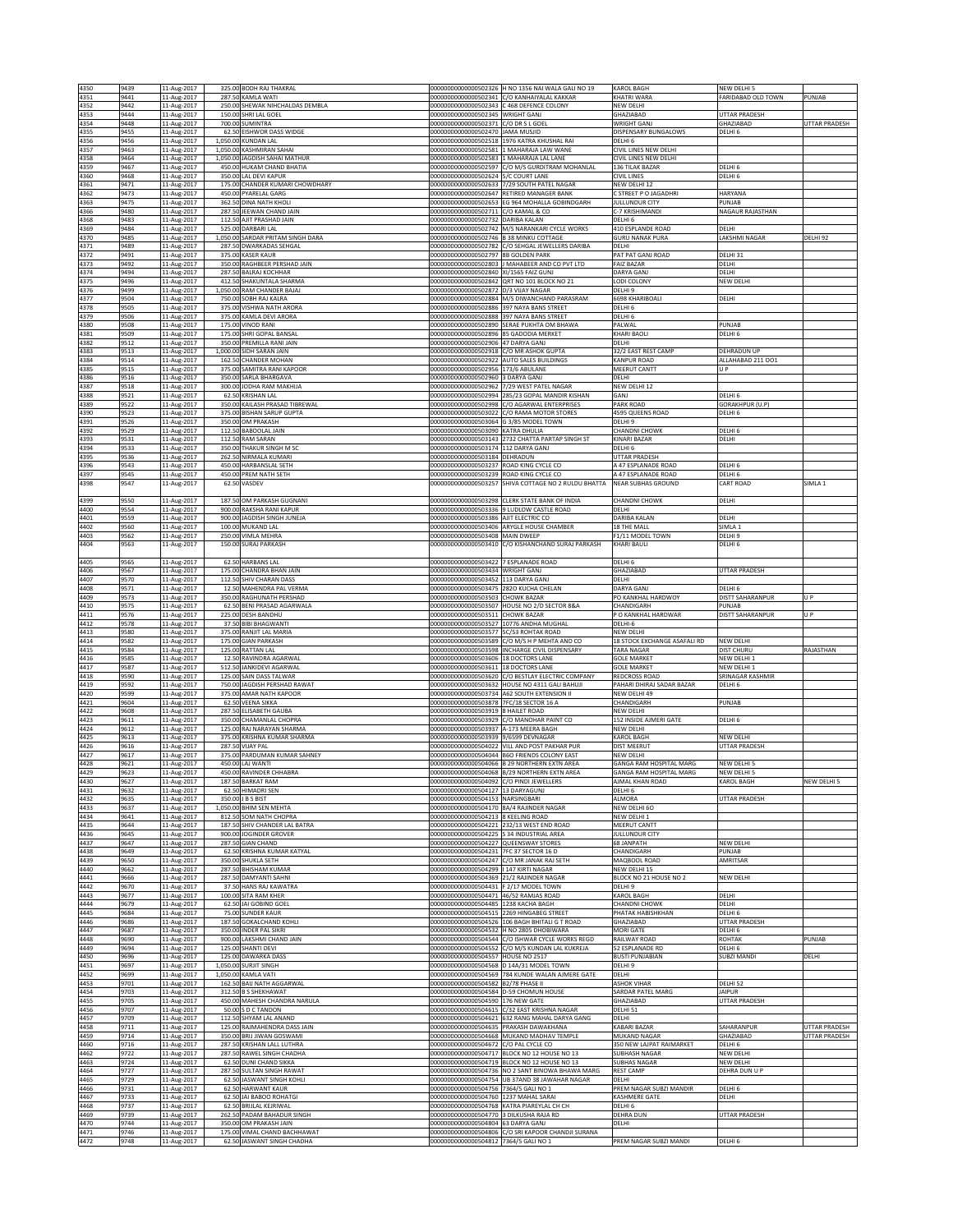| 4350         | 9439         | 11-Aug-2017                          | 325.00 BODH RAJ THAKRAL                                 |                                                                                    | 00000000000000502326 H NO 1356 NAI WALA GALI NO 19                                             | KAROL BAGH                                 | <b>IEW DELHI 5</b>                       |                           |
|--------------|--------------|--------------------------------------|---------------------------------------------------------|------------------------------------------------------------------------------------|------------------------------------------------------------------------------------------------|--------------------------------------------|------------------------------------------|---------------------------|
| 4351         | 9441         | 11-Aug-2017                          | 287.50 KAMLA WATI                                       |                                                                                    | 00000000000000502341 C/O KANHAIYALAL KAKKAR                                                    | KHATRI WARA                                | ARIDABAD OLD TOWN                        | PUNJAB                    |
| 4352         | 9442         | 11-Aug-2017                          | 250.00 SHEWAK NIHCHALDAS DEMBLA                         |                                                                                    | 00000000000000502343 C 468 DEFENCE COLONY                                                      | NEW DELHI                                  |                                          |                           |
| 4353         | 9444         | 11-Aug-2017                          | 150.00 SHRI LAL GOEL                                    | 00000000000000502345 WRIGHT GANJ                                                   |                                                                                                | GHAZIABAD                                  | <b>JTTAR PRADESH</b>                     |                           |
| 4354         | 9448         | 11-Aug-2017                          | 700.00 SUMINTRA                                         | 00000000000000502371                                                               | C/O DR S L GOEI                                                                                | WRIGHT GANJ                                | <b>HAZIABAD</b>                          | UTTAR PRADESH             |
| 4355         | 9455         | 11-Aug-2017                          | 62.50 EISHWOR DASS WIDGE                                | 00000000000000502470 JAMA MUSJID                                                   |                                                                                                | DISPENSARY BUNGALOWS<br>DELHI 6            | DELHI 6                                  |                           |
| 4356<br>4357 | 9456<br>9463 | 11-Aug-2017<br>11-Aug-2017           | 1,050.00 KUNDAN LAL<br>1,050.00 KASHMIRAN SAHAI         |                                                                                    | 00000000000000502518 1976 KATRA KHUSHAL RAI<br>00000000000000502581 1 MAHARAJA LAW WANE        | CIVIL LINES NEW DELHI                      |                                          |                           |
| 4358         | 3464         | 11-Aug-2017                          | 1,050.00 JAGDISH SAHAI MATHUR                           | 0000000000000502583                                                                | 1 MAHARAJA LAL LANE                                                                            | CIVIL LINES NEW DELHI                      |                                          |                           |
| 4359         | 9467         | 11-Aug-2017                          | 450.00 HUKAM CHAND BHATIA                               |                                                                                    | 00000000000000502597 C/O M/S GURDITRAM MOHANLAL                                                | 136 TILAK BAZAR                            | DELHI 6                                  |                           |
| 4360         | 9468         | 11-Aug-2017                          | 350.00 LAL DEVI KAPUR                                   | 00000000000000502624 5/C COURT LANE                                                |                                                                                                | <b>CIVIL LINES</b>                         | DELHI <sub>6</sub>                       |                           |
| 4361         | 9471         | 11-Aug-2017                          | 175.00 CHANDER KUMARI CHOWDHARY                         | 00000000000000502633                                                               | 7/29 SOUTH PATEL NAGAR                                                                         | NEW DELHI 12                               |                                          |                           |
| 4362<br>4363 | 9473<br>9475 | 11-Aug-2017<br>11-Aug-2017           | 450.00 PYARELAL GARG<br>362.50 DINA NATH KHOLI          |                                                                                    | 00000000000000502647 RETIRED MANAGER BANK<br>00000000000000502653 EG 964 MOHALLA GOBINDGARH    | C STREET P O JAGADHRI<br>JULLUNDUR CITY    | <b>IARYANA</b><br>UNJAB                  |                           |
| 4366         | 9480         | 11-Aug-2017                          | 287.50 JEEWAN CHAND JAIN                                | 00000000000000502711 C/O KAMAL & CO                                                |                                                                                                | C-7 KRISHIMANDI                            | <b>VAGAUR RAJASTHAN</b>                  |                           |
| 4368         | 3483         | 11-Aug-2017                          | 112.50 AJIT PRASHAD JAIN                                | 00000000000000502732 DARIBA KALAN                                                  |                                                                                                | DELHI <sub>6</sub>                         |                                          |                           |
| 4369         | 9484         | 11-Aug-2017                          | 525.00 DARBARI LAL                                      |                                                                                    | 00000000000000502742 M/S NARANKARI CYCLE WORKS                                                 | 410 ESPLANDE ROAD                          | ELHI                                     |                           |
| 4370         | 9485         | 11-Aug-2017                          | 1,050.00 SARDAR PRITAM SINGH DARA                       | 00000000000000502746 B 38 MINKU COTTAGE                                            |                                                                                                | <b>GURU NANAK PURA</b>                     | AKSHMI NAGAR                             | DELHI 92                  |
| 4371<br>4372 | 9489<br>9491 | 11-Aug-2017<br>11-Aug-2017           | 287.50 DWARKADAS SEHGAL<br>375.00 KASER KAUR            | 00000000000000502797 8B GOLDEN PARK                                                | 00000000000000502782 C/O SEHGAL JEWELLERS DARIBA                                               | DELHI<br>PAT PAT GANJ ROAD                 | DELHI 31                                 |                           |
| 4373         | 9492         | 11-Aug-2017                          | 350.00 RAGHBEER PERSHAD JAIN                            |                                                                                    | 00000000000000502803 J MAHABEER AND CO PVT LTD                                                 | <b>FAIZ BAZAR</b>                          | <b>DELHI</b>                             |                           |
| 4374         | 9494         | 11-Aug-2017                          | 287.50 BALRAJ KOCHHAR                                   | 00000000000000502840 XI/1565 FAIZ GUNJ                                             |                                                                                                | DARYA GANJ                                 | <b>DELHI</b>                             |                           |
| 4375         | 9496         | 11-Aug-2017                          | 412.50 SHAKUNTALA SHARMA                                |                                                                                    | 00000000000000502842 QRT NO 101 BLOCK NO 21                                                    | LODI COLONY                                | <b>VEW DELHI</b>                         |                           |
| 4376         | 9499         | 11-Aug-2017                          | 1,050.00 RAM CHANDER BAJAJ                              | 00000000000000502872 D/3 VIJAY NAGAR                                               |                                                                                                | DELHI 9                                    |                                          |                           |
| 4377<br>4378 | 3504<br>3505 | 11-Aug-2017<br>11-Aug-2017<br>375.00 | 750.00 SOBH RAJ KALRA<br>VISHWA NATH ARORA              |                                                                                    | 000000000000000502884 M/S DIWANCHAND PARASRAM<br>00000000000000502886 397 NAYA BANS STREET     | 6698 KHARIBOALI<br>DELHI <sub>6</sub>      | ELHI                                     |                           |
| 4379         | 9506         | 11-Aug-2017                          | 375.00 KAMLA DEVI ARORA                                 | 00000000000000502888 397 NAYA BANS STREET                                          |                                                                                                | DELHI 6                                    |                                          |                           |
| 4380         | 9508         | 11-Aug-2017                          | 175.00 VINOD RANI                                       |                                                                                    | 000000000000000502890 SERAE PUKHTA OM BHAWA                                                    | PALWAL                                     | PUNJAB                                   |                           |
| 4381         | 9509         | 11-Aug-2017                          | 175.00 SHRI GOPAL BANSAL                                | 00000000000000502896 85 GADODIA MERKET                                             |                                                                                                | KHARI BAOLI                                | DELHI <sub>6</sub>                       |                           |
| 4382         | 9512         | 11-Aug-2017                          | 350.00 PREMILLA RANI JAIN                               | 00000000000000502906 47 DARYA GANJ                                                 |                                                                                                | DELHI                                      |                                          |                           |
| 4383         | 9513         | 11-Aug-2017                          | 1,000.00 SIDH SARAN JAIN                                | 00000000000000502918 C/O MR ASHOK GUPTA                                            |                                                                                                | 32/2 EAST REST CAMP                        | DEHRADUN UP                              |                           |
| 4384<br>4385 | 9514<br>9515 | 11-Aug-2017<br>11-Aug-2017           | 162.50 CHANDER MOHAN<br>375.00 SAMITRA RANI KAPOOR      | 00000000000000502922<br>00000000000000502956 173/6 ABULANE                         | <b>AUTO SALES BUILDINGS</b>                                                                    | KANPUR ROAD<br>MEERUT CANTT                | ALLAHABAD 211 001<br>U P                 |                           |
| 4386         | 3516         | 11-Aug-2017<br>350.00                | SARLA BHARGAVA                                          | 0000000000000502960                                                                | 3 DARYA GANJ                                                                                   | DELHI                                      |                                          |                           |
| 4387         | 9518         | 11-Aug-2017                          | 300.00 JODHA RAM MAKHIJA                                |                                                                                    | 00000000000000502962 7/29 WEST PATEL NAGAR                                                     | NEW DELHI 12                               |                                          |                           |
| 4388         | 9521         | 11-Aug-2017                          | 62.50 KRISHAN LAL                                       |                                                                                    | 00000000000000502994 285/23 GOPAL MANDIR KISHAN                                                | GANJ                                       | DELHI 6                                  |                           |
| 4389         | 9522         | 11-Aug-2017                          | 350.00 KAILASH PRASAD TIBREWAL                          | 00000000000000502998                                                               | C/O AGARWAL ENTERPRISES                                                                        | PARK ROAD                                  | <b>CORAKHPUR (U.P.</b>                   |                           |
| 4390<br>4391 | 9523<br>9526 | 11-Aug-2017<br>11-Aug-2017           | 375.00 BISHAN SARUP GUPTA<br>350.00 OM PRAKASH          | 00000000000000503022<br>00000000000000503064 G 3/85 MODEL TOWN                     | C/O RAMA MOTOR STORES                                                                          | 4595 QUEENS ROAD<br>DELHI 9                | <b>DELHI 6</b>                           |                           |
| 4392         | 9529         | 11-Aug-2017                          | 112.50 BABOOLAL JAIN                                    | 00000000000000503090 KATRA DHULIA                                                  |                                                                                                | <b>CHANDNI CHOWK</b>                       | <b>DELHI 6</b>                           |                           |
| 4393         | 9531         | 11-Aug-2017                          | 112.50 RAM SARAN                                        |                                                                                    | 00000000000000503143 2732 CHATTA PARTAP SINGH ST                                               | KINARI BAZAR                               | DELHI                                    |                           |
| 4394         | 9533         | 11-Aug-2017                          | 350.00 THAKUR SINGH M SC                                | 00000000000000503174 112 DARYA GANJ                                                |                                                                                                | DELHI 6                                    |                                          |                           |
| 4395         | 9536         | 11-Aug-2017                          | 262.50 NIRMALA KUMARI                                   | 00000000000000503184 DEHRADUN                                                      |                                                                                                | <b>UTTAR PRADESH</b>                       |                                          |                           |
| 4396<br>4397 | 9543<br>9545 | 11-Aug-2017<br>11-Aug-2017           | 450.00 HARBANSLAL SETH<br>450.00 PREM NATH SETH         | 00000000000000503237 ROAD KING CYCLE CO<br>00000000000000503239 ROAD KING CYCLE CO |                                                                                                | A 47 ESPLANADE ROAD<br>A 47 ESPLANADE ROAD | <b>DELHI 6</b><br>DELHI <sub>6</sub>     |                           |
| 4398         | 9547         | 11-Aug-2017                          | 62.50 VASDEV                                            | 00000000000000503257                                                               | SHIVA COTTAGE NO 2 RULDU BHATTA                                                                | <b>NEAR SUBHAS GROUND</b>                  | <b>CART ROAD</b>                         | SIMLA 1                   |
|              |              |                                      |                                                         |                                                                                    |                                                                                                |                                            |                                          |                           |
| 4399         | 9550         | 11-Aug-2017                          | 187.50 OM PARKASH GUGNANI                               |                                                                                    | 000000000000000503298 CLERK STATE BANK OF INDIA                                                | <b>CHANDNI CHOWK</b>                       | DELHI                                    |                           |
| 4400         | 9554         | 11-Aug-2017<br>900.00                | RAKSHA RANI KAPUR                                       | 0000000000000503336                                                                | 9 LUDLOW CASTLE ROAD                                                                           | DELHI                                      |                                          |                           |
| 4401<br>4402 | 3559         | 11-Aug-2017<br>11-Aug-2017           | 900.00 JAGDISH SINGH JUNEJA<br>100.00 MUKAND LAL        | 0000000000000503386<br>0000000000000503406                                         | AJIT ELECTRIC CO                                                                               | DARIBA KALAN                               | ELHI                                     |                           |
| 4403         | 9560<br>9562 | 11-Aug-2017                          | 250.00 VIMLA MEHRA                                      | 00000000000000503408 MAIN DWEEP                                                    | ARYGLE HOUSE CHAMBER                                                                           | 18 THE MALL<br>F1/11 MODEL TOWN            | IMLA 1<br><b>DELHI9</b>                  |                           |
| 4404         | 9563         | 11-Aug-2017                          | 150.00 SURAJ PARKASH                                    |                                                                                    | 00000000000000503410 C/O KISHANCHAND SURAJ PARKASH                                             | KHARI BAULI                                | DELHI 6                                  |                           |
|              |              |                                      |                                                         |                                                                                    |                                                                                                |                                            |                                          |                           |
| 4405         | 9565         | 11-Aug-2017                          | 62.50 HARBANS LAL                                       | 000000000000000503422 7 ESPLANADE ROAD                                             |                                                                                                | DELHI 6                                    |                                          |                           |
| 4406         | 9567         | 11-Aug-2017                          | 175.00 CHANDRA BHAN JAIN                                | 00000000000000503434 WRIGHT GANJ                                                   |                                                                                                | GHAZIABAD                                  | <b>JTTAR PRADESH</b>                     |                           |
| 4407<br>4408 | 9570<br>9571 | 11-Aug-2017<br>11-Aug-2017           | 112.50 SHIV CHARAN DASS<br>12.50 MAHENDRA PAL VERMA     | 00000000000000503452 113 DARYA GANJ<br>00000000000000503475                        | 2820 KUCHA CHELAN                                                                              | DELHI<br><b>DARYA GANJ</b>                 | ELHI <sub>6</sub>                        |                           |
| 4409         | 9573         | 11-Aug-2017                          | 350.00 RAGHUNATH PERSHAD                                | 0000000000000503503                                                                | CHOWK BAZAR                                                                                    | PO KANKHAL HARDWOY                         | <b>ISTT SAHARANPUR</b>                   | U P                       |
| 4410         | 9575         | 11-Aug-2017                          | 62.50 BENI PRASAD AGARWALA                              | 00000000000000503507                                                               | HOUSE NO 2/D SECTOR 8&A                                                                        | CHANDIGARH                                 | PUNJAB                                   |                           |
| 4411         | 9576         | 11-Aug-2017                          | 225.00 DESH BANDHU                                      | 00000000000000503511 CHOWK BAZAR                                                   |                                                                                                | P O KANKHAL HARDWAR                        | <b>DISTT SAHARANPUR</b>                  | $\mathbf{U}$ $\mathbf{P}$ |
| 4412         | 9578         | 11-Aug-2017                          | 37.50 BIBI BHAGWANTI                                    | 0000000000000503527                                                                | 10776 ANDHA MUGHAL                                                                             | DELHI-6                                    |                                          |                           |
| 4413<br>4414 | 9580<br>9582 | 11-Aug-2017<br>11-Aug-2017           | 375.00 RANJIT LAL MARIA<br>175.00 GIAN PARKASH          | 00000000000000503577                                                               | <b>5C/53 ROHTAK ROAD</b><br>000000000000000503589 C/O M/S H P MEHTA AND CO                     | NEW DELHI<br>18 STOCK EXCHANGE ASAFALI RD  | NEW DELHI                                |                           |
| 4415         | 9584         | 11-Aug-2017                          | 125.00 RATTAN LAL                                       | 00000000000000503598                                                               | INCHARGE CIVIL DISPENSARY                                                                      | <b>TARA NAGAR</b>                          | <b>DIST CHURU</b>                        | RAJASTHAN                 |
| 4416         | 9585         | 11-Aug-2017                          | 12.50 RAVINDRA AGARWAL                                  | 00000000000000503606 18 DOCTORS LANE                                               |                                                                                                | <b>GOLE MARKET</b>                         | <b>IEW DELHI 1</b>                       |                           |
| 4417         | 9587         | 11-Aug-2017                          | 512.50 JANKIDEVI AGARWAL                                | 0000000000000503611                                                                | 18 DOCTORS LANE                                                                                | <b>GOLE MARKET</b>                         | <b>JEW DELHI 1</b>                       |                           |
| 4418         | 9590         | 11-Aug-2017                          | 125.00 SAIN DASS TALWAR                                 |                                                                                    | 00000000000000503620 C/O BESTLAY ELECTRIC COMPANY                                              | <b>REDCROSS ROAD</b>                       | SRINAGAR KASHMIR                         |                           |
| 4419<br>4420 | 9592<br>9599 | 11-Aug-2017<br>11-Aug-2017           | 750.00 JAGDISH PERSHAD RAWAT<br>375.00 AMAR NATH KAPOOR |                                                                                    | 00000000000000503632 HOUSE NO 4311 GALI BAHUJI<br>00000000000000503734 A62 SOUTH EXTENSION II  | PAHARI DHIRAJ SADAR BAZAR<br>NEW DELHI 49  | DELHI 6                                  |                           |
| 4421         | 9604         | 11-Aug-2017                          | 62.50 VEENA SIKKA                                       | 00000000000000503878 7FC/18 SECTOR 16 A                                            |                                                                                                | CHANDIGARH                                 | UNJAB                                    |                           |
| 4422         | 9608         | 11-Aug-2017                          | 287.50 ELISABETH GAUBA                                  | 00000000000000503919 8 HAILET ROAD                                                 |                                                                                                | NEW DELHI                                  |                                          |                           |
| 4423         | 9611         | 11-Aug-2017                          | 350.00 CHAMANLAL CHOPRA                                 |                                                                                    | 00000000000000503929 C/O MANOHAR PAINT CO                                                      | 152 INSIDE AJMERI GATE                     | DELHI 6                                  |                           |
| 4424         | 9612         | 11-Aug-2017                          | 125.00 RAI NARAYAN SHARMA                               | 00000000000000503937                                                               | A-173 MEERA BAGH                                                                               | NEW DELHI                                  |                                          |                           |
| 4425         | 9613         | 11-Aug-2017<br>375.00                | KRISHNA KUMAR SHARMA                                    | 0000000000000503939                                                                | 9/6599 DEVNAGAR                                                                                | KAROL BAGH<br><b>DIST MEERUT</b>           | <b>IEW DELHI</b><br><b>ITTAR PRADESH</b> |                           |
| 4426<br>4427 | 3616<br>9617 | 11-Aug-2017<br>287.50<br>11-Aug-2017 | <b>VIJAY PAL</b><br>375.00 PARDUMAN KUMAR SAHNEY        | 0000000000000504022                                                                | VILL AND POST PAKHAR PUR<br>00000000000000504044 B6O FRIENDS COLONY EAST                       | NEW DELHI                                  |                                          |                           |
| 4428         | 9621         | 11-Aug-2017                          | 450.00 LAJ WANTI                                        |                                                                                    | 000000000000000504066 B 29 NORTHERN EXTN AREA                                                  | GANGA RAM HOSPITAL MARG                    | NEW DELHI 5                              |                           |
| 4429         | 9623         | 11-Aug-2017                          | 450.00 RAVINDER CHHABRA                                 |                                                                                    | 00000000000000504068 B/29 NORTHERN EXTN AREA                                                   | <b>GANGA RAM HOSPITAL MARG</b>             | NEW DELHI 5                              |                           |
| 4430         | 9627         | 11-Aug-2017                          | 187.50 BARKAT RAM                                       | 00000000000000504092 C/O PINDI JEWELLERS                                           |                                                                                                | AJMAL KHAN ROAD                            | <b>KAROL BAGH</b>                        | NEW DELHI 5               |
| 4431         | 9632         | 11-Aug-2017                          | 62.50 HIMADRI SEN                                       | 00000000000000504127 13 DARYAGUNJ                                                  |                                                                                                | DELHI 6                                    |                                          |                           |
| 4432<br>4433 | 9635<br>9637 | 11-Aug-2017<br>11-Aug-2017           | 350.00 J B S BIST<br>1,050.00 BHIM SEN MEHTA            | 000000000000000504153 NARSINGBARI<br>000000000000000504170 8A/4 RAJINDER NAGAR     |                                                                                                | ALMORA<br>NEW DELHI 60                     | <b>UTTAR PRADESH</b>                     |                           |
| 4434         | 9641         | 11-Aug-2017                          | 812.50 SOM NATH CHOPRA                                  | 00000000000000504213 8 KEELING ROAD                                                |                                                                                                | NEW DELHI 1                                |                                          |                           |
| 4435         | 9644         | 11-Aug-2017                          | 187.50 SHIV CHANDER LAL BATRA                           |                                                                                    | 00000000000000504221 232/13 WEST END ROAD                                                      | MEERUT CANTT                               |                                          |                           |
| 4436         | 9645         | 11-Aug-2017                          | 900.00 JOGINDER GROVER                                  | 000000000000000504225 S 34 INDUSTRIAL AREA                                         |                                                                                                | <b>JULLUNDUR CITY</b>                      |                                          |                           |
| 4437         | 9647         | 11-Aug-2017                          | 287.50 GIAN CHAND                                       | 00000000000000504227 QUEENSWAY STORES<br>00000000000000504231 7FC 37 SECTOR 16 D   |                                                                                                | 68 JANPATH                                 | NEW DELHI                                |                           |
| 4438<br>4439 | 9649<br>9650 | 11-Aug-2017<br>11-Aug-2017           | 62.50 KRISHNA KUMAR KATYAL<br>350.00 SHUKLA SETH        |                                                                                    | 000000000000000504247 C/O MR JANAK RAJ SETH                                                    | CHANDIGARH<br>MAQBOOL ROAD                 | UNJAB<br>AMRITSAR                        |                           |
| 4440         | 9662         | 11-Aug-2017                          | 287.50 BHISHAM KUMAR                                    | 000000000000000504299 147 KIRTI NAGAR                                              |                                                                                                | NEW DELHI 15                               |                                          |                           |
| 4441         | 9666         | 11-Aug-2017                          | 287.50 DAMYANTI SAHNI                                   | 00000000000000504369 21/2 RAJINDER NAGAR                                           |                                                                                                | BLOCK NO 21 HOUSE NO 2                     | <b>VEW DELHI</b>                         |                           |
| 4442         | 9670         | 11-Aug-2017                          | 37.50 HANS RAJ KAWATRA                                  | 00000000000000504431 F 2/17 MODEL TOWN                                             |                                                                                                | DELHI 9                                    |                                          |                           |
| 4443<br>4444 | 9677<br>9679 | 11-Aug-2017<br>11-Aug-2017           | 100.00 SITA RAM KHER<br>62.50 JAI GOBIND GOEL           | 00000000000000504471 46/52 RAMJAS ROAD<br>00000000000000504485 1238 KACHA BAGH     |                                                                                                | KAROL BAGH<br><b>CHANDNI CHOWK</b>         | DELHI<br>DELHI                           |                           |
| 4445         | 9684         | 11-Aug-2017                          | 75.00 SUNDER KAUR                                       | 00000000000000504515 2269 HINGABEG STREET                                          |                                                                                                | PHATAK HABISHKHAN                          | DELHI <sub>6</sub>                       |                           |
| 4446         | 9686         | 11-Aug-2017                          | 187.50 GOKALCHAND KOHLI                                 |                                                                                    | 000000000000000504526 106 BAGH BHITALI G T ROAD                                                | GHAZIABAD                                  | <b>JTTAR PRADESH</b>                     |                           |
| 4447         | 9687         | 11-Aug-2017                          | 350.00 INDER PAL SIKRI                                  |                                                                                    | 000000000000000504532 H NO 2805 DHOBIWARA                                                      | MORI GATE                                  | <b>DELHI 6</b>                           |                           |
| 4448         | 9690         | 11-Aug-2017                          | 900.00 LAKSHMI CHAND JAIN                               |                                                                                    | 000000000000000504544 C/O ISHWAR CYCLE WORKS REGD                                              | RAILWAY ROAD<br>52 ESPLANADE RD            | <b>OHTAK</b>                             | PUNJAB                    |
| 4449<br>4450 | 9694<br>8696 | 11-Aug-2017<br>11-Aug-2017           | 125.00 SHANTI DEVI<br>125.00 DAWARKA DASS               | 00000000000000504552<br>0000000000000504557                                        | C/O M/S KUNDAN LAL KUKREJA<br>HOUSE NO 2517                                                    | <b>BUSTI PUNJABIAN</b>                     | DELHI 6<br><b>UBZI MANDI</b>             | DELHI                     |
| 4451         | 9697         | 11-Aug-2017                          | 1,050.00 SURJIT SINGH                                   | 0000000000000504568                                                                | D 14A/31 MODEL TOWN                                                                            | DELHI 9                                    |                                          |                           |
| 4452         | 9699         | 11-Aug-2017                          | 1,050.00 KAMLA VATI                                     |                                                                                    | 000000000000000504569 784 KUNDE WALAN AJMERE GATE                                              | DELHI                                      |                                          |                           |
| 4453         | 9701         | 11-Aug-2017                          | 162.50 BAIJ NATH AGGARWAL                               | 00000000000000504582 B2/78 PHASE II                                                |                                                                                                | <b>ASHOK VIHAR</b>                         | DELHI 52                                 |                           |
| 4454<br>4455 | 9703         | 11-Aug-2017                          | 312.50 B S SHEKHAWAT<br>450.00 MAHESH CHANDRA NARULA    | 000000000000000504584 D-59 CHOMUN HOUSE                                            |                                                                                                | SARDAR PATEL MARG                          | <b>AIPUR</b><br><b>JTTAR PRADESH</b>     |                           |
| 4456         | 9705<br>9707 | 11-Aug-2017<br>11-Aug-2017           | 50.00 S D C TANDON                                      | 00000000000000504590 176 NEW GATE                                                  | 000000000000000504615 C/32 EAST KRISHNA NAGAR                                                  | GHAZIABAD<br>DELHI 51                      |                                          |                           |
| 4457         | 9709         | 11-Aug-2017                          | 112.50 SHYAM LAL ANAND                                  |                                                                                    | 00000000000000504621 632 RANG MAHAL DARYA GANG                                                 | DELHI                                      |                                          |                           |
| 4458         | 9711         | 11-Aug-2017                          | 125.00 RAJMAHENDRA DASS JAIN                            | 00000000000000504635 PRAKASH DAWAKHANA                                             |                                                                                                | KABARI BAZAR                               | <b>SAHARANPUR</b>                        | UTTAR PRADESH             |
| 4459         | 9714         | 11-Aug-2017                          | 350.00 BRIJ JIWAN GOSWAMI                               |                                                                                    | 00000000000000504668 MUKAND MADHAV TEMPLE                                                      | MUKAND NAGAR                               | <b>HAZIABAD</b>                          | UTTAR PRADESH             |
| 4460         | 9716         | 11-Aug-2017                          | 287.50 KRISHAN LALL LUTHRA                              | 000000000000000504672 C/O PAL CYCLE CO                                             |                                                                                                | 350 NEW LAJPAT RAIMARKET                   | DELHI 6<br>NEW DELHI                     |                           |
| 4462<br>4463 | 9722<br>9724 | 11-Aug-2017<br>11-Aug-2017           | 287.50 RAWEL SINGH CHADHA<br>62.50 DUNI CHAND SIKKA     |                                                                                    | 000000000000000504717 BLOCK NO 12 HOUSE NO 13<br>000000000000000504719 BLOCK NO 12 HOUSE NO 13 | SUBHASH NAGAR<br><b>SUBHAS NAGAR</b>       | NEW DELHI                                |                           |
| 4464         | 9727         | 11-Aug-2017                          | 287.50 SULTAN SINGH RAWAT                               |                                                                                    | 00000000000000504736 NO 2 SANT BINOWA BHAWA MARG                                               | <b>REST CAMP</b>                           | DEHRA DUN U P                            |                           |
| 4465         | 9729         | 11-Aug-2017                          | 62.50 JASWANT SINGH KOHLI                               |                                                                                    | 00000000000000504754 UB 37AND 38 JAWAHAR NAGAR                                                 | DELHI                                      |                                          |                           |
| 4466         | 9731         | 11-Aug-2017                          | 62.50 HARWANT KAUR                                      | 00000000000000504756 7364/5 GALI NO 1                                              |                                                                                                | PREM NAGAR SUBZI MANDIR                    | DELHI 6                                  |                           |
| 4467<br>4468 | 9733<br>9737 | 11-Aug-2017<br>11-Aug-2017           | 62.50 JAI BABOO ROHATGI<br>62.50 BRIJLAL KEJRIWAL       | 00000000000000504760 1237 MAHAL SARAI                                              | 00000000000000504768 KATRA PIAREYLAL CH CH                                                     | KASHMERE GATE<br>DELHI 6                   | ELHI                                     |                           |
| 4469         | 9739         | 11-Aug-2017                          | 262.50 PADAM BAHADUR SINGH                              | 00000000000000504770 3 DILKUSHA RAJA RD                                            |                                                                                                | DEHRA DUN                                  | <b>UTTAR PRADESH</b>                     |                           |
| 4470         | 9744         | 11-Aug-2017                          | 350.00 OM PRAKASH JAIN                                  | 000000000000000504804 63 DARYA GANJ                                                |                                                                                                | DELHI                                      |                                          |                           |
| 4471         | 9746         | 11-Aug-2017                          | 175.00 VIMAL CHAND BACHHAWAT                            |                                                                                    | 00000000000000504806 C/O SRI KAPOOR CHANDJI SURANA                                             |                                            |                                          |                           |
| 4472         | 9748         | 11-Aug-2017                          | 62.50 JASWANT SINGH CHADHA                              | 00000000000000504812 7364/5 GALI NO 1                                              |                                                                                                | PREM NAGAR SUBZI MANDI                     | DELHI 6                                  |                           |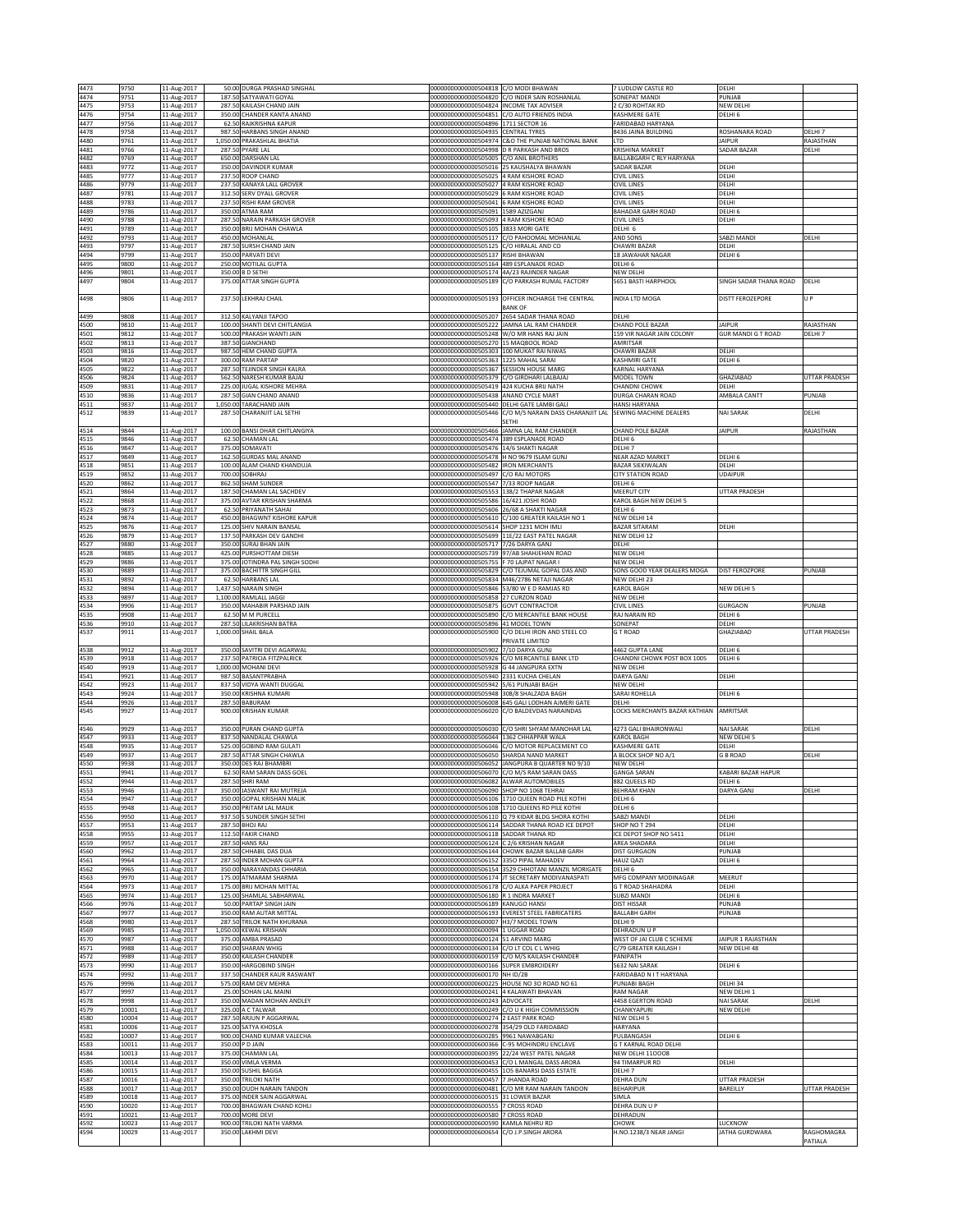| 4473         | 9750           | 11-Aug-2017                | 50.00 DURGA PRASHAD SINGHAL                                   | 000000000000000504818 C/O MODI BHAWAN                                                 |                                                                                                       | 7 LUDLOW CASTLE RD                                  | DELHI                                      |                                 |
|--------------|----------------|----------------------------|---------------------------------------------------------------|---------------------------------------------------------------------------------------|-------------------------------------------------------------------------------------------------------|-----------------------------------------------------|--------------------------------------------|---------------------------------|
| 4474<br>4475 | 9751<br>9753   | 11-Aug-2017<br>11-Aug-2017 | 187.50 SATYAWATI GOYAL<br>287.50 KAILASH CHAND JAIN           | 000000000000000504824 INCOME TAX ADVISER                                              | 00000000000000504820 C/O INDER SAIN ROSHANLAL                                                         | SONEPAT MANDI<br>2 C/30 ROHTAK RD                   | PUNJAB<br>NEW DELHI                        |                                 |
| 4476         | 9754           | 11-Aug-2017                | 350.00 CHANDER KANTA ANAND                                    |                                                                                       | 000000000000000504851 C/O AUTO FRIENDS INDIA                                                          | KASHMERE GATE                                       | DELHI 6                                    |                                 |
| 4477<br>4478 | 9756<br>9758   | 11-Aug-2017<br>11-Aug-2017 | 62.50 RAJKRISHNA KAPUR<br>987.50 HARBANS SINGH ANAND          | 000000000000000504896 1711 SECTOR 16<br>00000000000000504935 CENTRAL TYRES            |                                                                                                       | FARIDABAD HARYANA<br>8436 JAINA BUILDING            | ROSHANARA ROAD                             | DELHI 7                         |
| 4480         | 9761           | 11-Aug-2017                | 1,050.00 PRAKASHLAL BHATIA                                    |                                                                                       | 00000000000000504974 C&O THE PUNJAB NATIONAL BANK                                                     | <b>LTD</b>                                          | <b>JAIPUR</b>                              | RAJASTHAN                       |
| 4481<br>4482 | 9766<br>9769   | 11-Aug-2017<br>11-Aug-2017 | 287.50 PYARE LAL<br>650.00 DARSHAN LAL                        | 000000000000000505005 C/O ANIL BROTHERS                                               | 00000000000000504998 D R PARKASH AND BROS                                                             | <b>KRISHINA MARKET</b><br>BALLABGARH C RLY HARYANA  | SADAR BAZAR                                | DELHI                           |
| 4483         | 9772           | 11-Aug-2017                | 350.00 DAVINDER KUMAR                                         |                                                                                       | 000000000000000505016 25 KAUSHALYA BHAWAN                                                             | SADAR BAZAR                                         | DELHI                                      |                                 |
| 4485         | 9777           | 11-Aug-2017                | 237.50 ROOP CHAND                                             | 000000000000000505025 4 RAM KISHORE ROAD                                              |                                                                                                       | <b>CIVIL LINES</b>                                  | DELHI                                      |                                 |
| 4486<br>4487 | 9779<br>9781   | 11-Aug-2017<br>11-Aug-2017 | 237.50 KANAYA LALL GROVER<br>312.50 SERV DYALL GROVER         | 00000000000000505027 4 RAM KISHORE ROAD<br>00000000000000505029 6 RAM KISHORE ROAD    |                                                                                                       | <b>CIVIL LINES</b><br><b>CIVIL LINES</b>            | DELHI<br>DELHI                             |                                 |
| 4488         | 9783           | 11-Aug-2017                | 237.50 RISHI RAM GROVER                                       | 000000000000000505041 6 RAM KISHORE ROAD                                              |                                                                                                       | <b>CIVIL LINES</b>                                  | DELHI                                      |                                 |
| 4489<br>4490 | 9786<br>9788   | 11-Aug-2017<br>11-Aug-2017 | 350.00 ATMA RAM<br>287.50 NARAIN PARKASH GROVER               | 00000000000000505091 1589 AZIZGANJ<br>0000000000000505093                             | 4 RAM KISHORE ROAD                                                                                    | BAHADAR GARH ROAD<br>CIVIL LINES                    | DELHI 6<br>DELHI                           |                                 |
| 4491         | 9789           | 11-Aug-2017                | 350.00 BRIJ MOHAN CHAWLA                                      | 00000000000000505105                                                                  | 3833 MORI GATE                                                                                        | DELHI <sub>6</sub>                                  |                                            |                                 |
| 4492<br>4493 | 9793<br>9797   | 11-Aug-2017<br>11-Aug-2017 | 450.00 MOHANLAL<br>287.50 SURSH CHAND JAIN                    | 00000000000000505125 C/O HIRALAL AND CO                                               | 00000000000000505117 C/O PAHOOMAL MOHANLAL                                                            | AND SONS<br><b>CHAWRI BAZAR</b>                     | SABZI MANDI<br>DELHI                       | DELHI                           |
| 4494         | 9799           | 11-Aug-2017                | 350.00 PARVATI DEVI                                           | 00000000000000505137 RISHI BHAWAN                                                     |                                                                                                       | 18 JAWAHAR NAGAR                                    | DELHI 6                                    |                                 |
| 4495<br>4496 | 9800<br>9801   | 11-Aug-2017                | 250.00 MOTILAL GUPTA                                          | 000000000000000505164 489 ESPLANADE ROAD<br>00000000000000505174 4A/23 RAJINDER NAGAR |                                                                                                       | DELHI 6<br><b>NEW DELHI</b>                         |                                            |                                 |
| 4497         | 9804           | 11-Aug-2017<br>11-Aug-2017 | 350.00 B D SETHI<br>375.00 ATTAR SINGH GUPTA                  |                                                                                       | 000000000000000505189 C/O PARKASH RUMAL FACTORY                                                       | 5651 BASTI HARPHOOL                                 | SINGH SADAR THANA ROAD                     | DELHI                           |
|              |                |                            |                                                               |                                                                                       |                                                                                                       |                                                     |                                            |                                 |
| 4498         | 9806           | 11-Aug-2017                | 237.50 LEKHRAJ CHAIL                                          |                                                                                       | 000000000000000505193 OFFICER INCHARGE THE CENTRAL<br><b>BANK OF</b>                                  | INDIA LTD MOGA                                      | <b>DISTT FEROZEPORE</b>                    | U P                             |
| 4499         | 9808           | 11-Aug-2017                | 312.50 KALYANJI TAPOO                                         |                                                                                       | 000000000000000505207 2654 SADAR THANA ROAD                                                           | DELHI                                               |                                            |                                 |
| 4500<br>4501 | 9810<br>9812   | 11-Aug-2017<br>11-Aug-2017 | 100.00 SHANTI DEVI CHITLANGIA<br>500.00 PRAKASH WANTI JAIN    | 00000000000000505248 W/O MR HANS RAJ JAIN                                             | 000000000000000505222 JAMNA LAL RAM CHANDER                                                           | CHAND POLE BAZAR<br>159 VIR NAGAR JAIN COLONY       | <b>JAIPUR</b><br><b>GUR MANDI G T ROAD</b> | RAJASTHAN<br>DELHI <sub>7</sub> |
| 4502         | 9813           | 11-Aug-2017                | 387.50 GIANCHAND                                              | 000000000000000505270 15 MAQBOOL ROAD                                                 |                                                                                                       | AMRITSAR                                            |                                            |                                 |
| 4503<br>4504 | 9816<br>9820   | 11-Aug-2017                | 987.50 HEM CHAND GUPTA<br>300.00 RAM PARTAP                   | 00000000000000505303 100 MUKAT RAI NIWAS<br>000000000000000505363 1225 MAHAL SARAI    |                                                                                                       | CHAWRI BAZAR<br>KASHMIRI GATE                       | DELHI<br>DELHI 6                           |                                 |
| 4505         | 9822           | 11-Aug-2017<br>11-Aug-2017 | 287.50 TEJINDER SINGH KALRA                                   | 00000000000000505367 SESSION HOUSE MARG                                               |                                                                                                       | KARNAL HARYANA                                      |                                            |                                 |
| 4506         | 9824           | 11-Aug-2017                | 562.50 NARESH KUMAR BAJAJ                                     | 00000000000000505379 C/O GIRDHARI LALBAJAJ                                            |                                                                                                       | MODEL TOWN                                          | GHAZIABAD                                  | UTTAR PRADESH                   |
| 4509<br>4510 | 9831<br>9836   | 11-Aug-2017<br>11-Aug-2017 | 225.00 JUGAL KISHORE MEHRA<br>287.50 GIAN CHAND ANAND         | 000000000000000505419 424 KUCHA BRIJ NATH<br>000000000000000505438 ANAND CYCLE MART   |                                                                                                       | <b>CHANDNI CHOWK</b><br>DURGA CHARAN ROAD           | DELHI<br>AMBALA CANTT                      | PUNJAB                          |
| 4511         | 9837           | 11-Aug-2017                | 1,050.00 TARACHAND JAIN                                       | 000000000000000505440 DELHI GATE LAMBI GALI                                           |                                                                                                       | HANSI HARYANA                                       |                                            |                                 |
| 4512         | 9839           | 11-Aug-2017                | 287.50 CHARANJIT LAL SETHI                                    |                                                                                       | 00000000000000505446 C/O M/S NARAIN DASS CHARANJIT LAL SEWING MACHINE DEALERS<br>SETHI                |                                                     | NAI SARAK                                  | DELHI                           |
| 4514         | 9844           | 11-Aug-2017                | 100.00 BANSI DHAR CHITLANGIYA                                 |                                                                                       | 000000000000000505466 JAMNA LAL RAM CHANDER                                                           | CHAND POLE BAZAR                                    | <b>JAIPUR</b>                              | RAJASTHAN                       |
| 4515         | 9846           | 11-Aug-2017                | 62.50 CHAMAN LAL<br>375.00 SOMAVATI                           | 00000000000000505474 389 ESPLANADE ROAD                                               |                                                                                                       | DELHI 6                                             |                                            |                                 |
| 4516<br>4517 | 9847<br>9849   | 11-Aug-2017<br>11-Aug-2017 | 162.50 GURDAS MAL ANAND                                       | 000000000000000505476 14/6 SHAKTI NAGAR<br>00000000000000505478 H NO 9679 ISLAM GUNJ  |                                                                                                       | DELHI 7<br>NEAR AZAD MARKET                         | DELHI 6                                    |                                 |
| 4518         | 9851           | 11-Aug-2017                | 100.00 ALAM CHAND KHANDUJA                                    | 000000000000000505482 IRON MERCHANTS                                                  |                                                                                                       | <b>BAZAR SIEKIWALAN</b>                             | DELHI                                      |                                 |
| 4519<br>4520 | 9852<br>9862   | 11-Aug-2017<br>11-Aug-2017 | 700.00 SOBHRAJ<br>862.50 SHAM SUNDER                          | 00000000000000505497 C/O RAJ MOTORS<br>00000000000000505547 7/33 ROOP NAGAR           |                                                                                                       | <b>CITY STATION ROAD</b><br>DELHI 6                 | UDAIPUR                                    |                                 |
| 4521         | 9864           | 11-Aug-2017                | 187.50 CHAMAN LAL SACHDEV                                     | 000000000000000505553 138/2 THAPAR NAGAR                                              |                                                                                                       | MEERUT CITY                                         | <b>UTTAR PRADESH</b>                       |                                 |
| 4522<br>4523 | 9868<br>9873   | 11-Aug-2017<br>11-Aug-2017 | 375.00 AVTAR KRISHAN SHARMA<br>62.50<br>PRIYANATH SAHAI       | 00000000000000505586<br>00000000000000505606                                          | 16/421 JOSHI ROAD<br><b>6/68 A SHAKTI NAGAR</b>                                                       | KAROL BAGH NEW DELHI 5<br>DELHI <sub>6</sub>        |                                            |                                 |
| 4524         | 9874           | 11-Aug-2017                | 450.00 BHAGWNT KISHORE KAPUR                                  | 00000000000000505610                                                                  | C/100 GREATER KAILASH NO 1                                                                            | NEW DELHI 14                                        |                                            |                                 |
| 4525<br>4526 | 9876<br>9879   | 11-Aug-2017<br>11-Aug-2017 | 125.00 SHIV NARAIN BANSAL<br>137.50 PARKASH DEV GANDHI        | 00000000000000505614<br>00000000000000505699                                          | SHOP 1231 MOH IMLI<br>11E/22 EAST PATEL NAGAR                                                         | <b>BAZAR SITARAM</b><br>NEW DELHI 12                | DELHI                                      |                                 |
| 4527         | 9880           | 11-Aug-2017                | 350.00 SURAJ BHAN JAIN                                        | 00000000000000505717 7/26 DARYA GANJ                                                  |                                                                                                       | DELHI                                               |                                            |                                 |
| 4528         | 9885           | 11-Aug-2017                | 425.00 PURSHOTTAM DIESH                                       |                                                                                       | 000000000000000505739 97/AB SHAHJEHAN ROAD                                                            | NEW DELHI                                           |                                            |                                 |
| 4529<br>4530 | 9886<br>9889   | 11-Aug-2017<br>11-Aug-2017 | 375.00 JOTINDRA PAL SINGH SODHI<br>375.00 BACHITTR SINGH GILL | 00000000000000505755 F 70 LAJPAT NAGAR I                                              | 00000000000000505829 C/O TEJUMAL GOPAL DAS AND                                                        | NEW DELHI<br>SONS GOOD YEAR DEALERS MOGA            | <b>DIST FEROZPORE</b>                      | PUNJAB                          |
| 4531         | 9892           | 11-Aug-2017                | 62.50 HARBANS LAL                                             |                                                                                       | 00000000000000505834 M46/2786 NETAJI NAGAR                                                            | NEW DELHI 23                                        |                                            |                                 |
| 4532<br>4533 | 9894<br>9897   | 11-Aug-2017<br>11-Aug-2017 | 1,437.50 NARAIN SINGH<br>1,100.00 RAMLALL JAGGI               | 000000000000000505858 27 CURZON ROAD                                                  | 00000000000000505846 53/80 W E D RAMJAS RD                                                            | KAROL BAGH<br>NEW DELHI                             | NEW DELHI 5                                |                                 |
| 4534         | 9906           | 11-Aug-2017                | 350.00 MAHABIR PARSHAD JAIN                                   | 00000000000000505875 GOVT CONTRACTOR                                                  |                                                                                                       | <b>CIVIL LINES</b>                                  | GURGAON                                    | PUNJAB                          |
| 4535<br>4536 | 9908<br>9910   | 11-Aug-2017<br>11-Aug-2017 | 62.50 M M PURCELL<br>287.50 LILAKRISHAN BATRA                 | 00000000000000505896 41 MODEL TOWN                                                    | 00000000000000505890 C/O MERCANTILE BANK HOUSE                                                        | RAJ NARAIN RD<br>SONEPAT                            | DELHI 6<br>DELHI                           |                                 |
| 4537         | 9911           | 11-Aug-2017                | 1,000.00 SHAIL BALA                                           |                                                                                       | 00000000000000505900 C/O DELHI IRON AND STEEL CO                                                      | <b>GT ROAD</b>                                      | GHAZIABAD                                  | <b>UTTAR PRADESH</b>            |
|              |                |                            |                                                               |                                                                                       | PRIVATE LIMITED                                                                                       |                                                     |                                            |                                 |
| 4538<br>4539 | 9912<br>9918   | 11-Aug-2017<br>11-Aug-2017 | 350.00 SAVITRI DEVI AGARWAL<br>237.50 PATRICIA FITZPALRICK    | 00000000000000505902<br>0000000000000505926                                           | 7/10 DARYA GUNJ<br>C/O MERCANTILE BANK LTD                                                            | 4462 GUPTA LANE<br>CHANDNI CHOWK POST BOX 1005      | DELHI 6<br>DELHI 6                         |                                 |
| 4540         | 9919           | 11-Aug-2017                | 1,000.00 MOHANI DEVI                                          | 000000000000000505928 G 44 JANGPURA EXTN                                              |                                                                                                       | NEW DELHI                                           |                                            |                                 |
| 4541<br>4542 | 9921<br>9923   | 11-Aug-2017<br>11-Aug-2017 | 987.50 BASANTPRABHA<br>837.50 VIDYA WANTI DUGGAL              | 000000000000000505940 2331 KUCHA CHELAN<br>000000000000000505942 5/61 PUNJABI BAGH    |                                                                                                       | DARYA GANJ<br>NEW DELHI                             | DELHI                                      |                                 |
| 4543         | 9924           | 11-Aug-2017                | 350.00 KRISHNA KUMARI                                         | 000000000000000505948 308/8 SHALZADA BAGH                                             |                                                                                                       | SARAI ROHELLA                                       | DELHI <sub>6</sub>                         |                                 |
| 4544<br>4545 | 9926<br>9927   | 11-Aug-2017<br>11-Aug-2017 | 287.50 BABURAM<br>900.00 KRISHAN KUMAR                        |                                                                                       | 00000000000000506008 645 GALI LODHAN AJMERI GATE<br>000000000000000506020 C/O BALDEVDAS NARAINDAS     | DELHI<br>LOCKS MERCHANTS BAZAR KATHIAN AMRITSAR     |                                            |                                 |
|              |                |                            |                                                               |                                                                                       |                                                                                                       |                                                     |                                            |                                 |
| 4546         | 9929           | 11-Aug-2017<br>11-Aug-2017 | 350.00 PURAN CHAND GUPTA<br>837.50 NANDALAL CHAWLA            |                                                                                       | 00000000000000506030 C/O SHRI SHYAM MANOHAR LAL                                                       | 4273 GALI BHAIRONWALI                               | NAI SARAK<br>NEW DELHI 5                   | DELHI                           |
| 4547<br>4548 | 9933<br>9935   | 11-Aug-2017                | 525.00 GOBIND RAM GULATI                                      | 00000000000000506044 1362 CHHAPPAR WALA                                               | 000000000000000506046 C/O MOTOR REPLACEMENT CO                                                        | KAROL BAGH<br>KASHMERE GATE                         | DELHI                                      |                                 |
| 4549         | 9937           | 11-Aug-2017                | 287.50 ATTAR SINGH CHAWLA                                     | 00000000000000506050 SHARDA NAND MARKET                                               |                                                                                                       | A BLOCK SHOP NO A/1                                 | <b>G B ROAD</b>                            | DELHI                           |
| 4550<br>4551 | 9938<br>9941   | 11-Aug-2017<br>11-Aug-2017 | 350.00 DES RAJ BHAMBRI<br>62.50 RAM SARAN DASS GOEL           |                                                                                       | 000000000000000506052 JANGPURA B QUARTER NO 9/10<br>00000000000000506070 C/O M/S RAM SARAN DASS       | NEW DELHI<br><b>GANGA SARAN</b>                     | KABARI BAZAR HAPUR                         |                                 |
| 4552         | 9944           | 11-Aug-2017                | 287.50 SHRI RAM                                               | 000000000000000506082 ALWAR AUTOMOBILES                                               |                                                                                                       | 882 QUEELS RD                                       | DELHI <sub>6</sub>                         |                                 |
| 4553<br>4554 | 9946<br>9947   | 11-Aug-2017<br>11-Aug-2017 | 350.00 JASWANT RAI MUTREJA<br>350.00 GOPAL KRISHAN MALIK      | 00000000000000506090 SHOP NO 1068 TEHRAI                                              | 000000000000000506106 1710 QUEEN ROAD PILE KOTHI                                                      | <b>BEHRAM KHAN</b><br>DELHI 6                       | DARYA GANJ                                 | DELHI                           |
| 4555         | 9948           | 11-Aug-2017                | 350.00 PRITAM LAL MALIK                                       | 00000000000000506108                                                                  | 1710 QUEENS RD PILE KOTHI                                                                             | DELHI 6                                             |                                            |                                 |
| 4556         | 9950<br>9953   | 11-Aug-2017                | 937.50 S SUNDER SINGH SETHI<br>287.50 BHOJ RAJ                |                                                                                       | 00000000000000506110 Q 79 KIDAR BLDG SHORA KOTHI<br>000000000000000506114 SADDAR THANA ROAD ICE DEPOT | SABZI MANDI<br>SHOP NO T 294                        | DELHI                                      |                                 |
| 4557<br>4558 | 9955           | 11-Aug-2017<br>11-Aug-2017 | 112.50 FAKIR CHAND                                            | 000000000000000506118 SADDAR THANA RD                                                 |                                                                                                       | ICE DEPOT SHOP NO 5411                              | DELHI<br>DELHI                             |                                 |
| 4559         | 9957           | 11-Aug-2017                | 287.50 HANS RAJ                                               | 000000000000000506124 C 2/6 KRISHAN NAGAR                                             |                                                                                                       | AREA SHADARA                                        | DELHI                                      |                                 |
| 4560<br>4561 | 9962<br>9964   | 11-Aug-2017<br>11-Aug-2017 | 287.50 CHHABIL DAS DUA<br>287.50 INDER MOHAN GUPTA            | 00000000000000506152 3350 PIPAL MAHADEV                                               | 000000000000000506144 CHOWK BAZAR BALLAB GARH                                                         | <b>DIST GURGAON</b><br>HAUZ QAZI                    | PUNJAB<br>DELHI 6                          |                                 |
| 4562         | 9965           | 11-Aug-2017                | 350.00 NARAYANDAS CHHARIA                                     |                                                                                       | 000000000000000506154 3529 CHHOTANI MANZIL MORIGATE                                                   | DELHI 6                                             |                                            |                                 |
| 4563<br>4564 | 9970<br>9973   | 11-Aug-2017<br>11-Aug-2017 | 175.00 ATMARAM SHARMA<br>175.00 BRIJ MOHAN MITTAL             |                                                                                       | 00000000000000506174 JT SECRETARY MODIVANASPATI<br>000000000000000506178 C/O ALKA PAPER PROJECT       | MFG COMPANY MODINAGAR<br><b>G T ROAD SHAHADRA</b>   | MEERUT<br>DELHI                            |                                 |
| 4565         | 9974           | 11-Aug-2017                | 125.00 SHAMLAL SABHARWAL                                      | 000000000000000506180 R 1 INDRA MARKET                                                |                                                                                                       | <b>SUBZI MANDI</b>                                  | DELHI 6                                    |                                 |
| 4566<br>4567 | 9976<br>9977   | 11-Aug-2017<br>11-Aug-2017 | 50.00 PARTAP SINGH JAIN<br>350.00 RAM AUTAR MITTAL            | 00000000000000506189 KANUGO HANSI                                                     | 00000000000000506193 EVEREST STEEL FABRICATERS                                                        | <b>DIST HISSAR</b><br><b>BALLABH GARH</b>           | PUNJAB<br>PUNJAB                           |                                 |
| 4568         | 9980           | 11-Aug-2017                | 287.50 TRILOK NATH KHURANA                                    | 00000000000000600007 H3/7 MODEL TOWN                                                  |                                                                                                       | DELHI 9                                             |                                            |                                 |
| 4569         | 9985           | 11-Aug-2017                | 1,050.00 KEWAL KRISHAN                                        | 00000000000000600094 1 UGGAR ROAD                                                     |                                                                                                       | DEHRADUN U P                                        |                                            |                                 |
| 4570<br>4571 | 9987<br>9988   | 11-Aug-2017<br>11-Aug-2017 | 375.00 AMBA PRASAD<br><b>SHARAN WHIG</b><br>350.00            | 00000000000000600124 51 ARVIND MARG<br>00000000000000600134                           | C/O LT COL C L WHIG                                                                                   | WEST OF JAI CLUB C SCHEME<br>C/79 GREATER KAILASH I | JAIPUR 1 RAJASTHAN<br><b>NEW DELHI 48</b>  |                                 |
| 4572         | 9989           | 11-Aug-2017                | 350.00 KAILASH CHANDER                                        | 00000000000000600159                                                                  | C/O M/S KAILASH CHANDER                                                                               | PANIPATH                                            |                                            |                                 |
| 4573<br>4574 | 9990<br>9992   | 11-Aug-2017<br>11-Aug-2017 | 350.00 HARGOBIND SINGH<br>337.50 CHANDER KAUR RASWANT         | 00000000000000600166 SUPER EMBROIDERY<br>00000000000000600170 NH ID/2B                |                                                                                                       | 5632 NAI SARAK<br>FARIDABAD N I T HARYANA           | DELHI 6                                    |                                 |
| 4576         | 9996           | 11-Aug-2017                | 575.00 RAM DEV MEHRA                                          |                                                                                       | 00000000000000600225 HOUSE NO 30 ROAD NO 61                                                           | PUNJABI BAGH                                        | DELHI 34                                   |                                 |
| 4577         | 9997<br>9998   | 11-Aug-2017                | 25.00 SOHAN LAL MAINI                                         | 00000000000000600241 4 KALAWATI BHAVAN                                                |                                                                                                       | RAM NAGAR                                           | NEW DELHI 1                                | DELHI                           |
| 4578<br>4579 | 10001          | 11-Aug-2017<br>11-Aug-2017 | 350.00 MADAN MOHAN ANDLEY<br>325.00 A C TALWAR                | 00000000000000600243 ADVOCATE                                                         | 00000000000000600249 C/O U K HIGH COMMISSION                                                          | 4458 EGERTON ROAD<br>CHANKYAPURI                    | NAI SARAK<br><b>NEW DELHI</b>              |                                 |
| 4580         | 10004          | 11-Aug-2017                | 287.50 ARJUN P AGGARWAL                                       | 00000000000000600274 2 EAST PARK ROAD                                                 |                                                                                                       | NEW DELHI 5                                         |                                            |                                 |
| 4581<br>4582 | 10006<br>10007 | 11-Aug-2017<br>11-Aug-2017 | 325.00 SATYA KHOSLA<br>900.00 CHAND KUMAR VALECHA             | 00000000000000600278<br>00000000000000600285 9961 NAWABGANJ                           | 354/29 OLD FARIDABAD                                                                                  | HARYANA<br>PULBANGASH                               | DELHI 6                                    |                                 |
| 4583         | 10011          | 11-Aug-2017                | 350.00 P D JAIN                                               |                                                                                       | 00000000000000000366 C-95 MOHINDRU ENCLAVE                                                            | <b>G T KARNAL ROAD DELHI</b>                        |                                            |                                 |
| 4584<br>4585 | 10013<br>10014 | 11-Aug-2017<br>11-Aug-2017 | 375.00 CHAMAN LAL<br>350.00 VIMLA VERMA                       |                                                                                       | 00000000000000600395 22/24 WEST PATEL NAGAR<br>000000000000000600453 C/O L MANGAL DASS ARORA          | NEW DELHI 110008<br>94 TIMARPUR RD                  | DELHI                                      |                                 |
| 4586         | 10015          | 11-Aug-2017                | 350.00 SUSHIL BAGGA                                           |                                                                                       | 00000000000000600455 105 BANARSI DASS ESTATE                                                          | DELHI 7                                             |                                            |                                 |
| 4587         | 10016          | 11-Aug-2017                | 350.00 TRILOKI NATH                                           | 00000000000000600457                                                                  | 7 JHANDA ROAD                                                                                         | <b>DEHRA DUN</b>                                    | <b>UTTAR PRADESH</b>                       |                                 |
| 4588<br>4589 | 10017<br>10018 | 11-Aug-2017<br>11-Aug-2017 | 350.00 OUDH NARAIN TANDON<br>375.00 INDER SAIN AGGARWAL       | 0000000000000600481<br>0000000000000600515                                            | C/O MR RAM NARAIN TANDON<br>31 LOWER BAZAR                                                            | <b>BEHARIPUR</b><br>SIMLA                           | BAREILLY                                   | UTTAR PRADESH                   |
|              | 10020          | 11-Aug-2017                | 700.00 BHAGWAN CHAND KOHLI                                    | 00000000000000600555                                                                  | <b>7 CROSS ROAD</b>                                                                                   | DEHRA DUN U P                                       |                                            |                                 |
| 4590         |                | 11-Aug-2017                | 700.00 MORE DEVI                                              | 00000000000000600580 7 CROSS ROAD                                                     |                                                                                                       | DEHRADUN                                            |                                            |                                 |
| 4591         | 10021          |                            |                                                               |                                                                                       |                                                                                                       |                                                     |                                            |                                 |
| 4592<br>4594 | 10023<br>10029 | 11-Aug-2017<br>11-Aug-2017 | 900.00 TRILOKI NATH VARMA<br>350.00 LAKHMI DEVI               | 00000000000000600590 KAMLA NEHRU RD<br>00000000000000600654 C/O J.P.SINGH ARORA       |                                                                                                       | CHOWK<br>H.NO.1238/3 NEAR JANGI                     | LUCKNOW<br>JATHA GURDWARA                  | RAGHOMAGRA                      |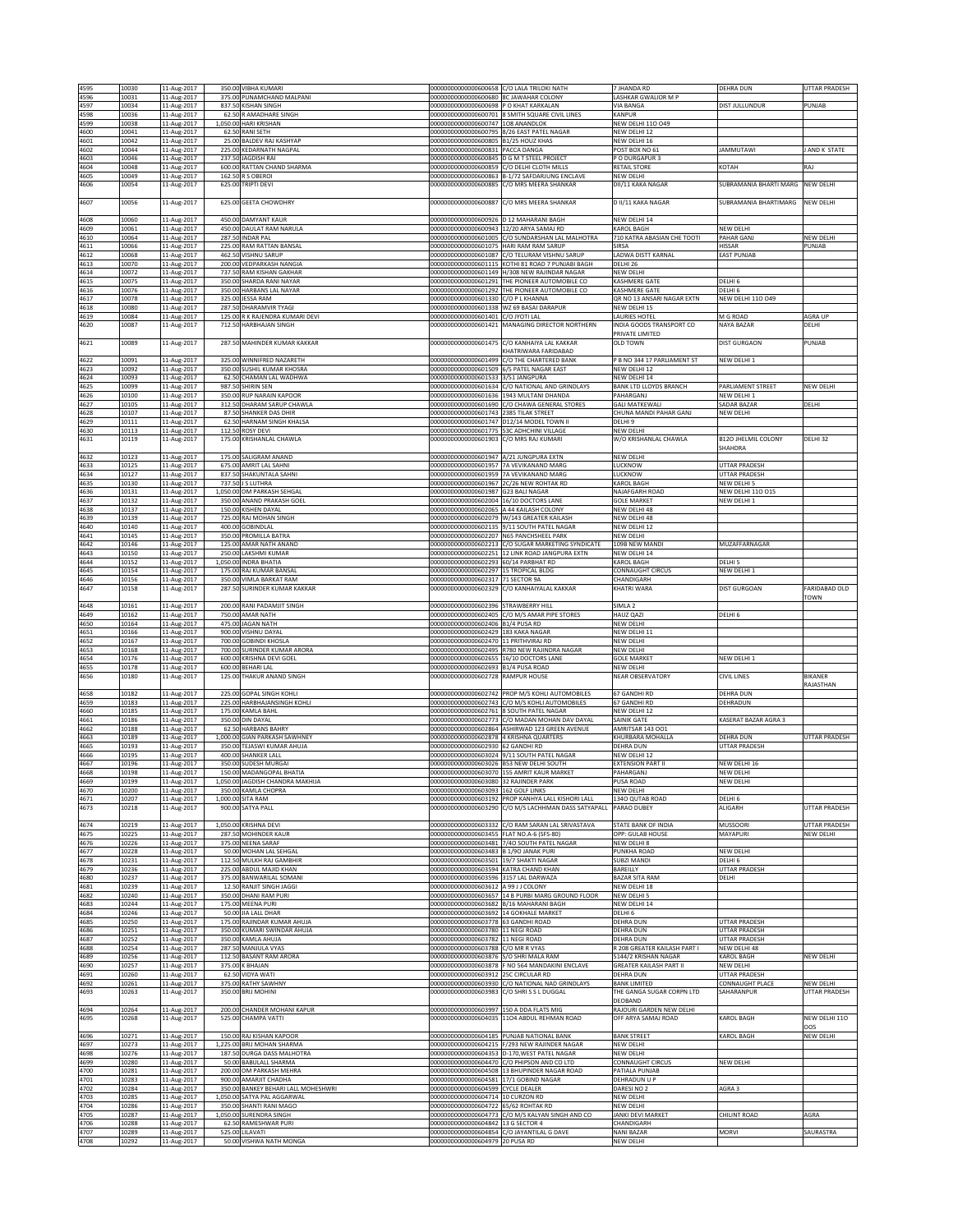| 375.00 PUNAMCHAND MALPANI<br>00000000000000600680 8C JAWAHAR COLONY<br>4597<br>11-Aug-2017<br>837.50 KISHAN SINGH<br>000000000000000600698 P O KHAT KARKALAN<br>DIST JULLUNDUR<br>PUNJAB<br>10034<br><b>VIA BANGA</b><br>8 SMITH SQUARE CIVIL LINES<br>4598<br>10036<br>11-Aug-2017<br>62.50 R AMADHARE SINGH<br>0000000000000600701<br><b>KANPUR</b><br>4599<br>10038<br>11-Aug-2017<br>1,050.00 HARI KRISHAN<br>00000000000000600747 1O8 ANANDLOK<br>NEW DELHI 110 049<br>4600<br>10041<br>11-Aug-2017<br>62.50 RANI SETH<br>0000000000000600795<br>8/26 EAST PATEL NAGAR<br>NEW DELHI 12<br>4601<br>10042<br>11-Aug-2017<br>25.00 BALDEV RAJ KASHYAP<br>00000000000000600805 B1/25 HOUZ KHAS<br>NEW DELHI 16<br>AND K STATE<br>4602<br>10044<br>11-Aug-2017<br>225.00 KEDARNATH NAGPAL<br>0000000000000600831<br>PACCA DANGA<br>POST BOX NO 61<br>AMMUTAWI<br>4603<br>10046<br>11-Aug-2017<br>237.50 JAGDISH RAI<br>00000000000000000845 D G M T STEEL PROJECT<br>PODURGAPUR 3<br><b>RETAIL STORE</b><br>4604<br>10048<br>11-Aug-2017<br>600.00 RATTAN CHAND SHARMA<br>0000000000000600859<br>C/O DELHI CLOTH MILLS<br>KOTAH<br>RAI<br>10049<br>11-Aug-2017<br>162.50 R S OBEROI<br>NEW DELHI<br>4605<br>83800000000000600863<br><b>B-1/72 SAFDARIUNG ENCLAVE</b><br>4606<br>10054<br>11-Aug-2017<br>625.00 TRIPTI DEVI<br>0000000000000600885<br>C/O MRS MEERA SHANKAR<br>DII/11 KAKA NAGAR<br>SUBRAMANIA BHARTI MARG<br>NEW DELHI<br>4607<br>10056<br>11-Aug-2017<br>625.00 GEETA CHOWDHRY<br>C/O MRS MEERA SHANKAR<br>D II/11 KAKA NAGAR<br>SUBRAMANIA BHARTIMARG<br><b>NEW DELHI</b><br>00000000000000600887<br>450.00 DAMYANT KAUR<br>NEW DELHI 14<br>4608<br>10060<br>11-Aug-2017<br>0000000000000600926<br>D 12 MAHARANI BAGH<br>4609<br>11-Aug-2017<br>450.00 DAULAT RAM NARULA<br>0000000000000600943<br>12/20 ARYA SAMAJ RD<br>KAROL BAGH<br>NEW DELHI<br>10061<br>11-Aug-2017<br>287.50 INDAR PAL<br>710 KATRA ABASIAN CHE TOOTI<br>AHAR GANJ<br>4610<br>10064<br>00000000000000601005<br>C/O SUNDARSHAN LAL MALHOTRA<br>NEW DELHI<br>11-Aug-2017<br>225.00 RAM RATTAN BANSAL<br>HARI RAM RAM SARUP<br>PUNJAB<br>4611<br>10066<br>0000000000000601075<br>SIRSA<br><b>IISSAR</b><br>4612<br>10068<br>11-Aug-2017<br>462.50 VISHNU SARUP<br>0000000000000601087<br>C/O TELURAM VISHNU SARUP<br>LADWA DISTT KARNAL<br>AST PUNJAB<br>4613<br>10070<br>11-Aug-2017<br>200.00 VEDPARKASH NANGIA<br>00000000000000601115<br>KOTHI 81 ROAD 7 PUNJABI BAGH<br>DELHI 26<br>4614<br>10072<br>11-Aug-2017<br>737.50 RAM KISHAN GAKHAR<br>000000000000000601149 H/308 NEW RAJINDAR NAGAR<br><b>NEW DELHI</b><br>4615<br>10075<br>11-Aug-2017<br>350.00 SHARDA RANI NAYAR<br><b>KASHMERE GATE</b><br>0000000000000601291<br>THE PIONEER AUTOMOBILE CO<br>ELHI <sub>6</sub><br>4616<br>10076<br>11-Aug-2017<br>350.00<br>HARBANS LAL NAYAR<br>0000000000000601292<br>THE PIONEER AUTOMOBILE CO<br><b>CASHMERE GATE</b><br>ELHI <sub>6</sub><br>QR NO 13 ANSARI NAGAR EXTN<br>4617<br>10078<br>11-Aug-2017<br>325.00 JESSA RAM<br>00000000000000601330<br>C/O P L KHANNA<br><b>NEW DELHI 110 049</b><br>4618<br>10080<br>11-Aug-2017<br>287.50 DHARAMVIR TYAGI<br>0000000000000601338<br>WZ 69 BASAI DARAPUR<br>NEW DELHI 15<br>125.00 R K RAJENDRA KUMARI DEVI<br>4619<br>10084<br>11-Aug-2017<br>00000000000000601401 C/O JYOTI LAL<br>LAURIES HOTEL<br>M G ROAD<br><b>AGRA UF</b><br>4620<br>10087<br>712.50 HARBHAJAN SINGH<br>00000000000000601421 MANAGING DIRECTOR NORTHERN<br>INDIA GOODS TRANSPORT CO<br><b>VAYA BAZAR</b><br>DELHI<br>11-Aug-2017<br>PRIVATE LIMITED<br>4621<br>10089<br>11-Aug-2017<br>287.50 MAHINDER KUMAR KAKKAR<br>00000000000000601475<br>C/O KANHAIYA LAL KAKKAR<br>OLD TOWN<br><b>DIST GURGAON</b><br>PUNJAB<br>KHATRIWARA FARIDABAD<br>4622<br>10091<br>11-Aug-2017<br>325.00 WINNIFRED NAZARETH<br>0000000000000601499<br>C/O THE CHARTERED BANK<br>B NO 344 17 PARLIAMENT ST<br>NEW DELHI 1<br>4623<br>10092<br>11-Aug-2017<br>350.00<br>SUSHIL KUMAR KHOSRA<br>0000000000000601509<br>5/5 PATEL NAGAR EAST<br>NEW DELHI 12<br>4624<br>10093<br>11-Aug-2017<br>62.50 CHAMAN LAL WADHWA<br>0000000000000601533<br>NEW DELHI 14<br>3/51 JANGPURA<br>4625<br>11-Aug-2017<br>987.50 SHIRIN SEN<br>000000000000000601634 C/O NATIONAL AND GRINDLAYS<br>BANK LTD LLOYDS BRANCH<br>ARLIAMENT STREET<br>NFW DFI HI<br>10099<br>10100<br>11-Aug-2017<br>350.00 RUP NARAIN KAPOOR<br>PAHARGANJ<br>NEW DELHI 1<br>4626<br>00000000000000601636 1943 MUITANI DHANDA<br>312.50 DHARAM SARUP CHAWLA<br>4627<br>10105<br>11-Aug-2017<br>00000000000000601690 C/O CHAWA GENERAL STORES<br><b>GALI MATKEWALI</b><br>SADAR BAZAR<br>DELHI<br>4628<br>10107<br>11-Aug-2017<br>87.50 SHANKER DAS DHIR<br>00000000000000601743 2385 TILAK STREET<br>CHUNA MANDI PAHAR GANJ<br>NEW DELHI<br>11-Aug-2017<br>4629<br>10111<br>62.50 HARNAM SINGH KHALSA<br>00000000000000601747 D12/14 MODEL TOWN II<br>DELHI9<br>4630<br>112.50 ROSY DEVI<br>0000000000000601775<br><b>NEW DELHI</b><br>10113<br>11-Aug-2017<br><b>53C ADHCHINI VILLAGE</b><br>4631<br>175.00 KRISHANLAL CHAWLA<br>3120 JHELMIL COLONY<br>DELHI 32<br>10119<br>11-Aug-2017<br>0000000000000601903<br>C/O MRS RAJ KUMARI<br>W/O KRISHANLAL CHAWLA<br>SHAHDRA<br>175.00 SALIGRAM ANAND<br>4632<br>10123<br>11-Aug-2017<br>000000000000000601947 A/21 JUNGPURA EXTN<br>NEW DELHI<br>4633<br>10125<br>675.00 AMRIT LAL SAHNI<br>LUCKNOW<br><b>JTTAR PRADESH</b><br>11-Aug-2017<br>0000000000000601957<br><b>7A VEVIKANAND MARG</b><br><b>JTTAR PRADESH</b><br>4634<br>10127<br>11-Aug-2017<br>837.50 SHAKUNTALA SAHNI<br>0000000000000601959<br>7A VEVIKANAND MARG<br>LUCKNOW<br>4635<br>10130<br>11-Aug-2017<br>737.50 J S LUTHRA<br>00000000000000601967 2C/26 NEW ROHTAK RD<br>KAROL BAGH<br>NEW DELHI 5<br>4636<br>11-Aug-2017<br>1,050.00 OM PARKASH SEHGAL<br>00000000000000601987 G23 BALI NAGAR<br><b>NEW DELHI 110 015</b><br>10131<br>NAJAFGARH ROAD<br>4637<br>350.00 ANAND PRAKASH GOEL<br>00000000000000602004 16/10 DOCTORS LANE<br><b>GOLE MARKET</b><br>VEW DELHI 1<br>10132<br>11-Aug-2017<br>4638<br>11-Aug-2017<br>10137<br>150.00<br>KISHEN DAYAL<br>00000000000000602065 A 44 KAILASH COLONY<br><b>NEW DELHI 48</b><br>4639<br>10139<br>11-Aug-2017<br>725.00 RAJ MOHAN SINGH<br>0000000000000602079<br>W/143 GREATER KAILASH<br>NEW DELHI 48<br>4640<br>10140<br>11-Aug-2017<br>400.00 GOBINDLAL<br>0000000000000602135<br>9/11 SOUTH PATEL NAGAR<br>NEW DELHI 12<br>4641<br>10145<br>11-Aug-2017<br>350.00 PROMILLA BATRA<br>0000000000000602207<br>N65 PANCHSHEEL PARK<br>NEW DELHI<br>4642<br>10146<br>11-Aug-2017<br>125.00 AMAR NATH ANAND<br>C/O SUGAR MARKETING SYNDICATE<br>109B NEW MANDI<br><b>MUZAFFARNAGAR</b><br>0000000000000602213<br>250.00 LAKSHMI KUMAR<br>4643<br>10150<br>11-Aug-2017<br>0000000000000602251<br>12 LINK ROAD JANGPURA EXTN<br>NEW DELHI 14<br>4644<br>10152<br>11-Aug-2017<br>1,050.00 INDRA BHATIA<br>00000000000000602293 60/14 PARBHAT RD<br>KAROL BAGH<br>DELHI 5<br>4645<br>10154<br>11-Aug-2017<br>175.00 RAJ KUMAR BANSAL<br>00000000000000602297 15 TROPICAL BLDG<br><b>CONNAUGHT CIRCUS</b><br>NEW DELHI 1<br>4646<br>11-Aug-2017<br>350.00 VIMLA BARKAT RAM<br>CHANDIGARH<br>10156<br>00000000000000602317 71 SECTOR 9A<br>4647<br>11-Aug-2017<br>10158<br>287.50 SURINDER KUMAR KAKKAR<br>0000000000000602329<br>C/O KANHAIYALAL KAKKAR<br>KHATRI WARA<br>DIST GURGOAN<br>ARIDABAD OLD<br><b>TOWN</b><br>200.00 RANI PADAMJIT SINGH<br>SIMLA <sub>2</sub><br>4648<br>10161<br>11-Aug-2017<br>00000000000000602396 STRAWBERRY HILL<br>4649<br>10162<br>11-Aug-2017<br>750.00 AMAR NATH<br>C/O M/S AMAR PIPE STORES<br>HAUZ QAZI<br>DELHI <sub>6</sub><br>00000000000000602405<br>4650<br>10164<br>11-Aug-2017<br>475.00 JAGAN NATH<br>0000000000000602406<br>B1/4 PUSA RD<br>NEW DELHI<br>4651<br>10166<br>11-Aug-2017<br>900.00 VISHNU DAYAL<br>00000000000000602429 183 KAKA NAGAR<br>NEW DELHI 11<br>4652<br>11-Aug-2017<br>700.00 GOBINDI KHOSLA<br>00000000000000602470 11 PRITHVIRAJ RD<br>10167<br>NEW DELHI<br>4653<br>11-Aug-2017<br>700.00 SURINDER KUMAR ARORA<br>00000000000000602495 R780 NEW RAJINDRA NAGAR<br>NEW DELHI<br>10168<br>4654<br>10176<br>11-Aug-2017<br>600.00 KRISHNA DEVI GOEL<br>0000000000000602655<br>16/10 DOCTORS LANE<br><b>GOLE MARKET</b><br><b>JEW DELHI 1</b><br>4655<br>10178<br>11-Aug-2017<br>600.00 BEHARI LAL<br>00000000000000602693 B1/4 PUSA ROAD<br>NEW DELHI<br>4656<br>10180<br>11-Aug-2017<br>125.00 THAKUR ANAND SINGH<br>00000000000000602728 RAMPUR HOUSE<br>NEAR OBSERVATORY<br>CIVIL LINES<br><b>BIKANER</b><br>RAJASTHAN<br>00000000000000602742 PROP M/S KOHLI AUTOMOBILES<br>4658<br>10182<br>11-Aug-2017<br>225.00 GOPAL SINGH KOHLI<br>67 GANDHI RD<br><b>DEHRA DUN</b><br>4659<br>10183<br>11-Aug-2017<br>225.00 HARBHAJANSINGH KOHLI<br>00000000000000602743 C/O M/S KOHLI AUTOMOBILES<br>67 GANDHI RD<br>DEHRADUN<br>4660<br>10185<br>11-Aug-2017<br>175.00 KAMLA BAHL<br>NEW DELHI 12<br>000000000000000602761 8 SOUTH PATEL NAGAR<br>4661<br>10186<br>11-Aug-2017<br>350.00<br><b>DIN DAYAL</b><br>C/O MADAN MOHAN DAV DAYAL<br><b>ASERAT BAZAR AGRA 3</b><br>0000000000000602773<br><b>SAINIK GATE</b><br>4662<br>10188<br>11-Aug-2017<br>62.50<br><b>HARBANS BAHRY</b><br>0000000000000602864<br>ASHIRWAD 123 GREEN AVENUE<br>AMRITSAR 143 001<br>4663<br>10189<br>11-Aug-2017<br>1,000.00 GIAN PARKASH SAWHNEY<br>0000000000000602878<br>4 KRISHNA QUARTERS<br>KHURBARA MOHALLA<br><b>DEHRA DUN</b><br>UTTAR PRADESH<br>4665<br>10193<br>11-Aug-2017<br>350.00 TEJASWI KUMAR AHUJA<br>00000000000000602930 62 GANDHI RD<br>DEHRA DUN<br><b>UTTAR PRADESH</b><br>4666<br>10195<br>11-Aug-2017<br>400.00 SHANKER LALL<br>00000000000000603024 9/11 SOUTH PATEL NAGAR<br>NEW DELHI 12<br>350.00 SUDESH MURGAI<br><b>EXTENSION PART II</b><br>NEW DELHI 16<br>4667<br>10196<br>11-Aug-2017<br>00000000000000603026 B53 NFW DELHLSOUTH<br>4668<br>10198<br>11-Aug-2017<br>150.00 MADANGOPAL BHATIA<br>00000000000000603070 155 AMRIT KAUR MARKET<br>PAHARGANJ<br>NEW DELHI<br>4669<br>10199<br>11-Aug-2017<br>1,050.00 JAGDISH CHANDRA MAKHIJA<br>00000000000000603080 32 RAJINDER PARK<br>PUSA ROAD<br>NEW DELH<br>4670<br>11-Aug-2017<br>10200<br>350.00 KAMLA CHOPRA<br>00000000000000603093 162 GOLF LINKS<br>NEW DELHI<br>4671<br>11-Aug-2017<br>1,000.00 SITA RAM<br>000000000000000603192 PROP KANHYA LALL KISHORI LALL<br>1340 QUTAB ROAD<br>DELHI 6<br>10207<br>4673<br>11-Aug-2017<br>900.00 SATYA PALL<br>0000000000000603290<br>C/O M/S LACHHMAN DASS SATYAPALL<br>UTTAR PRADESH<br>10218<br>PARAO DUBEY<br>ALIGARH<br>10219<br>11-Aug-2017<br>1,050.00 KRISHNA DEVI<br>00000000000000603332 C/O RAM SARAN LAL SRIVASTAVA<br>STATE BANK OF INDIA<br>MUSSOORI<br>4674<br>UTTAR PRADESH<br>4675<br>10225<br>11-Aug-2017<br>287.50 MOHINDER KAUR<br>00000000000000603455 FLAT NO.A-6 (SFS-80)<br>OPP: GULAB HOUSE<br>MAYAPURI<br>NEW DELHI<br>11-Aug-2017<br>375.00 NEENA SARAF<br>00000000000000603481 7/4O SOUTH PATEL NAGAR<br>4676<br>10226<br>NEW DELHI 8<br>NEW DELHI<br>4677<br>10228<br>11-Aug-2017<br>50.00 MOHAN LAL SEHGAL<br>00000000000000603483 B 1/9O JANAK PURI<br>PUNKHA ROAD<br>11-Aug-2017<br>112.50 MULKH RAJ GAMBHIR<br>SUBZI MANDI<br>4678<br>10231<br>00000000000000603501 19/7 SHAKTI NAGAR<br>DELHI 6<br><b>JTTAR PRADESH</b><br>4679<br>10236<br>11-Aug-2017<br>225.00 ABDUL MAJID KHAN<br>00000000000000603594 KATRA CHAND KHAN<br>BAREILLY<br>11-Aug-2017<br>375.00 BANWARILAL SOMANI<br><b>BAZAR SITA RAM</b><br>4680<br>10237<br>00000000000000603596 3157 LAL DARWAZA<br>ELHI<br>4681<br>10239<br>11-Aug-2017<br>12.50 RANJIT SINGH JAGGI<br>00000000000000603612 A 99 J J COLONY<br>NEW DELHI 18<br>350.00 DHANI RAM PURI<br>00000000000000603657 14 B PURBI MARG GROUND FLOOR<br>4682<br>10240<br>11-Aug-2017<br>NEW DELHI 5<br>4683<br>10244<br>11-Aug-2017<br>175.00 MEENA PURI<br>NEW DELHI 14<br>00000000000000603682 R/16 MAHARANI BAGH<br>4684<br>10246<br>11-Aug-2017<br>50.00 JIA LALL DHAR<br>00000000000000603692 14 GOKHALE MARKET<br>DELHI 6<br>175.00 RAJINDAR KUMAR AHUJA<br><b>UTTAR PRADESH</b><br>4685<br>10250<br>11-Aug-2017<br>00000000000000603778 63 GANDHI ROAD<br><b>DEHRA DUN</b><br>4686<br>350.00 KUMARI SWINDAR AHUJA<br><b>JTTAR PRADESH</b><br>10251<br>11-Aug-2017<br>00000000000000603780 11 NEGI ROAD<br>DEHRA DUN<br>4687<br>11-Aug-2017<br>350.00 KAMLA AHUJA<br>00000000000000603782 11 NEGI ROAD<br><b>DEHRA DUN</b><br><b>JTTAR PRADESH</b><br>10252<br>4688<br>11-Aug-2017<br>MANJULA VYAS<br>0000000000000603788<br>C/O MR R VYAS<br>208 GREATER KAILASH PART I<br><b>IEW DELHI 48</b><br>10254<br>287.50<br>4689<br>10256<br>11-Aug-2017<br>112.50 BASANT RAM ARORA<br>00000000000000603876 S/O SHRI MALA RAM<br>5144/2 KRISHAN NAGAR<br><b>CAROL BAGH</b><br><b>NEW DELHI</b><br>11-Aug-2017<br>4690<br>10257<br>375.00 K BHAJAN<br>00000000000000603878 F NO 564 MANDAKINI ENCLAVE<br><b>GREATER KAILASH PART II</b><br>NEW DELHI<br><b>JTTAR PRADESH</b><br>4691<br>10260<br>11-Aug-2017<br>62.50 VIDYA WATI<br>00000000000000603912<br>25C CIRCULAR RD<br>DEHRA DUN<br>10261<br>11-Aug-2017<br>375.00 RATHY SAWHNY<br>00000000000000603930 C/O NATIONAL NAD GRINDLAYS<br><b>BANK LIMITED</b><br>ONNAUGHT PLACE<br>NEW DELHI<br>4692<br>350.00 BRIJ MOHINI<br>0000000000000603983<br>THE GANGA SUGAR CORPN LTD<br>SAHARANPUR<br>UTTAR PRADESH<br>4693<br>10263<br>11-Aug-2017<br>C/O SHRISS L DUGGAL<br>DEOBAND<br>RAJOURI GARDEN NEW DELHI<br>10264<br>11-Aug-2017<br>200.00 CHANDER MOHANI KAPUR<br>00000000000000603997<br>4694<br>150 A DDA FLATS MIG<br>4695<br>10268<br>11-Aug-2017<br>525.00 CHAMPA VATTI<br>0000000000000604035<br>1104 ABDUL REHMAN ROAD<br>OFF ARYA SAMAJ ROAD<br>KAROL BAGH<br>NEW DELHI 110<br>005<br>11-Aug-2017<br>150.00 RAJ KISHAN KAPOOR<br>00000000000000604185 PUNJAB NATIONAL BANK<br>4696<br>10271<br><b>BANK STREET</b><br>KAROL BAGH<br>NEW DELHI<br>4697<br>11-Aug-2017<br>1,225.00 BRIJ MOHAN SHARMA<br>00000000000000604215 F/293 NEW RAJINDER NAGAR<br>NEW DELHI<br>10273<br>4698<br>10276<br>11-Aug-2017<br>187.50 DURGA DASS MALHOTRA<br>00000000000000604353 D-170, WEST PATEL NAGAR<br>NEW DELHI<br>11-Aug-2017<br>50.00 BABULALL SHARMA<br>00000000000000604470 C/O PHIPSON AND CO LTD<br>CONNAUGHT CIRCUS<br>NEW DELHI<br>4699<br>10280<br>4700<br>10281<br>11-Aug-2017<br>200.00 OM PARKASH MEHRA<br>000000000000000604508 13 BHUPINDER NAGAR ROAD<br>PATIALA PUNJAB<br>900.00 AMARJIT CHADHA<br>4701<br>10283<br>11-Aug-2017<br>00000000000000604581 17/1 GOBIND NAGAR<br>DEHRADUN U P<br>4702<br>10284<br>11-Aug-2017<br>350.00 BANKEY BEHARI LALL MOHESHWRI<br>00000000000000604599 CYCLE DEALER<br>DARESINO <sub>2</sub><br>AGRA 3<br>11-Aug-2017<br>00000000000000604714 10 CURZON RD<br>NEW DELHI<br>4703<br>10285<br>1,050.00 SATYA PAL AGGARWAL<br>4704<br>10286<br>11-Aug-2017<br>350.00 SHANTI RANI MAGO<br>00000000000000604722 65/62 ROHTAK RD<br>NEW DELHI<br>4705<br>10287<br>11-Aug-2017<br>1,050.00 SURENDRA SINGH<br>00000000000000604773 C/O M/S KALYAN SINGH AND CO<br>JANKI DEVI MARKET<br>CHILINT ROAD<br>AGRA<br>10288<br>11-Aug-2017<br>62.50 RAMESHWAR PURI<br>00000000000000604842 13 G SECTOR 4<br>CHANDIGARH<br>4706 | 4595 | 10030 | 11-Aug-2017 | 350.00 VIBHA KUMARI     | 00000000000000600658 C/O LALA TRILOKI NATH | 7 JHANDA RD         | DEHRA DUN | UTTAR PRADESH |
|-----------------------------------------------------------------------------------------------------------------------------------------------------------------------------------------------------------------------------------------------------------------------------------------------------------------------------------------------------------------------------------------------------------------------------------------------------------------------------------------------------------------------------------------------------------------------------------------------------------------------------------------------------------------------------------------------------------------------------------------------------------------------------------------------------------------------------------------------------------------------------------------------------------------------------------------------------------------------------------------------------------------------------------------------------------------------------------------------------------------------------------------------------------------------------------------------------------------------------------------------------------------------------------------------------------------------------------------------------------------------------------------------------------------------------------------------------------------------------------------------------------------------------------------------------------------------------------------------------------------------------------------------------------------------------------------------------------------------------------------------------------------------------------------------------------------------------------------------------------------------------------------------------------------------------------------------------------------------------------------------------------------------------------------------------------------------------------------------------------------------------------------------------------------------------------------------------------------------------------------------------------------------------------------------------------------------------------------------------------------------------------------------------------------------------------------------------------------------------------------------------------------------------------------------------------------------------------------------------------------------------------------------------------------------------------------------------------------------------------------------------------------------------------------------------------------------------------------------------------------------------------------------------------------------------------------------------------------------------------------------------------------------------------------------------------------------------------------------------------------------------------------------------------------------------------------------------------------------------------------------------------------------------------------------------------------------------------------------------------------------------------------------------------------------------------------------------------------------------------------------------------------------------------------------------------------------------------------------------------------------------------------------------------------------------------------------------------------------------------------------------------------------------------------------------------------------------------------------------------------------------------------------------------------------------------------------------------------------------------------------------------------------------------------------------------------------------------------------------------------------------------------------------------------------------------------------------------------------------------------------------------------------------------------------------------------------------------------------------------------------------------------------------------------------------------------------------------------------------------------------------------------------------------------------------------------------------------------------------------------------------------------------------------------------------------------------------------------------------------------------------------------------------------------------------------------------------------------------------------------------------------------------------------------------------------------------------------------------------------------------------------------------------------------------------------------------------------------------------------------------------------------------------------------------------------------------------------------------------------------------------------------------------------------------------------------------------------------------------------------------------------------------------------------------------------------------------------------------------------------------------------------------------------------------------------------------------------------------------------------------------------------------------------------------------------------------------------------------------------------------------------------------------------------------------------------------------------------------------------------------------------------------------------------------------------------------------------------------------------------------------------------------------------------------------------------------------------------------------------------------------------------------------------------------------------------------------------------------------------------------------------------------------------------------------------------------------------------------------------------------------------------------------------------------------------------------------------------------------------------------------------------------------------------------------------------------------------------------------------------------------------------------------------------------------------------------------------------------------------------------------------------------------------------------------------------------------------------------------------------------------------------------------------------------------------------------------------------------------------------------------------------------------------------------------------------------------------------------------------------------------------------------------------------------------------------------------------------------------------------------------------------------------------------------------------------------------------------------------------------------------------------------------------------------------------------------------------------------------------------------------------------------------------------------------------------------------------------------------------------------------------------------------------------------------------------------------------------------------------------------------------------------------------------------------------------------------------------------------------------------------------------------------------------------------------------------------------------------------------------------------------------------------------------------------------------------------------------------------------------------------------------------------------------------------------------------------------------------------------------------------------------------------------------------------------------------------------------------------------------------------------------------------------------------------------------------------------------------------------------------------------------------------------------------------------------------------------------------------------------------------------------------------------------------------------------------------------------------------------------------------------------------------------------------------------------------------------------------------------------------------------------------------------------------------------------------------------------------------------------------------------------------------------------------------------------------------------------------------------------------------------------------------------------------------------------------------------------------------------------------------------------------------------------------------------------------------------------------------------------------------------------------------------------------------------------------------------------------------------------------------------------------------------------------------------------------------------------------------------------------------------------------------------------------------------------------------------------------------------------------------------------------------------------------------------------------------------------------------------------------------------------------------------------------------------------------------------------------------------------------------------------------------------------------------------------------------------------------------------------------------------------------------------------------------------------------------------------------------------------------------------------------------------------------------------------------------------------------------------------------------------------------------------------------------------------------------------------------------------------------------------------------------------------------------------------------------------------------------------------------------------------------------------------------------------------------------------------------------------------------------------------------------------------------------------------------------------------------------------------------------------------------------------------------------------------------------------------------------------------------------------------------------------------------------------------------------------------------------------------------------------------------------------------------------------------------------------------------------------------------------------------------------------------------------------------------------------------------------------------------------------------------------------------------------------------------------------------------------------------------------------------------------------------------------------------------------------------------------------------------------------------------------------------------------------------------------------------------------------------------------------------------------------------------------------------------------------------------------------------------------------------------------------------------------------------------------------------------------------------------------------------------------------------------------------------------------------------------------------------------------------------------------------------------------------------------------------------------------------------------------------------------------------------------------------------------------------------------------------------------------------------------------------------------------------------------------------------------------------------------------------------------------------------------------------------------------------------------------------------------------------------------------------------------------------------------------------------------------------------------------------------------------------------------------------------------------------------------------------------------------------------------------------------------------------------------------------------------------------------------------------------------------------------------------------------------------------------------------------------------------------------------------------------------------------------------------------------------------------------------------------------------------------------------------------------------------------------------------------------------------------------------------------------------------------------------------------------------------------------------------------------------------------------------------------------------------------------------------------------------------------------------------------------------------------------------------------------------------------------------------------------------------------------------------------------------------------------------------------------------------------------------------------------------------------------------------------------------------------------------------------------------------------------------------------------------------------------------------------------------------------------------------------------------------------------------------------------------------------------------------------------------------------------------------------------------------------------------------------------------------------------------------------------------------------------------------------------------------------------------------------------------------------------------------------------------------------------------------------------------------------------------------------------------------------------------------------------------------------------------------------------------------------------------------------------------------------------------------------------------------------------------------------------------------------------------------------------------------------------------------------------------------------------------------------------------------------------------------------------------------------------------------------------------------------------------------------------------------------------------------------------------------------------------------|------|-------|-------------|-------------------------|--------------------------------------------|---------------------|-----------|---------------|
|                                                                                                                                                                                                                                                                                                                                                                                                                                                                                                                                                                                                                                                                                                                                                                                                                                                                                                                                                                                                                                                                                                                                                                                                                                                                                                                                                                                                                                                                                                                                                                                                                                                                                                                                                                                                                                                                                                                                                                                                                                                                                                                                                                                                                                                                                                                                                                                                                                                                                                                                                                                                                                                                                                                                                                                                                                                                                                                                                                                                                                                                                                                                                                                                                                                                                                                                                                                                                                                                                                                                                                                                                                                                                                                                                                                                                                                                                                                                                                                                                                                                                                                                                                                                                                                                                                                                                                                                                                                                                                                                                                                                                                                                                                                                                                                                                                                                                                                                                                                                                                                                                                                                                                                                                                                                                                                                                                                                                                                                                                                                                                                                                                                                                                                                                                                                                                                                                                                                                                                                                                                                                                                                                                                                                                                                                                                                                                                                                                                                                                                                                                                                                                                                                                                                                                                                                                                                                                                                                                                                                                                                                                                                                                                                                                                                                                                                                                                                                                                                                                                                                                                                                                                                                                                                                                                                                                                                                                                                                                                                                                                                                                                                                                                                                                                                                                                                                                                                                                                                                                                                                                                                                                                                                                                                                                                                                                                                                                                                                                                                                                                                                                                                                                                                                                                                                                                                                                                                                                                                                                                                                                                                                                                                                                                                                                                                                                                                                                                                                                                                                                                                                                                                                                                                                                                                                                                                                                                                                                                                                                                                                                                                                                                                                                                                                                                                                                                                                                                                                                                                                                                                                                                                                                                                                                                                                                                                                                                                                                                                                                                                                                                                                                                                                                                                                                                                                                                                                                                                                                                                                                                                                                                                                                                                                                                                                                                                                                                                                                                                                                                                                                                                                                                                                                                                                                                                                                                                                                                                                                                                                                                                                                                                                                                                                                                                                                                                                                                                                                                                                                                                                                                                                                                                                                                                                                                                                                                                                                                                                                                                                                                                                                                                                                                                                                                                                                                                                                                                                                                                                                                                                                                                                                                                                                                                                                                                                                                                                                                                                                                                                                                                                                                                                                                                                                                                                                     | 4596 | 10031 | 11-Aug-2017 |                         |                                            | LASHKAR GWALIOR M P |           |               |
|                                                                                                                                                                                                                                                                                                                                                                                                                                                                                                                                                                                                                                                                                                                                                                                                                                                                                                                                                                                                                                                                                                                                                                                                                                                                                                                                                                                                                                                                                                                                                                                                                                                                                                                                                                                                                                                                                                                                                                                                                                                                                                                                                                                                                                                                                                                                                                                                                                                                                                                                                                                                                                                                                                                                                                                                                                                                                                                                                                                                                                                                                                                                                                                                                                                                                                                                                                                                                                                                                                                                                                                                                                                                                                                                                                                                                                                                                                                                                                                                                                                                                                                                                                                                                                                                                                                                                                                                                                                                                                                                                                                                                                                                                                                                                                                                                                                                                                                                                                                                                                                                                                                                                                                                                                                                                                                                                                                                                                                                                                                                                                                                                                                                                                                                                                                                                                                                                                                                                                                                                                                                                                                                                                                                                                                                                                                                                                                                                                                                                                                                                                                                                                                                                                                                                                                                                                                                                                                                                                                                                                                                                                                                                                                                                                                                                                                                                                                                                                                                                                                                                                                                                                                                                                                                                                                                                                                                                                                                                                                                                                                                                                                                                                                                                                                                                                                                                                                                                                                                                                                                                                                                                                                                                                                                                                                                                                                                                                                                                                                                                                                                                                                                                                                                                                                                                                                                                                                                                                                                                                                                                                                                                                                                                                                                                                                                                                                                                                                                                                                                                                                                                                                                                                                                                                                                                                                                                                                                                                                                                                                                                                                                                                                                                                                                                                                                                                                                                                                                                                                                                                                                                                                                                                                                                                                                                                                                                                                                                                                                                                                                                                                                                                                                                                                                                                                                                                                                                                                                                                                                                                                                                                                                                                                                                                                                                                                                                                                                                                                                                                                                                                                                                                                                                                                                                                                                                                                                                                                                                                                                                                                                                                                                                                                                                                                                                                                                                                                                                                                                                                                                                                                                                                                                                                                                                                                                                                                                                                                                                                                                                                                                                                                                                                                                                                                                                                                                                                                                                                                                                                                                                                                                                                                                                                                                                                                                                                                                                                                                                                                                                                                                                                                                                                                                                                                                                                     |      |       |             |                         |                                            |                     |           |               |
|                                                                                                                                                                                                                                                                                                                                                                                                                                                                                                                                                                                                                                                                                                                                                                                                                                                                                                                                                                                                                                                                                                                                                                                                                                                                                                                                                                                                                                                                                                                                                                                                                                                                                                                                                                                                                                                                                                                                                                                                                                                                                                                                                                                                                                                                                                                                                                                                                                                                                                                                                                                                                                                                                                                                                                                                                                                                                                                                                                                                                                                                                                                                                                                                                                                                                                                                                                                                                                                                                                                                                                                                                                                                                                                                                                                                                                                                                                                                                                                                                                                                                                                                                                                                                                                                                                                                                                                                                                                                                                                                                                                                                                                                                                                                                                                                                                                                                                                                                                                                                                                                                                                                                                                                                                                                                                                                                                                                                                                                                                                                                                                                                                                                                                                                                                                                                                                                                                                                                                                                                                                                                                                                                                                                                                                                                                                                                                                                                                                                                                                                                                                                                                                                                                                                                                                                                                                                                                                                                                                                                                                                                                                                                                                                                                                                                                                                                                                                                                                                                                                                                                                                                                                                                                                                                                                                                                                                                                                                                                                                                                                                                                                                                                                                                                                                                                                                                                                                                                                                                                                                                                                                                                                                                                                                                                                                                                                                                                                                                                                                                                                                                                                                                                                                                                                                                                                                                                                                                                                                                                                                                                                                                                                                                                                                                                                                                                                                                                                                                                                                                                                                                                                                                                                                                                                                                                                                                                                                                                                                                                                                                                                                                                                                                                                                                                                                                                                                                                                                                                                                                                                                                                                                                                                                                                                                                                                                                                                                                                                                                                                                                                                                                                                                                                                                                                                                                                                                                                                                                                                                                                                                                                                                                                                                                                                                                                                                                                                                                                                                                                                                                                                                                                                                                                                                                                                                                                                                                                                                                                                                                                                                                                                                                                                                                                                                                                                                                                                                                                                                                                                                                                                                                                                                                                                                                                                                                                                                                                                                                                                                                                                                                                                                                                                                                                                                                                                                                                                                                                                                                                                                                                                                                                                                                                                                                                                                                                                                                                                                                                                                                                                                                                                                                                                                                                                                                                     |      |       |             |                         |                                            |                     |           |               |
|                                                                                                                                                                                                                                                                                                                                                                                                                                                                                                                                                                                                                                                                                                                                                                                                                                                                                                                                                                                                                                                                                                                                                                                                                                                                                                                                                                                                                                                                                                                                                                                                                                                                                                                                                                                                                                                                                                                                                                                                                                                                                                                                                                                                                                                                                                                                                                                                                                                                                                                                                                                                                                                                                                                                                                                                                                                                                                                                                                                                                                                                                                                                                                                                                                                                                                                                                                                                                                                                                                                                                                                                                                                                                                                                                                                                                                                                                                                                                                                                                                                                                                                                                                                                                                                                                                                                                                                                                                                                                                                                                                                                                                                                                                                                                                                                                                                                                                                                                                                                                                                                                                                                                                                                                                                                                                                                                                                                                                                                                                                                                                                                                                                                                                                                                                                                                                                                                                                                                                                                                                                                                                                                                                                                                                                                                                                                                                                                                                                                                                                                                                                                                                                                                                                                                                                                                                                                                                                                                                                                                                                                                                                                                                                                                                                                                                                                                                                                                                                                                                                                                                                                                                                                                                                                                                                                                                                                                                                                                                                                                                                                                                                                                                                                                                                                                                                                                                                                                                                                                                                                                                                                                                                                                                                                                                                                                                                                                                                                                                                                                                                                                                                                                                                                                                                                                                                                                                                                                                                                                                                                                                                                                                                                                                                                                                                                                                                                                                                                                                                                                                                                                                                                                                                                                                                                                                                                                                                                                                                                                                                                                                                                                                                                                                                                                                                                                                                                                                                                                                                                                                                                                                                                                                                                                                                                                                                                                                                                                                                                                                                                                                                                                                                                                                                                                                                                                                                                                                                                                                                                                                                                                                                                                                                                                                                                                                                                                                                                                                                                                                                                                                                                                                                                                                                                                                                                                                                                                                                                                                                                                                                                                                                                                                                                                                                                                                                                                                                                                                                                                                                                                                                                                                                                                                                                                                                                                                                                                                                                                                                                                                                                                                                                                                                                                                                                                                                                                                                                                                                                                                                                                                                                                                                                                                                                                                                                                                                                                                                                                                                                                                                                                                                                                                                                                                                                                                     |      |       |             |                         |                                            |                     |           |               |
|                                                                                                                                                                                                                                                                                                                                                                                                                                                                                                                                                                                                                                                                                                                                                                                                                                                                                                                                                                                                                                                                                                                                                                                                                                                                                                                                                                                                                                                                                                                                                                                                                                                                                                                                                                                                                                                                                                                                                                                                                                                                                                                                                                                                                                                                                                                                                                                                                                                                                                                                                                                                                                                                                                                                                                                                                                                                                                                                                                                                                                                                                                                                                                                                                                                                                                                                                                                                                                                                                                                                                                                                                                                                                                                                                                                                                                                                                                                                                                                                                                                                                                                                                                                                                                                                                                                                                                                                                                                                                                                                                                                                                                                                                                                                                                                                                                                                                                                                                                                                                                                                                                                                                                                                                                                                                                                                                                                                                                                                                                                                                                                                                                                                                                                                                                                                                                                                                                                                                                                                                                                                                                                                                                                                                                                                                                                                                                                                                                                                                                                                                                                                                                                                                                                                                                                                                                                                                                                                                                                                                                                                                                                                                                                                                                                                                                                                                                                                                                                                                                                                                                                                                                                                                                                                                                                                                                                                                                                                                                                                                                                                                                                                                                                                                                                                                                                                                                                                                                                                                                                                                                                                                                                                                                                                                                                                                                                                                                                                                                                                                                                                                                                                                                                                                                                                                                                                                                                                                                                                                                                                                                                                                                                                                                                                                                                                                                                                                                                                                                                                                                                                                                                                                                                                                                                                                                                                                                                                                                                                                                                                                                                                                                                                                                                                                                                                                                                                                                                                                                                                                                                                                                                                                                                                                                                                                                                                                                                                                                                                                                                                                                                                                                                                                                                                                                                                                                                                                                                                                                                                                                                                                                                                                                                                                                                                                                                                                                                                                                                                                                                                                                                                                                                                                                                                                                                                                                                                                                                                                                                                                                                                                                                                                                                                                                                                                                                                                                                                                                                                                                                                                                                                                                                                                                                                                                                                                                                                                                                                                                                                                                                                                                                                                                                                                                                                                                                                                                                                                                                                                                                                                                                                                                                                                                                                                                                                                                                                                                                                                                                                                                                                                                                                                                                                                                                                                                     |      |       |             |                         |                                            |                     |           |               |
|                                                                                                                                                                                                                                                                                                                                                                                                                                                                                                                                                                                                                                                                                                                                                                                                                                                                                                                                                                                                                                                                                                                                                                                                                                                                                                                                                                                                                                                                                                                                                                                                                                                                                                                                                                                                                                                                                                                                                                                                                                                                                                                                                                                                                                                                                                                                                                                                                                                                                                                                                                                                                                                                                                                                                                                                                                                                                                                                                                                                                                                                                                                                                                                                                                                                                                                                                                                                                                                                                                                                                                                                                                                                                                                                                                                                                                                                                                                                                                                                                                                                                                                                                                                                                                                                                                                                                                                                                                                                                                                                                                                                                                                                                                                                                                                                                                                                                                                                                                                                                                                                                                                                                                                                                                                                                                                                                                                                                                                                                                                                                                                                                                                                                                                                                                                                                                                                                                                                                                                                                                                                                                                                                                                                                                                                                                                                                                                                                                                                                                                                                                                                                                                                                                                                                                                                                                                                                                                                                                                                                                                                                                                                                                                                                                                                                                                                                                                                                                                                                                                                                                                                                                                                                                                                                                                                                                                                                                                                                                                                                                                                                                                                                                                                                                                                                                                                                                                                                                                                                                                                                                                                                                                                                                                                                                                                                                                                                                                                                                                                                                                                                                                                                                                                                                                                                                                                                                                                                                                                                                                                                                                                                                                                                                                                                                                                                                                                                                                                                                                                                                                                                                                                                                                                                                                                                                                                                                                                                                                                                                                                                                                                                                                                                                                                                                                                                                                                                                                                                                                                                                                                                                                                                                                                                                                                                                                                                                                                                                                                                                                                                                                                                                                                                                                                                                                                                                                                                                                                                                                                                                                                                                                                                                                                                                                                                                                                                                                                                                                                                                                                                                                                                                                                                                                                                                                                                                                                                                                                                                                                                                                                                                                                                                                                                                                                                                                                                                                                                                                                                                                                                                                                                                                                                                                                                                                                                                                                                                                                                                                                                                                                                                                                                                                                                                                                                                                                                                                                                                                                                                                                                                                                                                                                                                                                                                                                                                                                                                                                                                                                                                                                                                                                                                                                                                                                                                     |      |       |             |                         |                                            |                     |           |               |
|                                                                                                                                                                                                                                                                                                                                                                                                                                                                                                                                                                                                                                                                                                                                                                                                                                                                                                                                                                                                                                                                                                                                                                                                                                                                                                                                                                                                                                                                                                                                                                                                                                                                                                                                                                                                                                                                                                                                                                                                                                                                                                                                                                                                                                                                                                                                                                                                                                                                                                                                                                                                                                                                                                                                                                                                                                                                                                                                                                                                                                                                                                                                                                                                                                                                                                                                                                                                                                                                                                                                                                                                                                                                                                                                                                                                                                                                                                                                                                                                                                                                                                                                                                                                                                                                                                                                                                                                                                                                                                                                                                                                                                                                                                                                                                                                                                                                                                                                                                                                                                                                                                                                                                                                                                                                                                                                                                                                                                                                                                                                                                                                                                                                                                                                                                                                                                                                                                                                                                                                                                                                                                                                                                                                                                                                                                                                                                                                                                                                                                                                                                                                                                                                                                                                                                                                                                                                                                                                                                                                                                                                                                                                                                                                                                                                                                                                                                                                                                                                                                                                                                                                                                                                                                                                                                                                                                                                                                                                                                                                                                                                                                                                                                                                                                                                                                                                                                                                                                                                                                                                                                                                                                                                                                                                                                                                                                                                                                                                                                                                                                                                                                                                                                                                                                                                                                                                                                                                                                                                                                                                                                                                                                                                                                                                                                                                                                                                                                                                                                                                                                                                                                                                                                                                                                                                                                                                                                                                                                                                                                                                                                                                                                                                                                                                                                                                                                                                                                                                                                                                                                                                                                                                                                                                                                                                                                                                                                                                                                                                                                                                                                                                                                                                                                                                                                                                                                                                                                                                                                                                                                                                                                                                                                                                                                                                                                                                                                                                                                                                                                                                                                                                                                                                                                                                                                                                                                                                                                                                                                                                                                                                                                                                                                                                                                                                                                                                                                                                                                                                                                                                                                                                                                                                                                                                                                                                                                                                                                                                                                                                                                                                                                                                                                                                                                                                                                                                                                                                                                                                                                                                                                                                                                                                                                                                                                                                                                                                                                                                                                                                                                                                                                                                                                                                                                                                                                     |      |       |             |                         |                                            |                     |           |               |
|                                                                                                                                                                                                                                                                                                                                                                                                                                                                                                                                                                                                                                                                                                                                                                                                                                                                                                                                                                                                                                                                                                                                                                                                                                                                                                                                                                                                                                                                                                                                                                                                                                                                                                                                                                                                                                                                                                                                                                                                                                                                                                                                                                                                                                                                                                                                                                                                                                                                                                                                                                                                                                                                                                                                                                                                                                                                                                                                                                                                                                                                                                                                                                                                                                                                                                                                                                                                                                                                                                                                                                                                                                                                                                                                                                                                                                                                                                                                                                                                                                                                                                                                                                                                                                                                                                                                                                                                                                                                                                                                                                                                                                                                                                                                                                                                                                                                                                                                                                                                                                                                                                                                                                                                                                                                                                                                                                                                                                                                                                                                                                                                                                                                                                                                                                                                                                                                                                                                                                                                                                                                                                                                                                                                                                                                                                                                                                                                                                                                                                                                                                                                                                                                                                                                                                                                                                                                                                                                                                                                                                                                                                                                                                                                                                                                                                                                                                                                                                                                                                                                                                                                                                                                                                                                                                                                                                                                                                                                                                                                                                                                                                                                                                                                                                                                                                                                                                                                                                                                                                                                                                                                                                                                                                                                                                                                                                                                                                                                                                                                                                                                                                                                                                                                                                                                                                                                                                                                                                                                                                                                                                                                                                                                                                                                                                                                                                                                                                                                                                                                                                                                                                                                                                                                                                                                                                                                                                                                                                                                                                                                                                                                                                                                                                                                                                                                                                                                                                                                                                                                                                                                                                                                                                                                                                                                                                                                                                                                                                                                                                                                                                                                                                                                                                                                                                                                                                                                                                                                                                                                                                                                                                                                                                                                                                                                                                                                                                                                                                                                                                                                                                                                                                                                                                                                                                                                                                                                                                                                                                                                                                                                                                                                                                                                                                                                                                                                                                                                                                                                                                                                                                                                                                                                                                                                                                                                                                                                                                                                                                                                                                                                                                                                                                                                                                                                                                                                                                                                                                                                                                                                                                                                                                                                                                                                                                                                                                                                                                                                                                                                                                                                                                                                                                                                                                                                                                     |      |       |             |                         |                                            |                     |           |               |
|                                                                                                                                                                                                                                                                                                                                                                                                                                                                                                                                                                                                                                                                                                                                                                                                                                                                                                                                                                                                                                                                                                                                                                                                                                                                                                                                                                                                                                                                                                                                                                                                                                                                                                                                                                                                                                                                                                                                                                                                                                                                                                                                                                                                                                                                                                                                                                                                                                                                                                                                                                                                                                                                                                                                                                                                                                                                                                                                                                                                                                                                                                                                                                                                                                                                                                                                                                                                                                                                                                                                                                                                                                                                                                                                                                                                                                                                                                                                                                                                                                                                                                                                                                                                                                                                                                                                                                                                                                                                                                                                                                                                                                                                                                                                                                                                                                                                                                                                                                                                                                                                                                                                                                                                                                                                                                                                                                                                                                                                                                                                                                                                                                                                                                                                                                                                                                                                                                                                                                                                                                                                                                                                                                                                                                                                                                                                                                                                                                                                                                                                                                                                                                                                                                                                                                                                                                                                                                                                                                                                                                                                                                                                                                                                                                                                                                                                                                                                                                                                                                                                                                                                                                                                                                                                                                                                                                                                                                                                                                                                                                                                                                                                                                                                                                                                                                                                                                                                                                                                                                                                                                                                                                                                                                                                                                                                                                                                                                                                                                                                                                                                                                                                                                                                                                                                                                                                                                                                                                                                                                                                                                                                                                                                                                                                                                                                                                                                                                                                                                                                                                                                                                                                                                                                                                                                                                                                                                                                                                                                                                                                                                                                                                                                                                                                                                                                                                                                                                                                                                                                                                                                                                                                                                                                                                                                                                                                                                                                                                                                                                                                                                                                                                                                                                                                                                                                                                                                                                                                                                                                                                                                                                                                                                                                                                                                                                                                                                                                                                                                                                                                                                                                                                                                                                                                                                                                                                                                                                                                                                                                                                                                                                                                                                                                                                                                                                                                                                                                                                                                                                                                                                                                                                                                                                                                                                                                                                                                                                                                                                                                                                                                                                                                                                                                                                                                                                                                                                                                                                                                                                                                                                                                                                                                                                                                                                                                                                                                                                                                                                                                                                                                                                                                                                                                                                                                                                     |      |       |             |                         |                                            |                     |           |               |
|                                                                                                                                                                                                                                                                                                                                                                                                                                                                                                                                                                                                                                                                                                                                                                                                                                                                                                                                                                                                                                                                                                                                                                                                                                                                                                                                                                                                                                                                                                                                                                                                                                                                                                                                                                                                                                                                                                                                                                                                                                                                                                                                                                                                                                                                                                                                                                                                                                                                                                                                                                                                                                                                                                                                                                                                                                                                                                                                                                                                                                                                                                                                                                                                                                                                                                                                                                                                                                                                                                                                                                                                                                                                                                                                                                                                                                                                                                                                                                                                                                                                                                                                                                                                                                                                                                                                                                                                                                                                                                                                                                                                                                                                                                                                                                                                                                                                                                                                                                                                                                                                                                                                                                                                                                                                                                                                                                                                                                                                                                                                                                                                                                                                                                                                                                                                                                                                                                                                                                                                                                                                                                                                                                                                                                                                                                                                                                                                                                                                                                                                                                                                                                                                                                                                                                                                                                                                                                                                                                                                                                                                                                                                                                                                                                                                                                                                                                                                                                                                                                                                                                                                                                                                                                                                                                                                                                                                                                                                                                                                                                                                                                                                                                                                                                                                                                                                                                                                                                                                                                                                                                                                                                                                                                                                                                                                                                                                                                                                                                                                                                                                                                                                                                                                                                                                                                                                                                                                                                                                                                                                                                                                                                                                                                                                                                                                                                                                                                                                                                                                                                                                                                                                                                                                                                                                                                                                                                                                                                                                                                                                                                                                                                                                                                                                                                                                                                                                                                                                                                                                                                                                                                                                                                                                                                                                                                                                                                                                                                                                                                                                                                                                                                                                                                                                                                                                                                                                                                                                                                                                                                                                                                                                                                                                                                                                                                                                                                                                                                                                                                                                                                                                                                                                                                                                                                                                                                                                                                                                                                                                                                                                                                                                                                                                                                                                                                                                                                                                                                                                                                                                                                                                                                                                                                                                                                                                                                                                                                                                                                                                                                                                                                                                                                                                                                                                                                                                                                                                                                                                                                                                                                                                                                                                                                                                                                                                                                                                                                                                                                                                                                                                                                                                                                                                                                                                                                     |      |       |             |                         |                                            |                     |           |               |
|                                                                                                                                                                                                                                                                                                                                                                                                                                                                                                                                                                                                                                                                                                                                                                                                                                                                                                                                                                                                                                                                                                                                                                                                                                                                                                                                                                                                                                                                                                                                                                                                                                                                                                                                                                                                                                                                                                                                                                                                                                                                                                                                                                                                                                                                                                                                                                                                                                                                                                                                                                                                                                                                                                                                                                                                                                                                                                                                                                                                                                                                                                                                                                                                                                                                                                                                                                                                                                                                                                                                                                                                                                                                                                                                                                                                                                                                                                                                                                                                                                                                                                                                                                                                                                                                                                                                                                                                                                                                                                                                                                                                                                                                                                                                                                                                                                                                                                                                                                                                                                                                                                                                                                                                                                                                                                                                                                                                                                                                                                                                                                                                                                                                                                                                                                                                                                                                                                                                                                                                                                                                                                                                                                                                                                                                                                                                                                                                                                                                                                                                                                                                                                                                                                                                                                                                                                                                                                                                                                                                                                                                                                                                                                                                                                                                                                                                                                                                                                                                                                                                                                                                                                                                                                                                                                                                                                                                                                                                                                                                                                                                                                                                                                                                                                                                                                                                                                                                                                                                                                                                                                                                                                                                                                                                                                                                                                                                                                                                                                                                                                                                                                                                                                                                                                                                                                                                                                                                                                                                                                                                                                                                                                                                                                                                                                                                                                                                                                                                                                                                                                                                                                                                                                                                                                                                                                                                                                                                                                                                                                                                                                                                                                                                                                                                                                                                                                                                                                                                                                                                                                                                                                                                                                                                                                                                                                                                                                                                                                                                                                                                                                                                                                                                                                                                                                                                                                                                                                                                                                                                                                                                                                                                                                                                                                                                                                                                                                                                                                                                                                                                                                                                                                                                                                                                                                                                                                                                                                                                                                                                                                                                                                                                                                                                                                                                                                                                                                                                                                                                                                                                                                                                                                                                                                                                                                                                                                                                                                                                                                                                                                                                                                                                                                                                                                                                                                                                                                                                                                                                                                                                                                                                                                                                                                                                                                                                                                                                                                                                                                                                                                                                                                                                                                                                                                                                                                     |      |       |             |                         |                                            |                     |           |               |
|                                                                                                                                                                                                                                                                                                                                                                                                                                                                                                                                                                                                                                                                                                                                                                                                                                                                                                                                                                                                                                                                                                                                                                                                                                                                                                                                                                                                                                                                                                                                                                                                                                                                                                                                                                                                                                                                                                                                                                                                                                                                                                                                                                                                                                                                                                                                                                                                                                                                                                                                                                                                                                                                                                                                                                                                                                                                                                                                                                                                                                                                                                                                                                                                                                                                                                                                                                                                                                                                                                                                                                                                                                                                                                                                                                                                                                                                                                                                                                                                                                                                                                                                                                                                                                                                                                                                                                                                                                                                                                                                                                                                                                                                                                                                                                                                                                                                                                                                                                                                                                                                                                                                                                                                                                                                                                                                                                                                                                                                                                                                                                                                                                                                                                                                                                                                                                                                                                                                                                                                                                                                                                                                                                                                                                                                                                                                                                                                                                                                                                                                                                                                                                                                                                                                                                                                                                                                                                                                                                                                                                                                                                                                                                                                                                                                                                                                                                                                                                                                                                                                                                                                                                                                                                                                                                                                                                                                                                                                                                                                                                                                                                                                                                                                                                                                                                                                                                                                                                                                                                                                                                                                                                                                                                                                                                                                                                                                                                                                                                                                                                                                                                                                                                                                                                                                                                                                                                                                                                                                                                                                                                                                                                                                                                                                                                                                                                                                                                                                                                                                                                                                                                                                                                                                                                                                                                                                                                                                                                                                                                                                                                                                                                                                                                                                                                                                                                                                                                                                                                                                                                                                                                                                                                                                                                                                                                                                                                                                                                                                                                                                                                                                                                                                                                                                                                                                                                                                                                                                                                                                                                                                                                                                                                                                                                                                                                                                                                                                                                                                                                                                                                                                                                                                                                                                                                                                                                                                                                                                                                                                                                                                                                                                                                                                                                                                                                                                                                                                                                                                                                                                                                                                                                                                                                                                                                                                                                                                                                                                                                                                                                                                                                                                                                                                                                                                                                                                                                                                                                                                                                                                                                                                                                                                                                                                                                                                                                                                                                                                                                                                                                                                                                                                                                                                                                                                                                     |      |       |             |                         |                                            |                     |           |               |
|                                                                                                                                                                                                                                                                                                                                                                                                                                                                                                                                                                                                                                                                                                                                                                                                                                                                                                                                                                                                                                                                                                                                                                                                                                                                                                                                                                                                                                                                                                                                                                                                                                                                                                                                                                                                                                                                                                                                                                                                                                                                                                                                                                                                                                                                                                                                                                                                                                                                                                                                                                                                                                                                                                                                                                                                                                                                                                                                                                                                                                                                                                                                                                                                                                                                                                                                                                                                                                                                                                                                                                                                                                                                                                                                                                                                                                                                                                                                                                                                                                                                                                                                                                                                                                                                                                                                                                                                                                                                                                                                                                                                                                                                                                                                                                                                                                                                                                                                                                                                                                                                                                                                                                                                                                                                                                                                                                                                                                                                                                                                                                                                                                                                                                                                                                                                                                                                                                                                                                                                                                                                                                                                                                                                                                                                                                                                                                                                                                                                                                                                                                                                                                                                                                                                                                                                                                                                                                                                                                                                                                                                                                                                                                                                                                                                                                                                                                                                                                                                                                                                                                                                                                                                                                                                                                                                                                                                                                                                                                                                                                                                                                                                                                                                                                                                                                                                                                                                                                                                                                                                                                                                                                                                                                                                                                                                                                                                                                                                                                                                                                                                                                                                                                                                                                                                                                                                                                                                                                                                                                                                                                                                                                                                                                                                                                                                                                                                                                                                                                                                                                                                                                                                                                                                                                                                                                                                                                                                                                                                                                                                                                                                                                                                                                                                                                                                                                                                                                                                                                                                                                                                                                                                                                                                                                                                                                                                                                                                                                                                                                                                                                                                                                                                                                                                                                                                                                                                                                                                                                                                                                                                                                                                                                                                                                                                                                                                                                                                                                                                                                                                                                                                                                                                                                                                                                                                                                                                                                                                                                                                                                                                                                                                                                                                                                                                                                                                                                                                                                                                                                                                                                                                                                                                                                                                                                                                                                                                                                                                                                                                                                                                                                                                                                                                                                                                                                                                                                                                                                                                                                                                                                                                                                                                                                                                                                                                                                                                                                                                                                                                                                                                                                                                                                                                                                                                                                     |      |       |             |                         |                                            |                     |           |               |
|                                                                                                                                                                                                                                                                                                                                                                                                                                                                                                                                                                                                                                                                                                                                                                                                                                                                                                                                                                                                                                                                                                                                                                                                                                                                                                                                                                                                                                                                                                                                                                                                                                                                                                                                                                                                                                                                                                                                                                                                                                                                                                                                                                                                                                                                                                                                                                                                                                                                                                                                                                                                                                                                                                                                                                                                                                                                                                                                                                                                                                                                                                                                                                                                                                                                                                                                                                                                                                                                                                                                                                                                                                                                                                                                                                                                                                                                                                                                                                                                                                                                                                                                                                                                                                                                                                                                                                                                                                                                                                                                                                                                                                                                                                                                                                                                                                                                                                                                                                                                                                                                                                                                                                                                                                                                                                                                                                                                                                                                                                                                                                                                                                                                                                                                                                                                                                                                                                                                                                                                                                                                                                                                                                                                                                                                                                                                                                                                                                                                                                                                                                                                                                                                                                                                                                                                                                                                                                                                                                                                                                                                                                                                                                                                                                                                                                                                                                                                                                                                                                                                                                                                                                                                                                                                                                                                                                                                                                                                                                                                                                                                                                                                                                                                                                                                                                                                                                                                                                                                                                                                                                                                                                                                                                                                                                                                                                                                                                                                                                                                                                                                                                                                                                                                                                                                                                                                                                                                                                                                                                                                                                                                                                                                                                                                                                                                                                                                                                                                                                                                                                                                                                                                                                                                                                                                                                                                                                                                                                                                                                                                                                                                                                                                                                                                                                                                                                                                                                                                                                                                                                                                                                                                                                                                                                                                                                                                                                                                                                                                                                                                                                                                                                                                                                                                                                                                                                                                                                                                                                                                                                                                                                                                                                                                                                                                                                                                                                                                                                                                                                                                                                                                                                                                                                                                                                                                                                                                                                                                                                                                                                                                                                                                                                                                                                                                                                                                                                                                                                                                                                                                                                                                                                                                                                                                                                                                                                                                                                                                                                                                                                                                                                                                                                                                                                                                                                                                                                                                                                                                                                                                                                                                                                                                                                                                                                                                                                                                                                                                                                                                                                                                                                                                                                                                                                                                                                     |      |       |             |                         |                                            |                     |           |               |
|                                                                                                                                                                                                                                                                                                                                                                                                                                                                                                                                                                                                                                                                                                                                                                                                                                                                                                                                                                                                                                                                                                                                                                                                                                                                                                                                                                                                                                                                                                                                                                                                                                                                                                                                                                                                                                                                                                                                                                                                                                                                                                                                                                                                                                                                                                                                                                                                                                                                                                                                                                                                                                                                                                                                                                                                                                                                                                                                                                                                                                                                                                                                                                                                                                                                                                                                                                                                                                                                                                                                                                                                                                                                                                                                                                                                                                                                                                                                                                                                                                                                                                                                                                                                                                                                                                                                                                                                                                                                                                                                                                                                                                                                                                                                                                                                                                                                                                                                                                                                                                                                                                                                                                                                                                                                                                                                                                                                                                                                                                                                                                                                                                                                                                                                                                                                                                                                                                                                                                                                                                                                                                                                                                                                                                                                                                                                                                                                                                                                                                                                                                                                                                                                                                                                                                                                                                                                                                                                                                                                                                                                                                                                                                                                                                                                                                                                                                                                                                                                                                                                                                                                                                                                                                                                                                                                                                                                                                                                                                                                                                                                                                                                                                                                                                                                                                                                                                                                                                                                                                                                                                                                                                                                                                                                                                                                                                                                                                                                                                                                                                                                                                                                                                                                                                                                                                                                                                                                                                                                                                                                                                                                                                                                                                                                                                                                                                                                                                                                                                                                                                                                                                                                                                                                                                                                                                                                                                                                                                                                                                                                                                                                                                                                                                                                                                                                                                                                                                                                                                                                                                                                                                                                                                                                                                                                                                                                                                                                                                                                                                                                                                                                                                                                                                                                                                                                                                                                                                                                                                                                                                                                                                                                                                                                                                                                                                                                                                                                                                                                                                                                                                                                                                                                                                                                                                                                                                                                                                                                                                                                                                                                                                                                                                                                                                                                                                                                                                                                                                                                                                                                                                                                                                                                                                                                                                                                                                                                                                                                                                                                                                                                                                                                                                                                                                                                                                                                                                                                                                                                                                                                                                                                                                                                                                                                                                                                                                                                                                                                                                                                                                                                                                                                                                                                                                                                                                     |      |       |             |                         |                                            |                     |           |               |
|                                                                                                                                                                                                                                                                                                                                                                                                                                                                                                                                                                                                                                                                                                                                                                                                                                                                                                                                                                                                                                                                                                                                                                                                                                                                                                                                                                                                                                                                                                                                                                                                                                                                                                                                                                                                                                                                                                                                                                                                                                                                                                                                                                                                                                                                                                                                                                                                                                                                                                                                                                                                                                                                                                                                                                                                                                                                                                                                                                                                                                                                                                                                                                                                                                                                                                                                                                                                                                                                                                                                                                                                                                                                                                                                                                                                                                                                                                                                                                                                                                                                                                                                                                                                                                                                                                                                                                                                                                                                                                                                                                                                                                                                                                                                                                                                                                                                                                                                                                                                                                                                                                                                                                                                                                                                                                                                                                                                                                                                                                                                                                                                                                                                                                                                                                                                                                                                                                                                                                                                                                                                                                                                                                                                                                                                                                                                                                                                                                                                                                                                                                                                                                                                                                                                                                                                                                                                                                                                                                                                                                                                                                                                                                                                                                                                                                                                                                                                                                                                                                                                                                                                                                                                                                                                                                                                                                                                                                                                                                                                                                                                                                                                                                                                                                                                                                                                                                                                                                                                                                                                                                                                                                                                                                                                                                                                                                                                                                                                                                                                                                                                                                                                                                                                                                                                                                                                                                                                                                                                                                                                                                                                                                                                                                                                                                                                                                                                                                                                                                                                                                                                                                                                                                                                                                                                                                                                                                                                                                                                                                                                                                                                                                                                                                                                                                                                                                                                                                                                                                                                                                                                                                                                                                                                                                                                                                                                                                                                                                                                                                                                                                                                                                                                                                                                                                                                                                                                                                                                                                                                                                                                                                                                                                                                                                                                                                                                                                                                                                                                                                                                                                                                                                                                                                                                                                                                                                                                                                                                                                                                                                                                                                                                                                                                                                                                                                                                                                                                                                                                                                                                                                                                                                                                                                                                                                                                                                                                                                                                                                                                                                                                                                                                                                                                                                                                                                                                                                                                                                                                                                                                                                                                                                                                                                                                                                                                                                                                                                                                                                                                                                                                                                                                                                                                                                                                                                     |      |       |             |                         |                                            |                     |           |               |
|                                                                                                                                                                                                                                                                                                                                                                                                                                                                                                                                                                                                                                                                                                                                                                                                                                                                                                                                                                                                                                                                                                                                                                                                                                                                                                                                                                                                                                                                                                                                                                                                                                                                                                                                                                                                                                                                                                                                                                                                                                                                                                                                                                                                                                                                                                                                                                                                                                                                                                                                                                                                                                                                                                                                                                                                                                                                                                                                                                                                                                                                                                                                                                                                                                                                                                                                                                                                                                                                                                                                                                                                                                                                                                                                                                                                                                                                                                                                                                                                                                                                                                                                                                                                                                                                                                                                                                                                                                                                                                                                                                                                                                                                                                                                                                                                                                                                                                                                                                                                                                                                                                                                                                                                                                                                                                                                                                                                                                                                                                                                                                                                                                                                                                                                                                                                                                                                                                                                                                                                                                                                                                                                                                                                                                                                                                                                                                                                                                                                                                                                                                                                                                                                                                                                                                                                                                                                                                                                                                                                                                                                                                                                                                                                                                                                                                                                                                                                                                                                                                                                                                                                                                                                                                                                                                                                                                                                                                                                                                                                                                                                                                                                                                                                                                                                                                                                                                                                                                                                                                                                                                                                                                                                                                                                                                                                                                                                                                                                                                                                                                                                                                                                                                                                                                                                                                                                                                                                                                                                                                                                                                                                                                                                                                                                                                                                                                                                                                                                                                                                                                                                                                                                                                                                                                                                                                                                                                                                                                                                                                                                                                                                                                                                                                                                                                                                                                                                                                                                                                                                                                                                                                                                                                                                                                                                                                                                                                                                                                                                                                                                                                                                                                                                                                                                                                                                                                                                                                                                                                                                                                                                                                                                                                                                                                                                                                                                                                                                                                                                                                                                                                                                                                                                                                                                                                                                                                                                                                                                                                                                                                                                                                                                                                                                                                                                                                                                                                                                                                                                                                                                                                                                                                                                                                                                                                                                                                                                                                                                                                                                                                                                                                                                                                                                                                                                                                                                                                                                                                                                                                                                                                                                                                                                                                                                                                                                                                                                                                                                                                                                                                                                                                                                                                                                                                                                                                     |      |       |             |                         |                                            |                     |           |               |
|                                                                                                                                                                                                                                                                                                                                                                                                                                                                                                                                                                                                                                                                                                                                                                                                                                                                                                                                                                                                                                                                                                                                                                                                                                                                                                                                                                                                                                                                                                                                                                                                                                                                                                                                                                                                                                                                                                                                                                                                                                                                                                                                                                                                                                                                                                                                                                                                                                                                                                                                                                                                                                                                                                                                                                                                                                                                                                                                                                                                                                                                                                                                                                                                                                                                                                                                                                                                                                                                                                                                                                                                                                                                                                                                                                                                                                                                                                                                                                                                                                                                                                                                                                                                                                                                                                                                                                                                                                                                                                                                                                                                                                                                                                                                                                                                                                                                                                                                                                                                                                                                                                                                                                                                                                                                                                                                                                                                                                                                                                                                                                                                                                                                                                                                                                                                                                                                                                                                                                                                                                                                                                                                                                                                                                                                                                                                                                                                                                                                                                                                                                                                                                                                                                                                                                                                                                                                                                                                                                                                                                                                                                                                                                                                                                                                                                                                                                                                                                                                                                                                                                                                                                                                                                                                                                                                                                                                                                                                                                                                                                                                                                                                                                                                                                                                                                                                                                                                                                                                                                                                                                                                                                                                                                                                                                                                                                                                                                                                                                                                                                                                                                                                                                                                                                                                                                                                                                                                                                                                                                                                                                                                                                                                                                                                                                                                                                                                                                                                                                                                                                                                                                                                                                                                                                                                                                                                                                                                                                                                                                                                                                                                                                                                                                                                                                                                                                                                                                                                                                                                                                                                                                                                                                                                                                                                                                                                                                                                                                                                                                                                                                                                                                                                                                                                                                                                                                                                                                                                                                                                                                                                                                                                                                                                                                                                                                                                                                                                                                                                                                                                                                                                                                                                                                                                                                                                                                                                                                                                                                                                                                                                                                                                                                                                                                                                                                                                                                                                                                                                                                                                                                                                                                                                                                                                                                                                                                                                                                                                                                                                                                                                                                                                                                                                                                                                                                                                                                                                                                                                                                                                                                                                                                                                                                                                                                                                                                                                                                                                                                                                                                                                                                                                                                                                                                                                                                     |      |       |             |                         |                                            |                     |           |               |
|                                                                                                                                                                                                                                                                                                                                                                                                                                                                                                                                                                                                                                                                                                                                                                                                                                                                                                                                                                                                                                                                                                                                                                                                                                                                                                                                                                                                                                                                                                                                                                                                                                                                                                                                                                                                                                                                                                                                                                                                                                                                                                                                                                                                                                                                                                                                                                                                                                                                                                                                                                                                                                                                                                                                                                                                                                                                                                                                                                                                                                                                                                                                                                                                                                                                                                                                                                                                                                                                                                                                                                                                                                                                                                                                                                                                                                                                                                                                                                                                                                                                                                                                                                                                                                                                                                                                                                                                                                                                                                                                                                                                                                                                                                                                                                                                                                                                                                                                                                                                                                                                                                                                                                                                                                                                                                                                                                                                                                                                                                                                                                                                                                                                                                                                                                                                                                                                                                                                                                                                                                                                                                                                                                                                                                                                                                                                                                                                                                                                                                                                                                                                                                                                                                                                                                                                                                                                                                                                                                                                                                                                                                                                                                                                                                                                                                                                                                                                                                                                                                                                                                                                                                                                                                                                                                                                                                                                                                                                                                                                                                                                                                                                                                                                                                                                                                                                                                                                                                                                                                                                                                                                                                                                                                                                                                                                                                                                                                                                                                                                                                                                                                                                                                                                                                                                                                                                                                                                                                                                                                                                                                                                                                                                                                                                                                                                                                                                                                                                                                                                                                                                                                                                                                                                                                                                                                                                                                                                                                                                                                                                                                                                                                                                                                                                                                                                                                                                                                                                                                                                                                                                                                                                                                                                                                                                                                                                                                                                                                                                                                                                                                                                                                                                                                                                                                                                                                                                                                                                                                                                                                                                                                                                                                                                                                                                                                                                                                                                                                                                                                                                                                                                                                                                                                                                                                                                                                                                                                                                                                                                                                                                                                                                                                                                                                                                                                                                                                                                                                                                                                                                                                                                                                                                                                                                                                                                                                                                                                                                                                                                                                                                                                                                                                                                                                                                                                                                                                                                                                                                                                                                                                                                                                                                                                                                                                                                                                                                                                                                                                                                                                                                                                                                                                                                                                                                                                     |      |       |             |                         |                                            |                     |           |               |
|                                                                                                                                                                                                                                                                                                                                                                                                                                                                                                                                                                                                                                                                                                                                                                                                                                                                                                                                                                                                                                                                                                                                                                                                                                                                                                                                                                                                                                                                                                                                                                                                                                                                                                                                                                                                                                                                                                                                                                                                                                                                                                                                                                                                                                                                                                                                                                                                                                                                                                                                                                                                                                                                                                                                                                                                                                                                                                                                                                                                                                                                                                                                                                                                                                                                                                                                                                                                                                                                                                                                                                                                                                                                                                                                                                                                                                                                                                                                                                                                                                                                                                                                                                                                                                                                                                                                                                                                                                                                                                                                                                                                                                                                                                                                                                                                                                                                                                                                                                                                                                                                                                                                                                                                                                                                                                                                                                                                                                                                                                                                                                                                                                                                                                                                                                                                                                                                                                                                                                                                                                                                                                                                                                                                                                                                                                                                                                                                                                                                                                                                                                                                                                                                                                                                                                                                                                                                                                                                                                                                                                                                                                                                                                                                                                                                                                                                                                                                                                                                                                                                                                                                                                                                                                                                                                                                                                                                                                                                                                                                                                                                                                                                                                                                                                                                                                                                                                                                                                                                                                                                                                                                                                                                                                                                                                                                                                                                                                                                                                                                                                                                                                                                                                                                                                                                                                                                                                                                                                                                                                                                                                                                                                                                                                                                                                                                                                                                                                                                                                                                                                                                                                                                                                                                                                                                                                                                                                                                                                                                                                                                                                                                                                                                                                                                                                                                                                                                                                                                                                                                                                                                                                                                                                                                                                                                                                                                                                                                                                                                                                                                                                                                                                                                                                                                                                                                                                                                                                                                                                                                                                                                                                                                                                                                                                                                                                                                                                                                                                                                                                                                                                                                                                                                                                                                                                                                                                                                                                                                                                                                                                                                                                                                                                                                                                                                                                                                                                                                                                                                                                                                                                                                                                                                                                                                                                                                                                                                                                                                                                                                                                                                                                                                                                                                                                                                                                                                                                                                                                                                                                                                                                                                                                                                                                                                                                                                                                                                                                                                                                                                                                                                                                                                                                                                                                                                                                     |      |       |             |                         |                                            |                     |           |               |
|                                                                                                                                                                                                                                                                                                                                                                                                                                                                                                                                                                                                                                                                                                                                                                                                                                                                                                                                                                                                                                                                                                                                                                                                                                                                                                                                                                                                                                                                                                                                                                                                                                                                                                                                                                                                                                                                                                                                                                                                                                                                                                                                                                                                                                                                                                                                                                                                                                                                                                                                                                                                                                                                                                                                                                                                                                                                                                                                                                                                                                                                                                                                                                                                                                                                                                                                                                                                                                                                                                                                                                                                                                                                                                                                                                                                                                                                                                                                                                                                                                                                                                                                                                                                                                                                                                                                                                                                                                                                                                                                                                                                                                                                                                                                                                                                                                                                                                                                                                                                                                                                                                                                                                                                                                                                                                                                                                                                                                                                                                                                                                                                                                                                                                                                                                                                                                                                                                                                                                                                                                                                                                                                                                                                                                                                                                                                                                                                                                                                                                                                                                                                                                                                                                                                                                                                                                                                                                                                                                                                                                                                                                                                                                                                                                                                                                                                                                                                                                                                                                                                                                                                                                                                                                                                                                                                                                                                                                                                                                                                                                                                                                                                                                                                                                                                                                                                                                                                                                                                                                                                                                                                                                                                                                                                                                                                                                                                                                                                                                                                                                                                                                                                                                                                                                                                                                                                                                                                                                                                                                                                                                                                                                                                                                                                                                                                                                                                                                                                                                                                                                                                                                                                                                                                                                                                                                                                                                                                                                                                                                                                                                                                                                                                                                                                                                                                                                                                                                                                                                                                                                                                                                                                                                                                                                                                                                                                                                                                                                                                                                                                                                                                                                                                                                                                                                                                                                                                                                                                                                                                                                                                                                                                                                                                                                                                                                                                                                                                                                                                                                                                                                                                                                                                                                                                                                                                                                                                                                                                                                                                                                                                                                                                                                                                                                                                                                                                                                                                                                                                                                                                                                                                                                                                                                                                                                                                                                                                                                                                                                                                                                                                                                                                                                                                                                                                                                                                                                                                                                                                                                                                                                                                                                                                                                                                                                                                                                                                                                                                                                                                                                                                                                                                                                                                                                                                                                     |      |       |             |                         |                                            |                     |           |               |
|                                                                                                                                                                                                                                                                                                                                                                                                                                                                                                                                                                                                                                                                                                                                                                                                                                                                                                                                                                                                                                                                                                                                                                                                                                                                                                                                                                                                                                                                                                                                                                                                                                                                                                                                                                                                                                                                                                                                                                                                                                                                                                                                                                                                                                                                                                                                                                                                                                                                                                                                                                                                                                                                                                                                                                                                                                                                                                                                                                                                                                                                                                                                                                                                                                                                                                                                                                                                                                                                                                                                                                                                                                                                                                                                                                                                                                                                                                                                                                                                                                                                                                                                                                                                                                                                                                                                                                                                                                                                                                                                                                                                                                                                                                                                                                                                                                                                                                                                                                                                                                                                                                                                                                                                                                                                                                                                                                                                                                                                                                                                                                                                                                                                                                                                                                                                                                                                                                                                                                                                                                                                                                                                                                                                                                                                                                                                                                                                                                                                                                                                                                                                                                                                                                                                                                                                                                                                                                                                                                                                                                                                                                                                                                                                                                                                                                                                                                                                                                                                                                                                                                                                                                                                                                                                                                                                                                                                                                                                                                                                                                                                                                                                                                                                                                                                                                                                                                                                                                                                                                                                                                                                                                                                                                                                                                                                                                                                                                                                                                                                                                                                                                                                                                                                                                                                                                                                                                                                                                                                                                                                                                                                                                                                                                                                                                                                                                                                                                                                                                                                                                                                                                                                                                                                                                                                                                                                                                                                                                                                                                                                                                                                                                                                                                                                                                                                                                                                                                                                                                                                                                                                                                                                                                                                                                                                                                                                                                                                                                                                                                                                                                                                                                                                                                                                                                                                                                                                                                                                                                                                                                                                                                                                                                                                                                                                                                                                                                                                                                                                                                                                                                                                                                                                                                                                                                                                                                                                                                                                                                                                                                                                                                                                                                                                                                                                                                                                                                                                                                                                                                                                                                                                                                                                                                                                                                                                                                                                                                                                                                                                                                                                                                                                                                                                                                                                                                                                                                                                                                                                                                                                                                                                                                                                                                                                                                                                                                                                                                                                                                                                                                                                                                                                                                                                                                                                                                     |      |       |             |                         |                                            |                     |           |               |
|                                                                                                                                                                                                                                                                                                                                                                                                                                                                                                                                                                                                                                                                                                                                                                                                                                                                                                                                                                                                                                                                                                                                                                                                                                                                                                                                                                                                                                                                                                                                                                                                                                                                                                                                                                                                                                                                                                                                                                                                                                                                                                                                                                                                                                                                                                                                                                                                                                                                                                                                                                                                                                                                                                                                                                                                                                                                                                                                                                                                                                                                                                                                                                                                                                                                                                                                                                                                                                                                                                                                                                                                                                                                                                                                                                                                                                                                                                                                                                                                                                                                                                                                                                                                                                                                                                                                                                                                                                                                                                                                                                                                                                                                                                                                                                                                                                                                                                                                                                                                                                                                                                                                                                                                                                                                                                                                                                                                                                                                                                                                                                                                                                                                                                                                                                                                                                                                                                                                                                                                                                                                                                                                                                                                                                                                                                                                                                                                                                                                                                                                                                                                                                                                                                                                                                                                                                                                                                                                                                                                                                                                                                                                                                                                                                                                                                                                                                                                                                                                                                                                                                                                                                                                                                                                                                                                                                                                                                                                                                                                                                                                                                                                                                                                                                                                                                                                                                                                                                                                                                                                                                                                                                                                                                                                                                                                                                                                                                                                                                                                                                                                                                                                                                                                                                                                                                                                                                                                                                                                                                                                                                                                                                                                                                                                                                                                                                                                                                                                                                                                                                                                                                                                                                                                                                                                                                                                                                                                                                                                                                                                                                                                                                                                                                                                                                                                                                                                                                                                                                                                                                                                                                                                                                                                                                                                                                                                                                                                                                                                                                                                                                                                                                                                                                                                                                                                                                                                                                                                                                                                                                                                                                                                                                                                                                                                                                                                                                                                                                                                                                                                                                                                                                                                                                                                                                                                                                                                                                                                                                                                                                                                                                                                                                                                                                                                                                                                                                                                                                                                                                                                                                                                                                                                                                                                                                                                                                                                                                                                                                                                                                                                                                                                                                                                                                                                                                                                                                                                                                                                                                                                                                                                                                                                                                                                                                                                                                                                                                                                                                                                                                                                                                                                                                                                                                                                                                     |      |       |             |                         |                                            |                     |           |               |
|                                                                                                                                                                                                                                                                                                                                                                                                                                                                                                                                                                                                                                                                                                                                                                                                                                                                                                                                                                                                                                                                                                                                                                                                                                                                                                                                                                                                                                                                                                                                                                                                                                                                                                                                                                                                                                                                                                                                                                                                                                                                                                                                                                                                                                                                                                                                                                                                                                                                                                                                                                                                                                                                                                                                                                                                                                                                                                                                                                                                                                                                                                                                                                                                                                                                                                                                                                                                                                                                                                                                                                                                                                                                                                                                                                                                                                                                                                                                                                                                                                                                                                                                                                                                                                                                                                                                                                                                                                                                                                                                                                                                                                                                                                                                                                                                                                                                                                                                                                                                                                                                                                                                                                                                                                                                                                                                                                                                                                                                                                                                                                                                                                                                                                                                                                                                                                                                                                                                                                                                                                                                                                                                                                                                                                                                                                                                                                                                                                                                                                                                                                                                                                                                                                                                                                                                                                                                                                                                                                                                                                                                                                                                                                                                                                                                                                                                                                                                                                                                                                                                                                                                                                                                                                                                                                                                                                                                                                                                                                                                                                                                                                                                                                                                                                                                                                                                                                                                                                                                                                                                                                                                                                                                                                                                                                                                                                                                                                                                                                                                                                                                                                                                                                                                                                                                                                                                                                                                                                                                                                                                                                                                                                                                                                                                                                                                                                                                                                                                                                                                                                                                                                                                                                                                                                                                                                                                                                                                                                                                                                                                                                                                                                                                                                                                                                                                                                                                                                                                                                                                                                                                                                                                                                                                                                                                                                                                                                                                                                                                                                                                                                                                                                                                                                                                                                                                                                                                                                                                                                                                                                                                                                                                                                                                                                                                                                                                                                                                                                                                                                                                                                                                                                                                                                                                                                                                                                                                                                                                                                                                                                                                                                                                                                                                                                                                                                                                                                                                                                                                                                                                                                                                                                                                                                                                                                                                                                                                                                                                                                                                                                                                                                                                                                                                                                                                                                                                                                                                                                                                                                                                                                                                                                                                                                                                                                                                                                                                                                                                                                                                                                                                                                                                                                                                                                                                                                     |      |       |             |                         |                                            |                     |           |               |
|                                                                                                                                                                                                                                                                                                                                                                                                                                                                                                                                                                                                                                                                                                                                                                                                                                                                                                                                                                                                                                                                                                                                                                                                                                                                                                                                                                                                                                                                                                                                                                                                                                                                                                                                                                                                                                                                                                                                                                                                                                                                                                                                                                                                                                                                                                                                                                                                                                                                                                                                                                                                                                                                                                                                                                                                                                                                                                                                                                                                                                                                                                                                                                                                                                                                                                                                                                                                                                                                                                                                                                                                                                                                                                                                                                                                                                                                                                                                                                                                                                                                                                                                                                                                                                                                                                                                                                                                                                                                                                                                                                                                                                                                                                                                                                                                                                                                                                                                                                                                                                                                                                                                                                                                                                                                                                                                                                                                                                                                                                                                                                                                                                                                                                                                                                                                                                                                                                                                                                                                                                                                                                                                                                                                                                                                                                                                                                                                                                                                                                                                                                                                                                                                                                                                                                                                                                                                                                                                                                                                                                                                                                                                                                                                                                                                                                                                                                                                                                                                                                                                                                                                                                                                                                                                                                                                                                                                                                                                                                                                                                                                                                                                                                                                                                                                                                                                                                                                                                                                                                                                                                                                                                                                                                                                                                                                                                                                                                                                                                                                                                                                                                                                                                                                                                                                                                                                                                                                                                                                                                                                                                                                                                                                                                                                                                                                                                                                                                                                                                                                                                                                                                                                                                                                                                                                                                                                                                                                                                                                                                                                                                                                                                                                                                                                                                                                                                                                                                                                                                                                                                                                                                                                                                                                                                                                                                                                                                                                                                                                                                                                                                                                                                                                                                                                                                                                                                                                                                                                                                                                                                                                                                                                                                                                                                                                                                                                                                                                                                                                                                                                                                                                                                                                                                                                                                                                                                                                                                                                                                                                                                                                                                                                                                                                                                                                                                                                                                                                                                                                                                                                                                                                                                                                                                                                                                                                                                                                                                                                                                                                                                                                                                                                                                                                                                                                                                                                                                                                                                                                                                                                                                                                                                                                                                                                                                                                                                                                                                                                                                                                                                                                                                                                                                                                                                                                                                     |      |       |             |                         |                                            |                     |           |               |
|                                                                                                                                                                                                                                                                                                                                                                                                                                                                                                                                                                                                                                                                                                                                                                                                                                                                                                                                                                                                                                                                                                                                                                                                                                                                                                                                                                                                                                                                                                                                                                                                                                                                                                                                                                                                                                                                                                                                                                                                                                                                                                                                                                                                                                                                                                                                                                                                                                                                                                                                                                                                                                                                                                                                                                                                                                                                                                                                                                                                                                                                                                                                                                                                                                                                                                                                                                                                                                                                                                                                                                                                                                                                                                                                                                                                                                                                                                                                                                                                                                                                                                                                                                                                                                                                                                                                                                                                                                                                                                                                                                                                                                                                                                                                                                                                                                                                                                                                                                                                                                                                                                                                                                                                                                                                                                                                                                                                                                                                                                                                                                                                                                                                                                                                                                                                                                                                                                                                                                                                                                                                                                                                                                                                                                                                                                                                                                                                                                                                                                                                                                                                                                                                                                                                                                                                                                                                                                                                                                                                                                                                                                                                                                                                                                                                                                                                                                                                                                                                                                                                                                                                                                                                                                                                                                                                                                                                                                                                                                                                                                                                                                                                                                                                                                                                                                                                                                                                                                                                                                                                                                                                                                                                                                                                                                                                                                                                                                                                                                                                                                                                                                                                                                                                                                                                                                                                                                                                                                                                                                                                                                                                                                                                                                                                                                                                                                                                                                                                                                                                                                                                                                                                                                                                                                                                                                                                                                                                                                                                                                                                                                                                                                                                                                                                                                                                                                                                                                                                                                                                                                                                                                                                                                                                                                                                                                                                                                                                                                                                                                                                                                                                                                                                                                                                                                                                                                                                                                                                                                                                                                                                                                                                                                                                                                                                                                                                                                                                                                                                                                                                                                                                                                                                                                                                                                                                                                                                                                                                                                                                                                                                                                                                                                                                                                                                                                                                                                                                                                                                                                                                                                                                                                                                                                                                                                                                                                                                                                                                                                                                                                                                                                                                                                                                                                                                                                                                                                                                                                                                                                                                                                                                                                                                                                                                                                                                                                                                                                                                                                                                                                                                                                                                                                                                                                                                                                     |      |       |             |                         |                                            |                     |           |               |
|                                                                                                                                                                                                                                                                                                                                                                                                                                                                                                                                                                                                                                                                                                                                                                                                                                                                                                                                                                                                                                                                                                                                                                                                                                                                                                                                                                                                                                                                                                                                                                                                                                                                                                                                                                                                                                                                                                                                                                                                                                                                                                                                                                                                                                                                                                                                                                                                                                                                                                                                                                                                                                                                                                                                                                                                                                                                                                                                                                                                                                                                                                                                                                                                                                                                                                                                                                                                                                                                                                                                                                                                                                                                                                                                                                                                                                                                                                                                                                                                                                                                                                                                                                                                                                                                                                                                                                                                                                                                                                                                                                                                                                                                                                                                                                                                                                                                                                                                                                                                                                                                                                                                                                                                                                                                                                                                                                                                                                                                                                                                                                                                                                                                                                                                                                                                                                                                                                                                                                                                                                                                                                                                                                                                                                                                                                                                                                                                                                                                                                                                                                                                                                                                                                                                                                                                                                                                                                                                                                                                                                                                                                                                                                                                                                                                                                                                                                                                                                                                                                                                                                                                                                                                                                                                                                                                                                                                                                                                                                                                                                                                                                                                                                                                                                                                                                                                                                                                                                                                                                                                                                                                                                                                                                                                                                                                                                                                                                                                                                                                                                                                                                                                                                                                                                                                                                                                                                                                                                                                                                                                                                                                                                                                                                                                                                                                                                                                                                                                                                                                                                                                                                                                                                                                                                                                                                                                                                                                                                                                                                                                                                                                                                                                                                                                                                                                                                                                                                                                                                                                                                                                                                                                                                                                                                                                                                                                                                                                                                                                                                                                                                                                                                                                                                                                                                                                                                                                                                                                                                                                                                                                                                                                                                                                                                                                                                                                                                                                                                                                                                                                                                                                                                                                                                                                                                                                                                                                                                                                                                                                                                                                                                                                                                                                                                                                                                                                                                                                                                                                                                                                                                                                                                                                                                                                                                                                                                                                                                                                                                                                                                                                                                                                                                                                                                                                                                                                                                                                                                                                                                                                                                                                                                                                                                                                                                                                                                                                                                                                                                                                                                                                                                                                                                                                                                                                                                     |      |       |             |                         |                                            |                     |           |               |
|                                                                                                                                                                                                                                                                                                                                                                                                                                                                                                                                                                                                                                                                                                                                                                                                                                                                                                                                                                                                                                                                                                                                                                                                                                                                                                                                                                                                                                                                                                                                                                                                                                                                                                                                                                                                                                                                                                                                                                                                                                                                                                                                                                                                                                                                                                                                                                                                                                                                                                                                                                                                                                                                                                                                                                                                                                                                                                                                                                                                                                                                                                                                                                                                                                                                                                                                                                                                                                                                                                                                                                                                                                                                                                                                                                                                                                                                                                                                                                                                                                                                                                                                                                                                                                                                                                                                                                                                                                                                                                                                                                                                                                                                                                                                                                                                                                                                                                                                                                                                                                                                                                                                                                                                                                                                                                                                                                                                                                                                                                                                                                                                                                                                                                                                                                                                                                                                                                                                                                                                                                                                                                                                                                                                                                                                                                                                                                                                                                                                                                                                                                                                                                                                                                                                                                                                                                                                                                                                                                                                                                                                                                                                                                                                                                                                                                                                                                                                                                                                                                                                                                                                                                                                                                                                                                                                                                                                                                                                                                                                                                                                                                                                                                                                                                                                                                                                                                                                                                                                                                                                                                                                                                                                                                                                                                                                                                                                                                                                                                                                                                                                                                                                                                                                                                                                                                                                                                                                                                                                                                                                                                                                                                                                                                                                                                                                                                                                                                                                                                                                                                                                                                                                                                                                                                                                                                                                                                                                                                                                                                                                                                                                                                                                                                                                                                                                                                                                                                                                                                                                                                                                                                                                                                                                                                                                                                                                                                                                                                                                                                                                                                                                                                                                                                                                                                                                                                                                                                                                                                                                                                                                                                                                                                                                                                                                                                                                                                                                                                                                                                                                                                                                                                                                                                                                                                                                                                                                                                                                                                                                                                                                                                                                                                                                                                                                                                                                                                                                                                                                                                                                                                                                                                                                                                                                                                                                                                                                                                                                                                                                                                                                                                                                                                                                                                                                                                                                                                                                                                                                                                                                                                                                                                                                                                                                                                                                                                                                                                                                                                                                                                                                                                                                                                                                                                                                                                     |      |       |             |                         |                                            |                     |           |               |
|                                                                                                                                                                                                                                                                                                                                                                                                                                                                                                                                                                                                                                                                                                                                                                                                                                                                                                                                                                                                                                                                                                                                                                                                                                                                                                                                                                                                                                                                                                                                                                                                                                                                                                                                                                                                                                                                                                                                                                                                                                                                                                                                                                                                                                                                                                                                                                                                                                                                                                                                                                                                                                                                                                                                                                                                                                                                                                                                                                                                                                                                                                                                                                                                                                                                                                                                                                                                                                                                                                                                                                                                                                                                                                                                                                                                                                                                                                                                                                                                                                                                                                                                                                                                                                                                                                                                                                                                                                                                                                                                                                                                                                                                                                                                                                                                                                                                                                                                                                                                                                                                                                                                                                                                                                                                                                                                                                                                                                                                                                                                                                                                                                                                                                                                                                                                                                                                                                                                                                                                                                                                                                                                                                                                                                                                                                                                                                                                                                                                                                                                                                                                                                                                                                                                                                                                                                                                                                                                                                                                                                                                                                                                                                                                                                                                                                                                                                                                                                                                                                                                                                                                                                                                                                                                                                                                                                                                                                                                                                                                                                                                                                                                                                                                                                                                                                                                                                                                                                                                                                                                                                                                                                                                                                                                                                                                                                                                                                                                                                                                                                                                                                                                                                                                                                                                                                                                                                                                                                                                                                                                                                                                                                                                                                                                                                                                                                                                                                                                                                                                                                                                                                                                                                                                                                                                                                                                                                                                                                                                                                                                                                                                                                                                                                                                                                                                                                                                                                                                                                                                                                                                                                                                                                                                                                                                                                                                                                                                                                                                                                                                                                                                                                                                                                                                                                                                                                                                                                                                                                                                                                                                                                                                                                                                                                                                                                                                                                                                                                                                                                                                                                                                                                                                                                                                                                                                                                                                                                                                                                                                                                                                                                                                                                                                                                                                                                                                                                                                                                                                                                                                                                                                                                                                                                                                                                                                                                                                                                                                                                                                                                                                                                                                                                                                                                                                                                                                                                                                                                                                                                                                                                                                                                                                                                                                                                                                                                                                                                                                                                                                                                                                                                                                                                                                                                                                                                     |      |       |             |                         |                                            |                     |           |               |
|                                                                                                                                                                                                                                                                                                                                                                                                                                                                                                                                                                                                                                                                                                                                                                                                                                                                                                                                                                                                                                                                                                                                                                                                                                                                                                                                                                                                                                                                                                                                                                                                                                                                                                                                                                                                                                                                                                                                                                                                                                                                                                                                                                                                                                                                                                                                                                                                                                                                                                                                                                                                                                                                                                                                                                                                                                                                                                                                                                                                                                                                                                                                                                                                                                                                                                                                                                                                                                                                                                                                                                                                                                                                                                                                                                                                                                                                                                                                                                                                                                                                                                                                                                                                                                                                                                                                                                                                                                                                                                                                                                                                                                                                                                                                                                                                                                                                                                                                                                                                                                                                                                                                                                                                                                                                                                                                                                                                                                                                                                                                                                                                                                                                                                                                                                                                                                                                                                                                                                                                                                                                                                                                                                                                                                                                                                                                                                                                                                                                                                                                                                                                                                                                                                                                                                                                                                                                                                                                                                                                                                                                                                                                                                                                                                                                                                                                                                                                                                                                                                                                                                                                                                                                                                                                                                                                                                                                                                                                                                                                                                                                                                                                                                                                                                                                                                                                                                                                                                                                                                                                                                                                                                                                                                                                                                                                                                                                                                                                                                                                                                                                                                                                                                                                                                                                                                                                                                                                                                                                                                                                                                                                                                                                                                                                                                                                                                                                                                                                                                                                                                                                                                                                                                                                                                                                                                                                                                                                                                                                                                                                                                                                                                                                                                                                                                                                                                                                                                                                                                                                                                                                                                                                                                                                                                                                                                                                                                                                                                                                                                                                                                                                                                                                                                                                                                                                                                                                                                                                                                                                                                                                                                                                                                                                                                                                                                                                                                                                                                                                                                                                                                                                                                                                                                                                                                                                                                                                                                                                                                                                                                                                                                                                                                                                                                                                                                                                                                                                                                                                                                                                                                                                                                                                                                                                                                                                                                                                                                                                                                                                                                                                                                                                                                                                                                                                                                                                                                                                                                                                                                                                                                                                                                                                                                                                                                                                                                                                                                                                                                                                                                                                                                                                                                                                                                                                                                     |      |       |             |                         |                                            |                     |           |               |
|                                                                                                                                                                                                                                                                                                                                                                                                                                                                                                                                                                                                                                                                                                                                                                                                                                                                                                                                                                                                                                                                                                                                                                                                                                                                                                                                                                                                                                                                                                                                                                                                                                                                                                                                                                                                                                                                                                                                                                                                                                                                                                                                                                                                                                                                                                                                                                                                                                                                                                                                                                                                                                                                                                                                                                                                                                                                                                                                                                                                                                                                                                                                                                                                                                                                                                                                                                                                                                                                                                                                                                                                                                                                                                                                                                                                                                                                                                                                                                                                                                                                                                                                                                                                                                                                                                                                                                                                                                                                                                                                                                                                                                                                                                                                                                                                                                                                                                                                                                                                                                                                                                                                                                                                                                                                                                                                                                                                                                                                                                                                                                                                                                                                                                                                                                                                                                                                                                                                                                                                                                                                                                                                                                                                                                                                                                                                                                                                                                                                                                                                                                                                                                                                                                                                                                                                                                                                                                                                                                                                                                                                                                                                                                                                                                                                                                                                                                                                                                                                                                                                                                                                                                                                                                                                                                                                                                                                                                                                                                                                                                                                                                                                                                                                                                                                                                                                                                                                                                                                                                                                                                                                                                                                                                                                                                                                                                                                                                                                                                                                                                                                                                                                                                                                                                                                                                                                                                                                                                                                                                                                                                                                                                                                                                                                                                                                                                                                                                                                                                                                                                                                                                                                                                                                                                                                                                                                                                                                                                                                                                                                                                                                                                                                                                                                                                                                                                                                                                                                                                                                                                                                                                                                                                                                                                                                                                                                                                                                                                                                                                                                                                                                                                                                                                                                                                                                                                                                                                                                                                                                                                                                                                                                                                                                                                                                                                                                                                                                                                                                                                                                                                                                                                                                                                                                                                                                                                                                                                                                                                                                                                                                                                                                                                                                                                                                                                                                                                                                                                                                                                                                                                                                                                                                                                                                                                                                                                                                                                                                                                                                                                                                                                                                                                                                                                                                                                                                                                                                                                                                                                                                                                                                                                                                                                                                                                                                                                                                                                                                                                                                                                                                                                                                                                                                                                                                                                     |      |       |             |                         |                                            |                     |           |               |
|                                                                                                                                                                                                                                                                                                                                                                                                                                                                                                                                                                                                                                                                                                                                                                                                                                                                                                                                                                                                                                                                                                                                                                                                                                                                                                                                                                                                                                                                                                                                                                                                                                                                                                                                                                                                                                                                                                                                                                                                                                                                                                                                                                                                                                                                                                                                                                                                                                                                                                                                                                                                                                                                                                                                                                                                                                                                                                                                                                                                                                                                                                                                                                                                                                                                                                                                                                                                                                                                                                                                                                                                                                                                                                                                                                                                                                                                                                                                                                                                                                                                                                                                                                                                                                                                                                                                                                                                                                                                                                                                                                                                                                                                                                                                                                                                                                                                                                                                                                                                                                                                                                                                                                                                                                                                                                                                                                                                                                                                                                                                                                                                                                                                                                                                                                                                                                                                                                                                                                                                                                                                                                                                                                                                                                                                                                                                                                                                                                                                                                                                                                                                                                                                                                                                                                                                                                                                                                                                                                                                                                                                                                                                                                                                                                                                                                                                                                                                                                                                                                                                                                                                                                                                                                                                                                                                                                                                                                                                                                                                                                                                                                                                                                                                                                                                                                                                                                                                                                                                                                                                                                                                                                                                                                                                                                                                                                                                                                                                                                                                                                                                                                                                                                                                                                                                                                                                                                                                                                                                                                                                                                                                                                                                                                                                                                                                                                                                                                                                                                                                                                                                                                                                                                                                                                                                                                                                                                                                                                                                                                                                                                                                                                                                                                                                                                                                                                                                                                                                                                                                                                                                                                                                                                                                                                                                                                                                                                                                                                                                                                                                                                                                                                                                                                                                                                                                                                                                                                                                                                                                                                                                                                                                                                                                                                                                                                                                                                                                                                                                                                                                                                                                                                                                                                                                                                                                                                                                                                                                                                                                                                                                                                                                                                                                                                                                                                                                                                                                                                                                                                                                                                                                                                                                                                                                                                                                                                                                                                                                                                                                                                                                                                                                                                                                                                                                                                                                                                                                                                                                                                                                                                                                                                                                                                                                                                                                                                                                                                                                                                                                                                                                                                                                                                                                                                                                                                     |      |       |             |                         |                                            |                     |           |               |
|                                                                                                                                                                                                                                                                                                                                                                                                                                                                                                                                                                                                                                                                                                                                                                                                                                                                                                                                                                                                                                                                                                                                                                                                                                                                                                                                                                                                                                                                                                                                                                                                                                                                                                                                                                                                                                                                                                                                                                                                                                                                                                                                                                                                                                                                                                                                                                                                                                                                                                                                                                                                                                                                                                                                                                                                                                                                                                                                                                                                                                                                                                                                                                                                                                                                                                                                                                                                                                                                                                                                                                                                                                                                                                                                                                                                                                                                                                                                                                                                                                                                                                                                                                                                                                                                                                                                                                                                                                                                                                                                                                                                                                                                                                                                                                                                                                                                                                                                                                                                                                                                                                                                                                                                                                                                                                                                                                                                                                                                                                                                                                                                                                                                                                                                                                                                                                                                                                                                                                                                                                                                                                                                                                                                                                                                                                                                                                                                                                                                                                                                                                                                                                                                                                                                                                                                                                                                                                                                                                                                                                                                                                                                                                                                                                                                                                                                                                                                                                                                                                                                                                                                                                                                                                                                                                                                                                                                                                                                                                                                                                                                                                                                                                                                                                                                                                                                                                                                                                                                                                                                                                                                                                                                                                                                                                                                                                                                                                                                                                                                                                                                                                                                                                                                                                                                                                                                                                                                                                                                                                                                                                                                                                                                                                                                                                                                                                                                                                                                                                                                                                                                                                                                                                                                                                                                                                                                                                                                                                                                                                                                                                                                                                                                                                                                                                                                                                                                                                                                                                                                                                                                                                                                                                                                                                                                                                                                                                                                                                                                                                                                                                                                                                                                                                                                                                                                                                                                                                                                                                                                                                                                                                                                                                                                                                                                                                                                                                                                                                                                                                                                                                                                                                                                                                                                                                                                                                                                                                                                                                                                                                                                                                                                                                                                                                                                                                                                                                                                                                                                                                                                                                                                                                                                                                                                                                                                                                                                                                                                                                                                                                                                                                                                                                                                                                                                                                                                                                                                                                                                                                                                                                                                                                                                                                                                                                                                                                                                                                                                                                                                                                                                                                                                                                                                                                                                                                     |      |       |             |                         |                                            |                     |           |               |
|                                                                                                                                                                                                                                                                                                                                                                                                                                                                                                                                                                                                                                                                                                                                                                                                                                                                                                                                                                                                                                                                                                                                                                                                                                                                                                                                                                                                                                                                                                                                                                                                                                                                                                                                                                                                                                                                                                                                                                                                                                                                                                                                                                                                                                                                                                                                                                                                                                                                                                                                                                                                                                                                                                                                                                                                                                                                                                                                                                                                                                                                                                                                                                                                                                                                                                                                                                                                                                                                                                                                                                                                                                                                                                                                                                                                                                                                                                                                                                                                                                                                                                                                                                                                                                                                                                                                                                                                                                                                                                                                                                                                                                                                                                                                                                                                                                                                                                                                                                                                                                                                                                                                                                                                                                                                                                                                                                                                                                                                                                                                                                                                                                                                                                                                                                                                                                                                                                                                                                                                                                                                                                                                                                                                                                                                                                                                                                                                                                                                                                                                                                                                                                                                                                                                                                                                                                                                                                                                                                                                                                                                                                                                                                                                                                                                                                                                                                                                                                                                                                                                                                                                                                                                                                                                                                                                                                                                                                                                                                                                                                                                                                                                                                                                                                                                                                                                                                                                                                                                                                                                                                                                                                                                                                                                                                                                                                                                                                                                                                                                                                                                                                                                                                                                                                                                                                                                                                                                                                                                                                                                                                                                                                                                                                                                                                                                                                                                                                                                                                                                                                                                                                                                                                                                                                                                                                                                                                                                                                                                                                                                                                                                                                                                                                                                                                                                                                                                                                                                                                                                                                                                                                                                                                                                                                                                                                                                                                                                                                                                                                                                                                                                                                                                                                                                                                                                                                                                                                                                                                                                                                                                                                                                                                                                                                                                                                                                                                                                                                                                                                                                                                                                                                                                                                                                                                                                                                                                                                                                                                                                                                                                                                                                                                                                                                                                                                                                                                                                                                                                                                                                                                                                                                                                                                                                                                                                                                                                                                                                                                                                                                                                                                                                                                                                                                                                                                                                                                                                                                                                                                                                                                                                                                                                                                                                                                                                                                                                                                                                                                                                                                                                                                                                                                                                                                                                                                     |      |       |             |                         |                                            |                     |           |               |
|                                                                                                                                                                                                                                                                                                                                                                                                                                                                                                                                                                                                                                                                                                                                                                                                                                                                                                                                                                                                                                                                                                                                                                                                                                                                                                                                                                                                                                                                                                                                                                                                                                                                                                                                                                                                                                                                                                                                                                                                                                                                                                                                                                                                                                                                                                                                                                                                                                                                                                                                                                                                                                                                                                                                                                                                                                                                                                                                                                                                                                                                                                                                                                                                                                                                                                                                                                                                                                                                                                                                                                                                                                                                                                                                                                                                                                                                                                                                                                                                                                                                                                                                                                                                                                                                                                                                                                                                                                                                                                                                                                                                                                                                                                                                                                                                                                                                                                                                                                                                                                                                                                                                                                                                                                                                                                                                                                                                                                                                                                                                                                                                                                                                                                                                                                                                                                                                                                                                                                                                                                                                                                                                                                                                                                                                                                                                                                                                                                                                                                                                                                                                                                                                                                                                                                                                                                                                                                                                                                                                                                                                                                                                                                                                                                                                                                                                                                                                                                                                                                                                                                                                                                                                                                                                                                                                                                                                                                                                                                                                                                                                                                                                                                                                                                                                                                                                                                                                                                                                                                                                                                                                                                                                                                                                                                                                                                                                                                                                                                                                                                                                                                                                                                                                                                                                                                                                                                                                                                                                                                                                                                                                                                                                                                                                                                                                                                                                                                                                                                                                                                                                                                                                                                                                                                                                                                                                                                                                                                                                                                                                                                                                                                                                                                                                                                                                                                                                                                                                                                                                                                                                                                                                                                                                                                                                                                                                                                                                                                                                                                                                                                                                                                                                                                                                                                                                                                                                                                                                                                                                                                                                                                                                                                                                                                                                                                                                                                                                                                                                                                                                                                                                                                                                                                                                                                                                                                                                                                                                                                                                                                                                                                                                                                                                                                                                                                                                                                                                                                                                                                                                                                                                                                                                                                                                                                                                                                                                                                                                                                                                                                                                                                                                                                                                                                                                                                                                                                                                                                                                                                                                                                                                                                                                                                                                                                                                                                                                                                                                                                                                                                                                                                                                                                                                                                                                                                     |      |       |             |                         |                                            |                     |           |               |
|                                                                                                                                                                                                                                                                                                                                                                                                                                                                                                                                                                                                                                                                                                                                                                                                                                                                                                                                                                                                                                                                                                                                                                                                                                                                                                                                                                                                                                                                                                                                                                                                                                                                                                                                                                                                                                                                                                                                                                                                                                                                                                                                                                                                                                                                                                                                                                                                                                                                                                                                                                                                                                                                                                                                                                                                                                                                                                                                                                                                                                                                                                                                                                                                                                                                                                                                                                                                                                                                                                                                                                                                                                                                                                                                                                                                                                                                                                                                                                                                                                                                                                                                                                                                                                                                                                                                                                                                                                                                                                                                                                                                                                                                                                                                                                                                                                                                                                                                                                                                                                                                                                                                                                                                                                                                                                                                                                                                                                                                                                                                                                                                                                                                                                                                                                                                                                                                                                                                                                                                                                                                                                                                                                                                                                                                                                                                                                                                                                                                                                                                                                                                                                                                                                                                                                                                                                                                                                                                                                                                                                                                                                                                                                                                                                                                                                                                                                                                                                                                                                                                                                                                                                                                                                                                                                                                                                                                                                                                                                                                                                                                                                                                                                                                                                                                                                                                                                                                                                                                                                                                                                                                                                                                                                                                                                                                                                                                                                                                                                                                                                                                                                                                                                                                                                                                                                                                                                                                                                                                                                                                                                                                                                                                                                                                                                                                                                                                                                                                                                                                                                                                                                                                                                                                                                                                                                                                                                                                                                                                                                                                                                                                                                                                                                                                                                                                                                                                                                                                                                                                                                                                                                                                                                                                                                                                                                                                                                                                                                                                                                                                                                                                                                                                                                                                                                                                                                                                                                                                                                                                                                                                                                                                                                                                                                                                                                                                                                                                                                                                                                                                                                                                                                                                                                                                                                                                                                                                                                                                                                                                                                                                                                                                                                                                                                                                                                                                                                                                                                                                                                                                                                                                                                                                                                                                                                                                                                                                                                                                                                                                                                                                                                                                                                                                                                                                                                                                                                                                                                                                                                                                                                                                                                                                                                                                                                                                                                                                                                                                                                                                                                                                                                                                                                                                                                                                                                     |      |       |             |                         |                                            |                     |           |               |
|                                                                                                                                                                                                                                                                                                                                                                                                                                                                                                                                                                                                                                                                                                                                                                                                                                                                                                                                                                                                                                                                                                                                                                                                                                                                                                                                                                                                                                                                                                                                                                                                                                                                                                                                                                                                                                                                                                                                                                                                                                                                                                                                                                                                                                                                                                                                                                                                                                                                                                                                                                                                                                                                                                                                                                                                                                                                                                                                                                                                                                                                                                                                                                                                                                                                                                                                                                                                                                                                                                                                                                                                                                                                                                                                                                                                                                                                                                                                                                                                                                                                                                                                                                                                                                                                                                                                                                                                                                                                                                                                                                                                                                                                                                                                                                                                                                                                                                                                                                                                                                                                                                                                                                                                                                                                                                                                                                                                                                                                                                                                                                                                                                                                                                                                                                                                                                                                                                                                                                                                                                                                                                                                                                                                                                                                                                                                                                                                                                                                                                                                                                                                                                                                                                                                                                                                                                                                                                                                                                                                                                                                                                                                                                                                                                                                                                                                                                                                                                                                                                                                                                                                                                                                                                                                                                                                                                                                                                                                                                                                                                                                                                                                                                                                                                                                                                                                                                                                                                                                                                                                                                                                                                                                                                                                                                                                                                                                                                                                                                                                                                                                                                                                                                                                                                                                                                                                                                                                                                                                                                                                                                                                                                                                                                                                                                                                                                                                                                                                                                                                                                                                                                                                                                                                                                                                                                                                                                                                                                                                                                                                                                                                                                                                                                                                                                                                                                                                                                                                                                                                                                                                                                                                                                                                                                                                                                                                                                                                                                                                                                                                                                                                                                                                                                                                                                                                                                                                                                                                                                                                                                                                                                                                                                                                                                                                                                                                                                                                                                                                                                                                                                                                                                                                                                                                                                                                                                                                                                                                                                                                                                                                                                                                                                                                                                                                                                                                                                                                                                                                                                                                                                                                                                                                                                                                                                                                                                                                                                                                                                                                                                                                                                                                                                                                                                                                                                                                                                                                                                                                                                                                                                                                                                                                                                                                                                                                                                                                                                                                                                                                                                                                                                                                                                                                                                                                                                     |      |       |             |                         |                                            |                     |           |               |
|                                                                                                                                                                                                                                                                                                                                                                                                                                                                                                                                                                                                                                                                                                                                                                                                                                                                                                                                                                                                                                                                                                                                                                                                                                                                                                                                                                                                                                                                                                                                                                                                                                                                                                                                                                                                                                                                                                                                                                                                                                                                                                                                                                                                                                                                                                                                                                                                                                                                                                                                                                                                                                                                                                                                                                                                                                                                                                                                                                                                                                                                                                                                                                                                                                                                                                                                                                                                                                                                                                                                                                                                                                                                                                                                                                                                                                                                                                                                                                                                                                                                                                                                                                                                                                                                                                                                                                                                                                                                                                                                                                                                                                                                                                                                                                                                                                                                                                                                                                                                                                                                                                                                                                                                                                                                                                                                                                                                                                                                                                                                                                                                                                                                                                                                                                                                                                                                                                                                                                                                                                                                                                                                                                                                                                                                                                                                                                                                                                                                                                                                                                                                                                                                                                                                                                                                                                                                                                                                                                                                                                                                                                                                                                                                                                                                                                                                                                                                                                                                                                                                                                                                                                                                                                                                                                                                                                                                                                                                                                                                                                                                                                                                                                                                                                                                                                                                                                                                                                                                                                                                                                                                                                                                                                                                                                                                                                                                                                                                                                                                                                                                                                                                                                                                                                                                                                                                                                                                                                                                                                                                                                                                                                                                                                                                                                                                                                                                                                                                                                                                                                                                                                                                                                                                                                                                                                                                                                                                                                                                                                                                                                                                                                                                                                                                                                                                                                                                                                                                                                                                                                                                                                                                                                                                                                                                                                                                                                                                                                                                                                                                                                                                                                                                                                                                                                                                                                                                                                                                                                                                                                                                                                                                                                                                                                                                                                                                                                                                                                                                                                                                                                                                                                                                                                                                                                                                                                                                                                                                                                                                                                                                                                                                                                                                                                                                                                                                                                                                                                                                                                                                                                                                                                                                                                                                                                                                                                                                                                                                                                                                                                                                                                                                                                                                                                                                                                                                                                                                                                                                                                                                                                                                                                                                                                                                                                                                                                                                                                                                                                                                                                                                                                                                                                                                                                                                                                     |      |       |             |                         |                                            |                     |           |               |
|                                                                                                                                                                                                                                                                                                                                                                                                                                                                                                                                                                                                                                                                                                                                                                                                                                                                                                                                                                                                                                                                                                                                                                                                                                                                                                                                                                                                                                                                                                                                                                                                                                                                                                                                                                                                                                                                                                                                                                                                                                                                                                                                                                                                                                                                                                                                                                                                                                                                                                                                                                                                                                                                                                                                                                                                                                                                                                                                                                                                                                                                                                                                                                                                                                                                                                                                                                                                                                                                                                                                                                                                                                                                                                                                                                                                                                                                                                                                                                                                                                                                                                                                                                                                                                                                                                                                                                                                                                                                                                                                                                                                                                                                                                                                                                                                                                                                                                                                                                                                                                                                                                                                                                                                                                                                                                                                                                                                                                                                                                                                                                                                                                                                                                                                                                                                                                                                                                                                                                                                                                                                                                                                                                                                                                                                                                                                                                                                                                                                                                                                                                                                                                                                                                                                                                                                                                                                                                                                                                                                                                                                                                                                                                                                                                                                                                                                                                                                                                                                                                                                                                                                                                                                                                                                                                                                                                                                                                                                                                                                                                                                                                                                                                                                                                                                                                                                                                                                                                                                                                                                                                                                                                                                                                                                                                                                                                                                                                                                                                                                                                                                                                                                                                                                                                                                                                                                                                                                                                                                                                                                                                                                                                                                                                                                                                                                                                                                                                                                                                                                                                                                                                                                                                                                                                                                                                                                                                                                                                                                                                                                                                                                                                                                                                                                                                                                                                                                                                                                                                                                                                                                                                                                                                                                                                                                                                                                                                                                                                                                                                                                                                                                                                                                                                                                                                                                                                                                                                                                                                                                                                                                                                                                                                                                                                                                                                                                                                                                                                                                                                                                                                                                                                                                                                                                                                                                                                                                                                                                                                                                                                                                                                                                                                                                                                                                                                                                                                                                                                                                                                                                                                                                                                                                                                                                                                                                                                                                                                                                                                                                                                                                                                                                                                                                                                                                                                                                                                                                                                                                                                                                                                                                                                                                                                                                                                                                                                                                                                                                                                                                                                                                                                                                                                                                                                                                                                     |      |       |             |                         |                                            |                     |           |               |
|                                                                                                                                                                                                                                                                                                                                                                                                                                                                                                                                                                                                                                                                                                                                                                                                                                                                                                                                                                                                                                                                                                                                                                                                                                                                                                                                                                                                                                                                                                                                                                                                                                                                                                                                                                                                                                                                                                                                                                                                                                                                                                                                                                                                                                                                                                                                                                                                                                                                                                                                                                                                                                                                                                                                                                                                                                                                                                                                                                                                                                                                                                                                                                                                                                                                                                                                                                                                                                                                                                                                                                                                                                                                                                                                                                                                                                                                                                                                                                                                                                                                                                                                                                                                                                                                                                                                                                                                                                                                                                                                                                                                                                                                                                                                                                                                                                                                                                                                                                                                                                                                                                                                                                                                                                                                                                                                                                                                                                                                                                                                                                                                                                                                                                                                                                                                                                                                                                                                                                                                                                                                                                                                                                                                                                                                                                                                                                                                                                                                                                                                                                                                                                                                                                                                                                                                                                                                                                                                                                                                                                                                                                                                                                                                                                                                                                                                                                                                                                                                                                                                                                                                                                                                                                                                                                                                                                                                                                                                                                                                                                                                                                                                                                                                                                                                                                                                                                                                                                                                                                                                                                                                                                                                                                                                                                                                                                                                                                                                                                                                                                                                                                                                                                                                                                                                                                                                                                                                                                                                                                                                                                                                                                                                                                                                                                                                                                                                                                                                                                                                                                                                                                                                                                                                                                                                                                                                                                                                                                                                                                                                                                                                                                                                                                                                                                                                                                                                                                                                                                                                                                                                                                                                                                                                                                                                                                                                                                                                                                                                                                                                                                                                                                                                                                                                                                                                                                                                                                                                                                                                                                                                                                                                                                                                                                                                                                                                                                                                                                                                                                                                                                                                                                                                                                                                                                                                                                                                                                                                                                                                                                                                                                                                                                                                                                                                                                                                                                                                                                                                                                                                                                                                                                                                                                                                                                                                                                                                                                                                                                                                                                                                                                                                                                                                                                                                                                                                                                                                                                                                                                                                                                                                                                                                                                                                                                                                                                                                                                                                                                                                                                                                                                                                                                                                                                                                                                     |      |       |             |                         |                                            |                     |           |               |
|                                                                                                                                                                                                                                                                                                                                                                                                                                                                                                                                                                                                                                                                                                                                                                                                                                                                                                                                                                                                                                                                                                                                                                                                                                                                                                                                                                                                                                                                                                                                                                                                                                                                                                                                                                                                                                                                                                                                                                                                                                                                                                                                                                                                                                                                                                                                                                                                                                                                                                                                                                                                                                                                                                                                                                                                                                                                                                                                                                                                                                                                                                                                                                                                                                                                                                                                                                                                                                                                                                                                                                                                                                                                                                                                                                                                                                                                                                                                                                                                                                                                                                                                                                                                                                                                                                                                                                                                                                                                                                                                                                                                                                                                                                                                                                                                                                                                                                                                                                                                                                                                                                                                                                                                                                                                                                                                                                                                                                                                                                                                                                                                                                                                                                                                                                                                                                                                                                                                                                                                                                                                                                                                                                                                                                                                                                                                                                                                                                                                                                                                                                                                                                                                                                                                                                                                                                                                                                                                                                                                                                                                                                                                                                                                                                                                                                                                                                                                                                                                                                                                                                                                                                                                                                                                                                                                                                                                                                                                                                                                                                                                                                                                                                                                                                                                                                                                                                                                                                                                                                                                                                                                                                                                                                                                                                                                                                                                                                                                                                                                                                                                                                                                                                                                                                                                                                                                                                                                                                                                                                                                                                                                                                                                                                                                                                                                                                                                                                                                                                                                                                                                                                                                                                                                                                                                                                                                                                                                                                                                                                                                                                                                                                                                                                                                                                                                                                                                                                                                                                                                                                                                                                                                                                                                                                                                                                                                                                                                                                                                                                                                                                                                                                                                                                                                                                                                                                                                                                                                                                                                                                                                                                                                                                                                                                                                                                                                                                                                                                                                                                                                                                                                                                                                                                                                                                                                                                                                                                                                                                                                                                                                                                                                                                                                                                                                                                                                                                                                                                                                                                                                                                                                                                                                                                                                                                                                                                                                                                                                                                                                                                                                                                                                                                                                                                                                                                                                                                                                                                                                                                                                                                                                                                                                                                                                                                                                                                                                                                                                                                                                                                                                                                                                                                                                                                                                                                     |      |       |             |                         |                                            |                     |           |               |
|                                                                                                                                                                                                                                                                                                                                                                                                                                                                                                                                                                                                                                                                                                                                                                                                                                                                                                                                                                                                                                                                                                                                                                                                                                                                                                                                                                                                                                                                                                                                                                                                                                                                                                                                                                                                                                                                                                                                                                                                                                                                                                                                                                                                                                                                                                                                                                                                                                                                                                                                                                                                                                                                                                                                                                                                                                                                                                                                                                                                                                                                                                                                                                                                                                                                                                                                                                                                                                                                                                                                                                                                                                                                                                                                                                                                                                                                                                                                                                                                                                                                                                                                                                                                                                                                                                                                                                                                                                                                                                                                                                                                                                                                                                                                                                                                                                                                                                                                                                                                                                                                                                                                                                                                                                                                                                                                                                                                                                                                                                                                                                                                                                                                                                                                                                                                                                                                                                                                                                                                                                                                                                                                                                                                                                                                                                                                                                                                                                                                                                                                                                                                                                                                                                                                                                                                                                                                                                                                                                                                                                                                                                                                                                                                                                                                                                                                                                                                                                                                                                                                                                                                                                                                                                                                                                                                                                                                                                                                                                                                                                                                                                                                                                                                                                                                                                                                                                                                                                                                                                                                                                                                                                                                                                                                                                                                                                                                                                                                                                                                                                                                                                                                                                                                                                                                                                                                                                                                                                                                                                                                                                                                                                                                                                                                                                                                                                                                                                                                                                                                                                                                                                                                                                                                                                                                                                                                                                                                                                                                                                                                                                                                                                                                                                                                                                                                                                                                                                                                                                                                                                                                                                                                                                                                                                                                                                                                                                                                                                                                                                                                                                                                                                                                                                                                                                                                                                                                                                                                                                                                                                                                                                                                                                                                                                                                                                                                                                                                                                                                                                                                                                                                                                                                                                                                                                                                                                                                                                                                                                                                                                                                                                                                                                                                                                                                                                                                                                                                                                                                                                                                                                                                                                                                                                                                                                                                                                                                                                                                                                                                                                                                                                                                                                                                                                                                                                                                                                                                                                                                                                                                                                                                                                                                                                                                                                                                                                                                                                                                                                                                                                                                                                                                                                                                                                                                                                     |      |       |             |                         |                                            |                     |           |               |
|                                                                                                                                                                                                                                                                                                                                                                                                                                                                                                                                                                                                                                                                                                                                                                                                                                                                                                                                                                                                                                                                                                                                                                                                                                                                                                                                                                                                                                                                                                                                                                                                                                                                                                                                                                                                                                                                                                                                                                                                                                                                                                                                                                                                                                                                                                                                                                                                                                                                                                                                                                                                                                                                                                                                                                                                                                                                                                                                                                                                                                                                                                                                                                                                                                                                                                                                                                                                                                                                                                                                                                                                                                                                                                                                                                                                                                                                                                                                                                                                                                                                                                                                                                                                                                                                                                                                                                                                                                                                                                                                                                                                                                                                                                                                                                                                                                                                                                                                                                                                                                                                                                                                                                                                                                                                                                                                                                                                                                                                                                                                                                                                                                                                                                                                                                                                                                                                                                                                                                                                                                                                                                                                                                                                                                                                                                                                                                                                                                                                                                                                                                                                                                                                                                                                                                                                                                                                                                                                                                                                                                                                                                                                                                                                                                                                                                                                                                                                                                                                                                                                                                                                                                                                                                                                                                                                                                                                                                                                                                                                                                                                                                                                                                                                                                                                                                                                                                                                                                                                                                                                                                                                                                                                                                                                                                                                                                                                                                                                                                                                                                                                                                                                                                                                                                                                                                                                                                                                                                                                                                                                                                                                                                                                                                                                                                                                                                                                                                                                                                                                                                                                                                                                                                                                                                                                                                                                                                                                                                                                                                                                                                                                                                                                                                                                                                                                                                                                                                                                                                                                                                                                                                                                                                                                                                                                                                                                                                                                                                                                                                                                                                                                                                                                                                                                                                                                                                                                                                                                                                                                                                                                                                                                                                                                                                                                                                                                                                                                                                                                                                                                                                                                                                                                                                                                                                                                                                                                                                                                                                                                                                                                                                                                                                                                                                                                                                                                                                                                                                                                                                                                                                                                                                                                                                                                                                                                                                                                                                                                                                                                                                                                                                                                                                                                                                                                                                                                                                                                                                                                                                                                                                                                                                                                                                                                                                                                                                                                                                                                                                                                                                                                                                                                                                                                                                                                                                     |      |       |             |                         |                                            |                     |           |               |
|                                                                                                                                                                                                                                                                                                                                                                                                                                                                                                                                                                                                                                                                                                                                                                                                                                                                                                                                                                                                                                                                                                                                                                                                                                                                                                                                                                                                                                                                                                                                                                                                                                                                                                                                                                                                                                                                                                                                                                                                                                                                                                                                                                                                                                                                                                                                                                                                                                                                                                                                                                                                                                                                                                                                                                                                                                                                                                                                                                                                                                                                                                                                                                                                                                                                                                                                                                                                                                                                                                                                                                                                                                                                                                                                                                                                                                                                                                                                                                                                                                                                                                                                                                                                                                                                                                                                                                                                                                                                                                                                                                                                                                                                                                                                                                                                                                                                                                                                                                                                                                                                                                                                                                                                                                                                                                                                                                                                                                                                                                                                                                                                                                                                                                                                                                                                                                                                                                                                                                                                                                                                                                                                                                                                                                                                                                                                                                                                                                                                                                                                                                                                                                                                                                                                                                                                                                                                                                                                                                                                                                                                                                                                                                                                                                                                                                                                                                                                                                                                                                                                                                                                                                                                                                                                                                                                                                                                                                                                                                                                                                                                                                                                                                                                                                                                                                                                                                                                                                                                                                                                                                                                                                                                                                                                                                                                                                                                                                                                                                                                                                                                                                                                                                                                                                                                                                                                                                                                                                                                                                                                                                                                                                                                                                                                                                                                                                                                                                                                                                                                                                                                                                                                                                                                                                                                                                                                                                                                                                                                                                                                                                                                                                                                                                                                                                                                                                                                                                                                                                                                                                                                                                                                                                                                                                                                                                                                                                                                                                                                                                                                                                                                                                                                                                                                                                                                                                                                                                                                                                                                                                                                                                                                                                                                                                                                                                                                                                                                                                                                                                                                                                                                                                                                                                                                                                                                                                                                                                                                                                                                                                                                                                                                                                                                                                                                                                                                                                                                                                                                                                                                                                                                                                                                                                                                                                                                                                                                                                                                                                                                                                                                                                                                                                                                                                                                                                                                                                                                                                                                                                                                                                                                                                                                                                                                                                                                                                                                                                                                                                                                                                                                                                                                                                                                                                                                                                     |      |       |             |                         |                                            |                     |           |               |
|                                                                                                                                                                                                                                                                                                                                                                                                                                                                                                                                                                                                                                                                                                                                                                                                                                                                                                                                                                                                                                                                                                                                                                                                                                                                                                                                                                                                                                                                                                                                                                                                                                                                                                                                                                                                                                                                                                                                                                                                                                                                                                                                                                                                                                                                                                                                                                                                                                                                                                                                                                                                                                                                                                                                                                                                                                                                                                                                                                                                                                                                                                                                                                                                                                                                                                                                                                                                                                                                                                                                                                                                                                                                                                                                                                                                                                                                                                                                                                                                                                                                                                                                                                                                                                                                                                                                                                                                                                                                                                                                                                                                                                                                                                                                                                                                                                                                                                                                                                                                                                                                                                                                                                                                                                                                                                                                                                                                                                                                                                                                                                                                                                                                                                                                                                                                                                                                                                                                                                                                                                                                                                                                                                                                                                                                                                                                                                                                                                                                                                                                                                                                                                                                                                                                                                                                                                                                                                                                                                                                                                                                                                                                                                                                                                                                                                                                                                                                                                                                                                                                                                                                                                                                                                                                                                                                                                                                                                                                                                                                                                                                                                                                                                                                                                                                                                                                                                                                                                                                                                                                                                                                                                                                                                                                                                                                                                                                                                                                                                                                                                                                                                                                                                                                                                                                                                                                                                                                                                                                                                                                                                                                                                                                                                                                                                                                                                                                                                                                                                                                                                                                                                                                                                                                                                                                                                                                                                                                                                                                                                                                                                                                                                                                                                                                                                                                                                                                                                                                                                                                                                                                                                                                                                                                                                                                                                                                                                                                                                                                                                                                                                                                                                                                                                                                                                                                                                                                                                                                                                                                                                                                                                                                                                                                                                                                                                                                                                                                                                                                                                                                                                                                                                                                                                                                                                                                                                                                                                                                                                                                                                                                                                                                                                                                                                                                                                                                                                                                                                                                                                                                                                                                                                                                                                                                                                                                                                                                                                                                                                                                                                                                                                                                                                                                                                                                                                                                                                                                                                                                                                                                                                                                                                                                                                                                                                                                                                                                                                                                                                                                                                                                                                                                                                                                                                                                                                     |      |       |             |                         |                                            |                     |           |               |
|                                                                                                                                                                                                                                                                                                                                                                                                                                                                                                                                                                                                                                                                                                                                                                                                                                                                                                                                                                                                                                                                                                                                                                                                                                                                                                                                                                                                                                                                                                                                                                                                                                                                                                                                                                                                                                                                                                                                                                                                                                                                                                                                                                                                                                                                                                                                                                                                                                                                                                                                                                                                                                                                                                                                                                                                                                                                                                                                                                                                                                                                                                                                                                                                                                                                                                                                                                                                                                                                                                                                                                                                                                                                                                                                                                                                                                                                                                                                                                                                                                                                                                                                                                                                                                                                                                                                                                                                                                                                                                                                                                                                                                                                                                                                                                                                                                                                                                                                                                                                                                                                                                                                                                                                                                                                                                                                                                                                                                                                                                                                                                                                                                                                                                                                                                                                                                                                                                                                                                                                                                                                                                                                                                                                                                                                                                                                                                                                                                                                                                                                                                                                                                                                                                                                                                                                                                                                                                                                                                                                                                                                                                                                                                                                                                                                                                                                                                                                                                                                                                                                                                                                                                                                                                                                                                                                                                                                                                                                                                                                                                                                                                                                                                                                                                                                                                                                                                                                                                                                                                                                                                                                                                                                                                                                                                                                                                                                                                                                                                                                                                                                                                                                                                                                                                                                                                                                                                                                                                                                                                                                                                                                                                                                                                                                                                                                                                                                                                                                                                                                                                                                                                                                                                                                                                                                                                                                                                                                                                                                                                                                                                                                                                                                                                                                                                                                                                                                                                                                                                                                                                                                                                                                                                                                                                                                                                                                                                                                                                                                                                                                                                                                                                                                                                                                                                                                                                                                                                                                                                                                                                                                                                                                                                                                                                                                                                                                                                                                                                                                                                                                                                                                                                                                                                                                                                                                                                                                                                                                                                                                                                                                                                                                                                                                                                                                                                                                                                                                                                                                                                                                                                                                                                                                                                                                                                                                                                                                                                                                                                                                                                                                                                                                                                                                                                                                                                                                                                                                                                                                                                                                                                                                                                                                                                                                                                                                                                                                                                                                                                                                                                                                                                                                                                                                                                                                                                     |      |       |             |                         |                                            |                     |           |               |
|                                                                                                                                                                                                                                                                                                                                                                                                                                                                                                                                                                                                                                                                                                                                                                                                                                                                                                                                                                                                                                                                                                                                                                                                                                                                                                                                                                                                                                                                                                                                                                                                                                                                                                                                                                                                                                                                                                                                                                                                                                                                                                                                                                                                                                                                                                                                                                                                                                                                                                                                                                                                                                                                                                                                                                                                                                                                                                                                                                                                                                                                                                                                                                                                                                                                                                                                                                                                                                                                                                                                                                                                                                                                                                                                                                                                                                                                                                                                                                                                                                                                                                                                                                                                                                                                                                                                                                                                                                                                                                                                                                                                                                                                                                                                                                                                                                                                                                                                                                                                                                                                                                                                                                                                                                                                                                                                                                                                                                                                                                                                                                                                                                                                                                                                                                                                                                                                                                                                                                                                                                                                                                                                                                                                                                                                                                                                                                                                                                                                                                                                                                                                                                                                                                                                                                                                                                                                                                                                                                                                                                                                                                                                                                                                                                                                                                                                                                                                                                                                                                                                                                                                                                                                                                                                                                                                                                                                                                                                                                                                                                                                                                                                                                                                                                                                                                                                                                                                                                                                                                                                                                                                                                                                                                                                                                                                                                                                                                                                                                                                                                                                                                                                                                                                                                                                                                                                                                                                                                                                                                                                                                                                                                                                                                                                                                                                                                                                                                                                                                                                                                                                                                                                                                                                                                                                                                                                                                                                                                                                                                                                                                                                                                                                                                                                                                                                                                                                                                                                                                                                                                                                                                                                                                                                                                                                                                                                                                                                                                                                                                                                                                                                                                                                                                                                                                                                                                                                                                                                                                                                                                                                                                                                                                                                                                                                                                                                                                                                                                                                                                                                                                                                                                                                                                                                                                                                                                                                                                                                                                                                                                                                                                                                                                                                                                                                                                                                                                                                                                                                                                                                                                                                                                                                                                                                                                                                                                                                                                                                                                                                                                                                                                                                                                                                                                                                                                                                                                                                                                                                                                                                                                                                                                                                                                                                                                                                                                                                                                                                                                                                                                                                                                                                                                                                                                                                                                     |      |       |             |                         |                                            |                     |           |               |
|                                                                                                                                                                                                                                                                                                                                                                                                                                                                                                                                                                                                                                                                                                                                                                                                                                                                                                                                                                                                                                                                                                                                                                                                                                                                                                                                                                                                                                                                                                                                                                                                                                                                                                                                                                                                                                                                                                                                                                                                                                                                                                                                                                                                                                                                                                                                                                                                                                                                                                                                                                                                                                                                                                                                                                                                                                                                                                                                                                                                                                                                                                                                                                                                                                                                                                                                                                                                                                                                                                                                                                                                                                                                                                                                                                                                                                                                                                                                                                                                                                                                                                                                                                                                                                                                                                                                                                                                                                                                                                                                                                                                                                                                                                                                                                                                                                                                                                                                                                                                                                                                                                                                                                                                                                                                                                                                                                                                                                                                                                                                                                                                                                                                                                                                                                                                                                                                                                                                                                                                                                                                                                                                                                                                                                                                                                                                                                                                                                                                                                                                                                                                                                                                                                                                                                                                                                                                                                                                                                                                                                                                                                                                                                                                                                                                                                                                                                                                                                                                                                                                                                                                                                                                                                                                                                                                                                                                                                                                                                                                                                                                                                                                                                                                                                                                                                                                                                                                                                                                                                                                                                                                                                                                                                                                                                                                                                                                                                                                                                                                                                                                                                                                                                                                                                                                                                                                                                                                                                                                                                                                                                                                                                                                                                                                                                                                                                                                                                                                                                                                                                                                                                                                                                                                                                                                                                                                                                                                                                                                                                                                                                                                                                                                                                                                                                                                                                                                                                                                                                                                                                                                                                                                                                                                                                                                                                                                                                                                                                                                                                                                                                                                                                                                                                                                                                                                                                                                                                                                                                                                                                                                                                                                                                                                                                                                                                                                                                                                                                                                                                                                                                                                                                                                                                                                                                                                                                                                                                                                                                                                                                                                                                                                                                                                                                                                                                                                                                                                                                                                                                                                                                                                                                                                                                                                                                                                                                                                                                                                                                                                                                                                                                                                                                                                                                                                                                                                                                                                                                                                                                                                                                                                                                                                                                                                                                                                                                                                                                                                                                                                                                                                                                                                                                                                                                                                                                     |      |       |             |                         |                                            |                     |           |               |
|                                                                                                                                                                                                                                                                                                                                                                                                                                                                                                                                                                                                                                                                                                                                                                                                                                                                                                                                                                                                                                                                                                                                                                                                                                                                                                                                                                                                                                                                                                                                                                                                                                                                                                                                                                                                                                                                                                                                                                                                                                                                                                                                                                                                                                                                                                                                                                                                                                                                                                                                                                                                                                                                                                                                                                                                                                                                                                                                                                                                                                                                                                                                                                                                                                                                                                                                                                                                                                                                                                                                                                                                                                                                                                                                                                                                                                                                                                                                                                                                                                                                                                                                                                                                                                                                                                                                                                                                                                                                                                                                                                                                                                                                                                                                                                                                                                                                                                                                                                                                                                                                                                                                                                                                                                                                                                                                                                                                                                                                                                                                                                                                                                                                                                                                                                                                                                                                                                                                                                                                                                                                                                                                                                                                                                                                                                                                                                                                                                                                                                                                                                                                                                                                                                                                                                                                                                                                                                                                                                                                                                                                                                                                                                                                                                                                                                                                                                                                                                                                                                                                                                                                                                                                                                                                                                                                                                                                                                                                                                                                                                                                                                                                                                                                                                                                                                                                                                                                                                                                                                                                                                                                                                                                                                                                                                                                                                                                                                                                                                                                                                                                                                                                                                                                                                                                                                                                                                                                                                                                                                                                                                                                                                                                                                                                                                                                                                                                                                                                                                                                                                                                                                                                                                                                                                                                                                                                                                                                                                                                                                                                                                                                                                                                                                                                                                                                                                                                                                                                                                                                                                                                                                                                                                                                                                                                                                                                                                                                                                                                                                                                                                                                                                                                                                                                                                                                                                                                                                                                                                                                                                                                                                                                                                                                                                                                                                                                                                                                                                                                                                                                                                                                                                                                                                                                                                                                                                                                                                                                                                                                                                                                                                                                                                                                                                                                                                                                                                                                                                                                                                                                                                                                                                                                                                                                                                                                                                                                                                                                                                                                                                                                                                                                                                                                                                                                                                                                                                                                                                                                                                                                                                                                                                                                                                                                                                                                                                                                                                                                                                                                                                                                                                                                                                                                                                                                                                     |      |       |             |                         |                                            |                     |           |               |
|                                                                                                                                                                                                                                                                                                                                                                                                                                                                                                                                                                                                                                                                                                                                                                                                                                                                                                                                                                                                                                                                                                                                                                                                                                                                                                                                                                                                                                                                                                                                                                                                                                                                                                                                                                                                                                                                                                                                                                                                                                                                                                                                                                                                                                                                                                                                                                                                                                                                                                                                                                                                                                                                                                                                                                                                                                                                                                                                                                                                                                                                                                                                                                                                                                                                                                                                                                                                                                                                                                                                                                                                                                                                                                                                                                                                                                                                                                                                                                                                                                                                                                                                                                                                                                                                                                                                                                                                                                                                                                                                                                                                                                                                                                                                                                                                                                                                                                                                                                                                                                                                                                                                                                                                                                                                                                                                                                                                                                                                                                                                                                                                                                                                                                                                                                                                                                                                                                                                                                                                                                                                                                                                                                                                                                                                                                                                                                                                                                                                                                                                                                                                                                                                                                                                                                                                                                                                                                                                                                                                                                                                                                                                                                                                                                                                                                                                                                                                                                                                                                                                                                                                                                                                                                                                                                                                                                                                                                                                                                                                                                                                                                                                                                                                                                                                                                                                                                                                                                                                                                                                                                                                                                                                                                                                                                                                                                                                                                                                                                                                                                                                                                                                                                                                                                                                                                                                                                                                                                                                                                                                                                                                                                                                                                                                                                                                                                                                                                                                                                                                                                                                                                                                                                                                                                                                                                                                                                                                                                                                                                                                                                                                                                                                                                                                                                                                                                                                                                                                                                                                                                                                                                                                                                                                                                                                                                                                                                                                                                                                                                                                                                                                                                                                                                                                                                                                                                                                                                                                                                                                                                                                                                                                                                                                                                                                                                                                                                                                                                                                                                                                                                                                                                                                                                                                                                                                                                                                                                                                                                                                                                                                                                                                                                                                                                                                                                                                                                                                                                                                                                                                                                                                                                                                                                                                                                                                                                                                                                                                                                                                                                                                                                                                                                                                                                                                                                                                                                                                                                                                                                                                                                                                                                                                                                                                                                                                                                                                                                                                                                                                                                                                                                                                                                                                                                                                                                     |      |       |             |                         |                                            |                     |           |               |
|                                                                                                                                                                                                                                                                                                                                                                                                                                                                                                                                                                                                                                                                                                                                                                                                                                                                                                                                                                                                                                                                                                                                                                                                                                                                                                                                                                                                                                                                                                                                                                                                                                                                                                                                                                                                                                                                                                                                                                                                                                                                                                                                                                                                                                                                                                                                                                                                                                                                                                                                                                                                                                                                                                                                                                                                                                                                                                                                                                                                                                                                                                                                                                                                                                                                                                                                                                                                                                                                                                                                                                                                                                                                                                                                                                                                                                                                                                                                                                                                                                                                                                                                                                                                                                                                                                                                                                                                                                                                                                                                                                                                                                                                                                                                                                                                                                                                                                                                                                                                                                                                                                                                                                                                                                                                                                                                                                                                                                                                                                                                                                                                                                                                                                                                                                                                                                                                                                                                                                                                                                                                                                                                                                                                                                                                                                                                                                                                                                                                                                                                                                                                                                                                                                                                                                                                                                                                                                                                                                                                                                                                                                                                                                                                                                                                                                                                                                                                                                                                                                                                                                                                                                                                                                                                                                                                                                                                                                                                                                                                                                                                                                                                                                                                                                                                                                                                                                                                                                                                                                                                                                                                                                                                                                                                                                                                                                                                                                                                                                                                                                                                                                                                                                                                                                                                                                                                                                                                                                                                                                                                                                                                                                                                                                                                                                                                                                                                                                                                                                                                                                                                                                                                                                                                                                                                                                                                                                                                                                                                                                                                                                                                                                                                                                                                                                                                                                                                                                                                                                                                                                                                                                                                                                                                                                                                                                                                                                                                                                                                                                                                                                                                                                                                                                                                                                                                                                                                                                                                                                                                                                                                                                                                                                                                                                                                                                                                                                                                                                                                                                                                                                                                                                                                                                                                                                                                                                                                                                                                                                                                                                                                                                                                                                                                                                                                                                                                                                                                                                                                                                                                                                                                                                                                                                                                                                                                                                                                                                                                                                                                                                                                                                                                                                                                                                                                                                                                                                                                                                                                                                                                                                                                                                                                                                                                                                                                                                                                                                                                                                                                                                                                                                                                                                                                                                                                                                     |      |       |             |                         |                                            |                     |           |               |
|                                                                                                                                                                                                                                                                                                                                                                                                                                                                                                                                                                                                                                                                                                                                                                                                                                                                                                                                                                                                                                                                                                                                                                                                                                                                                                                                                                                                                                                                                                                                                                                                                                                                                                                                                                                                                                                                                                                                                                                                                                                                                                                                                                                                                                                                                                                                                                                                                                                                                                                                                                                                                                                                                                                                                                                                                                                                                                                                                                                                                                                                                                                                                                                                                                                                                                                                                                                                                                                                                                                                                                                                                                                                                                                                                                                                                                                                                                                                                                                                                                                                                                                                                                                                                                                                                                                                                                                                                                                                                                                                                                                                                                                                                                                                                                                                                                                                                                                                                                                                                                                                                                                                                                                                                                                                                                                                                                                                                                                                                                                                                                                                                                                                                                                                                                                                                                                                                                                                                                                                                                                                                                                                                                                                                                                                                                                                                                                                                                                                                                                                                                                                                                                                                                                                                                                                                                                                                                                                                                                                                                                                                                                                                                                                                                                                                                                                                                                                                                                                                                                                                                                                                                                                                                                                                                                                                                                                                                                                                                                                                                                                                                                                                                                                                                                                                                                                                                                                                                                                                                                                                                                                                                                                                                                                                                                                                                                                                                                                                                                                                                                                                                                                                                                                                                                                                                                                                                                                                                                                                                                                                                                                                                                                                                                                                                                                                                                                                                                                                                                                                                                                                                                                                                                                                                                                                                                                                                                                                                                                                                                                                                                                                                                                                                                                                                                                                                                                                                                                                                                                                                                                                                                                                                                                                                                                                                                                                                                                                                                                                                                                                                                                                                                                                                                                                                                                                                                                                                                                                                                                                                                                                                                                                                                                                                                                                                                                                                                                                                                                                                                                                                                                                                                                                                                                                                                                                                                                                                                                                                                                                                                                                                                                                                                                                                                                                                                                                                                                                                                                                                                                                                                                                                                                                                                                                                                                                                                                                                                                                                                                                                                                                                                                                                                                                                                                                                                                                                                                                                                                                                                                                                                                                                                                                                                                                                                                                                                                                                                                                                                                                                                                                                                                                                                                                                                                                                     |      |       |             |                         |                                            |                     |           |               |
|                                                                                                                                                                                                                                                                                                                                                                                                                                                                                                                                                                                                                                                                                                                                                                                                                                                                                                                                                                                                                                                                                                                                                                                                                                                                                                                                                                                                                                                                                                                                                                                                                                                                                                                                                                                                                                                                                                                                                                                                                                                                                                                                                                                                                                                                                                                                                                                                                                                                                                                                                                                                                                                                                                                                                                                                                                                                                                                                                                                                                                                                                                                                                                                                                                                                                                                                                                                                                                                                                                                                                                                                                                                                                                                                                                                                                                                                                                                                                                                                                                                                                                                                                                                                                                                                                                                                                                                                                                                                                                                                                                                                                                                                                                                                                                                                                                                                                                                                                                                                                                                                                                                                                                                                                                                                                                                                                                                                                                                                                                                                                                                                                                                                                                                                                                                                                                                                                                                                                                                                                                                                                                                                                                                                                                                                                                                                                                                                                                                                                                                                                                                                                                                                                                                                                                                                                                                                                                                                                                                                                                                                                                                                                                                                                                                                                                                                                                                                                                                                                                                                                                                                                                                                                                                                                                                                                                                                                                                                                                                                                                                                                                                                                                                                                                                                                                                                                                                                                                                                                                                                                                                                                                                                                                                                                                                                                                                                                                                                                                                                                                                                                                                                                                                                                                                                                                                                                                                                                                                                                                                                                                                                                                                                                                                                                                                                                                                                                                                                                                                                                                                                                                                                                                                                                                                                                                                                                                                                                                                                                                                                                                                                                                                                                                                                                                                                                                                                                                                                                                                                                                                                                                                                                                                                                                                                                                                                                                                                                                                                                                                                                                                                                                                                                                                                                                                                                                                                                                                                                                                                                                                                                                                                                                                                                                                                                                                                                                                                                                                                                                                                                                                                                                                                                                                                                                                                                                                                                                                                                                                                                                                                                                                                                                                                                                                                                                                                                                                                                                                                                                                                                                                                                                                                                                                                                                                                                                                                                                                                                                                                                                                                                                                                                                                                                                                                                                                                                                                                                                                                                                                                                                                                                                                                                                                                                                                                                                                                                                                                                                                                                                                                                                                                                                                                                                                                                                     |      |       |             |                         |                                            |                     |           |               |
|                                                                                                                                                                                                                                                                                                                                                                                                                                                                                                                                                                                                                                                                                                                                                                                                                                                                                                                                                                                                                                                                                                                                                                                                                                                                                                                                                                                                                                                                                                                                                                                                                                                                                                                                                                                                                                                                                                                                                                                                                                                                                                                                                                                                                                                                                                                                                                                                                                                                                                                                                                                                                                                                                                                                                                                                                                                                                                                                                                                                                                                                                                                                                                                                                                                                                                                                                                                                                                                                                                                                                                                                                                                                                                                                                                                                                                                                                                                                                                                                                                                                                                                                                                                                                                                                                                                                                                                                                                                                                                                                                                                                                                                                                                                                                                                                                                                                                                                                                                                                                                                                                                                                                                                                                                                                                                                                                                                                                                                                                                                                                                                                                                                                                                                                                                                                                                                                                                                                                                                                                                                                                                                                                                                                                                                                                                                                                                                                                                                                                                                                                                                                                                                                                                                                                                                                                                                                                                                                                                                                                                                                                                                                                                                                                                                                                                                                                                                                                                                                                                                                                                                                                                                                                                                                                                                                                                                                                                                                                                                                                                                                                                                                                                                                                                                                                                                                                                                                                                                                                                                                                                                                                                                                                                                                                                                                                                                                                                                                                                                                                                                                                                                                                                                                                                                                                                                                                                                                                                                                                                                                                                                                                                                                                                                                                                                                                                                                                                                                                                                                                                                                                                                                                                                                                                                                                                                                                                                                                                                                                                                                                                                                                                                                                                                                                                                                                                                                                                                                                                                                                                                                                                                                                                                                                                                                                                                                                                                                                                                                                                                                                                                                                                                                                                                                                                                                                                                                                                                                                                                                                                                                                                                                                                                                                                                                                                                                                                                                                                                                                                                                                                                                                                                                                                                                                                                                                                                                                                                                                                                                                                                                                                                                                                                                                                                                                                                                                                                                                                                                                                                                                                                                                                                                                                                                                                                                                                                                                                                                                                                                                                                                                                                                                                                                                                                                                                                                                                                                                                                                                                                                                                                                                                                                                                                                                                                                                                                                                                                                                                                                                                                                                                                                                                                                                                                                                                     |      |       |             |                         |                                            |                     |           |               |
|                                                                                                                                                                                                                                                                                                                                                                                                                                                                                                                                                                                                                                                                                                                                                                                                                                                                                                                                                                                                                                                                                                                                                                                                                                                                                                                                                                                                                                                                                                                                                                                                                                                                                                                                                                                                                                                                                                                                                                                                                                                                                                                                                                                                                                                                                                                                                                                                                                                                                                                                                                                                                                                                                                                                                                                                                                                                                                                                                                                                                                                                                                                                                                                                                                                                                                                                                                                                                                                                                                                                                                                                                                                                                                                                                                                                                                                                                                                                                                                                                                                                                                                                                                                                                                                                                                                                                                                                                                                                                                                                                                                                                                                                                                                                                                                                                                                                                                                                                                                                                                                                                                                                                                                                                                                                                                                                                                                                                                                                                                                                                                                                                                                                                                                                                                                                                                                                                                                                                                                                                                                                                                                                                                                                                                                                                                                                                                                                                                                                                                                                                                                                                                                                                                                                                                                                                                                                                                                                                                                                                                                                                                                                                                                                                                                                                                                                                                                                                                                                                                                                                                                                                                                                                                                                                                                                                                                                                                                                                                                                                                                                                                                                                                                                                                                                                                                                                                                                                                                                                                                                                                                                                                                                                                                                                                                                                                                                                                                                                                                                                                                                                                                                                                                                                                                                                                                                                                                                                                                                                                                                                                                                                                                                                                                                                                                                                                                                                                                                                                                                                                                                                                                                                                                                                                                                                                                                                                                                                                                                                                                                                                                                                                                                                                                                                                                                                                                                                                                                                                                                                                                                                                                                                                                                                                                                                                                                                                                                                                                                                                                                                                                                                                                                                                                                                                                                                                                                                                                                                                                                                                                                                                                                                                                                                                                                                                                                                                                                                                                                                                                                                                                                                                                                                                                                                                                                                                                                                                                                                                                                                                                                                                                                                                                                                                                                                                                                                                                                                                                                                                                                                                                                                                                                                                                                                                                                                                                                                                                                                                                                                                                                                                                                                                                                                                                                                                                                                                                                                                                                                                                                                                                                                                                                                                                                                                                                                                                                                                                                                                                                                                                                                                                                                                                                                                                                                                     |      |       |             |                         |                                            |                     |           |               |
|                                                                                                                                                                                                                                                                                                                                                                                                                                                                                                                                                                                                                                                                                                                                                                                                                                                                                                                                                                                                                                                                                                                                                                                                                                                                                                                                                                                                                                                                                                                                                                                                                                                                                                                                                                                                                                                                                                                                                                                                                                                                                                                                                                                                                                                                                                                                                                                                                                                                                                                                                                                                                                                                                                                                                                                                                                                                                                                                                                                                                                                                                                                                                                                                                                                                                                                                                                                                                                                                                                                                                                                                                                                                                                                                                                                                                                                                                                                                                                                                                                                                                                                                                                                                                                                                                                                                                                                                                                                                                                                                                                                                                                                                                                                                                                                                                                                                                                                                                                                                                                                                                                                                                                                                                                                                                                                                                                                                                                                                                                                                                                                                                                                                                                                                                                                                                                                                                                                                                                                                                                                                                                                                                                                                                                                                                                                                                                                                                                                                                                                                                                                                                                                                                                                                                                                                                                                                                                                                                                                                                                                                                                                                                                                                                                                                                                                                                                                                                                                                                                                                                                                                                                                                                                                                                                                                                                                                                                                                                                                                                                                                                                                                                                                                                                                                                                                                                                                                                                                                                                                                                                                                                                                                                                                                                                                                                                                                                                                                                                                                                                                                                                                                                                                                                                                                                                                                                                                                                                                                                                                                                                                                                                                                                                                                                                                                                                                                                                                                                                                                                                                                                                                                                                                                                                                                                                                                                                                                                                                                                                                                                                                                                                                                                                                                                                                                                                                                                                                                                                                                                                                                                                                                                                                                                                                                                                                                                                                                                                                                                                                                                                                                                                                                                                                                                                                                                                                                                                                                                                                                                                                                                                                                                                                                                                                                                                                                                                                                                                                                                                                                                                                                                                                                                                                                                                                                                                                                                                                                                                                                                                                                                                                                                                                                                                                                                                                                                                                                                                                                                                                                                                                                                                                                                                                                                                                                                                                                                                                                                                                                                                                                                                                                                                                                                                                                                                                                                                                                                                                                                                                                                                                                                                                                                                                                                                                                                                                                                                                                                                                                                                                                                                                                                                                                                                                                                                     |      |       |             |                         |                                            |                     |           |               |
|                                                                                                                                                                                                                                                                                                                                                                                                                                                                                                                                                                                                                                                                                                                                                                                                                                                                                                                                                                                                                                                                                                                                                                                                                                                                                                                                                                                                                                                                                                                                                                                                                                                                                                                                                                                                                                                                                                                                                                                                                                                                                                                                                                                                                                                                                                                                                                                                                                                                                                                                                                                                                                                                                                                                                                                                                                                                                                                                                                                                                                                                                                                                                                                                                                                                                                                                                                                                                                                                                                                                                                                                                                                                                                                                                                                                                                                                                                                                                                                                                                                                                                                                                                                                                                                                                                                                                                                                                                                                                                                                                                                                                                                                                                                                                                                                                                                                                                                                                                                                                                                                                                                                                                                                                                                                                                                                                                                                                                                                                                                                                                                                                                                                                                                                                                                                                                                                                                                                                                                                                                                                                                                                                                                                                                                                                                                                                                                                                                                                                                                                                                                                                                                                                                                                                                                                                                                                                                                                                                                                                                                                                                                                                                                                                                                                                                                                                                                                                                                                                                                                                                                                                                                                                                                                                                                                                                                                                                                                                                                                                                                                                                                                                                                                                                                                                                                                                                                                                                                                                                                                                                                                                                                                                                                                                                                                                                                                                                                                                                                                                                                                                                                                                                                                                                                                                                                                                                                                                                                                                                                                                                                                                                                                                                                                                                                                                                                                                                                                                                                                                                                                                                                                                                                                                                                                                                                                                                                                                                                                                                                                                                                                                                                                                                                                                                                                                                                                                                                                                                                                                                                                                                                                                                                                                                                                                                                                                                                                                                                                                                                                                                                                                                                                                                                                                                                                                                                                                                                                                                                                                                                                                                                                                                                                                                                                                                                                                                                                                                                                                                                                                                                                                                                                                                                                                                                                                                                                                                                                                                                                                                                                                                                                                                                                                                                                                                                                                                                                                                                                                                                                                                                                                                                                                                                                                                                                                                                                                                                                                                                                                                                                                                                                                                                                                                                                                                                                                                                                                                                                                                                                                                                                                                                                                                                                                                                                                                                                                                                                                                                                                                                                                                                                                                                                                                                                                                     |      |       |             |                         |                                            |                     |           |               |
|                                                                                                                                                                                                                                                                                                                                                                                                                                                                                                                                                                                                                                                                                                                                                                                                                                                                                                                                                                                                                                                                                                                                                                                                                                                                                                                                                                                                                                                                                                                                                                                                                                                                                                                                                                                                                                                                                                                                                                                                                                                                                                                                                                                                                                                                                                                                                                                                                                                                                                                                                                                                                                                                                                                                                                                                                                                                                                                                                                                                                                                                                                                                                                                                                                                                                                                                                                                                                                                                                                                                                                                                                                                                                                                                                                                                                                                                                                                                                                                                                                                                                                                                                                                                                                                                                                                                                                                                                                                                                                                                                                                                                                                                                                                                                                                                                                                                                                                                                                                                                                                                                                                                                                                                                                                                                                                                                                                                                                                                                                                                                                                                                                                                                                                                                                                                                                                                                                                                                                                                                                                                                                                                                                                                                                                                                                                                                                                                                                                                                                                                                                                                                                                                                                                                                                                                                                                                                                                                                                                                                                                                                                                                                                                                                                                                                                                                                                                                                                                                                                                                                                                                                                                                                                                                                                                                                                                                                                                                                                                                                                                                                                                                                                                                                                                                                                                                                                                                                                                                                                                                                                                                                                                                                                                                                                                                                                                                                                                                                                                                                                                                                                                                                                                                                                                                                                                                                                                                                                                                                                                                                                                                                                                                                                                                                                                                                                                                                                                                                                                                                                                                                                                                                                                                                                                                                                                                                                                                                                                                                                                                                                                                                                                                                                                                                                                                                                                                                                                                                                                                                                                                                                                                                                                                                                                                                                                                                                                                                                                                                                                                                                                                                                                                                                                                                                                                                                                                                                                                                                                                                                                                                                                                                                                                                                                                                                                                                                                                                                                                                                                                                                                                                                                                                                                                                                                                                                                                                                                                                                                                                                                                                                                                                                                                                                                                                                                                                                                                                                                                                                                                                                                                                                                                                                                                                                                                                                                                                                                                                                                                                                                                                                                                                                                                                                                                                                                                                                                                                                                                                                                                                                                                                                                                                                                                                                                                                                                                                                                                                                                                                                                                                                                                                                                                                                                                                                     |      |       |             |                         |                                            |                     |           |               |
|                                                                                                                                                                                                                                                                                                                                                                                                                                                                                                                                                                                                                                                                                                                                                                                                                                                                                                                                                                                                                                                                                                                                                                                                                                                                                                                                                                                                                                                                                                                                                                                                                                                                                                                                                                                                                                                                                                                                                                                                                                                                                                                                                                                                                                                                                                                                                                                                                                                                                                                                                                                                                                                                                                                                                                                                                                                                                                                                                                                                                                                                                                                                                                                                                                                                                                                                                                                                                                                                                                                                                                                                                                                                                                                                                                                                                                                                                                                                                                                                                                                                                                                                                                                                                                                                                                                                                                                                                                                                                                                                                                                                                                                                                                                                                                                                                                                                                                                                                                                                                                                                                                                                                                                                                                                                                                                                                                                                                                                                                                                                                                                                                                                                                                                                                                                                                                                                                                                                                                                                                                                                                                                                                                                                                                                                                                                                                                                                                                                                                                                                                                                                                                                                                                                                                                                                                                                                                                                                                                                                                                                                                                                                                                                                                                                                                                                                                                                                                                                                                                                                                                                                                                                                                                                                                                                                                                                                                                                                                                                                                                                                                                                                                                                                                                                                                                                                                                                                                                                                                                                                                                                                                                                                                                                                                                                                                                                                                                                                                                                                                                                                                                                                                                                                                                                                                                                                                                                                                                                                                                                                                                                                                                                                                                                                                                                                                                                                                                                                                                                                                                                                                                                                                                                                                                                                                                                                                                                                                                                                                                                                                                                                                                                                                                                                                                                                                                                                                                                                                                                                                                                                                                                                                                                                                                                                                                                                                                                                                                                                                                                                                                                                                                                                                                                                                                                                                                                                                                                                                                                                                                                                                                                                                                                                                                                                                                                                                                                                                                                                                                                                                                                                                                                                                                                                                                                                                                                                                                                                                                                                                                                                                                                                                                                                                                                                                                                                                                                                                                                                                                                                                                                                                                                                                                                                                                                                                                                                                                                                                                                                                                                                                                                                                                                                                                                                                                                                                                                                                                                                                                                                                                                                                                                                                                                                                                                                                                                                                                                                                                                                                                                                                                                                                                                                                                                                                                     |      |       |             |                         |                                            |                     |           |               |
|                                                                                                                                                                                                                                                                                                                                                                                                                                                                                                                                                                                                                                                                                                                                                                                                                                                                                                                                                                                                                                                                                                                                                                                                                                                                                                                                                                                                                                                                                                                                                                                                                                                                                                                                                                                                                                                                                                                                                                                                                                                                                                                                                                                                                                                                                                                                                                                                                                                                                                                                                                                                                                                                                                                                                                                                                                                                                                                                                                                                                                                                                                                                                                                                                                                                                                                                                                                                                                                                                                                                                                                                                                                                                                                                                                                                                                                                                                                                                                                                                                                                                                                                                                                                                                                                                                                                                                                                                                                                                                                                                                                                                                                                                                                                                                                                                                                                                                                                                                                                                                                                                                                                                                                                                                                                                                                                                                                                                                                                                                                                                                                                                                                                                                                                                                                                                                                                                                                                                                                                                                                                                                                                                                                                                                                                                                                                                                                                                                                                                                                                                                                                                                                                                                                                                                                                                                                                                                                                                                                                                                                                                                                                                                                                                                                                                                                                                                                                                                                                                                                                                                                                                                                                                                                                                                                                                                                                                                                                                                                                                                                                                                                                                                                                                                                                                                                                                                                                                                                                                                                                                                                                                                                                                                                                                                                                                                                                                                                                                                                                                                                                                                                                                                                                                                                                                                                                                                                                                                                                                                                                                                                                                                                                                                                                                                                                                                                                                                                                                                                                                                                                                                                                                                                                                                                                                                                                                                                                                                                                                                                                                                                                                                                                                                                                                                                                                                                                                                                                                                                                                                                                                                                                                                                                                                                                                                                                                                                                                                                                                                                                                                                                                                                                                                                                                                                                                                                                                                                                                                                                                                                                                                                                                                                                                                                                                                                                                                                                                                                                                                                                                                                                                                                                                                                                                                                                                                                                                                                                                                                                                                                                                                                                                                                                                                                                                                                                                                                                                                                                                                                                                                                                                                                                                                                                                                                                                                                                                                                                                                                                                                                                                                                                                                                                                                                                                                                                                                                                                                                                                                                                                                                                                                                                                                                                                                                                                                                                                                                                                                                                                                                                                                                                                                                                                                                                                                     |      |       |             |                         |                                            |                     |           |               |
|                                                                                                                                                                                                                                                                                                                                                                                                                                                                                                                                                                                                                                                                                                                                                                                                                                                                                                                                                                                                                                                                                                                                                                                                                                                                                                                                                                                                                                                                                                                                                                                                                                                                                                                                                                                                                                                                                                                                                                                                                                                                                                                                                                                                                                                                                                                                                                                                                                                                                                                                                                                                                                                                                                                                                                                                                                                                                                                                                                                                                                                                                                                                                                                                                                                                                                                                                                                                                                                                                                                                                                                                                                                                                                                                                                                                                                                                                                                                                                                                                                                                                                                                                                                                                                                                                                                                                                                                                                                                                                                                                                                                                                                                                                                                                                                                                                                                                                                                                                                                                                                                                                                                                                                                                                                                                                                                                                                                                                                                                                                                                                                                                                                                                                                                                                                                                                                                                                                                                                                                                                                                                                                                                                                                                                                                                                                                                                                                                                                                                                                                                                                                                                                                                                                                                                                                                                                                                                                                                                                                                                                                                                                                                                                                                                                                                                                                                                                                                                                                                                                                                                                                                                                                                                                                                                                                                                                                                                                                                                                                                                                                                                                                                                                                                                                                                                                                                                                                                                                                                                                                                                                                                                                                                                                                                                                                                                                                                                                                                                                                                                                                                                                                                                                                                                                                                                                                                                                                                                                                                                                                                                                                                                                                                                                                                                                                                                                                                                                                                                                                                                                                                                                                                                                                                                                                                                                                                                                                                                                                                                                                                                                                                                                                                                                                                                                                                                                                                                                                                                                                                                                                                                                                                                                                                                                                                                                                                                                                                                                                                                                                                                                                                                                                                                                                                                                                                                                                                                                                                                                                                                                                                                                                                                                                                                                                                                                                                                                                                                                                                                                                                                                                                                                                                                                                                                                                                                                                                                                                                                                                                                                                                                                                                                                                                                                                                                                                                                                                                                                                                                                                                                                                                                                                                                                                                                                                                                                                                                                                                                                                                                                                                                                                                                                                                                                                                                                                                                                                                                                                                                                                                                                                                                                                                                                                                                                                                                                                                                                                                                                                                                                                                                                                                                                                                                                                                                     |      |       |             |                         |                                            |                     |           |               |
|                                                                                                                                                                                                                                                                                                                                                                                                                                                                                                                                                                                                                                                                                                                                                                                                                                                                                                                                                                                                                                                                                                                                                                                                                                                                                                                                                                                                                                                                                                                                                                                                                                                                                                                                                                                                                                                                                                                                                                                                                                                                                                                                                                                                                                                                                                                                                                                                                                                                                                                                                                                                                                                                                                                                                                                                                                                                                                                                                                                                                                                                                                                                                                                                                                                                                                                                                                                                                                                                                                                                                                                                                                                                                                                                                                                                                                                                                                                                                                                                                                                                                                                                                                                                                                                                                                                                                                                                                                                                                                                                                                                                                                                                                                                                                                                                                                                                                                                                                                                                                                                                                                                                                                                                                                                                                                                                                                                                                                                                                                                                                                                                                                                                                                                                                                                                                                                                                                                                                                                                                                                                                                                                                                                                                                                                                                                                                                                                                                                                                                                                                                                                                                                                                                                                                                                                                                                                                                                                                                                                                                                                                                                                                                                                                                                                                                                                                                                                                                                                                                                                                                                                                                                                                                                                                                                                                                                                                                                                                                                                                                                                                                                                                                                                                                                                                                                                                                                                                                                                                                                                                                                                                                                                                                                                                                                                                                                                                                                                                                                                                                                                                                                                                                                                                                                                                                                                                                                                                                                                                                                                                                                                                                                                                                                                                                                                                                                                                                                                                                                                                                                                                                                                                                                                                                                                                                                                                                                                                                                                                                                                                                                                                                                                                                                                                                                                                                                                                                                                                                                                                                                                                                                                                                                                                                                                                                                                                                                                                                                                                                                                                                                                                                                                                                                                                                                                                                                                                                                                                                                                                                                                                                                                                                                                                                                                                                                                                                                                                                                                                                                                                                                                                                                                                                                                                                                                                                                                                                                                                                                                                                                                                                                                                                                                                                                                                                                                                                                                                                                                                                                                                                                                                                                                                                                                                                                                                                                                                                                                                                                                                                                                                                                                                                                                                                                                                                                                                                                                                                                                                                                                                                                                                                                                                                                                                                                                                                                                                                                                                                                                                                                                                                                                                                                                                                                                                                     |      |       |             |                         |                                            |                     |           |               |
|                                                                                                                                                                                                                                                                                                                                                                                                                                                                                                                                                                                                                                                                                                                                                                                                                                                                                                                                                                                                                                                                                                                                                                                                                                                                                                                                                                                                                                                                                                                                                                                                                                                                                                                                                                                                                                                                                                                                                                                                                                                                                                                                                                                                                                                                                                                                                                                                                                                                                                                                                                                                                                                                                                                                                                                                                                                                                                                                                                                                                                                                                                                                                                                                                                                                                                                                                                                                                                                                                                                                                                                                                                                                                                                                                                                                                                                                                                                                                                                                                                                                                                                                                                                                                                                                                                                                                                                                                                                                                                                                                                                                                                                                                                                                                                                                                                                                                                                                                                                                                                                                                                                                                                                                                                                                                                                                                                                                                                                                                                                                                                                                                                                                                                                                                                                                                                                                                                                                                                                                                                                                                                                                                                                                                                                                                                                                                                                                                                                                                                                                                                                                                                                                                                                                                                                                                                                                                                                                                                                                                                                                                                                                                                                                                                                                                                                                                                                                                                                                                                                                                                                                                                                                                                                                                                                                                                                                                                                                                                                                                                                                                                                                                                                                                                                                                                                                                                                                                                                                                                                                                                                                                                                                                                                                                                                                                                                                                                                                                                                                                                                                                                                                                                                                                                                                                                                                                                                                                                                                                                                                                                                                                                                                                                                                                                                                                                                                                                                                                                                                                                                                                                                                                                                                                                                                                                                                                                                                                                                                                                                                                                                                                                                                                                                                                                                                                                                                                                                                                                                                                                                                                                                                                                                                                                                                                                                                                                                                                                                                                                                                                                                                                                                                                                                                                                                                                                                                                                                                                                                                                                                                                                                                                                                                                                                                                                                                                                                                                                                                                                                                                                                                                                                                                                                                                                                                                                                                                                                                                                                                                                                                                                                                                                                                                                                                                                                                                                                                                                                                                                                                                                                                                                                                                                                                                                                                                                                                                                                                                                                                                                                                                                                                                                                                                                                                                                                                                                                                                                                                                                                                                                                                                                                                                                                                                                                                                                                                                                                                                                                                                                                                                                                                                                                                                                                                                                     |      |       |             |                         |                                            |                     |           |               |
|                                                                                                                                                                                                                                                                                                                                                                                                                                                                                                                                                                                                                                                                                                                                                                                                                                                                                                                                                                                                                                                                                                                                                                                                                                                                                                                                                                                                                                                                                                                                                                                                                                                                                                                                                                                                                                                                                                                                                                                                                                                                                                                                                                                                                                                                                                                                                                                                                                                                                                                                                                                                                                                                                                                                                                                                                                                                                                                                                                                                                                                                                                                                                                                                                                                                                                                                                                                                                                                                                                                                                                                                                                                                                                                                                                                                                                                                                                                                                                                                                                                                                                                                                                                                                                                                                                                                                                                                                                                                                                                                                                                                                                                                                                                                                                                                                                                                                                                                                                                                                                                                                                                                                                                                                                                                                                                                                                                                                                                                                                                                                                                                                                                                                                                                                                                                                                                                                                                                                                                                                                                                                                                                                                                                                                                                                                                                                                                                                                                                                                                                                                                                                                                                                                                                                                                                                                                                                                                                                                                                                                                                                                                                                                                                                                                                                                                                                                                                                                                                                                                                                                                                                                                                                                                                                                                                                                                                                                                                                                                                                                                                                                                                                                                                                                                                                                                                                                                                                                                                                                                                                                                                                                                                                                                                                                                                                                                                                                                                                                                                                                                                                                                                                                                                                                                                                                                                                                                                                                                                                                                                                                                                                                                                                                                                                                                                                                                                                                                                                                                                                                                                                                                                                                                                                                                                                                                                                                                                                                                                                                                                                                                                                                                                                                                                                                                                                                                                                                                                                                                                                                                                                                                                                                                                                                                                                                                                                                                                                                                                                                                                                                                                                                                                                                                                                                                                                                                                                                                                                                                                                                                                                                                                                                                                                                                                                                                                                                                                                                                                                                                                                                                                                                                                                                                                                                                                                                                                                                                                                                                                                                                                                                                                                                                                                                                                                                                                                                                                                                                                                                                                                                                                                                                                                                                                                                                                                                                                                                                                                                                                                                                                                                                                                                                                                                                                                                                                                                                                                                                                                                                                                                                                                                                                                                                                                                                                                                                                                                                                                                                                                                                                                                                                                                                                                                                                                                     |      |       |             |                         |                                            |                     |           |               |
|                                                                                                                                                                                                                                                                                                                                                                                                                                                                                                                                                                                                                                                                                                                                                                                                                                                                                                                                                                                                                                                                                                                                                                                                                                                                                                                                                                                                                                                                                                                                                                                                                                                                                                                                                                                                                                                                                                                                                                                                                                                                                                                                                                                                                                                                                                                                                                                                                                                                                                                                                                                                                                                                                                                                                                                                                                                                                                                                                                                                                                                                                                                                                                                                                                                                                                                                                                                                                                                                                                                                                                                                                                                                                                                                                                                                                                                                                                                                                                                                                                                                                                                                                                                                                                                                                                                                                                                                                                                                                                                                                                                                                                                                                                                                                                                                                                                                                                                                                                                                                                                                                                                                                                                                                                                                                                                                                                                                                                                                                                                                                                                                                                                                                                                                                                                                                                                                                                                                                                                                                                                                                                                                                                                                                                                                                                                                                                                                                                                                                                                                                                                                                                                                                                                                                                                                                                                                                                                                                                                                                                                                                                                                                                                                                                                                                                                                                                                                                                                                                                                                                                                                                                                                                                                                                                                                                                                                                                                                                                                                                                                                                                                                                                                                                                                                                                                                                                                                                                                                                                                                                                                                                                                                                                                                                                                                                                                                                                                                                                                                                                                                                                                                                                                                                                                                                                                                                                                                                                                                                                                                                                                                                                                                                                                                                                                                                                                                                                                                                                                                                                                                                                                                                                                                                                                                                                                                                                                                                                                                                                                                                                                                                                                                                                                                                                                                                                                                                                                                                                                                                                                                                                                                                                                                                                                                                                                                                                                                                                                                                                                                                                                                                                                                                                                                                                                                                                                                                                                                                                                                                                                                                                                                                                                                                                                                                                                                                                                                                                                                                                                                                                                                                                                                                                                                                                                                                                                                                                                                                                                                                                                                                                                                                                                                                                                                                                                                                                                                                                                                                                                                                                                                                                                                                                                                                                                                                                                                                                                                                                                                                                                                                                                                                                                                                                                                                                                                                                                                                                                                                                                                                                                                                                                                                                                                                                                                                                                                                                                                                                                                                                                                                                                                                                                                                                                                                                     |      |       |             |                         |                                            |                     |           |               |
|                                                                                                                                                                                                                                                                                                                                                                                                                                                                                                                                                                                                                                                                                                                                                                                                                                                                                                                                                                                                                                                                                                                                                                                                                                                                                                                                                                                                                                                                                                                                                                                                                                                                                                                                                                                                                                                                                                                                                                                                                                                                                                                                                                                                                                                                                                                                                                                                                                                                                                                                                                                                                                                                                                                                                                                                                                                                                                                                                                                                                                                                                                                                                                                                                                                                                                                                                                                                                                                                                                                                                                                                                                                                                                                                                                                                                                                                                                                                                                                                                                                                                                                                                                                                                                                                                                                                                                                                                                                                                                                                                                                                                                                                                                                                                                                                                                                                                                                                                                                                                                                                                                                                                                                                                                                                                                                                                                                                                                                                                                                                                                                                                                                                                                                                                                                                                                                                                                                                                                                                                                                                                                                                                                                                                                                                                                                                                                                                                                                                                                                                                                                                                                                                                                                                                                                                                                                                                                                                                                                                                                                                                                                                                                                                                                                                                                                                                                                                                                                                                                                                                                                                                                                                                                                                                                                                                                                                                                                                                                                                                                                                                                                                                                                                                                                                                                                                                                                                                                                                                                                                                                                                                                                                                                                                                                                                                                                                                                                                                                                                                                                                                                                                                                                                                                                                                                                                                                                                                                                                                                                                                                                                                                                                                                                                                                                                                                                                                                                                                                                                                                                                                                                                                                                                                                                                                                                                                                                                                                                                                                                                                                                                                                                                                                                                                                                                                                                                                                                                                                                                                                                                                                                                                                                                                                                                                                                                                                                                                                                                                                                                                                                                                                                                                                                                                                                                                                                                                                                                                                                                                                                                                                                                                                                                                                                                                                                                                                                                                                                                                                                                                                                                                                                                                                                                                                                                                                                                                                                                                                                                                                                                                                                                                                                                                                                                                                                                                                                                                                                                                                                                                                                                                                                                                                                                                                                                                                                                                                                                                                                                                                                                                                                                                                                                                                                                                                                                                                                                                                                                                                                                                                                                                                                                                                                                                                                                                                                                                                                                                                                                                                                                                                                                                                                                                                                                                                     |      |       |             |                         |                                            |                     |           |               |
|                                                                                                                                                                                                                                                                                                                                                                                                                                                                                                                                                                                                                                                                                                                                                                                                                                                                                                                                                                                                                                                                                                                                                                                                                                                                                                                                                                                                                                                                                                                                                                                                                                                                                                                                                                                                                                                                                                                                                                                                                                                                                                                                                                                                                                                                                                                                                                                                                                                                                                                                                                                                                                                                                                                                                                                                                                                                                                                                                                                                                                                                                                                                                                                                                                                                                                                                                                                                                                                                                                                                                                                                                                                                                                                                                                                                                                                                                                                                                                                                                                                                                                                                                                                                                                                                                                                                                                                                                                                                                                                                                                                                                                                                                                                                                                                                                                                                                                                                                                                                                                                                                                                                                                                                                                                                                                                                                                                                                                                                                                                                                                                                                                                                                                                                                                                                                                                                                                                                                                                                                                                                                                                                                                                                                                                                                                                                                                                                                                                                                                                                                                                                                                                                                                                                                                                                                                                                                                                                                                                                                                                                                                                                                                                                                                                                                                                                                                                                                                                                                                                                                                                                                                                                                                                                                                                                                                                                                                                                                                                                                                                                                                                                                                                                                                                                                                                                                                                                                                                                                                                                                                                                                                                                                                                                                                                                                                                                                                                                                                                                                                                                                                                                                                                                                                                                                                                                                                                                                                                                                                                                                                                                                                                                                                                                                                                                                                                                                                                                                                                                                                                                                                                                                                                                                                                                                                                                                                                                                                                                                                                                                                                                                                                                                                                                                                                                                                                                                                                                                                                                                                                                                                                                                                                                                                                                                                                                                                                                                                                                                                                                                                                                                                                                                                                                                                                                                                                                                                                                                                                                                                                                                                                                                                                                                                                                                                                                                                                                                                                                                                                                                                                                                                                                                                                                                                                                                                                                                                                                                                                                                                                                                                                                                                                                                                                                                                                                                                                                                                                                                                                                                                                                                                                                                                                                                                                                                                                                                                                                                                                                                                                                                                                                                                                                                                                                                                                                                                                                                                                                                                                                                                                                                                                                                                                                                                                                                                                                                                                                                                                                                                                                                                                                                                                                                                                                                                     |      |       |             |                         |                                            |                     |           |               |
|                                                                                                                                                                                                                                                                                                                                                                                                                                                                                                                                                                                                                                                                                                                                                                                                                                                                                                                                                                                                                                                                                                                                                                                                                                                                                                                                                                                                                                                                                                                                                                                                                                                                                                                                                                                                                                                                                                                                                                                                                                                                                                                                                                                                                                                                                                                                                                                                                                                                                                                                                                                                                                                                                                                                                                                                                                                                                                                                                                                                                                                                                                                                                                                                                                                                                                                                                                                                                                                                                                                                                                                                                                                                                                                                                                                                                                                                                                                                                                                                                                                                                                                                                                                                                                                                                                                                                                                                                                                                                                                                                                                                                                                                                                                                                                                                                                                                                                                                                                                                                                                                                                                                                                                                                                                                                                                                                                                                                                                                                                                                                                                                                                                                                                                                                                                                                                                                                                                                                                                                                                                                                                                                                                                                                                                                                                                                                                                                                                                                                                                                                                                                                                                                                                                                                                                                                                                                                                                                                                                                                                                                                                                                                                                                                                                                                                                                                                                                                                                                                                                                                                                                                                                                                                                                                                                                                                                                                                                                                                                                                                                                                                                                                                                                                                                                                                                                                                                                                                                                                                                                                                                                                                                                                                                                                                                                                                                                                                                                                                                                                                                                                                                                                                                                                                                                                                                                                                                                                                                                                                                                                                                                                                                                                                                                                                                                                                                                                                                                                                                                                                                                                                                                                                                                                                                                                                                                                                                                                                                                                                                                                                                                                                                                                                                                                                                                                                                                                                                                                                                                                                                                                                                                                                                                                                                                                                                                                                                                                                                                                                                                                                                                                                                                                                                                                                                                                                                                                                                                                                                                                                                                                                                                                                                                                                                                                                                                                                                                                                                                                                                                                                                                                                                                                                                                                                                                                                                                                                                                                                                                                                                                                                                                                                                                                                                                                                                                                                                                                                                                                                                                                                                                                                                                                                                                                                                                                                                                                                                                                                                                                                                                                                                                                                                                                                                                                                                                                                                                                                                                                                                                                                                                                                                                                                                                                                                                                                                                                                                                                                                                                                                                                                                                                                                                                                                                                                     |      |       |             |                         |                                            |                     |           |               |
|                                                                                                                                                                                                                                                                                                                                                                                                                                                                                                                                                                                                                                                                                                                                                                                                                                                                                                                                                                                                                                                                                                                                                                                                                                                                                                                                                                                                                                                                                                                                                                                                                                                                                                                                                                                                                                                                                                                                                                                                                                                                                                                                                                                                                                                                                                                                                                                                                                                                                                                                                                                                                                                                                                                                                                                                                                                                                                                                                                                                                                                                                                                                                                                                                                                                                                                                                                                                                                                                                                                                                                                                                                                                                                                                                                                                                                                                                                                                                                                                                                                                                                                                                                                                                                                                                                                                                                                                                                                                                                                                                                                                                                                                                                                                                                                                                                                                                                                                                                                                                                                                                                                                                                                                                                                                                                                                                                                                                                                                                                                                                                                                                                                                                                                                                                                                                                                                                                                                                                                                                                                                                                                                                                                                                                                                                                                                                                                                                                                                                                                                                                                                                                                                                                                                                                                                                                                                                                                                                                                                                                                                                                                                                                                                                                                                                                                                                                                                                                                                                                                                                                                                                                                                                                                                                                                                                                                                                                                                                                                                                                                                                                                                                                                                                                                                                                                                                                                                                                                                                                                                                                                                                                                                                                                                                                                                                                                                                                                                                                                                                                                                                                                                                                                                                                                                                                                                                                                                                                                                                                                                                                                                                                                                                                                                                                                                                                                                                                                                                                                                                                                                                                                                                                                                                                                                                                                                                                                                                                                                                                                                                                                                                                                                                                                                                                                                                                                                                                                                                                                                                                                                                                                                                                                                                                                                                                                                                                                                                                                                                                                                                                                                                                                                                                                                                                                                                                                                                                                                                                                                                                                                                                                                                                                                                                                                                                                                                                                                                                                                                                                                                                                                                                                                                                                                                                                                                                                                                                                                                                                                                                                                                                                                                                                                                                                                                                                                                                                                                                                                                                                                                                                                                                                                                                                                                                                                                                                                                                                                                                                                                                                                                                                                                                                                                                                                                                                                                                                                                                                                                                                                                                                                                                                                                                                                                                                                                                                                                                                                                                                                                                                                                                                                                                                                                                                                                                     |      |       |             |                         |                                            |                     |           |               |
|                                                                                                                                                                                                                                                                                                                                                                                                                                                                                                                                                                                                                                                                                                                                                                                                                                                                                                                                                                                                                                                                                                                                                                                                                                                                                                                                                                                                                                                                                                                                                                                                                                                                                                                                                                                                                                                                                                                                                                                                                                                                                                                                                                                                                                                                                                                                                                                                                                                                                                                                                                                                                                                                                                                                                                                                                                                                                                                                                                                                                                                                                                                                                                                                                                                                                                                                                                                                                                                                                                                                                                                                                                                                                                                                                                                                                                                                                                                                                                                                                                                                                                                                                                                                                                                                                                                                                                                                                                                                                                                                                                                                                                                                                                                                                                                                                                                                                                                                                                                                                                                                                                                                                                                                                                                                                                                                                                                                                                                                                                                                                                                                                                                                                                                                                                                                                                                                                                                                                                                                                                                                                                                                                                                                                                                                                                                                                                                                                                                                                                                                                                                                                                                                                                                                                                                                                                                                                                                                                                                                                                                                                                                                                                                                                                                                                                                                                                                                                                                                                                                                                                                                                                                                                                                                                                                                                                                                                                                                                                                                                                                                                                                                                                                                                                                                                                                                                                                                                                                                                                                                                                                                                                                                                                                                                                                                                                                                                                                                                                                                                                                                                                                                                                                                                                                                                                                                                                                                                                                                                                                                                                                                                                                                                                                                                                                                                                                                                                                                                                                                                                                                                                                                                                                                                                                                                                                                                                                                                                                                                                                                                                                                                                                                                                                                                                                                                                                                                                                                                                                                                                                                                                                                                                                                                                                                                                                                                                                                                                                                                                                                                                                                                                                                                                                                                                                                                                                                                                                                                                                                                                                                                                                                                                                                                                                                                                                                                                                                                                                                                                                                                                                                                                                                                                                                                                                                                                                                                                                                                                                                                                                                                                                                                                                                                                                                                                                                                                                                                                                                                                                                                                                                                                                                                                                                                                                                                                                                                                                                                                                                                                                                                                                                                                                                                                                                                                                                                                                                                                                                                                                                                                                                                                                                                                                                                                                                                                                                                                                                                                                                                                                                                                                                                                                                                                                                                                     |      |       |             |                         |                                            |                     |           |               |
|                                                                                                                                                                                                                                                                                                                                                                                                                                                                                                                                                                                                                                                                                                                                                                                                                                                                                                                                                                                                                                                                                                                                                                                                                                                                                                                                                                                                                                                                                                                                                                                                                                                                                                                                                                                                                                                                                                                                                                                                                                                                                                                                                                                                                                                                                                                                                                                                                                                                                                                                                                                                                                                                                                                                                                                                                                                                                                                                                                                                                                                                                                                                                                                                                                                                                                                                                                                                                                                                                                                                                                                                                                                                                                                                                                                                                                                                                                                                                                                                                                                                                                                                                                                                                                                                                                                                                                                                                                                                                                                                                                                                                                                                                                                                                                                                                                                                                                                                                                                                                                                                                                                                                                                                                                                                                                                                                                                                                                                                                                                                                                                                                                                                                                                                                                                                                                                                                                                                                                                                                                                                                                                                                                                                                                                                                                                                                                                                                                                                                                                                                                                                                                                                                                                                                                                                                                                                                                                                                                                                                                                                                                                                                                                                                                                                                                                                                                                                                                                                                                                                                                                                                                                                                                                                                                                                                                                                                                                                                                                                                                                                                                                                                                                                                                                                                                                                                                                                                                                                                                                                                                                                                                                                                                                                                                                                                                                                                                                                                                                                                                                                                                                                                                                                                                                                                                                                                                                                                                                                                                                                                                                                                                                                                                                                                                                                                                                                                                                                                                                                                                                                                                                                                                                                                                                                                                                                                                                                                                                                                                                                                                                                                                                                                                                                                                                                                                                                                                                                                                                                                                                                                                                                                                                                                                                                                                                                                                                                                                                                                                                                                                                                                                                                                                                                                                                                                                                                                                                                                                                                                                                                                                                                                                                                                                                                                                                                                                                                                                                                                                                                                                                                                                                                                                                                                                                                                                                                                                                                                                                                                                                                                                                                                                                                                                                                                                                                                                                                                                                                                                                                                                                                                                                                                                                                                                                                                                                                                                                                                                                                                                                                                                                                                                                                                                                                                                                                                                                                                                                                                                                                                                                                                                                                                                                                                                                                                                                                                                                                                                                                                                                                                                                                                                                                                                                                                                     |      |       |             |                         |                                            |                     |           |               |
|                                                                                                                                                                                                                                                                                                                                                                                                                                                                                                                                                                                                                                                                                                                                                                                                                                                                                                                                                                                                                                                                                                                                                                                                                                                                                                                                                                                                                                                                                                                                                                                                                                                                                                                                                                                                                                                                                                                                                                                                                                                                                                                                                                                                                                                                                                                                                                                                                                                                                                                                                                                                                                                                                                                                                                                                                                                                                                                                                                                                                                                                                                                                                                                                                                                                                                                                                                                                                                                                                                                                                                                                                                                                                                                                                                                                                                                                                                                                                                                                                                                                                                                                                                                                                                                                                                                                                                                                                                                                                                                                                                                                                                                                                                                                                                                                                                                                                                                                                                                                                                                                                                                                                                                                                                                                                                                                                                                                                                                                                                                                                                                                                                                                                                                                                                                                                                                                                                                                                                                                                                                                                                                                                                                                                                                                                                                                                                                                                                                                                                                                                                                                                                                                                                                                                                                                                                                                                                                                                                                                                                                                                                                                                                                                                                                                                                                                                                                                                                                                                                                                                                                                                                                                                                                                                                                                                                                                                                                                                                                                                                                                                                                                                                                                                                                                                                                                                                                                                                                                                                                                                                                                                                                                                                                                                                                                                                                                                                                                                                                                                                                                                                                                                                                                                                                                                                                                                                                                                                                                                                                                                                                                                                                                                                                                                                                                                                                                                                                                                                                                                                                                                                                                                                                                                                                                                                                                                                                                                                                                                                                                                                                                                                                                                                                                                                                                                                                                                                                                                                                                                                                                                                                                                                                                                                                                                                                                                                                                                                                                                                                                                                                                                                                                                                                                                                                                                                                                                                                                                                                                                                                                                                                                                                                                                                                                                                                                                                                                                                                                                                                                                                                                                                                                                                                                                                                                                                                                                                                                                                                                                                                                                                                                                                                                                                                                                                                                                                                                                                                                                                                                                                                                                                                                                                                                                                                                                                                                                                                                                                                                                                                                                                                                                                                                                                                                                                                                                                                                                                                                                                                                                                                                                                                                                                                                                                                                                                                                                                                                                                                                                                                                                                                                                                                                                                                                                                     |      |       |             |                         |                                            |                     |           |               |
|                                                                                                                                                                                                                                                                                                                                                                                                                                                                                                                                                                                                                                                                                                                                                                                                                                                                                                                                                                                                                                                                                                                                                                                                                                                                                                                                                                                                                                                                                                                                                                                                                                                                                                                                                                                                                                                                                                                                                                                                                                                                                                                                                                                                                                                                                                                                                                                                                                                                                                                                                                                                                                                                                                                                                                                                                                                                                                                                                                                                                                                                                                                                                                                                                                                                                                                                                                                                                                                                                                                                                                                                                                                                                                                                                                                                                                                                                                                                                                                                                                                                                                                                                                                                                                                                                                                                                                                                                                                                                                                                                                                                                                                                                                                                                                                                                                                                                                                                                                                                                                                                                                                                                                                                                                                                                                                                                                                                                                                                                                                                                                                                                                                                                                                                                                                                                                                                                                                                                                                                                                                                                                                                                                                                                                                                                                                                                                                                                                                                                                                                                                                                                                                                                                                                                                                                                                                                                                                                                                                                                                                                                                                                                                                                                                                                                                                                                                                                                                                                                                                                                                                                                                                                                                                                                                                                                                                                                                                                                                                                                                                                                                                                                                                                                                                                                                                                                                                                                                                                                                                                                                                                                                                                                                                                                                                                                                                                                                                                                                                                                                                                                                                                                                                                                                                                                                                                                                                                                                                                                                                                                                                                                                                                                                                                                                                                                                                                                                                                                                                                                                                                                                                                                                                                                                                                                                                                                                                                                                                                                                                                                                                                                                                                                                                                                                                                                                                                                                                                                                                                                                                                                                                                                                                                                                                                                                                                                                                                                                                                                                                                                                                                                                                                                                                                                                                                                                                                                                                                                                                                                                                                                                                                                                                                                                                                                                                                                                                                                                                                                                                                                                                                                                                                                                                                                                                                                                                                                                                                                                                                                                                                                                                                                                                                                                                                                                                                                                                                                                                                                                                                                                                                                                                                                                                                                                                                                                                                                                                                                                                                                                                                                                                                                                                                                                                                                                                                                                                                                                                                                                                                                                                                                                                                                                                                                                                                                                                                                                                                                                                                                                                                                                                                                                                                                                                                                                     |      |       |             |                         |                                            |                     |           |               |
|                                                                                                                                                                                                                                                                                                                                                                                                                                                                                                                                                                                                                                                                                                                                                                                                                                                                                                                                                                                                                                                                                                                                                                                                                                                                                                                                                                                                                                                                                                                                                                                                                                                                                                                                                                                                                                                                                                                                                                                                                                                                                                                                                                                                                                                                                                                                                                                                                                                                                                                                                                                                                                                                                                                                                                                                                                                                                                                                                                                                                                                                                                                                                                                                                                                                                                                                                                                                                                                                                                                                                                                                                                                                                                                                                                                                                                                                                                                                                                                                                                                                                                                                                                                                                                                                                                                                                                                                                                                                                                                                                                                                                                                                                                                                                                                                                                                                                                                                                                                                                                                                                                                                                                                                                                                                                                                                                                                                                                                                                                                                                                                                                                                                                                                                                                                                                                                                                                                                                                                                                                                                                                                                                                                                                                                                                                                                                                                                                                                                                                                                                                                                                                                                                                                                                                                                                                                                                                                                                                                                                                                                                                                                                                                                                                                                                                                                                                                                                                                                                                                                                                                                                                                                                                                                                                                                                                                                                                                                                                                                                                                                                                                                                                                                                                                                                                                                                                                                                                                                                                                                                                                                                                                                                                                                                                                                                                                                                                                                                                                                                                                                                                                                                                                                                                                                                                                                                                                                                                                                                                                                                                                                                                                                                                                                                                                                                                                                                                                                                                                                                                                                                                                                                                                                                                                                                                                                                                                                                                                                                                                                                                                                                                                                                                                                                                                                                                                                                                                                                                                                                                                                                                                                                                                                                                                                                                                                                                                                                                                                                                                                                                                                                                                                                                                                                                                                                                                                                                                                                                                                                                                                                                                                                                                                                                                                                                                                                                                                                                                                                                                                                                                                                                                                                                                                                                                                                                                                                                                                                                                                                                                                                                                                                                                                                                                                                                                                                                                                                                                                                                                                                                                                                                                                                                                                                                                                                                                                                                                                                                                                                                                                                                                                                                                                                                                                                                                                                                                                                                                                                                                                                                                                                                                                                                                                                                                                                                                                                                                                                                                                                                                                                                                                                                                                                                                                                                     |      |       |             |                         |                                            |                     |           |               |
|                                                                                                                                                                                                                                                                                                                                                                                                                                                                                                                                                                                                                                                                                                                                                                                                                                                                                                                                                                                                                                                                                                                                                                                                                                                                                                                                                                                                                                                                                                                                                                                                                                                                                                                                                                                                                                                                                                                                                                                                                                                                                                                                                                                                                                                                                                                                                                                                                                                                                                                                                                                                                                                                                                                                                                                                                                                                                                                                                                                                                                                                                                                                                                                                                                                                                                                                                                                                                                                                                                                                                                                                                                                                                                                                                                                                                                                                                                                                                                                                                                                                                                                                                                                                                                                                                                                                                                                                                                                                                                                                                                                                                                                                                                                                                                                                                                                                                                                                                                                                                                                                                                                                                                                                                                                                                                                                                                                                                                                                                                                                                                                                                                                                                                                                                                                                                                                                                                                                                                                                                                                                                                                                                                                                                                                                                                                                                                                                                                                                                                                                                                                                                                                                                                                                                                                                                                                                                                                                                                                                                                                                                                                                                                                                                                                                                                                                                                                                                                                                                                                                                                                                                                                                                                                                                                                                                                                                                                                                                                                                                                                                                                                                                                                                                                                                                                                                                                                                                                                                                                                                                                                                                                                                                                                                                                                                                                                                                                                                                                                                                                                                                                                                                                                                                                                                                                                                                                                                                                                                                                                                                                                                                                                                                                                                                                                                                                                                                                                                                                                                                                                                                                                                                                                                                                                                                                                                                                                                                                                                                                                                                                                                                                                                                                                                                                                                                                                                                                                                                                                                                                                                                                                                                                                                                                                                                                                                                                                                                                                                                                                                                                                                                                                                                                                                                                                                                                                                                                                                                                                                                                                                                                                                                                                                                                                                                                                                                                                                                                                                                                                                                                                                                                                                                                                                                                                                                                                                                                                                                                                                                                                                                                                                                                                                                                                                                                                                                                                                                                                                                                                                                                                                                                                                                                                                                                                                                                                                                                                                                                                                                                                                                                                                                                                                                                                                                                                                                                                                                                                                                                                                                                                                                                                                                                                                                                                                                                                                                                                                                                                                                                                                                                                                                                                                                                                                                                     |      |       |             |                         |                                            |                     |           |               |
|                                                                                                                                                                                                                                                                                                                                                                                                                                                                                                                                                                                                                                                                                                                                                                                                                                                                                                                                                                                                                                                                                                                                                                                                                                                                                                                                                                                                                                                                                                                                                                                                                                                                                                                                                                                                                                                                                                                                                                                                                                                                                                                                                                                                                                                                                                                                                                                                                                                                                                                                                                                                                                                                                                                                                                                                                                                                                                                                                                                                                                                                                                                                                                                                                                                                                                                                                                                                                                                                                                                                                                                                                                                                                                                                                                                                                                                                                                                                                                                                                                                                                                                                                                                                                                                                                                                                                                                                                                                                                                                                                                                                                                                                                                                                                                                                                                                                                                                                                                                                                                                                                                                                                                                                                                                                                                                                                                                                                                                                                                                                                                                                                                                                                                                                                                                                                                                                                                                                                                                                                                                                                                                                                                                                                                                                                                                                                                                                                                                                                                                                                                                                                                                                                                                                                                                                                                                                                                                                                                                                                                                                                                                                                                                                                                                                                                                                                                                                                                                                                                                                                                                                                                                                                                                                                                                                                                                                                                                                                                                                                                                                                                                                                                                                                                                                                                                                                                                                                                                                                                                                                                                                                                                                                                                                                                                                                                                                                                                                                                                                                                                                                                                                                                                                                                                                                                                                                                                                                                                                                                                                                                                                                                                                                                                                                                                                                                                                                                                                                                                                                                                                                                                                                                                                                                                                                                                                                                                                                                                                                                                                                                                                                                                                                                                                                                                                                                                                                                                                                                                                                                                                                                                                                                                                                                                                                                                                                                                                                                                                                                                                                                                                                                                                                                                                                                                                                                                                                                                                                                                                                                                                                                                                                                                                                                                                                                                                                                                                                                                                                                                                                                                                                                                                                                                                                                                                                                                                                                                                                                                                                                                                                                                                                                                                                                                                                                                                                                                                                                                                                                                                                                                                                                                                                                                                                                                                                                                                                                                                                                                                                                                                                                                                                                                                                                                                                                                                                                                                                                                                                                                                                                                                                                                                                                                                                                                                                                                                                                                                                                                                                                                                                                                                                                                                                                                                                                     |      |       |             |                         |                                            |                     |           |               |
|                                                                                                                                                                                                                                                                                                                                                                                                                                                                                                                                                                                                                                                                                                                                                                                                                                                                                                                                                                                                                                                                                                                                                                                                                                                                                                                                                                                                                                                                                                                                                                                                                                                                                                                                                                                                                                                                                                                                                                                                                                                                                                                                                                                                                                                                                                                                                                                                                                                                                                                                                                                                                                                                                                                                                                                                                                                                                                                                                                                                                                                                                                                                                                                                                                                                                                                                                                                                                                                                                                                                                                                                                                                                                                                                                                                                                                                                                                                                                                                                                                                                                                                                                                                                                                                                                                                                                                                                                                                                                                                                                                                                                                                                                                                                                                                                                                                                                                                                                                                                                                                                                                                                                                                                                                                                                                                                                                                                                                                                                                                                                                                                                                                                                                                                                                                                                                                                                                                                                                                                                                                                                                                                                                                                                                                                                                                                                                                                                                                                                                                                                                                                                                                                                                                                                                                                                                                                                                                                                                                                                                                                                                                                                                                                                                                                                                                                                                                                                                                                                                                                                                                                                                                                                                                                                                                                                                                                                                                                                                                                                                                                                                                                                                                                                                                                                                                                                                                                                                                                                                                                                                                                                                                                                                                                                                                                                                                                                                                                                                                                                                                                                                                                                                                                                                                                                                                                                                                                                                                                                                                                                                                                                                                                                                                                                                                                                                                                                                                                                                                                                                                                                                                                                                                                                                                                                                                                                                                                                                                                                                                                                                                                                                                                                                                                                                                                                                                                                                                                                                                                                                                                                                                                                                                                                                                                                                                                                                                                                                                                                                                                                                                                                                                                                                                                                                                                                                                                                                                                                                                                                                                                                                                                                                                                                                                                                                                                                                                                                                                                                                                                                                                                                                                                                                                                                                                                                                                                                                                                                                                                                                                                                                                                                                                                                                                                                                                                                                                                                                                                                                                                                                                                                                                                                                                                                                                                                                                                                                                                                                                                                                                                                                                                                                                                                                                                                                                                                                                                                                                                                                                                                                                                                                                                                                                                                                                                                                                                                                                                                                                                                                                                                                                                                                                                                                                                                                     |      |       |             |                         |                                            |                     |           |               |
|                                                                                                                                                                                                                                                                                                                                                                                                                                                                                                                                                                                                                                                                                                                                                                                                                                                                                                                                                                                                                                                                                                                                                                                                                                                                                                                                                                                                                                                                                                                                                                                                                                                                                                                                                                                                                                                                                                                                                                                                                                                                                                                                                                                                                                                                                                                                                                                                                                                                                                                                                                                                                                                                                                                                                                                                                                                                                                                                                                                                                                                                                                                                                                                                                                                                                                                                                                                                                                                                                                                                                                                                                                                                                                                                                                                                                                                                                                                                                                                                                                                                                                                                                                                                                                                                                                                                                                                                                                                                                                                                                                                                                                                                                                                                                                                                                                                                                                                                                                                                                                                                                                                                                                                                                                                                                                                                                                                                                                                                                                                                                                                                                                                                                                                                                                                                                                                                                                                                                                                                                                                                                                                                                                                                                                                                                                                                                                                                                                                                                                                                                                                                                                                                                                                                                                                                                                                                                                                                                                                                                                                                                                                                                                                                                                                                                                                                                                                                                                                                                                                                                                                                                                                                                                                                                                                                                                                                                                                                                                                                                                                                                                                                                                                                                                                                                                                                                                                                                                                                                                                                                                                                                                                                                                                                                                                                                                                                                                                                                                                                                                                                                                                                                                                                                                                                                                                                                                                                                                                                                                                                                                                                                                                                                                                                                                                                                                                                                                                                                                                                                                                                                                                                                                                                                                                                                                                                                                                                                                                                                                                                                                                                                                                                                                                                                                                                                                                                                                                                                                                                                                                                                                                                                                                                                                                                                                                                                                                                                                                                                                                                                                                                                                                                                                                                                                                                                                                                                                                                                                                                                                                                                                                                                                                                                                                                                                                                                                                                                                                                                                                                                                                                                                                                                                                                                                                                                                                                                                                                                                                                                                                                                                                                                                                                                                                                                                                                                                                                                                                                                                                                                                                                                                                                                                                                                                                                                                                                                                                                                                                                                                                                                                                                                                                                                                                                                                                                                                                                                                                                                                                                                                                                                                                                                                                                                                                                                                                                                                                                                                                                                                                                                                                                                                                                                                                                                                     |      |       |             |                         |                                            |                     |           |               |
|                                                                                                                                                                                                                                                                                                                                                                                                                                                                                                                                                                                                                                                                                                                                                                                                                                                                                                                                                                                                                                                                                                                                                                                                                                                                                                                                                                                                                                                                                                                                                                                                                                                                                                                                                                                                                                                                                                                                                                                                                                                                                                                                                                                                                                                                                                                                                                                                                                                                                                                                                                                                                                                                                                                                                                                                                                                                                                                                                                                                                                                                                                                                                                                                                                                                                                                                                                                                                                                                                                                                                                                                                                                                                                                                                                                                                                                                                                                                                                                                                                                                                                                                                                                                                                                                                                                                                                                                                                                                                                                                                                                                                                                                                                                                                                                                                                                                                                                                                                                                                                                                                                                                                                                                                                                                                                                                                                                                                                                                                                                                                                                                                                                                                                                                                                                                                                                                                                                                                                                                                                                                                                                                                                                                                                                                                                                                                                                                                                                                                                                                                                                                                                                                                                                                                                                                                                                                                                                                                                                                                                                                                                                                                                                                                                                                                                                                                                                                                                                                                                                                                                                                                                                                                                                                                                                                                                                                                                                                                                                                                                                                                                                                                                                                                                                                                                                                                                                                                                                                                                                                                                                                                                                                                                                                                                                                                                                                                                                                                                                                                                                                                                                                                                                                                                                                                                                                                                                                                                                                                                                                                                                                                                                                                                                                                                                                                                                                                                                                                                                                                                                                                                                                                                                                                                                                                                                                                                                                                                                                                                                                                                                                                                                                                                                                                                                                                                                                                                                                                                                                                                                                                                                                                                                                                                                                                                                                                                                                                                                                                                                                                                                                                                                                                                                                                                                                                                                                                                                                                                                                                                                                                                                                                                                                                                                                                                                                                                                                                                                                                                                                                                                                                                                                                                                                                                                                                                                                                                                                                                                                                                                                                                                                                                                                                                                                                                                                                                                                                                                                                                                                                                                                                                                                                                                                                                                                                                                                                                                                                                                                                                                                                                                                                                                                                                                                                                                                                                                                                                                                                                                                                                                                                                                                                                                                                                                                                                                                                                                                                                                                                                                                                                                                                                                                                                                                                                     |      |       |             |                         |                                            |                     |           |               |
|                                                                                                                                                                                                                                                                                                                                                                                                                                                                                                                                                                                                                                                                                                                                                                                                                                                                                                                                                                                                                                                                                                                                                                                                                                                                                                                                                                                                                                                                                                                                                                                                                                                                                                                                                                                                                                                                                                                                                                                                                                                                                                                                                                                                                                                                                                                                                                                                                                                                                                                                                                                                                                                                                                                                                                                                                                                                                                                                                                                                                                                                                                                                                                                                                                                                                                                                                                                                                                                                                                                                                                                                                                                                                                                                                                                                                                                                                                                                                                                                                                                                                                                                                                                                                                                                                                                                                                                                                                                                                                                                                                                                                                                                                                                                                                                                                                                                                                                                                                                                                                                                                                                                                                                                                                                                                                                                                                                                                                                                                                                                                                                                                                                                                                                                                                                                                                                                                                                                                                                                                                                                                                                                                                                                                                                                                                                                                                                                                                                                                                                                                                                                                                                                                                                                                                                                                                                                                                                                                                                                                                                                                                                                                                                                                                                                                                                                                                                                                                                                                                                                                                                                                                                                                                                                                                                                                                                                                                                                                                                                                                                                                                                                                                                                                                                                                                                                                                                                                                                                                                                                                                                                                                                                                                                                                                                                                                                                                                                                                                                                                                                                                                                                                                                                                                                                                                                                                                                                                                                                                                                                                                                                                                                                                                                                                                                                                                                                                                                                                                                                                                                                                                                                                                                                                                                                                                                                                                                                                                                                                                                                                                                                                                                                                                                                                                                                                                                                                                                                                                                                                                                                                                                                                                                                                                                                                                                                                                                                                                                                                                                                                                                                                                                                                                                                                                                                                                                                                                                                                                                                                                                                                                                                                                                                                                                                                                                                                                                                                                                                                                                                                                                                                                                                                                                                                                                                                                                                                                                                                                                                                                                                                                                                                                                                                                                                                                                                                                                                                                                                                                                                                                                                                                                                                                                                                                                                                                                                                                                                                                                                                                                                                                                                                                                                                                                                                                                                                                                                                                                                                                                                                                                                                                                                                                                                                                                                                                                                                                                                                                                                                                                                                                                                                                                                                                                                                                     |      |       |             |                         |                                            |                     |           |               |
|                                                                                                                                                                                                                                                                                                                                                                                                                                                                                                                                                                                                                                                                                                                                                                                                                                                                                                                                                                                                                                                                                                                                                                                                                                                                                                                                                                                                                                                                                                                                                                                                                                                                                                                                                                                                                                                                                                                                                                                                                                                                                                                                                                                                                                                                                                                                                                                                                                                                                                                                                                                                                                                                                                                                                                                                                                                                                                                                                                                                                                                                                                                                                                                                                                                                                                                                                                                                                                                                                                                                                                                                                                                                                                                                                                                                                                                                                                                                                                                                                                                                                                                                                                                                                                                                                                                                                                                                                                                                                                                                                                                                                                                                                                                                                                                                                                                                                                                                                                                                                                                                                                                                                                                                                                                                                                                                                                                                                                                                                                                                                                                                                                                                                                                                                                                                                                                                                                                                                                                                                                                                                                                                                                                                                                                                                                                                                                                                                                                                                                                                                                                                                                                                                                                                                                                                                                                                                                                                                                                                                                                                                                                                                                                                                                                                                                                                                                                                                                                                                                                                                                                                                                                                                                                                                                                                                                                                                                                                                                                                                                                                                                                                                                                                                                                                                                                                                                                                                                                                                                                                                                                                                                                                                                                                                                                                                                                                                                                                                                                                                                                                                                                                                                                                                                                                                                                                                                                                                                                                                                                                                                                                                                                                                                                                                                                                                                                                                                                                                                                                                                                                                                                                                                                                                                                                                                                                                                                                                                                                                                                                                                                                                                                                                                                                                                                                                                                                                                                                                                                                                                                                                                                                                                                                                                                                                                                                                                                                                                                                                                                                                                                                                                                                                                                                                                                                                                                                                                                                                                                                                                                                                                                                                                                                                                                                                                                                                                                                                                                                                                                                                                                                                                                                                                                                                                                                                                                                                                                                                                                                                                                                                                                                                                                                                                                                                                                                                                                                                                                                                                                                                                                                                                                                                                                                                                                                                                                                                                                                                                                                                                                                                                                                                                                                                                                                                                                                                                                                                                                                                                                                                                                                                                                                                                                                                                                                                                                                                                                                                                                                                                                                                                                                                                                                                                                                                                     |      |       |             |                         |                                            |                     |           |               |
|                                                                                                                                                                                                                                                                                                                                                                                                                                                                                                                                                                                                                                                                                                                                                                                                                                                                                                                                                                                                                                                                                                                                                                                                                                                                                                                                                                                                                                                                                                                                                                                                                                                                                                                                                                                                                                                                                                                                                                                                                                                                                                                                                                                                                                                                                                                                                                                                                                                                                                                                                                                                                                                                                                                                                                                                                                                                                                                                                                                                                                                                                                                                                                                                                                                                                                                                                                                                                                                                                                                                                                                                                                                                                                                                                                                                                                                                                                                                                                                                                                                                                                                                                                                                                                                                                                                                                                                                                                                                                                                                                                                                                                                                                                                                                                                                                                                                                                                                                                                                                                                                                                                                                                                                                                                                                                                                                                                                                                                                                                                                                                                                                                                                                                                                                                                                                                                                                                                                                                                                                                                                                                                                                                                                                                                                                                                                                                                                                                                                                                                                                                                                                                                                                                                                                                                                                                                                                                                                                                                                                                                                                                                                                                                                                                                                                                                                                                                                                                                                                                                                                                                                                                                                                                                                                                                                                                                                                                                                                                                                                                                                                                                                                                                                                                                                                                                                                                                                                                                                                                                                                                                                                                                                                                                                                                                                                                                                                                                                                                                                                                                                                                                                                                                                                                                                                                                                                                                                                                                                                                                                                                                                                                                                                                                                                                                                                                                                                                                                                                                                                                                                                                                                                                                                                                                                                                                                                                                                                                                                                                                                                                                                                                                                                                                                                                                                                                                                                                                                                                                                                                                                                                                                                                                                                                                                                                                                                                                                                                                                                                                                                                                                                                                                                                                                                                                                                                                                                                                                                                                                                                                                                                                                                                                                                                                                                                                                                                                                                                                                                                                                                                                                                                                                                                                                                                                                                                                                                                                                                                                                                                                                                                                                                                                                                                                                                                                                                                                                                                                                                                                                                                                                                                                                                                                                                                                                                                                                                                                                                                                                                                                                                                                                                                                                                                                                                                                                                                                                                                                                                                                                                                                                                                                                                                                                                                                                                                                                                                                                                                                                                                                                                                                                                                                                                                                                                                     |      |       |             |                         |                                            |                     |           |               |
| MORVI<br>SAURASTRA<br>4707<br>10289<br>11-Aug-2017<br>525.00 LILAVATI<br>00000000000000604854 C/O JAYANTILAL G DAVE<br>NANI BAZAR                                                                                                                                                                                                                                                                                                                                                                                                                                                                                                                                                                                                                                                                                                                                                                                                                                                                                                                                                                                                                                                                                                                                                                                                                                                                                                                                                                                                                                                                                                                                                                                                                                                                                                                                                                                                                                                                                                                                                                                                                                                                                                                                                                                                                                                                                                                                                                                                                                                                                                                                                                                                                                                                                                                                                                                                                                                                                                                                                                                                                                                                                                                                                                                                                                                                                                                                                                                                                                                                                                                                                                                                                                                                                                                                                                                                                                                                                                                                                                                                                                                                                                                                                                                                                                                                                                                                                                                                                                                                                                                                                                                                                                                                                                                                                                                                                                                                                                                                                                                                                                                                                                                                                                                                                                                                                                                                                                                                                                                                                                                                                                                                                                                                                                                                                                                                                                                                                                                                                                                                                                                                                                                                                                                                                                                                                                                                                                                                                                                                                                                                                                                                                                                                                                                                                                                                                                                                                                                                                                                                                                                                                                                                                                                                                                                                                                                                                                                                                                                                                                                                                                                                                                                                                                                                                                                                                                                                                                                                                                                                                                                                                                                                                                                                                                                                                                                                                                                                                                                                                                                                                                                                                                                                                                                                                                                                                                                                                                                                                                                                                                                                                                                                                                                                                                                                                                                                                                                                                                                                                                                                                                                                                                                                                                                                                                                                                                                                                                                                                                                                                                                                                                                                                                                                                                                                                                                                                                                                                                                                                                                                                                                                                                                                                                                                                                                                                                                                                                                                                                                                                                                                                                                                                                                                                                                                                                                                                                                                                                                                                                                                                                                                                                                                                                                                                                                                                                                                                                                                                                                                                                                                                                                                                                                                                                                                                                                                                                                                                                                                                                                                                                                                                                                                                                                                                                                                                                                                                                                                                                                                                                                                                                                                                                                                                                                                                                                                                                                                                                                                                                                                                                                                                                                                                                                                                                                                                                                                                                                                                                                                                                                                                                                                                                                                                                                                                                                                                                                                                                                                                                                                                                                                                                                                                                                                                                                                                                                                                                                                                                                                                                                                                                                                                                   | 4708 | 10292 | 11-Aug-2017 | 50.00 VISHWA NATH MONGA | 00000000000000604979 20 PUSA RD            | NEW DELHI           |           |               |
|                                                                                                                                                                                                                                                                                                                                                                                                                                                                                                                                                                                                                                                                                                                                                                                                                                                                                                                                                                                                                                                                                                                                                                                                                                                                                                                                                                                                                                                                                                                                                                                                                                                                                                                                                                                                                                                                                                                                                                                                                                                                                                                                                                                                                                                                                                                                                                                                                                                                                                                                                                                                                                                                                                                                                                                                                                                                                                                                                                                                                                                                                                                                                                                                                                                                                                                                                                                                                                                                                                                                                                                                                                                                                                                                                                                                                                                                                                                                                                                                                                                                                                                                                                                                                                                                                                                                                                                                                                                                                                                                                                                                                                                                                                                                                                                                                                                                                                                                                                                                                                                                                                                                                                                                                                                                                                                                                                                                                                                                                                                                                                                                                                                                                                                                                                                                                                                                                                                                                                                                                                                                                                                                                                                                                                                                                                                                                                                                                                                                                                                                                                                                                                                                                                                                                                                                                                                                                                                                                                                                                                                                                                                                                                                                                                                                                                                                                                                                                                                                                                                                                                                                                                                                                                                                                                                                                                                                                                                                                                                                                                                                                                                                                                                                                                                                                                                                                                                                                                                                                                                                                                                                                                                                                                                                                                                                                                                                                                                                                                                                                                                                                                                                                                                                                                                                                                                                                                                                                                                                                                                                                                                                                                                                                                                                                                                                                                                                                                                                                                                                                                                                                                                                                                                                                                                                                                                                                                                                                                                                                                                                                                                                                                                                                                                                                                                                                                                                                                                                                                                                                                                                                                                                                                                                                                                                                                                                                                                                                                                                                                                                                                                                                                                                                                                                                                                                                                                                                                                                                                                                                                                                                                                                                                                                                                                                                                                                                                                                                                                                                                                                                                                                                                                                                                                                                                                                                                                                                                                                                                                                                                                                                                                                                                                                                                                                                                                                                                                                                                                                                                                                                                                                                                                                                                                                                                                                                                                                                                                                                                                                                                                                                                                                                                                                                                                                                                                                                                                                                                                                                                                                                                                                                                                                                                                                                                                                                                                                                                                                                                                                                                                                                                                                                                                                                                                                                                     |      |       |             |                         |                                            |                     |           |               |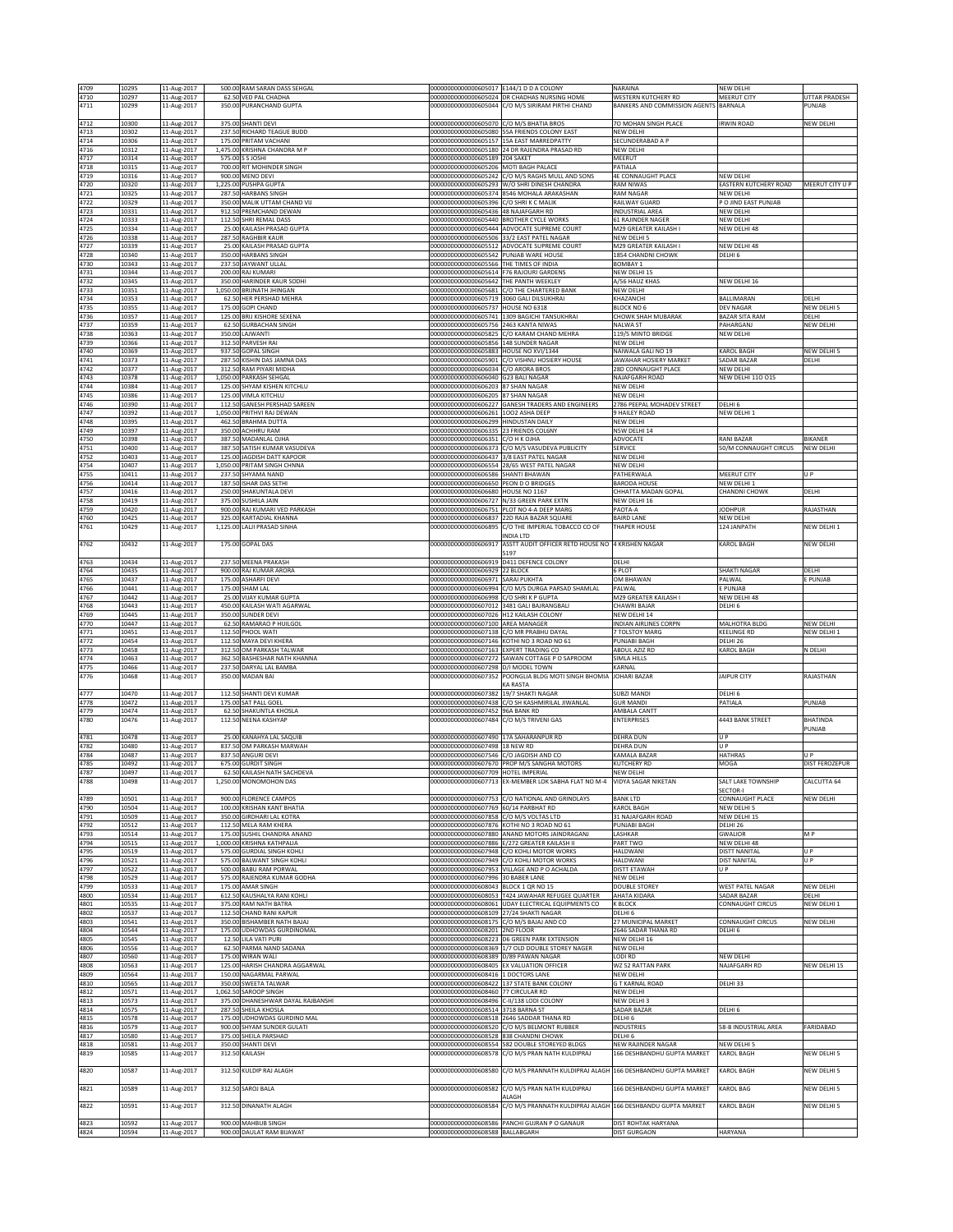| 4709<br>4710 | 10295<br>10297 | 11-Aug-2017<br>11-Aug-2017 | 500.00 RAM SARAN DASS SEHGAL<br>62.50 VED PAL CHADHA        | 00000000000000605017 E144/1 D D A COLONY                                           | 000000000000000605024 DR CHADHAS NURSING HOME                                                             | NARAINA<br>WESTERN KUTCHERY RD                    | <b>VEW DELHI</b><br>MEERUT CITY     | UTTAR PRADESH                                 |
|--------------|----------------|----------------------------|-------------------------------------------------------------|------------------------------------------------------------------------------------|-----------------------------------------------------------------------------------------------------------|---------------------------------------------------|-------------------------------------|-----------------------------------------------|
| 4711         | 10299          | 11-Aug-2017                | 350.00 PURANCHAND GUPTA                                     |                                                                                    | 000000000000000605044 C/O M/S SIRIRAM PIRTHI CHAND                                                        | <b>BANKERS AND COMMISSION AGENTS</b>              | BARNALA                             | PUNJAB                                        |
| 4712         | 10300          | 11-Aug-2017                | 375.00 SHANTI DEVI                                          | 00000000000000605070 C/O M/S BHATIA BROS                                           |                                                                                                           | 70 MOHAN SINGH PLACE                              | <b>RWIN ROAD</b>                    | NEW DELHI                                     |
| 4713<br>4714 | 10302<br>10306 | 11-Aug-2017<br>11-Aug-2017 | 237.50 RICHARD TEAGUE BUDD<br>175.00 PRITAM VACHANI         |                                                                                    | 00000000000000605080 55A FRIENDS COLONY EAST<br>00000000000000605157 15A EAST MARREDPATTY                 | NFW DFI HI<br>SECUNDERABAD A P                    |                                     |                                               |
| 4716         | 10312          | 11-Aug-2017                | 1,475.00 KRISHNA CHANDRA M P                                |                                                                                    | 00000000000000605180 24 DR RAJENDRA PRASAD RD                                                             | NEW DELHI                                         |                                     |                                               |
| 4717<br>4718 | 10314<br>10315 | 11-Aug-2017<br>11-Aug-2017 | 575.00 S S JOSHI<br>700.00 RIT MOHINDER SINGH               | 00000000000000605189 204 SAKET<br>00000000000000605206 MOTI BAGH PALACE            |                                                                                                           | MEERUT<br>PATIALA                                 |                                     |                                               |
| 4719<br>4720 | 10316<br>10320 | 11-Aug-2017<br>11-Aug-2017 | 900.00 MENO DEVI<br>1,225.00 PUSHPA GUPTA                   |                                                                                    | 000000000000000605242 C/O M/S RAGHS MULL AND SONS<br>00000000000000605293 W/O SHRI DINESH CHANDRA         | <b>4E CONNAUGHT PLACE</b><br>RAM NIWAS            | NEW DELHI<br>EASTERN KUTCHERY ROAD  | MEERUT CITY U P                               |
| 4721         | 10325          | 11-Aug-2017                | 287.50 HARBANS SINGH                                        |                                                                                    | 00000000000000605374 8546 MOHALA ARAKASHAN                                                                | RAM NAGAR                                         | <b>JEW DELHI</b>                    |                                               |
| 4722<br>4723 | 10329<br>10331 | 11-Aug-2017<br>11-Aug-2017 | 350.00 MALIK UTTAM CHAND VIJ<br>912.50 PREMCHAND DEWAN      | 00000000000000605396 C/O SHRI K C MALIK<br>00000000000000605436 48 NAJAFGARH RD    |                                                                                                           | RAILWAY GUARD<br>INDUSTRIAL AREA                  | PO JIND EAST PUNJAB<br>NEW DELHI    |                                               |
| 4724<br>4725 | 10333<br>10334 | 11-Aug-2017<br>11-Aug-2017 | 112.50 SHRI REMAL DASS<br>25.00 KAILASH PRASAD GUPTA        |                                                                                    | 00000000000000605440 BROTHER CYCLE WORKS<br>00000000000000605444 ADVOCATE SUPREME COURT                   | 61 RAJINDER NAGER<br>M29 GREATER KAILASH I        | NEW DELHI<br>VEW DELHI 48           |                                               |
| 4726         | 10338          | 11-Aug-2017                | 287.50 RAGHBIR KAUR                                         |                                                                                    | 00000000000000605506 33/2 EAST PATEL NAGAR                                                                | NEW DELHI 5                                       |                                     |                                               |
| 4727<br>4728 | 10339<br>10340 | 11-Aug-2017<br>11-Aug-2017 | 25.00 KAILASH PRASAD GUPTA<br>350.00 HARBANS SINGH          | 000000000000000605542 PUNJAB WARE HOUSE                                            | 00000000000000605512 ADVOCATE SUPREME COURT                                                               | M29 GREATER KAILASH I<br>1854 CHANDNI CHOWK       | NEW DELHI 48<br>DELHI 6             |                                               |
| 4730         | 10343          | 11-Aug-2017                | 237.50 JAYWANT ULLAL                                        | 00000000000000605566                                                               | THE TIMES OF INDIA                                                                                        | <b>BOMBAY 1</b><br>NEW DELHI 15                   |                                     |                                               |
| 4731<br>4732 | 10344<br>10345 | 11-Aug-2017<br>11-Aug-2017 | 200.00 RAJ KUMARI<br>350.00 HARINDER KAUR SODHI             | 00000000000000605614 F76 RAJOURI GARDENS<br>00000000000000605642 THE PANTH WEEKLEY |                                                                                                           | A/56 HAUZ KHAS                                    | NEW DELHI 16                        |                                               |
| 4733<br>4734 | 10351<br>10353 | 11-Aug-2017<br>11-Aug-2017 | 1,050.00 BRIJNATH JHINGAN<br>62.50 HER PERSHAD MEHRA        | 00000000000000605719                                                               | 00000000000000605681 C/O THE CHARTERED BANK<br>3060 GALI DILSUKHRAI                                       | <b>NEW DELHI</b><br>KHAZANCHI                     | BALLIMARAN                          | DELH                                          |
| 4735         | 10355          | 11-Aug-2017                | 175.00 GOPI CHAND                                           | 00000000000000605737                                                               | HOUSE NO 6318                                                                                             | BLOCK NO 6                                        | DEV NAGAR                           | NEW DELHI 5                                   |
| 4736<br>4737 | 10357<br>10359 | 11-Aug-2017<br>11-Aug-2017 | 125.00 BRIJ KISHORE SEXENA<br>62.50 GURBACHAN SINGH         | 00000000000000605756                                                               | 00000000000000605741 1309 BAGICHI TANSUKHRAI<br>2463 KANTA NIWAS                                          | CHOWK SHAH MUBARAK<br>NALWA ST                    | BAZAR SITA RAM<br>PAHARGANJ         | DELHI<br>NEW DELHI                            |
| 4738<br>4739 | 10363<br>10366 | 11-Aug-2017<br>11-Aug-2017 | 350.00 LAJWANTI<br>312.50 PARVESH RAI                       | 0000000000000605825<br>0000000000000605856                                         | C/O KARAM CHAND MEHRA<br>148 SUNDER NAGAR                                                                 | 119/5 MINTO BRIDGE<br>NEW DELHI                   | NEW DELHI                           |                                               |
| 4740         | 10369          | 11-Aug-2017                | 937.50 GOPAL SINGH                                          | 00000000000000605883                                                               | HOUSE NO XVI/1344                                                                                         | NAIWALA GALI NO 19                                | <b>CAROL BAGH</b>                   | NEW DELHI 5                                   |
| 4741<br>4742 | 10373<br>10377 | 11-Aug-2017<br>11-Aug-2017 | 287.50 KISHIN DAS JAMNA DAS<br>312.50 RAM PIYARI MIDHA      | 00000000000000605901<br>00000000000000606034                                       | C/O VISHNU HOSIERY HOUSE<br>C/O ARORA BROS                                                                | JAWAHAR HOSIERY MARKET<br>28D CONNAUGHT PLACE     | SADAR BAZAR<br>NEW DELHI            | DELHI                                         |
| 4743<br>4744 | 10378<br>10384 | 11-Aug-2017<br>11-Aug-2017 | 1,050.00 PARKASH SEHGAL<br>125.00 SHYAM KISHEN KITCHLU      | 00000000000000606040 G23 BALI NAGAR<br>00000000000000606203 87 SHAN NAGAR          |                                                                                                           | NAJAFGARH ROAD<br>NEW DELHI                       | <b>VEW DELHI 110 015</b>            |                                               |
| 4745<br>4746 | 10386<br>10390 | 11-Aug-2017                | 125.00 VIMLA KITCHLU<br>112.50 GANESH PERSHAD SAREEN        | 00000000000000606205 87 SHAN NAGAR<br>00000000000000606227                         | <b>GANESH TRADERS AND ENGINEERS</b>                                                                       | NEW DELHI<br>2786 PEEPAL MOHADEV STREET           | DELHI 6                             |                                               |
| 4747         | 10392          | 11-Aug-2017<br>11-Aug-2017 | 1,050.00 PRITHVI RAJ DEWAN                                  | 00000000000000606261                                                               | 1002 ASHA DEEP                                                                                            | HAILEY ROAD                                       | <b>JEW DELHI 1</b>                  |                                               |
| 4748<br>4749 | 10395<br>10397 | 11-Aug-2017<br>11-Aug-2017 | 462.50 BRAHMA DUTTA<br>350.00 ACHHRU RAM                    | 00000000000000606299 HINDUSTAN DAILY<br>00000000000000606335                       | 23 FRIENDS COL6NY                                                                                         | NEW DELHI<br>N5W DELHI 14                         |                                     |                                               |
| 4750         | 10398          | 11-Aug-2017                | 387.50 MADANLAL OIHA                                        | 00000000000000606351                                                               | С/О Н К ОЈНА<br>C/O M/S VASUDEVA PUBLICITY                                                                | ADVOCATE                                          | RANI BAZAR<br>50/M CONNAUGHT CIRCUS | BIKANER<br>NEW DELHI                          |
| 4751<br>4752 | 10400<br>10403 | 11-Aug-2017<br>11-Aug-2017 | 387.50 SATISH KUMAR VASUDEVA<br>125.00 JAGDISH DATT KAPOOR  | 00000000000000606373                                                               | 00000000000000606437 3/8 EAST PATEL NAGAR                                                                 | SERVICE<br>NEW DELHI                              |                                     |                                               |
| 4754<br>4755 | 10407<br>10411 | 11-Aug-2017<br>11-Aug-2017 | 1,050.00 PRITAM SINGH CHNNA<br>237.50 SHYAMA NAND           | 00000000000000606586 SHANTI BHAWAN                                                 | 00000000000000606554 28/65 WEST PATEL NAGAR                                                               | NEW DELHI<br>PATHERWALA                           | MEERUT CITY                         | U P                                           |
| 4756         | 10414          | 11-Aug-2017                | 187.50<br><b>ISHAR DAS SETHI</b>                            | 00000000000000606650                                                               | PEON D O BRIDGES                                                                                          | <b>BARODA HOUSE</b>                               | <b>VEW DELHI 1</b>                  |                                               |
| 4757<br>4758 | 10416<br>10419 | 11-Aug-2017<br>11-Aug-2017 | 250.00 SHAKUNTALA DEVI<br>375.00 SUSHILA JAIN               | 00000000000000606680 HOUSE NO 1167                                                 | 00000000000000606727 N/33 GREEN PARK EXTN                                                                 | CHHATTA MADAN GOPAL<br>NEW DELHI 16               | CHANDNI CHOWK                       | DELHI                                         |
| 4759<br>4760 | 10420<br>10425 | 11-Aug-2017<br>11-Aug-2017 | 900.00 RAJ KUMARI VED PARKASH<br>325.00<br>KARTADIAL KHANNA | 00000000000000606837                                                               | 00000000000000606751 PLOT NO 4-A DEEP MARG<br>22D RAJA BAZAR SQUARE                                       | PAOTA-A<br><b>BAIRD LANE</b>                      | <b>JODHPUR</b><br><b>VEW DELH</b>   | RAJASTHAN                                     |
| 4761         | 10429          | 11-Aug-2017                | 1,125.00 LALJI PRASAD SINHA                                 | 0000000000000606895                                                                | C/O THE IMPERIAL TOBACCO CO OF                                                                            | <b>THAPER HOUSE</b>                               | 124 JANPATH                         | NEW DELHI 1                                   |
| 4762         | 10432          | 11-Aug-2017                | 175.00 GOPAL DAS                                            | 00000000000000606917                                                               | INDIA LTD<br>ASSTT AUDIT OFFICER RETD HOUSE NO                                                            | 4 KRISHEN NAGAR                                   | KAROL BAGH                          | NEW DELHI                                     |
| 4763         | 10434          | 11-Aug-2017                | 237.50 MEENA PRAKASH                                        | 00000000000000606919                                                               | 5197<br>D411 DEFENCE COLONY                                                                               | DELHI                                             |                                     |                                               |
| 4764         | 10435          | 11-Aug-2017                | 900.00 RAJ KUMAR ARORA                                      | 00000000000000606929 22 BLOCK                                                      |                                                                                                           | 6 PLOT                                            | SHAKTI NAGAR                        | DELHI                                         |
| 4765<br>4766 | 10437<br>10441 | 11-Aug-2017<br>11-Aug-2017 | 175.00 ASHARFI DEVI<br>175.00 SHAM LAL                      | 00000000000000606971 SARAI PUKHTA<br>00000000000000606994                          | C/O M/S DURGA PARSAD SHAMLAL                                                                              | OM BHAWAN<br>PALWAL                               | PALWAL<br>E PUNJAB                  | E PUNJAB                                      |
| 4767<br>4768 | 10442<br>10443 | 11-Aug-2017<br>11-Aug-2017 | 25.00 VIJAY KUMAR GUPTA<br>450.00 KAILASH WATI AGARWAL      | 0000000000000606998                                                                | C/O SHRIK P GUPTA<br>00000000000000607012 3481 GALI BAJRANGBALI                                           | M29 GREATER KAILASH I<br>CHAWRI BAJAR             | VEW DELHI 48<br>DELHI 6             |                                               |
| 4769         | 10445          | 11-Aug-2017                | 350.00 SUNDER DEVI                                          | 00000000000000607026 H12 KAILASH COLONY                                            |                                                                                                           | NEW DELHI 14                                      |                                     |                                               |
| 4770<br>4771 | 10447<br>10451 | 11-Aug-2017<br>11-Aug-2017 | 62.50 RAMARAO P HUILGOL<br>112.50 PHOOL WATI                | 00000000000000607100 AREA MANAGER<br>0000000000000607138                           | C/O MR PRABHU DAYAL                                                                                       | NDIAN AIRLINES CORPN<br><b>TOLSTOY MARG</b>       | MALHOTRA BLDG<br><b>CEELINGE RD</b> | NEW DELHI<br>NEW DELHI 1                      |
| 4772<br>4773 | 10454<br>10458 | 11-Aug-2017<br>11-Aug-2017 | 112.50 MAYA DEVI KHERA<br>312.50 OM PARKASH TALWAR          | 00000000000000607163 EXPERT TRADING CO                                             | 00000000000000607146 KOTHI NO 3 ROAD NO 61                                                                | PUNJABI BAGH<br>ABDUL AZIZ RD                     | DELHI 26<br>KAROL BAGH              | N DELHI                                       |
| 4774         | 10463          | 11-Aug-2017                | 362.50 BASHESHAR NATH KHANNA                                |                                                                                    | 00000000000000607272 SAWAN COTTAGE P O SAPROOM                                                            | SIMLA HILLS                                       |                                     |                                               |
| 4775<br>4776 | 10466<br>10468 | 11-Aug-2017<br>11-Aug-2017 | 237.50 DARYAL LAL BAMBA<br>350.00 MADAN BAI                 | 00000000000000607298 D/I MODEL TOWN                                                | 00000000000000607352 POONGLIA BLDG MOTI SINGH BHOMIA                                                      | KARNAL<br>JOHARI BAZAR                            | <b>JAIPUR CITY</b>                  | RAJASTHAN                                     |
| 4777         | 10470          | 11-Aug-2017                | 112.50 SHANTI DEVI KUMAR                                    | 00000000000000607382                                                               | KA RASTA<br>19/7 SHAKTI NAGAR                                                                             | UBZI MANDI                                        | DELHI <sub>6</sub>                  |                                               |
| 4778         | 10472          | 11-Aug-2017                | SAT PALL GOEL<br>175.00                                     | 00000000000000607438                                                               | C/O SH KASHMIRILAL JIWANLAL                                                                               | <b>GUR MANDI</b>                                  | <b>ATIALA</b>                       | <b>UNJAB</b>                                  |
| 4779<br>4780 | 10474<br>10476 | 11-Aug-2017<br>11-Aug-2017 | 62.50 SHAKUNTLA KHOSLA<br>112.50 NEENA KASHYAP              | 00000000000000607452<br>0000000000000607484                                        | 96A BANK RD<br>C/O M/S TRIVENI GAS                                                                        | AMBALA CANTT<br><b>ENTERPRISES</b>                | <b>443 BANK STREET</b>              | <b>BHATINDA</b>                               |
| 4781         | 10478          | 11-Aug-2017                | 25.00 KANAHYA LAL SAQUIB                                    | 00000000000000607490 17A SAHARANPUR RD                                             |                                                                                                           | <b>DEHRA DUN</b>                                  | U P                                 | PUNJAB                                        |
| 4782         | 10480          | 11-Aug-2017                | 837.50 OM PARKASH MARWAH                                    | 00000000000000607498 18 NEW RD                                                     |                                                                                                           | <b>DEHRA DUN</b>                                  | U P                                 |                                               |
| 4784<br>4785 | 10487<br>10492 | 11-Aug-2017<br>11-Aug-2017 | 837.50 ANGURI DEVI<br>675.00 GURDIT SINGH                   | 00000000000000607546 C/O JAGDISH AND CO                                            | 00000000000000607670 PROP M/S SANGHA MOTORS                                                               | KAMALA BAZAR<br><b>KUTCHERY RD</b>                | HATHRAS<br>MOGA                     | $\mathsf{II} \, \mathsf{P}$<br>DIST FEROZEPUR |
| 4787         | 10497          | 11-Aug-2017                | 62.50 KAILASH NATH SACHDEVA                                 | 00000000000000607709 HOTEL IMPERIAL                                                |                                                                                                           | NEW DELHI                                         |                                     |                                               |
| 4/88         | 10498          | 11-Aug-2017                | 1,250.00 MONOMOHON DAS                                      | 0000000000000007713                                                                | X-MEMBER LOK SABHA FLAT NO M-4                                                                            | VIDYA SAGAR NIKE I AN                             | ALI LAKE IOWNSHIP<br>SECTOR-I       | .ALCUTTA 64                                   |
| 4789<br>4790 | 10501<br>10504 | 11-Aug-2017<br>11-Aug-2017 | 900.00 FLORENCE CAMPOS                                      |                                                                                    |                                                                                                           |                                                   |                                     |                                               |
| 4791         | 10509          |                            | 100.00 KRISHAN KANT BHATIA                                  | 00000000000000607769 60/14 PARBHAT RD                                              | 00000000000000607753 C/O NATIONAL AND GRINDLAYS                                                           | <b>BANK LTD</b><br><b>KAROL BAGH</b>              | CONNAUGHT PLACE<br>NEW DELHI 5      | NEW DELHI                                     |
| 4792<br>4793 |                | 11-Aug-2017                | 350.00 GIRDHARI LAL KOTRA                                   | 00000000000000607858 C/O M/S VOLTAS LTD                                            |                                                                                                           | 31 NAJAFGARH ROAD                                 | NEW DELHI 15                        |                                               |
| 4794<br>4795 | 10512<br>10514 | 11-Aug-2017<br>11-Aug-2017 | 112.50 MELA RAM KHERA<br>175.00 SUSHIL CHANDRA ANAND        |                                                                                    | 00000000000000607876 KOTHI NO 3 ROAD NO 61<br>00000000000000607880 ANAND MOTORS JAINDRAGANJ               | PUNJABI BAGH<br>LASHKAR                           | DELHI 26<br>GWALIOR                 | M <sub>P</sub>                                |
|              | 10515          | 11-Aug-2017                | 1.000.00 KRISHNA KATHPALIA                                  |                                                                                    | 00000000000000607886 E/272 GREATER KAILASH II                                                             | <b>PART TWO</b>                                   | NEW DELHI 48                        | U P                                           |
| 4796         | 10519<br>10521 | 11-Aug-2017<br>11-Aug-2017 | 575.00 GURDIAL SINGH KOHLI<br>575.00 BALWANT SINGH KOHLI    |                                                                                    | 00000000000000607948 C/O KOHLI MOTOR WORKS<br>00000000000000607949 C/O KOHLI MOTOR WORKS                  | HALDWANI<br>HALDWANI                              | DISTT NANITAL<br>DIST NANITAL       | U P                                           |
| 4797<br>4798 | 10522<br>10529 | 11-Aug-2017<br>11-Aug-2017 | 500.00 BABU RAM PORWAL<br>575.00 RAJENDRA KUMAR GODHA       | 00000000000000607996 30 BABER LANE                                                 | 00000000000000607953 VILLAGE AND P O ACHALDA                                                              | DISTT ETAWAH<br>NEW DELHI                         | U P                                 |                                               |
| 4799         | 10533          | 11-Aug-2017                | 175.00 AMAR SINGH                                           | 00000000000000608043 BLOCK 1 QR NO 15                                              |                                                                                                           | <b>DOUBLE STOREY</b>                              | WEST PATEL NAGAR                    | NEW DELHI                                     |
| 4800<br>4801 | 10534<br>10535 | 11-Aug-2017<br>11-Aug-2017 | 612.50 KAUSHALYA RANI KOHLI<br>375.00 RAM NATH BATRA        |                                                                                    | 000000000000000608053 T424 JAWAHAR REFUGEE QUARTER<br>000000000000000608061 UDAY ELECTRICAL EQUIPMENTS CO | AHATA KIDARA<br>K BLOCK                           | SADAR BAZAR<br>CONNAUGHT CIRCUS     | DELHI<br>NEW DELHI 1                          |
| 4802<br>4803 | 10537<br>10541 | 11-Aug-2017<br>11-Aug-2017 | 112.50 CHAND RANI KAPUR<br>350.00 BISHAMBER NATH BAJAJ      | 000000000000000608109 27/24 SHAKTI NAGAR                                           | 00000000000000608175 C/O M/S BAJAJ AND CO                                                                 | DELHI 6<br>27 MUNICIPAL MARKET                    | CONNAUGHT CIRCUS                    | NEW DELHI                                     |
| 4804         | 10544          | 11-Aug-2017                | 175.00 UDHOWDAS GURDINOMAL                                  | 00000000000000608201 2ND FLOOR                                                     |                                                                                                           | 2646 SADAR THANA RD                               | DELHI 6                             |                                               |
| 4805<br>4806 | 10545<br>10556 | 11-Aug-2017<br>11-Aug-2017 | 12.50 LILA VATI PURI<br>62.50 PARMA NAND SADANA             |                                                                                    | 00000000000000608223 D6 GREEN PARK EXTENSION<br>00000000000000608369 1/7 OLD DOUBLE STOREY NAGER          | NEW DELHI 16<br><b>NEW DELHI</b>                  |                                     |                                               |
| 4807<br>4808 | 10560<br>10563 | 11-Aug-2017                | 175.00 WIRAN WALL<br>125.00 HARISH CHANDRA AGGARWAL         | 000000000000000608389 D/89 PAWAN NAGAR                                             | 00000000000000608405 EX VALUATION OFFICER                                                                 | LODI RD<br>WZ 52 RATTAN PARK                      | NEW DELHI<br>NAJAFGARH RD           | NEW DELHI 15                                  |
| 4809         | 10564          | 11-Aug-2017<br>11-Aug-2017 | 150.00 NAGARMAL PARWAL                                      | 00000000000000608416 1 DOCTORS LANE                                                |                                                                                                           | NEW DELHI                                         |                                     |                                               |
| 4810<br>4812 | 10565<br>10571 | 11-Aug-2017<br>11-Aug-2017 | 350.00 SWEETA TALWAR<br>1,062.50 SAROOP SINGH               | 00000000000000608460 77 CIRCULAR RD                                                | 00000000000000608422 137 STATE BANK COLONY                                                                | <b>G T KARNAL ROAD</b><br>NEW DELHI               | DELHI 33                            |                                               |
| 4813         | 10573          | 11-Aug-2017                | 375.00 DHANESHWAR DAYAL RAJBANSHI                           | 00000000000000608496 C-II/138 LODI COLONY                                          |                                                                                                           | NEW DELHI 3                                       |                                     |                                               |
| 4814<br>4815 | 10575<br>10578 | 11-Aug-2017<br>11-Aug-2017 | 287.50 SHEILA KHOSLA<br>175.00 UDHOWDAS GURDINO MAL         | 00000000000000608514 3718 BARNA ST                                                 | 00000000000000608518 2646 SADDAR THANA RD                                                                 | SADAR BAZAR<br>DELHI <sub>6</sub>                 | DELHI 6                             |                                               |
| 4816<br>4817 | 10579<br>10580 | 11-Aug-2017<br>11-Aug-2017 | 900.00 SHYAM SUNDER GULATI<br>375.00 SHEILA PARSHAD         | 00000000000000608528 838 CHANDNI CHOWK                                             | 00000000000000608520 C/O M/S BELMONT RUBBER                                                               | <b>INDUSTRIES</b><br>DELHI <sub>6</sub>           | 58-B INDUSTRIAL AREA                | FARIDABAD                                     |
| 4818<br>4819 | 10581<br>10585 | 11-Aug-2017                | 350.00 SHANTI DEVI<br>312.50 KAILASH                        |                                                                                    | 00000000000000608554 582 DOUBLE STOREYED BLDGS<br>000000000000000608578 C/O M/S PRAN NATH KULDIPRAJ       | NEW RAJINDER NAGAR<br>166 DESHBANDHU GUPTA MARKET | NEW DELHI 5<br>KAROL BAGH           | NEW DELHI 5                                   |
|              |                | 11-Aug-2017                |                                                             |                                                                                    |                                                                                                           |                                                   |                                     |                                               |
| 4820         | 10587          | 11-Aug-2017                | 312.50 KULDIP RAJ ALAGH                                     | 00000000000000608580                                                               | C/O M/S PRANNATH KULDIPRAJ ALAGH 166 DESHBANDHU GUPTA MARKET                                              |                                                   | KAROL BAGH                          | NEW DELHI 5                                   |
| 4821         | 10589          | 11-Aug-2017                | 312.50 SAROJ BALA                                           | 00000000000000608582                                                               | C/O M/S PRAN NATH KULDIPRAJ<br>ALAGH                                                                      | 166 DESHBANDHU GUPTA MARKET                       | KAROL BAG                           | NEW DELHI 5                                   |
| 4822         | 10591          | 11-Aug-2017                | 312.50 DINANATH ALAGH                                       | 00000000000000608584                                                               | C/O M/S PRANNATH KULDIPRAJ ALAGH 166 DESHBANDU GUPTA MARKET                                               |                                                   | KAROL BAGH                          | NEW DELHI 5                                   |
| 4823<br>4824 | 10592<br>10594 | 11-Aug-2017<br>11-Aug-2017 | 900.00 MAHBUB SINGH<br>900.00 DAULAT RAM BIJAWAT            | 00000000000000608588 BALLABGARH                                                    | 00000000000000608586 PANCHI GUJRAN P O GANAUR                                                             | DIST ROHTAK HARYANA<br><b>DIST GURGAON</b>        | HARYANA                             |                                               |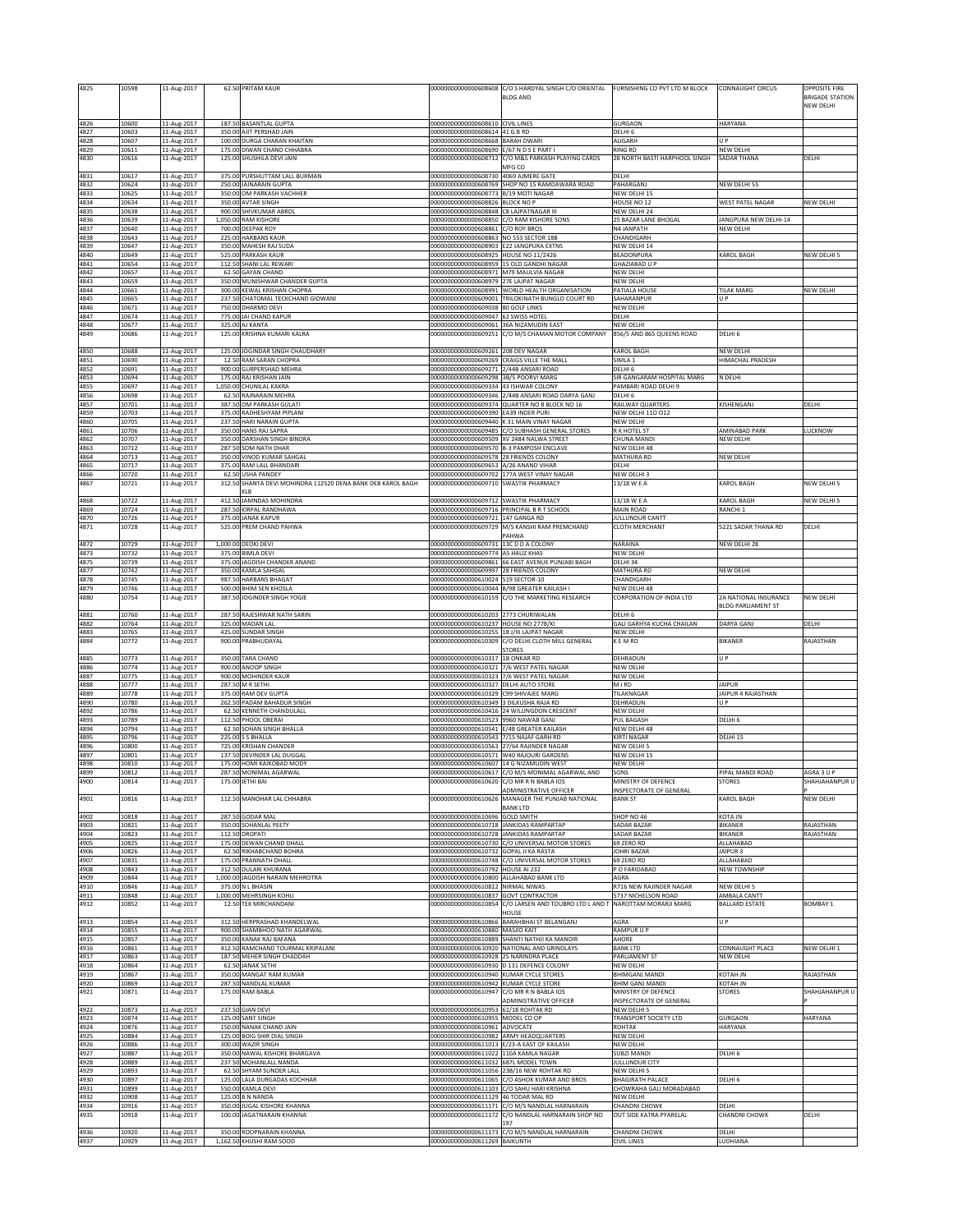| 4825         | 10598          | 11-Aug-2017                | 62.50 PRITAM KAUR                                                     | 00000000000000608608                                                            | C/O S HARDYAL SINGH C/O ORIENTAL<br><b>BLDG AND</b>                                                 | FURNISHING CO PVT LTD M BLOCK                    | CONNAUGHT CIRCUS                 | <b>OPPOSITE FIRE</b><br><b>BRIGADE STATION</b> |
|--------------|----------------|----------------------------|-----------------------------------------------------------------------|---------------------------------------------------------------------------------|-----------------------------------------------------------------------------------------------------|--------------------------------------------------|----------------------------------|------------------------------------------------|
|              |                |                            |                                                                       |                                                                                 |                                                                                                     |                                                  |                                  | NEW DELHI                                      |
| 4826         | 10600          | 11-Aug-2017                | 187.50 BASANTLAL GUPTA                                                | 00000000000000608610 CIVIL LINES                                                |                                                                                                     | GURGAON                                          | HARYANA                          |                                                |
| 4827         | 10603          | 11-Aug-2017                | 350.00 AJIT PERSHAD JAIN                                              | 00000000000000608614 41 G B RD                                                  |                                                                                                     | DELHI 6<br>ALIGARH                               | II P                             |                                                |
| 4828<br>4829 | 10607<br>10611 | 11-Aug-2017<br>11-Aug-2017 | 100.00 DURGA CHARAN KHAITAN<br>175.00 DIWAN CHAND CHHABRA             | 00000000000000608668 BARAH DWAR<br>00000000000000608690                         | E/67 N D S E PART                                                                                   | <b>RING RD</b>                                   | NEW DELHI                        |                                                |
| 4830         | 10616          | 11-Aug-2017                | 125.00 SHUSHILA DEVI JAIN                                             | 00000000000000608712                                                            | C/O M&S PARKASH PLAYING CARDS<br>MFG CO                                                             | 28 NORTH BASTI HARPHOOL SINGH                    | SADAR THANA                      | DELHI                                          |
| 4831         | 10617          | 11-Aug-2017                | 375.00 PURSHUTTAM LALL BURMAN                                         | 00000000000000608730 4069 AJMERE GATE                                           |                                                                                                     | DELHI                                            |                                  |                                                |
| 4832<br>4833 | 10624<br>10625 | 11-Aug-2017<br>11-Aug-2017 | 250.00 JAINARAIN GUPTA<br>350.00 OM PARKASH VACHHER                   | 00000000000000608773 B/19 MOTI NAGAR                                            | 00000000000000608769 SHOP NO 15 RAMDAWARA ROAD                                                      | PAHARGANJ<br>NEW DELHI 15                        | NEW DELHI 55                     |                                                |
| 4834<br>4835 | 10634<br>10638 | 11-Aug-2017<br>11-Aug-2017 | 350.00 AVTAR SINGH<br>900.00 SHIVKUMAR ABROL                          | 00000000000000608826 BLOCK NO P<br>00000000000000608848 C8 LAJPATNAGAR III      |                                                                                                     | HOUSE NO 12<br>NEW DELHI 24                      | WEST PATEL NAGAR                 | NEW DELHI                                      |
| 4836         | 10639          | 11-Aug-2017                | 1,050.00 RAM KISHORE                                                  | 00000000000000608850                                                            | C/O RAM KISHORE SONS                                                                                | 25 BAZAR LANE BHOGAL                             | JANGPURA NEW DELHI-14            |                                                |
| 4837<br>4838 | 10640<br>10643 | 11-Aug-2017<br>11-Aug-2017 | 700.00 DEEPAK ROY<br>225.00 HARBANS KAUR                              | 00000000000000608861<br>00000000000000608863 NO 553 SECTOR 18B                  | C/O ROY BROS                                                                                        | N4 JANPATH<br>CHANDIGARH                         | NEW DELHI                        |                                                |
| 4839         | 10647          | 11-Aug-2017                | 350.00 MAHESH RAJ SUDA                                                | 00000000000000608903 E22 JANGPURA EXTNS                                         |                                                                                                     | NEW DELHI 14                                     |                                  |                                                |
| 4840<br>4841 | 10649<br>10654 | 11-Aug-2017<br>11-Aug-2017 | 525.00 PARKASH KAUR<br>112.50 SHANI LAL REWARI                        | 00000000000000608925 HOUSE NO 11/2426<br>00000000000000608959                   | 15 OLD GANDHI NAGAR                                                                                 | BEADONPURA<br>GHAZIABAD U P                      | <b>CAROL BAGH</b>                | NEW DELHI 5                                    |
| 4842<br>4843 | 10657          | 11-Aug-2017<br>11-Aug-2017 | 62.50 GAYAN CHAND<br>350.00 MUNISHWAR CHANDER GUPTA                   | 00000000000000608971 M79 MAULVIA NAGAR<br>00000000000000608979 27E LAJPAT NAGAR |                                                                                                     | NEW DELHI<br>NEW DELHI                           |                                  |                                                |
| 4844         | 10659<br>10661 | 11-Aug-2017                | 300.00 KEWAL KRISHAN CHOPRA                                           |                                                                                 | 00000000000000608991 WORLD HEALTH ORGANISATION                                                      | PATIALA HOUSE                                    | <b>TILAK MARG</b>                | <b>NEW DELHI</b>                               |
| 4845<br>4846 | 10665<br>10671 | 11-Aug-2017<br>11-Aug-2017 | 237.50 CHATOMAL TECKCHAND GIDWANI<br>750.00 DHARMO DEVI               | 0000000000000609001<br>00000000000000609038 80 GOLF LINKS                       | TRILOKINATH BUNGLO COURT RD                                                                         | SAHARANPUR<br>NEW DELHI                          |                                  |                                                |
| 4847         | 10674          | 11-Aug-2017                | 775.00 JAI CHAND KAPUR                                                | 00000000000000609047 62 SWISS HOTEL                                             |                                                                                                     | DELHI                                            |                                  |                                                |
| 4848<br>4849 | 10677<br>10686 | 11-Aug-2017<br>11-Aug-2017 | 325.00 AJ KANTA<br>125.00 KRISHNA KUMARI KALRA                        | 000000000000000609061 36A NIZAMUDIN EAST                                        | 000000000000000609251 C/O M/S CHAMAN MOTOR COMPANY                                                  | NEW DELHI<br>856/5 AND 865 QUEENS ROAD           | DELHI <sub>6</sub>               |                                                |
| 4850         | 10688          |                            | 125.00 JOGINDAR SINGH CHAUDHARY                                       | 00000000000000609261 208 DEV NAGAR                                              |                                                                                                     |                                                  | NEW DELHI                        |                                                |
| 4851         | 10690          | 11-Aug-2017<br>11-Aug-2017 | 12.50 RAM SARAN CHOPRA                                                | 00000000000000609269 CRAIGS VILLE THE MALL                                      |                                                                                                     | KAROL BAGH<br>SIMLA <sub>1</sub>                 | HIMACHAL PRADESH                 |                                                |
| 4852<br>4853 | 10691<br>10694 | 11-Aug-2017<br>11-Aug-2017 | 900.00 GURPERSHAD MEHRA<br>175.00 RAJ KRISHAN JAIN                    | 00000000000000609271 2/44B ANSARI ROAD<br>00000000000000609298 3B/5 POORVI MARG |                                                                                                     | DELHI <sub>6</sub><br>SIR GANGARAM HOSPITAL MARG | N DELHI                          |                                                |
| 4855         | 10697          | 11-Aug-2017                | 1,050.00 CHUNILAL KAKRA                                               | 00000000000000609334 43 ISHWAR COLONY                                           |                                                                                                     | PAMBARI ROAD DELHI 9                             |                                  |                                                |
| 4856<br>4857 | 10698<br>10701 | 11-Aug-2017<br>11-Aug-2017 | 62.50 RAJNARAIN MEHRA<br>387.50 OM PARKASH GULATI                     |                                                                                 | 000000000000000609346 2/44B ANSARI ROAD DARYA GANJ<br>00000000000000609374 QUARTER NO 8 BLOCK NO 16 | DELHI 6<br>RAILWAY QUARTERS                      | KISHENGANJ                       | DELHI                                          |
| 4859<br>4860 | 10703<br>10705 | 11-Aug-2017<br>11-Aug-2017 | 375.00 RADHESHYAM PIPLANI<br>237.50 HARI NARAIN GUPTA                 | 00000000000000609390 EA39 INDER PURI                                            | 00000000000000609440 K 31 MAIN VINAY NAGAR                                                          | NEW DELHI 110 012<br>NEW DELHI                   |                                  |                                                |
| 4861         | 10706          | 11-Aug-2017                | 350.00 HANS RAJ SAPRA                                                 |                                                                                 | 00000000000000609485 C/O SUBHASH GENERAL STORES                                                     | R K HOTEL ST                                     | AMINARAD PARK                    | LUCKNOW                                        |
| 4862<br>4863 | 10707<br>10712 | 11-Aug-2017<br>11-Aug-2017 | 350.00 DARSHAN SINGH BINDRA<br>287.50 SOM NATH DHAR                   | 00000000000000609509 XV 2484 NALWA STREET                                       | 00000000000000009570 B-3 PAMPOSH ENCLAVE                                                            | CHUNA MANDI<br>NEW DELHI 48                      | NEW DELH                         |                                                |
| 4864         | 10713          | 11-Aug-2017                | 350.00 VINOD KUMAR SAHGAL                                             | 00000000000000609578 28 FRIENDS COLONY                                          |                                                                                                     | MATHURA RD                                       | NEW DELHI                        |                                                |
| 4865<br>4866 | 10717<br>10720 | 11-Aug-2017<br>11-Aug-2017 | 375.00 RAM LALL BHANDARI<br>62.50 USHA PANDEY                         | 00000000000000609653 A/26 ANAND VIHAR                                           | 00000000000000609702 177A WEST VINAY NAGAR                                                          | DELHI<br>NEW DELHI 3                             |                                  |                                                |
| 4867         | 10721          | 11-Aug-2017                | 312.50<br>SHANTA DEVI MOHINDRA 112520 DENA BANK DEB KAROL BAGH<br>KLB | 00000000000000609710 SWASTIK PHARMACY                                           |                                                                                                     | 13/18 W E A                                      | <b>AROL BAGH</b>                 | NEW DELHI 5                                    |
| 4868         | 10722          | 11-Aug-2017                | 412.50 JAMNDAS MOHINDRA                                               | 00000000000000609712 SWASTIK PHARMACY                                           |                                                                                                     | $13/18$ W E A                                    | KAROL BAGH                       | NEW DELHI 5                                    |
| 4869<br>4870 | 10724<br>10726 | 11-Aug-2017<br>11-Aug-2017 | 287.50 KIRPAL RANDHAWA<br>375.00 JANAK KAPUR                          | 00000000000000609721 147 GANGA RD                                               | 00000000000000609716 PRINCIPAL B R T SCHOOL                                                         | <b>MAIN ROAD</b><br>JULLUNDUR CANTT              | RANCHI 1                         |                                                |
| 4871         | 10728          | 11-Aug-2017                | 525.00 PREM CHAND PAHWA                                               |                                                                                 | 00000000000000609729 M/S KANSHI RAM PREMCHAND                                                       | <b>CLOTH MERCHANT</b>                            | 5221 SADAR THANA RD              | DELHI                                          |
| 4872         | 10729          | 11-Aug-2017                | 1,000.00 DEOKI DEVI                                                   | 00000000000000609731                                                            | PAHWA<br>13C D D A COLONY                                                                           | NARAINA                                          | NEW DELHI 28                     |                                                |
| 4873         | 10732          | 11-Aug-2017<br>11-Aug-2017 | 375.00 BIMLA DEVI<br>375.00 JAGDISH CHANDER ANAND                     | 00000000000000609774 A5 HAUZ KHAS                                               | 000000000000000609861 66 EAST AVENUE PUNJABI BAGH                                                   | NEW DELHI                                        |                                  |                                                |
| 4875<br>4877 | 10739<br>10742 | 11-Aug-2017                | 350.00 KAMLA SAHGAL                                                   | 00000000000000609997 28 FRIENDS COLONY                                          |                                                                                                     | DELHI 34<br>MATHURA RD                           | NEW DELHI                        |                                                |
| 4878<br>4879 | 10745<br>10746 | 11-Aug-2017<br>11-Aug-2017 | 987.50 HARBANS BHAGAT<br>500.00 BHIM SEN KHOSLA                       | 00000000000000610024 519 SECTOR-10                                              | 00000000000000610044 B/98 GREATER KAILASH                                                           | CHANDIGARH<br>NEW DELHI 48                       |                                  |                                                |
| 4880         | 10754          | 11-Aug-2017                | 387.50 JOGINDER SINGH YOGIE                                           | 00000000000000610159                                                            | C/O THE MARKETING RESEARCH                                                                          | CORPORATION OF INDIA LTD                         | 2A NATIONAL INSURANCE            | NEW DELHI                                      |
|              |                |                            |                                                                       |                                                                                 |                                                                                                     |                                                  | BLDG PARLIAMENT ST               |                                                |
|              |                |                            |                                                                       |                                                                                 |                                                                                                     | DELHL6                                           |                                  |                                                |
| 4881<br>4882 | 10760<br>10764 | 11-Aug-2017<br>11-Aug-2017 | 287.50 RAJESHWAR NATH SARIN<br>325.00 MADAN LAL                       | 00000000000000610203 2773 CHURIWALAN<br>00000000000000610237 HOUSE NO 2778/XI   |                                                                                                     | <b>GALI GARHYA KUCHA CHAILAN</b>                 | DARYA GANJ                       | DELHI                                          |
| 4883<br>4884 | 10765<br>10772 | 11-Aug-2017<br>11-Aug-2017 | 425.00 SUNDAR SINGH<br>900.00 PRABHUDAYAL                             | 00000000000000610255 38 J/III LAJPAT NAGAR                                      | 000000000000000610309 C/O DELHI CLOTH MILL GENERAL                                                  | NEW DELHI<br>K E M RD                            | <b>BIKANER</b>                   | RAJASTHAN                                      |
|              |                |                            |                                                                       |                                                                                 | <b>STORES</b>                                                                                       |                                                  | U P                              |                                                |
| 4885<br>4886 | 10773<br>10774 | 11-Aug-2017<br>11-Aug-2017 | 350.00 TARA CHAND<br>900.00 ANOOP SINGH                               | 00000000000000610317 1B ONKAR RD                                                | 00000000000000610321 7/6 WEST PATEL NAGAR                                                           | DEHRADUN<br>NEW DELHI                            |                                  |                                                |
| 4887<br>4888 | 10775<br>10777 | 11-Aug-2017<br>11-Aug-2017 | 900.00 MOHINDER KAUR<br>287.50 M R SETHI                              | 00000000000000610327 DELHI AUTO STORE                                           | 00000000000000610323 7/6 WEST PATEL NAGAR                                                           | NEW DELHI<br>MIRD                                | AIPUR                            |                                                |
| 4889         | 10778          | 11-Aug-2017                | 375.00 RAM DEV GUPTA                                                  | 00000000000000610329 C99 SHIVAJEE MARG                                          |                                                                                                     | <b>TILAKNAGAR</b>                                | <b>AIPUR 4 RAJASTHAN</b>         |                                                |
| 4890<br>4892 | 10780<br>10786 | 11-Aug-2017<br>11-Aug-2017 | 262.50 PADAM BAHADUR SINGH<br>62.50 KENNETH CHANDULALL                | 000000000000000610349 3 DILKUSHA RAJA RD                                        | 00000000000000610416 24 WILLINGDON CRESCENT                                                         | DEHRADUN<br>NEW DELHI                            | UР                               |                                                |
| 4893<br>4894 | 10789<br>10794 | 11-Aug-2017                | 112.50 PHOOL OBERAI                                                   | 00000000000000610523 9960 NAWAB GANJ                                            |                                                                                                     | PUL BAGASH                                       | DELHI 6                          |                                                |
| 4895         | 10796          | 11-Aug-2017<br>11-Aug-2017 | 62.50 SOHAN SINGH BHALLA<br>225.00 S S BHALLA                         | 00000000000000610541 E/48 GREATER KAILASH<br>00000000000000610543               | 7/15 NAJAF GARH RD                                                                                  | NEW DELHI 48<br><b>KIRTI NAGAR</b>               | DELHI 15                         |                                                |
| 4896<br>4897 | 10800<br>10801 | 11-Aug-2017<br>11-Aug-2017 | 725.00 KRISHAN CHANDER<br>137.50 DEVINDER LAL DUGGAL                  |                                                                                 | 00000000000000610563 27/64 RAJINDER NAGAR<br>00000000000000610571 W40 RAJOURI GARDENS               | NEW DELHI 5<br>NEW DELHI 15                      |                                  |                                                |
| 4898         | 10810          | 11-Aug-2017                | 175.00 HOMI KAIKOBAD MODY                                             | 00000000000000610607 14 G NIZAMUDIN WEST                                        |                                                                                                     | NEW DELHI                                        |                                  |                                                |
| 4899<br>4900 | 10812<br>10814 | 11-Aug-2017<br>11-Aug-2017 | 287.50 MONIMAL AGARWAL<br>1/5.00 JETHI BAI                            | <b>JUUUUUUUUUUUUUb1Ub21</b>                                                     | 00000000000000610617 C/O M/S MONIMAL AGARWAL AND<br>IO MR R N BABLA IOS                             | SONS<br><b>MINISTRY OF DEFENCE</b>               | PIPAL MANDI ROAD<br>SIURES       | AGRA 3 U P<br>SHAHJAHANPUK U                   |
| 4901         | 10816          | 11-Aug-2017                | 112.50 MANOHAR LAL CHHABRA                                            |                                                                                 | ADMINISTRATIVE OFFICER<br>00000000000000610626 MANAGER THE PUNJAB NATIONAL                          | INSPECTORATE OF GENERAL<br><b>BANK ST</b>        | KAROL BAGH                       | NEW DELHI                                      |
|              |                |                            |                                                                       |                                                                                 | <b>BANK LTD</b>                                                                                     |                                                  |                                  |                                                |
| 4902<br>4903 | 10818<br>10821 | 11-Aug-2017<br>11-Aug-2017 | 287.50 GODAR MAL<br>350.00 SOHANLAL PEETY                             | 00000000000000610696 GOLD SMITH<br>00000000000000610718 JANKIDAS RAMPARTAP      |                                                                                                     | SHOP NO 46<br>SADAR BAZAR                        | KOTA JN<br>BIKANER               | RAJASTHAN                                      |
| 4904<br>4905 | 10823<br>10825 | 11-Aug-2017                | 112.50 DROPATI<br>175.00 DEWAN CHAND DHALL                            | 00000000000000610728 JANKIDAS RAMPARTAP                                         |                                                                                                     | SADAR BAZAR<br>69 ZERO RD                        | BIKANER<br>ALLAHABAD             | RAJASTHAN                                      |
| 4906         | 10826          | 11-Aug-2017<br>11-Aug-2017 | 62.50 RIKHABCHAND BOHRA                                               | 00000000000000610732 GOPAL JI KA RASTA                                          | 00000000000000610730 C/O UNIVERSAL MOTOR STORES                                                     | JOHRI BAZAR                                      | AIPUR <sub>3</sub>               |                                                |
| 4907<br>4908 | 10831<br>10843 | 11-Aug-2017<br>11-Aug-2017 | 175.00 PRANNATH DHALL<br>312.50 DULARI KHURANA                        | 00000000000000610792 HOUSE AI 232                                               | 00000000000000610748 C/O UNIVERSAL MOTOR STORES                                                     | 69 ZERO RD<br>P O FARIDABAD                      | ALLAHABAD<br><b>NEW TOWNSHIP</b> |                                                |
| 4909         | 10844          | 11-Aug-2017                | 1,000.00 JAGDISH NARAIN MEHROTRA                                      | 00000000000000610800 ALLAHABAD BANK LTD                                         |                                                                                                     | AGRA                                             |                                  |                                                |
| 4910<br>4911 | 10846<br>10848 | 11-Aug-2017<br>11-Aug-2017 | 375.00 N L BHASIN<br>1,000.00 MEHRSINGH KOHLI                         | 00000000000000610812 NIRMAL NIWAS<br>00000000000000610837 GOVT CONTRACTOR       |                                                                                                     | R716 NEW RAJINDER NAGAR<br>5737 NICHELSON ROAD   | NEW DELHI 5<br>AMBALA CANTT      |                                                |
| 4912         | 10852          | 11-Aug-2017                | 12.50 TEK MIRCHANDANI                                                 | 00000000000000610854                                                            | C/O LARSEN AND TOUBRO LTD L AND T NAROTTAM MORARJI MARG<br>HOUSE                                    |                                                  | <b>BALLARD ESTATE</b>            | BOMBAY 1                                       |
| 4913         | 10854          | 11-Aug-2017                | 312.50 HERPRASHAD KHANDELWAL                                          | 00000000000000610866                                                            | <b>BARAHBHAI ST BELANGANJ</b>                                                                       | AGRA                                             | U P                              |                                                |
| 4914<br>4915 | 10855<br>10857 | 11-Aug-2017<br>11-Aug-2017 | 900.00 SHAMBHOO NATH AGARWAL<br>350.00 KANAK RAJ BAFANA               | 00000000000000610880 MASJID KAIT                                                | 00000000000000610889 SHANTI NATHJI KA MANDIR                                                        | RAMPUR U P<br>AHORE                              |                                  |                                                |
| 4916         | 10861          | 11-Aug-2017                | 412.50 RAMCHAND TOURMAL KRIPALANI                                     |                                                                                 | 00000000000000610920 NATIONAL AND GRINDLAYS                                                         | <b>BANK LTD</b>                                  | CONNAUGHT PLACE                  | NEW DELHI 1                                    |
| 4917<br>4918 | 10863<br>10864 | 11-Aug-2017<br>11-Aug-2017 | 187.50 MEHER SINGH CHADDAH<br>62.50 JANAK SETHI                       | 00000000000000610928 25 NARINDRA PLACE                                          | 00000000000000610930 D 131 DEFENCE COLONY                                                           | PARLIAMENT ST<br><b>NEW DELHI</b>                | NEW DELHI                        |                                                |
| 4919         | 10867          | 11-Aug-2017                | 350.00 MANGAT RAM KUMAR                                               | 00000000000000610940 KUMAR CYCLE STORES                                         |                                                                                                     | <b>BHIMGANJ MANDI</b>                            | KOTAH JN                         | RAJASTHAN                                      |
| 4920<br>4921 | 10869<br>10871 | 11-Aug-2017<br>11-Aug-2017 | 287.50 NANDLAL KUMAR<br>175.00 RAM BABLA                              | 00000000000000610942 KUMAR CYCLE STORE<br>00000000000000610947                  | C/O MR R N BABLA IOS                                                                                | <b>BHIM GANJ MANDI</b><br>MINISTRY OF DEFENCE    | KOTAH JN<br><b>STORES</b>        | SHAHJAHANPUR U                                 |
| 4922         | 10873          | 11-Aug-2017                | 237.50 GIAN DEVI                                                      | 00000000000000610953 61/18 ROHTAK RD                                            | ADMINISTRATIVE OFFICER                                                                              | NSPECTORATE OF GENERAL<br>NEW DELHI 5            |                                  |                                                |
| 4923         | 10874          | 11-Aug-2017                | 125.00 SANT SINGH                                                     | 00000000000000610955 MODEL CO OP                                                |                                                                                                     | TRANSPORT SOCIETY LTD                            | GURGAON                          | HARYANA                                        |
| 4924<br>4925 | 10876<br>10884 | 11-Aug-2017<br>11-Aug-2017 | 150.00 NANAK CHAND JAIN<br>125.00 BOIG SHIR DIAL SINGH                | 00000000000000610961 ADVOCATE<br>00000000000000610982 ARMY HEADQUARTERS         |                                                                                                     | ROHTAK<br>NEW DELHI                              | HARYANA                          |                                                |
| 4926         | 10886<br>10887 | 11-Aug-2017                | 300.00 WAZIR SINGH                                                    | 00000000000000611022 110A KAMLA NAGAR                                           | 00000000000000611013 E/23-A EAST OF KAILASH                                                         | NEW DELHI<br><b>SUBZI MANDI</b>                  | DELHI 6                          |                                                |
| 4927<br>4928 | 10889          | 11-Aug-2017<br>11-Aug-2017 | 350.00 NAWAL KISHORE BHARGAVA<br>237.50 MOHANLALL NANDA               | 00000000000000611032 687L MODEL TOWN                                            |                                                                                                     | <b>JULLUNDUR CITY</b>                            |                                  |                                                |
| 4929<br>4930 | 10893<br>10897 | 11-Aug-2017<br>11-Aug-2017 | 62.50 SHYAM SUNDER LALL<br>125.00 LALA DURGADAS KOCHHAR               |                                                                                 | 00000000000000611056 23B/16 NEW ROHTAK RD<br>00000000000000611065 C/O ASHOK KUMAR AND BROS          | NEW DELHI 5<br><b>BHAGIRATH PALACE</b>           | DELHI 6                          |                                                |
| 4931         | 10899          | 11-Aug-2017                | 550.00 KAMLA DEVI                                                     |                                                                                 | 00000000000000611103 C/O SAHU HARI KRISHNA                                                          | CHOWRAHA GALI MORADABAD                          |                                  |                                                |
| 4932<br>4934 | 10908<br>10916 | 11-Aug-2017<br>11-Aug-2017 | 125.00 B N NANDA<br>350.00 JUGAL KISHORE KHANNA                       | 00000000000000611129 46 TODAR MAL RD                                            | 00000000000000611171 C/O M/S NANDLAL HARNARAIN                                                      | NEW DELHI<br><b>CHANDNI CHOWK</b>                | DELHI                            |                                                |
| 4935         | 10918          | 11-Aug-2017                | 100.00 JAGATNARAIN KHANNA                                             |                                                                                 | 00000000000000611172 C/O NANDLAL HARNARAIN SHOP NO<br>197                                           | OUT SIDE KATRA PYARELAL                          | CHANDNI CHOWK                    | DELHI                                          |
| 4936<br>4937 | 10920<br>10929 | 11-Aug-2017<br>11-Aug-2017 | 350.00 ROOPNARAIN KHANNA<br>1,162.50 KHUSHI RAM SOOD                  | 00000000000000611269 BAIKUNTH                                                   | 00000000000000611173 C/O M/S NANDLAL HARNARAIN                                                      | <b>CHANDNI CHOWK</b><br><b>CIVIL LINES</b>       | DELHI<br>LUDHIANA                |                                                |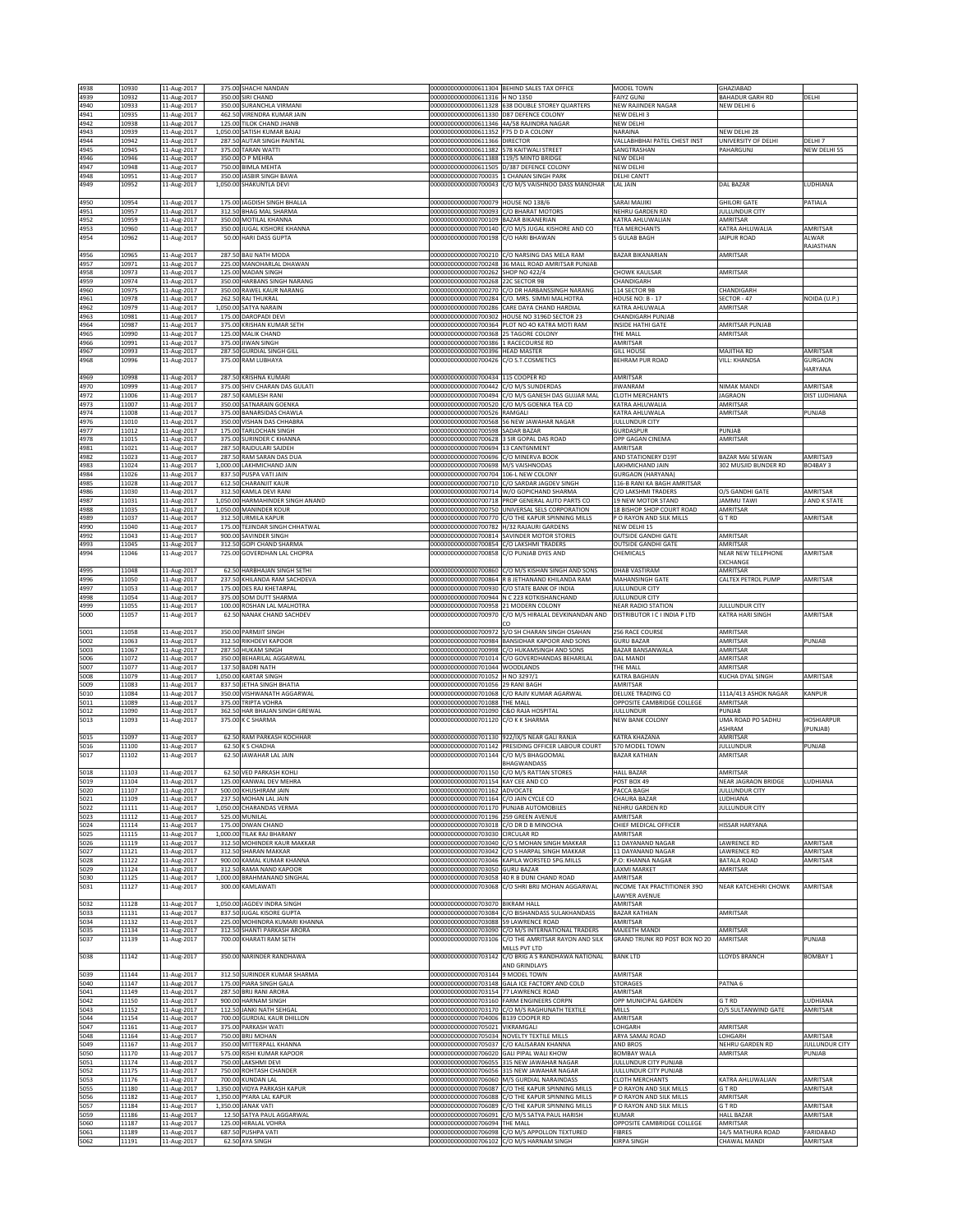| 4938         | 10930          | 11-Aug-2017                | 375.00 SHACHI NANDAN                                       |                                                                                   | 00000000000000611304 BEHIND SALES TAX OFFICE                                              | MODEL TOWN                                      | <b>GHAZIABAD</b>                    |                      |
|--------------|----------------|----------------------------|------------------------------------------------------------|-----------------------------------------------------------------------------------|-------------------------------------------------------------------------------------------|-------------------------------------------------|-------------------------------------|----------------------|
| 4939         | 10932          | 11-Aug-2017                | 350.00 SIRI CHAND                                          | 00000000000000611316 H NO 1350                                                    |                                                                                           | <b>FAIYZ GUNJ</b>                               | BAHADUR GARH RD                     | DELHI                |
| 4940         | 10933          | 11-Aug-2017                | 350.00 SURANCHLA VIRMANI                                   |                                                                                   | 00000000000000611328 638 DOUBLE STOREY QUARTERS                                           | NEW RAJINDER NAGAR                              | NEW DELHI 6                         |                      |
| 4941         | 10935          | 11-Aug-2017                | 462.50 VIRENDRA KUMAR JAIN                                 | 00000000000000611330 D87 DEFENCE COLONY                                           |                                                                                           | NEW DELHI 3                                     |                                     |                      |
| 4942         | 10938          | 11-Aug-2017                | 125.00 TILOK CHAND JHANB                                   | 00000000000000611346 4A/58 RAJINDRA NAGAR                                         |                                                                                           | NEW DELHI                                       |                                     |                      |
| 4943<br>4944 | 10939<br>10942 | 11-Aug-2017                | 1,050.00 SATISH KUMAR BAJAJ<br>287.50 AUTAR SINGH PAINTAL  | 00000000000000611352 F75 D D A COLONY<br>00000000000000611366 DIRECTOR            |                                                                                           | NARAINA<br>VALLABHBHAI PATEL CHEST INST         | NEW DELHI 28<br>JNIVERSITY OF DELHI | DELHI 7              |
| 4945         | 10945          | 11-Aug-2017<br>11-Aug-2017 | 375.00 TARAN WATTI                                         | 00000000000000611382 578 KAITWALI STREET                                          |                                                                                           | SANGTRASHAN                                     | AHARGUNJ                            | NEW DELHI 55         |
| 4946         | 10946          | 11-Aug-2017                | 350.00 O P MEHRA                                           | 00000000000000611388 119/5 MINTO BRIDGE                                           |                                                                                           | NEW DELHI                                       |                                     |                      |
| 4947         | 10948          | 11-Aug-2017                | 750.00 BIMLA MEHTA                                         | 00000000000000611505 D/387 DEFENCE COLONY                                         |                                                                                           | NEW DELHI                                       |                                     |                      |
| 4948<br>4949 | 10951          | 11-Aug-2017                | 350.00 JASBIR SINGH BAWA<br>1.050.00 SHAKUNTLA DEVI        | 000000000000000700035 1 CHANAN SINGH PARK                                         | 00000000000000700043 C/O M/S VAISHNOO DASS MANOHAR                                        | DELHI CANTT                                     | DAL BAZAR                           | LUDHIANA             |
|              | 10952          | 11-Aug-2017                |                                                            |                                                                                   |                                                                                           | LAL JAIN                                        |                                     |                      |
| 4950         | 10954          | 11-Aug-2017                | 175.00 JAGDISH SINGH BHALLA                                | 00000000000000700079 HOUSE NO 138/6                                               |                                                                                           | SARAI MAIJIKI                                   | <b>GHILORI GATE</b>                 | PATIALA              |
| 4951         | 10957          | 11-Aug-2017                | 312.50 BHAG MAL SHARMA                                     | 00000000000000700093                                                              | C/O BHARAT MOTORS                                                                         | NEHRU GARDEN RD                                 | ULLUNDUR CITY                       |                      |
| 4952         | 10959          | 11-Aug-2017                | 350.00 MOTILAL KHANNA                                      | 00000000000000700109                                                              | <b>BAZAR BIKANERIAN</b>                                                                   | KATRA AHLUWALIAN                                | MRITSAR                             |                      |
| 4953         | 10960          | 11-Aug-2017                | 350.00 JUGAL KISHORE KHANNA                                | 00000000000000700140                                                              | C/O M/S JUGAL KISHORE AND CO                                                              | TEA MERCHANTS                                   | ATRA AHLUWALIA                      | AMRITSAR             |
| 4954         | 10962          | 11-Aug-2017                | 50.00 HARI DASS GUPTA                                      | 00000000000000700198                                                              | C/O HARI BHAWAN                                                                           | 5 GULAB BAGH                                    | <b>JAIPUR ROAD</b>                  | ALWAR<br>RAJASTHAN   |
| 4956         | 10965          | 11-Aug-2017                | 287.50 BAIJ NATH MODA                                      |                                                                                   | 00000000000000700210 C/O NARSING DAS MELA RAM                                             | <b>BAZAR BIKANARIAN</b>                         | AMRITSAR                            |                      |
| 4957         | 10971          | 11-Aug-2017                | 225.00 MANOHARLAL DHAWAN                                   |                                                                                   | 00000000000000700248 36 MALL ROAD AMRITSAR PUNJAB                                         |                                                 |                                     |                      |
| 4958         | 10973          | 11-Aug-2017                | 125.00 MADAN SINGH                                         | 00000000000000700262 SHOP NO 422/4                                                |                                                                                           | <b>CHOWK KAULSAR</b>                            | AMRITSAR                            |                      |
| 4959<br>4960 | 10974<br>10975 | 11-Aug-2017                | 350.00 HARBANS SINGH NARANG<br>350.00 RAWEL KAUR NARANG    | 00000000000000700268<br>00000000000000700270                                      | 22C SECTOR 9B<br>C/O DR HARBANSSINGH NARANG                                               | CHANDIGARH<br>114 SECTOR 9B                     | <b>HANDIGARE</b>                    |                      |
| 4961         | 10978          | 11-Aug-2017<br>11-Aug-2017 | 262.50 RAJ THUKRAL                                         | 00000000000000700284                                                              | C/O. MRS. SIMMI MALHOTRA                                                                  | <b>HOUSE NO: B - 17</b>                         | ECTOR - 47                          | NOIDA (U.P.)         |
| 4962         | 10979          | 11-Aug-2017                | 1,050.00 SATYA NARAIN                                      | 00000000000000700286                                                              | CARE DAYA CHAND HARDIAL                                                                   | KATRA AHLUWALA                                  | MRITSAR                             |                      |
| 4963         | 10981          | 11-Aug-2017                | 175.00 DAROPADI DEVI                                       | 00000000000000700302                                                              | HOUSE NO 3196D SECTOR 23                                                                  | CHANDIGARH PUNJAB                               |                                     |                      |
| 4964         | 10987          | 11-Aug-2017                | 375.00 KRISHAN KUMAR SETH                                  |                                                                                   | 00000000000000700364 PLOT NO 40 KATRA MOTI RAM                                            | <b>INSIDE HATHI GATE</b>                        | AMRITSAR PUNJAB                     |                      |
| 4965         | 10990          | 11-Aug-2017                | 125.00 MALIK CHAND                                         | 00000000000000700368 25 TAGORE COLONY                                             |                                                                                           | THE MALL                                        | AMRITSAR                            |                      |
| 4966<br>4967 | 10991<br>10993 | 11-Aug-2017<br>11-Aug-2017 | 375.00 JIWAN SINGH<br>287.50 GURDIAL SINGH GILL            | 00000000000000700386<br>00000000000000700396 HEAD MASTER                          | 1 RACECOURSE RD                                                                           | AMRITSAR<br><b>GILL HOUSE</b>                   | MAJITHA RD                          | AMRITSAR             |
| 4968         | 10996          | 11-Aug-2017                | 375.00 RAM LUBHAYA                                         | 00000000000000700426 C/O S.T.COSMETICS                                            |                                                                                           | BEHRAM PUR ROAD                                 | VILL: KHANDSA                       | GURGAON              |
|              |                |                            |                                                            |                                                                                   |                                                                                           |                                                 |                                     | HARYANA              |
| 4969         | 10998          | 11-Aug-2017                | 287.50 KRISHNA KUMARI                                      | 00000000000000700434                                                              | 115 COOPER RD                                                                             | AMRITSAR                                        |                                     |                      |
| 4970         | 10999          | 11-Aug-2017                | 375.00 SHIV CHARAN DAS GULATI                              | 00000000000000700442                                                              | C/O M/S SUNDERDAS                                                                         | <b>JIWANRAM</b>                                 | NIMAK MANDI                         | AMRITSAR             |
| 4972<br>4973 | 11006<br>11007 | 11-Aug-2017<br>11-Aug-2017 | 287.50 KAMLESH RANI<br>350.00 SATNARAIN GOENKA             | 00000000000000700494<br>0000000000000700520                                       | C/O M/S GANESH DAS GUJJAR MAL<br>C/O M/S GOENKA TEA CO                                    | <b>CLOTH MERCHANTS</b><br>KATRA AHLUWALIA       | <b>JAGRAON</b><br>AMRITSAF          | DIST LUDHIANA        |
| 4974         | 11008          | 11-Aug-2017                | 375.00 BANARSIDAS CHAWLA                                   | 00000000000000700526 RAMGALI                                                      |                                                                                           | KATRA AHLUWALA                                  | AMRITSAR                            | PUNJAB               |
| 4976         | 11010          | 11-Aug-2017                | 350.00 VISHAN DAS CHHABRA                                  |                                                                                   | 00000000000000700568 56 NEW JAWAHAR NAGAR                                                 | JULLUNDUR CITY                                  |                                     |                      |
| 4977         | 11012          | 11-Aug-2017                | 175.00 TARLOCHAN SINGH                                     | 00000000000000700598 SADAR BAZAR                                                  |                                                                                           | GURDASPUR                                       | PUNJAB                              |                      |
| 4978         | 11015          | 11-Aug-2017                | 375.00 SURINDER C KHANNA                                   | 00000000000000700628 3 SIR GOPAL DAS ROAD                                         |                                                                                           | OPP GAGAN CINEMA                                | AMRITSAR                            |                      |
| 4981<br>4982 | 11021<br>11023 | 11-Aug-2017                | 287.50 RAJDULARI SAJDEH<br>287.50 RAM SARAN DAS DUA        | 00000000000000700694<br>00000000000000700696 C/O MINERVA BOOK                     | 13 CANT6NMENT                                                                             | AMRITSAR                                        | BAZAR MAI SEWAN                     | AMRITSA9             |
| 4983         | 11024          | 11-Aug-2017<br>11-Aug-2017 | 1,000.00 LAKHMICHAND JAIN                                  | 00000000000000700698 M/S VAISHNODAS                                               |                                                                                           | AND STATIONERY D19T<br>LAKHMICHAND JAIN         | 302 MUSJID BUNDER RD                | BO4BAY 3             |
| 4984         | 11026          | 11-Aug-2017                | 837.50 PUSPA VATI JAIN                                     | 00000000000000700704                                                              | 106-L NEW COLONY                                                                          | <b>GURGAON (HARYANA)</b>                        |                                     |                      |
| 4985         | 11028          | 11-Aug-2017                | 612.50 CHARANJIT KAUR                                      | 00000000000000700710                                                              | C/O SARDAR JAGDEV SINGH                                                                   | 116-B RANI KA BAGH AMRITSAR                     |                                     |                      |
| 4986         | 11030          | 11-Aug-2017                | 312.50 KAMLA DEVI RANI                                     | 00000000000000700714                                                              | W/O GOPICHAND SHARMA                                                                      | C/O LAKSHMI TRADERS                             | O/S GANDHI GATE                     | AMRITSAR             |
| 4987<br>4988 | 11031<br>11035 | 11-Aug-2017                | 1,050.00 HARMAHINDER SINGH ANAND<br>1,050.00 MANINDER KOUR | 00000000000000700750                                                              | 00000000000000700718 PROP GENERAL AUTO PARTS CO<br>UNIVERSAL SELS CORPORATION             | 19 NEW MOTOR STAND<br>18 BISHOP SHOP COURT ROAD | <b>JAMMU TAWI</b><br>AMRITSAR       | J AND K STATE        |
| 4989         | 11037          | 11-Aug-2017<br>11-Aug-2017 | 312.50 URMILA KAPUR                                        | 0000000000000700770                                                               | C/O THE KAPUR SPINNING MILLS                                                              | O RAYON AND SILK MILLS                          | T RD                                | AMRITSAR             |
| 4990         | 11040          | 1-Aug-2017                 | 175.00 TEJINDAR SINGH CHHATWAL                             | 00000000000000700782                                                              | H/32 RAJAURI GARDENS                                                                      | NEW DELHI 15                                    |                                     |                      |
| 4992         | 11043          | 11-Aug-2017                | 900.00 SAVINDER SINGH                                      |                                                                                   | 00000000000000700814 SAVINDER MOTOR STORES                                                | <b>OUTSIDE GANDHI GATE</b>                      | AMRITSAR                            |                      |
| 4993         | 11045          | 11-Aug-2017                | 312.50 GOPI CHAND SHARMA                                   | 00000000000000700854 C/O LAKSHMI TRADERS                                          |                                                                                           | <b>OUTSIDE GANDHI GATE</b>                      | AMRITSAR                            |                      |
| 4994         | 11046          | 11-Aug-2017                | 725.00 GOVERDHAN LAL CHOPRA                                | 00000000000000700858                                                              | C/O PUNJAB DYES AND                                                                       | CHEMICALS                                       | NEAR NEW TELEPHONE                  | AMRITSAR             |
| 4995         | 11048          | 11-Aug-2017                | 62.50 HARBHAJAN SINGH SETHI                                |                                                                                   | 00000000000000700860 C/O M/S KISHAN SINGH AND SONS                                        | DHAB VASTIRAM                                   | EXCHANGE<br>AMRITSAR                |                      |
| 4996         | 11050          | 11-Aug-2017                | 237.50 KHILANDA RAM SACHDEVA                               |                                                                                   | 00000000000000700864 R B JETHANAND KHILANDA RAM                                           | MAHANSINGH GATE                                 | CALTEX PETROL PUMP                  | AMRITSAR             |
| 4997         | 11053          | 11-Aug-2017                | 175.00 DES RAJ KHETARPAL                                   |                                                                                   | 00000000000000700930 C/O STATE BANK OF INDIA                                              | JULLUNDUR CITY                                  |                                     |                      |
| 4998         | 11054          | 11-Aug-2017                | 375.00 SOM DUTT SHARMA                                     |                                                                                   | 00000000000000700944 N C 223 KOTKISHANCHAND                                               | JULLUNDUR CITY                                  |                                     |                      |
| 4999         | 11055          | 11-Aug-2017                | 100.00 ROSHAN LAL MALHOTRA                                 | 00000000000000700958 21 MODERN COLONY                                             |                                                                                           | <b>NEAR RADIO STATION</b>                       | ULLUNDUR CITY                       |                      |
| 5000         | 11057          | 11-Aug-2017                | 62.50 NANAK CHAND SACHDEV                                  |                                                                                   | 00000000000000700970 C/O M/S HIRALAL DEVKINANDAN AND<br>rο                                | DISTRIBUTOR I C I INDIA P LTD                   | KATRA HARI SINGH                    | AMRITSAR             |
| 5001         | 11058          | 11-Aug-2017                | 350.00 PARMJIT SINGH                                       | 00000000000000700972                                                              | S/O SH CHARAN SINGH OSAHAN                                                                | 256 RACE COURSE                                 | AMRITSAR                            |                      |
|              |                |                            |                                                            |                                                                                   |                                                                                           |                                                 |                                     |                      |
|              |                |                            |                                                            |                                                                                   |                                                                                           |                                                 |                                     |                      |
| 5002<br>5003 | 11063<br>11067 | 11-Aug-2017<br>11-Aug-2017 | 312.50 RIKHDEVI KAPOOR<br>287.50 HUKAM SINGH               | 00000000000000700998                                                              | 00000000000000700984 BANSIDHAR KAPOOR AND SONS<br>C/O HUKAMSINGH AND SONS                 | <b>GURU BAZAR</b><br>BAZAR BANSANWALA           | AMRITSAR<br>AMRITSAR                | PUNJAB               |
| 5006         | 11072          | 11-Aug-2017                | 350.00 BEHARILAL AGGARWAL                                  | 00000000000000701014                                                              | C/O GOVERDHANDAS BEHARILAL                                                                | DAL MANDI                                       | MRITSAR                             |                      |
| 5007         | 11077          | 11-Aug-2017                | 137.50 BADRI NATH                                          | 00000000000000701044                                                              | WOODLANDS                                                                                 | THE MALL                                        | <b>MRITSAR</b>                      |                      |
| 5008         | 11079          | 11-Aug-2017                | 1,050.00 KARTAR SINGH                                      | 00000000000000701052 H NO 3297/1                                                  |                                                                                           | KATRA BAGHIAN                                   | KUCHA DYAL SINGH                    | AMRITSAR             |
| 5009<br>5010 | 11083          | 11-Aug-2017                | 837.50 JETHA SINGH BHATIA                                  | 00000000000000701056 29 RANI BAGH                                                 | 000000000000000701068 C/O RAJIV KUMAR AGARWAL                                             | AMRITSAR                                        |                                     |                      |
| 5011         | 11084<br>11089 | 11-Aug-2017<br>11-Aug-2017 | 350.00 VISHWANATH AGGARWAL<br>375.00 TRIPTA VOHRA          | 00000000000000701088 THE MALL                                                     |                                                                                           | DELUXE TRADING CO<br>OPPOSITE CAMBRIDGE COLLEGE | 111A/413 ASHOK NAGAR<br>AMRITSAR    | KANPUR               |
| 5012         | 11090          | 11-Aug-2017                | 362.50 HAR BHAJAN SINGH GREWAL                             | 00000000000000701090 C&O RAJA HOSPITAL                                            |                                                                                           | JULLUNDUR                                       | PUNJAB                              |                      |
| 5013         | 11093          | 11-Aug-2017                | 375.00 K C SHARMA                                          | 00000000000000701120 C/O K K SHARMA                                               |                                                                                           | NEW BANK COLONY                                 | UMA ROAD PO SADHU                   | <b>HOSHIARPUR</b>    |
|              |                |                            |                                                            |                                                                                   |                                                                                           |                                                 | ASHRAM                              | (PUNJAB)             |
| 5015         | 11097          | 11-Aug-2017                | 62.50 RAM PARKASH KOCHHAR                                  |                                                                                   | 00000000000000701130 922/IX/5 NEAR GALI RANJA                                             | KATRA KHAZANA                                   | AMRITSAR                            |                      |
| 5016<br>5017 | 11100<br>11102 | 11-Aug-2017<br>11-Aug-2017 | 62.50 K S CHADHA<br>62.50 JAWAHAR LAL JAIN                 | 00000000000000701142<br>00000000000000701144 C/O M/S BHAGOOMAL                    | PRESIDING OFFICER LABOUR COURT                                                            | 570 MODEL TOWN<br><b>BAZAR KATHIAN</b>          | ULLUNDUR<br><b>AMRITSAR</b>         | PUNJAB               |
|              |                |                            |                                                            |                                                                                   | BHAGWANDASS                                                                               |                                                 |                                     |                      |
| 5018         | 11103          | 11-Aug-2017                | 62.50 VED PARKASH KOHLI                                    |                                                                                   | 00000000000000701150 C/O M/S RATTAN STORES                                                | <b>HALL BAZAR</b>                               | AMRITSAR                            |                      |
| 5019         | 11104          | 11-Aug-2017                | 125.00 KANWAL DEV MEHRA                                    | 00000000000000701154 KAY CEE AND CO                                               |                                                                                           | POST BOX 49                                     | <b>VEAR JAGRAON BRIDGE</b>          | LUDHIANA             |
| 5020         | 11107<br>11109 | 11-Aug-2017                | 500.00 KHUSHIRAM JAIN                                      | 00000000000000701162 ADVOCATE                                                     |                                                                                           | PACCA BAGH                                      | IULLUNDUR CITY                      |                      |
| 5021<br>5022 | 11111          | 11-Aug-2017<br>11-Aug-2017 | 237.50 MOHAN LAL JAIN<br>1,050.00 CHARANDAS VERMA          | 00000000000000701164 C/O JAIN CYCLE CO<br>00000000000000701170 PUNJAB AUTOMOBILES |                                                                                           | CHAURA BAZAR<br>NEHRU GARDEN RD                 | LUDHIANA<br><b>IULLUNDUR CITY</b>   |                      |
| 5023         | 11112          | 11-Aug-2017                | 525.00 MUNILAL                                             | 00000000000000701196 259 GREEN AVENUE                                             |                                                                                           | AMRITSAR                                        |                                     |                      |
| 5024         | 11114          | 11-Aug-2017                | 175.00 DIWAN CHAND                                         | 00000000000000703018 C/O DR D B MINOCHA                                           |                                                                                           | CHIEF MEDICAL OFFICER                           | HISSAR HARYANA                      |                      |
| 5025         | 11115          | 11-Aug-2017                | 1,000.00 TILAK RAJ BHARANY                                 | 00000000000000703030 CIRCULAR RD                                                  |                                                                                           | AMRITSAR                                        |                                     |                      |
| 5026<br>5027 | 11119<br>11121 | 11-Aug-2017                | 312.50 MOHINDER KAUR MAKKAR<br>312.50 SHARAN MAKKAR        | 00000000000000703042                                                              | 00000000000000703040 C/O S MOHAN SINGH MAKKAR<br>C/O S HARPAL SINGH MAKKAR                | 11 DAYANAND NAGAR<br>11 DAYANAND NAGAR          | <b>LAWRENCE RD</b><br>AWRENCE RD    | AMRITSAR<br>AMRITSAR |
| 5028         | 11122          | 11-Aug-2017<br>11-Aug-2017 | 900.00 KAMAL KUMAR KHANNA                                  |                                                                                   | 00000000000000703046 KAPILA WORSTED SPG.MILLS                                             | P.O: KHANNA NAGAR                               | BATALA ROAD                         | AMRITSAR             |
| 5029         | 11124          | 11-Aug-2017                | 312.50 RAMA NAND KAPOOR                                    | 00000000000000703050 GURU BAZAR                                                   |                                                                                           | <b>LAXMI MARKET</b>                             | AMRITSAR                            |                      |
| 5030         | 11125          | 11-Aug-2017                | 1,000.00 BRAHMANAND SINGHAL                                |                                                                                   | 00000000000000703058 40 R B DUNI CHAND ROAD                                               | AMRITSAR                                        |                                     |                      |
| 5031         | 11127          | 11-Aug-2017                | 300.00 KAMLAWATI                                           | 00000000000000703068                                                              | C/O SHRI BRIJ MOHAN AGGARWAL                                                              | INCOME TAX PRACTITIONER 390                     | NEAR KATCHEHRI CHOWK                | AMRITSAR             |
|              |                |                            | 1,050.00 JAGDEV INDRA SINGH                                | 00000000000000703070 BIKRAM HALL                                                  |                                                                                           | LAWYER AVENUE<br>AMRITSAR                       |                                     |                      |
| 5032<br>5033 | 11128<br>11131 | 11-Aug-2017<br>11-Aug-2017 | 837.50 JUGAL KISORE GUPTA                                  | 00000000000000703084                                                              | C/O BISHANDASS SULAKHANDASS                                                               | <b>BAZAR KATHIAN</b>                            | AMRITSAR                            |                      |
| 5034         | 11132          | 11-Aug-2017                | 225.00 MOHINDRA KUMARI KHANNA                              | 00000000000000703088 59 LAWRENCE ROAD                                             |                                                                                           | AMRITSAR                                        |                                     |                      |
| 5035         | 11134          | 11-Aug-2017                | 312.50 SHANTI PARKASH ARORA                                |                                                                                   | 00000000000000703090 C/O M/S INTERNATIONAL TRADERS                                        | MAJEETH MANDI                                   | AMRITSAR                            |                      |
| 5037         | 11139          | 11-Aug-2017                | 700.00 KHARATI RAM SETH                                    |                                                                                   | 00000000000000703106 C/O THE AMRITSAR RAYON AND SILK                                      | GRAND TRUNK RD POST BOX NO 20                   | AMRITSAR                            | PUNJAB               |
| 5038         | 11142          | 11-Aug-2017                | 350.00 NARINDER RANDHAWA                                   | 00000000000000703142                                                              | MILLS PVT LTD<br>C/O BRIG A S RANDHAWA NATIONAL                                           | <b>BANK LTD</b>                                 | <b>LOYDS BRANCH</b>                 | BOMBAY 1             |
|              |                |                            |                                                            |                                                                                   | AND GRINDLAYS                                                                             |                                                 |                                     |                      |
| 5039         | 11144          | 11-Aug-2017                | 312.50 SURINDER KUMAR SHARMA                               | 00000000000000703144                                                              | 9 MODEL TOWN                                                                              | AMRITSAR                                        |                                     |                      |
| 5040         | 11147          | 11-Aug-2017                | 175.00 PIARA SINGH GALA                                    |                                                                                   | 00000000000000703148 GALA ICE FACTORY AND COLD                                            | <b>STORAGES</b>                                 | PATNA <sub>6</sub>                  |                      |
| 5041         | 11149          | 11-Aug-2017                | 287.50 BRIJ RANI ARORA                                     | 00000000000000703154                                                              | 77 LAWRENCE ROAD                                                                          | AMRITSAR                                        |                                     |                      |
| 5042         | 11150          | 11-Aug-2017                | 900.00 HARNAM SINGH                                        |                                                                                   | 00000000000000703160 FARM ENGINEERS CORPN                                                 | OPP MUNICIPAL GARDEN                            | G T RD                              | LUDHIANA             |
| 5043<br>5044 | 11152<br>11154 | 11-Aug-2017                | 112.50 JANKI NATH SEHGAL                                   | 00000000000000704006                                                              | 00000000000000703170 C/O M/S RAGHUNATH TEXTILE<br>B139 COOPER RD                          | <b>MILLS</b><br>AMRITSAR                        | O/S SULTANWIND GATE                 | AMRITSAR             |
| 5047         | 11161          | 11-Aug-2017<br>11-Aug-2017 | 700.00 GURDIAL KAUR DHILLON<br>375.00 PARKASH WATI         | 00000000000000705021                                                              | VIKRAMGALI                                                                                | LOHGARH                                         | MRITSAR                             |                      |
| 5048         | 11164          | 11-Aug-2017                | 750.00 BRIJ MOHAN                                          | 00000000000000705034                                                              | NOVELTY TEXTILE MILLS                                                                     | ARYA SAMAJ ROAD                                 | <b>OHGARH</b>                       | AMRITSAR             |
| 5049         | 11167          | 11-Aug-2017                | 350.00 MITTERPALL KHANNA                                   |                                                                                   | 00000000000000705037 C/O KALISARAN KHANNA                                                 | AND BROS                                        | NEHRU GARDEN RD                     | JULLUNDUR CITY       |
| 5050         | 11170          | 11-Aug-2017                | 575.00 RISHI KUMAR KAPOOR                                  | 00000000000000706020 GALI PIPAL WALI KHOW                                         |                                                                                           | <b>BOMBAY WALA</b>                              | AMRITSAR                            | PUNJAB               |
| 5051         | 11174          | 11-Aug-2017                | 750.00 LAKSHMI DEVI                                        |                                                                                   | 00000000000000706055 315 NEW JAWAHAR NAGAR                                                | JULLUNDUR CITY PUNJAB                           |                                     |                      |
| 5052<br>5053 | 11175<br>11176 | 11-Aug-2017<br>11-Aug-2017 | 750.00 ROHTASH CHANDER<br>700.00 KUNDAN LAL                |                                                                                   | 00000000000000706056 315 NEW JAWAHAR NAGAR<br>00000000000000706060 M/S GURDIAL NARAINDASS | JULLUNDUR CITY PUNJAB<br><b>CLOTH MERCHANTS</b> | KATRA AHLUWALIAN                    | AMRITSAR             |
| 5055         | 11180          | 11-Aug-2017                | 1,350.00 VIDYA PARKASH KAPUR                               |                                                                                   | 00000000000000706087 C/O THE KAPUR SPINNING MILLS                                         | P O RAYON AND SILK MILLS                        | G T RD                              | AMRITSAR             |
| 5056         | 11182          | 11-Aug-2017                | 1,350.00 PYARA LAL KAPUR                                   | 00000000000000706088                                                              | C/O THE KAPUR SPINNING MILLS                                                              | P O RAYON AND SILK MILLS                        | <b>MRITSAR</b>                      |                      |
| 5057         | 11184          | 11-Aug-2017                | 1,350.00 JANAK VATI                                        | 00000000000000706089                                                              | C/O THE KAPUR SPINNING MILLS                                                              | P O RAYON AND SILK MILLS                        | T RD                                | AMRITSAR             |
| 5059         | 11186          | 11-Aug-2017                | 12.50 SATYA PAUL AGGARWAL                                  | 00000000000000706091                                                              | C/O M/S SATYA PAUL HARISH                                                                 | KUMAR                                           | <b>HALL BAZAR</b>                   | AMRITSAR             |
| 5060<br>5061 | 11187<br>11189 | 11-Aug-2017<br>11-Aug-2017 | 125.00 HIRALAL VOHRA<br>687.50 PUSHPA VATI                 | 00000000000000706094 THE MALL                                                     | 00000000000000706098 C/O M/S APPOLLON TEXTURED                                            | OPPOSITE CAMBRIDGE COLLEGE<br><b>FIBRES</b>     | AMRITSAR<br>14/5 MATHURA ROAD       | FARIDABAD            |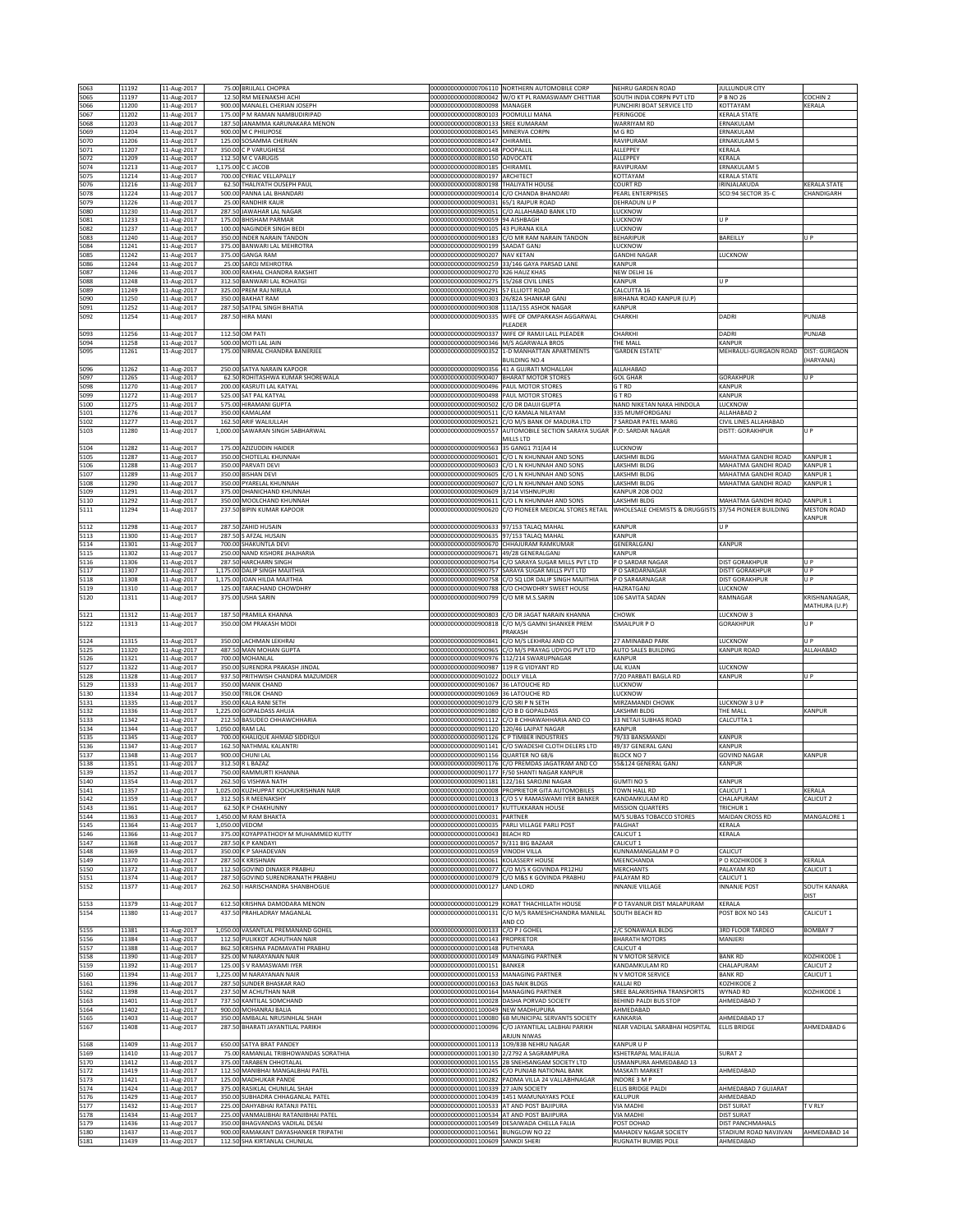| 5063         | 11192          | 11-Aug-2017                |                | 75.00 BRIJLALL CHOPRA                                                   |                                                                                | 00000000000000706110 NORTHERN AUTOMOBILE CORP                                                   | NEHRU GARDEN ROAD                                      | ULLUNDUR CITY                                     |                                |
|--------------|----------------|----------------------------|----------------|-------------------------------------------------------------------------|--------------------------------------------------------------------------------|-------------------------------------------------------------------------------------------------|--------------------------------------------------------|---------------------------------------------------|--------------------------------|
| 5065<br>5066 | 11197<br>11200 | 11-Aug-2017<br>11-Aug-2017 |                | 12.50 RM MEENAKSHI ACHI<br>900.00 MANALEL CHERIAN JOSEPH                | 00000000000000800042<br>00000000000000800098                                   | W/O KT PL RAMASWAMY CHETTIAR<br>MANAGER                                                         | SOUTH INDIA CORPN PVT LTD<br>PUNCHIRI BOAT SERVICE LTD | P B NO 26<br><b>COTTAYAM</b>                      | COCHIN <sub>2</sub><br>KERALA  |
| 5067         | 11202          | 11-Aug-2017                |                | 175.00 P M RAMAN NAMBUDIRIPAD                                           | 00000000000000800103                                                           | POOMULLI MANA                                                                                   | PERINGODE                                              | <b>ERALA STATE</b>                                |                                |
| 5068<br>5069 | 11203<br>11204 | 11-Aug-2017<br>11-Aug-2017 |                | 187.50 JANAMMA KARUNAKARA MENON<br>900.00 M C PHILIPOSE                 | 000000000000000800133 SREE KUMARAM<br>000000000000000800145 MINERVA CORPN      |                                                                                                 | <b>WARRIYAM RD</b><br>M G RD                           | RNAKULAM<br>ERNAKULAM                             |                                |
| 5070         | 11206          | 11-Aug-2017                |                | 125.00 SOSAMMA CHERIAN                                                  | 00000000000000800147                                                           | CHIRAMEL                                                                                        | RAVIPURAM                                              | <b>RNAKULAM 5</b>                                 |                                |
| 5071<br>5072 | 11207<br>11209 | 11-Aug-2017<br>11-Aug-2017 |                | 350.00 C P VARUGHESE<br>112.50 M C VARUGIS                              | 00000000000000800148<br>00000000000000800150 ADVOCATE                          | POOPALLIL                                                                                       | ALLEPPEY<br>ALLEPPEY                                   | <b>CERALA</b><br>KERALA                           |                                |
| 5074         | 11213          | 11-Aug-2017                |                | 1,175.00 C C JACOB                                                      | 00000000000000800185                                                           | CHIRAMEL                                                                                        | RAVIPURAM                                              | <b>ERNAKULAM 5</b>                                |                                |
| 5075<br>5076 | 11214<br>11216 | 11-Aug-2017<br>11-Aug-2017 |                | 700.00 CYRIAC VELLAPALLY<br>62.50 THALIYATH OUSEPH PAUL                 | 00000000000000800197<br>00000000000000800198                                   | <b>ARCHITECT</b><br>THALIYATH HOUSE                                                             | KOTTAYAM<br><b>COURT RD</b>                            | <b>KERALA STATE</b><br>RINJALAKUDA                | KERALA STATE                   |
| 5078         | 11224          | 11-Aug-2017                |                | 500.00 PANNA LAL BHANDARI                                               | 00000000000000900014                                                           | C/O CHANDA BHANDARI                                                                             | PEARL ENTERPRISES                                      | SCO:94 SECTOR 35-C                                | CHANDIGARH                     |
| 5079<br>5080 | 11226<br>11230 | 11-Aug-2017<br>11-Aug-2017 |                | 25.00 RANDHIR KAUR<br>287.50 JAWAHAR LAL NAGAR                          | 00000000000000900031<br>00000000000000900051                                   | 65/1 RAJPUR ROAD<br>C/O ALLAHABAD BANK LTD                                                      | DEHRADUN U P<br>LUCKNOW                                |                                                   |                                |
| 5081         | 11233          | 11-Aug-2017                |                | 175.00 BHISHAM PARMAR                                                   | 00000000000000900059                                                           | 94 AISHBAGH                                                                                     | LUCKNOW                                                | J P                                               |                                |
| 5082         | 11237          | 11-Aug-2017                |                | 100.00 NAGINDER SINGH BEDI                                              | 0000000000000900105                                                            | 43 PURANA KILA<br>C/O MR RAM NARAIN TANDON                                                      | LUCKNOW                                                | BAREILLY                                          | $\mathsf{U}$ P                 |
| 5083<br>5084 | 11240<br>11241 | 11-Aug-2017<br>11-Aug-2017 |                | 350.00 INDER NARAIN TANDON<br>375.00 BANWARI LAL MEHROTRA               | 00000000000000900183<br>00000000000000900199                                   | SAADAT GANJ                                                                                     | BEHARIPUR<br>LUCKNOW                                   |                                                   |                                |
| 5085         | 11242          | 11-Aug-2017                |                | 375.00 GANGA RAM                                                        | 00000000000000900207                                                           | NAV KETAN<br>33/146 GAYA PARSAD LANE                                                            | <b>GANDHI NAGAR</b>                                    | <b>UCKNOW</b>                                     |                                |
| 5086<br>5087 | 11244<br>11246 | 11-Aug-2017<br>11-Aug-2017 |                | 25.00 SAROJ MEHROTRA<br>300.00 RAKHAL CHANDRA RAKSHIT                   | 00000000000000900259<br>0000000000000900270                                    | X26 HAUZ KHAS                                                                                   | KANPUR<br>NEW DELHI 16                                 |                                                   |                                |
| 5088         | 11248          | 11-Aug-2017                |                | 312.50 BANWARI LAL ROHATGI                                              | 00000000000000900275                                                           | 15/268 CIVIL LINES                                                                              | <b>KANPUR</b>                                          | J P                                               |                                |
| 5089<br>5090 | 11249<br>11250 | 11-Aug-2017<br>11-Aug-2017 |                | 325.00 PREM RAJ NIRULA<br>350.00 BAKHAT RAM                             | 00000000000000900291<br>00000000000000900303                                   | 57 ELLIOTT ROAD<br>26/82A SHANKAR GANJ                                                          | CALCUTTA 16<br>BIRHANA ROAD KANPUR (U.P)               |                                                   |                                |
| 5091         | 11252          | 11-Aug-2017                |                | 287.50 SATPAL SINGH BHATIA                                              | 00000000000000900308                                                           | 111A/155 ASHOK NAGAR                                                                            | KANPUR                                                 |                                                   |                                |
| 5092         | 11254          | 11-Aug-2017                |                | 287.50 HIRA MANI                                                        | 00000000000000900335                                                           | WIFE OF OMPARKASH AGGARWAL<br>PLEADER                                                           | CHARKHI                                                | DADRI                                             | PUNJAB                         |
| 5093         | 11256          | 11-Aug-2017                |                | 112.50 OM PATI                                                          | 00000000000000900337                                                           | WIFE OF RAMJI LALL PLEADER                                                                      | CHARKHI                                                | <b>DADRI</b>                                      | PUNJAB                         |
| 5094<br>5095 | 11258<br>11261 | 11-Aug-2017<br>11-Aug-2017 |                | 500.00 MOTI LAL JAIN<br>175.00 NIRMAL CHANDRA BANERJEE                  | 00000000000000900346 M/S AGARWALA BROS<br>00000000000000900352                 | 1-D MANHATTAN APARTMENTS                                                                        | THE MALL<br>'GARDEN ESTATE'                            | KANPUR<br>MEHRAULI-GURGAON ROAD                   | DIST: GURGAON                  |
|              |                |                            |                |                                                                         |                                                                                | <b>BUILDING NO.4</b>                                                                            |                                                        |                                                   | HARYANA)                       |
| 5096<br>5097 | 11262<br>11265 | 11-Aug-2017<br>11-Aug-2017 |                | 250.00 SATYA NARAIN KAPOOR<br>62.50 ROHITASHWA KUMAR SHOREWALA          | 00000000000000900356<br>00000000000000900407                                   | 41 A GUJRATI MOHALLAH<br><b>BHARAT MOTOR STORES</b>                                             | ALLAHABAD<br><b>GOL GHAR</b>                           | <b>GORAKHPUR</b>                                  | UP                             |
| 5098         | 11270          | 11-Aug-2017                |                | 200.00 KASRUTI LAL KATYAL                                               | 0000000000000900496                                                            | PAUL MOTOR STORES                                                                               | <b>GTRD</b>                                            | KANPUR                                            |                                |
| 5099<br>5100 | 11272<br>11275 | 11-Aug-2017<br>11-Aug-2017 |                | 525.00 SAT PAL KATYAL<br>575.00 HIRAMANI GUPTA                          | 0000000000000900498<br>00000000000000900502                                    | PAUL MOTOR STORES<br>C/O DR DAUJI GUPTA                                                         | G T RD<br>NAND NIKETAN NAKA HINDOLA                    | KANPUR<br><b>UCKNOW</b>                           |                                |
| 5101         | 11276          | 11-Aug-2017                |                | 350.00 KAMALAM                                                          | 00000000000000900511                                                           | C/O KAMALA NILAYAM                                                                              | 335 MUMFORDGANJ                                        | ALLAHABAD 2                                       |                                |
| 5102<br>5103 | 11277<br>11280 | 11-Aug-2017                |                | 162.50 ARIF WALIULLAH<br>1.000.00 SAWARAN SINGH SABHARWAL               | 00000000000000900521<br>0000000000000900557                                    | C/O M/S BANK OF MADURA LTD<br>AUTOMOBILE SECTION SARAYA SUGAR                                   | 7 SARDAR PATEL MARG<br>P.O: SARDAR NAGAR               | CIVIL LINES ALLAHABAD<br>DISTT: GORAKHPUR         | U P                            |
|              |                | 11-Aug-2017                |                |                                                                         |                                                                                | <b>MILLS LTD</b>                                                                                |                                                        |                                                   |                                |
| 5104         | 11282          | 11-Aug-2017                |                | 175.00 AZIZUDDIN HAIDER                                                 | 00000000000000900563                                                           | 35 GANG1 711{A4 14                                                                              | LUCKNOW                                                |                                                   | <b>KANPUR1</b>                 |
| 5105<br>5106 | 11287<br>11288 | 11-Aug-2017<br>11-Aug-2017 |                | 350.00 CHOTELAL KHUNNAH<br>350.00 PARVATI DEVI                          | 00000000000000900601<br>00000000000000900603                                   | C/O L N KHUNNAH AND SONS<br>C/O L N KHUNNAH AND SONS                                            | LAKSHMI BLDG<br>LAKSHMI BLDG                           | MAHATMA GANDHI ROAD<br><b>MAHATMA GANDHI ROAD</b> | <b>KANPUR1</b>                 |
| 5107         | 11289          | 11-Aug-2017                |                | 350.00 BISHAN DEVI                                                      | 00000000000000900605                                                           | C/O L N KHUNNAH AND SONS                                                                        | LAKSHMI BLDG                                           | MAHATMA GANDHI ROAD                               | KANPUR <sub>1</sub>            |
| 5108<br>5109 | 11290<br>11291 | 11-Aug-2017<br>11-Aug-2017 |                | 350.00 PYARELAL KHUNNAH<br>375.00 DHANICHAND KHUNNAH                    | 00000000000000900607<br>0000000000000900609                                    | C/O L N KHUNNAH AND SONS<br>3/214 VISHNUPURI                                                    | LAKSHMI BLDG<br><b>KANPUR 208 002</b>                  | MAHATMA GANDHI ROAD                               | KANPUR 1                       |
| 5110         | 11292          | 11-Aug-2017                |                | 350.00 MOOLCHAND KHUNNAH                                                | 00000000000000900611                                                           | C/O L N KHUNNAH AND SONS                                                                        | LAKSHMI BLDG                                           | <b>MAHATMA GANDHI ROAD</b>                        | <b>KANPUR1</b>                 |
| 5111         | 11294          | 11-Aug-2017                |                | 237.50 BIPIN KUMAR KAPOOR                                               | 00000000000000900620                                                           | C/O PIONEER MEDICAL STORES RETAIL                                                               | WHOLESALE CHEMISTS & DRUGGISTS                         | 37/54 PIONEER BUILDING                            | <b>MESTON ROAD</b><br>KANPUR   |
| 5112         | 11298          | 11-Aug-2017                |                | 287.50 ZAHID HUSAIN                                                     | 00000000000000900633 97/153 TALAQ MAHAL                                        |                                                                                                 | KANPUR                                                 | U <sub>P</sub>                                    |                                |
| 5113<br>5114 | 11300<br>11301 | 11-Aug-2017<br>11-Aug-2017 |                | 287.50 S AFZAL HUSAIN<br>700.00 SHAKUNTLA DEVI                          | 00000000000000900635<br>00000000000000900670                                   | 97/153 TALAQ MAHAL<br>CHHAJURAM RAMKUMAR                                                        | KANPUR<br>GENERALGANJ                                  | KANPUR                                            |                                |
| 5115         | 11302          | 11-Aug-2017                |                | 250.00 NAND KISHORE JHAJHARIA                                           | 00000000000000900671                                                           | 49/28 GENERALGANJ                                                                               | <b>KANPUR</b>                                          |                                                   |                                |
| 5116<br>5117 | 11306<br>11307 | 11-Aug-2017                |                | 287.50 HARCHARN SINGH<br>1,175.00 DALIP SINGH MAJITHIA                  | 00000000000000900754<br>00000000000000900757                                   | C/O SARAYA SUGAR MILLS PVT LTD<br>SARAYA SUGAR MILLS PVT LTD                                    | P O SARDAR NAGAR<br>P O SARDARNAGAR                    | DIST GORAKHPUR<br>DISTT GORAKHPUR                 | U P<br>U P                     |
| 5118         | 11308          | 11-Aug-2017<br>11-Aug-2017 |                | 1,175.00 JOAN HILDA MAJITHIA                                            | 0000000000000900758                                                            | C/O SQ LDR DALIP SINGH MAJITHIA                                                                 | P O SAR4ARNAGAR                                        | DIST GORAKHPUR                                    | U P                            |
| 5119         | 11310          | 11-Aug-2017                |                | 125.00 TARACHAND CHOWDHRY                                               | 00000000000000900788                                                           | C/O CHOWDHRY SWEET HOUSE                                                                        | HAZRATGANJ                                             | <b>UCKNOW</b>                                     |                                |
| 5120         | 11311          | 11-Aug-2017                |                | 375.00 USHA SARIN                                                       | 00000000000000900799                                                           | C/O MR M.S.SARIN                                                                                | 106 SAVITA SADAN                                       | RAMNAGAR                                          | KRISHNANAGAR,<br>MATHURA (U.P) |
| 5121         | 11312          | 11-Aug-2017                |                | 187.50 PRAMILA KHANNA                                                   | 00000000000000900803                                                           | C/O DR JAGAT NARAIN KHANNA                                                                      | CHOWK                                                  | UCKNOW 3                                          | U P                            |
| 5122         | 11313          | 11-Aug-2017                |                | 350.00 OM PRAKASH MODI                                                  |                                                                                | 00000000000000900818 C/O M/S GAMNI SHANKER PREM<br>PRAKASH                                      | ISMAILPUR PO                                           | <b>GORAKHPUR</b>                                  |                                |
| 5124         | 11315          | 11-Aug-2017                |                | 350.00 LACHMAN LEKHRAJ                                                  | 00000000000000900841                                                           | C/O M/S LEKHRAJ AND CO                                                                          | 27 AMINABAD PARK                                       | <b>UCKNOW</b>                                     | U P                            |
| 5125<br>5126 | 11320<br>11321 | 11-Aug-2017<br>11-Aug-2017 |                | 487.50 MAN MOHAN GUPTA<br>700.00 MOHANLAL                               | 0000000000000900965<br>00000000000000900976                                    | C/O M/S PRAYAG UDYOG PVT LTD<br>112/214 SWARUPNAGAR                                             | AUTO SALES BUILDING<br><b>KANPUR</b>                   | <b>CANPUR ROAD</b>                                | ALLAHABAD                      |
| 5127         | 11322          | 11-Aug-2017                |                | 350.00 SURENDRA PRAKASH JINDAL                                          | 00000000000000900987 119 R G VIDYANT RD                                        |                                                                                                 | <b>LAL KUAN</b>                                        | LUCKNOW                                           |                                |
| 5128<br>5129 | 11328<br>11333 | 11-Aug-2017<br>11-Aug-2017 |                | 937.50 PRITHWISH CHANDRA MAZUMDER<br>350.00 MANIK CHAND                 | 00000000000000901022 DOLLY VILLA<br>00000000000000901067                       | <b>36 LATOUCHE RD</b>                                                                           | 7/20 PARBATI BAGLA RD<br>LUCKNOW                       | KANPUR                                            | $\mathsf{U}$ P                 |
| 5130         | 11334          | 11-Aug-2017                |                | 350.00 TRILOK CHAND                                                     | 00000000000000901069                                                           | 36 LATOUCHE RD                                                                                  | LUCKNOW                                                |                                                   |                                |
| 5131<br>5132 | 11335<br>11336 | 11-Aug-2017<br>11-Aug-2017 |                | 350.00 KALA RANI SETH<br>1,225.00 GOPALDASS AHUJA                       | 00000000000000901079<br>00000000000000901080                                   | C/O SRI P N SETH<br>C/O B D GOPALDASS                                                           | MIRZAMANDI CHOWK<br>LAKSHMI BLDG                       | LUCKNOW 3 U P<br>THE MALL                         | KANPUR                         |
| 5133         | 11342          | 11-Aug-2017                |                | 212.50 BASUDEO CHHAWCHHARIA                                             | 00000000000000901112                                                           | C/O B CHHAWAHHARIA AND CO                                                                       | 33 NETAJI SUBHAS ROAD                                  | CALCUTTA 1                                        |                                |
| 5134<br>5135 | 11344<br>11345 | 11-Aug-2017<br>11-Aug-2017 |                | 1,050.00 RAM LAL<br>700.00 KHALIQUE AHMAD SIDDIQUI                      | 00000000000000901120<br>00000000000000901126                                   | 120/46 LAJPAT NAGAR<br>C P TIMBER INDUSTRIES                                                    | KANPUR<br>79/33 BANSMANDI                              | <b>ANPUR</b>                                      |                                |
| 5136         | 11347          | 11-Aug-2017                |                | 162.50 NATHMAL KALANTRI                                                 | 00000000000000901141                                                           | C/O SWADESHI CLOTH DELERS LTD                                                                   | 49/37 GENERAL GANJ                                     | <b>CANPUR</b>                                     |                                |
| 5137<br>5138 | 11348<br>11351 | 11-Aug-2017<br>11-Aug-2017 |                | 900.00 CHUNI LAL<br>312.50 R L BAZAZ                                    | 00000000000000901156 QUARTER NO 68/6                                           | 00000000000000901176 C/O PREMDAS JAGATRAM AND CO                                                | BLOCK NO 7<br>55&124 GENERAL GANJ                      | <b>GOVIND NAGAR</b><br>KANPUR                     | KANPUR                         |
| 5139         | 11352          | 11-Aug-2017                |                | 750.00 RAMMURTI KHANNA                                                  |                                                                                | 00000000000000901177 F/50 SHANTI NAGAR KANPUR                                                   |                                                        |                                                   |                                |
| 5140<br>5141 | 11354<br>11357 | 11-Aug-2017<br>11-Aug-2017 |                | 262.50 G VISHWA NATH<br>1,025.00 KUZHUPPAT KOCHUKRISHNAN NAIR           |                                                                                | 00000000000000901181 122/161 SAROJNI NAGAR<br>00000000000001000008 PROPRIETOR GITA AUTOMOBILES  | <b>GUMTI NO 5</b><br>TOWN HALL RD                      | <b>CANPUR</b><br>CALICUT <sub>1</sub>             | KERALA                         |
| 5142         | 11359          | 11-Aug-2017                |                | 312.50 S R MEENAKSHY                                                    |                                                                                | 000000000000001000013 C/O S V RAMASWAMI IYER BANKER                                             | KANDAMKULAM RD                                         | <b>HALAPURAM</b>                                  | CALICUT <sub>2</sub>           |
| 5143<br>5144 | 11361<br>11363 | 11-Aug-2017<br>11-Aug-2017 |                | 62.50 K P CHAKHUNNY<br>1,450.00 M RAM BHAKTA                            | 00000000000001000017<br>00000000000001000031 PARTNER                           | KUTTUKKARAN HOUSE                                                                               | MISSION QUARTERS<br>M/S SUBAS TOBACCO STORES           | TRICHUR 1<br>MAIDAN CROSS RD                      | MANGALORE 1                    |
| 5145         | 11364          | 11-Aug-2017                | 1,050.00 VEDOM |                                                                         |                                                                                | 000000000000001000035 PARLI VILLAGE PARLI POST                                                  | PALGHAT                                                | KERALA                                            |                                |
| 5146<br>5147 | 11366<br>11368 | 11-Aug-2017<br>11-Aug-2017 |                | 375.00 KOYAPPATHODY M MUHAMMED KUTTY<br>287.50 K P KANDAYI              | 00000000000001000043 BEACH RD<br>00000000000001000057                          | 9/311 BIG BAZAAR                                                                                | CALICUT <sub>1</sub><br>CALICUT 1                      | KERALA                                            |                                |
| 5148         | 11369          | 11-Aug-2017                |                | 350.00 K P SAHADEVAN                                                    | 000000000000001000059 VINODH VILLA                                             |                                                                                                 | KUNNAMANGALAM P O                                      | CALICUT                                           |                                |
| 5149<br>5150 | 11370<br>11372 | 11-Aug-2017<br>11-Aug-2017 |                | 287.50 K KRISHNAN<br>112.50 GOVIND DINAKER PRABHU                       | 00000000000001000061<br>00000000000001000077                                   | KOLASSERY HOUSE<br>C/O M/S K GOVINDA PR12HU                                                     | MEENCHANDA<br><b>MERCHANTS</b>                         | O KOZHIKODE 3<br>PALAYAM RD                       | KERALA<br>CALICUT <sub>1</sub> |
| 5151         | 11374          | 11-Aug-2017                |                | 287.50 GOVIND SURENDRANATH PRABHU                                       | 00000000000001000079                                                           | C/O M&S K GOVINDA PRABHU                                                                        | PALAYAM RD                                             | CALICUT <sub>1</sub>                              |                                |
| 5152         | 11377          | 11-Aug-2017                |                | 262.50   HARISCHANDRA SHANBHOGUE                                        | 00000000000001000127                                                           | LAND LORD                                                                                       | INNANJE VILLAGE                                        | <b>INNANJE POST</b>                               | SOUTH KANARA<br>DIST           |
| 5153         | 11379          | 11-Aug-2017                |                | 612.50 KRISHNA DAMODARA MENON                                           |                                                                                | 000000000000001000129 KORAT THACHILLATH HOUSE                                                   | P O TAVANUR DIST MALAPURAM                             | KERALA                                            |                                |
| 5154         | 11380          | 11-Aug-2017                |                | 437.50 PRAHLADRAY MAGANLAL                                              | 00000000000001000131                                                           | C/O M/S RAMESHCHANDRA MANILAL                                                                   | SOUTH BEACH RD                                         | POST BOX NO 143                                   | CALICUT 1                      |
| 5155         | 11381          | 11-Aug-2017                |                | 1,050.00 VASANTLAL PREMANAND GOHEL                                      | 00000000000001000133                                                           | AND CO<br>C/O P J GOHEL                                                                         | 2/C SONAWALA BLDG                                      | 3RD FLOOR TARDEO                                  | <b>BOMBAY 7</b>                |
| 5156         | 11384          | 11-Aug-2017                |                | 112.50 PULIKKOT ACHUTHAN NAIR                                           | 00000000000001000143                                                           | <b>PROPRIETOR</b>                                                                               | <b>BHARATH MOTORS</b>                                  | MANJERI                                           |                                |
| 5157<br>5158 | 11388<br>11390 | 11-Aug-2017<br>11-Aug-2017 |                | 862.50 KRISHNA PADMAVATHI PRABHU<br>325.00 M NARAYANAN NAIR             | 00000000000001000148<br>000000000000001000149 MANAGING PARTNER                 | PUTHIYARA                                                                                       | CALICUT 4<br>N V MOTOR SERVICE                         | BANK RD                                           | KOZHIKODE 1                    |
| 5159         | 11392          | 11-Aug-2017                |                | 125.00 S V RAMASWAMI IYER                                               | 00000000000001000151                                                           | <b>BANKER</b>                                                                                   | KANDAMKULAM RD                                         | <b>HALAPURAM</b>                                  | CALICUT <sub>2</sub>           |
| 5160<br>5161 | 11394<br>11396 | 11-Aug-2017<br>11-Aug-2017 |                | 1,225.00 M NARAYANAN NAIR<br>287.50 SUNDER BHASKAR RAO                  | 000000000000001000153 MANAGING PARTNER<br>000000000000001000163 DAS NAIK BLDGS |                                                                                                 | N V MOTOR SERVICE<br>KALLAI RD                         | BANK RD<br><b>COZHIKODE 2</b>                     | CALICUT 1                      |
| 5162         | 11398          | 11-Aug-2017                |                | 237.50 M ACHUTHAN NAIR                                                  | 000000000000001000164 MANAGING PARTNER                                         |                                                                                                 | SREE BALAKRISHNA TRANSPORTS                            | WYNAD RD                                          | KOZHIKODE 1                    |
| 5163<br>5164 | 11401<br>11402 | 11-Aug-2017<br>11-Aug-2017 |                | 737.50 KANTILAL SOMCHAND<br>900.00 MOHANRAJ BALIA                       | 000000000000001100049 NEW MADHUPURA                                            | 00000000000001100028 DASHA PORVAD SOCIETY                                                       | BEHIND PALDI BUS STOP<br>AHMEDABAD                     | AHMEDABAD 7                                       |                                |
| 5165         | 11403          | 11-Aug-2017                |                | 350.00 AMBALAL NRUSINHLAL SHAH                                          |                                                                                | 00000000000001100080 6B MUNICIPAL SERVANTS SOCIETY                                              | KANKARIA                                               | HMEDABAD 17                                       |                                |
| 5167         | 11408          | 11-Aug-2017                |                | 287.50 BHARATI JAYANTILAL PARIKH                                        |                                                                                | 00000000000001100096 C/O JAYANTILAL LALBHAI PARIKH                                              | NEAR VADILAL SARABHAI HOSPITAL                         | ELLIS BRIDGE                                      | AHMEDABAD 6                    |
| 5168         | 11409          | 11-Aug-2017                |                | 650.00 SATYA BRAT PANDEY                                                | 00000000000001100113 1O9/83B NEHRU NAGAR                                       | ARJUN NIWAS                                                                                     | KANPUR U P                                             |                                                   |                                |
| 5169         | 11410          | 11-Aug-2017                |                | 75.00 RAMANLAL TRIBHOWANDAS SORATHIA                                    | 00000000000001100130 2/2792 A SAGRAMPURA                                       |                                                                                                 | KSHETRAPAL MALIFALIA                                   | SURAT <sub>2</sub>                                |                                |
| 5170<br>5172 | 11412<br>11419 | 11-Aug-2017<br>11-Aug-2017 |                | 375.00 TARABEN CHHOTALAL<br>112.50 MANIBHAI MANGALBHAI PATEL            |                                                                                | 00000000000001100155 2B SNEHSANGAM SOCIETY LTD<br>00000000000001100245 C/O PUNJAB NATIONAL BANK | USMANPURA AHMEDABAD 13<br>MASKATI MARKET               | AHMEDABAD                                         |                                |
| 5173         | 11421          | 11-Aug-2017                |                | 125.00 MADHUKAR PANDE                                                   |                                                                                | 00000000000001100282 PADMA VILLA 24 VALLABHNAGAR                                                | INDORE 3 M P                                           |                                                   |                                |
| 5174<br>5176 | 11424<br>11429 | 11-Aug-2017<br>11-Aug-2017 |                | 375.00 RASIKLAL CHUNILAL SHAH<br>350.00 SUBHADRA CHHAGANLAL PATEL       | 00000000000001100339 27 JAIN SOCIETY                                           | 00000000000001100439 1451 MAMUNAYAKS POLE                                                       | ELLIS BRIDGE PALDI<br>KALUPUR                          | AHMEDABAD 7 GUJARAT<br>AHMEDABAD                  |                                |
| 5177         | 11432          | 11-Aug-2017                |                | 225.00 DAHYABHAI RATANJI PATEL                                          | 00000000000001100533 AT AND POST BAJIPURA                                      |                                                                                                 | VIA MADHI                                              | DIST SURAT                                        | T V RLY                        |
| 5178<br>5179 | 11434<br>11436 | 11-Aug-2017<br>11-Aug-2017 |                | 225.00 VANMALIBHAI RATANJIBHAI PATEL<br>350.00 BHAGVANDAS VADILAL DESAI | 00000000000001100534 AT AND POST BAJIPURA                                      | 00000000000001100549 DESAIWADA CHELLA FALIA                                                     | VIA MADHI<br>POST DOHAD                                | DIST SURAT<br>DIST PANCHMAHALS                    |                                |
| 5180         | 11437          | 11-Aug-2017                |                | 900.00 RAMAKANT DAYASHANKER TRIPATHI                                    | 00000000000001100561 BUNGLOW NO 22                                             |                                                                                                 | MAHADEV NAGAR SOCIETY                                  | STADIUM ROAD NAVJIVAN                             | AHMEDABAD 14                   |
| 5181         | 11439          | 11-Aug-2017                |                | 112.50 SHA KIRTANLAL CHUNILAL                                           | 00000000000001100609 SANKDI SHERI                                              |                                                                                                 | RUGNATH BUMBS POLE                                     | AHMEDABAD                                         |                                |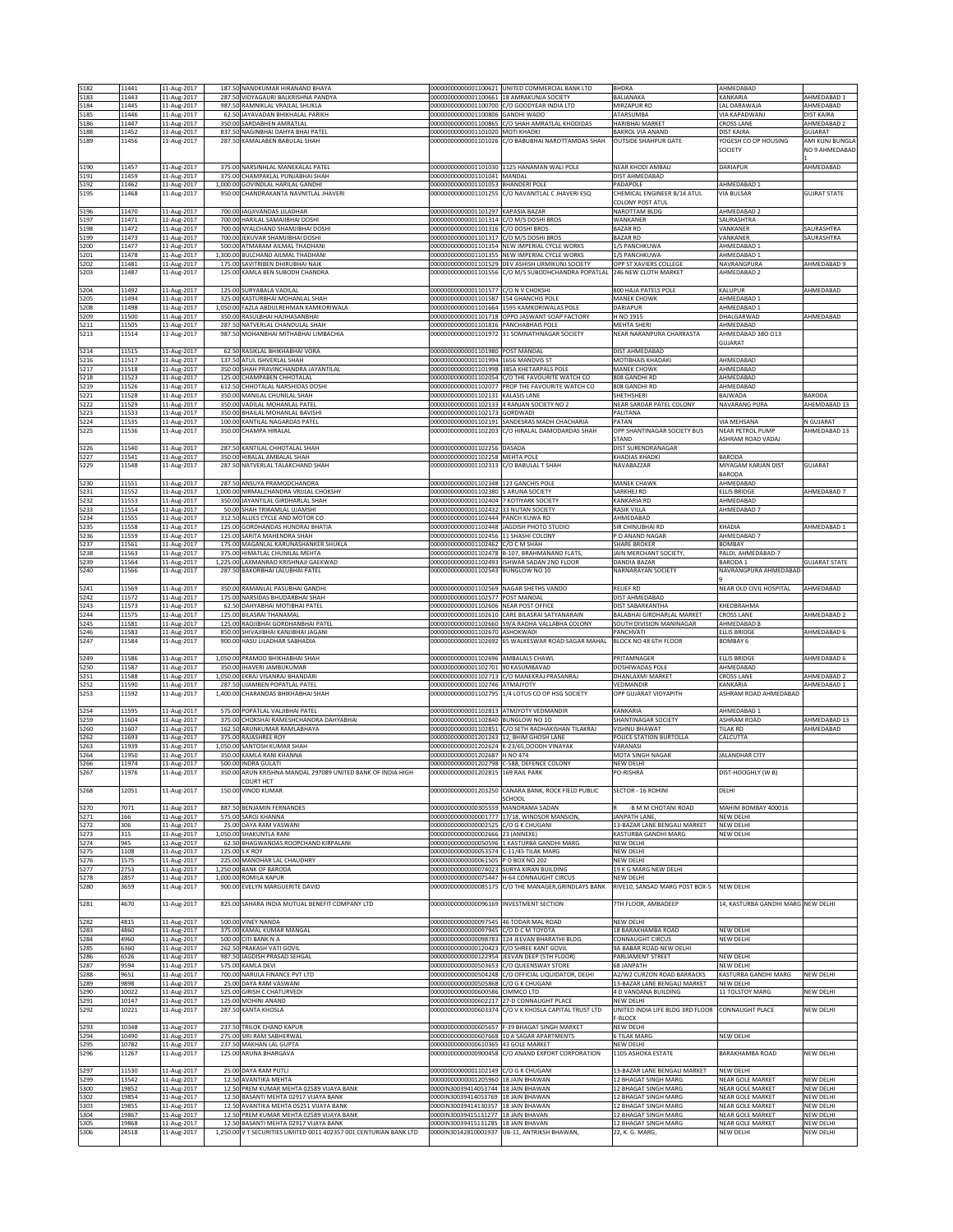| 5182         | 11441          | 11-Aug-2017                | 187.50 NANDKUMAR HIRANAND BHAYA                                                 |                                                                               | 00000000000001100621 UNITED COMMERCIAL BANK LTD                                                          | <b>BHDRA</b>                                       | AHMEDABAD                             |                                  |
|--------------|----------------|----------------------------|---------------------------------------------------------------------------------|-------------------------------------------------------------------------------|----------------------------------------------------------------------------------------------------------|----------------------------------------------------|---------------------------------------|----------------------------------|
| 5183         | 11443          | 11-Aug-2017                | 287.50 VIDYAGAURI BALKRISHNA PANDYA                                             |                                                                               | 000000000000001100661 18 AMRAKUNJA SOCIETY                                                               | BALIANAKA                                          | KANKARIA                              | AHMEDABAD 1                      |
| 5184         | 11445          | 11-Aug-2017                | 987.50 RAMNIKLAL VRAJLAL SHUKLA                                                 |                                                                               | 00000000000001100700 C/O GOODYEAR INDIA LTD                                                              | MIRZAPUR RD                                        | LAL DARAWAJA                          | AHMEDABAD                        |
| 5185<br>5186 | 11446<br>11447 | 11-Aug-2017<br>11-Aug-2017 | 62.50 JAYAVADAN BHIKHALAL PARIKH<br>350.00 SARDABHEN AMRATLAL                   | 00000000000001100806 GANDHI WADO<br>00000000000001100865                      | C/O SHAH AMRATLAL KHODIDAS                                                                               | ATARSUMBA<br>HARIBHAI MARKET                       | VIA KAPADWANJ<br><b>CROSS LANE</b>    | <b>DIST KAIRA</b><br>AHMEDABAD 2 |
| 5188         | 11452          | 11-Aug-2017                | 837.50 NAGINBHAI DAHYA BHAI PATEL                                               | 00000000000001101020 MOTI KHADKI                                              |                                                                                                          | <b>BAKROL VIA ANAND</b>                            | <b>DIST KAIRA</b>                     | GUJARAT                          |
| 5189         | 11456          | 11-Aug-2017                | 287.50 KAMALABEN BABULAL SHAH                                                   |                                                                               | 00000000000001101026 C/O BABUBHAI NAROTTAMDAS SHAH                                                       | <b>OUTSIDE SHAHPUR GATE</b>                        | YOGESH CO OP HOUSING                  | AMI KUNJ BUNGLA                  |
|              |                |                            |                                                                                 |                                                                               |                                                                                                          |                                                    | SOCIETY                               | NO 9 AHMEDABAD                   |
| 5190         | 11457          | 11-Aug-2017                | 375.00 NARSINHLAL MANEKALAL PATEL                                               |                                                                               | 000000000000001101030 1125 HANAMAN WALI POLE                                                             | NEAR KHODI AMBALI                                  | DARIAPUR                              | AHMEDABAD                        |
| 5191         | 11459          | 11-Aug-2017                | 375.00 CHAMPAKLAL PUNJABHAI SHAH                                                | 00000000000001101041 MANDAL                                                   |                                                                                                          | DIST AHMEDABAD                                     |                                       |                                  |
| 5192         | 11462          | 11-Aug-2017                | 1,000.00 GOVINDLAL HARILAL GANDHI                                               | 00000000000001101053 BHANDERI POLE                                            |                                                                                                          | PADAPOLE                                           | AHMEDABAD 1                           |                                  |
| 5195         | 11468          | 11-Aug-2017                | 950.00 CHANDRAKANTA NAVNITLAL JHAVERI                                           |                                                                               | 00000000000001101255 C/O NAVANITLAL C JHAVERI ESQ                                                        | CHEMICAL ENGINEER B/14 ATUL                        | VIA BULSAR                            | <b>GUJRAT STATE</b>              |
|              |                |                            |                                                                                 |                                                                               |                                                                                                          | COLONY POST ATUL                                   |                                       |                                  |
| 5196<br>5197 | 11470<br>11471 | 11-Aug-2017<br>11-Aug-2017 | 700.00 JAGJIVANDAS LILADHAR<br>700.00 HARILAL SAMAJIBHAI DOSHI                  | 00000000000001101297 KAPASIA BAZAR<br>00000000000001101314 C/O M/S DOSHI BROS |                                                                                                          | <b>NAROTTAM BLDG</b><br>WANKANER                   | AHMEDABAD 2<br>SAURASHTRA             |                                  |
| 5198         | 11472          | 11-Aug-2017                | 700.00 NYALCHAND SHAMJIBHAI DOSHI                                               | 00000000000001101316 C/O DOSHI BROS                                           |                                                                                                          | <b>BAZAR RD</b>                                    | VANKANER                              | SAURASHTRA                       |
| 5199         | 11473          | 11-Aug-2017                | 700.00 JEKUVAR SHAMJIBHAI DOSHI                                                 | 00000000000001101317 C/O M/S DOSHI BROS                                       |                                                                                                          | <b>BAZAR RD</b>                                    | VANKANER                              | SAURASHTRA                       |
| 5200         | 11477          | 11-Aug-2017                | 500.00 ATMARAM AILMAL THADHANI                                                  |                                                                               | 000000000000001101354 NEW IMPERIAL CYCLE WORKS                                                           | 1/S PANCHKUWA                                      | AHMEDABAD 1                           |                                  |
| 5201         | 11478          | 11-Aug-2017                | 1,300.00 BULCHAND AILMAL THADHANI                                               |                                                                               | 000000000000001101355 NEW IMPERIAL CYCLE WORKS                                                           | 1/S PANCHKUWA                                      | AHMEDABAD 1                           |                                  |
| 5202<br>5203 | 11481<br>11487 | 11-Aug-2017<br>11-Aug-2017 | 175.00 SAVITRIBEN DHIRUBHAI NAIK<br>125.00 KAMLA BEN SUBODH CHANDRA             |                                                                               | 000000000000001101529 DEV ASHISH URMIKUNJ SOCIETY<br>00000000000001101556 C/O M/S SUBODHCHANDRA POPATLAL | OPP ST XAVIERS COLLEGE<br>246 NEW CLOTH MARKET     | NAVRANGPURA<br>AHMEDABAD 2            | AHMEDABAD 9                      |
|              |                |                            |                                                                                 |                                                                               |                                                                                                          |                                                    |                                       |                                  |
| 5204         | 11492          | 11-Aug-2017                | 125.00 SURYABALA VADILAL                                                        | 000000000000001101577 C/O N V CHOKSHI                                         |                                                                                                          | 800 HAJA PATELS POLE                               | KALUPUR                               | AHMEDABAD                        |
| 5205         | 11494          | 11-Aug-2017                | 325.00 KASTURBHAI MOHANLAL SHAH                                                 | 000000000000001101587 154 GHANCHIS POLE                                       |                                                                                                          | MANEK CHOWK                                        | AHMEDABAD 1                           |                                  |
| 5208         | 11498          | 11-Aug-2017                | 1,050.00 FAZLA ABDULREHMAN KAMKORIWALA                                          |                                                                               | 000000000000001101664 1595 KAMKORIWALAS POLE                                                             | DARIAPUR                                           | AHMEDABAD 1                           |                                  |
| 5209         | 11500          | 11-Aug-2017                | 350.00 RASULBHAI HAJIHASANBHAI                                                  |                                                                               | 00000000000001101718 OPPO JASWANT SOAP FACTORY                                                           | H NO 1915                                          | DHALGARWAD                            | AHMEDABAD                        |
| 5211<br>5213 | 11505<br>11514 | 11-Aug-2017<br>11-Aug-2017 | 287.50 NATVERLAL CHANDULAL SHAH<br>987.50 MOHANBHAI MITHABHAI LIMBACHIA         | 00000000000001101816 PANCHABHAIS POLE                                         | 00000000000001101972 31 SOMNATHNAGAR SOCIETY                                                             | MEHTA SHERI<br>NEAR NARANPURA CHARRASTA            | AHMEDABAD<br>AHMEDABAD 380 013        |                                  |
|              |                |                            |                                                                                 |                                                                               |                                                                                                          |                                                    | GUJARAT                               |                                  |
| 5214         | 11515          | 11-Aug-2017                | 62.50 RASIKLAL BHIKHABHAI VORA                                                  | 00000000000001101980 POST MANDAL                                              |                                                                                                          | DIST AHMEDABAD                                     |                                       |                                  |
| 5216         | 11517          | 11-Aug-2017                | 137.50 ATUL ISHVERLAL SHAH                                                      | 00000000000001101994 1656 MANDVIS ST                                          |                                                                                                          | <b>MOTIBHAIS KHADAKI</b>                           | AHMEDABAD                             |                                  |
| 5217         | 11518          | 11-Aug-2017                | 350.00 SHAH PRAVINCHANDRA JAYANTILAL                                            | 00000000000001101998 385A KHETARPALS POLE                                     |                                                                                                          | MANEK CHOWK                                        | AHMEDABAD                             |                                  |
| 5218<br>5219 | 11523<br>11526 | 11-Aug-2017<br>11-Aug-2017 | 125.00 CHAMPABEN CHHOTALAL<br>612.50 CHHOTALAL NARSHIDAS DOSHI                  |                                                                               | 00000000000001102054 C/O THE FAVOURITE WATCH CO<br>00000000000001102077 PROP THE FAVOURITE WATCH CO      | 808 GANDHI RD<br>808 GANDHI RD                     | AHMEDABAD<br>AHMEDABAD                |                                  |
| 5221         | 11528          | 11-Aug-2017                | 350.00 MANILAL CHUNILAL SHAH                                                    | 00000000000001102131 KALASIS LANE                                             |                                                                                                          | SHETHSHERI                                         | BAJWADA                               | <b>BARODA</b>                    |
| 5222         | 11529          | 11-Aug-2017                | 350.00 VADILAL MOHANLAL PATEL                                                   |                                                                               | 00000000000001102133 4 RANJAN SOCIETY NO 2                                                               | NEAR SARDAR PATEL COLONY                           | NAVARANG PURA                         | AHEMDABAD 13                     |
| 5223         | 11533          | 11-Aug-2017                | 350.00 BHAILAL MOHANLAL BAVISHI                                                 | 00000000000001102173 GORDWADI                                                 |                                                                                                          | PALITANA                                           |                                       |                                  |
| 5224         | 11535          | 11-Aug-2017                | 100.00 KANTILAL NAGARDAS PATEL                                                  |                                                                               | 000000000000001102191 SANDESRAS MADH CHACHARIA                                                           | PATAN                                              | VIA MEHSANA                           | N GUJARAT<br>AHMEDABAD 13        |
| 5225         | 11536          | 11-Aug-2017                | 350.00 CHAMPA HIRALAL                                                           | 00000000000001102203                                                          | C/O HIRALAL DAMODARDAS SHAH                                                                              | OPP SHANTINAGAR SOCIETY BUS<br>STAND               | NEAR PETROL PUMP<br>ASHRAM ROAD VADAJ |                                  |
| 5226         | 11540          | 11-Aug-2017                | 287.50 KANTILAL CHHOTALAL SHAH                                                  | 00000000000001102256 DASADA                                                   |                                                                                                          | DIST SURENDRANAGAR                                 |                                       |                                  |
| 5227         | 11541          | 11-Aug-2017                | 350.00 HIRALAI AMBALAI SHAH                                                     | 00000000000001102258 MEHTA POLE                                               |                                                                                                          | KHADIAS KHADKI                                     | <b>BARODA</b>                         |                                  |
| 5229         | 11548          | 11-Aug-2017                | 287.50 NATVERLAL TALAKCHAND SHAH                                                | 000000000000001102313 C/O BABULAL T SHAH                                      |                                                                                                          | NAVABAZZAR                                         | MIYAGAM KARJAN DIST                   | <b>GUJARAT</b>                   |
|              | 11551          |                            | 287.50 ANSUYA PRAMODCHANDRA                                                     | 000000000000001102348 123 GANCHIS POLE                                        |                                                                                                          |                                                    | BARODA                                |                                  |
| 5230<br>5231 | 11552          | 11-Aug-2017<br>11-Aug-2017 | 1.000.00 NIRMALCHANDRA VRULAL CHOKSHY                                           | 00000000000001102380                                                          | <b>ARUNA SOCIETY</b>                                                                                     | MANEK CHAWK<br>SARKHEJ RD                          | AHMEDABAD<br><b>ELLIS BRIDGE</b>      | AHMEDABAD 7                      |
| 5232         | 11553          | 11-Aug-2017                | 350.00<br>JAYANTILAL GIRDHARLAL SHAH                                            | 00000000000001102404                                                          | KOTIYARK SOCIETY                                                                                         | <b>CANKARIA RD</b>                                 | AHMEDABAD                             |                                  |
| 5233         | 11554          | 11-Aug-2017                | 50.00 SHAH TRIKAMLAL UJAMSHI                                                    | 000000000000001102432 33 NUTAN SOCIETY                                        |                                                                                                          | RASIK VILLA                                        | AHMEDABAD 7                           |                                  |
| 5234         | 11555          | 11-Aug-2017                | 312.50 ALLIES CYCLE AND MOTOR CO                                                | 000000000000001102444 PANCH KUWA RD                                           |                                                                                                          | AHMEDABAD                                          |                                       |                                  |
| 5235         | 11558          | 11-Aug-2017                | 125.00 GORDHANDAS HUNDRAJ BHATIA                                                | 00000000000001102448                                                          | JAGDISH PHOTO STUDIO                                                                                     | SIR CHINUBHAI RD                                   | KHADIA                                | AHMEDABAD 1                      |
| 5236<br>5237 | 11559<br>11561 | 11-Aug-2017                | 125.00 SARITA MAHENDRA SHAH<br>175.00 MAGANLAL KARUNASHANKER SHUKLA             | 00000000000001102456 11 SHASHI COLONY<br>00000000000001102462 C/O C M SHAH    |                                                                                                          | O ANAND NAGAR<br>SHARE BROKER                      | AHMEDABAD 7<br>BOMBAY                 |                                  |
| 5238         | 11563          | 11-Aug-2017<br>11-Aug-2017 | 375.00 HIMATLAL CHUNILAL MEHTA                                                  |                                                                               | 00000000000001102478 B-107, BRAHMANAND FLATS,                                                            | JAIN MERCHANT SOCIETY,                             | PALDI, AHMEDABAD-7                    |                                  |
| 5239         | 11564          | 11-Aug-2017                | 1,225.00 LAXMANRAO KRISHNAJI GAEKWAD                                            |                                                                               | 00000000000001102493 ISHWAR SADAN 2ND FLOOR                                                              | DANDIA BAZAR                                       | <b>BARODA1</b>                        | <b>GUJARAT STATE</b>             |
| 5240         | 11566          | 11-Aug-2017                | 287.50 BAKORBHAI LALUBHAI PATEL                                                 | 00000000000001102543                                                          | <b>BUNGLOW NO 10</b>                                                                                     | NARNARAYAN SOCIETY                                 | NAVRANGPURA AHMEDABAD                 |                                  |
|              |                |                            |                                                                                 |                                                                               |                                                                                                          |                                                    |                                       |                                  |
| 5241         | 11569          | 11-Aug-2017                | 350.00 RAMANLAL PASUBHAI GANDHI                                                 | 00000000000001102569 NAGAR SHETHS VANDO                                       |                                                                                                          | <b>RELIEF RD</b>                                   | NEAR OLD CIVIL HOSPITAL               | AHMEDABAD                        |
| 5242<br>5243 | 11572<br>11573 | 11-Aug-2017<br>11-Aug-2017 | 175.00 NARSIDAS BHUDARBHAI SHAH<br>62.50 DAHYABHAI MOTIBHAI PATEL               | 00000000000001102577 POST MANDAL<br>00000000000001102606 NEAR POST OFFICE     |                                                                                                          | DIST AHMEDABAD<br>DIST SABARKANTHA                 | KHEDBRAHMA                            |                                  |
| 5244         | 11575          | 11-Aug-2017                | 125.00 BILASRAI THANAMAL                                                        | 00000000000001102610 CARE BILASRAI SATYANARAIN                                |                                                                                                          | BALABHAI GIRDHARLAL MARKET                         | <b>CROSS LANE</b>                     | AHMEDABAD 2                      |
|              |                |                            |                                                                                 |                                                                               |                                                                                                          |                                                    |                                       |                                  |
| 5245         | 11581          | 11-Aug-2017                | 125.00 RAOJIBHAI GORDHANBHAI PATEL                                              |                                                                               | 00000000000001102660 59/A RADHA VALLABHA COLONY                                                          | SOUTH DIVISION MANINAGAR                           | AHMEDABAD 8                           |                                  |
| 5246         | 11583          | 11-Aug-2017                | 850.00 SHIVAJIBHAI KANJIBHAI JAGANI                                             | 00000000000001102670 ASHOKWADI                                                |                                                                                                          | PANCHVATI                                          | <b>ELLIS BRIDGE</b>                   | AHMEDABAD 6                      |
| 5247         | 11584          | 11-Aug-2017                | 900.00 HASU LILADHAR SABHADIA                                                   |                                                                               | 00000000000001102692 65 WALKESWAR ROAD SAGAR MAHAL                                                       | BLOCK NO 48 6TH FLOOR                              | BOMBAY 6                              |                                  |
|              |                |                            |                                                                                 |                                                                               |                                                                                                          |                                                    |                                       |                                  |
| 5249         | 11586          | 11-Aug-2017                | 1,050.00 PRAMOD BHIKHABHAI SHAH                                                 | 00000000000001102696 AMBALALS CHAWL                                           |                                                                                                          | PRITAMNAGER                                        | <b>ELLIS BRIDGE</b>                   | AHMEDABAD 6                      |
| 5250<br>5251 | 11587<br>11588 | 11-Aug-2017<br>11-Aug-2017 | 350.00 JHAVERI JAMBUKUMAR<br>1,050.00 EKRAJ VISANRAJ BHANDARI                   | 000000000000001102701 90 KASUMBAVAD                                           | 000000000000001102713 C/O MANEKRAJ PRASANRAJ                                                             | DOSHIWADAS POLE<br>DHANLAXMI MARKET                | AHMEDABAD<br><b>CROSS LANE</b>        | AHMEDABAD 2                      |
| 5252         | 11590          | 11-Aug-2017                | 287.50 UJAMBEN POPATLAL PATEL                                                   | 00000000000001102746 ATMAJYOTY                                                |                                                                                                          | VEDMANDIR                                          | KANKARIA                              | AHMEDABAD 1                      |
| 5253         | 11592          | 11-Aug-2017                | 1,400.00 CHARANDAS BHIKHABHAI SHAH                                              |                                                                               | 00000000000001102795 1/4 LOTUS CO OP HSG SOCIETY                                                         | OPP GUJARAT VIDYAPITH                              | ASHRAM ROAD AHMEDABAD                 |                                  |
|              |                |                            |                                                                                 |                                                                               |                                                                                                          |                                                    |                                       |                                  |
| 5254         | 11595          | 11-Aug-2017                | POPATLAL VALJIBHAI PATEL<br>575.00<br>375.00                                    | 00000000000001102840                                                          | 00000000000001102813 ATMJYOTY VEDMANDIR<br><b>BUNGLOW NO 10</b>                                          | KANKARIA                                           | AHMEDABAD 1                           |                                  |
| 5259<br>5260 | 11604<br>11607 | 11-Aug-2017<br>11-Aug-2017 | CHOKSHAI RAMESHCHANDRA DAHYABHAI<br>162.50 ARUNKUMAR RAMLABHAYA                 |                                                                               | 000000000000001102851 C/O SETH RADHAKISHAN TILAKRAJ                                                      | <b>SHANTINAGAR SOCIETY</b><br><b>VISHNU BHAWAT</b> | ASHRAM ROAD<br>TILAK RD               | AHMEDABAD 13<br>AHMEDABAD        |
| 5262         | 11693          | 11-Aug-2017                | 375.00 RAJASHREE ROY                                                            | 000000000000001201243 12, BHIM GHOSH LANE                                     |                                                                                                          | POLICE STATION BURTOLLA                            | CALCUTTA                              |                                  |
| 5263         | 11939          | 11-Aug-2017                | 1,050.00 SANTOSH KUMAR SHAH                                                     |                                                                               | 00000000000001202624 K-23/65,DOODH VINAYAK                                                               | VARANASI                                           |                                       |                                  |
| 5264         | 11950          | 11-Aug-2017                | 350.00 KAMLA RANI KHANNA                                                        | 00000000000001202687 H NO 474                                                 |                                                                                                          | MOTA SINGH NAGAR                                   | <b>JALANDHAR CITY</b>                 |                                  |
| 5266         | 11974          | 11-Aug-2017                | 500.00 INDRA GULATI                                                             |                                                                               | 00000000000001202798 C-588, DEFENCE COLONY                                                               | NEW DELHI                                          |                                       |                                  |
| 5267         | 11976          | 11-Aug-2017                | 350.00 ARUN KRISHNA MANDAL 297089 UNITED BANK OF INDIA HIGH<br>COURT HCT        | 00000000000001202815 169 RAIL PARK                                            |                                                                                                          | PO-RISHRA                                          | DIST-HOOGHLY (W B)                    |                                  |
| 5268         | 12051          | 11-Aug-2017                | 150.00 VINOD KUMAR                                                              | 00000000000001203250                                                          | CANARA BANK, ROCK FIELD PUBLIC                                                                           | SECTOR - 16 ROHINI                                 | DELHI                                 |                                  |
|              |                |                            |                                                                                 |                                                                               | CHOOL                                                                                                    |                                                    |                                       |                                  |
| 5270         | 7071           | 11-Aug-2017                | 887.50 BENJAMIN FERNANDES                                                       | 00000000000000305559 MANORAMA SADAN                                           |                                                                                                          | -B M M CHOTANI ROAD                                | MAHIM BOMBAY 400016                   |                                  |
| 5271         | 166<br>306     | 11-Aug-2017                | 575.00 SAROJ KHANNA<br>25.00 DAYA RAM VASWANI                                   | 00000000000000002525 C/O G K CHUGANI                                          | 00000000000000001777 17/18, WINDSOR MANSION,                                                             | JANPATH LANE<br>13-BAZAR LANE BENGALI MARKET       | NEW DELHI<br><b>NEW DELHI</b>         |                                  |
| 5272<br>5273 | 315            | 11-Aug-2017<br>11-Aug-2017 | 1,050.00 SHAKUNTLA RANI                                                         | 00000000000000002666 23 (ANNEXE)                                              |                                                                                                          | KASTURBA GANDHI MARG                               | NEW DELHI                             |                                  |
| 5274         | 945            | 11-Aug-2017                | 62.50 BHAGWANDAS ROOPCHAND KIRPALANI                                            |                                                                               | 00000000000000050596 1 KASTURBA GANDHI MARG                                                              | NEW DELHI                                          |                                       |                                  |
| 5275         | 1108           | 11-Aug-2017                | 125.00 S K ROY                                                                  | 000000000000000053574 C-11/45 TILAK MARG                                      |                                                                                                          | NEW DELHI                                          |                                       |                                  |
| 5276         | 1575           | 11-Aug-2017                | 225.00 MANOHAR LAL CHAUDHRY                                                     | 00000000000000061505 P O BOX NO 202                                           |                                                                                                          | NEW DELHI                                          |                                       |                                  |
| 5277<br>5278 | 2753<br>2857   | 11-Aug-2017<br>11-Aug-2017 | 1,250.00 BANK OF BARODA<br>1,000.00 ROMILA KAPUR                                | 000000000000000074023 SURYA KIRAN BUILDING                                    | 00000000000000075447 H-64 CONNAUGHT CIRCUS                                                               | 19 K G MARG NEW DELHI<br>NEW DELHI                 |                                       |                                  |
| 5280         | 3659           | 11-Aug-2017                | 900.00 EVELYN MARGUERITE DAVID                                                  |                                                                               | 000000000000000085175 C/O THE MANAGER, GRINDLAYS BANK                                                    | RIVE10, SANSAD MARG POST BOX-5                     | NEW DELHI                             |                                  |
|              |                |                            |                                                                                 |                                                                               |                                                                                                          |                                                    |                                       |                                  |
| 5281         | 4670           | 11-Aug-2017                | 825.00 SAHARA INDIA MUTUAL BENEFIT COMPANY LTD                                  | 00000000000000096169 INVESTMENT SECTION                                       |                                                                                                          | 7TH FLOOR, AMBADEEP                                | 14, KASTURBA GANDHI MARG NEW DELHI    |                                  |
|              |                |                            |                                                                                 |                                                                               |                                                                                                          |                                                    |                                       |                                  |
| 5282         | 4815<br>4860   | 11-Aug-2017                | 500.00 VINEY NANDA<br>375.00 KAMAL KUMAR MANGAL                                 | 00000000000000097545 46 TODAR MAL ROAD<br>00000000000000097945                | C/O D C M TOYOTA                                                                                         | NEW DELHI<br>18 BARAKHAMBA ROAD                    | NEW DELHI                             |                                  |
| 5283<br>5284 | 4960           | 11-Aug-2017<br>11-Aug-2017 | 500.00 CITI BANK N A                                                            | 00000000000000098783                                                          | 124 JEEVAN BHARATHI BLDG.                                                                                | <b>CONNAUGHT CIRCUS</b>                            | NEW DELHI                             |                                  |
| 5285         | 6360           | 11-Aug-2017                | 262.50 PRAKASH VATI GOVIL                                                       | 000000000000000120423 C/O SHREE KANT GOVIL                                    |                                                                                                          | <b>JA BABAR ROAD NEW DELHI</b>                     |                                       |                                  |
| 5286         | 6526           | 11-Aug-2017                | 987.50 JAGDISH PRASAD SEHGAL                                                    |                                                                               | 00000000000000122954 JEEVAN DEEP (5TH FLOOR)                                                             | PARLIAMENT STREET                                  | NEW DELHI                             |                                  |
| 5287         | 9594           | 11-Aug-2017                | 575.00 KAMLA DEVI                                                               |                                                                               | 00000000000000503653 C/O QUEENSWAY STORE                                                                 | 68 JANPATH                                         | <b>NEW DELHI</b>                      |                                  |
| 5288         | 9651           | 11-Aug-2017                | 700.00 NARULA FINANCE PVT LTD                                                   |                                                                               | 00000000000000504248 C/O OFFICIAL LIQUIDATOR, DELHI                                                      | A2/W2 CURZON ROAD BARRACKS                         | KASTURBA GANDHI MARG                  | <b>NEW DELHI</b>                 |
| 5289         | 9898           | 11-Aug-2017                | 25.00 DAYA RAM VASWANI                                                          | 00000000000000505868 C/O G K CHUGANI                                          |                                                                                                          | 13-BAZAR LANE BENGALI MARKET                       | NEW DELHI                             |                                  |
| 5290<br>5291 | 10022<br>10147 | 11-Aug-2017<br>11-Aug-2017 | 525.00 GIRISH C CHATURVEDI<br>125.00 MOHINI ANAND                               | 00000000000000600586 CIMMCO LTD                                               | 00000000000000602217 27-D CONNAUGHT PLACE                                                                | 4 D VANDANA BUILDING<br>NEW DELHI                  | 11 TOLSTOY MARG                       | NEW DELHI                        |
| 5292         | 10221          | 11-Aug-2017                | 287.50 KANTA KHOSLA                                                             |                                                                               | 00000000000000603374 C/O V K KHOSLA CAPITAL TRUST LTD                                                    | UNITED INDIA LIFE BLDG 3RD FLOOR                   | CONNAUGHT PLACE                       | NEW DELHI                        |
|              |                |                            |                                                                                 |                                                                               |                                                                                                          | -BLOCK                                             |                                       |                                  |
| 5293         | 10348          | 11-Aug-2017                | 237.50 TRILOK CHAND KAPUR                                                       |                                                                               | 00000000000000605657 F-39 BHAGAT SINGH MARKET                                                            | NEW DELHI                                          |                                       |                                  |
| 5294<br>5295 | 10490<br>10782 | 11-Aug-2017                | 275.00 SIRI RAM SABHERWAL<br>237.50 MAKHAN LAL GUPTA                            | 00000000000000610365 43 GOLE MARKET                                           | 00000000000000607668 10 A SAGAR APARTMENTS                                                               | <b>6 TILAK MARG</b><br>NEW DELHI                   | NEW DELHI                             |                                  |
| 5296         | 11267          | 11-Aug-2017<br>11-Aug-2017 | 125.00 ARUNA BHARGAVA                                                           |                                                                               | 00000000000000900458 C/O ANAND EXPORT CORPORATION                                                        | 1105 ASHOKA ESTATE                                 | BARAKHAMBA ROAD                       | NEW DELHI                        |
|              |                |                            |                                                                                 |                                                                               |                                                                                                          |                                                    |                                       |                                  |
| 5297         | 11530          | 11-Aug-2017                | 25.00 DAYA RAM PUTLI                                                            | 00000000000001102149 C/O G K CHUGANI                                          |                                                                                                          | 13-BAZAR LANE BENGALI MARKET                       | NEW DELHI                             |                                  |
| 5299         | 13542          | 11-Aug-2017                | 12.50 AVANTIKA MEHTA                                                            | 000000000000001205960 18 JAIN BHAWAN                                          |                                                                                                          | 12 BHAGAT SINGH MARG                               | NEAR GOLE MARKET                      | NEW DELHI                        |
| 5300         | 19852          | 11-Aug-2017                | 12.50 PREM KUMAR MEHTA 02589 VIJAYA BANK                                        | 0000IN30039414053744 18 JAIN BHAWAN                                           |                                                                                                          | <b>12 BHAGAT SINGH MARG</b>                        | NEAR GOLE MARKET                      | NEW DELHI                        |
| 5302         | 19854<br>19855 | 11-Aug-2017                | 12.50 BASANTI MEHTA 02917 VIJAYA BANK<br>12.50 AVANTIKA MEHTA 05251 VIJAYA BANK | 0000IN30039414053769 18 JAIN BHAWAN<br>0000IN30039414130357 18 JAIN BHAWAN    |                                                                                                          | 12 BHAGAT SINGH MARG<br>12 BHAGAT SINGH MARG       | NEAR GOLE MARKET<br>NEAR GOLE MARKET  | NEW DELHI<br>NEW DELHI           |
| 5303<br>5304 | 19867          | 11-Aug-2017<br>11-Aug-2017 | 12.50 PREM KUMAR MEHTA 02589 VIJAYA BANK                                        | 0000IN30039415131277 18 JAIN BHAVAN                                           |                                                                                                          | 12 BHAGAT SINGH MARG                               | NEAR GOLE MARKET                      | NEW DELHI                        |
| 5305         | 19868          | 11-Aug-2017                | 12.50 BASANTI MEHTA 02917 VIJAYA BANK                                           | 0000IN30039415131285 18 JAIN BHAVAN                                           |                                                                                                          | 12 BHAGAT SINGH MARG                               | NEAR GOLE MARKET                      | NEW DELHI                        |
| 5306         | 24518          | 11-Aug-2017                | 1,250.00 V T SECURITIES LIMITED 0011 402357 001 CENTURIAN BANK LTD              |                                                                               | 0000IN30142810001937 UB-11, ANTRIKSH BHAWAN,                                                             | 22, K. G. MARG,                                    | NEW DELHI                             | NEW DELHI                        |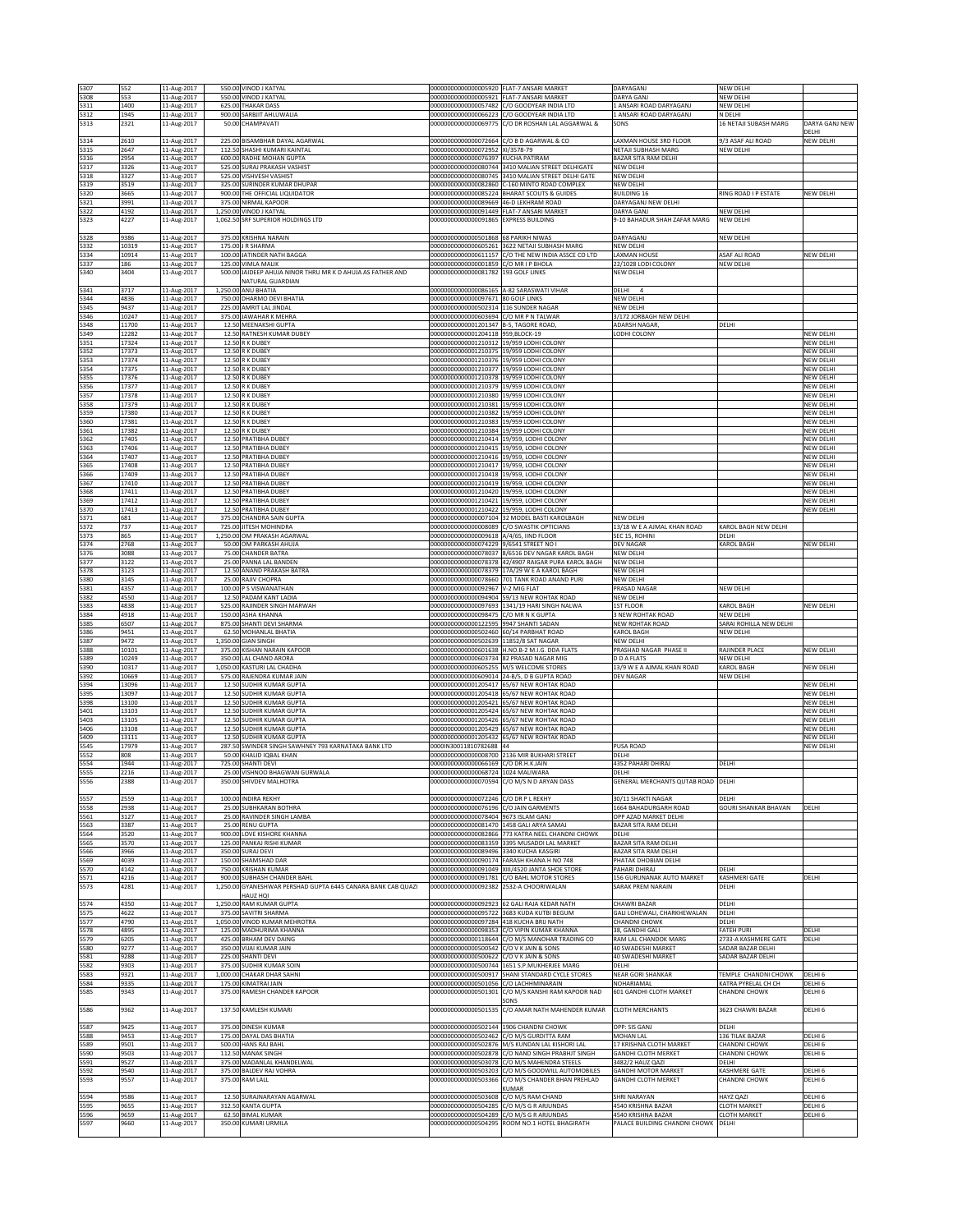| 5307         | 552            | 11-Aug-2017                |                | 550.00 VINOD J KATYAL                                             | 00000000000000005920 FLAT-7 ANSARI MARKET                      |                                                                                                  | DARYAGANJ                                           | NEW DELHI                                   |                               |
|--------------|----------------|----------------------------|----------------|-------------------------------------------------------------------|----------------------------------------------------------------|--------------------------------------------------------------------------------------------------|-----------------------------------------------------|---------------------------------------------|-------------------------------|
| 5308         | 553            | 11-Aug-2017                |                | 550.00 VINOD J KATYAL                                             | 00000000000000005921 FLAT-7 ANSARI MARKET                      |                                                                                                  | DARYA GANJ                                          | NEW DELHI                                   |                               |
| 5311         | 1400           | 11-Aug-2017                |                | 625.00 THAKAR DASS                                                |                                                                | 00000000000000057482 C/O GOODYEAR INDIA LTD                                                      | ANSARI ROAD DARYAGANJ                               | NEW DELHI                                   |                               |
| 5312<br>5313 | 1945<br>2321   | 11-Aug-2017<br>11-Aug-2017 |                | 900.00 SARBJIT AHLUWALIA<br>50.00 CHAMPAVATI                      | 00000000000000069775                                           | 00000000000000066223 C/O GOODYEAR INDIA LTD<br>C/O DR ROSHAN LAL AGGARWAL &                      | 1 ANSARI ROAD DARYAGANJ<br>SONS                     | N DELHI<br>16 NETAJI SUBASH MARG            | DARYA GANJ NEW                |
|              |                |                            |                |                                                                   |                                                                |                                                                                                  |                                                     |                                             | DELHI                         |
| 5314         | 2610           | 11-Aug-2017                |                | 225.00 BISAMBHAR DAYAL AGARWAL                                    | 00000000000000072664                                           | C/O B D AGARWAL & CO                                                                             | AXMAN HOUSE 3RD FLOOR                               | 9/3 ASAF ALI ROAD                           | NEW DELHI                     |
| 5315         | 2647           | 11-Aug-2017                |                | 112.50 SHASHI KUMARI KAINTAL                                      | 00000000000000072952 XI/3578-79                                |                                                                                                  | NETAJI SUBHASH MARG                                 | NEW DELHI                                   |                               |
| 5316         | 2954           | 11-Aug-2017                | 600.00         | RADHE MOHAN GUPTA<br><b>SURAJ PRAKASH VASHIST</b>                 | 00000000000000076397 KUCHA PATIRAM                             |                                                                                                  | BAZAR SITA RAM DELHI                                |                                             |                               |
| 5317<br>5318 | 3326<br>3327   | 11-Aug-2017<br>11-Aug-2017 | 525.00         | 525.00 VISHVESH VASHIST                                           | 00000000000000080744<br>00000000000000080745                   | 3410 MALIAN STREET DELHIGATE<br>3410 MALIAN STREET DELHI GATE                                    | NEW DELHI<br>NEW DELHI                              |                                             |                               |
| 5319         | 3519           | 11-Aug-2017                |                | 325.00 SURINDER KUMAR DHUPAR                                      |                                                                | 00000000000000082860 C-160 MINTO ROAD COMPLEX                                                    | NEW DELHI                                           |                                             |                               |
| 5320         | 3665           | 11-Aug-2017                |                | 900.00 THE OFFICIAL LIQUIDATOR                                    |                                                                | 00000000000000085224 BHARAT SCOUTS & GUIDES                                                      | BUILDING 16                                         | RING ROAD I P ESTATE                        | NEW DELHI                     |
| 5321         | 3991           | 11-Aug-2017                |                | 375.00 NIRMAL KAPOOR                                              | 000000000000000089669 46-D LEKHRAM ROAD                        |                                                                                                  | <b>DARYAGANJ NEW DELHI</b>                          |                                             |                               |
| 5322         | 4192           | 11-Aug-2017                |                | 1,250.00 VINOD J KATYAL                                           | 00000000000000091449                                           | FLAT-7 ANSARI MARKET                                                                             | <b>ARYA GANJ</b>                                    | NEW DELHI                                   |                               |
| 5323         | 4227           | 11-Aug-2017                |                | 1,062.50 SRF SUPERIOR HOLDINGS LTD                                | 00000000000000091865 EXPRESS BUILDING                          |                                                                                                  | 9-10 BAHADUR SHAH ZAFAR MARG                        | <b>NEW DELHI</b>                            |                               |
| 5328         | 9386           | 11-Aug-2017                |                | 375.00 KRISHNA NARAIN                                             | 00000000000000501868                                           | 68 PARIKH NIWAS                                                                                  | DARYAGANI                                           | NEW DELHI                                   |                               |
| 5332         | 10319          | 11-Aug-2017                |                | 175.00 J R SHARMA                                                 | 00000000000000605261                                           | 3622 NETAILSURHASH MARG                                                                          | NEW DELHI                                           |                                             |                               |
| 5334         | 10914          | 11-Aug-2017                |                | 100.00 JATINDER NATH BAGGA                                        |                                                                | 00000000000000611157 C/O THE NEW INDIA ASSCE CO LTD                                              | LAXMAN HOUSE                                        | ASAF ALI ROAD                               | NEW DELHI                     |
| 5337         | 186            | 11-Aug-2017                |                | 125.00 VIMLA MALIK                                                | 00000000000000001859                                           | C/O MR I P BHOLA                                                                                 | 22/1028 LODI COLONY                                 | NEW DELHI                                   |                               |
| 5340         | 3404           | 11-Aug-2017                | 500.00         | JAIDEEP AHUJA NINOR THRU MR K D AHUJA AS FATHER AND               | 00000000000000081782                                           | 193 GOLF LINKS                                                                                   | NEW DELHI                                           |                                             |                               |
| 5341         | 3717           | 11-Aug-2017                |                | <b>NATURAL GUARDIAN</b><br>1,250.00 ANU BHATIA                    | 000000000000000086165 A-82 SARASWATI VIHAR                     |                                                                                                  | DELHI 4                                             |                                             |                               |
| 5344         | 4836           | 11-Aug-2017                | 750.00         | DHARMO DEVI BHATIA                                                | 00000000000000097671 80 GOLF LINKS                             |                                                                                                  | NEW DELHI                                           |                                             |                               |
| 5345         | 9437           | 11-Aug-2017                | 225.00         | AMRIT LAL JINDAL                                                  | 00000000000000502314                                           | 116 SUNDER NAGAR                                                                                 | NEW DELHI                                           |                                             |                               |
| 5346         | 10247          | 11-Aug-2017                |                | 375.00 JAWAHAR K MEHRA                                            | 00000000000000603694                                           | C/O MR P N TALWAR                                                                                | 3/172 JORBAGH NEW DELHI                             |                                             |                               |
| 5348         | 11700          | 11-Aug-2017                |                | 12.50 MEENAKSHI GUPTA                                             | 00000000000001201347 B-5, TAGORE ROAD,                         |                                                                                                  | ADARSH NAGAR                                        | DELHI                                       |                               |
| 5349<br>5351 | 12282<br>17324 | 11-Aug-2017                |                | 12.50 RATNESH KUMAR DUBEY<br>12.50 R K DUBEY                      | 00000000000001204118 959,BLOCK-19                              | 19/959 LODHI COLONY                                                                              | LODHI COLONY                                        |                                             | NEW DELHI<br>NEW DELHI        |
| 5352         | 17373          | 11-Aug-2017<br>11-Aug-2017 |                | 12.50 R K DUBEY                                                   | 00000000000001210312<br>0000000000001210375                    | 19/959 LODHI COLONY                                                                              |                                                     |                                             | NEW DELHI                     |
| 5353         | 17374          | 11-Aug-2017                | 12.50          | R K DUBEY                                                         | 00000000000001210376                                           | 19/959 LODHI COLONY                                                                              |                                                     |                                             | <b>VEW DELHI</b>              |
| 5354         | 17375          | 11-Aug-2017                |                | 12.50 R K DUBEY                                                   | 00000000000001210377                                           | 19/959 LODHI COLONY                                                                              |                                                     |                                             | NEW DELHI                     |
| 5355         | 17376          | 11-Aug-2017                |                | 12.50 R K DUBEY                                                   | 00000000000001210378                                           | 19/959 LODHI COLONY                                                                              |                                                     |                                             | NEW DELHI                     |
| 5356         | 17377          | 11-Aug-2017                |                | 12.50 R K DUBEY                                                   | 00000000000001210379<br>00000000000001210380                   | 19/959 LODHLCOLONY                                                                               |                                                     |                                             | NEW DELHI                     |
| 5357<br>5358 | 17378<br>17379 | 11-Aug-2017<br>11-Aug-2017 |                | 12.50 R K DUBEY<br>12.50 R K DUBEY                                | 00000000000001210381 19/959 LODHI COLONY                       | 19/959 LODHI COLONY                                                                              |                                                     |                                             | NEW DELHI<br>NEW DELHI        |
| 5359         | 17380          | 11-Aug-2017                |                | <b>12.50 R K DUBEY</b>                                            | 00000000000001210382                                           | 19/959 LODHI COLONY                                                                              |                                                     |                                             | NEW DELHI                     |
| 5360         | 17381          | 11-Aug-2017                |                | 12.50 R K DUBEY                                                   | 00000000000001210383                                           | 19/959 LODHLCOLONY                                                                               |                                                     |                                             | NEW DELHI                     |
| 5361         | 17382          | 11-Aug-2017                |                | 12.50 R K DUBEY                                                   | 00000000000001210384                                           | 19/959 LODHI COLONY                                                                              |                                                     |                                             | NEW DELHI                     |
| 5362         | 17405          | 11-Aug-2017                |                | 12.50 PRATIBHA DUBEY                                              | 00000000000001210414 19/959, LODHI COLONY                      |                                                                                                  |                                                     |                                             | NEW DELHI                     |
| 5363<br>5364 | 17406<br>17407 | 11-Aug-2017<br>11-Aug-2017 | 12.50<br>12.50 | PRATIBHA DUBEY<br>PRATIBHA DUBEY                                  | 00000000000001210415<br>00000000000001210416                   | 19/959, LODHI COLONY<br>19/959. LODHLCOLONY                                                      |                                                     |                                             | NEW DELHI<br>NEW DELH         |
| 5365         | 17408          | 11-Aug-2017                |                | 12.50 PRATIBHA DUBEY                                              | 00000000000001210417                                           | 19/959, LODHI COLONY                                                                             |                                                     |                                             | NEW DELHI                     |
| 5366         | 17409          | 11-Aug-2017                |                | 12.50 PRATIBHA DUBEY                                              | 00000000000001210418 19/959, LODHI COLONY                      |                                                                                                  |                                                     |                                             | NEW DELHI                     |
| 5367         | 17410          | 11-Aug-2017                |                | 12.50 PRATIBHA DUBEY                                              | 00000000000001210419 19/959, LODHI COLONY                      |                                                                                                  |                                                     |                                             | NEW DELHI                     |
| 5368         | 17411          | 11-Aug-2017                | 12.50          | PRATIBHA DUBEY                                                    | 00000000000001210420                                           | 19/959. LODHLCOLONY                                                                              |                                                     |                                             | NEW DELHI                     |
| 5369         | 17412          | 11-Aug-2017                | 12.5           | <b>RATIBHA DUBEY</b>                                              | 00000000000001210421                                           | 9/959, LODHI COLONY                                                                              |                                                     |                                             | NEW DELHI                     |
| 5370<br>5371 | 17413<br>681   | 11-Aug-2017<br>11-Aug-2017 | 12.50          | PRATIBHA DUBEY<br>375.00 CHANDRA SAIN GUPTA                       | 00000000000001210422<br>00000000000000007104                   | 19/959, LODHI COLONY<br>32 MODEL BASTI KAROLBAGH                                                 | NEW DELHI                                           |                                             | NEW DELHI                     |
| 5372         | 737            | 11-Aug-2017                | 725.00         | JITESH MOHINDRA                                                   | 00000000000000008089                                           | C/O SWASTIK OPTICIANS                                                                            | 13/18 W E A AJMAL KHAN ROAD                         | KAROL BAGH NEW DELHI                        |                               |
| 5373         | 865            | 11-Aug-2017                |                | 1,250.00 OM PRAKASH AGARWAL                                       | 0000000000000009618                                            | A/4/65, IIND FLOOR                                                                               | SEC 15, ROHINI                                      | DELHI                                       |                               |
| 5374         | 2768           | 11-Aug-2017                |                | 50.00 OM PARKASH AHUJA                                            | 00000000000000074229 9/6541 STREET NO                          |                                                                                                  | DEV NAGAR                                           | KAROL BAGH                                  | NEW DELHI                     |
| 5376         | 3088           | 11-Aug-2017                |                | 75.00 CHANDER BATRA                                               |                                                                | 00000000000000078037 8/6516 DEV NAGAR KAROL BAGH                                                 | NEW DELHI                                           |                                             |                               |
| 5377<br>5378 | 3122<br>3123   | 11-Aug-2017                | 12.50          | 25.00 PANNA LAL BANDEN                                            | 00000000000000078378<br>0000000000000078379                    | 42/4907 RAIGAR PURA KAROL BAGH<br>17A/29 W E A KAROL BAGH                                        | NEW DELHI<br>NEW DELHI                              |                                             |                               |
| 5380         | 3145           | 11-Aug-2017<br>11-Aug-2017 |                | ANAND PRAKASH BATRA<br>25.00 RAJIV CHOPRA                         | 00000000000000078660                                           | 701 TANK ROAD ANAND PURI                                                                         | <b>IEW DELHI</b>                                    |                                             |                               |
| 5381         | 4357           | 11-Aug-2017                |                | 100.00 P S VISWANATHAN                                            | 00000000000000092967                                           | V-2 MIG FLAT                                                                                     | PRASAD NAGAR                                        | NEW DELHI                                   |                               |
| 5382         | 4550           | 11-Aug-2017                | 12.5           | PADAM KANT LADIA                                                  | 00000000000000094904                                           | 59/13 NEW ROHTAK ROAD                                                                            | NEW DELHI                                           |                                             |                               |
| 5383         | 4838           | 11-Aug-2017                | 525.00         | RAJINDER SINGH MARWAH                                             | 0000000000000097693                                            | 1341/19 HARI SINGH NALWA                                                                         | <b>IST FLOOR</b>                                    | KAROL BAGH                                  | NEW DELHI                     |
| 5384         | 4918           | 11-Aug-2017                |                | 150.00 ASHA KHANNA                                                | 00000000000000098475 C/O MR N K GUPTA                          |                                                                                                  | 3 NEW ROHTAK ROAD                                   | NEW DELHI                                   |                               |
| 5385         | 6507           | 11-Aug-2017                |                | 875.00 SHANTI DEVI SHARMA                                         | 00000000000000122595 9947 SHANTI SADAN<br>00000000000000502460 | 60/14 PARBHAT ROAD                                                                               | NEW ROHTAK ROAD                                     | SARAI ROHILLA NEW DELHI                     |                               |
| 5386<br>5387 | 9451<br>9472   | 11-Aug-2017<br>11-Aug-2017 |                | 62.50 MOHANLAL BHATIA<br>1,350.00 GIAN SINGH                      | 00000000000000502639                                           | 11852/8 SAT NAGAR                                                                                | KAROL BAGH<br><b>VEW DELHI</b>                      | NEW DELHI                                   |                               |
| 5388         | 10101          | 11-Aug-2017                | 375.00         | <b>KISHAN NARAIN KAPOOR</b>                                       | 00000000000000601638                                           | H.NO.B-2 M.I.G. DDA FLATS                                                                        | RASHAD NAGAR PHASE II                               | RAJINDER PLACE                              | <b>VEW DELHI</b>              |
| 5389         | 10249          | 11-Aug-2017                | 350.00         | LAL CHAND ARORA                                                   | 00000000000000603734                                           | 82 PRASAD NAGAR MIG                                                                              | ) D A FLATS                                         | NEW DELHI                                   |                               |
| 5390         | 10317          | 11-Aug-2017                | 1,050.00       | KASTURI LAL CHADHA                                                | 00000000000000605255                                           | M/S WELCOME STORES                                                                               | 13/9 W E A AJMAL KHAN ROAD                          | <b>KAROL BAGH</b>                           | NEW DELHI                     |
| 5392         | 10669          | 11-Aug-2017                | 575.00         | RAJENDRA KUMAR JAIN                                               | 00000000000000609014                                           | 24-B/5, D B GUPTA ROAD                                                                           | DEV NAGAR                                           | NEW DELHI                                   |                               |
| 5394<br>5395 | 13096<br>13097 | 11-Aug-2017<br>11-Aug-2017 |                | 12.50 SUDHIR KUMAR GUPTA<br>12.50 SUDHIR KUMAR GUPTA              | 00000000000001205417                                           | 65/67 NEW ROHTAK ROAD<br>00000000000001205418 65/67 NEW ROHTAK ROAD                              |                                                     |                                             | NEW DELHI<br>NEW DELHI        |
| 5398         | 13100          | 11-Aug-2017                |                | 12.50 SUDHIR KUMAR GUPTA                                          |                                                                | 00000000000001205421 65/67 NEW ROHTAK ROAD                                                       |                                                     |                                             | NEW DELHI                     |
| 5401         | 13103          | 11-Aug-2017                |                | 12.50 SUDHIR KUMAR GUPTA                                          | 00000000000001205424                                           | 65/67 NEW ROHTAK ROAD                                                                            |                                                     |                                             | NEW DELHI                     |
| 5403         | 13105          | 11-Aug-2017                | 12.50          | <b>JUDHIR KUMAR GUPTA</b>                                         | 00000000000001205426                                           | 5/67 NEW ROHTAK ROAD                                                                             |                                                     |                                             | VEW DELHI                     |
| 5406         | 13108          | 11-Aug-2017                | 12.50          | SUDHIR KUMAR GUPTA                                                | 00000000000001205429                                           | 55/67 NEW ROHTAK ROAD                                                                            |                                                     |                                             | NEW DELHI                     |
| 5409         | 13111          | 11-Aug-2017                | 12.50          | SUDHIR KUMAR GUPTA                                                | 00000000000001205432                                           | 65/67 NEW ROHTAK ROAD                                                                            |                                                     |                                             | NEW DELHI                     |
| 5545<br>5552 | 17979<br>808   | 11-Aug-2017<br>11-Aug-2017 | 287.5<br>50.0  | SWINDER SINGH SAWHNEY 793 KARNATAKA BANK LTD<br>KHALID IQBAL KHAN | 0000IN30011810782688<br>0000000000000008700                    | 2136 MIR BUKHARI STREET                                                                          | PUSA ROAD<br>DELHI                                  |                                             | NEW DELHI                     |
| 5554         | 1944           | 11-Aug-2017                |                | 725.00 SHANTI DEVI                                                | 00000000000000066169 C/O DR.H.K.JAIN                           |                                                                                                  | 4352 PAHARI DHIRAJ                                  | DELHI                                       |                               |
| 5555         | 2216           | 11-Aug-2017                |                | 25.00 VISHNOO BHAGWAN GURWALA                                     | 00000000000000068724 1024 MALIWARA                             |                                                                                                  | DELHI                                               |                                             |                               |
| 5556         | 2388           | 11-Aug-2017                |                | 350.00 SHIVDEV MALHOTRA                                           | 00000000000000070594                                           | C/O M/S N D ARYAN DASS                                                                           | GENERAL MERCHANTS QUTAB ROAD                        | DELH                                        |                               |
|              |                |                            |                |                                                                   |                                                                |                                                                                                  |                                                     |                                             |                               |
| 5557         | 2559           | 11-Aug-2017                |                | 100.00 INDIRA REKHY                                               | 00000000000000072246 C/O DR P L REKHY                          | C/O JAIN GARMENTS                                                                                | 30/11 SHAKTI NAGAR<br>664 BAHADURGARH ROAD          | DELHI                                       |                               |
| 5558<br>5561 | 2938<br>3127   | 11-Aug-2017<br>11-Aug-2017 |                | 25.00 SUBHKARAN BOTHRA<br>25.00 RAVINDER SINGH LAMBA              | 00000000000000076196<br>00000000000000078404 9673 ISLAM GANJ   |                                                                                                  | OPP AZAD MARKET DELHI                               | GOURI SHANKAR BHAVAN                        | DELHI                         |
| 5563         | 3387           | 11-Aug-2017                |                | 25.00 RENU GUPTA                                                  | 00000000000000081470 1458 GALI ARYA SAMAJ                      |                                                                                                  | BAZAR SITA RAM DELHI                                |                                             |                               |
| 5564         | 3520           | 11-Aug-2017                |                | 900.00 LOVE KISHORE KHANNA                                        |                                                                | 00000000000000082866 773 KATRA NEEL CHANDNI CHOWK                                                | DELHI                                               |                                             |                               |
| 5565         | 3570           | 11-Aug-2017                |                | 125.00 PANKAJ RISHI KUMAR                                         |                                                                | 00000000000000083359 3395 MUSADDI LAL MARKET                                                     | BAZAR SITA RAM DELHI                                |                                             |                               |
| 5566<br>5569 | 3966<br>4039   | 11-Aug-2017                |                | 350.00 SURAJ DEVI<br>150.00 SHAMSHAD DAR                          | 00000000000000089496<br>00000000000000090174                   | 3340 KUCHA KASGIRI<br>FARASH KHANA H NO 748                                                      | BAZAR SITA RAM DELHI<br><b>PHATAK DHOBIAN DELHI</b> |                                             |                               |
| 5570         | 4142           | 11-Aug-2017<br>11-Aug-2017 | 750.00         | <b>KRISHAN KUMAR</b>                                              | 0000000000000091049                                            | XIII/4520 JANTA SHOE STORE                                                                       | AHARI DHIRAJ                                        | DELHI                                       |                               |
| 5571         | 4216           | 11-Aug-2017                |                | 900.00 SUBHASH CHANDER BAHL                                       |                                                                | 00000000000000091781 C/O BAHL MOTOR STORES                                                       | 156 GURUNANAK AUTO MARKET                           | KASHMERI GATE                               | DELHI                         |
| 5573         | 4281           | 11-Aug-2017                |                | 1,250.00 GYANESHWAR PERSHAD GUPTA 6445 CANARA BANK CAB QUAZI      | 00000000000000092382 2532-A CHOORIWALAN                        |                                                                                                  | SARAK PREM NARAIN                                   | DELHI                                       |                               |
|              |                |                            |                | HAUZ HQI                                                          |                                                                |                                                                                                  |                                                     |                                             |                               |
| 5574         | 4350           | 11-Aug-2017                |                | 1,250.00 RAM KUMAR GUPTA                                          |                                                                | 00000000000000092923 62 GALI RAJA KEDAR NATH                                                     | CHAWRI BAZAR<br><b>GALI LOHEWALI, CHARKHEWALAN</b>  | DELHI                                       |                               |
| 5575<br>5577 | 4622<br>4790   | 11-Aug-2017<br>11-Aug-2017 |                | 375.00 SAVITRI SHARMA<br>1,050.00 VINOD KUMAR MEHROTRA            | 00000000000000097284 418 KUCHA BRIJ NATH                       | 00000000000000095722 3683 KUDA KUTBI BEGUM                                                       | CHANDNI CHOWK                                       | DELHI<br>DELHI                              |                               |
| 5578         | 4895           | 11-Aug-2017                |                | 125.00 MADHURIMA KHANNA                                           | 00000000000000098353                                           | C/O VIPIN KUMAR KHANNA                                                                           | 38, GANDHI GALI                                     | <b>FATEH PURI</b>                           | DELHI                         |
| 5579         | 6205           | 11-Aug-2017                | 425.0          | BRHAM DEV DAING                                                   | 00000000000000118644                                           | C/O M/S MANOHAR TRADING CO                                                                       | RAM LAL CHANDOK MARG                                | 2733-A KASHMERE GATE                        | DELHI                         |
| 5580         | 9277           | 11-Aug-2017                |                | 350.00 VIJAI KUMAR JAIN                                           | 00000000000000500542 C/O V K JAIN & SONS                       |                                                                                                  | 40 SWADESHI MARKET                                  | SADAR BAZAR DELHI                           |                               |
| 5581         | 9288           | 11-Aug-2017                |                | 225.00 SHANTI DEVI                                                | 00000000000000500622 C/O V K JAIN & SONS                       |                                                                                                  | 40 SWADESHI MARKET                                  | SADAR BAZAR DELHI                           |                               |
| 5582         | 9303           | 11-Aug-2017                | 375.00         | SUDHIR KUMAR SOIN                                                 |                                                                | 00000000000000500744 1651 S.P.MUKHERJEE MARG<br>00000000000000500917 SHANI STANDARD CYCLE STORES | DELHI<br><b>NEAR GORI SHANKAR</b>                   |                                             |                               |
| 5583<br>5584 | 9321<br>9335   | 11-Aug-2017<br>11-Aug-2017 |                | 1,000.00 CHAKAR DHAR SAHNI<br>175.00 KIMATRAI JAIN                | 00000000000000501056 C/O LACHHMINARAIN                         |                                                                                                  | NOHARIAMAL                                          | TEMPLE CHANDNI CHOWK<br>KATRA PYRELAL CH CH | DELHI <sub>6</sub><br>DELHI 6 |
| 5585         | 9343           | 11-Aug-2017                |                | 375.00 RAMESH CHANDER KAPOOR                                      |                                                                | 00000000000000501301 C/O M/S KANSHI RAM KAPOOR NAD                                               | 601 GANDHI CLOTH MARKET                             | CHANDNI CHOWK                               | DELHI 6                       |
|              |                |                            |                |                                                                   |                                                                | SONS                                                                                             |                                                     |                                             |                               |
| 5586         | 9362           | 11-Aug-2017                |                | 137.50 KAMLESH KUMARI                                             | 00000000000000501535                                           | C/O AMAR NATH MAHENDER KUMAR                                                                     | <b>CLOTH MERCHANTS</b>                              | 3623 CHAWRI BAZAR                           | DELHI 6                       |
|              |                |                            |                |                                                                   |                                                                |                                                                                                  |                                                     |                                             |                               |
| 5587         | 9425           | 11-Aug-2017                |                | 375.00 DINESH KUMAR                                               | 00000000000000502144 1906 CHANDNI CHOWK                        |                                                                                                  | OPP: SIS GANJ                                       | DELHI                                       |                               |
| 5588<br>5589 | 9453<br>9501   | 11-Aug-2017<br>11-Aug-2017 |                | 175.00 DAYAL DAS BHATIA<br>500.00 HANS RAJ BAHL                   | 00000000000000502462                                           | C/O M/S GURDITTA RAM<br>00000000000000502876 M/S KUNDAN LAL KISHORI LAL                          | MOHAN LAL<br>17 KRISHNA CLOTH MARKET                | 136 TILAK BAZAR<br><b>CHANDNI CHOWK</b>     | DELHI 6<br>DELHI 6            |
| 5590         | 9503           | 11-Aug-2017                |                | 112.50 MANAK SINGH                                                |                                                                | 00000000000000502878 C/O NAND SINGH PRABHJT SINGH                                                | <b>GANDHI CLOTH MERKET</b>                          | CHANDNI CHOWK                               | DELHI 6                       |
| 5591         | 9527           | 11-Aug-2017                |                | 375.00 MADANLAL KHANDELWAL                                        |                                                                | 00000000000000503078 C/O M/S MAHENDRA STEELS                                                     | 3482/2 HAUZ QAZI                                    | DELHI                                       |                               |
| 5592         | 9540           | 11-Aug-2017                |                | 375.00 BALDEV RAJ VOHRA                                           | 00000000000000503203                                           | C/O M/S GOODWILL AUTOMOBILES                                                                     | <b>GANDHI MOTOR MARKET</b>                          | KASHMERE GATE                               | DELHI 6                       |
| 5593         | 9557           | 11-Aug-2017                |                | 375.00 RAM LALL                                                   | 00000000000000503366                                           | C/O M/S CHANDER BHAN PREHLAD                                                                     | <b>GANDHI CLOTH MERKET</b>                          | CHANDNI CHOWK                               | DELHI 6                       |
|              |                |                            |                |                                                                   |                                                                | UMAR                                                                                             |                                                     |                                             |                               |
|              |                |                            |                |                                                                   |                                                                |                                                                                                  |                                                     |                                             |                               |
| 5594         | 9586           | 11-Aug-2017                |                | 12.50 SURAJNARAYAN AGARWAL                                        | 00000000000000503608                                           | C/O M/S RAM CHAND                                                                                | SHRI NARAYAN                                        | HAYZ QAZI                                   | DELHI 6                       |
| 5595<br>5596 | 9655<br>9659   | 11-Aug-2017                |                | 312.50 KANTA GUPTA<br>62.50 BIMAL KUMAR                           | 00000000000000504285<br>00000000000000504289                   | C/O M/S G R ARJUNDAS<br>C/O M/S G R ARJUNDAS                                                     | 4540 KRISHNA BAZAR<br>4540 KRISHNA BAZAR            | <b>CLOTH MARKET</b><br><b>CLOTH MARKET</b>  | DELHI <sub>6</sub><br>DELHI 6 |
| 5597         | 9660           | 11-Aug-2017<br>11-Aug-2017 |                | 350.00 KUMARI URMILA                                              | 00000000000000504295                                           | ROOM NO.1 HOTEL BHAGIRATH                                                                        | PALACE BUILDING CHANDNI CHOWK                       | DELHI                                       |                               |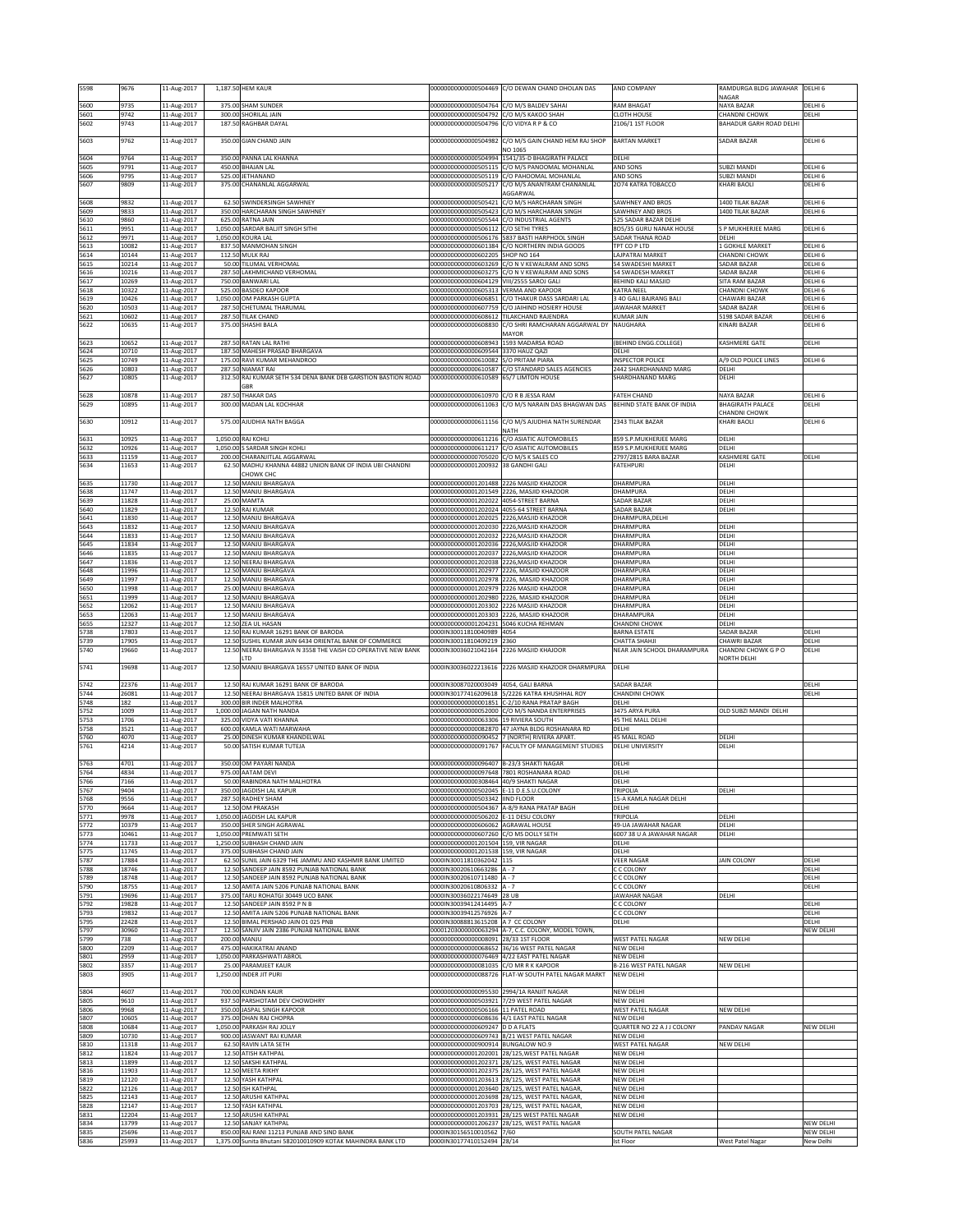| 5598         | 9676           | 11-Aug-2017                |                  | 1,187.50 HEM KAUR                                                                     | 0000000000000504469                                                            | C/O DEWAN CHAND DHOLAN DAS                                                                         | <b>IND COMPANY</b>                                 | RAMDURGA BLDG JAWAHAR<br><b>NAGAR</b>     | DELHI 6                                  |
|--------------|----------------|----------------------------|------------------|---------------------------------------------------------------------------------------|--------------------------------------------------------------------------------|----------------------------------------------------------------------------------------------------|----------------------------------------------------|-------------------------------------------|------------------------------------------|
| 5600         | 9735           | 11-Aug-2017                |                  | 375.00 SHAM SUNDER                                                                    | 00000000000000504764                                                           | C/O M/S BALDEV SAHAI                                                                               | RAM BHAGAT                                         | NAYA BAZAR                                | DELHI <sub>6</sub>                       |
| 5601<br>5602 | 9742<br>9743   | 11-Aug-2017<br>11-Aug-2017 | 300.00<br>187.50 | SHORILAL JAIN<br><b>RAGHBAR DAYAL</b>                                                 | 0000000000000504792<br>00000000000000504796 C/O VIDYA R P & CO                 | C/O M/S KAKOO SHAH                                                                                 | <b>CLOTH HOUSE</b><br>106/1 1ST FLOOR              | CHANDNI CHOWK<br>BAHADUR GARH ROAD DELH   | DELHI                                    |
| 5603         | 9762           | 11-Aug-2017                |                  | 350.00 GIAN CHAND JAIN                                                                |                                                                                | 00000000000000504982 C/O M/S GAIN CHAND HEM RAJ SHOP                                               | <b>BARTAN MARKET</b>                               | <b>SADAR BAZAR</b>                        | DELHI <sub>6</sub>                       |
|              |                |                            |                  |                                                                                       |                                                                                | NO 1065                                                                                            |                                                    |                                           |                                          |
| 5604<br>5605 | 9764<br>9791   | 11-Aug-2017<br>11-Aug-2017 |                  | 350.00 PANNA LAL KHANNA<br>450.00 BHAJAN LAL                                          | 0000000000000504994                                                            | 1541/35-D BHAGIRATH PALACE<br>00000000000000505115 C/O M/S PANOOMAL MOHANLAL                       | DELHI<br>AND SONS                                  | <b>SUBZI MAND</b>                         | DELHI <sub>6</sub>                       |
| 5606<br>5607 | 9795<br>9809   | 11-Aug-2017<br>11-Aug-2017 |                  | 525.00 JETHANAND<br>375.00 CHANANLAL AGGARWAL                                         | 10000000000000505217                                                           | 000000000000000505119 C/O PAHOOMAL MOHANLAL<br>C/O M/S ANANTRAM CHANANLAL                          | AND SONS<br>2074 KATRA TOBACCO                     | SUBZI MANDI<br><b>CHARI BAOLI</b>         | DELHI <sub>6</sub><br>DELHI <sub>6</sub> |
|              |                |                            |                  |                                                                                       |                                                                                | <b>GGARWAL</b>                                                                                     |                                                    |                                           |                                          |
| 5608<br>5609 | 9832<br>9833   | 11-Aug-2017<br>11-Aug-2017 |                  | 62.50 SWINDERSINGH SAWHNEY<br>350.00 HARCHARAN SINGH SAWHNEY                          | 00000000000000505421<br>0000000000000505423                                    | C/O M/S HARCHARAN SINGH<br>C/O M/S HARCHARAN SINGH                                                 | <b>SAWHNEY AND BROS</b><br>AWHNEY AND BROS         | 1400 TILAK BAZAR<br>1400 TILAK BAZAR      | DELHI <sub>6</sub><br>DELHI <sub>6</sub> |
| 5610         | 9860           | 11-Aug-2017                |                  | 625.00 RATNA JAIN                                                                     | 00000000000000505544                                                           | C/O INDUSTRIAL AGENTS<br>C/O SETHI TYRES                                                           | 525 SADAR BAZAR DELHI                              |                                           |                                          |
| 5611<br>5612 | 9951<br>9971   | 11-Aug-2017<br>11-Aug-2017 |                  | 1,050.00 SARDAR BALIIT SINGH SITHI<br>1,050.00 KOURA LAL                              | 0000000000000506112                                                            | 00000000000000506176 5837 BASTI HARPHOOL SINGH                                                     | 305/35 GURU NANAK HOUSE<br><b>SADAR THANA ROAD</b> | S P MUKHERJEE MARG<br>DELHI               | DELHI 6                                  |
| 5613<br>5614 | 10082<br>10144 | 11-Aug-2017<br>11-Aug-2017 |                  | 837.50 MANMOHAN SINGH<br>112.50 MULK RAJ                                              | 0000000000000602205                                                            | 00000000000000601384 C/O NORTHERN INDIA GOODS<br>SHOP NO 164                                       | FPT CO P LTD<br><b>AJPATRAI MARKET</b>             | 1 GOKHLE MARKET<br>CHANDNI CHOWK          | DELHI 6<br>DELHI <sub>6</sub>            |
| 5615         | 10214          | 11-Aug-2017                |                  | 50.00 TILUMAL VERHOMAL                                                                | 000000000000603269                                                             | C/O N V KEWALRAM AND SONS                                                                          | <b>4 SWADESHI MARKET</b>                           | SADAR BAZAR                               | DELHI 6                                  |
| 5616<br>5617 | 10216<br>10269 | 11-Aug-2017<br>11-Aug-2017 | 287.50           | LAKHMICHAND VERHOMAL<br>750.00 BANWARI LAL                                            | 00000000000000604129 VIII/2555 SAROJ GALI                                      | 00000000000000603275 C/O N V KEWALRAM AND SONS                                                     | <b>4 SWADESH MARKET</b><br>BEHIND KALI MASJID      | SADAR BAZAR<br>SITA RAM BAZAR             | DELHI 6<br>DELHI 6                       |
| 5618         | 10322          | 11-Aug-2017<br>11-Aug-2017 | 525.00           | <b>BASDEO KAPOOR</b>                                                                  | 00000000000000605313 VERMA AND KAPOOR                                          |                                                                                                    | <b>CATRA NEEL</b>                                  | <b>CHANDNI CHOWK</b>                      | DELHI <sub>6</sub>                       |
| 5619<br>5620 | 10426<br>10503 | 11-Aug-2017                | 1,050.00         | OM PARKASH GUPTA<br>287.50 CHETUMAL THARUMAL                                          |                                                                                | 00000000000000606851 C/O THAKUR DASS SARDARI LAL<br>00000000000000607759 C/O JAIHIND HOSIERY HOUSE | 3 40 GALI BAJRANG BALI<br><b>AWAHAR MARKET</b>     | CHAWARI BAZAR<br>SADAR BAZAR              | DELHI 6<br>DELHI <sub>6</sub>            |
| 5621<br>5622 | 10602<br>10635 | 11-Aug-2017<br>11-Aug-2017 |                  | 287.50 TILAK CHAND<br>375.00 SHASHI BALA                                              |                                                                                | 00000000000000608612 TILAKCHAND RAJENDRA<br>00000000000000608830 C/O SHRI RAMCHARAN AGGARWAL DY    | KUMAR JAIN<br>NAUGHARA                             | 5198 SADAR BAZAR<br>KINARI BAZAR          | DELHI <sub>6</sub><br>DELHI <sub>6</sub> |
|              |                |                            |                  |                                                                                       |                                                                                | MAYOR                                                                                              |                                                    |                                           |                                          |
| 5623<br>5624 | 10652<br>10710 | 11-Aug-2017<br>11-Aug-2017 | 187.50           | 287.50 RATAN LAL RATHI<br>MAHESH PRASAD BHARGAVA                                      | 0000000000000608943<br>0000000000000609544                                     | 1593 MADARSA ROAD<br>3370 HAUZ QAZI                                                                | BEHIND ENGG.COLLEGE)<br>DELHI                      | KASHMERE GATE                             | DELHI                                    |
| 5625<br>5626 | 10749<br>10803 | 11-Aug-2017                | 287.50           | 175.00 RAVI KUMAR MEHANDROO<br>NIAMAT RAI                                             | 00000000000000610082<br>0000000000000610587                                    | S/O PRITAM PIARA<br>C/O STANDARD SALES AGENCIES                                                    | <b>NSPECTOR POLICE</b><br>2442 SHARDHANAND MARG    | A/9 OLD POLICE LINES<br>DELH              | DELHI <sub>6</sub>                       |
| 5627         | 10805          | 11-Aug-2017<br>11-Aug-2017 | 312.5            | RAJ KUMAR SETH 534 DENA BANK DEB GARSTION BASTION ROAD                                | 0000000000000610589                                                            | 65/7 LIMTON HOUSE                                                                                  | <b>HARDHANAND MARG</b>                             | DELH                                      |                                          |
| 5628         | 10878          | 11-Aug-2017                | 287.5            | GBR<br><b>THAKAR DAS</b>                                                              | 00000000000000610970 C/O R B JESSA RAM                                         |                                                                                                    | <b>FATEH CHAND</b>                                 | NAYA BAZAR                                | DELHI <sub>6</sub>                       |
| 5629         | 10895          | 11-Aug-2017                |                  | 300.00 MADAN LAL KOCHHAR                                                              |                                                                                | C/O M/S NARAIN DAS BHAGWAN DAS                                                                     | BEHIND STATE BANK OF INDIA                         | BHAGIRATH PALACE                          | DELHI                                    |
| 5630         | 10912          | 11-Aug-2017                |                  | 575.00 AJUDHIA NATH BAGGA                                                             |                                                                                | 00000000000000611156 C/O M/S AJUDHIA NATH SURENDAR                                                 | 2343 TILAK BAZAR                                   | CHANDNI CHOWK<br>KHARI BAOLI              | DELHI 6                                  |
| 5631         | 10925          | 11-Aug-2017                |                  | 1,050.00 RAJ KOHLI                                                                    |                                                                                | NATH<br>00000000000000611216 C/O ASIATIC AUTOMOBILES                                               | 859 S.P. MUKHERJEE MARG                            | DELHI                                     |                                          |
| 5632         | 10926          | 11-Aug-2017                |                  | 1,050.00 S SARDAR SINGH KOHLI                                                         |                                                                                | 00000000000000611217 C/O ASIATIC AUTOMOBILES                                                       | 359 S.P.MUKHERJEE MARG                             | DELH                                      |                                          |
| 5633<br>5634 | 11159<br>11653 | 11-Aug-2017<br>11-Aug-2017 | 62.50            | 200.00 CHARANJITLAL AGGARWAL<br>MADHU KHANNA 44882 UNION BANK OF INDIA UBI CHANDNI    | 00000000000000705020 C/O M/S K SALES CO<br>00000000000001200932 38 GANDHI GALI |                                                                                                    | 2797/2815 BARA BAZAR<br>ATEHPURI                   | KASHMERE GATE<br>DELHI                    | DELHI                                    |
|              |                |                            |                  | CHOWK CHC                                                                             |                                                                                |                                                                                                    |                                                    |                                           |                                          |
| 5635<br>5638 | 11730<br>11747 | 11-Aug-2017<br>11-Aug-2017 | 12.5<br>12.50    | MANJU BHARGAVA<br>MANJU BHARGAVA                                                      | 0000000000001201549                                                            | 00000000000001201488 2226 MASJID KHAZOOR<br>2226, MASJID KHAZOOR                                   | DHARMPURA<br><b>DHAMPURA</b>                       | DELH<br>DELHI                             |                                          |
| 5639<br>5640 | 11828<br>11829 | 11-Aug-2017<br>11-Aug-2017 |                  | 25.00 MAMTA<br>12.50 RAJ KUMAR                                                        | 0000000000001202022                                                            | 4054-STREET BARNA<br>00000000000001202024 4055-64 STREET BARNA                                     | <b>SADAR BAZAR</b><br><b>ADAR BAZAR</b>            | DELH<br>DELHI                             |                                          |
| 5641         | 11830          | 11-Aug-2017                | 12.5             | MANJU BHARGAVA                                                                        | 00000000000001202025                                                           | 2226, MASJID KHAZOOR                                                                               | DHARMPURA, DELHI                                   |                                           |                                          |
| 5643<br>5644 | 11832<br>11833 | 11-Aug-2017<br>11-Aug-2017 |                  | 12.50 MANJU BHARGAVA<br>12.50 MANJU BHARGAVA                                          | 10000000000001202030                                                           | 2226 MASIID KHAZOOR<br>00000000000001202032 2226, MASJID KHAZOOR                                   | <b>DHARMPURA</b><br><b>DHARMPURA</b>               | DELH<br>DELHI                             |                                          |
| 5645         | 11834          | 11-Aug-2017                |                  | 12.50 MANJU BHARGAVA                                                                  | 00000000000001202036 2226, MASJID KHAZOOR                                      |                                                                                                    | DHARMPURA                                          | DELH                                      |                                          |
| 5646<br>5647 | 11835<br>11836 | 11-Aug-2017<br>11-Aug-2017 |                  | 12.50 MANJU BHARGAVA<br>12.50 NEERAJ BHARGAVA                                         | 0000000000001202037                                                            | 2226.MASJID KHAZOOR<br>00000000000001202038 2226, MASJID KHAZOOR                                   | <b>DHARMPURA</b><br><b>DHARMPURA</b>               | DELHI<br>DELHI                            |                                          |
| 5648<br>5649 | 11996<br>11997 | 11-Aug-2017<br>11-Aug-2017 | 12.50            | 12.50 MANJU BHARGAVA<br>MANJU BHARGAVA                                                |                                                                                | 00000000000001202977 2226, MASJID KHAZOOR<br>00000000000001202978 2226, MASJID KHAZOOR             | <b>DHARMPURA</b><br>DHARMPURA                      | DELHI<br>DELHI                            |                                          |
| 5650         | 11998          | 11-Aug-2017                |                  | 25.00 MANJU BHARGAVA                                                                  | 00000000000001202979 2226 MASJID KHAZOOR                                       |                                                                                                    | DHARMPURA                                          | DELH                                      |                                          |
| 5651<br>5652 | 11999<br>12062 | 11-Aug-2017<br>11-Aug-2017 |                  | 12.50 MANJU BHARGAVA<br>12.50 MANJU BHARGAVA                                          | 00000000000001203302 2226 MASJID KHAZOOR                                       | 00000000000001202980 2226, MASJID KHAZOOR                                                          | <b>DHARMPURA</b><br>DHARMPURA                      | DELHI<br>DELHI                            |                                          |
| 5653<br>5655 | 12063<br>12327 | 11-Aug-2017                |                  | 12.50 MANJU BHARGAVA<br>12.50 ZEA UL HASAN                                            | 00000000000001204231 5046 KUCHA REHMAN                                         | 00000000000001203303 2226, MASJID KHAZOOR                                                          | <b>DHARAMPURA</b><br><b>HANDNI CHOWK</b>           | DELHI<br>DELHI                            |                                          |
| 5738         | 17803          | 11-Aug-2017<br>11-Aug-2017 | 12.50            | RAJ KUMAR 16291 BANK OF BARODA                                                        | 000IN30011810040989                                                            | 4054                                                                                               | ARNA ESTATE                                        | <b>ADAR BAZAR</b>                         | DELHI                                    |
|              |                |                            |                  |                                                                                       |                                                                                |                                                                                                    |                                                    |                                           |                                          |
| 5739         | 17905          | 11-Aug-2017                | 12.50            | SUSHIL KUMAR JAIN 6434 ORIENTAL BANK OF COMMERCE                                      | 0000IN30011810409219                                                           | 2360                                                                                               | <b>CHATTA SHAHJI</b>                               | CHAWRI BAZAR                              | DELHI                                    |
| 5740         | 19660          | 11-Aug-2017                | 12.50            | NEERAJ BHARGAVA N 3558 THE VAISH CO OPERATIVE NEW BANK<br>I <sub>TD</sub>             | 0000IN30036021042164                                                           | 2226 MASJID KHAJOOR                                                                                | NEAR JAIN SCHOOL DHARAMPURA                        | CHANDNI CHOWK G P O<br><b>NORTH DELHI</b> | DELHI                                    |
| 5741         | 19698          | 11-Aug-2017                | 12.50            | MANJU BHARGAVA 16557 UNITED BANK OF INDIA                                             |                                                                                | 0000IN30036022213616 2226 MASJID KHAZOOR DHARMPURA                                                 | DELHI                                              |                                           |                                          |
| 5742         | 22376          | 11-Aug-2017                |                  | 12.50 RAJ KUMAR 16291 BANK OF BARODA                                                  | 0000IN30087020003049 4054, GALI BARNA                                          |                                                                                                    | SADAR BAZAR                                        |                                           | DELHI                                    |
| 5744<br>5748 | 26081<br>182   | 11-Aug-2017<br>11-Aug-2017 |                  | 12.50 NEERAJ BHARGAVA 15815 UNITED BANK OF INDIA<br>300.00 BIR INDER MALHOTRA         |                                                                                | 0000IN30177416209618 5/2226 KATRA KHUSHHAL ROY<br>00000000000000001851 C-2/10 RANA PRATAP BAGH     | CHANDINI CHOWK<br><b>DELHI</b>                     |                                           | DELHI                                    |
| 5752         | 1009           | 11-Aug-2017                |                  | 1,000.00 JAGAN NATH NANDA                                                             |                                                                                | 00000000000000052000 C/O M/S NANDA ENTERPRISES                                                     | 3475 ARYA PURA                                     | OLD SUBZI MANDI DELHI                     |                                          |
| 5753<br>5758 | 1706<br>3521   | 11-Aug-2017<br>11-Aug-2017 | 600.0            | 325.00 VIDYA VATI KHANNA<br>KAMLA WATI MARWAHA                                        | 00000000000000063306 19 RIVIERA SOUTH                                          | 00000000000000082870 47 JAYNA BLDG ROSHANARA RD                                                    | <b>15 THE MALL DELHI</b><br>DELHI                  |                                           |                                          |
| 5760<br>5761 | 4070<br>4214   | 11-Aug-2017<br>11-Aug-2017 | 25.0             | DINESH KUMAR KHANDELWAL<br>50.00 SATISH KUMAR TUTEJA                                  |                                                                                | 0000000000000090452 7 (NORTH) RIVIERA APART<br>0000000000000091767 FACULTY OF MANAGEMENT STUDIES   | <b>15 MALL ROAD</b><br>DELHI UNIVERSITY            | DELH<br>DELH                              |                                          |
|              |                |                            |                  |                                                                                       |                                                                                |                                                                                                    |                                                    |                                           |                                          |
| 5763<br>5764 | 4701<br>4834   | 11-Aug-2017<br>11-Aug-2017 |                  | 350.00 OM PAYARI NANDA<br>975.00 AATAM DEVI                                           | 00000000000000096407 B-23/3 SHAKTI NAGAR                                       | 00000000000000097648 7801 ROSHANARA ROAD                                                           | DELHI<br>DELHI                                     |                                           |                                          |
| 5766<br>5767 | 7166<br>9404   | 11-Aug-2017<br>11-Aug-2017 |                  | 50.00IRABINDRA NATH MALHOTRA<br>350.00 JAGDISH LAL KAPUR                              | 0000000000000308464<br>00000000000000502045 E-11 D.E.S.U.COLONY                | 40/9 SHAKTI NAGAH                                                                                  | JELMI<br><b><i>FRIPOLIA</i></b>                    | DELHI                                     |                                          |
| 5768         | 9556           | 11-Aug-2017                |                  | 287.50 RADHEY SHAM                                                                    | 00000000000000503342 IIND FLOOR                                                |                                                                                                    | 15-A KAMLA NAGAR DELHI                             |                                           |                                          |
| 5770<br>5771 | 9664<br>9978   | 11-Aug-2017<br>11-Aug-2017 |                  | 12.50 OM PRAKASH<br>1,050.00 JAGDISH LAL KAPUR                                        | 00000000000000506202 E-11 DESU COLONY                                          | 000000000000000504367 A-8/9 RANA PRATAP BAGH                                                       | DELHI<br><b><i>FRIPOLIA</i></b>                    | DELH                                      |                                          |
| 5772         | 10379<br>10461 | 11-Aug-2017                |                  | 350.00 SHER SINGH AGRAWAL<br>1,050.00 PREMWATI SETH                                   | 00000000000000606062 AGRAWAL HOUSE                                             |                                                                                                    | 49-UA JAWAHAR NAGAR<br>6007 38 U A JAWAHAR NAGAR   | DELHI<br>DELHI                            |                                          |
| 5773<br>5774 | 11733          | 11-Aug-2017<br>11-Aug-2017 |                  | 1,250.00 SUBHASH CHAND JAIN                                                           | 00000000000000607260 C/O MS DOLLY SETH<br>00000000000001201504 159, VIR NAGAR  |                                                                                                    | DELHI                                              |                                           |                                          |
| 5775<br>5787 | 11745<br>17884 | 11-Aug-2017<br>11-Aug-2017 |                  | 375.00 SUBHASH CHAND JAIN<br>62.50 SUNIL JAIN 6329 THE JAMMU AND KASHMIR BANK LIMITED | 00000000000001201538 159, VIR NAGAR<br>0000IN30011810362042 115                |                                                                                                    | DELHI<br><b>VEER NAGAR</b>                         | <b>JAIN COLONY</b>                        | DELHI                                    |
| 5788<br>5789 | 18746          | 11-Aug-2017                | 12.5<br>12.50    | SANDEEP JAIN 8592 PUNJAB NATIONAL BANK                                                | 0000IN30020610663286 A-7                                                       |                                                                                                    | C C COLONY                                         |                                           | DELHI<br>DELHI                           |
| 5790         | 18748<br>18755 | 11-Aug-2017<br>11-Aug-2017 |                  | SANDEEP JAIN 8592 PUNJAB NATIONAL BANK<br>12.50 AMITA JAIN 5206 PUNJAB NATIONAL BANK  | 0000IN30020610711480 A-7<br>0000IN30020610806332 A-7                           |                                                                                                    | C C COLONY<br>C COLONY                             |                                           | DELHI                                    |
| 5791<br>5792 | 19696<br>19828 | 11-Aug-2017<br>11-Aug-2017 |                  | 375.00 TARU ROHATGI 30449 UCO BANK<br>12.50 SANDEEP JAIN 8592 P N B                   | 0000IN30036022174649 28 UB<br>0000IN30039412414495 A-7                         |                                                                                                    | JAWAHAR NAGAR<br>C COLONY                          | DELHI                                     | DELHI                                    |
| 5793         | 19832          | 11-Aug-2017                | 12.50            | AMITA JAIN 5206 PUNJAB NATIONAL BANK                                                  | 000IN30039412576926 A-7                                                        |                                                                                                    | C C COLONY                                         |                                           | DELHI                                    |
| 5795<br>5797 | 22428<br>30960 | 11-Aug-2017<br>11-Aug-2017 | 12.50            | BIMAL PERSHAD JAIN 01 025 PNB<br>12.50 SANJIV JAIN 2386 PUNJAB NATIONAL BANK          | 000IN30088813615208 A 7 CC COLONY                                              | 00001203000000063294 A-7, C.C. COLONY, MODEL TOWN,                                                 | DELHI                                              |                                           | DELHI<br>NEW DELHI                       |
| 5799<br>5800 | 738<br>2209    | 11-Aug-2017                |                  | 200.00 MANJU<br>475.00 HAKIKATRAI ANAND                                               | 00000000000000008091 28/33 1ST FLOOR                                           | 00000000000000068652 36/16 WEST PATEL NAGAR                                                        | WEST PATEL NAGAR                                   | <b>NEW DELHI</b>                          |                                          |
| 5801         | 2959           | 11-Aug-2017<br>11-Aug-2017 |                  | 1,050.00 PARKASHWATI ABROL                                                            |                                                                                | 00000000000000076469 4/22 EAST PATEL NAGAR                                                         | NEW DELHI<br><b>VEW DELHI</b>                      |                                           |                                          |
| 5802<br>5803 | 3357<br>3905   | 11-Aug-2017<br>11-Aug-2017 |                  | 25.00 PARAMJEET KAUR<br>1,250.00 INDER JIT PURI                                       | 00000000000000081035 C/O MR R K KAPOOR                                         | 000000000000000088726 FLAT-W SOUTH PATEL NAGAR MARKT                                               | -216 WEST PATEL NAGAR<br>NEW DELHI                 | NEW DELHI                                 |                                          |
|              |                |                            |                  |                                                                                       |                                                                                |                                                                                                    |                                                    |                                           |                                          |
| 5804<br>5805 | 4607<br>9610   | 11-Aug-2017<br>11-Aug-2017 |                  | 700.00 KUNDAN KAUR<br>937.50 PARSHOTAM DEV CHOWDHRY                                   |                                                                                | 00000000000000095530 2994/1A RANJIT NAGAR<br>00000000000000503921 7/29 WEST PATEL NAGAR            | <b>NEW DELHI</b><br>NEW DELHI                      |                                           |                                          |
| 5806         | 9968           | 11-Aug-2017                |                  | 350.00 JASPAL SINGH KAPOOR                                                            | 00000000000000506166 11 PATEL ROAD                                             |                                                                                                    | WEST PATEL NAGAR                                   | NEW DELHI                                 |                                          |
| 5807<br>5808 | 10605<br>10684 | 11-Aug-2017<br>11-Aug-2017 |                  | 375.00 DHAN RAJ CHOPRA<br>1,050.00 PARKASH RAJ JOLLY                                  | 00000000000000609247 D D A FLATS                                               | 00000000000000608636 4/1 EAST PATEL NAGAR                                                          | NEW DELHI<br>QUARTER NO 22 A J J COLONY            | PANDAV NAGAR                              | NEW DELHI                                |
| 5809<br>5810 | 10730<br>11318 | 11-Aug-2017<br>11-Aug-2017 |                  | 900.00 JASWANT RAI KUMAR<br>62.50 RAVIN LATA SETH                                     | 00000000000000900914 BUNGALOW NO.9                                             | 00000000000000609743 8/21 WEST PATEL NAGAR                                                         | NEW DELHI<br>WEST PATEL NAGAR                      | NEW DELHI                                 |                                          |
| 5812         | 11824          | 11-Aug-2017                |                  | 12.50 ATISH KATHPAL                                                                   |                                                                                | 000000000000001202001 28/125, WEST PATEL NAGAR                                                     | NEW DELHI                                          |                                           |                                          |
| 5813<br>5816 | 11899<br>11903 | 11-Aug-2017<br>11-Aug-2017 |                  | 12.50 SAKSHI KATHPAL<br>12.50 MEETA RIKHY                                             |                                                                                | 00000000000001202371 28/125, WEST PATEL NAGAR<br>0000000000001202375 28/125, WEST PATEL NAGAR      | <b>NEW DELHI</b><br><b>VEW DELHI</b>               |                                           |                                          |
| 5819         | 12120          | 11-Aug-2017                |                  | 12.50 YASH KATHPAL                                                                    |                                                                                | 00000000000001203613 28/125, WEST PATEL NAGAR                                                      | NEW DELHI                                          |                                           |                                          |
| 5822<br>5825 | 12126<br>12143 | 11-Aug-2017<br>11-Aug-2017 |                  | 12.50 ISH KATHPAL<br>12.50 ARUSHI KATHPAL                                             |                                                                                | 00000000000001203640 28/125, WEST PATEL NAGAR<br>00000000000001203698 28/125, WEST PATEL NAGAR     | NEW DELHI<br>NEW DELHI                             |                                           |                                          |
| 5828<br>5831 | 12147<br>12204 | 11-Aug-2017<br>11-Aug-2017 |                  | 12.50 YASH KATHPAL<br>12.50 ARUSHI KATHPAL                                            |                                                                                | 00000000000001203703 28/125, WEST PATEL NAGAR<br>00000000000001203931 28/125 WEST PATEL NAGAR      | NEW DELHI<br>NEW DELHI                             |                                           |                                          |
| 5834<br>5835 | 13799<br>25696 | 11-Aug-2017<br>11-Aug-2017 |                  | 12.50 SANJAY KATHPAL<br>850.00 RAJ RANI 11213 PUNJAB AND SIND BANK                    | 0000IN30156510010562 7/60                                                      | 00000000000001206237 28/125, WEST PATEL NAGAR                                                      | SOUTH PATEL NAGAR                                  |                                           | NEW DELHI<br>NEW DELHI                   |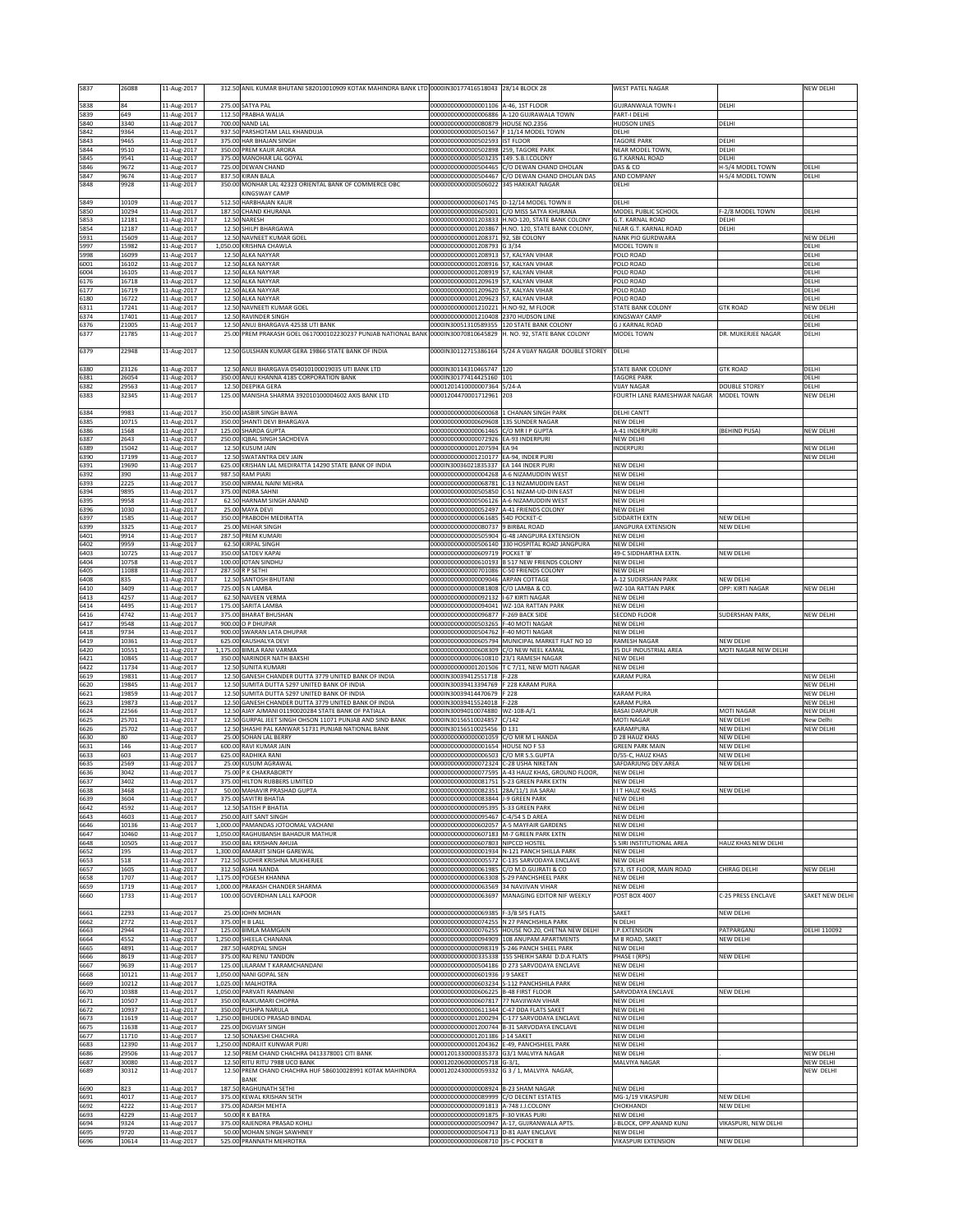| 5837                 | 26088                | 11-Aug-2017                               |                   | 312.50 ANIL KUMAR BHUTANI 582010010909 KOTAK MAHINDRA BANK LTD 0000IN30177416518043                |                                                                                      | 28/14 BLOCK 28                                                                   | WEST PATEL NAGAR                                  |                               | NEW DELHI                     |
|----------------------|----------------------|-------------------------------------------|-------------------|----------------------------------------------------------------------------------------------------|--------------------------------------------------------------------------------------|----------------------------------------------------------------------------------|---------------------------------------------------|-------------------------------|-------------------------------|
| 5838                 | 84                   | 11-Aug-2017                               |                   | 275.00 SATYA PAL                                                                                   | 00000000000000001106                                                                 | A-46, 1ST FLOOR                                                                  | <b>GUJRANWALA TOWN-I</b>                          | DELHI                         |                               |
| 5839<br>5840         | 649<br>3340          | 11-Aug-2017<br>11-Aug-2017                |                   | 112.50 PRABHA WALIA<br>700.00 NAND LAL                                                             | 0000000000000006886<br>00000000000000080879                                          | A-120 GUJRAWALA TOWN<br><b>IOUSE NO.2356</b>                                     | <b>PART-I DELHI</b><br><b>IUDSON LINES</b>        | DELHI                         |                               |
| 5842<br>5843         | 9364<br>9465         | 11-Aug-2017<br>11-Aug-2017                | 375.00            | 937.50 PARSHOTAM LALL KHANDUJA<br><b>HAR BHAJAN SINGH</b>                                          | 00000000000000501567 F 11/14 MODEL TOWN<br>00000000000000502593                      | <b>IST FLOOR</b>                                                                 | DELHI<br>TAGORE PARK                              | DELHI                         |                               |
| 5844                 | 9510                 | 11-Aug-2017                               | 350.00            | PREM KAUR ARORA                                                                                    | 00000000000000502898                                                                 | 259, TAGORE PARK                                                                 | <b>NEAR MODEL TOWN</b>                            | DELHI                         |                               |
| 5845<br>5846         | 9541<br>9672         | 11-Aug-2017<br>11-Aug-2017                |                   | 375.00 MANOHAR LAL GOYAL<br>725.00 DEWAN CHAND                                                     | 00000000000000503235                                                                 | 149. S.B.I.COLONY<br>00000000000000504465 C/O DEWAN CHAND DHOLAN                 | <b>G.T.KARNAL ROAD</b><br>DAS & CO                | DELHI<br>H-5/4 MODEL TOWN     | DELHI                         |
| 5847<br>5848         | 9674<br>9928         | 11-Aug-2017<br>11-Aug-2017                | 350.00            | 837.50 KIRAN BALA<br>MONHAR LAL 42323 ORIENTAL BANK OF COMMERCE OBC                                | 00000000000000504467<br>00000000000000506022                                         | C/O DEWAN CHAND DHOLAN DAS<br>345 HAKIKAT NAGAR                                  | AND COMPANY<br>DELHI                              | H-5/4 MODEL TOWN              | DELHI                         |
|                      |                      |                                           |                   | KINGSWAY CAMP                                                                                      |                                                                                      |                                                                                  |                                                   |                               |                               |
| 5849<br>5850         | 10109<br>10294       | 11-Aug-2017<br>11-Aug-2017                | 512.50            | <b>HARBHAJAN KAUR</b><br>187.50 CHAND KHURANA                                                      | 00000000000000601745 D-12/14 MODEL TOWN II<br>00000000000000605001                   | C/O MISS SATYA KHURANA                                                           | DELHI<br>MODEL PUBLIC SCHOOL                      | F-2/8 MODEL TOWN              | DELHI                         |
| 5853<br>5854         | 12181<br>12187       | 11-Aug-2017<br>11-Aug-2017                |                   | 12.50 NARESH<br>12.50 SHILPI BHARGAWA                                                              | 0000000000001203833                                                                  | H.NO-120, STATE BANK COLONY<br>00000000000001203867 H.NO. 120, STATE BANK COLONY | G.T. KARNAL ROAD<br>NEAR G.T. KARNAL ROAD         | DELHI<br>DELHI                |                               |
| 5931<br>5997         | 15609<br>15982       | 11-Aug-2017<br>11-Aug-2017                |                   | 12.50 NAVNEET KUMAR GOEL                                                                           | 00000000000001208371 92, SBI COLONY<br>00000000000001208793                          | G 3/34                                                                           | NANK PIO GURDWARA<br>MODEL TOWN II                |                               | <b>NEW DELHI</b><br>DELHI     |
| 5998                 | 16099                | 11-Aug-2017                               |                   | 1,050.00 KRISHNA CHAWLA<br>12.50 ALKA NAYYAR                                                       | 00000000000001208913                                                                 | 57, KALYAN VIHAR                                                                 | POLO ROAD                                         |                               | DELHI                         |
| 6001<br>6004         | 16102<br>16105       | 11-Aug-2017<br>11-Aug-2017                | 12.50             | ALKA NAYYAR<br>12.50 ALKA NAYYAR                                                                   | 00000000000001208916<br>00000000000001208919                                         | 7. KALYAN VIHAR<br>7, KALYAN VIHAR                                               | OLO ROAD<br>POLO ROAD                             |                               | DELHI<br>DELHI                |
| 6176<br>6177         | 16718<br>16719       | 11-Aug-2017<br>11-Aug-2017                | 12.50             | 12.50 ALKA NAYYAR<br><b>ALKA NAYYAR</b>                                                            | 00000000000001209619<br>00000000000001209620                                         | <b>7. KALYAN VIHAR</b><br>57. KALYAN VIHAR                                       | POLO ROAD<br>POLO ROAD                            |                               | DELHI<br>DELH                 |
| 6180                 | 16722                | 11-Aug-2017                               | 12.50             | ALKA NAYYAR                                                                                        | 00000000000001209623                                                                 | 57, KALYAN VIHAR                                                                 | POLO ROAD                                         |                               | DELHI                         |
| 6311<br>6374         | 17241<br>17401       | 11-Aug-2017<br>11-Aug-2017                |                   | 12.50 NAVNEETI KUMAR GOEL<br>12.50 RAVINDER SINGH                                                  | 00000000000001210221<br>00000000000001210408 2370 HUDSON LINE                        | H.NO-92, M FLOOR                                                                 | <b>STATE BANK COLONY</b><br>KINGSWAY CAMP         | <b>GTK ROAD</b>               | NEW DELHI<br>DELHI            |
| 6376<br>6377         | 21005<br>21785       | 11-Aug-2017<br>11-Aug-2017                | 12.50<br>25.00    | ANUJ BHARGAVA 42538 UTI BANK<br>PREM PRAKASH GOEL 0617000102230237 PUNJAB NATIONAL BANK            | 0000IN30051310589355<br>0000IN30070810645829                                         | 120 STATE BANK COLONY<br>H. NO. 92. STATE BANK COLONY                            | <b>G J KARNAL ROAD</b><br>MODEL TOWN              | DR. MUKERJEE NAGAR            | DELHI<br>DELHI                |
|                      |                      |                                           |                   |                                                                                                    |                                                                                      |                                                                                  |                                                   |                               |                               |
| 6379                 | 22948                | 11-Aug-2017                               |                   | 12.50 GULSHAN KUMAR GERA 19866 STATE BANK OF INDIA                                                 | 0000IN30112715386164                                                                 | 5/24 A VIJAY NAGAR DOUBLE STOREY                                                 | DELHI                                             |                               |                               |
| 6380<br>6381         | 23126<br>26054       | 11-Aug-2017<br>11-Aug-2017                |                   | 12.50 ANUJ BHARGAVA 054010100019035 UTI BANK LTD<br>350.00 ANUJ KHANNA 4185 CORPORATION BANK       | 0000IN30114310465747<br>0000IN30177414425160 101                                     | 120                                                                              | STATE BANK COLONY<br><b>TAGORE PARK</b>           | <b>GTK ROAD</b>               | DELHI<br>DELHI                |
| 6382                 | 29563                | 11-Aug-2017                               |                   | 12.50 DEEPIKA GERA<br>125.00 MANISHA SHARMA 392010100004602 AXIS BANK LTD                          | 00001201410000007364 5/24-A                                                          |                                                                                  | <b>VIJAY NAGAR</b><br>FOURTH LANE RAMESHWAR NAGAR | <b>DOUBLE STOREY</b>          | DELHI<br>NEW DELHI            |
| 6383                 | 32345                | 11-Aug-2017                               |                   |                                                                                                    | 00001204470001712961 203                                                             |                                                                                  |                                                   | MODEL TOWN                    |                               |
| 6384<br>6385         | 9983<br>10715        | 11-Aug-2017<br>11-Aug-2017                |                   | 350.00 JASBIR SINGH BAWA<br>350.00 SHANTI DEVI BHARGAVA                                            | 00000000000000600068<br>00000000000000609608                                         | <b>LCHANAN SINGH PARK</b><br>135 SUNDER NAGAR                                    | DELHI CANTT<br>NEW DELHI                          |                               |                               |
| 6386                 | 1568                 | 11-Aug-2017                               |                   | 125.00 SHARDA GUPTA<br><b>IOBAL SINGH SACHDEVA</b>                                                 | 00000000000000061465                                                                 | C/O MR I P GUPTA                                                                 | A-41 INDERPURI                                    | (BEHIND PUSA)                 | NEW DELHI                     |
| 6387<br>6389         | 2643<br>15042        | 11-Aug-2017<br>11-Aug-2017                | 250.00            | 12.50 KUSUM JAIN                                                                                   | 0000000000000072926<br>00000000000001207594 EA 94                                    | EA-93 INDERPURI                                                                  | NEW DELHI<br>INDERPURI                            |                               | NEW DELHI                     |
| 6390<br>6391         | 17199<br>19690       | 11-Aug-2017<br>11-Aug-2017                | 625.00            | 12.50 SWATANTRA DEV JAIN<br>KRISHAN LAL MEDIRATTA 14290 STATE BANK OF INDIA                        | 00000000000001210177 EA-94, INDER PURI<br>0000030036021835337                        | EA 144 INDER PURI                                                                | NEW DELHI                                         |                               | NEW DELHI                     |
| 6392<br>6393         | 390<br>2225          | 11-Aug-2017<br>11-Aug-2017                | 987.50<br>350.00  | RAM PIARI<br>NIRMAL NAINI MEHRA                                                                    | 00000000000000004268<br>18582000000000068781                                         | 4-6 NIZAMUDDIN WEST<br>-13 NIZAMUDDIN FAST                                       | <b>VEW DELHI</b><br><b>VEW DELHI</b>              |                               |                               |
| 6394                 | 9895                 | 11-Aug-2017                               | 375.00            | <b>INDRA SAHNI</b>                                                                                 | 00000000000000505850                                                                 | -51 NIZAM-UD-DIN EAST                                                            | NEW DELHI                                         |                               |                               |
| 6395<br>6396         | 9958<br>1030         | 11-Aug-2017<br>11-Aug-2017                | 62.5              | HARNAM SINGH ANAND<br>25.00 MAYA DEVI                                                              | 00000000000000506126<br>00000000000000052497                                         | A-6 NIZAMUDDIN WEST<br>A-41 FRIENDS COLONY                                       | NEW DELHI<br>NEW DELHI                            |                               |                               |
| 6397                 | 1585                 | 11-Aug-2017                               | 350.00            | PRABODH MEDIRATTA<br>25.00 MEHAR SINGH                                                             | 0000000000000061685                                                                  | 54D POCKET-C<br>9 BIRBAI ROAD                                                    | <b>IDDARTH EXTN</b>                               | NEW DELHI                     |                               |
| 6399<br>6401         | 3325<br>9914         | 11-Aug-2017<br>11-Aug-2017                |                   | 287.50 PREM KUMARI                                                                                 | 0000000000000080737                                                                  | 00000000000000505904 G-48 JANGPURA EXTENSION                                     | ANGPURA EXTENSION<br>NEW DELHI                    | NEW DELHI                     |                               |
| 6402<br>6403         | 9959<br>10725        | 11-Aug-2017<br>11-Aug-2017                |                   | 62.50 KIRPAL SINGH<br>350.00 SATDEV KAPAI                                                          | 00000000000000506140<br>00000000000000609719                                         | 330 HOSPITAL ROAD JANGPURA<br>POCKET'B'                                          | NEW DELHI<br>49-C SIDDHARTHA EXTN.                | NEW DELHI                     |                               |
| 6404                 | 10758                | 11-Aug-2017                               |                   | 100.00 JOTAN SINDHU                                                                                | 00000000000000610193                                                                 | 517 NEW FRIENDS COLONY                                                           | NEW DELHI                                         |                               |                               |
| 6405<br>6408         | 11088<br>835         | 11-Aug-2017<br>11-Aug-2017                | 12.50             | 287.50 R P SETHI<br>SANTOSH BHUTANI                                                                | 00000000000000701086<br>00000000000000009046                                         | C-50 FRIENDS COLONY<br>ARPAN COTTAGE                                             | NEW DELHI<br>A-12 SUDERSHAN PARK                  | NEW DELHI                     |                               |
| 6410<br>6413         | 3409<br>4257         | 11-Aug-2017<br>11-Aug-2017                |                   | 725.00 S N LAMBA<br>62.50 NAVEEN VERMA                                                             | 00000000000000081808<br>00000000000000092132                                         | C/O LAMBA & CO<br>-67 KIRTI NAGAR                                                | WZ-10A RATTAN PARK<br>NEW DELHI                   | OPP: KIRTI NAGAR              | NEW DELHI                     |
| 6414                 | 4495                 | 11-Aug-2017                               |                   | 175.00 SARITA LAMBA                                                                                | 00000000000000094041 WZ-10A RATTAN PARK                                              |                                                                                  | NEW DELHI                                         | <b>SUDERSHAN PARK</b>         |                               |
| 6416<br>6417         | 4742<br>9548         | 11-Aug-2017<br>11-Aug-2017                | 900.00            | 375.00 BHARAT BHUSHAN<br>O P DHUPAR                                                                | 00000000000000096877<br>00000000000000503265                                         | F-269 BACK SIDE<br>-40 MOTI NAGAR                                                | <b>SECOND FLOOR</b><br><b>NEW DELHI</b>           |                               | NEW DELHI                     |
| 6418<br>6419         | 9734<br>10361        | 11-Aug-2017<br>11-Aug-2017                | 900.00            | <b>SWARAN LATA DHUPAR</b><br>625.00 KAUSHALYA DEVI                                                 | 00000000000000504762                                                                 | -40 MOTI NAGAR<br>00000000000000605794 MUNICIPAL MARKET FLAT NO 10               | <b>VEW DELHI</b><br>RAMESH NAGAR                  | NEW DELHI                     |                               |
| 6420<br>6421         | 10551<br>10845       | 11-Aug-2017<br>11-Aug-2017                |                   | 1,175.00 BIMLA RANI VARMA<br>350.00 NARINDER NATH BAKSHI                                           | 00000000000000608309<br>00000000000000610810                                         | C/O NEW NEEL KAMAI<br>23/1 RAMESH NAGAR                                          | <b>35 DLF INDUSTRIAL AREA</b><br>NEW DELHI        | MOTI NAGAR NEW DELHI          |                               |
| 6422                 | 11734                | 11-Aug-2017                               |                   | 12.50 SUNITA KUMARI                                                                                | 0000000000001201506                                                                  | T C 7/11, NEW MOTI NAGAR                                                         | NEW DELHI                                         |                               |                               |
| 6619<br>6620         | 19831<br>19845       | 11-Aug-2017<br>11-Aug-2017                | 12.50             | 12.50 GANESH CHANDER DUTTA 3779 UNITED BANK OF INDIA<br>SUMITA DUTTA 5297 UNITED BANK OF INDIA     | 0000IN30039412551718 F-228<br>0000IN30039413394769 F 228 KARAM PURA                  |                                                                                  | <b>KARAM PURA</b>                                 |                               | NEW DELHI<br>NEW DELHI        |
| 6621<br>6623         | 19859<br>19873       | 11-Aug-2017<br>11-Aug-2017                | 12.50<br>12.50    | SUMITA DUTTA 5297 UNITED BANK OF INDIA<br><b>GANESH CHANDER DUTTA 3779 UNITED BANK OF INDIA</b>    | 0000IN30039414470679<br>0000IN30039415524018                                         | 228<br>$-228$                                                                    | <b>CARAM PURA</b><br><b>CARAM PURA</b>            |                               | NEW DELHI<br>NEW DELHI        |
| 6624                 | 22566                | 11-Aug-2017                               | 12.50             | AJAY AJMANI 01190020284 STATE BANK OF PATIALA                                                      | 0000IN30094010074880                                                                 | WZ-108-A/1                                                                       | <b>BASAI DARAPUR</b>                              | MOTI NAGAR                    | NEW DELHI                     |
| 6625<br>6626         | 25701<br>25702       | 11-Aug-2017<br>11-Aug-2017                | 12.50<br>12.50    | GURPAL JEET SINGH OHSON 11071 PUNJAB AND SIND BANK<br>SHASHI PAL KANWAR 51731 PUNJAB NATIONAL BANK | 0000IN30156510024857<br>0000IN30156510025456                                         | C/142<br>D 131                                                                   | MOTI NAGAR<br>KARAMPURA                           | NEW DELHI<br><b>NEW DELHI</b> | New Delhi<br><b>NEW DELHI</b> |
| 6630<br>6631         | 80<br>146            | 11-Aug-2017<br>11-Aug-2017                | 25.0              | <b>SOHAN LAL BERRY</b><br>600.00 RAVI KUMAR JAIN                                                   | 00000000000000001059<br>00000000000000001654                                         | CO MR M L HANDA<br>HOUSE NO F 53                                                 | 28 HAUZ KHAS<br><b>GREEN PARK MAIN</b>            | NEW DELHI<br>NEW DELHI        |                               |
| 6633                 | 603                  | 11-Aug-2017                               |                   | 625.00 RADHIKA RANI                                                                                | 00000000000000006503 C/O MR S.S.GUPTA                                                |                                                                                  | D/55-C, HAUZ KHAS                                 | NEW DELHI                     |                               |
| 6635<br>6636         | 2569<br>3042         | 11-Aug-2017<br>11-Aug-2017                |                   | 25.00 KUSUM AGRAWAL<br>75.00 P K CHAKRABORTY                                                       | 00000000000000072324 C-28 USHA NIKETAN                                               | 00000000000000077595 A-43 HAUZ KHAS, GROUND FLOOR,                               | SAFDARJUNG DEV.AREA<br>NEW DELHI                  | NEW DELHI                     |                               |
| <b>bb3/</b><br>6638  | 3402<br>3468         | .1-Aug-2017<br>11-Aug-2017                | 375.UU            | HILTON RUBBERS LIMITED<br>50.00 MAHAVIR PRASHAD GUPTA                                              | 10000000000000081751<br>000000000000000082351 28A/11/1 JIA SARAI                     | 5-23 GREEN PARK EXTN                                                             | IEW DELHI<br><b>I I T HAUZ KHAS</b>               | NEW DELHI                     |                               |
| 6639                 | 3604                 | 11-Aug-2017                               |                   | 375.00 SAVITRI BHATIA                                                                              | 00000000000000083844 J-9 GREEN PARK                                                  |                                                                                  | NEW DELHI                                         |                               |                               |
| 6642<br>6643         | 4592<br>4603         | 11-Aug-2017<br>11-Aug-2017                |                   | 12.50 SATISH P BHATIA<br>250.00 AJIT SANT SINGH                                                    | 00000000000000095395<br>00000000000000095467 C-4/54 S D AREA                         | S-33 GREEN PARK                                                                  | NEW DELHI<br>NEW DELHI                            |                               |                               |
| 6646<br>6647         | 10136<br>10460       | 11-Aug-2017<br>11-Aug-2017                |                   | 1,000.00 PAMANDAS JOTOOMAL VACHANI<br>1,050.00 RAGHUBANSH BAHADUR MATHUR                           | 00000000000000602057 A-5 MAYFAIR GARDENS<br>00000000000000607183 M-7 GREEN PARK EXTN |                                                                                  | NEW DELHI<br>NEW DELHI                            |                               |                               |
| 6648<br>6652         | 10505<br>195         | 11-Aug-2017<br>11-Aug-2017                |                   | 350.00 BAL KRISHAN AHUJA<br>1,300.00 AMARJIT SINGH GAREWAL                                         | 00000000000000607803 NIPCCD HOSTEL<br>00000000000000001934                           | N-121 PANCH SHILLA PARK                                                          | SIRI INSTITUTIONAL AREA<br>NEW DELHI              | HAUZ KHAS NEW DELHI           |                               |
| 6653                 | 518                  | 11-Aug-2017                               |                   | 712.50 SUDHIR KRISHNA MUKHERJEE                                                                    |                                                                                      | 00000000000000005572 C-135 SARVODAYA ENCLAVE                                     | NEW DELHI                                         |                               |                               |
| 6657<br>6658         | 1605<br>1707         | 11-Aug-2017<br>11-Aug-2017                | 312.5<br>1,175.00 | ASHA NANDA<br>YOGESH KHANNA                                                                        | 00000000000000061985<br>00000000000000063308                                         | C/O M.D.GUJRATI & CO<br>S-29 PANCHSHEEL PARK                                     | 573, IST FLOOR, MAIN ROAD<br>NEW DELHI            | CHIRAG DELHI                  | NEW DELHI                     |
| 6659<br>6660         | 1719<br>1733         | 11-Aug-2017<br>11-Aug-2017                |                   | 1,000.00 PRAKASH CHANDER SHARMA<br>100.00 GOVERDHAN LALL KAPOOR                                    | 00000000000000063569                                                                 | 34 NAVJIVAN VIHAR<br>00000000000000063697 MANAGING EDITOR NIF WEEKLY             | <b>NEW DELHI</b><br><b>POST BOX 4007</b>          | C-25 PRESS ENCLAVE            | SAKET NEW DELHI               |
|                      |                      |                                           |                   |                                                                                                    |                                                                                      |                                                                                  |                                                   |                               |                               |
| 6661<br>6662         | 2293<br>2772         | 11-Aug-2017<br>11-Aug-2017                | 375.00            | 25.00 JOHN MOHAN<br>H B LALL                                                                       | 00000000000000069385<br>0000000000000074255                                          | -3/B SFS FLATS<br>N 27 PANCHSHILA PARK                                           | SAKET<br><b>I DELHI</b>                           | NEW DELHI                     |                               |
| 6663<br>6664         | 2944<br>4552         | 11-Aug-2017<br>11-Aug-2017                |                   | 125.00 BIMLA MAMGAIN<br>1,250.00 SHEELA CHANANA                                                    | 00000000000000076255                                                                 | HOUSE NO.20, CHETNA NEW DELHI<br>00000000000000094909 108 ANUPAM APARTMENTS      | .P.EXTENSION<br><b>M B ROAD, SAKE</b>             | PATPARGANJ<br>NEW DELHI       | DELHI 110092                  |
| 6665                 | 4891                 | 11-Aug-2017                               |                   | 287.50 HARDYAL SINGH                                                                               |                                                                                      | 00000000000000098319 S-246 PANCH SHEEL PARK                                      | NEW DELH                                          |                               |                               |
| 6666<br>6667         | 8619<br>9639         | 11-Aug-2017<br>11-Aug-2017                | 375.00            | RAJ RENU TANDON<br>125.00 LILARAM T KARAMCHANDANI                                                  | 00000000000000335338                                                                 | 155 SHEIKH SARAI D.D.A FLATS<br>00000000000000504186 D 273 SARVODAYA ENCLAVE     | PHASE I (RPS)<br>NEW DELHI                        | NEW DELHI                     |                               |
| 6668                 | 10121                | 11-Aug-2017                               |                   | 1,050.00 NANI GOPAL SEN                                                                            | 00000000000000601936 J 9 SAKET                                                       | S-112 PANCHSHILA PARK                                                            | NEW DELHI<br>NEW DELHI                            |                               |                               |
| 6669<br>6670         | 10212<br>10388       | 11-Aug-2017<br>11-Aug-2017                |                   | 1,025.00   MALHOTRA<br>1,050.00 PARVATI RAMNANI                                                    | 00000000000000603234<br>00000000000000606225                                         | <b>B-48 FIRST FLOOR</b>                                                          | SARVODAYA ENCLAVE                                 | NEW DELHI                     |                               |
| 6671<br>6672         | 10507<br>10937       | 11-Aug-2017<br>11-Aug-2017                |                   | 350.00 RAJKUMARI CHOPRA<br>350.00 PUSHPA NARULA                                                    | 00000000000000607817<br>00000000000000611344                                         | 7 NAVJIWAN VIHAR<br>-47 DDA FLATS SAKET                                          | NEW DELHI<br>NEW DELHI                            |                               |                               |
| 6673<br>6675         | 11619<br>11638       | 11-Aug-2017<br>11-Aug-2017                | 225.00            | 1,250.00 BHUDEO PRASAD BINDAL<br>DIGVIJAY SINGH                                                    | 00000000000001200294<br>00000000000001200744                                         | C-177 SARVODAYA ENCLAVE<br><b>B-31 SARVODAYA ENCLAVE</b>                         | NEW DELHI<br>NEW DELHI                            |                               |                               |
| 6677                 | 11710                | 11-Aug-2017                               |                   | 12.50 SONAKSHI CHACHRA                                                                             | 00000000000001201386 J-14 SAKET                                                      |                                                                                  | NEW DELHI                                         |                               |                               |
| 6683<br>6686         |                      | 11-Aug-2017                               |                   | 1,250.00 INDRAJIT KUNWAR PURI<br>12.50 PREM CHAND CHACHRA 0413378001 CITI BANK                     | 00000000000001204362 E-49, PANCHSHEEL PARK<br>00001201330000335373                   | G3/1 MALVIYA NAGAR                                                               | NEW DELHI<br>NEW DELHI                            |                               | NEW DELHI                     |
|                      | 12390<br>29506       | 11-Aug-2017                               |                   |                                                                                                    |                                                                                      |                                                                                  |                                                   |                               |                               |
| 6687                 | 30080                | 11-Aug-2017                               |                   | 12.50 RITU RITU 7988 UCO BANK                                                                      | 00001202060000005718                                                                 | $G - 3/1$ .                                                                      | MALVIYA NAGAR                                     |                               | NEW DELHI                     |
| 6689                 | 30312                | 11-Aug-2017                               | 12.50             | PREM CHAND CHACHRA HUF 586010028991 KOTAK MAHINDRA<br>BANK                                         | 00001202430000059332                                                                 | G 3 / 1, MALVIYA NAGAR,                                                          |                                                   |                               | NEW DELHI                     |
| 6690<br>6691         | 823<br>4017          | 11-Aug-2017<br>11-Aug-2017                | 187.50<br>375.00  | RAGHUNATH SETHI<br><b>KEWAL KRISHAN SETH</b>                                                       | 00000000000000008924 B-23 SHAM NAGAR<br>0000000000000089999                          | C/O DECENT ESTATES                                                               | NEW DELHI<br>MG-1/19 VIKASPURI                    | NEW DELHI                     |                               |
| 6692                 | 4222                 | 11-Aug-2017                               |                   | 375.00 ADARSH MEHTA                                                                                | 00000000000000091813 A-748 J.J.COLONY                                                |                                                                                  | CHOKHANDI                                         | NEW DELHI                     |                               |
| 6693<br>6694<br>6695 | 4229<br>9324<br>9720 | 11-Aug-2017<br>11-Aug-2017<br>11-Aug-2017 |                   | 50.00 R K BATRA<br>375.00 RAJENDRA PRASAD KOHLI<br>50.00 MOHAN SINGH SAWHNEY                       | 00000000000000091875 F-30 VIKAS PURI<br>00000000000000504713 D-81 AJAY ENCLAVE       | 00000000000000500947 A-17, GUJRANWALA APTS.                                      | NEW DELHI<br>-BLOCK, OPP.ANAND KUNJ<br>NEW DELHI  | VIKASPURI, NEW DELHI          |                               |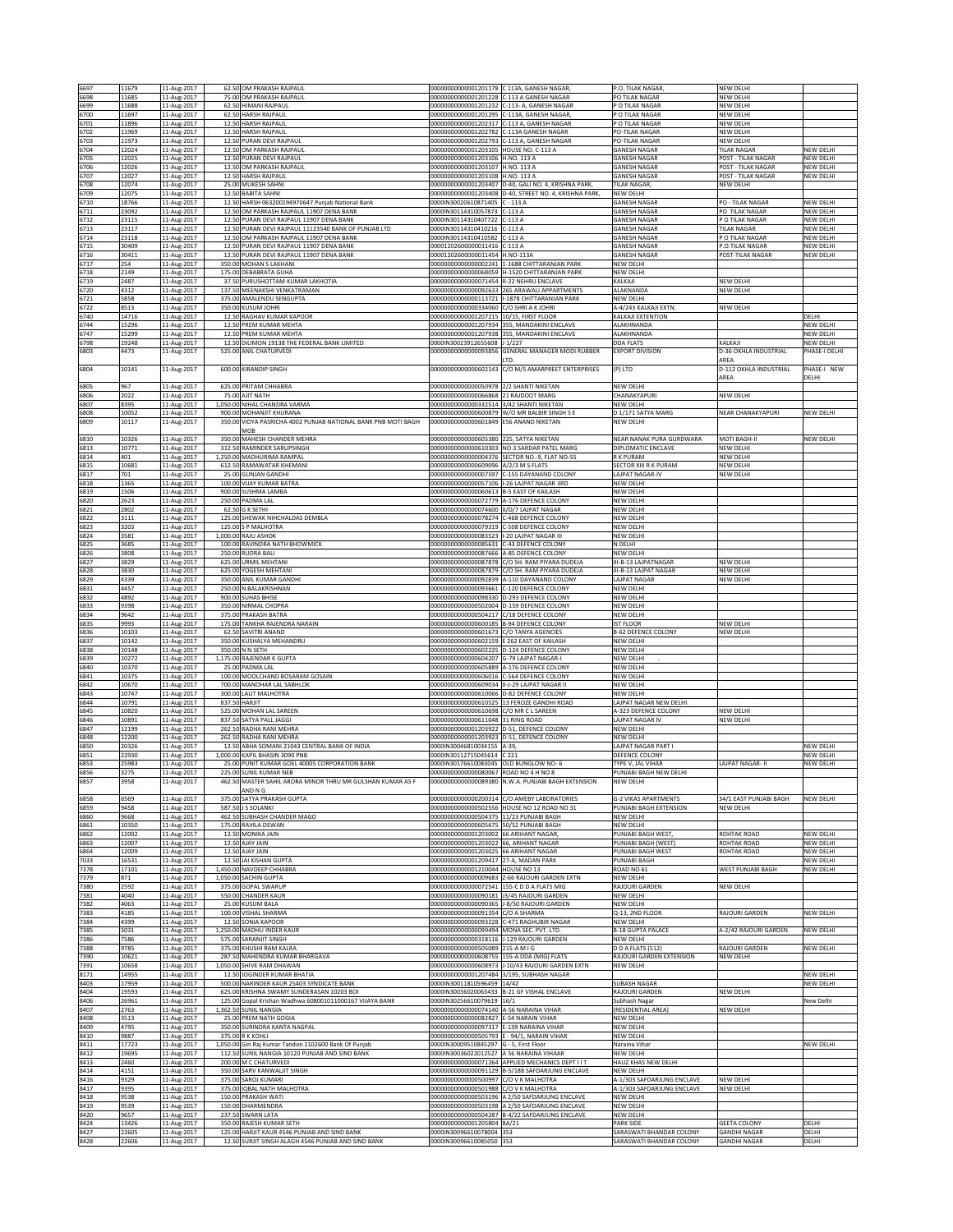|              |                |                            |        |                                                                                                    |                                                                                          | C 113A, GANESH NAGAR                                   | P.O. TILAK NAGAR                                     |                                            |                                      |
|--------------|----------------|----------------------------|--------|----------------------------------------------------------------------------------------------------|------------------------------------------------------------------------------------------|--------------------------------------------------------|------------------------------------------------------|--------------------------------------------|--------------------------------------|
| 6697<br>6698 | 11679<br>11685 | 11-Aug-2017<br>11-Aug-2017 |        | 62.50 OM PRAKASH RAJPAUL<br>75.00 OM PRAKASH RAJPAUL                                               | 00000000000001201178<br>00000000000001201228                                             | C-113 A GANESH NAGAR                                   | PO TILAK NAGAR                                       | <b>JEW DELHI</b><br>NEW DELHI              |                                      |
| 6699         | 11688          | 11-Aug-2017                |        | 62.50 HIMANI RAJPAUL                                                                               | 00000000000001201232                                                                     | C-113- A, GANESH NAGAR                                 | P O TILAK NAGAR                                      | NEW DELHI                                  |                                      |
| 6700         | 11697          | 11-Aug-2017                |        | 62.50 HARSH RAJPAUL                                                                                | 0000000000001201295                                                                      | C-113A, GANESH NAGAR                                   | P O TILAK NAGAR                                      | <b>VEW DELHI</b>                           |                                      |
| 6701         | 11896          | 11-Aug-2017                |        | 12.50 HARSH RAJPAUL                                                                                | 00000000000001202317                                                                     | C-113 A, GANESH NAGAR                                  | P O TILAK NAGAR                                      | <b>JEW DELHI</b>                           |                                      |
| 6702         | 11969          | 11-Aug-2017                |        | 12.50 HARSH RAJPAUL                                                                                | 00000000000001202782 C-113A GANESH NAGAR                                                 |                                                        | PO-TILAK NAGAR                                       | NEW DELHI                                  |                                      |
| 6703         | 11973          | 11-Aug-2017                |        | 12.50 PURAN DEVI RAJPAUL                                                                           | 00000000000001202793                                                                     | C-113 A, GANESH NAGAR                                  | PO-TILAK NAGAR                                       | NEW DELHI                                  |                                      |
| 6704         | 12024          | 11-Aug-2017                |        | 12.50 OM PARKASH RAJPAUL                                                                           | 00000000000001203105 HOUSE NO. C-113 A                                                   |                                                        | <b>GANESH NAGAR</b>                                  | <b>ILAK NAGAR</b>                          | NEW DELHI                            |
| 6705         | 12025          | 11-Aug-2017                |        | 12.50 PURAN DEVI RAJPAUL                                                                           | 00000000000001203106 H.NO. 113 A                                                         |                                                        | <b>GANESH NAGAR</b>                                  | OST - TILAK NAGAR                          | NEW DELHI                            |
| 6706         | 12026          | 11-Aug-2017                |        | 12.50 OM PARKASH RAJPAUL                                                                           | 00000000000001203107 H.NO. 113 A                                                         |                                                        | <b>GANESH NAGAR</b>                                  | POST - TILAK NAGAR                         | <b>NEW DELHI</b>                     |
| 6707         | 12027          | 11-Aug-2017                |        | 12.50 HARSH RAJPAUL                                                                                | 000000000000001203108 H.NO. 113 A                                                        |                                                        | <b>GANESH NAGAR</b>                                  | POST - TILAK NAGAR                         | NEW DELHI                            |
| 6708         | 12074          | 11-Aug-2017                |        | 25.00 MUKESH SAHNI                                                                                 | 00000000000001203407                                                                     | D-40, GALI NO. 4, KRISHNA PARK,                        | <b>TILAK NAGAR</b>                                   | NEW DELHI                                  |                                      |
| 6709         | 12075          | 11-Aug-2017                |        | 12.50 BABITA SAHNI                                                                                 |                                                                                          | 00000000000001203408 D-40, STREET NO. 4, KRISHNA PARK, | NEW DELHI                                            |                                            |                                      |
| 6710<br>6711 | 18766<br>23092 | 11-Aug-2017                |        | 12.50 HARSH 063200194970647 Punjab National Bank<br>12.50 OM PARKASH RAJPAUL 11907 DENA BANK       | 0000IN30020610871405 C-113A<br>0000IN30114310057873                                      | C-113 A                                                | <b>GANESH NAGAR</b><br><b>GANESH NAGAR</b>           | PO - TILAK NAGAR<br>O TILAK NAGAR          | NEW DELHI<br>NEW DELHI               |
| 6712         | 23115          | 11-Aug-2017<br>11-Aug-2017 |        | 12.50 PURAN DEVI RAJPAUL 11907 DENA BANK                                                           | 0000IN30114310407722                                                                     | $C-113A$                                               | <b>GANESH NAGAR</b>                                  | O TILAK NAGAR                              | NEW DELHI                            |
| 6713         | 23117          | 11-Aug-2017                |        | 12.50 PURAN DEVI RAJPAUL 11123540 BANK OF PUNJAB LTD                                               | 000IN30114310410216                                                                      | $-113A$                                                | <b>GANESH NAGAR</b>                                  | ILAK NAGAR                                 | NEW DELHI                            |
| 6714         | 23118          | 11-Aug-2017                |        | 12.50 OM PARKASH RAJPAUL 11907 DENA BANK                                                           | 0000IN30114310410582                                                                     | C-113 A                                                | <b>GANESH NAGAR</b>                                  | O TILAK NAGAR                              | NEW DELHI                            |
| 6715         | 30409          | 11-Aug-2017                |        | 12.50 PURAN DEVI RAJPAUL 11907 DENA BANK                                                           | 00001202600000011416 C-113 A                                                             |                                                        | <b>GANESH NAGAR</b>                                  | .O.TILAK NAGAF                             | NEW DELHI                            |
| 6716         | 30411          | 11-Aug-2017                |        | 12.50 PURAN DEVI RAJPAUL 11907 DENA BANK                                                           | 00001202600000011454 H.NO-113A                                                           |                                                        | <b>GANESH NAGAR</b>                                  | POST-TILAK NAGAR                           | NEW DELHI                            |
| 6717         | 254            | 11-Aug-2017                |        | 350.00 MOHAN S LAKHANI                                                                             |                                                                                          | 00000000000000002241 1-1688 CHITTARANJAN PARK          | NEW DELHI                                            |                                            |                                      |
| 6718         | 2149           | 11-Aug-2017                |        | 175.00 DEBABRATA GUHA                                                                              |                                                                                          | 00000000000000068059 H-1520 CHITTARANJAN PARK          | NEW DELHI                                            |                                            |                                      |
| 6719         | 2487           | 11-Aug-2017                |        | 37.50 PURUSHOTTAM KUMAR LAKHOTIA                                                                   | 00000000000000071454 R-22 NEHRU ENCLAVE                                                  |                                                        | KALKAJI                                              | <b>VEW DELHI</b>                           |                                      |
| 6720         | 4312           | 11-Aug-2017                |        | 137.50 MEENAKSHI VENKATRAMAN                                                                       | 0000000000000092633                                                                      | 265 ARAWALI APPARTMENTS                                | <b>ALAKNANDA</b>                                     | VEW DELHI                                  |                                      |
| 6721         | 5858           | 11-Aug-2017                |        | 375.00 AMALENDU SENGUPTA                                                                           |                                                                                          | 00000000000000113721 1-1878 CHITTARANJAN PARK          | NEW DELHI                                            |                                            |                                      |
| 6722         | 3513           | 11-Aug-2017                |        | 350.00 KUSUM JOHRI                                                                                 | 0000000000000334060                                                                      | C/O SHRI A K JOHRI                                     | A-4/243 KALKAJI EXTN.                                | <b>JEW DELHI</b>                           |                                      |
| 6740         | 14716          | 11-Aug-2017                |        | 12.50 RAGHAV KUMAR KAPOOR                                                                          | 00000000000001207215 10/15, FIRST FLOOR                                                  |                                                        | KALKAJI EXTENTION                                    |                                            | DELHI                                |
| 6744         | 15296          | 11-Aug-2017                |        | 12.50 PREM KUMAR MEHTA                                                                             | 00000000000001207934                                                                     | 355, MANDAKINI ENCLAVE                                 | ALAKHNANDA                                           |                                            | <b>NEW DELHI</b><br><b>NEW DELHI</b> |
| 6747         | 15299          | 11-Aug-2017                |        | 12.50 PREM KUMAR MEHTA                                                                             | 0000000000001207938                                                                      | 355, MANDAKINI ENCLAVE                                 | ALAKHNANDA                                           |                                            |                                      |
| 6798<br>6803 | 19248<br>4473  | 11-Aug-2017                |        | 12.50 DILIMON 19138 THE FEDERAL BANK LIMITED<br>525.00 ANIL CHATURVEDI                             | 0000IN30023912655608<br>0000000000000093856                                              | J 1/227<br>GENERAL MANAGER MODI RUBBER                 | <b>DDA FLATS</b><br><b>EXPORT DIVISION</b>           | <b>CALKAJI</b><br>D-36 OKHLA INDUSTRIAL    | NEW DELHI<br>PHASE-I DELHI           |
|              |                | 11-Aug-2017                |        |                                                                                                    |                                                                                          | .TD                                                    |                                                      | AREA                                       |                                      |
| 6804         | 10141          | 11-Aug-2017                |        | 600.00 KIRANDIP SINGH                                                                              | 0000000000000602143                                                                      | C/O M/S AMARPREET ENTERPRISES                          | (P) LTD                                              | D-112 OKHLA INDUSTRIAL                     | PHASE-I NEW                          |
|              |                |                            |        |                                                                                                    |                                                                                          |                                                        |                                                      | AREA                                       | DELHI                                |
| 6805         | 967            | 11-Aug-2017                |        | 625.00 PRITAM CHHABRA                                                                              | 00000000000000050978 2/2 SHANTI NIKETAN                                                  |                                                        | NEW DELHI                                            |                                            |                                      |
| 6806         | 2022           | 11-Aug-2017                |        | 75.00 AJIT NATH                                                                                    | 00000000000000066868 21 RAJDOOT MARG                                                     |                                                        | CHANAKYAPURI                                         | NEW DELHI                                  |                                      |
| 6807         | 8395           | 11-Aug-2017                |        | 1,050.00 NIHAL CHANDRA VARMA                                                                       | 00000000000000332514 3/42 SHANTI NIKETAN                                                 |                                                        | NEW DELHI                                            |                                            |                                      |
| 6808         | 10052          | 11-Aug-2017                |        | 900.00 MOHANJIT KHURANA                                                                            |                                                                                          | 00000000000000600879 W/O MR BALBIR SINGH S E           | D 1/171 SATYA MARG                                   | <b>VEAR CHANAKYAPURI</b>                   | NEW DELHI                            |
| 6809         | 10117          | 11-Aug-2017                |        | 350.00 VIDYA PASRICHA 4002 PUNJAB NATIONAL BANK PNB MOTI BAGH                                      | 00000000000000601849 E56 ANAND NIKETAN                                                   |                                                        | NEW DELHI                                            |                                            |                                      |
|              |                |                            |        | MOB                                                                                                |                                                                                          |                                                        |                                                      |                                            |                                      |
| 6810         | 10326          | 11-Aug-2017                |        | 350.00 MAHESH CHANDER MEHRA                                                                        | 00000000000000605380 225, SATYA NIKETAN                                                  |                                                        | NEAR NANAK PURA GURDWARA                             | MOTI BAGH-II                               | NEW DELHI                            |
| 6813         | 10771          | 11-Aug-2017                |        | 312.50 RAMINDER SARUPSINGH                                                                         | 0000000000000610303                                                                      | NO.3 SARDAR PATEL MARG                                 | DIPLOMATIC ENCLAVE                                   | <b>VEW DELHI</b>                           |                                      |
| 6814         | 401            | 11-Aug-2017                |        | 1,250.00 MADHURIMA RAMPAL                                                                          |                                                                                          | 00000000000000004376 SECTOR NO .- 9, FLAT NO-55        | R K PURAM                                            | NEW DELHI                                  |                                      |
| 6815         | 10681          | 11-Aug-2017                |        | 612.50 RAMAWATAR KHEMANI                                                                           | 00000000000000609096 A/2/3 M S FLATS                                                     |                                                        | SECTOR XIII R K PURAM                                | NEW DELHI                                  |                                      |
| 6817         | 701            | 11-Aug-2017                |        | 25.00 GUNJAN GANDHI                                                                                | 0000000000000007597                                                                      | C-155 DAYANAND COLONY                                  | LAJPAT NAGAR-IV                                      | VEW DELHI                                  |                                      |
| 6818         | 1365           | 11-Aug-2017                |        | 100.00 VIJAY KUMAR BATRA                                                                           | 00000000000000057106 1-26 LAJPAT NAGAR 3RD                                               |                                                        | NEW DELHI                                            |                                            |                                      |
| 6819         | 1506           | 11-Aug-2017                |        | 900.00 SUSHMA LAMBA                                                                                | 0000000000000060613                                                                      | <b>B-5 EAST OF KAILASH</b>                             | NEW DELHI                                            |                                            |                                      |
| 6820<br>6821 | 2623<br>2802   | 11-Aug-2017                |        | 250.00 PADMA LAL                                                                                   | 00000000000000072779 A-176 DEFENCE COLONY<br>00000000000000074600                        | II/D/7 LAJPAT NAGAR                                    | NEW DELHI<br>NEW DELHI                               |                                            |                                      |
|              |                | 11-Aug-2017                |        | 62.50 G K SETHI                                                                                    | 0000000000000078274                                                                      | C-468 DEFENCE COLONY                                   |                                                      |                                            |                                      |
| 6822         | 3111           | 11-Aug-2017<br>11-Aug-2017 | 125.00 | SHEWAK NIHCHALDAS DEMBLA<br>S P MALHOTRA                                                           |                                                                                          | -508 DEFENCE COLONY                                    | NEW DELHI                                            |                                            |                                      |
| 6823         | 3203           |                            | 125.00 |                                                                                                    | 0000000000000079319                                                                      |                                                        | NEW DELHI                                            |                                            |                                      |
| 6824<br>6825 | 3581<br>3685   | 11-Aug-2017<br>11-Aug-2017 |        | 1,000.00 RAJU ASHOK<br>100.00 RAVINDRA NATH BHOWMICK                                               | 0000000000000083523<br>000000000000000085631 C-43 DEFENCE COLONY                         | I-20 LAJPAT NAGAR III                                  | NEW DELHI<br>N DELHI                                 |                                            |                                      |
| 6826         | 3808           | 11-Aug-2017                |        | 250.00 RUDRA BALI                                                                                  | 000000000000000087666 A-85 DEFENCE COLONY                                                |                                                        | NEW DELHI                                            |                                            |                                      |
| 6827         | 3829           | 11-Aug-2017                |        | 625.00 URMIL MEHTAN                                                                                | 00000000000000087878                                                                     | C/O SH. RAM PIYARA DUDEJA                              | III-B-13 LAJPATNAGAR                                 | <b>JEW DELHI</b>                           |                                      |
| 6828         | 3830           | 11-Aug-2017                |        | 625.00 YOGESH MEHTANI                                                                              |                                                                                          | 00000000000000087879 C/O SH. RAM PIYARA DUDEJA         | III-B-13 LAJPAT NAGAR                                | NEW DELHI                                  |                                      |
| 6829         | 4339           | 11-Aug-2017                |        | 350.00 ANIL KUMAR GANDHI                                                                           |                                                                                          | 00000000000000092839 A-110 DAYANAND COLONY             | LAJPAT NAGAR                                         | NEW DELHI                                  |                                      |
| 6831         | 4457           | 11-Aug-2017                |        | 250.00 N BALAKRISHNAN                                                                              | 00000000000000093661                                                                     | C-120 DEFENCE COLONY                                   | NEW DELHI                                            |                                            |                                      |
| 6832         | 4892           | 11-Aug-2017                |        | 900.00 SUHAS BHISE                                                                                 | 0000000000000098330                                                                      | D-293 DEFENCE COLONY                                   | NEW DELHI                                            |                                            |                                      |
| 6833         | 9398           | 11-Aug-2017                |        | 350.00 NIRMAL CHOPRA                                                                               | 00000000000000502004 D-159 DEFENCE COLONY                                                |                                                        | NEW DELHI                                            |                                            |                                      |
| 6834         | 9642           | 11-Aug-2017                |        | 375.00 PRAKASH BATRA                                                                               | 00000000000000504217 C/18 DEFENCE COLONY                                                 |                                                        | NEW DELHI                                            |                                            |                                      |
| 6835         | 9993           | 11-Aug-2017                |        | 175.00 TANKHA RAJENDRA NARAIN                                                                      | 00000000000000600185 B-94 DEFENCE COLONY                                                 |                                                        | <b>IST FLOOR</b>                                     | NEW DELHI                                  |                                      |
| 6836         | 10103          | 11-Aug-2017                |        | 62.50 SAVITRI ANAND                                                                                | 00000000000000601673 C/O TANYA AGENCIES                                                  |                                                        | <b>B-62 DEFENCE COLONY</b>                           | <b>VEW DELHI</b>                           |                                      |
| 6837         | 10142          | 11-Aug-2017                |        | 350.00 KUSHALYA MEHANDRU                                                                           | 00000000000000602159 E 262 EAST OF KAILASH                                               |                                                        | NEW DELHI                                            |                                            |                                      |
| 6838         | 10148          | 11-Aug-2017                |        | 350.00 N N SETH                                                                                    | 0000000000000602225                                                                      | D-124 DEFENCE COLONY                                   | NEW DELHI                                            |                                            |                                      |
| 6839         | 10272          | 11-Aug-2017                |        | 1,175.00 RAJENDAR K GUPTA                                                                          | 0000000000000604207                                                                      | G-79 LAJPAT NAGAR-I                                    | NEW DELHI                                            |                                            |                                      |
| 6840         | 10370          | 11-Aug-2017                |        | 25.00 PADMA LAL                                                                                    | 0000000000000605889                                                                      | A-176 DEFENCE COLONY                                   | NEW DELHI                                            |                                            |                                      |
| 6841         | 10375          | 11-Aug-2017                |        | 100.00 MOOLCHAND BOSARAM GOSAIN                                                                    | 00000000000000606016                                                                     | C-564 DEFENCE COLONY                                   | NEW DELHI                                            |                                            |                                      |
| 6842<br>6843 | 10670<br>10747 | 11-Aug-2017                |        | 700.00 MANOHAR LAL SABHLOK<br>300.00 LALIT MALHOTRA                                                | 00000000000000609034 II-J-29 LAJPAT NAGAR II<br>00000000000000610066 D-82 DEFENCE COLONY |                                                        | NEW DELHI<br>NEW DELHI                               |                                            |                                      |
|              |                | 11-Aug-2017                |        |                                                                                                    |                                                                                          | 00000000000000610525 13 FEROZE GANDHI ROAD             | LAJPAT NAGAR NEW DELHI                               |                                            |                                      |
| 6844<br>6845 | 10791<br>10820 | 11-Aug-2017<br>11-Aug-2017 |        | 837.50 HARJIT<br>525.00 MOHAN LAL SAREEN                                                           | 00000000000000610698 C/O MR C L SAREEN                                                   |                                                        | A-323 DEFENCE COLONY                                 | NEW DELHI                                  |                                      |
| 6846         | 10891          | 11-Aug-2017                |        | 837.50 SATYA PALL JAGGI                                                                            | 00000000000000611048 31 RING ROAD                                                        |                                                        | LAJPAT NAGAR IV                                      | NEW DELHI                                  |                                      |
| 6847         | 12199          | 11-Aug-2017                |        | 262.50 RADHA RANI MEHRA                                                                            | 00000000000001203922 D-51, DEFENCE COLONY                                                |                                                        | NEW DELHI                                            |                                            |                                      |
| 6848         | 12200          | 11-Aug-2017                |        | 262.50 RADHA RANI MEHRA                                                                            | 00000000000001203923 D-51, DEFENCE COLONY                                                |                                                        | NEW DELHI                                            |                                            |                                      |
| 6850         | 20326          | 11-Aug-2017                |        | 12.50 ABHA SOMANI 21043 CENTRAL BANK OF INDIA                                                      | 000IN30046810034155                                                                      | A-39,                                                  | AJPAT NAGAR PART I                                   |                                            | NEW DELHI                            |
| 6851         | 22930          | 11-Aug-2017                |        | 1,000.00 KAPIL BHASIN 3090 PNB                                                                     | 0000IN30112715045614 C 221                                                               |                                                        | DEFENCE COLONY                                       |                                            | <b>NEW DELHI</b>                     |
| 6853         | 25983          | 11-Aug-2017                |        | 25.00 PUNIT KUMAR GOEL 40005 CORPORATION BANK                                                      | 0000IN30176610083045 OLD BUNGLOW NO- 6                                                   |                                                        | TYPE V, JAL VIHAR                                    | LAJPAT NAGAR- II                           | NEW DELHI                            |
| 6856         | 3275           | 11-Aug-2017                |        | 225.00 SUNIL KUMAR NEB                                                                             | 000000000000000080067 ROAD NO 4 H NO 8                                                   |                                                        | PUNJABI BAGH NEW DELHI                               |                                            |                                      |
| 6857         | 3958           | 11-Aug-2017                |        | 462.50 MASTER SAHIL ARORA MINOR THRU MR GULSHAN KUMAR AS F                                         |                                                                                          | 000000000000000089380 N.W.A. PUNJABI BAGH EXTENSION    | NEW DELHI                                            |                                            |                                      |
|              |                |                            |        | AND N G                                                                                            |                                                                                          |                                                        |                                                      |                                            |                                      |
| 6858         | 6569           | 11-Aug-2017                |        | 375.00 SATYA PRAKASH GUPTA                                                                         |                                                                                          | 00000000000000200314 C/O AMEBY LABORATORIES            | <b>G-2 VIKAS APARTMENTS</b>                          | 34/1 EAST PUNJABI BAGH                     | <b>NEW DELHI</b>                     |
| 6859         | 9458           | 11-Aug-2017                |        | 587.50 J S SOLANKI                                                                                 |                                                                                          | 000000000000000502556 HOUSE NO 12 ROAD NO 31           | PUNJABI BAGH EXTENSION                               | <b>VEW DELHI</b>                           |                                      |
| 6860         | 3668           | 11-Aug-2017                |        | 462.50 SUBHASH CHANDER MAGO                                                                        | 00000000000000504375 11/23 PUNJABI BAGH                                                  |                                                        | NEW DELHI                                            |                                            |                                      |
| 6861         | 10350          | 11-Aug-2017                |        | 175.00 RAVILA DEWAN                                                                                | 00000000000000605675 50/52 PUNJABI BAGH                                                  |                                                        | NEW DELHI                                            |                                            |                                      |
| 6862         | 12002          | 11-Aug-2017                |        | 12.50 MONIKA JAIN                                                                                  | 000000000000001203002 66 ARIHANT NAGAR,                                                  |                                                        | PUNJABI BAGH WEST                                    | ROHTAK ROAD                                | NEW DELHI                            |
| 6863         | 12007          | 11-Aug-2017                |        | 12.50 AJAY JAIN                                                                                    | 00000000000001203022 66, ARIHANT NAGAR                                                   |                                                        | PUNJABI BAGH (WEST)                                  | <b>ROHTAK ROAD</b>                         | NEW DELHI                            |
| 6864<br>7033 | 12009<br>16531 | 11-Aug-2017<br>11-Aug-2017 |        | 12.50 AJAY JAIN<br>12.50 JAI KISHAN GUPTA                                                          | 00000000000001203025 66 ARIHANT NAGAR<br>000000000000001209417 27-A, MADAN PARK          |                                                        | PUNJABI BAGH WEST<br>PUNJABI BAGH                    | <b>OHTAK ROAD</b>                          | NEW DELHI<br>NEW DELHI               |
| 7378         | 17101          | 11-Aug-2017                |        | 1,450.00 NAVDEEP CHHABRA                                                                           | 00000000000001210044 HOUSE NO 13                                                         |                                                        |                                                      | WEST PUNJABI BAGH                          | NEW DELHI                            |
| 7379         | 871            |                            |        | 1,050.00 SACHIN GUPTA                                                                              |                                                                                          |                                                        |                                                      |                                            |                                      |
| 7380         |                |                            |        |                                                                                                    |                                                                                          |                                                        | ROAD NO 61                                           |                                            |                                      |
|              |                | 11-Aug-2017                |        |                                                                                                    |                                                                                          | 00000000000000009683 Z-66 RAJOURI GARDEN EXTN          | NEW DELHI<br>RAJOURI GARDEN                          |                                            |                                      |
| 7381         | 2592<br>4040   | 11-Aug-2017                |        | 375.00 GOPAL SWARUP<br>550.00 CHANDER KAUR                                                         | 00000000000000072541 155-C D D A FLATS MIG<br>00000000000000090181 J3/45 RAJOURI GARDEN  |                                                        | NEW DELHI                                            | <b>JEW DELHI</b>                           |                                      |
| 7382         | 4063           | 11-Aug-2017<br>11-Aug-2017 |        | 25.00 KUSUM BALA                                                                                   | 00000000000000090365 J-8/50 RAJOURI GARDEN                                               |                                                        | NEW DELHI                                            |                                            |                                      |
| 7383         | 4185           | 11-Aug-2017                |        | 100.00 VISHAL SHARMA                                                                               | 00000000000000091354 C/O A SHARMA                                                        |                                                        | Q-13, 2ND FLOOR                                      | RAJOURI GARDEN                             | NEW DELHI                            |
| 7384         | 4399           | 11-Aug-2017                |        | 12.50 SONIA KAPOOR                                                                                 |                                                                                          | 00000000000000093228 C-471 RAGHUBIR NAGAR              | NEW DELHI                                            |                                            |                                      |
| 7385         | 5031           | 11-Aug-2017                |        | 1,250.00 MADHU INDER KAUR                                                                          | 00000000000000099494 MONA SEC. PVT. LTD.                                                 |                                                        | <b>B-18 GUPTA PALACE</b>                             | A-2/42 RAJOURI GARDEN                      | <b>NEW DELHI</b>                     |
| 7386         | 7586           | 11-Aug-2017                |        | 575.00 SARANJIT SINGH                                                                              | 00000000000000318116 J-129 RAJOURI GARDEN                                                |                                                        | NEW DELHI                                            |                                            |                                      |
| 7388         | 9785           | 11-Aug-2017                | 375.00 | KHUSHI RAM KALRA                                                                                   | 00000000000000505089                                                                     | 215-A M I G                                            | D D A FLATS (512)                                    | <b>AJOURI GARDEN</b>                       | <b>NEW DELHI</b>                     |
| 7390         | 10621          | 11-Aug-2017                | 287.50 | MAHENDRA KUMAR BHARGAVA                                                                            | 0000000000000608755                                                                      | 155-A DDA (MIG) FLATS                                  | RAJOURI GARDEN EXTENSION                             | <b>IEW DELHI</b>                           |                                      |
| 7391         | 10658          | 11-Aug-2017                |        | 1,050.00 SHIVE RAM DHAWAN                                                                          | 0000000000000608973                                                                      | I-10/43 RAJOURI GARDEN EXTN                            | NEW DELHI                                            |                                            |                                      |
| 8171         | 14955          | 11-Aug-2017                |        | 12.50 JOGINDER KUMAR BHATIA                                                                        | 00000000000001207484                                                                     | 3/195, SUBHASH NAGAR                                   |                                                      |                                            | NEW DELHI                            |
| 8403         | 17959          | 11-Aug-2017                |        | 500.00 NARINDER KAUR 25403 SYNDICATE BANK                                                          | 0000IN30011810596459 14/42                                                               |                                                        | SUBASH NAGAR                                         |                                            | <b>NEW DELHI</b>                     |
| 8404         | 19593          | 11-Aug-2017                |        | 625.00 KRISHNA SWAMY SUNDERASAN 10203 BO                                                           | 0000IN30036020063433                                                                     | <b>B-21 GF VISHAL ENCLAVE</b>                          | RAJOURI GARDEN                                       | NEW DELHI                                  |                                      |
| 8406         | 26961          | 11-Aug-2017                |        | 125.00 Gopal Krishan Wadhwa 608001011000167 VIJAYA BANK                                            | 0000IN30256610079619 16/1                                                                |                                                        | Subhash Nagar                                        |                                            | New Delhi                            |
| 8407         | 2763           | 11-Aug-2017                |        | 1,362.50 SUNIL NANGIA                                                                              | 00000000000000074140 A-56 NARAINA VIHAR                                                  |                                                        | (RESIDENTIAL AREA)                                   | NEW DELHI                                  |                                      |
| 8408         | 3513           | 11-Aug-2017                |        | 25.00 PREM NATH GOGIA                                                                              | 0000000000000082827                                                                      | E-54 NARAIN VIHAR                                      | NEW DELHI                                            |                                            |                                      |
| 8409         | 4795           | 11-Aug-2017                |        | 350.00 SURINDRA KANTA NAGPAL                                                                       | 0000000000000097317                                                                      | -139 NARAINA VIHAR                                     | NEW DELHI                                            |                                            |                                      |
| 8410         | 9887           | 11-Aug-2017                |        | 375.00 R K KOHLI                                                                                   | 0000000000000505793                                                                      | - 94/1, NARAIN VIHAR                                   | NEW DELHI                                            |                                            |                                      |
| 8411         | 17723          | 11-Aug-2017                |        | 1,050.00 Giri Raj Kumar Tandon 1102600 Bank Of Punjab                                              | 0000IN30009510845297 G - 5, First Floor                                                  |                                                        | Naraina Vihar                                        |                                            | NEW DELHI                            |
| 8412<br>8413 | 19695          | 11-Aug-2017                |        | 112.50 SUNIL NANGIA 10120 PUNJAB AND SIND BANK                                                     | 0000IN30036022012527 A 56 NARAINA VIHAAR                                                 |                                                        | NEW DELHI                                            |                                            |                                      |
|              | 2460           | 11-Aug-2017                |        | 200.00 M C CHATURVEDI                                                                              |                                                                                          | 00000000000000071264 APPLIED MECHANICS DEPT I IT       | HAUZ KHAS NEW DELHI                                  |                                            |                                      |
| 8414         | 4151           | 11-Aug-2017                |        | 350.00 SARV KANWALIIT SINGH                                                                        |                                                                                          | 00000000000000091129 B-5/188 SAFDARJUNG ENCLAVE        | NEW DELHI                                            |                                            |                                      |
| 8416<br>8417 | 9329<br>9395   | 11-Aug-2017                |        | 375.00 SAROJ KUMARI                                                                                | 000000000000000500997 C/O V K MALHOTRA<br>00000000000000501988                           | C/O V K MALHOTRA                                       | A-1/303 SAFDARJUNG ENCLAVE                           | NEW DELHI<br>NEW DELHI                     |                                      |
| 8418         | 9538           | 11-Aug-2017                |        | 375.00 IQBAL NATH MALHOTRA<br>150.00 PRAKASH WATI                                                  |                                                                                          | 00000000000000503196 A 2/50 SAFDARJUNG ENCLAVE         | A-1/303 SAFDARJUNG ENCLAVE<br>NEW DELHI              |                                            |                                      |
| 8419         | 9539           | 11-Aug-2017<br>11-Aug-2017 |        | 150.00 DHARMENDRA                                                                                  | 0000000000000503198                                                                      | A 2/50 SAFDARJUNG ENCLAVE                              | NEW DELHI                                            |                                            |                                      |
| 8420         | 9657           | 11-Aug-2017                |        | 237.50 SWARN LATA                                                                                  |                                                                                          | 00000000000000504287 B-4/22 SAFDARJUNG ENCLAVE         | NEW DELHI                                            |                                            |                                      |
| 8424         | 13426          | 11-Aug-2017                |        | 350.00 RAJESH KUMAR SETH                                                                           | 00000000000001205804 8A/21                                                               |                                                        | PARK SIDE                                            | <b>GEETA COLONY</b>                        | DELHI                                |
| 8427<br>8428 | 22605<br>22606 | 11-Aug-2017<br>11-Aug-2017 |        | 125.00 HARJIT KAUR 4546 PUNJAB AND SIND BANK<br>12.50 SURJIT SINGH ALAGH 4546 PUNJAB AND SIND BANK | 0000IN30096610078004 353<br>0000IN30096610085050 353                                     |                                                        | SARASWATI BHANDAR COLONY<br>SARASWATI BHANDAR COLONY | <b>GANDHI NAGAR</b><br><b>GANDHI NAGAR</b> | DELHI<br>DELHI                       |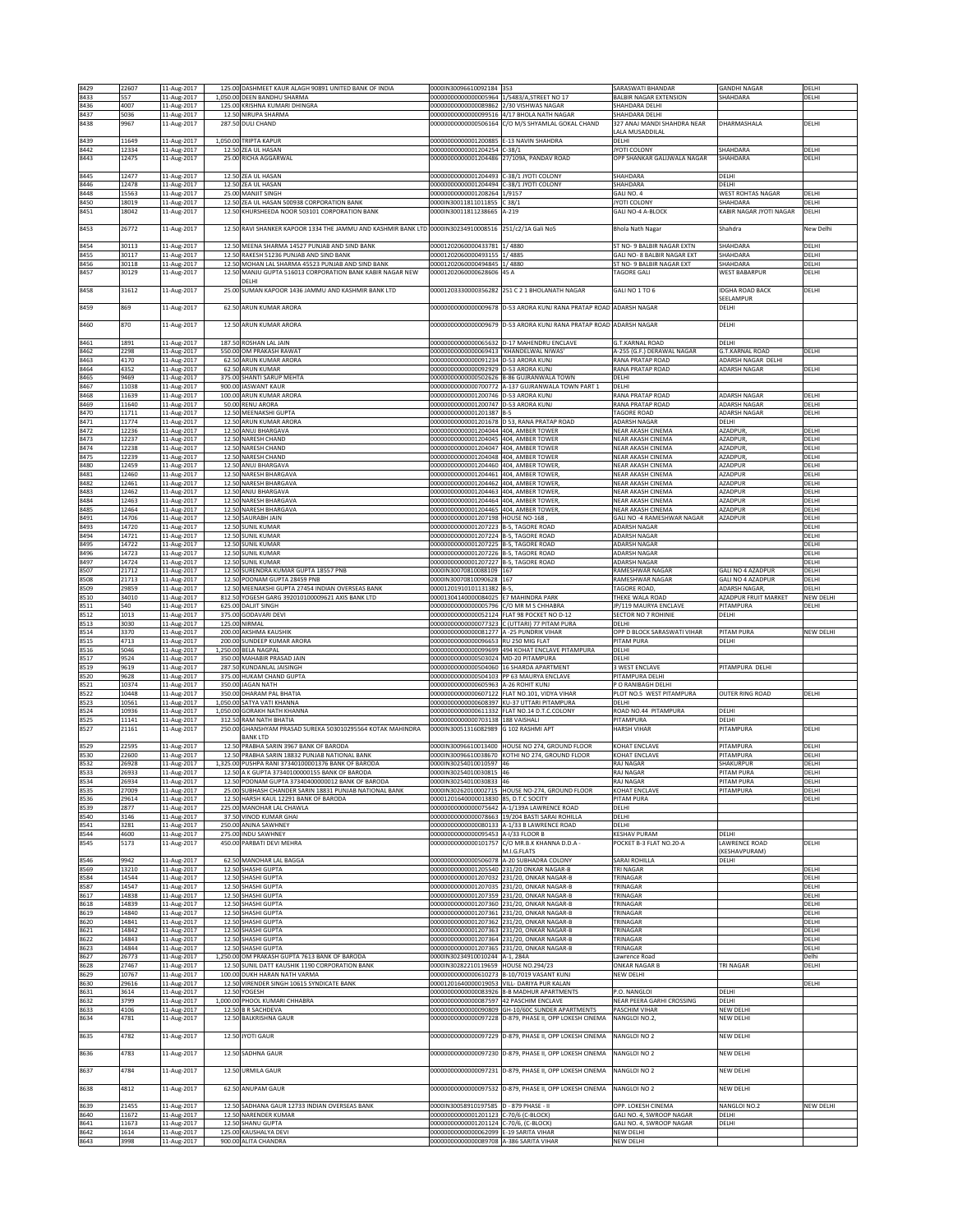|              | 22607          | 11-Aug-2017                |                    | 125.00 DASHMEET KAUR ALAGH 90891 UNITED BANK OF INDIA                        | 0000IN30096610092184                                                              | 353                                                                                            | SARASWATI BHANDAR                                | <b>GANDHI NAGAR</b>              | DELHI          |
|--------------|----------------|----------------------------|--------------------|------------------------------------------------------------------------------|-----------------------------------------------------------------------------------|------------------------------------------------------------------------------------------------|--------------------------------------------------|----------------------------------|----------------|
| 8429<br>8433 | 557            | 11-Aug-2017                |                    | 1,050.00 DEEN BANDHU SHARMA                                                  | 00000000000000005964                                                              | 1/5483/A, STREET NO 17                                                                         | <b>BALBIR NAGAR EXTENSION</b>                    | SHAHDARA                         | DELHI          |
| 8436         | 4007           | 11-Aug-2017                |                    | 125.00 KRISHNA KUMARI DHINGRA                                                | 00000000000000089862 2/30 VISHWAS NAGAR                                           |                                                                                                | SHAHDARA DELHI                                   |                                  |                |
| 8437         | 5036           | 11-Aug-2017                |                    | 12.50 NIRUPA SHARMA                                                          | 0000000000000099516                                                               | 4/17 BHOLA NATH NAGAR                                                                          | SHAHDARA DELHI                                   |                                  |                |
| 8438         | 9967           | 11-Aug-2017                | 287.50             | <b>DULI CHAND</b>                                                            | 0000000000000506164                                                               | C/O M/S SHYAMI AL GOKAL CHAND                                                                  | 327 ANAJ MANDI SHAHDRA NEAR                      | DHARMASHALA                      | DELHI          |
|              |                |                            |                    |                                                                              |                                                                                   |                                                                                                | ALA MUSADDILAL                                   |                                  |                |
| 8439         | 11649          | 11-Aug-2017                |                    | 1,050.00 TRIPTA KAPUR                                                        | 00000000000001200885                                                              | -13 NAVIN SHAHDRA                                                                              | DELHI                                            |                                  |                |
| 8442         | 12334          | 11-Aug-2017                |                    | 12.50 ZEA UL HASAN                                                           | 0000000000001204254                                                               | $C-38/1$                                                                                       | JYOTI COLONY                                     | <b>SHAHDARA</b>                  | DELH           |
| 8443         | 12475          | 11-Aug-2017                |                    | 25.00 RICHA AGGARWAL                                                         | 00000000000001204486                                                              | 27/109A, PANDAV ROAD                                                                           | OPP SHANKAR GALIJWALA NAGAR                      | SHAHDARA                         | DELHI          |
| 8445         | 12477          | 11-Aug-2017                |                    | 12.50 ZEA UL HASAN                                                           | 00000000000001204493 C-38/1 JYOTI COLONY                                          |                                                                                                | SHAHDARA                                         | DELHI                            |                |
| 8446         | 12478          | 11-Aug-2017                |                    | 12.50 ZEA UL HASAN                                                           | 00000000000001204494                                                              | C-38/1 JYOTI COLONY                                                                            | SHAHDARA                                         | DELHI                            |                |
| 8448         | 15563          | 11-Aug-2017                | 25.00              | <b>MANJIT SINGH</b>                                                          | 00000000000001208264                                                              | 1/9157                                                                                         | ALI NO. 4                                        | <b>WEST ROHTAS NAGAR</b>         | DELHI          |
| 8450         | 18019          | 11-Aug-2017                | 12.50              | ZEA UL HASAN 500938 CORPORATION BANK                                         | 0000IN30011811011855                                                              | 38/1                                                                                           | YOTI COLONY                                      | SHAHDARA                         | DELHI          |
| 8451         | 18042          | 11-Aug-2017                | 12.50              | KHURSHEEDA NOOR 503101 CORPORATION BANK                                      | 0000IN30011811238665                                                              | $-219$                                                                                         | GALI NO-4 A-BLOCK                                | KABIR NAGAR JYOTI NAGAR          | DELHI          |
|              |                |                            |                    |                                                                              |                                                                                   |                                                                                                |                                                  |                                  |                |
| 8453         | 26772          | 11-Aug-2017                | 12.50              | RAVI SHANKER KAPOOR 1334 THE JAMMU AND KASHMIR BANK LTD 0000IN30234910008516 |                                                                                   | 251/c2/1A Gali No5                                                                             | <b>Bhola Nath Nagar</b>                          | Shahdra                          | New Delhi      |
|              |                |                            |                    |                                                                              |                                                                                   |                                                                                                |                                                  |                                  |                |
| 8454         | 30113          | 11-Aug-2017                |                    | 12.50 MEENA SHARMA 14527 PUNJAB AND SIND BANK                                | 00001202060000433781 1/4880                                                       |                                                                                                | ST NO- 9 BALBIR NAGAR EXTN                       | SHAHDARA                         | DELHI          |
| 8455         | 30117          | 11-Aug-2017                |                    | 12.50 RAKESH 51236 PUNJAB AND SIND BANK                                      | 00001202060000493155                                                              | 1/4885                                                                                         | GALI NO- 8 BALBIR NAGAR EXT                      | SHAHDARA                         | DELHI          |
| 8456<br>8457 | 30118          | 11-Aug-2017                | 12.50              | MOHAN LAL SHARMA 45523 PUNJAB AND SIND BANK                                  | 00001202060000494845<br>00001202060000628606                                      | 1/4880<br>45 A                                                                                 | ST NO- 9 BALBIR NAGAR EXT<br>AGORE GAL           | SHAHDARA                         | DELHI          |
|              | 30129          | 11-Aug-2017                | 12.50              | MANJU GUPTA 516013 CORPORATION BANK KABIR NAGAR NEW<br>DELHI                 |                                                                                   |                                                                                                |                                                  | <b>WEST BABARPUR</b>             | DELHI          |
| 8458         | 31612          | 11-Aug-2017                | 25.00              | I SUMAN KAPOOR 1436 JAMMU AND KASHMIR BANK LTD                               |                                                                                   | 00001203330000356282 251 C 2 1 BHOLANATH NAGAR                                                 | GALI NO 1 TO 6                                   | <b>IDGHA ROAD BACK</b>           | DELHI          |
|              |                |                            |                    |                                                                              |                                                                                   |                                                                                                |                                                  | SEELAMPUR                        |                |
| 8459         | 869            | 11-Aug-2017                |                    | 62.50 ARUN KUMAR ARORA                                                       | 00000000000000009678                                                              | D-53 ARORA KUNJ RANA PRATAP ROAD                                                               | <b>ADARSH NAGAR</b>                              | DELHI                            |                |
|              |                |                            |                    |                                                                              |                                                                                   |                                                                                                |                                                  |                                  |                |
| 8460         | 870            | 11-Aug-2017                |                    | 12.50 ARUN KUMAR ARORA                                                       |                                                                                   | 00000000000000009679 D-53 ARORA KUNJ RANA PRATAP ROAD ADARSH NAGAR                             |                                                  | DELHI                            |                |
|              |                |                            |                    |                                                                              |                                                                                   |                                                                                                |                                                  |                                  |                |
| 8461         | 1891           | 11-Aug-2017                | 187.50             | ROSHAN LAL JAIN                                                              | 00000000000000065632                                                              | D-17 MAHENDRU ENCLAVE                                                                          | .T.KARNAL ROAD                                   | DELHI                            |                |
| 8462         | 2298           | 11-Aug-2017                | 550.00             | OM PRAKASH RAWAT                                                             | 0000000000000069413                                                               | KHANDELWAL NIWAS'                                                                              | -255 (G.F.) DERAWAL NAGAR                        | <b>G.T.KARNAL ROAD</b>           | DELHI          |
| 8463         | 4170           | 11-Aug-2017                |                    | 62.50 ARUN KUMAR ARORA                                                       | 00000000000000091234                                                              | 0-53 ARORA KUNJ                                                                                | RANA PRATAP ROAD                                 | ADARSH NAGAR DELHI               |                |
| 8464         | 4352           | 11-Aug-2017                | 62.50              | ARUN KUMAR                                                                   | 00000000000000092929 D-53 ARORA KUNJ                                              |                                                                                                | <b>RANA PRATAP ROAD</b>                          | ADARSH NAGAR                     | DELHI          |
| 8465         | 9469           | 11-Aug-2017<br>11-Aug-2017 |                    | 375.00 SHANTI SARUP MEHTA                                                    |                                                                                   | 00000000000000502626 B-86 GUJRANWALA TOWN<br>00000000000000700772 A-137 GUJRANWALA TOWN PART 1 | DELHI<br>DELHI                                   |                                  |                |
| 8467<br>8468 | 11038<br>11639 | 11-Aug-2017                |                    | 900.00 JASWANT KAUR<br>100.00 ARUN KUMAR ARORA                               | 00000000000001200746 D-53 ARORA KUNJ                                              |                                                                                                | RANA PRATAP ROAD                                 | ADARSH NAGAR                     | DELHI          |
| 8469         | 11640          | 11-Aug-2017                |                    | 50.00 RENU ARORA                                                             | 00000000000001200747 D-53 ARORA KUNJ                                              |                                                                                                | <b>RANA PRATAP ROAD</b>                          | ADARSH NAGAR                     | DELHI          |
| 8470         | 11711          | 11-Aug-2017                | 12.50              | MEENAKSHI GUPTA                                                              | 00000000000001201387                                                              |                                                                                                | AGORE ROAD                                       | ADARSH NAGAR                     | DELHI          |
| 8471         | 11774          | 11-Aug-2017                | 12.50              | ARUN KUMAR ARORA                                                             | 00000000000001201678                                                              | D 53, RANA PRATAP ROAD                                                                         | ADARSH NAGAR                                     | DELHI                            |                |
| 8472         | 12236          | 11-Aug-2017                | 12.50              | ANUJ BHARGAVA                                                                | 00000000000001204044 404, AMBER TOWER                                             |                                                                                                | NEAR AKASH CINEMA                                | AZADPUR                          | DELHI          |
| 8473         | 12237          | 11-Aug-2017                | 12.50              | NARESH CHAND                                                                 | 00000000000001204045                                                              | 404, AMBER TOWER                                                                               | NEAR AKASH CINEMA                                | AZADPUR                          | DELHI          |
| 8474         | 12238          | 11-Aug-2017                |                    | 12.50 NARESH CHAND                                                           | 00000000000001204047                                                              | 404, AMBER TOWER                                                                               | NEAR AKASH CINEMA                                | AZADPUR                          | DELHI          |
| 8475         | 12239          | 11-Aug-2017                |                    | 12.50 NARESH CHAND                                                           | 00000000000001204048 404, AMBER TOWER                                             |                                                                                                | <b>VEAR AKASH CINEMA</b>                         | AZADPUR,                         | DELHI          |
| 8480         | 12459          | 11-Aug-2017                |                    | 12.50 ANUJ BHARGAVA                                                          | 00000000000001204460 404, AMBER TOWER,                                            |                                                                                                | NEAR AKASH CINEMA                                | AZADPUR                          | DELHI          |
| 8481         | 12460          | 11-Aug-2017                | 12.50              | NARESH BHARGAVA                                                              | 00000000000001204461                                                              | 404, AMBER TOWER                                                                               | NEAR AKASH CINEMA                                | AZADPUR                          | DELHI          |
| 8482         | 12461          | 11-Aug-2017                | 12.50              | NARESH BHARGAVA                                                              | 00000000000001204462                                                              | 404, AMBER TOWER                                                                               | <b>NEAR AKASH CINEMA</b>                         | AZADPUR                          | DELHI          |
| 8483         | 12462          | 11-Aug-2017                | 12.5               | ANJU BHARGAVA                                                                | 0000000000001204463                                                               | 404. AMBER TOWER                                                                               | <b>JEAR AKASH CINEMA</b>                         | AZADPUR                          | DELHI          |
| 8484         | 12463          | 11-Aug-2017                | 12.50              | NARESH BHARGAVA                                                              | 00000000000001204464 404, AMBER TOWER,                                            |                                                                                                | <b>VEAR AKASH CINEMA</b>                         | AZADPUR                          | DELHI          |
| 8485<br>8491 | 12464<br>14706 | 11-Aug-2017                |                    | 12.50 NARESH BHARGAVA<br>SAURABH JAIN                                        | 00000000000001204465<br>00000000000001207198                                      | 404, AMBER TOWER,<br>HOUSE NO-168                                                              | NEAR AKASH CINEMA<br>GALI NO -4 RAMESHWAR NAGAR  | <b>AZADPUR</b><br><b>AZADPUR</b> | DELHI<br>DELHI |
| 8493         | 14720          | 11-Aug-2017                | 12.50              | 12.50 SUNIL KUMAR                                                            | 00000000000001207223                                                              | <b>B-5. TAGORE ROAD</b>                                                                        | ADARSH NAGAR                                     |                                  | DELHI          |
| 8494         | 14721          | 11-Aug-2017                |                    | 12.50 SUNIL KUMAR                                                            | 00000000000001207224                                                              | <b>B-5, TAGORE ROAD</b>                                                                        | ADARSH NAGAR                                     |                                  | DELHI          |
| 8495         | 14722          | 11-Aug-2017<br>11-Aug-2017 |                    | 12.50 SUNIL KUMAR                                                            | 00000000000001207225 B-5, TAGORE ROAD                                             |                                                                                                | ADARSH NAGAR                                     |                                  | DELHI          |
| 8496         | 14723          | 11-Aug-2017                |                    | 12.50 SUNIL KUMAR                                                            | 00000000000001207226                                                              | <b>B-5, TAGORE ROAD</b>                                                                        | <b>ADARSH NAGAR</b>                              |                                  | DELHI          |
| 8497         | 14724          | 11-Aug-2017                | 12.50              | SUNIL KUMAR                                                                  | 00000000000001207227 B-5, TAGORE ROAD                                             |                                                                                                | <b>IDARSH NAGAR</b>                              |                                  | DELHI          |
| 8507         | 21712          | 11-Aug-2017                | 12.50              | URENDRA KUMAR GUPTA 18557 PNB                                                | 0000IN30070810088109                                                              | 167                                                                                            | RAMESHWAR NAGAR                                  | GALI NO 4 AZADPUR                | DELHI          |
| 8508         | 21713          | 11-Aug-2017                |                    | 12.50 POONAM GUPTA 28459 PNB                                                 | 0000IN30070810090628 167                                                          |                                                                                                | RAMESHWAR NAGAR                                  | GALI NO 4 AZADPUR                | DELHI          |
| 8509         | 29859          | 11-Aug-2017                | 12.50              | MEENAKSHI GUPTA 27454 INDIAN OVERSEAS BANK                                   | 00001201910101131382                                                              |                                                                                                | TAGORE ROAD,                                     | <b>ADARSH NAGAR</b>              | DELHI          |
| 8510         | 34010          | 11-Aug-2017                | 812.50             | YOGESH GARG 392010100009621 AXIS BANK LTD                                    | 00001304140000084025 E7 MAHINDRA PARK                                             |                                                                                                | <b>THEKE WALA ROAD</b>                           | AZADPUR FRUIT MARKET             | NEW DELHI      |
| 8511         | 540            | 11-Aug-2017                |                    | 625.00 DALIT SINGH                                                           | 00000000000000005796 C/O MR M S CHHABRA                                           |                                                                                                | P/119 MAURYA ENCLAVE                             | PITAMPURA                        | DELHI          |
| 8512         | 1013           | 11-Aug-2017                |                    | 375.00 GODAVARI DEVI                                                         |                                                                                   | 00000000000000052124 FLAT 98 POCKET NO D-12                                                    | SECTOR NO 7 ROHINIE                              | DELHI                            |                |
|              |                |                            |                    |                                                                              |                                                                                   |                                                                                                |                                                  |                                  |                |
| 8513         | 3030           | 11-Aug-2017                | 125.00             | NIRMAL                                                                       | 0000000000000077323                                                               | C (UTTARI) 77 PITAM PURA                                                                       | DELHI                                            |                                  |                |
| 8514         | 3370           | 11-Aug-2017                | 200.00             | AKSHMA KAUSHIK                                                               | 0000000000000081277                                                               | -25 PUNDRIK VIHAR                                                                              | OPP D BLOCK SARASWATI VIHAR                      | PITAM PURA                       | NEW DELHI      |
| 8515         | 4713           | 11-Aug-2017                | 200.00             | <b>JUNDEEP KUMAR ARORA</b>                                                   | 0000000000000096653                                                               | <b>IU 250 MIG FLAT</b>                                                                         | <b>ITAM PURA</b>                                 | DELHI                            |                |
| 8516         | 5046           | 11-Aug-2017                |                    | 1,250.00 BELA NAGPAL                                                         | 0000000000000099699                                                               | 494 KOHAT ENCLAVE PITAMPURA                                                                    | DELHI                                            |                                  |                |
| 8517         | 9524           | 11-Aug-2017                | 350.00             | MAHABIR PRASAD JAIN                                                          | 00000000000000503024                                                              | MD-20 PITAMPURA                                                                                | DELHI                                            |                                  |                |
| 8519         | 9619           | 11-Aug-2017                | 287.50             | KUNDANLAL JAISINGH                                                           | 00000000000000504060                                                              | 16 SHARDA APARTMENT                                                                            | WEST ENCLAVE                                     | PITAMPURA DELHI                  |                |
| 8520         | 9628<br>10374  | 11-Aug-2017                |                    | 375.00 HUKAM CHAND GUPTA                                                     |                                                                                   | 00000000000000504103 PP 63 MAURYA ENCLAVE                                                      | PITAMPURA DELHI                                  |                                  |                |
| 8521         |                | 11-Aug-2017                |                    | 350.00 JAGAN NATH                                                            | 00000000000000605963 A-26 ROHIT KUNJ                                              | FLAT NO.101, VIDYA VIHAR                                                                       | P O RANIBAGH DELHI                               | <b>OUTER RING ROAD</b>           | DELHI          |
| 8522<br>8523 | 10448<br>10561 | 11-Aug-2017<br>11-Aug-2017 | 350.00<br>1,050.00 | DHARAM PAL BHATIA<br>SATYA VATI KHANNA                                       | 00000000000000607122<br>00000000000000608397                                      | (U-37 UTTARI PITAMPURA                                                                         | PLOT NO.5 WEST PITAMPURA<br>DELHI                |                                  |                |
| 8524         | 10936          | 11-Aug-2017                | 1,050.00           | <b>GORAKH NATH KHANNA</b>                                                    | 00000000000000611332                                                              | LAT NO.14 D.T.C.COLONY                                                                         | ROAD NO.44 PITAMPURA                             | DELHI                            |                |
| 8525         | 11141          | 11-Aug-2017                | 312.50             | RAM NATH BHATIA                                                              | 00000000000000703138                                                              | 188 VAISHALI                                                                                   | PITAMPURA                                        | DELHI                            |                |
| 8527         | 21161          | 11-Aug-2017                | 250.00             | GHANSHYAM PRASAD SUREKA 503010295564 KOTAK MAHINDRA                          | 0000IN30051316082989                                                              | G 102 RASHMI APT                                                                               | <b>HARSH VIHAR</b>                               | PITAMPURA                        | DELHI          |
|              |                |                            |                    | <b>BANK LTD</b>                                                              |                                                                                   |                                                                                                |                                                  |                                  |                |
| 8529         | 22595          | 11-Aug-2017                | 12.5               | PRABHA SARIN 3967 BANK OF BARODA                                             | 0000IN30096610013400                                                              | HOUSE NO 274, GROUND FLOOR                                                                     | <b>COHAT ENCLAVE</b>                             | PITAMPURA                        | DELHI          |
| 8530         | 22600          | 11-Aug-2017                | 12.50              | PRABHA SARIN 18832 PUNJAB NATIONAL BANK                                      |                                                                                   | 0000IN30096610038670 KOTHI NO 274, GROUND FLOOR                                                | OHAT ENCLAVE                                     | PITAMPURA                        | DELH           |
| 8532         | 26928          | 11-Aug-2017                |                    | 1,325.00 PUSHPA RANI 37340100001376 BANK OF BARODA                           | 0000IN30254010010597 46                                                           |                                                                                                | RAJ NAGAR                                        | SHAKURPUR                        | DELHI          |
| 8533         | 26933          | 11-Aug-2017                |                    | 12.50 A K GUPTA 37340100000155 BANK OF BARODA                                | 0000IN30254010030815 46                                                           |                                                                                                | <b>RAJ NAGAR</b>                                 | PITAM PURA                       | DELHI          |
| 8534         | 26934          | 11-Aug-2017                |                    | 12.50 POONAM GUPTA 37340400000012 BANK OF BARODA                             | 0000IN30254010030833 46                                                           |                                                                                                | RAJ NAGAR                                        | PITAM PURA                       | DELHI          |
| 8535         | 27009          | 11-Aug-2017                |                    | 25.00 SUBHASH CHANDER SARIN 18831 PUNJAB NATIONAL BANK                       |                                                                                   | 0000IN30262010002715 HOUSE NO-274, GROUND FLOOR                                                | KOHAT ENCLAVE                                    | PITAMPURA                        | DELHI          |
| 8536         | 29614<br>2877  | 11-Aug-2017                |                    | 12.50 HARSH KAUL 12291 BANK OF BARODA                                        | 00001201640000013830 85, D.T.C SOCITY                                             |                                                                                                | PITAM PURA<br>DELHI                              |                                  | DELHI          |
| 8539<br>8540 | 3146           | 11-Aug-2017<br>11-Aug-2017 |                    | 225.00 MANOHAR LAL CHAWLA<br>37.50 VINOD KUMAR GHAI                          |                                                                                   | 00000000000000075642 A-1/139A LAWRENCE ROAD<br>00000000000000078663 19/204 BASTI SARAI ROHILLA | DELHI                                            |                                  |                |
| 8541         | 3281           | 11-Aug-2017                |                    | 250.00 ANJNA SAWHNEY                                                         |                                                                                   | 000000000000000080133 A-1/33 B LAWRENCE ROAD                                                   | DELHI                                            |                                  |                |
| 8544         | 4600           | 11-Aug-2017                |                    | 275.00 INDU SAWHNEY                                                          | 00000000000000095453 A-I/33 FLOOR B                                               |                                                                                                | KESHAV PURAM                                     | DELHI                            |                |
| 8545         | 5173           | 11-Aug-2017                |                    | 450.00 PARBATI DEVI MEHRA                                                    | 00000000000000101757                                                              | C/O MR.B.K KHANNA D.D.A -                                                                      | POCKET B-3 FLAT NO.20-A                          | LAWRENCE ROAD                    | DELHI          |
|              |                |                            |                    |                                                                              |                                                                                   | M.I.G.FLATS                                                                                    |                                                  | <b>KESHAVPURAM)</b>              |                |
| 8546         | 9942           | 11-Aug-2017                |                    | 62.50 MANOHAR LAL BAGGA                                                      | 00000000000000506078                                                              | A-20 SUBHADRA COLONY                                                                           | SARAI ROHILLA                                    | DELHI                            |                |
| 8569         | 13210          | 11-Aug-2017                |                    | 12.50 SHASHI GUPTA                                                           |                                                                                   | 00000000000001205540 231/20 ONKAR NAGAR-B                                                      | TRI NAGAR                                        |                                  | DELHI          |
| 8584         | 14544          | 11-Aug-2017                |                    | 12.50 SHASHI GUPTA                                                           |                                                                                   | 00000000000001207032 231/20, ONKAR NAGAR-B                                                     | TRINAGAR                                         |                                  | DELHI          |
| 8587         | 14547          | 11-Aug-2017                |                    | 12.50 SHASHI GUPTA                                                           |                                                                                   | 00000000000001207035 231/20, ONKAR NAGAR-B                                                     | <b><i>FRINAGAR</i></b>                           |                                  | DELHI          |
| 8617         | 14838          | 11-Aug-2017                |                    | 12.50 SHASHI GUPTA<br>12.50 SHASHI GUPTA                                     |                                                                                   | 00000000000001207359 231/20, ONKAR NAGAR-B<br>00000000000001207360 231/20, ONKAR NAGAR-B       | RINAGAR                                          |                                  | DELHI          |
| 8618         | 14839<br>14840 | 11-Aug-2017                |                    | 12.50 SHASHI GUPTA                                                           |                                                                                   |                                                                                                | <b><i>FRINAGAR</i></b><br><b><i>FRINAGAR</i></b> |                                  | DELHI<br>DELHI |
| 8619<br>8620 | 14841          | 11-Aug-2017<br>11-Aug-2017 |                    | 12.50 SHASHI GUPTA                                                           | 00000000000001207362                                                              | 00000000000001207361 231/20, ONKAR NAGAR-B<br>231/20, ONKAR NAGAR-B                            | <b>RINAGAR</b>                                   |                                  | DELHI          |
| 8621         | 14842          | 11-Aug-2017                |                    | 12.50 SHASHI GUPTA                                                           | 00000000000001207363                                                              | 231/20, ONKAR NAGAR-B                                                                          | <b>RINAGAR</b>                                   |                                  | DELHI          |
| 8622         | 14843          | 11-Aug-2017                |                    | 12.50 SHASHI GUPTA                                                           |                                                                                   | 00000000000001207364 231/20, ONKAR NAGAR-B                                                     | <b><i>FRINAGAR</i></b>                           |                                  | DELHI          |
| 8623         | 14844          | 11-Aug-2017                |                    | 12.50 SHASHI GUPTA                                                           |                                                                                   | 00000000000001207365 231/20, ONKAR NAGAR-B                                                     | <b><i>FRINAGAR</i></b>                           |                                  | DELHI          |
| 8627         | 26773          | 11-Aug-2017                |                    | 1,250.00 OM PRAKASH GUPTA 7613 BANK OF BARODA                                | 0000IN30234910010244 A-1, 284A                                                    |                                                                                                | Lawrence Road                                    |                                  | Delhi          |
| 8628         | 27467          | 11-Aug-2017                |                    | 12.50 SUNIL DATT KAUSHIK 1190 CORPORATION BANK                               | 0000IN30282210119659                                                              | <b>HOUSE NO.294/23</b>                                                                         | <b>ONKAR NAGAR B</b>                             | TRI NAGAR                        | DELHI          |
| 8629         | 10767          | 11-Aug-2017                |                    | 100.00 DUKH HARAN NATH VARMA                                                 |                                                                                   | 00000000000000610273 B-10/7019 VASANT KUNJ                                                     | NEW DELHI                                        |                                  |                |
| 8630         | 29616          | 11-Aug-2017                |                    | 12.50 VIRENDER SINGH 10615 SYNDICATE BANK                                    |                                                                                   | 00001201640000019053 VILL- DARIYA PUR KALAN                                                    |                                                  |                                  | DELHI          |
| 8631         | 3614           | 11-Aug-2017                |                    | 12.50 YOGESH                                                                 |                                                                                   | 000000000000000083926 8-B MADHUR APARTMENTS                                                    | P.O. NANGLOI                                     | DELHI                            |                |
| 8632         | 3799           | 11-Aug-2017                |                    | 1,000.00 PHOOL KUMARI CHHABRA                                                | 00000000000000087597                                                              | 42 PASCHIM ENCLAVE                                                                             | NEAR PEERA GARHI CROSSING                        | DELHI                            |                |
| 8633         | 4106           | 11-Aug-2017                |                    | 12.50 B R SACHDEVA                                                           | 0000000000000090809                                                               | GH-10/60C SUNDER APARTMENTS                                                                    | PASCHIM VIHAR                                    | NEW DELHI                        |                |
| 8634         | 4781           | 11-Aug-2017                |                    | 12.50 BALKRISHNA GAUR                                                        | 0000000000000097228                                                               | D-879, PHASE II, OPP LOKESH CINEMA                                                             | NANGLOI NO.2,                                    | NEW DELHI                        |                |
|              |                |                            |                    |                                                                              | 00000000000000097229                                                              | D-879, PHASE II, OPP LOKESH CINEMA                                                             | NANGLOI NO 2                                     |                                  |                |
| 8635         | 4782           | 11-Aug-2017                |                    | 12.50 JYOTI GAUR                                                             |                                                                                   |                                                                                                |                                                  | NEW DELHI                        |                |
| 8636         | 4783           | 11-Aug-2017                |                    | 12.50 SADHNA GAUR                                                            |                                                                                   | 00000000000000097230 D-879, PHASE II, OPP LOKESH CINEMA                                        | NANGLOI NO 2                                     | NEW DELHI                        |                |
|              |                |                            |                    |                                                                              |                                                                                   |                                                                                                |                                                  |                                  |                |
| 8637         | 4784           | 11-Aug-2017                |                    | 12.50 URMILA GAUR                                                            |                                                                                   | 00000000000000097231 D-879, PHASE II, OPP LOKESH CINEMA                                        | NANGLOI NO 2                                     | NEW DELHI                        |                |
|              |                |                            |                    |                                                                              |                                                                                   |                                                                                                |                                                  |                                  |                |
| 8638         | 4812           | 11-Aug-2017                |                    | 62.50 ANUPAM GAUR                                                            |                                                                                   | 00000000000000097532 D-879, PHASE II, OPP LOKESH CINEMA                                        | NANGLOI NO 2                                     | NEW DELHI                        |                |
|              |                |                            |                    |                                                                              |                                                                                   |                                                                                                |                                                  |                                  |                |
| 8639         | 21455          | 11-Aug-2017                |                    | 12.50 SADHANA GAUR 12733 INDIAN OVERSEAS BANK                                | 0000IN30058910197585 D - 879 PHASE - II                                           |                                                                                                | OPP. LOKESH CINEMA                               | NANGLOI NO.2                     | NEW DELHI      |
| 8640         | 11672          | 11-Aug-2017                |                    | 12.50 NARENDER KUMAR                                                         | 00000000000001201123 C-70/6 (C-BLOCK)                                             |                                                                                                | GALI NO. 4, SWROOP NAGAR                         | DELHI                            |                |
| 8641         | 11673          | 11-Aug-2017                |                    | 12.50 SHANU GUPTA                                                            | 00000000000001201124 C-70/6, (C-BLOCK)                                            |                                                                                                | GALI NO. 4, SWROOP NAGAR                         | DELHI                            |                |
| 8642<br>8643 | 1614<br>3998   | 11-Aug-2017<br>11-Aug-2017 |                    | 125.00 KAUSHALYA DEVI<br>900.00 ALITA CHANDRA                                | 00000000000000062099 E-19 SARITA VIHAR<br>00000000000000089708 A-386 SARITA VIHAR |                                                                                                | NEW DELHI<br>NEW DELHI                           |                                  |                |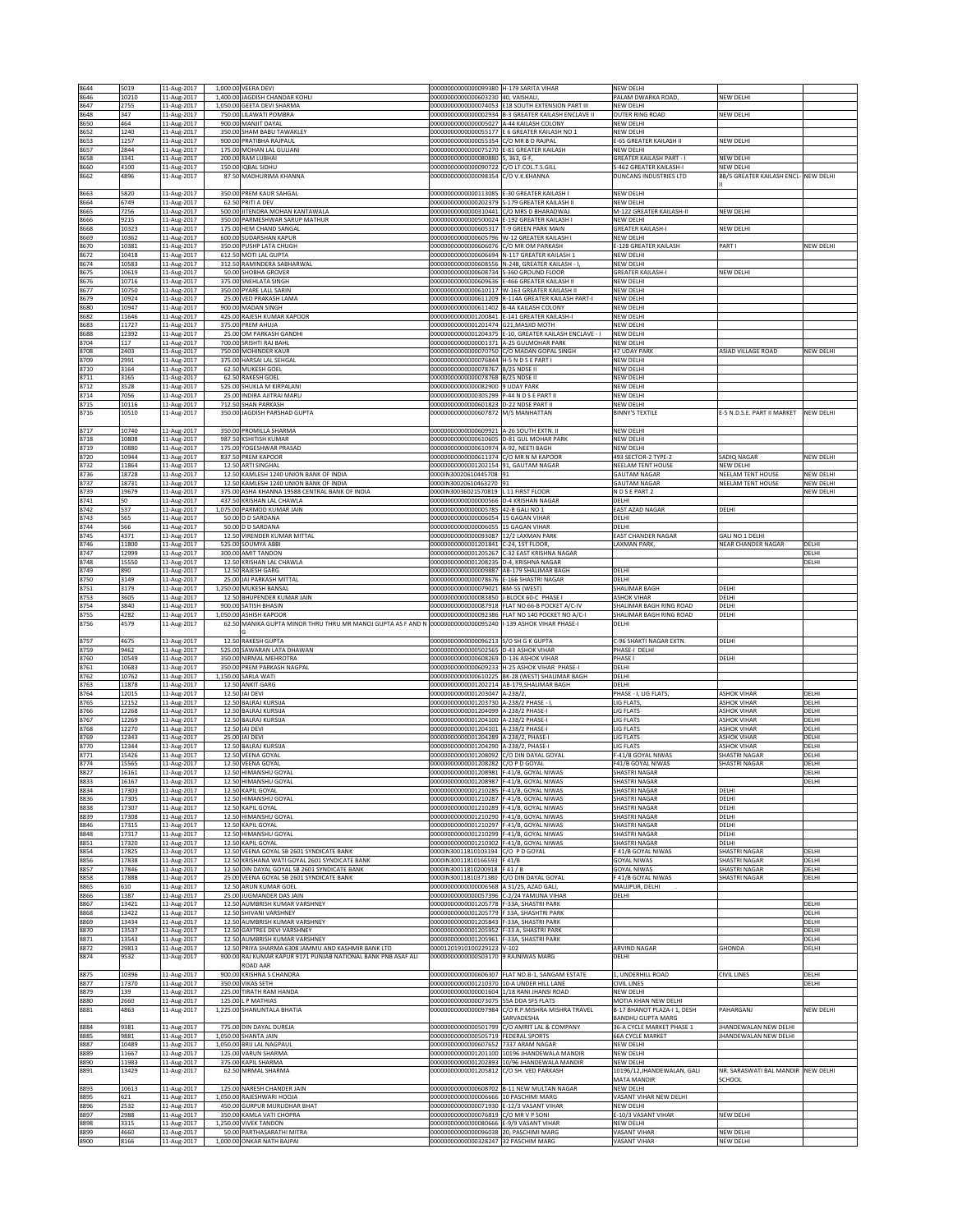| 8644         | 5019           | 11-Aug-2017                | 1,000.00 VEERA DEVI                                                                       | 00000000000000099380 H-179 SARITA VIHAR                                               |                                                                                                  | NEW DELHI                                                  |                                               |                        |
|--------------|----------------|----------------------------|-------------------------------------------------------------------------------------------|---------------------------------------------------------------------------------------|--------------------------------------------------------------------------------------------------|------------------------------------------------------------|-----------------------------------------------|------------------------|
| 8646<br>8647 | 10210<br>2755  | 11-Aug-2017<br>11-Aug-2017 | 1,400.00 JAGDISH CHANDAR KOHLI<br>1,050.00 GEETA DEVI SHARMA                              | 00000000000000603230 40, VAISHALI                                                     | 00000000000000074053 E18 SOUTH EXTENSION PART III                                                | PALAM DWARKA ROAD,<br>NEW DELHI                            | NEW DELHI                                     |                        |
| 8648         | 347            | 11-Aug-2017                | 750.00 LILAWATI POMBRA                                                                    |                                                                                       | 00000000000000002934 B-3 GREATER KAILASH ENCLAVE II                                              | OUTER RING ROAD                                            | NEW DELHI                                     |                        |
| 8650         | 464            | 11-Aug-2017                | 900.00 MANJIT DAYAL                                                                       | 000000000000000005027 A-44 KAILASH COLONY                                             |                                                                                                  | NEW DELHI                                                  |                                               |                        |
| 8652<br>8653 | 1240<br>1257   | 11-Aug-2017<br>11-Aug-2017 | 350.00 SHAM BABU TAWAKLEY<br>900.00 PRATIBHA RAJPAUL                                      | 00000000000000055354                                                                  | 000000000000000055177 E 6 GREATER KAILASH NO 1<br>C/O MR B D RAJPAL                              | <b>NEW DELHI</b><br>E-65 GREATER KAILASH II                | NEW DELHI                                     |                        |
| 8657         | 2844           | 11-Aug-2017                | 175.00 MOHAN LAL GULIANI                                                                  | 00000000000000075270 E-81 GREATER KAILASH                                             |                                                                                                  | NEW DELHI                                                  |                                               |                        |
| 8658<br>8660 | 3341<br>4100   | 11-Aug-2017<br>11-Aug-2017 | 200.00 RAM LUBHAI<br>150.00 IQBAL SIDHU                                                   | 00000000000000080880<br>00000000000000090722                                          | 5, 363, G-F,<br>C/O LT.COL.T.S.GILL                                                              | <b>GREATER KAILASH PART - I</b><br>S-462 GREATER KAILASH-I | NEW DELHI<br>NEW DELHI                        |                        |
| 8662         | 4896           | 11-Aug-2017                | 87.50 MADHURIMA KHANNA                                                                    | 00000000000000098354                                                                  | C/O V.K.KHANNA                                                                                   | DUNCANS INDUSTRIES LTD                                     | BB/5 GREATER KAILASH ENCL- NEW DELHI          |                        |
| 8663         | 5820           | 11-Aug-2017                | 350.00 PREM KAUR SAHGAL                                                                   | 00000000000000113085 E-30 GREATER KAILASH I                                           |                                                                                                  | NEW DELHI                                                  |                                               |                        |
| 8664         | 6749           | 11-Aug-2017                | 62.50 PRITI A DEV                                                                         | 00000000000000202379                                                                  | S-179 GREATER KAILASH II                                                                         | NEW DELHI                                                  |                                               |                        |
| 8665         | 7256           | 11-Aug-2017                | 500.00 JITENDRA MOHAN KANTAWALA                                                           |                                                                                       | 00000000000000310441 C/O MRS D BHARADWAJ                                                         | M-122 GREATER KAILASH-II                                   | NEW DELHI                                     |                        |
| 8666<br>8668 | 9215<br>10323  | 11-Aug-2017<br>11-Aug-2017 | 350.00 PARMESHWAR SARUP MATHUR<br>175.00 HEM CHAND SANGAL                                 | 00000000000000605317 T-9 GREEN PARK MAIN                                              | 000000000000000500024 E-192 GREATER KAILASH I                                                    | NEW DELHI<br><b>GREATER KAILASH-I</b>                      | NEW DELHI                                     |                        |
| 8669         | 10362          | 11-Aug-2017                | 600.00 SUDARSHAN KAPUR                                                                    |                                                                                       | 00000000000000605796 W-12 GREATER KAILASH I                                                      | NEW DELHI                                                  |                                               |                        |
| 8670<br>8672 | 10381<br>10418 | 11-Aug-2017<br>11-Aug-2017 | 350.00 PUSHP LATA CHUGH<br>612.50 MOTI LAL GUPTA                                          | 00000000000000606076                                                                  | C/O MR OM PARKASH<br>00000000000000606694 N-117 GREATER KAILASH 1                                | E-128 GREATER KAILASH<br>NEW DELHI                         | PART I                                        | NEW DELHI              |
| 8674         | 10583          | 11-Aug-2017                | 312.50 RAMINDERA SABHARWAL                                                                |                                                                                       | 00000000000000608556 N-248, GREATER KAILASH - I                                                  | NEW DELHI                                                  |                                               |                        |
| 8675         | 10619          | 11-Aug-2017                | 50.00 SHOBHA GROVER                                                                       | 00000000000000608734 S-360 GROUND FLOOR                                               |                                                                                                  | <b>GREATER KAILASH-I</b>                                   | NEW DELHI                                     |                        |
| 8676<br>8677 | 10716<br>10750 | 11-Aug-2017<br>11-Aug-2017 | 375.00 SNEHLATA SINGH<br>350.00<br>PYARE LALL SARIN                                       | 00000000000000609636<br>0000000000000610117                                           | E-466 GREATER KAILASH II<br>W-163 GREATER KAILASH II                                             | <b>NEW DELHI</b><br>NEW DELHI                              |                                               |                        |
| 8679         | 10924          | 11-Aug-2017                | 25.00 VED PRAKASH LAMA                                                                    | 00000000000000611209                                                                  | R-114A GREATER KAILASH PART-I                                                                    | <b>NEW DELHI</b>                                           |                                               |                        |
| 8680         | 10947          | 11-Aug-2017                | 900.00 MADAN SINGH                                                                        | 00000000000000611402                                                                  | <b>B-4A KAILASH COLONY</b>                                                                       | NEW DELHI                                                  |                                               |                        |
| 8682<br>8683 | 11646<br>11727 | 11-Aug-2017<br>11-Aug-2017 | 425.00 RAJESH KUMAR KAPOOR<br>375.00 PREM AHUJA                                           | 00000000000001201474                                                                  | 00000000000001200841 E-141 GREATER KAILASH-I<br><b>G21.MASJID MOTH</b>                           | NEW DELHI<br>NEW DELHI                                     |                                               |                        |
| 8688         | 12392          | 11-Aug-2017                | 25.00 OM PARKASH GANDHI                                                                   | 00000000000001204375                                                                  | E-10, GREATER KAILASH ENCLAVE - I                                                                | NEW DELHI                                                  |                                               |                        |
| 8704<br>8708 | 117<br>2403    | 11-Aug-2017<br>11-Aug-2017 | 700.00 SRISHTI RAJ BAHL<br>750.00 MOHINDER KAUR                                           | 00000000000000001371 A-25 GULMOHAR PARK                                               | 00000000000000070750 C/O MADAN GOPAL SINGH                                                       | NEW DELHI<br>47 UDAY PARK                                  | ASIAD VILLAGE ROAD                            | NEW DELHI              |
| 8709         | 2991           | 11-Aug-2017                | 375.00 HARSAI LAL SEHGAL                                                                  | 00000000000000076844 H-5 N D S E PART I                                               |                                                                                                  | <b>NEW DELHI</b>                                           |                                               |                        |
| 8710         | 3164           | 11-Aug-2017                | 62.50 MUKESH GOEL                                                                         | 00000000000000078767 B/25 NDSE II                                                     |                                                                                                  | NEW DELHI                                                  |                                               |                        |
| 8711<br>8712 | 3165<br>3528   | 11-Aug-2017<br>11-Aug-2017 | 62.50 RAKESH GOEL<br>525.00 SHUKLA M KIRPALANI                                            | 00000000000000078768 B/25 NDSE II<br>00000000000000082900 9 UDAY PARK                 |                                                                                                  | NEW DELHI<br>NEW DELHI                                     |                                               |                        |
| 8714         | 7056           | 11-Aug-2017                | 25.00 INDIRA AJITRAI MARU                                                                 | 00000000000000305299                                                                  | P-44 N D S E PART I                                                                              | NEW DELHI                                                  |                                               |                        |
| 8715<br>8716 | 10116<br>10510 | 11-Aug-2017<br>11-Aug-2017 | 712.50 SHAN PARKASH<br>350.00 JAGDISH PARSHAD GUPTA                                       | 00000000000000601823 D-22 NDSE PART II<br>00000000000000607872 M/S MANHATTAN          |                                                                                                  | NEW DELHI<br><b>BINNY'S TEXTILE</b>                        | E-5 N.D.S.E. PART II MARKET                   | <b>NEW DELHI</b>       |
|              |                |                            |                                                                                           |                                                                                       |                                                                                                  |                                                            |                                               |                        |
| 8717         | 10740          | 11-Aug-2017                | 350.00 PROMILLA SHARMA                                                                    | 00000000000000609921 A-26 SOUTH EXTN. II                                              |                                                                                                  | NEW DELHI                                                  |                                               |                        |
| 8718<br>8719 | 10808<br>10880 | 11-Aug-2017<br>11-Aug-2017 | 987.50 KSHITISH KUMAR<br>175.00 YOGESHWAR PRASAD                                          | 00000000000000610605 D-81 GUL MOHAR PARK<br>00000000000000610974 A-92, NEETI BAGH     |                                                                                                  | NEW DELHI<br>NEW DELHI                                     |                                               |                        |
| 8720         | 10944          | 11-Aug-2017                | 837.50 PREM KAPOOR                                                                        | 00000000000000611374 C/O MR N M KAPOOR                                                |                                                                                                  | 493 SECTOR-2 TYPE-2                                        | SADIQ NAGAR                                   | NEW DELHI              |
| 8732         | 11864          | 11-Aug-2017                | 12.50 ARTI SINGHAL                                                                        | 000000000000001202154 91. GAUTAM NAGAR                                                |                                                                                                  | NEELAM TENT HOUSE                                          | NEW DELHI                                     |                        |
| 8736<br>8737 | 18728<br>18731 | 11-Aug-2017<br>11-Aug-2017 | 12.50 KAMLESH 1240 UNION BANK OF INDIA<br>12.50 KAMLESH 1240 UNION BANK OF INDIA          | 0000IN30020610445708 91<br>0000IN30020610463270 91                                    |                                                                                                  | <b>GAUTAM NAGAR</b><br><b>GAUTAM NAGAR</b>                 | <b>NEELAM TENT HOUSE</b><br>NEELAM TENT HOUSE | NEW DELHI<br>NEW DELHI |
| 8739         | 19679          | 11-Aug-2017                | 375.00 ASHA KHANNA 19588 CENTRAL BANK OF INDIA                                            | 0000IN30036021570819 L 11 FIRST FLOOR                                                 |                                                                                                  | N D S E PART 2                                             |                                               | NEW DELHI              |
| 8741<br>8742 | 50<br>537      | 11-Aug-2017<br>11-Aug-2017 | 437.50 KRISHAN LAL CHAWLA<br>PARMOD KUMAR JAIN<br>1,075.00                                | 000000000000000000566 D-4 KRISHAN NAGAR<br>0000000000000005785                        | 42-B GALI NO 1                                                                                   | DELHI<br><b>EAST AZAD NAGAR</b>                            | DELHI                                         |                        |
| 8743         | 565            | 11-Aug-2017                | 50.00 D D SARDANA                                                                         | 00000000000000006054 15 GAGAN VIHAR                                                   |                                                                                                  | DELHI                                                      |                                               |                        |
| 8744         | 566            | 11-Aug-2017                | 50.00 D D SARDANA                                                                         | 00000000000000006055 15 GAGAN VIHAR                                                   |                                                                                                  | DELHI                                                      |                                               |                        |
| 8745<br>8746 | 4371<br>11800  | 11-Aug-2017<br>11-Aug-2017 | 12.50 VIRENDER KUMAR MITTAL<br>525.00 SOUMYA ABBI                                         | 00000000000000093087<br>00000000000001201841 C-24, 1ST FLOOR                          | 12/2 LAXMAN PARK                                                                                 | <b>EAST CHANDER NAGAR</b><br>LAXMAN PARK                   | GALI NO.1 DELHI<br><b>NEAR CHANDER NAGAR</b>  | DELH                   |
| 8747         | 12999          | 11-Aug-2017                | 300.00 AMIT TANDON                                                                        | 00000000000001205267                                                                  | C-32 EAST KRISHNA NAGAR                                                                          |                                                            |                                               | DELH                   |
| 8748         | 15550          | 11-Aug-2017                | 12.50 KRISHAN LAL CHAWLA                                                                  | 00000000000001208235 D-4, KRISHNA NAGAR                                               |                                                                                                  |                                                            |                                               | DELHI                  |
| 8749<br>8750 | 890<br>3149    | 11-Aug-2017<br>11-Aug-2017 | 12.50 RAJESH GARG<br>25.00 JAI PARKASH MITTAL                                             | 00000000000000009887 AB-179 SHALIMAR BAGH<br>00000000000000078676 E-166 SHASTRI NAGAR |                                                                                                  | DELHI<br>DELHI                                             |                                               |                        |
| 8751         | 3179           | 11-Aug-2017                | 1,250.00 MUKESH BANSAL                                                                    | 00000000000000079021                                                                  | BM-55 (WEST)                                                                                     | SHALIMAR BAGH                                              | JELHI                                         |                        |
| 8753<br>8754 | 3605<br>3840   | 11-Aug-2017<br>11-Aug-2017 | 12.50 BHUPENDER KUMAR JAIN<br>900.00 SATISH BHASIN                                        | 00000000000000083850 J-BLOCK 60-C PHASE                                               | 000000000000000087918 FLAT NO 66-B POCKET A/C-IV                                                 | <b>ASHOK VIHAR</b><br>SHALIMAR BAGH RING ROAD              | DELHI<br>DELHI                                |                        |
| 8755         | 4282           | 11-Aug-2017                | 1.050.00 ASHISH KAPOOF                                                                    |                                                                                       | 00000000000000092386 FLAT NO 140 POCKET NO A/C-                                                  | SHALIMAR BAGH RING ROAD                                    | DELHI                                         |                        |
| 8756         | 4579           | 11-Aug-2017                | 62.50 MANIKA GUPTA MINOR THRU THRU MR MANOJ GUPTA AS F AND N                              | 00000000000000095240                                                                  | I-139 ASHOK VIHAR PHASE-I                                                                        | DELHI                                                      |                                               |                        |
| 8757         | 4675           | 11-Aug-2017                | 12.50 RAKESH GUPTA                                                                        | 00000000000000096213 S/O SH G K GUPTA                                                 |                                                                                                  | C-96 SHAKTI NAGAR EXTN.                                    | DELHI                                         |                        |
| 8759         | 9462           | 11-Aug-2017                | 525.00 SAWARAN LATA DHAWAN                                                                | 00000000000000502565                                                                  | <b>D-43 ASHOK VIHAR</b>                                                                          | PHASE-I DELHI                                              |                                               |                        |
| 8760         | 10549          | 11-Aug-2017                | 350.00 NIRMAL MEHROTRA                                                                    | 00000000000000608269 D-136 ASHOK VIHAR                                                |                                                                                                  | PHASE I                                                    | <b>JELHI</b>                                  |                        |
| 8761<br>8762 | 10683<br>10762 | 11-Aug-2017<br>11-Aug-2017 | 350.00 PREM PARKASH NAGPAL<br>1,150.00 SARLA WATI                                         |                                                                                       | 000000000000000609233 H-25 ASHOK VIHAR PHASE-<br>00000000000000610225 BK-28 (WEST) SHALIMAR BAGH | DELHI<br>DELHI                                             |                                               |                        |
| 8763         | 11878          | 11-Aug-2017                | 12.50 ANKIT GARG                                                                          |                                                                                       | 00000000000001202214 AB-179,SHALIMAR BAGH                                                        | DELHI                                                      |                                               |                        |
| 8764<br>8765 | 12015<br>12152 | 11-Aug-2017<br>11-Aug-2017 | 12.50 JAI DEVI<br>12.50 BALRAJ KURSIJA                                                    | 00000000000001203047 A-238/2<br>00000000000001203730 A-238/2 PHASE - I                |                                                                                                  | PHASE - I, LIG FLATS,<br><b>LIG FLATS</b>                  | <b>ASHOK VIHAR</b><br><b>ASHOK VIHAR</b>      | DELH<br>DELHI          |
| 8766         | 12268          | 11-Aug-2017                | 12.50 BALRAJ KURSIJA                                                                      | 00000000000001204099 A-238/2 PHASE-I                                                  |                                                                                                  | <b>LIG FLATS</b>                                           | <b>ASHOK VIHAR</b>                            | DELHI                  |
| 8767         | 12269          | 11-Aug-2017                | 12.50 BALRAJ KURSIJA                                                                      | 00000000000001204100                                                                  | A-238/2 PHASE-                                                                                   | LIG FLATS                                                  | <b>ASHOK VIHAR</b>                            | DELHI                  |
| 8768<br>8769 | 12270<br>12343 | 11-Aug-2017<br>11-Aug-2017 | 12.50 JAI DEVI<br>25.00 JAI DEVI                                                          | 00000000000001204101<br>00000000000001204289                                          | 4-238/2 PHASE-I<br>A-238/2, PHASE-I                                                              | LIG FLATS<br>LIG FLATS                                     | <b>SHOK VIHAR</b><br><b>ASHOK VIHAR</b>       | DELHI<br>DELHI         |
| 8770         | 12344          | 11-Aug-2017                | 12.50 BALRAJ KURSIJA                                                                      | 00000000000001204290                                                                  | A-238/2, PHASE-                                                                                  | LIG FLATS                                                  | <b>ASHOK VIHAR</b>                            | DELHI                  |
| 8771<br>8774 | 15426<br>15565 | 11-Aug-2017                | 12.50 VEENA GOYAL<br>12.50 VEENA GOYAL                                                    | 00000000000001208092<br>000000000000001208282 C/O P D GOYAL                           | C/O DIN DAYAL GOYAL                                                                              | F-41/B GOYAL NIWAS                                         | SHASTRI NAGAF<br>SHASTRI NAGAR                | DELHI<br>DELH          |
| 8827         | 16161          | 11-Aug-2017<br>11-Aug-2017 | 12.50 HIMANSHU GOYAL                                                                      | 00000000000001208981 F-41/B, GOYAL NIWAS                                              |                                                                                                  | F41/B GOYAL NIWAS<br><b>SHASTRI NAGAR</b>                  |                                               | DELHI                  |
| 8833         | 16167          | 11-Aug-2017                | 12.50 HIMANSHU GOYA                                                                       | 000000000000001208987 F-41/B, GOYAL NIWAS                                             |                                                                                                  | SHASTRI NAGAI                                              |                                               | DELHI                  |
| 8834<br>8836 | 17303<br>17305 | 11-Aug-2017<br>11-Aug-2017 | 12.50 KAPIL GOYAL<br>12.50 HIMANSHU GOYAL                                                 | 00000000000001210285 F-41/B, GOYAL NIWAS<br>00000000000001210287 F-41/B, GOYAL NIWAS  |                                                                                                  | SHASTRI NAGAR<br>SHASTRI NAGAR                             | DELHI<br>DELHI                                |                        |
| 8838         | 17307          | 11-Aug-2017                | 12.50 KAPIL GOYAL                                                                         | 00000000000001210289                                                                  | F-41/B, GOYAL NIWAS                                                                              | SHASTRI NAGAR                                              | <b>JELHI</b>                                  |                        |
| 8839<br>8846 | 17308<br>17315 | 11-Aug-2017                | 12.50 HIMANSHU GOYAL                                                                      | 00000000000001210290 F-41/B, GOYAL NIWAS<br>00000000000001210297 F-41/B, GOYAL NIWAS  |                                                                                                  | SHASTRI NAGAR<br>SHASTRI NAGAR                             | DELHI<br>DELHI                                |                        |
| 8848         | 17317          | 11-Aug-2017<br>11-Aug-2017 | 12.50 KAPIL GOYAL<br>12.50 HIMANSHU GOYAL                                                 | 00000000000001210299 F-41/B, GOYAL NIWAS                                              |                                                                                                  | SHASTRI NAGAR                                              | DELHI                                         |                        |
| 8851         | 17320          | 11-Aug-2017                | 12.50 KAPIL GOYAL                                                                         | 00000000000001210302 F-41/B, GOYAL NIWAS                                              |                                                                                                  | SHASTRI NAGAR                                              | DELHI                                         |                        |
| 8854<br>8856 | 17825<br>17838 | 11-Aug-2017<br>11-Aug-2017 | 12.50 VEENA GOYAL SB 2601 SYNDICATE BANK<br>12.50 KRISHANA WATI GOYAL 2601 SYNDICATE BANK | 0000IN30011810103194 C/O P D GOYAL<br>0000IN30011810166593 F 41/B                     |                                                                                                  | F 41/B GOYAL NIWAS<br><b>GOYAL NIWAS</b>                   | SHASTRI NAGAR<br><b>SHASTRI NAGAR</b>         | DELHI<br>DELHI         |
| 8857         | 17846          | 11-Aug-2017                | 12.50 DIN DAYAL GOYAL SB 2601 SYNDICATE BANK                                              | 0000IN30011810200918 F41 / B                                                          |                                                                                                  | <b>GOYAL NIWAS</b>                                         | <b>SHASTRI NAGAR</b>                          | DELHI                  |
| 8858<br>8865 | 17888<br>610   | 11-Aug-2017<br>11-Aug-2017 | 25.00 VEENA GOYAL SB 2601 SYNDICATE BANK<br>12.50 ARUN KUMAR GOEL                         | 0000IN30011810371380<br>00000000000000006568 A 31/25, AZAD GALI,                      | C/O DIN DAYAL GOYAL                                                                              | 41/B GOYAL NIWAS<br>MAUJPUR, DELHI                         | SHASTRI NAGAR                                 | DELHI                  |
| 8866         | 1387           | 11-Aug-2017                | 25.00 JUGMANDER DAS JAIN                                                                  | 000000000000000057396 C-2/24 YAMUNA VIHAR                                             |                                                                                                  | DELHI                                                      |                                               |                        |
| 8867         | 13421          | 11-Aug-2017                | 12.50 AUMBRISH KUMAR VARSHNEY                                                             | 00000000000001205778                                                                  | F-33A, SHASTRI PARK                                                                              |                                                            |                                               | DELHI                  |
| 8868<br>8869 | 13422<br>13434 | 11-Aug-2017<br>11-Aug-2017 | 12.50 SHIVANI VARSHNEY<br>12.50 AUMBRISH KUMAR VARSHNEY                                   | 00000000000001205779 F 33A, SHASHTRI PARK<br>00000000000001205843 F-33A, SHASTRI PARK |                                                                                                  |                                                            |                                               | DELHI<br>DELHI         |
| 8870         | 13537          | 11-Aug-2017                | 12.50 GAYTREE DEVI VARSHNEY                                                               | 00000000000001205952 F-33 A, SHASTRI PARK                                             |                                                                                                  |                                                            |                                               | DELHI                  |
| 8871         | 13543          | 11-Aug-2017<br>11-Aug-2017 | 12.50 AUMBRISH KUMAR VARSHNEY<br>PRIYA SHARMA 6308 JAMMU AND KASHMIR BANK LTD<br>12.50    | 00000000000001205961 F-33A, SHASTRI PARK<br>00001201910100229123                      |                                                                                                  | ARVIND NAGAR                                               | GHONDA                                        | DELHI                  |
| 8872<br>8874 | 29813<br>9532  | 11-Aug-2017                | 900.00 RAJ KUMAR KAPUR 9171 PUNJAB NATIONAL BANK PNB ASAF ALI                             | 00000000000000503170 9 RAJNIWAS MARG                                                  | $V - 102$                                                                                        | DELHI                                                      |                                               | DELHI                  |
|              |                |                            | ROAD AAR                                                                                  |                                                                                       |                                                                                                  |                                                            |                                               |                        |
| 8875<br>8877 | 10396<br>17370 | 11-Aug-2017<br>11-Aug-2017 | 900.00<br><b>KRISHNA S CHANDRA</b><br>350.00 VIKAS SETH                                   | 00000000000001210370 10-A UNDER HILL LANE                                             | 00000000000000606307 FLAT NO.B-1, SANGAM ESTATE                                                  | 1, UNDERHILL ROAD<br><b>CIVIL LINES</b>                    | CIVIL LINES                                   | DELHI<br>DELHI         |
| 8879         | 139            | 11-Aug-2017                | 225.00 TIRATH RAM HANDA                                                                   | 00000000000000001604 1/18 RANI JHANSI ROAD                                            |                                                                                                  | NEW DELHI                                                  |                                               |                        |
| 8880         | 2660           | 11-Aug-2017                | 125.00 L P MATHIAS                                                                        | 00000000000000073075 55A DDA SFS FLATS                                                |                                                                                                  | MOTIA KHAN NEW DELHI                                       |                                               |                        |
| 8881         | 4863           | 11-Aug-2017                | 1,225.00 SHANUNTALA BHATIA                                                                | 00000000000000097984                                                                  | C/O R.P.MISHRA MISHRA TRAVEL<br>SARVADESHA                                                       | B-17 BHANOT PLAZA-I 1, DESH<br><b>BANDHU GUPTA MARG</b>    | PAHARGANJ                                     | NEW DELHI              |
| 8884         | 9381           | 11-Aug-2017                | 775.00 DIN DAYAL DUREJA                                                                   | 00000000000000501799                                                                  | C/O AMRIT LAL & COMPANY                                                                          | 36-A CYCLE MARKET PHASE 1                                  | HANDEWALAN NEW DELHI                          |                        |
| 8885         | 9881<br>10489  | 11-Aug-2017                | 1,050.00 SHANTA JAIN<br>1,050.00 BRIJ LAL NAGPAUL                                         | 00000000000000505719 FEDERAL SPORTS                                                   |                                                                                                  | <b>66A CYCLE MARKET</b><br><b>NEW DELHI</b>                | <b>IHANDEWALAN NEW DELHI</b>                  |                        |
| 8887<br>8889 | 11667          | 11-Aug-2017<br>11-Aug-2017 | 125.00 VARUN SHARMA                                                                       | 00000000000000607652 7337 ARAM NAGAR                                                  | 00000000000001201100 10196 JHANDEWALA MANDIR                                                     | NEW DELHI                                                  |                                               |                        |
| 8890         | 11983          | 11-Aug-2017                | 375.00 KAPIL SHARMA                                                                       |                                                                                       | 00000000000001202893 10/96 JHANDEWALA MANDIR                                                     | NEW DELHI                                                  |                                               |                        |
| 8891         | 13429          | 11-Aug-2017                | 62.50 NIRMAL SHARMA                                                                       | 00000000000001205812 C/O SH. VED PARKASH                                              |                                                                                                  | 10196/12, JHANDEWALAN, GALI<br>MATA MANDIR                 | NR. SARASWATI BAL MANDIR NEW DELHI<br>SCHOOL  |                        |
| 8893         | 10613          | 11-Aug-2017                | 125.00 NARESH CHANDER JAIN                                                                |                                                                                       | 000000000000000608702 B-11 NEW MULTAN NAGAR                                                      | NEW DELHI                                                  |                                               |                        |
| 8895         | 621            | 11-Aug-2017                | 1,050.00 RAJESHWARI HOOJA                                                                 | 0000000000000006666                                                                   | 10 PASCHIMI MARG                                                                                 | VASANT VIHAR NEW DELHI                                     |                                               |                        |
| 8896<br>8897 | 2532<br>2988   | 11-Aug-2017<br>11-Aug-2017 | 450.00 GURPUR MURLIDHAR BHAT<br>350.00 KAMLA VATI CHOPRA                                  | 00000000000000071930 E-12/3 VASANT VIHAR<br>00000000000000076819 C/O MR V P SONI      |                                                                                                  | NEW DELHI<br>E-10/3 VASANT VIHAR                           | NEW DELHI                                     |                        |
| 8898         | 3315           | 11-Aug-2017                | 1,250.00 VIVEK TANDON                                                                     | 000000000000000080666 E-9/9 VASANT VIHAR                                              |                                                                                                  | NEW DELHI                                                  |                                               |                        |
| 8899         | 4660           | 11-Aug-2017                | 50.00 PARTHASARATHI MITRA                                                                 | 00000000000000096038 20, PASCHIMI MARG                                                |                                                                                                  | VASANT VIHAR                                               | NEW DELHI                                     |                        |
| 8900         | 8166           | 11-Aug-2017                | 1,000.00 ONKAR NATH BAJPAI                                                                | 00000000000000328247 32 PASCHIM MARG                                                  |                                                                                                  | VASANT VIHAR                                               | NEW DELHI                                     |                        |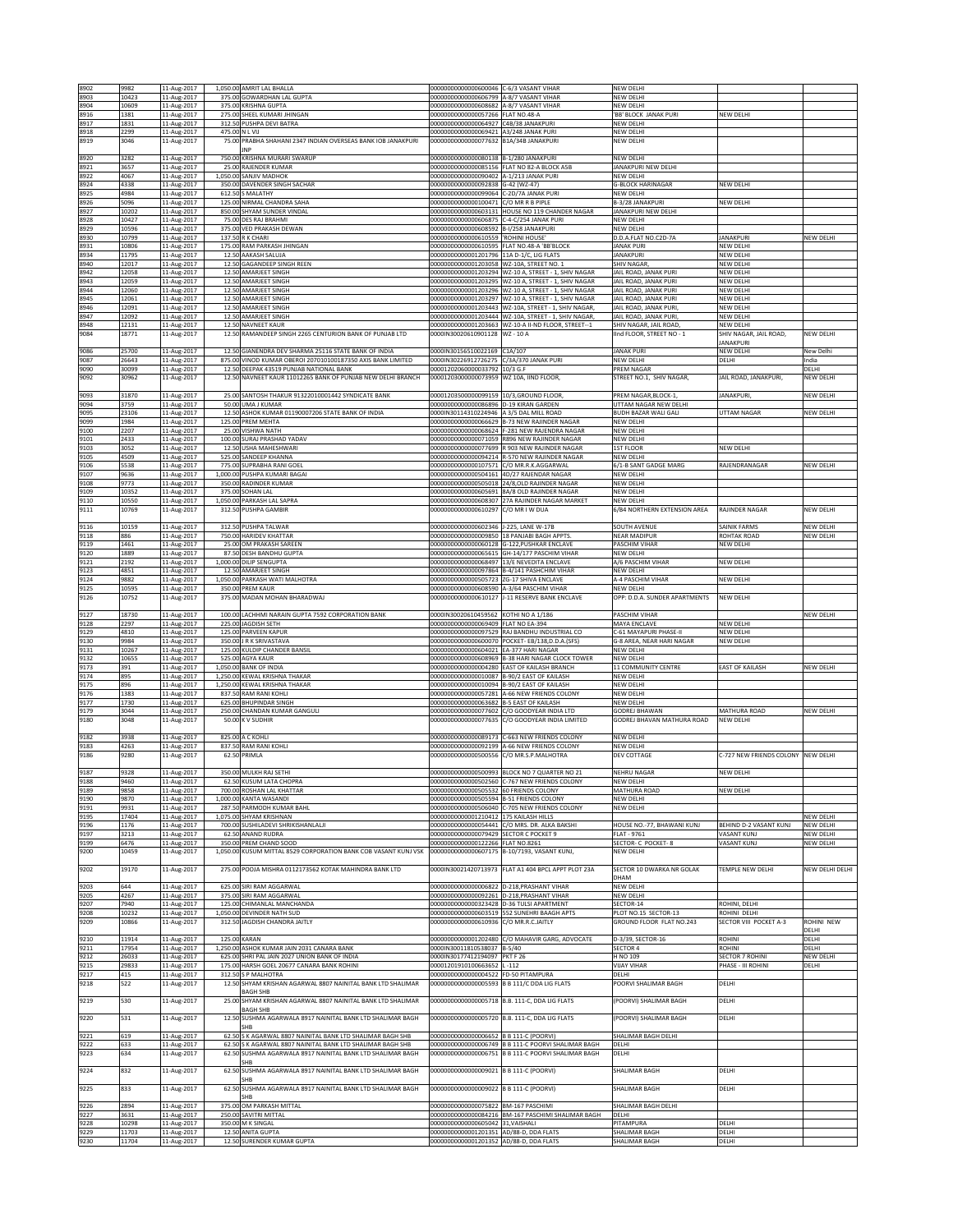| 8902                 | 9982                    | 11-Aug-2017                               | 1,050.00 AMRIT LAL BHALLA                                                                                           | 00000000000000600046 C-6/3 VASANT VIHAR                                                                                 |                                                                                                              | NEW DELHI                                           |                                    |                    |
|----------------------|-------------------------|-------------------------------------------|---------------------------------------------------------------------------------------------------------------------|-------------------------------------------------------------------------------------------------------------------------|--------------------------------------------------------------------------------------------------------------|-----------------------------------------------------|------------------------------------|--------------------|
| 8903                 | 10423                   | 11-Aug-2017                               | 375.00 GOWARDHAN LAL GUPTA                                                                                          | 00000000000000606799 A-8/7 VASANT VIHAR                                                                                 |                                                                                                              | NEW DELHI                                           |                                    |                    |
| 8904                 | 10609                   | 11-Aug-2017                               | 375.00 KRISHNA GUPTA                                                                                                | 00000000000000608682                                                                                                    | A-8/7 VASANT VIHAR                                                                                           | NEW DELHI                                           |                                    |                    |
| 8916                 | 1381                    | 11-Aug-2017                               | 275.00 SHEEL KUMARI JHINGAN                                                                                         | 00000000000000057266 FLAT NO.48-A                                                                                       |                                                                                                              | BB' BLOCK JANAK PURI                                | NEW DELHI                          |                    |
| 8917                 | 1831                    | 11-Aug-2017                               | 312.50 PUSHPA DEVI BATRA                                                                                            | 0000000000000064927                                                                                                     | C4B/38 JANAKPURI                                                                                             | NEW DELHI                                           |                                    |                    |
| 8918<br>8919         | 2299<br>3046            | 11-Aug-2017                               | 475.00 N L VIJ<br>75.00 PRABHA SHAHANI 2347 INDIAN OVERSEAS BANK IOB JANAKPURI                                      | 00000000000000069421 A3/248 JANAK PURI<br>00000000000000077632 B1A/34B JANAKPUR                                         |                                                                                                              | NEW DELHI<br>NEW DELHI                              |                                    |                    |
|                      |                         | 11-Aug-2017                               | INP                                                                                                                 |                                                                                                                         |                                                                                                              |                                                     |                                    |                    |
| 8920                 | 3282                    | 11-Aug-2017                               | 750.00 KRISHNA MURARI SWARUP                                                                                        | 000000000000000080138 B-1/280 JANAKPURI                                                                                 |                                                                                                              | NEW DELHI                                           |                                    |                    |
| 8921                 | 3657                    | 11-Aug-2017                               | 25.00 RAJENDER KUMAR                                                                                                |                                                                                                                         | 00000000000000085156 FLAT NO 82-A BLOCK A5B                                                                  | JANAKPURI NEW DELHI                                 |                                    |                    |
| 8922<br>8924         | 4067<br>4338            | 11-Aug-2017<br>11-Aug-2017                | 1,050.00 SANJIV MADHOK<br>350.00 DAVENDER SINGH SACHAR                                                              | 00000000000000090402 A-1/213 JANAK PURI<br>00000000000000092838 G-42 (WZ-47)                                            |                                                                                                              | NEW DELHI<br><b>G-BLOCK HARINAGAR</b>               | NEW DELHI                          |                    |
| 8925                 | 4984                    | 11-Aug-2017                               | 612.50 S MALATHY                                                                                                    | 00000000000000099064 C-2D/7A JANAK PURI                                                                                 |                                                                                                              | NEW DELHI                                           |                                    |                    |
| 8926                 | 5096                    | 11-Aug-2017                               | 125.00 NIRMAL CHANDRA SAHA                                                                                          | 000000000000000100471 C/O MR R B PIPLE                                                                                  |                                                                                                              | B-3/28 JANAKPURI                                    | NEW DELHI                          |                    |
| 8927                 | 10202                   | 11-Aug-2017                               | 850.00 SHYAM SUNDER VINDAL                                                                                          |                                                                                                                         | 000000000000000603131 HOUSE NO 119 CHANDER NAGAR                                                             | JANAKPURI NEW DELHI                                 |                                    |                    |
| 8928<br>8929         | 10427<br>10596          | 11-Aug-2017<br>11-Aug-2017                | 75.00 DES RAJ BRAHMI<br>375.00 VED PRAKASH DEWAN                                                                    | 00000000000000606875<br>0000000000000608592                                                                             | C-4-C/254 JANAK PURI<br>B-I/258 JANAKPURI                                                                    | NEW DELHI<br>NEW DELHI                              |                                    |                    |
| 8930                 | 10799                   | 11-Aug-2017                               | 137.50 R K CHARI                                                                                                    | 00000000000000610559 'ROHINI HOUSE'                                                                                     |                                                                                                              | D.D.A.FLAT NO.C2D-7A                                | JANAKPURI                          | NEW DELHI          |
| 8931                 | 10806                   | 11-Aug-2017                               | 175.00 RAM PARKASH JHINGAN                                                                                          |                                                                                                                         | 000000000000000610595 FLAT NO.48-A 'BB'BLOCK                                                                 | <b>JANAK PURI</b>                                   | NEW DELHI                          |                    |
| 8934                 | 11795                   | 11-Aug-2017                               | 12.50 AAKASH SALUJA                                                                                                 | 00000000000001201796 11A D-1/C, LIG FLATS                                                                               |                                                                                                              | <b>JANAKPURI</b>                                    | NEW DELHI                          |                    |
| 8940<br>8942         | 12017<br>12058          | 11-Aug-2017<br>11-Aug-2017                | 12.50 GAGANDEEP SINGH REEN<br>12.50 AMARJEET SINGH                                                                  | 00000000000001203058 WZ-10A, STREET NO. 1                                                                               | 00000000000001203294 WZ-10 A, STREET - 1, SHIV NAGAR                                                         | SHIV NAGAR,<br>JAIL ROAD, JANAK PURI                | NEW DELHI<br>NEW DELHI             |                    |
| 8943                 | 12059                   | 11-Aug-2017                               | 12.50 AMARIEFT SINGH                                                                                                |                                                                                                                         | 000000000000001203295 WZ-10 A. STREET - 1. SHIV NAGAR                                                        | <b>JAIL ROAD, JANAK PURI</b>                        | NEW DELHI                          |                    |
| 8944                 | 12060                   | 11-Aug-2017                               | 12.50 AMARJEET SINGH                                                                                                |                                                                                                                         | 00000000000001203296 WZ-10 A, STREET - 1, SHIV NAGAR                                                         | JAIL ROAD, JANAK PURI                               | NEW DELHI                          |                    |
| 8945                 | 12061                   | 11-Aug-2017                               | 12.50 AMARJEET SINGH                                                                                                | 00000000000001203297                                                                                                    | WZ-10 A, STREET - 1, SHIV NAGAR                                                                              | JAIL ROAD, JANAK PURI                               | <b>VEW DELHI</b>                   |                    |
| 8946<br>8947         | 12091<br>12092          | 11-Aug-2017<br>11-Aug-2017                | 12.50 AMARJEET SINGH<br>12.50 AMARJEET SINGH                                                                        |                                                                                                                         | 00000000000001203443 WZ-10A, STREET - 1, SHIV NAGAR,<br>00000000000001203444 WZ-10A, STREET - 1, SHIV NAGAR, | JAIL ROAD, JANAK PURI,<br>JAIL ROAD, JANAK PURI,    | <b>JEW DELHI</b><br>NEW DELHI      |                    |
| 8948                 | 12131                   | 11-Aug-2017                               | 12.50 NAVNEET KAUR                                                                                                  |                                                                                                                         | 00000000000001203663 WZ-10-A II-ND FLOOR, STREET--1                                                          | SHIV NAGAR, JAIL ROAD                               | NEW DELHI                          |                    |
| 9084                 | 18771                   | 11-Aug-2017                               | 12.50 RAMANDEEP SINGH 2265 CENTURION BANK OF PUNJAB LTD                                                             | 0000IN30020610901128                                                                                                    | $WZ - 10A$                                                                                                   | IInd FLOOR, STREET NO - 1                           | SHIV NAGAR, JAIL ROAD,             | NEW DELHI          |
|                      |                         |                                           |                                                                                                                     |                                                                                                                         |                                                                                                              |                                                     | <b>ANAKPURI</b>                    |                    |
| 9086<br>9087         | 25700<br>26643          | 11-Aug-2017<br>11-Aug-2017                | 12.50 GIANENDRA DEV SHARMA 25116 STATE BANK OF INDIA<br>875.00 VINOD KUMAR OBEROI 207010100187350 AXIS BANK LIMITED | 0000IN30156510022169 C1A/107<br>0000IN30226912726275                                                                    | C/3A/370 JANAK PURI                                                                                          | <b>JANAK PURI</b><br>NEW DELHI                      | NEW DELHI<br>DELHI                 | New Delhi<br>India |
| 9090                 | 30099                   | 11-Aug-2017                               | 12.50 DEEPAK 43519 PUNJAB NATIONAL BANK                                                                             | 00001202060000033792 10/3 G.F                                                                                           |                                                                                                              | PREM NAGAR                                          |                                    | DELHI              |
| 9092                 | 30962                   | 11-Aug-2017                               | 12.50<br>NAVNEET KAUR 11012265 BANK OF PUNJAB NEW DELHI BRANCH                                                      | 00001203000000073959                                                                                                    | WZ 10A, IIND FLOOR,                                                                                          | STREET NO.1, SHIV NAGAR,                            | IAIL ROAD, JANAKPURI,              | NEW DELHI          |
|                      |                         |                                           |                                                                                                                     |                                                                                                                         |                                                                                                              |                                                     |                                    |                    |
| 9093<br>9094         | 31870<br>3759           | 11-Aug-2017<br>11-Aug-2017                | 25.00 SANTOSH THAKUR 91322010001442 SYNDICATE BANK<br>50.00 UMA J KUMAR                                             | 00001203500000099159 10/3, GROUND FLOOR,<br>000000000000000086896 D-19 KIRAN GARDEN                                     |                                                                                                              | PREM NAGAR, BLOCK-1,<br>UTTAM NAGAR NEW DELH        | JANAKPURI,                         | NEW DELHI          |
| 9095                 | 23106                   | 11-Aug-2017                               | 12.50 ASHOK KUMAR 01190007206 STATE BANK OF INDIA                                                                   | 0000IN30114310224946 A 3/5 DAL MILL ROAD                                                                                |                                                                                                              | BUDH BAZAR WALI GALI                                | <b>JTTAM NAGAR</b>                 | NEW DELHI          |
| 9099                 | 1984                    | 11-Aug-2017                               | 125.00 PREM MEHTA                                                                                                   |                                                                                                                         | 00000000000000066629 B-73 NEW RAJINDER NAGAR                                                                 | NEW DELHI                                           |                                    |                    |
| 9100                 | 2207                    | 11-Aug-2017                               | 25.00 VISHWA NATH                                                                                                   |                                                                                                                         | 000000000000000068624 F-281 NEW RAJENDRA NAGAR                                                               | NEW DELHI                                           |                                    |                    |
| 9101<br>9103         | 2433<br>3052            | 11-Aug-2017<br>11-Aug-2017                | 100.00 SURAJ PRASHAD YADAV<br>12.50 USHA MAHESHWARI                                                                 |                                                                                                                         | 00000000000000071059 R896 NEW RAJINDER NAGAR<br>00000000000000077699 R 903 NEW RAJINDER NAGAR                | NEW DELHI<br><b>1ST FLOOR</b>                       | <b>JEW DELHI</b>                   |                    |
| 9105                 | 4509                    | 11-Aug-2017                               | 525.00 SANDEEP KHANNA                                                                                               |                                                                                                                         | 00000000000000094214 R-570 NEW RAJINDER NAGAR                                                                | NEW DELHI                                           |                                    |                    |
| 9106                 | 5538                    | 11-Aug-2017                               | 775.00 SUPRABHA RANI GOEL                                                                                           | 00000000000000107571                                                                                                    | C/O MR.R.K.AGGARWAL                                                                                          | 6/1-B SANT GADGE MARG                               | RAJENDRANAGAR                      | NEW DELHI          |
| 9107                 | 9636                    | 11-Aug-2017                               | 1,000.00 PUSHPA KUMARI BAGAI                                                                                        | 00000000000000504161                                                                                                    | 4D/27 RAJENDAR NAGAR                                                                                         | NEW DELHI                                           |                                    |                    |
| 9108<br>9109         | 9773<br>10352           | 11-Aug-2017<br>11-Aug-2017                | 350.00 RADINDER KUMAR<br>375.00 SOHAN LAL                                                                           |                                                                                                                         | 00000000000000505018 24/8, OLD RAJINDER NAGAR<br>00000000000000605691 8A/8 OLD RAJINDER NAGAR                | NEW DELHI<br>NEW DELHI                              |                                    |                    |
| 9110                 | 10550                   | 11-Aug-2017                               | 1,050.00 PARKASH LAL SAPRA                                                                                          |                                                                                                                         | 00000000000000608307 27A RAJINDER NAGAR MARKET                                                               | <b>NEW DELHI</b>                                    |                                    |                    |
| 9111                 | 10769                   | 11-Aug-2017                               | 312.50 PUSHPA GAMBIR                                                                                                | 00000000000000610297                                                                                                    | C/O MR I W DUA                                                                                               | 6/B4 NORTHERN EXTENSION AREA                        | RAJINDER NAGAR                     | <b>NFW DFI HI</b>  |
|                      |                         |                                           |                                                                                                                     |                                                                                                                         |                                                                                                              |                                                     |                                    |                    |
| 9116                 | 10159                   | 11-Aug-2017                               | 312.50 PUSHPA TALWAR                                                                                                | 00000000000000602346 J-225, LANE W-17B                                                                                  |                                                                                                              | SOUTH AVENUE                                        | <b>SAINIK FARMS</b>                | NEW DELHI          |
| 9118<br>9119         | 886<br>1461             | 11-Aug-2017<br>11-Aug-2017                | 750.00 HARIDEV KHATTAR<br>25.00 OM PRAKASH SAREEN                                                                   |                                                                                                                         | 00000000000000009850 38 PANJABI BAGH APPTS.<br>00000000000000060128 G-122, PUSHKAR ENCLAVE                   | <b>NEAR MADIPUR</b><br>PASCHIM VIHAR                | ROHTAK ROAD<br>NEW DELHI           | NEW DELHI          |
| 9120                 | 1889                    | 11-Aug-2017                               | 87.50 DESH BANDHU GUPTA                                                                                             |                                                                                                                         | 00000000000000065615 GH-14/177 PASCHIM VIHAR                                                                 | <b>NEW DELHI</b>                                    |                                    |                    |
| 9121                 | 2192                    | 11-Aug-2017                               | 1,000.00 DILIP SENGUPTA                                                                                             |                                                                                                                         | 00000000000000068497 13/E NEVEDITA ENCLAVE                                                                   | A/6 PASCHIM VIHAR                                   | NEW DELHI                          |                    |
| 9123                 | 4851                    | 11-Aug-2017                               | 12.50 AMARJEET SINGH                                                                                                |                                                                                                                         | 00000000000000097864 B-4/141 PASHCHIM VIHAR                                                                  | NEW DELHI                                           |                                    |                    |
| 9124<br>9125         | 9882<br>10595           | 11-Aug-2017<br>11-Aug-2017                | 1,050.00 PARKASH WATI MALHOTRA<br>350.00 PREM KAUR                                                                  | 000000000000000505723 ZG-17 SHIVA ENCLAVE                                                                               | 00000000000000608590 A-3/64 PASCHIM VIHAR                                                                    | A-4 PASCHIM VIHAR<br>NEW DELHI                      | NEW DELHI                          |                    |
| 9126                 | 10752                   | 11-Aug-2017                               | 375.00<br>MADAN MOHAN BHARADWAJ                                                                                     | 00000000000000610127                                                                                                    | J-11 RESERVE BANK ENCLAVE                                                                                    | OPP: D.D.A. SUNDER APARTMENTS                       | NEW DELHI                          |                    |
|                      |                         |                                           |                                                                                                                     |                                                                                                                         |                                                                                                              |                                                     |                                    |                    |
|                      |                         |                                           |                                                                                                                     |                                                                                                                         |                                                                                                              |                                                     |                                    |                    |
| 9127                 | 18730                   | 11-Aug-2017                               | 100.00 LACHHMI NARAIN GUPTA 7592 CORPORATION BANK                                                                   | 0000IN30020610459562 KOTHI NO A 1/186                                                                                   |                                                                                                              | PASCHIM VIHAR                                       |                                    | NEW DELHI          |
| 9128                 | 2297                    | 11-Aug-2017                               | 225.00 JAGDISH SETH                                                                                                 | 00000000000000069409 FLAT NO EA-394                                                                                     |                                                                                                              | <b>MAYA ENCLAVE</b>                                 | NEW DELHI                          |                    |
| 9129<br>9130         | 4810<br>9984            | 11-Aug-2017<br>11-Aug-2017                | 125.00 PARVEEN KAPUR<br>350.00 J R K SRIVASTAVA                                                                     |                                                                                                                         | 00000000000000097529 RAJ BANDHU INDUSTRIAL CO<br>00000000000000600070 POCKET- EB/138,D.D.A.(SFS)             | C-61 MAYAPURI PHASE-II<br>G-8 AREA, NEAR HARI NAGAR | NEW DELHI<br>NEW DELHI             |                    |
| 9131                 | 10267                   | 11-Aug-2017                               | 125.00 KULDIP CHANDER BANSIL                                                                                        | 00000000000000604021 EA-377 HARI NAGAR                                                                                  |                                                                                                              | NEW DELHI                                           |                                    |                    |
| 9132                 | 10655                   | 11-Aug-2017                               | 525,00 AGYA KAUR                                                                                                    |                                                                                                                         | 000000000000000608969 B-38 HARI NAGAR CLOCK TOWER                                                            | NEW DELHI                                           |                                    |                    |
| 9173                 | 391                     | 11-Aug-2017                               | 1,050.00 BANK OF INDIA                                                                                              |                                                                                                                         | 00000000000000004280 EAST OF KAILASH BRANCH                                                                  | 1 COMMUNITY CENTRE                                  | AST OF KAILASH                     | NEW DELHI          |
| 9174<br>9175         | 895<br>896              | 11-Aug-2017<br>11-Aug-2017                | 1,250.00 KEWAL KRISHNA THAKAR<br>1,250.00 KEWAL KRISHNA THAKAR                                                      | 00000000000000010087                                                                                                    | B-90/2 EAST OF KAILASH<br>000000000000000010094 B-90/2 EAST OF KAILASH                                       | NEW DELHI<br>NEW DELHI                              |                                    |                    |
| 9176                 | 1383                    | 11-Aug-2017                               | 837.50 RAM RANI KOHLI                                                                                               | 0000000000000057281                                                                                                     | A-66 NEW FRIENDS COLONY                                                                                      | NEW DELHI                                           |                                    |                    |
| 9177                 | 1730                    | 11-Aug-2017                               | 625.00 BHUPINDAR SINGH                                                                                              | 00000000000000063682 B-5 EAST OF KAILASH                                                                                |                                                                                                              | NEW DELHI                                           |                                    |                    |
| 9179                 | 3044                    | 11-Aug-2017                               | 250.00 CHANDAN KUMAR GANGULI                                                                                        |                                                                                                                         | 00000000000000077602 C/O GOODYEAR INDIA LTD                                                                  | <b>GODREJ BHAWAN</b>                                | MATHURA ROAD                       | NEW DELHI          |
| 9180                 | 3048                    | 11-Aug-2017                               | 50.00 K V SUDHIR                                                                                                    | 00000000000000077635                                                                                                    | C/O GOODYEAR INDIA LIMITED                                                                                   | GODREJ BHAVAN MATHURA ROAD                          | NEW DELHI                          |                    |
| 9182                 | 3938                    | 11-Aug-2017                               | 825.00 A C KOHLI                                                                                                    | 00000000000000089173                                                                                                    | C-663 NEW FRIENDS COLONY                                                                                     | <b>NEW DELHI</b>                                    |                                    |                    |
| 9183                 | 4263                    | 11-Aug-2017                               | 837.50 RAM RANI KOHLI                                                                                               | 0000000000000092199                                                                                                     | A-66 NEW FRIENDS COLONY                                                                                      | NEW DELHI                                           |                                    |                    |
| 9186                 | 9280                    | 11-Aug-2017                               | 62.50 PRIMLA                                                                                                        |                                                                                                                         | 00000000000000500556 C/O MR.S.P.MALHOTRA                                                                     | DEV COTTAGE                                         | C-727 NEW FRIENDS COLONY NEW DELHI |                    |
| 9187                 | 9328                    | 11-Aug-2017                               | 350.00 MULKH RAJ SETHI                                                                                              |                                                                                                                         | 00000000000000500993 BLOCK NO 7 QUARTER NO 21                                                                | <b>NEHRU NAGAR</b>                                  | NEW DELHI                          |                    |
| 9188                 | 9460                    | 11-Aug-2017                               | 62.50 KUSUM LATA CHOPRA                                                                                             |                                                                                                                         | 00000000000000502560 C-767 NEW FRIENDS COLONY                                                                | NEW DELHI                                           |                                    |                    |
| 9189                 | 9858                    | 11-Aug-2017                               | 700.00 ROSHAN LAL KHATTAR                                                                                           | 00000000000000505532 60 FRIENDS COLONY                                                                                  |                                                                                                              | MATHURA ROAD                                        | NEW DELHI                          |                    |
| 9190<br>9191         | 9870<br>9931            | 11-Aug-2017                               | 1,000.00 KANTA WASANDI<br>287.50 PARMODH KUMAR BAHL                                                                 | 000000000000000505594 B-51 FRIENDS COLONY                                                                               |                                                                                                              | NEW DELHI<br>NEW DELHI                              |                                    |                    |
| 9195                 | 17404                   | 11-Aug-2017<br>11-Aug-2017                | 1,075.00 SHYAM KRISHNAN                                                                                             | 00000000000001210412 175 KAILASH HILLS                                                                                  | 000000000000000506040 C-705 NEW FRIENDS COLONY                                                               |                                                     |                                    | NEW DELHI          |
| 9196                 | 1176                    | 11-Aug-2017                               | 700.00 SUSHILADEVI SHRIKISHANLALII                                                                                  |                                                                                                                         | 00000000000000054441 C/O MRS. DR. ALKA BAKSHI                                                                | HOUSE NO.-77, BHAWANI KUNJ                          | BEHIND D-2 VASANT KUNJ             | NEW DELHI          |
| 9197                 | 3213                    | 11-Aug-2017                               | 62.50 ANAND RUDRA                                                                                                   | 00000000000000079429 SECTOR C POCKET 9                                                                                  |                                                                                                              | FLAT - 9761                                         | VASANT KUNJ                        | NEW DELHI          |
| 9199<br>9200         | 6476<br>10459           | 11-Aug-2017                               | 350.00 PREM CHAND SOOD<br>1,050.00 KUSUM MITTAL 8529 CORPORATION BANK COB VASANT KUNJ VSK                           | 00000000000000122266 FLAT NO.8261                                                                                       | 00000000000000607175 B-10/7193, VASANT KUNJ,                                                                 | SECTOR- C POCKET-8<br>NEW DELHI                     | VASANT KUNJ                        | NEW DELHI          |
|                      |                         | 11-Aug-2017                               |                                                                                                                     |                                                                                                                         |                                                                                                              |                                                     |                                    |                    |
| 9202                 | 19170                   | 11-Aug-2017                               | 275.00 POOJA MISHRA 0112173562 KOTAK MAHINDRA BANK LTD                                                              | 0000IN30021420713973                                                                                                    | FLAT A1 404 BPCL APPT PLOT 23A                                                                               | SECTOR 10 DWARKA NR GOLAK                           | FEMPLE NEW DELHI                   | NEW DELHI DELHI    |
|                      |                         |                                           |                                                                                                                     |                                                                                                                         |                                                                                                              | DHAM                                                |                                    |                    |
| 9203<br>9205         | 644<br>4267             | 11-Aug-2017<br>11-Aug-2017                | 625.00 SIRI RAM AGGARWAL<br>375.00 SIRI RAM AGGARWAL                                                                | 00000000000000006822                                                                                                    | D-218, PRASHANT VIHAR<br>00000000000000092261 D-218, PRASHANT VIHAR                                          | NEW DELHI<br>NEW DELHI                              |                                    |                    |
| 9207                 | 7940                    | 11-Aug-2017                               | 125.00 CHIMANLAL MANCHANDA                                                                                          |                                                                                                                         | 00000000000000323428 D-36 TULSI APARTMENT                                                                    | SECTOR-14                                           | ROHINI, DELHI                      |                    |
| 9208                 | 10232                   | 11-Aug-2017                               | 1,050.00 DEVINDER NATH SUD                                                                                          |                                                                                                                         | 00000000000000603519 552 SUNEHRI BAAGH APTS                                                                  | PLOT NO.15 SECTOR-13                                | ROHINI DELHI                       |                    |
| 9209                 | 10866                   | 11-Aug-2017                               | 312.50 JAGDISH CHANDRA JAITLY                                                                                       | 00000000000000610936 C/O MR.R.C.JAITLY                                                                                  |                                                                                                              | GROUND FLOOR FLAT NO.243                            | SECTOR VIII POCKET A-3             | ROHINI NEW         |
| 9210                 | 11914                   |                                           | 125.00 KARAN                                                                                                        |                                                                                                                         | 000000000000001202480 C/O MAHAVIR GARG, ADVOCATE                                                             | D-3/39, SECTOR-16                                   | ROHINI                             | DELHI<br>DELHI     |
| 9211                 | 17954                   | 11-Aug-2017<br>11-Aug-2017                | 1,250.00 ASHOK KUMAR JAIN 2031 CANARA BANK                                                                          | 0000IN30011810538037                                                                                                    | $B - 5/40$                                                                                                   | SECTOR 4                                            | ROHINI                             | DELHI              |
| 9212                 | 26033                   | 11-Aug-2017                               | 625.00<br>SHRI PAL JAIN 2027 UNION BANK OF INDIA                                                                    | 0000IN30177412194097                                                                                                    | PKTF26                                                                                                       | H NO 109                                            | <b>ECTOR 7 ROHINI</b>              | NEW DELHI          |
| 9215                 | 29833                   | 11-Aug-2017                               | 175.00 HARSH GOEL 20677 CANARA BANK ROHINI                                                                          | 00001201910100663652                                                                                                    | $-112$                                                                                                       | <b>VIJAY VIHAR</b>                                  | PHASE - III ROHINI                 | DELHI              |
| 9217<br>9218         | 415<br>522              | 11-Aug-2017                               | 312.50 S P MALHOTRA<br>12.50 SHYAM KRISHAN AGARWAL 8807 NAINITAL BANK LTD SHALIMAR                                  | 00000000000000004522 FD-50 PITAMPURA                                                                                    | 00000000000000005593 B B 111/C DDA LIG FLATS                                                                 | DELHI<br>POORVI SHALIMAR BAGH                       | DELHI                              |                    |
|                      |                         | 11-Aug-2017                               | <b>BAGH SHB</b>                                                                                                     |                                                                                                                         |                                                                                                              |                                                     |                                    |                    |
| 9219                 | 530                     | 11-Aug-2017                               | 25.00 SHYAM KRISHAN AGARWAL 8807 NAINITAL BANK LTD SHALIMAR                                                         |                                                                                                                         | 00000000000000005718 B.B. 111-C, DDA LIG FLATS                                                               | (POORVI) SHALIMAR BAGH                              | DELHI                              |                    |
|                      |                         |                                           | <b>BAGH SHB</b>                                                                                                     |                                                                                                                         |                                                                                                              |                                                     |                                    |                    |
| 9220                 | 531                     | 11-Aug-2017                               | 12.50 SUSHMA AGARWALA 8917 NAINITAL BANK LTD SHALIMAR BAGH                                                          | 00000000000000005720                                                                                                    | B.B. 111-C, DDA LIG FLATS                                                                                    | (POORVI) SHALIMAR BAGH                              | DELHI                              |                    |
| 9221                 | 619                     | 11-Aug-2017                               | SHB<br>62.50 S K AGARWAL 8807 NAINITAL BANK LTD SHALIMAR BAGH SHB                                                   | 00000000000000006652 B B 111-C (POORVI)                                                                                 |                                                                                                              | SHALIMAR BAGH DELHI                                 |                                    |                    |
| 9222                 | 633                     | 11-Aug-2017                               | 62.50 S K AGARWAL 8807 NAINITAL BANK LTD SHALIMAR BAGH SHB                                                          |                                                                                                                         | 00000000000000006749 B B 111-C POORVI SHALIMAR BAGH                                                          | DELHI                                               |                                    |                    |
| 9223                 | 634                     | 11-Aug-2017                               | 62.50 SUSHMA AGARWALA 8917 NAINITAL BANK LTD SHALIMAR BAGH                                                          |                                                                                                                         | 00000000000000006751 B B 111-C POORVI SHALIMAR BAGH                                                          | DELHI                                               |                                    |                    |
|                      |                         |                                           | SHR                                                                                                                 |                                                                                                                         |                                                                                                              |                                                     |                                    |                    |
| 9224                 | 832                     | 11-Aug-2017                               | 62.50 SUSHMA AGARWALA 8917 NAINITAL BANK LTD SHALIMAR BAGH<br>SHB                                                   | 00000000000000009021 B B 111-C (POORVI)                                                                                 |                                                                                                              | SHALIMAR BAGH                                       | DELHI                              |                    |
| 9225                 | 833                     | 11-Aug-2017                               | SUSHMA AGARWALA 8917 NAINITAL BANK LTD SHALIMAR BAGH<br>62.50                                                       | 00000000000000009022 B B 111-C (POORVI)                                                                                 |                                                                                                              | SHALIMAR BAGH                                       | DELHI                              |                    |
|                      |                         |                                           | SHB                                                                                                                 |                                                                                                                         |                                                                                                              |                                                     |                                    |                    |
| 9226                 | 2894                    | 11-Aug-2017                               | 375.00 OM PARKASH MITTAL                                                                                            | 00000000000000075822 BM-167 PASCHIMI                                                                                    |                                                                                                              | SHALIMAR BAGH DELHI                                 |                                    |                    |
| 9227                 | 3631                    | 11-Aug-2017                               | 250.00 SAVITRI MITTAL                                                                                               |                                                                                                                         | 00000000000000084216 BM-167 PASCHIMI SHALIMAR BAGH                                                           | DELHI                                               | DELHI                              |                    |
| 9228<br>9229<br>9230 | 10298<br>11703<br>11704 | 11-Aug-2017<br>11-Aug-2017<br>11-Aug-2017 | 350.00 M K SINGAL<br>12.50 ANITA GUPTA<br>12.50 SURENDER KUMAR GUPTA                                                | 00000000000000605042 31, VAISHALI<br>00000000000001201351 AD/88-D, DDA FLATS<br>00000000000001201352 AD/88-D, DDA FLATS |                                                                                                              | PITAMPURA<br>SHALIMAR BAGH<br>SHALIMAR BAGH         | DELHI<br>DELHI                     |                    |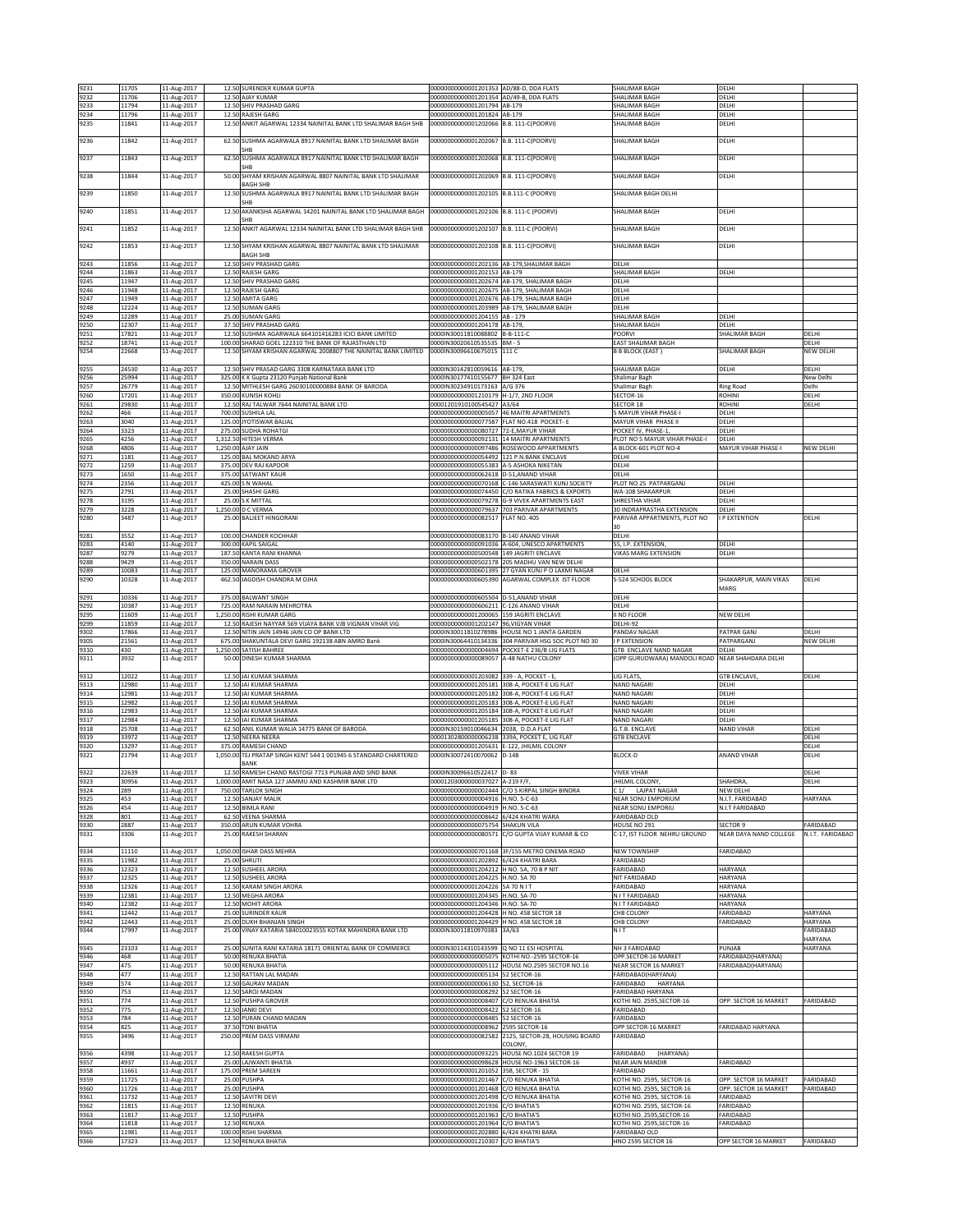| 9231         | 11705          | 11-Aug-2017                |                   | 12.50 SURENDER KUMAR GUPTA                                                                                           | 00000000000001201353 AD/88-D, DDA FLATS                                              |                                                                | SHALIMAR BAGH                                           | DELHI                                          |                        |
|--------------|----------------|----------------------------|-------------------|----------------------------------------------------------------------------------------------------------------------|--------------------------------------------------------------------------------------|----------------------------------------------------------------|---------------------------------------------------------|------------------------------------------------|------------------------|
| 9232         | 11706          | 11-Aug-2017                |                   | 12.50 AJAY KUMAR                                                                                                     | 00000000000001201354                                                                 | AD/49-B, DDA FLATS                                             | SHALIMAR BAGH                                           | DELHI                                          |                        |
| 9233<br>9234 | 11794<br>11796 | 11-Aug-2017<br>11-Aug-2017 |                   | 12.50 SHIV PRASHAD GARG<br>12.50 RAJESH GARG                                                                         | 00000000000001201794<br>00000000000001201824 AB-179                                  | AB-179                                                         | SHALIMAR BAGH<br>SHALIMAR BAGH                          | DELHI<br>DELHI                                 |                        |
| 9235         | 11841          | 11-Aug-2017                |                   | 12.50 ANKIT AGARWAL 12334 NAINITAL BANK LTD SHALIMAR BAGH SHB                                                        | 00000000000001202066                                                                 | B.B. 111-C(POORVI)                                             | SHALIMAR BAGH                                           | DELHI                                          |                        |
|              |                |                            |                   |                                                                                                                      |                                                                                      |                                                                |                                                         |                                                |                        |
| 9236         | 11842          | 11-Aug-2017                | 62.50             | SUSHMA AGARWALA 8917 NAINITAL BANK LTD SHALIMAR BAGH<br><b>SHB</b>                                                   | 00000000000001202067                                                                 | B.B. 111-C(POORVI)                                             | SHALIMAR BAGH                                           | DELHI                                          |                        |
| 9237         | 11843          | 11-Aug-2017                |                   | 62.50 SUSHMA AGARWALA 8917 NAINITAL BANK LTD SHALIMAR BAGH                                                           | 00000000000001202068                                                                 | B.B. 111-C(POORVI)                                             | SHALIMAR BAGH                                           | DELHI                                          |                        |
|              |                |                            |                   | SHB                                                                                                                  |                                                                                      |                                                                |                                                         |                                                |                        |
| 9238         | 11844          | 11-Aug-2017                | 50.00             | SHYAM KRISHAN AGARWAL 8807 NAINITAL BANK LTD SHALIMAR                                                                | 00000000000001202069                                                                 | B.B. 111-C(POORVI)                                             | SHALIMAR BAGH                                           | DELHI                                          |                        |
| 9239         | 11850          | 11-Aug-2017                | 12.50             | <b>BAGH SHB</b><br>SUSHMA AGARWALA 8917 NAINITAL BANK LTD SHALIMAR BAGH                                              | 00000000000001202105 B.B.111-C (POORVI)                                              |                                                                | SHALIMAR BAGH DELHI                                     |                                                |                        |
|              |                |                            |                   | SHR                                                                                                                  |                                                                                      |                                                                |                                                         |                                                |                        |
| 9240         | 11851          | 11-Aug-2017                | 12.5              | AKANKSHA AGARWAL 14201 NAINITAL BANK LTD SHALIMAR BAGH                                                               | 00000000000001202106                                                                 | B.B. 111-C (POORVI)                                            | SHALIMAR BAGH                                           | DELHI                                          |                        |
| 9241         | 11852          | 11-Aug-2017                | 12.50             | <b>SHB</b><br>ANKIT AGARWAL 12334 NAINITAL BANK LTD SHALIMAR BAGH SHB                                                | 00000000000001202107                                                                 | B.B. 111-C (POORVI)                                            | SHALIMAR BAGH                                           | DELHI                                          |                        |
|              |                |                            |                   |                                                                                                                      |                                                                                      |                                                                |                                                         |                                                |                        |
| 9242         | 11853          | 11-Aug-2017                |                   | 12.50 SHYAM KRISHAN AGARWAL 8807 NAINITAL BANK LTD SHALIMAR                                                          | 00000000000001202108                                                                 | B.B. 111-C(POORVI)                                             | SHALIMAR BAGH                                           | DELHI                                          |                        |
|              |                |                            |                   | <b>BAGH SHB</b>                                                                                                      |                                                                                      |                                                                |                                                         |                                                |                        |
| 9243<br>9244 | 11856<br>11863 | 11-Aug-2017<br>11-Aug-2017 |                   | 12.50 SHIV PRASHAD GARG<br>12.50 RAJESH GARG                                                                         | 00000000000001202136 AB-179, SHALIMAR BAGH<br>00000000000001202153 AB-179            |                                                                | DELHI<br>SHALIMAR BAGH                                  | DELHI                                          |                        |
| 9245         | 11947          | 11-Aug-2017                |                   | 12.50 SHIV PRASHAD GARG                                                                                              | 00000000000001202674                                                                 | AB-179, SHALIMAR BAGH                                          | DELHI                                                   |                                                |                        |
| 9246         | 11948          | 11-Aug-2017                | 12.50             | RAJESH GARG                                                                                                          | 0000000000001202675                                                                  | <b>AB-179, SHALIMAR BAGH</b>                                   | DELHI                                                   |                                                |                        |
| 9247         | 11949          | 11-Aug-2017                | 12.50             | <b>AMITA GARG</b>                                                                                                    | 00000000000001202676                                                                 | AB-179, SHALIMAR BAGH                                          | DELHI                                                   |                                                |                        |
| 9248<br>9249 | 12224<br>12289 | 11-Aug-2017<br>11-Aug-2017 | 12.50<br>25.00    | <b>SUMAN GARG</b><br><b>SUMAN GARG</b>                                                                               | 00000000000001203989<br>00000000000001204155                                         | AB-179, SHALIMAR BAGH<br>AB - 179                              | DELHI<br>SHALIMAR BAGH                                  | DELHI                                          |                        |
| 9250         | 12307          | 11-Aug-2017                | 37.50             | <b>SHIV PRASHAD GARG</b>                                                                                             | 00000000000001204178                                                                 | AB-179                                                         | SHALIMAR BAGH                                           | DELHI                                          |                        |
| 9251         | 17821          | 11-Aug-2017                |                   | 12.50 SUSHMA AGARWALA 664101416283 ICICI BANK LIMITED                                                                | 0000IN30011810088802                                                                 | B-B-111-C                                                      | POORVI                                                  | SHALIMAR BAGH                                  | DELHI                  |
| 9252<br>9254 | 18741<br>22668 | 11-Aug-2017<br>11-Aug-2017 |                   | 100.00 SHARAD GOEL 122310 THE BANK OF RAJASTHAN LTD<br>12.50 SHYAM KRISHAN AGARWAL 2008807 THE NAINITAL BANK LIMITED | 0000IN30020610535535 BM - 5<br>0000IN30096610675015 111 C                            |                                                                | EAST SHALIMAR BAGH<br><b>B B BLOCK (EAST)</b>           | SHALIMAR BAGH                                  | DELHI<br>NEW DELHI     |
|              |                |                            |                   |                                                                                                                      |                                                                                      |                                                                |                                                         |                                                |                        |
| 9255         | 24530          | 11-Aug-2017                |                   | 12.50 SHIV PRASAD GARG 3308 KARNATAKA BANK LTD                                                                       | 0000IN30142810059616                                                                 | AB-179                                                         | SHALIMAR BAGH                                           | DELHI                                          | DELHI                  |
| 9256         | 25994          | 11-Aug-2017                |                   | 325.00 K K Gupta 23120 Punjab National Bank                                                                          | 0000IN30177410155677                                                                 | BH 324 East                                                    | Shalimar Bagh                                           |                                                | New Delhi              |
| 9257<br>9260 | 26779<br>17201 | 11-Aug-2017<br>11-Aug-2017 | 350.00            | 12.50 MITHLESH GARG 26030100000884 BANK OF BARODA<br><b>KUNISH KOHLI</b>                                             | 0000IN30234910173163<br>00000000000001210179                                         | A/G 376<br>H-1/7, 2ND FLOOR                                    | Shalimar Bagh<br>SECTOR-16                              | Ring Road<br><b>ROHINI</b>                     | Delhi<br>DELH          |
| 9261         | 29830          | 11-Aug-2017                |                   | 12.50 RAJ TALWAR 7644 NAINITAL BANK LTD                                                                              | 00001201910100545427 A3/64                                                           |                                                                | SECTOR 18                                               | <b>ROHIN</b>                                   | DELHI                  |
| 9262         | 466            | 11-Aug-2017                |                   | 700.00 SUSHILA LAL                                                                                                   | 000000000000000005057 46 MAITRI APARTMENTS                                           |                                                                | <b>5 MAYUR VIHAR PHASE-I</b>                            | DELHI                                          |                        |
| 9263<br>9264 | 3040<br>3323   | 11-Aug-2017<br>11-Aug-2017 |                   | 125.00 JYOTISWAR BALIAL<br>275.00 SUDHA ROHATGI                                                                      | 00000000000000077587<br>20000000000000080727                                         | FLAT NO.418 POCKET- E<br>72-E.MAYUR VIHAR                      | MAYUR VIHAR PHASE II<br>OCKET IV, PHASE-1,              | DELHI<br>DELHI                                 |                        |
| 9265         | 4256           | 11-Aug-2017                | 1,312.50          | HITESH VERMA                                                                                                         | 00000000000000092131                                                                 | 14 MAITRI APARTMENTS                                           | PLOT NO 5 MAYUR VIHAR PHASE-I                           | DELHI                                          |                        |
| 9268         | 4806           | 11-Aug-2017                |                   | 1,250.00 AJAY JAIN                                                                                                   |                                                                                      | 00000000000000097486 ROSEWOOD APPARTMENTS                      | A BLOCK-601 PLOT NO-4                                   | MAYUR VIHAR PHASE-I                            | <b>NEW DELHI</b>       |
| 9271         | 1181           | 11-Aug-2017                | 125.00            | <b>BAL MOKAND ARYA</b>                                                                                               | 00000000000000054492                                                                 | 121 P.N.BANK ENCLAVE                                           | DELHI                                                   |                                                |                        |
| 9272<br>9273 | 1259<br>1650   | 11-Aug-2017<br>11-Aug-2017 |                   | 375.00 DEV RAJ KAPOOR<br>375.00 SATWANT KAUR                                                                         | 0000000000000055383<br>00000000000000062618 D-51, ANAND VIHAR                        | A-5 ASHOKA NIKETAN                                             | DELHI<br>DELHI                                          |                                                |                        |
| 9274         | 2356           | 11-Aug-2017                |                   | 425.00 S N WAHAL                                                                                                     |                                                                                      | 00000000000000070168 C-146 SARASWATI KUNJ SOCIETY              | PLOT NO.25 PATPARGANJ                                   | DELHI                                          |                        |
| 9275         | 2791           | 11-Aug-2017                |                   | 25.00 SHASHI GARG                                                                                                    |                                                                                      | 00000000000000074450 C/O RATIKA FABRICS & EXPORTS              | WA-108 SHAKARPUR                                        | DELHI                                          |                        |
| 9278         | 3195           | 11-Aug-2017                | 25.00             | <b>SK MITTAL</b>                                                                                                     | 00000000000000079278                                                                 | <b>G-9 VIVEK APARTMENTS EAST</b>                               | SHRESTHA VIHAR                                          | DELHI                                          |                        |
| 9279<br>9280 | 3228<br>3487   | 11-Aug-2017<br>11-Aug-2017 | 1,250.00<br>25.00 | <b>C VERMA</b><br><b>BALIEET HINGORANI</b>                                                                           | 0000000000000079637<br>00000000000000082517                                          | 703 PARIVAR APARTMENTS<br>FLAT NO. 405                         | 0 INDRAPRASTHA EXTENSION<br>ARIVAR APPARTMENTS, PLOT NO | DELHI<br>P EXTENTION                           | DELHI                  |
|              |                |                            |                   |                                                                                                                      |                                                                                      |                                                                |                                                         |                                                |                        |
| 9281         | 3552           | 11-Aug-2017                |                   | 100.00 CHANDER KOCHHAR                                                                                               | 00000000000000083170 B-140 ANAND VIHAR                                               |                                                                | DELHI                                                   |                                                |                        |
| 9283         | 4140           | 11-Aug-2017                |                   | 300.00 KAPIL SAIGAL                                                                                                  | 0000000000000091036                                                                  | A-604, UNESCO APARTMENTS                                       | 55. I.P. EXTENSION                                      | DELHI                                          |                        |
| 9287<br>9288 | 9279<br>9429   | 11-Aug-2017<br>11-Aug-2017 |                   | 187.50 KANTA RANI KHANNA<br>350.00 NARAIN DASS                                                                       | 00000000000000500548 149 JAGRITI ENCLAVE                                             | 00000000000000502178 205 MADHU VAN NEW DELHI                   | <b>VIKAS MARG EXTENSION</b>                             | DELHI                                          |                        |
| 9289         | 10083          | 11-Aug-2017                |                   | 125.00 MANORAMA GROVER                                                                                               | 00000000000000601395                                                                 | 27 GYAN KUNJ P O LAXMI NAGAR                                   | DELHI                                                   |                                                |                        |
| 9290         | 10328          | 11-Aug-2017                | 462.50            | JAGDISH CHANDRA M OJHA                                                                                               | 0000000000000605390                                                                  | AGARWAL COMPLEX IST FLOOR                                      | S-524 SCHOOL BLOCK                                      | SHAKARPUR, MAIN VIKAS                          | DELHI                  |
|              |                |                            |                   |                                                                                                                      |                                                                                      |                                                                |                                                         | MARG                                           |                        |
| 9291<br>9292 | 10336<br>10387 | 11-Aug-2017<br>11-Aug-2017 |                   | 375.00 BALWANT SINGH<br>725.00 RAM NARAIN MEHROTRA                                                                   | 00000000000000605504<br>00000000000000606211                                         | D-51, ANAND VIHAR<br>C-126 ANAND VIHAR                         | DELHI<br>DELHI                                          |                                                |                        |
| 9295         | 11609          | 11-Aug-2017                | 1.250.00          | <b>RISHI KUMAR GARG</b>                                                                                              | 00000000000001200065                                                                 | 159 JAGRITI ENCLAVE                                            | II ND FLOOR                                             | NEW DELHI                                      |                        |
|              |                |                            |                   |                                                                                                                      |                                                                                      |                                                                |                                                         |                                                |                        |
| 9299         | 11859          | 11-Aug-2017                |                   | 12.50 RAJESH NAYYAR 569 VIJAYA BANK VJB VIGNAN VIHAR VIG                                                             | 00000000000001202147                                                                 | 96, VIGYAN VIHAR                                               | DELHI-92                                                |                                                |                        |
| 9302         | 17866          | 11-Aug-2017                |                   | 12.50 NITIN JAIN 14946 JAIN CO OP BANK LTD                                                                           |                                                                                      | 0000IN30011810278986 HOUSE NO 1 JANTA GARDEN                   | PANDAV NAGAR                                            | PATPAR GANJ                                    | DELHI                  |
| 9305<br>9310 | 21561<br>430   | 11-Aug-2017                |                   | 675.00 SHAKUNTALA DEVI GARG 192138 ABN AMRO Bank<br>1,250.00 SATISH BAHREE                                           | 0000IN30064410134336<br>00000000000000004694                                         | 304 PARIVAR HSG SOC PLOT NO 30<br>POCKET-E 236/B LIG FLATS     | P EXTENSION<br>GTB ENCLAVE NAND NAGAR                   | PATPARGANJ<br>DELHI                            | NEW DELHI              |
| 9311         | 3932           | 11-Aug-2017<br>11-Aug-2017 | 50.00             | DINESH KUMAR SHARMA                                                                                                  | 0000000000000089057                                                                  | A-48 NATHU COLONY                                              | OPP GURUDWARA) MANDOLI ROAD NEAR SHAHDARA DELHI         |                                                |                        |
|              |                |                            |                   |                                                                                                                      |                                                                                      |                                                                |                                                         |                                                |                        |
| 9312         | 12022          | 11-Aug-2017                |                   | 12.50 JAI KUMAR SHARMA                                                                                               | 00000000000001203082                                                                 | 339 - A, POCKET - E,                                           | LIG FLATS                                               | <b>GTB ENCLAVE</b>                             | DELHI                  |
| 9313<br>9314 | 12980<br>12981 | 11-Aug-2017<br>11-Aug-2017 |                   | 12.50 JAI KUMAR SHARMA<br>12.50 JAI KUMAR SHARMA                                                                     | 00000000000001205181<br>00000000000001205182                                         | 308-A. POCKET-E LIG FLAT<br>308-A, POCKET-E LIG FLAT           | NAND NAGARI<br><b>VAND NAGARI</b>                       | DELHI<br>DELHI                                 |                        |
| 9315         | 12982          | 11-Aug-2017                |                   | 12.50 JAI KUMAR SHARMA                                                                                               |                                                                                      | 00000000000001205183 308-A, POCKET-E LIG FLAT                  | <b>NAND NAGARI</b>                                      | DELHI                                          |                        |
| 9316         | 12983          | 11-Aug-2017                |                   | 12.50 JAI KUMAR SHARMA                                                                                               |                                                                                      | 00000000000001205184 308-A, POCKET-E LIG FLAT                  | NAND NAGARI                                             | DELHI                                          |                        |
| 9317         | 12984          | 11-Aug-2017                | 12.50             | <b>JAI KUMAR SHARMA</b>                                                                                              | 00000000000001205185                                                                 | 308-A, POCKET-E LIG FLAT<br>2038, D.D.A FLAT                   | <b>VAND NAGARI</b>                                      | DELHI                                          |                        |
| 9318<br>9319 | 25708<br>33972 | 11-Aug-2017<br>11-Aug-2017 | 62.50<br>12.50    | ANIL KUMAR WALIA 14775 BANK OF BARODA<br>NEERA NEERA                                                                 | 0000IN30159010046634<br>00001302800000006238                                         | 339A, POCKET E, LIG FLAT                                       | .T.B. ENCLAVE<br><b>STB ENCLAVE</b>                     | NAND VIHAR                                     | DELHI<br>DELHI         |
| 9320         | 13297          | 11-Aug-2017                | 375.00            | RAMESH CHAND                                                                                                         | 00000000000001205631                                                                 | -122, JHILMIL COLONY                                           |                                                         |                                                | DELHI                  |
| 9321         | 21794          | 11-Aug-2017                |                   | 1,050.00 TEJ PRATAP SINGH KENT 544 1 001945 6 STANDARD CHARTERED                                                     | 0000IN30072410070062 D-148                                                           |                                                                | <b>BLOCK-D</b>                                          | <b>ANAND VIHAR</b>                             | DELHI                  |
| 9322         | 22639          | 11-Aug-2017                |                   | BANK<br>12.50 RAMESH CHAND RASTOGI 7713 PUNJAB AND SIND BANK                                                         | 0000IN30096610522417 D-83                                                            |                                                                | <b>VIVEK VIHAR</b>                                      |                                                | DELHI                  |
| 9323         | 30956          | 11-Aug-2017                |                   | 1.000.00 AMIT NASA 127 JAMMU AND KASHMIR BANK LTD                                                                    | 00001203000000037027 A-219 F/F,                                                      |                                                                | HILMIL COLONY,                                          | SHAHDRA                                        | DELHI                  |
| 9324         | 289            | 11-Aug-2017                |                   | 750.00 TARLOK SINGH                                                                                                  |                                                                                      | 00000000000000002444 C/O S KIRPAL SINGH BINDRA                 | C1/ LAJPAT NAGAR                                        | NEW DELHI                                      |                        |
| 9325<br>9326 | 453<br>454     | 11-Aug-2017<br>11-Aug-2017 | 12.50             | 12.50 SANJAY MALIK<br><b>BIMLA RANI</b>                                                                              | 00000000000000004916 H.NO. 5-C-63<br>00000000000000004919 H.NO. 5-C-63               |                                                                | NEAR SONU EMPORIUM<br><b>VEAR SONU EMPORIU</b>          | N.I.T. FARIDABAD<br>N.I.T FARIDABAD            | HARYANA                |
| 9328         | 801            | 11-Aug-2017                |                   | 62.50 VEENA SHARMA                                                                                                   | 000000000000000008642 6/424 KHATRI WARA                                              |                                                                | FARIDABAD OLD                                           |                                                |                        |
| 9330         | 2887           | 11-Aug-2017                |                   | 350.00 ARUN KUMAR VOHRA                                                                                              | 00000000000000075754 SHAKUN VILA                                                     |                                                                | HOUSE NO 291                                            | SECTOR 9                                       | FARIDABAD              |
| 9331         | 3306           | 11-Aug-2017                | 25.00             | RAKESH SHARAN                                                                                                        | 00000000000000080571                                                                 | C/O GUPTA VIJAY KUMAR & CO                                     | C-17, IST FLOOR NEHRU GROUND                            | NEAR DAYA NAND COLLEGE                         | N.I.T. FARIDABAD       |
| 9334         | 11110          | 11-Aug-2017                |                   | 1,050.00 ISHAR DASS MEHRA                                                                                            |                                                                                      | 00000000000000701168 3F/155 METRO CINEMA ROAD                  | NEW TOWNSHIP                                            | FARIDABAD                                      |                        |
| 9335         | 11982          | 11-Aug-2017                |                   | 25.00 SHRUTI                                                                                                         | 00000000000001202892                                                                 | 6/424 KHATRI BARA                                              | ARIDABAD                                                |                                                |                        |
| 9336         | 12323          | 11-Aug-2017                |                   | 12.50 SUSHEEL ARORA                                                                                                  | 00000000000001204212 H NO. 5A, 70 B P NIT                                            |                                                                | ARIDABAD                                                | HARYANA                                        |                        |
| 9337<br>9338 | 12325<br>12326 | 11-Aug-2017<br>11-Aug-2017 | 12.50             | <b>SUSHEEL ARORA</b><br>12.50 KARAM SINGH ARORA                                                                      | 00000000000001204225 H.NO. 5A 70<br>00000000000001204226 5A 70 N IT                  |                                                                | <b>NIT FARIDABAD</b><br>FARIDABAD                       | <b>HARYANA</b><br>HARYANA                      |                        |
| 9339         | 12381          | 11-Aug-2017                |                   | 12.50 MEGHA ARORA                                                                                                    | 00000000000001204345 H.NO. 5A-70                                                     |                                                                | N I T FARIDABAD                                         | HARYANA                                        |                        |
| 9340         | 12382          | 11-Aug-2017                |                   | 12.50 MOHIT ARORA                                                                                                    | 00000000000001204346 H.NO. 5A-70                                                     |                                                                | N I T FARIDABAD                                         | HARYANA                                        |                        |
| 9341         | 12442          | 11-Aug-2017                |                   | 25.00 SURINDER KAUR<br>25.00 DUKH BHANJAN SINGH                                                                      | 00000000000001204428 H NO. 458 SECTOR 18<br>00000000000001204429 H NO. 458 SECTOR 18 |                                                                | CHB COLONY                                              | FARIDABAD                                      | HARYANA                |
| 9342<br>9344 | 12443<br>17997 | 11-Aug-2017<br>11-Aug-2017 |                   | 25.00 VINAY KATARIA 584010023555 KOTAK MAHINDRA BANK LTD                                                             | 0000IN30011810970383 3A/63                                                           |                                                                | CHB COLONY<br>NIT                                       | FARIDABAD                                      | HARYANA<br>FARIDABAD   |
|              |                |                            |                   |                                                                                                                      |                                                                                      |                                                                |                                                         |                                                | <b>HARYANA</b>         |
| 9345         | 23103          | 11-Aug-2017                |                   | 25.00 SUNITA RANI KATARIA 18171 ORIENTAL BANK OF COMMERCE                                                            | 0000IN30114310143599                                                                 | Q NO 11 ESI HOSPITAL                                           | <b>NH 3 FARIDABAD</b>                                   | PUNJAB                                         | <b>HARYANA</b>         |
| 9346<br>9347 | 468<br>475     | 11-Aug-2017<br>11-Aug-2017 |                   | 50.00 RENUKA BHATIA<br>50.00 RENUKA BHATIA                                                                           | 00000000000000005075<br>00000000000000005112                                         | KOTHI NO.-2595 SECTOR-16<br>HOUSE NO.2595 SECTOR NO.16         | OPP.SECTOR-16 MARKET<br>NEAR SECTOR 16 MARKET           | FARIDABAD(HARYANA)<br>FARIDABAD(HARYANA)       |                        |
| 9348         | 477            | 11-Aug-2017                |                   | 12.50 RATTAN LAL MADAN                                                                                               | 00000000000000005134                                                                 | 52 SECTOR-16                                                   | FARIDABAD(HARYANA)                                      |                                                |                        |
| 9349         | 574            | 11-Aug-2017                |                   | 12.50 GAURAV MADAN                                                                                                   | 00000000000000006130 52, SECTOR-16                                                   |                                                                | ARIDABAD<br>HARYANA                                     |                                                |                        |
| 9350         | 753<br>774     | 11-Aug-2017                |                   | 12.50 SAROJ MADAN                                                                                                    | 00000000000000008292 52 SECTOR-16                                                    |                                                                | ARIDABAD HARYANA                                        |                                                |                        |
| 9351<br>9352 | 775            | 11-Aug-2017<br>11-Aug-2017 |                   | 12.50 PUSHPA GROVER<br>12.50 JANKI DEVI                                                                              | 00000000000000008407 C/O RENUKA BHATIA<br>00000000000000008422                       | 52 SECTOR-16                                                   | KOTHI NO. 2595, SECTOR-16<br>FARIDABAD                  | OPP. SECTOR 16 MARKET                          | FARIDABAD              |
| 9353         | 784            | 11-Aug-2017                |                   | 12.50 PURAN CHAND MADAN                                                                                              | 00000000000000008485                                                                 | 52 SECTOR-16                                                   | ARIDABAD                                                |                                                |                        |
| 9354         | 825            | 11-Aug-2017                |                   | 37.50 TONI BHATIA                                                                                                    | 00000000000000008962                                                                 | 2595 SECTOR-16                                                 | OPP SECTOR-16 MARKET                                    | FARIDABAD HARYANA                              |                        |
| 9355         | 3496           | 11-Aug-2017                |                   | 250.00 PREM DASS VIRMANI                                                                                             |                                                                                      | 00000000000000082582 2125, SECTOR-28, HOUSING BOARD<br>COLONY, | FARIDABAD                                               |                                                |                        |
| 9356         | 4398           | 11-Aug-2017                |                   | 12.50 RAKESH GUPTA                                                                                                   | 00000000000000093225                                                                 | HOUSE NO.1024 SECTOR 19                                        | ARIDABAD<br>(HARYANA)                                   |                                                |                        |
| 9357         | 4937           | 11-Aug-2017                |                   | 25.00 LAJWANTI BHATIA                                                                                                |                                                                                      | 00000000000000098628 HOUSE NO-1963 SECTOR-16                   | NEAR JAIN MANDIR                                        | FARIDABAD                                      |                        |
| 9358         | 11661          | 11-Aug-2017                |                   | 175.00 PREM SAREEN                                                                                                   | 00000000000001201052 358, SECTOR - 15                                                |                                                                | FARIDABAD                                               |                                                |                        |
| 9359<br>9360 | 11725<br>11726 | 11-Aug-2017                |                   | 25.00 PUSHPA<br>25.00 PUSHPA                                                                                         | 00000000000001201467 C/O RENUKA BHATIA<br>00000000000001201468                       | C/O RENUKA BHATIA                                              | KOTHI NO. 2595, SECTOR-16<br>KOTHI NO. 2595, SECTOR-16  | OPP. SECTOR 16 MARKET<br>OPP. SECTOR 16 MARKET | FARIDABAD<br>FARIDABAD |
| 9361         | 11732          | 11-Aug-2017<br>11-Aug-2017 | 12.50             | SAVITRI DEVI                                                                                                         | 00000000000001201498                                                                 | CO RENUKA BHATIA                                               | OTHI NO. 2595, SECTOR-16                                | FARIDABAD                                      |                        |
| 9362         | 11815          | 11-Aug-2017                |                   | 12.50 RENUKA                                                                                                         | 00000000000001201936 C/O BHATIA'S                                                    |                                                                | KOTHI NO. 2595, SECTOR-16                               | FARIDABAD                                      |                        |
| 9363         | 11817          | 11-Aug-2017                |                   | 12.50 PUSHPA                                                                                                         | 00000000000001201963                                                                 | C/O BHATIA'S                                                   | KOTHI NO. 2595, SECTOR-16                               | FARIDABAD                                      |                        |
| 9364<br>9365 | 11818<br>11981 | 11-Aug-2017<br>11-Aug-2017 |                   | 12.50 RENUKA<br>100.00 RISHI SHARMA                                                                                  | 00000000000001201964<br>00000000000001202880 6/424 KHATRI BARA                       | C/O BHATIA'S                                                   | KOTHI NO. 2595, SECTOR-16<br>FARIDABAD OLD              | FARIDABAD<br>OPP SECTOR 16 MARKET              | FARIDABAD              |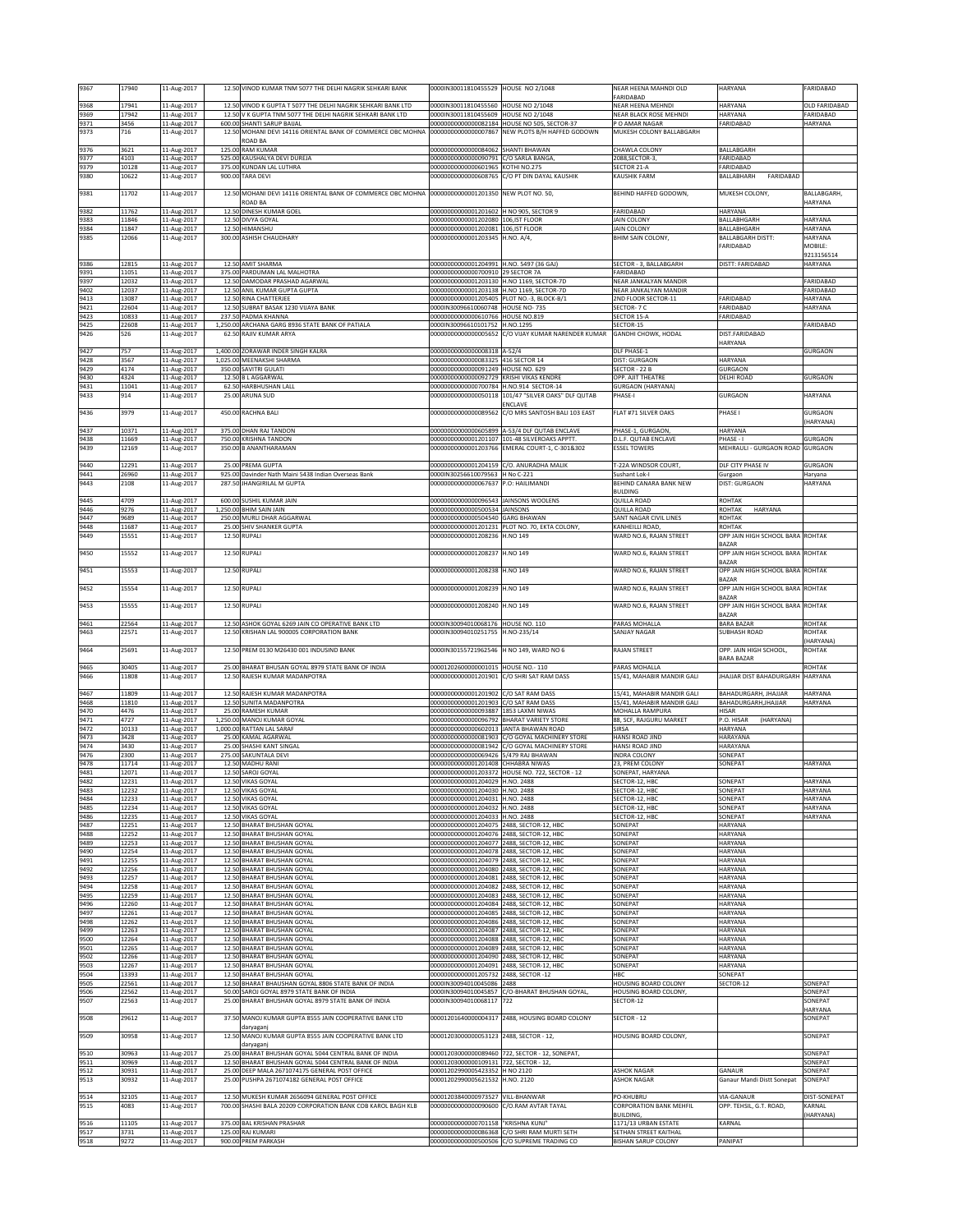| 9367         | 17940          | 11-Aug-2017                               |          | 12.50 VINOD KUMAR TNM 5077 THE DELHI NAGRIK SEHKARI BANK                                                                   | 0000IN30011810455529 HOUSE NO 2/1048                                         |                                                                                              | NEAR HEENA MAHNDI OLD                               | HARYANA                                          | FARIDABAD                  |
|--------------|----------------|-------------------------------------------|----------|----------------------------------------------------------------------------------------------------------------------------|------------------------------------------------------------------------------|----------------------------------------------------------------------------------------------|-----------------------------------------------------|--------------------------------------------------|----------------------------|
|              |                |                                           |          |                                                                                                                            |                                                                              |                                                                                              | FARIDABAD                                           |                                                  |                            |
| 9368<br>9369 | 17941<br>17942 | 11-Aug-2017<br>11-Aug-2017                |          | 12.50 VINOD K GUPTA T 5077 THE DELHI NAGRIK SEHKARI BANK LTD<br>12.50 V K GUPTA TNM 5077 THE DELHI NAGRIK SEHKARI BANK LTD | 0000IN30011810455560 HOUSE NO 2/1048<br>0000IN30011810455609 HOUSE NO 2/1048 |                                                                                              | NEAR HEENA MEHNDI<br>NEAR BLACK ROSE MEHNDI         | HARYANA<br>HARYANA                               | OLD FARIDABAD<br>FARIDABAD |
| 9371         | 3456           | 11-Aug-2017                               |          | 600.00 SHANTI SARUP BAIJAL                                                                                                 |                                                                              | 00000000000000082184 HOUSE NO 505, SECTOR-37                                                 | P O AMAR NAGAR                                      | FARIDABAD                                        | HARYANA                    |
| 9373         | 716            | 11-Aug-2017                               |          | 12.50 MOHANI DEVI 14116 ORIENTAL BANK OF COMMERCE OBC MOHNA                                                                | 00000000000000007867                                                         | NEW PLOTS B/H HAFFED GODOWN                                                                  | MUKESH COLONY BALLABGARH                            |                                                  |                            |
| 9376         | 3621           | 11-Aug-2017                               |          | ROAD BA<br>125.00 RAM KUMAR                                                                                                | 00000000000000084062 SHANTI BHAWAN                                           |                                                                                              | CHAWLA COLONY                                       | BALLABGARH                                       |                            |
| 9377         | 4103           | 11-Aug-2017                               |          | 525.00 KAUSHALYA DEVI DUREJA                                                                                               | 00000000000000090791                                                         | C/O SARLA BANGA                                                                              | 2088, SECTOR-3,                                     | FARIDABAD                                        |                            |
| 9379         | 10128          | 11-Aug-2017                               |          | 375.00 KUNDAN LAL LUTHRA                                                                                                   | 00000000000000601965                                                         | KOTHI NO.275                                                                                 | SECTOR 21-A                                         | FARIDABAD                                        |                            |
| 9380         | 10622          | 11-Aug-2017                               |          | 900.00 TARA DEVI                                                                                                           |                                                                              | 00000000000000608765 C/O PT DIN DAYAL KAUSHIK                                                | KAUSHIK FARM                                        | BALLABHARH<br>FARIDABAD                          |                            |
| 9381         | 11702          | 11-Aug-2017                               |          | 12.50 MOHANI DEVI 14116 ORIENTAL BANK OF COMMERCE OBC MOHNA                                                                | 00000000000001201350 NEW PLOT NO. 50,                                        |                                                                                              | BEHIND HAFFED GODOWN,                               | MUKESH COLONY,                                   | BALLABGARH,                |
|              |                |                                           |          | ROAD BA                                                                                                                    |                                                                              |                                                                                              |                                                     |                                                  | HARYANA                    |
| 9382         | 11762          | 11-Aug-2017                               |          | 12.50 DINESH KUMAR GOEL                                                                                                    | 00000000000001201602 H NO 905, SECTOR 9                                      |                                                                                              | FARIDABAD                                           | <b>HARYANA</b>                                   |                            |
| 9383         | 11846          | 11-Aug-2017                               |          | 12.50 DIVYA GOYAL                                                                                                          | 00000000000001202080 106,IST FLOOR<br>00000000000001202081 106, IST FLOOR    |                                                                                              | <b>JAIN COLONY</b>                                  | BALLABHGARH                                      | HARYANA                    |
| 9384<br>9385 | 11847<br>12066 | 11-Aug-2017<br>11-Aug-2017                |          | 12.50 HIMANSHU<br>300.00 ASHISH CHAUDHARY                                                                                  | 00000000000001203345                                                         | H.NO. A/4,                                                                                   | <b>JAIN COLONY</b><br>BHIM SAIN COLONY,             | BALLABHGARH<br><b>BALLABGARH DISTT:</b>          | HARYANA<br>HARYANA         |
|              |                |                                           |          |                                                                                                                            |                                                                              |                                                                                              |                                                     | FARIDABAD                                        | MOBILE:                    |
|              |                |                                           |          |                                                                                                                            |                                                                              |                                                                                              |                                                     |                                                  | 9213156514                 |
| 9386<br>9391 | 12815<br>11051 | 11-Aug-2017<br>11-Aug-2017                |          | 12.50 AMIT SHARMA<br>375.00 PARDUMAN LAL MALHOTRA                                                                          | 00000000000001204991 H.NO. 5497 (36 GAJ)<br>00000000000000700910             | 29 SECTOR 7A                                                                                 | SECTOR - 3, BALLABGARH<br>FARIDABAD                 | DISTT: FARIDABAD                                 | HARYANA                    |
| 9397         | 12032          | 11-Aug-2017                               |          | 12.50 DAMODAR PRASHAD AGARWAL                                                                                              | 00000000000001203130                                                         | I.NO 1169, SECTOR-7D                                                                         | NEAR JANKALYAN MANDIR                               |                                                  | ARIDABAD                   |
| 9402         | 12037          | 11-Aug-2017                               |          | 12.50 ANIL KUMAR GUPTA GUPTA                                                                                               | 00000000000001203138                                                         | H.NO 1169, SECTOR-7D                                                                         | NEAR JANKALYAN MANDIR                               |                                                  | FARIDABAD                  |
| 9413         | 13087          | 11-Aug-2017                               |          | 12.50 RINA CHATTERJEE                                                                                                      | 00000000000001205405 PLOT NO.-3, BLOCK-B/1                                   |                                                                                              | 2ND FLOOR SECTOR-11                                 | FARIDABAD                                        | HARYANA                    |
| 9421<br>9423 | 22604<br>10833 | 11-Aug-2017<br>11-Aug-2017                |          | 12.50 SUBRAT BASAK 1230 VIJAYA BANK<br>237.50 PADMA KHANNA                                                                 | 0000IN30096610060748<br>00000000000000610766                                 | HOUSE NO-735<br>HOUSE NO.819                                                                 | SECTOR- 7 C<br>SECTOR 15-A                          | FARIDABAD<br>FARIDABAD                           | HARYANA                    |
| 9425         | 22608          | 11-Aug-2017                               |          | 1,250.00 ARCHANA GARG 8936 STATE BANK OF PATIALA                                                                           | 0000IN30096610101752                                                         | H.NO.1295                                                                                    | SECTOR-15                                           |                                                  | FARIDABAD                  |
| 9426         | 526            | 11-Aug-2017                               |          | 62.50 RAJIV KUMAR ARYA                                                                                                     |                                                                              | 000000000000000005652 C/O VIJAY KUMAR NARENDER KUMAR                                         | GANDHI CHOWK, HODAL                                 | DIST.FARIDABAD                                   |                            |
|              |                |                                           |          |                                                                                                                            |                                                                              |                                                                                              |                                                     | HARYANA                                          |                            |
| 9427<br>9428 | 757<br>3567    | 11-Aug-2017<br>11-Aug-2017                |          | 1,400.00 ZORAWAR INDER SINGH KALRA<br>1,025.00 MEENAKSHI SHARMA                                                            | 00000000000000008318<br>00000000000000083325                                 | A-52/4<br>416 SECTOR 14                                                                      | DLF PHASE-1<br>DIST: GURGAON                        | HARYANA                                          | GURGAON                    |
| 9429         | 4174           | 11-Aug-2017                               |          | 350.00 SAVITRI GULATI                                                                                                      | 00000000000000091249 HOUSE NO. 629                                           |                                                                                              | SECTOR - 22 B                                       | <b>GURGAON</b>                                   |                            |
| 9430         | 4324           | 11-Aug-2017                               |          | 12.50 B L AGGARWAL                                                                                                         | 00000000000000092729 KRISHI VIKAS KENDRE                                     |                                                                                              | OPP. AJIT THEATRE                                   | DELHI ROAD                                       | GURGAON                    |
| 9431         | 11041          | 11-Aug-2017                               |          | 62.50 HARBHUSHAN LALL                                                                                                      | 00000000000000700784 H.NO.914 SECTOR-14                                      |                                                                                              | <b>GURGAON (HARYANA)</b>                            |                                                  |                            |
| 9433         | 914            | 11-Aug-2017                               |          | 25.00 ARUNA SUD                                                                                                            | 00000000000000050118                                                         | 101/47 "SILVER OAKS" DLF QUTAB<br><b>ENCLAVE</b>                                             | PHASE-                                              | GURGAON                                          | HARYANA                    |
| 9436         | 3979           | 11-Aug-2017                               |          | 450.00 RACHNA BALI                                                                                                         | 00000000000000089562                                                         | C/O MRS SANTOSH BALI 103 EAST                                                                | FLAT #71 SILVER OAKS                                | PHASE I                                          | GURGAON                    |
|              |                |                                           |          |                                                                                                                            |                                                                              |                                                                                              |                                                     |                                                  | HARYANA)                   |
| 9437         | 10371          | 11-Aug-2017                               |          | 375.00 DHAN RAJ TANDON                                                                                                     | 00000000000000605899                                                         | A-53/4 DLF QUTAB ENCLAVE                                                                     | PHASE-1, GURGAON,                                   | <b>HARYANA</b>                                   |                            |
| 9438<br>9439 | 11669          | 11-Aug-2017                               |          | 750.00 KRISHNA TANDON<br>350.00 B ANANTHARAMAN                                                                             |                                                                              | 00000000000001201107 101-48 SILVEROAKS APPTT.                                                | D.L.F. QUTAB ENCLAVE<br><b>ESSEL TOWERS</b>         | PHASE - I<br>MEHRAULI - GURGAON ROAD             | GURGAON<br><b>GURGAON</b>  |
|              | 12169          | 11-Aug-2017                               |          |                                                                                                                            |                                                                              | 00000000000001203766 EMERAL COURT-1, C-301&302                                               |                                                     |                                                  |                            |
| 9440         | 12291          | 11-Aug-2017                               |          | 25.00 PREMA GUPTA                                                                                                          | 00000000000001204159 C/O. ANURADHA MALIK                                     |                                                                                              | T-22A WINDSOR COURT,                                | DLF CITY PHASE IV                                | GURGAON                    |
| 9441         | 26960          | 11-Aug-2017                               |          | 925.00 Davinder Nath Maini 5438 Indian Overseas Bank                                                                       | 0000IN30256610079563 H No C-221                                              |                                                                                              | Sushant Lok-I                                       | Gurgaon                                          | Haryana                    |
| 9443         | 2108           | 11-Aug-2017                               |          | 287.50 JHANGIRILAL M GUPTA                                                                                                 | 00000000000000067637                                                         | P.O: HAILIMANDI                                                                              | BEHIND CANARA BANK NEW<br><b>BULDING</b>            | <b>DIST: GURGAON</b>                             | HARYANA                    |
| 9445         | 4709           | 11-Aug-2017                               |          | 600.00 SUSHIL KUMAR JAIN                                                                                                   | 00000000000000096543                                                         | AINSONS WOOLENS                                                                              | QUILLA ROAD                                         | ROHTAK                                           |                            |
| 9446         | 9276           | 11-Aug-2017                               |          | 1,250.00 BHIM SAIN JAIN                                                                                                    | 00000000000000500534                                                         | <b>JAINSONS</b>                                                                              | <b>QUILLA ROAD</b>                                  | ROHTAK<br>HARYANA                                |                            |
| 9447         | 9689           | 11-Aug-2017                               |          | 250.00 MURLI DHAR AGGARWAL                                                                                                 | 00000000000000504540                                                         | <b>GARG BHAWAN</b>                                                                           | SANT NAGAR CIVIL LINES                              | ROHTAK                                           |                            |
| 9448         | 11687          | 11-Aug-2017                               |          | 25.00 SHIV SHANKER GUPTA                                                                                                   | 00000000000001201231                                                         | PLOT NO. 70, EKTA COLONY,                                                                    | KANHEILLI ROAD,                                     | <b>ROHTAK</b>                                    |                            |
| 9449         | 15551          | 11-Aug-2017                               |          | 12.50 RUPALI                                                                                                               | 00000000000001208236                                                         | H.NO 149                                                                                     | WARD NO.6, RAJAN STREET                             | OPP JAIN HIGH SCHOOL BARA ROHTAK<br><b>BAZAR</b> |                            |
| 9450         | 15552          | 11-Aug-2017                               |          | 12.50 RUPALI                                                                                                               | 00000000000001208237                                                         | H.NO 149                                                                                     | WARD NO.6, RAJAN STREET                             | OPP JAIN HIGH SCHOOL BARA                        | ROHTAK                     |
|              |                |                                           |          |                                                                                                                            |                                                                              |                                                                                              |                                                     | <b>BAZAR</b>                                     |                            |
| 9451         | 15553          | 11-Aug-2017                               |          | 12.50 RUPALI                                                                                                               | 00000000000001208238                                                         | H.NO 149                                                                                     | WARD NO.6, RAJAN STREET                             | OPP JAIN HIGH SCHOOL BARA                        | ROHTAK                     |
| 9452         | 15554          | 11-Aug-2017                               |          | 12.50 RUPALI                                                                                                               | 00000000000001208239 H.NO 149                                                |                                                                                              | WARD NO.6, RAJAN STREET                             | <b>BAZAR</b><br>OPP JAIN HIGH SCHOOL BARA        | <b>ROHTAK</b>              |
|              |                |                                           |          |                                                                                                                            |                                                                              |                                                                                              |                                                     | <b>BAZAR</b>                                     |                            |
| 9453         | 15555          | 11-Aug-2017                               |          | 12.50 RUPALI                                                                                                               | 00000000000001208240                                                         | H.NO 149                                                                                     | WARD NO.6, RAJAN STREET                             | OPP JAIN HIGH SCHOOL BARA ROHTAK                 |                            |
|              |                |                                           |          |                                                                                                                            |                                                                              |                                                                                              |                                                     | BAZAR                                            |                            |
|              |                |                                           |          |                                                                                                                            |                                                                              |                                                                                              |                                                     |                                                  |                            |
| 9461         | 22564          | 11-Aug-2017                               |          | 12.50 ASHOK GOYAL 6269 JAIN CO OPERATIVE BANK LTD                                                                          | 0000IN30094010068176 HOUSE NO. 110                                           |                                                                                              | PARAS MOHALLA                                       | <b>BARA BAZAR</b>                                | <b>ROHTAK</b>              |
| 9463         | 22571          | 11-Aug-2017                               |          | 12.50 KRISHAN LAL 900005 CORPORATION BANK                                                                                  | 0000IN30094010251755                                                         | H.NO-235/14                                                                                  | SANJAY NAGAR                                        | <b>SUBHASH ROAD</b>                              | ROHTAK<br>HARYANA)         |
| 9464         | 25691          | 11-Aug-2017                               |          | 12.50 PREM 0130 M26430 001 INDUSIND BANK                                                                                   | 0000IN30155721962546                                                         | H NO 149, WARD NO 6                                                                          | <b>RAJAN STREET</b>                                 | OPP. JAIN HIGH SCHOOL,                           | ROHTAK                     |
|              |                |                                           |          |                                                                                                                            |                                                                              |                                                                                              |                                                     | <b>BARA BAZAR</b>                                |                            |
| 9465         | 30405          | 11-Aug-2017                               |          | 25.00 BHARAT BHUSAN GOYAL 8979 STATE BANK OF INDIA                                                                         | 00001202600000001015 HOUSE NO.- 110                                          |                                                                                              | PARAS MOHALLA                                       |                                                  | ROHTAK                     |
| 9466         | 11808          | 11-Aug-2017                               |          | 12.50 RAJESH KUMAR MADANPOTRA                                                                                              | 00000000000001201901                                                         | C/O SHRI SAT RAM DASS                                                                        | 15/41, MAHABIR MANDIR GALI                          | <b>JHAJJAR DIST BAHADURGARH</b>                  | HARYANA                    |
| 9467         | 11809          | 11-Aug-2017                               |          | 12.50 RAJESH KUMAR MADANPOTRA                                                                                              | 00000000000001201902 C/O SAT RAM DASS                                        |                                                                                              | 15/41, MAHABIR MANDIR GALI                          | BAHADURGARH, JHAJJAR                             | HARYANA                    |
| 9468         | 11810          | 11-Aug-2017                               |          | 12.50 SUNITA MADANPOTRA                                                                                                    | 0000000000001201903                                                          | C/O SAT RAM DASS                                                                             | 15/41, MAHABIR MANDIR GALI                          | BAHADURGARH, JHAJJAR                             | HARYANA                    |
| 9470         | 4476           | 11-Aug-2017                               |          | 25.00 RAMESH KUMAR                                                                                                         | 00000000000000093887                                                         | 1853 LAXMI NIWAS                                                                             | MOHALLA RAMPURA                                     | HISAR                                            |                            |
| 9471<br>9472 | 4727<br>10133  | 11-Aug-2017                               | 1,250.00 | MANOJ KUMAR GOYAL<br>1,000.00 RATTAN LAL SARAF                                                                             | 0000000000000096792<br>00000000000000602013                                  | HARAT VARIETY STORE<br><b>ANTA BHAWAN ROAD</b>                                               | 88, SCF, RAJGURU MARKET<br>SIRSA                    | (HARYANA)<br>O. HISAR<br>HARYANA                 |                            |
| 9473         | 3428           | 11-Aug-2017<br>11-Aug-2017                |          | 25.00 KAMAL AGARWAL                                                                                                        | 00000000000000081903                                                         | CO GOYAL MACHINERY STORE                                                                     | HANSI ROAD JIND                                     | HARAYANA                                         |                            |
| 9474         | 3430           | 11-Aug-2017                               |          | 25.00 SHASHI KANT SINGAL                                                                                                   | 00000000000000081942                                                         | CO GOYAL MACHINERY STORE                                                                     | HANSI ROAD JIND                                     | HARAYANA                                         |                            |
| 9476         | 2300           | 11-Aug-2017                               |          | 275.00 SAKUNTALA DEVI                                                                                                      | 00000000000000069426                                                         | 5/479 RAJ BHAWAN                                                                             | <b>INDRA COLONY</b>                                 | SONEPAT                                          |                            |
| 9478<br>9481 | 11714<br>12071 | 11-Aug-2017<br>11-Aug-2017                |          | 12.50 MADHU RANI<br>12.50 SAROJ GOYAL                                                                                      | 00000000000001201408 CHHABRA NIWAS                                           | 00000000000001203372 HOUSE NO. 722, SECTOR - 12                                              | 23, PREM COLONY<br>SONEPAT, HARYANA                 | SONEPAT                                          | HARYANA                    |
| 9482         | 12231          | 11-Aug-2017                               |          | 12.50 VIKAS GOYAI                                                                                                          | 00000000000001204029 H.NO. 2488                                              |                                                                                              | SECTOR-12, HBC                                      | <b>SONEPAT</b>                                   | HARYANA                    |
| 9483         | 12232          | 11-Aug-2017                               |          | 12.50 VIKAS GOYAL                                                                                                          | 00000000000001204030 H.NO. 2488                                              |                                                                                              | SECTOR-12, HBC                                      | SONEPAT                                          | HARYANA                    |
| 9484         | 12233          | 11-Aug-2017                               |          | 12.50 VIKAS GOYAL                                                                                                          | 00000000000001204031 H.NO. 2488                                              |                                                                                              | SECTOR-12, HBC                                      | SONEPAT                                          | HARYANA                    |
| 9485<br>9486 | 12234<br>12235 | 11-Aug-2017<br>11-Aug-2017                |          | 12.50 VIKAS GOYAL<br>12.50 VIKAS GOYAL                                                                                     | 00000000000001204032 H.NO. 2488<br>00000000000001204033 H.NO. 2488           |                                                                                              | SECTOR-12, HBC<br>SECTOR-12, HBC                    | SONEPAT<br>SONEPAT                               | HARYANA<br>HARYANA         |
| 9487         | 12251          | 11-Aug-2017                               |          | 12.50 BHARAT BHUSHAN GOYAL                                                                                                 | 00000000000001204075 2488. SECTOR-12, HBC                                    |                                                                                              | SONEPAT                                             | <b>HARYANA</b>                                   |                            |
| 9488         | 12252          | 11-Aug-2017                               |          | 12.50 BHARAT BHUSHAN GOYAL                                                                                                 | 00000000000001204076 2488, SECTOR-12, HBC                                    |                                                                                              | SONEPAT                                             | HARYANA                                          |                            |
| 9489         | 12253          | 11-Aug-2017                               |          | 12.50 BHARAT BHUSHAN GOYAL                                                                                                 | 00000000000001204077 2488, SECTOR-12, HBC                                    |                                                                                              | SONEPAT<br>SONEPAT                                  | HARYANA                                          |                            |
| 9490<br>9491 | 12254<br>12255 | 11-Aug-2017<br>11-Aug-2017                |          | 12.50 BHARAT BHUSHAN GOYAL<br>12.50 BHARAT BHUSHAN GOYAL                                                                   | 00000000000001204078 2488, SECTOR-12, HBC<br>00000000000001204079            | 2488, SECTOR-12, HBC                                                                         | SONEPAT                                             | HARYANA<br>HARYANA                               |                            |
| 9492         | 12256          | 11-Aug-2017                               |          | 12.50 BHARAT BHUSHAN GOYAL                                                                                                 | 00000000000001204080                                                         | 2488, SECTOR-12, HBC                                                                         | SONEPAT                                             | HARYANA                                          |                            |
| 9493         | 12257          | 11-Aug-2017                               |          | 12.50 BHARAT BHUSHAN GOYAL                                                                                                 | 00000000000001204081 2488, SECTOR-12, HBC                                    |                                                                                              | SONEPAT                                             | HARYANA                                          |                            |
| 9494<br>9495 | 12258<br>12259 | 11-Aug-2017                               |          | 12.50 BHARAT BHUSHAN GOYAL<br>12.50 BHARAT BHUSHAN GOYAL                                                                   | 00000000000001204082<br>00000000000001204083                                 | 2488, SECTOR-12, HBC<br>2488, SECTOR-12, HBC                                                 | SONEPAT<br>SONEPAT                                  | HARYANA<br>HARYANA                               |                            |
| 9496         | 12260          | 11-Aug-2017<br>11-Aug-2017                |          | 12.50 BHARAT BHUSHAN GOYAL                                                                                                 | 00000000000001204084 2488, SECTOR-12, HBC                                    |                                                                                              | SONEPAT                                             | HARYANA                                          |                            |
| 9497         | 12261          | 11-Aug-2017                               |          | 12.50 BHARAT BHUSHAN GOYAL                                                                                                 | 00000000000001204085 2488, SECTOR-12, HBC                                    |                                                                                              | SONEPAT                                             | HARYANA                                          |                            |
| 9498         | 12262          | 11-Aug-2017                               |          | 12.50 BHARAT BHUSHAN GOYAL                                                                                                 | 00000000000001204086 2488, SECTOR-12, HBC                                    |                                                                                              | SONEPAT                                             | HARYANA                                          |                            |
| 9499<br>9500 | 12263<br>12264 | 11-Aug-2017<br>11-Aug-2017                |          | 12.50 BHARAT BHUSHAN GOYAL<br>12.50 BHARAT BHUSHAN GOYAL                                                                   | 00000000000001204087<br>0000000000001204088                                  | 2488, SECTOR-12, HBC<br>2488, SECTOR-12, HBC                                                 | SONEPAT<br>SONEPAT                                  | <b>HARYANA</b><br>HARYANA                        |                            |
| 9501         | 12265          | 11-Aug-2017                               |          | 12.50 BHARAT BHUSHAN GOYAL                                                                                                 | 00000000000001204089                                                         | 2488, SECTOR-12, HBC                                                                         | SONEPAT                                             | HARYANA                                          |                            |
| 9502         | 12266          | 11-Aug-2017                               |          | 12.50 BHARAT BHUSHAN GOYAL                                                                                                 | 00000000000001204090                                                         | 2488, SECTOR-12, HBC                                                                         | SONEPAT                                             | HARYANA                                          |                            |
| 9503         | 12267          | 11-Aug-2017                               |          | 12.50 BHARAT BHUSHAN GOYAL                                                                                                 | 00000000000001204091                                                         | 2488, SECTOR-12, HBC                                                                         | SONEPAT                                             | HARYANA                                          |                            |
| 9504<br>9505 | 13393<br>22561 | 11-Aug-2017<br>11-Aug-2017                |          | 12.50 BHARAT BHUSHAN GOYAL<br>12.50 BHARAT BHAUSHAN GOYAL 8806 STATE BANK OF INDIA                                         | 00000000000001205732<br>0000IN30094010045086 2488                            | 2488, SECTOR -12                                                                             | <b>HBC</b><br>HOUSING BOARD COLONY                  | SONEPAT<br>SECTOR-12                             | SONEPAT                    |
| 9506         | 22562          | 11-Aug-2017                               |          | 50.00 SAROJ GOYAL 8979 STATE BANK OF INDIA                                                                                 |                                                                              | 0000IN30094010045857 C/O-BHARAT BHUSHAN GOYAL,                                               | HOUSING BOARD COLONY,                               |                                                  | SONEPAT                    |
| 9507         | 22563          | 11-Aug-2017                               |          | 25.00 BHARAT BHUSHAN GOYAL 8979 STATE BANK OF INDIA                                                                        | 0000IN30094010068117                                                         | 722                                                                                          | SECTOR-12                                           |                                                  | SONEPAT                    |
|              |                |                                           |          |                                                                                                                            |                                                                              |                                                                                              |                                                     |                                                  | HARYANA                    |
| 9508         | 29612          | 11-Aug-2017                               |          | 37.50 MANOJ KUMAR GUPTA 8555 JAIN COOPERATIVE BANK LTD<br>daryaganj                                                        | 00001201640000004317                                                         | 2488, HOUSING BOARD COLONY                                                                   | SECTOR - 12                                         |                                                  | SONEPAT                    |
| 9509         | 30958          | 11-Aug-2017                               |          | 12.50 MANOJ KUMAR GUPTA 8555 JAIN COOPERATIVE BANK LTD                                                                     | 00001203000000053123 2488, SECTOR - 12,                                      |                                                                                              | HOUSING BOARD COLONY,                               |                                                  | SONEPAT                    |
|              |                |                                           |          | daryaganj                                                                                                                  |                                                                              |                                                                                              |                                                     |                                                  |                            |
| 9510         | 30963          | 11-Aug-2017                               |          | 25.00 BHARAT BHUSHAN GOYAL 5044 CENTRAL BANK OF INDIA                                                                      |                                                                              | 00001203000000089460 722, SECTOR - 12, SONEPAT,                                              |                                                     |                                                  | SONEPAT                    |
| 9511         | 30969          | 11-Aug-2017                               |          | 12.50 BHARAT BHUSHAN GOYAL 5044 CENTRAL BANK OF INDIA                                                                      | 00001203000000109131 722, SECTOR - 12,                                       |                                                                                              |                                                     |                                                  | SONEPAT                    |
| 9512<br>9513 | 30931<br>30932 | 11-Aug-2017<br>11-Aug-2017                |          | 25.00 DEEP MALA 2671074175 GENERAL POST OFFICE<br>25.00 PUSHPA 2671074182 GENERAL POST OFFICE                              | 00001202990005423352 H NO 2120<br>00001202990005621532 H.NO. 2120            |                                                                                              | <b>ASHOK NAGAR</b><br><b>ASHOK NAGAR</b>            | GANAUR<br>Ganaur Mandi Distt Sonepat             | SONEPAT<br>SONEPAT         |
|              |                |                                           |          |                                                                                                                            |                                                                              |                                                                                              |                                                     |                                                  |                            |
| 9514         | 32105          | 11-Aug-2017                               |          | 12.50 MUKESH KUMAR 2656094 GENERAL POST OFFICE                                                                             | 00001203840000973527 VILL-BHANWAR                                            |                                                                                              | PO-KHUBRU                                           | VIA-GANAUR                                       | DIST-SONEPAT               |
| 9515         | 4083           | 11-Aug-2017                               |          | 700.00 SHASHI BALA 20209 CORPORATION BANK COB KAROL BAGH KLB                                                               | 0000000000000090600                                                          | C/O.RAM AVTAR TAYAL                                                                          | <b>CORPORATION BANK MEHFIL</b>                      | OPP. TEHSIL, G.T. ROAD,                          | KARNAL                     |
| 9516         | 11105          |                                           |          | 375.00 BAL KRISHAN PRASHAR                                                                                                 | 00000000000000701158 "KRISHNA KUNJ"                                          |                                                                                              | <b>BUILDING,</b><br>1171/13 URBAN ESTATE            | KARNAL                                           | HARYANA)                   |
| 9517<br>9518 | 3731<br>9272   | 11-Aug-2017<br>11-Aug-2017<br>11-Aug-2017 |          | 125.00 RAJ KUMARI<br>900.00 PREM PARKASH                                                                                   |                                                                              | 000000000000000086368 C/O SHRI RAM MURTI SETH<br>00000000000000500506 C/O SUPREME TRADING CO | SETHAN STREET KAITHAL<br><b>BISHAN SARUP COLONY</b> | PANIPAT                                          |                            |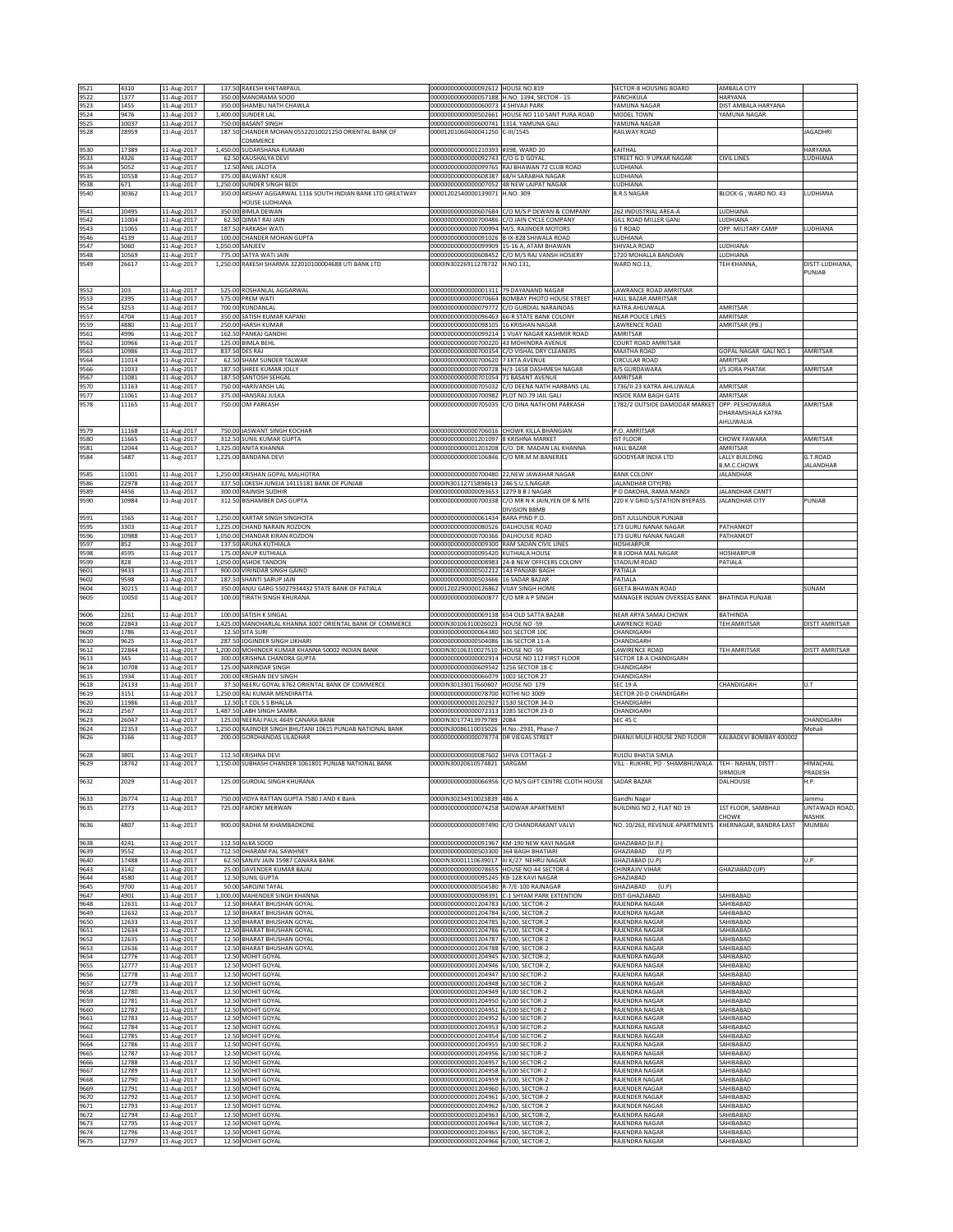| 9521         | 4310           | 11-Aug-2017                | 137.50 RAKESH KHETARPAUL                                         | 00000000000000092612 HOUSE NO.819                                              |                                                                    | SECTOR-8 HOUSING BOARD                                | AMBALA CITY                       |                       |
|--------------|----------------|----------------------------|------------------------------------------------------------------|--------------------------------------------------------------------------------|--------------------------------------------------------------------|-------------------------------------------------------|-----------------------------------|-----------------------|
| 9522         | 1377           | 11-Aug-2017                | 350.00 MANORAMA SOOD                                             |                                                                                | 00000000000000057188 H.NO. 1394, SECTOR - 15                       | PANCHKULA                                             | HARYANA                           |                       |
| 9523         | 1455           | 11-Aug-2017                | 350.00 SHAMBU NATH CHAWLA                                        | 00000000000000060073 4 SHIVAJI PARK                                            |                                                                    | YAMUNA NAGAR                                          | DIST AMBALA HARYANA               |                       |
| 9524         | 9476           | 11-Aug-2017                | 1,400.00 SUNDER LAL                                              |                                                                                | 00000000000000502661 HOUSE NO 110 SANT PURA ROAD                   | MODEL TOWN                                            | YAMUNA NAGAR                      |                       |
| 9525         | 10037          | 11-Aug-2017                | 750.00 BASANT SINGH                                              | 00000000000000600741 1314, YAMUNA GALI                                         |                                                                    | YAMUNA NAGAR                                          |                                   |                       |
| 9528         | 28959          | 11-Aug-2017                | 187.50 CHANDER MOHAN 05522010021250 ORIENTAL BANK OF             | 00001201060400041250 C-III/1545                                                |                                                                    | RAILWAY ROAD                                          |                                   | <b>JAGADHRI</b>       |
| 9530         | 17389          |                            | COMMERCE<br>1,450.00 SUDARSHANA KUMARI                           |                                                                                |                                                                    | CAITHAL                                               |                                   | HARYANA               |
| 9533         | 4326           | 11-Aug-2017<br>11-Aug-2017 | 62.50 KAUSHALYA DEVI                                             | 00000000000001210393 #398, WARD 20<br>00000000000000092743                     | C/O G D GOYAL                                                      | STREET NO. 9 UPKAR NAGAR                              | <b>CIVIL LINES</b>                | LUDHIANA              |
| 9534         | 5052           | 11-Aug-2017                | 12.50 ANIL JALOTA                                                |                                                                                | 00000000000000099765 RAJ BHAWAN 72 CLUB ROAD                       | LUDHIANA                                              |                                   |                       |
| 9535         | 10558          | 11-Aug-2017                | 375.00 BALWANT KAUR                                              | 00000000000000608387                                                           | 68/H SARABHA NAGAR                                                 | LUDHIANA                                              |                                   |                       |
| 9538         | 671            | 11-Aug-2017                | 1,250.00 SUNDER SINGH BEDI                                       | 00000000000000007052                                                           | 48 NEW LAJPAT NAGAR                                                | LUDHIANA                                              |                                   |                       |
| 9540         | 30362          | 11-Aug-2017                | 350.00 AKSHAY AGGARWAL 1116 SOUTH INDIAN BANK LTD GREATWAY       | 00001202540000139071 H.NO. 309                                                 |                                                                    | <b>B.R.S NAGAR</b>                                    | BLOCK-G, WARD NO. 43              | LUDHIANA              |
|              |                |                            | HOUSE LUDHIANA                                                   |                                                                                |                                                                    |                                                       |                                   |                       |
| 9541         | 10495          | 11-Aug-2017                | 350.00 BIMLA DEWAN                                               | 0000000000000607684                                                            | C/O M/S P DEWAN & COMPANY                                          | 262 INDUSTRIAL AREA-A                                 | LUDHIANA                          |                       |
| 9542         | 11004          | 11-Aug-2017                | 62.50 QIMAT RAI JAIN                                             | 00000000000000700486                                                           | C/O JAIN CYCLE COMPANY                                             | GILL ROAD MILLER GANJ                                 | LUDHIANA<br>OPP. MILITARY CAMP    |                       |
| 9543<br>9546 | 11065<br>4139  | 11-Aug-2017<br>11-Aug-2017 | 187.50 PARKASH WATI<br>100.00 CHANDER MOHAN GUPTA                | 00000000000000700994                                                           | M/S. RAJINDER MOTORS<br>00000000000000091026 B-IX-828 SHIWALA ROAD | G T ROAD<br>LUDHIANA                                  |                                   | LUDHIANA              |
| 9547         | 5060           | 11-Aug-2017                | 1,050.00 SANJEEV                                                 | 00000000000000099909                                                           | 15-16 A, ATAM BHAWAN                                               | SHIVALA ROAD                                          | LUDHIANA                          |                       |
| 9548         | 10569          | 11-Aug-2017                | 775.00 SATYA WATI JAIN                                           | 00000000000000608452                                                           | C/O M/S RAJ VANSH HOSIERY                                          | 1720 MOHALLA BANDIAN                                  | LUDHIANA                          |                       |
| 9549         | 26617          | 11-Aug-2017                | 1,250.00 RAKESH SHARMA 322010100004688 UTI BANK LTD              | 0000IN30226911278732                                                           | H.NO.131,                                                          | WARD NO.13,                                           | TEH KHANNA,                       | DISTT-LUDHIANA,       |
|              |                |                            |                                                                  |                                                                                |                                                                    |                                                       |                                   | PUNJAB                |
|              |                |                            |                                                                  |                                                                                |                                                                    |                                                       |                                   |                       |
| 9552         | 103            | 11-Aug-2017                | 525.00 ROSHANLAL AGGARWAL                                        | 000000000000000001311 79 DAYANAND NAGAR<br>0000000000000070664                 |                                                                    | LAWRANCE ROAD AMRITSAR                                |                                   |                       |
| 9553<br>9554 | 2395<br>3253   | 11-Aug-2017<br>11-Aug-2017 | 575.00 PREM WATI<br>700.00 KUNDANLAL                             | 00000000000000079772                                                           | BOMBAY PHOTO HOUSE STREET<br>CO GURDIAL NARAINDAS                  | HALL BAZAR AMRITSAR<br>KATRA AHLUWALA                 | AMRITSAR                          |                       |
| 9557         | 4704           | 11-Aug-2017                | 350.00 SATISH KUMAR KAPANI                                       |                                                                                | 00000000000000096463 66-R STATE BANK COLONY                        | <b>NEAR POLICE LINES</b>                              | AMRITSAR                          |                       |
| 9559         | 4880           | 11-Aug-2017                | 250.00 HARSH KUMAR                                               | 00000000000000098105 16 KRISHAN NAGAR                                          |                                                                    | LAWRENCE ROAD                                         | AMRITSAR (PB.)                    |                       |
| 9561         | 4996           | 11-Aug-2017                | 162.50 PANKAJ GANDHI                                             | 00000000000000099214                                                           | 1 VIJAY NAGAR KASHMIR ROAD                                         | AMRITSAR                                              |                                   |                       |
| 9562         | 10966          | 11-Aug-2017                | 125.00 BIMLA BEHL                                                | 00000000000000700220                                                           | 43 MOHINDRA AVENUE                                                 | COURT ROAD AMRITSAR                                   |                                   |                       |
| 9563         | 10986          | 11-Aug-2017                | 837.50 DES RAJ                                                   |                                                                                | 00000000000000700354 C/O VISHAL DRY CLEANERS                       | MAJITHA ROAD                                          | GOPAL NAGAR GALI NO.1             | AMRITSAR              |
| 9564         | 11014          | 11-Aug-2017                | 62.50 SHAM SUNDER TALWAR                                         | 00000000000000700620 7 EKTA AVENUE                                             |                                                                    | CIRCULAR ROAD                                         | AMRITSAR                          |                       |
| 9566<br>9567 | 11033<br>11081 | 11-Aug-2017<br>11-Aug-2017 | 187.50 SHREE KUMAR JOLLY<br>187.50 SANTOSH SEHGAL                | 00000000000000701054                                                           | 00000000000000700728 H/3-1658 DASHMESH NAGAR<br>71 BASANT AVENUE   | <b>B/S GURDAWARA</b><br>AMRITSAR                      | I/S JORA PHATAK                   | AMRITSAR              |
| 9570         | 11163          | 11-Aug-2017                | 750.00 HARIVANSH LAL                                             | 00000000000000705032                                                           | C/O DEENA NATH HARBANS LAL                                         | 1736/II-23 KATRA AHLUWALA                             | AMRITSAR                          |                       |
| 9577         | 11061          | 11-Aug-2017                | 375.00 HANSRAJ JULKA                                             | 00000000000000700982 PLOT NO.79 JAIL GALI                                      |                                                                    | INSIDE RAM BAGH GATE                                  | AMRITSAR                          |                       |
| 9578         | 11165          | 11-Aug-2017                | 750.00 OM PARKASH                                                | 0000000000000705035                                                            | C/O DINA NATH OM PARKASH                                           | 1782/2 OUTSIDE DAMODAR MARKET                         | OPP: PESHOWARIA                   | AMRITSAR              |
|              |                |                            |                                                                  |                                                                                |                                                                    |                                                       | DHARAMSHALA KATRA                 |                       |
|              |                |                            |                                                                  |                                                                                |                                                                    |                                                       | AHLUWALIA                         |                       |
| 9579         | 11168          | 11-Aug-2017                | 750.00 JASWANT SINGH KOCHAR                                      | 0000000000000706016                                                            | CHOWK KILLA BHANGIAN                                               | P.O. AMRITSAR                                         |                                   |                       |
| 9580         | 11665          | 11-Aug-2017                | 312.50 SUNIL KUMAR GUPTA                                         | 00000000000001201097                                                           | 8 KRISHNA MARKET                                                   | <b>IST FLOOR</b>                                      | CHOWK FAWARA                      | AMRITSAR              |
| 9581<br>9584 | 12044<br>5487  | 11-Aug-2017                | 1,325.00 ANITA KHANNA<br>1,225.00 BANDANA DEVI                   | 00000000000001203208<br>00000000000000106846                                   | C/O. DR. MADAN LAL KHANNA<br>C/O MR.M.M.BANERJEE                   | HALL BAZAR<br>GOODYEAR INDIA LTD                      | AMRITSAR<br><b>LALLY BUILDING</b> | G.T.ROAD              |
|              |                | 11-Aug-2017                |                                                                  |                                                                                |                                                                    |                                                       | <b>B.M.C.CHOWK</b>                | <b>IALANDHAR</b>      |
| 9585         | 11001          | 11-Aug-2017                | 1,250.00 KRISHAN GOPAL MALHOTRA                                  | 00000000000000700480                                                           | 22, NEW JAWAHAR NAGAR                                              | <b>BANK COLONY</b>                                    | <b>JALANDHAR</b>                  |                       |
| 9586         | 22978          | 11-Aug-2017                | 337.50 LOKESH JUNEJA 14115181 BANK OF PUNJAB                     | 0000IN30112715894613                                                           | 246 S.U.S.NAGAR                                                    | JALANDHAR CITY(PB)                                    |                                   |                       |
| 9589         | 4456           | 11-Aug-2017                | 300.00 RAJNISH SUDHIR                                            | 00000000000000093653 1279 B B J NAGAR                                          |                                                                    | P O DAKOHA, RAMA MANDI                                | JALANDHAR CANTT                   |                       |
| 9590         | 10984          | 11-Aug-2017                | 312.50 BISHAMBER DAS GUPTA                                       | 00000000000000700338                                                           | C/O MR N K JAIN, YEN OP & MTE                                      | 220 K V GRID S/STATION BYEPASS                        | JALANDHAR CITY                    | PUNJAB                |
|              |                |                            |                                                                  |                                                                                | <b>DIVISION BBMB</b>                                               |                                                       |                                   |                       |
| 9591         | 1565           | 11-Aug-2017                | 1,250.00 KARTAR SINGH SINGHOTA                                   | 00000000000000061434                                                           | BARA PIND P.O.                                                     | DIST JULLUNDUR PUNJAB                                 |                                   |                       |
| 9595         | 3303           | 11-Aug-2017                | 1,225.00 CHAND NARAIN ROZDON                                     | 00000000000000080526                                                           | <b>DALHOUSIE ROAD</b>                                              | 173 GURU NANAK NAGAR                                  | PATHANKOT                         |                       |
| 9596<br>9597 | 10988<br>852   | 11-Aug-2017<br>11-Aug-2017 | 1,050.00 CHANDAR KIRAN ROZDON<br>137.50 ARUNA KUTHIALA           | 00000000000000700366<br>00000000000000009300 RAM SADAN CIVIL LINES             | DALHOUSIE ROAD                                                     | 173 GURU NANAK NAGAR<br><b>HOSHIARPUR</b>             | PATHANKOT                         |                       |
| 9598         | 4595           | 11-Aug-2017                | 175.00 ANUP KUTHIALA                                             | 00000000000000095420                                                           | KUTHIALA HOUSE                                                     | R B JODHA MAL NAGAR                                   | <b>HOSHIARPUR</b>                 |                       |
| 9599         | 828            | 11-Aug-2017                | 1,050.00 ASHOK TANDON                                            | 0000000000000008983                                                            | 24-B NEW OFFICERS COLONY                                           | STADIUM ROAD                                          | PATIALA                           |                       |
| 9601         | 9433           | 11-Aug-2017                | 900.00 VIRINDAR SINGH GAIND                                      | 00000000000000502212 143 PANJABI BAGH                                          |                                                                    | PATIALA                                               |                                   |                       |
| 9602         | 9598           | 11-Aug-2017                | 187.50 SHANTI SARUP JAIN                                         | 00000000000000503666                                                           | 16 SADAR BAZAR                                                     | PATIALA                                               |                                   |                       |
| 9604         | 30215          | 11-Aug-2017                | 350.00 ANJU GARG 55027934432 STATE BANK OF PATIALA               | 00001202290000126862                                                           | <b>VIJAY SINGH HOME</b>                                            | GEETA BHAWAN ROAD                                     |                                   | SUNAM                 |
| 9605         | 10050          | 11-Aug-2017                | 100.00 TIRATH SINGH KHURANA                                      | 00000000000000600877                                                           | C/O MR A P SINGH                                                   | MANAGER INDIAN OVERSEAS BANK                          | <b>BHATINDA PUNJAB</b>            |                       |
| 9606         | 2261           | 11-Aug-2017                | 100.00 SATISH K SINGAL                                           | 0000000000000069138                                                            | 654 OLD SATTA BAZAR                                                | NEAR ARYA SAMAJ CHOWK                                 | BATHINDA                          |                       |
| 9608         | 22843          | 11-Aug-2017                | 1,425.00 MANOHARLAL KHANNA 3007 ORIENTAL BANK OF COMMERCE        | 0000IN30106310026023                                                           | HOUSE NO -59                                                       | LAWRENCE ROAD                                         | TEH AMRITSAR                      | <b>DISTT AMRITSAR</b> |
| 9609         | 1786           | 11-Aug-2017                | 12.50 SITA SURI                                                  | 00000000000000064380 501 SECTOR 10C                                            |                                                                    | CHANDIGARH                                            |                                   |                       |
|              |                |                            |                                                                  |                                                                                |                                                                    |                                                       |                                   |                       |
| 9610         | 9625           |                            | 287.50 JOGINDER SINGH LIKHARI                                    | 00000000000000504086 136 SECTOR 11-A                                           |                                                                    | CHANDIGARH                                            |                                   |                       |
| 9612         | 22844          | 11-Aug-2017<br>11-Aug-2017 | 1,200.00 MOHINDER KUMAR KHANNA 50002 INDIAN BANK                 | 0000IN30106310027510 HOUSE NO -59                                              |                                                                    | LAWIRENCE ROAD                                        | TEH AMRITSAR                      | DISTT AMRITSAR        |
| 9613         | 345            | 11-Aug-2017                | 300.00 KRISHNA CHANDRA GUPTA                                     |                                                                                | 00000000000000002914 HOUSE NO 112 FIRST FLOOR                      | SECTOR 18-A CHANDIGARH                                |                                   |                       |
| 9614         | 10708          | 11-Aug-2017                | 125.00 NARINDAR SINGH                                            | 00000000000000609542                                                           | 1256 SECTOR 18-C                                                   | CHANDIGARH                                            |                                   |                       |
| 9615         | 1934           | 11-Aug-2017                | 200.00 KRISHAN DEV SINGH                                         | 00000000000000066079 1002 SECTOR 27                                            |                                                                    | CHANDIGARH                                            |                                   |                       |
| 9618         | 24133          | 11-Aug-2017                | 37.50 NEERU GOYAL 6762 ORIENTAL BANK OF COMMERCE                 | 0000IN30133017660607                                                           | HOUSE NO 179                                                       | SEC 19 A                                              | CHANDIGARH                        | U.T                   |
| 9619         | 3151           | 11-Aug-2017                | 1,250.00 RAJ KUMAR MENDIRATTA                                    | 0000000000000078700                                                            | <b>COTHI NO 3009</b>                                               | SECTOR 20-D CHANDIGARH                                |                                   |                       |
| 9620         | 11986          | 11-Aug-2017                | 12.50 LT COL S S BHALLA                                          | 00000000000001202927                                                           | 1530 SECTOR 34-D                                                   | CHANDIGARH                                            |                                   |                       |
| 9622<br>9623 | 2567<br>26047  | 11-Aug-2017<br>11-Aug-2017 | 1,487.50 LABH SINGH SAMRA<br>125.00 NEERAJ PAUL 4649 CANARA BANK | 00000000000000072313<br>0000IN30177413979789 2084                              | 3285 SECTOR 23-D                                                   | CHANDIGARH<br><b>SEC 45 C</b>                         |                                   | CHANDIGARH            |
| 9624         | 22353          | 11-Aug-2017                | 1,250.00 RAJINDER SINGH BHUTANI 10615 PUNJAB NATIONAL BANK       | 0000IN30086110035026                                                           | H.No.-2931, Phase-7                                                |                                                       |                                   | Mohali                |
| 9626         | 3166           | 11-Aug-2017                | 200.00 GORDHANDAS LILADHAR                                       | 00000000000000078774                                                           | DR VIEGAS STREET                                                   | DHANJI MULJI HOUSE 2ND FLOOR                          | (ALBADEVI BOMBAY 400002           |                       |
|              |                |                            |                                                                  |                                                                                |                                                                    |                                                       |                                   |                       |
| 9628         | 3801           | 11-Aug-2017                | 112.50 KRISHNA DEVI                                              | 00000000000000087602 SHIVA COTTAGE-2                                           |                                                                    | RULDU BHATIA SIMLA                                    |                                   |                       |
| 9629         | 18742          | 11-Aug-2017                | 1,150.00 SUBHASH CHANDER 1061801 PUNJAB NATIONAL BANK            | 0000IN30020610574821                                                           | SARGAM                                                             | VILL - RUKHRI, PO - SHAMBHUWALA                       | TEH - NAHAN, DISTT -              | HIMACHAL              |
|              |                |                            |                                                                  |                                                                                | 00000000000000066956 C/O M/S GIFT CENTRE CLOTH HOUSE               |                                                       | <b>SIRMOUR</b>                    | PRADESH               |
| 9632         | 2029           | 11-Aug-2017                | 125.00 GURDIAL SINGH KHURANA                                     |                                                                                |                                                                    | SADAR BAZAR                                           | DALHOUSIE                         | H.P.                  |
| 9633         | 26774          | 11-Aug-2017                | 750.00 VIDYA RATTAN GUPTA 7580 J AND K Bank                      | 0000IN30234910023839 486 A                                                     |                                                                    | Gandhi Nagar                                          |                                   | Jammu                 |
| 9635         | 2773           | 11-Aug-2017                | 725.00 FAROKY MERWAN                                             | 00000000000000074258                                                           | SAIDWAR APARTMENT                                                  | BUILDING NO 2, FLAT NO 19                             | 1ST FLOOR, SAMBHAJI               | UNTAWADI ROAD,        |
|              |                |                            |                                                                  |                                                                                |                                                                    |                                                       | HOWK:                             | <b>VASHIK</b>         |
| 9636         | 4807           | 11-Aug-2017                | 900.00 RADHA M KHAMBADKONE                                       | 00000000000000097490                                                           | C/O CHANDRAKANT VALVI                                              | NO. 10/263, REVENUE APARTMENTS KHERNAGAR, BANDRA EAST |                                   | MUMBAI                |
|              | 4241           |                            |                                                                  |                                                                                | 00000000000000091967 KM-190 NEW KAVI NAGAR                         |                                                       |                                   |                       |
| 9638<br>9639 | 9552           | 11-Aug-2017<br>11-Aug-2017 | 112.50 ALKA SOOD<br>712.50 DHARAM PAL SAWHNEY                    | 00000000000000503300 364 BAGH BHATIARI                                         |                                                                    | GHAZIABAD (U.P.)<br>GHAZIABAD<br>(U P)                |                                   |                       |
| 9640         | 17488          | 11-Aug-2017                | 62.50 SANJIV JAIN 15987 CANARA BANK                              | 0000IN30001110639017 III K/27 NEHRU NAGAR                                      |                                                                    | GHAZIABAD (U.P)                                       |                                   | U.P.                  |
| 9643         | 3142           | 11-Aug-2017                | 25.00 DAVENDER KUMAR BAJAJ                                       | 00000000000000078655 HOUSE NO-44 SECTOR-4                                      |                                                                    | CHINRAJIV VIHAR                                       | GHAZIABAD (UP)                    |                       |
| 9644         | 4580           | 11-Aug-2017                | 12.50 SUNIL GUPTA                                                | 00000000000000095245 KB-128 KAVI NAGAR                                         |                                                                    | GHAZIABAD                                             |                                   |                       |
| 9645         | 9700           | 11-Aug-2017                | 50.00 SAROJNI TAYAL                                              | 00000000000000504580                                                           | -7/E-100 RAJNAGAR                                                  | SHAZIABAD<br>(U.P)                                    |                                   |                       |
| 9647         | 4901           | 11-Aug-2017                | 1,000.00 MAHENDER SINGH KHANNA                                   | 00000000000000098391                                                           | -1 SHYAM PARK EXTENTION                                            | DIST-GHAZIABAD                                        | SAHIBABAD                         |                       |
| 9648<br>9649 | 12631<br>12632 | 11-Aug-2017                | 12.50 BHARAT BHUSHAN GOYAL<br>12.50 BHARAT BHUSHAN GOYAL         | 00000000000001204783 6/100, SECTOR-2                                           | 6/100. SECTOR-2                                                    | RAJENDRA NAGAR                                        | SAHIBABAD                         |                       |
| 9650         | 12633          | 11-Aug-2017<br>11-Aug-2017 | 12.50 BHARAT BHUSHAN GOYAL                                       | 00000000000001204784<br>00000000000001204785 6/100, SECTOR-2                   |                                                                    | RAJENDRA NAGAR<br>RAJENDRA NAGAR                      | SAHIBABAD<br>SAHIBABAD            |                       |
| 9651         | 12634          | 11-Aug-2017                | 12.50 BHARAT BHUSHAN GOYAL                                       | 00000000000001204786 6/100, SECTOR-2                                           |                                                                    | RAJENDRA NAGAR                                        | SAHIBABAD                         |                       |
| 9652         | 12635          | 11-Aug-2017                | 12.50 BHARAT BHUSHAN GOYAL                                       | 00000000000001204787 6/100, SECTOR-2                                           |                                                                    | RAJENDRA NAGAR                                        | SAHIBABAD                         |                       |
| 9653         | 12636          | 11-Aug-2017                | 12.50 BHARAT BHUSHAN GOYAL                                       | 00000000000001204788                                                           | 6/100, SECTOR-2                                                    | RAJENDRA NAGAR                                        | SAHIBABAD                         |                       |
| 9654         | 12776          | 11-Aug-2017                | 12.50 MOHIT GOYAL                                                | 00000000000001204945                                                           | 6/100, SECTOR-2,                                                   | RAJENDRA NAGAR                                        | SAHIBABAD                         |                       |
| 9655         | 12777          | 11-Aug-2017                | 12.50 MOHIT GOYAL                                                | 00000000000001204946                                                           | 5/100, SECTOR-2,                                                   | RAJENDRA NAGAR                                        | SAHIBABAD                         |                       |
| 9656         | 12778          | 11-Aug-2017                | 12.50 MOHIT GOYAL                                                | 00000000000001204947                                                           | 6/100 SECTOR-2                                                     | RAJENDRA NAGAR                                        | SAHIBABAD                         |                       |
| 9657<br>9658 | 12779<br>12780 | 11-Aug-2017                | 12.50 MOHIT GOYAL                                                | 00000000000001204948<br>00000000000001204949                                   | 6/100 SECTOR-2<br>6/100 SECTOR-2                                   | RAJENDRA NAGAR<br>RAJENDRA NAGAR                      | SAHIBABAD<br>SAHIBABAD            |                       |
| 9659         | 12781          | 11-Aug-2017<br>11-Aug-2017 | 12.50 MOHIT GOYAL<br>12.50 MOHIT GOYAL                           | 00000000000001204950 6/100 SECTOR-2                                            |                                                                    | RAJENDRA NAGAR                                        | SAHIBABAD                         |                       |
| 9660         | 12782          | 11-Aug-2017                | 12.50 MOHIT GOYAL                                                | 00000000000001204951 6/100 SECTOR-2                                            |                                                                    | RAJENDRA NAGAR                                        | SAHIBABAD                         |                       |
| 9661         | 12783          | 11-Aug-2017                | 12.50 MOHIT GOYAL                                                | 00000000000001204952                                                           | 6/100 SECTOR-2                                                     | RAJENDRA NAGAR                                        | SAHIBABAD                         |                       |
| 9662         | 12784          | 11-Aug-2017                | 12.50 MOHIT GOYAL                                                | 00000000000001204953 6/100 SECTOR-2                                            |                                                                    | RAJENDRA NAGAR                                        | SAHIBABAD                         |                       |
| 9663         | 12785          | 11-Aug-2017                | 12.50 MOHIT GOYAL                                                | 00000000000001204954                                                           | 5/100 SECTOR-2                                                     | RAJENDRA NAGAR                                        | SAHIBABAD                         |                       |
| 9664         | 12786          | 11-Aug-2017                | 12.50 MOHIT GOYAL                                                | 00000000000001204955                                                           | 6/100 SECTOR-2                                                     | RAJENDRA NAGAR                                        | SAHIBABAD                         |                       |
| 9665         | 12787          | 11-Aug-2017                | 12.50 MOHIT GOYAL                                                | 00000000000001204956                                                           | 6/100 SECTOR-2<br>6/100 SECTOR-2                                   | RAJENDRA NAGAR                                        | SAHIBABAD                         |                       |
| 9666         | 12788          | 11-Aug-2017                | 12.50 MOHIT GOYAL                                                | 00000000000001204957                                                           |                                                                    | RAJENDRA NAGAR                                        | SAHIBABAD                         |                       |
| 9667<br>9668 | 12789<br>12790 | 11-Aug-2017<br>11-Aug-2017 | 12.50 MOHIT GOYAL<br>12.50 MOHIT GOYAL                           | 00000000000001204958 6/100 SECTOR-2<br>00000000000001204959 6/100, SECTOR-2    |                                                                    | RAJENDRA NAGAR<br>RAJENDER NAGAR                      | SAHIBABAD<br>SAHIBABAD            |                       |
| 9669         | 12791          | 11-Aug-2017                | 12.50 MOHIT GOYAL                                                | 00000000000001204960 6/100, SECTOR-2                                           |                                                                    | RAJENDER NAGAR                                        | SAHIBABAD                         |                       |
| 9670         | 12792          | 11-Aug-2017                | 12.50 MOHIT GOYAL                                                | 00000000000001204961 6/100, SECTOR-2                                           |                                                                    | RAJENDER NAGAR                                        | SAHIBABAD                         |                       |
| 9671         | 12793          | 11-Aug-2017                | 12.50 MOHIT GOYAL                                                | 00000000000001204962                                                           | 5/100, SECTOR-2                                                    | RAJENDER NAGAR                                        | SAHIBABAD                         |                       |
| 9672         | 12794          | 11-Aug-2017                | 12.50 MOHIT GOYAL                                                | 00000000000001204963                                                           | 5/100, SECTOR-2,                                                   | RAJENDRA NAGAR                                        | SAHIBABAD                         |                       |
| 9673<br>9674 | 12795<br>12796 | 11-Aug-2017<br>11-Aug-2017 | 12.50 MOHIT GOYAL<br>12.50 MOHIT GOYAL                           | 00000000000001204964 6/100, SECTOR-2,<br>00000000000001204965 6/100, SECTOR-2, |                                                                    | RAJENDRA NAGAR<br>RAJENDRA NAGAR                      | SAHIBABAD<br>SAHIBABAD            |                       |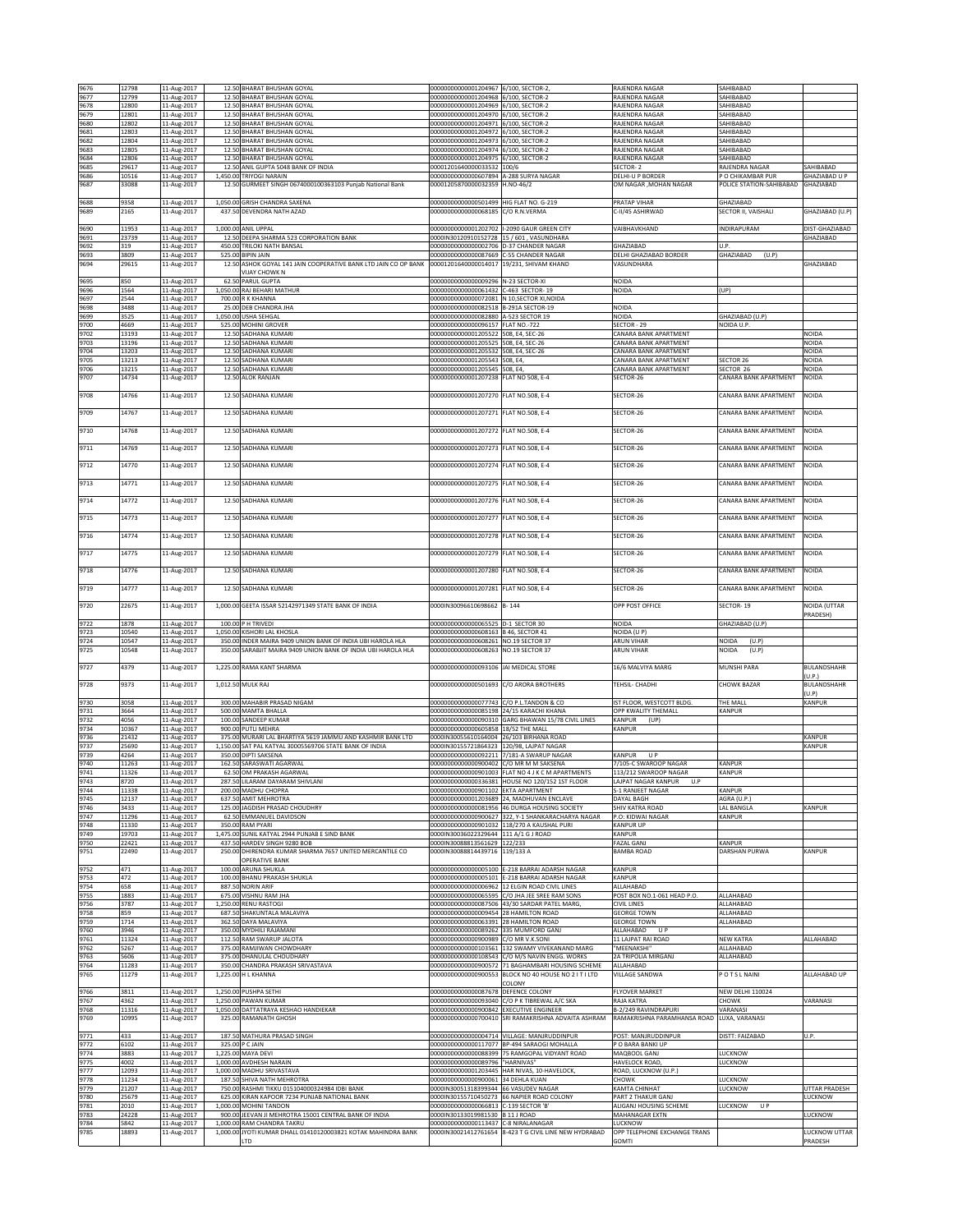| 9676         | 12798          | 11-Aug-2017                | 12.50 BHARAT BHUSHAN GOYAL                                                                  | 00000000000001204967 6/100. SECTOR-2                                      |                                                                                                        | RAJENDRA NAGAR                                      | SAHIBABAD                            |                             |
|--------------|----------------|----------------------------|---------------------------------------------------------------------------------------------|---------------------------------------------------------------------------|--------------------------------------------------------------------------------------------------------|-----------------------------------------------------|--------------------------------------|-----------------------------|
| 9677         | 12799          | 11-Aug-2017                | 12.50 BHARAT BHUSHAN GOYAL                                                                  | 00000000000001204968 6/100, SECTOR-2                                      |                                                                                                        | RAJENDRA NAGAR                                      | SAHIBABAD                            |                             |
| 9678         | 12800          | 11-Aug-2017                | 12.50 BHARAT BHUSHAN GOYAL                                                                  | 00000000000001204969 6/100, SECTOR-2                                      |                                                                                                        | RAJENDRA NAGAR                                      | SAHIBABAD                            |                             |
| 9679         | 12801          | 11-Aug-2017                | 12.50 BHARAT BHUSHAN GOYAL                                                                  | 00000000000001204970 6/100, SECTOR-2                                      |                                                                                                        | RAJENDRA NAGAR                                      | SAHIBABAD                            |                             |
| 9680         | 12802          | 11-Aug-2017                | 12.50 BHARAT BHUSHAN GOYAL                                                                  | 00000000000001204971                                                      | 6/100. SECTOR-2                                                                                        | RAJENDRA NAGAR                                      | SAHIBABAD                            |                             |
| 9681         | 12803          | 11-Aug-2017                | 12.50 BHARAT BHUSHAN GOYAL                                                                  | 00000000000001204972                                                      | 5/100, SECTOR-2                                                                                        | RAJENDRA NAGAR                                      | SAHIBABAD                            |                             |
| 9682<br>9683 | 12804<br>12805 | 11-Aug-2017<br>11-Aug-2017 | 12.50 BHARAT BHUSHAN GOYAL<br>12.50 BHARAT BHUSHAN GOYAL                                    | 00000000000001204973<br>00000000000001204974 6/100, SECTOR-2              | 6/100, SECTOR-2                                                                                        | RAJENDRA NAGAR<br>RAJENDRA NAGAR                    | SAHIBABAD<br>SAHIBABAD               |                             |
| 9684         | 12806          | 11-Aug-2017                | 12.50 BHARAT BHUSHAN GOYAL                                                                  | 00000000000001204975 6/100, SECTOR-2                                      |                                                                                                        | RAJENDRA NAGAR                                      | SAHIBABAD                            |                             |
| 9685         | 29617          | 11-Aug-2017                | 12.50 ANIL GUPTA 5048 BANK OF INDIA                                                         | 00001201640000033532 100/6                                                |                                                                                                        | SECTOR-2                                            | <b>RAJENDRA NAGAR</b>                | SAHIBABAD                   |
| 9686         | 10516          | 11-Aug-2017                | 1,450.00 TRIYOGI NARAIN                                                                     | 00000000000000607894 A-288 SURYA NAGAR                                    |                                                                                                        | DELHI-U P BORDER                                    | O CHIKAMBAR PUR                      | GHAZIABAD U P               |
| 9687         | 33088          | 11-Aug-2017                | 12.50 GURMEET SINGH 0674000100363103 Punjab National Bank                                   | 00001205870000032359 H.NO-46/2                                            |                                                                                                        | OM NAGAR , MOHAN NAGAR                              | POLICE STATION-SAHIBABAD             | GHAZIABAD                   |
|              |                |                            |                                                                                             |                                                                           |                                                                                                        |                                                     |                                      |                             |
| 9688         | 9358           | 11-Aug-2017                | 1,050.00 GRISH CHANDRA SAXENA                                                               | 00000000000000501499                                                      | HIG FLAT NO. G-219                                                                                     | PRATAP VIHAR                                        | <b>HAZIABAD</b>                      |                             |
| 9689         | 2165           | 11-Aug-2017                | 437.50 DEVENDRA NATH AZAD                                                                   | 00000000000000068185                                                      | C/O R.N.VERMA                                                                                          | C-II/45 ASHIRWAD                                    | SECTOR II, VAISHALI                  | GHAZIABAD (U.P)             |
|              |                |                            |                                                                                             |                                                                           |                                                                                                        |                                                     |                                      |                             |
| 9690<br>9691 | 11953<br>23739 | 11-Aug-2017<br>11-Aug-2017 | 1,000.00 ANIL UPPAL<br>12.50 DEEPA SHARMA 523 CORPORATION BANK                              | 0000IN30120910152728 15 / 601, VASUNDHARA                                 | 00000000000001202702 1-2090 GAUR GREEN CITY                                                            | VAIBHAVKHAND                                        | NDIRAPURAM                           | DIST-GHAZIABAD<br>GHAZIABAD |
| 9692         | 319            | 11-Aug-2017                | 450.00 TRILOKI NATH BANSAL                                                                  | 00000000000000002706 D-37 CHANDER NAGAR                                   |                                                                                                        | GHAZIABAD                                           | U.P.                                 |                             |
| 9693         | 3809           | 11-Aug-2017                | 525.00 BIPIN JAIN                                                                           | 00000000000000087669 C-55 CHANDER NAGAR                                   |                                                                                                        | DELHI GHAZIABAD BORDER                              | GHAZIABAD<br>(U.P)                   |                             |
| 9694         | 29615          | 11-Aug-2017                | 12.50 ASHOK GOYAL 141 JAIN COOPERATIVE BANK LTD JAIN CO OP BANK                             | 00001201640000014017                                                      | 19/231, SHIVAM KHAND                                                                                   | VASUNDHARA                                          |                                      | GHAZIABAD                   |
|              |                |                            | VIJAY CHOWK N                                                                               |                                                                           |                                                                                                        |                                                     |                                      |                             |
| 9695         | 850            | 11-Aug-2017                | 62.50 PARUL GUPTA                                                                           | 00000000000000009296 N-23 SECTOR-XI                                       |                                                                                                        | NOIDA                                               |                                      |                             |
| 9696         | 1564           | 11-Aug-2017                | 1,050.00 RAJ BEHARI MATHUR                                                                  | 00000000000000061432 C-463 SECTOR-19                                      |                                                                                                        | NOIDA                                               | (UP)                                 |                             |
| 9697         | 2544           | 11-Aug-2017                | 700.00 R K KHANNA                                                                           | 00000000000000072081 N 10, SECTOR XI, NOIDA                               |                                                                                                        |                                                     |                                      |                             |
| 9698         | 3488           | 11-Aug-2017                | 25.00 DEB CHANDRA JHA                                                                       | 00000000000000082518                                                      | B-291A SECTOR-19                                                                                       | NOIDA                                               |                                      |                             |
| 9699<br>9700 | 3525<br>4669   | 11-Aug-2017<br>11-Aug-2017 | 1,050.00 USHA SEHGAL<br>525.00 MOHINI GROVER                                                | 00000000000000082880 A-523 SECTOR 19<br>00000000000000096157 FLAT NO.-722 |                                                                                                        | NOIDA<br>SECTOR - 29                                | <b>GHAZIABAD (U.P)</b><br>NOIDA U.P. |                             |
| 9702         | 13193          | 11-Aug-2017                | 12.50 SADHANA KUMARI                                                                        | 00000000000001205522 508, E4, SEC-26                                      |                                                                                                        | CANARA BANK APARTMENT                               |                                      | NOIDA                       |
| 9703         | 13196          | 11-Aug-2017                | 12.50 SADHANA KUMARI                                                                        | 00000000000001205525 508, E4, SEC-26                                      |                                                                                                        | CANARA BANK APARTMENT                               |                                      | NOIDA                       |
| 9704         | 13203          | 11-Aug-2017                | 12.50 SADHANA KUMARI                                                                        | 00000000000001205532 508, E4, SEC-26                                      |                                                                                                        | CANARA BANK APARTMENT                               |                                      | NOIDA                       |
| 9705         | 13213          | 11-Aug-2017                | 12.50 SADHANA KUMARI                                                                        | 00000000000001205543 508, E4,                                             |                                                                                                        | CANARA BANK APARTMENT                               | SECTOR 26                            | <b>NOIDA</b>                |
| 9706         | 13215          | 11-Aug-2017                | 12.50 SADHANA KUMARI                                                                        | 00000000000001205545 508, E4                                              |                                                                                                        | CANARA BANK APARTMENT                               | SECTOR 26                            | NOIDA                       |
| 9707         | 14734          | 11-Aug-2017                | 12.50 ALOK RANJAN                                                                           | 00000000000001207238                                                      | <b>FLAT NO 508, E-4</b>                                                                                | SECTOR-26                                           | CANARA BANK APARTMENT                | NOIDA                       |
|              |                |                            |                                                                                             |                                                                           |                                                                                                        |                                                     |                                      |                             |
| 9708         | 14766          | 11-Aug-2017                | 12.50 SADHANA KUMARI                                                                        | 00000000000001207270 FLAT NO.508, E-4                                     |                                                                                                        | SECTOR-26                                           | CANARA BANK APARTMENT                | NOIDA                       |
| 9709         | 14767          | 11-Aug-2017                | 12.50 SADHANA KUMARI                                                                        | 00000000000001207271 FLAT NO.508, E-4                                     |                                                                                                        | SECTOR-26                                           | CANARA BANK APARTMENT                | NOIDA                       |
|              |                |                            |                                                                                             |                                                                           |                                                                                                        |                                                     |                                      |                             |
| 9710         | 14768          | 11-Aug-2017                | 12.50 SADHANA KUMARI                                                                        | 00000000000001207272 FLAT NO.508, E-4                                     |                                                                                                        | SECTOR-26                                           | CANARA BANK APARTMENT                | <b>NOIDA</b>                |
|              |                |                            |                                                                                             |                                                                           |                                                                                                        |                                                     |                                      |                             |
| 9711         | 14769          | 11-Aug-2017                | 12.50 SADHANA KUMARI                                                                        | 00000000000001207273 FLAT NO.508, E-4                                     |                                                                                                        | SECTOR-26                                           | CANARA BANK APARTMENT                | NOIDA                       |
|              |                |                            |                                                                                             |                                                                           |                                                                                                        |                                                     |                                      |                             |
| 9712         | 14770          | 11-Aug-2017                | 12.50 SADHANA KUMARI                                                                        | 00000000000001207274 FLAT NO.508, E-4                                     |                                                                                                        | SECTOR-26                                           | CANARA BANK APARTMENT                | NOIDA                       |
|              |                |                            |                                                                                             |                                                                           |                                                                                                        |                                                     |                                      |                             |
| 9713         | 14771          | 11-Aug-2017                | 12.50 SADHANA KUMARI                                                                        | 00000000000001207275 FLAT NO.508, E-4                                     |                                                                                                        | SECTOR-26                                           | CANARA BANK APARTMENT                | NOIDA                       |
|              |                |                            |                                                                                             |                                                                           |                                                                                                        |                                                     |                                      |                             |
| 9714         | 14772          | 11-Aug-2017                | 12.50 SADHANA KUMARI                                                                        | 00000000000001207276 FLAT NO.508, E-4                                     |                                                                                                        | SECTOR-26                                           | CANARA BANK APARTMENT                | NOIDA                       |
|              |                |                            |                                                                                             |                                                                           |                                                                                                        |                                                     |                                      |                             |
| 9715         | 14773          | 11-Aug-2017                | 12.50 SADHANA KUMARI                                                                        | 00000000000001207277 FLAT NO.508, E-4                                     |                                                                                                        | SECTOR-26                                           | CANARA BANK APARTMENT                | <b>NOIDA</b>                |
|              |                |                            |                                                                                             |                                                                           |                                                                                                        |                                                     |                                      |                             |
| 9716         | 14774          | 11-Aug-2017                | 12.50 SADHANA KUMARI                                                                        | 00000000000001207278                                                      | <b>FLAT NO.508, E-4</b>                                                                                | SECTOR-26                                           | CANARA BANK APARTMENT                | NOIDA                       |
| 9717         | 14775          | 11-Aug-2017                | 12.50 SADHANA KUMARI                                                                        | 00000000000001207279 FLAT NO.508, E-4                                     |                                                                                                        | SECTOR-26                                           | CANARA BANK APARTMENT                | NOIDA                       |
|              |                |                            |                                                                                             |                                                                           |                                                                                                        |                                                     |                                      |                             |
| 9718         | 14776          | 11-Aug-2017                | 12.50 SADHANA KUMARI                                                                        | 00000000000001207280 FLAT NO.508, E-4                                     |                                                                                                        | SECTOR-26                                           | ANARA BANK APARTMENT                 | NOIDA                       |
|              |                |                            |                                                                                             |                                                                           |                                                                                                        |                                                     |                                      |                             |
| 9719         | 14777          | 11-Aug-2017                | 12.50 SADHANA KUMARI                                                                        | 00000000000001207281 FLAT NO.508, E-4                                     |                                                                                                        | SECTOR-26                                           | CANARA BANK APARTMENT                | NOIDA                       |
|              |                |                            |                                                                                             |                                                                           |                                                                                                        |                                                     |                                      |                             |
| 9720         | 22675          | 11-Aug-2017                | 1,000.00 GEETA ISSAR 52142971349 STATE BANK OF INDIA                                        | 0000IN30096610698662                                                      | B-144                                                                                                  | OPP POST OFFICE                                     | SECTOR-19                            | NOIDA (UTTAR                |
|              |                |                            |                                                                                             |                                                                           |                                                                                                        |                                                     |                                      |                             |
|              |                |                            |                                                                                             |                                                                           |                                                                                                        |                                                     |                                      | PRADESH)                    |
| 9722         | 1878           | 11-Aug-2017                | 100.00 P H TRIVEDI                                                                          | 00000000000000065525 D-1 SECTOR 30                                        |                                                                                                        | NOIDA                                               | GHAZIABAD (U.P)                      |                             |
| 9723         | 10540          | 11-Aug-2017                | 1,050.00 KISHORI LAL KHOSLA                                                                 | 00000000000000608163 B 46, SECTOR 41                                      |                                                                                                        | NOIDA (U P)                                         |                                      |                             |
| 9724         | 10547          | 11-Aug-2017                | 350.00 INDER MAIRA 9409 UNION BANK OF INDIA UBI HAROLA HLA                                  | 00000000000000608261                                                      | NO.19 SECTOR 37                                                                                        | <b>ARUN VIHAR</b>                                   | <b>IOIDA</b><br>(U.P)                |                             |
| 9725         | 10548          | 11-Aug-2017                | 350.00 SARABJIT MAIRA 9409 UNION BANK OF INDIA UBI HAROLA HLA                               | 00000000000000608263                                                      | NO.19 SECTOR 37                                                                                        | ARUN VIHAR                                          | NOIDA<br>(U.P)                       |                             |
|              |                |                            |                                                                                             |                                                                           |                                                                                                        |                                                     |                                      |                             |
| 9727         | 4379           | 11-Aug-2017                | 1,225.00 RAMA KANT SHARMA                                                                   | 00000000000000093106                                                      | JAI MEDICAL STORE                                                                                      | 16/6 MALVIYA MARG                                   | MUNSHI PARA                          | BULANDSHAHR<br>(U.P.)       |
| 9728         | 9373           |                            | 1,012.50 MULK RAJ                                                                           | 00000000000000501693 C/O ARORA BROTHERS                                   |                                                                                                        | TEHSIL- CHADHI                                      | CHOWK BAZAR                          | BULANDSHAHR                 |
|              |                | 11-Aug-2017                |                                                                                             |                                                                           |                                                                                                        |                                                     |                                      | (U.P)                       |
| 9730         | 3058           | 11-Aug-2017                | 300.00 MAHABIR PRASAD NIGAM                                                                 | 00000000000000077743                                                      | C/O P.L.TANDON & CO                                                                                    | IST FLOOR, WESTCOTT BLDG.                           | THE MALL                             | KANPUR                      |
| 9731         | 3664           | 11-Aug-2017                | 500.00 MAMTA BHALLA                                                                         | 00000000000000085198                                                      | 24/15 KARACHI KHANA                                                                                    | OPP KWALITY THEMALL                                 | CANPUR                               |                             |
| 9732         | 4056           | 11-Aug-2017                | 100.00 SANDEEP KUMAR                                                                        |                                                                           | 00000000000000090310 GARG BHAWAN 15/78 CIVIL LINES                                                     | KANPUR<br>(UP)                                      |                                      |                             |
| 9734         | 10367          | 11-Aug-2017                | 900.00 PUTLI MEHRA                                                                          | 00000000000000605858 18/52 THE MALL                                       |                                                                                                        | <b>KANPUR</b>                                       |                                      |                             |
| 9736         | 21432          | 11-Aug-2017                | 375.00 MURARI LAL BHARTIYA 5619 JAMMU AND KASHMIR BANK LTD                                  | 0000IN30055610164004                                                      | 26/103 BIRHANA ROAD                                                                                    |                                                     |                                      | <b>KANPUR</b>               |
| 9737         | 25690          | 11-Aug-2017                | 1.150.00 SAT PAL KATYAL 30005569706 STATE BANK OF INDIA                                     | 0000IN30155721864323                                                      | 120/98, LAJPAT NAGAR                                                                                   |                                                     |                                      | KANPUR                      |
| 9739         | 4264           | 11-Aug-2017                | 350.00 DIPTI SAKSENA                                                                        | 00000000000000092211                                                      | 7/181-A SWARUP NAGAR                                                                                   | KANPUR<br>U P                                       |                                      |                             |
| 9740         | 11263          | 11-Aug-2017                | 162.50 SARASWATI AGARWAL                                                                    | 00000000000000900402 C/O MR M M SAKSENA                                   |                                                                                                        | 7/105-C SWAROOP NAGAR                               | KANPUR                               |                             |
| 9741         | 11326<br>8720  | 11-Aug-2017                | 62.50 OM PRAKASH AGARWAL<br>287.50 LILARAM DAYARAM SHIVLAN                                  |                                                                           | 00000000000000901003 FLAT NO 4 J K C M APARTMENTS<br>000000000000000336381  HOUSE NO 120/152 1ST FLOOF | 113/212 SWAROOP NAGAR<br>LAJPAT NAGAR KANPUR<br>U.F | KANPUR                               |                             |
| 9743<br>9744 | 11338          | 11-Aug-2017<br>11-Aug-2017 | 200.00 MADHU CHOPRA                                                                         | 00000000000000901102 EKTA APARTMENT                                       |                                                                                                        | <b>S-1 RANJEET NAGAR</b>                            | KANPUR                               |                             |
| 9745         | 12137          | 11-Aug-2017                | 637.50 AMIT MEHROTRA                                                                        |                                                                           | 00000000000001203689 24, MADHUVAN ENCLAVE                                                              | DAYAL BAGH                                          | AGRA (U.P.                           |                             |
| 9746         | 3433           | 11-Aug-2017                | 125.00 JAGDISH PRASAD CHOUDHRY                                                              |                                                                           | 00000000000000081956 46 DURGA HOUSING SOCIETY                                                          | SHIV KATRA ROAD                                     | LAL BANGLA                           | KANPUR                      |
| 9747         | 11296          | 11-Aug-2017                | 62.50 EMMANUEL DAVIDSON                                                                     | 0000000000000900627                                                       | 322, Y-1 SHANKARACHARYA NAGAR                                                                          | P.O: KIDWAI NAGAR                                   | KANPUR                               |                             |
| 9748         | 11330          | 11-Aug-2017                | 350.00 RAM PYARI                                                                            |                                                                           | 00000000000000901032 118/270 A KAUSHAL PURI                                                            | <b>KANPUR UP</b>                                    |                                      |                             |
| 9749         | 19703          | 11-Aug-2017                | 1,475.00 SUNIL KATYAL 2944 PUNJAB E SIND BANK                                               | 0000IN30036022329644 111 A/1 G J ROAD                                     |                                                                                                        | KANPUR                                              |                                      |                             |
| 9750<br>9751 | 22421<br>22490 | 11-Aug-2017                | 437.50 HARDEV SINGH 9280 BOB<br>250.00 DHIRENDRA KUMAR SHARMA 7657 UNITED MERCANTILE CO     | 0000IN30088813561629 122/233<br>0000IN30088814439716                      | 119/133 A                                                                                              | <b>FAZAL GANJ</b><br><b>BAMBA ROAD</b>              | KANPUR<br>DARSHAN PURWA              | KANPUR                      |
|              |                | 11-Aug-2017                | <b>OPERATIVE BANK</b>                                                                       |                                                                           |                                                                                                        |                                                     |                                      |                             |
| 9752         | 471            | 11-Aug-2017                | 100.00 ARUNA SHUKLA                                                                         |                                                                           | 00000000000000005100 E-218 BARRAI ADARSH NAGAR                                                         | KANPUR                                              |                                      |                             |
| 9753         | 472            | 11-Aug-2017                | 100.00 BHANU PRAKASH SHUKLA                                                                 |                                                                           | 00000000000000005101 E-218 BARRAI ADARSH NAGAR                                                         | KANPUR                                              |                                      |                             |
| 9754         | 658            | 11-Aug-2017                | 887.50 NORIN ARIF                                                                           |                                                                           | 00000000000000006962 12 ELGIN ROAD CIVIL LINES                                                         | ALLAHABAD                                           |                                      |                             |
| 9755         | 1883           | 11-Aug-2017                | 675.00 VISHNU RAM JHA                                                                       |                                                                           | 00000000000000065595 C/O JHA JEE SREE RAM SONS                                                         | POST BOX NO.1-061 HEAD P.O.                         | ALLAHABAD                            |                             |
| 9756         | 3787           | 11-Aug-2017                | 1,250.00 RENU RASTOGI                                                                       |                                                                           | 00000000000000087506 43/30 SARDAR PATEL MARG,                                                          | CIVIL LINES                                         | ALLAHABAD                            |                             |
| 9758         | 859            | 11-Aug-2017                | 687.50 SHAKUNTALA MALAVIYA                                                                  | 00000000000000009454 28 HAMILTON ROAD                                     |                                                                                                        | <b>GEORGE TOWN</b>                                  | ALLAHABAD                            |                             |
| 9759         | 1714<br>3946   | 11-Aug-2017                | 362.50 DAYA MALAVIYA                                                                        | 00000000000000063391                                                      | 28 HAMILTON ROAD                                                                                       | <b>GEORGE TOWN</b><br>U P                           | ALLAHABAD                            |                             |
| 9760<br>9761 | 11324          | 11-Aug-2017<br>11-Aug-2017 | 350.00 MYDHILI RAJAMANI<br>112.50 RAM SWARUP JALOTA                                         | 00000000000000089262<br>0000000000000900989                               | 335 MUMFORD GANJ<br>C/O MR V.K.SONI                                                                    | ALLAHABAD<br>11 LAJPAT RAI ROAD                     | NEW KATRA                            | ALLAHABAD                   |
| 9762         | 5267           | 11-Aug-2017                | 375.00 RAMJIWAN CHOWDHARY                                                                   |                                                                           | 0000000000000000103561 132 SWAMY VIVEKANAND MARG                                                       | "MEENAKSHI"                                         | ALLAHABAD                            |                             |
| 9763         | 5606           | 11-Aug-2017                | 375.00 DHANULAL CHOUDHARY                                                                   |                                                                           | 00000000000000108543 C/O M/S NAVIN ENGG. WORKS                                                         | 2A TRIPOLIA MIRGANJ                                 | ALLAHABAD                            |                             |
| 9764         | 11283          | 11-Aug-2017                | 350.00 CHANDRA PRAKASH SRIVASTAVA                                                           |                                                                           | 00000000000000900572 71 BAGHAMBARI HOUSING SCHEME                                                      | ALLAHABAD                                           |                                      |                             |
| 9765         | 11279          | 11-Aug-2017                | 1,225.00 H L KHANNA                                                                         |                                                                           | 000000000000000900553 BLOCK NO 40 HOUSE NO 2 IT I LTD                                                  | VILLAGE SANDWA                                      | OTSLNAINI                            | ALLAHABAD UP                |
|              |                |                            |                                                                                             |                                                                           | COLONY                                                                                                 |                                                     |                                      |                             |
| 9766         | 3811           | 11-Aug-2017                | 1,250.00 PUSHPA SETHI                                                                       | 00000000000000087678                                                      | DEFENCE COLONY                                                                                         | <b>FLYOVER MARKET</b>                               | NEW DELHI 110024                     |                             |
| 9767         | 4362           | 11-Aug-2017                | 1,250.00 PAWAN KUMAR                                                                        |                                                                           | 00000000000000093040 C/O P K TIBREWAL A/C SKA                                                          | RAJA KATRA                                          | <b>HOWK</b>                          | VARANASI                    |
| 9768         | 11316          | 11-Aug-2017                | 1,050.00 DATTATRAYA KESHAO HANDIEKAR                                                        | 00000000000000900842                                                      | <b>EXECUTIVE ENGINEER</b>                                                                              | B-2/249 RAVINDRAPURI                                | <b>ARANASI</b>                       |                             |
| 9769         | 10995          | 11-Aug-2017                | 325.00 RAMANATH GHOSH                                                                       |                                                                           | 00000000000000700410 SRI RAMAKRISHNA ADVAITA ASHRAM                                                    | RAMAKRISHNA PARAMHANSA ROAD                         | LUXA, VARANASI                       |                             |
|              |                |                            |                                                                                             |                                                                           |                                                                                                        |                                                     |                                      |                             |
| 9771         | 433            | 11-Aug-2017                | 187.50 MATHURA PRASAD SINGH                                                                 |                                                                           | 00000000000000004714 VILLAGE: MANJRUDDINPUR                                                            | POST: MANJRUDDINPUR                                 | DISTT: FAIZABAD                      | U.P.                        |
| 9772         | 6102<br>3883   | 11-Aug-2017                | 325.00 P C JAIN                                                                             |                                                                           | 00000000000000117077 BP-494 SARAOGI MOHALLA                                                            | P O BARA BANKI UP                                   |                                      |                             |
| 9774         |                | 11-Aug-2017                | 1,225.00 MAYA DEVI                                                                          |                                                                           | 00000000000000088399 75 RAMGOPAL VIDYANT ROAD                                                          | MAQBOOL GANJ<br>HAVELOCK ROAD,                      | LUCKNOW<br>LUCKNOW                   |                             |
| 9775<br>9777 | 4002<br>12093  | 11-Aug-2017<br>11-Aug-2017 | 1,000.00 AVDHESH NARAIN<br>1,000.00 MADHU SRIVASTAVA                                        | 00000000000000089796 "HARNIVAS"                                           | 00000000000001203445 HAR NIVAS, 10-HAVELOCK,                                                           | ROAD, LUCKNOW (U.P.)                                |                                      |                             |
| 9778         | 11234          | 11-Aug-2017                | 187.50 SHIVA NATH MEHROTRA                                                                  | 00000000000000900061                                                      | 34 DEHLA KUAN                                                                                          | CHOWK                                               | <b>UCKNOW</b>                        |                             |
| 9779         | 21207          | 11-Aug-2017                | 750.00 RASHMI TIKKU 015104000324984 IDBI BANK                                               | 0000IN30051318399344 66 VASUDEV NAGAR                                     |                                                                                                        | KAMTA CHINHAT                                       | LUCKNOW                              | UTTAR PRADESH               |
| 9780         | 25679          | 11-Aug-2017                | 625.00 KIRAN KAPOOR 7234 PUNJAB NATIONAL BANK                                               |                                                                           | 0000IN30155710450273 66 NAPIER ROAD COLONY                                                             | PART 2 THAKUR GANJ                                  |                                      | LUCKNOW                     |
| 9781         | 2010           | 11-Aug-2017                | 1,000.00 MOHINI TANDON                                                                      | 00000000000000066813 C-139 SECTOR 'B'                                     |                                                                                                        | ALIGANJ HOUSING SCHEME                              | LUCKNOW<br>U P                       |                             |
| 9783         | 24228          | 11-Aug-2017                | 900.00 JEEVAN JI MEHROTRA 15001 CENTRAL BANK OF INDIA                                       | 0000IN30133019981530 B 11 J ROAD                                          |                                                                                                        | MAHANAGAR EXTN                                      |                                      | LUCKNOW                     |
| 9784<br>9785 | 5842<br>18893  | 11-Aug-2017<br>11-Aug-2017 | 1,000.00 RAM CHANDRA TAKRU<br>1,000.00 JYOTI KUMAR DHALL 01410120003821 KOTAK MAHINDRA BANK | 00000000000000113437 C-8 NIRALANAGAR                                      | 0000IN30021412761654 8-423 T G CIVIL LINE NEW HYDRABAD                                                 | LUCKNOW<br>OPP TELEPHONE EXCHANGE TRANS             |                                      | LUCKNOW UTTAR               |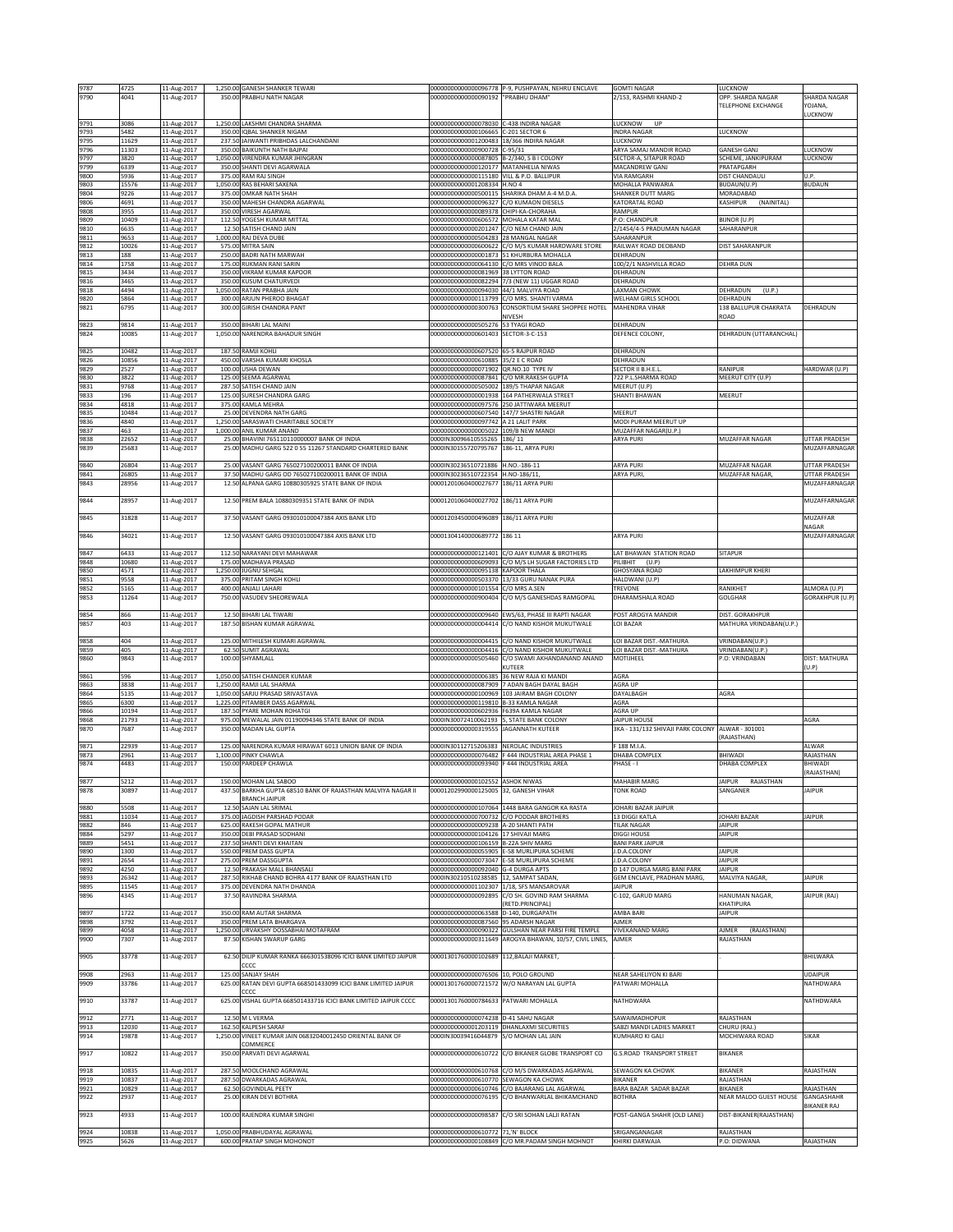| 9787<br>9790  | 4725<br>4041   | 11-Aug-2017<br>11-Aug-2017 | 1,250.00 GANESH SHANKER TEWARI<br>350.00 PRABHU NATH NAGAR                             | 00000000000000090192                                                                | 00000000000000096778 P-9, PUSHPAYAN, NEHRU ENCLAVE<br>"PRABHU DHAM" | <b>GOMTI NAGAR</b><br>2/153, RASHMI KHAND-2              | LUCKNOW<br>OPP. SHARDA NAGAR<br>TELEPHONE EXCHANGE | SHARDA NAGAR<br>YOJANA.   |
|---------------|----------------|----------------------------|----------------------------------------------------------------------------------------|-------------------------------------------------------------------------------------|---------------------------------------------------------------------|----------------------------------------------------------|----------------------------------------------------|---------------------------|
| 9791          | 3086           | 11-Aug-2017                | 1,250.00 LAKSHMI CHANDRA SHARMA                                                        | 00000000000000078030                                                                | C-438 INDIRA NAGAR                                                  | LUCKNOW<br>UP                                            |                                                    | <b>UCKNOW</b>             |
| 9793<br>9795  | 5482<br>11629  | 11-Aug-2017<br>11-Aug-2017 | 350.00 IQBAL SHANKER NIGAM<br>237.50 JAIWANTI PRIBHDAS LALCHANDANI                     | 00000000000000106665<br>00000000000001200483                                        | C-201 SECTOR 6<br>18/366 INDIRA NAGAR                               | INDRA NAGAR<br>LUCKNOW                                   | LUCKNOW                                            |                           |
| 9796          | 11303          | 11-Aug-2017                | 350.00 BAIKUNTH NATH BAJPAI                                                            | 00000000000000900728 C-95/31                                                        |                                                                     | ARYA SAMAJ MANDIR ROAD                                   | <b>GANESH GANJ</b>                                 | LUCKNOW                   |
| 9797<br>9799  | 3820<br>6339   | 11-Aug-2017<br>11-Aug-2017 | 1,050.00 VIRENDRA KUMAR JHINGRAN<br>350.00 SHANTI DEVI AGARWALA                        | 00000000000000087805 B-2/340, S B I COLONY<br>00000000000000120177 MATANHELIA NIWAS |                                                                     | SECTOR-A, SITAPUR ROAD<br>MACANDREW GANJ                 | SCHEME, JANKIPURAM<br>PRATAPGARH                   | LUCKNOW                   |
| 9800<br>9803  | 5936<br>15576  | 11-Aug-2017<br>11-Aug-2017 | 375.00 RAM RAJ SINGH<br>1,050.00 RAS BEHARI SAXENA                                     | 00000000000000115180<br>00000000000001208334                                        | VILL & P.O. BALLIPUR<br><b>H.NO 4</b>                               | <b>VIA RAMGARH</b><br>MOHALLA PANWARIA                   | <b>DIST CHANDAULI</b><br>BUDAUN(U.P)               | U.P.<br><b>BUDAUN</b>     |
| 9804          | 9226           | 11-Aug-2017                | 375.00 OMKAR NATH SHAH                                                                 | 00000000000000500115                                                                | SHARIKA DHAM A-4 M.D.A.                                             | SHANKER DUTT MARG                                        | MORADABAD                                          |                           |
| 9806<br>9808  | 4691<br>3955   | 11-Aug-2017<br>11-Aug-2017 | 350.00 MAHESH CHANDRA AGARWAL<br>350.00 VIRESH AGARWAL                                 | 00000000000000096327<br>00000000000000089378                                        | C/O KUMAON DIESELS<br>CHIPI-KA-CHORAHA                              | KATORATAL ROAD<br>RAMPUR                                 | KASHIPUR<br>(NAINITAL)                             |                           |
| 9809<br>9810  | 10409<br>6635  | 11-Aug-2017<br>11-Aug-2017 | 112.50 YOGESH KUMAR MITTAL<br>12.50 SATISH CHAND JAIN                                  | 00000000000000606572<br>00000000000000201247 C/O NEM CHAND JAIN                     | MOHALA KATAR MAL                                                    | P.O: CHANDPUR<br>2/1454/4-5 PRADUMAN NAGAR               | BIJNOR (U.P)<br>SAHARANPUR                         |                           |
| 9811          | 9653           | 11-Aug-2017                | 1,000.00 RAJ DEVA DUBE                                                                 | 00000000000000504283                                                                | 28 MANGAL NAGAR                                                     | SAHARANPUR                                               |                                                    |                           |
| 9812<br>9813  | 10026<br>188   | 11-Aug-2017<br>11-Aug-2017 | 575.00 MITRA SAIN<br>250.00 BADRI NATH MARWAH                                          | 00000000000000600622<br>00000000000000001873                                        | :/O M/S KUMAR HARDWARE STORE<br>51 KHURBURA MOHALLA                 | RAILWAY ROAD DEOBAND<br>DEHRADUN                         | <b>DIST SAHARANPUR</b>                             |                           |
| 9814          | 1758           | 11-Aug-2017                | 175.00 RUKMAN RANI SARIN                                                               | 00000000000000064130                                                                | /O MRS VINOD BALA                                                   | 100/2/1 NASHVILLA ROAD                                   | <b>DEHRA DUN</b>                                   |                           |
| 9815<br>9816  | 3434<br>3465   | 11-Aug-2017<br>11-Aug-2017 | 350.00 VIKRAM KUMAR KAPOOR<br>350.00 KUSUM CHATURVEDI                                  | 00000000000000081969 38 LYTTON ROAD                                                 | 00000000000000082294 7/3 (NEW 11) UGGAR ROAD                        | DEHRADUN<br>DEHRADUN                                     |                                                    |                           |
| 9818<br>9820  | 4494<br>5864   | 11-Aug-2017<br>11-Aug-2017 | 1,050.00 RATAN PRABHA JAIN<br>300.00 ARJUN PHEROO BHAGAT                               | 00000000000000094030                                                                | 44/1 MALVIYA ROAD<br>00000000000000113799 C/O MRS. SHANTI VARMA     | LAXMAN CHOWK<br>WELHAM GIRLS SCHOOL                      | DEHRADUN<br>(U.P.)<br>DEHRADUN                     |                           |
| 9821          | 6795           | 11-Aug-2017                | 300.00 GIRISH CHANDRA PANT                                                             | 00000000000000300763                                                                | CONSORTIUM SHARE SHOPPEE HOTEL<br>NIVESH                            | MAHENDRA VIHAR                                           | 138 BALLUPUR CHAKRATA<br>ROAD                      | DEHRADUN                  |
| 9823<br>9824  | 9814<br>10085  | 11-Aug-2017<br>11-Aug-2017 | 350.00 BIHARI LAL MAINI<br>1,050.00 NARENDRA BAHADUR SINGH                             | 00000000000000505276<br>00000000000000601403                                        | 53 TYAGI ROAD<br>SECTOR-3-C-153                                     | DEHRADUN<br>DEFENCE COLONY,                              | DEHRADUN (UTTARANCHAL)                             |                           |
|               | 10482          |                            |                                                                                        |                                                                                     |                                                                     |                                                          |                                                    |                           |
| 9825<br>9826  | 10856          | 11-Aug-2017<br>11-Aug-2017 | 187.50 RAMJI KOHLI<br>450.00 VARSHA KUMARI KHOSLA                                      | 00000000000000607520<br>00000000000000610885                                        | 65-5 RAJPUR ROAD<br>35/2 E C ROAD                                   | DEHRADUN<br>DEHRADUN                                     |                                                    |                           |
| 9829<br>9830  | 2527<br>3822   | 11-Aug-2017<br>11-Aug-2017 | 100.00 USHA DEWAN<br>125.00 SEEMA AGARWAL                                              | 00000000000000071902 QR.NO.10 TYPE IV<br>00000000000000087841 C/O MR.RAKESH GUPTA   |                                                                     | SECTOR II B.H.E.L<br>722 P.L.SHARMA ROAD                 | RANIPUR<br>MEERUT CITY (U.P)                       | HARDWAR (U.P)             |
| 9831<br>9833  | 9768<br>196    | 11-Aug-2017<br>11-Aug-2017 | 287.50 SATISH CHAND JAIN<br>125.00 SURESH CHANDRA GARG                                 | 00000000000000505002<br>00000000000000001938                                        | 189/5 THAPAR NAGAR<br>164 PATHERWALA STREET                         | MEERUT (U.P)<br>SHANTI BHAWAN                            | MEERUT                                             |                           |
| 9834          | 4818           | 11-Aug-2017                | 375.00 KAMLA MEHRA                                                                     | 00000000000000097576                                                                | 250 JATTIWARA MEERUT                                                |                                                          |                                                    |                           |
| 9835<br>9836  | 10484<br>4840  | 11-Aug-2017<br>11-Aug-2017 | 25.00 DEVENDRA NATH GARG<br>1,250.00 SARASWATI CHARITABLE SOCIETY                      | 00000000000000607540 147/7 SHASTRI NAGAR<br>00000000000000097742                    | A 21 LALIT PARK                                                     | MEERUT<br>MODI PURAM MEERUT UP                           |                                                    |                           |
| 9837<br>9838  | 463<br>22652   | 11-Aug-2017<br>11-Aug-2017 | 1,000.00 ANIL KUMAR ANAND<br>25.00 BHAVINI 765110110000007 BANK OF INDIA               | 00000000000000005022<br>0000IN30096610555265                                        | 109/B NEW MANDI<br>186/11                                           | MUZAFFAR NAGAR(U.P.)<br>ARYA PURI                        | MUZAFFAR NAGAR                                     | UTTAR PRADESH             |
| 9839          | 25683          | 11-Aug-2017                | 25.00 MADHU GARG 522 0 55 11267 STANDARD CHARTERED BANK                                | 0000IN30155720795767                                                                | 186-11, ARYA PURI                                                   |                                                          |                                                    | MUZAFFARNAGAR             |
| 9840          | 26804          | 11-Aug-2017                | 25.00 VASANT GARG 765027100200011 BANK OF INDIA                                        | 0000IN30236510721886                                                                | $1.NO - 186 - 11$                                                   | ARYA PURI                                                | MUZAFFAR NAGAR                                     | <b>JTTAR PRADESH</b>      |
| 9841          | 26805          | 11-Aug-2017                | 37.50 MADHU GARG OD 765027100200011 BANK OF INDIA                                      | 0000IN30236510722354                                                                | H.NO-186/11,                                                        | ARYA PURI                                                | MUZAFFAR NAGAR                                     | <b>JTTAR PRADESH</b>      |
| 9843          | 28956          | 11-Aug-2017                | 12.50 ALPANA GARG 10880305925 STATE BANK OF INDIA                                      | 00001201060400027677                                                                | 186/11 ARYA PURI                                                    |                                                          |                                                    | MUZAFFARNAGAR             |
| 9844          | 28957          | 11-Aug-2017                | 12.50 PREM BALA 10880309351 STATE BANK OF INDIA                                        | 00001201060400027702 186/11 ARYA PURI                                               |                                                                     |                                                          |                                                    | MUZAFFARNAGAR             |
| 9845          | 31828          | 11-Aug-2017                | 37.50 VASANT GARG 093010100047384 AXIS BANK LTD                                        | 00001203450000496089 186/11 ARYA PURI                                               |                                                                     |                                                          |                                                    | <b>MUZAFFAR</b><br>NAGAR  |
| 9846          | 34021          | 11-Aug-2017                | 12.50 VASANT GARG 093010100047384 AXIS BANK LTD                                        | 00001304140000689772 186 11                                                         |                                                                     | <b>ARYA PURI</b>                                         |                                                    | MUZAFFARNAGAR             |
| 9847          | 6433           | 11-Aug-2017                | 112.50 NARAYANI DEVI MAHAWAR                                                           | 00000000000000121401                                                                | C/O AJAY KUMAR & BROTHERS                                           | LAT BHAWAN STATION ROAD                                  | <b>SITAPUR</b>                                     |                           |
| 9848<br>9850  | 10680<br>4571  | 11-Aug-2017<br>11-Aug-2017 | 175.00 MADHAVA PRASAD<br>1,250.00 JUGNU SEHGAL                                         | 00000000000000609093<br>00000000000000095138 KAPOOR THALA                           | C/O M/S LH SUGAR FACTORIES LTD                                      | PILIBHIT (U.P)<br><b>GHOSYANA ROAD</b>                   | LAKHIMPUR KHERI                                    |                           |
| 9851<br>9852  | 9558<br>5165   | 11-Aug-2017<br>11-Aug-2017 | 375.00 PRITAM SINGH KOHLI<br>400.00 ANJALI LAHARI                                      | 00000000000000503370<br>00000000000000101554                                        | 13/33 GURU NANAK PURA<br>C/O MRS A.SEN                              | HALDWANI (U.P)<br>TREVONE                                | RANIKHET                                           | ALMORA (U.P)              |
| 9853          | 11264          | 11-Aug-2017                | 750.00 VASUDEV SHEOREWALA                                                              | 00000000000000900404                                                                | C/O M/S GANESHDAS RAMGOPAL                                          | DHARAMSHALA ROAD                                         | <b>GOLGHAR</b>                                     | GORAKHPUR (U.P)           |
| 9854          | 866            | 11-Aug-2017                | 12.50 BIHARI LAL TIWARI                                                                | 00000000000000009640                                                                | WS/63, PHASE III RAPTI NAGAR                                        | POST AROGYA MANDIR                                       | DIST. GORAKHPUR                                    |                           |
| 9857          | 403            | 11-Aug-2017                | 187.50 BISHAN KUMAR AGRAWAL                                                            | 00000000000000004414                                                                | C/O NAND KISHOR MUKUTWALE                                           | LOI BAZAR                                                | MATHURA VRINDABAN(U.P.)                            |                           |
| 9858<br>9859  | 404<br>405     | 11-Aug-2017                | 125.00 MITHILESH KUMARI AGRAWAL<br>62.50 SUMIT AGRAWAL                                 | 00000000000000004415<br>00000000000000004416                                        | C/O NAND KISHOR MUKUTWALE<br>C/O NAND KISHOR MUKUTWALE              | LOI BAZAR DIST .- MATHURA<br>LOI BAZAR DIST.-MATHURA     | VRINDABAN(U.P.)<br>VRINDABAN(U.P.                  |                           |
| 9860          | 9843           | 11-Aug-2017<br>11-Aug-2017 | 100.00 SHYAMLALL                                                                       | 00000000000000505460                                                                | C/O SWAMI AKHANDANAND ANAND                                         | MOTIJHEEL                                                | P.O: VRINDABAN                                     | DIST: MATHURA             |
| 9861          | 596            | 11-Aug-2017                | 1,050.00 SATISH CHANDER KUMAR                                                          | 00000000000000006385                                                                | KUTEER<br>36 NEW RAJA KI MANDI                                      | AGRA                                                     |                                                    | U.P)                      |
| 9863<br>9864  | 3838           | 11-Aug-2017                | 1.250.00 RAMJI LAL SHARMA                                                              | 00000000000000087909<br>00000000000000100969                                        | ADAN BAGH DAYAL BAGH                                                | AGRA UP                                                  |                                                    |                           |
| 9865          | 5135<br>6300   | 11-Aug-2017<br>11-Aug-2017 | 1,050.00 SARJU PRASAD SRIVASTAVA<br>1,225.00 PITAMBER DASS AGARWAL                     | 00000000000000119810 B-33 KAMLA NAGAR                                               | 103 JAIRAM BAGH COLONY                                              | DAYALBAGH<br>AGRA                                        | AGRA                                               |                           |
| 9866<br>9868  | 10194<br>21793 | 11-Aug-2017<br>11-Aug-2017 | 187.50 PYARE MOHAN ROHATGI<br>975.00 MEWALAL JAIN 01190094346 STATE BANK OF INDIA      | 00000000000000602936 F639A KAMLA NAGAR<br>0000IN30072410062193 5, STATE BANK COLONY |                                                                     | AGRA UP<br><b>JAIPUR HOUSE</b>                           |                                                    | AGRA                      |
| 9870          | 7687           | 11-Aug-2017                | 350.00 MADAN LAL GUPTA                                                                 | 00000000000000319555                                                                | <b>JAGANNATH KUTEER</b>                                             | 3KA - 131/132 SHIVAJI PARK COLONY                        | ALWAR - 301001                                     |                           |
| 9871          | 22939          | 11-Aug-2017                | 125.00 NARENDRA KUMAR HIRAWAT 6013 UNION BANK OF INDIA                                 | 0000IN30112715206383 NEROLAC INDUSTRIES                                             |                                                                     | F 188 M.I.A                                              | (RAJASTHAN)                                        | ALWAR                     |
| 9873<br>9874  | 2961<br>4483   | 11-Aug-2017<br>11-Aug-2017 | 1,100.00 PINKY CHAWLA<br>150.00 PARDEEP CHAWLA                                         | 00000000000000076482<br>00000000000000093940 F 444 INDUSTRIAL AREA                  | F 444 INDUSTRIAL AREA PHASE 1                                       | DHABA COMPLEX<br>HASE - I                                | BHIWADI<br>DHABA COMPLEX                           | RAJASTHAN<br>BHIWADI      |
|               |                |                            |                                                                                        |                                                                                     |                                                                     |                                                          |                                                    | RAJASTHAN                 |
| 987 J<br>9878 | ,212<br>30897  | 1-Aug-201.<br>11-Aug-2017  | <b>MUHAN LAL SABUL</b><br>437.50 BARKHA GUPTA 68510 BANK OF RAJASTHAN MALVIYA NAGAR II | JIUZSSZ<br>00001202990000125005                                                     | NIWA:<br>32, GANESH VIHAR                                           | <b>MARABI</b><br><b>TONK ROAD</b>                        | ۹I۲U<br>SANGANER                                   | <b>JAIPUR</b>             |
|               |                |                            | <b>BRANCH JAIPUR</b>                                                                   |                                                                                     |                                                                     |                                                          |                                                    |                           |
| 9880<br>9881  | 5508<br>11034  | 11-Aug-2017<br>11-Aug-2017 | 12.50 SAJAN LAL SRIMAL<br>375.00 JAGDISH PARSHAD PODAR                                 | 00000000000000700732 C/O PODDAR BROTHERS                                            | 000000000000000107064 1448 BARA GANGOR KA RASTA                     | JOHARI BAZAR JAIPUR<br>13 DIGGI KATLA                    | JOHARI BAZAR                                       | <b>JAIPUR</b>             |
| 9882<br>9884  | 846<br>5297    | 11-Aug-2017<br>11-Aug-2017 | 625.00 RAKESH GOPAL MATHUR<br>350.00 DEBI PRASAD SODHANI                               | 00000000000000009238 A-20 SHANTI PATH<br>00000000000000104126 17 SHIVAJI MARG       |                                                                     | <b>TILAK NAGAR</b><br>DIGGI HOUSE                        | <b>JAIPUR</b><br><b>JAIPUR</b>                     |                           |
| 9889          | 5451           | 11-Aug-2017                | 237.50 SHANTI DEVI KHAITAN<br>550.00 PREM DASS GUPTA                                   | 00000000000000106159                                                                | 3-22A SHIV MARG<br>-58 MURLIPURA SCHEME                             | BANI PARK JAIPUR<br>J.D.A.COLONY                         |                                                    |                           |
| 9890<br>9891  | 1300<br>2654   | 11-Aug-2017<br>11-Aug-2017 | 275.00 PREM DASSGUPTA                                                                  | 00000000000000055905                                                                | 00000000000000073047 E-58 MURLIPURA SCHEME                          | J.D.A.COLONY                                             | <b>JAIPUR</b><br><b>JAIPUR</b>                     |                           |
| 9892<br>9893  | 4250<br>26342  | 11-Aug-2017<br>11-Aug-2017 | 12.50 PRAKASH MALL BHANSALI<br>287.50 RIKHAB CHAND BOHRA 4177 BANK OF RAJASTHAN LTD    | 00000000000000092040<br>0000IN30210510238585 12, SAMPAT SADAN                       | <b>G-4 DURGA APTS</b>                                               | D 147 DURGA MARG BANI PARK<br>GEM ENCLAVE, PRADHAN MARG, | <b>JAIPUR</b><br>MALVIYA NAGAR                     | <b>JAIPUR</b>             |
| 9895          | 11545          | 11-Aug-2017                | 375.00 DEVENDRA NATH DHANDA                                                            | 00000000000001102307 1/18, SFS MANSAROVAR                                           |                                                                     | <b>JAIPUR</b>                                            |                                                    |                           |
| 9896          | 4345           | 11-Aug-2017                | 37.50 RAVINDRA SHARMA                                                                  | 00000000000000092895                                                                | C/O SH. GOVIND RAM SHARMA<br>RETD.PRINCIPAL)                        | C-102, GARUD MARG                                        | HANUMAN NAGAR,<br>KHATIPURA                        | JAIPUR (RAJ)              |
| 9897<br>9898  | 1722<br>3792   | 11-Aug-2017<br>11-Aug-2017 | 350.00 RAM AUTAR SHARMA<br>350.00 PREM LATA BHARGAVA                                   | 00000000000000063588<br>00000000000000087560                                        | -140, DURGAPATH<br>95 ADARSH NAGAR                                  | AMBA BARI<br>AJMER                                       | <b>JAIPUR</b>                                      |                           |
| 9899          | 4058           | 11-Aug-2017                | 1,250.00 URVAKSHY DOSSABHAI MOTAFRAM                                                   | 00000000000000090322                                                                | GULSHAN NEAR PARSI FIRE TEMPLE                                      | <b>VIVEKANAND MARG</b>                                   | <b>AJMER</b><br>(RAJASTHAN)<br>RAJASTHAN           |                           |
| 9900          | 7307           | 11-Aug-2017                | 87.50 KISHAN SWARUP GARG                                                               | 00000000000000311649                                                                | AROGYA BHAWAN, 10/57, CIVIL LINES,                                  | AJMER                                                    |                                                    |                           |
| 9905          | 33778          | 11-Aug-2017                | 62.50 DILIP KUMAR RANKA 666301538096 ICICI BANK LIMITED JAIPUR<br>CCCC                 | 00001301760000102689 112, BALAJI MARKET,                                            |                                                                     |                                                          |                                                    | BHILWARA                  |
| 9908<br>9909  | 2963<br>33786  | 11-Aug-2017<br>11-Aug-2017 | 125.00 SANJAY SHAH<br>625.00 RATAN DEVI GUPTA 668501433099 ICICI BANK LIMITED JAIPUR   | 00000000000000076506<br>00001301760000721572                                        | 10, POLO GROUND<br>W/O NARAYAN LAL GUPTA                            | NEAR SAHELIYON KI BARI<br>PATWARI MOHALLA                |                                                    | UDAIPUR<br>NATHDWARA      |
| 9910          | 33787          | 11-Aug-2017                | cccc<br>625.00 VISHAL GUPTA 668501433716 ICICI BANK LIMITED JAIPUR CCCC                | 00001301760000784633                                                                | PATWARI MOHALLA                                                     | NATHDWARA                                                |                                                    | NATHDWARA                 |
|               |                |                            |                                                                                        |                                                                                     |                                                                     |                                                          |                                                    |                           |
| 9912<br>9913  | 2771<br>12030  | 11-Aug-2017<br>11-Aug-2017 | 12.50 M L VERMA<br>162.50 KALPESH SARAF                                                | 00000000000000074238 D-41 SAHU NAGAR<br>00000000000001203119 DHANLAXMI SECURITIES   |                                                                     | SAWAIMADHOPUR<br>SABZI MANDI LADIES MARKET               | RAJASTHAN<br>CHURU (RAJ.)                          |                           |
| 9914          | 19878          | 11-Aug-2017                | 1,250.00 VINEET KUMAR JAIN 06832040012450 ORIENTAL BANK OF<br>COMMERCE                 | 0000IN30039416044879 S/O MOHAN LAL JAIN                                             |                                                                     | KUMHARO KI GALI                                          | MOCHIWARA ROAD                                     | SIKAR                     |
| 9917          | 10822          | 11-Aug-2017                | 350.00 PARVATI DEVI AGARWAL                                                            | 00000000000000610722                                                                | C/O BIKANER GLOBE TRANSPORT CO                                      | <b>G.S.ROAD TRANSPORT STREET</b>                         | <b>BIKANER</b>                                     |                           |
| 9918          | 10835          | 11-Aug-2017                | 287.50 MOOLCHAND AGRAWAL                                                               |                                                                                     | 00000000000000610768 C/O M/S DWARKADAS AGARWAL                      | SEWAGON KA CHOWK                                         | BIKANER                                            | RAJASTHAN                 |
| 9919<br>9921  | 10837<br>10829 | 11-Aug-2017<br>11-Aug-2017 | 287.50 DWARKADAS AGRAWAL<br>62.50 GOVINDLAL PEETY                                      | 00000000000000610770 SEWAGON KA CHOWK<br>00000000000000610746                       | C/O BAJARANG LAL AGARWAL                                            | <b>BIKANER</b><br>BARA BAZAR SADAR BAZAR                 | RAJASTHAN<br><b>BIKANER</b>                        | RAJASTHAN                 |
| 9922          | 2937           | 11-Aug-2017                | 25.00 KIRAN DEVI BOTHRA                                                                | 00000000000000076195                                                                | C/O BHANWARLAL BHIKAMCHAND                                          | <b>BOTHRA</b>                                            | NEAR MALOO GUEST HOUSE                             | GANGASHAHR<br>BIKANER RAJ |
| 9923          | 4933           | 11-Aug-2017                | 100.00 RAJENDRA KUMAR SINGHI                                                           | 00000000000000098587                                                                | C/O SRI SOHAN LALJI RATAN                                           | POST-GANGA SHAHR (OLD LANE)                              | DIST-BIKANER(RAJASTHAN)                            |                           |
| 9924          | 10838          | 11-Aug-2017                | 1,050.00 PRABHUDAYAL AGRAWAL                                                           | 00000000000000610772                                                                | 71,'N' BLOCK                                                        | SRIGANGANAGAR                                            | RAJASTHAN                                          |                           |
| 9925          | 5626           | 11-Aug-2017                | 600.00 PRATAP SINGH MOHONOT                                                            |                                                                                     | 00000000000000108849 C/O MR.PADAM SINGH MOHNOT                      | KHIRKI DARWAJA                                           | P.O: DIDWANA                                       | RAJASTHAN                 |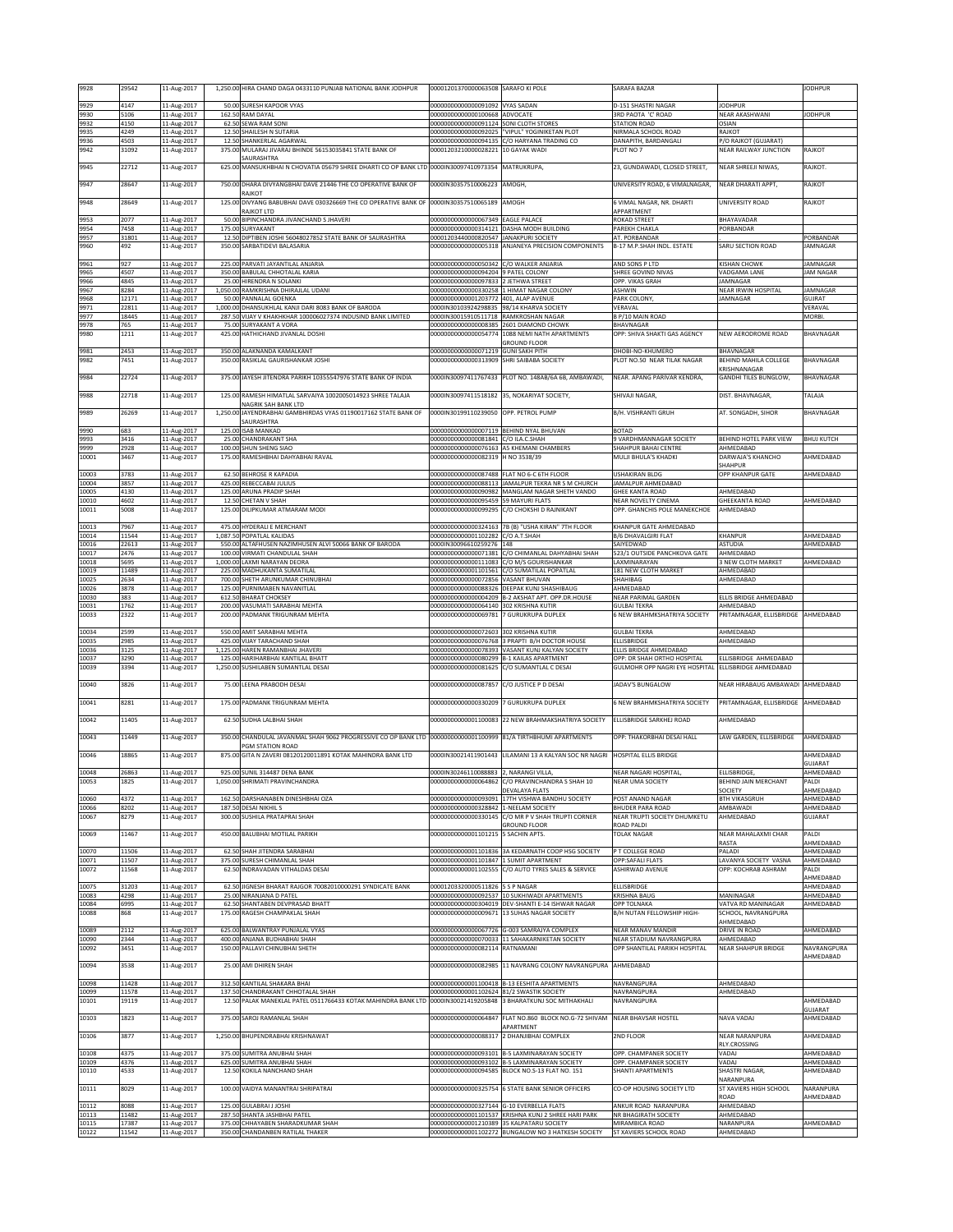| 9928           | 29542          | 11-Aug-2017                |         | 1,250.00 HIRA CHAND DAGA 0433110 PUNJAB NATIONAL BANK JODHPUR                                                 | 00001201370000063508 SARAFO KI POLE                                                |                                                                                                   | SARAFA BAZAR                                               |                                                     | <b>JODHPUR</b>              |
|----------------|----------------|----------------------------|---------|---------------------------------------------------------------------------------------------------------------|------------------------------------------------------------------------------------|---------------------------------------------------------------------------------------------------|------------------------------------------------------------|-----------------------------------------------------|-----------------------------|
| 9929<br>9930   | 4147<br>5106   | 11-Aug-2017                |         | 50.00 SURESH KAPOOR VYAS<br>162.50 RAM DAYAL                                                                  | 00000000000000091092 VYAS SADAN<br>00000000000000100668 ADVOCATE                   |                                                                                                   | D-151 SHASTRI NAGAR<br><b>BRD PAOTA 'C' ROAD</b>           | <b>JODHPUR</b><br>NEAR AKASHWANI                    | <b>JODHPUR</b>              |
| 9932           | 4150           | 11-Aug-2017<br>11-Aug-2017 |         | 62.50 SEWA RAM SON                                                                                            | 00000000000000091124 SONI CLOTH STORES                                             |                                                                                                   | <b>STATION ROAD</b>                                        | OSIAN                                               |                             |
| 9935<br>9936   | 4249<br>4503   | 11-Aug-2017<br>11-Aug-2017 |         | 12.50 SHAILESH N SUTARIA<br>12.50 SHANKERLAL AGARWAL                                                          |                                                                                    | 00000000000000092025 "VIPUL" YOGINIKETAN PLOT<br>00000000000000094135 C/O HARYANA TRADING CO      | NIRMALA SCHOOL ROAD<br>DANAPITH, BARDANGALI                | RAJKOT<br>P/O RAJKOT (GUJARAT)                      |                             |
| 9942           | 31092          | 11-Aug-2017                |         | 375.00 MULARAJ JIVARAJ BHINDE 56153035841 STATE BANK OF                                                       | 00001203210000028221 10 GAYAK WADI                                                 |                                                                                                   | PLOT NO 7                                                  | <b>NEAR RAILWAY JUNCTION</b>                        | RAJKOT                      |
| 9945           | 22712          | 11-Aug-2017                |         | SAURASHTRA<br>625.00 MANSUKHBHAI N CHOVATIA 05679 SHREE DHARTI CO OP BANK LTD 0000IN30097410973354 MATRUKRUPA |                                                                                    |                                                                                                   | 23, GUNDAWADI, CLOSED STREET,                              | NEAR SHREEJI NIWAS,                                 | RAJKOT.                     |
| 9947           | 28647          | 11-Aug-2017                |         | 750.00 DHARA DIVYANGBHAI DAVE 21446 THE CO OPERATIVE BANK OF                                                  | 0000IN30357510006223                                                               | AMOGH.                                                                                            | UNIVERSITY ROAD, 6 VIMAI NAGAR.                            | NEAR DHARATI APPT.                                  | RAJKOT                      |
| 9948           | 28649          | 11-Aug-2017                |         | RAJKOT<br>125.00 DIVYANG BABUBHAI DAVE 030326669 THE CO OPERATIVE BANK OF 0000IN30357510065189 AMOGH          |                                                                                    |                                                                                                   | 6 VIMAL NAGAR, NR. DHARTI                                  | UNIVERSITY ROAD                                     | RAJKOT                      |
| 9953           | 2077           | 11-Aug-2017                |         | RAJKOT LTD<br>50.00 BIPINCHANDRA JIVANCHAND S JHAVERI                                                         | 00000000000000067349 EAGLE PALACE                                                  |                                                                                                   | APPARTMENT<br><b>ROKAD STREET</b>                          | BHAYAVADAR                                          |                             |
| 9954           | 7458           | 11-Aug-2017                |         | 175.00 SURYAKANT                                                                                              | 00001203440000820547 JANAKPURI SOCIETY                                             | 00000000000000314121 DASHA MODH BUILDING                                                          | PAREKH CHAKLA<br>AT. PORBANDAR                             | PORBANDAR                                           |                             |
| 9957<br>9960   | 31801<br>492   | 11-Aug-2017<br>11-Aug-2017 |         | 12.50 DIPTIBEN JOSHI 56048027852 STATE BANK OF SAURASHTRA<br>350.00 SARBATIDEVI BALASARIA                     |                                                                                    | 00000000000000005318 ANJANEYA PRECISION COMPONENTS                                                | B-17 M.P.SHAH INDL. ESTATE                                 | SARU SECTION ROAD                                   | PORBANDAR<br>JAMNAGAR       |
| 9961           | 927            | 11-Aug-2017                |         | 225.00 PARVATI JAYANTILAL ANJARIA                                                                             | 00000000000000050342 C/O WALKER ANJARIA                                            |                                                                                                   | AND SONS P LTD                                             | <b>(ISHAN CHOWK</b>                                 | JAMNAGAR                    |
| 9965<br>9966   | 4507<br>4845   | 11-Aug-2017<br>11-Aug-2017 |         | 350.00 BABULAL CHHOTALAL KARIA<br>25.00 HIRENDRA N SOLANKI                                                    | 00000000000000094204 9 PATEL COLONY<br>00000000000000097833 2 JETHWA STREET        |                                                                                                   | SHREE GOVIND NIVAS                                         | VADGAMA LANE<br>JAMNAGAR                            | <b>JAM NAGAR</b>            |
| 9967           | 8284           | 11-Aug-2017                |         | 1,050.00 RAMKRISHNA DHIRAJLAL UDANI                                                                           |                                                                                    | 00000000000000330258 1 HIMAT NAGAR COLONY                                                         | OPP. VIKAS GRAH<br>ASHWIN                                  | NEAR IRWIN HOSPITAL                                 | JAMNAGAR                    |
| 9968<br>9971   | 12171<br>22811 | 11-Aug-2017<br>11-Aug-2017 |         | 50.00 PANNALAL GOENKA<br>1,000.00 DHANSUKHLAL KANJI DARI 8083 BANK OF BARODA                                  | 00000000000001203772 401, ALAP AVENUE<br>0000IN30103924298835 98/14 KHARVA SOCIETY |                                                                                                   | PARK COLONY,<br>VERAVAL                                    | <b>IAMNAGAR</b>                                     | <b>GUJRAT</b><br>VERAVAL    |
| 9977           | 18445          | 11-Aug-2017                |         | 287.50 VIJAY V KHAKHKHAR 100006027374 INDUSIND BANK LIMITED                                                   | 0000IN30015910511718 RAMKROSHAN NAGAR                                              |                                                                                                   | B P/10 MAIN ROAD                                           |                                                     | MORBI.                      |
| 9978<br>9980   | 765<br>1211    | 11-Aug-2017<br>11-Aug-2017 |         | 75.00 SURYAKANT A VORA<br>425.00 HATHICHAND JIVANLAL DOSHI                                                    | 000000000000000008385 2601 DIAMOND CHOWK                                           | 000000000000000054774 1088 NEMI NATH APARTMENTS                                                   | BHAVNAGAR<br>OPP: SHIVA SHAKTI GAS AGENCY                  | NEW AERODROME ROAD                                  | BHAVNAGAR                   |
| 9981           | 2453           | 11-Aug-2017                |         | 350.00 ALAKNANDA KAMALKANT                                                                                    | 00000000000000071219 GUNI SAKH PITH                                                | <b>GROUND FLOOR</b>                                                                               | DHOBI-NO-KHUMERO                                           | BHAVNAGAR                                           |                             |
| 9982           | 7451           | 11-Aug-2017                |         | 350.00 RASIKLAL GAURISHANKAR JOSHI                                                                            | 00000000000000313909 SHRI SAIBABA SOCIETY                                          |                                                                                                   | PLOT NO.50 NEAR TILAK NAGAR                                | BEHIND MAHILA COLLEGE                               | BHAVNAGAR                   |
| 9984           | 22724          | 11-Aug-2017                |         | 375.00 JAYESH JITENDRA PARIKH 10355547976 STATE BANK OF INDIA                                                 |                                                                                    | 0000IN30097411767433 PLOT NO. 148AB/6A 6B, AMBAWADI                                               | NEAR. APANG PARIVAR KENDRA                                 | <b>CRISHNANAGAR</b><br><b>GANDHI TILES BUNGLOW,</b> | BHAVNAGAR                   |
| 9988           | 22718          | 11-Aug-2017                |         | 125.00 RAMESH HIMATLAL SARVAIYA 1002005014923 SHREE TALAJA                                                    |                                                                                    | 0000IN30097411518182 35, NOKARIYAT SOCIETY,                                                       | SHIVAJI NAGAR.                                             | DIST. BHAVNAGAR,                                    | TALAJA                      |
|                |                |                            |         | <b>NAGRIK SAH BANK LTD</b>                                                                                    |                                                                                    |                                                                                                   |                                                            |                                                     |                             |
| 9989           | 26269          | 11-Aug-2017                |         | 1,250.00 JAYENDRABHAI GAMBHIRDAS VYAS 01190017162 STATE BANK OF<br>SAURASHTRA                                 | 0000IN30199110239050 OPP. PETROL PUMP                                              |                                                                                                   | B/H. VISHRANTI GRUH                                        | AT. SONGADH, SIHOR                                  | BHAVNAGAR                   |
| 9990<br>9993   | 683<br>3416    | 11-Aug-2017<br>11-Aug-2017 |         | 125.00 ISAB MANKAD<br>25.00 CHANDRAKANT SHA                                                                   | 00000000000000007119 BEHIND NYAL BHUVAN<br>00000000000000081841 C/O ILA.C.SHAH     |                                                                                                   | <b>BOTAD</b><br>9 VARDHMANNAGAR SOCIETY                    | BEHIND HOTEL PARK VIEW                              | <b>BHUJ KUTCH</b>           |
| 9999           | 2928           | 11-Aug-2017                |         | 100.00 SHUN SHENG SIAO                                                                                        |                                                                                    | 00000000000000076163 A5 KHEMANI CHAMBERS                                                          | SHAHPUR BAHAI CENTRE                                       | AHMEDABAD                                           |                             |
| 10001          | 3467           | 11-Aug-2017                |         | 175.00 RAMESHBHAI DAHYABHAI RAVAL                                                                             | 00000000000000082319 H NO 3538/39                                                  |                                                                                                   | MULJI BHULA'S KHADKI                                       | DARWAJA'S KHANCHO<br><b>HAHPUR</b>                  | AHMEDABAD                   |
| 10003<br>10004 | 3783<br>3857   | 11-Aug-2017<br>11-Aug-2017 |         | 62.50 BEHROSE R KAPADIA<br>425.00 REBECCABAI JULIUS                                                           | 00000000000000087488 FLAT NO 6-C 6TH FLOOR                                         | 000000000000000088113 JAMALPUR TEKRA NR S M CHURCH                                                | <b>JSHAKIRAN BLDG</b><br>AMALPUR AHMEDABAD                 | <b>OPP KHANPUR GATE</b>                             | AHMEDABAD                   |
| 10005          | 4130           | 11-Aug-2017                |         | 125.00 ARUNA PRADIP SHAH                                                                                      |                                                                                    | 00000000000000090982 MANGLAM NAGAR SHETH VANDO                                                    | GHEE KANTA ROAD                                            | <b>HMEDABAD</b>                                     |                             |
| 10010<br>10011 | 4602<br>5008   | 11-Aug-2017<br>11-Aug-2017 |         | 12.50 CHETAN V SHAH<br>125.00 DILIPKUMAR ATMARAM MODI                                                         | 00000000000000095459 59 MAYURI FLATS                                               | 00000000000000099295 C/O CHOKSHI D RAJNIKANT                                                      | <b>NEAR NOVELTY CINEMA</b><br>OPP. GHANCHIS POLE MANEKCHOE | <b>GHEEKANTA ROAD</b><br>AHMEDABAD                  | AHMEDABAD                   |
| 10013          | 7967           | 11-Aug-2017                |         | 475.00 HYDERALI E MERCHANT                                                                                    |                                                                                    | 00000000000000324163 7B (B) "USHA KIRAN" 7TH FLOOR                                                | KHANPUR GATE AHMEDABAD                                     |                                                     |                             |
| 10014          | 11544          | 11-Aug-2017                |         | 1,087.50 POPATLAL KALIDAS                                                                                     | 00000000000001102282 C/O A.T.SHAH                                                  |                                                                                                   | B/6 DHAVALGIRI FLAT                                        | KHANPUR                                             | AHMEDABAD                   |
| 10016<br>10017 | 22613<br>2476  | 11-Aug-2017<br>11-Aug-2017 |         | 550.00 ALTAFHUSEN NAZIMHUSEN ALVI 50066 BANK OF BARODA<br>100.00 VIRMATI CHANDULAL SHAH                       | 0000IN30096610259276 148                                                           | 00000000000000071381 C/O CHIMANLAL DAHYABHAI SHAH                                                 | SAIYEDWAD<br>523/1 OUTSIDE PANCHKOVA GATE                  | ASTUDIA<br>AHMEDABAD                                | AHMEDABAD                   |
| 10018<br>10019 | 5695<br>11489  | 11-Aug-2017<br>11-Aug-2017 |         | 1,000.00 LAXMI NARAYAN DEORA<br>225.00 MADHUKANTA SUMATILAL                                                   |                                                                                    | 00000000000000111083 C/O M/S GOURISHANKAR<br>00000000000001101561 C/O SUMATILAL POPATLAL          | AXMINARAYAN<br>181 NEW CLOTH MARKET                        | NEW CLOTH MARKET<br>AHMEDABAD                       | AHMEDABAD                   |
| 10025          | 2634           | 11-Aug-2017                |         | 700.00 SHETH ARUNKUMAR CHINUBHAI                                                                              | 00000000000000072856 VASANT BHUVAN                                                 |                                                                                                   | SHAHIBAG                                                   | AHMEDABAD                                           |                             |
| 10026<br>10030 | 3878<br>383    | 11-Aug-2017<br>11-Aug-2017 |         | 125.00 PURNIMABEN NAVANITLAL<br>612.50 BHARAT CHOKSEY                                                         |                                                                                    | 000000000000000088326 DEEPAK KUNJ SHASHIBAUG<br>00000000000000004209 B-2 AKSHAT APT. OPP.DR.HOUSE | AHMEDABAD<br>NEAR PARIMAL GARDEN                           | ELLIS BRIDGE AHMEDABAD                              |                             |
| 10031<br>10033 | 1762<br>2322   | 11-Aug-2017<br>11-Aug-2017 |         | 200.00 VASUMATI SARABHAI MEHTA<br>200.00 PADMANK TRIGUNRAM MEHTA                                              | 00000000000000064140 302 KRISHNA KUTIR<br>000000000000000069781 7 GURUKRUPA DUPLEX |                                                                                                   | <b>GULBAI TEKRA</b><br>6 NEW BRAHMKSHATRIYA SOCIETY        | AHMEDABAD<br>PRITAMNAGAR, ELLISBRIDGE AHMEDABAD     |                             |
|                |                |                            |         |                                                                                                               |                                                                                    |                                                                                                   |                                                            |                                                     |                             |
| 10034<br>10035 | 2599<br>2985   | 11-Aug-2017<br>11-Aug-2017 |         | 550.00 AMIT SARABHAI MEHTA<br>425.00 VIJAY TARACHAND SHAH                                                     | 00000000000000072603 302 KRISHNA KUTIR                                             | 00000000000000076768 3 PRAPTI B/H DOCTOR HOUSE                                                    | <b>GULBAI TEKRA</b><br>ELLISBRIDGE                         | HMEDABAD<br>AHMEDABAD                               |                             |
| 10036<br>10037 | 3125<br>3290   | 11-Aug-2017<br>11-Aug-2017 |         | 1,125.00 HAREN RAMANBHAI JHAVERI<br>125.00 HARIHARBHAI KANTILAL BHATT                                         | 000000000000000080299 B-1 KAILAS APARTMENT                                         | 00000000000000078393 VASANT KUNJ KALYAN SOCIETY                                                   | ELLIS BRIDGE AHMEDABAD<br>OPP: DR SHAH ORTHO HOSPITAL      | ELLISBRIDGE AHMEDABAD                               |                             |
| 10039          | 3394           | 11-Aug-2017                |         | 1,250.00 SUSHILABEN SUMANTLAL DESAI                                                                           |                                                                                    | 00000000000000081625 C/O SUMANTLAL C DESAI                                                        | GULMOHR OPP NAGRI EYE HOSPITAL                             | ELLISBRIDGE AHMEDABAD                               |                             |
| 10040          | 3826           | 11-Aug-2017                |         | 75.00 LEENA PRABODH DESAI                                                                                     | 00000000000000087857 C/O JUSTICE P D DESAI                                         |                                                                                                   | <b>JADAV'S BUNGALOW</b>                                    | VEAR HIRABAUG AMBAWADI                              | AHMEDABAD                   |
| 10041          | 8281           | 11-Aug-2017                |         | 175.00 PADMANK TRIGUNRAM MEHTA                                                                                | 00000000000000330209 7 GURUKRUPA DUPLEX                                            |                                                                                                   | <b>NEW BRAHMKSHATRIYA SOCIETY</b>                          | PRITAMNAGAR, ELLISBRIDGE                            | AHMEDABAD                   |
|                |                |                            |         |                                                                                                               |                                                                                    |                                                                                                   |                                                            |                                                     |                             |
| 10042          | 11405          | 11-Aug-2017                |         | 62.50 SUDHA LALBHAI SHAH                                                                                      |                                                                                    | 00000000000001100083 22 NEW BRAHMAKSHATRIYA SOCIETY                                               | ELLISBRIDGE SARKHEJ ROAD                                   | AHMEDABAD                                           |                             |
| 10043          | 11449          | 11-Aug-2017                |         | 350.00 CHANDULAL JAVANMAL SHAH 9062 PROGRESSIVE CO OP BANK LTD<br><b>PGM STATION ROAD</b>                     |                                                                                    | 00000000000001100999 81/A TIRTHBHUMI APARTMENTS                                                   | OPP: THAKORBHAI DESAI HALL                                 | LAW GARDEN, ELLISBRIDGE                             | AHMEDABAD                   |
| 10046          | 18865          | 11-Aug-2017                |         | 875.00 GITA N ZAVERI 08120120011891 KOTAK MAHINDRA BANK LTD                                                   |                                                                                    | 0000IN30021411901443 LILAMANI 13 A KALYAN SOC NR NAGRI                                            | HOSPITAL ELLIS BRIDGE                                      |                                                     | AHMEDABAD                   |
| 10048          | 26863          | 11-Aug-2017                |         | 925.00 SUNIL 314487 DENA BANK                                                                                 | 0000IN30246110088883 2, NARANGI VILLA,                                             |                                                                                                   | <b>NEAR NAGARI HOSPITAL.</b>                               | ELLISBRIDGE,                                        | <b>GUJARAT</b><br>AHMEDABAD |
| 10053          | 1825           | L1-Aug-2017                | 1,050.0 | SHKIMA I I PRAVINCHANDKA                                                                                      | 1000000000000064862                                                                | L/O PRAVINCHANDRA S SHAH 10<br>DEVALAYA FLATS                                                     | IEAR UMA SUCIETY                                           | IEHIND JAIN MEKCHAN I<br>SOCIETY                    | ALDI<br>AHMEDABAD           |
| 10060          | 4372           | 11-Aug-2017                |         | 162.50 DARSHANABEN DINESHBHAI OZA                                                                             |                                                                                    | 00000000000000093091 17TH VISHWA BANDHU SOCIETY                                                   | POST ANAND NAGAR                                           | BTH VIKASGRUH                                       | AHMEDABAD                   |
| 10066<br>10067 | 8202<br>8279   | 11-Aug-2017<br>11-Aug-2017 |         | 187.50 DESAI NIKHIL S<br>300.00 SUSHILA PRATAPRAI SHAH                                                        | 00000000000000328842 1-NEELAM SOCIETY                                              | 00000000000000330145 C/O MR P V SHAH TRUPTI CORNER                                                | <b>BHUDER PARA ROAD</b><br>NEAR TRUPTI SOCIETY DHUMKETU    | AMBAWADI<br>AHMEDABAD                               | AHMEDABAD<br>GUJARAT        |
| 10069          | 11467          | 11-Aug-2017                |         | 450.00 BALUBHAI MOTILAL PARIKH                                                                                | 00000000000001101215 5 SACHIN APTS.                                                | <b>GROUND FLOOR</b>                                                                               | ROAD PALDI<br><b>TOLAK NAGAR</b>                           | NEAR MAHALAXMI CHAR                                 | PALDI                       |
|                |                |                            |         |                                                                                                               |                                                                                    |                                                                                                   |                                                            | RASTA                                               | AHMEDABAD                   |
| 10070<br>10071 | 11506<br>11507 | 11-Aug-2017<br>11-Aug-2017 |         | 62.50 SHAH JITENDRA SARABHAI<br>375.00 SURESH CHIMANLAL SHAH                                                  | 00000000000001101847 1 SUMIT APARTMENT                                             | 00000000000001101836 3A KEDARNATH COOP HSG SOCIETY                                                | P T COLLEGE ROAD<br>OPP:SAFALI FLATS                       | ALADI<br>LAVANYA SOCIETY VASNA                      | AHMEDABAD<br>AHMEDABAD      |
| 10072          | 11568          | 11-Aug-2017                |         | 62.50 INDRAVADAN VITHALDAS DESAI                                                                              |                                                                                    | 00000000000001102555 C/O AUTO TYRES SALES & SERVICE                                               | ASHIRWAD AVENUE                                            | OPP: KOCHRAB ASHRAM                                 | PALDI                       |
| 10075          | 31203          | 11-Aug-2017                |         | 62.50 JIGNESH BHARAT RAJGOR 70082010000291 SYNDICATE BANK                                                     | 00001203320000511826 5 S P NAGAR                                                   |                                                                                                   | ELLISBRIDGE                                                |                                                     | AHMEDABAD<br>AHMEDABAD      |
| 10083<br>10084 | 4298<br>6995   | 11-Aug-2017<br>11-Aug-2017 |         | 25.00 NIRANJANA D PATEL<br>62.50 SHANTABEN DEVPRASAD BHATT                                                    |                                                                                    | 00000000000000092537 10 SUKHIWADI APARTMENTS<br>00000000000000304019 DEV-SHANTI E-14 ISHWAR NAGAR | <b>KRISHNA BAUG</b><br>OPP TOLNAKA                         | MANINAGAR<br>VATVA RD MANINAGAR                     | AHMEDABAD<br>AHMEDABAD      |
| 10088          | 868            | 11-Aug-2017                |         | 175.00 RAGESH CHAMPAKLAL SHAH                                                                                 |                                                                                    | 00000000000000009671 13 SUHAS NAGAR SOCIETY                                                       | B/H NUTAN FELLOWSHIP HIGH-                                 | SCHOOL, NAVRANGPURA                                 |                             |
| 10089          | 2112           | 11-Aug-2017                |         | 625.00 BALWANTRAY PUNJALAL VYAS                                                                               |                                                                                    | 00000000000000067726 G-003 SAMRAJYA COMPLEX                                                       | NEAR MANAV MANDIR                                          | AHMEDABAD<br>DRIVE IN ROAD                          | AHMEDABAD                   |
| 10090<br>10092 | 2344<br>3451   | 11-Aug-2017<br>11-Aug-2017 |         | 400.00 ANJANA BUDHABHAI SHAH<br>150.00 PALLAVI CHINUBHAI SHETH                                                | 000000000000000082114 RATNAMANI                                                    | 000000000000000070033 11 SAHAKARNIKETAN SOCIETY                                                   | NEAR STADIUM NAVRANGPURA<br>OPP SHANTILAL PARIKH HOSPITAL  | AHMEDABAD<br>NEAR SHAHPUR BRIDGE                    | NAVRANGPURA                 |
|                |                |                            |         |                                                                                                               |                                                                                    |                                                                                                   |                                                            |                                                     | AHMEDABAD                   |
| 10094          | 3538           | 11-Aug-2017                |         | 25.00 AMI DHIREN SHAH                                                                                         |                                                                                    | 00000000000000082985 11 NAVRANG COLONY NAVRANGPURA                                                | AHMEDABAD                                                  |                                                     |                             |
| 10098<br>10099 | 11428<br>11578 | 11-Aug-2017<br>11-Aug-2017 |         | 312.50 KANTILAL SHAKARA BHAI<br>137.50 CHANDRAKANT CHHOTALAL SHAH                                             | 00000000000001102624 81/2 SWASTIK SOCIETY                                          | 00000000000001100418 B-13 EESHITA APARTMENTS                                                      | NAVRANGPURA<br>VAVRANGPURA                                 | AHMEDABAD<br>AHMEDABAD                              |                             |
| 10101          | 19119          | 11-Aug-2017                |         | 12.50 PALAK MANEKLAL PATEL 0511766433 KOTAK MAHINDRA BANK LTD                                                 |                                                                                    | 0000IN30021419205848 3 BHARATKUNJ SOC MITHAKHALI                                                  | VAVRANGPURA                                                |                                                     | AHMEDABAD                   |
| 10103          | 1823           | 11-Aug-2017                |         | 375.00 SAROJ RAMANLAL SHAH                                                                                    |                                                                                    | 00000000000000064847 FLAT NO.860 BLOCK NO.G-72 SHIVAM                                             | <b>NEAR BHAVSAR HOSTEL</b>                                 | VAVA VADAJ                                          | GUJARAT<br>AHMEDABAD        |
| 10106          | 3877           | 11-Aug-2017                |         | 1,250.00 BHUPENDRABHAI KRISHNAWAT                                                                             |                                                                                    | APARTMENT<br>000000000000000088317 2 DHANJIBHAI COMPLEX                                           | 2ND FLOOR                                                  | NEAR NARANPURA                                      | AHMEDABAD                   |
|                |                |                            |         |                                                                                                               |                                                                                    |                                                                                                   |                                                            | RLY.CROSSING                                        |                             |
| 10108<br>10109 | 4375<br>4376   | 11-Aug-2017<br>11-Aug-2017 |         | 375.00 SUMITRA ANUBHAI SHAH<br>625.00 SUMITRA ANUBHAI SHAH                                                    |                                                                                    | 00000000000000093101 B-5 LAXMINARAYAN SOCIETY<br>00000000000000093102 B-5 LAXMINARAYAN SOCIETY    | OPP. CHAMPANER SOCIETY<br>OPP. CHAMPANER SOCIETY           | VADAJ<br><b>ADAJ</b>                                | AHMEDABAD<br>AHMEDABAD      |
| 10110          | 4533           | 11-Aug-2017                |         | 12.50 KOKILA NANCHAND SHAH                                                                                    |                                                                                    | 00000000000000094585 BLOCK NO.S-13 FLAT NO. 151                                                   | SHANTI APARTMENTS                                          | HASTRI NAGAR,                                       | AHMEDABAD                   |
| 10111          | 8029           | 11-Aug-2017                |         | 100.00 VAIDYA MANANTRAI SHRIPATRAI                                                                            |                                                                                    | 00000000000000325754 6 STATE BANK SENIOR OFFICERS                                                 | CO-OP HOUSING SOCIETY LTD                                  | NARANPURA<br>ST XAVIERS HIGH SCHOOL                 | NARANPURA                   |
| 10112          | 8088           | 11-Aug-2017                |         | 125.00 GULABRAI J JOSHI                                                                                       | 00000000000000327144 G-10 EVERBELLA FLATS                                          |                                                                                                   | ANKUR ROAD NARANPURA                                       | <b>GAOR</b><br>AHMEDABAD                            | AHMEDABAD                   |
| 10113          | 11482          | 11-Aug-2017                |         | 287.50 SHANTA JASHBHAI PATEL<br>375.00 CHHAYABEN SHARADKUMAR SHAH                                             | 00000000000001210389 35 KALPATARU SOCIETY                                          | 00000000000001101537 KRISHNA KUNJ 2 SHREE HARI PARK                                               | NR BHAGIRATH SOCIETY<br>MIRAMBICA ROAD                     | AHMEDABAD<br>NARANPURA                              | AHMEDABAD                   |
| 10115<br>10122 | 17387<br>11542 | 11-Aug-2017<br>11-Aug-2017 |         | 350.00 CHANDANBEN RATILAL THAKER                                                                              |                                                                                    | 00000000000001102272 BUNGALOW NO 3 HATKESH SOCIETY                                                | ST XAVIERS SCHOOL ROAD                                     | AHMEDABAD                                           |                             |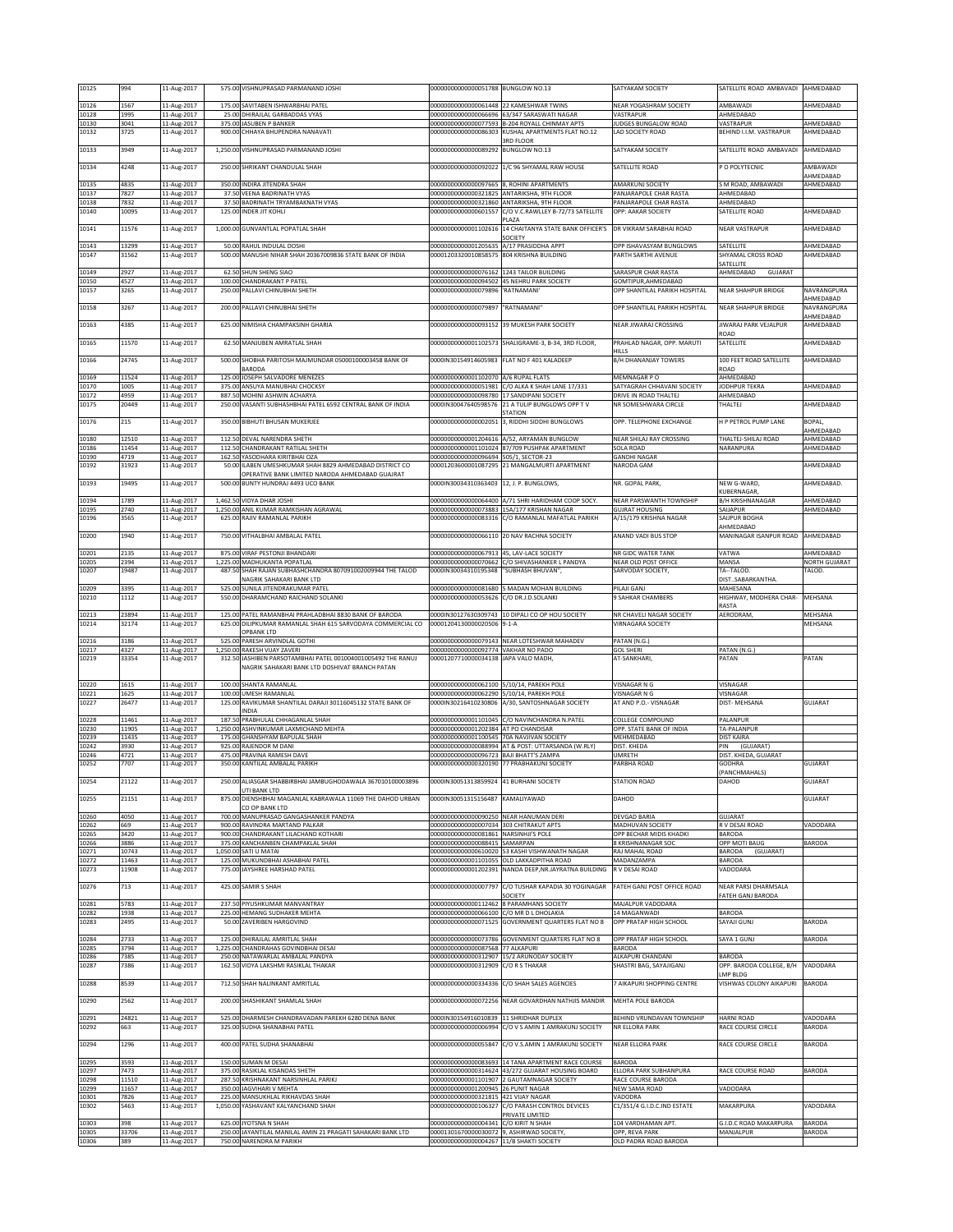| 10125          | 994            | 11-Aug-2017                |       | 575.00 VISHNUPRASAD PARMANAND JOSHI                                                                                   | 00000000000000051788 BUNGLOW NO.13                                                                            |                                                                          | SATYAKAM SOCIETY                                     | SATELLITE ROAD AMBAVADI                | AHMEDABAD                  |
|----------------|----------------|----------------------------|-------|-----------------------------------------------------------------------------------------------------------------------|---------------------------------------------------------------------------------------------------------------|--------------------------------------------------------------------------|------------------------------------------------------|----------------------------------------|----------------------------|
| 10126          | 1567           | 11-Aug-2017                |       | 175.00 SAVITABEN ISHWARBHAI PATEL                                                                                     | 0000000000000061448                                                                                           | 22 KAMESHWAR TWINS                                                       | NEAR YOGASHRAM SOCIETY                               | AMBAWADI                               | AHMEDABAD                  |
| 10128<br>10130 | 1995<br>3041   | 11-Aug-2017<br>11-Aug-2017 |       | 25.00 DHIRAJLAL GARBADDAS VYAS<br>375.00 JASUBEN P BANKER                                                             | 00000000000000066696<br>0000000000000077593                                                                   | 53/347 SARASWATI NAGAR<br>B-204 ROYALL CHINMAY APTS                      | VASTRAPUR<br><b>JUDGES BUNGALOW ROAD</b>             | AHMEDABAD<br>VASTRAPUR                 | AHMEDABAD                  |
| 10132          | 3725           | 11-Aug-2017                |       | 900.00 CHHAYA BHUPENDRA NANAVATI                                                                                      | 00000000000000086303                                                                                          | KUSHAL APARTMENTS FLAT NO.12                                             | LAD SOCIETY ROAD                                     | BEHIND I.I.M. VASTRAPUR                | AHMEDABAD                  |
| 10133          | 3949           | 11-Aug-2017                |       | 1,250.00 VISHNUPRASAD PARMANAND JOSHI                                                                                 | 00000000000000089292                                                                                          | <b>BRD FLOOR</b><br><b>BUNGLOW NO.13</b>                                 | SATYAKAM SOCIETY                                     | SATELLITE ROAD AMBAVADI                | AHMEDABAD                  |
| 10134          | 4248           | 11-Aug-2017                |       | 250.00 SHRIKANT CHANDULAL SHAH                                                                                        | 00000000000000092022                                                                                          | 1/C 96 SHYAMAL RAW HOUSE                                                 | SATELLITE ROAD                                       | P O POLYTECNIC                         | AMBAWADI                   |
|                |                |                            |       |                                                                                                                       |                                                                                                               |                                                                          |                                                      |                                        | AHMEDABAD                  |
| 10135<br>10137 | 4835<br>7827   | 11-Aug-2017<br>11-Aug-2017 |       | 350.00 INDIRA JITENDRA SHAH<br>37.50 VEENA BADRINATH VYAS                                                             | 0000000000000097665<br>00000000000000321825                                                                   | 8, ROHINI APARTMENTS<br><b>INTARIKSHA, 9TH FLOOR</b>                     | <b>MARKUNJ SOCIETY</b><br>PANJARAPOLE CHAR RASTA     | S M ROAD, AMBAWADI<br>AHMEDABAD        | AHMEDABAD                  |
| 10138          | 7832           | 11-Aug-2017                |       | 37.50 BADRINATH TRYAMBAKNATH VYAS                                                                                     |                                                                                                               | 00000000000000321860 ANTARIKSHA, 9TH FLOOR                               | PANJARAPOLE CHAR RASTA                               | AHMEDABAD                              |                            |
| 10140          | 10095          | 11-Aug-2017                |       | 125.00 INDER JIT KOHLI                                                                                                | 00000000000000601557                                                                                          | C/O V.C.RAWLLEY B-72/73 SATELLITE<br>LAZA                                | OPP: AAKAR SOCIETY                                   | SATELLITE ROAD                         | AHMEDABAD                  |
| 10141          | 11576          | 11-Aug-2017                |       | 1,000.00 GUNVANTLAL POPATLAL SHAH                                                                                     | 00000000000001102616                                                                                          | 14 CHAITANYA STATE BANK OFFICER'S                                        | DR VIKRAM SARABHAI ROAD                              | <b>NEAR VASTRAPUR</b>                  | AHMEDABAD                  |
| 10143          | 13299          | 11-Aug-2017                |       | 50.00 RAHUL INDULAL DOSHI                                                                                             | 00000000000001205635                                                                                          | SOCIETY<br>A/17 PRASIDDHA APPT                                           | OPP ISHAVASYAM BUNGLOWS                              | SATELLITE                              | AHMEDABAD                  |
| 10147          | 31562          | 11-Aug-2017                |       | 500.00 MANUSHI NIHAR SHAH 20367009836 STATE BANK OF INDIA                                                             | 00001203320010858575                                                                                          | 804 KRISHNA BUILDING                                                     | <b>PARTH SARTHI AVENUE</b>                           | SHYAMAL CROSS ROAD                     | AHMEDABAD                  |
| 10149          | 2927           | 11-Aug-2017                |       | 62.50 SHUN SHENG SIAO                                                                                                 | 00000000000000076162 1243 TAILOR BUILDING                                                                     |                                                                          | SARASPUR CHAR RASTA                                  | SATELLITE<br>AHMEDABAD<br>GUJARAT      |                            |
| 10150<br>10157 | 4527<br>3265   | 11-Aug-2017<br>11-Aug-2017 |       | 100.00 CHANDRAKANT P PATEL<br>250.00 PALLAVI CHINUBHAI SHETH                                                          | 00000000000000094502 45 NEHRU PARK SOCIETY<br>00000000000000079896                                            | 'RATNAMANI                                                               | GOMTIPUR, AHMEDABAD<br>OPP SHANTILAL PARIKH HOSPITAL | <b>NEAR SHAHPUR BRIDGE</b>             | NAVRANGPURA                |
|                |                |                            |       |                                                                                                                       |                                                                                                               |                                                                          |                                                      |                                        | AHMEDABAD                  |
| 10158          | 3267           | 11-Aug-2017                |       | 200.00 PALLAVI CHINUBHAI SHETH                                                                                        | 00000000000000079897                                                                                          | "RATNAMANI"                                                              | OPP SHANTILAL PARIKH HOSPITAL                        | NEAR SHAHPUR BRIDGE                    | NAVRANGPURA<br>AHMEDABAD   |
| 10163          | 4385           | 11-Aug-2017                |       | 625.00 NIMISHA CHAMPAKSINH GHARIA                                                                                     | 0000000000000093152                                                                                           | 39 MUKESH PARK SOCIETY                                                   | NEAR JIWARAJ CROSSING                                | JIWARAJ PARK VEJALPUR                  | AHMEDABAD                  |
| 10165          | 11570          | 11-Aug-2017                |       | 62.50 MANJUBEN AMRATLAL SHAH                                                                                          | 00000000000001102573                                                                                          | SHALIGRAME-3, B-34, 3RD FLOOR,                                           | PRAHLAD NAGAR, OPP. MARUTI                           | ROAD<br>SATELLITE                      | AHMEDABAD                  |
|                |                |                            |       |                                                                                                                       |                                                                                                               |                                                                          | HILLS                                                |                                        |                            |
| 10166          | 24745          | 11-Aug-2017                |       | 500.00 SHOBHA PARITOSH MAJMUNDAR 05000100003458 BANK OF<br><b>BARODA</b>                                              | 0000IN30154914605983                                                                                          | FLAT NO F 401 KALADEEP                                                   | <b>B/H DHANANJAY TOWERS</b>                          | 100 FEET ROAD SATELLITE<br><b>ROAD</b> | AHMEDABAD                  |
| 10169          | 11524          | 11-Aug-2017                |       | 125.00 JOSEPH SALVADORE MENEZES                                                                                       | 00000000000001102070                                                                                          | A/6 RUPAL FLATS                                                          | MEMNAGAR PO                                          | AHMEDABAD                              |                            |
| 10170<br>10172 | 1005<br>4959   | 11-Aug-2017<br>11-Aug-2017 |       | 375.00 ANSUYA MANUBHAI CHOCKSY<br>887.50 MOHINI ASHWIN ACHARYA                                                        | 00000000000000098780                                                                                          | 00000000000000051981 C/O ALKA K SHAH LANE 17/331<br>17 SANDIPANI SOCIETY | SATYAGRAH CHHAVANI SOCIETY<br>DRIVE IN ROAD THALTEJ  | JODHPUR TEKRA<br>AHMEDABAD             | AHMEDABAD                  |
| 10175          | 20449          | 11-Aug-2017                |       | 250.00 VASANTI SUBHASHBHAI PATEL 6592 CENTRAL BANK OF INDIA                                                           | 0000IN30047640598576                                                                                          | 21 A TULIP BUNGLOWS OPP TV<br>TATION                                     | NR SOMESHWARA CIRCLE                                 | THALTEJ                                | AHMEDABAD                  |
| 10176          | 215            | 11-Aug-2017                |       | 350.00 BIBHUTI BHUSAN MUKERJEE                                                                                        | 00000000000000002051                                                                                          | 3, RIDDHI SIDDHI BUNGLOWS                                                | OPP. TELEPHONE EXCHANGE                              | H P PETROL PUMP LANE                   | BOPAL,                     |
| 10180          | 12510          | 11-Aug-2017                |       | 112.50 DEVAL NARENDRA SHETH                                                                                           | 00000000000001204616                                                                                          | A/52. ARYAMAN BUNGLOW                                                    | NEAR SHILAJ RAY CROSSING                             | THALTEJ-SHILAJ ROAD                    | AHMEDABAD<br>AHMEDABAD     |
| 10186          | 11454          | 11-Aug-2017                |       | 112.50 CHANDRAKANT RATILAL SHETH                                                                                      |                                                                                                               | 00000000000001101024 87/709 PUSHPAK APARTMENT                            | SOLA ROAD                                            | NARANPURA                              | AHMEDABAD                  |
| 10190<br>10192 | 4719<br>31923  | 11-Aug-2017<br>11-Aug-2017 |       | 162.50 YASODHARA KIRITBHAI OZA<br>50.00 ILABEN UMESHKUMAR SHAH 8829 AHMEDABAD DISTRICT CO                             | 00000000000000096694 505/1, SECTOR-23                                                                         | 00001203600001087295 21 MANGALMURTI APARTMENT                            | <b>GANDHI NAGAR</b><br>NARODA GAM                    |                                        | AHMEDABAD                  |
|                |                |                            |       | OPERATIVE BANK LIMITED NARODA AHMEDABAD GUAJRAT                                                                       |                                                                                                               |                                                                          |                                                      |                                        |                            |
| 10193          | 19495          | 11-Aug-2017                |       | 500.00 BUNTY HUNDRAJ 4493 UCO BANK                                                                                    | 0000IN30034310363403                                                                                          | 12, J. P. BUNGLOWS,                                                      | NR. GOPAL PARK,                                      | NEW G-WARD,<br><b>KUBERNAGAR</b>       | AHMEDABAD.                 |
| 10194          | 1789           | 11-Aug-2017                |       | 1,462.50 VIDYA DHAR JOSHI                                                                                             |                                                                                                               | 00000000000000064400 A/71 SHRI HARIDHAM COOP SOCY                        | NEAR PARSWANTH TOWNSHIP                              | <b>B/H KRISHNANAGAR</b>                | AHMEDABAD                  |
| 10195<br>10196 | 2740<br>3565   | 11-Aug-2017<br>11-Aug-2017 |       | 1,250.00 ANIL KUMAR RAMKISHAN AGRAWAL<br>625.00 RAJIV RAMANLAL PARIKH                                                 | 0000000000000073883<br>00000000000000083316                                                                   | 15A/177 KRISHAN NAGAR<br>C/O RAMANLAL MAFATLAL PARIKH                    | <b>GUJRAT HOUSING</b><br>A/15/179 KRISHNA NAGAR      | SAUAPUR<br>SAIJPUR BOGHA               | AHMEDABAD                  |
|                |                |                            |       |                                                                                                                       |                                                                                                               |                                                                          |                                                      | AHMEDABAD                              |                            |
| 10200          | 1940           | 11-Aug-2017                |       | 750.00 VITHALBHAI AMBALAL PATEL                                                                                       | 00000000000000066110                                                                                          | 20 NAV RACHNA SOCIETY                                                    | ANAND VADI BUS STOP                                  | MANINAGAR ISANPUR ROAD                 | AHMEDABAD                  |
| 10201<br>10205 | 2135<br>2394   | 11-Aug-2017<br>11-Aug-2017 |       | 875.00 VIRAF PESTONJI BHANDARI<br>1,225.00 MADHUKANTA POPATLAL                                                        | 0000000000000067913<br>00000000000000070662                                                                   | 45, LAV-LACE SOCIETY<br>C/O SHIVASHANKER L PANDYA                        | NR GIDC WATER TANK<br>NEAR OLD POST OFFICE           | VATWA<br>MANSA                         | AHMEDABAD<br>NORTH GUJARAT |
| 10207          | 19487          | 11-Aug-2017                |       | 487.50 SHAH RAJAN SUBHASHCHANDRA 807091002009944 THE TALOD                                                            | 0000IN30034310195348                                                                                          | 'SUBHASH BHUVAN",                                                        | SARVODAY SOCIETY,                                    | TA--TALOD.                             | TALOD.                     |
| 10209          | 3395           | 11-Aug-2017                |       | NAGRIK SAHAKARI BANK LTD<br>525.00 SUNILA JITENDRAKUMAR PATEL                                                         | 00000000000000081680                                                                                          | <b>MADAN MOHAN BUILDING</b>                                              | PILAJI GANJ                                          | DISTSABARKANTHA<br>MAHESANA            |                            |
| 10210          | 1112           | 11-Aug-2017                |       | 550.00 DHARAMCHAND RAICHAND SOLANKI                                                                                   | 00000000000000053626                                                                                          | C/O DR.J.D.SOLANKI                                                       | 9 SAHKAR CHAMBERS                                    | HIGHWAY, MODHERA CHAR-                 | MEHSANA                    |
|                |                |                            |       |                                                                                                                       |                                                                                                               |                                                                          |                                                      | RASTA                                  |                            |
|                |                |                            |       |                                                                                                                       |                                                                                                               |                                                                          |                                                      |                                        |                            |
| 10213<br>10214 | 23894<br>32174 | 11-Aug-2017<br>11-Aug-2017 |       | 125.00 PATEL RAMANBHAI PRAHLADBHAI 8830 BANK OF BARODA<br>625.00 DILIPKUMAR RAMANLAL SHAH 615 SARVODAYA COMMERCIAL CO | 00001204130000020506                                                                                          | 0000IN30127630309743 10 DIPALI CO OP HOU SOCIETY<br>$9 - 1 - A$          | NR CHAVELI NAGAR SOCIETY<br><b>/IRNAGARA SOCIETY</b> | AERODRAM,                              | MEHSANA<br>MEHSANA         |
|                |                |                            |       | OPBANK LTD                                                                                                            |                                                                                                               |                                                                          |                                                      |                                        |                            |
| 10216<br>10217 | 3186<br>4327   | 11-Aug-2017<br>11-Aug-2017 |       | 525.00 PARESH ARVINDLAL GOTHI<br>1,250.00 RAKESH VIJAY ZAVERI                                                         | 0000000000000092774                                                                                           | 00000000000000079143 NEAR LOTESHWAR MAHADEV<br>VAKHAR NO PADO            | PATAN (N.G.)<br><b>GOL SHERI</b>                     | PATAN (N.G.)                           |                            |
| 10219          | 33354          | 11-Aug-2017                |       | 312.50 JASHIBEN PARSOTAMBHAI PATEL 001004001005492 THE RANUJ<br>NAGRIK SAHAKARI BANK LTD DOSHIVAT BRANCH PATAN        | 00001207710000034138                                                                                          | JAPA VALO MADH,                                                          | AT-SANKHARI,                                         | PATAN                                  | PATAN                      |
|                |                |                            |       |                                                                                                                       |                                                                                                               |                                                                          |                                                      |                                        |                            |
| 10220<br>10221 | 1615<br>1625   | 11-Aug-2017<br>11-Aug-2017 |       | 100.00 SHANTA RAMANLAL<br>100.00 UMESH RAMANLAL                                                                       | 00000000000000062100<br>00000000000000062290                                                                  | 5/10/14, PAREKH POLE<br>5/10/14. PAREKH POLE                             | VISNAGAR N G<br>/ISNAGAR N G                         | VISNAGAR<br>VISNAGAR                   |                            |
| 10227          | 26477          | 11-Aug-2017                |       | 125.00 RAVIKUMAR SHANTILAL DARAJI 30116045132 STATE BANK OF                                                           | 0000IN30216410230806                                                                                          | A/30, SANTOSHNAGAR SOCIETY                                               | AT AND P.O.- VISNAGAR                                | DIST-MEHSANA                           | GUJARAT                    |
| 10228          | 11461          | 11-Aug-2017                |       | INDIA<br>187.50 PRABHULAL CHHAGANLAL SHAH                                                                             | 00000000000001101045                                                                                          | C/O NAVINCHANDRA N.PATEL                                                 | COLLEGE COMPOUND                                     | PALANPUR                               |                            |
| 10230          | 11905          | 11-Aug-2017                |       | 1,250.00 ASHVINKUMAR LAXMICHAND MEHTA                                                                                 | 00000000000001202384<br>00000000000001100545                                                                  | AT PO CHANDISAR                                                          | OPP. STATE BANK OF INDIA                             | TA-PALANPUR                            |                            |
| 10239<br>10242 | 11435<br>3930  | 11-Aug-2017<br>11-Aug-2017 |       | 175.00 GHANSHYAM BAPULAL SHAH<br>925.00 RAJENDOR M DANI                                                               | 00000000000000088994                                                                                          | 70A NAVJIVAN SOCIETY<br>AT & POST: UTTARSANDA (W.RLY)                    | MEHMEDABAD<br>DIST. KHEDA                            | <b>DIST KAIRA</b><br>PIN<br>(GUJARAT)  |                            |
| 10246<br>10252 | 4721<br>7707   | 11-Aug-2017                |       | 475.00 PRAVINA RAMESH DAVE<br>350.00 KANTILAL AMBALAL PARIKH                                                          | 00000000000000096723 BAJI BHATT'S ZAMPA                                                                       |                                                                          | <b>UMRETH</b><br>PARBHA ROAD                         | DIST. KHEDA, GUJARAT<br><b>GODHRA</b>  | <b>GUJARAT</b>             |
|                |                | 11-Aug-2017                |       |                                                                                                                       |                                                                                                               | 00000000000000320190 77 PRABHAKUNJ SOCIETY                               |                                                      | PANCHMAHALS)                           |                            |
| 10254          | 21122          | L1-Aug-2017                | 250.0 | ALIASGAR SHABBIRBHAI JAMBUGHODAWALA 367010100003896<br>UTI BANK LTD                                                   | )000IN30051313859924                                                                                          | 41 BURHANI SUCIETY                                                       | STATION ROAD                                         | JAHUD                                  | GUJAKA I                   |
| 10255          | 21151          | 11-Aug-2017                |       | 875.00 DIENSHBHAI MAGANLAL KABRAWALA 11069 THE DAHOD URBAN                                                            | 0000IN30051315156487 KAMALIYAWAD                                                                              |                                                                          | DAHOD                                                |                                        | GUJARAT                    |
| 10260          | 4050           | 11-Aug-2017                |       | CO OP BANK LTD<br>700.00 MANUPRASAD GANGASHANKER PANDYA                                                               | 00000000000000090250 NEAR HANUMAN DERI                                                                        |                                                                          | <b>DEVGAD BARIA</b>                                  | GUJARAT                                |                            |
| 10262          | 669            | 11-Aug-2017                |       | 900.00 RAVINDRA MARTAND PALKAR                                                                                        | 00000000000000007034 303 CHITRAKUT APTS                                                                       |                                                                          | MADHUVAN SOCIETY<br>OPP BECHAR MIDIS KHADKI          | R V DESAI ROAD                         | VADODARA                   |
| 10265<br>10266 | 3420<br>3886   | 11-Aug-2017<br>11-Aug-2017 |       | 900.00 CHANDRAKANT LILACHAND KOTHARI<br>375.00 KANCHANBEN CHAMPAKLAL SHAH                                             | 000000000000000081861 NARSINHJI'S POLE<br>00000000000000088415 SAMARPAN                                       |                                                                          | KRISHNANAGAR SOC                                     | BARODA<br>OPP MOTI BAUG                | BARODA                     |
| 10271<br>10272 | 10743<br>11463 | 11-Aug-2017<br>11-Aug-2017 |       | 1,050.00 SATI U MATAI<br>125.00 MUKUNDBHAI ASHABHAI PATEL                                                             | 00000000000000610020                                                                                          | 53 KASHI VISHWANATH NAGAR<br>00000000000001101055 OLD LAKKADPITHA ROAD   | RAJ MAHAL ROAD<br>MADANZAMPA                         | BARODA<br>(GUJARAT)<br>BARODA          |                            |
| 10273          | 11908          | 11-Aug-2017                |       | 775.00 JAYSHREE HARSHAD PATEL                                                                                         |                                                                                                               | 00000000000001202391 NANDA DEEP, NR.JAYRATNA BUILDING                    | R V DESAI ROAD                                       | VADODARA                               |                            |
| 10276          | 713            | 11-Aug-2017                |       | 425.00 SAMIR S SHAH                                                                                                   | 00000000000000007797                                                                                          | C/O TUSHAR KAPADIA 30 YOGINAGAR                                          | FATEH GANJ POST OFFICE ROAD                          | NEAR PARSI DHARMSALA                   |                            |
|                |                |                            |       |                                                                                                                       |                                                                                                               | SOCIETY                                                                  |                                                      | FATEH GANJ BARODA                      |                            |
| 10281<br>10282 | 5783<br>1938   | 11-Aug-2017<br>11-Aug-2017 |       | 237.50 PIYUSHKUMAR MANVANTRAY<br>225.00 HEMANG SUDHAKER MEHTA                                                         | 00000000000000112462<br>00000000000000066100                                                                  | 8 PARAMHANS SOCIETY<br>C/O MR D L DHOLAKIA                               | MAJALPUR VADODARA<br>14 MAGANWADI                    | BARODA                                 |                            |
| 10283          | 2495           | 11-Aug-2017                |       | 50.00 ZAVERIBEN HARGOVIND                                                                                             | 00000000000000071525                                                                                          | GOVERNMENT QUARTERS FLAT NO 8                                            | OPP PRATAP HIGH SCHOOL                               | SAYAJI GUNJ                            | BARODA                     |
| 10284          | 2733           | 11-Aug-2017                |       | 125.00 DHIRAJLAL AMRITLAL SHAH                                                                                        |                                                                                                               | 00000000000000073786 GOVENMENT QUARTERS FLAT NO 8                        | OPP PRATAP HIGH SCHOOL                               | SAYA 1 GUNJ                            | BARODA                     |
| 10285<br>10286 | 3794<br>7385   | 11-Aug-2017<br>11-Aug-2017 |       | 1,225.00 CHANDRAHAS GOVINDBHAI DESAI<br>250.00 NATAWARLAL AMBALAL PANDYA                                              | 0000000000000087568<br>00000000000000312907                                                                   | 77 ALKAPURI<br>15/2 ARUNODAY SOCIETY                                     | <b>BARODA</b><br>ALKAPURI CHANDANI                   | <b>BARODA</b>                          |                            |
| 10287          | 7386           | 11-Aug-2017                |       | 162.50 VIDYA LAKSHMI RASIKLAL THAKAR                                                                                  | 00000000000000312909                                                                                          | C/O R S THAKAR                                                           | SHASTRI BAG, SAYAJIGANJ                              | OPP. BARODA COLLEGE, B/H               | VADODARA                   |
| 10288          | 8539           | 11-Aug-2017                |       | 712.50 SHAH NALINKANT AMRITLAL                                                                                        | 00000000000000334336                                                                                          | C/O SHAH SALES AGENCIES                                                  | 7 AIKAPURI SHOPPING CENTRE                           | LMP BLDG<br>VISHWAS COLONY AIKAPURI    | BARODA                     |
|                |                |                            |       |                                                                                                                       |                                                                                                               |                                                                          |                                                      |                                        |                            |
| 10290          | 2562           | 11-Aug-2017                |       | 200.00 SHASHIKANT SHAMLAL SHAH                                                                                        | 00000000000000072256                                                                                          | NEAR GOVARDHAN NATHJIS MANDIR                                            | MEHTA POLE BARODA                                    |                                        |                            |
| 10291          | 24821          | 11-Aug-2017                |       | 525.00 DHARMESH CHANDRAVADAN PAREKH 6280 DENA BANK                                                                    | 0000IN30154916010839 11 SHRIDHAR DUPLEX                                                                       |                                                                          | BEHIND VRUNDAVAN TOWNSHIP                            | <b>HARNI ROAD</b>                      | VADODARA                   |
| 10292          | 663            | 11-Aug-2017                |       | 325.00 SUDHA SHANABHAI PATEL                                                                                          | 00000000000000006994                                                                                          | C/O V S AMIN 1 AMRAKUNJ SOCIETY                                          | NR ELLORA PARK                                       | RACE COURSE CIRCLE                     | BARODA                     |
| 10294          | 1296           | 11-Aug-2017                |       | 400.00 PATEL SUDHA SHANABHAI                                                                                          |                                                                                                               | 00000000000000055847 C/O V.S.AMIN 1 AMRAKUNJ SOCIETY                     | NEAR ELLORA PARK                                     | RACE COURSE CIRCLE                     | BARODA                     |
| 10295          | 3593           | 11-Aug-2017                |       | 150.00 SUMAN M DESAI                                                                                                  | 00000000000000083693                                                                                          | 14 TANA APARTMENT RACE COURSE                                            | <b>BARODA</b>                                        |                                        |                            |
| 10297          | 7473           | 11-Aug-2017                |       | 375.00 RASIKLAL KISANDAS SHETH                                                                                        | 00000000000000314624                                                                                          | 43/272 GUJARAT HOUSING BOARD                                             | <b>ELLORA PARK SUBHANPURA</b>                        | RACE COURSE ROAD                       | BARODA                     |
| 10298<br>10299 | 11510<br>11657 | 11-Aug-2017<br>11-Aug-2017 |       | 287.50 KRISHNAKANT NARSINHLAL PARIKJ<br>350.00 JAGVIHARI V MEHTA                                                      | 00000000000001200945 26 PUNIT NAGAR                                                                           | 00000000000001101907 2 GAUTAMNAGAR SOCIETY                               | RACE COURSE BARODA<br>NEW SAMA ROAD                  | VADODARA                               |                            |
| 10301<br>10302 | 7826<br>5463   | 11-Aug-2017<br>11-Aug-2017 |       | 225.00 MANSUKHLAL RIKHAVDAS SHAH<br>1,050.00 YASHAVANT KALYANCHAND SHAH                                               | 00000000000000321815<br>00000000000000106327                                                                  | 421 VIJAY NAGAR<br>C/O PARASH CONTROL DEVICES                            | VADODRA<br>C1/351/4 G.I.D.C.IND ESTATE               | MAKARPURA                              | VADODARA                   |
|                |                |                            |       |                                                                                                                       |                                                                                                               | PRIVATE LIMITED                                                          |                                                      |                                        |                            |
| 10303<br>10305 | 398<br>33706   | 11-Aug-2017<br>11-Aug-2017 |       | 625.00 JYOTSNA N SHAH<br>250.00 JAYANTILAL MANILAL AMIN 21 PRAGATI SAHAKARI BANK LTD                                  | 00000000000000004341<br>00001301670000030072 9, ASHIRWAD SOCIETY,<br>00000000000000004267 11/B SHAKTI SOCIETY | C/O KIRIT N SHAH                                                         | 104 VARDHAMAN APT.<br>OPP, REVA PARK                 | G.I.D.C ROAD MAKARPURA<br>MANJALPUR    | BARODA<br>BARODA           |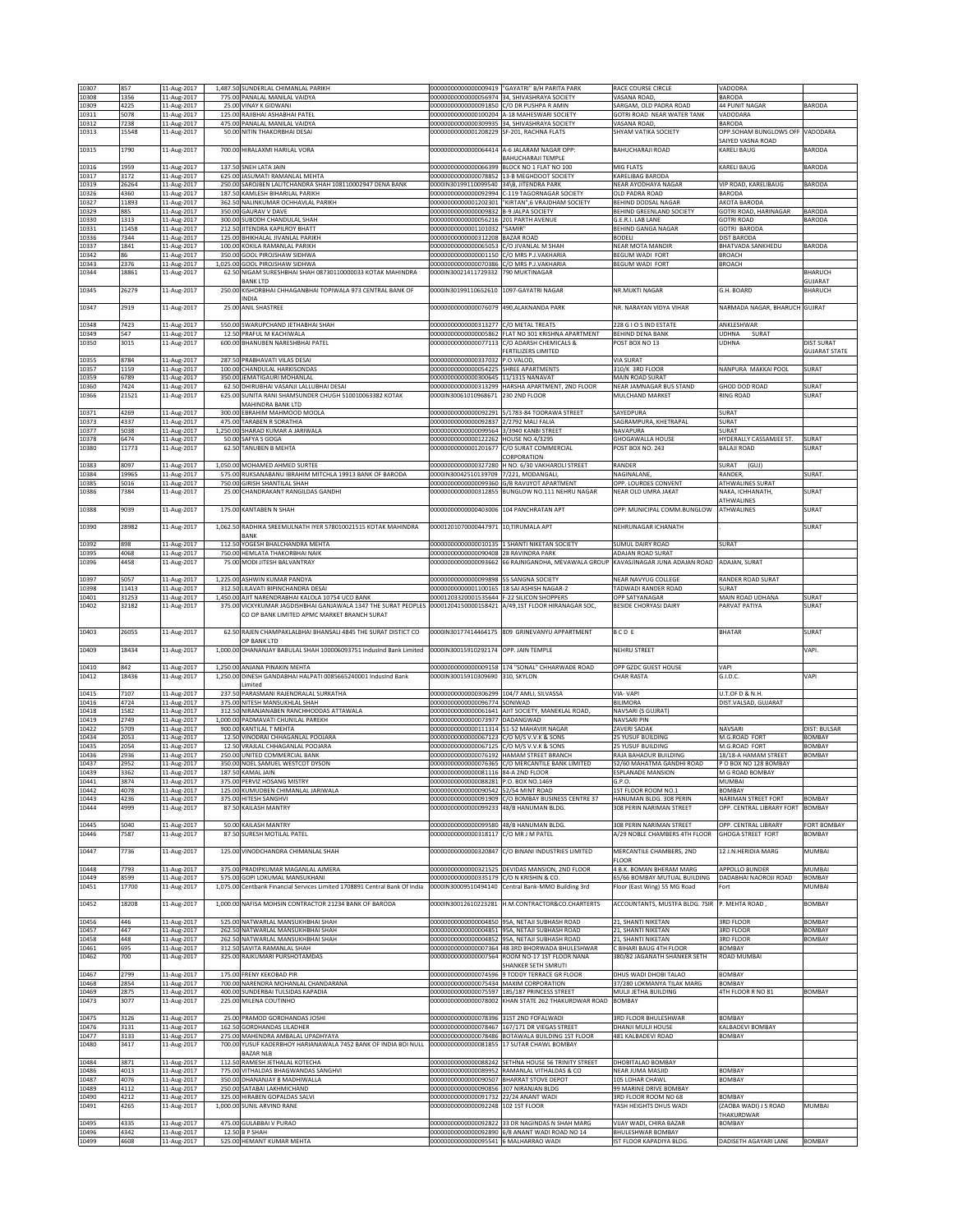| 10307          | 857            | 11-Aug-2017                |        | 1,487.50 SUNDERLAL CHIMANLAL PARIKH                                                                           | 00000000000000009419                                            | "GAYATRI" B/H PARITA PARK                                                                            | RACE COURSE CIRCLE                                 | VADODRA                                     |                                |
|----------------|----------------|----------------------------|--------|---------------------------------------------------------------------------------------------------------------|-----------------------------------------------------------------|------------------------------------------------------------------------------------------------------|----------------------------------------------------|---------------------------------------------|--------------------------------|
| 10308<br>10309 | 1356<br>4225   | 11-Aug-2017<br>11-Aug-2017 |        | 775.00 PANALAL MANILAL VAIDYA<br>25.00 VINAY K GIDWANI                                                        | 00000000000000056974<br>00000000000000091850                    | 34, SHIVASHRAYA SOCIETY<br>C/O DR PUSHPA R AMIN                                                      | VASANA ROAD<br>SARGAM, OLD PADRA ROAD              | <b>BARODA</b><br><b>44 PUNIT NAGAR</b>      | BARODA                         |
| 10311          | 5078           | 11-Aug-2017                |        | 125.00 RAJIBHAI ASHABHAI PATEL                                                                                |                                                                 | 00000000000000100204 A-18 MAHESWARI SOCIETY                                                          | GOTRI ROAD NEAR WATER TANK                         | VADODARA                                    |                                |
| 10312<br>10313 | 7238<br>15548  | 11-Aug-2017<br>11-Aug-2017 |        | 475.00 PANALAL MANILAL VAIDYA<br>50.00 NITIN THAKORBHAI DESAI                                                 | 00000000000001208229                                            | 00000000000000309935 34, SHIVASHRAYA SOCIETY<br>SF-201, RACHNA FLATS                                 | VASANA ROAD,<br>SHYAM VATIKA SOCIETY               | BARODA<br>OPP.SOHAM BUNGLOWS OFF            | VADODARA                       |
|                |                |                            |        |                                                                                                               |                                                                 |                                                                                                      |                                                    | SAIYED VASNA ROAD                           |                                |
| 10315          | 1790           | 11-Aug-2017                |        | 700.00 HIRALAXMI HARILAL VORA                                                                                 | 00000000000000064414                                            | A-6 JALARAM NAGAR OPP:<br>BAHUCHARAJI TEMPLE                                                         | BAHUCHARAJI ROAD                                   | KARELI BAUG                                 | BARODA                         |
| 10316          | 1959           | 11-Aug-2017                |        | 137.50 SNEH LATA JAIN                                                                                         | 0000000000000066399                                             | BLOCK NO 1 FLAT NO 100                                                                               | MIG FLATS                                          | KARELI BAUG                                 | BARODA                         |
| 10317<br>10319 | 3172<br>26264  | 11-Aug-2017<br>11-Aug-2017 |        | 625.00 JASUMATI RAMANLAL MEHTA<br>250.00 SAROJBEN LALITCHANDRA SHAH 108110002947 DENA BANK                    | 0000000000000078852<br>0000IN30199110099540 34\B, JITENDRA PARK | 13-B MEGHDOOT SOCIETY                                                                                | KARELIBAG BARODA<br>NEAR AYODHAYA NAGAR            | VIP ROAD, KARELIBAUG                        | <b>BARODA</b>                  |
| 10326          | 4360           | 11-Aug-2017                |        | 187.50 KAMLESH BIHARILAL PARIKH                                                                               | 00000000000000092994                                            | C-119 TAGORNAGAR SOCIETY                                                                             | OLD PADRA ROAD                                     | BARODA                                      |                                |
| 10327<br>10329 | 11893<br>885   | 11-Aug-2017<br>11-Aug-2017 |        | 362.50 NALINKUMAR OCHHAVLAL PARIKH<br>350.00 GAURAV V DAVE                                                    | 00000000000001202301<br>00000000000000009832                    | "KIRTAN",6 VRAJDHAM SOCIETY<br>3-9 JALPA SOCIETY                                                     | BEHIND DODSAL NAGAR<br>BEHIND GREENLAND SOCIETY    | AKOTA BARODA<br>GOTRI ROAD, HARINAGAR       | BARODA                         |
| 10330          | 1313           | 11-Aug-2017                |        | 300.00 SUBODH CHANDULAL SHAH                                                                                  | 00000000000000056216                                            | 201 PARTH AVENUE                                                                                     | .E.R.I. LAB LANE                                   | <b>GOTRI ROAD</b>                           | BARODA                         |
| 10331<br>10336 | 11458<br>7344  | 11-Aug-2017<br>11-Aug-2017 |        | 212.50 JITENDRA KAPILROY BHATT<br>125.00 BHIKHALAL JIVANLAL PARIKH                                            | 00000000000001101032<br>00000000000000312208                    | SAMIR'<br><b>BAZAR ROAD</b>                                                                          | BEHIND GANGA NAGAR<br><b>BODELI</b>                | <b>GOTRI BARODA</b><br><b>DIST BARODA</b>   |                                |
| 10337          | 1841           | 11-Aug-2017                |        | 100.00 KOKILA RAMANLAL PARIKH                                                                                 | 00000000000000065053                                            | C/O JIVANLAL M SHAH                                                                                  | NEAR MOTA MANDIR                                   | BHATVADA SANKHEDU                           | BARODA                         |
| 10342<br>10343 | 86<br>2376     | 11-Aug-2017<br>11-Aug-2017 |        | 350.00 GOOL PIROJSHAW SIDHWA<br>1,025.00 GOOL PIROJSHAW SIDHWA                                                | 00000000000000001150<br>0000000000000070386                     | C/O MRS P.J.VAKHARIA<br>C/O MRS P.J.VAKHARIA                                                         | BEGUM WADI FORT<br>BEGUM WADI FORT                 | <b>BROACH</b><br><b>BROACH</b>              |                                |
| 10344          | 18861          | 11-Aug-2017                |        | 62.50 NIGAM SURESHBHAI SHAH 08730110000033 KOTAK MAHINDRA                                                     | 0000IN30021411729332                                            | 790 MUKTINAGAR                                                                                       |                                                    |                                             | BHARUCH                        |
| 10345          | 26279          | 11-Aug-2017                | 250.00 | <b>BANK LTD</b><br>KISHORBHAI CHHAGANBHAI TOPIWALA 973 CENTRAL BANK OF                                        | 0000IN30199110652610                                            | 1097-GAYATRI NAGAR                                                                                   | NR.MUKTI NAGAR                                     | G.H. BOARD                                  | GUJARAT<br>BHARUCH             |
|                |                |                            |        | INDIA                                                                                                         |                                                                 |                                                                                                      |                                                    |                                             |                                |
| 10347          | 2919           | 11-Aug-2017                |        | 25.00 ANIL SHASTREE                                                                                           | 00000000000000076079                                            | 490, ALAKNANDA PARK                                                                                  | NR. NARAYAN VIDYA VIHAR                            | NARMADA NAGAR, BHARUCH GUJRAT               |                                |
| 10348          | 7423           | 11-Aug-2017                |        | 550.00 SWARUPCHAND JETHABHAI SHAH                                                                             | 00000000000000313277                                            | C/O METAL TREATS                                                                                     | 228 G I O S IND ESTATE                             | ANKLESHWAR                                  |                                |
| 10349<br>10350 | 547<br>3015    | 11-Aug-2017<br>11-Aug-2017 |        | 12.50 PRAFUL M KACHIWALA<br>600.00 BHANUBEN NARESHBHAI PATEL                                                  |                                                                 | 000000000000000005862 FLAT NO 301 KRISHNA APARTMENT<br>00000000000000077113 C/O ADARSH CHEMICALS &   | BEHIND DENA BANK<br>POST BOX NO 13                 | <b>UDHNA</b><br>SURAT<br><b>UDHNA</b>       | <b>DIST SURAT</b>              |
| 10355          | 8784           | 11-Aug-2017                |        | 287.50 PRABHAVATI VILAS DESAI                                                                                 | 00000000000000337032                                            | FERTILIZERS LIMITED<br>P.O.VALOD,                                                                    | <b>VIA SURAT</b>                                   |                                             | <b>GUJARAT STATE</b>           |
| 10357          | 1159           | 11-Aug-2017                | 100.00 | CHANDULAL HARKISONDAS                                                                                         | 0000000000000054225                                             | HREE APARTMENTS                                                                                      | 310/K 3RD FLOOR                                    | NANPURA MAKKAI POOL                         | SURAT                          |
| 10359          | 6789           | 11-Aug-2017                |        | 350.00 JEMATIGAURI MOHANLAL                                                                                   | 00000000000000300645                                            | 11/1315 NANAVAT<br>HARSHA APARTMENT, 2ND FLOOR                                                       | MAIN ROAD SURAT<br>NEAR JAMNAGAR BUS STAND         | GHOD DOD ROAD                               | SURAT                          |
| 10360<br>10366 | 7424<br>21521  | 11-Aug-2017<br>11-Aug-2017 |        | 62.50 DHIRUBHAI VASANJI LALLUBHAI DESAI<br>625.00 SUNITA RANI SHAMSUNDER CHUGH 510010063382 KOTAK             | 00000000000000313299<br>0000IN30061010968671                    | 230 2ND FLOOR                                                                                        | MULCHAND MARKET                                    | <b>RING ROAD</b>                            | SURAT                          |
| 10371          | 4269           | 11-Aug-2017                |        | MAHINDRA BANK LTD<br>300.00 EBRAHIM MAHMOOD MOOLA                                                             |                                                                 | 00000000000000092291 5/1783-84 TOORAWA STREET                                                        | SAYEDPURA                                          | SURAT                                       |                                |
| 10373          | 4337           | 11-Aug-2017                |        | 475.00 TARABEN R SORATHIA                                                                                     | 00000000000000092837                                            | 2/2792 MALI FALIA                                                                                    | SAGRAMPURA, KHETRAPAL                              | SURAT                                       |                                |
| 10377<br>10378 | 5038<br>6474   | 11-Aug-2017<br>11-Aug-2017 |        | 1,250.00 SHARAD KUMAR A JARIWALA<br>50.00 SAFYA S GOGA                                                        | 00000000000000099564<br>00000000000000122262                    | 3/3940 KANBI STREET<br>HOUSE NO.4/3295                                                               | NAVAPURA<br><b>SHOGAWALLA HOUSE</b>                | <b>JURAT</b><br>HYDERALLY CASSAMJEE ST.     | SURAT                          |
| 10380          | 11773          | 11-Aug-2017                |        | 62.50 TANUBEN B MEHTA                                                                                         | 00000000000001201677                                            | C/O SURAT COMMERCIAL                                                                                 | POST BOX NO. 243                                   | <b>BALAJI ROAD</b>                          | SURAT                          |
| 10383          | 8097           | 11-Aug-2017                |        | 1,050.00 MOHAMED AHMED SURTEE                                                                                 | 00000000000000327280                                            | CORPORATION<br>H NO. 6/30 VAKHAROLI STREET                                                           | <b>RANDER</b>                                      | SURAT<br>(GUJ)                              |                                |
| 10384          | 19965          | 11-Aug-2017                |        | 575.00 RUKSANABANU IBRAHIM MITCHLA 19913 BANK OF BARODA                                                       | 0000IN30042510139709                                            | 7/221, MODANGALI,                                                                                    | NAGINALANE,                                        | RANDER,                                     | SURAT.                         |
| 10385<br>10386 | 5016<br>7384   | 11-Aug-2017<br>11-Aug-2017 |        | 750.00 GIRISH SHANTILAL SHAH<br>25.00 CHANDRAKANT RANGILDAS GANDHI                                            |                                                                 | 00000000000000099360 G/B RAVIJYOT APARTMENT<br>00000000000000312855 BUNGLOW NO.111 NEHRU NAGAR       | OPP. LOURDES CONVENT<br>NEAR OLD UMRA JAKAT        | ATHWALINES SURAT<br>NAKA, ICHHANATH,        | SURAT                          |
|                |                |                            |        |                                                                                                               |                                                                 |                                                                                                      |                                                    | ATHWALINES                                  |                                |
| 10388          | 9039           | 11-Aug-2017                |        | 175.00 KANTABEN N SHAH                                                                                        | 00000000000000403006                                            | 104 PANCHRATAN APT                                                                                   | OPP: MUNICIPAL COMM.BUNGLOW                        | ATHWALINES                                  | SURAT                          |
| 10390          | 28982          | 11-Aug-2017                |        | 1,062.50 RADHIKA SREEMULNATH IYER 578010021515 KOTAK MAHINDRA                                                 | 00001201070000447971                                            | 10, TIRUMALA APT                                                                                     | NEHRUNAGAR ICHANATH                                |                                             | SURAT                          |
| 10392          | 898            | 11-Aug-2017                |        | BANK<br>112.50 YOGESH BHALCHANDRA MEHTA                                                                       | 00000000000000010135                                            | 1 SHANTI NIKETAN SOCIETY                                                                             | <b>SUMUL DAIRY ROAD</b>                            | SURAT                                       |                                |
| 10395          | 4068           | 11-Aug-2017                |        | 750.00 HEMLATA THAKORBHAI NAIK                                                                                | 00000000000000090408                                            | 28 RAVINDRA PARK                                                                                     | ADAJAN ROAD SURAT                                  |                                             |                                |
| 10396          | 4458           | 11-Aug-2017                |        | 75.00 MODI JITESH BALVANTRAY                                                                                  | 00000000000000093662                                            | 66 RAJNIGANDHA, MEVAWALA GROUP                                                                       | KAVASJINAGAR JUNA ADAJAN ROAD                      | ADAJAN, SURAT                               |                                |
| 10397          | 5057           | 11-Aug-2017                |        | 1,225.00 ASHWIN KUMAR PANDYA                                                                                  | 0000000000000099898                                             | 55 SANGNA SOCIETY                                                                                    | <b>VEAR NAVYUG COLLEGE</b>                         | RANDER ROAD SURAT                           |                                |
| 10398<br>10401 | 11413<br>31253 | 11-Aug-2017<br>11-Aug-2017 |        | 312.50 LILAVATI BIPINCHANDRA DESAI<br>1,450.00 AJIT NARENDRABHAI KALOLA 10754 UCO BANK                        | 00000000000001100165<br>00001203320001535644                    | 18 SAI ASHISH NAGAR-2<br>-22 SILICON SHOPPERS                                                        | ADWADI RANDER ROAD<br>OPP SATYANAGAR               | SURAT<br>MAIN ROAD UDHANA                   | SURAT                          |
| 10402          | 32182          | 11-Aug-2017                |        | 375.00 VICKYKUMAR JAGDISHBHAI GANJAWALA 1347 THE SURAT PEOPLES<br>CO OP BANK LIMITED APMC MARKET BRANCH SURAT |                                                                 | 00001204150000158421 A/49,1ST FLOOR HIRANAGAR SOC,                                                   | <b>BESIDE CHORYASI DAIRY</b>                       | PARVAT PATIYA                               | SURAT                          |
|                |                |                            |        |                                                                                                               |                                                                 |                                                                                                      |                                                    |                                             |                                |
| 10403          | 26055          | 11-Aug-2017                |        | 62.50 RAJEN CHAMPAKLALBHAI BHANSALI 4845 THE SURAT DISTICT CO<br>OP BANK LTD                                  |                                                                 | 0000IN30177414464175 809 GRINEVANYU APPARTMENT                                                       | <b>BCDE</b>                                        | <b>BHATAR</b>                               | SURAT                          |
| 10409          | 18434          | 11-Aug-2017                |        | 1,000.00 DHANANJAY BABULAL SHAH 100006093751 IndusInd Bank Limited                                            | 0000IN30015910292174                                            | OPP. JAIN TEMPLE                                                                                     | <b>NEHRU STREET</b>                                |                                             | VAPI.                          |
| 10410          | 842            | 11-Aug-2017                |        | 1,250.00 ANJANA PINAKIN MEHTA                                                                                 |                                                                 | 00000000000000009158 174 "SONAL" CHHARWADE ROAD                                                      | OPP GZDC GUEST HOUSE                               | VAPI                                        |                                |
| 10412          | 18436          | 11-Aug-2017                |        | 1,250.00 DINESH GANDABHAI HALPATI 0085665240001 IndusInd Bank                                                 | 0000IN30015910309690                                            | 310. SKYLON                                                                                          | <b>CHAR RASTA</b>                                  | G.I.D.C.                                    | VAPI                           |
| 10415          | 7107           | 11-Aug-2017                |        | Limited<br>237.50 PARASMANI RAJENDRALAL SURKATHA                                                              | 00000000000000306299 104/7 AMLI, SILVASSA                       |                                                                                                      | VIA-VAPI                                           | U.T.OF D & N.H.                             |                                |
| 10416          | 4724           | 11-Aug-2017                |        | 375.00 NITESH MANSUKHLAL SHAH                                                                                 | 00000000000000096774 SONIWAD                                    |                                                                                                      | BILIMORA                                           | DIST.VALSAD, GUJARAT                        |                                |
| 10418<br>10419 | 1582<br>2749   | 11-Aug-2017<br>11-Aug-2017 |        | 312.50 NIRANJANABEN RANCHHODDAS ATTAWALA<br>1,000.00 PADMAVATI CHUNILAL PAREKH                                | 00000000000000073977                                            | 00000000000000061641 AJIT SOCIETY, MANEKLAL ROAD,<br>DADANGWAD                                       | NAVSARI (S GUJRAT)<br>NAVSARI PIN                  |                                             |                                |
| 10422          | 5709           | 11-Aug-2017                |        | 900.00 KANTILAL T MEHTA                                                                                       | 00000000000000111314                                            | 51-52 MAHAVIR NAGAR                                                                                  | ZAVERI SADAK                                       | VAVSARI                                     | DIST: BULSAR                   |
| 10434<br>10435 | 2053<br>2054   | 11-Aug-2017<br>11-Aug-2017 |        | 12.50 VINODRAI CHHAGANLAL POOJARA<br>12.50 VRAJLAL CHHAGANLAL POOJARA                                         | 00000000000000067123<br>00000000000000067125                    | C/O M/S V.V.K & SONS<br>C/O M/S V.V.K & SONS                                                         | 25 YUSUF BUILDING<br>25 YUSUF BUILDING             | M.G.ROAD FORT<br>M.G.ROAD FORT              | <b>BOMBAY</b><br><b>BOMBAY</b> |
| 10436<br>10437 | 2936<br>2952   | 11-Aug-2017                |        | 250.00 UNITED COMMERCIAL BANK                                                                                 | 00000000000000076192<br>00000000000000076365                    | HAMAM STREET BRANCH<br>C/O MERCANTILE BANK LIMITED                                                   | RAJA BAHADUR BUILDING<br>52/60 MAHATMA GANDHI ROAD | 18/18-A HAMAM STREET                        | BOMBAY                         |
| 10439          | 3362           | 11-Aug-2017<br>11-Aug-2017 |        | 350.00 NOEL SAMUEL WESTCOT DYSON<br>187.50 KAMAL JAIN                                                         | 00000000000000081116 84-A 2ND FLOOR                             |                                                                                                      | <b>ESPLANADE MANSION</b>                           | P O BOX NO 128 BOMBAY<br>M G ROAD BOMBAY    |                                |
| 10441<br>10442 | 3874           | 11-Aug-2017                |        | 375.00 PERVIZ HOSANG MISTRY                                                                                   | 00000000000000088281 P.O. BOX NO.1469                           |                                                                                                      | G.P.O.<br>1ST FLOOR ROOM NO.1                      | <b>MUMBAI</b>                               |                                |
| 10443          | 4078<br>4236   | 11-Aug-2017<br>11-Aug-2017 |        | 125.00 KUMUDBEN CHIMANLAL JARIWALA<br>375.00 HITESH SANGHVI                                                   | 00000000000000090542 52/54 MINT ROAD<br>0000000000000091909     | C/O BOMBAY BUSINESS CENTRE 37                                                                        | HANUMAN BLDG. 308 PERIN                            | <b>BOMBAY</b><br><b>NARIMAN STREET FORT</b> | BOMBAY                         |
| 10444          | 4999           | 11-Aug-2017                |        | 87.50 KAILASH MANTRY                                                                                          | 00000000000000099233                                            | 48/B HANUMAN BLDG.                                                                                   | 308 PERIN NARIMAN STREET                           | OPP. CENTRAL LIBRARY FORT                   | <b>BOMBAY</b>                  |
| 10445          | 5040           | 11-Aug-2017                |        | 50.00 KAILASH MANTRY                                                                                          | 0000000000000099580                                             | 48/B HANUMAN BLDG.                                                                                   | 308 PERIN NARIMAN STREET                           | OPP. CENTRAL LIBRARY                        | FORT BOMBAY                    |
| 10446          | 7587           | 11-Aug-2017                |        | 87.50 SURESH MOTILAL PATEL                                                                                    | 00000000000000318117                                            | C/O MR J M PATEL                                                                                     | A/29 NOBLE CHAMBERS 4TH FLOOR                      | <b>GHOGA STREET FORT</b>                    | BOMBAY                         |
| 10447          | 7736           | 11-Aug-2017                |        | 125.00 VINODCHANDRA CHIMANLAL SHAH                                                                            | 00000000000000320847                                            | C/O BINANI INDUSTRIES LIMITED                                                                        | MERCANTILE CHAMBERS, 2ND                           | 12 J.N.HERIDIA MARG                         | MUMBAI                         |
| 10448          | 7793           | 11-Aug-2017                |        | 375.00 PRADIPKUMAR MAGANLAL AJMERA                                                                            | 00000000000000321525                                            | DEVIDAS MANSION, 2ND FLOOR                                                                           | FLOOR<br>4 B.K. BOMAN BHERAM MARG                  | APPOLLO BUNDER                              | MUMBAI                         |
| 10449          | 8599           | 11-Aug-2017                |        | 575.00 GOPI LOKUMAL MANSUKHANI                                                                                | 00000000000000335179                                            | /O N KRISHIN & CO.                                                                                   | 55/66 BOMBAY MUTUAL BUILDING                       | DADABHAI NAOROJI ROAD                       | BOMBAY                         |
| 10451          | 17700          | 11-Aug-2017                |        | 1,075.00 Centbank Financial Services Limited 1708891 Central Bank Of India                                    | 0000IN30009510494140                                            | Central Bank-MMO Building 3rd                                                                        | Floor (East Wing) 55 MG Road                       | Fort                                        | MUMBAI                         |
| 10452          | 18208          | 11-Aug-2017                |        | 1,000.00 NAFISA MOHSIN CONTRACTOR 21234 BANK OF BARODA                                                        | 0000IN30012610223281                                            | H.M.CONTRACTOR&CO.CHARTERTS                                                                          | ACCOUNTANTS, MUSTFA BLDG. 7SIR P. MEHTA ROAD,      |                                             | <b>BOMBAY</b>                  |
| 10456          | 446            | 11-Aug-2017                |        | 525.00 NATWARLAL MANSUKHBHAI SHAH                                                                             |                                                                 | 00000000000000004850 95A, NETAJI SUBHASH ROAD                                                        | 21. SHANTI NIKETAN                                 | <b>3RD FLOOR</b>                            | <b>BOMBAY</b>                  |
| 10457<br>10458 | 447<br>448     | 11-Aug-2017<br>11-Aug-2017 |        | 262.50 NATWARLAL MANSUKHBHAI SHAH<br>262.50 NATWARLAL MANSUKHBHAI SHAH                                        |                                                                 | 00000000000000004851 95A, NETAJI SUBHASH ROAD<br>00000000000000004852 95A, NETAJI SUBHASH ROAD       | 21. SHANTI NIKETAN<br>21, SHANTI NIKETAN           | 3RD FLOOR<br><b>3RD FLOOR</b>               | <b>BOMBAY</b><br><b>BOMBAY</b> |
| 10461          | 695            | 11-Aug-2017                |        | 312.50 SAVITA RAMANLAL SHAH                                                                                   | 00000000000000007364                                            | 48 3RD BHORWADA BHULESHWAR                                                                           | <b>BIHARI BAUG 4TH FLOOR</b>                       | BOMBAY                                      |                                |
| 10462          | 700            | 11-Aug-2017                |        | 325.00 RAJKUMARI PURSHOTAMDAS                                                                                 | 00000000000000007564                                            | ROOM NO-17 1ST FLOOR NANA<br>SHANKER SETH SMRUTI                                                     | 380/82 JAGANATH SHANKER SETH                       | ROAD MUMBAI                                 |                                |
| 10467          | 2799           | 11-Aug-2017                |        | 175.00 FRENY KEKOBAD PIR                                                                                      | 00000000000000074596                                            | 9 TODDY TERRACE GR FLOOR                                                                             | DHUS WADI DHOBI TALAO                              | <b>BOMBAY</b>                               |                                |
| 10468<br>10469 | 2854<br>2875   | 11-Aug-2017<br>11-Aug-2017 |        | 700.00 NARENDRA MOHANLAL CHANDARANA<br>400.00 SUNDERBAI TULSIDAS KAPADIA                                      | 00000000000000075434<br>00000000000000075597                    | MAXIM CORPORATION<br>185/187 PRINCESS STREET                                                         | 37/280 LOKMANYA TILAK MARG<br>MULJI JETHA BUILDING | <b>BOMBAY</b><br>4TH FLOOR R NO 81          | BOMBAY                         |
| 10473          | 3077           | 11-Aug-2017                |        | 225.00 MILENA COUTINHO                                                                                        | 00000000000000078002                                            | KHAN STATE 262 THAKURDWAR ROAD                                                                       | <b>BOMBAY</b>                                      |                                             |                                |
| 10475          | 3126           | 11-Aug-2017                |        | 25.00 PRAMOD GORDHANDAS JOSHI                                                                                 | 00000000000000078396                                            | 31ST 2ND FOFALWADI                                                                                   | <b>BRD FLOOR BHULESHWAR</b>                        | BOMBAY                                      |                                |
| 10476          | 3131           | 11-Aug-2017                |        | 162.50 GORDHANDAS LILADHER                                                                                    | 00000000000000078467                                            | 167/171 DR VIEGAS STREET                                                                             | DHANJI MULJI HOUSE                                 | KALBADEVI BOMBAY                            |                                |
| 10477<br>10480 | 3133<br>3417   | 11-Aug-2017<br>11-Aug-2017 |        | 275.00 MAHENDRA AMBALAL UPADHYAYA<br>700.00 YUSUF KADERBHOY HARIANAWALA 7452 BANK OF INDIA BOI NULL           |                                                                 | 00000000000000078486 BOTAWALA BUILDING 1ST FLOOR<br>00000000000000081855 17 SUTAR CHAWL BOMBAY       | 481 KALBADEVI ROAD                                 | <b>BOMBAY</b>                               |                                |
|                |                |                            |        | <b>BAZAR NLB</b>                                                                                              |                                                                 |                                                                                                      |                                                    |                                             |                                |
| 10484<br>10486 | 3871<br>4013   | 11-Aug-2017<br>11-Aug-2017 |        | 112.50 RAMESH JETHALAL KOTECHA<br>775.00 VITHALDAS BHAGWANDAS SANGHVI                                         |                                                                 | 00000000000000088242 SETHNA HOUSE 56 TRINITY STREET<br>000000000000000089952 RAMANLAL VITHALDAS & CO | DHOBITALAO BOMBAY<br>NEAR JUMA MASJID              | <b>BOMBAY</b>                               |                                |
| 10487          | 4076           | 11-Aug-2017                |        | 350.00 DHANANJAY B MADHIWALLA                                                                                 | 00000000000000090507 BHARRAT STOVE DEPOT                        |                                                                                                      | 105 LOHAR CHAWL                                    | <b>BOMBAY</b>                               |                                |
| 10489<br>10490 | 4112<br>4212   | 11-Aug-2017<br>11-Aug-2017 |        | 250.00 SATABAI LAKHMICHAND<br>325.00 HIRABEN GOPALDAS SALVI                                                   | 0000000000000090856<br>00000000000000091732                     | 307 NIRANJAN BLDG<br>22/24 ANANT WADI                                                                | 99 MARINE DRIVE BOMBAY<br>3RD FLOOR ROOM NO 68     | BOMBAY                                      |                                |
| 10491          | 4265           | 11-Aug-2017                |        | 1,000.00 SUNIL ARVIND RANE                                                                                    | 00000000000000092248 102 1ST FLOOR                              |                                                                                                      | YASH HEIGHTS DHUS WADI                             | (ZAOBA WADI) J S ROAD                       | MUMBAI                         |
| 10495          | 4335           | 11-Aug-2017                |        | 475.00 GULABBAI V PURAO                                                                                       |                                                                 | 00000000000000092822 33 DR NAGINDAS N SHAH MARG                                                      | VIJAY WADI, CHIRA BAZAR                            | THAKURDWAR<br><b>BOMBAY</b>                 |                                |
| 10496          | 4342           | 11-Aug-2017                |        | 12.50 B P SHAH                                                                                                |                                                                 | 00000000000000092890 6/8 ANANT WADI ROAD NO 14                                                       | BHULESHWAR BOMBAY                                  |                                             |                                |
| 10499          | 4608           | 11-Aug-2017                |        | 525.00 HEMANT KUMAR MEHTA                                                                                     | 00000000000000095541 6 MALHARRAO WADI                           |                                                                                                      | IST FLOOR KAPADIYA BLDG.                           | DADISETH AGAYARI LANE                       | <b>BOMBAY</b>                  |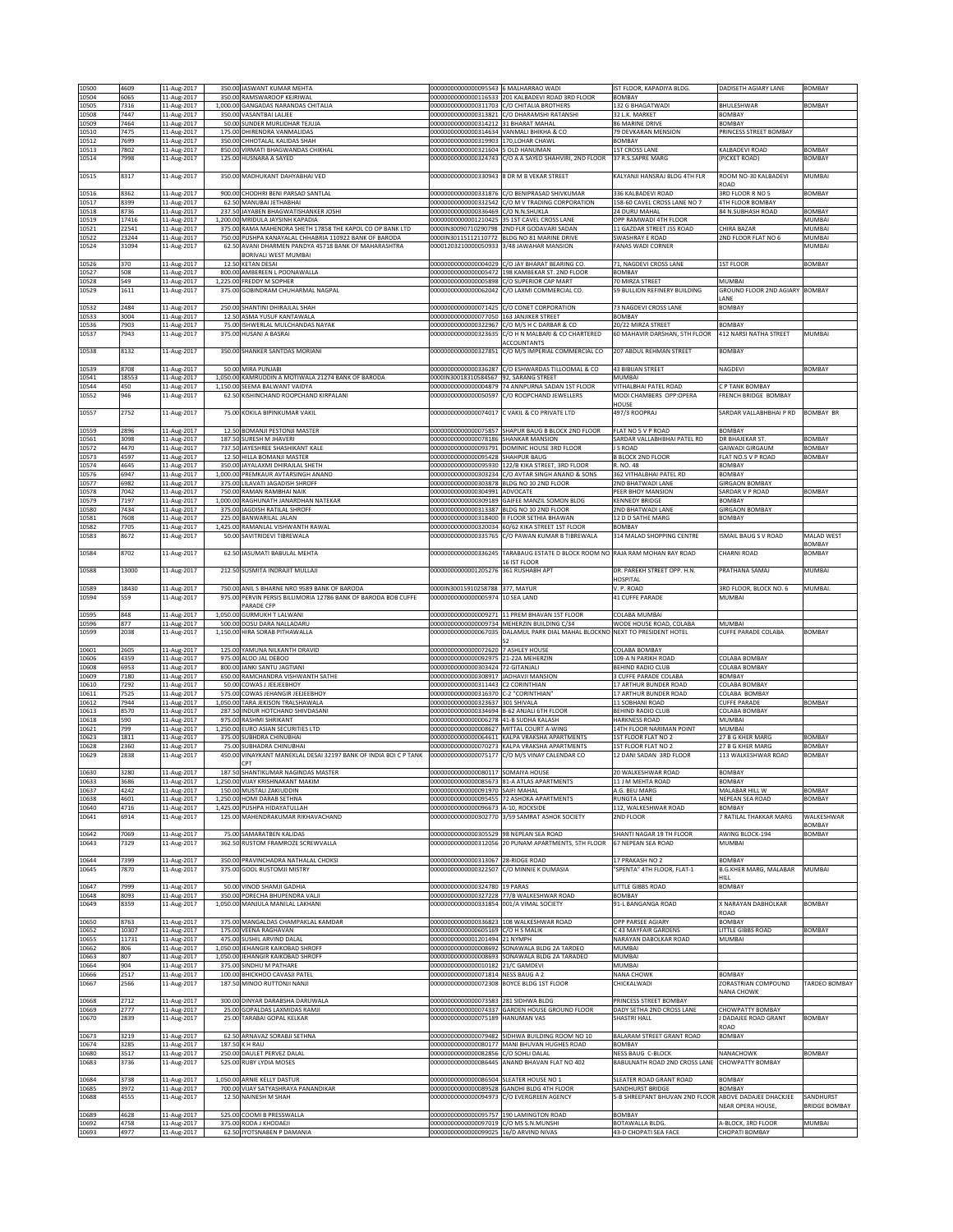| 10500          | 4609           | 11-Aug-2017                |        | 350.00 JASWANT KUMAR MEHTA                                                                                     | 00000000000000095543 6 MALHARRAO WADI                                             |                                                                                                        | IST FLOOR, KAPADIYA BLDG                            | DADISETH AGIARY LANE                        | <b>BOMBAY</b>        |
|----------------|----------------|----------------------------|--------|----------------------------------------------------------------------------------------------------------------|-----------------------------------------------------------------------------------|--------------------------------------------------------------------------------------------------------|-----------------------------------------------------|---------------------------------------------|----------------------|
| 10504          | 6065           | 11-Aug-2017                |        | 350.00 RAMSWAROOP KEJRIWAL                                                                                     |                                                                                   | 00000000000000116533 201 KALBADEVI ROAD 3RD FLOOR                                                      | <b>BOMBAY</b>                                       |                                             |                      |
| 10505          | 7316           | 11-Aug-2017                |        | 1,000.00 GANGADAS NARANDAS CHITALIA                                                                            | 00000000000000311703 C/O CHITALIA BROTHERS                                        |                                                                                                        | 132 G BHAGATWADI                                    | BHULESHWAR                                  | <b>BOMBAY</b>        |
| 10508<br>10509 | 7447<br>7464   | 11-Aug-2017<br>11-Aug-2017 |        | 350.00 VASANTBAI LALIEE<br>50.00 SUNDER MURLIDHAR TEJUJA                                                       | 000000000000000314212 31 BHARAT MAHAL                                             | 00000000000000313821 C/O DHARAMSHI RATANSHI                                                            | 32 L.K. MARKET<br>86 MARINE DRIVE                   | BOMBAY<br>BOMBAY                            |                      |
| 10510          | 7475           | 11-Aug-2017                |        | 175.00 DHIRENDRA VANMALIDAS                                                                                    | 00000000000000314634 VANMALI BHIKHA & CO                                          |                                                                                                        | 9 DEVKARAN MENSION                                  | PRINCESS STREET BOMBAY                      |                      |
| 10512          | 7699           | 11-Aug-2017                |        | 350.00 CHHOTALAL KALIDAS SHAH                                                                                  | 00000000000000319903 170,LOHAR CHAWL                                              |                                                                                                        | BOMBAY                                              |                                             |                      |
| 10513          | 7802           | 11-Aug-2017                |        | 850.00 VIRMATI BHAGWANDAS CHIKHAL                                                                              | 000000000000000321604 5 OLD HANUMAN                                               |                                                                                                        | <b>1ST CROSS LANE</b>                               | KALBADEVI ROAD                              | BOMBAY               |
| 10514          | 7998           | 11-Aug-2017                |        | 125.00 HUSNARA A SAYED                                                                                         |                                                                                   | 00000000000000324743 C/O A A SAYED SHAHVIRI, 2ND FLOOR                                                 | 37 R.S.SAPRE MARG                                   | (PICKET ROAD)                               | <b>BOMBAY</b>        |
| 10515          | 8317           | 11-Aug-2017                |        | 350.00 MADHUKANT DAHYABHAI VED                                                                                 | 00000000000000330943 8 DR M B VEKAR STREET                                        |                                                                                                        | KALYANJI HANSRAJ BLDG 4TH FLR                       | ROOM NO-30 KALBADEVI                        | MUMBAI               |
|                |                |                            |        |                                                                                                                |                                                                                   |                                                                                                        |                                                     | ROAD                                        |                      |
| 10516<br>10517 | 8362<br>399    | 11-Aug-2017<br>11-Aug-2017 |        | 900.00 CHODHRI BENI PARSAD SANTLAL<br>62.50 MANUBAI JETHABHAI                                                  | 0000000000000332542                                                               | 00000000000000331876 C/O BENIPRASAD SHIVKUMAR<br>C/O M V TRADING CORPORATION                           | 336 KALBADEVI ROAD<br>58-60 CAVEL CROSS LANE NO 7   | 3RD FLOOR R NO 5<br><b>ITH FLOOR BOMBAY</b> | BOMBAY               |
| 10518          | 3736           | 11-Aug-2017                |        | 237.50 JAYABEN BHAGWATISHANKER JOSHI                                                                           | 00000000000000336469 C/O N.N.SHUKLA                                               |                                                                                                        | 24 DURU MAHAL                                       | 84 N.SUBHASH ROAD                           | <b>BOMBAY</b>        |
| 10519          | 17416          | 11-Aug-2017                |        | 1,200.00 MRIDULA JAYSINH KAPADIA                                                                               |                                                                                   | 00000000000001210425 35 1ST CAVEL CROSS LANE                                                           | OPP RAMWADI 4TH FLOOR                               |                                             | MUMBAI               |
| 10521          | 22541          | 11-Aug-2017                |        | 375.00 RAMA MAHENDRA SHETH 17858 THE KAPOL CO OP BANK LTD                                                      |                                                                                   | 0000IN30090710290798 2ND FLR GODAVARI SADAN                                                            | 11 GAZDAR STREET JSS ROAD<br><b>SWASHRAY E ROAD</b> | CHIRA BAZAR<br>2ND FLOOR FLAT NO 6          | MUMBAI               |
| 10522<br>10524 | 23244<br>31094 | 11-Aug-2017<br>11-Aug-2017 |        | 750.00 PUSHPA KANAYALAL CHHABRIA 110922 BANK OF BARODA<br>62.50 AVANI DHARMEN PANDYA 45718 BANK OF MAHARASHTRA | 00001203210000050933                                                              | 0000IN30115112110772 BLDG NO 81 MARINE DRIVE<br>3/48 JAWAHAR MANSION                                   | FANAS WADI CORNER                                   |                                             | MUMBAI<br>MUMBAI     |
|                |                |                            |        | BORIVALI WEST MUMBAI                                                                                           |                                                                                   |                                                                                                        |                                                     |                                             |                      |
| 10526          | 370            | 11-Aug-2017                |        | 12.50 KETAN DESAI                                                                                              | 00000000000000004029                                                              | C/O JAY BHARAT BEARING CO                                                                              | 71, NAGDEVI CROSS LANE                              | <b>IST FLOOR</b>                            | BOMBAY               |
| 10527<br>10528 | 508<br>549     | 11-Aug-2017<br>11-Aug-2017 | 800.00 | AMBEREEN L POONAWALLA<br>1,225.00 FREDDY M SOPHER                                                              | 00000000000000005472<br>00000000000000005898                                      | 198 KAMBEKAR ST. 2ND FLOOR<br>C/O SUPERIOR CAP MART                                                    | <b>BOMBAY</b><br>70 MIRZA STREET                    | MUMBAI                                      |                      |
| 10529          | 1611           | 11-Aug-2017                |        | 375.00 GOBINDRAM CHUHARMAL NAGPAL                                                                              | 00000000000000062042                                                              | C/O LAXMI COMMERCIAL CO.                                                                               | 59 BULLION REFINERY BUILDING                        | GROUND ELOOR 2ND AGIARY                     | <b>BOMBAY</b>        |
|                |                |                            |        |                                                                                                                |                                                                                   |                                                                                                        |                                                     | ANE                                         |                      |
| 10532          | 2484           | 11-Aug-2017                |        | 250.00 SHANTINI DHIRAJLAL SHAH                                                                                 |                                                                                   | 00000000000000071425 C/O CONET CORPORATION                                                             | 73 NAGDEVI CROSS LANE                               | BOMBAY                                      |                      |
| 10533<br>10536 | 3004<br>7903   | 11-Aug-2017<br>11-Aug-2017 |        | 12.50 ASMA YUSUF KANTAWALA<br>75.00 ISHWERLAL MULCHANDAS NAYAK                                                 | 00000000000000077050 163 JANJIKER STREET                                          | 00000000000000322967 C/O M/S H C DARBAR & CO                                                           | BOMBAY<br>20/22 MIRZA STREET                        | BOMBAY                                      |                      |
| 10537          | 7943           | 11-Aug-2017                |        | 375.00 HUSANI A BASRAI                                                                                         | 00000000000000323635                                                              | C/O H N MALBARI & CO CHARTERED                                                                         | 60 MAHAVIR DARSHAN, 5TH FLOOR                       | 412 NARSI NATHA STREET                      | MUMBAI               |
|                |                |                            |        |                                                                                                                |                                                                                   | <b>ACCOUNTANTS</b>                                                                                     |                                                     |                                             |                      |
| 10538          | 8132           | 11-Aug-2017                |        | 350.00 SHANKER SANTDAS MORIANI                                                                                 | 00000000000000327851                                                              | C/O M/S IMPERIAL COMMERCIAL CO                                                                         | 207 ABDUL REHMAN STREET                             | BOMBAY                                      |                      |
| 10539          | 8708           | 11-Aug-2017                |        | 50.00 MIRA PUNJABI                                                                                             |                                                                                   | 00000000000000336287 C/O ESHWARDAS TILLOOMAL & CO                                                      | <b>43 BIBIJAN STREET</b>                            | NAGDEVI                                     | BOMBAY               |
| 10541          | 18553          | 11-Aug-2017                |        | 1,050.00 KAMRUDDIN A MOTIWALA 21274 BANK OF BARODA                                                             | 0000IN30018310584567 92, SARANG STREET                                            |                                                                                                        | <b>MUMBAI</b>                                       |                                             |                      |
| 10544<br>10552 | 450<br>946     | 11-Aug-2017<br>11-Aug-2017 |        | 1,150.00 SEEMA BALWANT VAIDYA<br>62.50 KISHINCHAND ROOPCHAND KIRPALANI                                         |                                                                                   | 00000000000000004879 74 ANNPURNA SADAN 1ST FLOOR<br>00000000000000050597 C/O ROOPCHAND JEWELLERS       | VITHALBHAI PATEL ROAD<br>MODI CHAMBERS OPP:OPERA    | C P TANK BOMBAY<br>FRENCH BRIDGE BOMBAY     |                      |
|                |                |                            |        |                                                                                                                |                                                                                   |                                                                                                        | HOUSE                                               |                                             |                      |
| 10557          | 2752           | 11-Aug-2017                |        | 75.00 KOKILA BIPINKUMAR VAKIL                                                                                  |                                                                                   | 00000000000000074017 C VAKIL & CO PRIVATE LTD                                                          | 497/3 ROOPRAJ                                       | SARDAR VALLABHBHAI P RD                     | <b>BOMBAY BR</b>     |
|                |                |                            |        |                                                                                                                |                                                                                   |                                                                                                        |                                                     |                                             |                      |
| 10559<br>10561 | 2896<br>3098   | 11-Aug-2017<br>11-Aug-2017 |        | 12.50 BOMANJI PESTONJI MASTER<br>187.50 SURESH M JHAVERI                                                       | 00000000000000078186 SHANKAR MANSION                                              | 00000000000000075857 SHAPUR BAUG B BLOCK 2ND FLOOR                                                     | FLAT NO 5 V P ROAD<br>SARDAR VALLABHBHAI PATEL RD   | BOMBAY<br>DR BHAJEKAR ST.                   | BOMBAY               |
| 10572          | 4470           | 11-Aug-2017                |        | 737.50 JAYESHREE SHASHIKANT KALE                                                                               |                                                                                   | 00000000000000093791 DOMINIC HOUSE 3RD FLOOR                                                           | S ROAD                                              | GAIWADI GIRGAUM                             | BOMBAY               |
| 10573          | 4597           | 11-Aug-2017                |        | 12.50 HILLA BOMANJI MASTER                                                                                     | 00000000000000095428 SHAHPUR BAUG                                                 |                                                                                                        | <b>B BLOCK 2ND FLOOR</b>                            | FLAT NO.5 V P ROAD                          | BOMBAY               |
| 10574<br>10576 | 4645<br>6947   | 11-Aug-2017<br>11-Aug-2017 |        | 350.00 JAYALAXMI DHIRAJLAL SHETH<br>1,000.00 PREMKAUR AVTARSINGH ANAND                                         |                                                                                   | 00000000000000095930 122/B KIKA STREET, 3RD FLOOR<br>00000000000000303234 C/O AVTAR SINGH ANAND & SONS | R. NO. 48<br>362 VITHALBHAI PATEL RD                | BOMBAY<br>BOMBAY                            |                      |
| 10577          | 5982           | 11-Aug-2017                |        | 375.00 LILAVATI JAGADISH SHROFF                                                                                |                                                                                   | 00000000000000303878 BLDG NO 10 2ND FLOOR                                                              | <b>ND BHATWADI LANE</b>                             | <b>GIRGAON BOMBAY</b>                       |                      |
| 10578          | 042            | 11-Aug-2017                | 750.00 | RAMAN RAMBHAI NAIK                                                                                             | 00000000000000304991 ADVOCATE                                                     |                                                                                                        | <b>EER BHOY MANSION</b>                             | SARDAR V P ROAD                             | <b>BOMBAY</b>        |
| 10579<br>10580 | 7197<br>7434   | 11-Aug-2017<br>11-Aug-2017 |        | 1,000.00 RAGHUNATH JANARDHAN NATEKAR<br>375.00 JAGDISH RATILAL SHROFF                                          | 00000000000000313387 BLDG NO 10 2ND FLOOR                                         | 000000000000000309189 GAIFEE MANZIL SOMON BLDG                                                         | KENNEDY BRIDGE<br>2ND BHATWADI LANE                 | BOMBAY<br><b>GIRGAON BOMBAY</b>             |                      |
| 10581          | 7608           | 11-Aug-2017                |        | 225.00 BANWARILAL JALAN                                                                                        |                                                                                   | 00000000000000318400 II FLOOR SETHIA BHAWAN                                                            | 12 D D SATHE MARG                                   | BOMBAY                                      |                      |
| 10582          | 7705           | 11-Aug-2017                |        | 1.425.00 RAMANLAL VISHWANTH RAWAL                                                                              |                                                                                   | 00000000000000320034 60/62 KIKA STREET 1ST FLOOR                                                       | <b>BOMBAY</b>                                       |                                             |                      |
| 10583          | 8672           | 11-Aug-2017                |        | 50.00 SAVITRIDEVI TIBREWALA                                                                                    | 00000000000000335765                                                              | C/O PAWAN KUMAR B TIBREWALA                                                                            | 314 MALAD SHOPPING CENTRE                           | SMAIL BAUG S V ROAD                         | MALAD WEST           |
| 10584          | 8702           | 11-Aug-2017                |        | 62.50 JASUMATI BABULAL MEHTA                                                                                   | 00000000000000336245                                                              | TARABAUG ESTATE D BLOCK ROOM NO RAJA RAM MOHAN RAY ROAD                                                |                                                     | CHARNI ROAD                                 | BOMBAY<br>BOMBAY     |
|                |                |                            |        |                                                                                                                |                                                                                   | 16 IST FLOOR                                                                                           |                                                     |                                             |                      |
| 10588          | 13000          | 11-Aug-2017                |        | 212.50 SUSMITA INDRAJIT MULLAJI                                                                                | 00000000000001205276 361 RUSHABH APT                                              |                                                                                                        | DR. PAREKH STREET OPP. H.N.<br>HOSPITAL             | PRATHANA SAMAJ                              | MUMBAI               |
| 10589          | 18430          | 11-Aug-2017                |        | 750.00 ANIL S BHARNE NRO 9589 BANK OF BARODA                                                                   | 0000IN30015910258788 377, MAYUR                                                   |                                                                                                        | V. P. ROAD                                          | 3RD FLOOR, BLOCK NO. 6                      | MUMBAI               |
| 10594          | 559            | 11-Aug-2017                |        | 975.00 PERVIN PERSIS BILLIMORIA 12786 BANK OF BARODA BOB CUFFE                                                 | 00000000000000005974 10 SEA LAND                                                  |                                                                                                        | 41 CUFFE PARADE                                     | MUMBAI                                      |                      |
|                | 848            | 11-Aug-2017                |        | PARADE CFP<br>1,050.00 GURMUKH T LALWANI                                                                       |                                                                                   |                                                                                                        | COLABA MUMBAI                                       |                                             |                      |
|                |                |                            |        |                                                                                                                |                                                                                   |                                                                                                        |                                                     |                                             |                      |
| 10595<br>10596 | 877            | 11-Aug-2017                |        | 500.00 DOSU DARA NALLADARU                                                                                     |                                                                                   | 00000000000000009271 11 PREM BHAVAN 1ST FLOOR<br>00000000000000009734 MEHERZIN BUILDING C/34           | WODE HOUSE ROAD, COLABA                             | MUMBAI                                      |                      |
| 10599          | 2038           | 11-Aug-2017                |        | 1,150.00 HIRA SORAB PITHAWALLA                                                                                 |                                                                                   | 00000000000000067035 DALAMUL PARK DIAL MAHAL BLOCKNO NEXT TO PRESIDENT HOTEL                           |                                                     | CUFFE PARADE COLABA                         | BOMBAY               |
|                |                |                            |        |                                                                                                                |                                                                                   |                                                                                                        |                                                     |                                             |                      |
| 10601<br>10606 | 2605<br>4359   | 11-Aug-2017<br>11-Aug-2017 |        | 125.00 YAMUNA NILKANTH DRAVID<br>975.00 ALOO JAL DEBOO                                                         | 00000000000000072620 7 ASHLEY HOUSE<br>00000000000000092975 21-22A MEHERZIN       |                                                                                                        | COLABA BOMBAY<br>109-A N PARIKH ROAD                | COLABA BOMBAY                               |                      |
| 10608          | 6953           | 11-Aug-2017                |        | 800.00 JANKI SANTU JAGTIANI                                                                                    | 00000000000000303424 72-GITANJALI                                                 |                                                                                                        | BEHIND RADIO CLUB                                   | COLABA BOMBAY                               |                      |
| 10609          | 7180           | 11-Aug-2017                |        | 650.00 RAMCHANDRA VISHWANTH SATHE                                                                              | 000000000000000308917 JADHAVJI MANSION                                            |                                                                                                        | CUFFE PARADE COLABA                                 | BOMBAY                                      |                      |
| 10610<br>10611 | 7292<br>7525   | 11-Aug-2017                |        | 50.00 COWAS J JEEJEEBHOY<br>575.00 COWAS JEHANGIR JEEJEEBHOY                                                   | 00000000000000311443 C2 CORINTHIAN<br>00000000000000316370 C-2 "CORINTHIAN"       |                                                                                                        | 17 ARTHUR BUNDER ROAD<br>17 ARTHUR BUNDER ROAD      | COLABA BOMBAY<br>COLABA BOMBAY              |                      |
| 10612          | 7944           | 11-Aug-2017<br>11-Aug-2017 |        | 1,050.00 TARA JEKISON TRALSHAWALA                                                                              | 00000000000000323637                                                              | 301 SHIVALA                                                                                            | 11 SOBHANI ROAD                                     | CUFFE PARADE                                | <b>BOMBAY</b>        |
| 10613          | 3570           | 11-Aug-2017                | 287.50 | INDUR HOTCHAND SHIVDASANI                                                                                      | 0000000000000334694                                                               | <b>B-62 ANJALI 6TH FLOOR</b>                                                                           | BEHIND RADIO CLUB                                   | COLABA BOMBAY                               |                      |
| 10618          | 590            | 11-Aug-2017                |        | 975.00 RASHMI SHRIKANT                                                                                         | 00000000000000006278 41-B SUDHA KALASH                                            |                                                                                                        | <b>HARKNESS ROAD</b>                                | MUMBAI                                      |                      |
| 10621<br>10623 | 799<br>1811    | 11-Aug-2017<br>11-Aug-2017 |        | 1,250.00 EURO ASIAN SECURITIES LTD<br>375.00 SUBHDRA CHINUBHAI                                                 | 000000000000000008627 MITTAL COURT A-WING                                         | 000000000000000064611 KALPA VRAKSHA APARTMENTS                                                         | 14TH FLOOR NARIMAN POINT<br>1ST FLOOR FLAT NO 2     | MUMBAI<br>27 B G KHER MARG                  | BOMBAY               |
| 10628          | 2360           | 11-Aug-2017                |        | 75.00 SUBHADRA CHINUBHAI                                                                                       |                                                                                   | 00000000000000070273 KALPA VRAKSHA APARTMENTS                                                          | <b>IST FLOOR FLAT NO 2</b>                          | 27 B G KHER MARG                            | BOMBAY               |
| 10629          | 2838           | 11-Aug-2017                |        | 450.00 VINAYKANT MANEKLAL DESAI 32197 BANK OF INDIA BOI C P TANK<br>CPT                                        |                                                                                   | 00000000000000075177 C/O M/S VINAY CALENDAR CO                                                         | 12 DANI SADAN 3RD FLOOR                             | 113 WALKESHWAR ROAD                         | BOMBAY               |
| 10630          | 3280           | 11-Aug-2017                |        | 187.50 SHANTIKUMAR NAGINDAS MASTER                                                                             | 00000000000000080117 SOMAIYA HOUSE                                                |                                                                                                        | 20 WALKESHWAR ROAD                                  | BOMBAY                                      |                      |
| 10633          | 3686           | 11-Aug-2017                |        | 1.250.00 VIJAY KRISHNAKANT MAKIM                                                                               |                                                                                   | 000000000000000085673 I81-A ATLAS APARTMENTS                                                           | 11 J M MEHTA ROAD                                   | BOMBAY                                      |                      |
| 10637<br>10638 | 4242<br>4601   | 11-Aug-2017<br>11-Aug-2017 |        | 150.00 MUSTALI ZAKIUDDIN<br>1,250.00 HOMI DARAB SETHNA                                                         | 00000000000000091970 SAIFI MAHAL                                                  | 00000000000000095455 72 ASHOKA APARTMENTS                                                              | A.G. BEU MARG<br>RUNGTA LANE                        | MALABAR HILL W<br>NEPEAN SEA ROAD           | BOMBAY<br>BOMBAY     |
| 10640          | 4716           | 11-Aug-2017                |        | 1,425.00 PUSHPA HIDAYATULLAH                                                                                   | 00000000000000096673 A-10, ROCKSIDE                                               |                                                                                                        | 112, WALKESHWAR ROAD                                | BOMBAY                                      |                      |
| 10641          | 6914           | 11-Aug-2017                |        | 125.00 MAHENDRAKUMAR RIKHAVACHAND                                                                              |                                                                                   | 00000000000000302770 3/59 SAMRAT ASHOK SOCIETY                                                         | 2ND FLOOR                                           | 7 RATILAL THAKKAR MARG                      | WALKESHWAR<br>BOMBAY |
| 10642          | 7069           | 11-Aug-2017                |        | 75.00 SAMARATBEN KALIDAS                                                                                       | 00000000000000305529 98 NEPEAN SEA ROAD                                           |                                                                                                        | SHANTI NAGAR 19 TH FLOOR                            | AWING BLOCK-194                             | BOMBAY               |
| 10643          | 7329           | 11-Aug-2017                |        | 362.50 RUSTOM FRAMROZE SCREWVALLA                                                                              |                                                                                   | 00000000000000312056 20 PUNAM APARTMENTS, 5TH FLOOR                                                    | 67 NEPEAN SEA ROAD                                  | MUMBAI                                      |                      |
| 10644          | 7399           | 11-Aug-2017                |        | 350.00 PRAVINCHADRA NATHALAL CHOKSI                                                                            | 00000000000000313067 28-RIDGE ROAD                                                |                                                                                                        | 17 PRAKASH NO 2                                     | BOMBAY                                      |                      |
| 10645          | 7870           | 11-Aug-2017                |        | 375.00 GOOL RUSTOMJI MISTRY                                                                                    | 00000000000000322507 C/O MINNIE K DUMASIA                                         |                                                                                                        | 'SPENTA" 4TH FLOOR, FLAT-1                          | B.G.KHER MARG, MALABAR                      | MUMBAI               |
| 10647          | 7999           |                            |        | 50.00 VINOD SHAMJI GADHIA                                                                                      | 00000000000000324780 19 PARAS                                                     |                                                                                                        |                                                     | HILL<br>BOMBAY                              |                      |
| 10648          | 8093           | 11-Aug-2017<br>11-Aug-2017 |        | 350.00 PORECHA BHUPENDRA VALII                                                                                 |                                                                                   | 00000000000000327228 77/B WALKESHWAR ROAD                                                              | LITTLE GIBBS ROAD<br>BOMBAY                         |                                             |                      |
| 10649          | 8359           | 11-Aug-2017                |        | 1,050.00 MANJULA MANILAL LAKHANI                                                                               | 00000000000000331854 001/A VIMAL SOCIETY                                          |                                                                                                        | 91-L BANGANGA ROAD                                  | X NARAYAN DABHOLKAR                         | <b>BOMBAY</b>        |
| 10650          | 8763           |                            |        | 375.00 MANGALDAS CHAMPAKLAL KAMDAR                                                                             |                                                                                   | 00000000000000336823 108 WALKESHWAR ROAD                                                               | <b>OPP PARSEE AGIARY</b>                            | ROAD<br>BOMBAY                              |                      |
| 10652          | 10307          | 11-Aug-2017<br>11-Aug-2017 |        | 175.00 VEENA RAGHAVAN                                                                                          | 00000000000000605169 C/O H S MALIK                                                |                                                                                                        | 43 MAYFAIR GARDENS                                  | LITTLE GIBBS ROAD                           | BOMBAY               |
| 10655          | 11731          | 11-Aug-2017                |        | 475.00 SUSHIL ARVIND DALAL                                                                                     | 00000000000001201494 21 NYMPH                                                     |                                                                                                        | VARAYAN DABOLKAR ROAD                               | MUMBAI                                      |                      |
| 10662          | 806            | 11-Aug-2017                |        | 1,050.00 JEHANGIR KAIKOBAD SHROFF                                                                              |                                                                                   | 000000000000000008692 SONAWALA BLDG 2A TARDEO                                                          | MUMBAI<br>MUMBAI                                    |                                             |                      |
| 10663<br>10664 | 807<br>904     | 11-Aug-2017<br>11-Aug-2017 |        | 1,050.00 JEHANGIR KAIKOBAD SHROFF<br>375.00 SINDHU M PATHARE                                                   | 00000000000000010182 21/C GAMDEVI                                                 | 000000000000000008693 SONAWALA BLDG 2A TARADEO                                                         | MUMBAI                                              |                                             |                      |
| 10666          | 2517           | 11-Aug-2017                |        | 100.00 BHICKHOO CAVASJI PATEL                                                                                  | 00000000000000071814 NESS BAUG A 2                                                |                                                                                                        | NANA CHOWK                                          | BOMBAY                                      |                      |
| 10667          | 2566           | 11-Aug-2017                |        | 187.50 MINOO RUTTONJI NANJI                                                                                    | 00000000000000072308 BOYCE BLDG 1ST FLOOR                                         |                                                                                                        | CHICKALWADI                                         | ZORASTRIAN COMPOUND                         | TARDEO BOMBAY        |
| 10668          | 2712           | 11-Aug-2017                |        | 300.00 DINYAR DARABSHA DARUWALA                                                                                | 0000000000000073583 281 SIDHWA BLDG                                               |                                                                                                        | PRINCESS STREET BOMBAY                              | NANA CHOWK                                  |                      |
| 10669          | 2777           | 11-Aug-2017                |        | 25.00 GOPALDAS LAXMIDAS RAMJI                                                                                  |                                                                                   | 00000000000000074337 GARDEN HOUSE GROUND FLOOR                                                         | DADY SETHA 2ND CROSS LANE                           | <b>CHOWPATTY BOMBAY</b>                     |                      |
| 10670          | 2839           | 11-Aug-2017                |        | 25.00 TARABAI GOPAL KELKAR                                                                                     | 00000000000000075189 HANUMAN VAS                                                  |                                                                                                        | SHASTRI HALL                                        | <b>J DADAJEE ROAD GRANT</b><br>ROAD         | <b>BOMBAY</b>        |
| 10673          | 3219           | 11-Aug-2017                |        | 62.50 ARNAVAZ SORABJI SETHNA                                                                                   |                                                                                   | 00000000000000079482 SIDHWA BUILDING ROOM NO 10                                                        | BALARAM STREET GRANT ROAD                           | BOMBAY                                      |                      |
| 10674          | 3285           | 11-Aug-2017                |        | 187.50 K H RAU                                                                                                 |                                                                                   | 000000000000000080177 MANI BHUVAN HUGHES ROAD                                                          | <b>BOMBAY</b>                                       |                                             |                      |
| 10680<br>10683 | 3517<br>3736   | 11-Aug-2017                |        | 250.00 DAULET PERVEZ DALAL<br>525.00 RUBY LYDIA MOSES                                                          | 00000000000000082856 C/O SOHLI DALAL                                              | 00000000000000086445 ANAND BHAVAN FLAT NO 402                                                          | NESS BAUG C-BLOCK<br>BABULNATH ROAD 2ND CROSS LANE  | NANACHOWK<br><b>CHOWPATTY BOMBAY</b>        | BOMBAY               |
|                |                | 11-Aug-2017                |        |                                                                                                                |                                                                                   |                                                                                                        |                                                     |                                             |                      |
| 10684          | 3738           | 11-Aug-2017                |        | 1,050.00 ARNIE KELLY DASTUR                                                                                    | 000000000000000086504 SLEATER HOUSE NO 1                                          |                                                                                                        | SLEATER ROAD GRANT ROAD                             | BOMBAY                                      |                      |
| 10685<br>10688 | 3972<br>4555   | 11-Aug-2017<br>11-Aug-2017 |        | 700.00 VIJAY SATYASHRAYA PANANDIKAR<br>12.50 NAINESH M SHAH                                                    |                                                                                   | 00000000000000089528 GANDHI BLDG 4TH FLOOR<br>00000000000000094973 C/O EVERGREEN AGENCY                | SANDHURST BRIDGE<br>5-B SHREEPANT BHUVAN 2ND FLOOR  | BOMBAY<br>ABOVE DADAJEE DHACKJEE            | SANDHURST            |
|                |                |                            |        |                                                                                                                |                                                                                   |                                                                                                        |                                                     | <b>VEAR OPERA HOUSE,</b>                    | BRIDGE BOMBAY        |
| 10689<br>10692 | 4628<br>4758   | 11-Aug-2017<br>11-Aug-2017 |        | 525.00 COOMI B PRESSWALLA<br>375.00 RODA J KHODAEJI                                                            | 00000000000000095757 190 LAMINGTON ROAD<br>00000000000000097019 C/O MS S.N.MUNSHI |                                                                                                        | <b>BOMBAY</b><br>BOTAWALLA BLDG.                    | A-BLOCK, 3RD FLOOR                          | MUMBAI               |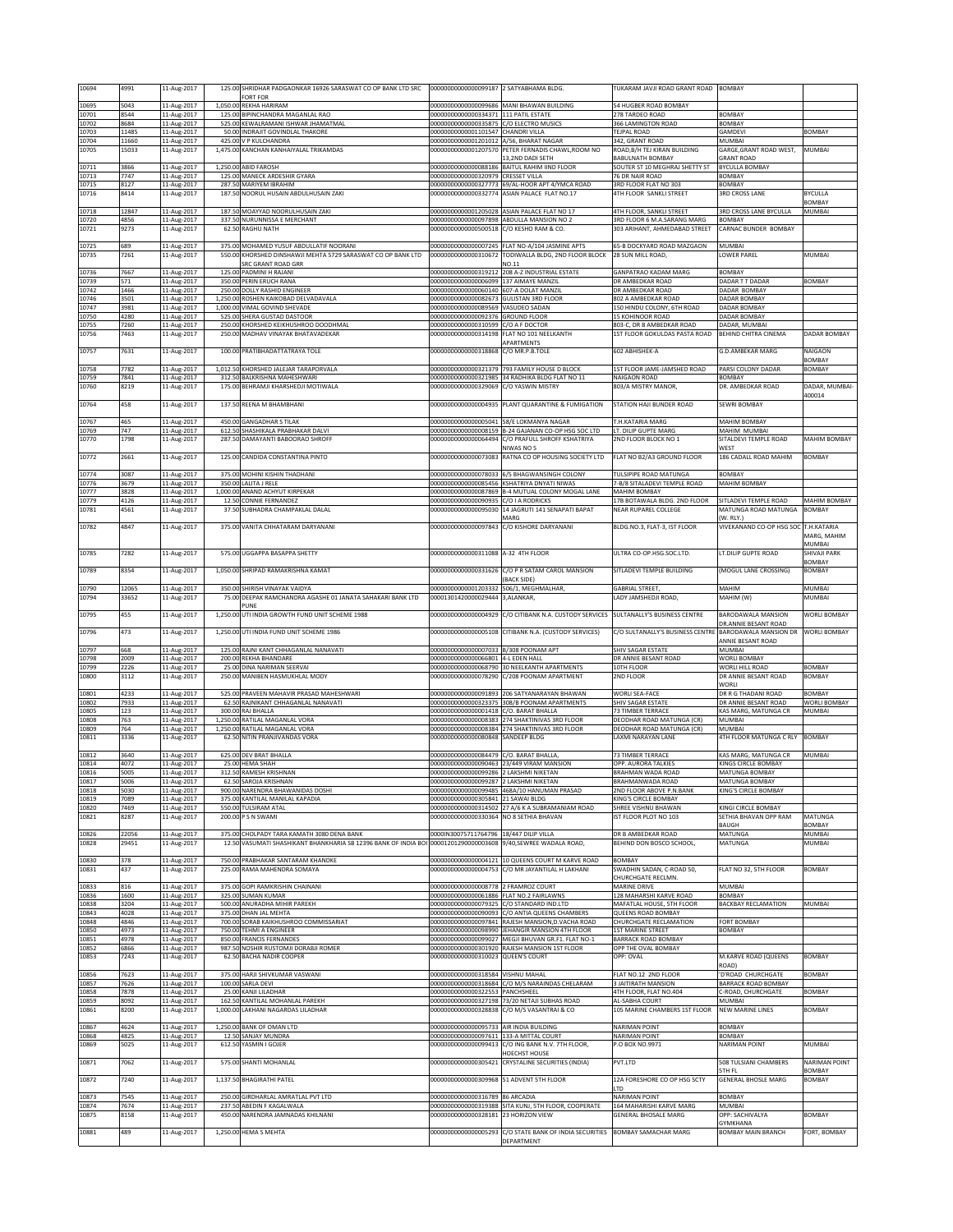| 10694          | 4991           | 11-Aug-2017                 | 125.00 SHRIDHAR PADGAONKAR 16926 SARASWAT CO OP BANK LTD SRC<br>FORT FOR                                       | 00000000000000099187 2 SATYABHAMA BLDG                                             |                                                                                                       | <b>IUKARAM JAVJI ROAD GRANT ROAD</b>                    | BOMBAY                                        |                         |
|----------------|----------------|-----------------------------|----------------------------------------------------------------------------------------------------------------|------------------------------------------------------------------------------------|-------------------------------------------------------------------------------------------------------|---------------------------------------------------------|-----------------------------------------------|-------------------------|
| 10695          | 5043           | 11-Aug-2017                 | 1,050.00 REKHA HARIRAM                                                                                         |                                                                                    | 00000000000000099686 MANI BHAWAN BUILDING                                                             | 54 HUGBER ROAD BOMBAY                                   |                                               |                         |
| 10701<br>10702 | 8544<br>8684   | 11-Aug-2017<br>11-Aug-2017  | 125.00 BIPINCHANDRA MAGANLAL RAO<br>525.00 KEWALRAMANI ISHWAR JHAMATMAL                                        | 00000000000000334371 111 PATIL ESTATE<br>00000000000000335875 C/O ELECTRO MUSICS   |                                                                                                       | 278 TARDEO ROAD<br>366 LAMINGTON ROAD                   | BOMBAY<br>BOMBAY                              |                         |
| 10703<br>10704 | 11485<br>11660 | 11-Aug-2017<br>11-Aug-2017  | 50.00 INDRAJIT GOVINDLAL THAKORE<br>425.00 V P KULCHANDRA                                                      | 00000000000001101547 CHANDRI VILLA<br>00000000000001201012 A/56, BHARAT NAGAR      |                                                                                                       | TEJPAL ROAD<br>342, GRANT ROAD                          | GAMDEVI<br>MUMBAI                             | <b>BOMBAY</b>           |
| 10705          | 15033          | 11-Aug-2017                 | 1,475.00 KANCHAN KANHAIYALAL TRIKAMDAS                                                                         |                                                                                    | 00000000000001207570 PETER FERNADIS CHAWL, ROOM NO<br>13,2ND DADI SETH                                | ROAD, B/H TEJ KIRAN BUILDING<br>BABULNATH BOMBAY        | GARGE, GRANT ROAD WEST,<br><b>GRANT ROAD</b>  | MUMBAI                  |
| 10711          | 3866           | 11-Aug-2017                 | 1,250.00 ABID FAROSH                                                                                           |                                                                                    | 000000000000000088186 BAITUL RAHIM IIND FLOOR                                                         | SOUTER ST 10 MEGHRAJ SHETTY ST                          | <b>BYCULLA BOMBAY</b>                         |                         |
| 10713<br>10715 | 7747<br>8127   | 11-Aug-2017<br>11-Aug-2017  | 125.00 MANECK ARDESHIR GYARA<br>287.50 MARIYEM IBRAHIM                                                         | 00000000000000320979 CRESSET VILLA                                                 | 00000000000000327773 69/AL-HOOR APT 4/YMCA ROAD                                                       | 6 DR NAIR ROAD<br>3RD FLOOR FLAT NO 303                 | BOMBAY<br>BOMBAY                              |                         |
| 10716          | 8414           | 11-Aug-2017                 | 187.50 NOORUL HUSAIN ABDULHUSAIN ZAKI                                                                          |                                                                                    | 00000000000000332774 ASIAN PALACE FLAT NO.17                                                          | 4TH FLOOR SANKLI STREET                                 | <b>3RD CROSS LANE</b>                         | BYCULLA<br>BOMBAY       |
| 10718<br>10720 | 12847<br>4856  | 11-Aug-2017<br>11-Aug-2017  | 187.50 MOAYYAD NOORULHUSAIN ZAKI<br>337.50 NURUNNISSA E MERCHANT                                               |                                                                                    | 00000000000001205028 ASIAN PALACE FLAT NO 17<br>00000000000000097898 ABDULLA MANSION NO 2             | 4TH FLOOR, SANKLI STREET<br>3RD FLOOR 6 M.A.SARANG MARG | 3RD CROSS LANE BYCULLA<br>BOMBAY              | MUMBAI                  |
| 10721          | 9273           | 11-Aug-2017                 | 62.50 RAGHU NATH                                                                                               | 00000000000000500518 C/O KESHO RAM & CO.                                           |                                                                                                       | 303 ARIHANT, AHMEDABAD STREET                           | CARNAC BUNDER BOMBAY                          |                         |
| 10725          | 689            | 11-Aug-2017                 | 375.00 MOHAMED YUSUF ABDULLATIF NOORANI                                                                        |                                                                                    | 00000000000000007245 FLAT NO-A/104 JASMINE APTS                                                       | 65-B DOCKYARD ROAD MAZGAON                              | MUMBAI                                        |                         |
| 10735          | 7261           | 11-Aug-2017                 | 550.00 KHORSHED DINSHAWJI MEHTA 5729 SARASWAT CO OP BANK LTD<br>SRC GRANT ROAD GRR                             |                                                                                    | 00000000000000310672 TODIWALLA BLDG, 2ND FLOOR BLOCK<br>NO.11                                         | 28 SUN MILL ROAD.                                       | LOWER PAREL                                   | MUMBAI                  |
| 10736<br>10739 | 7667<br>571    | 11-Aug-2017<br>11-Aug-2017  | 125.00 PADMINI H RAJANI<br>350.00 PERIN ERUCH RANA                                                             | 00000000000000006099 137 AIMAYE MANZIL                                             | 00000000000000319212 208 A-Z INDUSTRIAL ESTATE                                                        | <b>GANPATRAO KADAM MARG</b><br>DR AMBEDKAR ROAD         | BOMBAY<br>DADAR TT DADAR                      | <b>BOMBAY</b>           |
| 10742          | 1466           | 11-Aug-2017                 | 250.00 DOLLY RASHID ENGINEER                                                                                   | 00000000000000060140 607-A DOLAT MANZIL                                            |                                                                                                       | DR AMBEDKAR ROAD                                        | DADAR BOMBAY                                  |                         |
| 10746<br>10747 | 3501<br>3981   | 11-Aug-2017<br>11-Aug-2017  | 1,250.00 ROSHEN KAIKOBAD DELVADAVALA<br>1,000.00 VIMAL GOVIND SHEVADE                                          | 00000000000000082673 GULISTAN 3RD FLOOR<br>00000000000000089569 VASUDEO SADAN      |                                                                                                       | 802 A AMBEDKAR ROAD<br>50 HINDU COLONY, 6TH ROAD        | DADAR BOMBAY<br>DADAR BOMBAY                  |                         |
| 10750<br>10755 | 1280<br>'260   | 11-Aug-2017<br>11-Aug-2017  | 525.00 SHERA GUSTAD DASTOOR<br>250.00 KHORSHED KEIKHUSHROO DOODHMAL                                            | 00000000000000092376 GROUND FLOOR<br>0000000000000310599                           | C/O A F DOCTOR                                                                                        | <b>5 KOHINOOR ROAD</b><br>303-C, DR B AMBEDKAR ROAD     | DADAR BOMBAY<br><b>JADAR, MUMBAI</b>          |                         |
| 10756          | 7463           | 11-Aug-2017                 | 250.00 MADHAV VINAYAK BHATAVADEKAR                                                                             | 00000000000000314198                                                               | FLAT NO 101 NEELKANTH<br>APARTMENTS                                                                   | 1ST FLOOR GOKULDAS PASTA ROAD                           | BEHIND CHITRA CINEMA                          | DADAR BOMBAY            |
| 10757          | 7631           | 11-Aug-2017                 | 100.00 PRATIBHADATTATRAYA TOLE                                                                                 | 00000000000000318868                                                               | C/O MR.P.B.TOLE                                                                                       | 602 ABHISHEK-A                                          | <b>G.D.AMBEKAR MARG</b>                       | NAIGAON                 |
| 10758          | 7782           | 11-Aug-2017                 | 1,012.50 KHORSHED JALEJAR TARAPORVALA                                                                          |                                                                                    | 00000000000000321379 793 FAMILY HOUSE D BLOCK                                                         | 1ST FLOOR JAME-JAMSHED ROAD                             | PARSI COLONY DADAR                            | BOMBAY<br>BOMBAY        |
| 10759<br>10760 | 7841<br>8219   | 11-Aug-2017<br>11-Aug-2017  | 312.50 BALKRISHNA MAHESHWARI<br>175.00 BEHRAMJI KHARSHEDJI MOTIWALA                                            | 00000000000000321985<br>0000000000000329069                                        | 34 RADHIKA BLDG FLAT NO 11<br>C/O YASWIN MISTRY                                                       | NAIGAON ROAD<br>803/A MISTRY MANOR,                     | BOMBAY<br>DR. AMBEDKAR ROAD                   | DADAR, MUMBAI-          |
| 10764          | 458            | 11-Aug-2017                 | 137.50 REENA M BHAMBHANI                                                                                       |                                                                                    | 00000000000000004935 PLANT QUARANTINE & FUMIGATION                                                    | STATION HAJI BUNDER ROAD                                | SEWRI BOMBAY                                  | 400014                  |
|                |                |                             |                                                                                                                |                                                                                    |                                                                                                       |                                                         |                                               |                         |
| 10767<br>10769 | 465<br>747     | 11-Aug-2017<br>11-Aug-2017  | 450.00 GANGADHAR S TILAK<br>612.50 SHASHIKALA PRABHAKAR DALVI                                                  | 000000000000000005041 58/E LOKMANYA NAGAR                                          | 00000000000000008159 B-24 GAJANAN CO-OP HSG SOC LTD                                                   | <b>T.H.KATARIA MARG</b><br>LT. DILIP GUPTE MARG         | MAHIM BOMBAY<br>MAHIM MUMBAI                  |                         |
| 10770          | 1798           | 11-Aug-2017                 | 287.50 DAMAYANTI BABOORAO SHROFF                                                                               |                                                                                    | 00000000000000064494 C/O PRAFULL SHROFF KSHATRIYA<br>NIWAS NO 5                                       | 2ND FLOOR BLOCK NO 1                                    | SITALDEVI TEMPLE ROAD<br><b>NEST</b>          | <b>MAHIM BOMBAY</b>     |
| 10772          | 2661           | 11-Aug-2017                 | 125.00 CANDIDA CONSTANTINA PINTO                                                                               |                                                                                    | 00000000000000073083 RATNA CO OP HOUSING SOCIETY LTD                                                  | FLAT NO B2/A3 GROUND FLOOR                              | 186 CADALL ROAD MAHIM                         | <b>BOMBAY</b>           |
| 10774          | 3087           | 11-Aug-2017                 | 375.00 MOHINI KISHIN THADHANI                                                                                  |                                                                                    | 00000000000000078033 6/5 BHAGWANSINGH COLONY                                                          | TULSIPIPE ROAD MATUNGA                                  | BOMBAY                                        |                         |
| 10776<br>10777 | 3679<br>3828   | 11-Aug-2017<br>11-Aug-2017  | 350.00 LALITA J RELE<br>1,000.00 ANAND ACHYUT KIRPEKAR                                                         |                                                                                    | 000000000000000085456 KSHATRIYA DNYATI NIWAS<br>000000000000000087869 B-4 MUTUAL COLONY MOGAL LANE    | -B/8 SITALADEVI TEMPLE ROAD<br><b>MAHIM BOMBAY</b>      | MAHIM BOMBAY                                  |                         |
| 10779<br>10781 | 4126<br>4561   | 11-Aug-2017<br>11-Aug-2017  | 12.50 CONNIE FERNANDEZ<br>37.50 SUBHADRA CHAMPAKLAL DALAL                                                      | 00000000000000090935 C/O I A RODRICKS                                              | 00000000000000095030 14 JAGRUTI 141 SENAPATI BAPAT                                                    | 17B BOTAWALA BLDG. 2ND FLOOR<br>NEAR RUPAREL COLLEGE    | SITLADEVI TEMPLE ROAD<br>MATUNGA ROAD MATUNGA | MAHIM BOMBAY<br>BOMBAY  |
| 10782          | 4847           | 11-Aug-2017                 | 375.00 VANITA CHHATARAM DARYANANI                                                                              |                                                                                    | MARG<br>00000000000000097843 C/O KISHORE DARYANANI                                                    | BLDG.NO.3, FLAT-3, IST FLOOR                            | (W. RLY.)<br>VIVEKANAND CO-OP HSG SOC         | T.H.KATARIA             |
|                |                |                             |                                                                                                                |                                                                                    |                                                                                                       |                                                         |                                               | MARG, MAHIM             |
| 10785          | 7282           | 11-Aug-2017                 | 575.00 UGGAPPA BASAPPA SHETTY                                                                                  | 00000000000000311088 A-32 4TH FLOOR                                                |                                                                                                       | ULTRA CO-OP.HSG.SOC.LTD.                                | LT.DILIP GUPTE ROAD                           | MUMBAI<br>SHIVAJI PARK  |
| 10789          | 8354           | 11-Aug-2017                 | 1,050.00 SHRIPAD RAMAKRISHNA KAMAT                                                                             |                                                                                    | 00000000000000331626 C/O P R SATAM CAROL MANSION                                                      | SITLADEVI TEMPLE BUILDING                               | (MOGUL LANE CROSSING)                         | BOMBAY<br><b>BOMBAY</b> |
|                |                |                             |                                                                                                                |                                                                                    | (BACK SIDE)                                                                                           |                                                         |                                               |                         |
| 10790<br>10794 | 12065<br>33652 | 11-Aug-2017<br>11-Aug-2017  | 350.00 SHIRISH VINAYAK VAIDYA<br>75.00 DEEPAK RAMCHANDRA AGASHE 01 JANATA SAHAKARI BANK LTD                    | 00000000000001203332 506/1, MEGHMALHAR,<br>00001301420000029444 3,ALANKAR,         |                                                                                                       | <b>GABRIAL STREET,</b><br>LADY JAMSHEDJI ROAD.          | MAHIM<br>MAHIM (W)                            | MUMBAI<br>MUMBAI        |
| 10795          | 455            | 11-Aug-2017                 | PLINE<br>1,250.00 UTI INDIA GROWTH FUND UNIT SCHEME 1988                                                       |                                                                                    | 000000000000000004929 C/O CITIBANK N.A. CUSTODY SERVICES                                              | SULTANALLY'S BUSINESS CENTRE                            | BARODAWALA MANSION                            | WORLI BOMBAY            |
|                |                |                             |                                                                                                                |                                                                                    |                                                                                                       |                                                         |                                               |                         |
|                |                |                             |                                                                                                                |                                                                                    |                                                                                                       |                                                         | DR.ANNIE BESANT ROAD                          |                         |
| 10796          | 473            | 11-Aug-2017                 | 1,250.00 UTI INDIA FUND UNIT SCHEME 1986                                                                       |                                                                                    | 00000000000000005108 CITIBANK N.A. (CUSTODY SERVICES)                                                 | C/O SULTANALLY'S BUSINESS CENTRE                        | BARODAWALA MANSION DR<br>ANNIE BESANT ROAD    | WORLI BOMBAY            |
| 10797<br>10798 | 668<br>2009    | 11-Aug-2017<br>11-Aug-2017  | 125.00 RAJNI KANT CHHAGANLAL NANAVATI<br>200.00 REKHA BHANDARE                                                 | 00000000000000007033 B/308 POONAM APT<br>00000000000000066801 4-L EDEN HALL        |                                                                                                       | SHIV SAGAR ESTATE<br>DR ANNIE BESANT ROAD               | MUMBAI<br>WORLI BOMBAY                        |                         |
| 10799<br>10800 | 2226<br>3112   | 11-Aug-2017<br>11-Aug-2017  | 25.00 DINA NARIMAN SEERVAI<br>250.00 MANIBEN HASMUKHLAL MODY                                                   | 00000000000000078290                                                               | 00000000000000068790 30 NEELKANTH APARTMENTS<br>C/208 POONAM APARTMENT                                | 10TH FLOOR<br><b>ZND FLOOR</b>                          | WORLI HILL ROAD<br>DR ANNIE BESANT ROAD       | BOMBAY<br>BOMBAY        |
| 10801          | 4233           |                             | 525.00 PRAVEEN MAHAVIR PRASAD MAHESHWARI                                                                       |                                                                                    | 00000000000000091893 206 SATYANARAYAN BHAWAN                                                          | WORLI SEA-FACE                                          | <b>NORLI</b><br>DR R G THADANI ROAD           | BOMBAY                  |
| 10802          | 7933           | 11-Aug-2017<br>11-Aug-2017  | 62.50 RAJNIKANT CHHAGANLAL NANAVATI                                                                            |                                                                                    | 00000000000000323375 308/B POONAM APARTMENTS                                                          | SHIV SAGAR ESTATE                                       | DR ANNIE BESANT ROAD                          | WORLI BOMBAY            |
| 10805<br>10808 | 123<br>763     | 11-Aug-2017<br>11-Aug-2017  | 300.00 RAJ BHALLA<br>1,250.00 RATILAL MAGANLAL VORA                                                            | 00000000000000001418 C/O. BARAT BHALLA                                             | 00000000000000008383 274 SHAKTINIVAS 3RD FLOOR                                                        | 73 TIMBER TERRACE<br>DEODHAR ROAD MATUNGA (CR)          | KAS MARG, MATUNGA CR<br>MUMBAI                | MUMBAI                  |
| 10809<br>10811 | 764<br>3336    | 11-Aug-2017<br>11-Aug-2017  | 1,250.00 RATILAL MAGANLAL VORA<br>62.50 NITIN PRANJIVANDAS VORA                                                | 000000000000000080848 SANDEEP BLDG                                                 | 00000000000000008384 274 SHAKTINIVAS 3RD FLOOR                                                        | DEODHAR ROAD MATUNGA (CR)<br>LAXMI NARAYAN LANE         | MUMBAI<br><b>4TH FLOOR MATUNGA C RLY</b>      | <b>BOMBAY</b>           |
| 10812          | 3640           | 11-Aug-2017                 | 625.00 DEV BRAT BHALLA                                                                                         | 00000000000000084479 C/O. BARAT BHALLA,                                            |                                                                                                       | 3 TIMBER TERRACE                                        | KAS MARG, MATUNGA CR                          | MUMBAI                  |
| 10814          | 1072           | 11-Aug-2017                 | 25.00 HEMA SHAH                                                                                                |                                                                                    | 00000000000000090463 23/449 VIRAM MANSION                                                             | <b>PP. AURORA TALKIES</b>                               | <b>INGS CIRCLE BOMBAY</b>                     |                         |
| 10816<br>ng 17 | 5005<br>nne    | 11-Aug-2017<br>11-4:10-2017 | 312.50 RAMESH KRISHNAN<br>62 50 SAROJA KRISHNAM                                                                | 00000000000000099286 2 LAKSHMI NIKETAN<br>1000000000000000022 2 LAKSHAL NIKETAL    |                                                                                                       | BRAHMAN WADA ROAD<br>ARAHMANWADA                        | MATUNGA BOMBAY<br>MATHNGA ROMRAY              |                         |
| 10818<br>10819 | 5030<br>7089   | 11-Aug-2017<br>11-Aug-2017  | 900.00 NARENDRA BHAWANIDAS DOSHI<br>375.00 KANTILAL MANILAL KAPADIA                                            | 00000000000000305841 21 SAWAI BLDG                                                 | 00000000000000099485 468A/10 HANUMAN PRASAD                                                           | 2ND FLOOR ABOVE P.N.BANK<br>KING'S CIRCLE BOMBAY        | KING'S CIRCLE BOMBAY                          |                         |
| 10820<br>10821 | 7469<br>8287   | 11-Aug-2017<br>11-Aug-2017  | 550.00 TULSIRAM ATAL<br>200.00 P S N SWAMI                                                                     | 00000000000000330364 NO 8 SETHIA BHAVAN                                            | 00000000000000314502 27 A/6 K A SUBRAMANIAM ROAD                                                      | SHREE VISHNU BHAWAN<br>IST FLOOR PLOT NO 103            | KINGI CIRCLE BOMBAY<br>SETHIA BHAVAN OPP RAM  | MATUNGA                 |
| 10826          | 22056          | 11-Aug-2017                 | 375.00 CHOLPADY TARA KAMATH 3080 DENA BANK                                                                     | 0000IN30075711764796 18/447 DILIP VILLA                                            |                                                                                                       | DR B AMBEDKAR ROAD                                      | <b>BAUGH</b><br>MATUNGA                       | <b>BOMBAY</b><br>MUMBAI |
| 10828          | 29451          | 11-Aug-2017                 | 12.50 VASUMATI SHASHIKANT BHANKHARIA SB 12396 BANK OF INDIA BOI 00001201290000003608 9/40, SEWREE WADALA ROAD, |                                                                                    |                                                                                                       | BEHIND DON BOSCO SCHOOL,                                | MATUNGA                                       | MUMBAI                  |
| 10830          | 378            | 11-Aug-2017                 | 750.00 PRABHAKAR SANTARAM KHANDKE                                                                              |                                                                                    | 00000000000000004121 10 QUEENS COURT M KARVE ROAD                                                     | <b>BOMBAY</b>                                           |                                               |                         |
| 10831          | 437            | 11-Aug-2017                 | 225.00 RAMA MAHENDRA SOMAYA                                                                                    |                                                                                    | 00000000000000004753 C/O MR JAYANTILAL H LAKHANI                                                      | SWADHIN SADAN, C-ROAD 50,<br>CHURCHGATE RECLMN.         | FLAT NO 32, 5TH FLOOR                         | BOMBAY                  |
| 10833<br>10836 | 816<br>1600    | 11-Aug-2017<br>11-Aug-2017  | 375.00 GOPI RAMKRISHIN CHAINANI<br>325.00 SUMAN KUMAR                                                          | 00000000000000008778 2 FRAMROZ COURT<br>00000000000000061886 FLAT NO.2 FAIRLAWNS   |                                                                                                       | MARINE DRIVE<br><b>28 MAHARSHI KARVE ROAD</b>           | <b>MUMBAI</b><br>BOMBAY                       |                         |
| 10838          | 3204           | 11-Aug-2017                 | 500.00 ANURADHA MIHIR PAREKH                                                                                   | 00000000000000079325                                                               | C/O STANDARD IND.LTD                                                                                  | MAFATLAL HOUSE, 5TH FLOOR                               | <b>BACKBAY RECLAMATION</b>                    | MUMBAI                  |
| 10843<br>10848 | 4028<br>4846   | 11-Aug-2017<br>11-Aug-2017  | 375.00 DHAN JAL MEHTA<br>700.00 SORAB KAIKHUSHROO COMMISSARIAT                                                 |                                                                                    | 00000000000000090093 C/O ANTIA QUEENS CHAMBERS<br>00000000000000097841 RAJESH MANSION, D. VACHA ROAD  | QUEENS ROAD BOMBAY<br><b>CHURCHGATE RECLAMATION</b>     | FORT BOMBAY                                   |                         |
| 10850<br>10851 | 4973<br>4978   | 11-Aug-2017<br>11-Aug-2017  | 750.00 TEHMI A ENGINEER<br>850.00 FRANCIS FERNANDES                                                            |                                                                                    | 00000000000000098990 JEHANGIR MANSION 4TH FLOOR<br>00000000000000099027 MEGJI BHUVAN GR.F1. FLAT NO-1 | <b>1ST MARINE STREET</b><br>BARRACK ROAD BOMBAY         | BOMBAY                                        |                         |
| 10852<br>10853 | 6866<br>7243   | 11-Aug-2017<br>11-Aug-2017  | 987.50 NOSHIR RUSTOMJI DORABJI ROMER<br>62.50 BACHA NADIR COOPER                                               | 00000000000000310023 QUEEN'S COURT                                                 | 00000000000000301920 RAJESH MANSION 1ST FLOOR                                                         | OPP THE OVAL BOMBAY<br>OPP: OVAL                        | M.KARVE ROAD (QUEENS                          | <b>BOMBAY</b>           |
| 10856          | 7623           |                             | 375.00 HARJI SHIVKUMAR VASWANI                                                                                 | 00000000000000318584                                                               | <b>VISHNU MAHAL</b>                                                                                   | FLAT NO.12 2ND FLOOR                                    | ROAD)<br>D'ROAD CHURCHGATE                    | BOMBAY                  |
| 10857          | 7626           | 11-Aug-2017<br>11-Aug-2017  | 100.00 SARLA DEVI                                                                                              | 00000000000000318684                                                               | C/O M/S NARAINDAS CHELARAM                                                                            | JAITIRATH MANSION                                       | BARRACK ROAD BOMBAY                           |                         |
| 10858<br>10859 | 7878<br>8092   | 11-Aug-2017<br>11-Aug-2017  | 25.00 KANJI LILADHAR<br>162.50 KANTILAL MOHANLAL PAREKH                                                        | 00000000000000322553                                                               | PANCHSHEEL<br>00000000000000327198 73/20 NETAJI SUBHAS ROAD                                           | 4TH FLOOR, FLAT NO.404<br>AL-SABHA COURT                | C-ROAD, CHURCHGATE<br>MUMBAI                  | BOMBAY                  |
| 10861          | 8200           | 11-Aug-2017                 | 1,000.00 LAKHANI NAGARDAS LILADHAR                                                                             | 00000000000000328838                                                               | C/O M/S VASANTRAI & CO                                                                                | 105 MARINE CHAMBERS 1ST FLOOR                           | NEW MARINE LINES                              | <b>BOMBAY</b>           |
| 10867<br>10868 | 4624<br>4825   | 11-Aug-2017                 | 1,250.00 BANK OF OMAN LTD<br>12.50 SANJAY MUNDRA                                                               | 00000000000000095733 AIR INDIA BUILDING<br>00000000000000097611 133-A MITTAL COURT |                                                                                                       | NARIMAN POINT<br><b>NARIMAN POINT</b>                   | BOMBAY<br>BOMBAY                              |                         |
| 10869          | 5025           | 11-Aug-2017<br>11-Aug-2017  | 612.50 YASMIN I GOJER                                                                                          | 00000000000000099413                                                               | C/O ING BANK N.V. 7TH FLOOR,                                                                          | .O BOX NO.9971                                          | <b>NARIMAN POINT</b>                          | MUMBAI                  |
| 10871          | 7062           | 11-Aug-2017                 | 575.00 SHANTI MOHANLAL                                                                                         | 00000000000000305421                                                               | HOECHST HOUSE<br><b>CRYSTALINE SECURITIES (INDIA)</b>                                                 | PVT.LTD                                                 | 508 TULSIANI CHAMBERS                         | NARIMAN POINT           |
| 10872          | 7240           | 11-Aug-2017                 | 1,137.50 BHAGIRATHI PATEL                                                                                      | 00000000000000309968 51 ADVENT 5TH FLOOR                                           |                                                                                                       | 12A FORESHORE CO OP HSG SCTY                            | STH FL<br><b>GENERAL BHOSLE MARG</b>          | BOMBAY<br>BOMBAY        |
| 10873          | 7545           | 11-Aug-2017                 | 250.00 GIRDHARLAL AMRATLAL PVT LTD                                                                             | 00000000000000316789 86 ARCADIA                                                    |                                                                                                       | <b>TD</b><br>NARIMAN POINT                              | BOMBAY                                        |                         |
| 10874<br>10875 | 7674           | 11-Aug-2017                 | 237.50 ABEDIN F KAGALWALA<br>450.00 NARENDRA JAMNADAS KHILNANI                                                 | 00000000000000328181                                                               | 00000000000000319388 SITA KUNJ, 5TH FLOOR, COOPERATE<br>23 HORIZON VIEW                               | 164 MAHARISHI KARVE MARG<br><b>GENERAL BHOSALE MARG</b> | MUMBAI<br>OPP: SACHIVALYA                     | BOMBAY                  |
| 10881          | 8158<br>489    | 11-Aug-2017<br>11-Aug-2017  | 1,250.00 HEMA S MEHTA                                                                                          |                                                                                    | 00000000000000005293 C/O STATE BANK OF INDIA SECURITIES BOMBAY SAMACHAR MARG                          |                                                         | <b>SYMKHANA</b><br><b>BOMBAY MAIN BRANCH</b>  | FORT, BOMBAY            |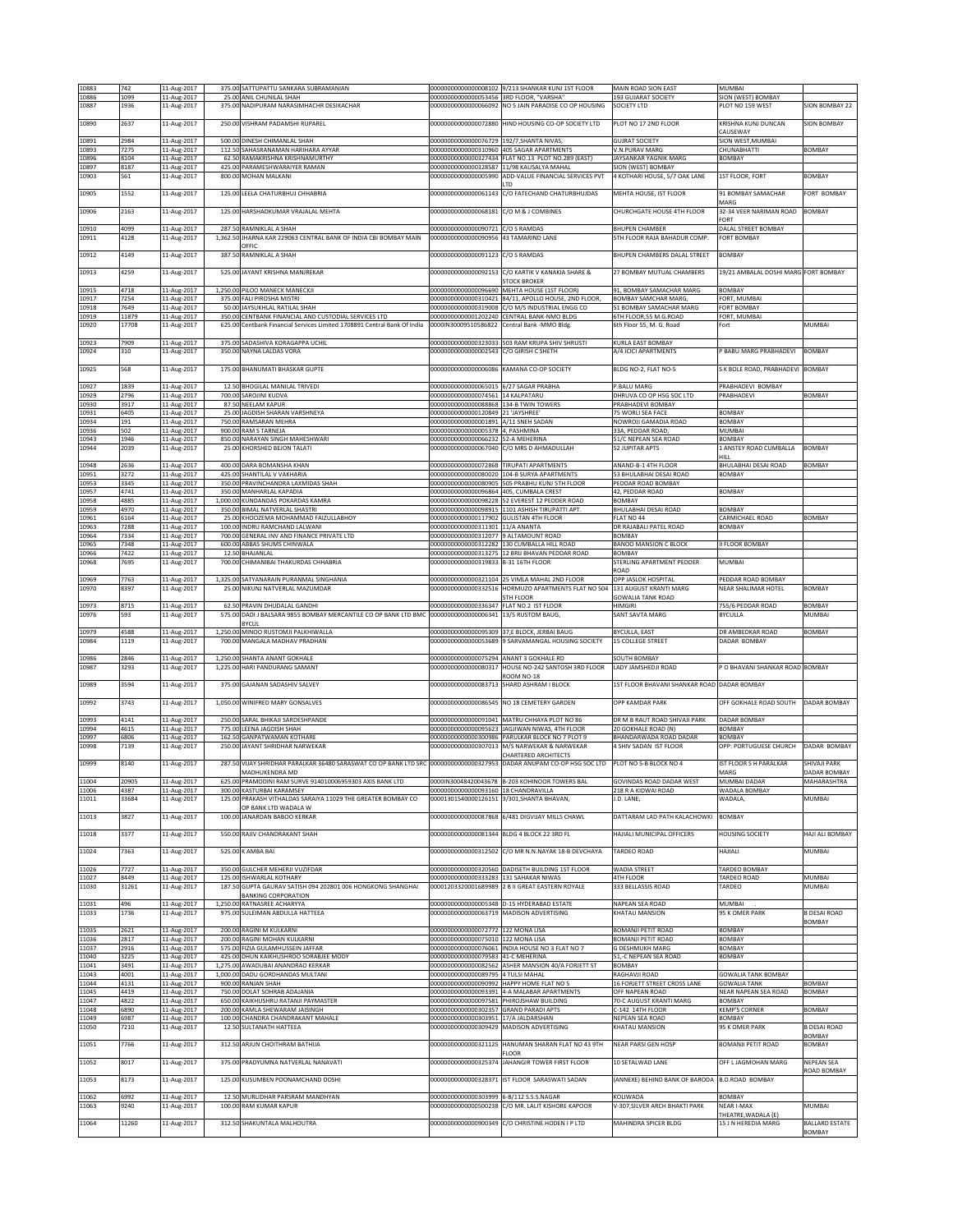| 10883          | 742           | 11-Aug-2017                | 375.00 SATTUPATTU SANKARA SUBRAMANIAN                                                                                 |                                                              | 00000000000000008102 9/213 SHANKAR KUNJ 1ST FLOOR                                | MAIN ROAD SION EAST                                   | <b>MUMBAI</b>                                     |                                 |
|----------------|---------------|----------------------------|-----------------------------------------------------------------------------------------------------------------------|--------------------------------------------------------------|----------------------------------------------------------------------------------|-------------------------------------------------------|---------------------------------------------------|---------------------------------|
| 10886<br>10887 | 1099<br>1936  | 11-Aug-2017<br>11-Aug-2017 | 25.00 ANIL CHUNILAL SHAH<br>375.00 NADIPURAM NARASIMHACHR DESIKACHAR                                                  | 00000000000000053456 3RD FLOOR, "VARSHA"                     | 00000000000000066092 NO 5 JAIN PARADISE CO OP HOUSING                            | 193 GUJARAT SOCIETY<br><b>SOCIETY LTD</b>             | SION (WEST) BOMBAY<br>PLOT NO 159 WEST            | <b>SION BOMBAY 22</b>           |
|                |               |                            |                                                                                                                       |                                                              |                                                                                  |                                                       |                                                   |                                 |
| 10890          | 2637          | 11-Aug-2017                | 250.00 VISHRAM PADAMSHI RUPAREL                                                                                       | 00000000000000072880                                         | HIND HOUSING CO-OP SOCIETY LTD                                                   | PLOT NO 17 2ND FLOOR                                  | KRISHNA KUNJ DUNCAN<br>CAUSEWAY                   | <b>SION BOMBAY</b>              |
| 10891          | 2984          | 11-Aug-2017                | 500.00 DINESH CHIMANLAL SHAH                                                                                          | 00000000000000076729                                         | 192/7, SHANTA NIVAS,                                                             | <b>GUJRAT SOCIETY</b>                                 | SION WEST, MUMBAI                                 |                                 |
| 10893<br>10896 | 7275<br>8104  | 11-Aug-2017<br>11-Aug-2017 | 112.50 SAHASRANAMAN HARIHARA AYYAR<br>62.50 RAMAKRISHNA KRISHNAMURTHY                                                 | 00000000000000310960                                         | 405 SAGAR APARTMENTS<br>00000000000000327434 FLAT NO.13 PLOT NO.289 (EAST)       | V.N.PURAV MARG<br>JAYSANKAR YAGNIK MARG               | <b>CHUNABHATTI</b><br><b>BOMBAY</b>               | BOMBAY                          |
| 10897          | 8187          | 11-Aug-2017                | 425.00 PARAMESHWARAIYER RAMAN                                                                                         |                                                              | 00000000000000328587 11/98 KAUSALYA MAHAL                                        | SION (WEST) BOMBAY                                    |                                                   |                                 |
| 10903          | 561           | 11-Aug-2017                | 800.00 MOHAN MALKANI                                                                                                  | 00000000000000005990                                         | ADD-VALUE FINANCIAL SERVICES PVT                                                 | 4 KOTHARI HOUSE, 5/7 OAK LANE                         | 1ST FLOOR, FORT                                   | <b>BOMBAY</b>                   |
| 10905          | 1552          | 11-Aug-2017                | 125.00 LEELA CHATURBHUJ CHHABRIA                                                                                      | 00000000000000061143                                         | C/O FATECHAND CHATURBHUJDAS                                                      | MEHTA HOUSE, IST FLOOR                                | 91 BOMBAY SAMACHAR                                | FORT BOMBAY                     |
|                |               |                            |                                                                                                                       |                                                              |                                                                                  |                                                       | MARG                                              |                                 |
| 10906          | 2163          | 11-Aug-2017                | 125.00 HARSHADKUMAR VRAJALAL MEHTA                                                                                    | 00000000000000068181                                         | C/O M & J COMBINES                                                               | CHURCHGATE HOUSE 4TH FLOOR                            | 32-34 VEER NARIMAN ROAD<br>FORT                   | <b>BOMBAY</b>                   |
| 10910          | 4099          | 11-Aug-2017                | 287.50 RAMNIKLAL A SHAH                                                                                               | 00000000000000090721                                         | C/O S RAMDAS                                                                     | <b>BHUPEN CHAMBER</b>                                 | DALAL STREET BOMBAY                               |                                 |
| 10911          | 4128          | 11-Aug-2017                | 1,362.50 JHARNA KAR 229063 CENTRAL BANK OF INDIA CBI BOMBAY MAIN<br>OFFIC                                             | 00000000000000090956                                         | 43 TAMARIND LANE                                                                 | 5TH FLOOR RAJA BAHADUR COMP.                          | <b>FORT BOMBAY</b>                                |                                 |
| 10912          | 4149          | 11-Aug-2017                | 387.50 RAMNIKLAL A SHAH                                                                                               | 00000000000000091123                                         | C/O S RAMDAS                                                                     | BHUPEN CHAMBERS DALAL STREET                          | BOMBAY                                            |                                 |
| 10913          | 4259          | 11-Aug-2017                | 525.00 JAYANT KRISHNA MANJREKAR                                                                                       | 00000000000000092153                                         | C/O KARTIK V KANAKIA SHARE &                                                     | 27 BOMBAY MUTUAL CHAMBERS                             | 19/21 AMBALAL DOSHI MARG FORT BOMBAY              |                                 |
|                |               |                            |                                                                                                                       |                                                              | <b>STOCK BROKER</b>                                                              |                                                       |                                                   |                                 |
| 10915          | 4718          | 11-Aug-2017                | 1,250.00 PILOO MANECK MANECKJI                                                                                        |                                                              | 00000000000000096690 MEHTA HOUSE (1ST FLOOR)                                     | 91, BOMBAY SAMACHAR MARG                              | <b>BOMBAY</b>                                     |                                 |
| 10917<br>10918 | 7254<br>7649  | 11-Aug-2017<br>11-Aug-2017 | 375.00 FALI PIROSHA MISTRI<br>50.00 JAYSUKHLAL RATILAL SHAH                                                           | 00000000000000310421<br>00000000000000319008                 | 84/11, APOLLO HOUSE, 2ND FLOOR,<br>C/O M/S INDUSTRIAL ENGG CO                    | <b>BOMBAY SAMCHAR MARG</b><br>51 BOMBAY SAMACHAR MARG | FORT, MUMBAI<br>FORT BOMBAY                       |                                 |
| 10919          | 11879         | 11-Aug-2017                | 350.00 CENTBANK FINANCIAL AND CUSTODIAL SERVICES LTD                                                                  |                                                              | 00000000000001202240 CENTRAL BANK-NMO BLDG                                       | 6TH FLOOR,55 M.G.ROAD                                 | FORT, MUMBAI                                      |                                 |
| 10920          | 17708         | 11-Aug-2017                | 625.00 Centbank Financial Services Limited 1708891 Central Bank Of India                                              | 0000IN30009510586822                                         | Central Bank - MMO Bldg.                                                         | 6th Floor 55, M. G. Road                              | Fort                                              | MUMBAI                          |
| 10923          | 7909          | 11-Aug-2017                | 375.00 SADASHIVA KORAGAPPA UCHIL                                                                                      |                                                              | 00000000000000323033 503 RAM KRUPA SHIV SHRUSTI                                  | KURLA EAST BOMBAY                                     |                                                   |                                 |
| 10924          | 310           | 11-Aug-2017                | 350.00 NAYNA LALDAS VORA                                                                                              | 00000000000000002543                                         | C/O GIRISH C SHETH                                                               | A/4 ICICI APARTMENTS                                  | P BABU MARG PRABHADEVI                            | <b>BOMBAY</b>                   |
| 10925          | 568           | 11-Aug-2017                | 175.00 BHANUMATI BHASKAR GUPTE                                                                                        | 00000000000000006086                                         | KAMANA CO-OP SOCIETY                                                             | BLDG NO-2, FLAT NO-5                                  | S K BOLE ROAD, PRABHADEVI                         | BOMBAY                          |
| 10927          | 1839          | 11-Aug-2017                | 12.50 BHOGILAL MANILAL TRIVEDI                                                                                        | 00000000000000065015 6/27 SAGAR PRABHA                       |                                                                                  | P.BALU MARG                                           | PRABHADEVI BOMBAY                                 |                                 |
| 10929          | 2796          | 11-Aug-2017                | 700.00 SAROJINI KUDVA                                                                                                 | 00000000000000074561 14 KALPATARU                            |                                                                                  | DHRUVA CO OP HSG SOC LTD                              | PRABHADEVI                                        | BOMBAY                          |
| 10930<br>10931 | 3917<br>6405  | 11-Aug-2017<br>11-Aug-2017 | 87.50 NEELAM KAPUR<br>25.00 JAGDISH SHARAN VARSHNEYA                                                                  | 00000000000000088868<br>00000000000000120849                 | 134-B TWIN TOWERS<br>21 'JAYSHREE'                                               | PRABHADEVI BOMBAY<br>75 WORLI SEA FACE                | BOMBAY                                            |                                 |
| 10934          | 191           | 11-Aug-2017                | 750.00 RAMSARAN MEHRA                                                                                                 | 000000000000000001891 A/11 SNEH SADAN                        |                                                                                  | NOWROJI GAMADIA ROAD                                  | <b>BOMBAY</b>                                     |                                 |
| 10936<br>10943 | 502<br>1946   | 11-Aug-2017<br>11-Aug-2017 | 900.00 RAM S TARNEJA<br>850.00 NARAYAN SINGH MAHESHWARI                                                               | 00000000000000005378<br>00000000000000066232                 | 4, PASHMINA<br><b>52-A MEHERINA</b>                                              | 33A, PEDDAR ROAD,<br>51/C NEPEAN SEA ROAD             | MUMBAI<br><b>BOMBAY</b>                           |                                 |
| 10944          | 2039          | 11-Aug-2017                | 25.00 KHORSHED BEJON TALATI                                                                                           |                                                              | 00000000000000067040 C/O MRS D AHMADULLAH                                        | 52 JUPITAR APTS                                       | 1 ANSTEY ROAD CUMBALLA                            | <b>BOMBAY</b>                   |
|                |               |                            |                                                                                                                       |                                                              |                                                                                  |                                                       | HILL                                              |                                 |
| 10948<br>10951 | 2636<br>3272  | 11-Aug-2017<br>11-Aug-2017 | 400.00 DARA BOMANSHA KHAN<br>425.00 SHANTILAL V VAKHARIA                                                              | 00000000000000072868<br>00000000000000080020                 | <b>TIRUPATI APARTMENTS</b><br>104-B SURYA APARTMENTS                             | ANAND-B-1 4TH FLOOR<br>3 BHULABHAI DESAI ROAD         | BHULABHAI DESAI ROAD<br><b>BOMBAY</b>             | <b>BOMBAY</b>                   |
| 10953          | 3345          | 11-Aug-2017                | 350.00 PRAVINCHANDRA LAXMIDAS SHAH                                                                                    | 209903000000000000000                                        | 505 PRABHU KUNI 5TH FLOOR                                                        | PEDDAR ROAD BOMBAY                                    |                                                   |                                 |
| 10957<br>10958 | 4741<br>4885  | 11-Aug-2017<br>11-Aug-2017 | 350.00 MANHARLAL KAPADIA<br>1,000.00 KUNDANDAS POKARDAS KAMRA                                                         | 00000000000000096864 405, CUMBALA CREST                      | 00000000000000098228 52 EVEREST 12 PEDDER ROAD                                   | 42, PEDDAR ROAD<br><b>BOMBAY</b>                      | <b>BOMBAY</b>                                     |                                 |
| 10959          | 4970          | 11-Aug-2017                | 350.00 BIMAL NATVERLAL SHASTRI                                                                                        |                                                              | 00000000000000098915 1101 ASHISH TIRUPATTI APT.                                  | <b>BHULABHAI DESAI ROAD</b>                           | <b>BOMBAY</b>                                     |                                 |
| 10961<br>10963 | 6164<br>7288  | 11-Aug-2017<br>11-Aug-2017 | 25.00 KHOOZEMA MOHAMMAD FAIZULLABHOY<br>100.00 INDRU RAMCHAND LALWANI                                                 | 00000000000000117902<br>00000000000000311301                 | <b>GULISTAN 4TH FLOOR</b><br>11/A ANANTA                                         | FLAT NO 44<br>DR RAJABALI PATEL ROAD                  | CARMICHAEL ROAD<br><b>BOMBAY</b>                  | BOMBAY                          |
| 10964          | 7334          | 11-Aug-2017                | 700.00 GENERAL INV AND FINANCE PRIVATE LTD                                                                            | 00000000000000312077 9 ALTAMOUNT ROAD                        |                                                                                  | BOMBAY                                                |                                                   |                                 |
| 10965<br>10966 | 7348<br>7422  | 11-Aug-2017                | 600.00 ABBAS SHUMS CHINWALA<br>12.50 BHAJANLAL                                                                        | 00000000000000312282                                         | 130 CUMBALLA HILL ROAD<br>00000000000000313275 12 BRIJ BHAVAN PEDDAR ROAD        | <b>BANOO MANSION C BLOCK</b><br>BOMBAY                | <b>II FLOOR BOMBAY</b>                            |                                 |
| 10968          | 7695          | 11-Aug-2017<br>11-Aug-2017 | 700.00 CHIMANIBAI THAKURDAS CHHABRIA                                                                                  | 00000000000000319833 B-31 16TH FLOOR                         |                                                                                  | STERLING APARTMENT PEDDER                             | MUMBAI                                            |                                 |
|                |               |                            |                                                                                                                       |                                                              |                                                                                  | ROAD                                                  |                                                   |                                 |
| 10969<br>10970 | 7763<br>8397  | 11-Aug-2017<br>11-Aug-2017 | 1,325.00 SATYANARAIN PURANMAL SINGHANIA<br>25.00 NIKUNJ NATVERLAL MAZUMDAR                                            | 00000000000000321104<br>00000000000000332516                 | 25 VIMLA MAHAL 2ND FLOOR<br>HORMUZO APARTMENTS FLAT NO 504                       | OPP JASLOK HOSPITAL<br>131 AUGUST KRANTI MARG         | PEDDAR ROAD BOMBAY<br>NEAR SHALIMAR HOTEL         | <b>BOMBAY</b>                   |
|                |               |                            |                                                                                                                       |                                                              | <b>STH FLOOR</b>                                                                 | GOWALIA TANK ROAD                                     |                                                   |                                 |
| 10973<br>10976 | 8715<br>593   | 11-Aug-2017<br>11-Aug-2017 | 62.50 PRAVIN DHUDALAL GANDHI                                                                                          | 00000000000000336347 FLAT NO.2 IST FLOOR                     |                                                                                  | HIMGIRI                                               | 755/6 PEDDAR ROAD                                 | BOMBAY<br>MUMBAI                |
|                |               |                            |                                                                                                                       |                                                              |                                                                                  |                                                       |                                                   |                                 |
|                |               |                            | 575.00 DADI J BALSARA 9855 BOMBAY MERCANTILE CO OP BANK LTD BMC<br><b>BYCUL</b>                                       |                                                              | 00000000000000006341 13/5 RUSTOM BAUG,                                           | SANT SAVTA MARG                                       | <b>BYCULLA</b>                                    |                                 |
| 10979          | 4588          | 11-Aug-2017                | 1,250.00 MINOO RUSTOMJI PALKHIWALLA                                                                                   |                                                              | 00000000000000095309 37,E BLOCK, JERBAI BAUG                                     | <b>BYCULLA, EAST</b>                                  | DR AMBEDKAR ROAD                                  | BOMBAY                          |
| 10984          | 1119          | 11-Aug-2017                | 700.00 MANGALA MADHAV PRADHAN                                                                                         | 00000000000000053689                                         | 9 SARVAMANGAL HOUSING SOCIETY                                                    | <b>15 COLLEGE STREET</b>                              | DADAR BOMBAY                                      |                                 |
| 10986          | 2846          | 11-Aug-2017                | 1,250.00 SHANTA ANANT GOKHALE                                                                                         | 00000000000000075294                                         | ANANT 3 GOKHALE RD                                                               | <b>SOUTH BOMBAY</b>                                   |                                                   |                                 |
| 10987          | 3293          | 11-Aug-2017                | 1,225.00 HARI PANDURANG SAMANT                                                                                        | 00000000000000080317                                         | HOUSE NO-242 SANTOSH 3RD FLOOR<br>ROOM NO-18                                     | LADY JAMSHEDJI ROAD                                   | O BHAVANI SHANKAR ROAD BOMBAY                     |                                 |
| 10989          | 3594          | 11-Aug-2017                | 375.00 GAJANAN SADASHIV SALVEY                                                                                        | 00000000000000083713                                         | SHARD ASHRAM I BLOCK                                                             | 1ST FLOOR BHAVANI SHANKAR ROAD DADAR BOMBAY           |                                                   |                                 |
| 10992          | 3743          | 11-Aug-2017                | 1,050.00 WINIFRED MARY GONSALVES                                                                                      | 00000000000000086545                                         | NO 18 CEMETERY GARDEN                                                            | OPP KAMDAR PARK                                       | OFF GOKHALE ROAD SOUTH                            | <b>DADAR BOMBAY</b>             |
|                |               |                            |                                                                                                                       |                                                              |                                                                                  |                                                       |                                                   |                                 |
| 10993<br>10994 | 4141<br>4615  | 11-Aug-2017<br>11-Aug-2017 | 250.00 SARAL BHIKAJI SARDESHPANDE<br>775.00 LEENA JAGDISH SHAH                                                        | 00000000000000095623                                         | 00000000000000091041 MATRU CHHAYA PLOT NO 86<br><b>IAGIIWAN NIWAS, 4TH FLOOR</b> | DR M B RAUT ROAD SHIVAJI PARK<br>20 GOKHALE ROAD (N)  | <b>DADAR BOMBAY</b><br><b>BOMBAY</b>              |                                 |
| 10997          | 6806          | 11-Aug-2017                | 162.50 GANPATWAMAN KOTHARE                                                                                            | 00000000000000300986                                         | PARULKAR BLOCK NO 7 PLOT 9                                                       | BHANDARWADA ROAD DADAR                                | <b>BOMBAY</b>                                     |                                 |
| 10998          | 7139          | 11-Aug-2017                | 250.00 JAYANT SHRIDHAR NARWEKAR                                                                                       | 00000000000000307013                                         | M/S NARWEKAR & NARWEKAR<br><b>CHARTERED ARCHITECTS</b>                           | 4 SHIV SADAN IST FLOOR                                | OPP: PORTUGUESE CHURCH                            | DADAR BOMBAY                    |
| 10999          | 8140          | 11-Aug-2017                | 287.50 VIJAY SHRIDHAR PARALKAR 36480 SARASWAT CO OP BANK LTD SRC 000000000000000327953 DADAR ANUPAM CO-OP HSG SOC LTD |                                                              |                                                                                  | PLOT NO 5-B BLOCK NO 4                                | IST FLOOR S H PARALKAR                            | <b>SHIVAJI PARK</b>             |
|                |               |                            | MADHUKENDRA MD                                                                                                        |                                                              | B-203 KOHINOOR TOW                                                               |                                                       | MARG                                              | DADAR BOMBAY                    |
| .1004<br>11006 | 20905<br>4387 | .1-Aug-2017<br>11-Aug-2017 | 625.00 PRAMODINI KAM SURVE 9<br>300.00 KASTURBAI KARAMSEY                                                             | JUUUIN3UU4842UU43b78<br>00000000000000093160 18 CHANDRAVILLA |                                                                                  | GOVINDAS KOAD DADAK WES<br>218 R A KIDWAI ROAD        | MUMBAI DADAR<br>WADALA BOMBAY                     | VIAHAKASHIKA                    |
| 11011          | 33684         | 11-Aug-2017                | 125.00 PRAKASH VITHALDAS SARAIYA 11029 THE GREATER BOMBAY CO<br>OP BANK LTD WADALA W                                  | 00001301540000126151 3/301, SHANTA BHAVAN,                   |                                                                                  | J.D. LANE.                                            | WADALA,                                           | MUMBAI                          |
| 11013          | 3827          | 11-Aug-2017                | 100.00 JANARDAN BABOO KERKAR                                                                                          | 00000000000000087868                                         | 6/481 DIGVIJAY MILLS CHAWL                                                       | DATTARAM LAD PATH KALACHOWKI                          | <b>BOMBAY</b>                                     |                                 |
|                |               |                            |                                                                                                                       |                                                              |                                                                                  |                                                       |                                                   |                                 |
| 11018          | 3377          | 11-Aug-2017                | 550.00 RAJIV CHANDRAKANT SHAH                                                                                         | 00000000000000081344                                         | BLDG 4 BLOCK 22 3RD FL                                                           | HAJIALI MUNICIPAL OFFICERS                            | HOUSING SOCIETY                                   | HAJI ALI BOMBAY                 |
| 11024          | 7363          | 11-Aug-2017                | 525.00 K AMBA BAI                                                                                                     | 00000000000000312502                                         | C/O MR N.N.NAYAK 18-B DEVCHAYA                                                   | TARDEO ROAD                                           | HAJIALI                                           | MUMBAI                          |
| 11026          | 7727          | 11-Aug-2017                | 350.00 GULCHER MEHERJI VUZIFDAR                                                                                       |                                                              | 00000000000000320560 DADISETH BUILDING 1ST FLOOR                                 | WADIA STREET                                          | TARDEO BOMBAY                                     |                                 |
| 11027          | 8449          | 11-Aug-2017                | 125.00 ISHWARLAL KOTHARY                                                                                              | 00000000000000333283                                         | 131 SAHAKAR NIWAS                                                                | <b>4TH FLOOR</b>                                      | TARDEO ROAD                                       | MUMBAI                          |
| 11030          | 31261         | 11-Aug-2017                | 187.50 GUPTA GAURAV SATISH 094 202801 006 HONGKONG SHANGHAI<br><b>BANKING CORPORATION</b>                             |                                                              | 00001203320001689989 2 B II GREAT EASTERN ROYALE                                 | 333 BELLASSIS ROAD                                    | TARDEO                                            | MUMBAI                          |
| 11031          | 496           | 11-Aug-2017                | 1,250.00 RATNASREE ACHARYYA                                                                                           | 00000000000000005348                                         | D-15 HYDERABAD ESTATE                                                            | NAPEAN SEA ROAD                                       | MUMBAI                                            |                                 |
| 11033          | 1736          | 11-Aug-2017                | 975.00 SULEIMAN ABDULLA HATTEEA                                                                                       | 00000000000000063719 MADISON ADVERTISING                     |                                                                                  | KHATAU MANSION                                        | 95 K OMER PARK                                    | <b>B DESAI ROAD</b><br>BOMBAY   |
| 11035          | 2621          | 11-Aug-2017                | 200.00 RAGINI M KULKARNI                                                                                              | 00000000000000072772 122 MONA LISA                           |                                                                                  | <b>BOMANJI PETIT ROAD</b>                             | <b>BOMBAY</b>                                     |                                 |
| 11036<br>11037 | 2817<br>2916  | 11-Aug-2017<br>11-Aug-2017 | 200.00 RAGINI MOHAN KULKARNI<br>575.00 FIZIA GULAMHUSSEIN JAFFAR                                                      | 00000000000000075010 122 MONA LISA                           | 00000000000000076061 INDIA HOUSE NO 3 FLAT NO 7                                  | <b>BOMANJI PETIT ROAD</b><br><b>G DESHMUKH MARG</b>   | <b>BOMBAY</b><br><b>BOMBAY</b>                    |                                 |
| 11040          | 3225          | 11-Aug-2017                | 425.00 DHUN KAIKHUSHROO SORABJEE MODY                                                                                 | 0000000000000079583                                          | 41-C MEHERINA                                                                    | 51,-C NEPEAN SEA ROAD                                 | <b>BOMBAY</b>                                     |                                 |
| 11041          | 3491          | 11-Aug-2017                | 1,275.00 AWADUBAI ANANDRAO KERKAR                                                                                     | 00000000000000082562                                         | ASHER MANSION 40/A FORJETT ST                                                    | <b>BOMBAY</b>                                         |                                                   |                                 |
| 11043<br>11044 | 4001<br>4131  | 11-Aug-2017<br>11-Aug-2017 | 1,000.00 DADU GORDHANDAS MULTANI<br>900.00 RANJAN SHAH                                                                | 00000000000000089795 4 TULSI MAHAL<br>00000000000000090992   | HAPPY HOME FLAT NO 5                                                             | RAGHAVJI ROAD<br>16 FORJETT STREET CROSS LANE         | <b>GOWALIA TANK BOMBAY</b><br><b>GOWALIA TANK</b> | <b>BOMBAY</b>                   |
| 11045          | 4419          | 11-Aug-2017                | 750.00 DOLAT SOHRAB ADAJANIA                                                                                          | 00000000000000093391                                         | 4-A MALABAR APARTMENTS                                                           | OFF NAPEAN ROAD                                       | NEAR NAPEAN SEA ROAD                              | BOMBAY                          |
| 11047<br>11048 | 4822<br>6890  | 11-Aug-2017<br>11-Aug-2017 | 650.00 KAIKHUSHRU RATANJI PAYMASTER<br>200.00 KAMLA SHEWARAM JAISINGH                                                 | 00000000000000097581<br>00000000000000302357                 | HIROJSHAW BUILDING<br><b>GRAND PARADI APTS</b>                                   | 70-C AUGUST KRANTI MARG<br>C-142 14TH FLOOR           | <b>BOMBAY</b><br><b>KEMP'S CORNER</b>             | BOMBAY                          |
| 11049          | 6987          | 11-Aug-2017                | 100.00 CHANDRA CHANDRAKANT MAHALE                                                                                     | 00000000000000303951                                         | 17/A JALDARSHAN                                                                  | NEPEAN SEA ROAD                                       | <b>BOMBAY</b>                                     |                                 |
| 11050          | 7210          | 11-Aug-2017                | 12.50 SULTANATH HATTEEA                                                                                               | 00000000000000309429                                         | MADISON ADVERTISING                                                              | KHATAU MANSION                                        | 95 K OMER PARK                                    | <b>B DESAI ROAD</b><br>BOMBAY   |
| 11051          | 7766          | 11-Aug-2017                | 312.50 ARJUN CHOITHRAM BATHUA                                                                                         | 00000000000000321125                                         | HANUMAN SHARAN FLAT NO 43 9TH                                                    | <b>NEAR PARSI GEN HOSP</b>                            | <b>BOMANJI PETIT ROAD</b>                         | BOMBAY                          |
| 11052          | 8017          |                            | 375.00 PRADYUMNA NATVERLAL NANAVATI                                                                                   | 00000000000000325374                                         | <b>LOOR</b><br>JAHANGIR TOWER FIRST FLOOR                                        | 10 SETALWAD LANE                                      | OFF L JAGMOHAN MARG                               | NEPEAN SEA                      |
|                |               | 11-Aug-2017                |                                                                                                                       |                                                              |                                                                                  |                                                       |                                                   | ROAD BOMBAY                     |
| 11053          | 8173          | 11-Aug-2017                | 125.00 KUSUMBEN POONAMCHAND DOSHI                                                                                     |                                                              | 00000000000000328371 IST FLOOR SARASWATI SADAN                                   | (ANNEXE) BEHIND BANK OF BARODA B.D.ROAD BOMBAY        |                                                   |                                 |
| 11062          | 6992          | 11-Aug-2017                | 12.50 MURLIDHAR PARSRAM MANDHYAN                                                                                      | 0000000000000303999                                          | 6-B/112 S.S.S.NAGAR                                                              | KOLIWADA                                              | BOMBAY                                            |                                 |
| 11063          | 9240          | 11-Aug-2017                | 100.00 RAM KUMAR KAPUR                                                                                                | 00000000000000500238                                         | C/O MR. LALIT KISHORE KAPOOR                                                     | V-307, SILVER ARCH BHAKTI PARK                        | <b>NEAR I-MAX</b>                                 | MUMBAI                          |
| 11064          | 11260         | 11-Aug-2017                | 312.50 SHAKUNTALA MALHOUTRA                                                                                           | 00000000000000900349                                         | C/O CHRISTINE HODEN I P LTD                                                      | MAHINDRA SPICER BLDG                                  | THEATRE, WADALA (E)<br>15 J N HEREDIA MARG        | <b>BALLARD ESTATE</b><br>BOMBAY |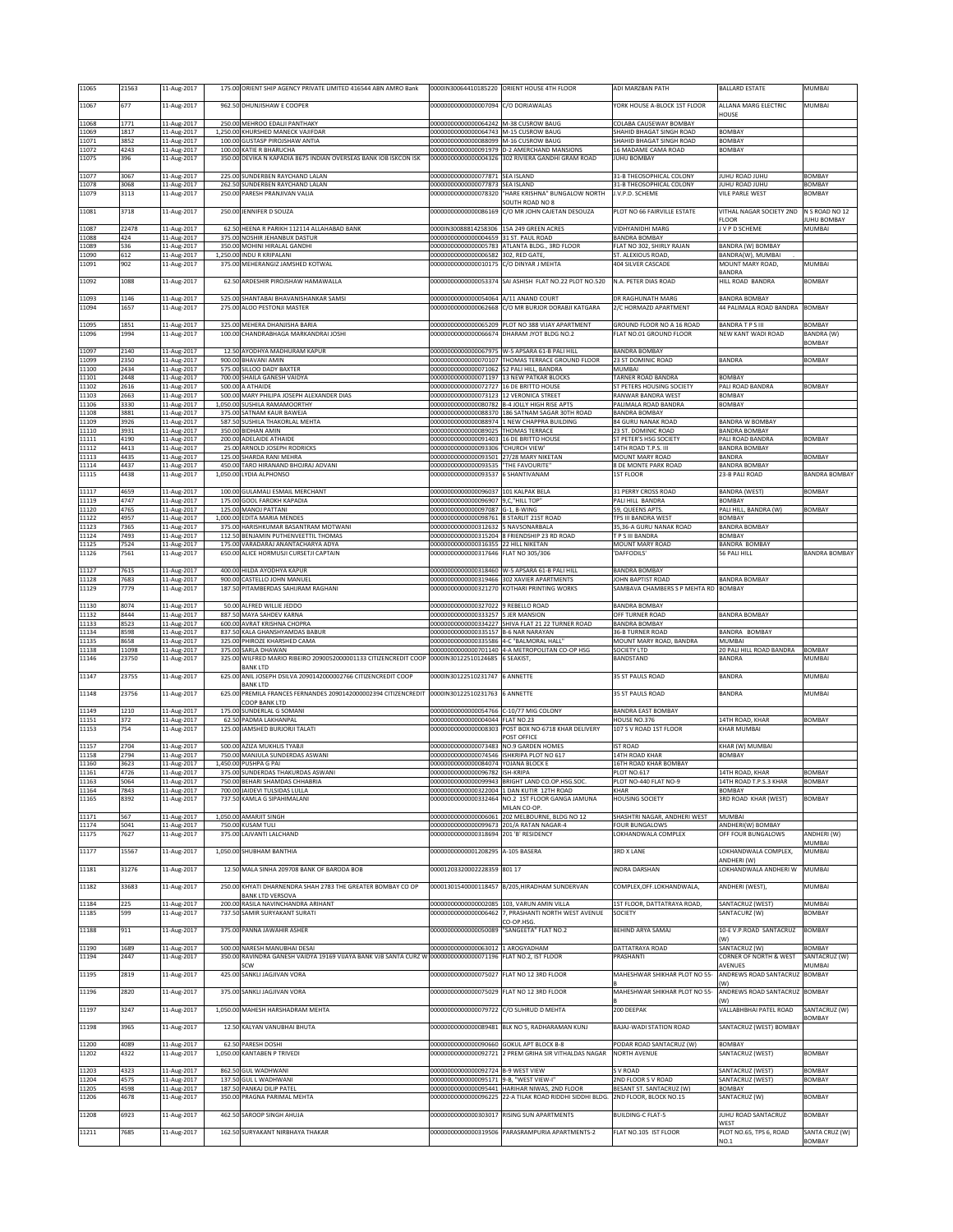| 11065          | 21563         | 11-Aug-2017                | 175.00 ORIENT SHIP AGENCY PRIVATE LIMITED 416544 ABN AMRO Bank                                   | 0000IN30064410185220                                                                 | ORIENT HOUSE 4TH FLOOR                                                                             | ADI MARZBAN PATH                                            | <b>BALLARD ESTATE</b>                          | MUMBAI                         |
|----------------|---------------|----------------------------|--------------------------------------------------------------------------------------------------|--------------------------------------------------------------------------------------|----------------------------------------------------------------------------------------------------|-------------------------------------------------------------|------------------------------------------------|--------------------------------|
| 11067          | 677           | 11-Aug-2017                | 962.50 DHUNJISHAW E COOPER                                                                       | 0000000000000007094                                                                  | C/O DORIAWALAS                                                                                     | YORK HOUSE A-BLOCK 1ST FLOOR                                | ALLANA MARG ELECTRIC                           | MUMBAI                         |
| 11068          | 1771          | 11-Aug-2017                | 250.00 MEHROO EDALJI PANTHAKY                                                                    | 00000000000000064242                                                                 | M-38 CUSROW BAUG                                                                                   | COLABA CAUSEWAY BOMBAY                                      | HOUSE                                          |                                |
| 11069<br>11071 | 1817<br>3852  | 11-Aug-2017<br>11-Aug-2017 | 1,250.00 KHURSHED MANECK VAJIFDAR<br>100.00 GUSTASP PIROJSHAW ANTIA                              | 00000000000000064743 M-15 CUSROW BAUG<br>00000000000000088099 M-16 CUSROW BAUG       |                                                                                                    | SHAHID BHAGAT SINGH ROAD<br>SHAHID BHAGAT SINGH ROAD        | <b>BOMBAY</b><br><b>BOMBAY</b>                 |                                |
| 11072          | 4243          | 11-Aug-2017                | 100.00 KATIE R BHARUCHA                                                                          | 00000000000000091979                                                                 | <b>D-2 AMERCHAND MANSIONS</b>                                                                      | 16 MADAME CAMA ROAD                                         | <b>BOMBAY</b>                                  |                                |
| 11075          | 396           | 11-Aug-2017                | 350.00 DEVIKA N KAPADIA 8675 INDIAN OVERSEAS BANK IOB ISKCON ISK                                 |                                                                                      | 00000000000000004326 302 RIVIERA GANDHI GRAM ROAD                                                  | JUHU BOMBAY                                                 |                                                |                                |
| 11077<br>11078 | 3067<br>3068  | 11-Aug-2017<br>11-Aug-2017 | 225.00 SUNDERBEN RAYCHAND LALAN<br>262.50 SUNDERBEN RAYCHAND LALAN                               | 00000000000000077871 SEA ISLAND<br>00000000000000077873 SEA ISLAND                   |                                                                                                    | 31-B THEOSOPHICAL COLONY<br>31-B THEOSOPHICAL COLONY        | JUHU ROAD JUHU<br>JUHU ROAD JUHU               | <b>BOMBAY</b><br><b>BOMBAY</b> |
| 11079          | 3113          | 11-Aug-2017                | 250.00 PARESH PRANJIVAN VALIA                                                                    | 00000000000000078320                                                                 | HARE KRISHNA" BUNGALOW NORTH                                                                       | J.V.P.D. SCHEME                                             | VILE PARLE WEST                                | BOMBAY                         |
| 11081          | 3718          | 11-Aug-2017                | 250.00 JENNIFER D SOUZA                                                                          | 00000000000000086169                                                                 | <b>SOUTH ROAD NO 8</b><br>C/O MR JOHN CAJETAN DESOUZA                                              | PLOT NO 66 FAIRVILLE ESTATE                                 | VITHAL NAGAR SOCIETY 2ND                       | N S ROAD NO 12                 |
| 11087          | 22478         | 11-Aug-2017                | 62.50 HEENA R PARIKH 112114 ALLAHABAD BANK                                                       | 0000IN30088814258306                                                                 | 15A 249 GREEN ACRES                                                                                | VIDHYANIDHI MARG                                            | <b>FLOOR</b><br>J V P D SCHEME                 | UHU BOMBAY<br>MUMBAI           |
| 11088          | 424           | 11-Aug-2017                | 375.00 NOSHIR JEHANBUX DASTUR<br>350.00 MOHINI HIRALAL GANDHI                                    | 00000000000000004659 31 ST. PAUL ROAD                                                |                                                                                                    | <b>BANDRA BOMBAY</b>                                        |                                                |                                |
| 11089<br>11090 | 536<br>612    | 11-Aug-2017<br>11-Aug-2017 | 1,250.00 INDU R KRIPALANI                                                                        | 00000000000000005783<br>00000000000000006582                                         | ATLANTA BLDG., 3RD FLOOR<br>302, RED GATE,                                                         | FLAT NO 302, SHIRLY RAJAN<br>ST. ALEXIOUS ROAD,             | BANDRA (W) BOMBAY<br>BANDRA(W), MUMBAI         |                                |
| 11091          | 902           | 11-Aug-2017                | 375.00 MEHERANGIZ JAMSHED KOTWAL                                                                 | 00000000000000010175                                                                 | C/O DINYAR J MEHTA                                                                                 | 404 SILVER CASCADE                                          | MOUNT MARY ROAD,<br>BANDRA                     | MUMBAI                         |
| 11092          | 1088          | 11-Aug-2017                | 62.50 ARDESHIR PIROISHAW HAMAWALLA                                                               | 0000000000000053374                                                                  | SAI ASHISH FLAT NO.22 PLOT NO.520                                                                  | N.A. PETER DIAS ROAD                                        | HILL ROAD BANDRA                               | <b>BOMBAY</b>                  |
| 11093          | 1146          | 11-Aug-2017                | 525.00 SHANTABAI BHAVANISHANKAR SAMSI                                                            | 00000000000000054064                                                                 | A/11 ANAND COURT                                                                                   | DR RAGHUNATH MARG                                           | <b>BANDRA BOMBAY</b>                           |                                |
| 11094          | 1657          | 11-Aug-2017                | 275.00 ALOO PESTONJI MASTER                                                                      | 0000000000000062668                                                                  | C/O MR BURJOR DORABJI KATGARA                                                                      | 2/C HORMAZD APARTMENT                                       | 44 PALIMALA ROAD BANDRA                        | <b>BOMBAY</b>                  |
| 11095          | 1851<br>1994  | 11-Aug-2017                | 325.00 MEHERA DHANJISHA BARIA<br>100.00 CHANDRABHAGA MARKANDRAI JOSHI                            | 00000000000000066674                                                                 | 00000000000000065209 PLOT NO 388 VIJAY APARTMENT<br>DHARAM JYOT BLDG NO.2                          | GROUND FLOOR NO A 16 ROAD<br><b>ELAT NO.01 GROUND FLOOR</b> | <b>BANDRATPS III</b><br>NEW KANT WADI ROAD     | BOMBAY                         |
| 11096          |               | 11-Aug-2017                |                                                                                                  |                                                                                      |                                                                                                    |                                                             |                                                | BANDRA (W)<br>BOMBAY           |
| 11097<br>11099 | 2140<br>2350  | 11-Aug-2017<br>11-Aug-2017 | 12.50 AYODHYA MADHURAM KAPUR<br>900.00 BHAVANI AMIN                                              |                                                                                      | 00000000000000067975 W-5 APSARA 61-B PALI HILL<br>00000000000000070107 THOMAS TERRACE GROUND FLOOR | <b>BANDRA BOMBAY</b><br>23 ST DOMINIC ROAD                  | <b>BANDRA</b>                                  | <b>BOMBAY</b>                  |
| 11100          | 2434          | 11-Aug-2017                | 575.00 SILLOO DADY BAXTER                                                                        | 00000000000000071062                                                                 | 52 PALI HILL, BANDRA                                                                               | MUMBAI                                                      |                                                |                                |
| 11101<br>11102 | 2448<br>2616  | 11-Aug-2017<br>11-Aug-2017 | 700.00 SHAILA GANESH VAIDYA<br>500.00 A ATHAIDE                                                  | 00000000000000071197 13 NEW PATKAR BLOCKS<br>00000000000000072727 16 DE BRITTO HOUSE |                                                                                                    | TARNER ROAD BANDRA<br>ST PETERS HOUSING SOCIETY             | <b>BOMBAY</b><br>PALI ROAD BANDRA              | BOMBAY                         |
| 11103<br>11106 | 2663<br>3330  | 11-Aug-2017<br>11-Aug-2017 | 500.00 MARY PHILIPA JOSEPH ALEXANDER DIAS<br>1.050.00 SUSHILA RAMAMOORTHY                        | 00000000000000073123                                                                 | 12 VERONICA STREET<br>000000000000000080782 B-4 JOLLY HIGH RISE APTS                               | RANWAR BANDRA WEST<br>PALIMALA ROAD BANDRA                  | <b>BOMBAY</b><br>BOMBAY                        |                                |
| 11108          | 3881          | 11-Aug-2017                | 375.00 SATNAM KAUR BAWEJA                                                                        | 00000000000000088370                                                                 | 186 SATNAM SAGAR 30TH ROAD                                                                         | BANDRA BOMBAY                                               |                                                |                                |
| 11109<br>11110 | 3926<br>3931  | 11-Aug-2017<br>11-Aug-2017 | 587.50 SUSHILA THAKORLAL MEHTA<br>350.00 BIDHAN AMIN                                             | 00000000000000089025 THOMAS TERRACE                                                  | 000000000000000088974 1 NEW CHAPPRA BUILDING                                                       | 84 GURU NANAK ROAD<br>23 ST. DOMINIC ROAD                   | <b>BANDRA W BOMBAY</b><br><b>BANDRA BOMBAY</b> |                                |
| 11111<br>11112 | 4190<br>4413  | 11-Aug-2017<br>11-Aug-2017 | 200.00 ADELAIDE ATHAIDE<br>25.00 ARNOLD JOSEPH RODRICKS                                          | 0000000000000091403<br>00000000000000093306                                          | 16 DE BRITTO HOUSE<br>'CHURCH VIEW'                                                                | ST PETER'S HSG SOCIETY<br>14TH ROAD T.P.S. III              | PALI ROAD BANDRA<br>BANDRA BOMBAY              | <b>BOMBAY</b>                  |
| 11113          | 4435          | 11-Aug-2017                | 125.00 SHARDA RANI MEHRA                                                                         | 00000000000000093501 27/28 MARY NIKETAN                                              |                                                                                                    | MOUNT MARY ROAD                                             | BANDRA                                         | BOMBAY                         |
| 11114<br>11115 | 4437<br>4438  | 11-Aug-2017<br>11-Aug-2017 | 450.00 TARO HIRANAND BHOJRAJ ADVANI<br>1.050.00 LYDIA ALPHONSO                                   | 00000000000000093535<br>00000000000000093537                                         | "THE FAVOURITE"<br>6 SHANTIVANAM                                                                   | 8 DE MONTE PARK ROAD<br><b>1ST FLOOR</b>                    | BANDRA BOMBAY<br>23-B PALI ROAD                | <b>BANDRA BOMBAY</b>           |
| 11117          | 4659          | 11-Aug-2017                | 100.00 GULAMALI ESMAIL MERCHANT                                                                  | 00000000000000096037 101 KALPAK BELA                                                 |                                                                                                    | 31 PERRY CROSS ROAD                                         | <b>BANDRA (WEST)</b>                           | BOMBAY                         |
| 11119          | 4747          | 11-Aug-2017                | 175.00 GOOL FAROKH KAPADIA                                                                       | 00000000000000096907 9.C. "HILL TOP                                                  |                                                                                                    | PALI HILL BANDRA                                            | <b>BOMBAY</b>                                  |                                |
| 11120<br>11122 | 4765<br>4957  | 11-Aug-2017<br>11-Aug-2017 | 125.00 MANOJ PATTANI<br>1,000.00 EDITA MARIA MENDES                                              | 00000000000000097087 G-1, B-WING<br>0000000000000098761                              | <b>8 STARLIT 21ST ROAD</b>                                                                         | 59, QUEENS APTS.<br>TPS III BANDRA WEST                     | PALI HILL, BANDRA (W)<br><b>BOMBAY</b>         | <b>BOMBAY</b>                  |
| 11123<br>11124 | 7365<br>7493  | 11-Aug-2017<br>11-Aug-2017 | 375.00 HARISHKUMAR BASANTRAM MOTWANI<br>112.50 BENJAMIN PUTHENVEETTIL THOMAS                     | 00000000000000312632                                                                 | 5 NAVSONARBALA<br>00000000000000315204 8 FRIENDSHIP 23 RD ROAD                                     | 35,36-A GURU NANAK ROAD<br>T P S III BANDRA                 | BANDRA BOMBAY<br>BOMBAY                        |                                |
| 11125          | 7524          | 11-Aug-2017                | 175.00 VARADARAJ ANANTACHARYA ADYA                                                               | 00000000000000316355                                                                 | 22 HILL NIKETAN                                                                                    | MOUNT MARY ROAD                                             | <b>BANDRA BOMBAY</b>                           |                                |
| 11126          | 7561          | 11-Aug-2017                | 650.00 ALICE HORMUSJI CURSETJI CAPTAIN                                                           | 00000000000000317646                                                                 | FLAT NO 305/306                                                                                    | <b>DAFFODILS</b>                                            | 56 PALI HILL                                   | BANDRA BOMBAY                  |
| 11127<br>11128 | 7615<br>7683  | 11-Aug-2017<br>11-Aug-2017 | 400.00 HILDA AYODHYA KAPUR<br>900.00 CASTELLO JOHN MANUEL                                        | 00000000000000318460<br>00000000000000319466                                         | W-5 APSARA 61-B PALI HILL<br>302 XAVIER APARTMENTS                                                 | <b>BANDRA BOMBAY</b><br>JOHN BAPTIST ROAD                   | <b>BANDRA BOMBAY</b>                           |                                |
| 11129          | 7779          | 11-Aug-2017                | 187.50 PITAMBERDAS SAHIJRAM RAGHANI                                                              | 00000000000000321270                                                                 | KOTHARI PRINTING WORKS                                                                             | SAMBAVA CHAMBERS S P MEHTA RD BOMBAY                        |                                                |                                |
| 11130          | 8074          | 11-Aug-2017                | 50.00 ALFRED WILLIE JEDDO                                                                        | 00000000000000327022 9 REBELLO ROAD                                                  |                                                                                                    | <b>BANDRA BOMBAY</b>                                        |                                                |                                |
| 11132<br>11133 | 8444<br>8523  | 11-Aug-2017<br>11-Aug-2017 | 887.50 MAYA SAHDEV KARNA<br>600.00 AVRAT KRISHNA CHOPRA                                          | 00000000000000333257                                                                 | 5 JER MANSION<br>00000000000000334227 SHIVA FLAT 21 22 TURNER ROAD                                 | OFF TURNER ROAD<br>BANDRA BOMBAY                            | <b>BANDRA BOMBAY</b>                           |                                |
| 11134          | 8598          | 11-Aug-2017                | 837.50 KALA GHANSHYAMDAS BABUR                                                                   | 00000000000000335157                                                                 | <b>3-6 NAR NARAYAN</b>                                                                             | 36-B TURNER ROAD                                            | BANDRA BOMBAY                                  |                                |
| 11135<br>11138 | 8658<br>11098 | 11-Aug-2017<br>11-Aug-2017 | 325.00 PHIROZE KHARSHED CAMA<br>375.00 SARLA DHAWAN                                              | 00000000000000335586<br>00000000000000701140                                         | 4-C "BALMORAL HALL"<br>4-A METROPOLITAN CO-OP HSG                                                  | MOUNT MARY ROAD, BANDRA<br>SOCIETY LTD                      | MUMBAI<br>20 PALI HILL ROAD BANDRA             | <b>BOMBAY</b>                  |
| 11146          | 23750         | 11-Aug-2017                | 325.00 WILFRED MARIO RIBEIRO 2090052000001133 CITIZENCREDIT COOP<br><b>BANK LTD</b>              | 0000IN30122510124685                                                                 | <b>SEAKIST</b>                                                                                     | BANDSTAND                                                   | <b>BANDRA</b>                                  | MUMBAI                         |
| 11147          | 23755         | 11-Aug-2017                | 625.00 ANIL JOSEPH DSILVA 2090142000002766 CITIZENCREDIT COOP                                    | 0000IN30122510231747                                                                 | <b>6 ANNETTE</b>                                                                                   | 35 ST PAULS ROAD                                            | <b>BANDRA</b>                                  | MUMBAI                         |
| 11148          | 23756         | 11-Aug-2017                | <b>BANK LTD</b><br>625.00 PREMILA FRANCES FERNANDES 2090142000002394 CITIZENCREDIT               | 0000IN30122510231763                                                                 | <b>6 ANNETTE</b>                                                                                   | 35 ST PAULS ROAD                                            | BANDRA                                         | MUMBAI                         |
| 11149          | 1210          | 11-Aug-2017                | COOP BANK LTD<br>175.00 SUNDERLAL G SOMANI                                                       | 00000000000000054766                                                                 | C-10/77 MIG COLONY                                                                                 | BANDRA EAST BOMBAY                                          |                                                |                                |
| 11151          | 372<br>754    | 11-Aug-2017                | 62.50 PADMA LAKHANPAL<br>125.00 JAMSHED BURJORJI TALATI                                          | 00000000000000004044 FLAT NO.23                                                      | 000000000000000008303 POST BOX NO-6718 KHAR DELIVERY                                               | HOUSE NO.376<br>107 S V ROAD 1ST FLOOR                      | 14TH ROAD, KHAR<br><b>KHAR MUMBAI</b>          | <b>BOMBAY</b>                  |
| 11153          |               | 11-Aug-2017                |                                                                                                  |                                                                                      | POST OFFICE                                                                                        |                                                             |                                                |                                |
| 11157<br>11158 | 2704<br>2794  | 11-Aug-2017<br>11-Aug-2017 | 500.00 AZIZA MUKHLIS TYABJI                                                                      | 00000000000000073483                                                                 |                                                                                                    |                                                             |                                                |                                |
| 11160          | 3623<br>4726  |                            |                                                                                                  |                                                                                      | NO.9 GARDEN HOMES                                                                                  | <b>IST ROAD</b>                                             | KHAR (W) MUMBAI                                |                                |
| 11161<br>1163  |               | 11-Aug-2017                | 750.00 MANJULA SUNDERDAS ASWANI<br>1,450.00 PUSHPA G PAI                                         | 00000000000000074546 ISHKRIPA PLOT NO 617<br>00000000000000084074 YOJANA BLOCK E     |                                                                                                    | 14TH ROAD KHAR<br>16TH ROAD KHAR BOMBAY                     | BOMBAY                                         |                                |
| 11164<br>11165 | 5064          | 11-Aug-2017<br>1-Aug-2017. | 375.00 SUNDERDAS THAKURDAS ASWANI<br>750.00 BEHARI SHAMDAS CHHABI                                | 00000000000000096782 ISH-KRIPA<br>0000000000000099943                                | BRIGHT LAND CO.OP.HSG.SC                                                                           | <b>PLOT NO.617</b><br>PLOT NO-440 FLAT NO-9                 | 14TH ROAD, KHAR<br>L4TH ROAD T.P.S.3 KHAH      | <b>BOMBAY</b><br><b>BOMBAY</b> |
|                | 7843          | 11-Aug-2017                | 700.00 JAIDEVI TULSIDAS LULLA                                                                    |                                                                                      | 00000000000000322004 1 DAN KUTIR 12TH ROAD                                                         | KHAR                                                        | <b>BOMBAY</b>                                  |                                |
|                | 8392          | 11-Aug-2017                | 737.50 KAMLA G SIPAHIMALANI                                                                      |                                                                                      | 00000000000000332464 NO.2 1ST FLOOR GANGA JAMUNA<br>MILAN CO-OP.                                   | <b>HOUSING SOCIETY</b>                                      | 3RD ROAD KHAR (WEST)                           | <b>BOMBAY</b>                  |
| 11171<br>11174 | 567<br>5041   | 11-Aug-2017<br>11-Aug-2017 | 1,050.00 AMARJIT SINGH<br>750.00 KUSAM TULI                                                      | 00000000000000099673 201/A RATAN NAGAR-4                                             | 00000000000000006061 202 MELBOURNE, BLDG NO 12                                                     | SHASHTRI NAGAR, ANDHERI WEST<br>FOUR BUNGALOWS              | MUMBAI<br>ANDHERI(W) BOMBAY                    |                                |
| 11175          | 7627          | 11-Aug-2017                | 375.00 LAJVANTI LALCHAND                                                                         | 00000000000000318694 201 'B' RESIDENCY                                               |                                                                                                    | LOKHANDWALA COMPLEX                                         | OFF FOUR BUNGALOWS                             | ANDHERI (W)<br>MUMBAI          |
| 11177          | 15567         | 11-Aug-2017                | 1,050.00 SHUBHAM BANTHIA                                                                         | 00000000000001208295 A-105 BASERA                                                    |                                                                                                    | <b>3RD X LANE</b>                                           | LOKHANDWALA COMPLEX,                           | MUMBAI                         |
| 11181          | 31276         | 11-Aug-2017                | 12.50 MALA SINHA 209708 BANK OF BARODA BOB                                                       | 00001203320002228359 801 17                                                          |                                                                                                    | INDRA DARSHAN                                               | ANDHERI (W)<br>LOKHANDWALA ANDHERI W           | MUMBAI                         |
| 11182          | 33683         | 11-Aug-2017                | 250.00 KHYATI DHARNENDRA SHAH 2783 THE GREATER BOMBAY CO OP                                      |                                                                                      | 00001301540000118457 B/205, HIRADHAM SUNDERVAN                                                     | COMPLEX, OFF.LOKHANDWALA,                                   | ANDHERI (WEST),                                | MUMBAI                         |
|                |               |                            | <b>BANK LTD VERSOVA</b>                                                                          |                                                                                      |                                                                                                    |                                                             |                                                |                                |
| 11184<br>11185 | 225<br>599    | 11-Aug-2017<br>11-Aug-2017 | 200.00 RASILA NAVINCHANDRA ARIHANT<br>737.50 SAMIR SURYAKANT SURATI                              | 00000000000000002085<br>00000000000000006462                                         | 103, VARUN AMIN VILLA<br>7, PRASHANTI NORTH WEST AVENUE                                            | 1ST FLOOR, DATTATRAYA ROAD,<br>SOCIETY                      | SANTACRUZ (WEST)<br>SANTACURZ (W)              | MUMBAI<br><b>BOMBAY</b>        |
| 11188          | 911           | 11-Aug-2017                | 375.00 PANNA JAWAHIR ASHER                                                                       | 00000000000000050089                                                                 | O-OP.HSG.<br>"SANGEETA" FLAT NO.2                                                                  | BEHIND ARYA SAMAJ                                           | 10-E V.P.ROAD SANTACRUZ                        | <b>BOMBAY</b>                  |
|                |               |                            |                                                                                                  |                                                                                      |                                                                                                    |                                                             | (W)                                            |                                |
| 11190<br>11194 | 1689<br>2447  | 11-Aug-2017<br>11-Aug-2017 | 500.00 NARESH MANUBHAI DESAI<br>350.00 RAVINDRA GANESH VAIDYA 19169 VIJAYA BANK VJB SANTA CURZ V | 00000000000000063012 1 AROGYADHAM<br>0000000000000071196                             | FLAT NO.2, IST FLOOR                                                                               | DATTATRAYA ROAD<br>PRASHANTI                                | SANTACRUZ (W)<br>CORNER OF NORTH & WEST        | <b>BOMBAY</b><br>SANTACRUZ (W) |
|                |               |                            | SCW                                                                                              |                                                                                      |                                                                                                    |                                                             | AVENUES                                        | MUMBAI                         |
| 11195          | 2819          | 11-Aug-2017                | 425.00 SANKLI JAGJIVAN VORA                                                                      | 00000000000000075027                                                                 | FLAT NO 12 3RD FLOOR                                                                               | MAHESHWAR SHIKHAR PLOT NO 55-                               | ANDREWS ROAD SANTACRUZ<br>W)                   | <b>BOMBAY</b>                  |
| 11196          | 2820          | 11-Aug-2017                | 375.00 SANKLI JAGJIVAN VORA                                                                      | 00000000000000075029                                                                 | FLAT NO 12 3RD FLOOR                                                                               | MAHESHWAR SHIKHAR PLOT NO 55-                               | ANDREWS ROAD SANTACRUZ<br>W)                   | BOMBAY                         |
| 11197          | 3247          | 11-Aug-2017                | 1,050.00 MAHESH HARSHADRAM MEHTA                                                                 | 00000000000000079722                                                                 | C/O SUHRUD D MEHTA                                                                                 | 200 DEEPAK                                                  | VALLABHBHAI PATEL ROAD                         | SANTACRUZ (W)                  |
| 11198          | 3965          | 11-Aug-2017                | 12.50 KALYAN VANUBHAI BHUTA                                                                      | 00000000000000089481                                                                 | BLK NO 5, RADHARAMAN KUNJ                                                                          | BAJAJ-WADI STATION ROAD                                     | SANTACRUZ (WEST) BOMBAY                        | BOMBAY                         |
| 11200          | 4089          | 11-Aug-2017                | 62.50 PARESH DOSHI                                                                               | 00000000000000090660 GOKUL APT BLOCK B-8                                             |                                                                                                    | PODAR ROAD SANTACRUZ (W)                                    | BOMBAY                                         |                                |
| 11202          | 4322          | 11-Aug-2017                | 1,050.00 KANTABEN P TRIVEDI                                                                      |                                                                                      | 00000000000000092721 2 PREM GRIHA SIR VITHALDAS NAGAR                                              | NORTH AVENUE                                                | SANTACRUZ (WEST)                               | <b>BOMBAY</b>                  |
| 11203          | 4323          | 11-Aug-2017                | 862.50 GUL WADHWANI                                                                              | 00000000000000092724 B-9 WEST VIEW                                                   |                                                                                                    | S V ROAD                                                    | SANTACRUZ (WEST)                               | <b>BOMBAY</b>                  |
| 11204<br>11205 | 4575<br>4598  | 11-Aug-2017<br>11-Aug-2017 | 137.50 GUL L WADHWANI<br>187.50 PANKAJ DILIP PATEL                                               | 00000000000000095171 9-B, "WEST VIEW-I"                                              | 00000000000000095441 HARIHAR NIWAS, 2ND FLOOR                                                      | 2ND FLOOR SV ROAD<br>BESANT ST. SANTACRUZ (W)               | SANTACRUZ (WEST)<br><b>BOMBAY</b>              | BOMBAY                         |
| 11206          | 4678          | 11-Aug-2017                | 350.00 PRAGNA PARIMAL MEHTA                                                                      | 00000000000000096225                                                                 | 22-A TILAK ROAD RIDDHI SIDDHI BLDG.                                                                | 2ND FLOOR, BLOCK NO.15                                      | SANTACRUZ (W)                                  | <b>BOMBAY</b>                  |
| 11208          | 6923          | 11-Aug-2017                | 462.50 SAROOP SINGH AHUJA                                                                        | 00000000000000303017                                                                 | RISING SUN APARTMENTS                                                                              | <b>BUILDING-C FLAT-5</b>                                    | JUHU ROAD SANTACRUZ                            | <b>BOMBAY</b>                  |
| 11211          | 7685          | 11-Aug-2017                | 162.50 SURYAKANT NIRBHAYA THAKAR                                                                 | 00000000000000319506                                                                 | PARASRAMPURIA APARTMENTS-2                                                                         | FLAT NO.105 IST FLOOR                                       | WEST<br>PLOT NO.65, TPS 6, ROAD<br>NO.1        | SANTA CRUZ (W)<br>BOMBAY       |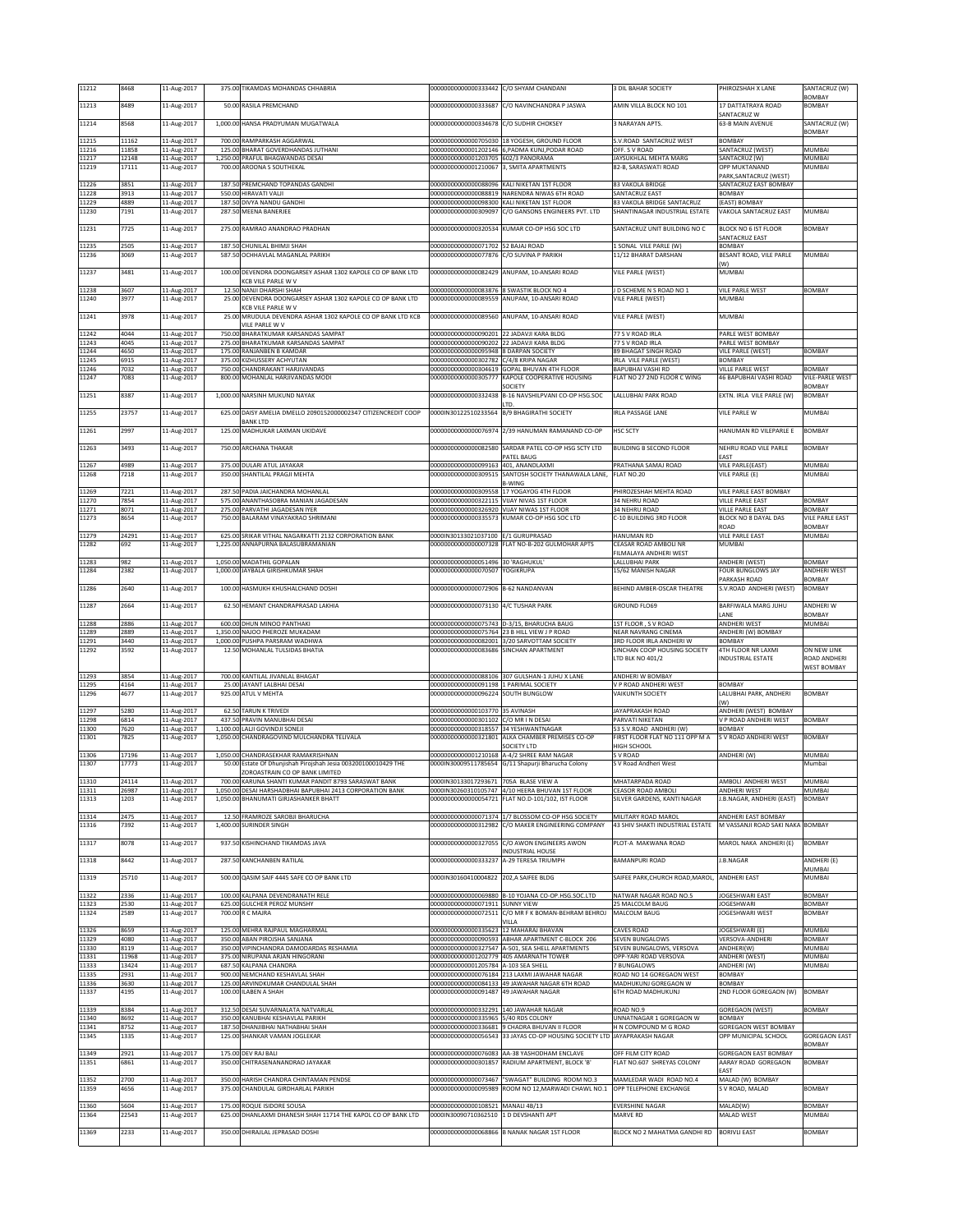| 11212           | 8468           | 11-Aug-2017                | 375.00 TIKAMDAS MOHANDAS CHHABRIA                                                                     | 000000000000000333442 C/O SHYAM CHANDANI                                                  |                                                                                                                            | 3 DIL BAHAR SOCIETY                                        | PHIROZSHAH X LANE                                  | SANTACRUZ (W)                  |
|-----------------|----------------|----------------------------|-------------------------------------------------------------------------------------------------------|-------------------------------------------------------------------------------------------|----------------------------------------------------------------------------------------------------------------------------|------------------------------------------------------------|----------------------------------------------------|--------------------------------|
| 11213           | 8489           | 11-Aug-2017                | 50.00 RASILA PREMCHAND                                                                                | 00000000000000333687                                                                      | C/O NAVINCHANDRA P JASWA                                                                                                   | AMIN VILLA BLOCK NO 101                                    | 17 DATTATRAYA ROAD                                 | BOMBAY<br><b>BOMBAY</b>        |
| 11214           | 8568           | 11-Aug-2017                | 1,000.00 HANSA PRADYUMAN MUGATWALA                                                                    | 00000000000000334678 C/O SUDHIR CHOKSEY                                                   |                                                                                                                            | 3 NARAYAN APTS.                                            | <b>ANTACRUZ W</b><br>63-B MAIN AVENUE              | SANTACRUZ (W)                  |
|                 |                |                            |                                                                                                       |                                                                                           |                                                                                                                            |                                                            |                                                    | <b>BOMBAY</b>                  |
| 11215<br>11216  | 11162<br>11858 | 11-Aug-2017<br>11-Aug-2017 | 700.00 RAMPARKASH AGGARWAL<br>125.00 BHARAT GOVERDHANDAS JUTHANI                                      |                                                                                           | 00000000000000705030 18 YOGESH, GROUND FLOOR<br>00000000000001202146 6, PADMA KUNJ, PODAR ROAD                             | S.V.ROAD SANTACRUZ WEST<br>OFF. S V ROAD                   | BOMBAY<br>SANTACRUZ (WEST)                         | MUMBAI                         |
| 11217           | 12148          | 11-Aug-2017                | 1,250.00 PRAFUL BHAGWANDAS DESAI                                                                      | 000000000000001203705 602/3 PANORAMA                                                      |                                                                                                                            | JAYSUKHLAL MEHTA MARG                                      | SANTACRUZ (W)                                      | MUMBAI                         |
| 11219           | 17111          | 11-Aug-2017                | 700.00 AROONA S SOUTHEKAL                                                                             | 00000000000001210067 3, SMITA APARTMENTS                                                  |                                                                                                                            | 82-B, SARASWATI ROAD                                       | OPP MUKTANAND<br>PARK, SANTACRUZ (WEST)            | MUMBAI                         |
| 11226           | 3851           | 11-Aug-2017                | 187.50 PREMCHAND TOPANDAS GANDHI                                                                      |                                                                                           | 00000000000000088096 KALI NIKETAN 1ST FLOOR                                                                                | <b>83 VAKOLA BRIDGE</b>                                    | SANTACRUZ EAST BOMBAY                              |                                |
| 11228<br>11229  | 3913<br>4889   | 11-Aug-2017<br>11-Aug-2017 | 550.00 HIRAVATI VALJI<br>187.50 DIVYA NANDU GANDHI                                                    |                                                                                           | 000000000000000088819 NARENDRA NIWAS 6TH ROAD<br>00000000000000098300 KALI NIKETAN 1ST FLOOR                               | SANTACRUZ EAST<br>83 VAKOLA BRIDGE SANTACRUZ               | BOMBAY<br>(EAST) BOMBAY                            |                                |
| 11230           | 7191           | 11-Aug-2017                | 287.50 MEENA BANERJEE                                                                                 | 0000000000000309097                                                                       | C/O GANSONS ENGINEERS PVT. LTD                                                                                             | SHANTINAGAR INDUSTRIAL ESTATE                              | VAKOLA SANTACRUZ EAST                              | MUMBAI                         |
| 11231           | 7725           | 11-Aug-2017                | 275.00 RAMRAO ANANDRAO PRADHAN                                                                        |                                                                                           | 00000000000000320534 KUMAR CO-OP HSG SOC LTD                                                                               | SANTACRUZ UNIT BUILDING NO C                               | BLOCK NO 6 IST FLOOR                               | <b>BOMBAY</b>                  |
| 11235           | 2505           | 11-Aug-2017                | 187.50 CHUNILAL BHIMJI SHAH                                                                           | 00000000000000071702 52 BAJAJ ROAD                                                        |                                                                                                                            | 1 SONAL VILE PARLE (W)                                     | SANTACRUZ EAST<br>BOMBAY                           |                                |
| 11236           | 3069           | 11-Aug-2017                | 587.50 OCHHAVLAL MAGANLAL PARIKH                                                                      | 0000000000000077876                                                                       | C/O SUVINA P PARIKH                                                                                                        | 11/12 BHARAT DARSHAN                                       | BESANT ROAD, VILE PARLE                            | MUMBAI                         |
| 11237           | 3481           | 11-Aug-2017                | 100.00 DEVENDRA DOONGARSEY ASHAR 1302 KAPOLE CO OP BANK LTD                                           |                                                                                           | 000000000000000082429 ANUPAM, 10-ANSARI ROAD                                                                               | VILE PARLE (WEST)                                          | W)<br><b>MUMBAI</b>                                |                                |
|                 |                |                            | KCB VILE PARLE W V                                                                                    |                                                                                           |                                                                                                                            |                                                            |                                                    |                                |
| 11238<br>11240  | 3607<br>3977   | 11-Aug-2017<br>11-Aug-2017 | 12.50 NANJI DHARSHI SHAH<br>25.00 DEVENDRA DOONGARSEY ASHAR 1302 KAPOLE CO OP BANK LTD                | 000000000000000083876 8 SWASTIK BLOCK NO 4                                                | 000000000000000089559 ANUPAM, 10-ANSARI ROAD                                                                               | J D SCHEME N S ROAD NO 1<br>VILE PARLE (WEST)              | <b>VILE PARLE WEST</b><br>MUMBAI                   | <b>BOMBAY</b>                  |
|                 |                |                            | KCB VILE PARLE W V                                                                                    |                                                                                           |                                                                                                                            |                                                            | <b>MUMBAI</b>                                      |                                |
| 11241           | 3978           | 11-Aug-2017                | 25.00 MRUDULA DEVENDRA ASHAR 1302 KAPOLE CO OP BANK LTD KCB<br>VILE PARLE W V                         |                                                                                           | 000000000000000089560 ANUPAM, 10-ANSARI ROAD                                                                               | VILE PARLE (WEST)                                          |                                                    |                                |
| 11242<br>11243  | 4044<br>4045   | 11-Aug-2017<br>11-Aug-2017 | 750.00 BHARATKUMAR KARSANDAS SAMPAT<br>275.00 BHARATKUMAR KARSANDAS SAMPAT                            | 00000000000000090201 22 JADAVJI KARA BLDG<br>00000000000000090202 22 JADAVJI KARA BLDG    |                                                                                                                            | 77 S V ROAD IRLA<br>77 S V ROAD IRLA                       | PARLE WEST BOMBAY<br>PARLE WEST BOMBAY             |                                |
| 11244           | 4650           | 11-Aug-2017                | 175.00 RANJANBEN B KAMDAR                                                                             | 00000000000000095948 8 DARPAN SOCIETY                                                     |                                                                                                                            | 89 BHAGAT SINGH ROAD                                       | VILE PARLE (WEST)                                  | <b>BOMBAY</b>                  |
| 11245<br>11246  | 6915<br>7032   | 11-Aug-2017<br>11-Aug-2017 | 375.00 KIZHUSSERY ACHYUTAN<br>750.00 CHANDRAKANT HARJIVANDAS                                          | 000000000000000302782 C/4/8 KRIPA NAGAR                                                   | 00000000000000304619 GOPAL BHUVAN 4TH FLOOR                                                                                | IRLA VILE PARLE (WEST)<br>BAPUBHAI VASHI RD                | <b>BOMBAY</b><br>VILLE PARLE WEST                  | <b>BOMBAY</b>                  |
| 11247           | 7083           | 11-Aug-2017                | 800.00 MOHANLAL HARJIVANDAS MODI                                                                      |                                                                                           | 00000000000000305777 KAPOLE COOPERATIVE HOUSING                                                                            | FLAT NO 27 2ND FLOOR C WING                                | 46 BAPUBHAI VASHI ROAD                             | VILE-PARLE WEST                |
| 11251           | 8387           | 11-Aug-2017                | 1,000.00 NARSINH MUKUND NAYAK                                                                         | 00000000000000332438                                                                      | SOCIETY<br>B-16 NAVSHILPVANI CO-OP HSG.SOC                                                                                 | LALLUBHAI PARK ROAD                                        | EXTN. IRLA VILE PARLE (W)                          | BOMBAY<br><b>BOMBAY</b>        |
| 11255           | 23757          | 11-Aug-2017                | 625.00 DAISY AMELIA DMELLO 2090152000002347 CITIZENCREDIT COOP                                        |                                                                                           | TD.<br>0000IN30122510233564 B/9 BHAGIRATHI SOCIETY                                                                         | IRLA PASSAGE LANE                                          | VILE PARLE W                                       | MUMBAI                         |
|                 |                |                            | <b>BANK LTD</b>                                                                                       |                                                                                           |                                                                                                                            |                                                            |                                                    |                                |
| 11261           | 2997           | 11-Aug-2017                | 125.00 MADHUKAR LAXMAN UKIDAVE                                                                        |                                                                                           | 00000000000000076974 2/39 HANUMAN RAMANAND CO-OP                                                                           | HSC SCTY                                                   | HANUMAN RD VILEPARLE E                             | BOMBAY                         |
| 11263           | 3493           | 11-Aug-2017                | 750.00 ARCHANA THAKAR                                                                                 |                                                                                           | 000000000000000082580 SARDAR PATEL CO-OP HSG SCTY LTD                                                                      | <b>BUILDING B SECOND FLOOR</b>                             | NEHRU ROAD VILE PARLE                              | <b>BOMBAY</b>                  |
| 11267           | 4989           | 11-Aug-2017                | 375.00 DULARI ATUL JAYAKAR                                                                            | 00000000000000099163 401, ANANDLAXMI                                                      | <b>PATEL BAUG</b>                                                                                                          | PRATHANA SAMAJ ROAD                                        | EAST<br>VILE PARLE(EAST)                           | MUMBAI                         |
| 11268           | 7218           | 11-Aug-2017                | 350.00 SHANTILAL PRAGJI MEHTA                                                                         | 00000000000000309515                                                                      | SANTOSH SOCIETY THANAWALA LANE,                                                                                            | FLAT NO.20                                                 | VILE PARLE (E)                                     | MUMBAI                         |
| 11269           | 7221           | 11-Aug-2017                | 287.50 PADIA JAICHANDRA MOHANLAL                                                                      |                                                                                           | -WING<br>00000000000000309558 17 YOGAYOG 4TH FLOOR                                                                         | PHIROZESHAH MEHTA ROAD                                     | VILE PARLE EAST BOMBAY                             |                                |
| 11270           | 7854           | 11-Aug-2017                | 575.00 ANANTHASOBRA MANIAN JAGADESAN                                                                  | 000000000000000322115 VIJAY NIVAS 1ST FLOOR<br>00000000000000326920 VIJAY NIWAS 1ST FLOOR |                                                                                                                            | <b>34 NEHRU ROAD</b><br>34 NEHRU ROAD                      | <b>VILLE PARLE EAST</b>                            | <b>BOMBAY</b>                  |
| 11271<br>11273  | 8071<br>8654   | 11-Aug-2017<br>11-Aug-2017 | 275.00 PARVATHI JAGADESAN IYER<br>750.00 BALARAM VINAYAKRAO SHRIMANI                                  |                                                                                           | 00000000000000335573 KUMAR CO-OP HSG SOC LTD                                                                               | C-10 BUILDING 3RD FLOOR                                    | <b>VILLE PARLE EAST</b><br>BLOCK NO 8 DAYAL DAS    | BOMBAY<br>VILE PARLE EAST      |
| 11279           | 24291          | 11-Aug-2017                | 625.00 SRIKAR VITHAL NAGARKATTI 2132 CORPORATION BANK                                                 | 0000IN30133021037100 E/1 GURUPRASAD                                                       |                                                                                                                            | HANUMAN RD                                                 | ROAD<br>VILE PARLE EAST                            | BOMBAY<br>MUMBAI               |
| 11282           | 692            | 11-Aug-2017                | 1,225.00 ANNAPURNA BALASUBRAMANIAN                                                                    |                                                                                           | 00000000000000007328 FLAT NO-B-202 GULMOHAR APTS                                                                           | CEASAR ROAD AMBOLI NR                                      | MUMBAI                                             |                                |
| 11283           | 982            | 11-Aug-2017                | 1,050.00 MADATHIL GOPALAN                                                                             | 00000000000000051496 30 'RAGHUKUL'                                                        |                                                                                                                            | FILMALAYA ANDHERI WEST<br>LALLUBHAI PARK                   | ANDHERI (WEST)                                     | <b>BOMBAY</b>                  |
| 11284           | 2382           | 11-Aug-2017                | 1.000.00 JAYBALA GIRISHKUMAR SHAH                                                                     | 00000000000000070507 YOGIKRUPA                                                            |                                                                                                                            | 15/62 MANISH NAGAR                                         | FOUR BUNGLOWS JAY                                  | <b>ANDHERI WEST</b>            |
| 11286           | 2640           | 11-Aug-2017                | 100.00 HASMUKH KHUSHALCHAND DOSHI                                                                     | 00000000000000072906 B-62 NANDANVAN                                                       |                                                                                                                            | BEHIND AMBER-OSCAR THEATRE                                 | PARKASH ROAD<br>S.V.ROAD ANDHERI (WEST)            | BOMBAY<br><b>BOMBAY</b>        |
|                 |                |                            |                                                                                                       |                                                                                           |                                                                                                                            |                                                            |                                                    |                                |
| 11287           | 2664           | 11-Aug-2017                | 62.50 HEMANT CHANDRAPRASAD LAKHIA                                                                     | 00000000000000073130 4/C TUSHAR PARK                                                      |                                                                                                                            | GROUND FLO69                                               | BARFIWALA MARG JUHU<br>ANE                         | ANDHERI W<br>BOMBAY            |
| 11288           | 2886           | 11-Aug-2017                | 600.00 DHUN MINOO PANTHAKI                                                                            |                                                                                           | 00000000000000075743 D-3/15, BHARUCHA BAUG                                                                                 | 1ST FLOOR, SV ROAD                                         | ANDHERI WEST                                       | MUMBAI                         |
| 11289<br>11291  | 2889<br>3440   | 11-Aug-2017<br>11-Aug-2017 | 1,350.00 NAJOO PHEROZE MUKADAM<br>1,000.00 PUSHPA PARSRAM WADHWA                                      |                                                                                           | 00000000000000075764 23 B HILL VIEW J P ROAD<br>00000000000000082001 3/20 SARVOTTAM SOCIETY                                | NEAR NAVRANG CINEMA<br>3RD FLOOR IRLA ANDHERI W            | ANDHERI (W) BOMBAY<br>BOMBAY                       |                                |
| 11292           | 3592           | 11-Aug-2017                | 12.50 MOHANLAL TULSIDAS BHATIA                                                                        | 00000000000000083686 SINCHAN APARTMENT                                                    |                                                                                                                            | SINCHAN COOP HOUSING SOCIETY<br>LTD BLK NO 401/2           | 4TH FLOOR NR LAXMI<br>INDUSTRIAL ESTATE            | ON NEW LINK<br>ROAD ANDHERI    |
|                 |                |                            |                                                                                                       |                                                                                           |                                                                                                                            |                                                            |                                                    | WEST BOMBAY                    |
| 11293<br>11295  | 3854<br>4164   | 11-Aug-2017<br>11-Aug-2017 | 700.00 KANTILAL JIVANLAL BHAGAT<br>25.00 JAYANT LALBHAI DESAI                                         | 00000000000000091198 1 PARIMAL SOCIETY                                                    | 00000000000000088106 307 GULSHAN-1 JUHU X LANE                                                                             | ANDHERI W BOMBAY<br>V P ROAD ANDHERI WEST                  | BOMBAY                                             |                                |
| 11296           |                |                            | 925.00 ATUL V MEHTA                                                                                   | 00000000000000096224 SOUTH BUNGLOW                                                        |                                                                                                                            | <b>VAIKUNTH SOCIETY</b>                                    | LALUBHAI PARK, ANDHERI                             | <b>BOMBAY</b>                  |
| 11297           | 4677           | 11-Aug-2017                |                                                                                                       |                                                                                           |                                                                                                                            |                                                            |                                                    |                                |
|                 |                |                            |                                                                                                       |                                                                                           |                                                                                                                            |                                                            | W)                                                 |                                |
| 11298           | 5280<br>6814   | 11-Aug-2017<br>11-Aug-2017 | 62.50 TARUN K TRIVEDI<br>437.50 PRAVIN MANUBHAI DESAI                                                 | 00000000000000103770 35 AVINASH<br>000000000000000301102 C/O MR IN DESAI                  |                                                                                                                            | JAYAPRAKASH ROAD<br>PARVATI NIKETAN                        | ANDHERI (WEST) BOMBAY<br>V P ROAD ANDHERI WEST     | <b>BOMBAY</b>                  |
| 11300<br>11301  | 7620<br>7825   | 11-Aug-2017<br>11-Aug-2017 | 1,100.00 LALII GOVINDJI SONEJI<br>1,050.00 CHANDRAGOVIND MULCHANDRA TELIVALA                          | 00000000000000318557 34 YESHWANTNAGAR                                                     | 00000000000000321801 ALKA CHAMBER PREMISES CO-OP                                                                           | 53 S.V.ROAD ANDHERI (W)<br>FIRST FLOOR FLAT NO 111 OPP M A | <b>BOMBAY</b><br>S V ROAD ANDHERI WEST             | <b>BOMBAY</b>                  |
|                 |                |                            |                                                                                                       |                                                                                           | SOCIETY LTD                                                                                                                | HIGH SCHOOL                                                |                                                    |                                |
| 11306<br>11307  | 17196<br>17773 | 11-Aug-2017<br>11-Aug-2017 | 1,050.00 CHANDRASEKHAR RAMAKRISHNAN<br>50.00 Estate Of Dhunjishah Pirojshah Jesia 003200100010429 THE |                                                                                           | 000000000000001210168 A-4/2 SHREE RAM NAGAR<br>0000IN30009511785654 G/11 Shapurji Bharucha Colony                          | S V ROAD<br>S V Road Andheri West                          | ANDHERI (W)                                        | MUMBAI<br>Mumbai               |
|                 |                |                            | ZOROASTRAIN CO OP BANK LIMITED                                                                        |                                                                                           |                                                                                                                            |                                                            |                                                    |                                |
| 15 I.L<br>11311 | 411<br>26987   | 11-Aug-201.<br>11-Aug-2017 | ARUNA SHANTI KUMAR PANDIT 8793<br>1,050.00 DESAI HARSHADBHAI BAPUBHAI 2413 CORPORATION BANK           | JIN3013301/2936/1                                                                         | /USA BLASE VIEW<br>0000IN30260310105747 4/10 HEERA BHUVAN 1ST FLOOR                                                        | CEASOR ROAD AMBOLI                                         | ANDHERI WEST                                       | MUMBAI                         |
| 11313           | 1203           | 11-Aug-2017                | 1,050.00 BHANUMATI GIRJASHANKER BHATT                                                                 |                                                                                           | 00000000000000054721 FLAT NO.D-101/102, IST FLOOR                                                                          | SILVER GARDENS, KANTI NAGAR                                | J.B.NAGAR, ANDHERI (EAST)                          | <b>BOMBAY</b>                  |
| 11314           | 2475           | 11-Aug-2017                | 12.50 FRAMROZE SAROBJI BHARUCHA                                                                       |                                                                                           | 00000000000000071374 1/7 BLOSSOM CO-OP HSG SOCIETY                                                                         | MILITARY ROAD MAROL                                        | ANDHERI EAST BOMBAY                                |                                |
| 11316           | 7392           | 11-Aug-2017                | 1.400.00 SURINDER SINGH                                                                               |                                                                                           | 00000000000000312982 C/O MAKER ENGINEERING COMPANY                                                                         | 43 SHIV SHAKTI INDUSTRIAL ESTATE                           | M VASSANJI ROAD SAKI NAKA                          | <b>BOMBAY</b>                  |
| 11317           | 8078           | 11-Aug-2017                | 937.50 KISHINCHAND TIKAMDAS JAVA                                                                      |                                                                                           | 00000000000000327055 C/O AWON ENGINEERS AWON                                                                               | PLOT-A MAKWANA ROAD                                        | MAROL NAKA ANDHERI (E)                             | BOMBAY                         |
| 11318           | 8442           | 11-Aug-2017                | 287.50 KANCHANBEN RATILAL                                                                             | 00000000000000333237 A-29 TERESA TRIUMPH                                                  | INDUSTRIAL HOUSE                                                                                                           | <b>BAMANPURI ROAD</b>                                      | J.B.NAGAR                                          | ANDHERI (E)                    |
|                 |                |                            |                                                                                                       |                                                                                           |                                                                                                                            |                                                            |                                                    | MUMBAI                         |
| 11319           | 25710          | 11-Aug-2017                | 500.00 QASIM SAIF 4445 SAFE CO OP BANK LTD                                                            | 0000IN30160410004822 202,A SAIFEE BLDG                                                    |                                                                                                                            | SAIFEE PARK, CHURCH ROAD, MAROL,                           | ANDHERI EAST                                       | MUMBAI                         |
| 11322           | 2336           | 11-Aug-2017                | 100.00 KALPANA DEVENDRANATH RELE                                                                      |                                                                                           | 00000000000000069880 B-10 YOJANA CO-OP.HSG.SOC.LTD                                                                         | NATWAR NAGAR ROAD NO.5                                     | JOGESHWARI EAST                                    | <b>BOMBAY</b>                  |
| 11323<br>11324  | 2530<br>2589   | 11-Aug-2017<br>11-Aug-2017 | 625.00 GULCHER PEROZ MUNSHY<br>700.00 R C MAJRA                                                       | 00000000000000071911 SUNNY VIEW<br>00000000000000072511                                   | C/O MR F K BOMAN-BEHRAM BEHROJ                                                                                             | 25 MALCOLM BAUG<br>MALCOLM BAUG                            | <b>JOGESHWARI</b><br>JOGESHWARI WEST               | BOMBAY<br><b>BOMBAY</b>        |
|                 | 8659           |                            |                                                                                                       |                                                                                           | /ILLA                                                                                                                      |                                                            |                                                    |                                |
| 11326<br>11329  | 4080           | 11-Aug-2017<br>11-Aug-2017 | 125.00 MEHRA RAJPAUL MAGHARMAL<br>350.00 ABAN PIROJSHA SANJANA                                        | 00000000000000335623 12 MAHARAJ BHAVAN                                                    | 000000000000000090593 ABHAR APARTMENT C-BLOCK 206                                                                          | CAVES ROAD<br><b>SEVEN BUNGALOWS</b>                       | JOGESHWARI (E)<br><b>VERSOVA-ANDHERI</b>           | <b>MUMBAI</b><br><b>BOMBAY</b> |
| 11330<br>11331  | 8119<br>11968  | 11-Aug-2017                | 350.00 VIPINCHANDRA DAMODARDAS RESHAMIA<br>375.00 NIRUPANA ARJAN HINGORANI                            |                                                                                           | 00000000000000327547 A-501, SEA SHELL APARTMENTS<br>00000000000001202779 405 AMARNATH TOWER                                | SEVEN BUNGALOWS, VERSOVA<br>OPP-YARI ROAD VERSOVA          | ANDHERI(W)<br>ANDHERI (WEST)                       | <b>MUMBAI</b><br>MUMBAI        |
| 11333           | 13424          | 11-Aug-2017<br>11-Aug-2017 | 687.50 KALPANA CHANDRA                                                                                | 00000000000001205784 A-103 SEA SHELL                                                      |                                                                                                                            | 7 BUNGALOWS                                                | ANDHERI (W)                                        | MUMBAI                         |
| 11335<br>11336  | 2931<br>3630   | 11-Aug-2017                | 900.00 NEMCHAND KESHAVLAL SHAH<br>125.00 ARVINDKUMAR CHANDULAL SHAH                                   |                                                                                           | 00000000000000076184 213 LAXMI JAWAHAR NAGAR<br>00000000000000084133 49 JAWAHAR NAGAR 6TH ROAD                             | ROAD NO 14 GOREGAON WEST<br>MADHUKUNJ GOREGAON W           | BOMBAY<br>BOMBAY                                   |                                |
| 11337           | 4195           | 11-Aug-2017<br>11-Aug-2017 | 100.00 ILABEN A SHAH                                                                                  | 00000000000000091487 49 JAWAHAR NAGAR                                                     |                                                                                                                            | <b>6TH ROAD MADHUKUNJ</b>                                  | 2ND FLOOR GOREGAON (W)                             | <b>BOMBAY</b>                  |
| 11339           | 8384           | 11-Aug-2017                | 312.50 DESAI SUVARNALATA NATVARLAL                                                                    | 00000000000000332291 140 JAWAHAR NAGAR                                                    |                                                                                                                            | ROAD NO.9                                                  | GOREGAON (WEST)                                    | <b>BOMBAY</b>                  |
| 11340           | 8692           | 11-Aug-2017                | 350.00 KANUBHAI KESHAVLAL PARIKH                                                                      | 00000000000000335965 5/40 RDS COLONY                                                      |                                                                                                                            | UNNATNAGAR 1 GOREGAON W                                    | BOMBAY                                             |                                |
| 11341<br>11345  | 8752<br>1335   | 11-Aug-2017<br>11-Aug-2017 | 187.50 DHANJIBHAI NATHABHAI SHAH<br>125.00 SHANKAR VAMAN JOGLEKAR                                     |                                                                                           | 00000000000000336681 9 CHADRA BHUVAN II FLOOR<br>00000000000000056543 33 JAYAS CO-OP HOUSING SOCIETY LTD JAYAPRAKASH NAGAR | H N COMPOUND M G ROAD                                      | GOREGAON WEST BOMBAY<br>OPP MUNICIPAL SCHOOL       | <b>GOREGAON EAST</b>           |
|                 |                |                            |                                                                                                       |                                                                                           |                                                                                                                            |                                                            |                                                    | BOMBAY                         |
| 11349<br>11351  | 2921<br>6861   | 11-Aug-2017<br>11-Aug-2017 | 175.00 DEV RAJ BALI<br>350.00 CHITRASENANANDRAO JAYAKAR                                               |                                                                                           | 000000000000000076083 AA-38 YASHODHAM ENCLAVE<br>00000000000000301857 RADIUM APARTMENT, BLOCK 'B'                          | OFF FILM CITY ROAD<br>FLAT NO.607 SHREYAS COLONY           | <b>GOREGAON EAST BOMBAY</b><br>AARAY ROAD GOREGAON | BOMBAY                         |
|                 |                |                            |                                                                                                       |                                                                                           |                                                                                                                            |                                                            | EAST                                               |                                |
| 11352<br>11359  | 2700<br>4656   | 11-Aug-2017<br>11-Aug-2017 | 350.00 HARISH CHANDRA CHINTAMAN PENDSE<br>375.00 CHANDULAL GIRDHARLAL PARIKH                          |                                                                                           | 00000000000000073467 "SWAGAT" BUILDING ROOM NO.3<br>00000000000000095989 ROOM NO 12, MARWADI CHAWL NO.1                    | MAMLEDAR WADI ROAD NO.4<br>OPP TELEPHONE EXCHANGE          | MALAD (W) BOMBAY<br>S V ROAD, MALAD                | BOMBAY                         |
| 11360           | 5604           |                            | 175.00 ROQUE ISIDORE SOUSA                                                                            | 000000000000000108521 MANALI 4B/13                                                        |                                                                                                                            | <b>EVERSHINE NAGAR</b>                                     | MALAD(W)                                           | BOMBAY                         |
| 11364           | 22543          | 11-Aug-2017<br>11-Aug-2017 | 625.00 DHANLAXMI DHANESH SHAH 11714 THE KAPOL CO OP BANK LTD                                          | 0000IN30090710362510 1 D DEVSHANTI APT                                                    |                                                                                                                            | MARVE RD                                                   | MALAD WEST                                         | <b>MUMBAI</b>                  |
| 11369           | 2233           | 11-Aug-2017                | 350.00 DHIRAJLAL JEPRASAD DOSHI                                                                       |                                                                                           | 00000000000000068866 B NANAK NAGAR 1ST FLOOR                                                                               | BLOCK NO 2 MAHATMA GANDHI RD                               | <b>BORIVLI EAST</b>                                | <b>BOMBAY</b>                  |
|                 |                |                            |                                                                                                       |                                                                                           |                                                                                                                            |                                                            |                                                    |                                |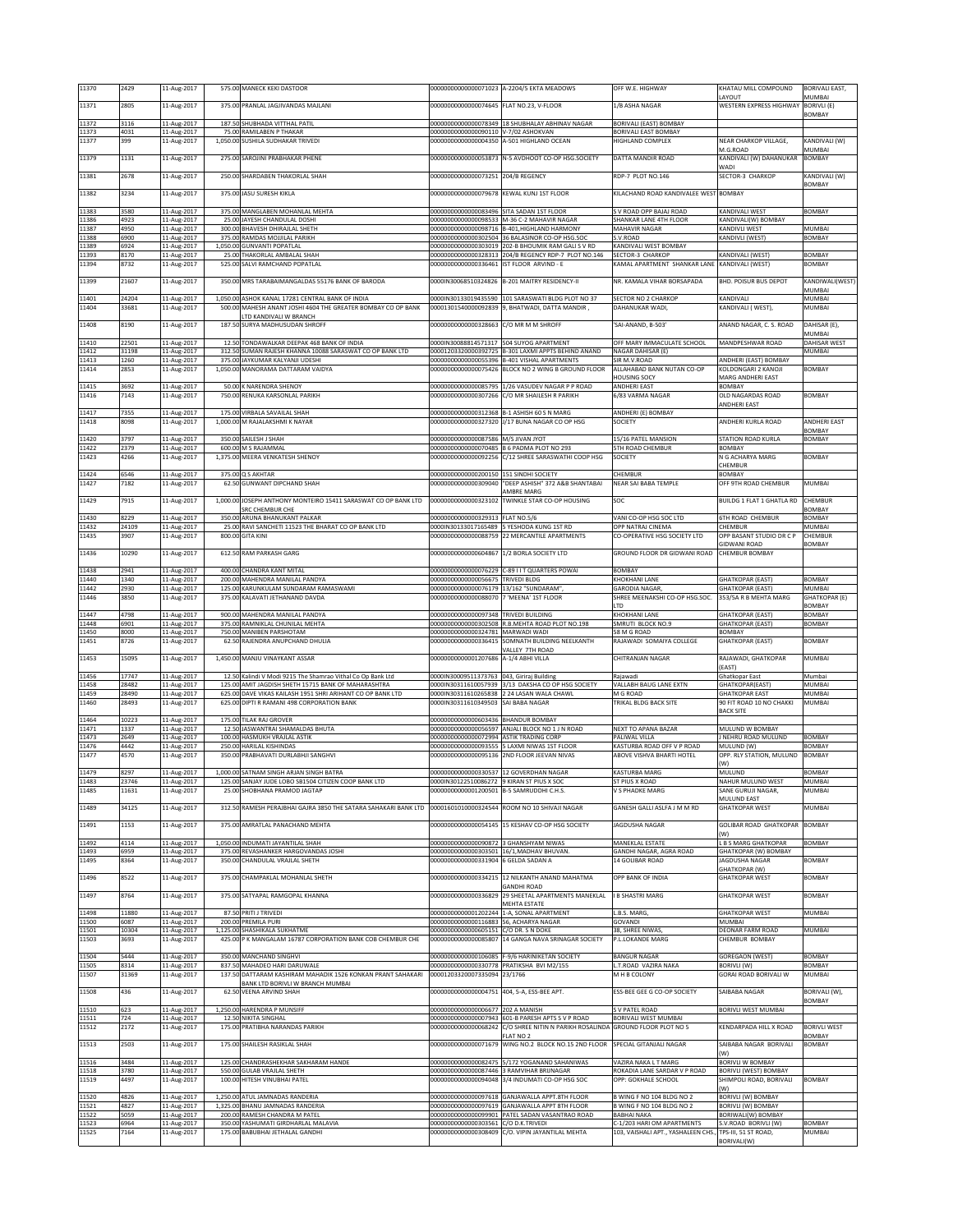| 11370          | 2429           | 11-Aug-2017                | 575.00 MANECK KEKI DASTOOR                                                                                        |                                                                                     | 00000000000000071023 A-2204/5 EKTA MEADOWS                                                                  | OFF W.E. HIGHWAY                                                 | KHATAU MILL COMPOUND<br>AYOUT                    | <b>BORIVALI EAST,</b><br>MUMBAI      |
|----------------|----------------|----------------------------|-------------------------------------------------------------------------------------------------------------------|-------------------------------------------------------------------------------------|-------------------------------------------------------------------------------------------------------------|------------------------------------------------------------------|--------------------------------------------------|--------------------------------------|
| 11371          | 2805           | 11-Aug-2017                | 375.00 PRANLAL JAGJIVANDAS MAJLANI                                                                                | 00000000000000074645 FLAT NO.23, V-FLOOR                                            |                                                                                                             | 1/B ASHA NAGAR                                                   | WESTERN EXPRESS HIGHWAY                          | <b>BORIVLI (E)</b><br>BOMBAY         |
| 11372          | 3116           | 11-Aug-2017                | 187.50 SHUBHADA VITTHAL PATIL                                                                                     |                                                                                     | 00000000000000078349 18 SHUBHALAY ABHINAV NAGAR                                                             | BORIVALI (EAST) BOMBAY                                           |                                                  |                                      |
| 11373<br>11377 | 4031<br>399    | 11-Aug-2017<br>11-Aug-2017 | 75.00 RAMILABEN P THAKAR<br>1,050.00 SUSHILA SUDHAKAR TRIVEDI                                                     | 00000000000000090110 V-7/02 ASHOKVAN                                                | 00000000000000004350 A-501 HIGHLAND OCEAN                                                                   | BORIVALI EAST BOMBAY<br>HIGHLAND COMPLEX                         | NEAR CHARKOP VILLAGE,                            | KANDIVALI (W)                        |
| 11379          | 1131           | 11-Aug-2017                | 275.00 SAROJINI PRABHAKAR PHENE                                                                                   |                                                                                     | 00000000000000053873 N-5 AVDHOOT CO-OP HSG.SOCIETY                                                          | DATTA MANDIR ROAD                                                | M.G.ROAD<br>KANDIVALI (W) DAHANUKAR              | MUMBAI<br><b>BOMBAY</b>              |
| 11381          | 2678           | 11-Aug-2017                | 250.00 SHARDABEN THAKORLAL SHAH                                                                                   | 00000000000000073251 204/B REGENCY                                                  |                                                                                                             | RDP-7 PLOT NO.146                                                | WADI<br>SECTOR-3 CHARKOP                         | KANDIVALI (W)                        |
| 11382          | 3234           | 11-Aug-2017                | 375.00 JASU SURESH KIKLA                                                                                          | 00000000000000079678 KEWAL KUNJ 1ST FLOOR                                           |                                                                                                             | KILACHAND ROAD KANDIVALEE WEST BOMBAY                            |                                                  | BOMBAY                               |
|                |                |                            |                                                                                                                   |                                                                                     |                                                                                                             |                                                                  |                                                  |                                      |
| 11383<br>11386 | 3580<br>4923   | 11-Aug-2017<br>11-Aug-2017 | 375.00 MANGLABEN MOHANLAL MEHTA<br>25.00 JAYESH CHANDULAL DOSHI                                                   | 00000000000000083496 SITA SADAN 1ST FLOOR                                           | 00000000000000098533 M-36 C-2 MAHAVIR NAGAR                                                                 | S V ROAD OPP BAJAJ ROAD<br>SHANKAR LANE 4TH FLOOR                | KANDIVALI WEST<br>KANDIVALI(W) BOMBAY            | <b>BOMBAY</b>                        |
| 11387<br>11388 | 4950<br>6900   | 11-Aug-2017<br>11-Aug-2017 | 300.00 BHAVESH DHIRAJLAL SHETH<br>375.00 RAMDAS MOJJILAL PARIKH                                                   |                                                                                     | 00000000000000098716 B-401, HIGHLAND HARMONY<br>00000000000000302504 36 BALASINOR CO-OP HSG.SOC             | MAHAVIR NAGAR<br>S.V.ROAD                                        | KANDIVLI WEST<br>KANDIVLI (WEST)                 | MUMBAI<br><b>BOMBAY</b>              |
| 11389<br>11393 | 6924<br>8170   | 11-Aug-2017<br>11-Aug-2017 | 1,050.00 GUNVANTI POPATLAL<br>25.00 THAKORLAL AMBALAL SHAH                                                        |                                                                                     | 000000000000000303019 202-B BHOUMIK RAM GALI S V RD<br>00000000000000328313 204/B REGENCY RDP-7 PLOT NO.146 | KANDIVALI WEST BOMBAY<br>SECTOR-3 CHARKOP                        | KANDIVALI (WEST)                                 | <b>BOMBAY</b>                        |
| 11394          | 8732           | 11-Aug-2017                | 525.00 SALVI RAMCHAND POPATLAL                                                                                    | 00000000000000336461 IST FLOOR ARVIND - E                                           |                                                                                                             | KAMAL APARTMENT SHANKAR LANE KANDIVALI (WEST)                    |                                                  | <b>BOMBAY</b>                        |
| 11399          | 21607          | 11-Aug-2017                | 350.00 MRS TARABAIMANGALDAS 55176 BANK OF BARODA                                                                  |                                                                                     | 0000IN30068510324826 B-201 MAITRY RESIDENCY-II                                                              | NR. KAMALA VIHAR BORSAPADA                                       | <b>BHD. POISUR BUS DEPOT</b>                     | KANDIWALI(WEST)                      |
| 11401          | 24204          | 11-Aug-2017                | 1,050.00 ASHOK KANAL 17281 CENTRAL BANK OF INDIA                                                                  |                                                                                     | 0000IN30133019435590 101 SARASWATI BLDG PLOT NO 37                                                          | SECTOR NO 2 CHARKOP                                              | KANDIVALI                                        | MUMBAI<br><b>MUMBAI</b>              |
| 11404          | 33681          | 11-Aug-2017                | 500.00 MAHESH ANANT JOSHI 4604 THE GREATER BOMBAY CO OP BANK<br>LTD KANDIVALI W BRANCH                            |                                                                                     | , 00001301540000092839 9, BHATWADI, DATTA MANDIR                                                            | DAHANUKAR WADI.                                                  | KANDIVALI (WEST),                                | MUMBAI                               |
| 11408          | 8190           | 11-Aug-2017                | 187.50 SURYA MADHUSUDAN SHROFF                                                                                    | 00000000000000328663 C/O MR M M SHROFF                                              |                                                                                                             | 'SAI-ANAND, B-503'                                               | ANAND NAGAR, C. S. ROAD                          | DAHISAR (E),<br>MUMBAI               |
| 11410<br>11412 | 22501<br>31198 | 11-Aug-2017<br>11-Aug-2017 | 12.50 TONDAWALKAR DEEPAK 468 BANK OF INDIA<br>312.50 SUMAN RAJESH KHANNA 10088 SARASWAT CO OP BANK LTD            |                                                                                     | 0000IN30088814571317 504 SUYOG APARTMENT<br>00001203320000392725 B-301 LAXMI APPTS BEHIND ANAND             | OFF MARY IMMACULATE SCHOOL<br>NAGAR DAHISAR (E)                  | MANDPESHWAR ROAD                                 | DAHISAR WEST<br>MUMBAI               |
| 11413          | 1260           | 11-Aug-2017                | 375.00 JAYKUMAR KALYANJI UDESHI                                                                                   |                                                                                     | 000000000000000055396 B-401 VISHAL APARTMENTS                                                               | SIR M.V.ROAD                                                     | ANDHERI (EAST) BOMBAY                            |                                      |
| 11414          | 2853           | 11-Aug-2017                | 1,050.00 MANORAMA DATTARAM VAIDYA                                                                                 |                                                                                     | 00000000000000075426 BLOCK NO 2 WING B GROUND FLOOR                                                         | ALLAHABAD BANK NUTAN CO-OP<br><b>HOUSING SOCY</b>                | KOLDONGARI 2 KANOJI<br>MARG ANDHERI EAST         | <b>BOMBAY</b>                        |
| 11415<br>11416 | 3692<br>7143   | 11-Aug-2017<br>11-Aug-2017 | 50.00 K NARENDRA SHENOY<br>750.00 RENUKA KARSONLAL PARIKH                                                         | 00000000000000085795                                                                | 1/26 VASUDEV NAGAR P P ROAD<br>00000000000000307266 C/O MR SHAILESH R PARIKH                                | <b>ANDHERI EAST</b><br>6/83 VARMA NAGAR                          | <b>BOMBAY</b><br>OLD NAGARDAS ROAD               | <b>BOMBAY</b>                        |
| 11417          | 7355           | 11-Aug-2017                | 175.00 VIRBALA SAVAILAL SHAH                                                                                      |                                                                                     | 00000000000000312368 B-1 ASHISH 60 S N MARG                                                                 | ANDHERI (E) BOMBAY                                               | ANDHERI EAST                                     |                                      |
| 11418          | 8098           | 11-Aug-2017                | 1,000.00 M RAJALAKSHMI K NAYAR                                                                                    |                                                                                     | 00000000000000327320 J/17 BUNA NAGAR CO OP HSG                                                              | SOCIETY                                                          | ANDHERI KURLA ROAD                               | <b>ANDHERI EAST</b><br><b>BOMBAY</b> |
| 11420          | 3797           | 11-Aug-2017                | 350.00 SAILESH J SHAH                                                                                             | 00000000000000087586 M/S JIVAN JYOT                                                 |                                                                                                             | 15/16 PATEL MANSION                                              | STATION ROAD KURLA                               | <b>BOMBAY</b>                        |
| 11422<br>11423 | 2379<br>4266   | 11-Aug-2017<br>11-Aug-2017 | 600.00 M S RAJAMMAL<br>1,375.00 MEERA VENKATESH SHENOY                                                            |                                                                                     | 00000000000000070485 B 6 PADMA PLOT NO 293<br>00000000000000092256 C/12 SHREE SARASWATHI COOP HSG           | 5TH ROAD CHEMBUR<br>SOCIETY                                      | <b>BOMBAY</b><br>N G ACHARYA MARG                | <b>BOMBAY</b>                        |
| 11424          | 6546           | 11-Aug-2017                | 375.00 Q S AKHTAR                                                                                                 | 00000000000000200150 151 SINDHI SOCIETY                                             |                                                                                                             | CHEMBUR                                                          | CHEMBUR<br>BOMBAY                                |                                      |
| 11427          | 7182           | 11-Aug-2017                | 62.50 GUNWANT DIPCHAND SHAH                                                                                       |                                                                                     | 00000000000000309040 "DEEP ASHISH" 372 A&B SHANTABAI<br>AMBRE MARG                                          | <b>NEAR SAI BABA TEMPLE</b>                                      | OFF 9TH ROAD CHEMBUR                             | MUMBAI                               |
| 11429          | 7915           | 11-Aug-2017                | 1,000.00 JOSEPH ANTHONY MONTEIRO 15411 SARASWAT CO OP BANK LTD                                                    |                                                                                     | 00000000000000323102 TWINKLE STAR CO-OP HOUSING                                                             | soc                                                              | <b>BUILDG 1 FLAT 1 GHATLA RD</b>                 | <b>CHEMBUR</b>                       |
| 11430          | 8229           | 11-Aug-2017                | SRC CHEMBUR CHE<br>350.00 ARUNA BHANUKANT PALKAR                                                                  | 00000000000000329313 FLAT NO.5/6                                                    |                                                                                                             | VANI CO-OP HSG SOC LTD                                           | 6TH ROAD CHEMBUR                                 | <b>BOMBAY</b><br><b>BOMBAY</b>       |
| 11432<br>11435 | 24109<br>3907  | 11-Aug-2017<br>11-Aug-2017 | 25.00 RAVI SANCHETI 11523 THE BHARAT CO OP BANK LTD<br>800.00 GITA KINI                                           |                                                                                     | 0000IN30133017165489 5 YESHODA KUNG 1ST RD<br>00000000000000088759 22 MERCANTILE APARTMENTS                 | OPP NATRAJ CINEMA<br>CO-OPERATIVE HSG SOCIETY LTD                | CHEMBUR<br>OPP BASANT STUDIO DR C P              | MUMBAI<br>CHEMBUR                    |
| 11436          | 10290          | 11-Aug-2017                | 612.50 RAM PARKASH GARG                                                                                           | 00000000000000604867 1/2 BORLA SOCIETY LTD                                          |                                                                                                             | GROUND FLOOR DR GIDWANI ROAD                                     | <b>SIDWANI ROAD</b><br><b>CHEMBUR BOMBAY</b>     | BOMBAY                               |
| 11438          | 2941           | 11-Aug-2017                | 400.00 CHANDRA KANT MITAL                                                                                         |                                                                                     | 00000000000000076229 C-89 I I T QUARTERS POWAI                                                              | <b>BOMBAY</b>                                                    |                                                  |                                      |
| 11440          | 1340           | 11-Aug-2017                | 200.00 MAHENDRA MANILAL PANDYA                                                                                    | 000000000000000056675 TRIVEDI BLDG                                                  |                                                                                                             | KHOKHANI LANE                                                    | <b>GHATKOPAR (EAST)</b>                          | <b>BOMBAY</b>                        |
| 11442          | 2930           | 11-Aug-2017                | 125.00 KARUNKULAM SUNDARAM RAMASWAMI                                                                              | 00000000000000076179 13/162 "SUNDARAM"                                              |                                                                                                             | GARODIA NAGAR,                                                   | <b>GHATKOPAR (EAST)</b>                          | MUMBAI<br><b>GHATKOPAR (E)</b>       |
| 11446          | 3850           | 11-Aug-2017                | 375.00 KALAVATI JETHANAND DAVDA                                                                                   | 00000000000000088070 7 'MEENA' 1ST FLOOR                                            |                                                                                                             | SHREE MEENAKSHI CO-OP HSG.SOC.                                   | 353/5A R B MEHTA MARG                            |                                      |
| 11447          | 4798           | 11-Aug-2017                | 900.00 MAHENDRA MANILAL PANDYA                                                                                    | 00000000000000097348 TRIVEDI BUILDING                                               |                                                                                                             | LTD<br>KHOKHANI LANE                                             | <b>GHATKOPAR (EAST)</b>                          | <b>BOMBAY</b><br><b>BOMBAY</b>       |
| 11448          | 6901           | 11-Aug-2017                | 375.00 RAMNIKLAL CHUNILAL MEHTA                                                                                   |                                                                                     | 00000000000000302508 R.B.MEHTA ROAD PLOT NO.198                                                             | SMRUTI BLOCK NO.9                                                | <b>GHATKOPAR (EAST)</b>                          | <b>BOMBAY</b>                        |
| 11450<br>11451 | 8000<br>8726   | 11-Aug-2017<br>11-Aug-2017 | 750.00 MANIBEN PARSHOTAM<br>62.50 RAJENDRA ANUPCHAND DHULIA                                                       | 000000000000000324781 MARWADI WADI                                                  | 00000000000000336415 SOMNATH BUILDING NEELKANTH                                                             | 58 M G ROAD<br>RAJAWADI SOMAIYA COLLEGE                          | BOMBAY<br><b>GHATKOPAR (EAST)</b>                | <b>BOMBAY</b>                        |
| 11453          | 15095          | 11-Aug-2017                | 1,450.00 MANJU VINAYKANT ASSAR                                                                                    | 000000000000001207686 A-1/4 ABHI VILLA                                              | VALLEY 7TH ROAD                                                                                             | CHITRANJAN NAGAR                                                 | RAJAWADI, GHATKOPAR                              | MUMBAI                               |
| 11456          | 17747          | 11-Aug-2017                | 12.50 Kalindi V Modi 9215 The Shamrao Vithal Co Op Bank Ltd                                                       | 0000IN30009511373763 043, Giriraj Building                                          |                                                                                                             | Rajawadi                                                         | EAST)<br>Ghatkopar East                          | Mumbai                               |
| 11458<br>11459 | 28482<br>28490 | 11-Aug-2017<br>11-Aug-2017 | 125.00 AMIT JAGDISH SHETH 15715 BANK OF MAHARASHTRA<br>625.00 DAVE VIKAS KAILASH 1951 SHRI ARIHANT CO OP BANK LTD |                                                                                     | 0000IN30311610057939 3/13 DAKSHA CO OP HSG SOCIETY<br>0000IN30311610265838 2 24 LASAN WALA CHAWL            | VALLABH BAUG LANE EXTN<br>M G ROAD                               | GHATKOPAR(EAST)<br><b>GHATKOPAR EAST</b>         | MUMBAI<br>MUMBAI                     |
| 11460          | 28493          | 11-Aug-2017                | 625.00 DIPTI R RAMANI 498 CORPORATION BANK                                                                        | 0000IN30311610349503 SAI BABA NAGAR                                                 |                                                                                                             | TRIKAL BLDG BACK SITE                                            | 90 FIT ROAD 10 NO CHAKKI                         | MUMBAI                               |
| 11464          | 10223          | 11-Aug-2017                | 175.00 TILAK RAJ GROVER                                                                                           | 000000000000000603436 BHANDUR BOMBAY                                                |                                                                                                             |                                                                  | <b>BACK SITE</b>                                 |                                      |
| 11471<br>11473 | 1337<br>2649   | 11-Aug-2017<br>11-Aug-2017 | 12.50 JASWANTRAI SHAMALDAS BHUTA<br>100.00 HASMUKH VRAJLAL ASTIK                                                  | 00000000000000072994 ASTIK TRADING CORP                                             | 000000000000000056597 ANJALI BLOCK NO 1 J N ROAD                                                            | NEXT TO APANA BAZAR<br>PALIWAL VILLA                             | MULUND W BOMBAY<br>J NEHRU ROAD MULUND           | <b>BOMBAY</b>                        |
| 11476<br>11477 | 4442<br>4570   | 11-Aug-2017<br>11-Aug-2017 | 250.00 HARILAL KISHINDAS<br>350.00 PRABHAVATI DURLABHJI SANGHVI                                                   |                                                                                     | 00000000000000093555 5 LAXMI NIWAS 1ST FLOOR<br>00000000000000095136 2ND FLOOR JEEVAN NIVAS                 | KASTURBA ROAD OFF V P ROAD<br>ABOVE VISHVA BHARTI HOTEL          | MULUND (W)<br>OPP. RLY STATION, MULUND           | <b>BOMBAY</b><br><b>BOMBAY</b>       |
| 11479          | 8297           | 11-Aug-2017                | 1,000.00 SATNAM SINGH ARJAN SINGH BATRA                                                                           | 00000000000000330537 12 GOVERDHAN NAGAR                                             |                                                                                                             | KASTURBA MARG                                                    | W)<br>MULUND                                     | <b>BOMBAY</b>                        |
| 1483           | 2374           | $11 - \Delta + 6$          | 125 00 CANIAV JUDE LORO SR1504 CITIZEN COOR RANK LTD                                                              | 1000 N30122510086272 QKIRAN ST PILIS                                                |                                                                                                             | <b>CT DILIC V DOAF</b>                                           | <b>JAHILD MILLIMO MEST</b>                       | <b>MIIMRA</b>                        |
| 11485          | 11631          | 11-Aug-2017                | 25.00 SHOBHANA PRAMOD JAGTAP                                                                                      | 00000000000001200501 B-5 SAMRUDDHI C.H.S.                                           |                                                                                                             | V S PHADKE MARG                                                  | SANE GURUJI NAGAR,<br>MULUND EAST                | MUMBAI                               |
| 11489          | 34125          | 11-Aug-2017                | 312.50 RAMESH PERAJBHAI GAJRA 3850 THE SATARA SAHAKARI BANK LTD                                                   |                                                                                     | 00001601010000324544 ROOM NO 10 SHIVAJI NAGAR                                                               | GANESH GALLI ASLFA J M M RD                                      | <b>GHATKOPAR WEST</b>                            | MUMBAI                               |
| 11491          | 1153           | 11-Aug-2017                | 375.00 AMRATLAL PANACHAND MEHTA                                                                                   |                                                                                     | 00000000000000054145 15 KESHAV CO-OP HSG SOCIETY                                                            | JAGDUSHA NAGAR                                                   | <b>GOLIBAR ROAD GHATKOPAR</b><br>W)              | BOMBAY                               |
| 11492<br>11493 | 4114<br>6959   | 11-Aug-2017                | 1,050.00 INDUMATI JAYANTILAL SHAH<br>375.00 REVASHANKER HARGOVANDAS JOSHI                                         | 00000000000000090872 3 GHANSHYAM NIWAS                                              |                                                                                                             | MANEKLAL ESTATE                                                  | L B S MARG GHATKOPAR                             | <b>BOMBAY</b>                        |
| 11495          | 8364           | 11-Aug-2017<br>11-Aug-2017 | 350.00 CHANDULAL VRAJLAL SHETH                                                                                    | 000000000000000303501 16/1, MADHAV BHUVAN.<br>000000000000000331904 6 GELDA SADAN A |                                                                                                             | GANDHI NAGAR, AGRA ROAD<br>14 GOLIBAR ROAD                       | GHATKOPAR (W) BOMBAY<br><b>JAGDUSHA NAGAR</b>    | BOMBAY                               |
| 11496          | 8522           | 11-Aug-2017                | 375.00 CHAMPAKLAL MOHANLAL SHETH                                                                                  |                                                                                     | 000000000000000334215 12 NILKANTH ANAND MAHATMA                                                             | OPP BANK OF INDIA                                                | <b>GHATKOPAR (W)</b><br><b>GHATKOPAR WEST</b>    | BOMBAY                               |
| 11497          | 8764           | 11-Aug-2017                | 375.00 SATYAPAL RAMGOPAL KHANNA                                                                                   | 00000000000000336829                                                                | <b>GANDHI ROAD</b><br>29 SHEETAL APARTMENTS MANEKLAL                                                        | <b>B SHASTRI MARG</b>                                            | <b>GHATKOPAR WEST</b>                            | BOMBAY                               |
| 11498          | 11880          | 11-Aug-2017                | 87.50 PRITI J TRIVEDI                                                                                             |                                                                                     | MEHTA ESTATE<br>00000000000001202244 1-A, SONAL APARTMENT                                                   | L.B.S. MARG,                                                     | <b>GHATKOPAR WEST</b>                            | MUMBAI                               |
| 11500          | 6087           | 11-Aug-2017                | 200.00 PREMILA PURI                                                                                               | 00000000000000116883 56, ACHARYA NAGAR                                              |                                                                                                             | GOVANDI                                                          | <b>MUMBAI</b>                                    |                                      |
| 11501<br>11503 | 10304<br>3693  | 11-Aug-2017<br>11-Aug-2017 | 1,125.00 SHASHIKALA SUKHATME<br>425.00 P K MANGALAM 16787 CORPORATION BANK COB CHEMBUR CHE                        | 00000000000000605151 C/O DR. S N DOKE                                               | 000000000000000085807 14 GANGA NAVA SRINAGAR SOCIETY                                                        | 38, SHREE NIWAS,<br>P.L.LOKANDE MARG                             | DEONAR FARM ROAD<br>CHEMBUR BOMBAY               | <b>MUMBAI</b>                        |
| 11504          | 5444           | 11-Aug-2017                | 350.00 MANCHAND SINGHVI                                                                                           |                                                                                     | 00000000000000106085 F-9/6 HARINIKETAN SOCIETY                                                              | <b>BANGUR NAGAR</b>                                              | <b>GOREGAON (WEST)</b>                           | <b>BOMBAY</b>                        |
| 11505<br>11507 | 8314<br>31369  | 11-Aug-2017<br>11-Aug-2017 | 837.50 MAHADEO HARI DARUWALE<br>137.50 DATTARAM KASHIRAM MAHADIK 1526 KONKAN PRANT SAHAKARI                       | 00000000000000330778 PRATIKSHA BVI M2/155<br>00001203320007335094 23/1766           |                                                                                                             | L.T.ROAD VAZIRA NAKA<br>M H B COLONY                             | BORIVLI (W)<br>GORAI ROAD BORIVALI W             | <b>BOMBAY</b><br>MUMBAI              |
|                |                |                            | <b>JANK LTD BORIVLI W BRANCH MUMBAI</b>                                                                           |                                                                                     |                                                                                                             |                                                                  |                                                  |                                      |
| 11508          | 436            | 11-Aug-2017                | 62.50 VEENA ARVIND SHAH                                                                                           | 00000000000000004751 404, 5-A, ESS-BEE APT.                                         |                                                                                                             | ESS-BEE GEE G CO-OP SOCIETY                                      | SAIBABA NAGAR                                    | BORIVALI (W),<br>BOMBAY              |
| 11510<br>11511 | 623<br>724     | 11-Aug-2017<br>11-Aug-2017 | 1,250.00 HARENDRA P MUNSIFF<br>12.50 NIKITA SINGHAL                                                               | 00000000000000006677 202 A MANISH                                                   | 00000000000000007943 601-B PARESH APTS S V P ROAD                                                           | S V PATEL ROAD<br>BORIVALI WEST MUMBAI                           | BORIVLI WEST MUMBAI                              |                                      |
| 11512          | 2172           | 11-Aug-2017                | 175.00 PRATIBHA NARANDAS PARIKH                                                                                   |                                                                                     | 00000000000000068242 C/O SHREE NITIN N PARIKH ROSALINDA GROUND FLOOR PLOT NO 5<br>FLAT NO 2                 |                                                                  | KENDARPADA HILL X ROAD                           | <b>BORIVLI WEST</b><br><b>BOMBAY</b> |
| 11513          | 2503           | 11-Aug-2017                | 175.00 SHAILESH RASIKLAL SHAH                                                                                     |                                                                                     | 00000000000000071679 WING NO.2 BLOCK NO.15 2ND FLOOR                                                        | SPECIAL GITANJALI NAGAR                                          | SAIBABA NAGAR BORIVALI<br>W)                     | BOMBAY                               |
| 11516          | 3484           | 11-Aug-2017                | 125.00 CHANDRASHEKHAR SAKHARAM HANDE                                                                              |                                                                                     | 00000000000000082475 5/172 YOGANAND SAHANIWAS                                                               | VAZIRA NAKA L T MARG                                             | BORIVLI W BOMBAY                                 |                                      |
| 11518<br>11519 | 3780<br>4497   | 11-Aug-2017<br>11-Aug-2017 | 550.00 GULAB VRAJLAL SHETH<br>100.00 HITESH VINUBHAI PATEL                                                        | 00000000000000094048                                                                | 000000000000000087446 3 RAMVIHAR BRIJNAGAR<br>3/4 INDUMATI CO-OP HSG SOC                                    | ROKADIA LANE SARDAR V P ROAD<br>OPP: GOKHALE SCHOOL              | BORIVLI (WEST) BOMBAY<br>SHIMPOLI ROAD, BORIVALI | BOMBAY                               |
| 11520          | 4826           | 11-Aug-2017                | 1,250.00 ATUL JAMNADAS RANDERIA                                                                                   |                                                                                     | 00000000000000097618 GANJAWALLA APPT.8TH FLOOR                                                              | B WING F NO 104 BLDG NO 2                                        | W)<br>BORIVLI (W) BOMBAY                         |                                      |
| 11521<br>11522 | 4827<br>5059   | 11-Aug-2017<br>11-Aug-2017 | 1,325.00 BHANU JAMNADAS RANDERIA<br>200.00 RAMESH CHANDRA M PATEL                                                 |                                                                                     | 00000000000000097619 GANJAWALLA APPT 8TH FLOOR<br>00000000000000099901 PATEL SADAN VASANTRAO ROAD           | B WING F NO 104 BLDG NO 2<br><b>BABHAI NAKA</b>                  | <b>BORIVLI (W) BOMBAY</b><br>BORIWALI(W) BOMBAY  |                                      |
| 11523<br>11525 | 6964<br>7164   | 11-Aug-2017<br>11-Aug-2017 | 350.00 YASHUMATI GIRDHARLAL MALAVIA<br>175.00 BABUBHAI JETHALAL GANDHI                                            | 00000000000000303561 C/O D.K.TRIVEDI                                                | 00000000000000308409 C/O. VIPIN JAYANTILAL MEHTA                                                            | C-1/203 HARI OM APARTMENTS<br>103, VAISHALI APT., YASHALEEN CHS. | S.V.ROAD BORIVLI (W)<br>TPS-III, 51 ST ROAD,     | <b>BOMBAY</b><br>MUMBAI              |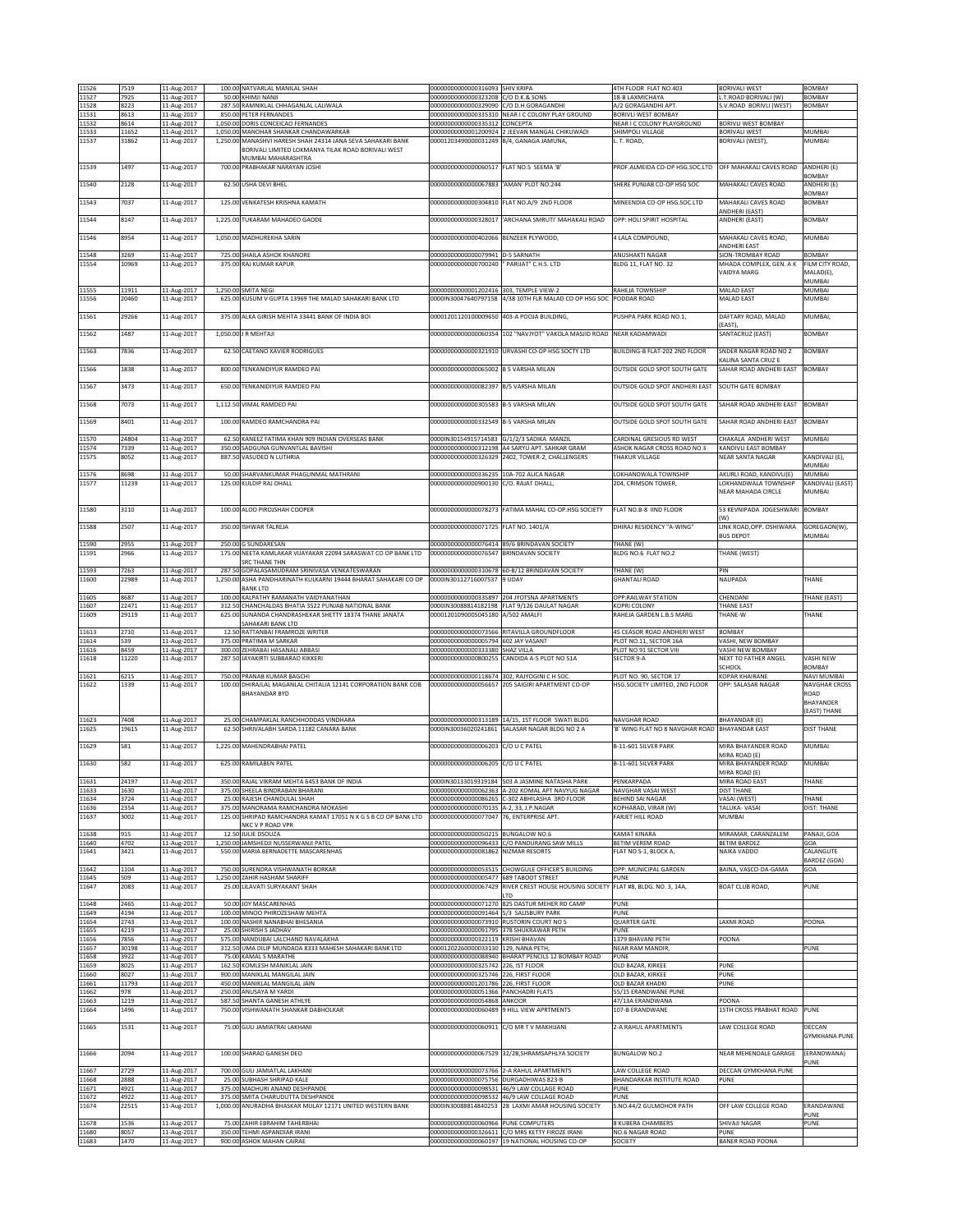| 11526          | 7519           | 11-Aug-2017                | 100.00 NATVARLAL MANILAL SHAH<br>50.00 KHIMJI NANJI                                                               | 00000000000000316093 SHIV KRIPA                                                     |                                                                                                   | 4TH FLOOR FLAT NO.403                                    | <b>BORIVALI WEST</b>                             | BOMBAY                              |
|----------------|----------------|----------------------------|-------------------------------------------------------------------------------------------------------------------|-------------------------------------------------------------------------------------|---------------------------------------------------------------------------------------------------|----------------------------------------------------------|--------------------------------------------------|-------------------------------------|
| 11527<br>11528 | 7925<br>8223   | 11-Aug-2017<br>11-Aug-2017 | 287.50 RAMNIKLAL CHHAGANLAL LALIWALA                                                                              | 00000000000000323208 C/O D.K.& SONS<br>00000000000000329090 C/O D.H.GORAGANDHI      |                                                                                                   | 18-B LAXMICHAYA<br>A/2 GORAGANDHI APT                    | L.T.ROAD BORIVALI (W)<br>S.V.ROAD BORIVLI (WEST) | BOMBAY<br><b>BOMBAY</b>             |
| 11531<br>11532 | 8613<br>8614   | 11-Aug-2017<br>11-Aug-2017 | 850.00 PETER FERNANDES<br>1,050.00 DORIS CONCEICAO FERNANDES                                                      | 00000000000000335312 CONCEPTA                                                       | 00000000000000335310 NEAR I C COLONY PLAY GROUND                                                  | BORIVLI WEST BOMBAY<br><b>JEAR I C COLONY PLAYGROUND</b> | BORIVLI WEST BOMBAY                              |                                     |
| 11533          | 11652          | 11-Aug-2017                | 1,050.00 MANOHAR SHANKAR CHANDAWARKAR                                                                             |                                                                                     | 000000000000001200924 2 JEEVAN MANGAL CHIKUWADI                                                   | SHIMPOLI VILLAGE                                         | <b>BORIVALI WEST</b>                             | MUMBAI                              |
| 11537          | 31862          | 11-Aug-2017                | 1,250.00 MANASHVI HARESH SHAH 24314 JANA SEVA SAHAKARI BANK<br>BORIVALI LIMITED LOKMANYA TILAK ROAD BORIVALI WEST | 00001203490000031249 B/4, GANAGA JAMUNA,                                            |                                                                                                   | T. ROAD,                                                 | BORIVALI (WEST),                                 | MUMBAI                              |
|                |                |                            | MUMBAI MAHARASHTRA                                                                                                |                                                                                     |                                                                                                   | PROF.ALMEIDA CO-OP HSG.SOC.LTD                           |                                                  | ANDHERI (E)                         |
| 11539          | 1497           | 11-Aug-2017                | 700.00 PRABHAKAR NARAYAN JOSHI                                                                                    | 00000000000000060517 FLAT NO.5 SEEMA 'B'                                            |                                                                                                   |                                                          | OFF MAHAKALI CAVES ROAD                          | BOMBAY                              |
| 11540          | 2128           | 11-Aug-2017                | 62.50 USHA DEVI BHEL                                                                                              | 0000000000000067883                                                                 | 'AMAN' PLOT NO.244                                                                                | SHERE PUNJAB CO-OP HSG SOC                               | MAHAKALI CAVES ROAD                              | ANDHERI (E)<br>BOMBAY               |
| 11543          | 7037           | 11-Aug-2017                | 125.00 VENKATESH KRISHNA KAMATH                                                                                   |                                                                                     | 000000000000000304810 FLAT NO.A/9 2ND FLOOR                                                       | MINEENDIA CO-OP HSG.SOC.LTD                              | MAHAKALI CAVES ROAD                              | <b>BOMBAY</b>                       |
| 11544          | 8147           | 11-Aug-2017                | 1,225.00 TUKARAM MAHADEO GAODE                                                                                    | 00000000000000328017                                                                | 'ARCHANA SMRUTI' MAHAKALI ROAD                                                                    | OPP: HOLI SPIRIT HOSPITAL                                | ANDHERI (EAST)<br>ANDHERI (EAST)                 | BOMBAY                              |
|                |                |                            |                                                                                                                   |                                                                                     |                                                                                                   |                                                          |                                                  |                                     |
| 11546          | 8954           | 11-Aug-2017                | 1,050.00 MADHUREKHA SARIN                                                                                         | 000000000000000402066 BENZEER PLYWOOD,                                              |                                                                                                   | 4 LALA COMPOUND,                                         | MAHAKALI CAVES ROAD,<br>ANDHERI EAST             | MUMBAI                              |
| 11548<br>11554 | 3269<br>10969  | 11-Aug-2017<br>11-Aug-2017 | 725.00 SHAILA ASHOK KHANORE<br>375.00 RAJ KUMAR KAPUR                                                             | 00000000000000079941 D-5 SARNATH<br>00000000000000700240 T PARIJAT" C.H.S. LTD      |                                                                                                   | ANUSHAKTI NAGAR<br>BLDG 11, FLAT NO. 32                  | SION-TROMBAY ROAD<br>MHADA COMPLEX, GEN. A K     | BOMBAY<br>FILM CITY ROAD,           |
|                |                |                            |                                                                                                                   |                                                                                     |                                                                                                   |                                                          | <b>VAIDYA MARG</b>                               | MALAD(E),                           |
| 11555          | 11911          | 11-Aug-2017                | 1,250.00 SMITA NEGI                                                                                               | 00000000000001202416 303. TEMPLE VIEW-2                                             |                                                                                                   | RAHEJA TOWNSHIP                                          | <b>MALAD EAST</b>                                | MUMBAI<br>MUMBAI                    |
| 11556          | 20460          | 11-Aug-2017                | 625.00 KUSUM V GUPTA 13969 THE MALAD SAHAKARI BANK LTD                                                            |                                                                                     | 0000IN30047640797158 4/38 10TH FLR MALAD CO OP HSG SOC                                            | ODDAR ROAD                                               | <b>MALAD EAST</b>                                | MUMBAI                              |
| 11561          | 29266          | 11-Aug-2017                | 375.00 ALKA GIRISH MEHTA 33441 BANK OF INDIA BOI                                                                  | 00001201120100009650 403-A POOJA BUILDING,                                          |                                                                                                   | PUSHPA PARK ROAD NO.1,                                   | DAFTARY ROAD, MALAD                              | MUMBAI,                             |
| 11562          | 1487           | 11-Aug-2017                | 1,050.00 J R MEHTAJI                                                                                              |                                                                                     | 00000000000000060354 102 "NAVJYOT" VAKOLA MASJID ROAD                                             | NEAR KADAMWADI                                           | (EAST),<br>SANTACRUZ (EAST)                      | <b>BOMBAY</b>                       |
|                |                |                            |                                                                                                                   |                                                                                     |                                                                                                   |                                                          |                                                  |                                     |
| 11563          | 7836           | 11-Aug-2017                | 62.50 CAETANO XAVIER RODRIGUES                                                                                    |                                                                                     | 00000000000000321910 URVASHI CO-OP HSG SOCTY LTD                                                  | BUILDING-B FLAT-202 2ND FLOOR                            | SNDER NAGAR ROAD NO 2<br>KALINA SANTA CRUZ E     | <b>BOMBAY</b>                       |
| 11566          | 1838           | 11-Aug-2017                | 800.00 TENKANIDIYUR RAMDEO PAI                                                                                    | 000000000000000065002 B 5 VARSHA MILAN                                              |                                                                                                   | OUTSIDE GOLD SPOT SOUTH GATE                             | SAHAR ROAD ANDHERI EAST                          | <b>BOMBAY</b>                       |
| 11567          | 3473           | 11-Aug-2017                | 650.00 TENKANIDIYUR RAMDEO PAI                                                                                    | 00000000000000082397                                                                | B/5 VARSHA MILAN                                                                                  | OUTSIDE GOLD SPOT ANDHERI EAST                           | SOUTH GATE BOMBAY                                |                                     |
| 11568          | 7073           | 11-Aug-2017                | 1.112.50 VIMAL RAMDEO PAI                                                                                         | 00000000000000305583                                                                | <b>B-5 VARSHA MILAN</b>                                                                           | <b>OUTSIDE GOLD SPOT SOUTH GATE</b>                      | SAHAR ROAD ANDHERI EAST                          | BOMBAY                              |
|                |                |                            |                                                                                                                   |                                                                                     |                                                                                                   |                                                          |                                                  |                                     |
| 11569          | 8401           | 11-Aug-2017                | 100.00 RAMDEO RAMCHANDRA PAI                                                                                      | 000000000000000332549 B-5 VARSHA MILAN                                              |                                                                                                   | OUTSIDE GOLD SPOT SOUTH GATE                             | SAHAR ROAD ANDHERI EAST                          | <b>BOMBAY</b>                       |
| 11570          | 24804          | 11-Aug-2017                | 62.50 KANEEZ FATIMA KHAN 909 INDIAN OVERSEAS BANK                                                                 |                                                                                     | 0000IN30154915714583 G/1/2/3 SADIKA MANZIL                                                        | CARDINAL GRESIOUS RD WEST                                | CHAKALA ANDHERI WEST                             | MUMBAI                              |
| 11574<br>11575 | 7339<br>8052   | 11-Aug-2017<br>11-Aug-2017 | 350.00 SADGUNA GUNVANTLAL BAVISHI<br>887.50 VASUDEO N LUTHRIA                                                     |                                                                                     | 00000000000000312198 A4 SARYU APT. SAHKAR GRAM<br>00000000000000326329 2402, TOWER-2, CHALLENGERS | ASHOK NAGAR CROSS ROAD NO 3<br>THAKUR VILLAGE            | KANDIVLI EAST BOMBAY<br>NEAR SANTA NAGAR         | KANDIVALI (E),                      |
| 11576          | 8698           | 11-Aug-2017                | 50.00 SHARVANKUMAR PHAGUNMAL MATHRANI                                                                             | 00000000000000336235 10A-702 ALICA NAGAR                                            |                                                                                                   | OKHANDWALA TOWNSHIP                                      | AKURLI ROAD, KANDIVLI(E)                         | MUMBAI<br>MUMBAI                    |
| 11577          | 11239          | 11-Aug-2017                | 125.00 KULDIP RAJ DHALL                                                                                           | 00000000000000900130 C/O. RAJAT DHALL,                                              |                                                                                                   | 204, CRIMSON TOWER,                                      | OKHANDWAI A TOWNSHIP                             | KANDIVALI (EAST)                    |
|                |                |                            |                                                                                                                   |                                                                                     |                                                                                                   |                                                          | NEAR MAHADA CIRCLE                               | MUMBAI                              |
| 11580          | 3110           | 11-Aug-2017                | 100.00 ALOO PIROJSHAH COOPER                                                                                      |                                                                                     | 00000000000000078273 FATIMA MAHAL CO-OP.HSG SOCIETY                                               | FLAT NO.B-8 IIND FLOOR                                   | 53 KEVNIPADA JOGESHWARI                          | <b>BOMBAY</b>                       |
| 11588          | 2507           | 11-Aug-2017                | 350.00 ISHWAR TALREJA                                                                                             | 00000000000000071725 FLAT NO. 1401/A                                                |                                                                                                   | DHIRAJ RESIDENCY "A-WING"                                | (W)<br>LINK ROAD, OPP. OSHIWARA                  | GOREGAON(W),                        |
| 11590          | 2955           |                            | 250.00 G SUNDARESAN                                                                                               |                                                                                     | 00000000000000076414 89/6 BRINDAVAN SOCIETY                                                       | THANE (W)                                                | <b>BUS DEPOT</b>                                 | MUMBAI                              |
| 11591          | 2966           | 11-Aug-2017<br>11-Aug-2017 | 175.00 NEETA KAMLAKAR VIJAYAKAR 22094 SARASWAT CO OP BANK LTD                                                     | 0000000000000076547                                                                 | <b>BRINDAVAN SOCIETY</b>                                                                          | BLDG NO.6 FLAT NO.2                                      | THANE (WEST)                                     |                                     |
| 11593          | 7263           | 11-Aug-2017                | <b>SRC THANE THN</b><br>287.50 GOPALASAMUDRAM SRINIVASA VENKATESWARAN                                             |                                                                                     | 00000000000000310678 60-B/12 BRINDAVAN SOCIETY                                                    | THANE (W)                                                | PIN                                              |                                     |
| 11600          | 22989          | 11-Aug-2017                | 1,250.00 ASHA PANDHARINATH KULKARNI 19444 BHARAT SAHAKARI CO OP                                                   | 0000IN30112716007537                                                                | 9 UDAY                                                                                            | <b>GHANTALI ROAD</b>                                     | NAUPADA                                          | THANF                               |
| 11605          | 8687           | 11-Aug-2017                | <b>BANK LTD</b><br>100.00 KALPATHY RAMANATH VAIDYANATHAN                                                          |                                                                                     | 00000000000000335897 204 JYOTSNA APARTMENTS                                                       | OPP:RAILWAY STATION                                      | CHENDANI                                         | THANE (EAST)                        |
| 11607<br>11609 | 22471<br>29119 | 11-Aug-2017<br>11-Aug-2017 | 312.50 CHANCHALDAS BHATIA 3522 PUNJAB NATIONAL BANK<br>625.00 SUNANDA CHANDRASHEKAR SHETTY 18374 THANE JANATA     | 00001201090005045180 A/502 AMALFI                                                   | 0000IN30088814182198 FLAT 9/126 DAULAT NAGAR                                                      | KOPRI COLONY<br>RAHEJA GARDEN L.B.S MARG                 | THANE EAST<br>THANE-W                            | THANE                               |
|                |                |                            | SAHAKARI BANK LTD                                                                                                 |                                                                                     |                                                                                                   |                                                          |                                                  |                                     |
| 11613<br>11614 | 2710<br>539    | 11-Aug-2017<br>11-Aug-2017 | 12.50 RATTANBAI FRAMROZE WRITER<br>375.00 PRATIMA M SARKAR                                                        | 00000000000000005794 602 JAY VASANT                                                 | 00000000000000073566 RITAVILLA GROUNDFLOOR                                                        | 45 CEASOR ROAD ANDHERI WEST<br>PLOT NO.11, SECTOR 16A    | BOMBAY<br>VASHI, NEW BOMBAY                      |                                     |
| 11616          | 8459           | 11-Aug-2017                | 300.00 ZEHRABAI HASANALI ABBASI                                                                                   | 00000000000000333380 SHAZ VILLA                                                     |                                                                                                   | PLOT NO 91 SECTOR VIII                                   | VASHI NEW BOMBAY                                 |                                     |
| 11618          | 11220          | 11-Aug-2017                | 287.50 JAYAKIRTI SUBBARAO KIKKERI                                                                                 |                                                                                     | 00000000000000800255 CANDIDA A-5 PLOT NO 51A                                                      | SECTOR 9-A                                               | NEXT TO FATHER ANGEL<br>SCHOOL                   | <b>VASHI NEW</b><br>BOMBAY          |
| 11621<br>11622 | 6215<br>1339   | 11-Aug-2017<br>11-Aug-2017 | 750.00 PRANAB KUMAR BAGCHI<br>100.00 DHIRAJLAL MAGANLAL CHITALIA 12141 CORPORATION BANK COB                       | 00000000000000118674 302, RAJYOGINI C H SOC.                                        | 000000000000000056657 205 SAIGIRI APARTMENT CO-OP                                                 | PLOT NO. 90, SECTOR 17<br>HSG.SOCIETY LIMITED, 2ND FLOOR | <b>KOPAR KHAIRANE</b><br>OPP: SALASAR NAGAR      | NAVI MUMBAI<br><b>NAVGHAR CROSS</b> |
|                |                |                            | BHAYANDAR BYD                                                                                                     |                                                                                     |                                                                                                   |                                                          |                                                  | ROAD                                |
|                |                |                            |                                                                                                                   |                                                                                     |                                                                                                   |                                                          |                                                  | <b>BHAYANDER</b><br>(EAST) THANE    |
| 11623          | 7408           | 11-Aug-2017                | 25.00 CHAMPAKLAL RANCHHODDAS VINDHARA                                                                             |                                                                                     | 00000000000000313189 14/15, 1ST FLOOR SWATI BLDG                                                  | <b>NAVGHAR ROAD</b>                                      | BHAYANDAR (E)                                    |                                     |
| 11625          | 19615          | 11-Aug-2017                | 62.50 SHRIVALABH SARDA 11182 CANARA BANK                                                                          |                                                                                     | 0000IN30036020241861 SALASAR NAGAR BLDG NO 2 A                                                    | B' WING FLAT NO 8 NAVGHAR ROAD BHAYANDAR EAST            |                                                  | <b>DIST THANE</b>                   |
| 11629          | 581            | 11-Aug-2017                | 1,225.00 MAHENDRABHAI PATEL                                                                                       | 00000000000000006203 C/O U C PATEL                                                  |                                                                                                   | B-11-601 SILVER PARK                                     | MIRA BHAYANDER ROAD<br>MIRA ROAD (E)             | MUMBAI                              |
| 11630          | 582            | 11-Aug-2017                | 625.00 RAMILABEN PATEL                                                                                            | 00000000000000006205 C/O U C PATEL                                                  |                                                                                                   | B-11-601 SILVER PARK                                     | MIRA BHAYANDER ROAD                              | MUMBAI                              |
| 11631          | 24197          | .1-Aug-2017                | 350.00 RAJAL VIKKAM MEHTA 6453 BANK OF INDIA                                                                      |                                                                                     | IUUUIN30133019319184   JSO3 A JASMINE NATASHA PARK                                                | PENKARPADA                                               | MIRA ROAD (E)<br>VIIKA KUAD EASI                 | I HANE                              |
| 11633          | 1630           | 11-Aug-2017                | 375.00 SHEELA BINDRABAN BHARANI                                                                                   |                                                                                     | 000000000000000062363 A-202 KOMAL APT NAVYUG NAGAR                                                | NAVGHAR VASAI WEST                                       | <b>DIST THANE</b>                                |                                     |
| 11634<br>11636 | 3724<br>2354   | 11-Aug-2017<br>11-Aug-2017 | 25.00 RAJESH CHANDULAL SHAH<br>375.00 MANORAMA RAMCHANDRA MOKASHI                                                 | 00000000000000070135 A-2, 33, J.P.NAGAR                                             | 000000000000000086265 C-302 ABHILASHA 3RD FLOOR                                                   | BEHIND SAI NAGAR<br>(OPHARAD, VIRAR (W)                  | VASAI (WEST)<br>TALUKA- VASAI                    | THANE<br><b>DIST: THANE</b>         |
| 11637          | 3002           | 11-Aug-2017                | 125.00 SHRIPAD RAMCHANDRA KAMAT 17051 N K G S B CO OP BANK LTD<br>NKC V P ROAD VPR                                | 00000000000000077047 76, ENTERPRISE APT.                                            |                                                                                                   | FARJET HILL ROAD                                         | <b>MUMBAI</b>                                    |                                     |
| 11638          | 915            | 11-Aug-2017                | 12.50 JULIE DSOUZA                                                                                                | 000000000000000050215 BUNGALOW NO.6                                                 |                                                                                                   | KAMAT KINARA                                             | MIRAMAR, CARANZALEM                              | PANAJI, GOA                         |
| 11640<br>11641 | 4702<br>3421   | 11-Aug-2017<br>11-Aug-2017 | 1,250.00 JAMSHEDJI NUSSERWANJI PATEL<br>550.00 MARIA BERNADETTE MASCARENHAS                                       | 00000000000000081862 NIZMAR RESORTS                                                 | 00000000000000096433 C/O PANDURANG SAW MILLS                                                      | BETIM VEREM ROAD<br>LAT NO S-1, BLOCK A,                 | <b>BETIM BARDEZ</b><br>NAIKA VADDO               | GOA<br>CALANGUTE                    |
|                |                |                            |                                                                                                                   |                                                                                     |                                                                                                   |                                                          |                                                  | BARDEZ (GOA)                        |
| 11642<br>11645 | 1104<br>509    | 11-Aug-2017<br>11-Aug-2017 | 750.00 SURENDRA VISHWANATH BORKAR<br>1,250.00 ZAHIR HASHAM SHARIFF                                                | 00000000000000005477 689 TABOOT STREET                                              | 000000000000000053515 CHOWGULE OFFICER'S BUILDING                                                 | OPP: MUNICIPAL GARDEN<br>PUNE                            | BAINA, VASCO-DA-GAMA                             | GOA                                 |
| 11647          | 2083           | 11-Aug-2017                | 25.00 LILAVATI SURYAKANT SHAH                                                                                     |                                                                                     | 00000000000000067429 RIVER CREST HOUSE HOUSING SOCIETY<br>LTD                                     | FLAT #8, BLDG. NO. 3, 14A,                               | <b>BOAT CLUB ROAD,</b>                           | PUNE                                |
| 11648          | 2465           | 11-Aug-2017                | 50.00 JOY MASCARENHAS                                                                                             |                                                                                     | 00000000000000071270 825 DASTUR MEHER RD CAMP                                                     | PUNE                                                     |                                                  |                                     |
| 11649<br>11654 | 4194<br>2743   | 11-Aug-2017<br>11-Aug-2017 | 100.00 MINOO PHIROZESHAW MEHTA<br>100.00 NASHIR NANABHAI BHESANIA                                                 | 00000000000000091464 5/3 SALISBURY PARK<br>00000000000000073910 RUSTORIN COURT NO 5 |                                                                                                   | UNE<br>QUARTER GATE                                      | LAXMI ROAD                                       | POONA                               |
| 11655          | 4219           | 11-Aug-2017                | 25.00 SHIRISH S JADHAV                                                                                            | 00000000000000091795 378 SHUKRAWAR PETH                                             |                                                                                                   | PUNE                                                     |                                                  |                                     |
| 11656<br>11657 | 7856<br>30198  | 11-Aug-2017<br>11-Aug-2017 | 575.00 NANDUBAI LALCHAND NAVALAKHA<br>312.50 UMA DILIP MUNDADA 8333 MAHESH SAHAKARI BANK LTD                      | 00000000000000322119 KRISHI BHAVAN<br>00001202260000033130 129, NANA PETH,          |                                                                                                   | 1379 BHAVANI PETH<br><b>NEAR RAM MANDIR,</b>             | POONA                                            | <b>PUNE</b>                         |
| 11658          | 3922           | 11-Aug-2017                | 75.00 KAMAL S MARATHE                                                                                             | 00000000000000325742 226, IST FLOOR                                                 | 00000000000000088940 BHARAT PENCILS 12 BOMBAY ROAD                                                | PUNE                                                     |                                                  |                                     |
| 11659<br>11660 | 8025<br>8027   | 11-Aug-2017<br>11-Aug-2017 | 162.50 KOMLESH MANIKLAL JAIN<br>900.00 MANIKLAL MANGILAL JAIN                                                     | 00000000000000325746 226, FIRST FLOOR                                               |                                                                                                   | OLD BAZAR, KIRKEE<br>OLD BAZAR, KIRKEE                   | PUNE<br>PUNE                                     |                                     |
| 11661<br>11662 | 11793<br>978   | 11-Aug-2017<br>11-Aug-2017 | 450.00 MANIKLAL MANGILAL JAIN<br>250.00 ANUSAYA M YARDI                                                           | 00000000000001201786 226, FIRST FLOOR<br>00000000000000051366 PANCHADRI FLATS       |                                                                                                   | OLD BAZAR KHADKI<br>55/15 ERANDWANE PUNE                 | PUNE                                             |                                     |
| 11663          | 1219           | 11-Aug-2017                | 587.50 SHANTA GANESH ATHLYE                                                                                       | 00000000000000054868 ANKOOR                                                         |                                                                                                   | 47/13A ERANDWANA                                         | POONA                                            |                                     |
| 11664          | 1496           | 11-Aug-2017                | 750.00 VISHWANATH SHANKAR DABHOLKAR                                                                               |                                                                                     | 00000000000000060489 9 HILL VIEW APRTMENTS                                                        | 107-B ERANDWANE                                          | 15TH CROSS PRABHAT ROAD PUNE                     |                                     |
| 11665          | 1531           | 11-Aug-2017                | 75.00 GULI JAMIATRAI LAKHANI                                                                                      | 00000000000000000911 C/O MR T V MAKHIJANI                                           |                                                                                                   | 2-A RAHUL APARTMENTS                                     | LAW COLLEGE ROAD                                 | DECCAN                              |
|                |                |                            |                                                                                                                   |                                                                                     |                                                                                                   |                                                          |                                                  | GYMKHANA PUNE                       |
| 11666          | 2094           | 11-Aug-2017                | 100.00 SHARAD GANESH DEO                                                                                          |                                                                                     | 00000000000000067529 32/2B, SHRAMSAPHLYA SOCIETY                                                  | <b>BUNGALOW NO.2</b>                                     | NEAR MEHENDALE GARAGE                            | (ERANDWANA)<br>PUNE                 |
| 11667          | 2729           | 11-Aug-2017                | 700.00 GULI JAMIATLAL LAKHANI                                                                                     |                                                                                     | 00000000000000073766 2-A RAHUL APARTMENTS                                                         | AW COLLEGE ROAD                                          | DECCAN GYMKHANA PUNE                             |                                     |
| 11668<br>11671 | 2888<br>4921   | 11-Aug-2017<br>11-Aug-2017 | 25.00 SUBHASH SHRIPAD KALE<br>375.00 MADHURI ANAND DESHPANDE                                                      | 00000000000000075756 DURGADHIWAS 823-B                                              | 00000000000000098531 46/9 LAW COLLAGE ROAD                                                        | BHANDARKAR INSTITUTE ROAD<br>PUNE                        | PUNE                                             |                                     |
| 11672          | 4922           | 11-Aug-2017                | 375.00 SMITA CHARUDUTTA DESHPANDE                                                                                 |                                                                                     | 00000000000000098532 46/9 LAW COLLAGE ROAD                                                        | PUNE                                                     |                                                  |                                     |
| 11674          | 22515          | 11-Aug-2017                | 1,000.00 ANURADHA BHASKAR MULAY 12171 UNITED WESTERN BANK                                                         |                                                                                     | 0000IN30088814840253 28 LAXMI AMAR HOUSING SOCIETY                                                | S.NO.44/2 GULMOHOR PATH                                  | OFF LAW COLLEGE ROAD                             | ERANDAWANE<br>PUNE                  |
| 11678<br>11680 | 1536<br>8057   | 11-Aug-2017<br>11-Aug-2017 | 75.00 ZAHIR EBRAHIM TAHERBHAI<br>350.00 TEHMI ASPANDIAR IRANI                                                     | 00000000000000060966 PUNE COMPUTERS                                                 | 00000000000000326611 C/O MRS KETTY FIROZE IRANI                                                   | <b>B KUBERA CHAMBERS</b><br>NO.6 NAGAR ROAD              | SHIVAJI NAGAR<br>PUNE                            | PUNE                                |
| 11683          | 1470           | 11-Aug-2017                | 900.00 ASHOK MAHAN CAIRAE                                                                                         |                                                                                     | 00000000000000060197 19 NATIONAL HOUSING CO-OP                                                    | SOCIETY                                                  | <b>BANER ROAD POONA</b>                          |                                     |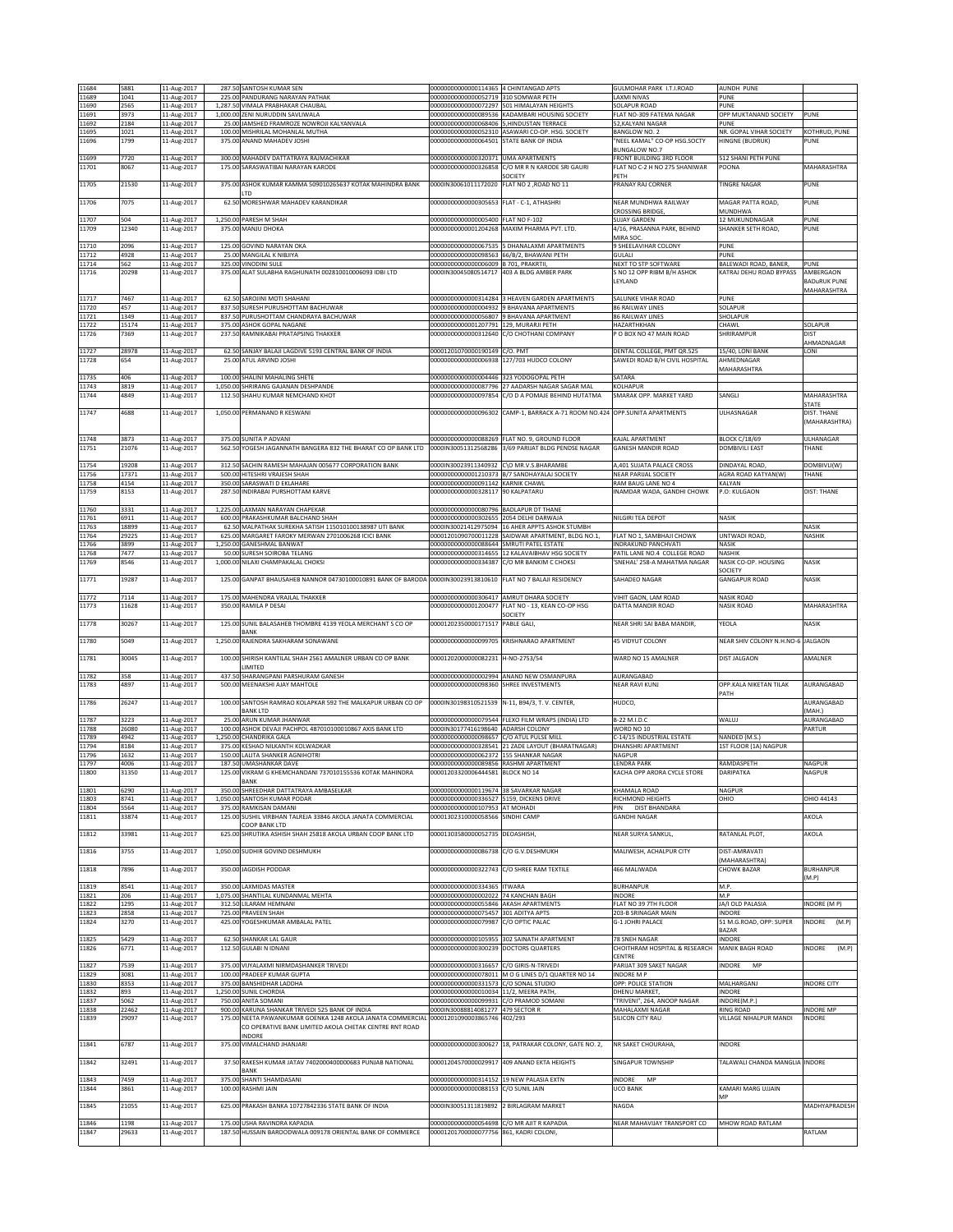| 11684<br>11689 | 5881<br>1041   | 11-Aug-2017<br>11-Aug-2017 | 287.50 SANTOSH KUMAR SEN<br>225.00 PANDURANG NARAYAN PATHAK                                                   | 00000000000000114365 4 CHINTANGAD APTS<br>00000000000000052719 310 SOMWAR PETH |                                                                        | GULMOHAR PARK I.T.I.ROAD<br>LAXMI NIVAS                   | <b>AUNDH PUNE</b><br>PUNE               |                                  |
|----------------|----------------|----------------------------|---------------------------------------------------------------------------------------------------------------|--------------------------------------------------------------------------------|------------------------------------------------------------------------|-----------------------------------------------------------|-----------------------------------------|----------------------------------|
| 11690          | 2565           | 11-Aug-2017                | 1,287.50 VIMALA PRABHAKAR CHAUBAL                                                                             | 00000000000000072297                                                           | 501 HIMALAYAN HEIGHTS                                                  | SOLAPUR ROAD                                              | PUNE                                    |                                  |
| 11691<br>11692 | 3973<br>2184   | 11-Aug-2017<br>11-Aug-2017 | 1,000.00 ZENI NURUDDIN SAVLIWALA<br>25.00 JAMSHED FRAMROZE NOWROJI KALYANVALA                                 | 00000000000000089536<br>00000000000000068406                                   | KADAMBARI HOUSING SOCIETY<br>HINDUSTAN TERRACE                         | FLAT NO-309 FATEMA NAGAR<br>52, KALYANI NAGAR             | OPP MUKTANAND SOCIETY<br>PUNE           | PUNE                             |
| 11695          | 1021           | 11-Aug-2017                | 100.00 MISHRILAL MOHANLAL MUTHA                                                                               |                                                                                | 00000000000000052310 ASAWARI CO-OP. HSG. SOCIETY                       | BANGLOW NO. 2                                             | NR. GOPAL VIHAR SOCIETY                 | KOTHRUD, PUNE                    |
| 11696          | 1799           | 11-Aug-2017                | 375.00 ANAND MAHADEV JOSHI                                                                                    | 00000000000000064501 STATE BANK OF INDIA                                       |                                                                        | "NEEL KAMAL" CO-OP HSG.SOCTY<br>BUNGALOW NO.7             | HINGNE (BUDRUK)                         | PUNE                             |
| 11699<br>11701 | 7720<br>8067   | 11-Aug-2017<br>11-Aug-2017 | 300.00 MAHADEV DATTATRAYA RAJMACHIKAR<br>175.00 SARASWATIBAI NARAYAN KARODE                                   | 00000000000000320371<br>00000000000000326858                                   | <b>UMA APARTMENTS</b><br>C/O MR R N KARODE SRI GAURI                   | FRONT BUILDING 3RD FLOOR<br>FLAT NO C-2 H NO 275 SHANIWAR | 512 SHANI PETH PUNE<br>POONA            | MAHARASHTRA                      |
|                |                |                            |                                                                                                               |                                                                                | SOCIETY                                                                | PETH                                                      |                                         |                                  |
| 11705          | 21530          | 11-Aug-2017                | 375.00 ASHOK KUMAR KAMMA 509010265637 KOTAK MAHINDRA BANK<br>TD.                                              | 0000IN30061011172020 FLAT NO 2, ROAD NO 11                                     |                                                                        | <b>PRANAY RAJ CORNER</b>                                  | <b>TINGRE NAGAR</b>                     | PUNE                             |
| 11706          | 7075           | 11-Aug-2017                | 62.50 MORESHWAR MAHADEV KARANDIKAR                                                                            | 00000000000000305653 FLAT - C-1, ATHASHRI                                      |                                                                        | NEAR MUNDHWA RAILWAY<br>CROSSING BRIDGE                   | MAGAR PATTA ROAD,<br>MUNDHWA            | PUNE                             |
| 11707          | 504            | 11-Aug-2017                | 1,250.00 PARESH M SHAH                                                                                        | 0000000000000005400                                                            | FLAT NO F-102                                                          | <b>SUJAY GARDEN</b>                                       | 12 MUKUNDNAGAR                          | PUNE                             |
| 11709          | 12340          | 11-Aug-2017                | 375.00 MANJU DHOKA                                                                                            | 00000000000001204268                                                           | MAXIM PHARMA PVT. LTD.                                                 | 4/16, PRASANNA PARK, BEHIND<br>MIRA SOC.                  | SHANKER SETH ROAD,                      | PUNE                             |
| 11710          | 2096           | 11-Aug-2017                | 125.00 GOVIND NARAYAN OKA                                                                                     | 00000000000000067535<br>£8280000000000098563                                   | 5 DHANALAXMI APARTMENTS                                                | 9 SHEELAVIHAR COLONY                                      | PUNE                                    |                                  |
| 11712<br>11714 | 4928<br>562    | 11-Aug-2017<br>11-Aug-2017 | 25.00 MANGILAL K NIBJIYA<br>325.00 VINODINI SULE                                                              | 0000000000000006009                                                            | 66/B/2, BHAWANI PETH<br>3701, PRAKRTII,                                | GULALI<br>NEXT TO STP SOFTWARE                            | PUNE<br>BALEWADI ROAD, BANER,           | PUNE                             |
| 11716          | 20298          | 11-Aug-2017                | 375.00 ALAT SULABHA RAGHUNATH 002810010006093 IDBI LTD                                                        | 0000IN30045080514717                                                           | 403 A BLDG AMBER PARK                                                  | S NO 12 OPP RIBM B/H ASHOK<br>LEYLAND                     | KATRAJ DEHU ROAD BYPASS                 | AMBERGAON<br><b>BADURUK PUNE</b> |
|                |                |                            |                                                                                                               |                                                                                |                                                                        |                                                           |                                         | MAHARASHTRA                      |
| 11717<br>11720 | 7467<br>457    | 11-Aug-2017<br>11-Aug-2017 | 62.50 SAROJINI MOTI SHAHANI<br>837.50 SURESH PURUSHOTTAM BACHUWAR                                             | 00000000000000314284<br>00000000000000004932                                   | <b>HEAVEN GARDEN APARTMENTS</b><br><b>BHAVANA APARTMENTS</b>           | SALUNKE VIHAR ROAD<br>86 RAILWAY LINES                    | PUNE<br>SOLAPUR                         |                                  |
| 11721<br>11722 | 1349<br>15174  | 11-Aug-2017<br>11-Aug-2017 | 837.50 PURUSHOTTAM CHANDRAYA BACHUWAR<br>375.00 ASHOK GOPAL NAGANE                                            | 00000000000001207791                                                           | 00000000000000056807 9 BHAVANA APARTMENT<br>129, MURARJI PETH          | 86 RAILWAY LINES<br>HAZARTHKHAN                           | SHOLAPUR<br>CHAWL                       | SOLAPUR                          |
| 11726          | 7369           | 11-Aug-2017                | 237.50 RAMNIKABAI PRATAPSING THAKKER                                                                          | 00000000000000312640                                                           | C/O CHOTHANI COMPANY                                                   | O BOX NO 47 MAIN ROAD                                     | SHRIRAMPUR                              | DIST                             |
| 11727          | 28978          | 11-Aug-2017                | 62.50 SANJAY BALAJI LAGDIVE 5193 CENTRAL BANK OF INDIA                                                        | 00001201070000190149 C/O. PMT                                                  |                                                                        | DENTAL COLLEGE, PMT QR.525                                | 15/40, LONI BANK                        | AHMADNAGAR<br>LONI               |
| 11728          | 654            | 11-Aug-2017                | 25.00 ATUL ARVIND JOSHI                                                                                       | 00000000000000006938                                                           | 127/703 HUDCO COLONY                                                   | SAWEDI ROAD B/H CIVIL HOSPITAL                            | AHMEDNAGAR<br>MAHARASHTRA               |                                  |
| 11735          | 406            | 11-Aug-2017                | 100.00 SHALINI MAHALING SHETE                                                                                 | 00000000000000004446                                                           | 323 YODOGOPAL PETH                                                     | SATARA                                                    |                                         |                                  |
| 11743<br>11744 | 3819<br>4849   | 11-Aug-2017<br>11-Aug-2017 | 1,050.00 SHRIRANG GAJANAN DESHPANDE<br>112.50 SHAHU KUMAR NEMCHAND KHOT                                       | 00000000000000087796<br>00000000000000097854                                   | 27 AADARSH NAGAR SAGAR MAL<br>C/O D A POMAJE BEHIND HUTATMA            | KOLHAPUR<br>SMARAK OPP. MARKET YARD                       | SANGLI                                  | MAHARASHTRA                      |
| 11747          |                |                            |                                                                                                               | 00000000000000096302                                                           | CAMP-1, BARRACK A-71 ROOM NO.424 OPP.SUNITA APARTMENTS                 |                                                           |                                         | <b>STATE</b>                     |
|                | 4688           | 11-Aug-2017                | 1,050.00 PERMANAND R KESWANI                                                                                  |                                                                                |                                                                        |                                                           | ULHASNAGAR                              | DIST. THANE<br>(MAHARASHTRA)     |
| 11748          | 3873           | 11-Aug-2017                | 375.00 SUNITA P ADVANI                                                                                        |                                                                                | 00000000000000088269 FLAT NO. 9. GROUND ELOOR                          | KAJAL APARTMENT                                           | <b>BLOCK C/18/69</b>                    | ULHANAGAR                        |
| 11751          | 21076          | 11-Aug-2017                | 562.50 YOGESH JAGANNATH BANGERA 832 THE BHARAT CO OP BANK LTD                                                 |                                                                                | 0000IN30051312568286 3/69 PARIJAT BLDG PENDSE NAGAR                    | <b>GANESH MANDIR ROAD</b>                                 | DOMBIVILI EAST                          | THANE                            |
| 11754          | 19208          | 11-Aug-2017                | 312.50 SACHIN RAMESH MAHAJAN 005677 CORPORATION BANK                                                          | 0000IN30023911340932                                                           | C\O MR.V.S.BHARAMBE                                                    | A,401 SUJATA PALACE CROSS                                 | DINDAYAL ROAD,                          | DOMBIVLI(W)                      |
| 11756<br>11758 | 17371<br>4154  | 11-Aug-2017<br>11-Aug-2017 | 500.00 HITESHRI VRAIFSH SHAH<br>350.00 SARASWATI D EKLAHARE                                                   | 00000000000001210373<br>00000000000000091142                                   | B/7 SANDHAYALAJ SOCIETY<br>KARNIK CHAWL                                | <b>NEAR PARIJAL SOCIETY</b><br>RAM BAUG LANE NO 4         | AGRA ROAD KATYAN(W)<br><b>CALYAN</b>    | THANE                            |
| 11759          | 8153           | 11-Aug-2017                | 287.50 INDIRABAI PURSHOTTAM KARVE                                                                             | 00000000000000328117                                                           | 90 KALPATARU                                                           | INAMDAR WADA, GANDHI CHOWK                                | P.O: KULGAON                            | <b>DIST: THANE</b>               |
| 11760          | 3331           | 11-Aug-2017                | 1,225.00 LAXMAN NARAYAN CHAPEKAR                                                                              | 000000000000000080796 BADLAPUR DT THANE                                        |                                                                        |                                                           |                                         |                                  |
| 11761<br>11763 | 6911<br>18899  | 11-Aug-2017<br>11-Aug-2017 | 600.00 PRAKASHKUMAR BALCHAND SHAH<br>62.50 MALPATHAK SUREKHA SATISH 115010100138987 UTI BANK                  | 00000000000000302655<br>0000IN30021412975094                                   | 2054 DELHI DARWAJA<br>16 AHER APPTS ASHOK STUMBH                       | <b>NILGIRI TEA DEPOT</b>                                  | NASIK                                   | NASIK                            |
| 11764          | 29225          | 11-Aug-2017                | 625.00 MARGARET FAROKY MERWAN 2701006268 ICICI BANK                                                           |                                                                                | 00001201090700011228 SAIDWAR APARTMENT, BLDG NO.1,                     | FLAT NO 1, SAMBHAJI CHOWK                                 | UNTWADI ROAD,                           | NASHIK                           |
| 11766<br>11768 | 3899<br>7477   | 11-Aug-2017<br>11-Aug-2017 | 1,250.00 GANESHMAL BANWAT<br>50.00 SURESH SOIROBA TELANG                                                      | 00000000000000088644<br>00000000000000314655                                   | SMRUTI PATEL ESTATE<br>12 KALAVAIBHAV HSG SOCIETY                      | INDRAKUND PANCHVATI<br>PATIL LANE NO.4 COLLEGE ROAD       | <b>NASIK</b><br>NASHIK                  |                                  |
| 11769          | 8546           | 11-Aug-2017                | 1,000.00 NILAXI CHAMPAKALAL CHOKSI                                                                            | 00000000000000334387                                                           | C/O MR BANKIM C CHOKSI                                                 | SNEHAL' 258-A MAHATMA NAGAR                               | NASIK CO-OP. HOUSING<br>SOCIETY         | NASIK                            |
| 11771          | 19287          | 11-Aug-2017                | 125.00 GANPAT BHAUSAHEB NANNOR 04730100010891 BANK OF BARODA 0000IN30023913810610                             |                                                                                | FLAT NO 7 BALAJI RESIDENCY                                             | SAHADEO NAGAR                                             | <b>GANGAPUR ROAD</b>                    | <b>NASIK</b>                     |
| 11772          | 7114           | 11-Aug-2017                | 175.00 MAHENDRA VRAJLAL THAKKER                                                                               | 00000000000000306417                                                           | AMRUT DHARA SOCIETY                                                    | VIHIT GAON, LAM ROAD                                      | NASIK ROAD                              |                                  |
| 11773          | 11628          | 11-Aug-2017                | 350.00 RAMILA P DESAI                                                                                         | 00000000000001200477                                                           | FLAT NO - 13, KEAN CO-OP HSG<br>SOCIETY                                | DATTA MANDIR ROAD                                         | <b>NASIK ROAD</b>                       | MAHARASHTRA                      |
| 11778          | 30267          | 11-Aug-2017                | 125.00 SUNIL BALASAHEB THOMBRE 4139 YEOLA MERCHANT S CO OP                                                    | 00001202350000171517                                                           | PABLE GALI.                                                            | VEAR SHRI SAI BABA MANDIR,                                | YEOLA                                   | NASIK                            |
|                |                |                            |                                                                                                               |                                                                                |                                                                        |                                                           |                                         |                                  |
| 11780          | 5049           | 11-Aug-2017                | <b>BANK</b><br>1,250.00 RAJENDRA SAKHARAM SONAWANE                                                            | 00000000000000099705                                                           | KRISHNARAO APARTMENT                                                   | 45 VIDYUT COLONY                                          | NEAR SHIV COLONY N.H.NO-6 JALGAON       |                                  |
|                |                |                            |                                                                                                               |                                                                                |                                                                        |                                                           |                                         |                                  |
| 11781          | 30045          | 11-Aug-2017                | 100.00 SHIRISH KANTILAL SHAH 2561 AMALNER URBAN CO OP BANK<br>LIMITED                                         | 00001202000000082231                                                           | H-NO-2753/54                                                           | WARD NO 15 AMALNER                                        | <b>DIST JALGAON</b>                     | AMALNER                          |
| 11782<br>11783 | 358<br>4897    | 11-Aug-2017                | 437.50 SHARANGPANI PARSHURAM GANESH<br>500.00 MEENAKSHI AJAY MAHTOLE                                          | 00000000000000098360                                                           | 00000000000000002994 ANAND NEW OSMANPURA<br>SHREE INVESTMENTS          | AURANGABAD<br>NEAR RAVI KUNJ                              | OPP.KALA NIKETAN TILAK                  | AURANGABAD                       |
|                |                | 11-Aug-2017                |                                                                                                               |                                                                                |                                                                        |                                                           | PATH                                    |                                  |
| 11786          | 26247          | 11-Aug-2017                | 100.00 SANTOSH RAMRAO KOLAPKAR 592 THE MALKAPUR URBAN CO OP<br>BANK LTD                                       | 0000IN30198310521539                                                           | N-11, B94/3, T. V. CENTER,                                             | HUDCO,                                                    |                                         | AURANGABAD<br>(MAH.)             |
| 11787<br>11788 | 3223<br>26080  | 11-Aug-2017                | 25.00 ARUN KUMAR JHANWAR<br>100.00 ASHOK DEVAJI PACHPOL 487010100010867 AXIS BANK LTD                         | 0000IN30177416198640 ADARSH COLONY                                             | 00000000000000079544 FLEXO FILM WRAPS (INDIA) LTD                      | B-22 M.I.D.C<br>WORD NO 10                                | WALUJ                                   | AURANGABAD<br>PARTUR             |
| 11789          | 4942           | 11-Aug-2017<br>11-Aug-2017 | 1,250.00 CHANDRIKA GALA                                                                                       | 0000000000000098657                                                            | C/O ATUL PULSE MILL                                                    | C-14/15 INDUSTRIAL ESTATE                                 | NANDED (M.S.)                           |                                  |
| 11794<br>11796 | 8184<br>1632   | 11-Aug-2017<br>11-Aug-2017 | 375.00 KESHAO NILKANTH KOLWADKAR<br>150.00 LALITA SHANKER AGNIHOTRI                                           | 00000000000000328541<br>00000000000000062372 155 SHANKAR NAGAR                 | 21 ZADE LAYOUT (BHARATNAGAR)                                           | DHANSHRI APARTMENT<br>NAGPUR                              | 1ST FLOOR (1A) NAGPUR                   |                                  |
| 11797<br>11800 | 4006           | 11-Aug-2017                | 187.50 UMASHANKAR DAVE                                                                                        | 000000000000000089856 RASHMI APARTMENT                                         |                                                                        | LENDRA PARK                                               | RAMDASPETH<br><b>DARIPATKA</b>          | NAGPUR<br>NAGPUR                 |
|                | 31350          | 11-Aug-2017                | 125.00 VIKRAM G KHEMCHANDANI 737010155536 KOTAK MAHINDRA<br>BANK                                              | 00001203320006444581 BLOCK NO 14                                               |                                                                        | <b>KACHA OPP ARORA CYCLE STORE</b>                        |                                         |                                  |
| 11801<br>11803 | 6290<br>8741   | 11-Aug-2017<br>11-Aug-2017 | 350.00 SHREEDHAR DATTATRAYA AMBASELKAR<br>1,050.00 SANTOSH KUMAR PODAR                                        | 00000000000000119674<br>00000000000000336527                                   | 38 SAVARKAR NAGAR<br>5159, DICKENS DRIVE                               | KHAMALA ROAD<br>RICHMOND HEIGHTS                          | NAGPUR<br>OHIO                          | OHIO 44143                       |
| 11804<br>11811 | 5564<br>33874  | 11-Aug-2017<br>11-Aug-2017 | 375.00 RAMKISAN DAMANI<br>125.00 SUSHIL VIRBHAN TALREJA 33846 AKOLA JANATA COMMERCIAL                         | 00000000000000107953<br>00001302310000058566                                   | AT MOHADI<br>SINDHI CAMP                                               | <b>DIST BHANDARA</b><br>PIN<br><b>GANDHI NAGAR</b>        |                                         | AKOLA                            |
|                |                |                            | COOP BANK LTD                                                                                                 |                                                                                |                                                                        |                                                           |                                         |                                  |
| 11812          | 33981          | 11-Aug-2017                | 625.00 SHRUTIKA ASHISH SHAH 25818 AKOLA URBAN COOP BANK LTD                                                   | 00001303580000052735                                                           | DEOASHISH,                                                             | NEAR SURYA SANKUL,                                        | RATANLAL PLOT,                          | AKOLA                            |
| 11816          | 3755           | 11-Aug-2017                | 1,050.00 SUDHIR GOVIND DESHMUKH                                                                               | 00000000000000086738                                                           | C/O G.V.DESHMUKH                                                       | MALIWESH, ACHALPUR CITY                                   | DIST-AMRAVATI<br>(MAHARASHTRA)          |                                  |
| 11818          | 7896           | 11-Aug-2017                | 350.00 JAGDISH PODDAR                                                                                         | 00000000000000322743                                                           | C/O SHREE RAM TEXTILE                                                  | 466 MALIWADA                                              | <b>CHOWK BAZAR</b>                      | <b>BURHANPUR</b>                 |
| 11819          | 8541           | 11-Aug-2017                | 350.00 LAXMIDAS MASTER                                                                                        | 00000000000000334365 TWARA                                                     |                                                                        | <b>BURHANPUR</b>                                          | M.P.                                    | M.P                              |
| 11821<br>11822 | 206<br>1295    | 11-Aug-2017<br>11-Aug-2017 | 1,075.00 SHANTILAL KUNDANMAL MEHTA<br>312.50 LILARAM HEMNANI                                                  | 00000000000000002022 74 KANCHAN BAGH<br>00000000000000055846                   | <b>AKASH APARTMENTS</b>                                                | <b>INDORE</b><br>FLAT NO 39 7TH FLOOR                     | M.P<br>JA/I OLD PALASIA                 | INDORE (M P)                     |
| 11823          | 2858           | 11-Aug-2017                | 725.00 PRAVEEN SHAH                                                                                           | 00000000000000075457                                                           | 301 ADITYA APTS                                                        | 203-B SRINAGAR MAIN                                       | INDORE                                  |                                  |
| 11824          | 3270           | 11-Aug-2017                | 425.00 YOGESHKUMAR AMBALAL PATEL                                                                              | 00000000000000079987                                                           | C/O OPTIC PALAC                                                        | G-1 JOHRI PALACE                                          | 51 M.G.ROAD, OPP: SUPER<br>BAZAR        | (M.P)<br>INDORE                  |
| 11825          | 5429<br>6771   | 11-Aug-2017                | 62.50 SHANKAR LAL GAUR<br>112.50 GULABI N IDNANI                                                              | 00000000000000300239                                                           | 000000000000000105955 302 SAINATH APARTMENT<br><b>DOCTORS QUARTERS</b> | 78 SNEH NAGAR<br>CHOITHRAM HOSPITAL & RESEARCH            | <b>INDORE</b><br><b>MANIK BAGH ROAD</b> | INDORE<br>(M.P)                  |
| 11826          |                | 11-Aug-2017                |                                                                                                               |                                                                                |                                                                        | CENTRE                                                    |                                         |                                  |
| 11827<br>11829 | 7539<br>3081   | 11-Aug-2017<br>11-Aug-2017 | 375.00 VIJYALAXMI NIRMDASHANKER TRIVEDI<br>100.00 PRADEEP KUMAR GUPTA                                         | 00000000000000316657 C/O GIRIS-N-TRIVEDI                                       | 00000000000000078011 M O G LINES D/1 QUARTER NO 14                     | PARIJAT 309 SAKET NAGAR<br><b>INDORE M P</b>              | INDORE<br>MP                            |                                  |
| 11830<br>11832 | 8353<br>893    | 11-Aug-2017                | 375.00 BANSHIDHAR LADDHA<br>1,250.00 SUNIL CHORDIA                                                            | 00000000000000331573<br>00000000000000010034                                   | C/O SONAL STUDIO<br>11/2, MEERA PATH,                                  | OPP: POLICE STATION<br>DHENU MARKET,                      | MALHARGANJ<br>INDORE                    | <b>INDORE CITY</b>               |
| 11837          | 5062           | 11-Aug-2017<br>11-Aug-2017 | 750.00 ANITA SOMANI                                                                                           | 00000000000000099931                                                           | /O PRAMOD SOMANI                                                       | 'TRIVENI", 264, ANOOP NAGAR                               | INDORE(M.P.)                            |                                  |
| 11838<br>11839 | 22462<br>29097 | 11-Aug-2017<br>11-Aug-2017 | 900.00 KARUNA SHANKAR TRIVEDI 525 BANK OF INDIA<br>175.00 NEETA PAWANKUMAR GOENKA 1248 AKOLA JANATA COMMERCIA | 0000IN30088814081277 479 SECTOR R<br>00001201090003865746                      | 402/293                                                                | MAHALAXMI NAGAR<br>SILICON CITY RAU                       | RING ROAD<br>VILLAGE NIHALPUR MANDI     | <b>INDORE MP</b><br>INDORE       |
|                |                |                            | CO OPERATIVE BANK LIMITED AKOLA CHETAK CENTRE RNT ROAD<br><b>INDORE</b>                                       |                                                                                |                                                                        |                                                           |                                         |                                  |
| 11841          | 6787           | 11-Aug-2017                | 375.00 VIMALCHAND JHANJARI                                                                                    | 00000000000000300627                                                           | 18, PATRAKAR COLONY, GATE NO. 2,                                       | NR SAKET CHOURAHA,                                        | INDORE                                  |                                  |
| 11842          | 32491          | 11-Aug-2017                | 37.50 RAKESH KUMAR JATAV 7402000400000683 PUNJAB NATIONAL                                                     | 00001204570000029917                                                           | 409 ANAND EKTA HEIGHTS                                                 | <b>SINGAPUR TOWNSHIP</b>                                  | TALAWALI CHANDA MANGLIA INDORE          |                                  |
|                |                |                            | <b>BANK</b>                                                                                                   |                                                                                |                                                                        |                                                           |                                         |                                  |
| 11843<br>11844 | 7459<br>3861   | 11-Aug-2017<br>11-Aug-2017 | 375.00 SHANTI SHAMDASANI<br>100.00 RASHMI JAIN                                                                | 00000000000000314152 19 NEW PALASIA EXTN<br>00000000000000088153               | C/O SUNIL JAIN                                                         | INDORE<br>MP<br><b>UCO BANK</b>                           | KAMARI MARG UJJAIN                      |                                  |
| 11845          | 21055          | 11-Aug-2017                | 625.00 PRAKASH BANKA 10727842336 STATE BANK OF INDIA                                                          | 0000IN30051311819892                                                           | 2 BIRLAGRAM MARKET                                                     | NAGDA                                                     | MP                                      | MADHYAPRADESH                    |
|                |                |                            |                                                                                                               |                                                                                |                                                                        |                                                           |                                         |                                  |
| 11846<br>11847 | 1198<br>29633  | 11-Aug-2017<br>11-Aug-2017 | 175.00 USHA RAVINDRA KAPADIA<br>187.50 HUSSAIN BAROODWALA 009178 ORIENTAL BANK OF COMMERCE                    | 00000000000000054698<br>00001201700000077756                                   | C/O MR AJIT R KAPADIA<br>861, KADRI COLONI,                            | NEAR MAHAVIJAY TRANSPORT CO                               | MHOW ROAD RATLAM                        | RATLAM                           |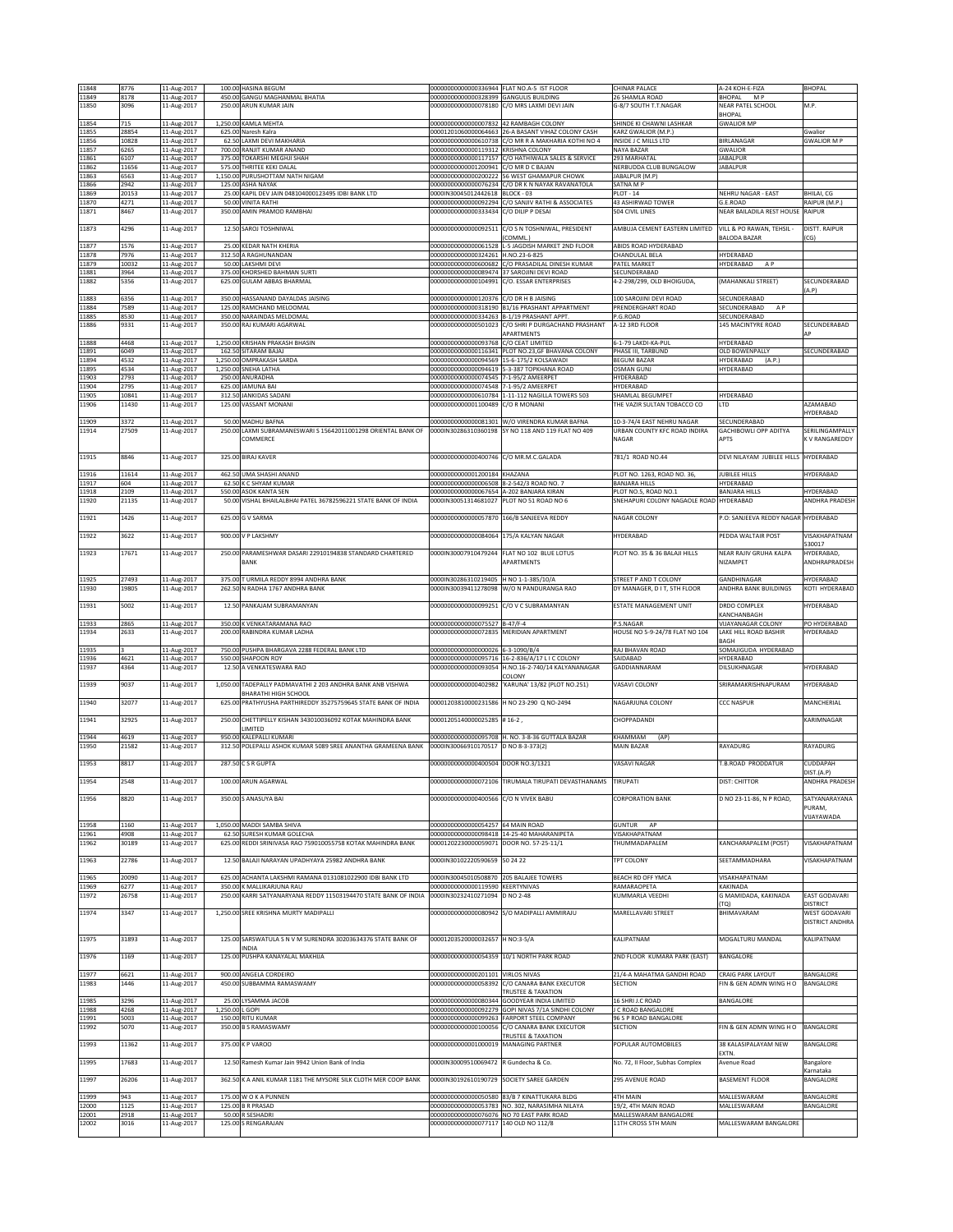| 11848<br>11849 | 8776<br>8178   | 11-Aug-2017<br>11-Aug-2017 |                  | 100.00 HASINA BEGUM<br>450.00 GANGU MAGHANMAL BHATIA                           | 00000000000000336944 FLAT NO.A-5 IST FLOOR<br>00000000000000328399 GANGULIS BUILDING |                                                                                              | CHINAR PALACE<br>26 SHAMLA ROAD                       | A-24 KOH-E-FIZA<br>BHOPAL MP                   | BHOPAL                                          |
|----------------|----------------|----------------------------|------------------|--------------------------------------------------------------------------------|--------------------------------------------------------------------------------------|----------------------------------------------------------------------------------------------|-------------------------------------------------------|------------------------------------------------|-------------------------------------------------|
| 11850          | 3096           | 11-Aug-2017                |                  | 250.00 ARUN KUMAR JAIN                                                         |                                                                                      | 00000000000000078180 C/O MRS LAXMI DEVI JAIN                                                 | G-8/7 SOUTH T.T.NAGAR                                 | NEAR PATEL SCHOOL                              | M.P.                                            |
| 11854          | 715            | 11-Aug-2017                |                  | 1,250.00 KAMLA MEHTA                                                           | 00000000000000007832 42 RAMBAGH COLONY                                               |                                                                                              | SHINDE KI CHAWNI LASHKAR                              | <b>BHOPAL</b><br><b>GWALIOR MP</b>             |                                                 |
| 11855          | 28854          | 11-Aug-2017                |                  | 625.00 Naresh Kalra                                                            |                                                                                      | 00001201060000064663 26-A BASANT VIHAZ COLONY CASH                                           | KARZ GWALIOR (M.P.)                                   |                                                | Gwalior                                         |
| 11856<br>11857 | 10828<br>6265  | 11-Aug-2017<br>11-Aug-2017 | 62.50<br>700.00  | LAXMI DEVI MAKHARIA<br>RANJIT KUMAR ANAND                                      | 00000000000000119312 KRISHNA COLONY                                                  | 00000000000000610738 C/O MR R A MAKHARIA KOTHI NO 4                                          | INSIDE J C MILLS LTD<br>NAYA BAZAR                    | BIRLANAGAR<br><b>GWALIOR</b>                   | <b>GWALIOR M P</b>                              |
| 11861          | 6107           | 11-Aug-2017                |                  | 375.00 TOKARSHI MEGHJI SHAH<br>575.00 THRITEE KEKI DALAL                       | 00000000000001200941 C/O MR D C BAJAN                                                | 00000000000000117157 C/O HATHIWALA SALES & SERVICE                                           | 293 MARHATAL                                          | <b>JABALPUR</b>                                |                                                 |
| 11862<br>11863 | 11656<br>6563  | 11-Aug-2017<br>11-Aug-2017 |                  | 1,150.00 PURUSHOTTAM NATH NIGAM                                                |                                                                                      | 000000000000000200222 56 WEST GHAMAPUR CHOWK                                                 | NERBUDDA CLUB BUNGALOW<br>JABALPUR (M.P)              | <b>JABALPUR</b>                                |                                                 |
| 11866<br>11869 | 2942<br>20153  | 11-Aug-2017<br>11-Aug-2017 | 125.00<br>25.00  | ASHA NAYAK<br>KAPIL DEV JAIN 048104000123495 IDBI BANK LTD                     | 0000IN30045012442618 BLOCK - 03                                                      | 00000000000000076234 C/O DR K N NAYAK RAVANATOLA                                             | <b>SATNA M P</b><br>PLOT - 14                         | <b>JEHRU NAGAR - EAST</b>                      | BHILAI, CG                                      |
| 11870          | 4271           | 11-Aug-2017                |                  | 50.00 VINITA RATHI                                                             |                                                                                      | 00000000000000092294 C/O SANJIV RATHI & ASSOCIATES                                           | 43 ASHIRWAD TOWER                                     | G.E.ROAD                                       | RAIPUR (M.P.)                                   |
| 11871          | 8467           | 11-Aug-2017                | 350.00           | AMIN PRAMOD RAMBHAI                                                            | 00000000000000333434                                                                 | C/O DILIP P DESAI                                                                            | 504 CIVIL LINES                                       | <b>NEAR BAILADILA REST HOUSE</b>               | RAIPUR                                          |
| 11873          | 4296           | 11-Aug-2017                |                  | 12.50 SAROJ TOSHNIWAL                                                          | 00000000000000092511                                                                 | C/O S N TOSHNIWAL, PRESIDENT                                                                 | AMBUJA CEMENT EASTERN LIMITED                         | VILL & PO RAWAN, TEHSIL -                      | DISTT. RAIPUR                                   |
| 11877          | 1576           | 11-Aug-2017                |                  | 25.00 KEDAR NATH KHERIA                                                        |                                                                                      | (COMML.)<br>00000000000000061528 L-5 JAGDISH MARKET 2ND FLOOR                                | ABIDS ROAD HYDERABAD                                  | <b>BALODA BAZAR</b>                            | CG)                                             |
| 11878          | 7976           | 11-Aug-2017<br>11-Aug-2017 | 50.00            | 312.50 A RAGHUNANDAN<br>LAKSHMI DEVI                                           | 00000000000000324261 H.NO.23-6-825<br>0000000000000600682                            | C/O PRASADILAL DINESH KUMAR                                                                  | CHANDULAL BELA<br>PATEL MARKET                        | <b>IYDERABAD</b><br><b>IYDERABAD</b>           |                                                 |
| 11879<br>11881 | 10032<br>3964  | 11-Aug-2017                |                  | 375.00 KHORSHED BAHMAN SURTI                                                   |                                                                                      | 000000000000000089474 37 SAROJINI DEVI ROAD                                                  | SECUNDERABAD                                          | A P                                            |                                                 |
| 11882          | 5356           | 11-Aug-2017                |                  | 625.00 GULAM ABBAS BHARMAL                                                     |                                                                                      | 000000000000000104991 C/O. ESSAR ENTERPRISES                                                 | 4-2-298/299, OLD BHOIGUDA,                            | MAHANKALI STREET)                              | SECUNDERABAD<br>(A.P)                           |
| 11883          | 6356           | 11-Aug-2017                |                  | 350.00 HASSANAND DAYALDAS JAISING                                              | 00000000000000120376 C/O DR H B JAISING                                              |                                                                                              | 100 SAROJINI DEVI ROAD                                | SECUNDERABAD                                   |                                                 |
| 11884<br>11885 | 7589<br>8530   | 11-Aug-2017<br>11-Aug-2017 |                  | 125.00 RAMCHAND MELOOMAL<br>350.00 NARAINDAS MELDOMAL                          |                                                                                      | 00000000000000318190 B1/16 PRASHANT APPARTMENT<br>00000000000000334263 B-1/19 PRASHANT APPT. | PRENDERGHART ROAD<br>P.G.ROAD                         | SECUNDERABAD<br>A <sub>P</sub><br>SECUNDERABAD |                                                 |
| 11886          | 9331           | 11-Aug-2017                |                  | 350.00 RAJ KUMARI AGARWAL                                                      |                                                                                      | 00000000000000501023 C/O SHRI P DURGACHAND PRASHANT                                          | A-12 3RD FLOOR                                        | 145 MACINTYRE ROAD                             | SECUNDERABAD                                    |
| 11888          | 4468           | 11-Aug-2017                |                  | 1,250.00 KRISHAN PRAKASH BHASIN                                                | 00000000000000093768 C/O CEAT LIMITED                                                | APARTMENTS                                                                                   | 5-1-79 LAKDI-KA-PUL                                   | HYDERABAD                                      | AР                                              |
| 11891          | 6049           | 11-Aug-2017                |                  | 162.50 SITARAM BAJAJ                                                           |                                                                                      | 000000000000000116341 PLOT NO.23,GF BHAVANA COLONY                                           | PHASE III, TARBUND                                    | OLD BOWENPALLY                                 | SECUNDERABAD                                    |
| 11894<br>11895 | 4532<br>4534   | 11-Aug-2017<br>11-Aug-2017 |                  | 1,250.00 OMPRAKASH SARDA<br>1,250.00 SNEHA LATHA                               | 00000000000000094569 15-6-175/2 KOLSAWADI                                            | 00000000000000094619 5-3-387 TOPKHANA ROAD                                                   | BEGUM BAZAR<br>OSMAN GUNJ                             | <b>HYDERABAD</b><br>(A.P.)<br>HYDERABAD        |                                                 |
| 11903<br>11904 | 2793<br>2795   | 11-Aug-2017<br>11-Aug-2017 |                  | 250.00 ANURADHA<br>625.00 JAMUNA BAI                                           | 00000000000000074545 7-1-95/2 AMEERPET<br>00000000000000074548 7-1-95/2 AMEERPET     |                                                                                              | HYDERABAD<br>HYDERABAD                                |                                                |                                                 |
| 11905          | 10841          | 11-Aug-2017                |                  | 312.50 JANKIDAS SADANI                                                         |                                                                                      | 00000000000000610784 1-11-112 NAGILLA TOWERS 503                                             | SHAMLAL BEGUMPET                                      | HYDERABAD                                      |                                                 |
| 11906          | 11430          | 11-Aug-2017                |                  | 125.00 VASSANT MONANI                                                          | 00000000000001100489                                                                 | C/O R MONANI                                                                                 | THE VAZIR SULTAN TOBACCO CO                           | LTD                                            | AZAMABAD<br>HYDERABAD                           |
| 11909          | 3372           | 11-Aug-2017                |                  | 50.00 MADHU BAFNA                                                              |                                                                                      | 00000000000000081301 W/O VIRENDRA KUMAR BAFNA                                                | 10-3-74/4 EAST NEHRU NAGAR                            | SECUNDERABAD                                   |                                                 |
| 11914          | 27509          | 11-Aug-2017                |                  | 250.00 LAXMI SUBRAMANESWARI S 15642011001298 ORIENTAL BANK OF<br>COMMERCE      |                                                                                      | 0000IN30286310360198 SY NO 118 AND 119 FLAT NO 409                                           | URBAN COUNTY KFC ROAD INDIRA<br>NAGAR                 | GACHIBOWLI OPP ADITYA<br>APTS                  | <b>SERILINGAMPALLY</b><br><b>K V RANGAREDDY</b> |
|                |                |                            |                  |                                                                                |                                                                                      |                                                                                              | 781/1 ROAD NO.44                                      |                                                |                                                 |
| 11915          | 8846           | 11-Aug-2017                |                  | 325.00 BIRAJ KAVER                                                             | 00000000000000400746 C/O MR.M.C.GALADA                                               |                                                                                              |                                                       | DEVI NILAYAM JUBILEE HILLS HYDERABAD           |                                                 |
| 11916<br>11917 | 11614<br>604   | 11-Aug-2017<br>11-Aug-2017 | 462.50<br>62.50  | UMA SHASHI ANAND<br><b>C SHYAM KUMAR</b>                                       | 00000000000001200184 KHAZANA<br>00000000000000006508                                 | 8-2-542/3 ROAD NO. 7                                                                         | PLOT NO. 1263, ROAD NO. 36,<br>BANJARA HILLS          | JUBILEE HILLS<br><b>IYDERABAD</b>              | HYDERABAD                                       |
| 11918          | 2109           | 11-Aug-2017                | 550.00           | <b>ASOK KANTA SEN</b>                                                          | 00000000000000067654 A-202 BANJARA KIRAN                                             |                                                                                              | PLOT NO.5, ROAD NO.1                                  | <b>BANJARA HILLS</b>                           | HYDERABAD                                       |
| 11920          | 21135          | 11-Aug-2017                | 50.00            | VISHAL BHAILALBHAI PATEL 36782596221 STATE BANK OF INDIA                       | 0000IN30051314681027                                                                 | PLOT NO 51 ROAD NO 6                                                                         | SNEHAPURI COLONY NAGAOLE ROAD                         | <b>HYDERABAD</b>                               | ANDHRA PRADESH                                  |
| 11921          | 1426           | 11-Aug-2017                |                  | 625.00 G V SARMA                                                               | 00000000000000057870                                                                 | 166/B SANJEEVA REDDY                                                                         | NAGAR COLONY                                          | .O: SANJEEVA REDDY NAGAR HYDERABAD             |                                                 |
| 11922          | 3622           | 11-Aug-2017                |                  | 900.00 V P LAKSHMY                                                             | 00000000000000084064 175/A KALYAN NAGAR                                              |                                                                                              | HYDERABAD                                             | PEDDA WALTAIR POST                             | VISAKHAPATNAM                                   |
|                |                |                            |                  |                                                                                |                                                                                      |                                                                                              |                                                       |                                                | 530017                                          |
| 11923          | 17671          | 11-Aug-2017                | 250.00           | PARAMESHWAR DASARI 22910194838 STANDARD CHARTERED<br><b>BANK</b>               | 0000IN30007910479244                                                                 | FLAT NO 102 BLUE LOTUS<br>APARTMENTS                                                         | PLOT NO. 35 & 36 BALAJI HILLS                         | NEAR RAJIV GRUHA KALPA<br>NIZAMPET             | HYDERABAD,<br>ANDHRAPRADESH                     |
|                |                |                            |                  |                                                                                |                                                                                      |                                                                                              |                                                       |                                                |                                                 |
| 11925<br>11930 | 27493<br>19805 | 11-Aug-2017<br>11-Aug-2017 | 262.50           | 375.00 T URMILA REDDY 8994 ANDHRA BANK<br>N RADHA 1767 ANDHRA BANK             | 0000IN30286310219405 H NO 1-1-385/10/A<br>0000IN30039411278098                       | W/O N PANDURANGA RAO                                                                         | STREET P AND T COLONY<br>DY MANAGER, D I T, 5TH FLOOR | GANDHINAGAR<br>ANDHRA BANK BUILDINGS           | HYDERABAD<br>KOTI HYDERABAD                     |
|                |                |                            |                  |                                                                                |                                                                                      |                                                                                              |                                                       |                                                |                                                 |
| 11931          | 5002           | 11-Aug-2017                |                  | 12.50 PANKAJAM SUBRAMANYAN                                                     |                                                                                      | 00000000000000099251 C/O V C SUBRAMANYAN                                                     | ESTATE MANAGEMENT UNIT                                | <b>DRDO COMPLEX</b><br>KANCHANBAGH             | HYDERABAD                                       |
| 11933<br>11934 | 2865<br>2633   | 11-Aug-2017<br>11-Aug-2017 | 350.00<br>200.00 | <b>KVENKATARAMANA RAO</b><br>RABINDRA KUMAR LADHA                              | 00000000000000075527 B-47/F-4<br>0000000000000072835                                 | <b>MERIDIAN APARTMENT</b>                                                                    | .S.NAGAR<br><b>IOUSE NO 5-9-24/78 FLAT NO 104</b>     | VIJAYANAGAR COLONY<br>LAKE HILL ROAD BASHIR    | PO HYDERABAD<br>HYDERABAD                       |
|                |                |                            |                  |                                                                                |                                                                                      |                                                                                              |                                                       | <b>BAGH</b>                                    |                                                 |
| 11935<br>11936 | 4621           | 11-Aug-2017<br>11-Aug-2017 |                  | 750.00 PUSHPA BHARGAVA 2288 FEDERAL BANK LTD<br>550.00 SHAPOON ROY             | 00000000000000000026 6-3-1090/B/4                                                    | 00000000000000095716 16-2-836/A/17 L I C COLONY                                              | RAJ BHAVAN ROAD<br>SAIDABAD                           | SOMAJIGUDA HYDERABAD<br>HYDERABAD              |                                                 |
| 11937          | 4364           | 11-Aug-2017                | 12.50            | A VENKATESWARA RAO                                                             |                                                                                      | 00000000000000093054 H.NO.16-2-740/14 KALYANANAGAR                                           | GADDIANNARAM                                          | DILSUKHNAGAR                                   | HYDERABAD                                       |
| 11939          | 9037           | 11-Aug-2017                | 1,050.00         | TADEPALLY PADMAVATHI 2 203 ANDHRA BANK ANB VISHWA                              | 00000000000000402982                                                                 | COLONY<br>'KARUNA' 13/82 (PLOT NO.251)                                                       | VASAVI COLONY                                         | SRIRAMAKRISHNAPURAM                            | HYDERABAD                                       |
| 11940          | 32077          |                            | 625.00           | BHARATHI HIGH SCHOOL<br>PRATHYUSHA PARTHIREDDY 35275759645 STATE BANK OF INDIA |                                                                                      | 00001203810000231586 H NO 23-290 Q NO-2494                                                   | NAGARJUNA COLONY                                      | <b>CCC NASPUR</b>                              |                                                 |
|                |                | 11-Aug-2017                |                  |                                                                                |                                                                                      |                                                                                              |                                                       |                                                | MANCHERIAL                                      |
| 11941          | 32925          | 11-Aug-2017                |                  | 250.00 CHETTIPELLY KISHAN 343010036092 KOTAK MAHINDRA BANK<br>LIMITED          | 00001205140000025285 #16-2,                                                          |                                                                                              | CHOPPADANDI                                           |                                                | KARIMNAGAR                                      |
| 11944          | 4619           | 11-Aug-2017                | 950.0            | KALEPALLI KUMARI                                                               |                                                                                      | 00000000000000095708 H. NO. 3-8-36 GUTTALA BAZAR                                             | KHAMMAM<br>(AP)                                       |                                                |                                                 |
| 11950          | 21582          | 11-Aug-2017                | 312.50           | POLEPALLI ASHOK KUMAR 5089 SREE ANANTHA GRAMEENA BANK                          | 0000IN30066910170517                                                                 | D NO 8-3-373(2)                                                                              | MAIN BAZAR                                            | RAYADURG                                       | RAYADURG                                        |
| 11953          | 8817           | 11-Aug-2017                |                  | 287.50 C S R GUPTA                                                             | 00000000000000400504 DOOR NO.3/1321                                                  |                                                                                              | VASAVI NAGAR                                          | T.B.ROAD PRODDATUR                             | CUDDAPAH                                        |
| 11954          | 2548           | .1-Aug-2017                | 100.00           | ARUN AGARWAL                                                                   | 10000000000000072106                                                                 | TIKUMALA TIKUPATI DEVASTHANAMS                                                               | IKUPAII                                               | DIST: CHITTOR                                  | DIST.(A.P)<br>ANDHKA PKADESH                    |
|                |                |                            |                  |                                                                                |                                                                                      |                                                                                              |                                                       |                                                |                                                 |
| 11956          | 8820           | 11-Aug-2017                |                  | 350.00 S ANASUYA BAI                                                           | 00000000000000400566 C/O N VIVEK BABU                                                |                                                                                              | <b>CORPORATION BANK</b>                               | D NO 23-11-86, N P ROAD,                       | SATYANARAYANA<br>PURAM.                         |
|                |                |                            |                  | 1,050.00 MADDI SAMBA SHIVA                                                     | 00000000000000054257 64 MAIN ROAD                                                    |                                                                                              | AP                                                    |                                                | VIJAYAWADA                                      |
| 11958<br>11961 | 1160<br>4908   | 11-Aug-2017<br>11-Aug-2017 |                  | 62.50 SURESH KUMAR GOLECHA                                                     |                                                                                      | 00000000000000098418 14-25-40 MAHARANIPETA                                                   | <b>GUNTUR</b><br><b>VISAKHAPATNAM</b>                 |                                                |                                                 |
| 11962          | 30189          | 11-Aug-2017                |                  | 625.00 REDDI SRINIVASA RAO 759010055758 KOTAK MAHINDRA BANK                    | 00001202230000059071 DOOR NO. 57-25-11/1                                             |                                                                                              | HUMMADAPALEM                                          | KANCHARAPALEM (POST)                           | VISAKHAPATNAM                                   |
| 11963          | 22786          | 11-Aug-2017                |                  | 12.50 BALAJI NARAYAN UPADHYAYA 25982 ANDHRA BANK                               | 0000IN30102220590659 50 24 22                                                        |                                                                                              | <b>TPT COLONY</b>                                     | SEETAMMADHARA                                  | VISAKHAPATNAM                                   |
| 11965          | 20090          | 11-Aug-2017                | 625.00           | ACHANTA LAKSHMI RAMANA 0131081022900 IDBI BANK LTD                             | 0000IN30045010508870 205 BALAJEE TOWERS                                              |                                                                                              | BEACH RD OFF YMCA                                     | VISAKHAPATNAM                                  |                                                 |
| 11969          | 6277           | 11-Aug-2017                |                  | 350.00 K MALLIKARJUNA RAU                                                      | 00000000000000119590 KEERTYNIVAS                                                     |                                                                                              | RAMARAOPETA                                           | KAKINADA                                       |                                                 |
| 11972          | 26758          | 11-Aug-2017                |                  | 250.00 KARRI SATYANARYANA REDDY 11503194470 STATE BANK OF INDIA                | 0000IN30232410271094 D NO 2-48                                                       |                                                                                              | KUMMARLA VEEDHI                                       | G MAMIDADA, KAKINADA<br>TQ)                    | EAST GODAVARI<br>DISTRICT                       |
| 11974          | 3347           | 11-Aug-2017                |                  | 1,250.00 SREE KRISHNA MURTY MADIPALLI                                          |                                                                                      | 000000000000000080942 S/O MADIPALLI AMMIRAJU                                                 | MARELLAVARI STREET                                    | BHIMAVARAM                                     | WEST GODAVARI                                   |
|                |                |                            |                  |                                                                                |                                                                                      |                                                                                              |                                                       |                                                | <b>DISTRICT ANDHRA</b>                          |
| 11975          | 31893          | 11-Aug-2017                |                  | 125.00 SARSWATULA S N V M SURENDRA 30203634376 STATE BANK OF<br>INDIA          | 00001203520000032657 H NO:3-5/A                                                      |                                                                                              | KALIPATNAM                                            | MOGALTURU MANDAL                               | KALIPATNAM                                      |
| 11976          | 1169           | 11-Aug-2017                | 125.00           | PUSHPA KANAYALAL MAKHIJA                                                       | 00000000000000054359                                                                 | 10/1 NORTH PARK ROAD                                                                         | 2ND FLOOR KUMARA PARK (EAST)                          | <b>BANGALORE</b>                               |                                                 |
| 11977          | 6621           | 11-Aug-2017                |                  | 900.00 ANGELA CORDEIRO                                                         | 00000000000000201101 VIRLOS NIVAS                                                    |                                                                                              | 21/4-A MAHATMA GANDHI ROAD                            | <b>CRAIG PARK LAYOUT</b>                       | BANGALORE                                       |
| 11983          | 1446           | 11-Aug-2017                |                  | 450.00 SUBBAMMA RAMASWAMY                                                      |                                                                                      | 00000000000000058392 C/O CANARA BANK EXECUTOR                                                | SECTION                                               | FIN & GEN ADMN WING HO                         | BANGALORE                                       |
| 11985          | 3296           | 11-Aug-2017                |                  | 25.00 LYSAMMA JACOB                                                            |                                                                                      | TRUSTEE & TAXATION<br>000000000000000080344 GOODYEAR INDIA LIMITED                           | 16 SHRI J.C ROAD                                      | BANGALORE                                      |                                                 |
| 11988          | 4268           | 11-Aug-2017                | 1,250.00 L GOPI  |                                                                                |                                                                                      | 00000000000000092279 GOPI NIVAS 7/1A SINDHI COLONY                                           | J C ROAD BANGALORE                                    |                                                |                                                 |
| 11991<br>11992 | 5003<br>5070   | 11-Aug-2017<br>11-Aug-2017 |                  | 150.00 RITU KUMAR<br>350.00 B S RAMASWAMY                                      | 00000000000000100056                                                                 | 00000000000000099263 FARPORT STEEL COMPANY<br>C/O CANARA BANK EXECUTOR                       | 96 S P ROAD BANGALORE<br>SECTION                      | FIN & GEN ADMN WING HO                         | BANGALORE                                       |
|                |                |                            |                  |                                                                                |                                                                                      | TRUSTEE & TAXATION                                                                           |                                                       |                                                |                                                 |
| 11993          | 11362          | 11-Aug-2017                |                  | 375.00 K P VAROO                                                               | 000000000000001000019 MANAGING PARTNER                                               |                                                                                              | POPULAR AUTOMOBILES                                   | 38 KALASIPALAYAM NEW<br>EXTN.                  | BANGALORE                                       |
| 11995          | 17683          | 11-Aug-2017                | 12.50            | Ramesh Kumar Jain 9942 Union Bank of India                                     | 0000IN30009510069472                                                                 | R Gundecha & Co.                                                                             | No. 72, Il Floor, Subhas Complex                      | Avenue Road                                    | Bangalore                                       |
| 11997          | 26206          | 11-Aug-2017                |                  | 362.50 K A ANIL KUMAR 1181 THE MYSORE SILK CLOTH MER COOP BANK                 | 0000IN30192610190729 SOCIETY SAREE GARDEN                                            |                                                                                              | 295 AVENUE ROAD                                       | <b>BASEMENT FLOOR</b>                          | Karnataka<br>BANGALORE                          |
| 11999          | 943            | 11-Aug-2017                |                  | 175.00 W O K A PUNNEN                                                          |                                                                                      | 00000000000000050580 83/B 7 KINATTUKARA BLDG                                                 | 4TH MAIN                                              | MALLESWARAM                                    | BANGALORE                                       |
| 12000          | 1125           | 11-Aug-2017                |                  | 125.00 B R PRASAD                                                              |                                                                                      | 00000000000000053783 NO. 302, NARASIMHA NILAYA                                               | 19/2, 4TH MAIN ROAD                                   | MALLESWARAM                                    | BANGALORE                                       |
| 12001<br>12002 | 2918<br>3016   | 11-Aug-2017<br>11-Aug-2017 |                  | 50.00 R SESHADRI<br>125.00 S RENGARAJAN                                        | 00000000000000077117 140 OLD NO 112/8                                                | 00000000000000076076 NO 70 EAST PARK ROAD                                                    | MALLESWARAM BANGALORE<br>11TH CROSS 5TH MAIN          | MALLESWARAM BANGALORE                          |                                                 |
|                |                |                            |                  |                                                                                |                                                                                      |                                                                                              |                                                       |                                                |                                                 |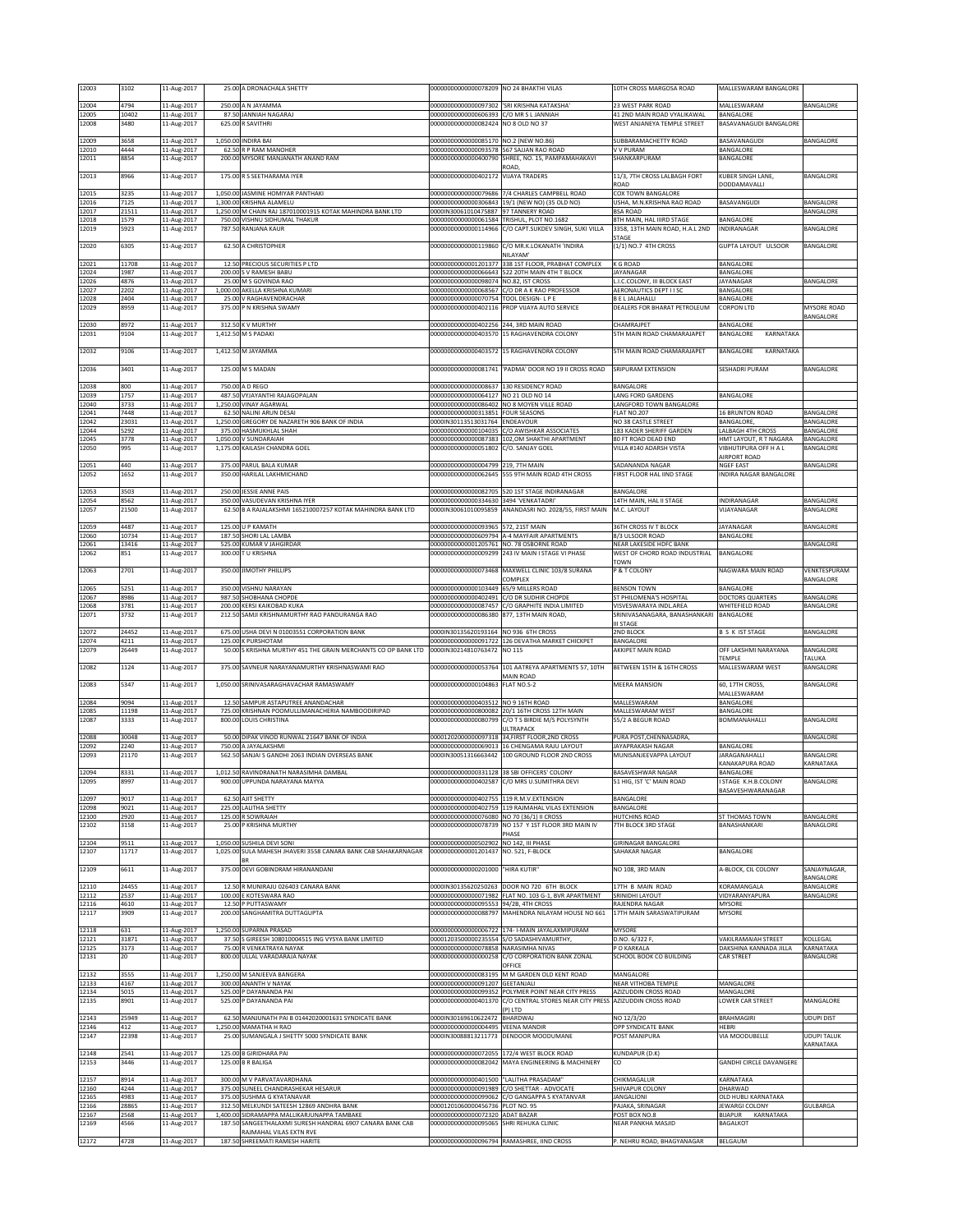| 12003          | 3102           | 11-Aug-2017                | 25.00 A DRONACHALA SHETTY                                                                   | 00000000000000078209 NO 24 BHAKTHI VILAS                            |                                                                                                               | 10TH CROSS MARGOSA ROAD                                    | MALLESWARAM BANGALORE                               |                               |
|----------------|----------------|----------------------------|---------------------------------------------------------------------------------------------|---------------------------------------------------------------------|---------------------------------------------------------------------------------------------------------------|------------------------------------------------------------|-----------------------------------------------------|-------------------------------|
| 12004          | 4794           | 11-Aug-2017                | 250.00 A N JAYAMMA                                                                          | 00000000000000097302                                                | 'SRI KRISHNA KATAKSHA'                                                                                        | 23 WEST PARK ROAD                                          | MALLESWARAM                                         | BANGALORE                     |
| 12005<br>12008 | 10402<br>3480  | 11-Aug-2017<br>11-Aug-2017 | 87.50 JANNIAH NAGARAJ<br>625.00 R SAVITHRI                                                  | 00000000000000606393<br>00000000000000082424                        | C/O MR S L JANNIAH<br>NO 8 01 D NO 37                                                                         | 41 2ND MAIN ROAD VYALIKAWAL<br>WEST ANJANEYA TEMPLE STREET | BANGALORE<br>BASAVANAGUDI BANGALORE                 |                               |
| 12009          | 3658           | 11-Aug-2017                | 1,050.00 INDIRA BAI                                                                         | 00000000000000085170 NO.2 (NEW NO.86)                               |                                                                                                               | SUBBARAMACHETTY ROAD                                       | BASAVANAGUDI                                        | BANGALORE                     |
| 12010<br>12011 | 4444<br>8854   | 11-Aug-2017<br>11-Aug-2017 | 62.50 R P RAM MANOHER<br>200.00 MYSORE MANJANATH ANAND RAM                                  | 00000000000000093578<br>00000000000000400790                        | 567 SAJJAN RAO ROAD<br>SHREE, NO. 15, PAMPAMAHAKAVI                                                           | V V PURAM<br>SHANKARPURAM                                  | BANGALORE<br>BANGALORE                              |                               |
|                |                |                            |                                                                                             |                                                                     | ROAD,                                                                                                         |                                                            |                                                     |                               |
| 12013          | 8966           | 11-Aug-2017                | 175.00 R S SEETHARAMA IYER                                                                  | 00000000000000402172 VIJAYA TRADERS                                 |                                                                                                               | 11/3, 7TH CROSS LALBAGH FORT<br>ROAD                       | KUBER SINGH LANE,<br>DODDAMAVALLI                   | <b>BANGALORE</b>              |
| 12015<br>12016 | 3235<br>7125   | 11-Aug-2017<br>11-Aug-2017 | 1,050.00 JASMINE HOMIYAR PANTHAKI<br>1,300.00 KRISHNA ALAMELU                               | 0000000000000079686<br>00000000000000306843                         | 7/4 CHARLES CAMPBELL ROAD<br>19/1 (NEW NO) (35 OLD NO)                                                        | COX TOWN BANGALORE<br>USHA, M.N.KRISHNA RAO ROAD           | BASAVANGUDI                                         | BANGALORE                     |
| 12017<br>12018 | 21511<br>1579  | 11-Aug-2017<br>11-Aug-2017 | 1,250.00 M CHAIN RAJ 187010001915 KOTAK MAHINDRA BANK LTD<br>750.00 VISHNU SIDHUMAL THAKUR  | 0000IN30061010475887<br>00000000000000061584                        | 97 TANNERY ROAD<br>TRISHUL, PLOT NO.1682                                                                      | <b>BSA ROAD</b><br>8TH MAIN, HAL IIIRD STAGE               | BANGALORE                                           | BANGALORE                     |
| 12019          | 5923           | 11-Aug-2017                | 787.50 RANJANA KAUR                                                                         | 00000000000000114966                                                | C/O CAPT.SUKDEV SINGH, SUKI VILLA                                                                             | 3358, 13TH MAIN ROAD, H.A.L 2ND                            | INDIRANAGAR                                         | BANGALORE                     |
| 12020          | 6305           | 11-Aug-2017                | 62.50 A CHRISTOPHER                                                                         | 00000000000000119860                                                | C/O MR.K.LOKANATH 'INDIRA                                                                                     | STAGE<br>1/1) NO.7 4TH CROSS                               | GUPTA LAYOUT ULSOOR                                 | BANGALORE                     |
| 12021          | 11708          | 11-Aug-2017                | 12.50 PRECIOUS SECURITIES P LTD                                                             | 00000000000001201377                                                | NILAYAM <sup>®</sup><br>338 1ST FLOOR, PRABHAT COMPLEX                                                        | K G ROAD                                                   | BANGALORE                                           |                               |
| 12024<br>12026 | 1987<br>4876   | 11-Aug-2017<br>11-Aug-2017 | 200.00 S V RAMESH BABU<br>25.00 M S GOVINDA RAO                                             | 00000000000000098074 NO.82, IST CROSS                               | 00000000000000066643 522 20TH MAIN 4TH T BLOCK                                                                | <b>JAYANAGAR</b><br>L.I.C.COLONY, III BLOCK EAST           | BANGALORE<br>JAYANAGAR                              | <b>BANGALORE</b>              |
| 12027          | 2202           | 11-Aug-2017                | 1,000.00 AKELLA KRISHNA KUMARI                                                              | 00000000000000068567                                                | C/O DR A K RAO PROFESSOR                                                                                      | AERONAUTICS DEPT I I SC                                    | <b>BANGALORE</b>                                    |                               |
| 12028<br>12029 | 2404<br>8959   | 11-Aug-2017<br>11-Aug-2017 | 25.00 V RAGHAVENDRACHAR<br>375.00 P N KRISHNA SWAMY                                         | 00000000000000070754<br>00000000000000402116                        | TOOL DESIGN- L P E<br>PROP VIJAYA AUTO SERVICE                                                                | <b>B E L JALAHALLI</b><br>DEALERS FOR BHARAT PETROLEUM     | BANGALORE<br><b>CORPON LTD</b>                      | MYSORE ROAD                   |
| 12030          | 8972           | 11-Aug-2017                | 312.50 K V MURTHY                                                                           | 00000000000000402256                                                | 244, 3RD MAIN ROAD                                                                                            | CHAMRAJPET                                                 | BANGALORE                                           | BANGALORE                     |
| 12031          | 9104           | 11-Aug-2017                | 1,412.50 M S PADAKI                                                                         | 00000000000000403570                                                | 15 RAGHAVENDRA COLONY                                                                                         | <b>STH MAIN ROAD CHAMARAJAPET</b>                          | BANGALORE<br>KARNATAKA                              |                               |
| 12032          | 9106           | 11-Aug-2017                | 1,412.50 M JAYAMMA                                                                          | 00000000000000403572                                                | 15 RAGHAVENDRA COLONY                                                                                         | 5TH MAIN ROAD CHAMARAJAPET                                 | BANGALORE<br>KARNATAKA                              |                               |
| 12036          | 3401           | 11-Aug-2017                | 125.00 M S MADAN                                                                            | 00000000000000081741                                                | PADMA' DOOR NO 19 II CROSS ROAD                                                                               | SRIPURAM EXTENSION                                         | <b>SESHADRI PURAM</b>                               | BANGALORE                     |
| 12038          | 800            | 11-Aug-2017                | 750.00 A D REGO                                                                             | 00000000000000008637 130 RESIDENCY ROAD                             |                                                                                                               | BANGALORE                                                  |                                                     |                               |
| 12039<br>12040 | 1757<br>3733   | 11-Aug-2017<br>11-Aug-2017 | 487.50 VYJAYANTHI RAJAGOPALAN<br>1.250.00 VINAY AGARWAL                                     | 00000000000000064127 NO 21 OLD NO 14                                | 000000000000000086402 NO 8 MOYEN VILLE ROAD                                                                   | <b>LANG FORD GARDENS</b><br>LANGFORD TOWN BANGALORE        | BANGALORE                                           |                               |
| 12041          | 7448           | 11-Aug-2017                | 62.50 NALINI ARUN DESAI                                                                     | 00000000000000313851                                                | <b>FOUR SEASONS</b>                                                                                           | FLAT NO.207                                                | <b>16 BRUNTON ROAD</b><br><b>BANGALORE,</b>         | BANGALORE                     |
| 12042<br>12044 | 23031<br>5292  | 11-Aug-2017<br>11-Aug-2017 | 1,250.00 GREGORY DE NAZARETH 906 BANK OF INDIA<br>375.00 HASMUKHLAL SHAH                    | 0000IN30113513031764 ENDEAVOUR<br>00000000000000104035              | C/O AWISHKAR ASSOCIATES                                                                                       | NO 38 CASTLE STREET<br>183 KADER SHERIFF GARDEN            | <b>LALBAGH 4TH CROSS</b>                            | BANGALORE<br>BANGALORE        |
| 12045<br>12050 | 3778<br>995    | 11-Aug-2017<br>11-Aug-2017 | 1,050.00 V SUNDARAIAH<br>1,175.00 KAILASH CHANDRA GOEL                                      | 00000000000000087383<br>00000000000000051802                        | 102, OM SHAKTHI APARTMENT<br>C/O. SANJAY GOEL                                                                 | 80 FT ROAD DEAD END<br>VILLA #140 ADARSH VISTA             | HMT LAYOUT, R T NAGARA<br>VIBHUTIPURA OFF H A L     | BANGALORE<br>BANGALORE        |
| 12051          | 440            | 11-Aug-2017                | 375.00 PARUL BALA KUMAR                                                                     | 00000000000000004799                                                | 219, 7TH MAIN                                                                                                 | SADANANDA NAGAR                                            | AIRPORT ROAD<br><b>NGEF EAST</b>                    | BANGALORE                     |
| 12052          | 1652           | 11-Aug-2017                | 350.00 HARILAL LAKHMICHAND                                                                  | 00000000000000062645                                                | 555 9TH MAIN ROAD 4TH CROSS                                                                                   | FIRST FLOOR HAL IIND STAGE                                 | INDIRA NAGAR BANGALORE                              |                               |
| 12053          | 3503           | 11-Aug-2017                | 250.00 JESSIE ANNE PAIS                                                                     |                                                                     | 00000000000000082705 520 1ST STAGE INDIRANAGAR                                                                | BANGALORE                                                  |                                                     |                               |
| 12054<br>12057 | 8562<br>21500  | 11-Aug-2017<br>11-Aug-2017 | 350.00 VASUDEVAN KRISHNA IYER<br>62.50 B A RAJALAKSHMI 165210007257 KOTAK MAHINDRA BANK LTD | 00000000000000334630 3494 'VENKATADRI'<br>0000IN30061010095859      | ANANDASRI NO. 2028/55, FIRST MAIN                                                                             | 14TH MAIN, HAL II STAGE<br>M.C. LAYOUT                     | INDIRANAGAR<br>VIJAYANAGAR                          | BANGALORE<br><b>BANGALORE</b> |
| 12059          | 4487           | 11-Aug-2017                | 125.00 U P KAMATH                                                                           | 00000000000000093965 572, 21ST MAIN                                 |                                                                                                               | <b>36TH CROSS IV T BLOCK</b>                               | JAYANAGAR                                           | BANGALORE                     |
| 12060<br>12061 | 10734<br>13416 | 11-Aug-2017<br>11-Aug-2017 | 187.50 SHORI LAL LAMBA<br>525.00 KUMAR V JAHGIRDAR                                          | 00000000000001205761 NO. 78 OSBORNE ROAD                            | 00000000000000609794 A-4 MAYFAIR APARTMENTS                                                                   | 8/3 ULSOOR ROAD<br>NEAR LAKESIDE HDFC BANK                 | BANGALORE                                           | BANGALORE                     |
| 12062          | 851            | 11-Aug-2017                | 300.00 T U KRISHNA                                                                          | 0000000000000009299                                                 | 243 IV MAIN I STAGE VI PHASE                                                                                  | WEST OF CHORD ROAD INDUSTRIAL<br><b>TOWN</b>               | BANGALORE                                           |                               |
| 12063          | 2701           | 11-Aug-2017                | 350.00 JIMOTHY PHILLIPS                                                                     |                                                                     | 00000000000000073468 MAXWELL CLINIC 103/8 SURANA                                                              | P & T COLONY                                               | NAGWARA MAIN ROAD                                   | VENKTESPURAM                  |
| 12065          | 5251           | 11-Aug-2017                | 350.00 VISHNU NARAYAN                                                                       | 00000000000000103449                                                | COMPLEX<br>65/9 MILLERS ROAD                                                                                  | <b>BENSON TOWN</b>                                         | BANGALORE                                           | BANGALORE                     |
| 12067<br>12068 | 8986<br>3781   | 11-Aug-2017<br>11-Aug-2017 | 987.50 SHOBHANA CHOPDE<br>200.00 KERSI KAIKOBAD KUKA                                        | 00000000000000402491                                                | C/O DR SUDHIR CHOPDE<br>00000000000000087457 C/O GRAPHITE INDIA LIMITED                                       | ST PHILOMENA'S HOSPITAL<br>VISVESWARAYA INDL.AREA          | DOCTORS QUARTERS<br>WHITEFIELD ROAD                 | BANGALORE<br>BANGALORE        |
| 12071          | 3732           | 11-Aug-2017                | 212.50 SAMJI KRISHNAMURTHY RAO PANDURANGA RAO                                               | 000000000000000086380 877, 13TH MAIN ROAD,                          |                                                                                                               | SRINIVASANAGARA, BANASHANKARI BANGALORE<br><b>II STAGE</b> |                                                     |                               |
| 12072          | 24452          | 11-Aug-2017                | 675.00 USHA DEVI N 01003551 CORPORATION BANK                                                | 0000IN30135620193164 NO 936 6TH CROSS                               |                                                                                                               | 2ND BLOCK                                                  | <b>B S K IST STAGE</b>                              | BANGALORE                     |
| 12074<br>12079 | 4211<br>26449  | 11-Aug-2017<br>11-Aug-2017 | 125.00 K PURSHOTAM<br>50.00 S KRISHNA MURTHY 451 THE GRAIN MERCHANTS CO OP BANK LTD         | 0000IN30214810763472                                                | 00000000000000091722 126 DEVATHA MARKET CHICKPET<br><b>NO 115</b>                                             | BANGALORE<br>AKKIPET MAIN ROAD                             | OFF LAKSHMI NARAYANA                                | BANGALORE                     |
| 12082          | 1124           | 11-Aug-2017                | 375.00 SAVNEUR NARAYANAMURTHY KRISHNASWAMI RAO                                              | 00000000000000053764                                                | 101 AATREYA APARTMENTS 57, 10TH                                                                               | BETWEEN 15TH & 16TH CROSS                                  | TEMPLE<br>MALLESWARAM WEST                          | TALUKA<br>BANGALORE           |
| 12083          | 5347           | 11-Aug-2017                | 1,050.00 SRINIVASARAGHAVACHAR RAMASWAMY                                                     | 00000000000000104863                                                | MAIN ROAD<br>FLAT NO.S-2                                                                                      | <b>MEERA MANSION</b>                                       | 60, 17TH CROSS,                                     | BANGALORE                     |
| 12084          | 9094           | 11-Aug-2017                | 12.50 SAMPUR ASTAPUTREE ANANDACHAR                                                          | 00000000000000403512                                                | NO 9 16TH ROAD                                                                                                | MALLESWARAM                                                | MALLESWARAM<br>BANGALORE                            |                               |
| 12085<br>12087 | 11198<br>3333  | 11-Aug-2017<br>11-Aug-2017 | 725.00 KRISHNAN POOMULLIMANACHERIA NAMBOODIRIPAD<br>800.00 LOUIS CHRISTINA                  |                                                                     | 000000000000000800082 20/1 16TH CROSS 12TH MAIN<br>00000000000000080799 C/O T S BIRDIE M/S POLYSYNTH          | MALLESWARAM WEST<br>55/2 A BEGUR ROAD                      | BANGALORE<br><b>BOMMANAHALLI</b>                    | <b>BANGALORE</b>              |
| 12088          | 30048          |                            | 50.00 DIPAK VINOD RUNWAL 21647 BANK OF INDIA                                                | 00001202000000097318                                                | <b>JLTRAPACK</b><br>34, FIRST FLOOR, 2ND CROSS                                                                | PURA POST, CHENNASADRA,                                    |                                                     | BANGALORE                     |
| 12092          | 2240           | 11-Aug-2017<br>11-Aug-2017 | 750.00 A JAYALAKSHMI                                                                        | 00000000000000069013                                                | 16 CHENGAMA RAJU LAYOUT                                                                                       | JAYAPRAKASH NAGAR                                          | BANGALORE                                           |                               |
| 12093          | 21170          | 11-Aug-2017                | 562.50 SANJAI S GANDHI 2063 INDIAN OVERSEAS BANK                                            |                                                                     | 0000IN30051316663442 100 GROUND FLOOR 2ND CROSS                                                               | MUNISANJEEVAPPA LAYOUT                                     | JARAGANAHALLI<br>KANAKAPURA ROAD                    | BANGALORE<br>KARNATAKA        |
| 12094<br>12095 | 8331<br>8997   | 11-Aug-2017<br>L1-Aug-2017 | 1,012.50 RAVINDRANATH NARASIMHA DAMBAL<br>900.00 UPPUNDA NAKAYANA MAYYA                     | JUUUUUUUUUUUUU4UZ587                                                | 00000000000000331128 38 SBI OFFICERS' COLONY<br>./U MRS U.SUMITHRA DEVI                                       | <b>BASAVESHWAR NAGAR</b><br>51 HIG, IST 'C' MAIN ROAD      | <b>BANGALORE</b><br>STAGE K.H.B.COLONY              | 3ANGALUKE                     |
| 12097          | 9017           | 11-Aug-2017                | 62.50 AJIT SHETTY                                                                           | 00000000000000402755 119 R.M.V.EXTENSION                            |                                                                                                               | BANGALORE                                                  | BASAVESHWARANAGAR                                   |                               |
| 12098          | 9021           | 11-Aug-2017                | 225.00 LALITHA SHETTY                                                                       | 00000000000000402759                                                | 119 RAJMAHAL VILAS EXTENSION                                                                                  | BANGALORE                                                  |                                                     |                               |
| 12100<br>12102 | 2920<br>3158   | 11-Aug-2017<br>11-Aug-2017 | 125.00 R SOWRAIAH<br>25.00 P KRISHNA MURTHY                                                 | 00000000000000076080 NO 70 (36/1) II CROSS                          | 00000000000000078739 NO 157 Y 1ST FLOOR 3RD MAIN IV                                                           | <b>HUTCHINS ROAD</b><br>7TH BLOCK 3RD STAGE                | ST THOMAS TOWN<br>BANASHANKARI                      | BANGALORE<br>BANAGLORE        |
| 12104          | 9511           | 11-Aug-2017                | 1,050.00 SUSHILA DEVI SONI                                                                  | 00000000000000502902                                                | PHASE<br>NO 142, III PHASE                                                                                    | GIRINAGAR BANGALORE                                        |                                                     |                               |
| 12107          | 11717          | 11-Aug-2017                | 1,025.00 SULA MAHESH JHAVERI 3558 CANARA BANK CAB SAHAKARNAGAR                              | 00000000000001201437                                                | NO. 521, F-BLOCK                                                                                              | SAHAKAR NAGAR                                              | BANGALORE                                           |                               |
| 12109          | 6611           | 11-Aug-2017                | 375.00 DEVI GOBINDRAM HIRANANDANI                                                           | 00000000000000201000                                                | "HIRA KUTIR"                                                                                                  | NO 108, 3RD MAIN                                           | A-BLOCK, CIL COLONY                                 | SANJAYNAGAR.<br>BANGALORE     |
| 12110<br>12112 | 24455<br>2537  | 11-Aug-2017                | 12.50 R MUNIRAJU 026403 CANARA BANK<br>100.00 E KOTESWARA RAO                               |                                                                     | 0000IN30135620250263 DOOR NO 720 6TH BLOCK<br>00000000000000071982 FLAT NO. 103 G-1, BVR APARTMENT            | 17TH B MAIN ROAD<br>SRINIDHI LAYOUT                        | KORAMANGALA<br>VIDYARANYAPURA                       | BANGALORE<br>BANGALORE        |
| 12116          | 4610           | 11-Aug-2017<br>11-Aug-2017 | 12.50 P PUTTASWAMY                                                                          | 0000000000000095553                                                 | 94/2B, 4TH CROSS                                                                                              | RAJENDRA NAGAR                                             | <b>MYSORE</b>                                       |                               |
| 12117          | 3909           | 11-Aug-2017                | 200.00 SANGHAMITRA DUTTAGUPTA                                                               | 00000000000000088797                                                | MAHENDRA NILAYAM HOUSE NO 661                                                                                 | 17TH MAIN SARASWATIPURAM                                   | <b>MYSORE</b>                                       |                               |
| 12118<br>12121 | 631<br>31871   | 11-Aug-2017<br>11-Aug-2017 | 1,250.00 SUPARNA PRASAD<br>37.50 S GIREESH 108010004515 ING VYSYA BANK LIMITED              |                                                                     | 00000000000000006722 174- I-MAIN JAYALAXMIPURAM<br>00001203500000235554 S/O SADASHIVAMURTHY,                  | <b>MYSORE</b><br>D.NO. 6/322 F,                            | <b>VAKILRAMAIAH STREET</b>                          | KOLLEGAL                      |
| 12125<br>12131 | 3173<br>20     | 11-Aug-2017<br>11-Aug-2017 | 75.00 R VENKATRAYA NAYAK<br>800.00 ULLAL VARADARAJA NAYAK                                   | 00000000000000078858<br>00000000000000000258                        | NARASIMHA NIVAS<br>C/O CORPORATION BANK ZONAL                                                                 | P O KARKALA<br>SCHOOL BOOK CO BUILDING                     | DAKSHINA KANNADA JILLA<br><b>CAR STREET</b>         | KARNATAKA<br>BANGALORE        |
|                |                |                            |                                                                                             |                                                                     | OFFICE                                                                                                        |                                                            |                                                     |                               |
| 12132<br>12133 | 3555<br>4167   | 11-Aug-2017<br>11-Aug-2017 | 1,250.00 M SANJEEVA BANGERA<br>300.00 ANANTH V NAYAK                                        | 00000000000000091207                                                | 000000000000000083195 M M GARDEN OLD KENT ROAD<br>GEETANJALI                                                  | MANGALORE<br>NEAR VITHOBA TEMPLE                           | MANGALORE                                           |                               |
| 12134<br>12135 | 5015<br>8901   | 11-Aug-2017<br>11-Aug-2017 | 525.00 P DAYANANDA PAI<br>525.00 P DAYANANDA PAI                                            | 00000000000000401370                                                | 00000000000000099352 POLYMER POINT NEAR CITY PRESS<br>C/O CENTRAL STORES NEAR CITY PRESS AZIZUDDIN CROSS ROAD | AZIZUDDIN CROSS ROAD                                       | MANGALORE<br>LOWER CAR STREET                       | MANGALORE                     |
| 12143          | 25949          | 11-Aug-2017                | 62.50 MANJUNATH PAI B 01442020001631 SYNDICATE BANK                                         | 0000IN30169610622472                                                | P) LTD<br>BHARDWAJ                                                                                            | NO 12/3/20                                                 | BRAHMAGIRI                                          | <b>UDUPI DIST</b>             |
| 12146          | 412<br>22398   | 11-Aug-2017                | 1,250.00 MAMATHA H RAO<br>25.00 SUMANGALA J SHETTY 5000 SYNDICATE BANK                      | 00000000000000004495                                                | <b>VEENA MANDIR</b><br>DENDOOR MOODUMANE                                                                      | OPP SYNDICATE BANK                                         | <b>HEBRI</b><br>VIA MOODUBELLE                      | UDUPI TALUK                   |
| 12147          |                | 11-Aug-2017                |                                                                                             | 0000IN30088813211773                                                |                                                                                                               | POST MANIPURA                                              |                                                     | KARNATAKA                     |
| 12148<br>12153 | 2541<br>3446   | 11-Aug-2017<br>11-Aug-2017 | 125.00 B GIRIDHARA PAI<br>125.00 B R BALIGA                                                 | 00000000000000072055<br>00000000000000082042                        | 172/4 WEST BLOCK ROAD<br>MAYA ENGINEERING & MACHINERY                                                         | KUNDAPUR (D.K)<br>co                                       | <b>GANDHI CIRCLE DAVANGERE</b>                      |                               |
| 12157          | 8914           | 11-Aug-2017                | 300.00 M V PARVATAVARDHANA                                                                  | 00000000000000401500                                                | "LALITHA PRASADAM"                                                                                            | CHIKMAGALUR                                                | KARNATAKA                                           |                               |
| 12160<br>12165 | 4244<br>4983   | 11-Aug-2017<br>11-Aug-2017 | 375.00 SUNEEL CHANDRASHEKAR HESARUR<br>375.00 SUSHMA G KYATANAVAR                           | 0000000000000091989<br>0000000000000099062                          | C/O SHETTAR - ADVOCATE<br>C/O GANGAPPA S KYATANVAR                                                            | SHIVAPUR COLONY<br><b>JANGALIONI</b>                       | DHARWAD<br>OLD HUBLI KARNATAKA                      |                               |
| 12166<br>12167 | 28865<br>2568  | 11-Aug-2017<br>11-Aug-2017 | 312.50 MELKUNDI SATEESH 12869 ANDHRA BANK<br>1,400.00 SIDRAMAPPA MALLIKARJUNAPPA TAMBAKE    | 00001201060000456736 PLOT NO. 95<br>00000000000000072320 ADAT BAZAR |                                                                                                               | PAJAKA, SRINAGAR<br>POST BOX NO.8                          | <b>JEWARGI COLONY</b><br><b>BUAPUR</b><br>KARNATAKA | GULBARGA                      |
| 12169          | 4566           | 11-Aug-2017                | 187.50 SANGEETHALAXMI SURESH HANDRAL 6907 CANARA BANK CAB                                   | 00000000000000095065                                                | SHRI REHUKA CLINIC                                                                                            | NEAR PANKHA MASJID                                         | <b>BAGALKOT</b>                                     |                               |
|                | 4728           | 11-Aug-2017                | RAJMAHAL VILAS EXTN RVE<br>187.50 SHREEMATI RAMESH HARITE                                   |                                                                     | 00000000000000096794 RAMASHREE, IIND CROSS                                                                    | P. NEHRU ROAD, BHAGYANAGAR                                 | BELGAUM                                             |                               |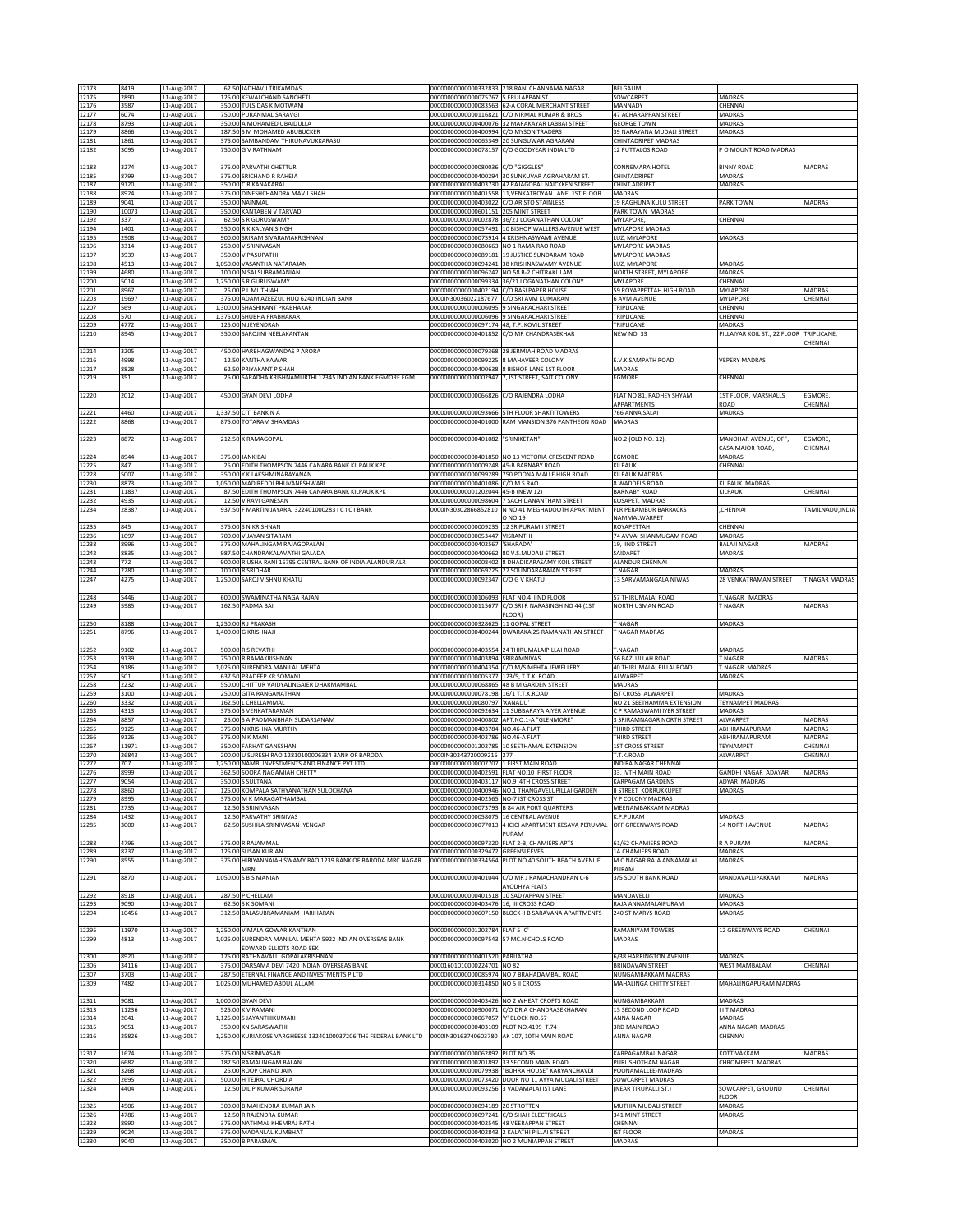| 12173          | 8419          | 11-Aug-2017                |       | 62.50 JADHAVJI TRIKAMDAS                                                                            |                                                                | 00000000000000332833 218 RANI CHANNAMA NAGAR                                          | BELGAUM                                                |                                          |                  |
|----------------|---------------|----------------------------|-------|-----------------------------------------------------------------------------------------------------|----------------------------------------------------------------|---------------------------------------------------------------------------------------|--------------------------------------------------------|------------------------------------------|------------------|
| 12175          | 2890          | 11-Aug-2017                |       | 125.00 KEWALCHAND SANCHETI                                                                          | 00000000000000075767 5 ERULAPPAN ST                            |                                                                                       | SOWCARPET                                              | MADRAS                                   |                  |
| 12176          | 3587          | 11-Aug-2017                |       | 350.00 TULSIDAS K MOTWANI                                                                           |                                                                | 00000000000000083563 62-A CORAL MERCHANT STREET                                       | MANNADY                                                | CHENNAI                                  |                  |
| 12177          | 6074          | 11-Aug-2017                |       | 750.00 PURANMAL SARAVGI                                                                             | 00000000000000116821                                           | C/O NIRMAL KUMAR & BROS                                                               | 47 ACHARAPPAN STREET                                   | MADRAS                                   |                  |
| 12178          | 8793          | 11-Aug-2017                |       | 350.00 A MOHAMED UBAIDULLA                                                                          | 00000000000000400076                                           | 32 MARAKAYAR LABBAI STREET                                                            | <b>GEORGE TOWN</b>                                     | MADRAS                                   |                  |
| 12179<br>12181 | 8866<br>1861  | 11-Aug-2017<br>11-Aug-2017 |       | 187.50 S M MOHAMED ABUBUCKER<br>375.00 SAMBANDAM THIRUNAVUKKARASU                                   | 00000000000000400994                                           | /O MYSON TRADERS<br>00000000000000065349 20 SUNGUWAR AGRARAM                          | 39 NARAYANA MUDALI STREET<br>CHINTADRIPET MADRAS       | MADRAS                                   |                  |
| 12182          | 3095          | 11-Aug-2017                |       | 750.00 G V RATHNAM                                                                                  | 00000000000000078157                                           | C/O GOODYEAR INDIA LTD                                                                | 12 PUTTALOS ROAD                                       | P O MOUNT ROAD MADRAS                    |                  |
|                |               |                            |       |                                                                                                     |                                                                |                                                                                       |                                                        |                                          |                  |
| 12183          | 3274          | 11-Aug-2017                |       | 375.00 PARVATHI CHETTUR                                                                             | 00000000000000080036 C/O "GIGGLES"                             |                                                                                       | CONNEMARA HOTEL                                        | <b>BINNY ROAD</b>                        | MADRAS           |
| 12185          | 8799          | 11-Aug-2017                |       | 375.00 SRICHAND R RAHEJA                                                                            |                                                                | 000000000000000400294 30 SUNKUVAR AGRAHARAM ST.                                       | CHINTADRIPET                                           | MADRAS                                   |                  |
| 12187<br>12188 | 9120<br>8924  | 11-Aug-2017<br>11-Aug-2017 |       | 350.00 C R KANAKARAJ<br>375.00 DINESHCHANDRA MAVJI SHAH                                             | 00000000000000401558                                           | 000000000000000403730 42 RAJAGOPAL NAICKKEN STREET<br>11, VENKATROYAN LANE, 1ST FLOOR | CHINT ADRIPET<br>MADRAS                                | MADRAS                                   |                  |
| 12189          | 9041          | 11-Aug-2017                |       | 350.00 NAINMAL                                                                                      | 00000000000000403022                                           | C/O ARISTO STAINLESS                                                                  | 19 RAGHUNAIKULU STREET                                 | PARK TOWN                                | MADRAS           |
| 12190          | 10073         | 11-Aug-2017                |       | 350.00 KANTABEN V TARVADI                                                                           | 00000000000000601151 205 MINT STREET                           |                                                                                       | PARK TOWN MADRAS                                       |                                          |                  |
| 12192          | 337           | 11-Aug-2017                |       | 62.50 S R GURUSWAMY                                                                                 | 00000000000000002878                                           | 36/21 LOGANATHAN COLONY                                                               | <b>MYLAPORE</b>                                        | CHENNAI                                  |                  |
| 12194          | 1401          | 11-Aug-2017                |       | 550.00 R K KALYAN SINGH                                                                             | 0000000000000057491                                            | 10 BISHOP WALLERS AVENUE WEST                                                         | MYLAPORE MADRAS                                        |                                          |                  |
| 12195          | 2908          | 11-Aug-2017                |       | 900.00 SRIRAM SIVARAMAKRISHNAN<br>250.00 V SRINIVASAN                                               | 000000000000000080663 NO 1 RAMA RAO ROAD                       | 00000000000000075914 4 KRISHNASWAMI AVENUE                                            | LUZ, MYLAPORE                                          | MADRAS                                   |                  |
| 12196<br>12197 | 3314<br>3939  | 11-Aug-2017<br>11-Aug-2017 |       | 350.00 V PASUPATHI                                                                                  |                                                                | 00000000000000089181 19 JUSTICE SUNDARAM ROAD                                         | MYLAPORE MADRAS<br>MYLAPORE MADRAS                     |                                          |                  |
| 12198          | 4513          | 11-Aug-2017                |       | 1,050.00 VASANTHA NATARAJAN                                                                         | 00000000000000094241                                           | 38 KRISHNASWAMY AVENUE                                                                | LUZ, MYLAPORE                                          | MADRAS                                   |                  |
| 12199          | 4680          | 11-Aug-2017                |       | 100.00 N SAI SUBRAMANIAN                                                                            | 0000000000000096242                                            | IO.58 B-2 CHITRAKULAM                                                                 | NORTH STREET, MYLAPORE                                 | MADRAS                                   |                  |
| 12200          | 5014          | 11-Aug-2017                |       | 1,250.00 S R GURUSWAMY                                                                              | 00000000000000099334                                           | 36/21 LOGANATHAN COLONY                                                               | MYLAPORE                                               | CHENNAI                                  |                  |
| 12201          | 8967          | 11-Aug-2017                |       | 25.00 P L MUTHIAH                                                                                   | 00000000000000402194                                           | C/O RASI PAPER HOUSE                                                                  | 59 ROYAPPETTAH HIGH ROAD                               | MYLAPORE                                 | MADRAS           |
| 12203<br>12207 | 19697<br>569  | 11-Aug-2017<br>11-Aug-2017 |       | 375.00 ADAM AZEEZUL HUQ 6240 INDIAN BANK<br>1,300.00 SHASHIKANT PRABHAKAR                           | 0000IN30036022187677<br>00000000000000006095                   | C/O SRI AVM KUMARAN<br><b>SINGARACHARI STREET</b>                                     | <b>6 AVM AVENUE</b><br>TRIPLICANE                      | MYLAPORE<br>CHENNAI                      | CHENNAI          |
| 12208          | 570           | 11-Aug-2017                |       | 1,375.00 SHUBHA PRABHAKAR                                                                           | 00000000000000006096                                           | 9 SINGARACHARI STREET                                                                 | <b>TRIPLICANE</b>                                      | CHENNAI                                  |                  |
| 12209          | 4772          | 11-Aug-2017                |       | 125.00 N JEYENDRAN                                                                                  | 00000000000000097174 48, T.P. KOVIL STREET                     |                                                                                       | TRIPLICANE                                             | MADRAS                                   |                  |
| 12210          | 8945          | 11-Aug-2017                |       | 350.00 SAROJINI NEELAKANTAN                                                                         | 00000000000000401852                                           | C/O MR CHANDRASEKHAR                                                                  | NEW NO. 33                                             | PILLAIYAR KOIL ST., 22 FLOOR TRIPLICANE, |                  |
|                |               |                            |       |                                                                                                     |                                                                |                                                                                       |                                                        |                                          | CHENNAI          |
| 12214          | 3205          | 11-Aug-2017                |       | 450.00 HARBHAGWANDAS P ARORA                                                                        | 00000000000000079368                                           | 28 JERMIAH ROAD MADRAS                                                                |                                                        |                                          |                  |
| 12216<br>12217 | 4998<br>8828  | 11-Aug-2017<br>11-Aug-2017 |       | 12.50 KANTHA KAWAR<br>62.50 PRIYAKANT P SHAH                                                        | 00000000000000099225<br>00000000000000400638                   | 8 MAHAVEER COLONY<br><b>8 BISHOP LANE 1ST FLOOR</b>                                   | E.V.K.SAMPATH ROAD<br><b>MADRAS</b>                    | <b>VEPERY MADRAS</b>                     |                  |
| 12219          | 351           | 11-Aug-2017                |       | 25.00 SARADHA KRISHNAMURTHI 12345 INDIAN BANK EGMORE EGM                                            | 0000000000000002947                                            | 7, IST STREET, SAIT COLONY                                                            | EGMORE                                                 | CHENNAI                                  |                  |
|                |               |                            |       |                                                                                                     |                                                                |                                                                                       |                                                        |                                          |                  |
| 12220          | 2012          | 11-Aug-2017                |       | 450.00 GYAN DEVI LODHA                                                                              | 00000000000000066826                                           | C/O RAJENDRA LODHA                                                                    | FLAT NO 81, RADHEY SHYAM                               | 1ST FLOOR, MARSHALLS                     | <b>EGMORE</b>    |
|                |               |                            |       | 1.337.50 CITI BANK N A                                                                              |                                                                |                                                                                       | APPARTMENTS                                            | ROAD                                     | CHENNAI          |
| 12221<br>12222 | 4460<br>8868  | 11-Aug-2017<br>11-Aug-2017 |       | 875.00 TOTARAM SHAMDAS                                                                              | 0000000000000093666<br>00000000000000401000                    | <b>5TH FLOOR SHAKTI TOWERS</b><br>RAM MANSION 376 PANTHEON ROAD                       | 766 ANNA SALAI<br>MADRAS                               | MADRAS                                   |                  |
|                |               |                            |       |                                                                                                     |                                                                |                                                                                       |                                                        |                                          |                  |
| 12223          | 8872          | 11-Aug-2017                |       | 212.50 K RAMAGOPAL                                                                                  | 00000000000000401082                                           | "SRINIKETAN"                                                                          | NO.2 (OLD NO. 12),                                     | MANOHAR AVENUE, OFF,                     | <b>EGMORE</b>    |
|                |               |                            |       |                                                                                                     |                                                                |                                                                                       |                                                        | CASA MAJOR ROAD                          | CHENNAI          |
| 12224          | 8944          | 11-Aug-2017                |       | 375.00 JANKIBAI                                                                                     |                                                                | 00000000000000401850 NO 13 VICTORIA CRESCENT ROAD                                     | EGMORE                                                 | MADRAS                                   |                  |
| 12225          | 847           | 11-Aug-2017                |       | 25.00 EDITH THOMPSON 7446 CANARA BANK KILPAUK KPK                                                   | 00000000000000009248 45-B BARNABY ROAD                         |                                                                                       | KILPAUK                                                | CHENNAI                                  |                  |
| 12228<br>12230 | 5007<br>8873  | 11-Aug-2017<br>11-Aug-2017 |       | 350.00 Y K LAKSHMINARAYANAN<br>1.050.00 MADIREDDI BHUVANESHWARI                                     | 00000000000000401086                                           | 00000000000000099289 750 POONA MALLE HIGH ROAD<br>C/O M S RAO                         | KILPAUK MADRAS<br>WADDELS ROAD                         | KILPAUK MADRAS                           |                  |
| 12231          | 11837         | 11-Aug-2017                | 87.50 | EDITH THOMPSON 7446 CANARA BANK KILPAUK KPK                                                         | 00000000000001202044                                           | 15-B (NEW 12)                                                                         | <b>ARNARY ROAD</b>                                     | KILPAUK                                  | <b>HENNAI</b>    |
| 12232          | 4935          | 11-Aug-2017                |       | 12.50 V RAVI GANESAN                                                                                | 00000000000000098604                                           | 7 SACHIDANANTHAM STREET                                                               | KOSAPET, MADRAS                                        |                                          |                  |
| 12234          | 28387         | 11-Aug-2017                |       | 937.50 F MARTIN JAYARAJ 322401000283 I C I C I BANK                                                 | 0000IN30302866852810                                           | N NO 41 MEGHADOOTH APARTMENT                                                          | FLR PERAMBUR BARRACKS                                  | CHENNAI                                  | TAMILNADU, INDIA |
|                |               |                            |       |                                                                                                     |                                                                | O NO 19                                                                               | NAMMALWARPET                                           |                                          |                  |
| 12235<br>12236 | 845<br>1097   | 11-Aug-2017                |       | 375.00 S N KRISHNAN<br>700.00 VIJAYAN SITARAM                                                       | 0000000000000009235<br>00000000000000053447                    | 12 SRIPURAM I STREET<br>VISRANTHI                                                     | ROYAPETTAH<br>74 AVVAI SHANMUGAM ROAD                  | CHENNAI<br>MADRAS                        |                  |
| 12238          | 8996          | 11-Aug-2017<br>11-Aug-2017 |       | 375.00 MAHALINGAM RAJAGOPALAN                                                                       | 00000000000000402567 'SHARADA                                  |                                                                                       | 19, IIND STREET                                        | <b>BALAJI NAGAR</b>                      | MADRAS           |
| 12242          | 8835          | 11-Aug-2017                |       | 987.50 CHANDRAKALAVATHI GALADA                                                                      | 00000000000000400662                                           | 80 V.S.MUDALI STREET                                                                  | SAIDAPET                                               | MADRAS                                   |                  |
| 12243          | 772           | 11-Aug-2017                |       | 900.00 R USHA RANI 15795 CENTRAL BANK OF INDIA ALANDUR ALR                                          | 0000000000000008402                                            | <b>B DHADIKARASAMY KOIL STREET</b>                                                    | <b>LANDUR CHENNAI</b>                                  |                                          |                  |
| 12244          | 2280          | 11-Aug-2017                |       | 100.00 R SRIDHAR                                                                                    | 00000000000000069225                                           | 27 SOUNDARARAJAN STREET                                                               | <b>NAGAR</b>                                           | MADRAS                                   |                  |
| 12247          | 4275          | 11-Aug-2017                |       | 1,250.00 SAROJ VISHNU KHATU                                                                         | 00000000000000092347                                           | C/O G V KHATU                                                                         | 13 SARVAMANGALA NIWAS                                  | 28 VENKATRAMAN STREET                    | T NAGAR MADRAS   |
| 12248          | 5446          | 11-Aug-2017                |       | 600.00 SWAMINATHA NAGA RAJAN                                                                        | 00000000000000106093                                           | FLAT NO.4 IIND FLOOR                                                                  | 57 THIRUMALAI ROAD                                     | T.NAGAR MADRAS                           |                  |
| 12249          | 5985          | 11-Aug-2017                |       | 162.50 PADMA BAI                                                                                    | 00000000000000115677                                           | C/O SRI R NARASINGH NO 44 (1ST                                                        | NORTH USMAN ROAD                                       | NAGAR <sup></sup>                        | MADRAS           |
|                |               |                            |       |                                                                                                     |                                                                | ELOOR)                                                                                |                                                        |                                          |                  |
| 12250          | 8188          | 11-Aug-2017                |       | 1,250.00 R J PRAKASH                                                                                | 00000000000000328625                                           | 11 GOPAL STREET                                                                       | T NAGAR                                                | MADRAS                                   |                  |
| 12251          | 8796          | 11-Aug-2017                |       | 1,400.00 G KRISHNAJI                                                                                | 00000000000000400244                                           | DWARAKA 25 RAMANATHAN STREET                                                          | NAGAR MADRAS                                           |                                          |                  |
| 12252          |               |                            |       |                                                                                                     |                                                                |                                                                                       |                                                        |                                          |                  |
| 12253          | 9102<br>9139  | 11-Aug-2017<br>11-Aug-2017 |       | 500.00 R S REVATHI<br>750.00 R RAMAKRISHNAN                                                         | 00000000000000403894                                           | 00000000000000403554 24 THIRUMALAIPILLAI ROAD<br>SRIRAMNIVAS                          | T.NAGAR<br>56 BAZLULLAH ROAD                           | MADRAS<br><b>T NAGAR</b>                 | MADRAS           |
| 12254          | 9186          | 11-Aug-2017                |       | 1,025.00 SURENDRA MANILAL MEHTA                                                                     | 00000000000000404354                                           | C/O M/S MEHTA JEWELLERY                                                               | 40 THIRUMALAI PILLAI ROAD                              | T.NAGAR MADRAS                           |                  |
| 12257          | 501           | 11-Aug-2017                |       | 637.50 PRADEEP KR SOMANI                                                                            | 00000000000000005377                                           | 123/5, T.T.K. ROAD                                                                    | ALWARPET                                               | MADRAS                                   |                  |
| 12258          | 2232          | 11-Aug-2017                |       | 550.00 CHITTUR VAIDYALINGAIER DHARMAMBAL                                                            | 00000000000000068865 48 B M GARDEN STREET                      |                                                                                       | MADRAS                                                 |                                          |                  |
| 12259          | 3100          | 11-Aug-2017                |       | 250.00 GITA RANGANATHAN                                                                             | 00000000000000078198                                           | 16/1 T.T.K.ROAD                                                                       | IST CROSS ALWARPET                                     | MADRAS                                   |                  |
| 12260<br>12263 | 3332<br>4313  | 11-Aug-2017<br>11-Aug-2017 |       | 162.50 L CHELLAMMAL<br>375.00 S VENKATARAMAN                                                        | 00000000000000080797<br>0000000000000092634                    | <b>XANADU</b><br>1 SUBBARAYA AIYER AVENUE                                             | NO 21 SEETHAMMA EXTENSION<br>C P RAMASWAMI IYER STREET | TEYNAMPET MADRAS<br>MADRAS               |                  |
| 12264          | 8857          | 11-Aug-2017                |       | 25.00 S A PADMANBHAN SUDARSANAM                                                                     | 00000000000000400802                                           | APT.NO.1-A "GLENMORE"                                                                 | 3 SRIRAMNAGAR NORTH STREET                             | ALWARPET                                 | MADRAS           |
| 12265          | 9125          | 11-Aug-2017                |       | 375.00 N KRISHNA MURTHY                                                                             | 00000000000000403784 NO.46-A FLAT                              |                                                                                       | THIRD STREET                                           | ABHIRAMAPURAM                            | MADRAS           |
| 12266          | 9126          | 11-Aug-2017                |       | 375.00 N K MANI                                                                                     | 00000000000000403786                                           | NO.46-A FLAT                                                                          | THIRD STREET                                           | ABHIRAMAPURAM                            | MADRAS           |
| 12267          | 11971         | 11-Aug-2017                |       | 350.00 FARHAT GANESHAN                                                                              | 00000000000001202785                                           | 10 SEETHAMAL EXTENSION                                                                | <b>1ST CROSS STREET</b>                                | <b>TEYNAMPET</b>                         | CHENNAI          |
| 12270          | 26843         | 11-Aug-2017                |       | 200.00 U SURESH RAO 12810100006334 BANK OF BARODA<br>1,250.00 NAMBI INVESTMENTS AND FINANCE PVT LTD | 0000IN30243720009216                                           |                                                                                       | <b>T.T.K.ROAD</b>                                      | ALWARPET                                 | CHENNAI          |
| 12272<br>12276 | 707<br>8999   | 11-Aug-2017<br>11-Aug-2017 |       | 362.50 SOORA NAGAMIAH CHETTY                                                                        | 00000000000000007707 1 FIRST MAIN ROAD                         | 00000000000000402591 FLAT NO.10 FIRST FLOOR                                           | INDIRA NAGAR CHENNAI<br>33, IVTH MAIN ROAD             | <b>GANDHI NAGAR ADAYAR</b>               | MADRAS           |
| 12277          | 9054          | 11-Aug-2017                |       | 350.00 S SULTANA                                                                                    |                                                                | 000000000000000403117 INO.9 4TH CROSS STREET                                          | KARPAGAM GARDENS                                       | ADYAR MADRAS                             |                  |
| 12278          | 8860          | 11-Aug-2017                |       | 125.00 KOMPALA SATHYANATHAN SULOCHANA                                                               |                                                                | 000000000000000400946 NO.1 THANGAVELUPILLAI GARDEN                                    | II STREET KORRUKKUPET                                  | MADRAS                                   |                  |
| 12279          | 8995          | 11-Aug-2017                |       | 375.00 M K MARAGATHAMBAL                                                                            | 00000000000000402565 NO-7 IST CROSS ST                         |                                                                                       | V P COLONY MADRAS                                      |                                          |                  |
| 12281<br>12284 | 2735<br>1432  | 11-Aug-2017                |       | 12.50 S SRINIVASAN<br>12.50 PARVATHY SRINIVAS                                                       | 00000000000000058075                                           | 00000000000000073793 B 84 AIR PORT QUARTERS<br>16 CENTRAL AVENUE                      | MEENAMBAKKAM MADRAS<br>K.P.PURAM                       | MADRAS                                   |                  |
| 12285          | 3000          | 11-Aug-2017<br>11-Aug-2017 |       | 62.50 SUSHILA SRINIVASAN IYENGAR                                                                    | 00000000000000077013                                           | 4 ICICI APARTMENT KESAVA PERUMAL                                                      | OFF GREENWAYS ROAD                                     | 14 NORTH AVENUE                          | MADRAS           |
|                |               |                            |       |                                                                                                     |                                                                | PURAM                                                                                 |                                                        |                                          |                  |
| 12288          | 4796          | 11-Aug-2017                |       | 375.00 R RAJAMMAL                                                                                   |                                                                | 00000000000000097320 FLAT 2-B, CHAMIERS APTS                                          | 61/62 CHAMIERS ROAD                                    | R A PURAM                                | MADRAS           |
| 12289          | 8237          | 11-Aug-2017                |       | 125.00 SUSAN KURIAN                                                                                 | 00000000000000329472 GREENSLEEVES                              |                                                                                       | <b>IA CHAMIERS ROAD</b>                                | MADRAS                                   |                  |
| 12290          | 8555          | 11-Aug-2017                |       | 375.00 HIRIYANNAIAH SWAMY RAO 1239 BANK OF BARODA MRC NAGAR<br>MRN                                  | 00000000000000334564                                           | PLOT NO 40 SOUTH BEACH AVENUE                                                         | M C NAGAR RAJA ANNAMALAI                               | MADRAS                                   |                  |
| 12291          | 8870          | 11-Aug-2017                |       | 1,050.00 S B S MANIAN                                                                               | 00000000000000401044                                           | C/O MR J RAMACHANDRAN C-6                                                             | PURAM<br>3/5 SOUTH BANK ROAD                           | MANDAVALLIPAKKAM                         | MADRAS           |
|                |               |                            |       |                                                                                                     |                                                                | AYODHYA FLATS                                                                         |                                                        |                                          |                  |
| 12292          | 8918          | 11-Aug-2017                |       | 287.50 P CHELLAM                                                                                    | 00000000000000401518                                           | 10 SADYAPPAN STREET                                                                   | MANDAVELLI                                             | MADRAS                                   |                  |
| 12293          | 9090          | 11-Aug-2017                |       | 62.50 S K SOMANI                                                                                    | 00000000000000403476 16, III CROSS ROAD                        |                                                                                       | RAJA ANNAMALAIPURAM                                    | MADRAS                                   |                  |
| 12294          | 10456         | 11-Aug-2017                |       | 312.50 BALASUBRAMANIAM HARIHARAN                                                                    |                                                                | 00000000000000607150 BLOCK II B SARAVANA APARTMENTS                                   | 240 ST MARYS ROAD                                      | MADRAS                                   |                  |
| 12295          | 11970         | 11-Aug-2017                |       | 1,250.00 VIMALA GOWARIKANTHAN                                                                       | 00000000000001202784 FLAT 5 °C'                                |                                                                                       | RAMANIYAM TOWERS                                       | 12 GREENWAYS ROAD                        | CHENNAI          |
| 12299          | 4813          | 11-Aug-2017                |       | 1,025.00 SURENDRA MANILAL MEHTA 5922 INDIAN OVERSEAS BANK                                           | 00000000000000097543                                           | 57 MC.NICHOLS ROAD                                                                    | <b>MADRAS</b>                                          |                                          |                  |
|                |               |                            |       | EDWARD ELLIOTS ROAD EEK                                                                             |                                                                |                                                                                       |                                                        |                                          |                  |
| 12300          | 8920          | 11-Aug-2017                |       | 175.00 RATHNAVALLI GOPALAKRISHNAN                                                                   | 00000000000000401520 PARIJATHA                                 |                                                                                       | <b>6/38 HARRINGTON AVENUE</b>                          | <b>MADRAS</b>                            |                  |
| 12306<br>12307 | 34116<br>3703 | 11-Aug-2017                |       | 375.00 DARSAMA DEVI 7420 INDIAN OVERSEAS BANK<br>287.50 ETERNAL FINANCE AND INVESTMENTS P LTD       | 00001601010000224701 NO 82                                     | 00000000000000085974 NO 7 BRAHADAMBAL ROAD                                            | <b>BRINDAVAN STREET</b><br>NUNGAMBAKKAM MADRAS         | <b>WEST MAMBALAM</b>                     | CHENNAI          |
| 12309          | 7482          | 11-Aug-2017<br>11-Aug-2017 |       | 1,025.00 MUHAMED ABDUL ALLAM                                                                        | 00000000000000314850 NO 5 II CROSS                             |                                                                                       | MAHALINGA CHITTY STREET                                | MAHALINGAPURAM MADRAS                    |                  |
|                |               |                            |       |                                                                                                     |                                                                |                                                                                       |                                                        |                                          |                  |
| 12311          | 9081          | 11-Aug-2017                |       | 1,000.00 GYAN DEVI                                                                                  |                                                                | 00000000000000403426 NO 2 WHEAT CROFTS ROAD                                           | NUNGAMBAKKAM                                           | MADRAS                                   |                  |
| 12313          | 11236         | 11-Aug-2017                |       | 525.00 K V RAMANI                                                                                   | 00000000000000900071                                           | C/O DR A CHANDRASEKHARAN                                                              | 15 SECOND LOOP ROAD                                    | <b>IIT MADRAS</b>                        |                  |
| 12314          | 2041          | 11-Aug-2017                |       | 1,125.00 S JAYANTHIKUMARI                                                                           | 00000000000000067057 'Y' BLOCK NO.57                           |                                                                                       | ANNA NAGAR<br>3RD MAIN ROAD                            | MADRAS<br>ANNA NAGAR MADRAS              |                  |
| 12315<br>12316 | 9051<br>25826 | 11-Aug-2017<br>11-Aug-2017 |       | 350.00 KN SARASWATHI<br>1,250.00 KURIAKOSE VARGHEESE 13240100037206 THE FEDERAL BANK LTD            | 00000000000000403109 PLOT NO.4199 T.74<br>0000IN30163740603780 | AK 107, 10TH MAIN ROAD                                                                | ANNA NAGAR                                             | CHENNAI                                  |                  |
|                |               |                            |       |                                                                                                     |                                                                |                                                                                       |                                                        |                                          |                  |
| 12317          | 1674          | 11-Aug-2017                |       | 375.00 N SRINIVASAN                                                                                 | 00000000000000062892 PLOT NO.35                                |                                                                                       | KARPAGAMBAL NAGAR                                      | KOTTIVAKKAM                              | MADRAS           |
| 12320          | 6682          | 11-Aug-2017                |       | 187.50 RAMALINGAM BALAN                                                                             | 00000000000000201892                                           | 33 SECOND MAIN ROAD                                                                   | PURUSHOTHAM NAGAR                                      | CHROMEPET MADRAS                         |                  |
| 12321<br>12322 | 3268<br>2695  | 11-Aug-2017<br>11-Aug-2017 |       | 25.00 ROOP CHAND JAIN<br>500.00 H TEJRAJ CHORDIA                                                    | 00000000000000079938<br>00000000000000073420                   | "BOHRA HOUSE" KARYANCHAVDI<br>DOOR NO 11 AYYA MUDALI STREET                           | POONAMALLEE-MADRAS<br>SOWCARPET MADRAS                 |                                          |                  |
| 12324          | 4404          | 11-Aug-2017                |       | 12.50 DILIP KUMAR SURANA                                                                            | 00000000000000093256 3 VADAMALAI IST LANE                      |                                                                                       | (NEAR TIRUPALLI ST.)                                   | SOWCARPET, GROUND                        | CHENNAI          |
|                |               |                            |       |                                                                                                     |                                                                |                                                                                       |                                                        | <b>FLOOR</b>                             |                  |
| 12325          | 4506          | 11-Aug-2017                |       | 300.00 B MAHENDRA KUMAR JAIN                                                                        | 00000000000000094189 20 STROTTEN                               |                                                                                       | MUTHIA MUDALI STREET                                   | MADRAS                                   |                  |
| 12326          | 4786          | 11-Aug-2017                |       | 12.50 R RAJENDRA KUMAR                                                                              | 00000000000000097241 C/O SHAH ELECTRICALS                      |                                                                                       | 341 MINT STREET                                        | MADRAS                                   |                  |
| 12328          | 8990          | 11-Aug-2017                |       | 375.00 NATHMAL KHEMRAJ RATHI                                                                        | 00000000000000402545 48 VEERAPPAN STREET                       |                                                                                       | CHENNAI                                                |                                          |                  |
| 12329          | 9024          | 11-Aug-2017<br>11-Aug-2017 |       | 375.00 MADANLAL KUMBHAT<br>350.00 B PARASMAL                                                        | 000000000000000402843 2 KALATHI PILLAI STREET                  | 00000000000000403020 NO 2 MUNIAPPAN STREET                                            | <b>IST FLOOR</b><br>MADRAS                             | MADRAS                                   |                  |
| 12330          | 9040          |                            |       |                                                                                                     |                                                                |                                                                                       |                                                        |                                          |                  |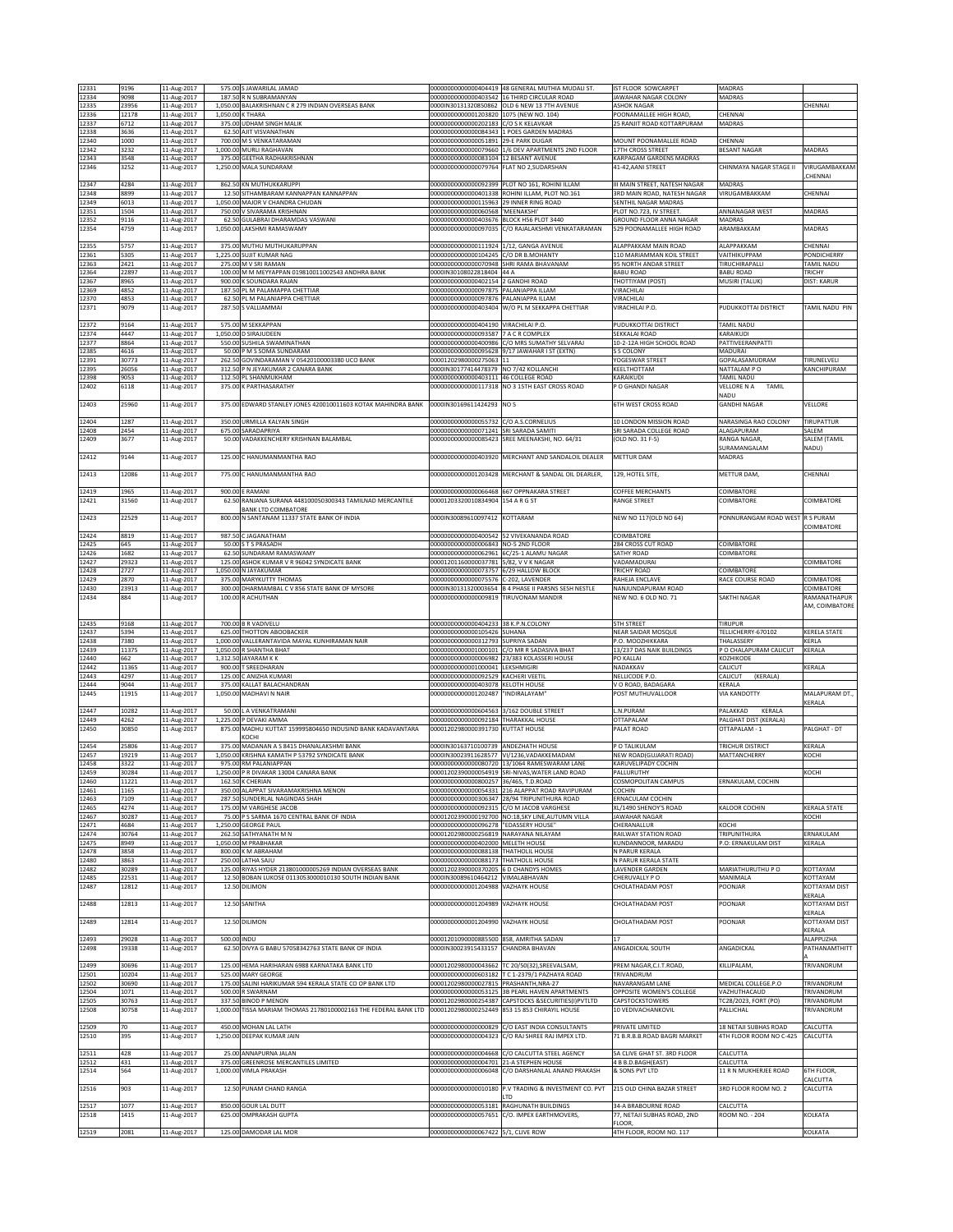| 12331          | 9196           |                            |             | 575.00 S JAWARILAL JAMAD                                                                    |                                                                                   | 00000000000000404419 48 GENERAL MUTHIA MUDALI ST                                            | IST FLOOR SOWCARPET                                                    | MADRAS                                 |                                 |
|----------------|----------------|----------------------------|-------------|---------------------------------------------------------------------------------------------|-----------------------------------------------------------------------------------|---------------------------------------------------------------------------------------------|------------------------------------------------------------------------|----------------------------------------|---------------------------------|
| 12334          | 9098           | 11-Aug-2017<br>11-Aug-2017 |             | 187.50 R N SUBRAMANYAN                                                                      |                                                                                   | 000000000000000403542 16 THIRD CIRCULAR ROAD                                                | JAWAHAR NAGAR COLONY                                                   | MADRAS                                 |                                 |
| 12335          | 23956          | 11-Aug-2017                |             | 1,050.00 BALAKRISHNAN C R 279 INDIAN OVERSEAS BANK                                          |                                                                                   | 0000IN30131320850862 OLD 6 NEW 13 7TH AVENUE                                                | <b>ASHOK NAGAR</b>                                                     | CHENNAI                                | CHENNAI                         |
| 12336<br>12337 | 12178<br>6712  | 11-Aug-2017<br>11-Aug-2017 |             | 1,050.00 K THARA<br>375.00 UDHAM SINGH MALIK                                                | 00000000000001203820 1075 (NEW NO. 104)<br>00000000000000202183 C/O S K KELAVKAR  |                                                                                             | POONAMALLEE HIGH ROAD,<br>25 RANJIT ROAD KOTTARPURAM                   | MADRAS                                 |                                 |
| 12338          | 3636           | 11-Aug-2017                |             | 62.50 AJIT VISVANATHAN                                                                      |                                                                                   | 00000000000000084343 1 POES GARDEN MADRAS                                                   |                                                                        |                                        |                                 |
| 12340<br>12342 | 1000<br>3232   | 11-Aug-2017<br>11-Aug-2017 |             | 700.00 M S VENKATARAMAN<br>1,000.00 MURLI RAGHAVAN                                          | 000000000000000051891 29-E PARK DUGAR                                             | 00000000000000079660 1/6 DEV APARTMENTS 2ND FLOOR                                           | MOUNT POONAMALLEE ROAD<br>17TH CROSS STREET                            | CHENNAI<br><b>BESANT NAGAR</b>         | MADRAS                          |
| 12343          | 3548           | 11-Aug-2017                |             | 375.00 GEETHA RADHAKRISHNAN                                                                 | 00000000000000083104 12 BESANT AVENUE                                             |                                                                                             | KARPAGAM GARDENS MADRAS                                                |                                        |                                 |
| 12346          | 3252           | 11-Aug-2017                |             | 1,250.00 MALA SUNDARAM                                                                      | 00000000000000079764 FLAT NO 2,SUDARSHAN                                          |                                                                                             | 41-42, AANI STREET                                                     | CHINMAYA NAGAR STAGE II                | VIRUGAMBAKKAM<br>CHENNAI        |
| 12347          | 4284           | 11-Aug-2017                |             | 862.50 KN MUTHUKKARUPPI                                                                     |                                                                                   | 00000000000000092399 PLOT NO 161, ROHINI ILLAM                                              | III MAIN STREET, NATESH NAGAR                                          | <b>MADRAS</b>                          |                                 |
| 12348<br>12349 | 8899<br>6013   | 11-Aug-2017<br>11-Aug-2017 |             | 12.50 SITHAMBARAM KANNAPPAN KANNAPPAN<br>1,050.00 MAJOR V CHANDRA CHUDAN                    | 000000000000000115963 29 INNER RING ROAD                                          | 00000000000000401338 ROHINI ILLAM, PLOT NO.161                                              | 3RD MAIN ROAD, NATESH NAGAR<br>SENTHIL NAGAR MADRAS                    | VIRUGAMBAKKAM                          | CHENNAI                         |
| 12351          | 1504           | 11-Aug-2017                |             | 750.00 V SIVARAMA KRISHNAN                                                                  | 00000000000000060568 'MEENAKSHI'                                                  |                                                                                             | PLOT NO.723, IV STREET.                                                | ANNANAGAR WEST                         | MADRAS                          |
| 12352<br>12354 | 9116<br>4759   | 11-Aug-2017<br>11-Aug-2017 |             | 62.50 GULABRAI DHARAMDAS VASWANI<br>1,050.00 LAKSHMI RAMASWAMY                              | 00000000000000403676 BLOCK H56 PLOT 3440<br>0000000000000097035                   | C/O RAJALAKSHMI VENKATARAMAN                                                                | GROUND FLOOR ANNA NAGAR<br>529 POONAMALLEE HIGH ROAD                   | <b>MADRAS</b><br>ARAMBAKKAM            | MADRAS                          |
|                |                |                            |             |                                                                                             |                                                                                   |                                                                                             |                                                                        |                                        |                                 |
| 12355<br>12361 | 5757<br>5305   | 11-Aug-2017<br>11-Aug-2017 |             | 375.00 MUTHU MUTHUKARUPPAN<br>1,225.00 SUJIT KUMAR NAG                                      | 00000000000000111924 1/12, GANGA AVENUE<br>000000000000000104245 C/O DR B.MOHANTY |                                                                                             | ALAPPAKKAM MAIN ROAD<br>110 MARIAMMAN KOIL STREET                      | <b>AI APPAKKAM</b><br>VAITHIKUPPAM     | CHENNAI<br>PONDICHERRY          |
| 12363          | 2421           | 11-Aug-2017                |             | 275.00 M V SRI RAMAN                                                                        |                                                                                   | 000000000000000070948 SHRI RAMA BHAVANAM                                                    | 95 NORTH ANDAR STREET                                                  | TIRUCHIRAPALLI                         | TAMIL NADU                      |
| 12364<br>12367 | 22897<br>8965  | 11-Aug-2017<br>11-Aug-2017 |             | 100.00 M M MEYYAPPAN 019810011002543 ANDHRA BANK<br>900.00 K SOUNDARA RAJAN                 | 0000IN30108022818404 44 A<br>000000000000000402154 2 GANDHI ROAD                  |                                                                                             | <b>BABU ROAD</b><br>THOTTIYAM (POST)                                   | <b>BABU ROAD</b><br>MUSIRI (TALUK)     | <b>TRICHY</b><br>DIST: KARUR    |
| 12369          | 4852           | 11-Aug-2017                |             | 187.50 PL M PALAMAPPA CHETTIAR                                                              | 00000000000000097875 PALANIAPPA ILLAM                                             |                                                                                             | <b>VIRACHILAI</b>                                                      |                                        |                                 |
| 12370<br>12371 | 4853<br>9079   | 11-Aug-2017<br>11-Aug-2017 |             | 62.50 PL M PALANIAPPA CHETTIAR<br>287.50 S VALLIAMMAI                                       | 00000000000000097876 PALANIAPPA ILLAM<br>00000000000000403404                     | W/O PL M SEKKAPPA CHETTIAR                                                                  | <b>VIRACHILAI</b><br>VIRACHILAI P.O.                                   | PUDUKKOTTAI DISTRICT                   | TAMIL NADU PIN                  |
|                |                |                            |             |                                                                                             |                                                                                   |                                                                                             |                                                                        |                                        |                                 |
| 12372<br>12374 | 9164<br>4447   | 11-Aug-2017<br>11-Aug-2017 |             | 575.00 M SEKKAPPAN<br>1,050.00 D SIRAJUDEEN                                                 | 00000000000000404190 VIRACHILAI P.O.<br>00000000000000093587 7 A C R COMPLEX      |                                                                                             | PUDUKKOTTAI DISTRICT<br>SEKKALAI ROAD                                  | TAMIL NADU<br>KARAIKUDI                |                                 |
| 12377          | 8864           | 11-Aug-2017                |             | 550.00 SUSHILA SWAMINATHAN                                                                  |                                                                                   | 00000000000000400986 C/O MRS SUMATHY SELVARAJ                                               | 10-2-12A HIGH SCHOOL ROAD                                              | PATTIVEERANPATTI                       |                                 |
| 2385<br>12391  | 4616<br>30773  | 11-Aug-2017<br>11-Aug-2017 |             | 50.00 P M S SOMA SUNDARAM<br>262.50 GOVINDARAMAN V 05420100003380 UCO BANK                  | 00001202980000275063 11                                                           | 00000000000000095628 9/17 JAWAHAR I ST (EXTN)                                               | S S COLONY<br>YOGESWAR STREET                                          | MADURAI<br>GOPALASAMUDRAM              | TIRUNELVELI                     |
| 12395          | 26056          | 11-Aug-2017                |             | 312.50 P N JEYAKUMAR 2 CANARA BANK                                                          | 0000IN30177414478379 NO 7/42 KOLLANCHI                                            |                                                                                             | KEELTHOTTAM                                                            | NATTALAM PO                            | KANCHIPURAM                     |
| 12398<br>12402 | 9053<br>6118   | 11-Aug-2017<br>11-Aug-2017 |             | 112.50 PL SHANMUKHAM<br>375.00 K PARTHASARATHY                                              | 00000000000000403111 46 COLLEGE ROAD                                              | 00000000000000117318 NO 3 15TH EAST CROSS ROAD                                              | KARAIKUDI<br>P O GHANDI NAGAR                                          | TAMIL NADU<br>VELLORE N A<br>TAMIL     |                                 |
|                |                |                            |             |                                                                                             |                                                                                   |                                                                                             |                                                                        | NADU                                   |                                 |
| 12403          | 25960          | 11-Aug-2017                |             | 375.00 EDWARD STANLEY JONES 420010011603 KOTAK MAHINDRA BANK                                | 0000IN30169611424293                                                              | NO <sub>5</sub>                                                                             | <b>6TH WEST CROSS ROAD</b>                                             | <b>GANDHI NAGAR</b>                    | VELLORE                         |
| 12404          | 1287           | 11-Aug-2017                |             | 350.00 URMILLA KALYAN SINGH                                                                 | 00000000000000055732 C/O A.S.CORNELIUS                                            |                                                                                             | 10 LONDON MISSION ROAD                                                 | VARASINGA RAO COLONY                   | TIRUPATTUR                      |
| 12408<br>12409 | 2454<br>3677   | 11-Aug-2017<br>11-Aug-2017 |             | 675.00 SARADAPRIYA<br>50.00 VADAKKENCHERY KRISHNAN BALAMBAL                                 | 00000000000000071241 SRI SARADA SAMITI                                            | 000000000000000085423 SREE MEENAKSHI, NO. 64/31                                             | SRI SARADA COLLEGE ROAD<br>(OLD NO. 31 F-5)                            | ALAGAPURAM<br>RANGA NAGAR,             | SALEM<br>SALEM (TAMIL           |
|                |                |                            |             |                                                                                             |                                                                                   |                                                                                             | <b>METTUR DAM</b>                                                      | SURAMANGALAM                           | NADU)                           |
| 12412          | 9144           | 11-Aug-2017                |             | 125.00 C HANUMANMANTHA RAO                                                                  |                                                                                   | 000000000000000403920 MERCHANT AND SANDALOIL DEALER                                         |                                                                        | MADRAS                                 |                                 |
| 12413          | 12086          | 11-Aug-2017                |             | 775.00 C HANUMANMANTHA RAO                                                                  |                                                                                   | 000000000000001203428 MERCHANT & SANDAL OIL DEARLER.                                        | 129, HOTEL SITE,                                                       | METTUR DAM,                            | CHENNAI                         |
| 12419          | 1965           | 11-Aug-2017                |             | 900.00 E RAMANI                                                                             |                                                                                   | 00000000000000066468 667 OPPNAKARA STREET                                                   | <b>COFFEE MERCHANTS</b>                                                | COIMBATORE                             |                                 |
| 12421          | 31560          | 11-Aug-2017                | 62.50       | RANJANA SURANA 448100050300343 TAMILNAD MERCANTILE<br><b>BANK ITD COIMBATORE</b>            | 00001203320010834904                                                              | 154 A R G ST                                                                                | RANGE STREET                                                           | COIMBATORE                             | COIMBATORE                      |
| 12423          | 22529          | 11-Aug-2017                |             | 800.00 N SANTANAM 11337 STATE BANK OF INDIA                                                 | 0000IN30089610097412 KOTTARAM                                                     |                                                                                             | NEW NO 117(OLD NO 64)                                                  | PONNURANGAM ROAD WEST R S PURAM        |                                 |
|                |                |                            |             |                                                                                             |                                                                                   |                                                                                             |                                                                        |                                        | COIMBATORE                      |
| 12424<br>12425 | 8819<br>645    | 11-Aug-2017<br>11-Aug-2017 |             | 987.50 C JAGANATHAM<br>50.00 S T S PRASADH                                                  | 00000000000000006843 NO-5 2ND FLOOR                                               | 00000000000000400542 52 VIVEKANANDA ROAD                                                    | COIMBATORE<br>284 CROSS CUT ROAD                                       | COIMBATORE                             |                                 |
| 12426          | 1682           | 11-Aug-2017                |             | 62.50 SUNDARAM RAMASWAMY                                                                    |                                                                                   | 00000000000000062961 6C/25-1 ALAMU NAGAR                                                    | SATHY ROAD                                                             | COIMBATORE                             |                                 |
| 12427<br>12428 | 29323<br>2727  | 11-Aug-2017<br>11-Aug-2017 |             | 125.00 ASHOK KUMAR V R 96042 SYNDICATE BANK<br>1,050.00 N JAYAKUMAR                         | 00001201160000037781 5/82, V V K NAGAR<br>00000000000000073757 6/29 HALLOW BLOCK  |                                                                                             | VADAMADURAI<br><b>TRICHY ROAD</b>                                      | OIMBATORE                              | COIMBATORE                      |
| 12429          | 2870           | 11-Aug-2017                |             | 375.00 MARYKUTTY THOMAS                                                                     | 00000000000000075576 C-202, LAVENDER                                              |                                                                                             | RAHEJA ENCLAVE                                                         | RACE COURSE ROAD                       | COIMBATORE                      |
| 12430<br>12434 | 23913<br>884   | 11-Aug-2017<br>11-Aug-2017 |             | 300.00 DHARMAMBAL C V 856 STATE BANK OF MYSORE<br>100.00 R ACHUTHAN                         | 00000000000000009819 TIRUVONAM MANDIR                                             | 0000IN30131320003654 B 4 PHASE II PARSNS SESH NESTLE                                        | NANJUNDAPURAM ROAD<br>NEW NO. 6 OLD NO. 71                             | SAKTHI NAGAR                           | COIMBATORE<br>RAMANATHAPUR      |
|                |                |                            |             |                                                                                             |                                                                                   |                                                                                             |                                                                        |                                        | AM, COIMBATORE                  |
|                |                |                            |             |                                                                                             |                                                                                   |                                                                                             |                                                                        |                                        |                                 |
| 12435          |                |                            |             |                                                                                             |                                                                                   |                                                                                             | <b>5TH STREET</b>                                                      | <b>TIRUPUR</b>                         |                                 |
| 12437          | 9168<br>5394   | 11-Aug-2017<br>11-Aug-2017 |             | 700.00 B R VADIVELU<br>625.00 THOTTON ABOOBACKER                                            | 00000000000000404233 38 K.P.N.COLONY<br>00000000000000105426 SUHANA               |                                                                                             | NEAR SAIDAR MOSQUE                                                     | ELLICHERRY-670102                      | KERELA STATE                    |
| 12438          | 7380           | 11-Aug-2017                |             | 1,000.00 VALLERANTAVIDA MAYAL KUNHIRAMAN NAIR                                               | 00000000000000312793 SUPRIYA SADAN                                                |                                                                                             | P.O. MOOZHIKKARA                                                       | <b>HALASSERY</b>                       | <b>CERLA</b>                    |
| 12439<br>12440 | 11375<br>662   | 11-Aug-2017<br>11-Aug-2017 |             | 1,050.00 R SHANTHA BHAT<br>1,312.50 JAYARAM K K                                             |                                                                                   | 000000000000001000101 C/O MR R SADASIVA BHAT<br>00000000000000006982 23/383 KOLASSERI HOUSE | 13/237 DAS NAIK BUILDINGS<br>PO KALLAI                                 | P O CHALAPURAM CALICUT<br>KOZHIKODE    | KERALA                          |
| 12442<br>12443 | 11365<br>4297  | 11-Aug-2017                |             | 900.00 T SREEDHARAN<br>125.00 C ANIZHA KUMARI                                               | 00000000000001000041 LEKSHMIGIRI<br>00000000000000092529 KACHERI VEETIL           |                                                                                             | NADAKKAV<br>NELLICODE P.O.                                             | CALICUT<br>(KERALA)<br>CALICUT         | KERALA                          |
| 12444          | 9044           | 11-Aug-2017<br>11-Aug-2017 |             | 375.00 KALLAT BALACHANDRAN                                                                  | 00000000000000403078 KELOTH HOUSE                                                 |                                                                                             | V O ROAD, BADAGARA                                                     | KERALA                                 |                                 |
| 12445          | 11915          | 11-Aug-2017                |             | 1.050.00 MADHAVI N NAIR                                                                     | 00000000000001202487                                                              | "INDIRALAYAM"                                                                               | POST MUTHUVALLOOR                                                      | VIA KANDOTTY                           | MAI APURAM DT.<br><b>CERALA</b> |
| 12447          | 10282          | 11-Aug-2017                |             | 50.00 L A VENKATRAMANI                                                                      | 00000000000000604563 3/162 DOUBLE STREET                                          |                                                                                             | L.N.PURAM                                                              | <b>ALAKKAD</b><br>KERALA               |                                 |
| 12449<br>12450 | 4262<br>30850  | 11-Aug-2017<br>11-Aug-2017 |             | 1,225.00 P DEVAKI AMMA<br>875.00 MADHU KUTTAT 159995804650 INDUSIND BANK KADAVANTARA        | 00000000000000092184 THARAKKAL HOUSE<br>00001202980000391730 KUTTAT HOUSE         |                                                                                             | OTTAPALAM<br>PALAT ROAD                                                | PALGHAT DIST (KERALA)<br>OTTAPALAM - 1 | PALGHAT - DT                    |
|                |                |                            |             | KOCHI                                                                                       |                                                                                   |                                                                                             |                                                                        |                                        |                                 |
| 12454<br>12457 | 25806<br>19219 | 11-Aug-2017                |             | 375.00 MADANAN A S 8415 DHANALAKSHMI BANK<br>1,050.00 KRISHNA KAMATH P 53792 SYNDICATE BANK | 0000IN30163710100739 ANDEZHATH HOUSE                                              | 0000IN30023911628577 VI/1236, VADAKKEMADAM                                                  | P O TALIKULAM<br>NEW ROAD(GUJARATI ROAD)                               | TRICHUR DISTRICT<br>MATTANCHERRY       | KERALA<br><b>KOCHI</b>          |
| 12458          | 3322           | 11-Aug-2017<br>11-Aug-2017 |             | 975.00 RM PALANIAPPAN                                                                       |                                                                                   | 000000000000000080720 13/1064 RAMESWARAM LANE                                               | KARUVELIPADY COCHIN                                                    |                                        |                                 |
| 12459<br>12460 | 30284<br>11221 | 11-Aug-2017<br>11-Aug-2017 |             | 1,250.00 P R DIVAKAR 13004 CANARA BANK<br>162.50 K CHERIAN                                  | 000000000000000800257 136/465. T.D.ROAD                                           | 00001202390000054919 SRI-NIVAS, WATER LAND ROAD                                             | PALLURUTHY<br>COSMOPOLITAN CAMPUS                                      | ERNAKULAM, COCHIN                      | KOCHI                           |
| 12461          | 1165           | 11-Aug-2017                |             | 350.00 ALAPPAT SIVARAMAKRISHNA MENON                                                        |                                                                                   | 000000000000000054331 216 ALAPPAT ROAD RAVIPURAM                                            | COCHIN                                                                 |                                        |                                 |
| 12463<br>12465 | 7109<br>4274   | 11-Aug-2017<br>11-Aug-2017 |             | 287.50 SUNDERLAL NAGINDAS SHAH<br>175.00 M VARGHESE JACOB                                   |                                                                                   | 000000000000000306347 28/94 TRIPUNITHURA ROAD<br>00000000000000092315 C/O M JACOB VARGHESE  | ERNACULAM COCHIN<br>XL/1490 SHENOY'S ROAD                              | KALOOR COCHIN                          | <b>KERALA STATE</b>             |
| 12467          | 30287          | 11-Aug-2017                |             | 75.00 P S SARMA 1670 CENTRAL BANK OF INDIA                                                  |                                                                                   | 00001202390000192700 NO:18.SKY LINE.AUTUMN VILLA                                            | <b>JAWAHAR NAGAR</b>                                                   |                                        | KOCHI                           |
| 12471<br>12474 | 4684<br>30764  | 11-Aug-2017<br>11-Aug-2017 |             | 1,250.00 GEORGE PAUL<br>262.50 SATHYANATH M N                                               | 00000000000000096278 "EDASSERY HOUSE"<br>00001202980000256819 NARAYANA NILAYAM    |                                                                                             | CHERANALLUR<br>RAILWAY STATION ROAD                                    | KOCHI<br>TRIPUNITHURA                  | ERNAKULAM                       |
| 12475          | 8949           | 11-Aug-2017                |             | 1,050.00 M PRABHAKAR                                                                        | 00000000000000402000 MELETH HOUSE                                                 |                                                                                             | KUNDANNOOR, MARADU                                                     | P.O: ERNAKULAM DIST                    | KERALA                          |
| 12478<br>12480 | 3858<br>3863   | 11-Aug-2017<br>11-Aug-2017 |             | 800.00 K M ABRAHAM<br>250.00 LATHA SAJU                                                     | 00000000000000088138 THATHOLIL HOUSE<br>00000000000000088173 THATHOLIL HOUSE      |                                                                                             | N PARUR KERALA<br>N PARUR KERALA STATE                                 |                                        |                                 |
| 12482          | 30289          | 11-Aug-2017                |             | 125.00 RIYAS HYDER 213801000005269 INDIAN OVERSEAS BANK                                     | 00001202390000370205 6 D CHANDYS HOMES                                            |                                                                                             | LAVENDER GARDEN                                                        | MARIATHURUTHU P O                      | KOTTAYAM                        |
| 12485<br>12487 | 22531<br>12812 | 11-Aug-2017<br>11-Aug-2017 |             | 12.50 BOBAN LUKOSE 0113053000010130 SOUTH INDIAN BANK<br>12.50 DILIMON                      | 0000IN30089610464212 VIMALABHAVAN<br>00000000000001204988                         | <b>VAZHAYK HOUSE</b>                                                                        | CHERUVALLY PO<br>CHOLATHADAM POST                                      | MANIMALA<br>POONJAR                    | KOTTAYAM<br>KOTTAYAM DIST       |
|                |                |                            |             |                                                                                             |                                                                                   |                                                                                             |                                                                        |                                        | KERALA                          |
| 12488          | 12813          | 11-Aug-2017                |             | 12.50 SANITHA                                                                               | 00000000000001204989 VAZHAYK HOUSE                                                |                                                                                             | CHOLATHADAM POST                                                       | POONJAR                                | KOTTAYAM DIST<br>KERALA         |
| 12489          | 12814          | 11-Aug-2017                |             | 12.50 DILIMON                                                                               | 00000000000001204990 VAZHAYK HOUSE                                                |                                                                                             | CHOLATHADAM POST                                                       | POONJAR                                | KOTTAYAM DIST                   |
| 12493          | 29028          | 11-Aug-2017                | 500.00 INDU |                                                                                             | 00001201090000885500 858, AMRITHA SADAN                                           |                                                                                             | 17                                                                     |                                        | KERALA<br>ALAPPUZHA             |
| 12498          | 19338          | 11-Aug-2017                |             | 62.50 DIVYA G BABU 57058342763 STATE BANK OF INDIA                                          | 0000IN30023915433157 CHANDRA BHAVAN                                               |                                                                                             | ANGADICKAL SOUTH                                                       | ANGADICKAL                             | PATHANAMTHITT                   |
| 12499          | 30696          | 11-Aug-2017                |             | 125.00 HEMA HARIHARAN 6988 KARNATAKA BANK LTD                                               |                                                                                   | 00001202980000043662 TC 20/50(32), SREEVALSAM,                                              | PREM NAGAR, C.I.T. ROAD                                                | KILLIPALAM,                            | TRIVANDRUM                      |
| 12501          | 10204          | 11-Aug-2017                |             | 525.00 MARY GEORGE                                                                          |                                                                                   | 00000000000000603182 T C 1-2379/1 PAZHAYA ROAD                                              | TRIVANDRUM                                                             |                                        |                                 |
| 12502<br>12504 | 30690<br>1071  | 11-Aug-2017<br>11-Aug-2017 |             | 175.00 SALINI HARIKUMAR 594 KERALA STATE CO OP BANK LTD<br>500.00 R SWARNAM                 | 00001202980000027815 PRASHANTH, NRA-27                                            | 000000000000000053125 3B PEARL HAVEN APARTMENTS                                             | NAVARANGAM LANE<br>OPPOSITE WOMEN'S COLLEGE                            | MEDICAL COLLEGE.P.O<br>VAZHUTHACAUD    | TRIVANDRUM<br>TRIVANDRUM        |
| 12505          | 30763          | 11-Aug-2017                |             | 337.50 BINOD P MENON                                                                        |                                                                                   | 00001202980000254387 CAPSTOCKS &SECURITIES(I)PVTLTD                                         | CAPSTOCKSTOWERS                                                        | C28/2023, FORT (PO)                    | TRIVANDRUM                      |
| 12508          | 30758          | 11-Aug-2017                |             | 1,000.00 TISSA MARIAM THOMAS 21780100002163 THE FEDERAL BANK LTD                            |                                                                                   | 00001202980000252449 853 15 853 CHIRAYIL HOUSE                                              | 10 VEDIVACHANKOVIL                                                     | PALLICHAL                              | TRIVANDRUM                      |
| 12509          | 70             | 11-Aug-2017                |             | 450.00 MOHAN LAL LATH                                                                       |                                                                                   | 00000000000000000829 C/O EAST INDIA CONSULTANTS                                             | PRIVATE LIMITED                                                        | 18 NETAJI SUBHAS ROAD                  | CALCUTTA                        |
| 12510          | 395            | 11-Aug-2017                |             | 1,250.00 DEEPAK KUMAR JAIN                                                                  |                                                                                   | 000000000000000004323 C/O RAJ SHREE RAJ IMPEX LTD.                                          | 71 B.R.B.B.ROAD BAGRI MARKET                                           | 4TH FLOOR ROOM NO C-425                | CALCUTTA                        |
| 12511          | 428            | 11-Aug-2017                |             | 25.00 ANNAPURNA JALAN                                                                       |                                                                                   | 00000000000000004668 C/O CALCUTTA STEEL AGENCY                                              | 5A CLIVE GHAT ST. 3RD FLOOR                                            | CALCUTTA                               |                                 |
| 12512<br>12514 | 431<br>564     | 11-Aug-2017<br>11-Aug-2017 |             | 375.00 GREENROSE MERCANTILES LIMITED<br>1,000.00 VIMLA PRAKASH                              | 00000000000000004701 21-A STEPHEN HOUSE                                           | 00000000000000006048 C/O DARSHANLAL ANAND PRAKASH                                           | 4 B B.D.BAGH(EAST)<br>& SONS PVT LTD                                   | CALCUTTA<br>11 R N MUKHERJEE ROAD      | <b>STH FLOOR,</b>               |
|                |                |                            |             |                                                                                             |                                                                                   |                                                                                             |                                                                        |                                        | <b>ALCUTTA</b>                  |
| 12516          | 903            | 11-Aug-2017                |             | 12.50 PUNAM CHAND RANGA                                                                     |                                                                                   | 000000000000000010180 P.V TRADING & INVESTMENT CO. PVT<br>I TD                              | 215 OLD CHINA BAZAR STREET                                             | 3RD FLOOR ROOM NO. 2                   | CALCUTTA                        |
| 12517          | 1077           | 11-Aug-2017                |             | 850.00 GOUR LAL DUTT                                                                        |                                                                                   | 000000000000000053181 RAGHUNATH BUILDINGS                                                   | 34-A BRABOURNE ROAD                                                    | CALCUTTA                               |                                 |
| 12518<br>12519 | 1415<br>2081   | 11-Aug-2017<br>11-Aug-2017 |             | 625.00 OMPRAKASH GUPTA<br>125.00 DAMODAR LAL MOR                                            | 00000000000000057651<br>00000000000000067422 5/1, CLIVE ROW                       | C/O. IMPEX EARTHMOVERS,                                                                     | 77, NETAJI SUBHAS ROAD, 2ND<br><b>FLOOR</b><br>4TH FLOOR, ROOM NO. 117 | ROOM NO. - 204                         | KOLKATA<br>KOLKATA              |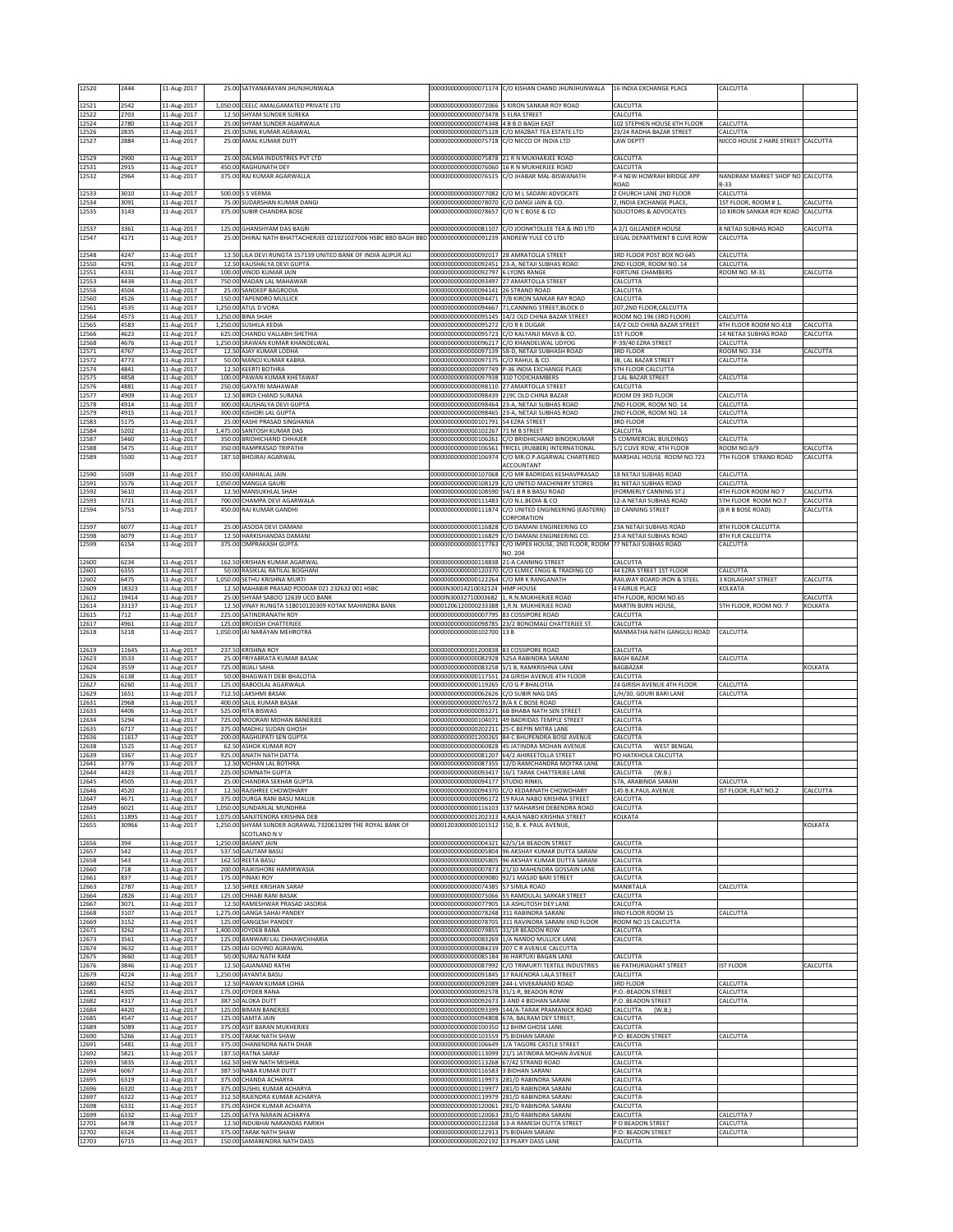| 12520          | 2444           | 11-Aug-2017                |                    | 25.00 SATYANARAYAN JHUNJHUNWALA                                                                |                                                                                | 00000000000000071174 C/O KISHAN CHAND JHUNJHUNWALA                                                      | 16 INDIA EXCHANGE PLACE                                 | CALCUTTA                                       |                      |
|----------------|----------------|----------------------------|--------------------|------------------------------------------------------------------------------------------------|--------------------------------------------------------------------------------|---------------------------------------------------------------------------------------------------------|---------------------------------------------------------|------------------------------------------------|----------------------|
| 12521          | 2542           | 11-Aug-2017                |                    | 1.050.00 CEELC AMALGAMATED PRIVATE LTD                                                         | 00000000000000072066                                                           | 5 KIRON SANKAR ROY ROAD                                                                                 | CALCUTTA                                                |                                                |                      |
| 12522          | 2703           | 11-Aug-2017                | 12.50              | SHYAM SUNDER SUREKA                                                                            | 00000000000000073478                                                           | ELRA STREET                                                                                             | <b>ALCUTTA</b>                                          |                                                |                      |
| 12524          | 2780<br>2835   | 11-Aug-2017<br>11-Aug-2017 |                    | 25.00 SHYAM SUNDER AGARWALA<br>25.00 SUNIL KUMAR AGRAWAL                                       | 00000000000000074348 4 B B D BAGH EAST<br>00000000000000075128                 | C/O MAZBAT TEA ESTATE LTD                                                                               | 102 STEPHEN HOUSE 6TH FLOOR<br>23/24 RADHA BAZAR STREET | CALCUTTA<br>CALCUTTA                           |                      |
| 12526<br>12527 | 2884           | 11-Aug-2017                |                    | 25.00 AMAL KUMAR DUTT                                                                          | 00000000000000075718                                                           | C/O NICCO OF INDIA LTD                                                                                  | LAW DEPTT                                               | NICCO HOUSE 2 HARE STREET CALCUTTA             |                      |
| 12529          | 2900           | 11-Aug-2017                |                    | 25.00 DALMIA INDUSTRIES PVT LTD                                                                |                                                                                | 00000000000000075878 21 R N MUKHARJEE ROAD                                                              | CALCUTTA                                                |                                                |                      |
| 12531          | 2915           | 11-Aug-2017                |                    | 450.00 RAGHUNATH DEY                                                                           | 00000000000000076060                                                           | 16 R N MUKHERJEE ROAD                                                                                   | CALCUTTA                                                |                                                |                      |
| 12532          | 2964           | 11-Aug-2017                |                    | 375.00 RAJ KUMAR AGARWALLA                                                                     | 00000000000000076515                                                           | C/O JHABAR MAL-BISWANATH                                                                                | -4 NEW HOWRAH BRIDGE APP                                | NANDRAM MARKET SHOP NO CALCUTTA                |                      |
| 12533          | 3010           | 11-Aug-2017                |                    | 500.00 S S VERMA                                                                               |                                                                                | 00000000000000077082 C/O M L SADANI ADVOCATE                                                            | <b>CAD</b><br>2 CHURCH LANE 2ND FLOOR                   | $3 - 33$<br>CALCUTTA                           |                      |
| 12534          | 3091           | 11-Aug-2017                |                    | 75.00 SUDARSHAN KUMAR DANGI                                                                    | 00000000000000078070 C/O DANGI JAIN & CO.                                      |                                                                                                         | , INDIA EXCHANGE PLACE                                  | 1ST FLOOR, ROOM #1,                            | CALCUTTA             |
| 12535          | 3143           | 11-Aug-2017                |                    | 375.00 SUBIR CHANDRA BOSE                                                                      | 00000000000000078657                                                           | C/O N C BOSE & CO                                                                                       | SOLICITORS & ADVOCATES                                  | 10 KIRON SANKAR ROY ROAD                       | CALCUTTA             |
| 12537          | 3361           | 11-Aug-2017                |                    | 125.00 GHANSHYAM DAS BAGRI                                                                     |                                                                                | 00000000000000081107 C/O JOONKTOLLEE TEA & IND LTD                                                      | A 2/1 GILLANDER HOUSE                                   | <b>8 NETAJI SUBHAS ROAD</b>                    | CALCUTTA             |
| 12547          | 4171           | 11-Aug-2017                |                    | 25.00 DHIRAI NATH BHATTACHERIEE 021021027006 HSBC BBD BAGH BBD 00000000000000091239            |                                                                                | ANDREW YULE CO LTD                                                                                      | LEGAL DEPARTMENT 8 CLIVE ROW                            | CALCUTTA                                       |                      |
| 12548          | 4247           | 11-Aug-2017                |                    | 12.50 LILA DEVI RUNGTA 157139 UNITED BANK OF INDIA ALIPUR ALI                                  | 00000000000000092017 28 AMRATOLLA STREET                                       |                                                                                                         | 3RD FLOOR POST BOX NO 645                               | CALCUTTA                                       |                      |
| 12550          | 4291           | 11-Aug-2017                |                    | 12.50 KAUSHALYA DEVI GUPTA<br>100.00 VINOD KUMAR JAIN                                          |                                                                                | 00000000000000092451 23-A, NETAJI SUBHAS ROAD                                                           | 2ND FLOOR, ROOM NO. 14                                  | CALCUTTA<br>ROOM NO. M-31                      | CALCUTTA             |
| 12551<br>12553 | 4331<br>4434   | 11-Aug-2017<br>11-Aug-2017 |                    | 750.00 MADAN LAL MAHAWAR                                                                       | 00000000000000092797 6 LYONS RANGE<br>00000000000000093497 27 AMARTOLLA STREET |                                                                                                         | FORTUNE CHAMBERS<br>CALCUTTA                            |                                                |                      |
| 12556          | 4504           | 11-Aug-2017                | 25.0               | SANDEEP BAGRODIA                                                                               | 0000000000000094141                                                            | <b>26 STRAND ROAD</b>                                                                                   | <b>ALCUTTA</b>                                          |                                                |                      |
| 12560<br>12561 | 4526<br>4535   | 11-Aug-2017<br>11-Aug-2017 |                    | 150.00 TAPENDRO MULLICK<br>1,250.00 ATUL D VORA                                                |                                                                                | 00000000000000094471 7/B KIRON SANKAR RAY ROAD<br>00000000000000094667 71, CANNING STREET, BLOCK D      | CALCUTTA<br>207,2ND FLOOR, CALCUTTA                     |                                                |                      |
| 12564          | 4573           | 11-Aug-2017                |                    | 1,250.00 BINA SHAH                                                                             |                                                                                | 00000000000000095145 14/2 OLD CHINA BAZAR STREET                                                        | ROOM NO.196 (3RD FLOOR)                                 | CALCUTTA                                       |                      |
| 12565<br>12566 | 4583<br>4623   | 11-Aug-2017<br>11-Aug-2017 | 1,250.00<br>625.00 | SUSHILA KEDIA<br>CHANDU VALLABH SHETHIA                                                        | 0000000000000095272<br>00000000000000095723                                    | C/O R K DUGAR<br>:/O KALYANJI MAVJI & CO.                                                               | 14/2 OLD CHINA BAZAR STREET<br>ST FLOOR                 | 4TH FLOOR ROOM NO.418<br>14 NETAJI SUBHAS ROAD | CALCUTTA<br>CALCUTTA |
| 12568          | 4676           | 11-Aug-2017                |                    | 1,250.00 SRAWAN KUMAR KHANDELWAL                                                               |                                                                                | 00000000000000096217 C/O KHANDELWAL UDYOG                                                               | -39/40 EZRA STREET                                      | CALCUTTA                                       |                      |
| 12571<br>12572 | 4767<br>4773   | 11-Aug-2017<br>11-Aug-2017 | 12.50              | AJAY KUMAR LODHA<br>50.00 MANOJ KUMAR KABRA                                                    | 00000000000000097139<br>0000000000000097175                                    | 58-D, NETAJI SUBHASH ROAD<br>C/O RAHUL & CO.                                                            | 3RD FLOOR<br>3B, LAL BAZAR STREET                       | ROOM NO. 314<br>CALCUTTA                       | CALCUTTA             |
| 12574          | 4841           | 11-Aug-2017                |                    | 12.50 KEERTI BOTHRA                                                                            |                                                                                | 00000000000000097749 P-36 INDIA EXCHANGE PLACE                                                          | <b>STH FLOOR CALCUTTA</b>                               |                                                |                      |
| 12575          | 4858           | 11-Aug-2017                |                    | 100.00 PAWAN KUMAR KHETAWAT                                                                    | 00000000000000097938 310 TODICHAMBERS                                          |                                                                                                         | LAL BAZAR STREET                                        | CALCUTTA                                       |                      |
| 12576<br>12577 | 4881<br>4909   | 11-Aug-2017<br>11-Aug-2017 |                    | 250.00 GAYATRI MAHAWAR<br>12.50 BIRDI CHAND SURANA                                             | 00000000000000098110 27 AMARTOLLA STREET<br>00000000000000098439               | 219C OLD CHINA BAZAR                                                                                    | CALCUTTA<br>ROOM D9 3RD FLOOR                           | CALCUTTA                                       |                      |
| 12578          | 4914           | 11-Aug-2017                | 300.00             | KAUSHALYA DEVI GUPTA                                                                           | 00000000000000098464                                                           | 23-A, NETAJI SUBHAS ROAD                                                                                | ND FLOOR, ROOM NO. 14                                   | CALCUTTA                                       |                      |
| 12579<br>12583 | 4915<br>5175   | 11-Aug-2017<br>11-Aug-2017 | 25.00              | 300.00 KISHORI LAL GUPTA<br>KASHI PRASAD SINGHANIA                                             | 00000000000000101791 54 EZRA STREET                                            | 00000000000000098465 23-A, NETAJI SUBHAS ROAD                                                           | 2ND FLOOR, ROOM NO. 14<br>3RD FLOOR                     | CALCUTTA<br>CALCUTTA                           |                      |
| 12584          | 5202           | 11-Aug-2017                | 1,475.00           | SANTOSH KUMAR DAS                                                                              | 00000000000000102267                                                           | 71 M B STREET                                                                                           | CALCUTTA                                                |                                                |                      |
| 12587<br>12588 | 5460<br>5475   | 11-Aug-2017<br>11-Aug-2017 |                    | 350.00 BRIDHICHAND CHHAJER<br>350.00 RAMPRASAD TRIPATHI                                        |                                                                                | 000000000000000106261 C/O BRIDHICHAND BINODKUMAR<br>000000000000000106561 TRICEL (RUBBER) INTERNATIONAL | <b>COMMERCIAL BUILDINGS</b><br>5/1 CLIVE ROW, 4TH FLOOR | CALCUTTA<br><b>ROOM NO.6/9</b>                 | CALCUTTA             |
| 12589          | 5500           | 11-Aug-2017                |                    | 187.50 BHOJRAJ AGARWAL                                                                         | 00000000000000106974                                                           | C/O MR.O.P.AGARWAL CHARTERED                                                                            | MARSHAL HOUSE ROOM NO.723                               | 7TH FLOOR STRAND ROAD                          | CALCUTTA             |
|                |                | 11-Aug-2017                |                    | 350.00 KANHIALAL JAIN                                                                          | 00000000000000107068                                                           | ACCOUNTANT                                                                                              | 18 NETAJI SUBHAS ROAD                                   | CALCUTTA                                       |                      |
| 12590<br>12591 | 5509<br>5576   | 11-Aug-2017                |                    | 1,050.00 MANGLA GAURI                                                                          | 00000000000000108129                                                           | C/O MR BADRIDAS KESHAVPRASAD<br>C/O UNITED MACHINERY STORES                                             | <b>81 NETAJI SUBHAS ROAD</b>                            | CALCUTTA                                       |                      |
| 12592          | 5610           | 11-Aug-2017                |                    | 12.50 MANSUKHLAL SHAH                                                                          | 00000000000000108590                                                           | 54/1 B R B BASU ROAD                                                                                    | FORMERLY CANNING ST.]                                   | 4TH FLOOR ROOM NO 7                            | CALCUTTA             |
| 12593<br>12594 | 5721<br>5753   | 11-Aug-2017<br>11-Aug-2017 | 450.00             | 700.00 CHAMPA DEVI AGARWALA<br>RAJ KUMAR GANDHI                                                | 00000000000000111483<br>00000000000000111874                                   | C/O N.L.BEDIA & CO<br>C/O UNITED ENGINEERING (EASTERN)                                                  | 12-A NETAJI SUBHAS ROAD<br>10 CANNING STREET            | 5TH FLOOR ROOM NO.7<br>(B R B BOSE ROAD)       | CALCUTTA<br>CALCUTTA |
|                |                |                            |                    |                                                                                                |                                                                                | CORPORATION                                                                                             |                                                         |                                                |                      |
| 12597<br>12598 | 6077<br>6079   | 11-Aug-2017<br>11-Aug-2017 |                    | 25.00 JASODA DEVI DAMANI<br>12.50 HARKISHANDAS DAMANI                                          | 00000000000000116829                                                           | 00000000000000116828 C/O DAMANI ENGINEERING CO<br>C/O DAMANI ENGINEERING CO.                            | 23A NETAJI SUBHAS ROAD<br>23-A NETAJI SUBHAS ROAD       | 8TH FLOOR CALCUTTA<br>8TH FLR CALCUTTA         |                      |
| 12599          | 6154           | 11-Aug-2017                | 375.00             | <b>OMPRAKASH GUPTA</b>                                                                         | 0000000000000117763                                                            | C/O IMPEX HOUSE, 2ND FLOOR, ROOM                                                                        | 77 NETAJI SUBHAS ROAD                                   | CALCUTTA                                       |                      |
|                |                |                            |                    |                                                                                                |                                                                                | <b>VO. 204</b>                                                                                          |                                                         |                                                |                      |
| 12600<br>12601 | 6234<br>6355   | 11-Aug-2017<br>11-Aug-2017 | 162.50             | KRISHAN KUMAR AGARWAL<br>50.00 RASIKLAL RATILAL BOGHANI                                        | 00000000000000118838<br>00000000000000120370                                   | 21-A CANNING STREET<br>C/O ELMEC ENGG & TRADING CO                                                      | CALCUTTA<br>44 EZRA STREET 1ST FLOOR                    | CALCUTTA                                       |                      |
| 12602          | 6475           | 11-Aug-2017                | 1.050.00           | SETHU KRISHNA MURTI                                                                            | 0000000000000122264                                                            | C/O MR K RANGANATH                                                                                      | RAILWAY BOARD IRON & STEEL                              | 3 KOILAGHAT STREET                             | CALCUTTA             |
| 12609<br>12612 | 18323<br>19414 | 11-Aug-2017<br>11-Aug-2017 |                    | 12.50 MAHABIR PRASAD PODDAR 021 232632 001 HSBC<br>25.00 SHYAM SABOO 12639 UCO BANK            | 0000IN30014210032124 HMP HOUSE                                                 | 0000IN30032710003682 1, R.N.MUKHERJEE ROAD                                                              | <b>4 FAIRLIE PLACE</b><br>4TH FLOOR, ROOM NO.65         | KOLKATA                                        | CALCUTTA             |
| 12614          | 33137          | 11-Aug-2017                |                    | 12.50 VINAY RUNGTA 518010120309 KOTAK MAHINDRA BANK                                            | 00001206120000233388                                                           | 1,R.N. MUKHERJEE ROAD                                                                                   | MARTIN BURN HOUSE                                       | 5TH FLOOR, ROOM NO. 7                          | KOLKATA              |
| 12615<br>12617 | 712<br>4961    | 11-Aug-2017<br>11-Aug-2017 | 125.00             | 225.00 SATINDRANATH ROY<br><b>BROJESH CHATTERJEE</b>                                           | 00000000000000007795<br>0000000000000098785                                    | 83 COSSIPORE ROAD<br>23/2 BONOMALI CHATTERJEE ST.                                                       | ALCUTTA<br><b>ALCUTTA</b>                               |                                                |                      |
| 12618          | 5218           | 11-Aug-2017                |                    | 1,050.00 JAI NARAYAN MEHROTRA                                                                  | 00000000000000102700 13 B                                                      |                                                                                                         | MANMATHA NATH GANGULI ROAD                              | CALCUTTA                                       |                      |
| 12619          | 11645          |                            |                    | 237.50 KRISHNA ROY                                                                             | 00000000000001200838                                                           | 83 COSSIPORE ROAD                                                                                       | CALCUTTA                                                |                                                |                      |
| 12623          | 3533           | 11-Aug-2017<br>11-Aug-2017 |                    | 25.00 PRIYABRATA KUMAR BASAK                                                                   | 00000000000000082928                                                           | 525A RABINDRA SARANI                                                                                    | <b>BAGH BAZAR</b>                                       | CALCUTTA                                       |                      |
| 12624          | 3559           | 11-Aug-2017                |                    | 725.00 BIJALI SAHA                                                                             |                                                                                | 00000000000000083258 5/1 B, RAMKRISHNA LANE                                                             | BAGBAZAR                                                |                                                | KOLKATA              |
| 12626<br>12627 | 6138<br>6260   | 11-Aug-2017<br>11-Aug-2017 |                    | 50.00 BHAGWATI DEBI BHALOTIA<br>125.00 BABOOLAL AGARWALA                                       | 00000000000000119265                                                           | 00000000000000117551 24 GIRISH AVENUE 4TH FLOOR<br>C/O G P BHALOTIA                                     | CALCUTTA<br>4 GIRISH AVENUE 4TH FLOOR                   | CALCUTTA                                       |                      |
| 12629          | 1651           | 11-Aug-2017                | 712.50             | AKSHMI BASAK                                                                                   | 00000000000000062626                                                           | C/O SUBIR NAG DAS                                                                                       | /H/30, GOURI BARI LANE                                  | CALCUTTA                                       |                      |
| 12631<br>12633 | 2968<br>4406   | 11-Aug-2017<br>11-Aug-2017 |                    | 400.00 SALIL KUMAR BASAK<br>525.00 RITA BISWAS                                                 | 00000000000000076572 8/A K C BOSE ROAD                                         | 00000000000000093271 6B BHABA NATH SEN STREET                                                           | CALCUTTA<br>CALCUTTA                                    |                                                |                      |
| 12634          | 5294           | 11-Aug-2017                |                    | 725.00 MOORARI MOHAN BANERJEE                                                                  |                                                                                | 00000000000000104071 49 BADRIDAS TEMPLE STREET                                                          | CALCUTTA                                                |                                                |                      |
| 12635<br>12636 | 6717<br>11617  | 11-Aug-2017<br>11-Aug-2017 | 375.0              | MADHU SUDAN GHOSH<br>200.00 RAGHUPATI SEN GUPTA                                                | 00000000000000202211 25-C BEPIN MITRA LANE                                     | 00000000000001200265 84-C BHUPENDRA BOSE AVENUE                                                         | <b>ALCUTTA</b><br>CALCUTTA                              |                                                |                      |
| 12638          | 1525           | 11-Aug-2017                |                    | 62.50 ASHOK KUMAR ROY                                                                          |                                                                                | 00000000000000060828 45 JATINDRA MOHAN AVENUE                                                           | CALCUTTA<br><b>WEST BENGAL</b>                          |                                                |                      |
| 12639          | 3367           | 11-Aug-2017                | 925.00             | ANATH NATH DATTA                                                                               |                                                                                | 00000000000000081207 64/2 AHIREETOLLA STREET                                                            | O HATKHOLA CALCUTTA                                     |                                                |                      |
| 12641<br>12644 | 3776<br>4423   | 11-Aug-2017<br>11-Aug-2017 | 12.50              | MOHAN LAL BOTHRA<br>225.00 SOMNATH GUPTA                                                       |                                                                                | 000000000000000087355 12/D RAMCHANDRA MOITRA LANE<br>00000000000000093417 16/1 TARAK CHATTERJEE LANE    | <b>ALCUTTA</b><br>ALCUTTA<br>(W.B.)                     |                                                |                      |
| 1264.          | 1505           | 1-Aug-201                  |                    |                                                                                                |                                                                                | UDIO KINKI                                                                                              |                                                         |                                                |                      |
| 12646<br>12647 | 4520<br>4671   | 11-Aug-2017<br>11-Aug-2017 |                    | 12.50 RAISHREE CHOWDHARY<br>375.00 DURGA RANI BASU MALLIK                                      | 00000000000000094370                                                           | C/O KEDARNATH CHOWDHARY<br>00000000000000096172 19 RAJA NABO KRISHNA STREET                             | 145 B.K.PAUL AVENUE<br>CALCUTTA                         | IST FLOOR, FLAT NO.2                           | CALCUTTA             |
| 12649          | 6021           | 11-Aug-2017                |                    | 1,050.00 SUNDARLAL MUNDHRA                                                                     |                                                                                | 00000000000000116103 137 MAHARSHI DEBENDRA ROAD                                                         | CALCUTTA                                                |                                                |                      |
| 12651<br>12655 | 11895<br>30966 | 11-Aug-2017<br>11-Aug-2017 |                    | 1,075.00 SANJITENDRA KRISHNA DEB<br>1,250.00 SHYAM SUNDER AGRAWAL 7320613299 THE ROYAL BANK OF | 00001203000000101512 150, B. K. PAUL AVENUE,                                   | 00000000000001202313 4,RAJA NABO KRISHNA STREET                                                         | KOLKATA                                                 |                                                | KOLKATA              |
|                |                |                            |                    | SCOTLAND N V                                                                                   |                                                                                |                                                                                                         |                                                         |                                                |                      |
| 12656<br>12657 | 394<br>542     | 11-Aug-2017<br>11-Aug-2017 |                    | 1,250.00 BASANT JAIN<br>537.50 GAUTAM BASU                                                     | 00000000000000004321                                                           | 62/5/1A BEADON STREET<br>00000000000000005804 96 AKSHAY KUMAR DUTTA SARANI                              | CALCUTTA<br>CALCUTTA                                    |                                                |                      |
| 12658          | 543            | 11-Aug-2017                |                    | 162.50 REETA BASU                                                                              |                                                                                | 000000000000000005805 96 AKSHAY KUMAR DUTTA SARANI                                                      | CALCUTTA                                                |                                                |                      |
| 12660          | 718            | 11-Aug-2017                |                    | 200.00 RAJKISHORE HAMIRWASIA                                                                   |                                                                                | 00000000000000007873 21/10 MAHENDRA GOSSAIN LANE                                                        | CALCUTTA                                                |                                                |                      |
| 12661<br>12663 | 837<br>2787    | 11-Aug-2017<br>11-Aug-2017 |                    | 175.00 PINAKI ROY<br>12.50 SHREE KRISHAN SARAF                                                 | 00000000000000074385 57 SIMLA ROAD                                             | 00000000000000009080 92/1 MASJID BARI STREET                                                            | CALCUTTA<br>MANIKTALA                                   | CALCUTTA                                       |                      |
| 12664          | 2826           | 11-Aug-2017                |                    | 125.00 CHHABI RANI BASAK                                                                       |                                                                                | 00000000000000075066 55 RAMDULAL SARKAR STREET                                                          | CALCUTTA                                                |                                                |                      |
| 12667<br>12668 | 3071<br>3107   | 11-Aug-2017<br>11-Aug-2017 |                    | 12.50 RAMESHWAR PRASAD JASORIA<br>1,275.00 GANGA SAHAI PANDEY                                  | 00000000000000078248 311 RABINDRA SARANI                                       | 00000000000000077905 1A ASHUTOSH DEY LANE                                                               | CALCUTTA<br>IIND FLOOR ROOM 15                          | CALCUTTA                                       |                      |
| 12669          | 3152           | 11-Aug-2017                |                    | 125.00 GANGESH PANDEY                                                                          |                                                                                | 00000000000000078705 311 RAVINDRA SARANI IIND FLOOR                                                     | ROOM NO 15 CALCUTTA                                     |                                                |                      |
| 12671<br>12673 | 3262<br>3561   | 11-Aug-2017<br>11-Aug-2017 |                    | 1.400.00 JOYDEB RANA<br>125.00 BANWARI LAL CHHAWCHHARIA                                        | 00000000000000079855 31/1R BEADON ROW                                          | 000000000000000083269 1/A NANDO MULLICK LANE                                                            | CALCUTTA<br>CALCUTTA                                    |                                                |                      |
| 12674          | 3632           | 11-Aug-2017                |                    | 125.00 JAI GOVIND AGRAWAL                                                                      |                                                                                | 00000000000000084239 207 C R AVENUE CALCUTTA                                                            |                                                         |                                                |                      |
| 12675          | 3660           | 11-Aug-2017                |                    | 50.00 SURAJ NATH RAM                                                                           |                                                                                | 000000000000000085184 36 HARTUKI BAGAN LANE                                                             | CALCUTTA                                                |                                                |                      |
| 12676<br>12679 | 3846<br>4224   | 11-Aug-2017<br>11-Aug-2017 |                    | 12.50 GAJANAND RATHI<br>1,250.00 JAYANTA BASU                                                  | 0000000000000091845                                                            | 00000000000000087992 C/O TRIMURTI TEXTILE INDUSTRIES<br>17 RAJENDRA LALA STREET                         | 66 PATHURIAGHAT STREET<br>CALCUTTA                      | <b>IST FLOOR</b>                               | CALCUTTA             |
| 12680          | 4252           | 11-Aug-2017                |                    | 12.50 PAWAN KUMAR LOHIA                                                                        | 00000000000000092089                                                           | 244-L VIVEKANAND ROAD                                                                                   | <b>BRD FLOOR</b>                                        | CALCUTTA                                       |                      |
| 12681<br>12682 | 4305<br>4317   | 11-Aug-2017<br>11-Aug-2017 |                    | 175.00 JOYDEB RANA<br>387.50 ALOKA DUTT                                                        | 00000000000000092578<br>00000000000000092673 3 AND 4 BIDHAN SARANI             | 31/1-R, BEADON ROW                                                                                      | .O.-BEADON STREET<br>.O. BEADON STREET                  | CALCUTTA<br>CALCUTTA                           |                      |
| 12684          | 4420           | 11-Aug-2017                |                    | 125.00 BIMAN BANERJEE                                                                          |                                                                                | 00000000000000093399 144/A-TARAK PRAMANICK ROAD                                                         | CALCUTTA<br>(W.B.)                                      |                                                |                      |
| 12685<br>12689 | 4547<br>5089   | 11-Aug-2017<br>11-Aug-2017 |                    | 125.00 SAMTA JAIN<br>375.00 ASIT BARAN MUKHERJEE                                               | 000000000000000100350 12 BHIM GHOSE LANE                                       | 00000000000000094808 67A, BALRAM DEY STREET                                                             | CALCUTTA<br>CALCUTTA                                    |                                                |                      |
| 12690          | 5266           | 11-Aug-2017                |                    | 375.00 TARAK NATH SHAW                                                                         | 000000000000000103559 75 BIDHAN SARANI                                         |                                                                                                         | P.O: BEADON STREET                                      | CALCUTTA                                       |                      |
| 12691          | 5481           | 11-Aug-2017                |                    | 375.00 DHANENDRA NATH DHAR                                                                     |                                                                                | 000000000000000106649 1/A TAGORE CASTLE STREET                                                          | CALCUTTA                                                |                                                |                      |
| 12692<br>12693 | 5821<br>5835   | 11-Aug-2017<br>11-Aug-2017 |                    | 187.50 RATNA SARAF<br>162.50 SHEW NATH MISHRA                                                  | 00000000000000113099<br>00000000000000113268                                   | 21/1 JATINDRA MOHAN AVENUE<br>67/42 STRAND ROAD                                                         | CALCUTTA<br><b>ALCUTTA</b>                              |                                                |                      |
| 12694          | 6067           | 11-Aug-2017                |                    | 387.50 NABA KUMAR DUTT                                                                         | 00000000000000116583 3 BIDHAN SARANI                                           |                                                                                                         | <b>ALCUTTA</b>                                          |                                                |                      |
| 12695<br>12696 | 6319<br>6320   | 11-Aug-2017<br>11-Aug-2017 |                    | 375.00 CHANDA ACHARYA<br>375.00 SUSHIL KUMAR ACHARYA                                           | 00000000000000119977 281/D RABINDRA SARAN                                      | 00000000000000119973 281/D RABINDRA SARANI                                                              | CALCUTTA<br>CALCUTTA                                    |                                                |                      |
| 12697          | 6322           | 11-Aug-2017                |                    | 312.50 RAJENDRA KUMAR ACHARYA                                                                  |                                                                                | 00000000000000119979 281/D RABINDRA SARANI                                                              | CALCUTTA                                                |                                                |                      |
| 12698          | 6331           | 11-Aug-2017                |                    | 375.00 ASHOK KUMAR ACHARYA                                                                     |                                                                                | 00000000000000120061 281/D RABINDRA SARANI                                                              | CALCUTTA                                                |                                                |                      |
| 12699<br>12701 | 6332<br>6478   | 11-Aug-2017<br>11-Aug-2017 |                    | 125.00 SATYA NARAIN ACHARYA<br>12.50 INDUBHAI NARANDAS PARIKH                                  |                                                                                | 00000000000000120063 281/D RABINDRA SARANI<br>00000000000000122268 13-A RAMESH DUTTA STREET             | CALCUTTA<br>P O BEADON STREET                           | CALCUTTA 7<br>CALCUTTA                         |                      |
| 12702          | 6524           | 11-Aug-2017                |                    | 375.00 TARAK NATH SHAW                                                                         | 000000000000000122913 75 BIDHAN SARANI                                         |                                                                                                         | .O: BEADON STREET                                       | CALCUTTA                                       |                      |
| 12703          | 6715           | 11-Aug-2017                |                    | 150.00 SAMARENDRA NATH DASS                                                                    | 00000000000000202192 13 PEARY DASS LANE                                        |                                                                                                         | CALCUTTA                                                |                                                |                      |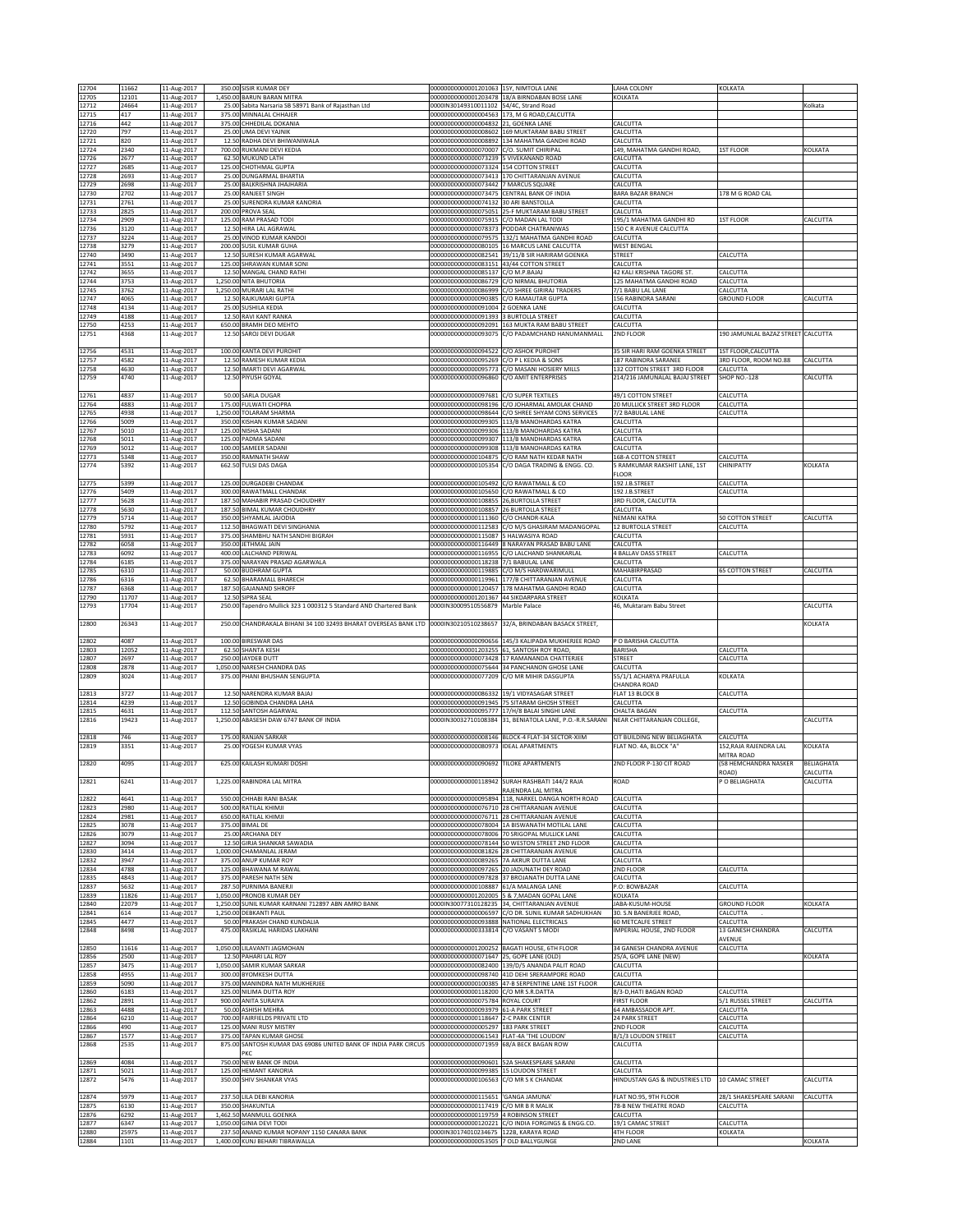| 12704          | 11662          | 11-Aug-2017                | 350.00 SISIR KUMAR DEY                                                                 | 00000000000001201063 15Y, NIMTOLA LANE                                              |                                                                                                  | LAHA COLONY                                       | KOLKATA                             |                            |
|----------------|----------------|----------------------------|----------------------------------------------------------------------------------------|-------------------------------------------------------------------------------------|--------------------------------------------------------------------------------------------------|---------------------------------------------------|-------------------------------------|----------------------------|
| 12705<br>12712 | 12101<br>24664 | 11-Aug-2017<br>11-Aug-2017 | 1,450.00 BARUN BARAN MITRA<br>25.00 Sabita Narsaria SB 58971 Bank of Rajasthan Ltd     | 0000IN30149310011102 54/4C, Strand Road                                             | 00000000000001203478 18/A BIRNDABAN BOSE LANE                                                    | KOLKATA                                           |                                     | Kolkata                    |
| 12715          | 417            | 11-Aug-2017                | 375.00 MINNALAL CHHAJER                                                                |                                                                                     | 00000000000000004563 173, M G ROAD, CALCUTTA                                                     |                                                   |                                     |                            |
| 12716          | 442            | 11-Aug-2017                | 375.00 CHHEDILAL DOKANIA                                                               | 00000000000000004832 21, GOENKA LANE                                                |                                                                                                  | CALCUTTA                                          |                                     |                            |
| 12720<br>12721 | 797<br>820     | 11-Aug-2017<br>11-Aug-2017 | 25.00 UMA DEVI YAJNIK<br>12.50 RADHA DEVI BHIWANIWALA                                  | 00000000000000008892                                                                | 000000000000000008602 169 MUKTARAM BABU STREET<br>134 MAHATMA GANDHI ROAD                        | CALCUTTA<br>CALCUTTA                              |                                     |                            |
| 12724          | 2340           | 11-Aug-2017                | 700.00 RUKMANI DEVI KEDIA                                                              | 00000000000000070007 C/O. SUMIT CHIRIPAL                                            |                                                                                                  | 149, MAHATMA GANDHI ROAD,                         | <b>1ST FLOOR</b>                    | KOLKATA                    |
| 12726<br>12727 | 2677<br>2685   | 11-Aug-2017                | 62.50 MUKUND LATH<br>125.00 CHOTHMAL GUPTA                                             | 00000000000000073239 5 VIVEKANAND ROAD<br>00000000000000073324 154 COTTON STREET    |                                                                                                  | CALCUTTA                                          |                                     |                            |
| 12728          | 2693           | 11-Aug-2017<br>11-Aug-2017 | 25.00 DUNGARMAL BHARTIA                                                                |                                                                                     | 00000000000000073413 170 CHITTARANJAN AVENUE                                                     | CALCUTTA<br>CALCUTTA                              |                                     |                            |
| 12729          | 2698           | 11-Aug-2017                | 25.00 BALKRISHNA JHAJHARIA                                                             | 00000000000000073442 7 MARCUS SQUARE                                                |                                                                                                  | CALCUTTA                                          |                                     |                            |
| 12730<br>12731 | 2702<br>2761   | 11-Aug-2017<br>11-Aug-2017 | 25.00 RANJEET SINGH<br>25.00 SURENDRA KUMAR KANORIA                                    | 00000000000000073475 CENTRAL BANK OF INDIA<br>00000000000000074132 30 ARI BANSTOLLA |                                                                                                  | BARA BAZAR BRANCH<br>CALCUTTA                     | 178 M G ROAD CAL                    |                            |
| 12733          | 2825           | 11-Aug-2017                | 200.00 PROVA SEAL                                                                      | 00000000000000075051                                                                | 25-F MUKTARAM BABU STREET                                                                        | CALCUTTA                                          |                                     |                            |
| 12734          | 2909           | 11-Aug-2017                | 125.00 RAM PRASAD TODI                                                                 | 00000000000000075915 C/O MADAN LAL TODI                                             |                                                                                                  | 195/1 MAHATMA GANDHI RD                           | 1ST FLOOR                           | CALCUTTA                   |
| 12736<br>12737 | 3120<br>3224   | 11-Aug-2017<br>11-Aug-2017 | 12.50 HIRA LAL AGRAWAL<br>25.00 VINOD KUMAR KANDO                                      | 00000000000000078373 PODDAR CHATRANIWAS<br>0000000000000079575                      | 132/1 MAHATMA GANDHI ROAD                                                                        | 150 C R AVENUE CALCUTTA<br>CALCUTTA               |                                     |                            |
| 12738          | 3279           | 11-Aug-2017                | 200.00 SUSIL KUMAR GUHA                                                                | 00000000000000080105                                                                | 16 MARCUS LANE CALCUTTA                                                                          | <b>WEST BENGAL</b>                                |                                     |                            |
| 12740<br>12741 | 3490<br>3551   | 11-Aug-2017<br>11-Aug-2017 | 12.50 SURESH KUMAR AGARWAL<br>125.00 SHRAWAN KUMAR SONI                                | 00000000000000083151 43/44 COTTON STREET                                            | 00000000000000082541 39/11/B SIR HARIRAM GOENKA                                                  | STREET<br>CALCUTTA                                | CALCUTTA                            |                            |
| 12742          | 3655           | 11-Aug-2017                | 12.50 MANGAL CHAND RATHI                                                               | 00000000000000085137                                                                | C/O M.P. BAIAI                                                                                   | 42 KALI KRISHNA TAGORE ST.                        | <b>ALCUTTA</b>                      |                            |
| 12744          | 3753           | 11-Aug-2017                | 1,250.00 NITA BHUTORIA                                                                 | 0000000000000086729<br>00000000000000086999                                         | C/O NIRMAL BHUTORIA                                                                              | 125 MAHATMA GANDHI ROAD                           | ALCUTTA                             |                            |
| 12745<br>12747 | 3762<br>4065   | 11-Aug-2017<br>11-Aug-2017 | 1,250.00 MURARI LAL RATHI<br>12.50 RAJKUMARI GUPTA                                     | 00000000000000090385                                                                | C/O SHREE GIRIRAJ TRADERS<br>C/O RAMAUTAR GUPTA                                                  | 7/1 BABU LAL LANE<br>156 RABINDRA SARANI          | CALCUTTA<br><b>GROUND FLOOR</b>     | CALCUTTA                   |
| 12748          | 4134           | 11-Aug-2017                | 25.00 SUSHILA KEDIA                                                                    | 00000000000000091004                                                                | 2 GOENKA LANE                                                                                    | CALCUTTA                                          |                                     |                            |
| 12749<br>12750 | 4188<br>4253   | 11-Aug-2017<br>11-Aug-2017 | 12.50 RAVI KANT RANKA<br>650.00 BRAMH DEO MEHTO                                        | 00000000000000091393<br>00000000000000092091                                        | 3 BURTOLLA STREET<br>163 MUKTA RAM BABU STREET                                                   | CALCUTTA<br>CALCUTTA                              |                                     |                            |
| 12751          | 4368           | 11-Aug-2017                | 12.50 SAROJ DEVI DUGAR                                                                 |                                                                                     | 00000000000000093075 C/O PADAMCHAND HANUMANMALL                                                  | 2ND FLOOR                                         | 190 JAMUNLAL BAZAZ STREET CALCUTTA  |                            |
| 12756          | 4531           | 11-Aug-2017                | 100.00 KANTA DEVI PUROHIT                                                              | 00000000000000094522 C/O ASHOK PUROHIT                                              |                                                                                                  | 35 SIR HARI RAM GOENKA STREET                     | 1ST FLOOR, CALCUTTA                 |                            |
| 12757          | 4582           | 11-Aug-2017                | 12.50 RAMESH KUMAR KEDIA                                                               | 00000000000000095269                                                                | C/O P L KEDIA & SONS                                                                             | 187 RABINDRA SARANEE                              | 3RD FLOOR, ROOM NO.88               | CALCUTTA                   |
| 12758          | 4630           | 11-Aug-2017                | 12.50 IMARTI DEVI AGARWAL                                                              | 0000000000000095773                                                                 | C/O MASANI HOSIERY MILLS                                                                         | 132 COTTON STREET 3RD FLOOR                       | CALCUTTA                            |                            |
| 12759          | 4740           | 11-Aug-2017                | 12.50 PIYUSH GOYAL                                                                     | 00000000000000096860 C/O AMIT ENTERPRISES                                           |                                                                                                  | 214/216 JAMUNALAL BAJAJ STREET                    | <b>SHOP NO.-128</b>                 | CALCUTTA                   |
| 12761          | 4837           | 11-Aug-2017                | 50.00 SARLA DUGAR                                                                      | 00000000000000097681                                                                | C/O SUPER TEXTILES                                                                               | 49/1 COTTON STREET                                | CALCUTTA                            |                            |
| 12764          | 4883<br>4938   | 11-Aug-2017                | 175.00 FULWATI CHOPRA                                                                  | 0000000000000098196<br>00000000000000098644                                         | C/O JOHARMAL AMOLAK CHAND                                                                        | 20 MULLICK STREET 3RD FLOOR<br>7/2 BABULAL LANE   | CALCUTTA<br>CALCUTTA                |                            |
| 12765<br>12766 | 5009           | 11-Aug-2017<br>11-Aug-2017 | 1,250.00 TOLARAM SHARMA<br>350.00 KISHAN KUMAR SADANI                                  | 0000000000000099305                                                                 | C/O SHREE SHYAM CONS SERVICES<br>113/B MANOHARDAS KATRA                                          | CALCUTTA                                          |                                     |                            |
| 12767          | 5010           | 11-Aug-2017                | 125.00 NISHA SADANI                                                                    | 0000000000000099306                                                                 | 113/B MANOHARDAS KATRA                                                                           | CALCUTTA                                          |                                     |                            |
| 12768<br>12769 | 5011<br>5012   | 11-Aug-2017<br>11-Aug-2017 | 125.00 PADMA SADANI<br>100.00 SAMEER SADANI                                            | 00000000000000099307                                                                | 113/B MANDHARDAS KATRA<br>00000000000000099308 113/B MANOHARDAS KATRA                            | CALCUTTA<br>CALCUTTA                              |                                     |                            |
| 12773          | 5348           | 11-Aug-2017                | 350.00 RAMNATH SHAW                                                                    |                                                                                     | 00000000000000104875 C/O RAM NATH KEDAR NATH                                                     | 168-A COTTON STREET                               | CALCUTTA                            |                            |
| 12774          | 5392           | 11-Aug-2017                | 662.50 TULSI DAS DAGA                                                                  |                                                                                     | 000000000000000105354 C/O DAGA TRADING & ENGG. CO.                                               | 5 RAMKUMAR RAKSHIT LANE, 1ST<br><b>FLOOR</b>      | CHINIPATTY                          | KOLKATA                    |
| 12775          | 5399           | 11-Aug-2017                | 125.00 DURGADEBI CHANDAK                                                               | 000000000000000105492 C/O RAWATMALL & CO                                            |                                                                                                  | 192 J.B.STREET                                    | CALCUTTA                            |                            |
| 12776          | 5409           | 11-Aug-2017                | 300.00 RAWATMALL CHANDAK                                                               | 00000000000000105650                                                                | C/O RAWATMALL & CO                                                                               | 192 J.B.STREET                                    | CALCUTTA                            |                            |
| 12777<br>12778 | 5628<br>5630   | 11-Aug-2017<br>11-Aug-2017 | 187.50 MAHABIR PRASAD CHOUDHRY<br>187.50 BIMAL KUMAR CHOUDHRY                          | 20000000000000108855<br>00000000000000108857                                        | 26.BURTOLLA STREET<br>26 BURTOLLA STREET                                                         | 3RD FLOOR, CALCUTTA<br>CALCUTTA                   |                                     |                            |
| 12779          | 5714           | 11-Aug-2017                | 350.00 SHYAMLAL JAJODIA                                                                | 00000000000000111360                                                                | C/O CHANDR-KALA                                                                                  | NEMANI KATRA                                      | 50 COTTON STREET                    | CALCUTTA                   |
| 12780          | 5792           | 11-Aug-2017                | 112.50 BHAGWATI DEVI SINGHANIA                                                         | 00000000000000112583                                                                | C/O M/S GHASIRAM MADANGOPAL                                                                      | 12 BURTOLLA STREET                                | CALCUTTA                            |                            |
| 12781<br>12782 | 5931<br>6058   | 11-Aug-2017<br>11-Aug-2017 | 375.00 SHAMBHU NATH SANDHI BIGRAH<br>350.00 JETHMAL JAIN                               | 00000000000000115087<br>00000000000000116449                                        | 5 HALWASIYA ROAD<br>3 NARAYAN PRASAD BABU LANE                                                   | CALCUTTA<br>CALCUTTA                              |                                     |                            |
| 12783          | 6092           | 11-Aug-2017                | 400.00 LALCHAND PERIWAL                                                                | 00000000000000116955                                                                | C/O LALCHAND SHANKARLAL                                                                          | 4 BALLAV DASS STREET                              | CALCUTTA                            |                            |
| 12784<br>12785 | 6185<br>6310   | 11-Aug-2017<br>11-Aug-2017 | 375.00 NARAYAN PRASAD AGARWALA<br>50.00 BUDHRAM GUPTA                                  | 00000000000000118238<br>00000000000000119885                                        | 7/1 BABULAL LANE<br>C/O M/S HARDWARIMULL                                                         | CALCUTTA<br>MAHABIRPRASAD                         | <b>55 COTTON STREET</b>             | CALCUTTA                   |
| 12786          | 6316           | 11-Aug-2017                | 62.50 BHARAMALL BHARECH                                                                | 00000000000000119961                                                                | 177/B CHITTARANJAN AVENUE                                                                        | CALCUTTA                                          |                                     |                            |
| 12787          | 6368           | 11-Aug-2017                | 187.50 GAJANAND SHROFF                                                                 | 00000000000000120457                                                                | 178 MAHATMA GANDHI ROAD                                                                          | CALCUTTA                                          |                                     |                            |
| 12790<br>12793 | 11707<br>17704 | 11-Aug-2017<br>11-Aug-2017 | 12.50 SIPRA SEAL<br>250.00 Tapendro Mullick 323 1 000312 5 Standard AND Chartered Bank | 00000000000001201367 44 SIKDARPARA STREET<br>0000IN30009510556879                   | Marble Palace                                                                                    | KOLKATA<br>46. Muktaram Babu Street               |                                     | CALCUTTA                   |
|                |                |                            |                                                                                        |                                                                                     |                                                                                                  |                                                   |                                     |                            |
| 12800          | 26343          | 11-Aug-2017                | 250.00 CHANDRAKALA BIHANI 34 100 32493 BHARAT OVERSEAS BANK LTD 0000IN30210510238657   |                                                                                     | 32/A, BRINDABAN BASACK STREET,                                                                   |                                                   |                                     | KOLKATA                    |
| 12802          | 4087           | 11-Aug-2017                | 100.00 BIRESWAR DAS                                                                    |                                                                                     | 00000000000000090656 145/3 KALIPADA MUKHERJEE ROAD                                               | P O BARISHA CALCUTTA                              |                                     |                            |
| 12803<br>12807 | 12052<br>2697  | 11-Aug-2017<br>11-Aug-2017 | 62.50 SHANTA KESH<br>250.00 JAYDEB DUTT                                                | 00000000000001203255                                                                | 61, SANTOSH ROY ROAD<br>00000000000000073428 17 RAMANANDA CHATTERJEE                             | BARISHA<br><b>STREET</b>                          | ALCUTTA<br>CALCUTTA                 |                            |
| 12808          | 2878           | 11-Aug-2017                | 1,050.00 NARESH CHANDRA DAS                                                            |                                                                                     | 00000000000000075644 34 PANCHANON GHOSE LANE                                                     | CALCUTTA                                          |                                     |                            |
| 12809          | 3024           | 11-Aug-2017                | 375.00 PHANI BHUSHAN SENGUPTA                                                          | 00000000000000077209                                                                | C/O MR MIHIR DASGUPTA                                                                            | 55/1/1 ACHARYA PRAFULLA                           | KOLKATA                             |                            |
| 12813          | 3727           | 11-Aug-2017                | 12.50 NARENDRA KUMAR BAJAJ                                                             |                                                                                     | 00000000000000086332 19/1 VIDYASAGAR STREET                                                      | CHANDRA ROAD<br>FLAT 13 BLOCK B                   | CALCUTTA                            |                            |
| 12814          | 4239           | 11-Aug-2017                | 12.50 GOBINDA CHANDRA LAHA                                                             | 00000000000000091945                                                                | <b>75 SITARAM GHOSH STREET</b>                                                                   | CALCUTTA                                          |                                     |                            |
| 12815<br>12816 | 4631<br>19423  | 11-Aug-2017<br>11-Aug-2017 | 112.50 SANTOSH AGARWAL<br>1,250.00 ABASESH DAW 6747 BANK OF INDIA                      | 0000000000000095777<br>0000IN30032710108384                                         | 17/H/8 BALAI SINGHI LANE<br>31, BENIATOLA LANE, P.O.-R.R.SARANI                                  | <b>CHALTA BAGAN</b><br>NEAR CHITTARANJAN COLLEGE, | CALCUTTA                            | <b>ALCUTTA</b>             |
|                |                |                            |                                                                                        |                                                                                     |                                                                                                  |                                                   |                                     |                            |
| 12818          | 746            | 11-Aug-2017                | 175.00 RANJAN SARKAR                                                                   |                                                                                     | 00000000000000008146 BLOCK-4 FLAT-34 SECTOR-XIIM                                                 | CIT BUILDING NEW BELIAGHATA                       | CALCUTTA                            |                            |
| 12819          | 3351           | 11-Aug-2017                | 25.00 YOGESH KUMAR VYAS                                                                | 00000000000000080973                                                                | <b>IDEAL APARTMENT!</b>                                                                          | FLAT NO. 4A, BLOCK "A'                            | 152,RAJA RAJENDRA LAL<br>MITRA ROAD | KOLKATA                    |
| 12820          | 4095           | 11-Aug-2017                | 625.00 KAILASH KUMARI DOSHI                                                            | 00000000000000090692 TILOKE APARTMENTS                                              |                                                                                                  | 2ND FLOOR P-130 CIT ROAD                          | 58 HEMCHANDRA NASKER                | BELIAGHATA                 |
| 12821          | 6241           | 11-Aug-2017                | 1,225.00 RABINDRA LAL MITRA                                                            |                                                                                     | 000000000000000118942  SURAH RASHBATI 144/2 RAJA                                                 | ROAD                                              | ROAD)<br>O BELIAGHATA               | CALCUTTA<br><b>ALCUTTA</b> |
|                |                |                            |                                                                                        |                                                                                     | RAJENDRA LAL MITRA                                                                               |                                                   |                                     |                            |
| 12822          | 4641           | 11-Aug-2017                | 550.00 CHHABI RANI BASAK                                                               | 00000000000000095894                                                                | 118, NARKEL DANGA NORTH ROAD                                                                     | CALCUTTA                                          |                                     |                            |
| 12823<br>12824 | 2980<br>2981   | 11-Aug-2017<br>11-Aug-2017 | 500.00 RATILAL KHIMJI<br>650.00 RATILAL KHIMJI                                         |                                                                                     | 00000000000000076710 28 CHITTARANJAN AVENUE<br>00000000000000076711 28 CHITTARANJAN AVENUE       | CALCUTTA<br>CALCUTTA                              |                                     |                            |
| 12825          | 3078           | 11-Aug-2017                | 375.00 BIMAL DE                                                                        |                                                                                     | 00000000000000078004 1A BISWANATH MOTILAL LANE                                                   | CALCUTTA                                          |                                     |                            |
| 12826<br>12827 | 3079<br>3094   | 11-Aug-2017<br>11-Aug-2017 | 25.00 ARCHANA DEY<br>12.50 GIRJA SHANKAR SAWADIA                                       |                                                                                     | 00000000000000078006 70 SRIGOPAL MULLICK LANE<br>00000000000000078144 50 WESTON STREET 2ND FLOOR | CALCUTTA<br>CALCUTTA                              |                                     |                            |
| 12830          | 3414           | 11-Aug-2017                | 1,000.00 CHAMANLAL JERAM                                                               |                                                                                     | 00000000000000081826 28 CHITTARANJAN AVENUE                                                      | CALCUTTA                                          |                                     |                            |
| 12832          | 3947           | 11-Aug-2017                | 375.00 ANUP KUMAR ROY                                                                  | 000000000000000089265 7A AKRUR DUTTA LANE                                           |                                                                                                  | CALCUTTA                                          |                                     |                            |
| 12834<br>12835 | 4788<br>4843   | 11-Aug-2017<br>11-Aug-2017 | 125.00 BHAWANA M RAWAL<br>375.00 PARESH NATH SEN                                       | 0000000000000097265                                                                 | 20 JADUNATH DEY ROAD<br>00000000000000097828 37 BROJANATH DUTTA LANE                             | 2ND FLOOR<br>CALCUTTA                             | ALCUTTA                             |                            |
| 12837          | 5632           | 11-Aug-2017                | 287.50 PURNIMA BANERJI                                                                 | 000000000000000108887 61/A MALANGA LANE                                             |                                                                                                  | P.O: BOWBAZAR                                     | CALCUTTA                            |                            |
| 12839<br>12840 | 11826<br>22079 | 11-Aug-2017<br>11-Aug-2017 | 1,050.00 PRONOB KUMAR DEY<br>1,250.00 SUNIL KUMAR KARNANI 712897 ABN AMRO BANK         |                                                                                     | 00000000000001202005 5 & 7, MADAN GOPAL LANE<br>0000IN30077310128235 34, CHITTARANJAN AVENUE     | KOLKATA<br>JABA-KUSUM-HOUSE                       | <b>SROUND FLOOR</b>                 | KOLKATA                    |
| 12841          | 614            | 11-Aug-2017                | 1,250.00 DEBKANTI PAUL                                                                 |                                                                                     | 00000000000000006597 C/O DR. SUNIL KUMAR SADHUKHAN                                               | 30. S.N BANERJEE ROAD,                            | CALCUTTA                            |                            |
| 12845<br>12848 | 4477<br>8498   | 11-Aug-2017<br>11-Aug-2017 | 50.00 PRAKASH CHAND KUNDALIA<br>475.00 RASIKLAL HARIDAS LAKHANI                        | 00000000000000093888 NATIONAL ELECTRICALS<br>00000000000000333814 C/O VASANT S MODI |                                                                                                  | 60 METCALFE STREET<br>IMPERIAL HOUSE, 2ND FLOOR   | CALCUTTA<br>13 GANESH CHANDRA       | CALCUTTA                   |
|                |                |                            |                                                                                        |                                                                                     |                                                                                                  |                                                   | AVENUE                              |                            |
| 12850          | 11616          | 11-Aug-2017                | 1,050.00 LILAVANTI JAGMOHAN                                                            |                                                                                     | 00000000000001200252 BAGATI HOUSE, 6TH FLOOR                                                     | 34 GANESH CHANDRA AVENUE                          | CALCUTTA                            |                            |
| 12856<br>12857 | 2500<br>3475   | 11-Aug-2017<br>11-Aug-2017 | 12.50 PAHARI LAL ROY<br>1,050.00 SAMIR KUMAR SARKAR                                    | 00000000000000071647 25, GOPE LANE (OLD)<br>00000000000000082400                    | 139/D/5 ANANDA PALIT ROAD                                                                        | 25/A, GOPE LANE (NEW)<br>CALCUTTA                 |                                     | KOLKATA                    |
| 12858          | 4955           | 11-Aug-2017                | 300.00 BYOMKESH DUTTA                                                                  |                                                                                     | 00000000000000098740 41D DEHI SRERAMPORE ROAD                                                    | CALCUTTA                                          |                                     |                            |
| 12859<br>12860 | 5090<br>6183   | 11-Aug-2017<br>11-Aug-2017 | 375.00 MANINDRA NATH MUKHERJEE<br>325.00 NILIMA DUTTA ROY                              | 00000000000000118200 C/O MR S.R.DATTA                                               | 00000000000000100385 47-B SERPENTINE LANE 1ST FLOOR                                              | CALCUTTA<br>8/3-D, HATI BAGAN ROAD                | CALCUTTA                            |                            |
| 12862          | 2891           | 11-Aug-2017                | 900.00 ANITA SURAIYA                                                                   | 00000000000000075784 ROYAL COURT                                                    |                                                                                                  | <b>FIRST FLOOR</b>                                | 5/1 RUSSEL STREET                   | CALCUTTA                   |
| 12863          | 4488           | 11-Aug-2017                | 50.00 ASHISH MEHRA                                                                     | 00000000000000093979 61-A PARK STREET                                               |                                                                                                  | 64 AMBASSADOR APT.                                | CALCUTTA                            |                            |
| 12864<br>12866 | 6210<br>490    | 11-Aug-2017<br>11-Aug-2017 | 700.00 FAIRFIELDS PRIVATE LTD<br>125.00 MANI RUSY MISTRY                               | 00000000000000118647 2-C PARK CENTER<br>00000000000000005297 183 PARK STREET        |                                                                                                  | 24 PARK STREET<br>2ND FLOOR                       | <b>CALCUTTA</b><br>CALCUTTA         |                            |
| 12867          | 1577           | 11-Aug-2017                | 375.00 TAPAN KUMAR GHOSE                                                               | 00000000000000061543 FLAT-4A 'THE LOUDON'                                           |                                                                                                  | 8/1/3 LOUDON STREET                               | CALCUTTA                            |                            |
| 12868          | 2535           | 11-Aug-2017                | 875.00 SANTOSH KUMAR DAS 69086 UNITED BANK OF INDIA PARK CIRCUS<br>PKC                 | 00000000000000071959 68/A BECK BAGAN ROW                                            |                                                                                                  | CALCUTTA                                          |                                     |                            |
| 12869          | 4084           | 11-Aug-2017                | 750.00 NEW BANK OF INDIA                                                               |                                                                                     | 00000000000000090601 52A SHAKESPEARE SARANI                                                      | CALCUTTA                                          |                                     |                            |
| 12871<br>12872 | 5021<br>5476   | 11-Aug-2017                | 125.00 HEMANT KANORIA<br>350.00 SHIV SHANKAR VYAS                                      | 00000000000000099385 15 LOUDON STREET<br>00000000000000106563 C/O MR S K CHANDAK    |                                                                                                  | CALCUTTA<br>HINDUSTAN GAS & INDUSTRIES LTD        | 10 CAMAC STREET                     | CALCUTTA                   |
|                |                | 11-Aug-2017                |                                                                                        |                                                                                     |                                                                                                  |                                                   |                                     |                            |
| 12874          | 5979           | 11-Aug-2017                | 237.50 LILA DEBI KANORIA                                                               | 00000000000000115651 'GANGA JAMUNA'                                                 |                                                                                                  | FLAT NO.95, 9TH FLOOR                             | 28/1 SHAKESPEARE SARANI             | CALCUTTA                   |
| 12875<br>12876 | 6130<br>6292   | 11-Aug-2017<br>11-Aug-2017 | 350.00 SHAKUNTLA<br>1,462.50 MANMULL GOENKA                                            | 00000000000000117419 C/O MR B R MALIK<br>00000000000000119759 4 ROBINSON STREET     |                                                                                                  | 78-B NEW THEATRE ROAD<br>CALCUTTA                 | CALCUTTA                            |                            |
| 12877          | 6347           | 11-Aug-2017                | 1,050.00 GINIA DEVI TODI                                                               |                                                                                     | 00000000000000120221 C/O INDIA FORGINGS & ENGG.CO.                                               | 19/1 CAMAC STREET                                 | CALCUTTA                            |                            |
| 12880<br>12884 | 25975<br>1101  | 11-Aug-2017<br>11-Aug-2017 | 237.50 ANAND KUMAR NOPANY 1150 CANARA BANK<br>1,400.00 KUNJ BEHARI TIBRAWALLA          | 0000IN30174010234675 122B, KARAYA ROAD<br>00000000000000053505 7 OLD BALLYGUNGE     |                                                                                                  | 4TH FLOOR<br>2ND LANE                             | KOLKATA                             | KOLKATA                    |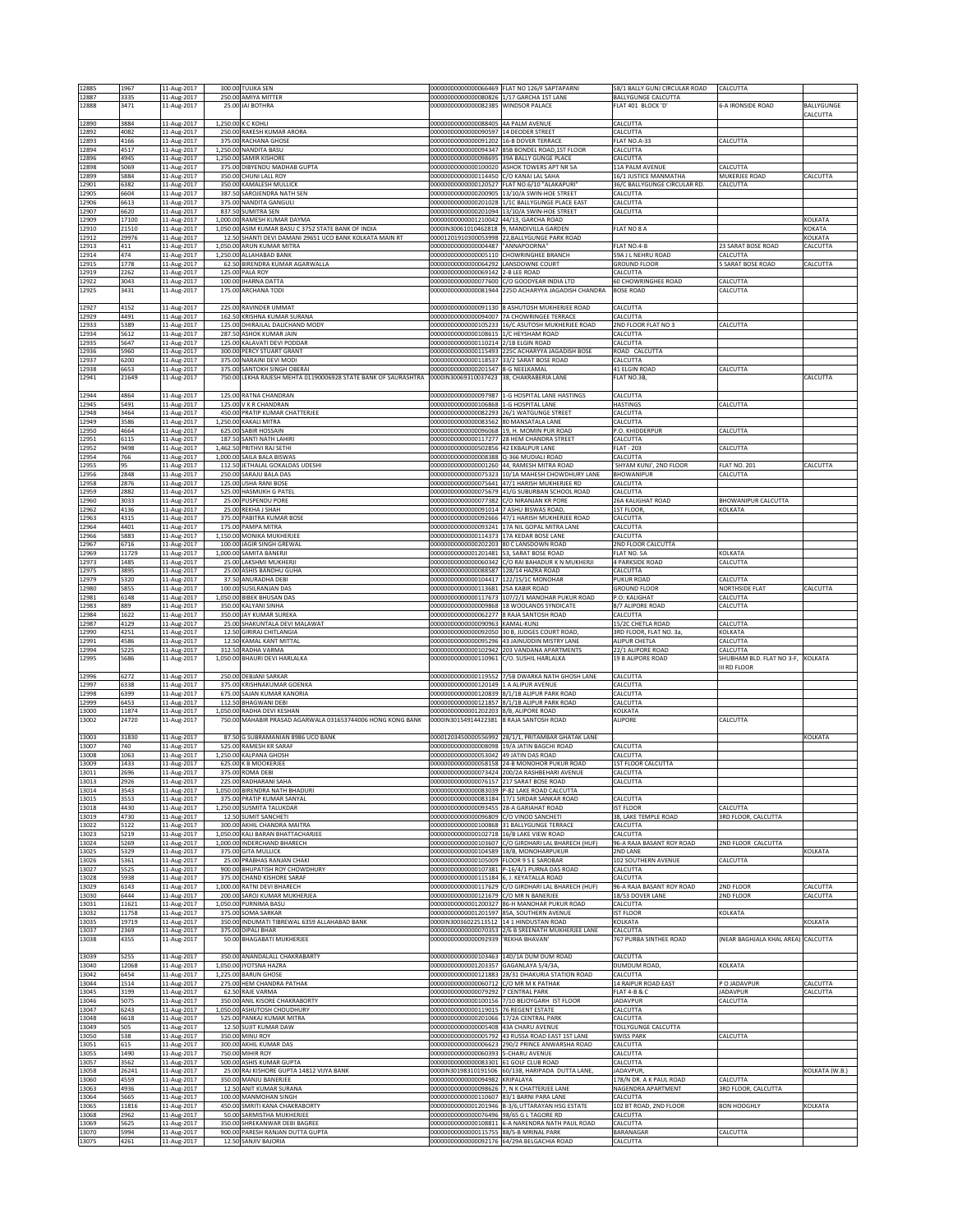| 12885          | 1967          | 11-Aug-2017                |          | 300.00 TULIKA SEN                                                                             |                                                                 | 00000000000000066469 FLAT NO 126/F SAPTAPARN                                                    | 58/1 BALLY GUNJ CIRCULAR ROAD             | CALCUTTA                                      |                |
|----------------|---------------|----------------------------|----------|-----------------------------------------------------------------------------------------------|-----------------------------------------------------------------|-------------------------------------------------------------------------------------------------|-------------------------------------------|-----------------------------------------------|----------------|
| 12887          | 3335          | 11-Aug-2017                |          | 250.00 AMIYA MITTER                                                                           | 000000000000000080826 1/17 GARCHA 1ST LANE                      |                                                                                                 | <b>BALLYGUNGE CALCUTTA</b>                |                                               |                |
| 12888          | 3471          | 11-Aug-2017                |          | 25.00 JAI BOTHRA                                                                              | 00000000000000082385 WINDSOR PALACE                             |                                                                                                 | FLAT 401 BLOCK 'D'                        | 6-A IRONSIDE ROAD                             | BALLYGUNGE     |
|                |               |                            |          |                                                                                               |                                                                 |                                                                                                 |                                           |                                               | CALCUTTA       |
| 12890          | 3884          | 11-Aug-2017                |          | 1.250.00 K C KOHLI                                                                            | 000000000000000088405 4A PALM AVENUE                            |                                                                                                 | CALCUTTA                                  |                                               |                |
| 12892<br>12893 | 4082<br>4166  | 11-Aug-2017<br>11-Aug-2017 |          | 250.00 RAKESH KUMAR ARORA<br>375.00 RACHANA GHOSE                                             | 00000000000000090597<br>00000000000000091202 16-B DOVER TERRACE | 14 DEODER STREET                                                                                | CALCUTTA<br>FLAT NO.A-33                  | CALCUTTA                                      |                |
| 12894          | 4517          | 11-Aug-2017                |          | 1,250.00 NANDITA BASU                                                                         |                                                                 | 00000000000000094347 85B BONDEL ROAD,1ST FLOOR                                                  | CALCUTTA                                  |                                               |                |
| 12896          | 4945          | 11-Aug-2017                |          | 1,250.00 SAMIR KISHORE                                                                        |                                                                 | 00000000000000098695 39A BALLY GUNGE PLACE                                                      | CALCUTTA                                  |                                               |                |
| 12898          | 5069          | 11-Aug-2017                |          | 375.00 DIBYENDU MADHAB GUPTA                                                                  |                                                                 | 000000000000000100020 ASHOK TOWERS APT NR 5A                                                    | 11A PALM AVENUE                           | CALCUTTA                                      |                |
| 12899          | 5884          | 11-Aug-2017                |          | 350.00 CHUNI LALL ROY                                                                         | 00000000000000114450 C/O KANAI LAL SAHA                         |                                                                                                 | 16/1 JUSTICE MANMATHA                     | MUKERJEE ROAD                                 | CALCUTTA       |
| 12901          | 6382          | 11-Aug-2017                |          | 350.00 KAMALESH MULLICK                                                                       |                                                                 | 00000000000000120527 FLAT NO.6/10 "ALAKAPURI"<br>13/10/A SWIN-HOF STREET                        | 36/C BALLYGUNGE CIRCULAR RD.              | CALCUTTA                                      |                |
| 12905<br>12906 | 6604<br>6613  | 11-Aug-2017<br>11-Aug-2017 | 375.00   | 387.50 SAROJENDRA NATH SEN<br>NANDITA GANGULI                                                 | 00000000000000200905<br>00000000000000201028                    | 1/1C BALLYGUNGE PLACE EAST                                                                      | CALCUTTA<br>CALCUTTA                      |                                               |                |
| 12907          | 6620          | 11-Aug-2017                |          | 837.50 SUMITRA SEN                                                                            |                                                                 | 00000000000000201094 13/10/A SWIN-HOE STREET                                                    | CALCUTTA                                  |                                               |                |
| 12909          | 17100         | 11-Aug-2017                |          | 1,000.00 RAMESH KUMAR DAYMA                                                                   | 00000000000001210042 44/13, GARCHA ROAD                         |                                                                                                 |                                           |                                               | KOLKATA        |
| 12910          | 21510         | 11-Aug-2017                |          | 1,050.00 ASIM KUMAR BASU C 3752 STATE BANK OF INDIA                                           | 0000IN30061010462818                                            | 9. MANDIVILLA GARDEN                                                                            | FLAT NO 8 A                               |                                               | KOKATA         |
| 12912          | 29976         | 11-Aug-2017                |          | 12.50 SHANTI DEVI DAMANI 29651 UCO BANK KOLKATA MAIN RT                                       |                                                                 | 00001201910300053998 22, BALLYGUNGE PARK ROAD                                                   |                                           |                                               | KOLKATA        |
| 12913          | 411           | 11-Aug-2017                |          | 1,050.00 ARUN KUMAR MITRA                                                                     | 00000000000000004487                                            | "ANNAPOORNA"                                                                                    | FLAT NO.4-B                               | 23 SARAT BOSE ROAD                            | CALCUTTA       |
| 12914<br>12915 | 474<br>1778   | 11-Aug-2017<br>11-Aug-2017 |          | 1,250.00 ALLAHABAD BANK<br>62.50 BIRENDRA KUMAR AGARWALLA                                     | 00000000000000005110 CHOWRINGHEE BRANCH<br>0000000000000064292  | LANSDOWNE COURT                                                                                 | 59A J L NEHRU ROAD<br><b>GROUND FLOOR</b> | CALCUTTA<br>SARAT BOSE ROAD                   | CALCUTTA       |
| 12919          | 2262          | 11-Aug-2017                |          | <b>125,00 PALA ROY</b>                                                                        | 0000000000000069142                                             | 2-B LEE ROAD                                                                                    | CALCUTTA                                  |                                               |                |
| 12922          | 3043          | 11-Aug-2017                |          | 100.00 JHARNA DATTA                                                                           | 00000000000000077600                                            | C/O GOODYEAR INDIA LTD                                                                          | 60 CHOWRINGHEE ROAD                       | CALCUTTA                                      |                |
| 12925          | 3431          | 11-Aug-2017                |          | 175.00 ARCHANA TODI                                                                           | 00000000000000081944                                            | 225D ACHARYYA JAGADISH CHANDRA                                                                  | <b>BOSE ROAD</b>                          | CALCUTTA                                      |                |
|                |               |                            |          |                                                                                               |                                                                 |                                                                                                 |                                           |                                               |                |
| 12927<br>12929 | 4152<br>4491  | 11-Aug-2017<br>11-Aug-2017 |          | 225.00 RAVINDER UMMAT<br>162.50 KRISHNA KUMAR SURANA                                          | 0000000000000094007                                             | 00000000000000091130 8 ASHUTOSH MUKHERJEE ROAD<br>7A CHOWRINGEE TERRACE                         | CALCUTTA<br>CALCUTTA                      |                                               |                |
| 12933          | 5389          | 11-Aug-2017                |          | 125.00 DHIRAJLAL DALICHAND MODY                                                               |                                                                 | 000000000000000105233 16/C ASUTOSH MUKHERJEE ROAD                                               | 2ND FLOOR FLAT NO 3                       | CALCUTTA                                      |                |
| 12934          | 5612          | 11-Aug-2017                |          | 287.50 ASHOK KUMAR JAIN                                                                       | 000000000000000108615 1/C HEYSHAM ROAD                          |                                                                                                 | CALCUTTA                                  |                                               |                |
| 12935          | 5647          | 11-Aug-2017                |          | 125.00 KALAVATI DEVI PODDAR                                                                   | 000000000000000110214 2/1B ELGIN ROAD                           |                                                                                                 | CALCUTTA                                  |                                               |                |
| 12936          | 5960          | 11-Aug-2017                |          | 300.00 PERCY STUART GRANT                                                                     | 00000000000000115493                                            | 225C ACHARYYA JAGADISH BOSE                                                                     | ROAD CALCUTTA                             |                                               |                |
| 12937          | 6200          | 11-Aug-2017                |          | 375.00 NARAINI DEVI MODI                                                                      | 00000000000000118537                                            | 33/2 SARAT BOSE ROAD                                                                            | CALCUTTA                                  |                                               |                |
| 12938<br>12941 | 6653<br>21649 | 11-Aug-2017<br>11-Aug-2017 |          | 375.00 SANTOKH SINGH OBERAI<br>750.00 LEKHA RAJESH MEHTA 01190006928 STATE BANK OF SAURASHTRA | 00000000000000201547 8-G NEELKAMAL<br>0000IN30069310037423      | 38. CHAKRABERIA LANE                                                                            | 41 ELGIN ROAD<br>FLAT NO.3B,              | CALCUTTA                                      | CALCUTTA       |
|                |               |                            |          |                                                                                               |                                                                 |                                                                                                 |                                           |                                               |                |
| 12944          | 4864          | 11-Aug-2017                |          | 125.00 RATNA CHANDRAN                                                                         |                                                                 | 00000000000000097987 1-G HOSPITAL LANE HASTINGS                                                 | CALCUTTA                                  |                                               |                |
| 12945          | 5491          | 11-Aug-2017                |          | 125.00 V K R CHANDRAN                                                                         | 00000000000000106868 1-G HOSPITAL LANE                          |                                                                                                 | <b>HASTINGS</b>                           | CALCUTTA                                      |                |
| 12948          | 3464          | 11-Aug-2017                |          | 450.00 PRATIP KUMAR CHATTERJEE                                                                |                                                                 | 00000000000000082293 26/1 WATGUNGE STREET                                                       | CALCUTTA                                  |                                               |                |
| 12949<br>12950 | 3586<br>4664  | 11-Aug-2017<br>11-Aug-2017 | 1,250.00 | KAKALI MITRA<br>625.00 SABIR HOSSAIN                                                          | 00000000000000083562                                            | 80 MANSATALA LANE<br>00000000000000096068 19, H. MOMIN PUR ROAD                                 | CALCUTTA<br>P.O. KHIDDERPUR               | CALCUTTA                                      |                |
| 12951          | 6115          | 11-Aug-2017                |          | 187.50 SANTI NATH LAHIRI                                                                      |                                                                 | 000000000000000117277 28 HEM CHANDRA STREET                                                     | CALCUTTA                                  |                                               |                |
| 12952          | 9498          | 11-Aug-2017                |          | 1,462.50 PRITHVI RAJ SETHI                                                                    | 000000000000000502856 42 EKBALPUR LANE                          |                                                                                                 | <b>FLAT - 203</b>                         | CALCUTTA                                      |                |
| 12954          | 766           | 11-Aug-2017                |          | 1,000.00 SAILA BALA BISWAS                                                                    | 00000000000000008388 Q-366 MUDIALI ROAD                         |                                                                                                 | CALCUTTA                                  |                                               |                |
| 12955          | 95            | 11-Aug-2017                |          | 112.50 JETHALAL GOKALDAS UDESHI                                                               |                                                                 | 00000000000000001260 44, RAMESH MITRA ROAD                                                      | 'SHYAM KUNJ', 2ND FLOOR                   | <b>FLAT NO. 201</b>                           | CALCUTTA       |
| 12956<br>12958 | 2848<br>2876  | 11-Aug-2017                |          | 250.00 SARAJU BALA DAS<br>125.00 USHA RANI BOSE                                               |                                                                 | 00000000000000075323 10/1A MAHESH CHOWDHURY LANE                                                | BHOWANIPUR<br>CALCUTTA                    | CALCUTTA                                      |                |
| 12959          | 2882          | 11-Aug-2017<br>11-Aug-2017 |          | 525.00 HASMUKH G PATEL                                                                        |                                                                 | 00000000000000075641 47/1 HARISH MUKHERJEE RD<br>00000000000000075679 41/G SUBURBAN SCHOOL ROAD | CALCUTTA                                  |                                               |                |
| 12960          | 3033          | 11-Aug-2017                |          | 25.00 PUSPENDU PORE                                                                           | 00000000000000077382 C/O NIRANJAN KR PORE                       |                                                                                                 | 26A KALIGHAT ROAD                         | BHOWANIPUR CALCUTTA                           |                |
| 12962          | 4136          | 11-Aug-2017                |          | 25.00 REKHA J SHAH                                                                            | 00000000000000091014 7 ASHU BISWAS ROAD,                        |                                                                                                 | 1ST FLOOR,                                | KOLKATA                                       |                |
| 12963          | 4315          | 11-Aug-2017                |          | 375.00 PABITRA KUMAR BOSE                                                                     |                                                                 | 00000000000000092666 47/1 HARISH MUKHERJEE ROAD                                                 | CALCUTTA                                  |                                               |                |
| 12964          | 4401          | 11-Aug-2017                |          | 175.00 PAMPA MITRA                                                                            | 00000000000000093241                                            | 17A NIL GOPAL MITRA LANE                                                                        | CALCUTTA                                  |                                               |                |
| 12966<br>12967 | 5883<br>6716  | 11-Aug-2017                |          | 1,150.00 MONIKA MUKHERJEE<br>100.00 JAGIR SINGH GREWAL                                        | 00000000000000114373<br>00000000000000202203 80 C LANSDOWN ROAD | 17A KEDAR BOSE LANE                                                                             | CALCUTTA<br>2ND FLOOR CALCUTTA            |                                               |                |
| 12969          | 11729         | 11-Aug-2017<br>11-Aug-2017 |          | 1,000.00 SAMITA BANERJI                                                                       | 00000000000001201481 53, SARAT BOSE ROAD                        |                                                                                                 | FLAT NO. 5A                               | KOLKATA                                       |                |
| 12973          | 1485          | 11-Aug-2017                |          | 25.00 LAKSHMI MUKHERJI                                                                        |                                                                 | 000000000000000060342 C/O RAI BAHADUR K N MUKHERJI                                              | 4 PARKSIDE ROAD                           | CALCUTTA                                      |                |
| 12975          | 3895          | 11-Aug-2017                |          | 25.00 ASHIS BANDHU GUHA                                                                       | 00000000000000088587                                            | 128/14 HAZRA ROAD                                                                               | CALCUTTA                                  |                                               |                |
| 12979          | 5320          | 11-Aug-2017                |          | 37.50 ANURADHA DEBI                                                                           | 000000000000000104417 122/1S/1C MONOHAR                         |                                                                                                 | PUKUR ROAD                                | CALCUTTA                                      |                |
| 12980<br>12981 | 5855<br>6148  | 11-Aug-2017<br>11-Aug-2017 |          | 100.00 SUSILRANJAN DAS<br>1,050.00 BIBEK BHUSAN DAS                                           | 000000000000000113681 25A KABIR ROAD<br>00000000000000117673    | 107/2/1 MANOHAR PUKUR ROAD                                                                      | <b>GROUND FLOOR</b><br>P.O: KALIGHAT      | NORTHSIDE FLAT<br>CALCUTTA                    | CALCUTTA       |
| 12983          | 889           | 11-Aug-2017                |          | 350.00 KALYANI SINHA                                                                          |                                                                 | 0000000000000009868 38 WOOLANDS SYNDICATE                                                       | 8/7 ALIPORE ROAD                          | CALCUTTA                                      |                |
| 12984          | 1622          | 11-Aug-2017                |          | 350.00 JAY KUMAR SUREKA                                                                       | 00000000000000062277 8 RAJA SANTOSH ROAD                        |                                                                                                 | CALCUTTA                                  |                                               |                |
| 12987          | 4129          | 11-Aug-2017                |          | 25.00 SHAKUNTALA DEVI MALAWAT                                                                 | 00000000000000090963                                            | KAMAL-KUNJ                                                                                      | 15/2C CHETLA ROAD                         | CALCUTTA                                      |                |
| 12990          | 4251          | 11-Aug-2017                |          | 12.50 GIRIRAJ CHITLANGIA                                                                      |                                                                 | 00000000000000092050 30 B, JUDGES COURT ROAD                                                    | 3RD FLOOR, FLAT NO. 3a,                   | KOLKATA                                       |                |
| 12991          | 4586          | 11-Aug-2017                |          | 12.50 KAMAL KANT MITTAL                                                                       | 00000000000000095296                                            | 43 JAINUDDIN MISTRY LANE                                                                        | ALIPUR CHETLA                             | <b>CALCUTTA</b>                               |                |
| 12994<br>12995 | 5225<br>5686  | 11-Aug-2017<br>11-Aug-2017 |          | 312.50 RADHA VARMA<br>1,050.00 BHAURI DEVI HARLALKA                                           | 000000000000000110961 C/O. SUSHIL HARLALKA                      | 000000000000000102942 203 VANDANA APARTMENTS                                                    | 22/1 ALIPORE ROAD<br>19 B ALIPORE ROAD    | CALCUTTA<br>SHUBHAM BLD. FLAT NO 3-F, KOLKATA |                |
|                |               |                            |          |                                                                                               |                                                                 |                                                                                                 |                                           | <b>II RD FLOOR</b>                            |                |
| 12996          | 6272          | 11-Aug-2017                |          | 250.00 DEBJANI SARKAR                                                                         | 00000000000000119552                                            | 7/5B DWARKA NATH GHOSH LANE                                                                     | CALCUTTA                                  |                                               |                |
| 12997          | 6338          | 11-Aug-2017                |          | 375.00 KRISHNAKUMAR GOENKA                                                                    | 00000000000000120149 1 A ALIPUR AVENUE                          |                                                                                                 | CALCUTTA                                  |                                               |                |
| 12998          | 6399          | 11-Aug-2017                |          | 675.00 SAJAN KUMAR KANORIA                                                                    | 00000000000000120839                                            | 8/1/1B ALIPUR PARK ROAD<br>8/1/1B ALIPUR PARK ROAD                                              | CALCUTTA                                  |                                               |                |
| 12999<br>13000 | 6453<br>11874 | 11-Aug-2017<br>11-Aug-2017 |          | 112.50 BHAGWANI DEBI<br>1,050.00 RADHA DEVI KESHAN                                            | 0000000000000121857<br>00000000000001202203 8/B, ALIPORE ROAD   |                                                                                                 | CALCUTTA<br><b>COLKATA</b>                |                                               |                |
| 13002          | 24720         | 11-Aug-2017                |          | 750.00 MAHABIR PRASAD AGARWALA 031653744006 HONG KONG BANK                                    | 0000IN30154914422381 8 RAJA SANTOSH ROAD                        |                                                                                                 | ALIPORE                                   | CALCUTTA                                      |                |
|                |               |                            |          |                                                                                               |                                                                 |                                                                                                 |                                           |                                               |                |
| 13003          | 31830         | 11-Aug-2017                |          | 87.50 G SUBRAMANIAN 8986 UCO BANK                                                             |                                                                 | 00001203450000556992 28/1/1, PRITAMBAR GHATAK LANE                                              |                                           |                                               | KOLKATA        |
| 13007          | 740           | 11-Aug-2017                |          | 525.00 RAMESH KR SARAF                                                                        | 00000000000000008098                                            | 19/A JATIN BAGCHI ROAD                                                                          | CALCUTTA                                  |                                               |                |
| 13008          | 1063          | 11-Aug-2017                |          | 1,250.00 KALPANA GHOSH                                                                        | 00000000000000053042 49 JATIN DAS ROAD                          |                                                                                                 | CALCUTTA                                  |                                               |                |
| 13009<br>13011 | 1433<br>2696  | 11-Aug-2017<br>11-Aug-2017 |          | 625.00 K B MOOKERJEE<br>375.00 ROMA DEBI                                                      |                                                                 | 00000000000000058158 24-B MONOHOR PUKUR ROAD<br>00000000000000073424 200/2A RASHBEHARI AVENUE   | 1ST FLOOR CALCUTTA<br>CALCUTTA            |                                               |                |
| 13013          | 2926          | 11-Aug-2017                |          | 225.00 RADHARANI SAHA                                                                         | 000000000000000076157  217 SARAT BOSE ROAD                      |                                                                                                 | CALCUTTA                                  |                                               |                |
| 13014          | 3543          | 11-Aug-2017                |          | 1,050.00 BIRENDRA NATH BHADURI                                                                |                                                                 | 000000000000000083039 P-82 LAKE ROAD CALCUTTA                                                   |                                           |                                               |                |
| 13015          | 3553          | 11-Aug-2017                |          | 375.00 PRATIP KUMAR SANYAL                                                                    |                                                                 | 000000000000000083184 17/1 SIRDAR SANKAR ROAD                                                   | CALCUTTA                                  |                                               |                |
| 13018          | 4430          | 11-Aug-2017                |          | 1,250.00 SUSMITA TALUKDAR                                                                     | 00000000000000093455 28-A GARIAHAT ROAD                         |                                                                                                 | <b>IST FLOOR</b>                          | CALCUTTA                                      |                |
| 13019<br>13022 | 4730<br>5122  | 11-Aug-2017<br>11-Aug-2017 |          | 12.50 SUMIT SANCHETI<br>300.00 AKHIL CHANDRA MAITRA                                           | 00000000000000096809 C/O VINOD SANCHETI                         | 00000000000000100868 31 BALLYGUNGE TERRACE                                                      | 38, LAKE TEMPLE ROAD<br>CALCUTTA          | 3RD FLOOR, CALCUTTA                           |                |
| 13023          | 5219          | 11-Aug-2017                |          | 1,050.00 KALI BARAN BHATTACHARJEE                                                             | 000000000000000102718 16/B LAKE VIEW ROAD                       |                                                                                                 | CALCUTTA                                  |                                               |                |
| 13024          | 5269          | 11-Aug-2017                |          | 1,000.00 INDERCHAND BHARECH                                                                   |                                                                 | 000000000000000103607 C/O GIRDHARI LAL BHARECH (HUF)                                            | 96-A RAJA BASANT ROY ROAD                 | 2ND FLOOR CALCUTTA                            |                |
| 13025          | 5329          | 11-Aug-2017                |          | 375.00 GITA MULLICK                                                                           | 00000000000000104589 18/B, MONOHARPUKUR                         |                                                                                                 | 2ND LANE                                  |                                               | KOLKATA        |
| 13026          | 5361          | 11-Aug-2017                |          | 25.00 PRABHAS RANJAN CHAKI                                                                    | 00000000000000105009 FLOOR 9 S E SAROBAR                        |                                                                                                 | 102 SOUTHERN AVENUE                       | CALCUTTA                                      |                |
| 13027          | 5525          | 11-Aug-2017                |          | 900.00 BHUPATISH ROY CHOWDHURY<br>375.00 CHAND KISHORE SARAF                                  |                                                                 | 000000000000000107381 P-16/4/1 PURNA DAS ROAD                                                   | CALCUTTA<br>CALCUTTA                      |                                               |                |
| 13028<br>13029 | 5938<br>6143  | 11-Aug-2017<br>11-Aug-2017 |          | 1,000.00 RATNI DEVI BHARECH                                                                   | 000000000000000115184 6, J. KEYATALLA ROAD                      | 00000000000000117629 C/O GIRDHARI LAL BHARECH (HUF)                                             | 96-A RAJA BASANT ROY ROAD                 | 2ND FLOOR                                     | CALCUTTA       |
| 13030          | 6444          | 11-Aug-2017                |          | 200.00 SAROJ KUMAR MUKHERJEA                                                                  | 00000000000000121679 C/O MR N BANERJEE                          |                                                                                                 | 18/53 DOVER LANE                          | 2ND FLOOR                                     | CALCUTTA       |
| 13031          | 11621         | 11-Aug-2017                |          | 1,050.00 PURNIMA BASU                                                                         |                                                                 | 00000000000001200327 86-H MANOHAR PUKUR ROAD                                                    | CALCUTTA                                  |                                               |                |
| 13032          | 11758         | 11-Aug-2017                |          | 375.00 SOMA SARKAR                                                                            |                                                                 | 00000000000001201597 85A, SOUTHERN AVENUE                                                       | <b>IST FLOOR</b>                          | KOLKATA                                       |                |
| 13035          | 19719         | 11-Aug-2017<br>11-Aug-2017 |          | 350.00 INDUMATI TIBREWAL 6359 ALLAHABAD BANK<br>375.00 DIPALI BHAR                            | 0000IN30036022513512 14 1 HINDUSTAN ROAD                        |                                                                                                 | <b>COLKATA</b>                            |                                               | KOLKATA        |
| 13037<br>13038 | 2369<br>4355  | 11-Aug-2017                |          | 50.00 BHAGABATI MUKHERJEE                                                                     | 00000000000000092939                                            | 00000000000000070353 2/6 B SREENATH MUKHERJEE LANE<br>'REKHA BHAVAN'                            | CALCUTTA<br>767 PURBA SINTHEE ROAD        | NEAR BAGHJALA KHAL AREA) CALCUTTA             |                |
|                |               |                            |          |                                                                                               |                                                                 |                                                                                                 |                                           |                                               |                |
| 13039          | 5255          | 11-Aug-2017                |          | 350.00 ANANDALALL CHAKRABARTY                                                                 |                                                                 | 00000000000000103463 14D/1A DUM DUM ROAD                                                        | CALCUTTA                                  |                                               |                |
| 13040          | 12068         | 11-Aug-2017                |          | 1,050.00 JYOTSNA HAZRA                                                                        | 00000000000001203357 GAGANLAYA 5/4/3A                           |                                                                                                 | DUMDUM ROAD,                              | KOLKATA                                       |                |
| 13042          | 6454          | 11-Aug-2017                |          | 1,225.00 BARUN GHOSE                                                                          |                                                                 | 00000000000000121883 28/31 DHAKURIA STATION ROAD                                                | CALCUTTA                                  |                                               |                |
| 13044          | 1514          | 11-Aug-2017                |          | 275.00 HEM CHANDRA PATHAK                                                                     | 00000000000000060712 C/O MR M K PATHAK                          |                                                                                                 | 14 RAIPUR ROAD EAST                       | P O JADAVPUR                                  | CALCUTTA       |
| 13045<br>13046 | 3199<br>5075  | 11-Aug-2017<br>11-Aug-2017 |          | 62.50 RAJE VARMA<br>350.00 ANIL KISORE CHAKRABORTY                                            | 00000000000000079292 7 CENTRAL PARK                             | 000000000000000100156 7/10 BEJOYGARH IST FLOOR                                                  | <b>FLAT 4-B &amp; C</b><br>JADAVPUR       | <b>JADAVPUR</b><br>CALCUTTA                   | CALCUTTA       |
| 13047          | 6243          | 11-Aug-2017                |          | 1,050.00 ASHUTOSH CHOUDHURY                                                                   | 00000000000000119015 76 REGENT ESTATE                           |                                                                                                 | CALCUTTA                                  |                                               |                |
| 13048          | 6618          | 11-Aug-2017                |          | 525.00 PANKAJ KUMAR MITRA                                                                     | 00000000000000201066 17/2A CENTRAL PARK                         |                                                                                                 | CALCUTTA                                  |                                               |                |
| 13049          | 505           | 11-Aug-2017                |          | 12.50 SUJIT KUMAR DAW                                                                         | 000000000000000005408 43A CHARU AVENUE                          |                                                                                                 | TOLLYGUNGE CALCUTTA                       |                                               |                |
| 13050          | 538           | 11-Aug-2017                |          | 350.00 MINU ROY                                                                               |                                                                 | 00000000000000005792 43 RUSSA ROAD EAST 1ST LANE                                                | <b>SWISS PARK</b>                         | CALCUTTA                                      |                |
| 13051<br>13055 | 615<br>1490   | 11-Aug-2017<br>11-Aug-2017 |          | 300.00 AKHIL KUMAR DAS<br>750.00 MIHIR ROY                                                    | 00000000000000060393 5-CHARU AVENUE                             | 00000000000000006623 290/2 PRINCE ANWARSHA ROAD                                                 | CALCUTTA<br>CALCUTTA                      |                                               |                |
| 13057          | 3562          | 11-Aug-2017                |          | 500.00 ASHIS KUMAR GUPTA                                                                      | 000000000000000083301 61 GOLF CLUB ROAD                         |                                                                                                 | CALCUTTA                                  |                                               |                |
| 13058          | 26241         | 11-Aug-2017                |          | 25.00 RAJ KISHORE GUPTA 14812 VIJYA BANK                                                      |                                                                 | 0000IN30198310191506 60/138, HARIPADA DUTTA LANE,                                               | JADAVPUR,                                 |                                               | KOLKATA (W.B.) |
| 13060          | 4559          | 11-Aug-2017                |          | 350.00 MANJU BANERJEE                                                                         | 00000000000000094982 KRIPALAYA                                  |                                                                                                 | 178/N DR. A K PAUL ROAD                   | CALCUTTA                                      |                |
| 13063          | 4936          | 11-Aug-2017                |          | 12.50 ANIT KUMAR SURANA                                                                       | 00000000000000098626 7, N K CHATTERJEE LANE                     |                                                                                                 | NAGENDRA APARTMENT                        | 3RD FLOOR, CALCUTTA                           |                |
| 13064<br>13065 | 5665<br>11816 | 11-Aug-2017<br>11-Aug-2017 |          | 100.00 MANMOHAN SINGH<br>450.00 SMRITI KANA CHAKRABORTY                                       | 000000000000000110607 83/1 BARNI PARA LANE                      | 00000000000001201946 B-3/6, UTTARAYAN HSG ESTATE                                                | CALCUTTA<br>102 BT ROAD, 2ND FLOOR        | <b>BON HOOGHLY</b>                            | KOLKATA        |
| 13068          | 2962          | 11-Aug-2017                |          | 50.00 SARMISTHA MUKHERJEE                                                                     | 00000000000000076496 98/65 G L TAGORE RD                        |                                                                                                 | CALCUTTA                                  |                                               |                |
| 13069          |               | 11-Aug-2017                |          | 350.00 SHREKANWAR DEBI BAGREE                                                                 |                                                                 | 000000000000000108811 6-A NARENDRA NATH PAUL ROAD                                               | CALCUTTA                                  |                                               |                |
|                | 5625          |                            |          |                                                                                               |                                                                 |                                                                                                 |                                           |                                               |                |
| 13070<br>13075 | 5994<br>4261  | 11-Aug-2017<br>11-Aug-2017 |          | 900.00 PARESH RANJAN DUTTA GUPTA<br>12.50 SANJIV BAJORIA                                      | 00000000000000115755 88/5-B MRINAL PARK                         | 00000000000000092176 64/29A BELGACHIA ROAD                                                      | BARANAGAR<br>CALCUTTA                     | CALCUTTA                                      |                |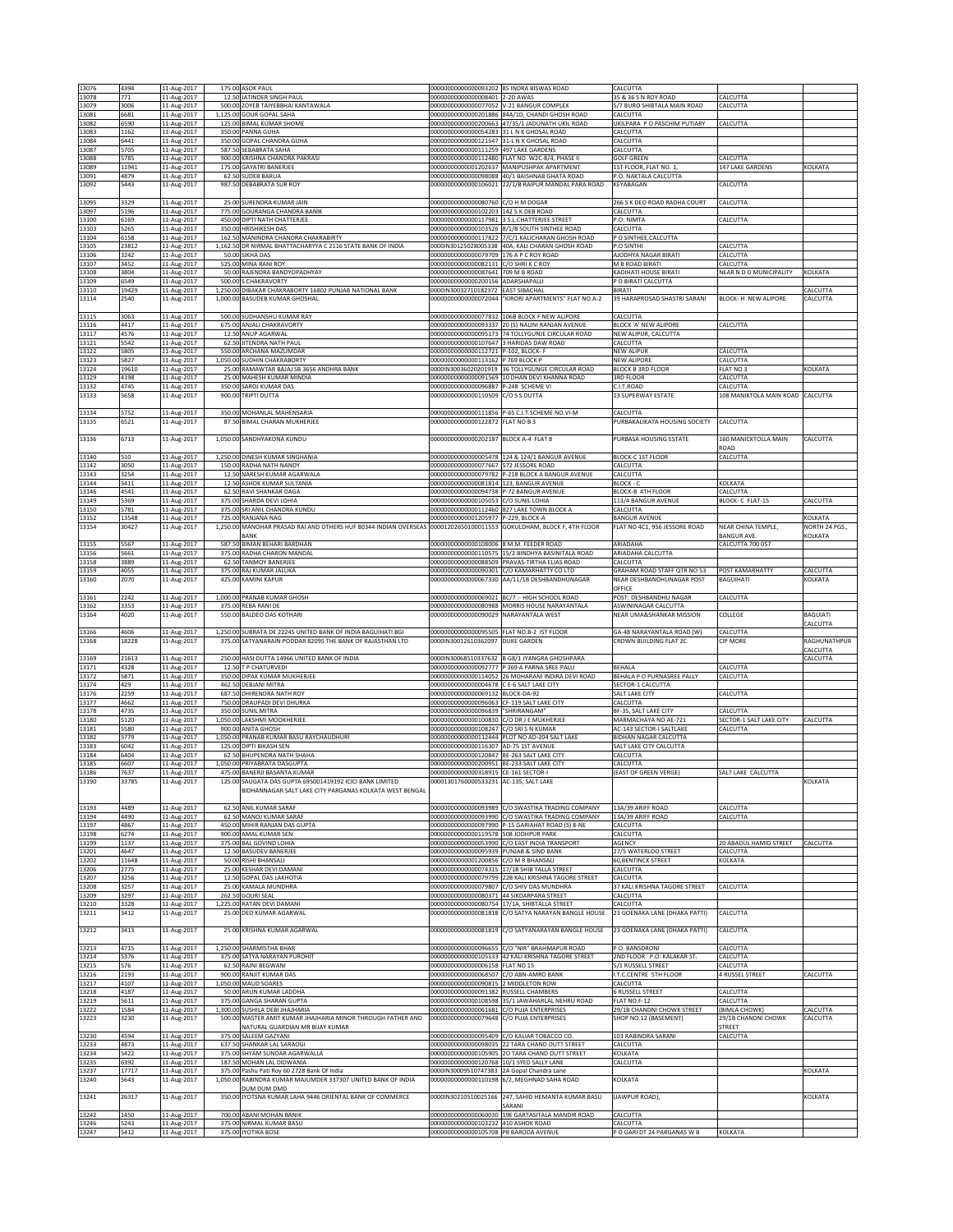| 13076          | 4394          | 11-Aug-2017                |       | 175.00 ASOK PAUL                                                                          | 00000000000000093202 85 INDRA BISWAS ROAD                         |                                                                                                      | CALCUTTA                               |                                  |                      |
|----------------|---------------|----------------------------|-------|-------------------------------------------------------------------------------------------|-------------------------------------------------------------------|------------------------------------------------------------------------------------------------------|----------------------------------------|----------------------------------|----------------------|
| 13078          | 771           | 11-Aug-2017                |       | 12.50 JATINDER SINGH PAUL                                                                 | 00000000000000008401 2-2D AWAS                                    |                                                                                                      | 35 & 36 S N ROY ROAD                   | CALCUTTA                         |                      |
| 13079          | 3006          | 11-Aug-2017                |       | 500.00 ZOYEB TAIYEBBHAI KANTAWALA                                                         | 00000000000000077052 V-21 BANGUR COMPLEX                          |                                                                                                      | 5/7 BURO SHIBTALA MAIN ROAD            | CALCUTTA                         |                      |
| 13081          | 6681          | 11-Aug-2017                |       | 1,125.00 GOUR GOPAL SAHA                                                                  | 0000000000000201886                                               | 84A/1D, CHANDI GHOSH ROAD                                                                            | CALCUTTA                               |                                  |                      |
| 13082          | 6590          | 11-Aug-2017                |       | 125.00 BIMAL KUMAR SHOME                                                                  | 00000000000000200663                                              | 47/35/1 JADUNATH UKIL ROAD                                                                           | JKILPARA P O PASCHIM PUTIARY           | CALCUTTA                         |                      |
| 13083          | 1162          | 11-Aug-2017                |       | 350.00 PANNA GUHA                                                                         | 00000000000000054283                                              | 31 L N K GHOSAL ROAD                                                                                 | CALCUTTA                               |                                  |                      |
| 13084          | 6441          | 11-Aug-2017                |       | 350.00 GOPAL CHANDRA GUHA                                                                 | 00000000000000121547 31-L N K GHOSAL ROAD                         |                                                                                                      | CALCUTTA                               |                                  |                      |
| 13087<br>13088 | 5705<br>5785  | 11-Aug-2017                |       | 587.50 SEBABRATA SAHA<br>900.00 KRISHNA CHANDRA PAKRASI                                   | 00000000000000111259<br>00000000000000112480                      | 497 LAKE GARDENS                                                                                     | CALCUTTA<br><b>GOLF GREEN</b>          | CALCUTTA                         |                      |
| 13089          | 11941         | 11-Aug-2017<br>11-Aug-2017 |       | 175.00 GAYATRI BANERJEE                                                                   |                                                                   | FLAT NO. W2C-8/4, PHASE II<br>00000000000001202637 MANIPUSHPAK APARTMENT                             | <b>IST FLOOR, FLAT NO. 1</b>           | 147 LAKE GARDENS                 | KOLKATA              |
| 13091          | 4879          | 11-Aug-2017                |       | 62.50 SUDEB BARUA                                                                         |                                                                   | 00000000000000098088 40/1 BAISHNAB GHATA ROAD                                                        | P.O. NAKTALA CALCUTTA                  |                                  |                      |
| 13092          | 5443          | 11-Aug-2017                |       | 987.50 DEBABRATA SUR ROY                                                                  |                                                                   | 000000000000000106021 22/1/B RAIPUR MANDAL PARA ROAD                                                 | KEYABAGAN                              | CALCUTTA                         |                      |
|                |               |                            |       |                                                                                           |                                                                   |                                                                                                      |                                        |                                  |                      |
| 13095          | 3329          | 11-Aug-2017                |       | 25.00 SURENDRA KUMAR JAIN                                                                 | 00000000000000080760                                              | C/O H M DOGAR                                                                                        | 266 S K DEO ROAD RADHA COURT           | CALCUTTA                         |                      |
| 13097          | 5196          | 11-Aug-2017                |       | 775.00 GOURANGA CHANDRA BANIK                                                             | 00000000000000102203 142 S.K.DEB ROAD                             |                                                                                                      | CALCUTTA                               |                                  |                      |
| 13100          | 6169          | 11-Aug-2017                |       | 450.00 DIPTI NATH CHATTERJEE                                                              | 00000000000000117981                                              | 3 S.L.CHATTERJEE STREET                                                                              | P.O: NIMTA                             | CALCUTTA                         |                      |
| 13103          | 5265          | 11-Aug-2017                |       | 350.00 HRISHIKESH DAS                                                                     | 00000000000000103526                                              | 8/1/B SOUTH SINTHEE ROAD                                                                             | CALCUTTA                               |                                  |                      |
| 13104          | 6158          | 11-Aug-2017                |       | 162.50 MANINDRA CHANDRA CHAKRABIRTY                                                       | 00000000000000117822                                              | 7/C/1 KALICHARAN GHOSH ROAD                                                                          | P O SINTHEE, CALCUTTA                  |                                  |                      |
| 13105          | 23812         | 11-Aug-2017                |       | 1,162.50 DR NIRMAL BHATTACHARYYA C 2116 STATE BANK OF INDIA                               |                                                                   | 0000IN30125028005338 40A, KALI CHARAN GHOSH ROAD                                                     | P.O SINTHI                             | CALCUTTA                         |                      |
| 13106          | 3242          | 11-Aug-2017                |       | 50.00 SIKHA DAS                                                                           | 0000000000000079709                                               | 176 A P C ROY ROAD                                                                                   | AJODHYA NAGAR BIRATI                   | CALCUTTA                         |                      |
| 13107          | 3452          | 11-Aug-2017                |       | 525.00 MINA RANI ROY                                                                      | 00000000000000082131                                              | C/O SHRIK C ROY                                                                                      | M B ROAD BIRATI                        | CALCUTTA                         |                      |
| 13108          | 3804          | 11-Aug-2017                |       | 50.00 RAJENDRA BANDYOPADHYAY                                                              | 00000000000000087641                                              | 09 M B ROAD                                                                                          | <b>KADIHATI HOUSE BIRATI</b>           | VEAR N D D MUNICIPALITY          | <b>KOLKATA</b>       |
| 13109          | 6549          | 11-Aug-2017                |       | 500.00 S CHAKRAVORTY                                                                      | 00000000000000200156                                              | ADARSHAPALLI                                                                                         | P O BIRATI CALCUTTA                    |                                  |                      |
| 13110          | 19429<br>2540 | 11-Aug-2017                |       | 1,250.00 DIBAKAR CHAKRABORTY 16802 PUNJAB NATIONAL BANK<br>1,000.00 BASUDEB KUMAR GHOSHAL | 0000IN30032710182372<br>00000000000000072044                      | <b>EAST SIBACHAL</b><br>'KIRORI APARTMENTS" FLAT NO.A-2                                              | BIRATI<br>39 HARAPROSAD SHASTRI SARANI | BLOCK- H NEW ALIPORE             | CALCUTTA<br>CALCUTTA |
| 13114          |               | 11-Aug-2017                |       |                                                                                           |                                                                   |                                                                                                      |                                        |                                  |                      |
| 13115          | 3063          |                            |       | 500.00 SUDHANSHU KUMAR RAY                                                                |                                                                   | 00000000000000077832 106B BLOCK F NEW ALIPORE                                                        | CALCUTTA                               |                                  |                      |
| 13116          | 4417          | 11-Aug-2017<br>11-Aug-2017 |       | 675.00 ANJALI CHAKRAVORTY                                                                 |                                                                   | 00000000000000093337 20 (S) NALINI RANJAN AVENUE                                                     | BLOCK 'A' NEW ALIPORE                  | CALCUTTA                         |                      |
| 13117          | 4576          | 11-Aug-2017                |       | 12.50 ANUP AGARWAL                                                                        |                                                                   | 00000000000000095173 74 TOLLYGUNJE CIRCULAR ROAD                                                     | NEW ALIPUR, CALCUTTA                   |                                  |                      |
| 13121          | 5542          | 11-Aug-2017                |       | 62.50 JITENDRA NATH PAUL                                                                  | 00000000000000107647                                              | <b>HARIDAS DAW ROAD</b>                                                                              | CALCUTTA                               |                                  |                      |
| 13122          | 5805          | 11-Aug-2017                |       | 550.00 ARCHANA MAZUMDAR                                                                   | 00000000000000112721                                              | -102, BLOCK-F                                                                                        | NEW ALIPUR                             | <b>CALCUTTA</b>                  |                      |
| 13123          | 5827          | 11-Aug-2017                |       | 1,050.00 SUDHIN CHAKRABORTY                                                               | 00000000000000113162                                              | 769 BLOCK P                                                                                          | <b>NEW ALIPORE</b>                     | CALCUTTA                         |                      |
| 13124          | 19610         | 11-Aug-2017                |       | 25.00 RAMAWTAR BAJAJ SB 3656 ANDHRA BANK                                                  | 0000IN30036020201919                                              | 36 TOLLYGUNGE CIRCULAR ROAD                                                                          | <b>BLOCK B 3RD FLOOR</b>               | FLAT NO 3                        | KOLKATA              |
| 13129          | 4198          | 11-Aug-2017                |       | 25.00 MAHESH KUMAR MINDIA                                                                 | 0000000000000091569                                               | 10 DHAN DEVI KHANNA ROAD                                                                             | 3RD FLOOR                              | CALCUTTA                         |                      |
| 13132          | 4745          | 11-Aug-2017                |       | 350.00 SAROJ KUMAR DAS                                                                    | 00000000000000096887                                              | P-248 SCHEME VI                                                                                      | C.I.T.ROAD                             | CALCUTTA                         |                      |
| 13133          | 5658          | 11-Aug-2017                |       | 900.00 TRIPTI DUTTA                                                                       | 00000000000000110509                                              | C/O S S DUTTA                                                                                        | 13 SUPERWAY ESTATE                     | 108 MANIKTOLA MAIN ROAD CALCUTTA |                      |
|                |               |                            |       |                                                                                           |                                                                   |                                                                                                      |                                        |                                  |                      |
| 13134          | 5752          | 11-Aug-2017                |       | 350.00 MOHANLAL MAHENSARIA                                                                | 00000000000000111856                                              | P-65 C.I.T.SCHEME NO.VI-M                                                                            | CALCUTTA                               |                                  |                      |
| 13135          | 6521          | 11-Aug-2017                |       | 87.50 BIMAL CHARAN MUKHERJEE                                                              | 00000000000000122872                                              | FLAT NO B3                                                                                           | PURBAKALIKATA HOUSING SOCIETY          | CALCUTTA                         |                      |
|                |               |                            |       |                                                                                           |                                                                   |                                                                                                      |                                        |                                  |                      |
| 13136          | 6713          | 11-Aug-2017                |       | 1,050.00 SANDHYAKONA KUNDU                                                                | 00000000000000202187 BLOCK A-4 FLAT 8                             |                                                                                                      | PURBASA HOUSING ESTATE                 | 160 MANICKTOLLA MAIN             | CALCUTTA             |
|                |               |                            |       |                                                                                           |                                                                   |                                                                                                      |                                        | ROAD                             |                      |
| 13140          | 510           | 11-Aug-2017                |       | 1,250.00 DINESH KUMAR SINGHANIA                                                           | 00000000000000005478                                              | 124 & 124/1 BANGUR AVENUE                                                                            | <b>BLOCK-C 1ST FLOOR</b>               | CALCUTTA                         |                      |
| 13142          | 3050          | 11-Aug-2017                |       | 150.00 RADHA NATH NANDY                                                                   | 00000000000000077667 572 JESSORE ROAD                             | 00000000000000079782 P-218 BLOCK A BANGUR AVENUE                                                     | CALCUTTA                               |                                  |                      |
| 13143<br>13144 | 3254<br>3411  | 11-Aug-2017<br>11-Aug-2017 |       | 12.50 NARESH KUMAR AGARWALA<br>12.50 ASHOK KUMAR SULTANIA                                 | 00000000000000081814                                              | 123. BANGUR AVENUE                                                                                   | CALCUTTA<br>BLOCK - C                  | KOLKATA                          |                      |
| 13146          | 1541          | 11-Aug-2017                | 62.50 | RAVI SHANKAR DAGA                                                                         | 0000000000000094738                                               | -72 BANGUR AVENUE                                                                                    | BLOCK-B 4TH FLOOR                      | <b>CALCUTTA</b>                  |                      |
| 13149          | 5369          | 11-Aug-2017                |       | 375.00 SHARDA DEVI LOHIA                                                                  | 00000000000000105053                                              | C/O SUNIL LOHIA                                                                                      | 113/4 BANGUR AVENUE                    | BLOCK-C FLAT-15                  | CALCUTTA             |
| 13150          | 5781          | 11-Aug-2017                |       | 375.00 SRI ANIL CHANDRA KUNDU                                                             | 00000000000000112460                                              | 827 LAKE TOWN BLOCK A                                                                                | CALCUTTA                               |                                  |                      |
| 13152          | 13548         | 11-Aug-2017                |       | 725.00 RANJANA NAG                                                                        | 00000000000001205977                                              | P-229, BLOCK-A                                                                                       | <b>BANGUR AVENUE</b>                   |                                  | KOLKATA              |
| 13154          | 30427         | 11-Aug-2017                |       | 1,250.00 MANOHAR PRASAD RAI AND OTHERS HUF 80344 INDIAN OVERSEAS                          | 00001202650100011553                                              | GOKULDHAM, BLOCK F, 4TH FLOOR                                                                        | FLAT NO 4C1, 956 JESSORE ROAD          | NEAR CHINA TEMPLE.               | NORTH 24 PGS.,       |
|                |               |                            |       | BANK                                                                                      |                                                                   |                                                                                                      |                                        | BANGUR AVE.                      | KOLKATA              |
| 13155          | 5567          | 11-Aug-2017                |       | 587.50 BIMAN BEHARI BARDHAN                                                               | 00000000000000108006 8 M.M. FEEDER ROAD                           |                                                                                                      | ARIADAHA                               | CALCUTTA 700 057                 |                      |
| 13156          | 5661          | 11-Aug-2017                |       | 375.00 RADHA CHARON MANDAL                                                                | 00000000000000110575                                              | 15/2 BINDHYA BASINITALA ROAD                                                                         | ARIADAHA CALCUTTA                      |                                  |                      |
| 13158          | 3889          | 11-Aug-2017                |       | 62.50 TANMOY BANERJEE                                                                     | 00000000000000088509                                              | PRAVAS-TIRTHA ELIAS ROAD                                                                             | CALCUTTA                               |                                  |                      |
| 13159          | 4055          | 11-Aug-2017                |       | 375.00 RAJ KUMAR JALUKA                                                                   | 00000000000000090301                                              | C/O KAMARHATTY CO LTD                                                                                | GRAHAM ROAD STAFF QTR NO 53            | POST KAMARHATTY                  | CALCUTTA             |
| 13160          | 2070          | 11-Aug-2017                |       | 425.00 KAMINI KAPUR                                                                       | 00000000000000067330                                              | AA/11/1B DESHBANDHUNAGAR                                                                             | NEAR DESHBANDHUNAGAR POST              | <b>BAGUIHATI</b>                 | KOLKATA              |
|                |               |                            |       |                                                                                           |                                                                   |                                                                                                      | OFFICE                                 |                                  |                      |
| 13161          | 2242          | 11-Aug-2017                |       | 1,000.00 PRANAB KUMAR GHOSH                                                               | 00000000000000069021                                              | BC/7 :- HIGH SCHOOL ROAD                                                                             | POST: DESHBANDHU NAGAR                 | CALCUTTA                         |                      |
| 13162          | 3353          | 11-Aug-2017                |       | 375.00 REBA RANI DE                                                                       |                                                                   | 000000000000000080988 MORRIS HOUSE NARAYANTALA                                                       | ASWININAGAR CALCUTTA                   |                                  |                      |
|                |               |                            |       |                                                                                           |                                                                   |                                                                                                      |                                        |                                  |                      |
| 13164          | 4020          | 11-Aug-2017                |       | 550.00 BALDEO DAS KOTHARI                                                                 | 00000000000000090029 NARAYANTALA WEST                             |                                                                                                      | NEAR UMA&SHANKAR MISSION               | COLLEGE                          | BAGUIATI             |
|                |               |                            |       |                                                                                           |                                                                   |                                                                                                      |                                        |                                  | CALCUTTA             |
| 13166          | 4606          | 11-Aug-2017                |       | 1,250.00 SUBRATA DE 22245 UNITED BANK OF INDIA BAGUIHATI BGI                              | 00000000000000095505 FLAT NO.B-2 IST FLOOR                        |                                                                                                      | GA-48 NARAYANTALA ROAD (W)             | CALCUTTA                         |                      |
| 13168          | 18228         | 11-Aug-2017                |       | 375.00 SATYANARAIN PODDAR 82095 THE BANK OF RAJASTHAN LTD                                 | 0000IN30012610362097                                              | DUKE GARDEN                                                                                          | CROWN BUILDING FLAT 2C                 | <b>CIP MORE</b>                  | RAGHUNATHPUR         |
|                |               |                            |       |                                                                                           |                                                                   |                                                                                                      |                                        |                                  | CALCUTTA             |
| 13169          | 21613         | 11-Aug-2017                |       | 250.00 HASI DUTTA 14966 UNITED BANK OF INDIA                                              |                                                                   | 0000IN30068510337632 B G8/1 JYANGRA GHOSHPARA                                                        |                                        |                                  | CALCUTTA             |
| 13171          | 4328          | 11-Aug-2017                |       | 12.50 T P CHATURVEDI                                                                      | 00000000000000092777                                              | 369 A PARNA SREE PALLI                                                                               | BEHALA                                 | <b>CALCUTTA</b>                  |                      |
| 13172          | 5871          | 11-Aug-2017                |       | 350.00 DIPAK KUMAR MUKHERJEE                                                              | 00000000000000114052<br>00000000000000004678 C E-6 SALT LAKE CITY | 26 MOHARANI INDIRA DEVI ROAD                                                                         | BEHALA P O PURNASREE PALLY             | CALCUTTA                         |                      |
| 13174          | 429<br>2259   | 11-Aug-2017                |       | 462.50 DEBJANI MITRA<br>687.50 DHIRENDRA NATH ROY                                         | 00000000000000069132                                              | BLOCK-DA-92                                                                                          | SECTOR-1 CALCUTTA<br>SALT LAKE CITY    | CALCUTTA                         |                      |
| 13176<br>13177 | 4662          | 11-Aug-2017<br>11-Aug-2017 |       | 750.00 DRAUPADI DEVI DHURKA                                                               | 00000000000000096063                                              | F-119 SALT LAKE CITY                                                                                 | CALCUTTA                               |                                  |                      |
| 13178          | 4735          | 11-Aug-2017                |       | 350.00 SUNIL MITRA                                                                        | 0000000000000096839                                               | <b>HRIRANGAM</b>                                                                                     | BF-35, SALT LAKE CITY                  | <b>ALCUTTA</b>                   |                      |
| 13180          | 5120          | 11-Aug-2017                |       | 1,050.00 LAKSHMI MOOKHERJEE                                                               | 00000000000000100830                                              | /O DR J E MUKHERJEE                                                                                  | MARMACHAYA NO AE-721                   | SECTOR-1 SALT LAKE CITY          | CALCUTTA             |
| 13181          | 5580          | 11-Aug-2017                |       | 900.00 ANITA GHOSH                                                                        | 00000000000000108247                                              | C/O SRI S N KUMAR                                                                                    | AC-143 SECTOR-I SALTLAKE               | CALCUTTA                         |                      |
| 13182          | 5779          | 11-Aug-2017                |       | 1,050.00 PRANAB KUMAR BASU RAYCHAUDHURI                                                   | 00000000000000112444                                              | PLOT NO AD-204 SALT LAKE                                                                             | <b>BIDHAN NAGAR CALCUTTA</b>           |                                  |                      |
| 13183          | 6042          | 11-Aug-2017                |       | 125.00 DIPTI BIKASH SEN                                                                   | 00000000000000116307                                              | AD-75 1ST AVENUE                                                                                     | SALT LAKE CITY CALCUTTA                |                                  |                      |
| 13184          | 6404          | 11-Aug-2017                |       | 62.50 BHUPENDRA NATH SHAHA                                                                | 00000000000000120847                                              | BE-263 SALT LAKE CITY                                                                                | CALCUTTA                               |                                  |                      |
| 13185          | 6607          | 11-Aug-2017                |       | 1,050.00 PRIYABRATA DASGUPTA                                                              | 00000000000000200951 BE-233 SALT LAKE CITY                        |                                                                                                      | CALCUTTA                               |                                  |                      |
| 13186          | 7637          | 11-Aug-2017                |       | 475.00 BANERJI BASANTA KUMAR                                                              | 00000000000000318915 CE-161 SECTOR-                               |                                                                                                      | (EAST OF GREEN VERGE)                  | SALT LAKE CALCUTTA               |                      |
| 13190          | 33785         | 11-Aug-2017                |       | SAUGATA DAS GUPTA 695001419192 ICICI BANK LIMITED                                         | 00001301760000533231                                              | AC-135, SALT LAKE                                                                                    |                                        |                                  | KOLKATA              |
|                |               |                            |       | BIDHANNAGAR SALT LAKE CITY PARGANAS KOLKATA WEST BENGAL                                   |                                                                   |                                                                                                      |                                        |                                  |                      |
|                |               |                            |       |                                                                                           |                                                                   |                                                                                                      |                                        |                                  |                      |
| 13193<br>13194 | 4489<br>4490  | 11-Aug-2017                |       | 62.50 ANIL KUMAR SARAF<br>62.50 MANOJ KUMAR SARAF                                         | 0000000000000093990                                               | 0000000000000093989 C/O SWASTIKA TRADING COMPANY<br>C/O SWASTIKA TRADING COMPANY                     | 13A/39 ARIFF ROAD<br>13A/39 ARIFF ROAD | CALCUTTA<br>CALCUTTA             |                      |
| 13197          | 4867          | 11-Aug-2017<br>11-Aug-2017 |       | 450.00 MIHIR RANJAN DAS GUPTA                                                             |                                                                   | 00000000000000097990 P-15 GARIAHAT ROAD (S) 8-NE                                                     | CALCUTTA                               |                                  |                      |
| 13198          | 6274          | 11-Aug-2017                |       | 900.00 AMAL KUMAR SEN                                                                     | 00000000000000119578 508 JODHPUR PARK                             |                                                                                                      | CALCUTTA                               |                                  |                      |
| 13199          | 1137          | 11-Aug-2017                |       | 375.00 BAL GOVIND LOHIA                                                                   | 00000000000000053990                                              | C/O EAST INDIA TRANSPORT                                                                             | AGENCY                                 | 20 ABADUL HAMID STREET           | CALCUTTA             |
| 13201          | 4647          | 11-Aug-2017                |       | 12.50 BASUDEV BANERJEE                                                                    | 00000000000000095939 PUNJAB & SIND BANK                           |                                                                                                      | 27/5 WATERLOO STREET                   | CALCUTTA                         |                      |
| 13202          | 11648         | 11-Aug-2017                |       | 50.00 RISHI BHANSALI                                                                      | 00000000000001200856                                              | C/O M R BHANSALI                                                                                     | 60, BENTINCK STREET                    | KOLKATA                          |                      |
| 13206          | 2775          | 11-Aug-2017                |       | 25.00 KESHAR DEVI DAMANI                                                                  |                                                                   | 00000000000000074315 17/1B SHIB TALLA STREET                                                         | CALCUTTA                               |                                  |                      |
| 13207          | 3256          | 11-Aug-2017                |       | 12.50 GOPAL DAS LAKHOTIA                                                                  |                                                                   | 00000000000000079799 22B KALI KRISHNA TAGORE STREET                                                  | CALCUTTA                               |                                  |                      |
| 13208          | 3257          | 11-Aug-2017                |       | 25.00 KAMALA MUNDHRA                                                                      | 00000000000000079807                                              | C/O SHIV DAS MUNDHRA                                                                                 | 37 KALI KRISHNA TAGORE STREET          | CALCUTTA                         |                      |
| 13209          | 3297          | 11-Aug-2017                |       | 262.50 GOURI SEAL                                                                         | 000000000000000080371 44 SIKDARPARA STREET                        |                                                                                                      | CALCUTTA                               |                                  |                      |
| 13210          | 3328          | 11-Aug-2017                |       | 1,225.00 RATAN DEVI DAMANI                                                                |                                                                   | 00000000000000080754 17/1A, SHIBTALLA STREET                                                         | CALCUTTA                               |                                  |                      |
| 13211          | 3412          | 11-Aug-2017                |       | 25.00 DEO KUMAR AGARWAL                                                                   |                                                                   | 000000000000000081818 C/O SATYA NARAYAN BANGLE HOUSE                                                 | 23 GOENAKA LANE (DHAKA PATTI)          | CALCUTTA                         |                      |
|                |               |                            |       |                                                                                           |                                                                   |                                                                                                      |                                        |                                  |                      |
| 13212          | 3413          | 11-Aug-2017                |       | 25.00 KRISHNA KUMAR AGARWAL                                                               |                                                                   | 000000000000000081819 C/O SATYANARAYAN BANGLE HOUSE                                                  | 23 GOENAKA LANE (DHAKA PATTI)          | CALCUTTA                         |                      |
|                |               |                            |       | 1,250.00 SHARMISTHA BHAR                                                                  |                                                                   |                                                                                                      | P.O. BANSDRONI                         |                                  |                      |
| 13213<br>13214 | 4715<br>5376  | 11-Aug-2017                |       | 375.00 SATYA NARAYAN PUROHIT                                                              |                                                                   | 00000000000000096655 C/O "NIR" BRAHMAPUR ROAD<br>000000000000000105133 42 KALI KRISHNA TAGORE STREET | 2ND FLOOR P.O: KALAKAR ST.             | CALCUTTA<br>CALCUTTA             |                      |
| 13215          | 576           | 11-Aug-2017                |       | 62.50 RAJNI BEGWANI                                                                       | 00000000000000006158 FLAT NO 15                                   |                                                                                                      | 5/1 RUSSELL STREET                     | CALCUTTA                         |                      |
| 13216          | 2193          | 11-Aug-2017<br>11-Aug-2017 |       | 900.00 RANJIT KUMAR DAS                                                                   | 00000000000000068507 C/O ABN-AMRO BANK                            |                                                                                                      | I.T.C.CENTRE 5TH FLOOR                 | <b>4 RUSSEL STREET</b>           | CALCUTTA             |
| 13217          | 4107          | 11-Aug-2017                |       | 1,050.00 MAUD SOARES                                                                      | 00000000000000090815 2 MIDDLETON ROW                              |                                                                                                      | CALCUTTA                               |                                  |                      |
| 13218          | 4187          | 11-Aug-2017                |       | 50.00 ARUN KUMAR LADDHA                                                                   | 00000000000000091382 RUSSELL CHAMBERS                             |                                                                                                      | <b>6 RUSSELL STREET</b>                | CALCUTTA                         |                      |
| 13219          | 5611          | 11-Aug-2017                |       | 375.00 GANGA SHARAN GUPTA                                                                 | 00000000000000108598                                              | 35/1 JAWAHARLAL NEHRU ROAD                                                                           | FLAT NO.F-12                           | CALCUTTA                         |                      |
| 13222          | 1584          | 11-Aug-2017                |       | 1,300.00 SUSHILA DEBI JHAJHARIA                                                           | 00000000000000061681                                              | C/O PUJA ENTERPRISES                                                                                 | 29/1B CHANDNI CHOWK STREET             | (BIMLA CHOWK)                    | CALCUTTA             |
| 13223          | 3230          | 11-Aug-2017                |       | 500.00 MASTER AMIT KUMAR JHAJHARIA MINOR THROUGH FATHER AND                               | 00000000000000079648 C/O PUJA ENTERPRISES                         |                                                                                                      | SHOP NO.12 (BASEMENT)                  | 29/1B CHANDNI CHOWK              | CALCUTTA             |
|                |               |                            |       | NATURAL GUARDIAN MR BIJAY KUMAR                                                           |                                                                   |                                                                                                      |                                        | <b>STREET</b>                    |                      |
| 13230          | 4594          | 11-Aug-2017                |       | 375.00 SALEEM GAZYANI                                                                     | 0000000000000095409                                               | C/O KALIAR TOBACCO CO.                                                                               | 103 RABINDRA SARANI                    | CALCUTTA                         |                      |
| 13233          | 4873          | 11-Aug-2017                |       | 637.50 SHANKAR LAL SARAOGI                                                                |                                                                   | 00000000000000098035 22 TARA CHAND DUTT STREET                                                       | CALCUTTA                               |                                  |                      |
| 13234          | 5422          | 11-Aug-2017                |       | 375.00 SHYAM SUNDAR AGARWALLA                                                             |                                                                   | 000000000000000105905 2O TARA CHAND DUTT STREET                                                      | KOLKATA                                |                                  |                      |
| 13235          | 6392          | 11-Aug-2017                |       | 187.50 MOHAN LAL DIDWANIA                                                                 | 00000000000000120768 10/1 SYED SALLY LANE                         |                                                                                                      | CALCUTTA                               |                                  |                      |
| 13237          | 17717         | 11-Aug-2017                |       | 375.00 Pashu Pati Roy 60 2728 Bank Of India                                               | 0000IN30009510747383 2A Gopal Chandra Lane                        |                                                                                                      |                                        |                                  | KOLKATA              |
| 13240          | 5643          | 11-Aug-2017                |       | 1,050.00 RABINDRA KUMAR MAJUMDER 337307 UNITED BANK OF INDIA                              | 00000000000000110198                                              | 6/2, MEGHNAD SAHA ROAD                                                                               | KOLKATA                                |                                  |                      |
|                |               |                            |       | DUM DUM DMD                                                                               |                                                                   |                                                                                                      |                                        |                                  |                      |
| 13241          | 26317         | 11-Aug-2017                |       | 350.00 JYOTSNA KUMAR LAHA 9446 ORIENTAL BANK OF COMMERCE                                  |                                                                   | 0000IN30210510025166 247, SAHID HEMANTA KUMAR BASU                                                   | (JAWPUR ROAD),                         |                                  | KOLKATA              |
|                |               |                            |       |                                                                                           |                                                                   | SARANI                                                                                               |                                        |                                  |                      |
| 13242<br>13246 | 1450<br>5243  | 11-Aug-2017<br>11-Aug-2017 |       | 700.00 ABANI MOHAN BANIK<br>375.00 NIRMAL KUMAR BASU                                      | 00000000000000060030<br>000000000000000103232 410 ASHOK ROAD      | 19E GARTASITALA MANDIR ROAD                                                                          | CALCUTTA<br>CALCUTTA                   |                                  |                      |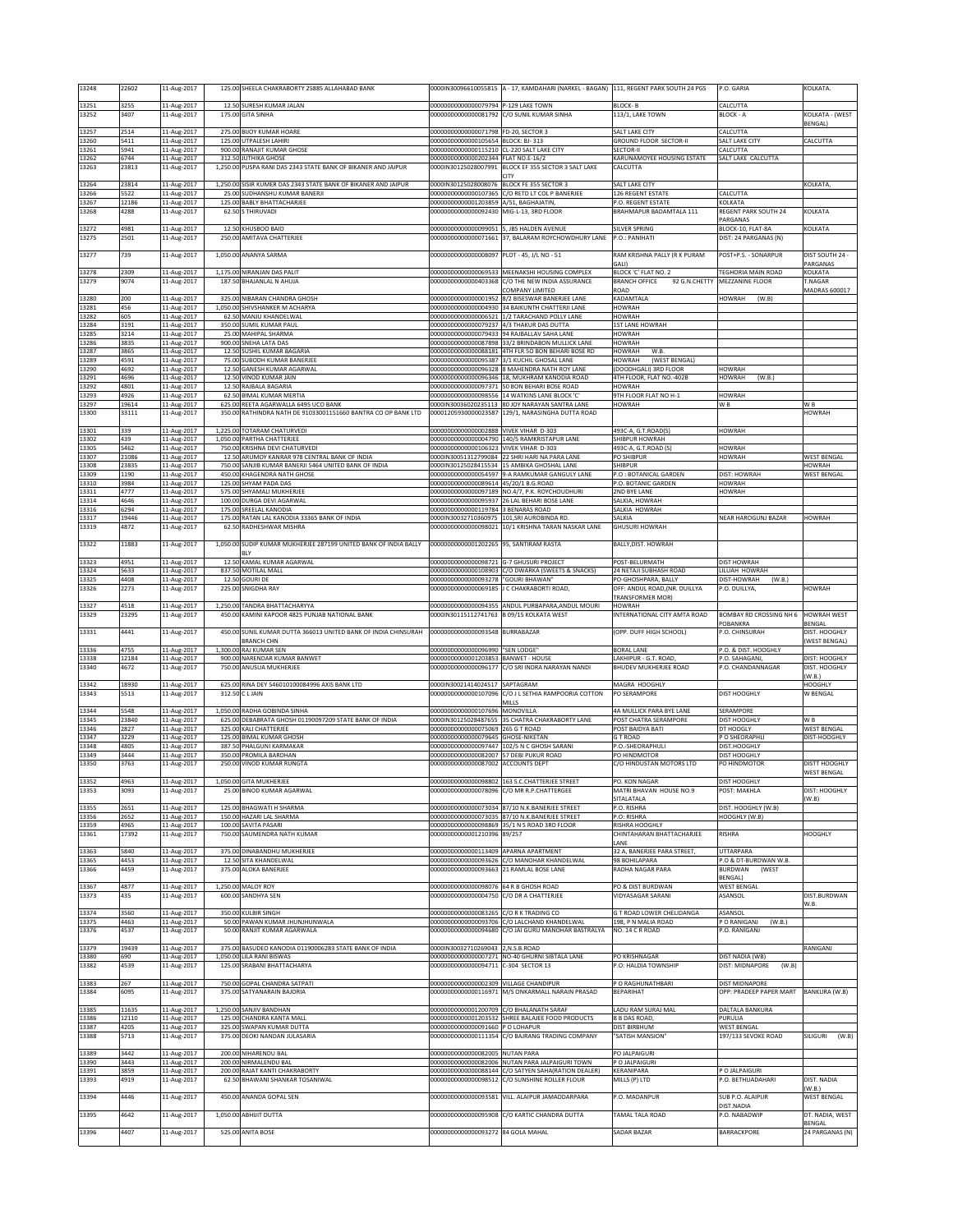| 13248          | 22602         | 11-Aug-2017                | 125.00 SHEELA CHAKRABORTY 25885 ALLAHABAD BANK                                  |                                                                                 | 0000IN30096610055815 A - 17, KAMDAHARI (NARKEL - BAGAN) 1111, REGENT PARK SOUTH 24 PGS         |                                                  | P.O. GARIA                                 | KOLKATA.                           |
|----------------|---------------|----------------------------|---------------------------------------------------------------------------------|---------------------------------------------------------------------------------|------------------------------------------------------------------------------------------------|--------------------------------------------------|--------------------------------------------|------------------------------------|
| 13251          | 3255          | 11-Aug-2017                | 12.50 SURESH KUMAR JALAN                                                        | 00000000000000079794                                                            | -129 LAKE TOWN                                                                                 | BLOCK-B                                          | CALCUTTA                                   |                                    |
| 13252          | 3407          | 11-Aug-2017                | 175.00 GITA SINHA                                                               | 00000000000000081792                                                            | C/O SUNIL KUMAR SINHA                                                                          | 113/1, LAKE TOWN                                 | <b>BLOCK - A</b>                           | KOLKATA - (WEST                    |
|                |               |                            |                                                                                 |                                                                                 |                                                                                                |                                                  |                                            | BENGAL)                            |
| 13257<br>13260 | 2514<br>5411  | 11-Aug-2017<br>11-Aug-2017 | 275.00 BIJOY KUMAR HOARE<br>125.00 UTPALESH LAHIRI                              | 00000000000000071798 FD-20, SECTOR 3<br>00000000000000105654 BLOCK: BJ- 313     |                                                                                                | SALT LAKE CITY<br><b>GROUND FLOOR SECTOR-II</b>  | CALCUTTA<br>SALT LAKE CITY                 | CALCUTTA                           |
| 13261          | 5941          | 11-Aug-2017                | 900.00 RANAJIT KUMAR GHOSE                                                      | 00000000000000115210 CL-220 SALT LAKE CITY                                      |                                                                                                | SECTOR-II                                        | CALCUTTA                                   |                                    |
| 13262          | 6744          | 11-Aug-2017                | 312.50 JUTHIKA GHOSE                                                            | 00000000000000202344 FLAT NO.E-16/2                                             |                                                                                                | KARUNAMOYEE HOUSING ESTATE                       | SALT LAKE CALCUTTA                         |                                    |
| 13263          | 23813         | 11-Aug-2017                | 1,250.00 PUSPA RANI DAS 2343 STATE BANK OF BIKANER AND JAIPUR                   |                                                                                 | 0000IN30125028007991 BLOCK EF 355 SECTOR 3 SALT LAKE                                           | CALCUTTA                                         |                                            |                                    |
| 13264          | 23814         | 11-Aug-2017                | 1,250.00 SISIR KUMER DAS 2343 STATE BANK OF BIKANER AND JAIPUR                  | 0000IN30125028008076                                                            | BLOCK FE 355 SECTOR 3                                                                          | SALT LAKE CITY                                   |                                            | KOLKATA                            |
| 13266<br>13267 | 5522<br>12186 | 11-Aug-2017<br>11-Aug-2017 | 25.00 SUDHANSHU KUMAR BANERJI<br>125.00 BABLY BHATTACHARJEE                     | 00000000000000107365                                                            | C/O RETD LT COL P BANERJEE<br>A/51, BAGHAJATIN,                                                | 126 REGENT ESTATE<br>P.O. REGENT ESTATE          | CALCUTTA                                   |                                    |
| 13268          | 4288          | 11-Aug-2017                | 62.50 S THIRUVADI                                                               | 00000000000001203859<br>0000000000000092430                                     | MIG-L-13, 3RD FLOOR                                                                            | BRAHMAPUR BADAMTALA 111                          | KOLKATA<br>REGENT PARK SOUTH 24            | KOLKATA                            |
|                |               |                            |                                                                                 |                                                                                 |                                                                                                |                                                  | PARGANAS                                   |                                    |
| 13272<br>13275 | 4981<br>2501  | 11-Aug-2017<br>11-Aug-2017 | 12.50 KHUSBOO BAID<br>250.00 AMITAVA CHATTERJEE                                 | 00000000000000099051 5, JBS HALDEN AVENUE                                       | 00000000000000071661 37, BALARAM ROYCHOWDHURY LANE                                             | <b>SILVER SPRING</b><br>P.O.: PANIHATI           | BLOCK-10, FLAT-8A<br>DIST: 24 PARGANAS (N) | KOLKATA                            |
|                |               |                            |                                                                                 |                                                                                 |                                                                                                |                                                  |                                            |                                    |
| 13277          | 739           | 11-Aug-2017                | 1,050.00 ANANYA SARMA                                                           | 00000000000000008097 PLOT - 45, J/L NO - 51                                     |                                                                                                | RAM KRISHNA PALLY (R K PURAM                     | POST+P.S. - SONARPUR                       | DIST SOUTH 24 -<br>PARGANAS        |
| 13278          | 2309          | 11-Aug-2017                | 1,175.00 NIRANJAN DAS PALIT                                                     |                                                                                 | 000000000000000069533 MEENAKSHI HOUSING COMPLEX                                                | BLOCK 'C' FLAT NO. 2                             | TEGHORIA MAIN ROAD                         | KOLKATA                            |
| 13279          | 9074          | 11-Aug-2017                | 187.50 BHAJANLAL N AHUJA                                                        | 00000000000000403368                                                            | C/O THE NEW INDIA ASSURANCE                                                                    | <b>BRANCH OFFICE</b><br>92 G.N.CHETTY            | MEZZANINE FLOOR                            | T.NAGAR                            |
| 13280          | 200           | 11-Aug-2017                | 325.00 NIBARAN CHANDRA GHOSH                                                    |                                                                                 | COMPANY LIMITED<br>00000000000000001952 8/2 BISESWAR BANERJEE LANE                             | <b>GAOR</b><br>KADAMTALA                         | HOWRAH<br>(W.B)                            | MADRAS 600017                      |
| 13281          | 456           | 11-Aug-2017                | 1,050.00 SHIVSHANKER M ACHARYA                                                  |                                                                                 | 00000000000000004930 34 BAIKUNTH CHATTERJI LANE                                                | <b>HOWRAH</b>                                    |                                            |                                    |
| 13282<br>13284 | 605<br>3191   | 11-Aug-2017                | 62.50 MANJU KHANDELWAL<br>350.00 SUMIL KUMAR PAUL                               | 0000000000000006521<br>00000000000000079237 4/3 THAKUR DAS DUTTA                | 1/2 TARACHAND POLLY LANE                                                                       | HOWRAH<br><b>IST LANE HOWRAH</b>                 |                                            |                                    |
| 3285           | 3214          | 11-Aug-2017<br>11-Aug-2017 | 25.00 MAHIPAL SHARMA                                                            | 00000000000000079433                                                            | 94 RAJBALLAV SAHA LANE                                                                         | <b>IOWRAH</b>                                    |                                            |                                    |
| 13286          | 3835          | 11-Aug-2017                | 900.00 SNEHA LATA DAS                                                           | 00000000000000087898                                                            | 33/2 BRINDABON MULLICK LANE                                                                    | HOWRAH                                           |                                            |                                    |
| 13287<br>13289 | 3865<br>4591  | 11-Aug-2017<br>11-Aug-2017 | 12.50 SUSHIL KUMAR BAGARIA<br>75.00 SUBODH KUMAR BANERJEE                       | 00000000000000088181<br>0000000000000095387                                     | 4TH FLR 50 BON BEHARI BOSE RD<br>3/1 KUCHIL GHOSAL LANE                                        | HOWRAH<br>W.B<br>HOWRAH<br>(WEST BENGAL)         |                                            |                                    |
| 13290          | 4692          | 11-Aug-2017                | 12.50 GANESH KUMAR AGARWAL                                                      |                                                                                 | 00000000000000096328 8 MAHENDRA NATH ROY LANE                                                  | (DOODHGALI) 3RD FLOOR                            | <b>HOWRAH</b>                              |                                    |
| 13291          | 4696          | 11-Aug-2017                | 12.50 VINOD KUMAR JAIN                                                          |                                                                                 | 00000000000000096346 18, MUKHRAM KANODIA ROAD                                                  | 4TH FLOOR, FLAT NO.-402B                         | <b>HOWRAH</b><br>(W.B.)                    |                                    |
| 13292<br>13293 | 4801<br>4926  | 11-Aug-2017<br>11-Aug-2017 | 12.50 RAJBALA BAGARIA<br>62.50 BIMAL KUMAR MERTIA                               | 0000000000000098556                                                             | 00000000000000097371 50 BON BEHARI BOSE ROAD<br>14 WATKINS LANE BLOCK 'C'                      | HOWRAH<br><b>HH FLOOR FLAT NO H-1</b>            | <b>HOWRAH</b>                              |                                    |
| 13297          | 19614         | 11-Aug-2017                | 625.00 REETA AGARWALLA 6495 UCO BANK                                            |                                                                                 | 0000IN30036020235113 80 JOY NARAYAN SANTRA LANE                                                | HOWRAH                                           | WB                                         | W <sub>B</sub>                     |
| 13300          | 33111         | 11-Aug-2017                | 350.00 RATHINDRA NATH DE 91033001151660 BANTRA CO OP BANK LTD                   |                                                                                 | 00001205930000023587 129/1, NARASINGHA DUTTA ROAD                                              |                                                  |                                            | HOWRAH                             |
| 13301          | 339           | 11-Aug-2017                | 1,225.00 TOTARAM CHATURVEDI                                                     | 00000000000000002888 VIVEK VIHAR D-303                                          |                                                                                                | 493C-A, G.T.ROAD(S)                              | <b>HOWRAH</b>                              |                                    |
| 13302          | 439           | 11-Aug-2017                | 1,050.00 PARTHA CHATTERJEE                                                      |                                                                                 | 00000000000000004790 140/5 RAMKRISTAPUR LANE                                                   | SHIBPUR HOWRAH                                   |                                            |                                    |
| 13305<br>13307 | 5462<br>21086 | 11-Aug-2017<br>11-Aug-2017 | 750.00 KRISHNA DEVI CHATURVEDI<br>12.50 ARUMOY KANRAR 978 CENTRAL BANK OF INDIA | 000000000000000106323 VIVEK VIHAR D-303                                         | 0000IN30051312799084 22 SHRI HARI NA PARA LANE                                                 | 493C-A, G.T.ROAD (S)<br>PO SHIBPUR               | <b>HOWRAH</b><br><b>HOWRAH</b>             | <b>WEST BENGAL</b>                 |
| 13308          | 23835         | 11-Aug-2017                | 750.00 SANJIB KUMAR BANERJI 5464 UNITED BANK OF INDIA                           | 0000IN30125028415534                                                            | 15 AMBIKA GHOSHAL LANE                                                                         | SHIBPUR                                          |                                            | HOWRAH                             |
| 3309<br>13310  | 1190<br>3984  | 11-Aug-2017<br>11-Aug-2017 | 450.00 KHAGENDRA NATH GHOSE<br>125.00 SHYAM PADA DAS                            | 00000000000000054597<br>00000000000000089614                                    | <b>J-A RAMKUMAR GANGULY LANE</b><br>45/20/1 B.G.ROAD                                           | P.O : BOTANICAL GARDEN<br>P.O. BOTANIC GARDEN    | DIST: HOWRAH<br><b>HOWRAH</b>              | <b>WEST BENGAL</b>                 |
| 13311          | 4777          | 11-Aug-2017                | 575.00 SHYAMALI MUKHERJEE                                                       |                                                                                 | 00000000000000097189 NO.4/7, P.K. ROYCHOUDHURI                                                 | 2ND BYE LANE                                     | <b>HOWRAH</b>                              |                                    |
| 13314          | 4646          | 11-Aug-2017                | 100.00 DURGA DEVI AGARWAL                                                       |                                                                                 | 00000000000000095937 26 LAL BEHARI BOSE LANE                                                   | SALKIA, HOWRAH                                   |                                            |                                    |
| 13316<br>13317 | 6294<br>19446 | 11-Aug-2017<br>11-Aug-2017 | 175.00 SREELAL KANODIA<br>175.00 RATAN LAL KANODIA 33365 BANK OF INDIA          | 00000000000000119784<br>0000IN30032710360975                                    | 3 BENARAS ROAD<br>101, SRI AUROBINDA RD.                                                       | SALKIA HOWRAH<br>SALKIA                          | NEAR HAROGUNJ BAZAR                        | HOWRAH                             |
| 13319          | 4872          | 11-Aug-2017                | 62.50 RADHESHWAR MISHRA                                                         | 00000000000000098021                                                            | 10/1 KRISHNA TARAN NASKAR LANE                                                                 | <b>GHUSURI HOWRAH</b>                            |                                            |                                    |
| 13322          | 11883         | 11-Aug-2017                | 1,050.00 SUDIP KUMAR MUKHERJEE 287199 UNITED BANK OF INDIA BALLY                | 00000000000001202265                                                            | 95, SANTIRAM RASTA                                                                             | BALLY, DIST. HOWRAH                              |                                            |                                    |
|                |               |                            | BLY                                                                             |                                                                                 |                                                                                                |                                                  |                                            |                                    |
| 13323          | 4951          | 11-Aug-2017                | 12.50 KAMAL KUMAR AGARWAL                                                       | 00000000000000098721                                                            | <b>3-7 GHUSURI PROJECT</b>                                                                     | POST-BELURMATH                                   | <b>DIST HOWRAH</b>                         |                                    |
| 13324<br>13325 | 5633<br>4408  | 11-Aug-2017<br>11-Aug-2017 | 837.50 MOTILAL MALL<br>12.50 GOURI DE                                           | 00000000000000108903<br>00000000000000093278                                    | C/O DWARKA (SWEETS & SNACKS)<br>'GOURI BHAWAN"                                                 | 24 NETAJI SUBHASH ROAD<br>PO-GHOSHPARA, BALLY    | LILUAH HOWRAH<br>DIST-HOWRAH<br>(W.B.)     |                                    |
| 13326          | 2273          | 11-Aug-2017                | 225.00 SNIGDHA RAY                                                              | 00000000000000069185                                                            | J C CHAKRABORTI ROAD,                                                                          | OFF: ANDUL ROAD, (NR. DUILLYA                    | P.O. DUILLYA,                              | HOWRAH                             |
|                |               |                            |                                                                                 |                                                                                 |                                                                                                | <b>FRANSFORMER MOR)</b>                          |                                            |                                    |
| 13327<br>13329 | 4518<br>23295 | 11-Aug-2017<br>11-Aug-2017 | 1,250.00 TANDRA BHATTACHARYYA<br>450.00 KAMINI KAPOOR 4825 PUNJAB NATIONAL BANK | 0000IN30115112741763                                                            | 00000000000000094355 ANDUL PURBAPARA, ANDUL MOURI<br>B 09/15 KOLKATA WEST                      | HOWRAH<br>NTERNATIONAL CITY AMTA ROAD            | BOMBAY RD CROSSING NH 6                    | <b>HOWRAH WEST</b>                 |
|                |               |                            |                                                                                 |                                                                                 |                                                                                                |                                                  |                                            |                                    |
|                |               |                            |                                                                                 |                                                                                 |                                                                                                |                                                  | POBANKRA                                   | <b>BENGAL</b>                      |
| 13331          | 4441          | 11-Aug-2017                | 450.00 SUNIL KUMAR DUTTA 366013 UNITED BANK OF INDIA CHINSURAH                  | 0000000000000093548                                                             | BURRABAZAR                                                                                     | (OPP. DUFF HIGH SCHOOL)                          | P.O. CHINSURAH                             | DIST. HOOGHLY                      |
| 13336          | 4755          | 11-Aug-2017                | <b>BRANCH CHN</b><br>1,300.00 RAJ KUMAR SEN                                     | 00000000000000096990                                                            | "SEN LODGE                                                                                     | <b>BORAL LANE</b>                                | P.O. & DIST. HOOGHLY                       | WEST BENGAL                        |
| 13338          | 12184         | 11-Aug-2017                | 900.00 NARENDAR KUMAR BANWET                                                    | 00000000000001203853 BANWET - HOUSE                                             |                                                                                                | LAKHIPUR - G.T. ROAD,                            | P.O. SAHAGANJ,                             | DIST: HOOGHLY                      |
| 13340          | 4672          | 11-Aug-2017                | 750.00 ANUSUA MUKHERJEE                                                         |                                                                                 | 00000000000000096177 C/O SRI INDRA NARAYAN NANDI                                               | BHUDEV MUKHERJEE ROAD                            | P.O. CHANDANNAGAR                          | DIST. HOOGHLY<br>(W.B.)            |
| 13342          | 18930         | 11-Aug-2017                | 625.00 RINA DEY 546010100084996 AXIS BANK LTD                                   | 0000IN30021414024517                                                            | SAPTAGRAM                                                                                      | MAGRA HOOGHLY                                    |                                            | HOOGHLY                            |
| 13343          | 5513          | 11-Aug-2017                | 312.50 C L JAIN                                                                 | 00000000000000107096                                                            | C/O J L SETHIA RAMPOORIA COTTON                                                                | PO SERAMPORE                                     | DIST HOOGHLY                               | W BENGAL                           |
| 13344          | 5548          | 11-Aug-2017                | 1,050.00 RADHA GOBINDA SINHA                                                    | 00000000000000107696                                                            | MILLS<br>MONOVILLA                                                                             | 4A MULLICK PARA BYE LANE                         | SERAMPORE                                  |                                    |
| 13345          | 23840         | 11-Aug-2017                | 625.00 DEBABRATA GHOSH 01190097209 STATE BANK OF INDIA                          | 0000IN30125028487655                                                            | 35 CHATRA CHAKRABORTY LANE                                                                     | POST CHATRA SERAMPORE                            | DIST HOOGHLY                               | W <sub>B</sub>                     |
| 13346<br>13347 | 2827<br>3229  | 11-Aug-2017<br>11-Aug-2017 | 325.00 KALI CHATTERJEE<br>125.00 BIMAL KUMAR GHOSH                              | 00000000000000075069<br>00000000000000079645 GHOSE-NIKETAN                      | 265 G T ROAD                                                                                   | POST BAIDYA BATI<br><b>GT ROAD</b>               | DT HOOGLY<br>P O SHEORAPHLI                | <b>WEST BENGAL</b><br>DIST-HOOGHLY |
| 13348          | 4805          | 11-Aug-2017                | 387.50 PHALGUNI KARMAKAR                                                        |                                                                                 | 00000000000000097447 102/5 N C GHOSH SARANI                                                    | P.O.-SHEORAPHULI                                 | DIST.HOOGHLY                               |                                    |
| 13349<br>13350 | 3444<br>3763  | 11-Aug-2017<br>11-Aug-2017 | 350.00 PROMILA BARDHAN<br>250.00 VINOD KUMAR RUNGTA                             | 000000000000000082007 57 DEBI PUKUR ROAD<br>000000000000000087002 ACCOUNTS DEPT |                                                                                                | PO HINDMOTOR<br>C/O HINDUSTAN MOTORS LTD         | DIST HOOGHLY<br>PO HINDMOTOR               | DISTT HOOGHLY                      |
|                |               |                            |                                                                                 |                                                                                 |                                                                                                |                                                  |                                            | WEST BENGAL                        |
| 13332          | בספו          | 1-Aug-201.                 | 311 A MUKHEKJE                                                                  | ພາອອດຈ                                                                          |                                                                                                | PU. KUN NAGAI                                    | ו ואסטטא ו כוכ                             |                                    |
| 13353          | 3093          | 11-Aug-2017                | 25.00 BINOD KUMAR AGARWAL                                                       | 00000000000000078096                                                            | C/O MR R.P.CHATTERGEE                                                                          | MATRI BHAVAN HOUSE NO.9<br>SITALATALA            | POST: MAKHLA                               | DIST: HOOGHLY<br>W.B)              |
| 13355          | 2651          | 11-Aug-2017                | 125.00 BHAGWATI H SHARMA                                                        |                                                                                 | 00000000000000073034 87/10 N.K.BANERJEE STREET                                                 | P.O. RISHRA                                      | DIST. HOOGHLY (W.B)                        |                                    |
| 13356<br>13359 | 2652<br>4965  | 11-Aug-2017                | 150.00 HAZARI LAL SHARMA<br>100.00 SAVITA PASARI                                |                                                                                 | 00000000000000073035 87/10 N.K.BANERJEE STREET<br>00000000000000098869 35/1 N S ROAD 3RD FLOOR | P.O: RISHRA<br>RISHRA HOOGHLY                    | HOOGHLY (W.B)                              |                                    |
| 13361          | 17392         | 11-Aug-2017<br>11-Aug-2017 | 750.00 SAUMENDRA NATH KUMAR                                                     | 00000000000001210396                                                            | 89/257                                                                                         | CHINTAHARAN BHATTACHARJEE                        | RISHRA                                     | HOOGHLY                            |
|                |               |                            | 375.00 DINABANDHU MUKHERJEE                                                     |                                                                                 |                                                                                                | ANE                                              |                                            |                                    |
| 13363<br>13365 | 5840<br>4453  | 11-Aug-2017<br>11-Aug-2017 | 12.50 SITA KHANDELWAL                                                           | 00000000000000113409 APARNA APARTMENT<br>0000000000000093626                    | C/O MANOHAR KHANDELWAL                                                                         | 32 A, BANERJEE PARA STREET,<br>98 BOHILAPARA     | <b>UTTARPARA</b><br>P.O & DT-BURDWAN W.B.  |                                    |
| 13366          | 4459          | 11-Aug-2017                | 375.00 ALOKA BANERJEE                                                           | 00000000000000093663                                                            | 21 RAMLAL BOSE LANE                                                                            | RADHA NAGAR PARA                                 | <b>BURDWAN</b><br>(WEST                    |                                    |
| 13367          | 4877          | 11-Aug-2017                | 1,250.00 MALOY ROY                                                              | 00000000000000098076 64 R B GHOSH ROAD                                          |                                                                                                | PO & DIST BURDWAN                                | <b>BENGAL)</b><br><b>WEST BENGAL</b>       |                                    |
| 13373          | 435           | 11-Aug-2017                | 600.00 SANDHYA SEN                                                              | 00000000000000004750                                                            | C/O DR A CHATTERJEE                                                                            | VIDYASAGAR SARANI                                | ASANSOL                                    | DIST.BURDWAN                       |
|                |               |                            | 350.00 KULBIR SINGH                                                             |                                                                                 |                                                                                                |                                                  |                                            | W.B.                               |
| 13374<br>13375 | 3560<br>4463  | 11-Aug-2017<br>11-Aug-2017 | 50.00 PAWAN KUMAR JHUNJHUNWALA                                                  | 000000000000000083265 C/O R K TRADING CO<br>0000000000000093706                 | C/O LALCHAND KHANDELWAL                                                                        | G T ROAD LOWER CHELIDANGA<br>198, P N MALIA ROAD | ASANSOL<br>P O RANIGANJ<br>(W.B.)          |                                    |
| 13376          | 4537          | 11-Aug-2017                | 50.00 RANJIT KUMAR AGARWALA                                                     | 0000000000000094680                                                             | C/O JAI GURU MANOHAR BASTRALYA                                                                 | NO. 14 C R ROAD                                  | P.O. RANIGANI                              |                                    |
| 13379          | 19439         | 11-Aug-2017                | 375.00 BASUDEO KANODIA 01190006283 STATE BANK OF INDIA                          | 0000IN30032710269043 2,N.S.B.ROAD                                               |                                                                                                |                                                  |                                            | RANIGANJ                           |
| 13380          | 690           | 11-Aug-2017                | 1,050.00 LILA RANI BISWAS                                                       |                                                                                 | 00000000000000007271 NO-40 GHURNI SIBTALA LANE                                                 | PO KRISHNAGAR                                    | DIST NADIA (WB)                            |                                    |
| 13382          | 4539          | 11-Aug-2017                | 125.00 SRABANI BHATTACHARYA                                                     | 00000000000000094711 C-304 SECTOR 13                                            |                                                                                                | P.O: HALDIA TOWNSHIP                             | DIST: MIDNAPORE<br>(W.B)                   |                                    |
| 13383          | 267           | 11-Aug-2017                | 750.00 GOPAL CHANDRA SATPATI                                                    | 00000000000000002309                                                            | <b>VILLAGE CHANDIPUR</b>                                                                       | O RAGHUNATHBARI                                  | <b>DIST MIDNAPORE</b>                      |                                    |
| 13384          | 6095          | 11-Aug-2017                | 375.00 SATYANARAIN BAJORIA                                                      | 00000000000000116971                                                            | M/S ONKARMALL NARAIN PRASAD                                                                    | <b>BEPARIHAT</b>                                 | OPP: PRADEEP PAPER MART                    | BANKURA (W.B)                      |
| 13385          | 11635         | 11-Aug-2017                | 1,250.00 SANJIV BANDHAN                                                         | 00000000000001200709                                                            | C/O BHALANATH SARAF                                                                            | LADU RAM SURAJ MAL                               | DALTALA BANKURA                            |                                    |
| 13386          | 12110         | 11-Aug-2017                | 125.00 CHANDRA KANTA MALL                                                       |                                                                                 | 00000000000001203532 SHREE BALAJEE FOOD PRODUCTS                                               | <b>B B DAS ROAD,</b>                             | PURULIA                                    |                                    |
| 13387<br>13388 | 4205<br>5713  | 11-Aug-2017                | 325.00 SWAPAN KUMAR DUTTA<br>375.00 DEOKI NANDAN JULASARIA                      | 00000000000000091660 P O LOHAPUR                                                | 00000000000000111354 C/O BAJRANG TRADING COMPANY                                               | <b>DIST BIRBHUM</b><br>"SATISH MANSION"          | <b>WEST BENGAL</b><br>197/133 SEVOKE ROAD  | SILIGURI (W.B)                     |
|                |               | 11-Aug-2017                |                                                                                 |                                                                                 |                                                                                                |                                                  |                                            |                                    |
| 13389          | 3442          | 11-Aug-2017                | 200.00 NIHARENDU BAL                                                            | 00000000000000082005                                                            | <b>NUTAN PARA</b>                                                                              | PO JALPAIGURI                                    |                                            |                                    |
| 13390<br>13391 | 3443<br>3859  | 11-Aug-2017<br>11-Aug-2017 | 200.00 NIRMALENDU BAL<br>200.00 RAJAT KANTI CHAKRABORTY                         | 00000000000000082006<br>00000000000000088144                                    | <b>IUTAN PARA JALPAIGURI TOWN</b><br>C/O SATYEN SAHA(RATION DEALER)                            | O JALPAIGURI<br>KERANIPARA                       | P O JALPAIGURI                             |                                    |
| 13393          | 4919          | 11-Aug-2017                | 62.50 BHAWANI SHANKAR TOSANIWAL                                                 | 0000000000000098512                                                             | C/O SUNSHINE ROLLER FLOUR                                                                      | MILLS (P) LTD                                    | P.O. BETHUADAHARI                          | DIST. NADIA                        |
| 13394          | 4446          | 11-Aug-2017                | 450.00 ANANDA GOPAL SEN                                                         | 00000000000000093581                                                            | VILL. ALAIPUR JAMADDARPARA                                                                     | P.O. MADANPUR                                    | SUB P.O. ALAIPUR                           | (W.B.)<br><b>WEST BENGAL</b>       |
|                |               |                            |                                                                                 |                                                                                 |                                                                                                |                                                  | DIST.NADIA                                 |                                    |
| 13395          | 4642          | 11-Aug-2017                | 1,050.00 ABHIJIT DUTTA                                                          | 00000000000000095908                                                            | C/O KARTIC CHANDRA DUTTA                                                                       | TAMAL TALA ROAD                                  | P.O. NABADWIP                              | DT. NADIA, WEST                    |
| 13396          | 4407          | 11-Aug-2017                | 525.00 ANITA BOSE                                                               | 00000000000000093272 84 GOLA MAHAL                                              |                                                                                                | SADAR BAZAR                                      | BARRACKPORE                                | BENGAL<br>24 PARGANAS (N)          |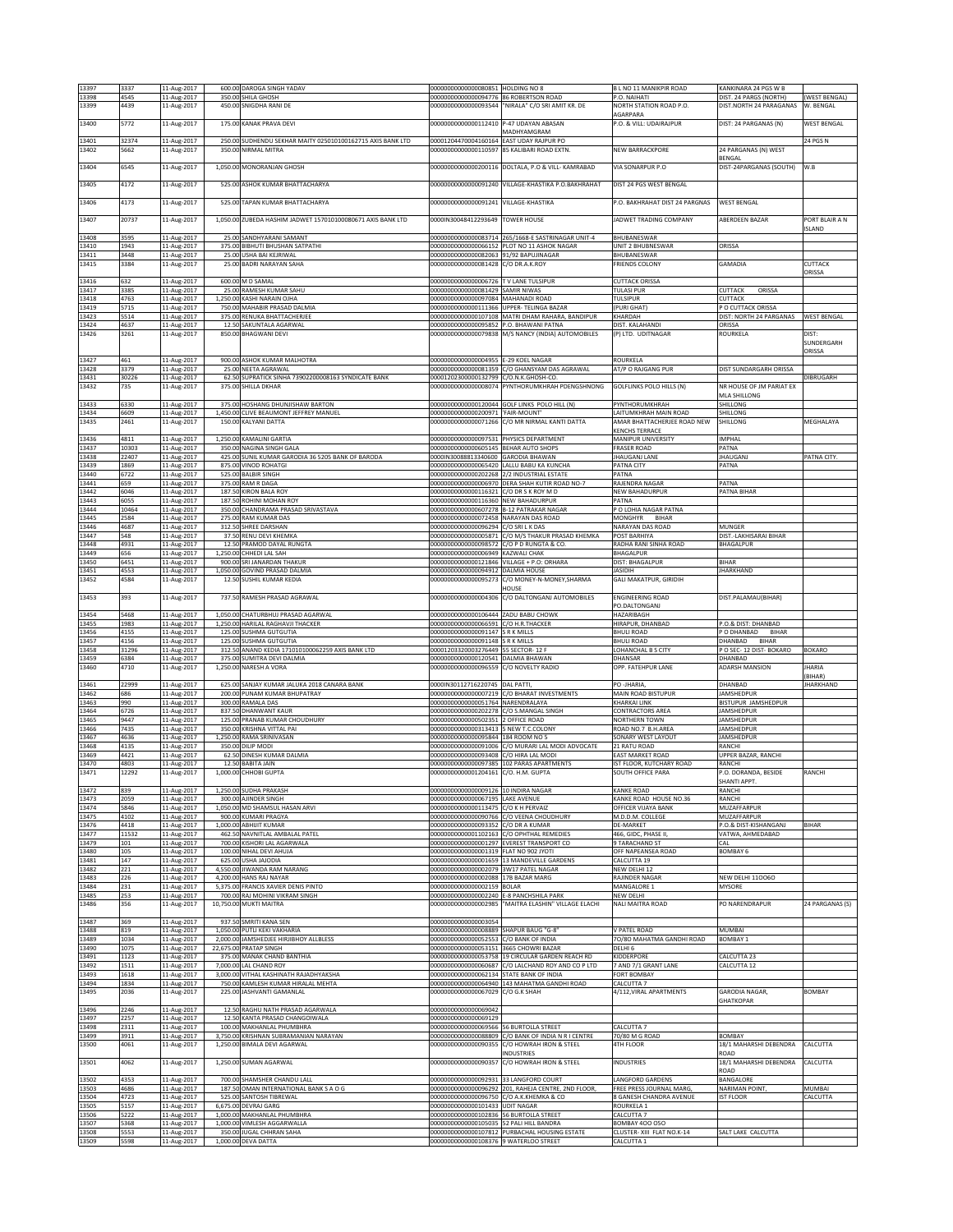| 13397          | 3337         | 11-Aug-2017                | 600.00 DAROGA SINGH YADAV                                        | 000000000000000080851 HOLDING NO 8                                                   |                                                                   | B L NO 11 MANIKPIR ROAD                              | KANKINARA 24 PGS W B                   |                          |
|----------------|--------------|----------------------------|------------------------------------------------------------------|--------------------------------------------------------------------------------------|-------------------------------------------------------------------|------------------------------------------------------|----------------------------------------|--------------------------|
| 13398          | 4545         | 11-Aug-2017                | 350.00 SHILA GHOSH                                               | 00000000000000094776 86 ROBERTSON ROAD                                               |                                                                   | P.O. NAIHATI                                         | <b>DIST. 24 PARGS (NORTH)</b>          | (WEST BENGAL)            |
| 13399          | 4439         | 11-Aug-2017                | 450.00 SNIGDHA RANI DE                                           | 00000000000000093544                                                                 | "NIRALA" C/O SRI AMIT KR. DE                                      | NORTH STATION ROAD P.O.                              | DIST.NORTH 24 PARAGANAS                | W. BENGAL                |
| 13400          | 5772         | 11-Aug-2017                | 175.00 KANAK PRAVA DEVI                                          | 000000000000000112410 P-47 UDAYAN ABASAN                                             |                                                                   | AGARPARA<br>P.O. & VILL: UDAIRAJPUR                  | DIST: 24 PARGANAS (N)                  | <b>WEST BENGAL</b>       |
|                |              |                            |                                                                  |                                                                                      | <b>MADHYAMGRAM</b>                                                |                                                      |                                        |                          |
| 13401          | 32374        | 11-Aug-2017                | 250.00 SUDHENDU SEKHAR MAITY 025010100162715 AXIS BANK LTD       | 00001204470004160164 EAST UDAY RAJPUR PO                                             |                                                                   |                                                      |                                        | 24 PGS N                 |
| 13402          | 5662         | 11-Aug-2017                | 350.00 NIRMAL MITRA                                              | 00000000000000110597                                                                 | 85 KALIBARI ROAD EXTN.                                            | <b>NEW BARRACKPORE</b>                               | 24 PARGANAS (N) WEST                   |                          |
|                |              |                            |                                                                  |                                                                                      |                                                                   |                                                      | BENGAL                                 |                          |
| 13404          | 6545         | 11-Aug-2017                | 1,050.00 MONORANJAN GHOSH                                        |                                                                                      | 00000000000000200116 DOLTALA, P.O & VILL- KAMRABAD                | VIA SONARPUR P.O                                     | DIST-24PARGANAS (SOUTH)                | W.B                      |
| 13405          | 4172         | 11-Aug-2017                | 525.00 ASHOK KUMAR BHATTACHARYA                                  |                                                                                      | 00000000000000091240 VILLAGE-KHASTIKA P.O.BAKHRAHAT               | DIST 24 PGS WEST BENGAL                              |                                        |                          |
|                |              |                            |                                                                  |                                                                                      |                                                                   |                                                      |                                        |                          |
| 13406          | 4173         | 11-Aug-2017                | 525.00 TAPAN KUMAR BHATTACHARYA                                  | 00000000000000091241                                                                 | <b>VILLAGE-KHASTIKA</b>                                           | P.O. BAKHRAHAT DIST 24 PARGNAS                       | <b>WEST BENGAL</b>                     |                          |
|                |              |                            |                                                                  |                                                                                      |                                                                   |                                                      |                                        |                          |
| 13407          | 20737        | 11-Aug-2017                | 1,050.00 ZUBEDA HASHIM JADWET 157010100080671 AXIS BANK LTD      | 0000IN30048412293649                                                                 | <b>TOWER HOUSE</b>                                                | JADWET TRADING COMPANY                               | ABERDEEN BAZAR                         | PORT BLAIR A N<br>ISLAND |
| 13408          | 3595         | 11-Aug-2017                | 25.00 SANDHYARANI SAMANT                                         |                                                                                      | 00000000000000083714 265/1668-E SASTRINAGAR UNIT-4                | BHUBANESWAR                                          |                                        |                          |
| 13410          | 1943         | 11-Aug-2017                | 375.00 BIBHUTI BHUSHAN SATPATHI                                  |                                                                                      | 00000000000000066152 PLOT NO 11 ASHOK NAGAR                       | UNIT 2 BHUBNESWAR                                    | ORISSA                                 |                          |
| 13411          | 3448         | 11-Aug-2017                | 25.00 USHA BAI KEJRIWAL                                          | 000000000000000082063 91/92 BAPUJINAGAR                                              |                                                                   | BHUBANESWAR                                          |                                        |                          |
| 13415          | 3384         | 11-Aug-2017                | 25.00 BADRI NARAYAN SAHA                                         | 00000000000000081428                                                                 | C/O DR.A.K.ROY                                                    | <b>FRIENDS COLONY</b>                                | GAMADIA                                | CUTTACK                  |
|                |              |                            |                                                                  |                                                                                      |                                                                   |                                                      |                                        | ORISSA                   |
| 13416          | 632<br>3385  | 11-Aug-2017                | 600.00 M D SAMAL                                                 | 00000000000000006726 T V LANE TULSIPUR                                               |                                                                   | <b>CUTTACK ORISSA</b>                                | CUTTACK<br>ORISSA                      |                          |
| 13417<br>13418 | 4763         | 11-Aug-2017<br>11-Aug-2017 | 25.00 RAMESH KUMAR SAHU<br>1.250.00 KASHI NARAIN OJHA            | 00000000000000081429 SAMIR NIWAS<br>00000000000000097084 MAHANADI ROAD               |                                                                   | <b>TULASI PUR</b><br><b>TULSIPUR</b>                 | CUTTACK                                |                          |
| 13419          | 5715         | 11-Aug-2017                | 750.00 MAHABIR PRASAD DALMIA                                     | 00000000000000111366 UPPER- TELINGA BAZAR                                            |                                                                   | (PURI GHAT)                                          | O CUTTACK ORISSA                       |                          |
| 13423          | 5514         | 11-Aug-2017                | 375.00 RENUKA BHATTACHERJEE                                      |                                                                                      | 00000000000000107108 MATRI DHAM RAHARA, BANDIPUR                  | KHARDAH                                              | <b>DIST: NORTH 24 PARGANAS</b>         | <b>WEST BENGAL</b>       |
| 13424          | 4637         | 11-Aug-2017                | 12.50 SAKUNTALA AGARWAL                                          | 00000000000000095852 P.O. BHAWANI PATNA                                              |                                                                   | DIST. KALAHANDI                                      | ORISSA                                 |                          |
| 13426          | 3261         | 11-Aug-2017                | 850.00 BHAGWANI DEVI                                             |                                                                                      | 00000000000000079838 M/S NANCY (INDIA) AUTOMOBILES                | (P) LTD. UDITNAGAR                                   | ROURKELA                               | DIST:                    |
|                |              |                            |                                                                  |                                                                                      |                                                                   |                                                      |                                        | SUNDERGARH               |
| 13427          | 461          | 11-Aug-2017                | 900.00 ASHOK KUMAR MALHOTRA                                      | 00000000000000004955 E-29 KOEL NAGAR                                                 |                                                                   | ROURKELA                                             |                                        | ORISSA                   |
| 13428          | 3379         | 11-Aug-2017                | 25.00 NEETA AGRAWAL                                              |                                                                                      | 00000000000000081359 C/O GHANSYAM DAS AGRAWAL                     | AT/P O RAJGANG PUR                                   | DIST SUNDARGARH ORISSA                 |                          |
| 13431          | 30226        | 11-Aug-2017                | 62.50 SUPRATICK SINHA 73902200008163 SYNDICATE BANK              | 00001202300000132799                                                                 | C/O.N.K.GHOSH-CO.                                                 |                                                      |                                        | DIBRUGARH                |
| 13432          | 735          | 11-Aug-2017                | 375.00 SHILLA DKHAR                                              | 00000000000000008074                                                                 | PYNTHORUMKHRAH PDENGSHNONG                                        | <b>GOLFLINKS POLO HILLS (N)</b>                      | NR HOUSE OF JM PARIAT EX               |                          |
|                |              |                            |                                                                  |                                                                                      |                                                                   |                                                      | <b>MLA SHILLONG</b>                    |                          |
| 13433          | 6330         | 11-Aug-2017                | 375.00 HOSHANG DHUNJISHAW BARTON                                 |                                                                                      | 00000000000000120044 GOLF LINKS POLO HILL (N)                     | PYNTHORUMKHRAH                                       | SHILLONG                               |                          |
| 13434<br>13435 | 6609<br>2461 | 11-Aug-2017<br>11-Aug-2017 | 1.450.00 CLIVE BEAUMONT JEFFREY MANUEL<br>150.00 KALYANI DATTA   | 00000000000000200971 'FAIR-MOUNT'                                                    | 00000000000000071266 C/O MR NIRMAL KANTI DATTA                    | LAITUMKHRAH MAIN ROAD<br>AMAR BHATTACHERJEE ROAD NEW | SHILLONG<br>SHILLONG                   | MEGHALAYA                |
|                |              |                            |                                                                  |                                                                                      |                                                                   | <b>KENCHS TERRACE</b>                                |                                        |                          |
| 13436          | 4811         | 11-Aug-2017                | 1,250.00 KAMALINI GARTIA                                         | 00000000000000097531 PHYSICS DEPARTMENT                                              |                                                                   | MANIPUR UNIVERSITY                                   | MPHAL                                  |                          |
| 13437          | 10303        | 11-Aug-2017                | 350.00 NAGINA SINGH GALA                                         | 00000000000000605145 BEHAR AUTO SHOPS                                                |                                                                   | <b>FRASER ROAD</b>                                   | ATNA <sup></sup>                       |                          |
| 13438          | 22407        | 11-Aug-2017                | 425.00 SUNIL KUMAR GARODIA 36 5205 BANK OF BARODA                | 0000IN30088813340600                                                                 | <b>GARODIA BHAWAN</b>                                             | <b>JHAUGANJ LANE</b>                                 | HAUGANJ                                | PATNA CITY.              |
| 13439          | 1869         | 11-Aug-2017                | 875.00 VINOD ROHATGI                                             | 000000000000000065420 LALLU BABU KA KUNCHA                                           |                                                                   | PATNA CITY                                           | PATNA                                  |                          |
| 13440          | 6722         | 11-Aug-2017                | 525.00 BALBIR SINGH                                              | 00000000000000202268 2/2 INDUSTRIAL ESTATE                                           |                                                                   | PATNA                                                |                                        |                          |
| 13441          | 659          | 11-Aug-2017                | 375.00 RAM R DAGA                                                | 00000000000000006970<br>0000000000000116321                                          | DERA SHAH KUTIR ROAD NO-7                                         | RAJENDRA NAGAR                                       | <b>ATNA</b><br><b>ATNA RIHAR</b>       |                          |
| 13442<br>13443 | 6046<br>6055 | 11-Aug-2017<br>11-Aug-2017 | 187.50 KIRON BALA ROY<br>187.50 ROHINI MOHAN ROY                 | 00000000000000116360                                                                 | C/O DR S K ROY M D<br>NEW BAHADURPUR                              | <b>NEW BAHADURPUR</b><br>PATNA                       |                                        |                          |
| 13444          | 10464        | 11-Aug-2017                | 350.00 CHANDRAMA PRASAD SRIVASTAVA                               | 00000000000000607278 B-12 PATRAKAR NAGAR                                             |                                                                   | P O LOHIA NAGAR PATNA                                |                                        |                          |
| 13445          | 2584         | 11-Aug-2017                | 275.00 RAM KUMAR DAS                                             | 00000000000000072458 NARAYAN DAS ROAD                                                |                                                                   | <b>BIHAR</b><br><b>MONGHYR</b>                       |                                        |                          |
| 13446          | 4687         | 11-Aug-2017                | 312.50 SHREE DARSHAN                                             | 00000000000000096294 C/O SRI L K DAS                                                 |                                                                   | NARAYAN DAS ROAD                                     | MUNGER                                 |                          |
| 13447          | 548          | 11-Aug-2017                | 37.50 RENU DEVI KHEMKA                                           | 00000000000000005871                                                                 | C/O M/S THAKUR PRASAD KHEMKA                                      | POST BARHIYA                                         | DIST.-LAKHISARAI BIHAR                 |                          |
| 13448          | 4931         | 11-Aug-2017                | 12.50 PRAMOD DAYAL RUNGTA                                        | 00000000000000098572 C/O P D RUNGTA & CO.                                            |                                                                   | RADHA RANI SINHA ROAD                                | BHAGALPUR                              |                          |
| 13449          | 656          | 11-Aug-2017                | 1,250.00 CHHEDI LAL SAH                                          | 00000000000000006949 KAZWALI CHAK                                                    |                                                                   | BHAGALPUR                                            |                                        |                          |
| 13450          | 6451         | 11-Aug-2017                | 900.00 SRI JANARDAN THAKUR                                       | 00000000000000121846 VILLAGE + P.O: ORHARA                                           |                                                                   | DIST: BHAGALPUR                                      | <b>SIHAR</b>                           |                          |
| 13451<br>13452 | 4553<br>4584 | 11-Aug-2017<br>11-Aug-2017 | 1,050.00 GOVIND PRASAD DALMIA<br>12.50 SUSHIL KUMAR KEDIA        | 00000000000000094912                                                                 | DALMIA HOUSE<br>00000000000000095273 C/O MONEY-N-MONEY, SHARMA    | <b>JASIDIH</b><br><b>GALI MAKATPUR, GIRIDIH</b>      | HARKHAND                               |                          |
|                |              |                            |                                                                  |                                                                                      | HOUSE                                                             |                                                      |                                        |                          |
| 13453          | 393          | 11-Aug-2017                | 737.50 RAMESH PRASAD AGRAWAL                                     |                                                                                      | 00000000000000004306 C/O DALTONGANJ AUTOMOBILES                   | <b>ENGINEERING ROAD</b>                              | DIST.PALAMAU(BIHAR)                    |                          |
|                |              |                            |                                                                  |                                                                                      |                                                                   | PO.DALTONGANJ                                        |                                        |                          |
| 13454          | 5468         | 11-Aug-2017                | 1,050.00 CHATURBHUJ PRASAD AGARWAL                               | 00000000000000106444 ZADU BABU CHOWK                                                 |                                                                   | HAZARIBAGH                                           |                                        |                          |
|                | 1983         | 11-Aug-2017                | 1,250.00 HARILAL RAGHAVJI THACKER                                | 00000000000000066591 C/O H.R.THACKER                                                 |                                                                   | HIRAPUR, DHANBAD                                     | .O.& DIST: DHANBAD                     |                          |
| 13455          |              |                            |                                                                  |                                                                                      |                                                                   |                                                      |                                        |                          |
| 13456          | 4155         | 11-Aug-2017                | 125.00 SUSHMA GUTGUTIA                                           | 00000000000000091147 S R K MILLS                                                     |                                                                   | <b>BHULI ROAD</b>                                    | O DHANBAD<br><b>BIHAR</b>              |                          |
| 13457          | 4156         | 11-Aug-2017                | 125.00 SUSHMA GUTGUTIA                                           | 00000000000000091148                                                                 | S R K MILLS                                                       | <b>BHULI ROAD</b>                                    | HANBAD<br>BIHAR                        |                          |
| 13458          | 31296        | 11-Aug-2017                | 312.50 ANAND KEDIA 171010100062259 AXIS BANK LTD                 | 00001203320003276449                                                                 | 55 SECTOR- 12 F                                                   | LOHANCHAL B S CITY                                   | O SEC-12 DIST-BOKARO                   | <b>BOKARO</b>            |
| 13459          | 6384         | 11-Aug-2017                | 375.00 SUMITRA DEVI DALMIA<br>1,250.00 NARESH A VORA             | 00000000000000120541 DALMIA BHAWAN<br>0000000000000096559                            | C/O NOVELTY RADIO                                                 | DHANSAR<br>OPP. FATEHPUR LANE                        | DHANBAD<br><b>ADARSH MANSION</b>       | <b>JHARIA</b>            |
| 13460          | 4710         | 11-Aug-2017                |                                                                  |                                                                                      |                                                                   |                                                      |                                        | (BIHAR)                  |
| 13461          | 22999        | 11-Aug-2017                | 625.00 SANJAY KUMAR JALUKA 2018 CANARA BANK                      | 0000IN30112716220745 DAL PATTI,                                                      |                                                                   | PO -JHARIA,                                          | DHANBAD                                | <b>JHARKHAND</b>         |
| 13462          | 686          | 11-Aug-2017                | 200.00 PUNAM KUMAR BHUPATRAY                                     |                                                                                      | 00000000000000007219 C/O BHARAT INVESTMENTS                       | MAIN ROAD BISTUPUR                                   | <b>JAMSHEDPUR</b>                      |                          |
| 13463          | 990          | 11-Aug-2017                | 300.00 RAMALA DAS                                                | 00000000000000051764 NARENDRALAYA                                                    |                                                                   | <b>KHARKAI LINK</b>                                  | BISTUPUR JAMSHEDPUR                    |                          |
| 13464          | 6726         | 11-Aug-2017                | 837.50 DHANWANT KAUR                                             | 00000000000000202278 C/O S.MANGAL SINGH                                              |                                                                   | <b>CONTRACTORS AREA</b>                              | <b>AMSHEDPUR</b>                       |                          |
| 13465<br>13466 | 9447         | 11-Aug-2017                | 125.00 PRANAB KUMAR CHOUDHURY                                    | 00000000000000502351 2 OFFICE ROAD                                                   |                                                                   | NORTHERN TOWN                                        | JAMSHEDPUR                             |                          |
| 13467          | 7435<br>4636 | 11-Aug-2017<br>11-Aug-2017 | 350.00 KRISHNA VITTAL PAI<br>1,250.00 RAMA SRINIVASAN            | 00000000000000313413 5 NEW T.C.COLONY<br>00000000000000095844 184 ROOM NO 5          |                                                                   | ROAD NO.7 B.H.AREA<br>SONARY WEST LAYOUT             | <b>JAMSHEDPUR</b><br><b>JAMSHEDPUR</b> |                          |
| 13468          | 4135         | 11-Aug-2017                | 350.00 DILIP MODI                                                | 00000000000000091006                                                                 | C/O MURARI LAL MODI ADVOCATE                                      | 21 RATU ROAD                                         | RANCHI                                 |                          |
| 13469          | 4421         | 11-Aug-2017                | 62.50 DINESH KUMAR DALMIA                                        | 00000000000000093408 C/O HIRA LAL MODI                                               |                                                                   | <b>EAST MARKET ROAD</b>                              | JPPER BAZAR, RANCHI                    |                          |
| 13470          | 4803         | 11-Aug-2017                | 12.50 BABITA JAIN                                                |                                                                                      | 00000000000000097385 102 PARAS APARTMENTS                         | IST FLOOR, KUTCHARY ROAD                             | RANCHI                                 |                          |
| 13471          | 12292        | 11-Aug-2017                | 1,000.00 CHHOBI GUPTA                                            | 00000000000001204161 C/O. H.M. GUPTA                                                 |                                                                   | SOUTH OFFICE PARA                                    | P.O. DORANDA, BESIDE                   | RANCHI                   |
| 13472          | 839          | 11-Aug-2017                | 1,250.00 SUDHA PRAKASH                                           | 00000000000000009126 10 INDIRA NAGAR                                                 |                                                                   | KANKE ROAD                                           | SHANTI APP<br>RANCHI                   |                          |
| 13473          | 2059         | 11-Aug-2017                | 300.00 AJINDER SINGH                                             | 00000000000000067195 LAKE AVENUE                                                     |                                                                   | KANKE ROAD HOUSE NO.36                               | RANCHI                                 |                          |
| 13474          | 5846         | 11-Aug-2017                | 1,050.00 MD SHAMSUL HASAN ARVI                                   | 00000000000000113475 C/O K H PERVAIZ                                                 |                                                                   | OFFICER VIJAYA BANK                                  | MUZAFFARPUR                            |                          |
| 13475          | 4102         | 11-Aug-2017                | 900.00 KUMARI PRAGYA                                             | 00000000000000090766 C/O VEENA CHOUDHURY                                             |                                                                   | M.D.D.M. COLLEGE                                     | MUZAFFARPUR                            |                          |
| 13476          | 4418         | 11-Aug-2017                | 1,000.00 ABHIJIT KUMAR                                           | 0000000000000093352                                                                  | C/O DR A KUMAR                                                    | DE-MARKET                                            | .O.& DIST-KISHANGANJ                   | BIHAR                    |
| 13477          | 11532        | 11-Aug-2017                | 462.50 NAVNITLAL AMBALAL PATEL                                   | 00000000000001102163 C/O OPHTHAL REMEDIES                                            |                                                                   | 466, GIDC, PHASE II,<br>9 TARACHAND ST               | VATWA, AHMEDABAD                       |                          |
| 13479<br>13480 | 101<br>105   | 11-Aug-2017<br>11-Aug-2017 | 700.00 KISHORI LAL AGARWALA<br>100.00 NIHAL DEVI AHUJA           | 00000000000000001297 EVEREST TRANSPORT CO<br>00000000000000001319 FLAT NO 902 JYOTI  |                                                                   | OFF NAPEANSEA ROAD                                   | CAL<br>BOMBAY <sub>6</sub>             |                          |
| 13481          | 147          | 11-Aug-2017                | 625.00 USHA JAJODIA                                              |                                                                                      | 000000000000000001659 13 MANDEVILLE GARDENS                       | CALCUTTA 19                                          |                                        |                          |
| 13482          | 221          | 11-Aug-2017                | 4,550.00 JIWANDA RAM NARANG                                      | 00000000000000002079 3W17 PATEL NAGAR                                                |                                                                   | NEW DELHI 12                                         |                                        |                          |
| 13483          | 226          | 11-Aug-2017                | 4,200.00 HANS RAJ NAYAR                                          | 00000000000000002088 17B BAZAR MARG                                                  |                                                                   | RAJINDER NAGAR                                       | <b>NEW DELHI 110060</b>                |                          |
| 13484          | 231          | 11-Aug-2017                | 5,375.00 FRANCIS XAVIER DENIS PINTO                              | 00000000000000002159 BOLAR                                                           |                                                                   | MANGALORE 1                                          | <b>MYSORE</b>                          |                          |
| 13485          | 253          | 11-Aug-2017                | 700.00 RAJ MOHINI VIKRAM SINGH                                   | 00000000000000002240 E-8 PANCHSHILA PARK                                             |                                                                   | NEW DELHI                                            |                                        |                          |
| 13486          | 356          | 11-Aug-2017                | 10,750.00 MUKTI MAITRA                                           | 00000000000000002985                                                                 | "MAITRA ELASHIN" VILLAGE ELACHI                                   | NALI MAITRA ROAD                                     | PO NARENDRAPUR                         | 24 PARGANAS (S)          |
| 13487          | 369          | 11-Aug-2017                | 937.50 SMRITI KANA SEN                                           | 00000000000000003054                                                                 |                                                                   |                                                      |                                        |                          |
| 13488          | 819          | 11-Aug-2017                | 1,050.00 PUTLI KEKI VAKHARIA                                     | 00000000000000008889                                                                 | SHAPUR BAUG "G-8"                                                 | V PATEL ROAD                                         | MUMBAI                                 |                          |
| 13489          | 1034         | 11-Aug-2017                | 2,000.00 JAMSHEDJEE HIRJIBHOY ALLBLESS                           | 00000000000000052553                                                                 | C/O BANK OF INDIA                                                 | 70/80 MAHATMA GANDHI ROAD                            | BOMBAY 1                               |                          |
| 13490          | 1075         | 11-Aug-2017                | 22,675.00 PRATAP SINGH                                           | 00000000000000053151 3665 CHOWRI BAZAR                                               |                                                                   | DELHI <sub>6</sub>                                   |                                        |                          |
| 13491          | 1123         | 11-Aug-2017                | 375.00 MANAK CHAND BANTHIA                                       | 00000000000000053758                                                                 | 19 CIRCULAR GARDEN REACH RD                                       | KIDDERPORE                                           | CALCUTTA 23                            |                          |
| 13492          | 1511         | 11-Aug-2017                | 7,000.00 LAL CHAND ROY<br>3,000.00 VITHAL KASHINATH RAJADHYAKSHA |                                                                                      | 00000000000000060687 C/O LALCHAND ROY AND CO P LTD                | 7 AND 7/1 GRANT LANE                                 | CALCUTTA 12                            |                          |
| 13493<br>13494 | 1618<br>1834 | 11-Aug-2017<br>11-Aug-2017 | 750.00 KAMLESH KUMAR HIRALAL MEHTA                               | 00000000000000062134 STATE BANK OF INDIA                                             | 00000000000000064940 143 MAHATMA GANDHI ROAD                      | FORT BOMBAY<br>CALCUTTA 7                            |                                        |                          |
| 13495          | 2036         | 11-Aug-2017                | 225.00 JASHVANTI GAMANLAL                                        | 00000000000000067029 C/O G.K SHAH                                                    |                                                                   | 4/112, VIRAL APARTMENTS                              | GARODIA NAGAR,                         | BOMBAY                   |
|                |              |                            |                                                                  |                                                                                      |                                                                   |                                                      | <b>GHATKOPAR</b>                       |                          |
| 13496          | 2246         | 11-Aug-2017                | 12.50 RAGHU NATH PRASAD AGARWALA                                 | 00000000000000069042                                                                 |                                                                   |                                                      |                                        |                          |
| 13497          | 2257         | 11-Aug-2017                | 12.50 KANTA PRASAD CHANGOIWALA                                   | 00000000000000069129                                                                 |                                                                   |                                                      |                                        |                          |
| 13498          | 2311         | 11-Aug-2017                | 100.00 MAKHANLAL PHUMBHRA                                        | 00000000000000069566 56 BURTOLLA STREET                                              |                                                                   | CALCUTTA 7                                           |                                        |                          |
| 13499          | 3911         | 11-Aug-2017                | 3,750.00 KRISHNAN SUBRAMANIAN NARAYAN                            |                                                                                      | 00000000000000088809 C/O BANK OF INDIA N R I CENTRE               | 70/80 M G ROAD                                       | BOMBAY                                 |                          |
| 13500          | 4061         | 11-Aug-2017                | 1,250.00 BIMALA DEVI AGARWAL                                     |                                                                                      | 00000000000000090355 C/O HOWRAH IRON & STEEL<br><b>INDUSTRIES</b> | 4TH FLOOR                                            | 18/1 MAHARSHI DEBENDRA<br>ROAD         | CALCUTTA                 |
| 13501          | 4062         | 11-Aug-2017                | 1,250.00 SUMAN AGARWAL                                           | 0000000000000090357                                                                  | C/O HOWRAH IRON & STEEL                                           | <b>INDUSTRIES</b>                                    | 18/1 MAHARSHI DEBENDRA                 | CALCUTTA                 |
|                |              |                            |                                                                  |                                                                                      |                                                                   |                                                      | <b>GAOR</b>                            |                          |
| 13502          | 4353         | 11-Aug-2017                | 700.00 SHAMSHER CHANDU LALL                                      | 00000000000000092931                                                                 | 33 LANGFORD COURT                                                 | LANGFORD GARDENS                                     | BANGALORE                              |                          |
| 13503          | 4686         | 11-Aug-2017                | 187.50 OMAN INTERNATIONAL BANK S A O G                           |                                                                                      | 00000000000000096292 201, RAHEJA CENTRE, 2ND FLOOR,               | FREE PRESS JOURNAL MARG,                             | NARIMAN POINT                          | MUMBAI                   |
| 13504          | 4723         | 11-Aug-2017                | 525.00 SANTOSH TIBREWAL                                          | 00000000000000096750 C/O A.K.KHEMKA & CO                                             |                                                                   | 8 GANESH CHANDRA AVENUE                              | <b>IST FLOOR</b>                       | CALCUTTA                 |
| 13505          | 5157         | 11-Aug-2017                | 6,675.00 DEVRAJ GARG                                             | 00000000000000101433 UDIT NAGAR                                                      |                                                                   | ROURKELA 1                                           |                                        |                          |
| 13506<br>13507 | 5222<br>5368 | 11-Aug-2017<br>11-Aug-2017 | 1,000.00 MAKHANLAL PHUMBHRA<br>1,000.00 VIMLESH AGGARWALLA       | 00000000000000102836 56 BURTOLLA STREET<br>000000000000000105035 52 PALI HILL BANDRA |                                                                   | CALCUTTA 7<br><b>BOMBAY 400 050</b>                  |                                        |                          |
| 13508<br>13509 | 5553<br>5598 | 11-Aug-2017<br>11-Aug-2017 | 350.00 JUGAL CHHRAN SAHA<br>1,000.00 DEVA DATTA                  | 00000000000000108376 9 WATERLOO STREET                                               | 000000000000000107812 PURBACHAL HOUSING ESTATE                    | CLUSTER- XIII FLAT NO.K-14<br>CALCUTTA 1             | SALT LAKE CALCUTTA                     |                          |